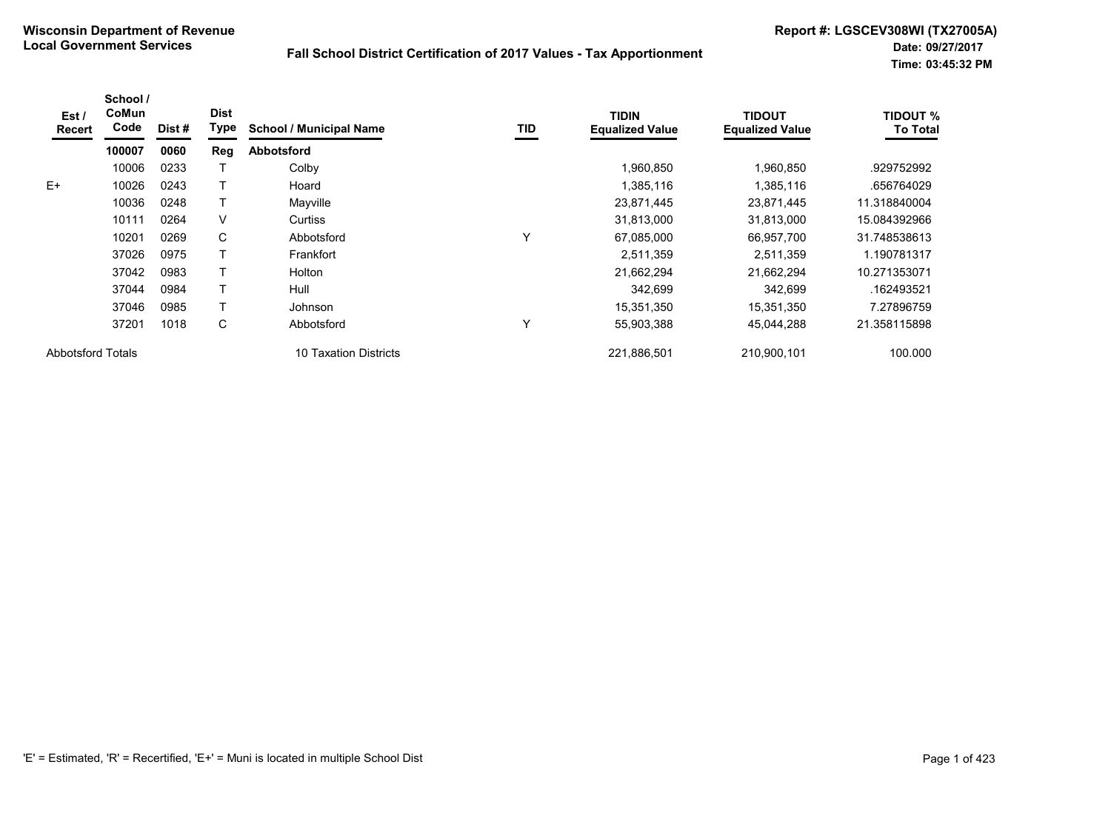| Est /<br>Recert          | School /<br>CoMun<br>Code | Dist # | <b>Dist</b><br>Type | <b>School / Municipal Name</b>            | TID | <b>TIDIN</b><br><b>Equalized Value</b> | TIDOUT<br><b>Equalized Value</b> | <b>TIDOUT %</b><br><b>To Total</b> |
|--------------------------|---------------------------|--------|---------------------|-------------------------------------------|-----|----------------------------------------|----------------------------------|------------------------------------|
|                          | 100007                    | 0060   | Reg                 | <b>Abbotsford</b>                         |     |                                        |                                  |                                    |
|                          | 10006                     | 0233   |                     | Colby                                     |     | 1,960,850                              | 1,960,850                        | .929752992                         |
| $E+$                     | 10026                     | 0243   |                     | Hoard                                     |     | 1,385,116                              | 1,385,116                        | .656764029                         |
|                          | 10036                     | 0248   |                     | Mayville                                  |     | 23,871,445                             | 23,871,445                       | 11.318840004                       |
|                          | 10111                     | 0264   | $\vee$              | Curtiss                                   |     | 31,813,000                             | 31,813,000                       | 15.084392966                       |
|                          | 10201                     | 0269   | C                   | Abbotsford                                | Y   | 67,085,000                             | 66.957.700                       | 31.748538613                       |
|                          | 37026                     | 0975   |                     | Frankfort                                 |     | 2,511,359                              | 2,511,359                        | 1.190781317                        |
|                          | 37042                     | 0983   |                     | Holton                                    |     | 21,662,294                             | 21,662,294                       | 10.271353071                       |
|                          | 37044                     | 0984   | т                   | Hull                                      |     | 342,699                                | 342,699                          | .162493521                         |
|                          | 37046                     | 0985   |                     | Johnson                                   |     | 15,351,350                             | 15,351,350                       | 7.27896759                         |
|                          | 37201                     | 1018   | С                   | Abbotsford                                | Υ   | 55,903,388                             | 45,044,288                       | 21.358115898                       |
| <b>Abbotsford Totals</b> |                           |        |                     | <b>Taxation Districts</b><br>$10^{\circ}$ |     | 221,886,501                            | 210,900,101                      | 100.000                            |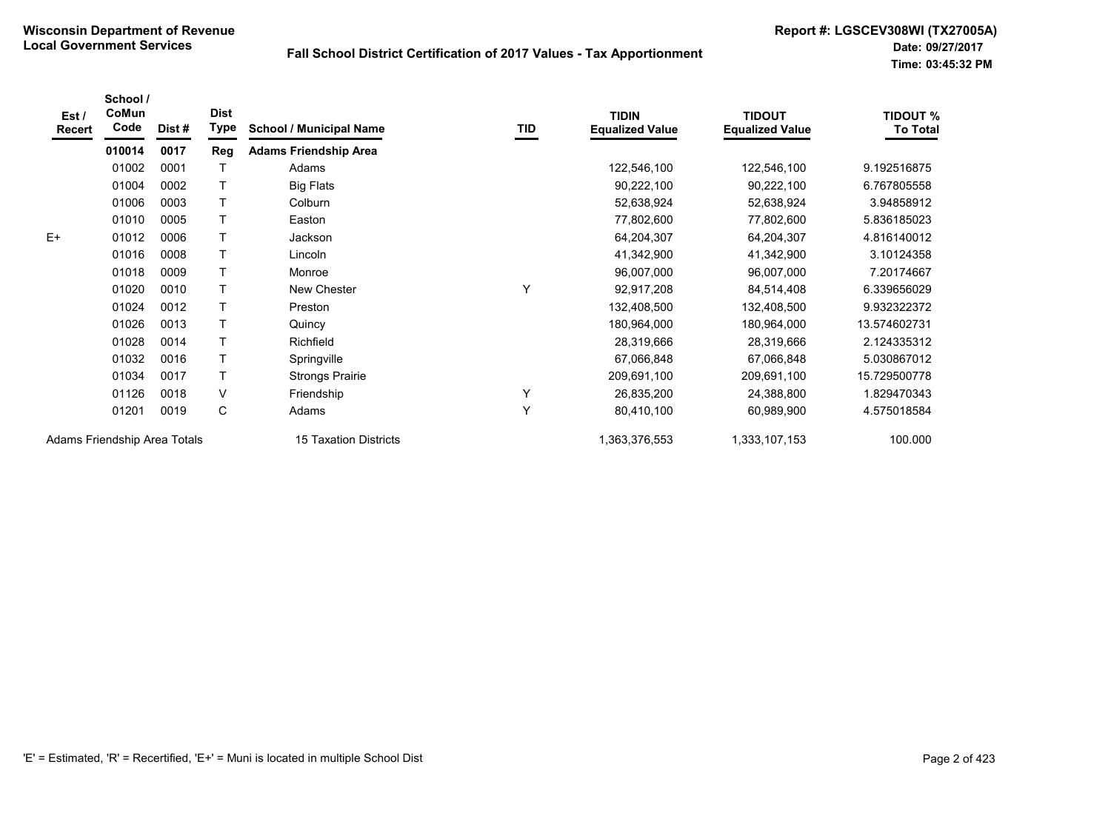| Est/<br>Recert               | School /<br>CoMun<br>Code | Dist # | <b>Dist</b><br>Type | <b>School / Municipal Name</b> | TID | <b>TIDIN</b><br><b>Equalized Value</b> | <b>TIDOUT</b><br><b>Equalized Value</b> | <b>TIDOUT %</b><br><b>To Total</b> |
|------------------------------|---------------------------|--------|---------------------|--------------------------------|-----|----------------------------------------|-----------------------------------------|------------------------------------|
|                              | 010014                    | 0017   | Reg                 | <b>Adams Friendship Area</b>   |     |                                        |                                         |                                    |
|                              | 01002                     | 0001   | Τ                   | Adams                          |     | 122,546,100                            | 122,546,100                             | 9.192516875                        |
|                              | 01004                     | 0002   | T                   | <b>Big Flats</b>               |     | 90,222,100                             | 90,222,100                              | 6.767805558                        |
|                              | 01006                     | 0003   | $\top$              | Colburn                        |     | 52,638,924                             | 52,638,924                              | 3.94858912                         |
|                              | 01010                     | 0005   | T.                  | Easton                         |     | 77,802,600                             | 77,802,600                              | 5.836185023                        |
| $E+$                         | 01012                     | 0006   | Τ                   | Jackson                        |     | 64,204,307                             | 64,204,307                              | 4.816140012                        |
|                              | 01016                     | 0008   | $\top$              | Lincoln                        |     | 41,342,900                             | 41,342,900                              | 3.10124358                         |
|                              | 01018                     | 0009   | T.                  | Monroe                         |     | 96,007,000                             | 96,007,000                              | 7.20174667                         |
|                              | 01020                     | 0010   |                     | New Chester                    | Υ   | 92,917,208                             | 84,514,408                              | 6.339656029                        |
|                              | 01024                     | 0012   | $\mathsf{T}$        | Preston                        |     | 132,408,500                            | 132,408,500                             | 9.932322372                        |
|                              | 01026                     | 0013   | T.                  | Quincy                         |     | 180,964,000                            | 180,964,000                             | 13.574602731                       |
|                              | 01028                     | 0014   | T.                  | Richfield                      |     | 28,319,666                             | 28,319,666                              | 2.124335312                        |
|                              | 01032                     | 0016   | T.                  | Springville                    |     | 67,066,848                             | 67,066,848                              | 5.030867012                        |
|                              | 01034                     | 0017   | T.                  | <b>Strongs Prairie</b>         |     | 209,691,100                            | 209,691,100                             | 15.729500778                       |
|                              | 01126                     | 0018   | $\vee$              | Friendship                     | Y   | 26,835,200                             | 24,388,800                              | 1.829470343                        |
|                              | 01201                     | 0019   | C                   | Adams                          | Y   | 80,410,100                             | 60,989,900                              | 4.575018584                        |
| Adams Friendship Area Totals |                           |        |                     | <b>15 Taxation Districts</b>   |     | 1,363,376,553                          | 1,333,107,153                           | 100.000                            |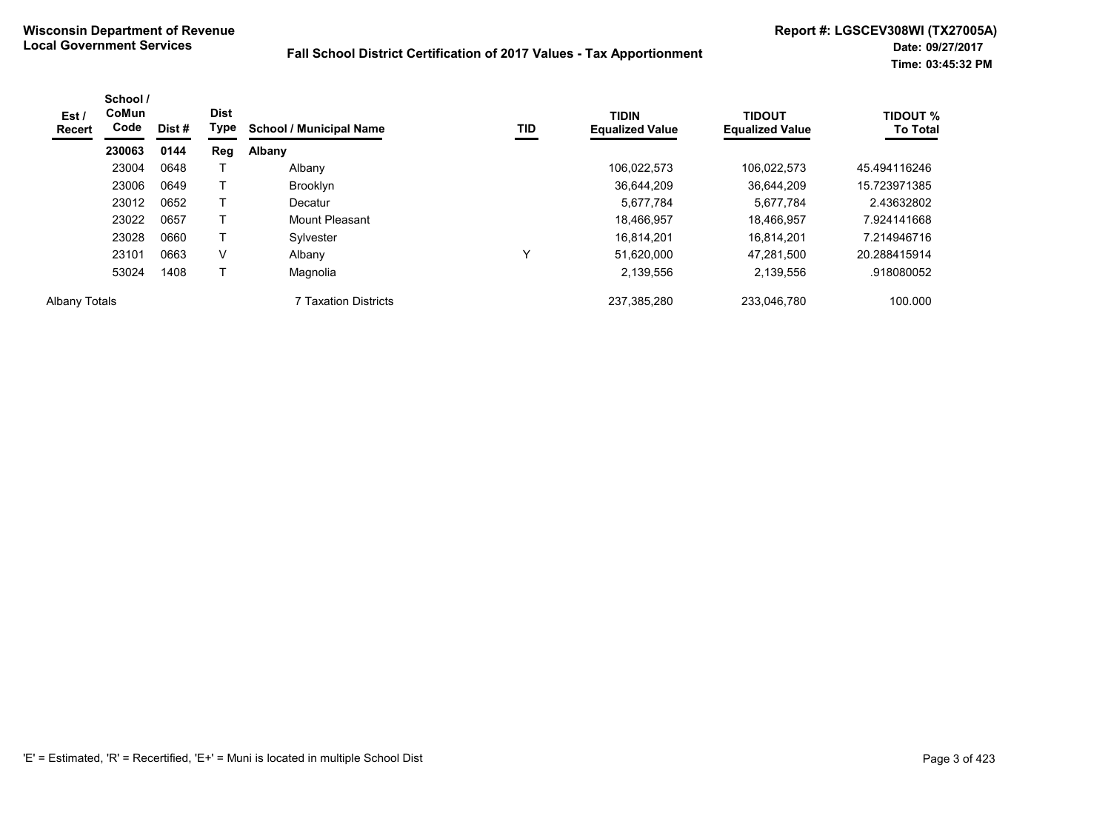| Est /<br><b>Recert</b> | School /<br>CoMun<br>Code | Dist# | <b>Dist</b><br>Type | <b>School / Municipal Name</b> | TID | <b>TIDIN</b><br><b>Equalized Value</b> | <b>TIDOUT</b><br><b>Equalized Value</b> | <b>TIDOUT %</b><br><b>To Total</b> |
|------------------------|---------------------------|-------|---------------------|--------------------------------|-----|----------------------------------------|-----------------------------------------|------------------------------------|
|                        | 230063                    | 0144  | <b>Reg</b>          | Albany                         |     |                                        |                                         |                                    |
|                        | 23004                     | 0648  |                     | Albany                         |     | 106.022.573                            | 106.022.573                             | 45.494116246                       |
|                        | 23006                     | 0649  |                     | <b>Brooklyn</b>                |     | 36.644.209                             | 36.644.209                              | 15.723971385                       |
|                        | 23012                     | 0652  |                     | Decatur                        |     | 5,677,784                              | 5,677,784                               | 2.43632802                         |
|                        | 23022                     | 0657  |                     | Mount Pleasant                 |     | 18,466,957                             | 18.466.957                              | 7.924141668                        |
|                        | 23028                     | 0660  |                     | Sylvester                      |     | 16.814.201                             | 16.814.201                              | 7.214946716                        |
|                        | 23101                     | 0663  | V                   | Albany                         | ν   | 51,620,000                             | 47.281.500                              | 20.288415914                       |
|                        | 53024                     | 1408  |                     | Magnolia                       |     | 2,139,556                              | 2,139,556                               | .918080052                         |
| <b>Albany Totals</b>   |                           |       |                     | <b>7 Taxation Districts</b>    |     | 237,385,280                            | 233,046,780                             | 100.000                            |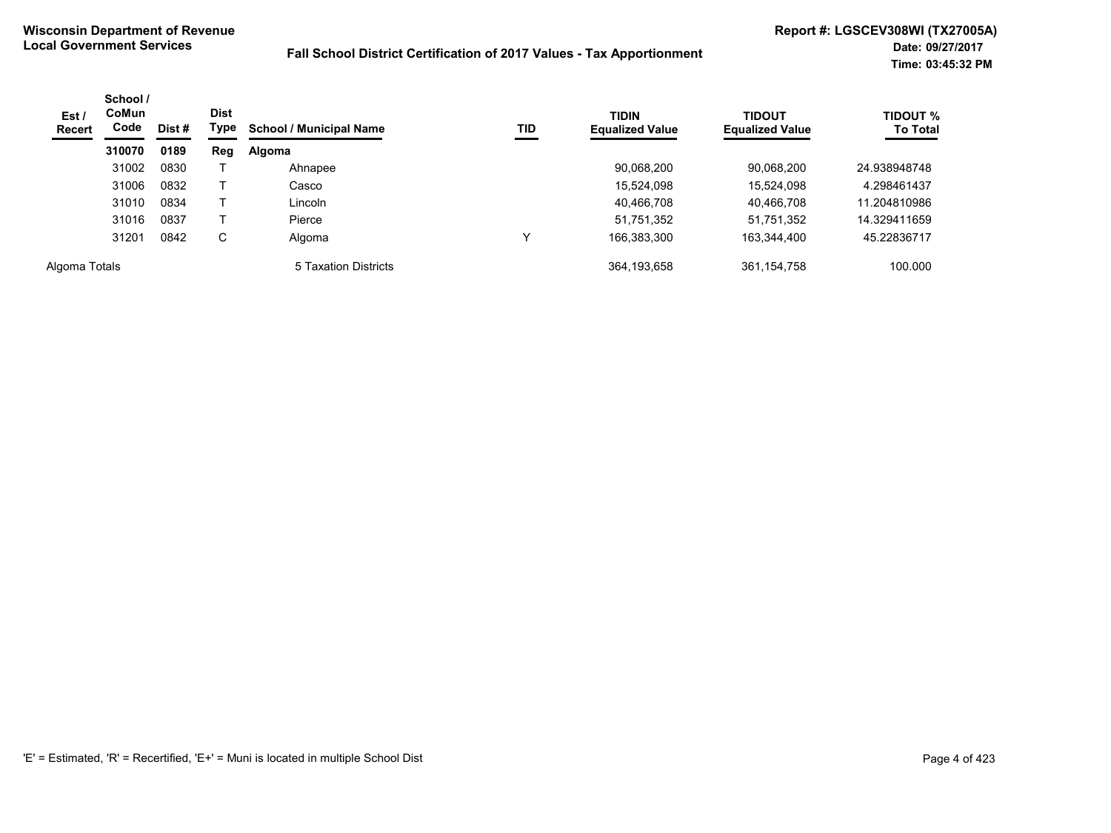| Est/<br><b>Recert</b> | School /<br><b>CoMun</b><br>Code<br>Dist #<br>0189<br>310070 | <b>Dist</b><br>Type | TID<br><b>School / Municipal Name</b> | <b>TIDIN</b><br><b>Equalized Value</b> | <b>TIDOUT</b><br><b>Equalized Value</b> | <b>TIDOUT %</b><br><b>To Total</b> |             |              |
|-----------------------|--------------------------------------------------------------|---------------------|---------------------------------------|----------------------------------------|-----------------------------------------|------------------------------------|-------------|--------------|
|                       |                                                              |                     | Reg                                   | Algoma                                 |                                         |                                    |             |              |
|                       | 31002                                                        | 0830                |                                       | Ahnapee                                |                                         | 90,068,200                         | 90,068,200  | 24.938948748 |
|                       | 31006                                                        | 0832                |                                       | Casco                                  |                                         | 15,524,098                         | 15.524.098  | 4.298461437  |
|                       | 31010                                                        | 0834                |                                       | Lincoln                                |                                         | 40,466,708                         | 40,466,708  | 11.204810986 |
|                       | 31016                                                        | 0837                |                                       | Pierce                                 |                                         | 51,751,352                         | 51,751,352  | 14.329411659 |
|                       | 31201                                                        | 0842                | C                                     | Algoma                                 |                                         | 166,383,300                        | 163,344,400 | 45.22836717  |
| Algoma Totals         |                                                              |                     |                                       | 5 Taxation Districts                   |                                         | 364,193,658                        | 361,154,758 | 100.000      |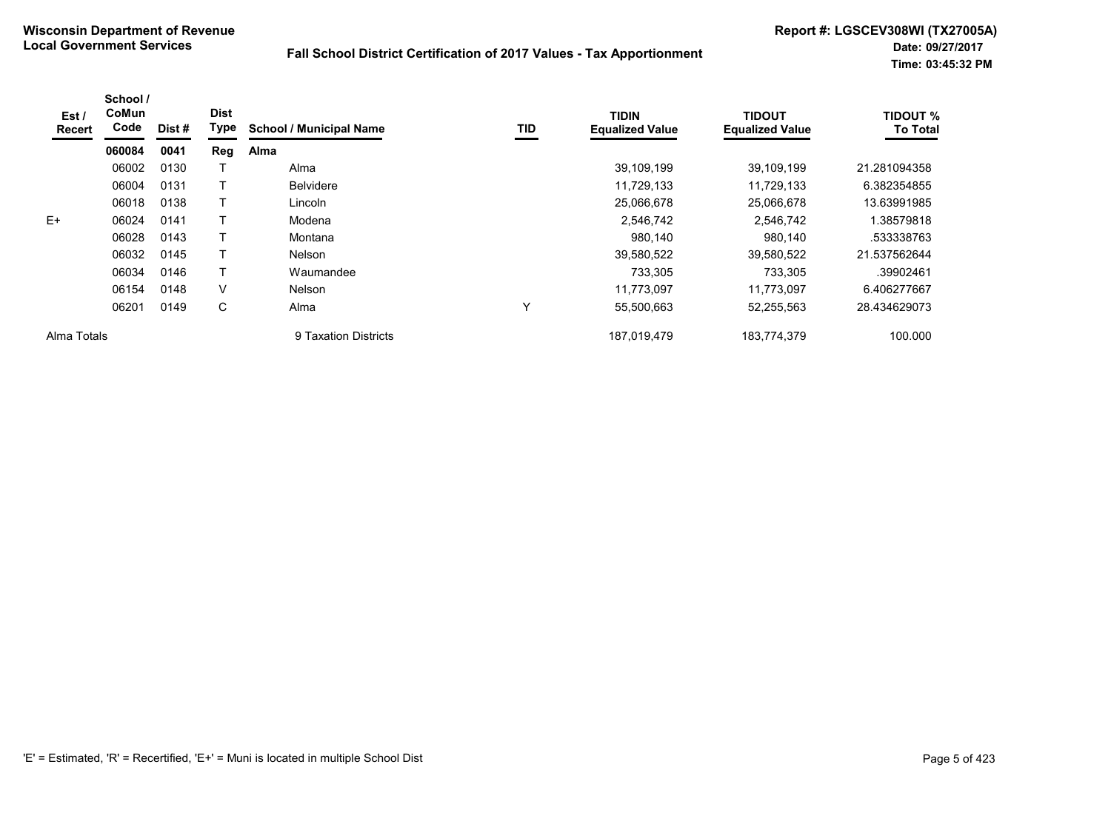| Est /<br><b>Recert</b> | School /<br>CoMun<br>Code | Dist# | <b>Dist</b><br><b>Type</b> | <b>School / Municipal Name</b> | TID          | <b>TIDIN</b><br><b>Equalized Value</b> | <b>TIDOUT</b><br><b>Equalized Value</b> | <b>TIDOUT %</b><br><b>To Total</b> |
|------------------------|---------------------------|-------|----------------------------|--------------------------------|--------------|----------------------------------------|-----------------------------------------|------------------------------------|
|                        | 060084                    | 0041  | Reg                        | Alma                           |              |                                        |                                         |                                    |
|                        | 06002                     | 0130  |                            | Alma                           |              | 39,109,199                             | 39,109,199                              | 21.281094358                       |
|                        | 06004                     | 0131  |                            | <b>Belvidere</b>               |              | 11,729,133                             | 11,729,133                              | 6.382354855                        |
|                        | 06018                     | 0138  |                            | Lincoln                        |              | 25,066,678                             | 25,066,678                              | 13.63991985                        |
| $E+$                   | 06024                     | 0141  |                            | Modena                         |              | 2,546,742                              | 2,546,742                               | 1.38579818                         |
|                        | 06028                     | 0143  |                            | Montana                        |              | 980,140                                | 980,140                                 | .533338763                         |
|                        | 06032                     | 0145  |                            | Nelson                         |              | 39,580,522                             | 39,580,522                              | 21.537562644                       |
|                        | 06034                     | 0146  |                            | Waumandee                      |              | 733,305                                | 733,305                                 | .39902461                          |
|                        | 06154                     | 0148  | V                          | <b>Nelson</b>                  |              | 11,773,097                             | 11.773.097                              | 6.406277667                        |
|                        | 06201                     | 0149  | C                          | Alma                           | $\checkmark$ | 55,500,663                             | 52,255,563                              | 28.434629073                       |
| Alma Totals            |                           |       |                            | 9 Taxation Districts           |              | 187,019,479                            | 183,774,379                             | 100.000                            |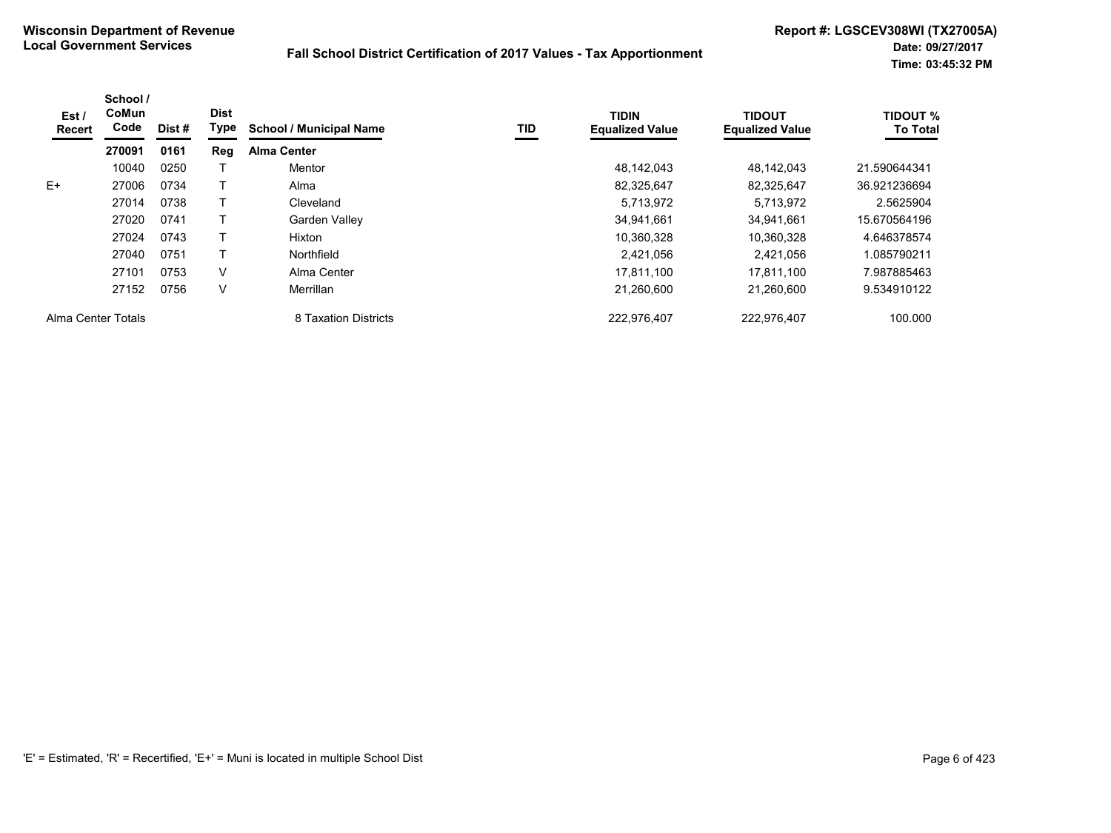| Est /<br><b>Recert</b> | School /<br>CoMun<br>Code | Dist# | <b>Dist</b><br>Type | <b>School / Municipal Name</b> | TID | <b>TIDIN</b><br><b>Equalized Value</b> | <b>TIDOUT</b><br><b>Equalized Value</b> | <b>TIDOUT %</b><br><b>To Total</b> |
|------------------------|---------------------------|-------|---------------------|--------------------------------|-----|----------------------------------------|-----------------------------------------|------------------------------------|
|                        | 270091                    | 0161  | Reg                 | <b>Alma Center</b>             |     |                                        |                                         |                                    |
|                        | 10040                     | 0250  |                     | Mentor                         |     | 48.142.043                             | 48.142.043                              | 21.590644341                       |
| E+                     | 27006                     | 0734  |                     | Alma                           |     | 82,325,647                             | 82,325,647                              | 36.921236694                       |
|                        | 27014                     | 0738  |                     | Cleveland                      |     | 5,713,972                              | 5,713,972                               | 2.5625904                          |
|                        | 27020                     | 0741  |                     | Garden Valley                  |     | 34.941.661                             | 34.941.661                              | 15.670564196                       |
|                        | 27024                     | 0743  |                     | Hixton                         |     | 10,360,328                             | 10.360.328                              | 4.646378574                        |
|                        | 27040                     | 0751  |                     | Northfield                     |     | 2.421.056                              | 2.421.056                               | 1.085790211                        |
|                        | 27101                     | 0753  | V                   | Alma Center                    |     | 17,811,100                             | 17.811.100                              | 7.987885463                        |
|                        | 27152                     | 0756  | V                   | Merrillan                      |     | 21,260,600                             | 21.260.600                              | 9.534910122                        |
| Alma Center Totals     |                           |       |                     | 8 Taxation Districts           |     | 222,976,407                            | 222,976,407                             | 100.000                            |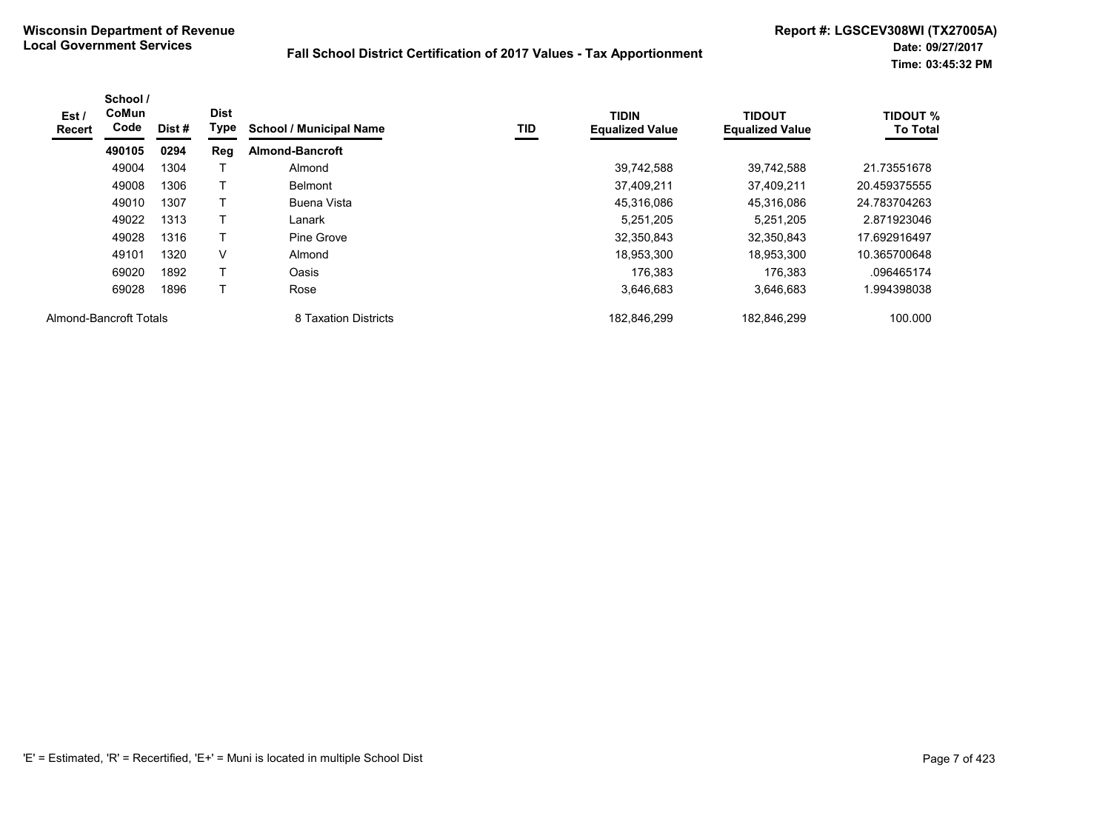| Est/<br><b>Recert</b>  | School /<br>CoMun<br>Code | Dist # | <b>Dist</b><br>Type | <b>School / Municipal Name</b> | TID | <b>TIDIN</b><br><b>Equalized Value</b> | <b>TIDOUT</b><br><b>Equalized Value</b> | <b>TIDOUT %</b><br><b>To Total</b> |
|------------------------|---------------------------|--------|---------------------|--------------------------------|-----|----------------------------------------|-----------------------------------------|------------------------------------|
|                        | 490105                    | 0294   | <b>Reg</b>          | <b>Almond-Bancroft</b>         |     |                                        |                                         |                                    |
|                        | 49004                     | 1304   |                     | Almond                         |     | 39,742,588                             | 39.742.588                              | 21.73551678                        |
|                        | 49008                     | 1306   |                     | <b>Belmont</b>                 |     | 37,409,211                             | 37,409,211                              | 20.459375555                       |
|                        | 49010                     | 1307   |                     | Buena Vista                    |     | 45,316,086                             | 45,316,086                              | 24.783704263                       |
|                        | 49022                     | 1313   |                     | Lanark                         |     | 5.251.205                              | 5,251,205                               | 2.871923046                        |
|                        | 49028                     | 1316   |                     | Pine Grove                     |     | 32,350,843                             | 32.350.843                              | 17.692916497                       |
|                        | 49101                     | 1320   | V                   | Almond                         |     | 18,953,300                             | 18,953,300                              | 10.365700648                       |
|                        | 69020                     | 1892   | т                   | Oasis                          |     | 176.383                                | 176.383                                 | .096465174                         |
|                        | 69028                     | 1896   |                     | Rose                           |     | 3,646,683                              | 3,646,683                               | .994398038                         |
| Almond-Bancroft Totals |                           |        |                     | 8 Taxation Districts           |     | 182,846,299                            | 182,846,299                             | 100.000                            |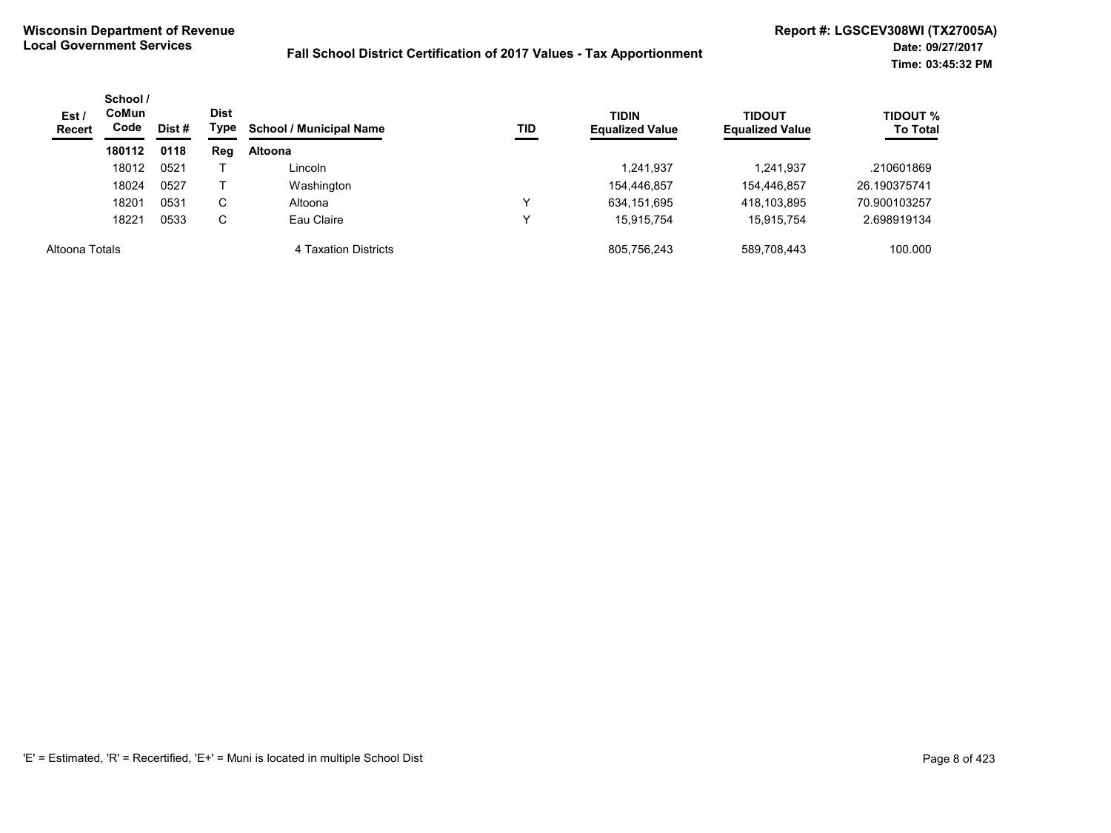| Est/<br><b>Recert</b> | School /<br><b>CoMun</b><br>Code | Dist # | <b>Dist</b><br>Type | <b>School / Municipal Name</b> | TID | <b>TIDIN</b><br><b>Equalized Value</b> | <b>TIDOUT</b><br><b>Equalized Value</b> | <b>TIDOUT %</b><br><b>To Total</b> |
|-----------------------|----------------------------------|--------|---------------------|--------------------------------|-----|----------------------------------------|-----------------------------------------|------------------------------------|
|                       | 180112                           | 0118   | Reg                 | <b>Altoona</b>                 |     |                                        |                                         |                                    |
|                       | 18012                            | 0521   |                     | Lincoln                        |     | 1,241,937                              | 1,241,937                               | .210601869                         |
|                       | 18024                            | 0527   |                     | Washington                     |     | 154,446,857                            | 154,446,857                             | 26.190375741                       |
|                       | 18201                            | 0531   | С                   | Altoona                        | v   | 634,151,695                            | 418,103,895                             | 70.900103257                       |
|                       | 18221                            | 0533   | С                   | Eau Claire                     | ν   | 15.915.754                             | 15.915.754                              | 2.698919134                        |
| Altoona Totals        |                                  |        |                     | 4 Taxation Districts           |     | 805,756,243                            | 589.708.443                             | 100.000                            |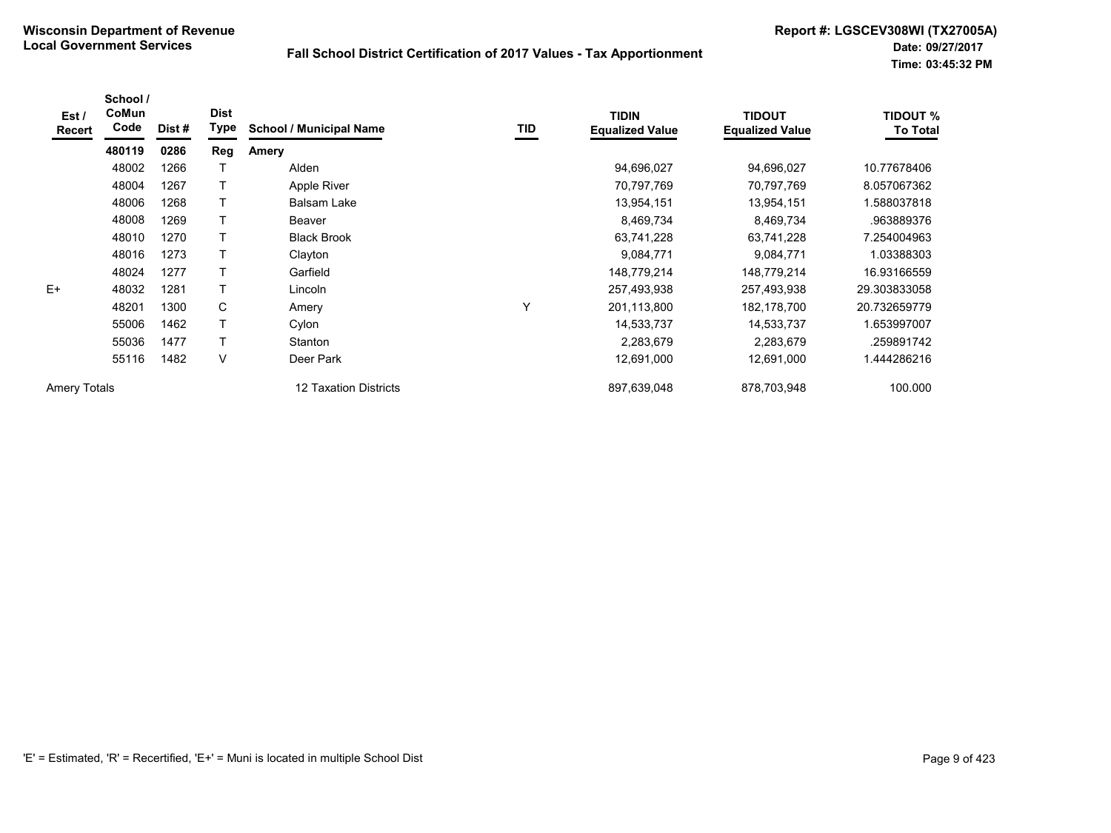| Est /<br>Recert     | School /<br>CoMun<br>Code | Dist # | <b>Dist</b><br>Type | <b>School / Municipal Name</b> | TID | <b>TIDIN</b><br><b>Equalized Value</b> | <b>TIDOUT</b><br><b>Equalized Value</b> | <b>TIDOUT %</b><br><b>To Total</b> |
|---------------------|---------------------------|--------|---------------------|--------------------------------|-----|----------------------------------------|-----------------------------------------|------------------------------------|
|                     | 480119                    | 0286   | Reg                 | Amery                          |     |                                        |                                         |                                    |
|                     | 48002                     | 1266   |                     | Alden                          |     | 94,696,027                             | 94,696,027                              | 10.77678406                        |
|                     | 48004                     | 1267   |                     | Apple River                    |     | 70,797,769                             | 70,797,769                              | 8.057067362                        |
|                     | 48006                     | 1268   |                     | <b>Balsam Lake</b>             |     | 13,954,151                             | 13,954,151                              | 1.588037818                        |
|                     | 48008                     | 1269   |                     | Beaver                         |     | 8,469,734                              | 8,469,734                               | .963889376                         |
|                     | 48010                     | 1270   |                     | <b>Black Brook</b>             |     | 63,741,228                             | 63,741,228                              | 7.254004963                        |
|                     | 48016                     | 1273   |                     | Clayton                        |     | 9,084,771                              | 9,084,771                               | 1.03388303                         |
|                     | 48024                     | 1277   |                     | Garfield                       |     | 148,779,214                            | 148,779,214                             | 16.93166559                        |
| $E+$                | 48032                     | 1281   |                     | Lincoln                        |     | 257,493,938                            | 257,493,938                             | 29.303833058                       |
|                     | 48201                     | 1300   | C                   | Amery                          | Υ   | 201,113,800                            | 182,178,700                             | 20.732659779                       |
|                     | 55006                     | 1462   |                     | Cylon                          |     | 14,533,737                             | 14,533,737                              | 1.653997007                        |
|                     | 55036                     | 1477   |                     | Stanton                        |     | 2,283,679                              | 2,283,679                               | .259891742                         |
|                     | 55116                     | 1482   | V                   | Deer Park                      |     | 12,691,000                             | 12,691,000                              | 1.444286216                        |
| <b>Amery Totals</b> |                           |        |                     | 12 Taxation Districts          |     | 897,639,048                            | 878,703,948                             | 100.000                            |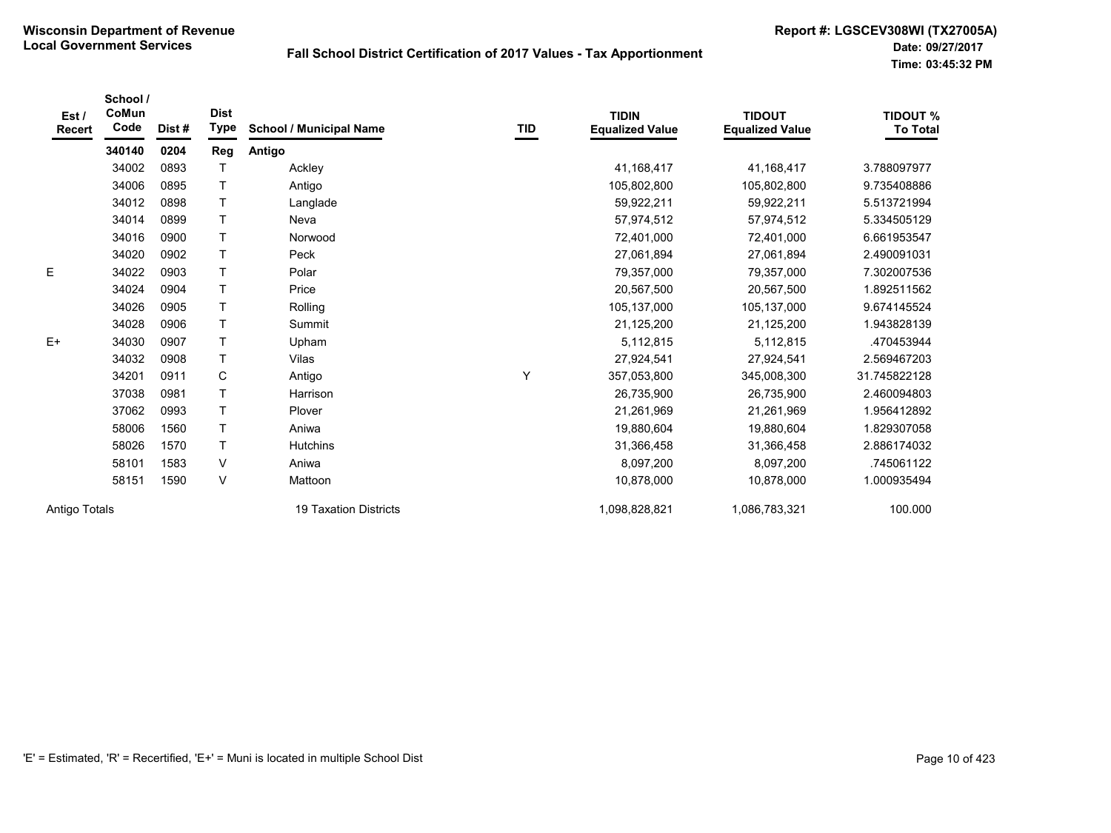| Est /<br><b>Recert</b> | School /<br>CoMun<br>Code | Dist# | <b>Dist</b><br><b>Type</b> | <b>School / Municipal Name</b> | TID | <b>TIDIN</b><br><b>Equalized Value</b> | <b>TIDOUT</b><br><b>Equalized Value</b> | <b>TIDOUT %</b><br><b>To Total</b> |
|------------------------|---------------------------|-------|----------------------------|--------------------------------|-----|----------------------------------------|-----------------------------------------|------------------------------------|
|                        | 340140                    | 0204  | Reg                        | Antigo                         |     |                                        |                                         |                                    |
|                        | 34002                     | 0893  |                            | Ackley                         |     | 41,168,417                             | 41,168,417                              | 3.788097977                        |
|                        | 34006                     | 0895  | $\top$                     | Antigo                         |     | 105,802,800                            | 105,802,800                             | 9.735408886                        |
|                        | 34012                     | 0898  | $\mathsf{T}$               | Langlade                       |     | 59,922,211                             | 59,922,211                              | 5.513721994                        |
|                        | 34014                     | 0899  | $\mathsf{T}$               | Neva                           |     | 57,974,512                             | 57,974,512                              | 5.334505129                        |
|                        | 34016                     | 0900  | $\top$                     | Norwood                        |     | 72,401,000                             | 72,401,000                              | 6.661953547                        |
|                        | 34020                     | 0902  | $\mathsf{T}$               | Peck                           |     | 27,061,894                             | 27,061,894                              | 2.490091031                        |
| E                      | 34022                     | 0903  | T                          | Polar                          |     | 79,357,000                             | 79,357,000                              | 7.302007536                        |
|                        | 34024                     | 0904  | $\mathsf{T}$               | Price                          |     | 20,567,500                             | 20,567,500                              | 1.892511562                        |
|                        | 34026                     | 0905  | $\top$                     | Rolling                        |     | 105,137,000                            | 105,137,000                             | 9.674145524                        |
|                        | 34028                     | 0906  | $\top$                     | Summit                         |     | 21,125,200                             | 21,125,200                              | 1.943828139                        |
| $E+$                   | 34030                     | 0907  | $\mathsf{T}$               | Upham                          |     | 5,112,815                              | 5,112,815                               | .470453944                         |
|                        | 34032                     | 0908  | $\mathsf{T}$               | Vilas                          |     | 27,924,541                             | 27,924,541                              | 2.569467203                        |
|                        | 34201                     | 0911  | $\mathbf C$                | Antigo                         | Υ   | 357,053,800                            | 345,008,300                             | 31.745822128                       |
|                        | 37038                     | 0981  | $\mathsf{T}$               | Harrison                       |     | 26,735,900                             | 26,735,900                              | 2.460094803                        |
|                        | 37062                     | 0993  | $\mathsf{T}$               | Plover                         |     | 21,261,969                             | 21,261,969                              | 1.956412892                        |
|                        | 58006                     | 1560  | $\mathsf{T}$               | Aniwa                          |     | 19,880,604                             | 19,880,604                              | 1.829307058                        |
|                        | 58026                     | 1570  | $\mathsf{T}$               | Hutchins                       |     | 31,366,458                             | 31,366,458                              | 2.886174032                        |
|                        | 58101                     | 1583  | $\vee$                     | Aniwa                          |     | 8,097,200                              | 8,097,200                               | .745061122                         |
|                        | 58151                     | 1590  | V                          | Mattoon                        |     | 10,878,000                             | 10,878,000                              | 1.000935494                        |
| Antigo Totals          |                           |       |                            | <b>19 Taxation Districts</b>   |     | 1,098,828,821                          | 1,086,783,321                           | 100.000                            |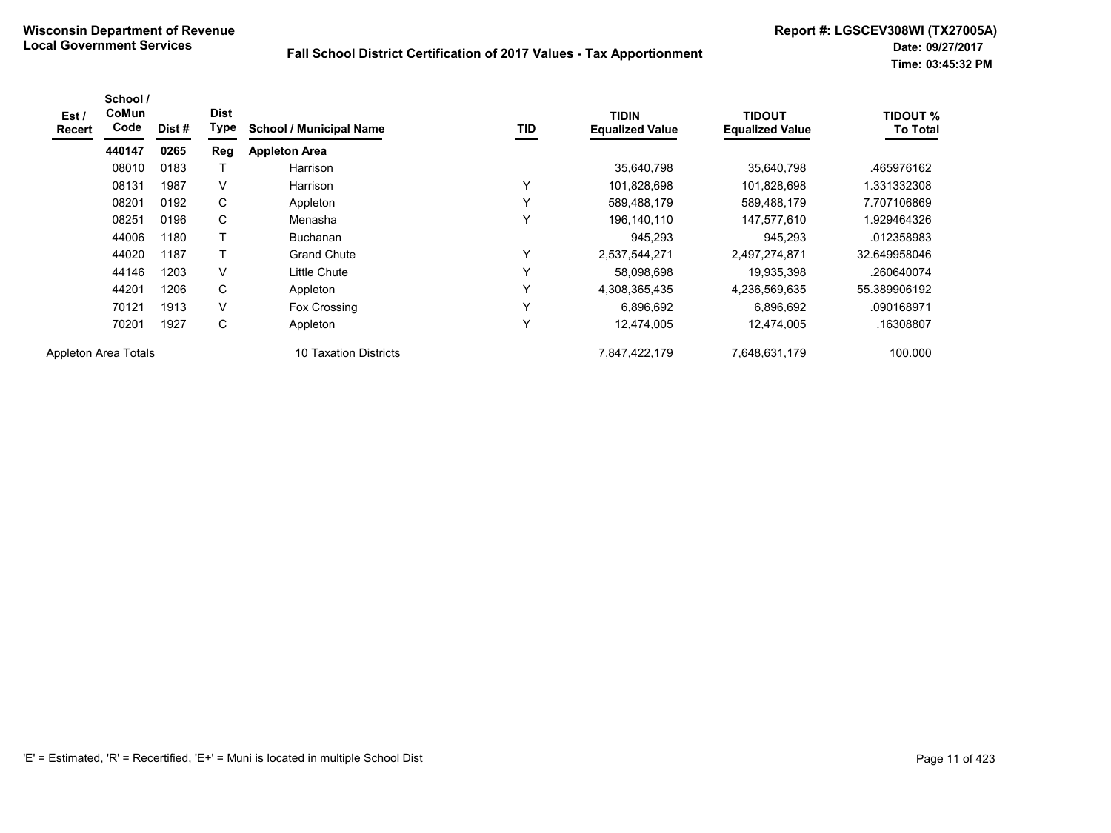| Est /<br>Recert | School /<br>CoMun<br>Code | Dist# | <b>Dist</b><br>Type | <b>School / Municipal Name</b> | <b>TID</b> | <b>TIDIN</b><br><b>Equalized Value</b> | <b>TIDOUT</b><br><b>Equalized Value</b> | <b>TIDOUT %</b><br><b>To Total</b> |
|-----------------|---------------------------|-------|---------------------|--------------------------------|------------|----------------------------------------|-----------------------------------------|------------------------------------|
|                 | 440147                    | 0265  | <b>Reg</b>          | <b>Appleton Area</b>           |            |                                        |                                         |                                    |
|                 | 08010                     | 0183  |                     | Harrison                       |            | 35,640,798                             | 35,640,798                              | .465976162                         |
|                 | 08131                     | 1987  | V                   | Harrison                       | Υ          | 101,828,698                            | 101,828,698                             | .331332308                         |
|                 | 08201                     | 0192  | С                   | Appleton                       | Υ          | 589,488,179                            | 589,488,179                             | 7.707106869                        |
|                 | 08251                     | 0196  | C                   | Menasha                        | Υ          | 196,140,110                            | 147,577,610                             | 1.929464326                        |
|                 | 44006                     | 1180  |                     | <b>Buchanan</b>                |            | 945,293                                | 945,293                                 | .012358983                         |
|                 | 44020                     | 1187  |                     | <b>Grand Chute</b>             | Y          | 2,537,544,271                          | 2,497,274,871                           | 32.649958046                       |
|                 | 44146                     | 1203  | V                   | Little Chute                   | Υ          | 58,098,698                             | 19,935,398                              | .260640074                         |
|                 | 44201                     | 1206  | C                   | Appleton                       | Υ          | 4,308,365,435                          | 4,236,569,635                           | 55.389906192                       |
|                 | 70121                     | 1913  | V                   | Fox Crossing                   | Υ          | 6,896,692                              | 6,896,692                               | .090168971                         |
|                 | 70201                     | 1927  | C                   | Appleton                       | Υ          | 12,474,005                             | 12,474,005                              | .16308807                          |
|                 | Appleton Area Totals      |       |                     | 10 Taxation Districts          |            | 7,847,422,179                          | 7,648,631,179                           | 100.000                            |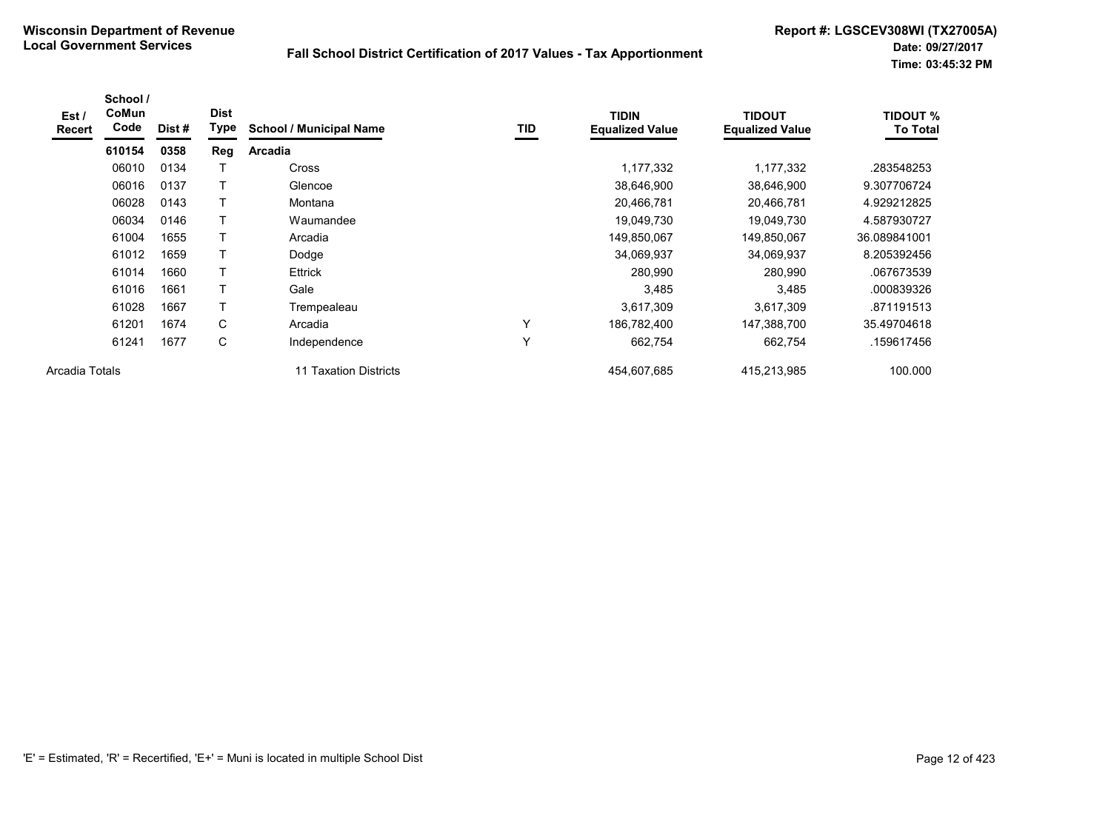| Est /<br>Recert | School /<br>CoMun<br>Code | Dist# | <b>Dist</b><br>Type | <b>School / Municipal Name</b> | TID          | <b>TIDIN</b><br><b>Equalized Value</b> | <b>TIDOUT</b><br><b>Equalized Value</b> | <b>TIDOUT %</b><br><b>To Total</b> |
|-----------------|---------------------------|-------|---------------------|--------------------------------|--------------|----------------------------------------|-----------------------------------------|------------------------------------|
|                 | 610154                    | 0358  | Reg                 | <b>Arcadia</b>                 |              |                                        |                                         |                                    |
|                 | 06010                     | 0134  |                     | <b>Cross</b>                   |              | 1,177,332                              | 1,177,332                               | .283548253                         |
|                 | 06016                     | 0137  | T                   | Glencoe                        |              | 38,646,900                             | 38,646,900                              | 9.307706724                        |
|                 | 06028                     | 0143  | T                   | Montana                        |              | 20,466,781                             | 20,466,781                              | 4.929212825                        |
|                 | 06034                     | 0146  | Τ                   | Waumandee                      |              | 19,049,730                             | 19,049,730                              | 4.587930727                        |
|                 | 61004                     | 1655  | т                   | Arcadia                        |              | 149,850,067                            | 149,850,067                             | 36.089841001                       |
|                 | 61012                     | 1659  | T                   | Dodge                          |              | 34,069,937                             | 34,069,937                              | 8.205392456                        |
|                 | 61014                     | 1660  | T                   | <b>Ettrick</b>                 |              | 280,990                                | 280,990                                 | .067673539                         |
|                 | 61016                     | 1661  | T                   | Gale                           |              | 3,485                                  | 3,485                                   | .000839326                         |
|                 | 61028                     | 1667  |                     | Trempealeau                    |              | 3,617,309                              | 3,617,309                               | .871191513                         |
|                 | 61201                     | 1674  | C                   | Arcadia                        | $\checkmark$ | 186,782,400                            | 147,388,700                             | 35.49704618                        |
|                 | 61241                     | 1677  | C                   | Independence                   | $\checkmark$ | 662,754                                | 662,754                                 | .159617456                         |
| Arcadia Totals  |                           |       |                     | 11 Taxation Districts          |              | 454,607,685                            | 415,213,985                             | 100.000                            |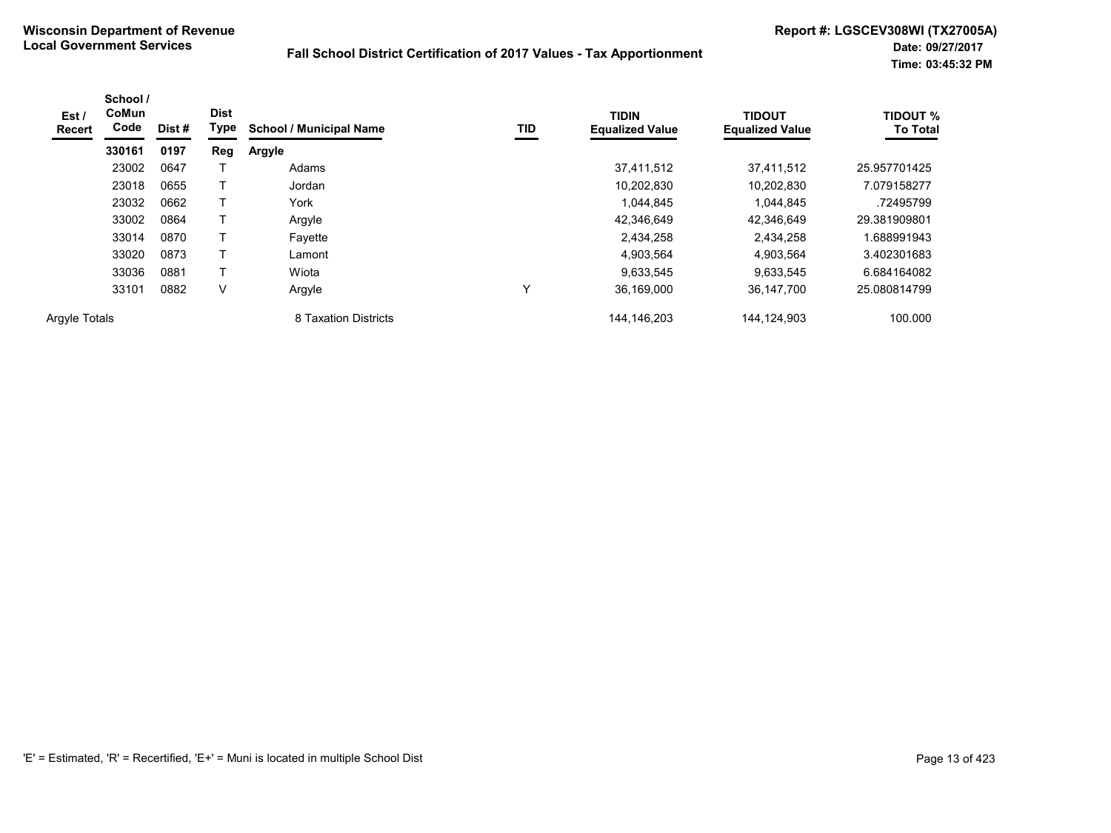| Est /<br>Recert      | School /<br><b>CoMun</b><br>Code | Dist # | <b>Dist</b><br>Type | <b>School / Municipal Name</b> | TID | <b>TIDIN</b><br><b>Equalized Value</b> | <b>TIDOUT</b><br><b>Equalized Value</b> | <b>TIDOUT %</b><br><b>To Total</b> |
|----------------------|----------------------------------|--------|---------------------|--------------------------------|-----|----------------------------------------|-----------------------------------------|------------------------------------|
|                      | 330161                           | 0197   | Reg                 | Argyle                         |     |                                        |                                         |                                    |
|                      | 23002                            | 0647   |                     | Adams                          |     | 37.411.512                             | 37,411,512                              | 25.957701425                       |
|                      | 23018                            | 0655   |                     | Jordan                         |     | 10,202,830                             | 10,202,830                              | 7.079158277                        |
|                      | 23032                            | 0662   | T                   | York                           |     | 1.044.845                              | 1.044.845                               | .72495799                          |
|                      | 33002                            | 0864   |                     | Argyle                         |     | 42,346,649                             | 42,346,649                              | 29.381909801                       |
|                      | 33014                            | 0870   |                     | Favette                        |     | 2,434,258                              | 2,434,258                               | 1.688991943                        |
|                      | 33020                            | 0873   | Т                   | Lamont                         |     | 4,903,564                              | 4,903,564                               | 3.402301683                        |
|                      | 33036                            | 0881   |                     | Wiota                          |     | 9.633.545                              | 9,633,545                               | 6.684164082                        |
|                      | 33101                            | 0882   | V                   | Argyle                         |     | 36,169,000                             | 36,147,700                              | 25.080814799                       |
| <b>Argyle Totals</b> |                                  |        |                     | 8 Taxation Districts           |     | 144, 146, 203                          | 144,124,903                             | 100.000                            |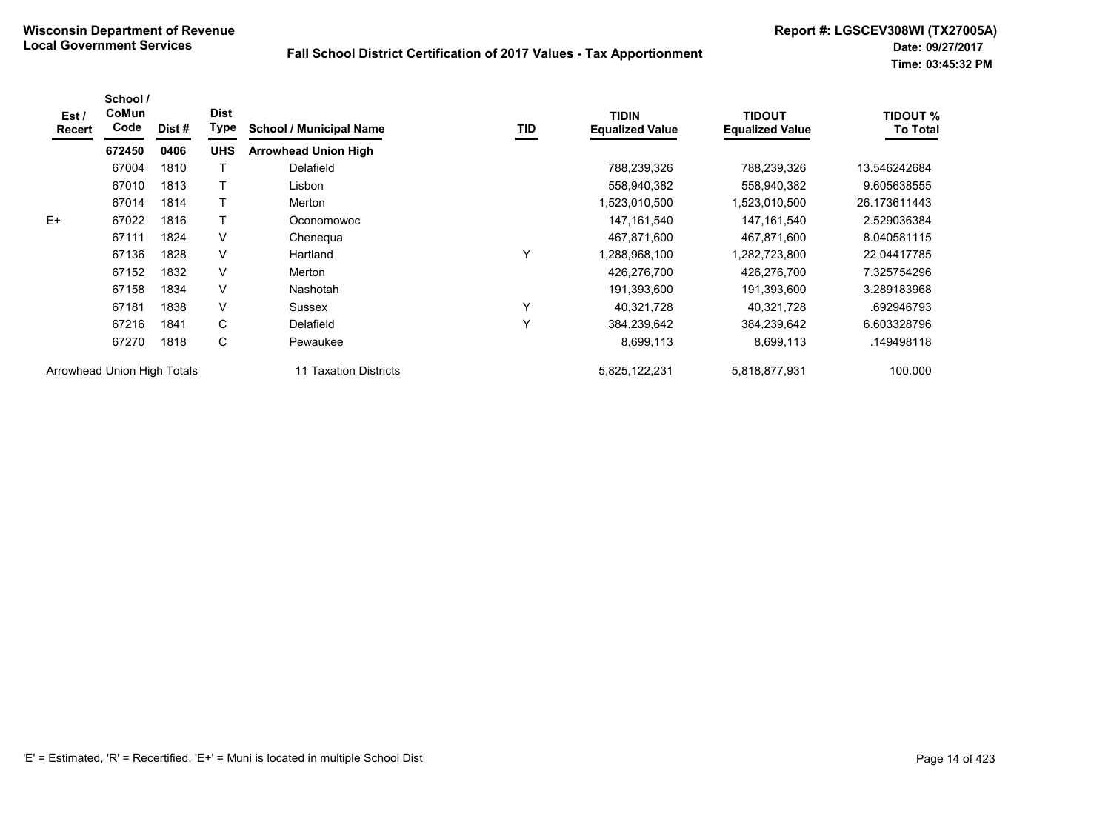| Est /<br><b>Recert</b>      | School /<br>CoMun<br>Code | Dist # | <b>Dist</b><br>Type | <b>School / Municipal Name</b> | TID | <b>TIDIN</b><br><b>Equalized Value</b> | <b>TIDOUT</b><br><b>Equalized Value</b> | <b>TIDOUT %</b><br><b>To Total</b> |
|-----------------------------|---------------------------|--------|---------------------|--------------------------------|-----|----------------------------------------|-----------------------------------------|------------------------------------|
|                             | 672450                    | 0406   | <b>UHS</b>          | <b>Arrowhead Union High</b>    |     |                                        |                                         |                                    |
|                             | 67004                     | 1810   |                     | Delafield                      |     | 788,239,326                            | 788,239,326                             | 13.546242684                       |
|                             | 67010                     | 1813   |                     | Lisbon                         |     | 558,940,382                            | 558,940,382                             | 9.605638555                        |
|                             | 67014                     | 1814   |                     | Merton                         |     | 1,523,010,500                          | .523,010,500                            | 26.173611443                       |
| $E+$                        | 67022                     | 1816   |                     | Oconomowoc                     |     | 147, 161, 540                          | 147, 161, 540                           | 2.529036384                        |
|                             | 67111                     | 1824   | V                   | Chenegua                       |     | 467,871,600                            | 467,871,600                             | 8.040581115                        |
|                             | 67136                     | 1828   | V                   | Hartland                       | Υ   | 1,288,968,100                          | .282,723,800                            | 22.04417785                        |
|                             | 67152                     | 1832   | $\vee$              | Merton                         |     | 426,276,700                            | 426,276,700                             | 7.325754296                        |
|                             | 67158                     | 1834   | V                   | <b>Nashotah</b>                |     | 191,393,600                            | 191,393,600                             | 3.289183968                        |
|                             | 67181                     | 1838   | $\vee$              | Sussex                         | Υ   | 40,321,728                             | 40,321,728                              | .692946793                         |
|                             | 67216                     | 1841   | C                   | Delafield                      | Υ   | 384,239,642                            | 384,239,642                             | 6.603328796                        |
|                             | 67270                     | 1818   | C                   | Pewaukee                       |     | 8,699,113                              | 8,699,113                               | .149498118                         |
| Arrowhead Union High Totals |                           |        |                     | 11 Taxation Districts          |     | 5,825,122,231                          | 5,818,877,931                           | 100.000                            |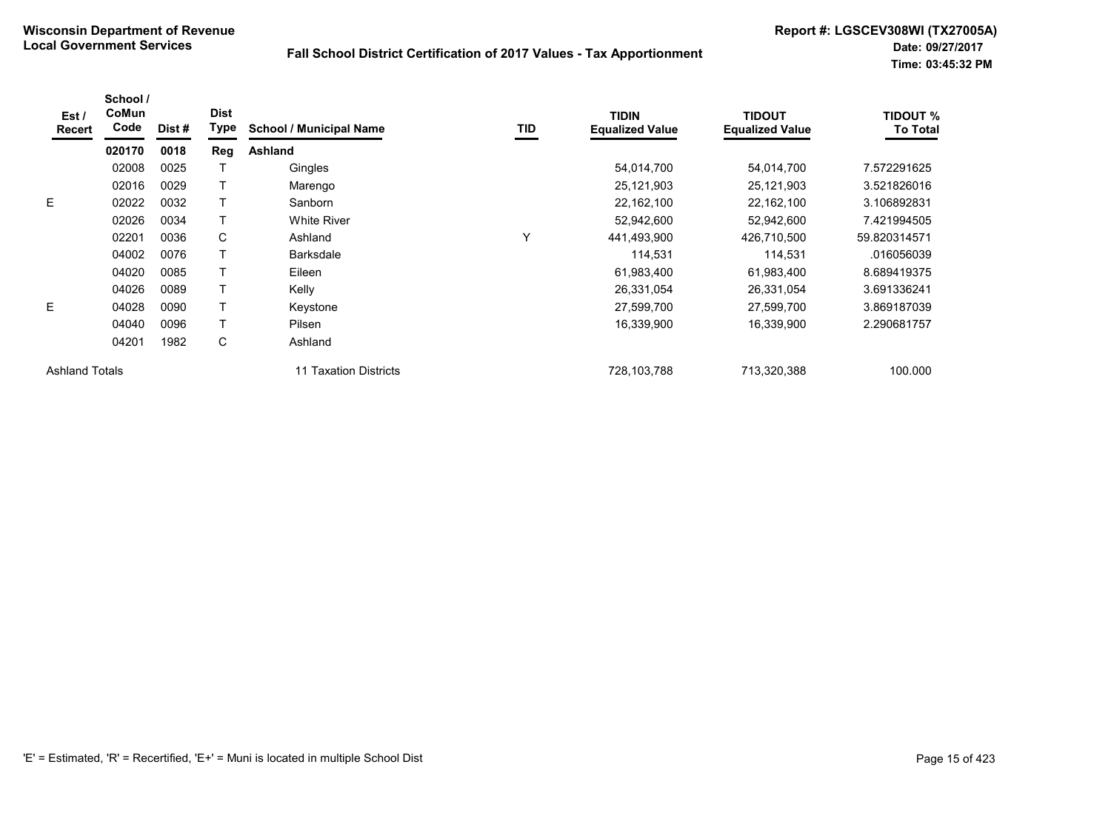| Est /<br><b>Recert</b> | School /<br>CoMun<br>Code | Dist# | <b>Dist</b><br>Type | <b>School / Municipal Name</b> | TID | <b>TIDIN</b><br><b>Equalized Value</b> | <b>TIDOUT</b><br><b>Equalized Value</b> | <b>TIDOUT %</b><br><b>To Total</b> |
|------------------------|---------------------------|-------|---------------------|--------------------------------|-----|----------------------------------------|-----------------------------------------|------------------------------------|
|                        | 020170                    | 0018  | Reg                 | Ashland                        |     |                                        |                                         |                                    |
|                        | 02008                     | 0025  |                     | Gingles                        |     | 54,014,700                             | 54,014,700                              | 7.572291625                        |
|                        | 02016                     | 0029  |                     | Marengo                        |     | 25,121,903                             | 25,121,903                              | 3.521826016                        |
| E                      | 02022                     | 0032  |                     | Sanborn                        |     | 22,162,100                             | 22,162,100                              | 3.106892831                        |
|                        | 02026                     | 0034  |                     | <b>White River</b>             |     | 52,942,600                             | 52,942,600                              | 7.421994505                        |
|                        | 02201                     | 0036  | C                   | Ashland                        | Υ   | 441,493,900                            | 426,710,500                             | 59.820314571                       |
|                        | 04002                     | 0076  |                     | <b>Barksdale</b>               |     | 114,531                                | 114,531                                 | .016056039                         |
|                        | 04020                     | 0085  |                     | Eileen                         |     | 61,983,400                             | 61,983,400                              | 8.689419375                        |
|                        | 04026                     | 0089  |                     | Kelly                          |     | 26,331,054                             | 26,331,054                              | 3.691336241                        |
| E                      | 04028                     | 0090  |                     | Keystone                       |     | 27,599,700                             | 27,599,700                              | 3.869187039                        |
|                        | 04040                     | 0096  |                     | Pilsen                         |     | 16,339,900                             | 16,339,900                              | 2.290681757                        |
|                        | 04201                     | 1982  | С                   | Ashland                        |     |                                        |                                         |                                    |
| <b>Ashland Totals</b>  |                           |       |                     | 11 Taxation Districts          |     | 728.103.788                            | 713.320.388                             | 100.000                            |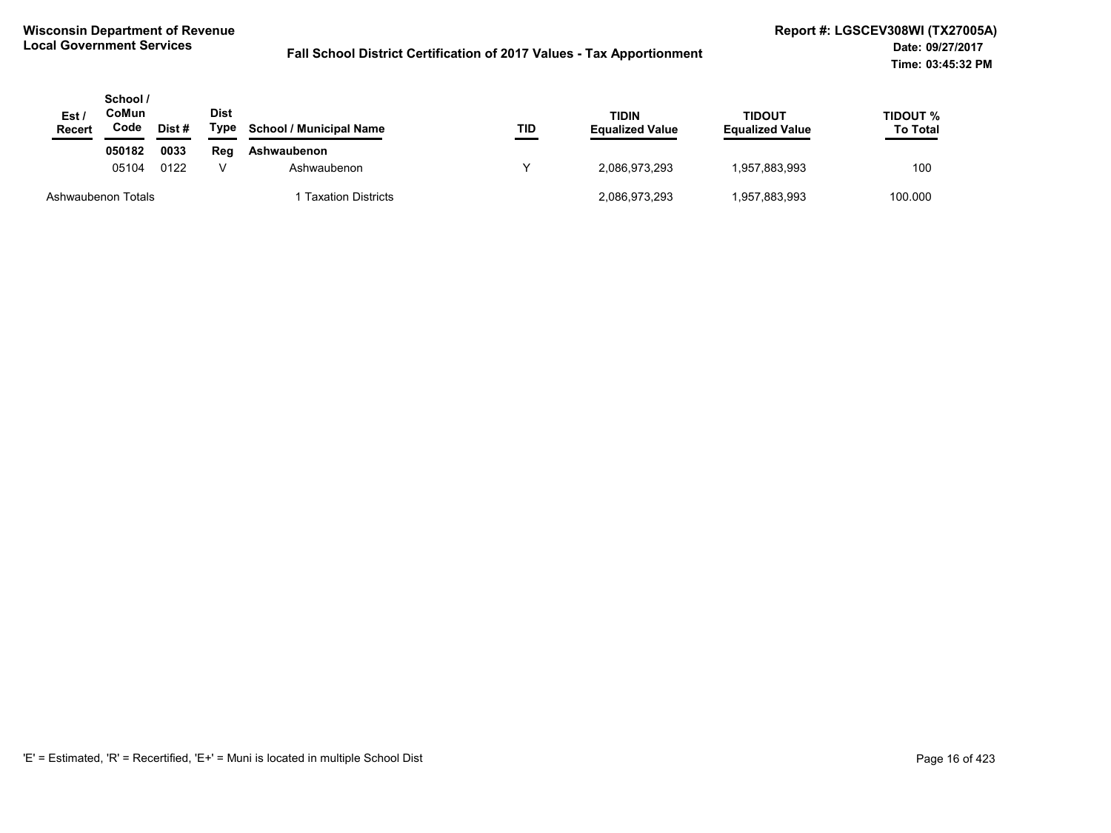| Est /<br><b>Recert</b> | School /<br>CoMun<br>Code | Dist # | <b>Dist</b><br>Type | <b>School / Municipal Name</b> | TID | <b>TIDIN</b><br><b>Equalized Value</b> | <b>TIDOUT</b><br><b>Equalized Value</b> | TIDOUT %<br><b>To Total</b> |
|------------------------|---------------------------|--------|---------------------|--------------------------------|-----|----------------------------------------|-----------------------------------------|-----------------------------|
|                        | 050182                    | 0033   | Reg                 | Ashwaubenon                    |     |                                        |                                         |                             |
|                        | 05104                     | 0122   |                     | Ashwaubenon                    |     | 2,086,973,293                          | 1,957,883,993                           | 100                         |
| Ashwaubenon Totals     |                           |        |                     | Taxation Districts             |     | 2,086,973,293                          | 1,957,883,993                           | 100.000                     |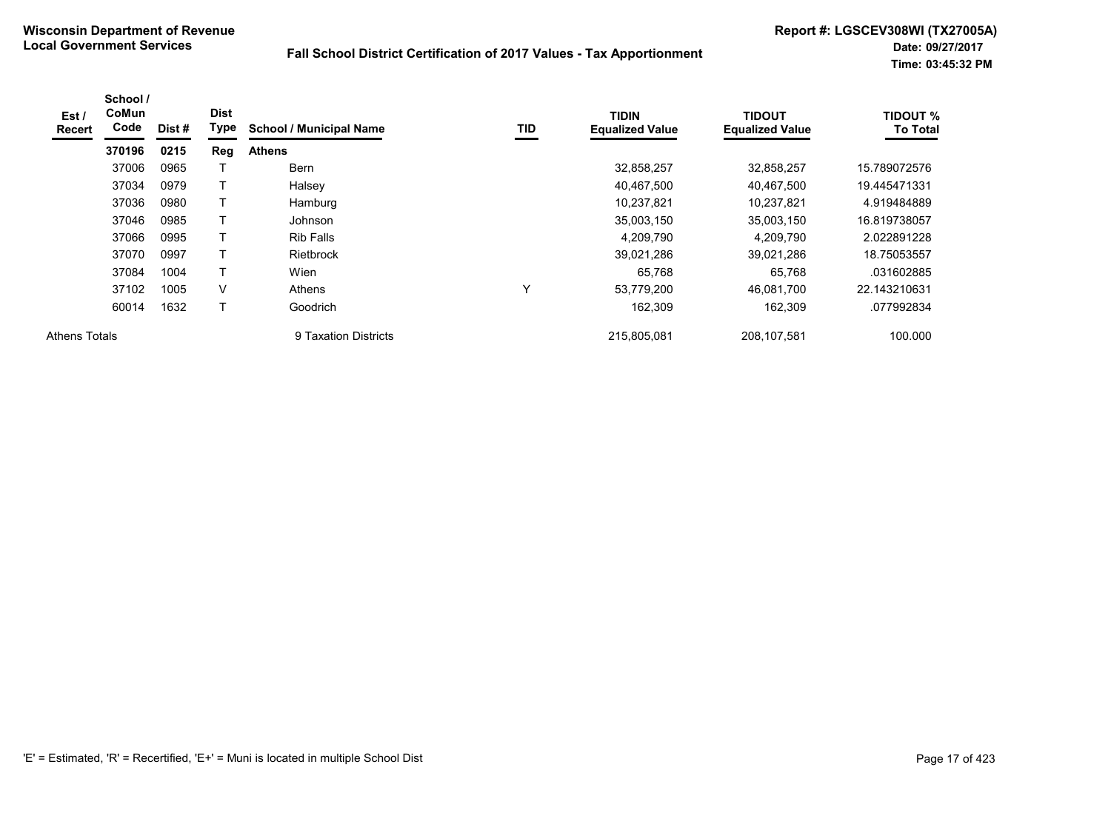| Est /<br>Recert      | School /<br><b>CoMun</b><br>Code | Dist# | <b>Dist</b><br>Type | <b>School / Municipal Name</b> | TID          | <b>TIDIN</b><br><b>Equalized Value</b> | <b>TIDOUT</b><br><b>Equalized Value</b> | <b>TIDOUT %</b><br><b>To Total</b> |
|----------------------|----------------------------------|-------|---------------------|--------------------------------|--------------|----------------------------------------|-----------------------------------------|------------------------------------|
|                      | 370196                           | 0215  | Reg                 | <b>Athens</b>                  |              |                                        |                                         |                                    |
|                      | 37006                            | 0965  |                     | <b>Bern</b>                    |              | 32,858,257                             | 32,858,257                              | 15.789072576                       |
|                      | 37034                            | 0979  | T                   | Halsey                         |              | 40,467,500                             | 40,467,500                              | 19.445471331                       |
|                      | 37036                            | 0980  |                     | Hamburg                        |              | 10,237,821                             | 10,237,821                              | 4.919484889                        |
|                      | 37046                            | 0985  |                     | Johnson                        |              | 35,003,150                             | 35,003,150                              | 16.819738057                       |
|                      | 37066                            | 0995  |                     | <b>Rib Falls</b>               |              | 4.209.790                              | 4,209,790                               | 2.022891228                        |
|                      | 37070                            | 0997  |                     | <b>Rietbrock</b>               |              | 39,021,286                             | 39,021,286                              | 18.75053557                        |
|                      | 37084                            | 1004  | T                   | Wien                           |              | 65,768                                 | 65,768                                  | .031602885                         |
|                      | 37102                            | 1005  | V                   | Athens                         | $\checkmark$ | 53,779,200                             | 46,081,700                              | 22.143210631                       |
|                      | 60014                            | 1632  | T                   | Goodrich                       |              | 162.309                                | 162,309                                 | .077992834                         |
| <b>Athens Totals</b> |                                  |       |                     | 9 Taxation Districts           |              | 215,805,081                            | 208,107,581                             | 100.000                            |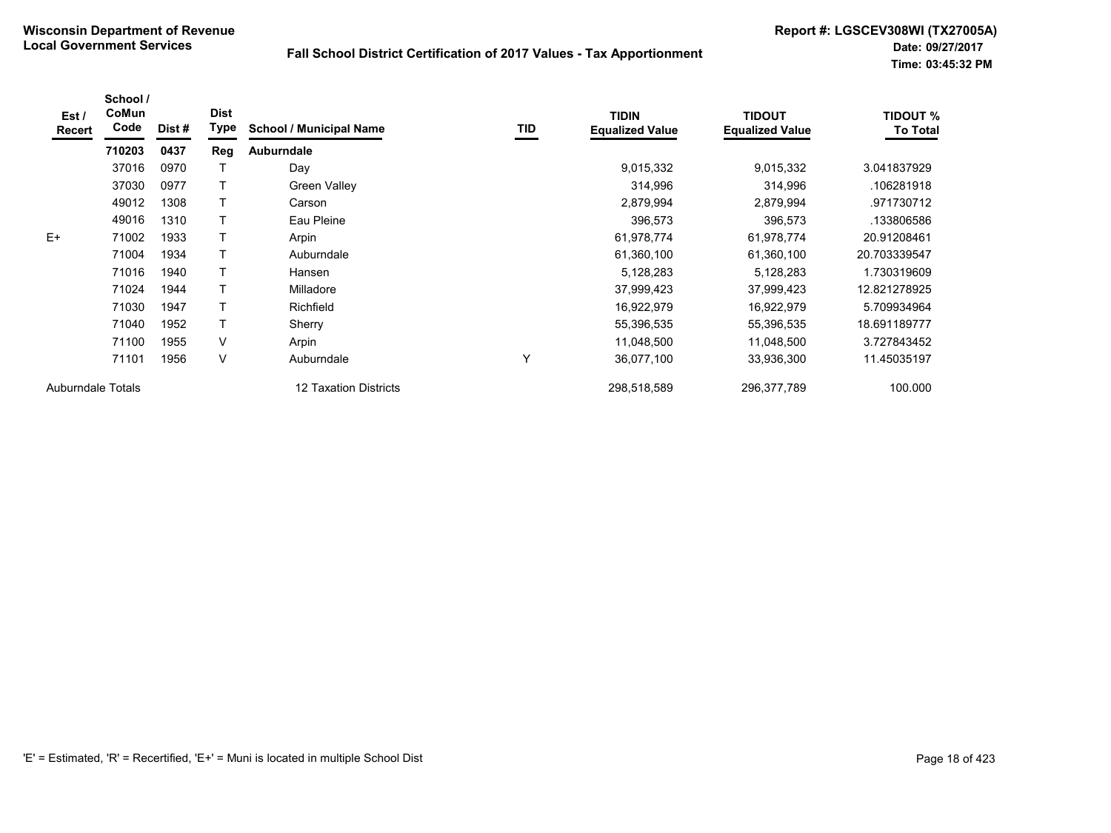| Est /<br>Recert          | School /<br>CoMun<br>Code | Dist# | <b>Dist</b><br><b>Type</b> | <b>School / Municipal Name</b> | <b>TID</b> | <b>TIDIN</b><br><b>Equalized Value</b> | <b>TIDOUT</b><br><b>Equalized Value</b> | <b>TIDOUT %</b><br><b>To Total</b> |
|--------------------------|---------------------------|-------|----------------------------|--------------------------------|------------|----------------------------------------|-----------------------------------------|------------------------------------|
|                          | 710203                    | 0437  | Reg                        | <b>Auburndale</b>              |            |                                        |                                         |                                    |
|                          | 37016                     | 0970  |                            | Day                            |            | 9,015,332                              | 9,015,332                               | 3.041837929                        |
|                          | 37030                     | 0977  |                            | <b>Green Valley</b>            |            | 314,996                                | 314,996                                 | .106281918                         |
|                          | 49012                     | 1308  |                            | Carson                         |            | 2,879,994                              | 2,879,994                               | .971730712                         |
|                          | 49016                     | 1310  |                            | Eau Pleine                     |            | 396,573                                | 396,573                                 | .133806586                         |
| $E+$                     | 71002                     | 1933  |                            | Arpin                          |            | 61,978,774                             | 61,978,774                              | 20.91208461                        |
|                          | 71004                     | 1934  |                            | Auburndale                     |            | 61,360,100                             | 61,360,100                              | 20.703339547                       |
|                          | 71016                     | 1940  |                            | Hansen                         |            | 5,128,283                              | 5,128,283                               | 1.730319609                        |
|                          | 71024                     | 1944  |                            | Milladore                      |            | 37,999,423                             | 37,999,423                              | 12.821278925                       |
|                          | 71030                     | 1947  |                            | Richfield                      |            | 16,922,979                             | 16,922,979                              | 5.709934964                        |
|                          | 71040                     | 1952  |                            | Sherry                         |            | 55,396,535                             | 55,396,535                              | 18.691189777                       |
|                          | 71100                     | 1955  | V                          | Arpin                          |            | 11,048,500                             | 11,048,500                              | 3.727843452                        |
|                          | 71101                     | 1956  | V                          | Auburndale                     | Υ          | 36,077,100                             | 33,936,300                              | 11.45035197                        |
| <b>Auburndale Totals</b> |                           |       |                            | <b>12 Taxation Districts</b>   |            | 298,518,589                            | 296,377,789                             | 100.000                            |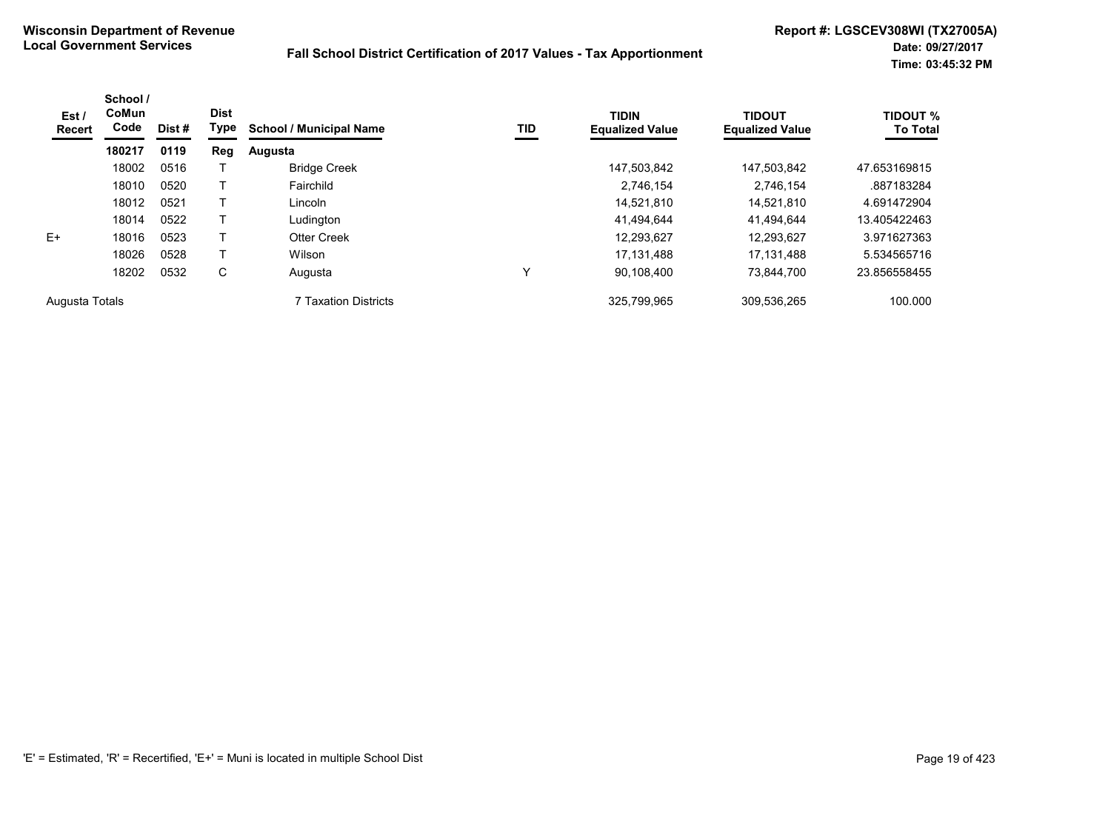| Est /<br>Recert | School /<br><b>CoMun</b><br>Code | Dist # | <b>Dist</b><br>Type | <b>School / Municipal Name</b> | TID | <b>TIDIN</b><br><b>Equalized Value</b> | <b>TIDOUT</b><br><b>Equalized Value</b> | <b>TIDOUT %</b><br><b>To Total</b> |
|-----------------|----------------------------------|--------|---------------------|--------------------------------|-----|----------------------------------------|-----------------------------------------|------------------------------------|
|                 | 180217                           | 0119   | Reg                 | Augusta                        |     |                                        |                                         |                                    |
|                 | 18002                            | 0516   |                     | <b>Bridge Creek</b>            |     | 147.503.842                            | 147,503,842                             | 47.653169815                       |
|                 | 18010                            | 0520   |                     | Fairchild                      |     | 2,746,154                              | 2,746,154                               | .887183284                         |
|                 | 18012                            | 0521   |                     | Lincoln                        |     | 14,521,810                             | 14.521.810                              | 4.691472904                        |
|                 | 18014                            | 0522   |                     | Ludington                      |     | 41,494,644                             | 41,494,644                              | 13.405422463                       |
| $E+$            | 18016                            | 0523   |                     | <b>Otter Creek</b>             |     | 12,293,627                             | 12.293.627                              | 3.971627363                        |
|                 | 18026                            | 0528   |                     | Wilson                         |     | 17.131.488                             | 17.131.488                              | 5.534565716                        |
|                 | 18202                            | 0532   | С                   | Augusta                        | Υ   | 90,108,400                             | 73.844.700                              | 23.856558455                       |
| Augusta Totals  |                                  |        |                     | 7 Taxation Districts           |     | 325,799,965                            | 309.536.265                             | 100.000                            |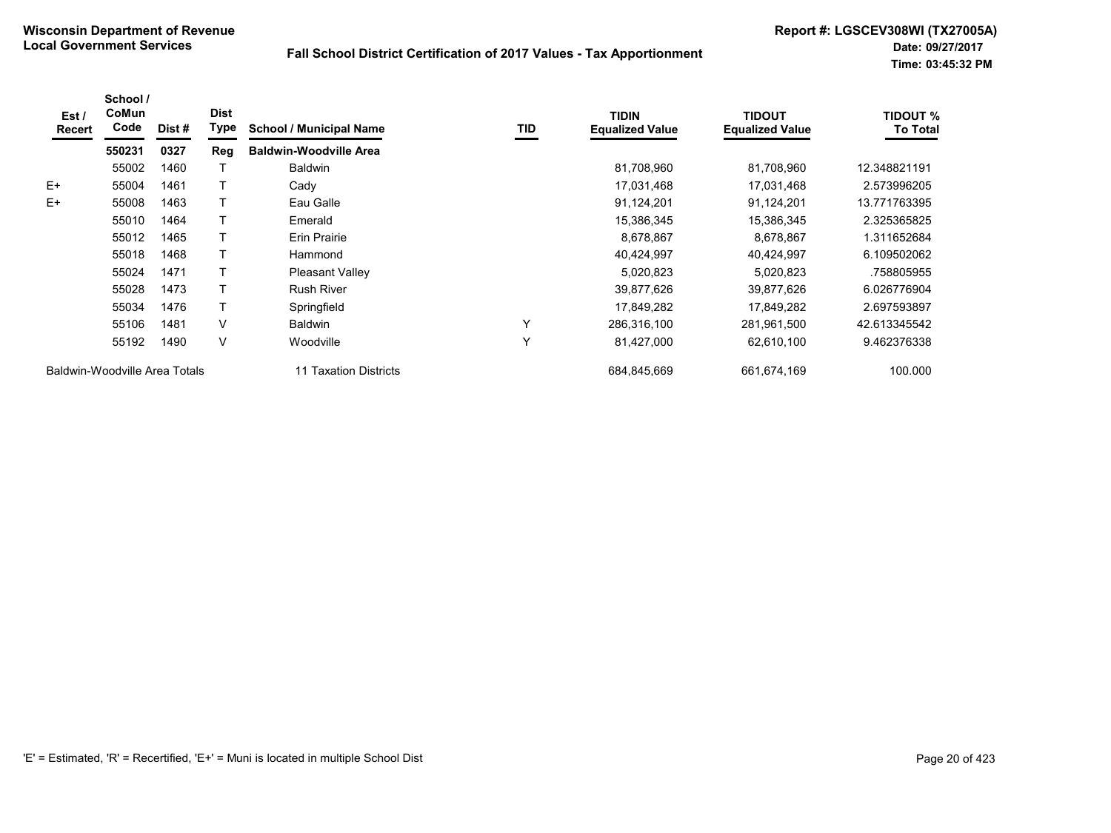| Est /<br><b>Recert</b>        | School /<br>CoMun<br>Code | Dist#                 | <b>Dist</b><br>Type | <b>School / Municipal Name</b> | TID         | <b>TIDIN</b><br><b>Equalized Value</b> | <b>TIDOUT</b><br><b>Equalized Value</b> | <b>TIDOUT %</b><br><b>To Total</b> |
|-------------------------------|---------------------------|-----------------------|---------------------|--------------------------------|-------------|----------------------------------------|-----------------------------------------|------------------------------------|
|                               | 550231                    | 0327                  | Reg                 | <b>Baldwin-Woodville Area</b>  |             |                                        |                                         |                                    |
|                               | 55002                     | 1460                  |                     | <b>Baldwin</b>                 |             | 81,708,960                             | 81,708,960                              | 12.348821191                       |
| E+                            | 55004                     | 1461                  |                     | Cady                           |             | 17,031,468                             | 17,031,468                              | 2.573996205                        |
| $E+$                          | 55008                     | 1463                  |                     | Eau Galle                      |             | 91,124,201                             | 91,124,201                              | 13.771763395                       |
|                               | 55010                     | 1464                  |                     | Emerald                        |             | 15,386,345                             | 15,386,345                              | 2.325365825                        |
|                               | 55012                     | 1465                  |                     | Erin Prairie                   |             | 8,678,867                              | 8,678,867                               | 1.311652684                        |
|                               | 55018                     | 1468                  | т                   | Hammond                        |             | 40,424,997                             | 40,424,997                              | 6.109502062                        |
|                               | 55024                     | 1471                  |                     | Pleasant Valley                |             | 5,020,823                              | 5,020,823                               | .758805955                         |
|                               | 55028                     | 1473                  |                     | <b>Rush River</b>              |             | 39,877,626                             | 39,877,626                              | 6.026776904                        |
|                               | 55034                     | 1476                  |                     | Springfield                    |             | 17,849,282                             | 17,849,282                              | 2.697593897                        |
|                               | 55106                     | 1481                  | $\vee$              | <b>Baldwin</b>                 | Υ           | 286,316,100                            | 281,961,500                             | 42.613345542                       |
|                               | 55192                     | 1490                  | V                   | Woodville                      | Y           | 81,427,000                             | 62,610,100                              | 9.462376338                        |
| Baldwin-Woodville Area Totals |                           | 11 Taxation Districts |                     | 684,845,669                    | 661,674,169 | 100.000                                |                                         |                                    |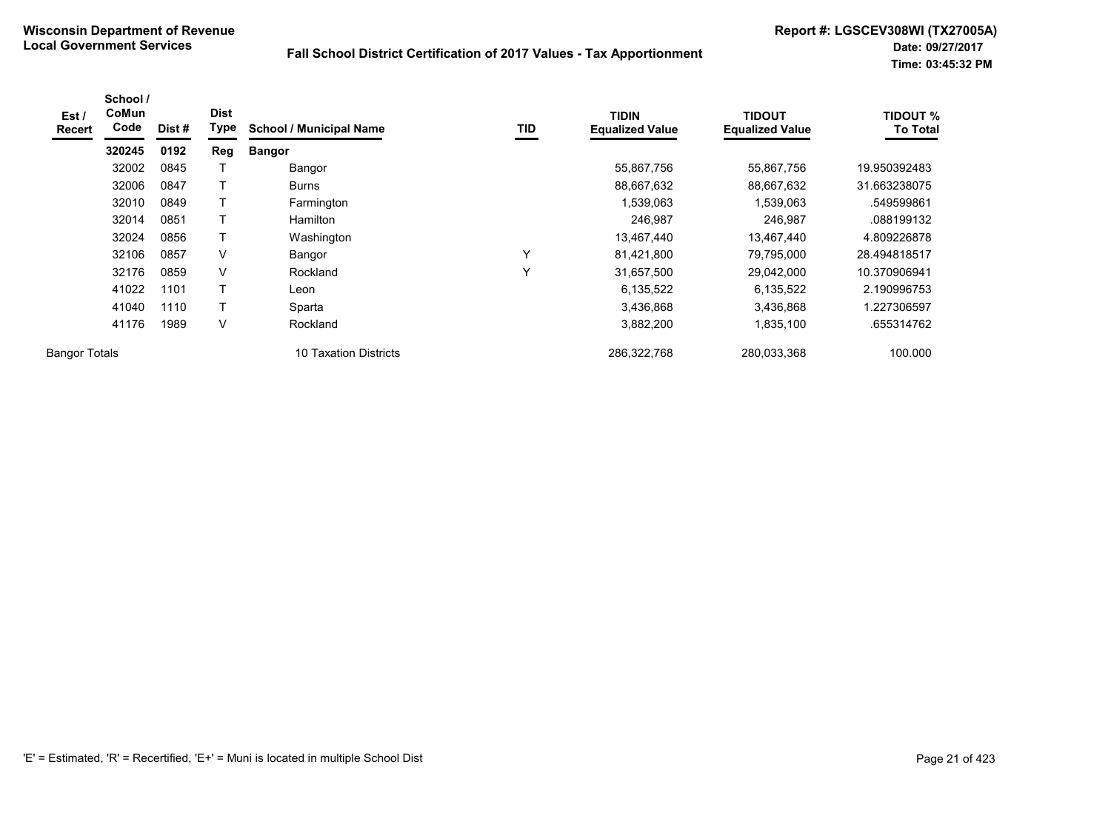| Est /<br><b>Recert</b> | School /<br>CoMun<br>Code | Dist # | <b>Dist</b><br>Type | <b>School / Municipal Name</b> | TID | <b>TIDIN</b><br><b>Equalized Value</b> | <b>TIDOUT</b><br><b>Equalized Value</b> | <b>TIDOUT %</b><br><b>To Total</b> |
|------------------------|---------------------------|--------|---------------------|--------------------------------|-----|----------------------------------------|-----------------------------------------|------------------------------------|
|                        | 320245                    | 0192   | Reg                 | <b>Bangor</b>                  |     |                                        |                                         |                                    |
|                        | 32002                     | 0845   |                     | Bangor                         |     | 55,867,756                             | 55,867,756                              | 19.950392483                       |
|                        | 32006                     | 0847   |                     | <b>Burns</b>                   |     | 88,667,632                             | 88,667,632                              | 31.663238075                       |
|                        | 32010                     | 0849   |                     | Farmington                     |     | 1,539,063                              | 1,539,063                               | .549599861                         |
|                        | 32014                     | 0851   |                     | <b>Hamilton</b>                |     | 246,987                                | 246,987                                 | .088199132                         |
|                        | 32024                     | 0856   |                     | Washington                     |     | 13,467,440                             | 13,467,440                              | 4.809226878                        |
|                        | 32106                     | 0857   | V                   | Bangor                         | Υ   | 81,421,800                             | 79,795,000                              | 28.494818517                       |
|                        | 32176                     | 0859   | V                   | Rockland                       | Υ   | 31,657,500                             | 29,042,000                              | 10.370906941                       |
|                        | 41022                     | 1101   | т                   | Leon                           |     | 6,135,522                              | 6,135,522                               | 2.190996753                        |
|                        | 41040                     | 1110   | т                   | Sparta                         |     | 3,436,868                              | 3,436,868                               | .227306597                         |
|                        | 41176                     | 1989   | V                   | Rockland                       |     | 3,882,200                              | 1,835,100                               | .655314762                         |
| <b>Bangor Totals</b>   |                           |        |                     | 10 Taxation Districts          |     | 286,322,768                            | 280,033,368                             | 100.000                            |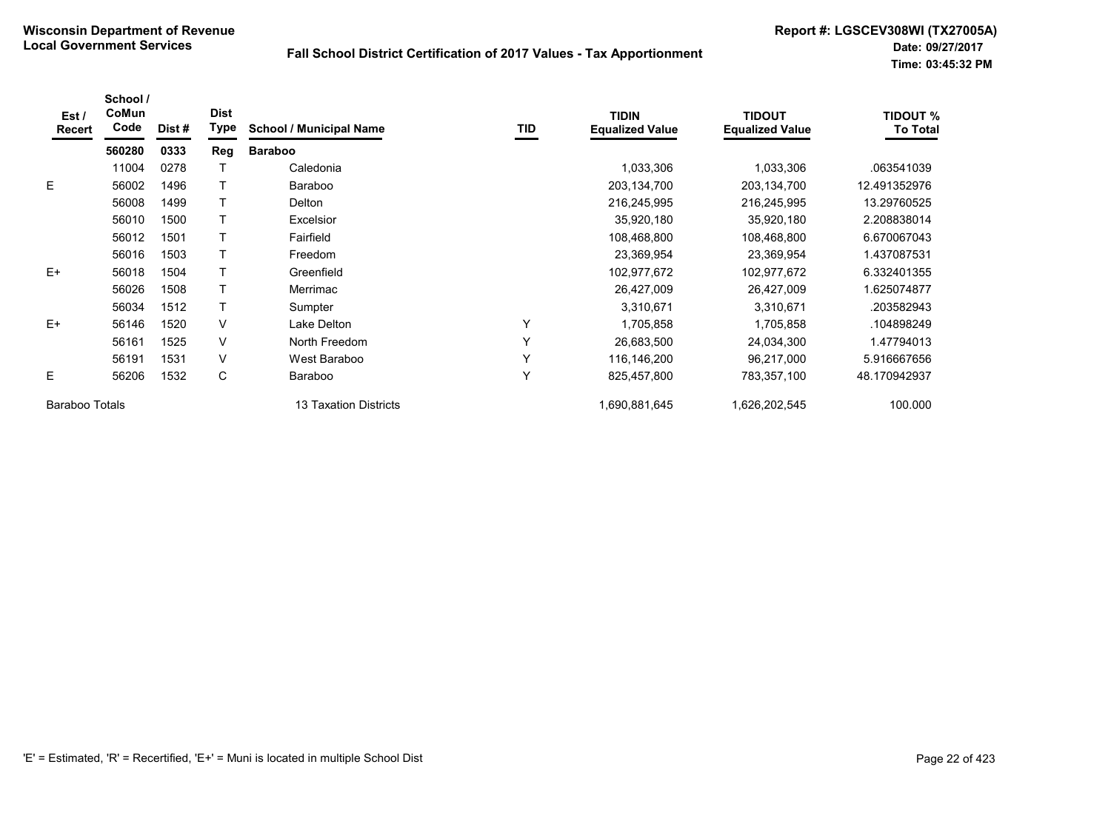| Est/<br>Recert        | School /<br>CoMun<br>Code | Dist # | <b>Dist</b><br><b>Type</b> | <b>School / Municipal Name</b> | TID | <b>TIDIN</b><br><b>Equalized Value</b> | <b>TIDOUT</b><br><b>Equalized Value</b> | <b>TIDOUT %</b><br><b>To Total</b> |
|-----------------------|---------------------------|--------|----------------------------|--------------------------------|-----|----------------------------------------|-----------------------------------------|------------------------------------|
|                       | 560280                    | 0333   | Reg                        | <b>Baraboo</b>                 |     |                                        |                                         |                                    |
|                       | 11004                     | 0278   |                            | Caledonia                      |     | 1,033,306                              | 1,033,306                               | .063541039                         |
| E.                    | 56002                     | 1496   |                            | <b>Baraboo</b>                 |     | 203,134,700                            | 203,134,700                             | 12.491352976                       |
|                       | 56008                     | 1499   |                            | Delton                         |     | 216,245,995                            | 216,245,995                             | 13.29760525                        |
|                       | 56010                     | 1500   |                            | Excelsior                      |     | 35,920,180                             | 35,920,180                              | 2.208838014                        |
|                       | 56012                     | 1501   |                            | Fairfield                      |     | 108,468,800                            | 108,468,800                             | 6.670067043                        |
|                       | 56016                     | 1503   |                            | Freedom                        |     | 23,369,954                             | 23,369,954                              | 1.437087531                        |
| $E+$                  | 56018                     | 1504   |                            | Greenfield                     |     | 102,977,672                            | 102,977,672                             | 6.332401355                        |
|                       | 56026                     | 1508   |                            | Merrimac                       |     | 26,427,009                             | 26,427,009                              | 1.625074877                        |
|                       | 56034                     | 1512   |                            | Sumpter                        |     | 3,310,671                              | 3,310,671                               | .203582943                         |
| $E+$                  | 56146                     | 1520   | V                          | Lake Delton                    | Y   | 1,705,858                              | 1,705,858                               | .104898249                         |
|                       | 56161                     | 1525   | V                          | North Freedom                  | Y   | 26,683,500                             | 24,034,300                              | 1.47794013                         |
|                       | 56191                     | 1531   | V                          | West Baraboo                   | Υ   | 116,146,200                            | 96,217,000                              | 5.916667656                        |
| E                     | 56206                     | 1532   | C                          | Baraboo                        | Y   | 825,457,800                            | 783,357,100                             | 48.170942937                       |
| <b>Baraboo Totals</b> |                           |        |                            | 13 Taxation Districts          |     | 690,881,645                            | 1,626,202,545                           | 100.000                            |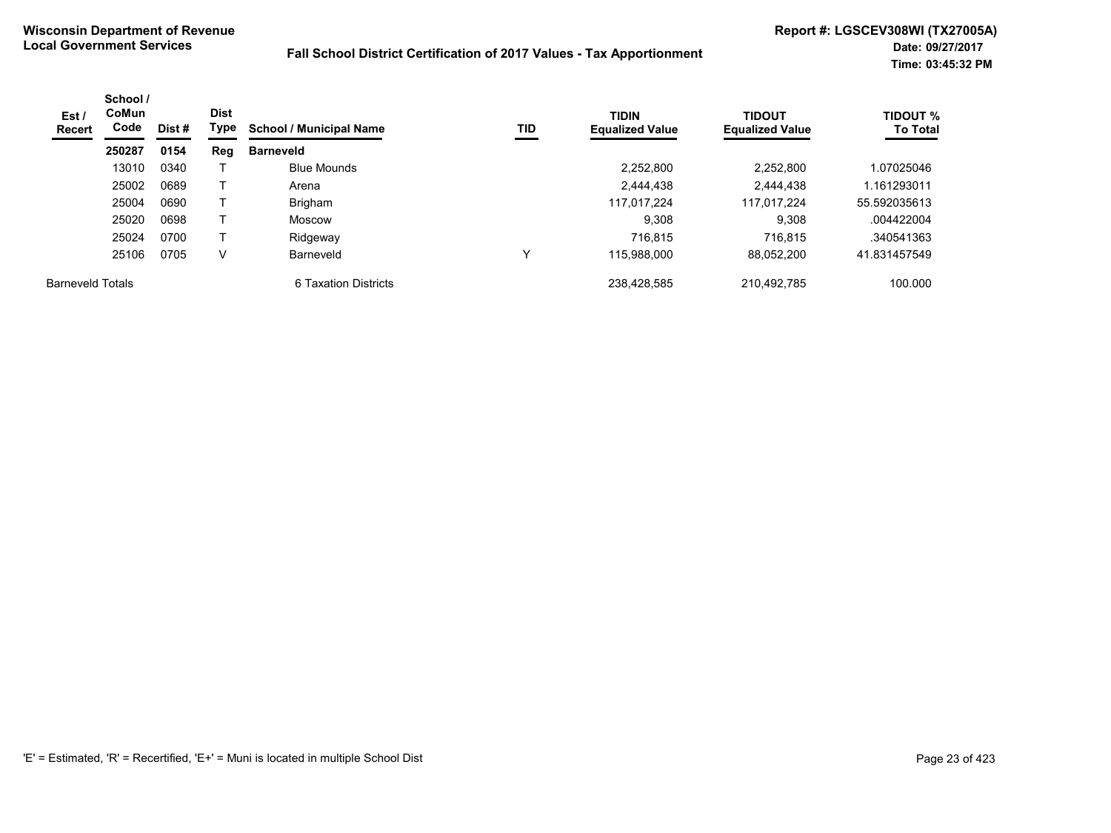| Est /<br><b>Recert</b>  | School /<br><b>CoMun</b><br>Code | Dist # | <b>Dist</b><br>Type | <b>School / Municipal Name</b> | TID | <b>TIDIN</b><br><b>Equalized Value</b> | <b>TIDOUT</b><br><b>Equalized Value</b> | <b>TIDOUT %</b><br><b>To Total</b> |
|-------------------------|----------------------------------|--------|---------------------|--------------------------------|-----|----------------------------------------|-----------------------------------------|------------------------------------|
|                         | 250287                           | 0154   | Reg                 | <b>Barneveld</b>               |     |                                        |                                         |                                    |
|                         | 13010                            | 0340   |                     | <b>Blue Mounds</b>             |     | 2,252,800                              | 2,252,800                               | 1.07025046                         |
|                         | 25002                            | 0689   |                     | Arena                          |     | 2.444.438                              | 2.444.438                               | 1.161293011                        |
|                         | 25004                            | 0690   |                     | Brigham                        |     | 117.017.224                            | 117.017.224                             | 55.592035613                       |
|                         | 25020                            | 0698   |                     | Moscow                         |     | 9,308                                  | 9.308                                   | .004422004                         |
|                         | 25024                            | 0700   |                     | Ridgeway                       |     | 716.815                                | 716.815                                 | .340541363                         |
|                         | 25106                            | 0705   | v                   | Barneveld                      |     | 115.988.000                            | 88,052,200                              | 41.831457549                       |
| <b>Barneveld Totals</b> |                                  |        |                     | 6 Taxation Districts           |     | 238.428.585                            | 210.492.785                             | 100.000                            |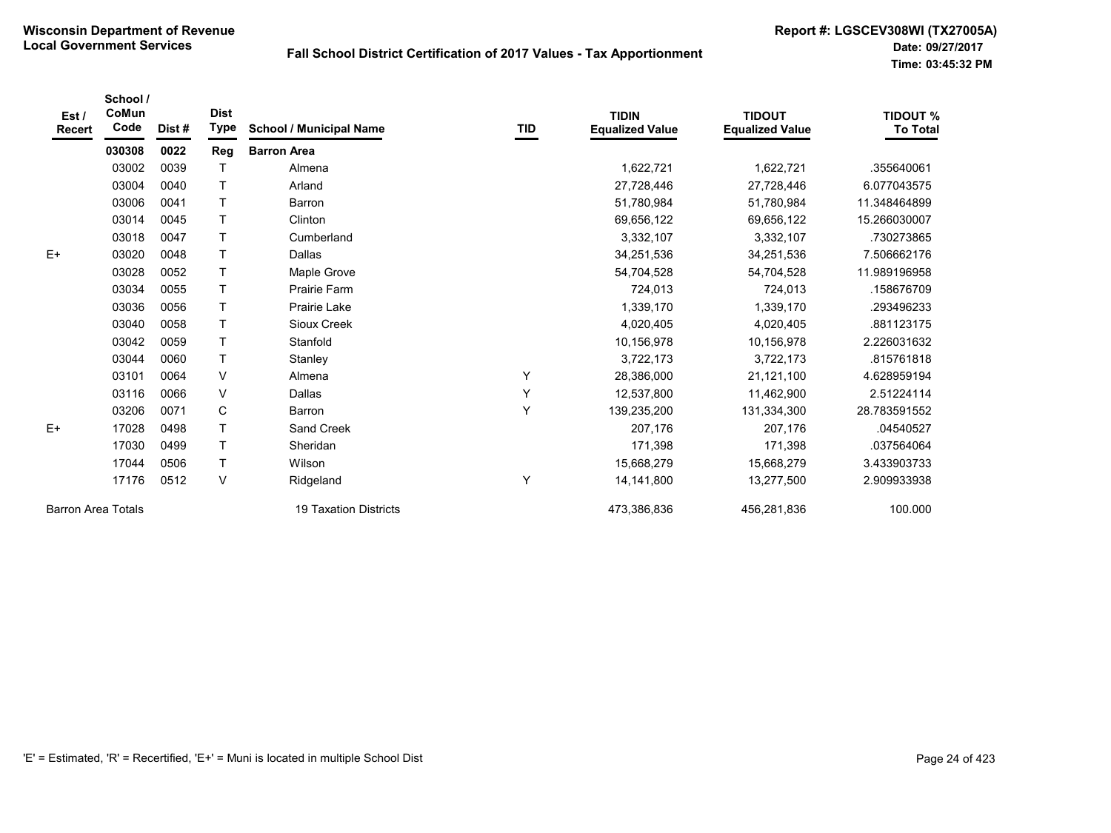| Est /<br><b>Recert</b>    | School /<br>CoMun<br>Code | Dist# | <b>Dist</b><br><b>Type</b> | <b>School / Municipal Name</b> | TID | <b>TIDIN</b><br><b>Equalized Value</b> | <b>TIDOUT</b><br><b>Equalized Value</b> | <b>TIDOUT %</b><br><b>To Total</b> |
|---------------------------|---------------------------|-------|----------------------------|--------------------------------|-----|----------------------------------------|-----------------------------------------|------------------------------------|
|                           | 030308                    | 0022  | Reg                        | <b>Barron Area</b>             |     |                                        |                                         |                                    |
|                           | 03002                     | 0039  | Т                          | Almena                         |     | 1,622,721                              | 1,622,721                               | .355640061                         |
|                           | 03004                     | 0040  | T                          | Arland                         |     | 27,728,446                             | 27,728,446                              | 6.077043575                        |
|                           | 03006                     | 0041  | T                          | Barron                         |     | 51,780,984                             | 51,780,984                              | 11.348464899                       |
|                           | 03014                     | 0045  | T                          | Clinton                        |     | 69,656,122                             | 69,656,122                              | 15.266030007                       |
|                           | 03018                     | 0047  | T                          | Cumberland                     |     | 3,332,107                              | 3,332,107                               | .730273865                         |
| $E+$                      | 03020                     | 0048  | T                          | <b>Dallas</b>                  |     | 34,251,536                             | 34,251,536                              | 7.506662176                        |
|                           | 03028                     | 0052  | T                          | Maple Grove                    |     | 54,704,528                             | 54,704,528                              | 11.989196958                       |
|                           | 03034                     | 0055  | T                          | <b>Prairie Farm</b>            |     | 724,013                                | 724,013                                 | .158676709                         |
|                           | 03036                     | 0056  | T                          | Prairie Lake                   |     | 1,339,170                              | 1,339,170                               | .293496233                         |
|                           | 03040                     | 0058  | T                          | Sioux Creek                    |     | 4,020,405                              | 4,020,405                               | .881123175                         |
|                           | 03042                     | 0059  | T                          | Stanfold                       |     | 10,156,978                             | 10,156,978                              | 2.226031632                        |
|                           | 03044                     | 0060  | T                          | Stanley                        |     | 3,722,173                              | 3,722,173                               | 815761818                          |
|                           | 03101                     | 0064  | $\vee$                     | Almena                         | Υ   | 28,386,000                             | 21,121,100                              | 4.628959194                        |
|                           | 03116                     | 0066  | V                          | <b>Dallas</b>                  | Y   | 12,537,800                             | 11,462,900                              | 2.51224114                         |
|                           | 03206                     | 0071  | $\mathbf C$                | Barron                         | Y   | 139,235,200                            | 131,334,300                             | 28.783591552                       |
| $E+$                      | 17028                     | 0498  | T                          | Sand Creek                     |     | 207,176                                | 207,176                                 | .04540527                          |
|                           | 17030                     | 0499  | T                          | Sheridan                       |     | 171,398                                | 171,398                                 | .037564064                         |
|                           | 17044                     | 0506  | $\mathsf T$                | Wilson                         |     | 15,668,279                             | 15,668,279                              | 3.433903733                        |
|                           | 17176                     | 0512  | V                          | Ridgeland                      | Y   | 14, 141, 800                           | 13,277,500                              | 2.909933938                        |
| <b>Barron Area Totals</b> |                           |       |                            | <b>19 Taxation Districts</b>   |     | 473,386,836                            | 456,281,836                             | 100.000                            |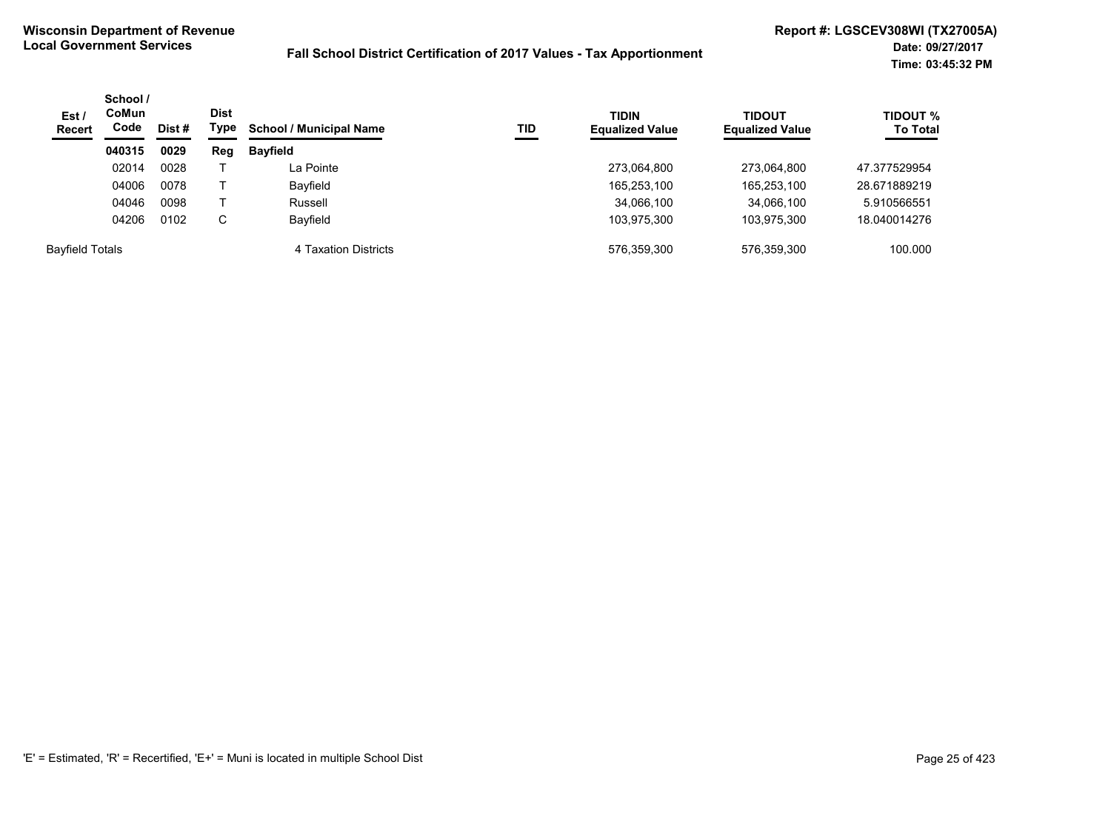| Est/<br><b>Recert</b>  | School /<br><b>CoMun</b><br>Code<br>Dist# |      | <b>Dist</b><br>Type | <b>School / Municipal Name</b><br>TID | <b>TIDIN</b><br><b>Equalized Value</b> | <b>TIDOUT</b><br><b>Equalized Value</b> | TIDOUT %<br><b>To Total</b> |              |
|------------------------|-------------------------------------------|------|---------------------|---------------------------------------|----------------------------------------|-----------------------------------------|-----------------------------|--------------|
|                        | 040315                                    | 0029 | Reg                 | <b>Bayfield</b>                       |                                        |                                         |                             |              |
|                        | 02014                                     | 0028 |                     | La Pointe                             |                                        | 273,064,800                             | 273,064,800                 | 47.377529954 |
|                        | 04006                                     | 0078 |                     | Bayfield                              |                                        | 165,253,100                             | 165,253,100                 | 28.671889219 |
|                        | 04046                                     | 0098 |                     | Russell                               |                                        | 34,066,100                              | 34,066,100                  | 5.910566551  |
|                        | 04206                                     | 0102 | С                   | Bayfield                              |                                        | 103,975,300                             | 103,975,300                 | 18.040014276 |
| <b>Bayfield Totals</b> |                                           |      |                     | 4 Taxation Districts                  |                                        | 576,359,300                             | 576,359,300                 | 100.000      |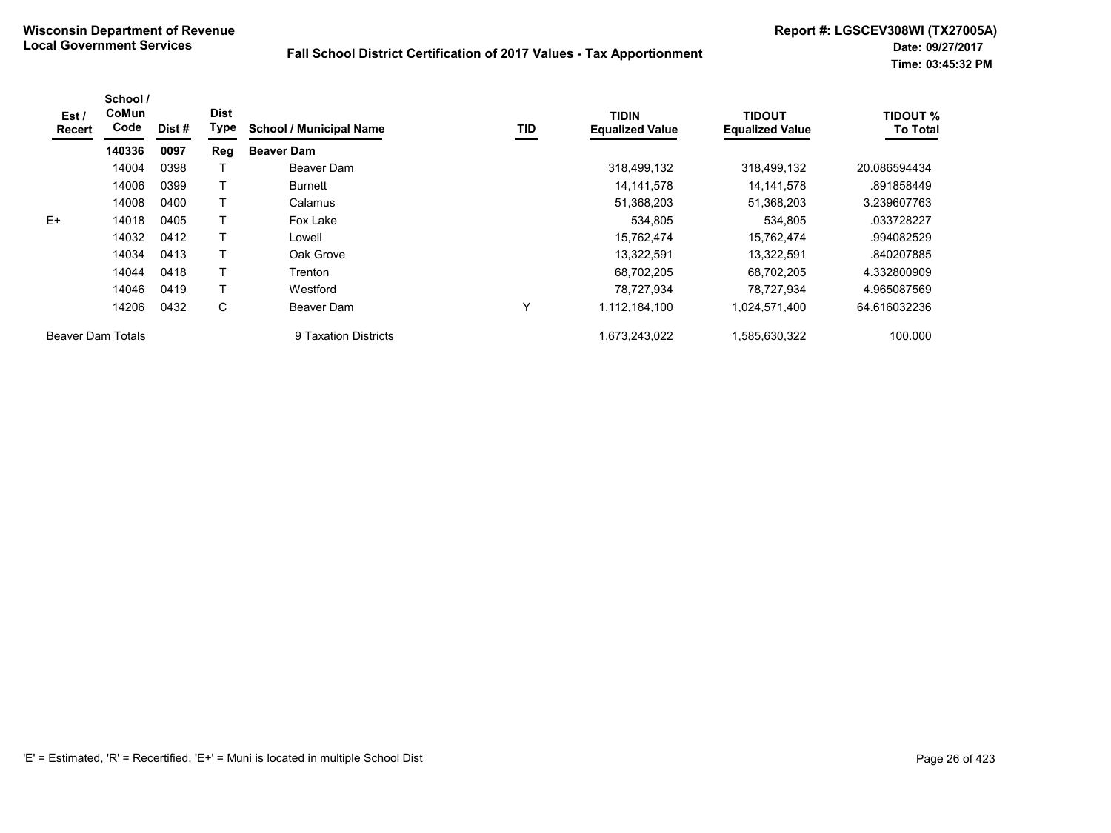| Est /<br>Recert   | School /<br>CoMun<br>Code | Dist # | <b>Dist</b><br>Type | <b>School / Municipal Name</b> | TID | <b>TIDIN</b><br><b>Equalized Value</b> | <b>TIDOUT</b><br><b>Equalized Value</b> | <b>TIDOUT %</b><br><b>To Total</b> |
|-------------------|---------------------------|--------|---------------------|--------------------------------|-----|----------------------------------------|-----------------------------------------|------------------------------------|
|                   | 140336                    | 0097   | Reg                 | <b>Beaver Dam</b>              |     |                                        |                                         |                                    |
|                   | 14004                     | 0398   |                     | Beaver Dam                     |     | 318,499,132                            | 318,499,132                             | 20.086594434                       |
|                   | 14006                     | 0399   |                     | <b>Burnett</b>                 |     | 14,141,578                             | 14, 141, 578                            | .891858449                         |
|                   | 14008                     | 0400   |                     | Calamus                        |     | 51,368,203                             | 51,368,203                              | 3.239607763                        |
| $E+$              | 14018                     | 0405   |                     | Fox Lake                       |     | 534,805                                | 534,805                                 | .033728227                         |
|                   | 14032                     | 0412   |                     | Lowell                         |     | 15,762,474                             | 15.762.474                              | .994082529                         |
|                   | 14034                     | 0413   |                     | Oak Grove                      |     | 13,322,591                             | 13.322.591                              | .840207885                         |
|                   | 14044                     | 0418   |                     | Trenton                        |     | 68,702,205                             | 68.702.205                              | 4.332800909                        |
|                   | 14046                     | 0419   |                     | Westford                       |     | 78.727.934                             | 78,727,934                              | 4.965087569                        |
|                   | 14206                     | 0432   | C                   | Beaver Dam                     | Y   | 1,112,184,100                          | 1,024,571,400                           | 64.616032236                       |
| Beaver Dam Totals |                           |        |                     | 9 Taxation Districts           |     | 1.673.243.022                          | 1.585.630.322                           | 100.000                            |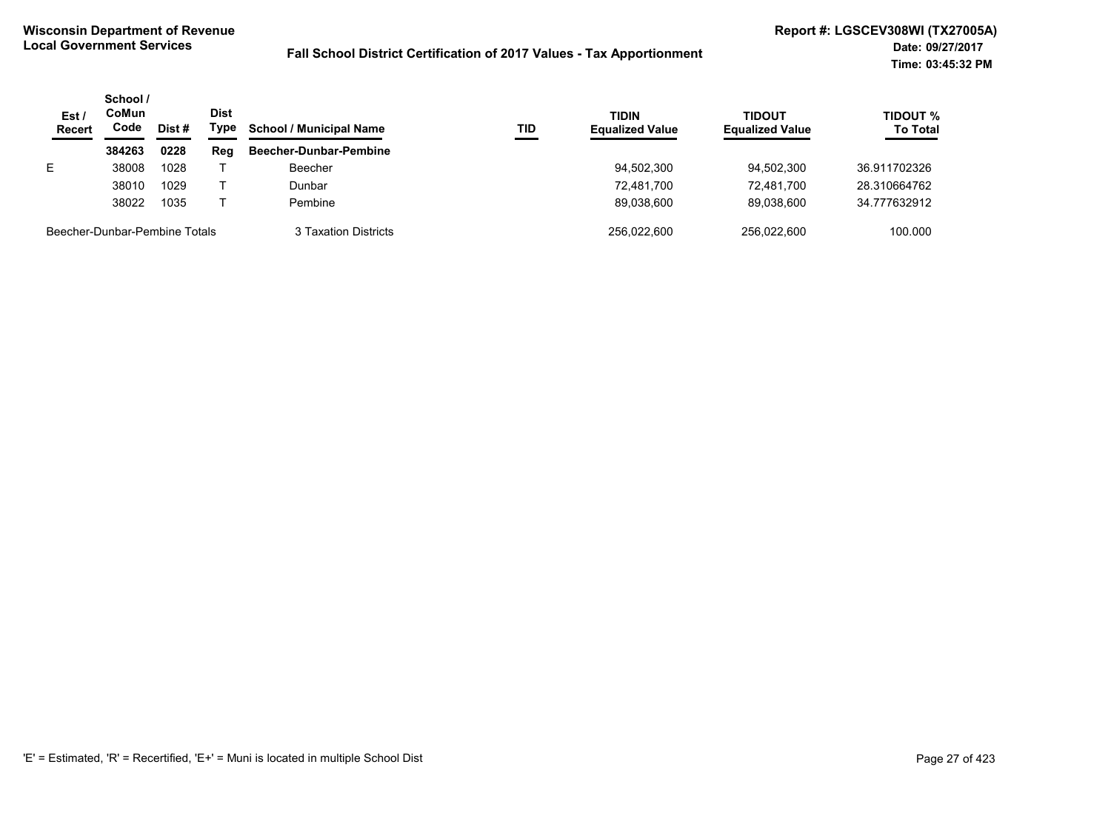| Est<br><b>Recert</b>          | School /<br>CoMun<br>Code | Dist # | <b>Dist</b><br>Type | <b>School / Municipal Name</b> | TID | <b>TIDIN</b><br><b>Equalized Value</b> | <b>TIDOUT</b><br><b>Equalized Value</b> | TIDOUT %<br><b>To Total</b> |
|-------------------------------|---------------------------|--------|---------------------|--------------------------------|-----|----------------------------------------|-----------------------------------------|-----------------------------|
|                               | 384263                    | 0228   | Reg                 | Beecher-Dunbar-Pembine         |     |                                        |                                         |                             |
| E.                            | 38008                     | 1028   |                     | Beecher                        |     | 94,502,300                             | 94.502.300                              | 36.911702326                |
|                               | 38010                     | 1029   |                     | Dunbar                         |     | 72.481.700                             | 72.481.700                              | 28.310664762                |
|                               | 38022                     | 1035   |                     | Pembine                        |     | 89.038.600                             | 89.038.600                              | 34.777632912                |
| Beecher-Dunbar-Pembine Totals |                           |        |                     | 3 Taxation Districts           |     | 256.022.600                            | 256.022.600                             | 100.000                     |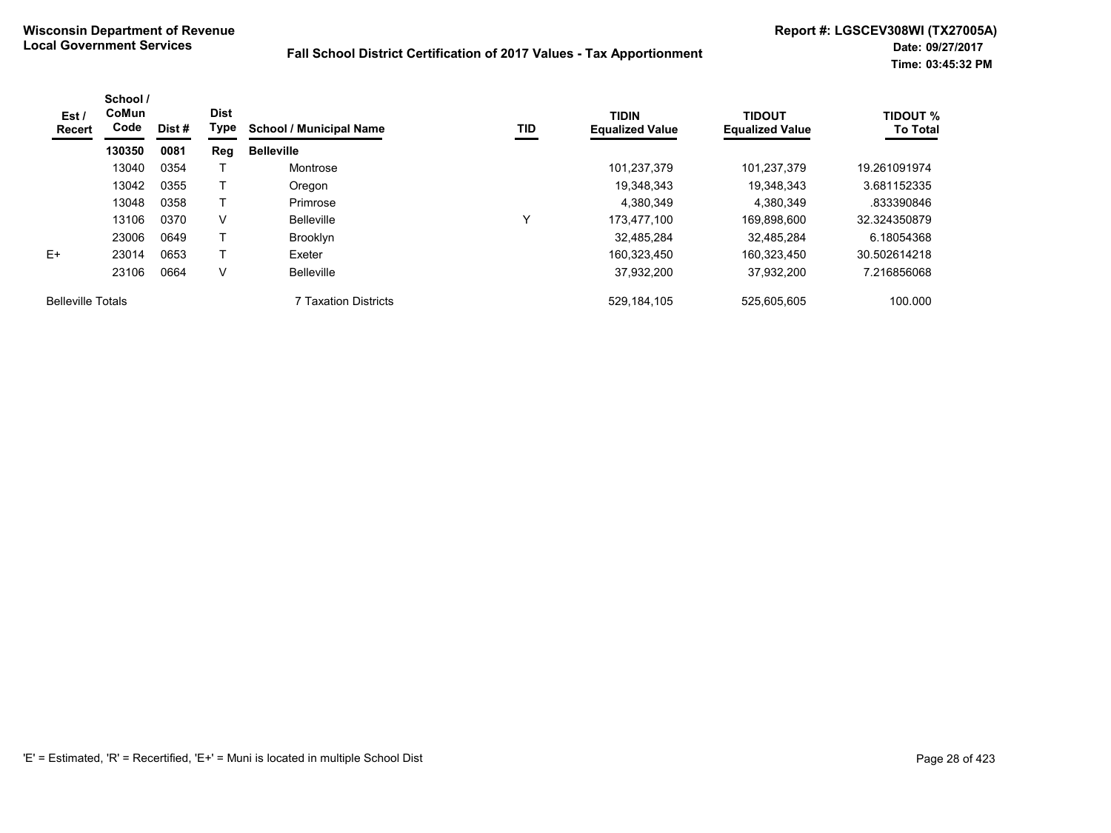| Est /<br>Recert          | School /<br>CoMun<br>Code | Dist# | <b>Dist</b><br>Type | <b>School / Municipal Name</b> | TID | <b>TIDIN</b><br><b>Equalized Value</b> | <b>TIDOUT</b><br><b>Equalized Value</b> | <b>TIDOUT %</b><br><b>To Total</b> |
|--------------------------|---------------------------|-------|---------------------|--------------------------------|-----|----------------------------------------|-----------------------------------------|------------------------------------|
|                          | 130350                    | 0081  | Reg                 | <b>Belleville</b>              |     |                                        |                                         |                                    |
|                          | 13040                     | 0354  |                     | Montrose                       |     | 101,237,379                            | 101.237.379                             | 19.261091974                       |
|                          | 13042                     | 0355  |                     | Oregon                         |     | 19,348,343                             | 19.348.343                              | 3.681152335                        |
|                          | 13048                     | 0358  |                     | Primrose                       |     | 4,380,349                              | 4,380,349                               | .833390846                         |
|                          | 13106                     | 0370  | V                   | <b>Belleville</b>              | ν   | 173.477.100                            | 169,898,600                             | 32.324350879                       |
|                          | 23006                     | 0649  |                     | <b>Brooklyn</b>                |     | 32.485.284                             | 32.485.284                              | 6.18054368                         |
| $E+$                     | 23014                     | 0653  |                     | Exeter                         |     | 160.323.450                            | 160.323.450                             | 30.502614218                       |
|                          | 23106                     | 0664  | V                   | <b>Belleville</b>              |     | 37,932,200                             | 37,932,200                              | 7.216856068                        |
| <b>Belleville Totals</b> |                           |       |                     | <b>7 Taxation Districts</b>    |     | 529, 184, 105                          | 525,605,605                             | 100.000                            |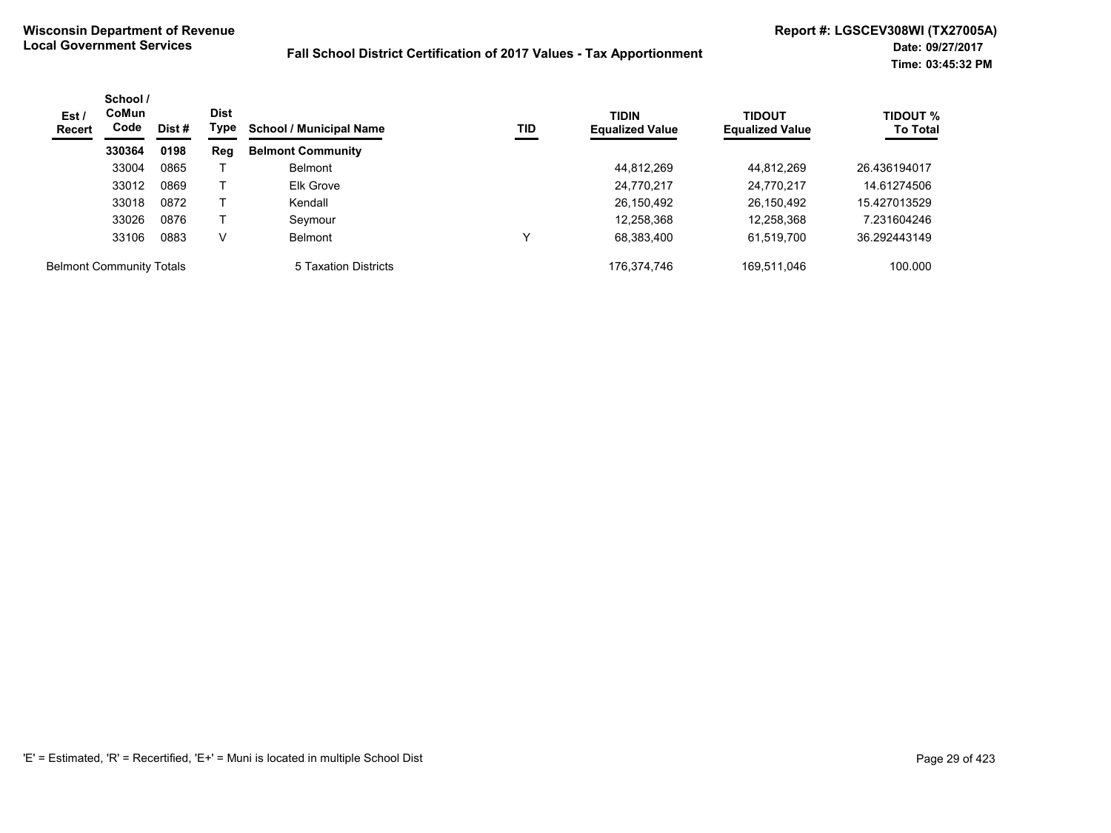| Est/<br><b>Recert</b>           | School /<br><b>CoMun</b><br>Code | Dist # | <b>Dist</b><br>Type | <b>School / Municipal Name</b> | TID | <b>TIDIN</b><br><b>Equalized Value</b> | <b>TIDOUT</b><br><b>Equalized Value</b> | <b>TIDOUT %</b><br><b>To Total</b> |
|---------------------------------|----------------------------------|--------|---------------------|--------------------------------|-----|----------------------------------------|-----------------------------------------|------------------------------------|
|                                 | 330364                           | 0198   | Reg                 | <b>Belmont Community</b>       |     |                                        |                                         |                                    |
|                                 | 33004                            | 0865   |                     | <b>Belmont</b>                 |     | 44,812,269                             | 44.812.269                              | 26.436194017                       |
|                                 | 33012                            | 0869   |                     | Elk Grove                      |     | 24,770,217                             | 24,770,217                              | 14.61274506                        |
|                                 | 33018                            | 0872   |                     | Kendall                        |     | 26,150,492                             | 26,150,492                              | 15.427013529                       |
|                                 | 33026                            | 0876   |                     | Seymour                        |     | 12,258,368                             | 12,258,368                              | 7.231604246                        |
|                                 | 33106                            | 0883   | V                   | <b>Belmont</b>                 | v   | 68,383,400                             | 61,519,700                              | 36.292443149                       |
| <b>Belmont Community Totals</b> |                                  |        |                     | 5 Taxation Districts           |     | 176.374.746                            | 169.511.046                             | 100.000                            |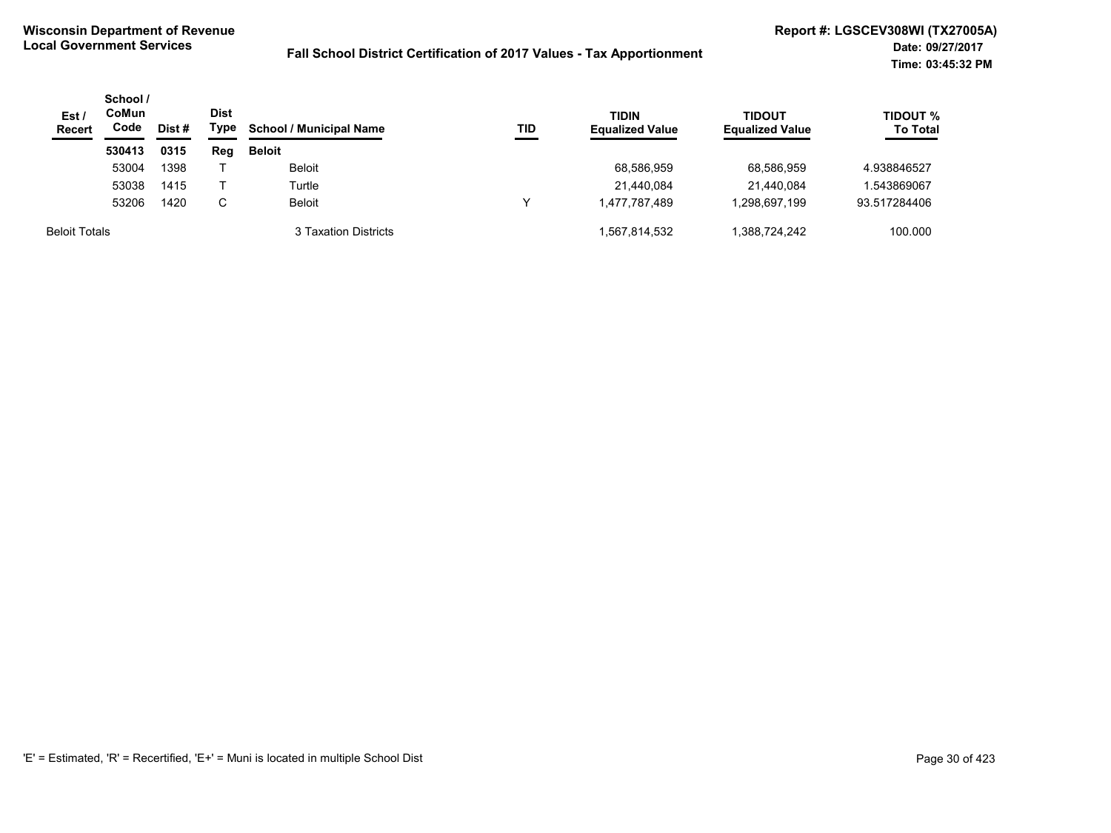| Est/<br><b>Recert</b> | School /<br>CoMun<br>Code<br>Dist # | <b>Dist</b><br>Type | <b>School / Municipal Name</b> | TID                  | <b>TIDIN</b><br><b>Equalized Value</b> | TIDOUT<br><b>Equalized Value</b> | <b>TIDOUT %</b><br><b>To Total</b> |              |
|-----------------------|-------------------------------------|---------------------|--------------------------------|----------------------|----------------------------------------|----------------------------------|------------------------------------|--------------|
|                       | 530413                              | 0315                | Reg                            | <b>Beloit</b>        |                                        |                                  |                                    |              |
|                       | 53004                               | 1398                |                                | <b>Beloit</b>        |                                        | 68,586,959                       | 68.586.959                         | 4.938846527  |
|                       | 53038                               | 1415                |                                | Turtle               |                                        | 21,440,084                       | 21,440,084                         | 1.543869067  |
|                       | 53206                               | 1420                | C                              | <b>Beloit</b>        |                                        | 1.477.787.489                    | 1.298.697.199                      | 93.517284406 |
| <b>Beloit Totals</b>  |                                     |                     |                                | 3 Taxation Districts |                                        | 1.567.814.532                    | .388.724.242                       | 100.000      |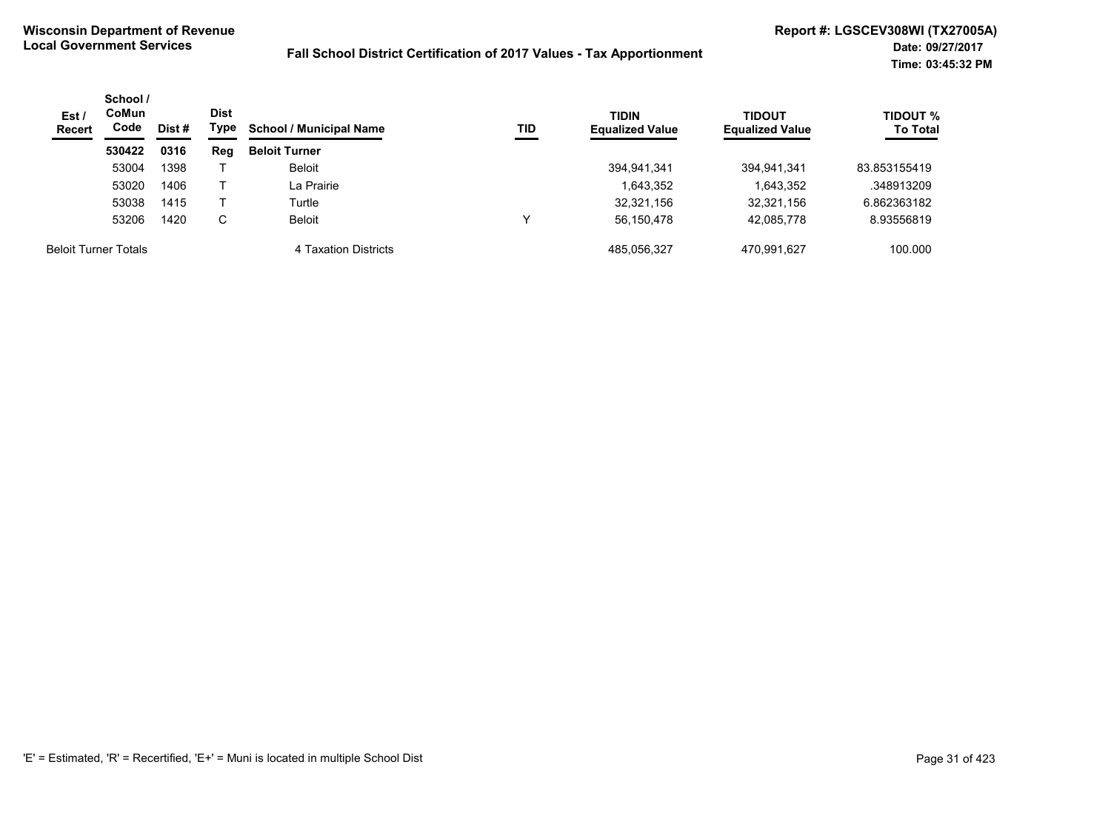| Est /<br><b>Recert</b> | School /<br>CoMun<br>Code<br>Dist# | Dist<br>Type | <b>School / Municipal Name</b><br>TID | <b>TIDIN</b><br><b>Equalized Value</b> | TIDOUT<br><b>Equalized Value</b> | <b>TIDOUT %</b><br><b>To Total</b> |             |              |
|------------------------|------------------------------------|--------------|---------------------------------------|----------------------------------------|----------------------------------|------------------------------------|-------------|--------------|
|                        | 530422                             | 0316         | Reg                                   | <b>Beloit Turner</b>                   |                                  |                                    |             |              |
|                        | 53004                              | 1398         |                                       | <b>Beloit</b>                          |                                  | 394,941,341                        | 394,941,341 | 83.853155419 |
|                        | 53020                              | 1406         |                                       | La Prairie                             |                                  | 1,643,352                          | 1,643,352   | .348913209   |
|                        | 53038                              | 1415         |                                       | Turtle                                 |                                  | 32,321,156                         | 32,321,156  | 6.862363182  |
|                        | 53206                              | 1420         | С                                     | Beloit                                 | ν                                | 56,150,478                         | 42,085,778  | 8.93556819   |
|                        | <b>Beloit Turner Totals</b>        |              |                                       | 4 Taxation Districts                   |                                  | 485.056.327                        | 470.991.627 | 100.000      |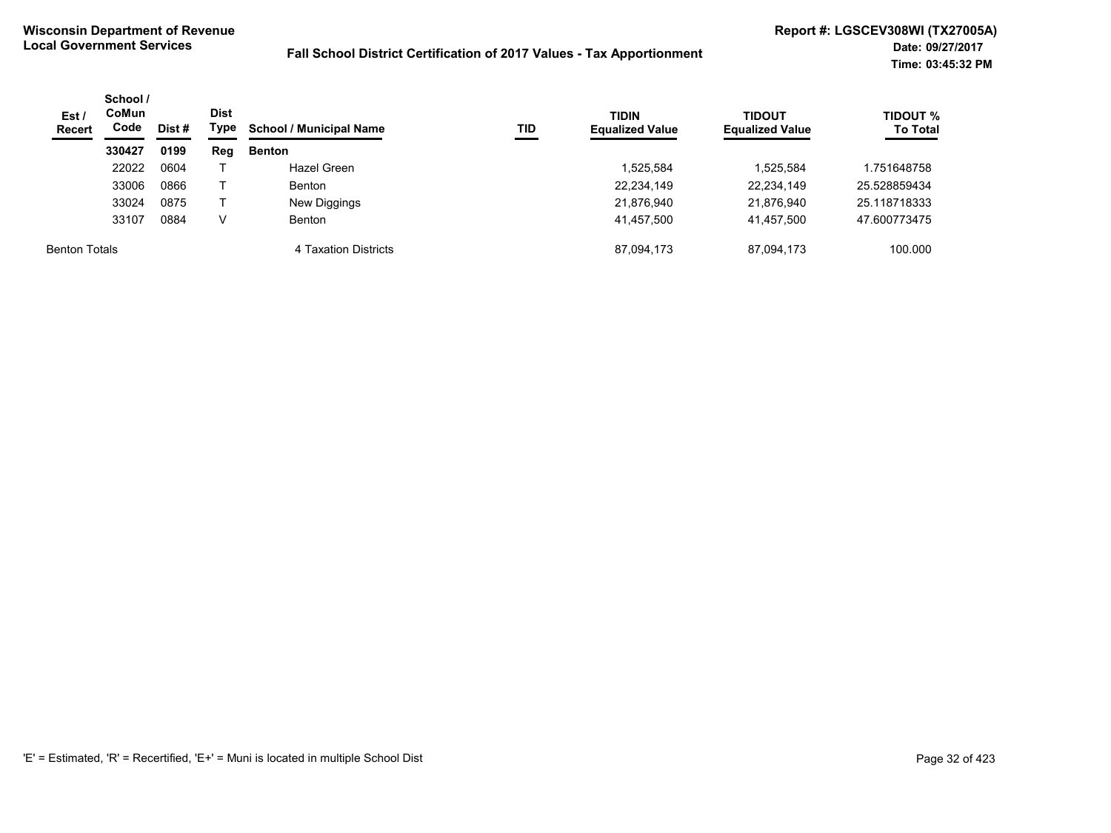| Est/<br><b>Recert</b> | School /<br>CoMun<br>Code<br>Dist# | Dist<br>Type | <b>School / Municipal Name</b> | TID                  | <b>TIDIN</b><br><b>Equalized Value</b> | <b>TIDOUT</b><br><b>Equalized Value</b> | <b>TIDOUT %</b><br><b>To Total</b> |              |
|-----------------------|------------------------------------|--------------|--------------------------------|----------------------|----------------------------------------|-----------------------------------------|------------------------------------|--------------|
|                       | 330427                             | 0199         | Reg                            | <b>Benton</b>        |                                        |                                         |                                    |              |
|                       | 22022                              | 0604         |                                | Hazel Green          |                                        | 1,525,584                               | 1,525,584                          | 1.751648758  |
|                       | 33006                              | 0866         |                                | <b>Benton</b>        |                                        | 22,234,149                              | 22,234,149                         | 25.528859434 |
|                       | 33024                              | 0875         |                                | New Diggings         |                                        | 21,876,940                              | 21,876,940                         | 25.118718333 |
|                       | 33107                              | 0884         |                                | <b>Benton</b>        |                                        | 41,457,500                              | 41,457,500                         | 47.600773475 |
| <b>Benton Totals</b>  |                                    |              |                                | 4 Taxation Districts |                                        | 87,094,173                              | 87,094,173                         | 100.000      |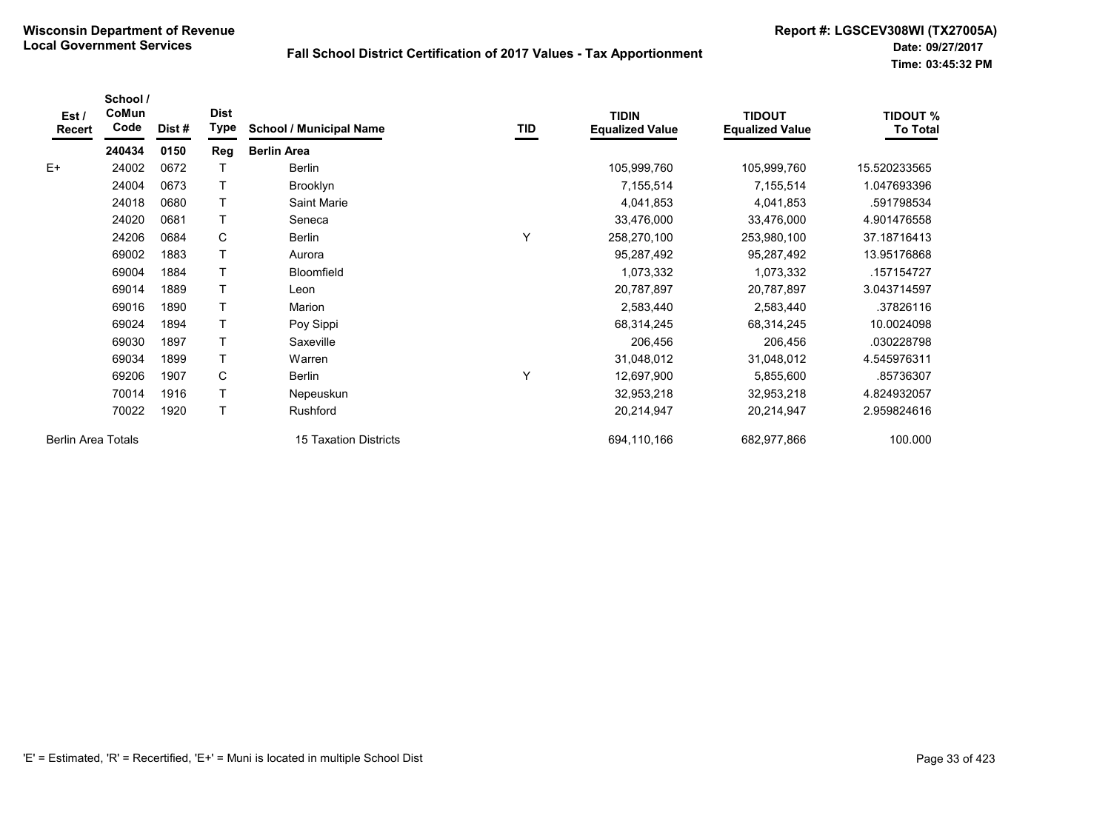| Est/<br><b>Recert</b>     | School /<br>CoMun<br>Code | Dist # | <b>Dist</b><br>Type | <b>School / Municipal Name</b> | TID | <b>TIDIN</b><br><b>Equalized Value</b> | <b>TIDOUT</b><br><b>Equalized Value</b> | <b>TIDOUT %</b><br><b>To Total</b> |
|---------------------------|---------------------------|--------|---------------------|--------------------------------|-----|----------------------------------------|-----------------------------------------|------------------------------------|
|                           | 240434                    | 0150   | Reg                 | <b>Berlin Area</b>             |     |                                        |                                         |                                    |
| $E+$                      | 24002                     | 0672   |                     | <b>Berlin</b>                  |     | 105,999,760                            | 105,999,760                             | 15.520233565                       |
|                           | 24004                     | 0673   |                     | Brooklyn                       |     | 7,155,514                              | 7,155,514                               | 1.047693396                        |
|                           | 24018                     | 0680   |                     | Saint Marie                    |     | 4,041,853                              | 4,041,853                               | .591798534                         |
|                           | 24020                     | 0681   | T                   | Seneca                         |     | 33,476,000                             | 33,476,000                              | 4.901476558                        |
|                           | 24206                     | 0684   | C                   | <b>Berlin</b>                  | Υ   | 258,270,100                            | 253,980,100                             | 37.18716413                        |
|                           | 69002                     | 1883   |                     | Aurora                         |     | 95,287,492                             | 95,287,492                              | 13.95176868                        |
|                           | 69004                     | 1884   |                     | Bloomfield                     |     | 1,073,332                              | 1,073,332                               | .157154727                         |
|                           | 69014                     | 1889   |                     | Leon                           |     | 20,787,897                             | 20,787,897                              | 3.043714597                        |
|                           | 69016                     | 1890   | T                   | Marion                         |     | 2,583,440                              | 2,583,440                               | .37826116                          |
|                           | 69024                     | 1894   |                     | Poy Sippi                      |     | 68,314,245                             | 68,314,245                              | 10.0024098                         |
|                           | 69030                     | 1897   |                     | Saxeville                      |     | 206,456                                | 206,456                                 | .030228798                         |
|                           | 69034                     | 1899   |                     | Warren                         |     | 31,048,012                             | 31,048,012                              | 4.545976311                        |
|                           | 69206                     | 1907   | C                   | Berlin                         | Υ   | 12,697,900                             | 5,855,600                               | .85736307                          |
|                           | 70014                     | 1916   |                     | Nepeuskun                      |     | 32,953,218                             | 32,953,218                              | 4.824932057                        |
|                           | 70022                     | 1920   |                     | Rushford                       |     | 20,214,947                             | 20,214,947                              | 2.959824616                        |
| <b>Berlin Area Totals</b> |                           |        |                     | <b>15 Taxation Districts</b>   |     | 694,110,166                            | 682,977,866                             | 100.000                            |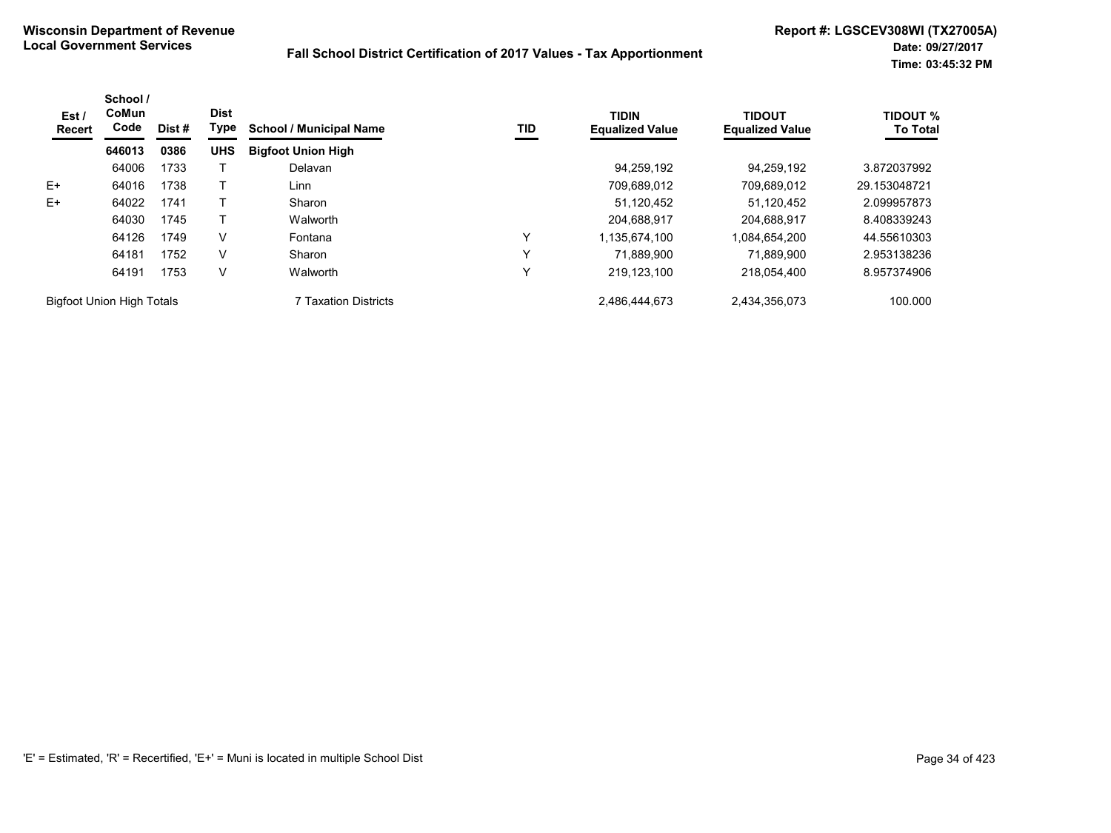| Est/<br><b>Recert</b>            | School /<br>CoMun<br>Code | Dist# | <b>Dist</b><br>Type | <b>School / Municipal Name</b> | TID          | <b>TIDIN</b><br><b>Equalized Value</b> | <b>TIDOUT</b><br><b>Equalized Value</b> | <b>TIDOUT %</b><br><b>To Total</b> |
|----------------------------------|---------------------------|-------|---------------------|--------------------------------|--------------|----------------------------------------|-----------------------------------------|------------------------------------|
|                                  | 646013                    | 0386  | <b>UHS</b>          | <b>Bigfoot Union High</b>      |              |                                        |                                         |                                    |
|                                  | 64006                     | 1733  |                     | Delavan                        |              | 94.259.192                             | 94.259.192                              | 3.872037992                        |
| E+                               | 64016                     | 1738  |                     | Linn                           |              | 709,689,012                            | 709,689,012                             | 29.153048721                       |
| E+                               | 64022                     | 1741  |                     | Sharon                         |              | 51,120,452                             | 51,120,452                              | 2.099957873                        |
|                                  | 64030                     | 1745  |                     | Walworth                       |              | 204,688,917                            | 204,688,917                             | 8.408339243                        |
|                                  | 64126                     | 1749  | v                   | Fontana                        | $\check{ }$  | 1,135,674,100                          | 1,084,654,200                           | 44.55610303                        |
|                                  | 64181                     | 1752  | V                   | Sharon                         | $\check{ }$  | 71.889.900                             | 71.889.900                              | 2.953138236                        |
|                                  | 64191                     | 1753  | V                   | Walworth                       | $\checkmark$ | 219,123,100                            | 218.054.400                             | 8.957374906                        |
| <b>Bigfoot Union High Totals</b> |                           |       |                     | 7 Taxation Districts           |              | 2,486,444,673                          | 2,434,356,073                           | 100.000                            |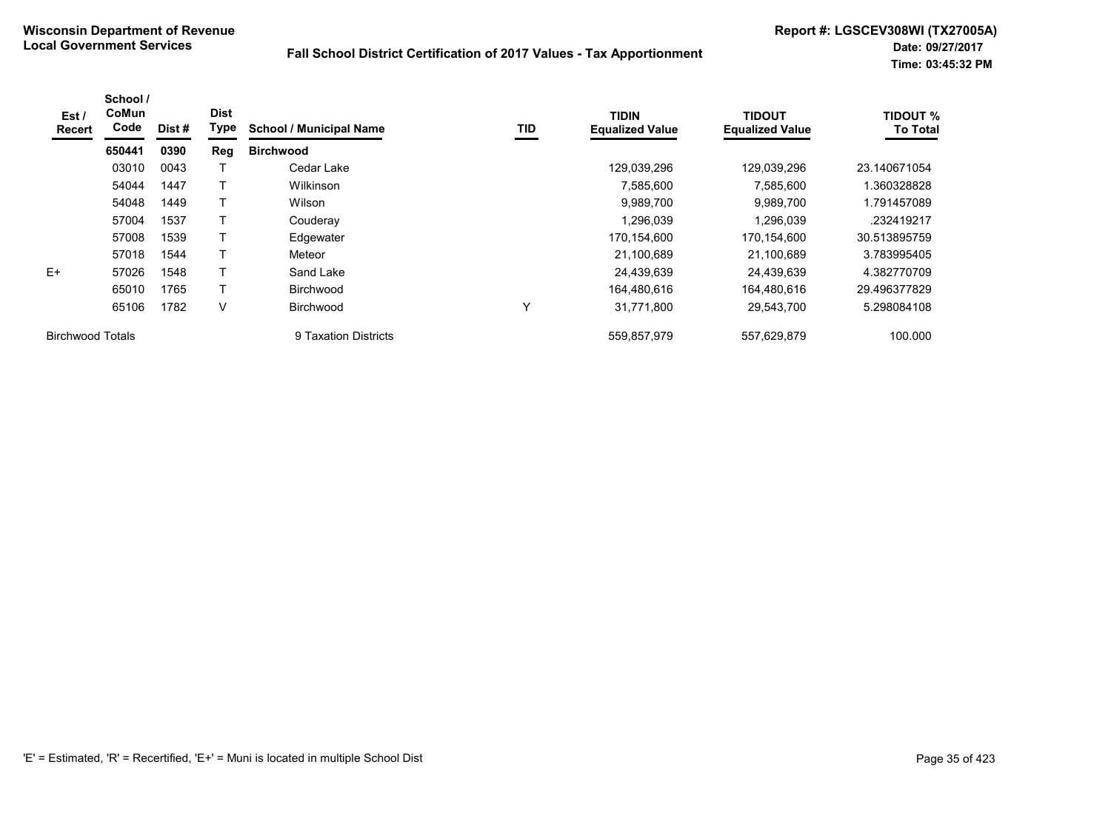| Est /<br><b>Recert</b>  | School /<br>CoMun<br>Code | Dist# | <b>Dist</b><br>Type | <b>School / Municipal Name</b> | TID         | <b>TIDIN</b><br><b>Equalized Value</b> | <b>TIDOUT</b><br><b>Equalized Value</b> | <b>TIDOUT %</b><br><b>To Total</b> |
|-------------------------|---------------------------|-------|---------------------|--------------------------------|-------------|----------------------------------------|-----------------------------------------|------------------------------------|
|                         | 650441                    | 0390  | Reg                 | <b>Birchwood</b>               |             |                                        |                                         |                                    |
|                         | 03010                     | 0043  |                     | Cedar Lake                     |             | 129,039,296                            | 129.039.296                             | 23.140671054                       |
|                         | 54044                     | 1447  |                     | Wilkinson                      |             | 7,585,600                              | 7,585,600                               | .360328828                         |
|                         | 54048                     | 1449  |                     | Wilson                         |             | 9,989,700                              | 9,989,700                               | 1.791457089                        |
|                         | 57004                     | 1537  |                     | Couderay                       |             | 1,296,039                              | 1,296,039                               | .232419217                         |
|                         | 57008                     | 1539  |                     | Edgewater                      |             | 170,154,600                            | 170,154,600                             | 30.513895759                       |
|                         | 57018                     | 1544  |                     | Meteor                         |             | 21,100,689                             | 21,100,689                              | 3.783995405                        |
| $E+$                    | 57026                     | 1548  |                     | Sand Lake                      |             | 24,439,639                             | 24,439,639                              | 4.382770709                        |
|                         | 65010                     | 1765  |                     | Birchwood                      |             | 164,480,616                            | 164.480.616                             | 29.496377829                       |
|                         | 65106                     | 1782  | V                   | <b>Birchwood</b>               | $\check{ }$ | 31,771,800                             | 29,543,700                              | 5.298084108                        |
| <b>Birchwood Totals</b> |                           |       |                     | 9 Taxation Districts           |             | 559,857,979                            | 557,629,879                             | 100.000                            |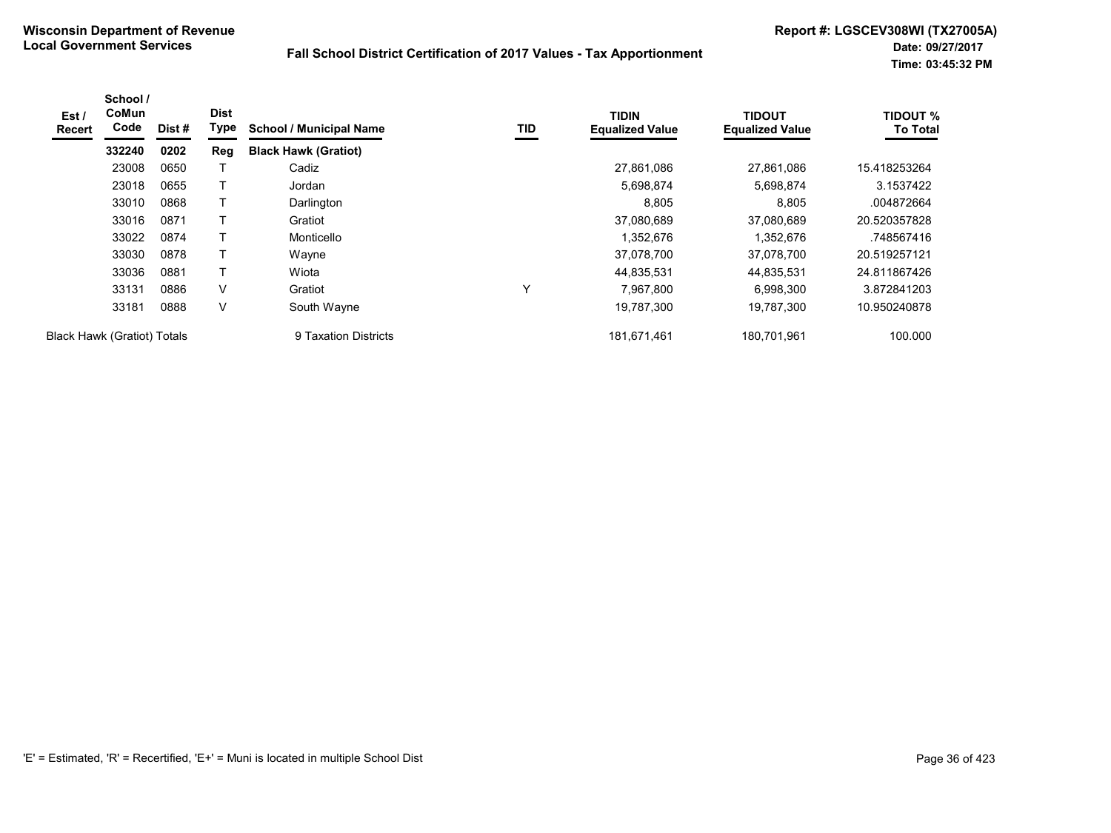| Est/<br><b>Recert</b>              | School /<br>CoMun<br>Code | Dist # | <b>Dist</b><br>Type | <b>School / Municipal Name</b> | TID          | <b>TIDIN</b><br><b>Equalized Value</b> | <b>TIDOUT</b><br><b>Equalized Value</b> | <b>TIDOUT %</b><br><b>To Total</b> |
|------------------------------------|---------------------------|--------|---------------------|--------------------------------|--------------|----------------------------------------|-----------------------------------------|------------------------------------|
|                                    | 332240                    | 0202   | Reg                 | <b>Black Hawk (Gratiot)</b>    |              |                                        |                                         |                                    |
|                                    | 23008                     | 0650   |                     | Cadiz                          |              | 27,861,086                             | 27,861,086                              | 15.418253264                       |
|                                    | 23018                     | 0655   |                     | Jordan                         |              | 5,698,874                              | 5,698,874                               | 3.1537422                          |
|                                    | 33010                     | 0868   |                     | Darlington                     |              | 8,805                                  | 8,805                                   | .004872664                         |
|                                    | 33016                     | 0871   |                     | Gratiot                        |              | 37,080,689                             | 37,080,689                              | 20.520357828                       |
|                                    | 33022                     | 0874   |                     | Monticello                     |              | 1,352,676                              | 1,352,676                               | .748567416                         |
|                                    | 33030                     | 0878   |                     | Wayne                          |              | 37,078,700                             | 37,078,700                              | 20.519257121                       |
|                                    | 33036                     | 0881   | $\mathsf{T}$        | Wiota                          |              | 44,835,531                             | 44,835,531                              | 24.811867426                       |
|                                    | 33131                     | 0886   | V                   | Gratiot                        | $\checkmark$ | 7,967,800                              | 6,998,300                               | 3.872841203                        |
|                                    | 33181                     | 0888   | V                   | South Wayne                    |              | 19,787,300                             | 19.787.300                              | 10.950240878                       |
| <b>Black Hawk (Gratiot) Totals</b> |                           |        |                     | 9 Taxation Districts           |              | 181,671,461                            | 180,701,961                             | 100.000                            |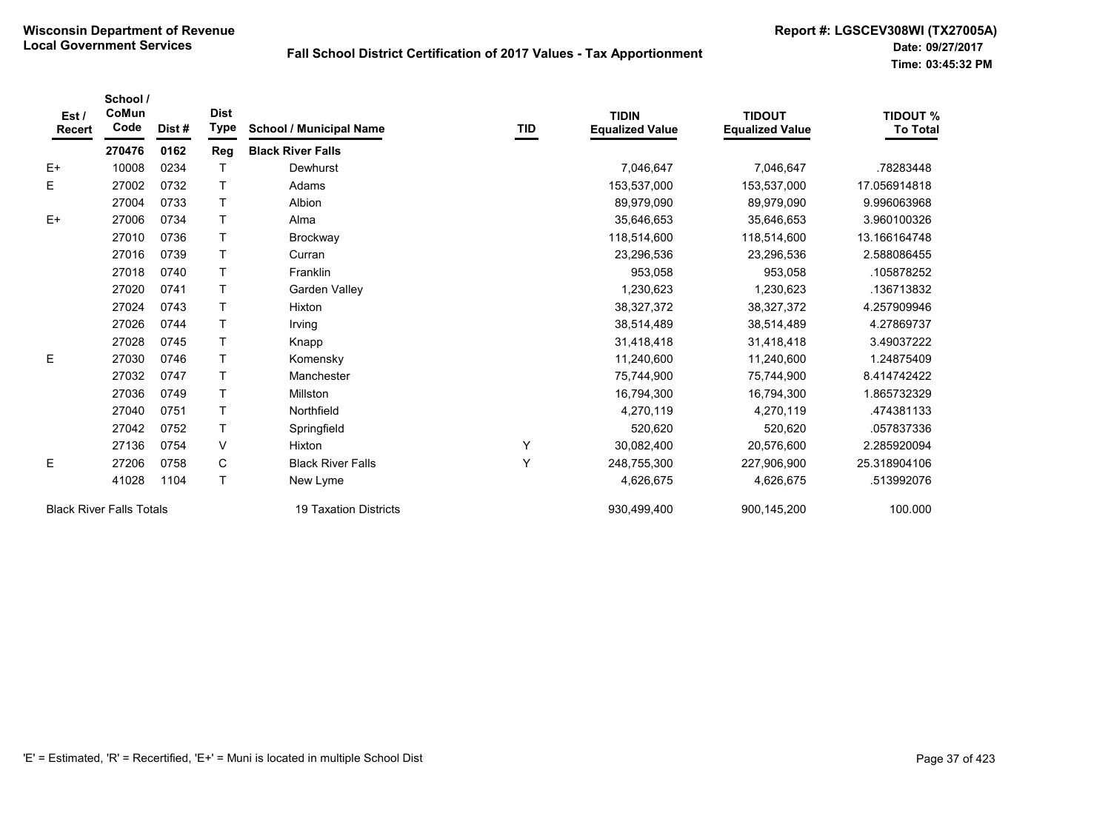| Est/<br><b>Recert</b> | School /<br>CoMun<br>Code       | Dist# | <b>Dist</b><br><b>Type</b> | <b>School / Municipal Name</b> | TID | <b>TIDIN</b><br><b>Equalized Value</b> | <b>TIDOUT</b><br><b>Equalized Value</b> | <b>TIDOUT %</b><br><b>To Total</b> |
|-----------------------|---------------------------------|-------|----------------------------|--------------------------------|-----|----------------------------------------|-----------------------------------------|------------------------------------|
|                       | 270476                          | 0162  | Reg                        | <b>Black River Falls</b>       |     |                                        |                                         |                                    |
| $E+$                  | 10008                           | 0234  |                            | Dewhurst                       |     | 7,046,647                              | 7,046,647                               | .78283448                          |
| Е                     | 27002                           | 0732  |                            | Adams                          |     | 153,537,000                            | 153,537,000                             | 17.056914818                       |
|                       | 27004                           | 0733  |                            | Albion                         |     | 89,979,090                             | 89,979,090                              | 9.996063968                        |
| $E+$                  | 27006                           | 0734  | T                          | Alma                           |     | 35,646,653                             | 35,646,653                              | 3.960100326                        |
|                       | 27010                           | 0736  |                            | Brockway                       |     | 118,514,600                            | 118,514,600                             | 13.166164748                       |
|                       | 27016                           | 0739  | T                          | Curran                         |     | 23,296,536                             | 23,296,536                              | 2.588086455                        |
|                       | 27018                           | 0740  |                            | Franklin                       |     | 953,058                                | 953,058                                 | .105878252                         |
|                       | 27020                           | 0741  | T                          | Garden Valley                  |     | 1,230,623                              | 1,230,623                               | .136713832                         |
|                       | 27024                           | 0743  |                            | Hixton                         |     | 38,327,372                             | 38,327,372                              | 4.257909946                        |
|                       | 27026                           | 0744  |                            | Irving                         |     | 38,514,489                             | 38,514,489                              | 4.27869737                         |
|                       | 27028                           | 0745  |                            | Knapp                          |     | 31,418,418                             | 31,418,418                              | 3.49037222                         |
| E                     | 27030                           | 0746  | T                          | Komensky                       |     | 11,240,600                             | 11,240,600                              | 1.24875409                         |
|                       | 27032                           | 0747  | T                          | Manchester                     |     | 75,744,900                             | 75,744,900                              | 8.414742422                        |
|                       | 27036                           | 0749  |                            | Millston                       |     | 16,794,300                             | 16,794,300                              | 1.865732329                        |
|                       | 27040                           | 0751  |                            | Northfield                     |     | 4,270,119                              | 4,270,119                               | 474381133                          |
|                       | 27042                           | 0752  |                            | Springfield                    |     | 520,620                                | 520,620                                 | .057837336                         |
|                       | 27136                           | 0754  | V                          | Hixton                         | Υ   | 30,082,400                             | 20,576,600                              | 2.285920094                        |
| Ε                     | 27206                           | 0758  | C                          | <b>Black River Falls</b>       | Υ   | 248,755,300                            | 227,906,900                             | 25.318904106                       |
|                       | 41028                           | 1104  | T.                         | New Lyme                       |     | 4,626,675                              | 4,626,675                               | .513992076                         |
|                       | <b>Black River Falls Totals</b> |       |                            | 19 Taxation Districts          |     | 930,499,400                            | 900,145,200                             | 100.000                            |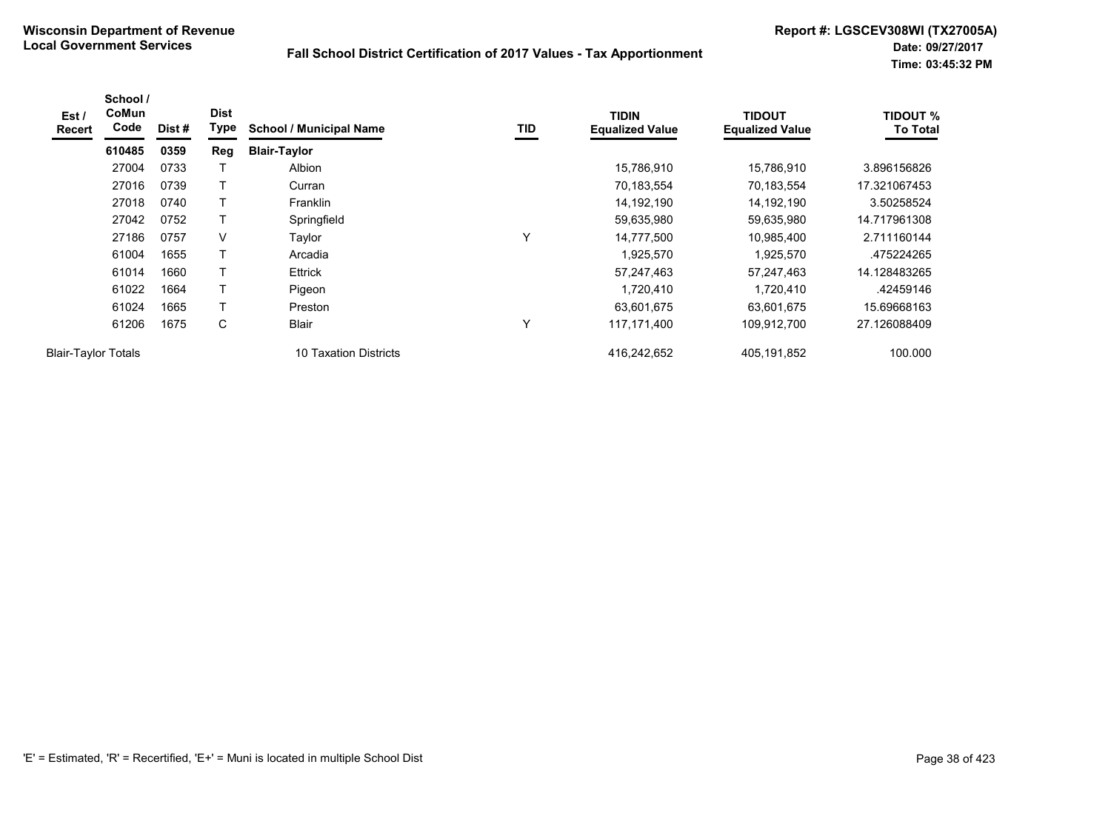| Est /<br><b>Recert</b>     | School /<br><b>CoMun</b><br>Code | Dist # | <b>Dist</b><br>Type | <b>School / Municipal Name</b> | TID | <b>TIDIN</b><br><b>Equalized Value</b> | <b>TIDOUT</b><br><b>Equalized Value</b> | <b>TIDOUT %</b><br><b>To Total</b> |
|----------------------------|----------------------------------|--------|---------------------|--------------------------------|-----|----------------------------------------|-----------------------------------------|------------------------------------|
|                            | 610485                           | 0359   | Reg                 | <b>Blair-Taylor</b>            |     |                                        |                                         |                                    |
|                            | 27004                            | 0733   |                     | Albion                         |     | 15,786,910                             | 15,786,910                              | 3.896156826                        |
|                            | 27016                            | 0739   | T                   | Curran                         |     | 70,183,554                             | 70,183,554                              | 17.321067453                       |
|                            | 27018                            | 0740   | T                   | <b>Franklin</b>                |     | 14,192,190                             | 14,192,190                              | 3.50258524                         |
|                            | 27042                            | 0752   |                     | Springfield                    |     | 59,635,980                             | 59,635,980                              | 14.717961308                       |
|                            | 27186                            | 0757   | V                   | Taylor                         | Y   | 14,777,500                             | 10,985,400                              | 2.711160144                        |
|                            | 61004                            | 1655   | T                   | Arcadia                        |     | 1,925,570                              | 1,925,570                               | .475224265                         |
|                            | 61014                            | 1660   | T                   | <b>Ettrick</b>                 |     | 57,247,463                             | 57,247,463                              | 14.128483265                       |
|                            | 61022                            | 1664   | T                   | Pigeon                         |     | 1,720,410                              | 1,720,410                               | .42459146                          |
|                            | 61024                            | 1665   |                     | Preston                        |     | 63,601,675                             | 63,601,675                              | 15.69668163                        |
|                            | 61206                            | 1675   | C                   | Blair                          | Y   | 117,171,400                            | 109,912,700                             | 27.126088409                       |
| <b>Blair-Taylor Totals</b> |                                  |        |                     | 10 Taxation Districts          |     | 416,242,652                            | 405,191,852                             | 100.000                            |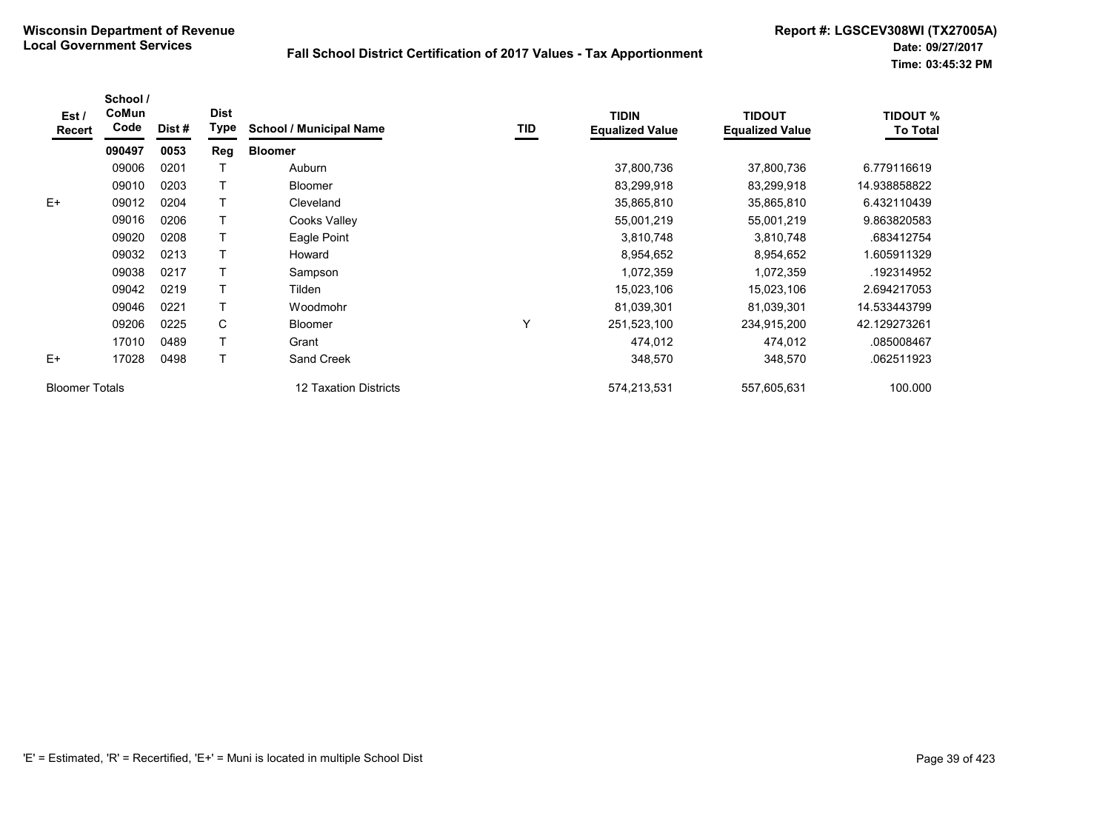| Est/<br>Recert        | School /<br>CoMun<br>Code | Dist# | <b>Dist</b><br>Type | <b>School / Municipal Name</b> | TID | <b>TIDIN</b><br><b>Equalized Value</b> | <b>TIDOUT</b><br><b>Equalized Value</b> | <b>TIDOUT %</b><br><b>To Total</b> |
|-----------------------|---------------------------|-------|---------------------|--------------------------------|-----|----------------------------------------|-----------------------------------------|------------------------------------|
|                       | 090497                    | 0053  | Reg                 | <b>Bloomer</b>                 |     |                                        |                                         |                                    |
|                       | 09006                     | 0201  |                     | Auburn                         |     | 37,800,736                             | 37,800,736                              | 6.779116619                        |
|                       | 09010                     | 0203  |                     | <b>Bloomer</b>                 |     | 83,299,918                             | 83,299,918                              | 14.938858822                       |
| $E+$                  | 09012                     | 0204  |                     | Cleveland                      |     | 35,865,810                             | 35,865,810                              | 6.432110439                        |
|                       | 09016                     | 0206  |                     | Cooks Valley                   |     | 55,001,219                             | 55,001,219                              | 9.863820583                        |
|                       | 09020                     | 0208  |                     | Eagle Point                    |     | 3,810,748                              | 3,810,748                               | .683412754                         |
|                       | 09032                     | 0213  |                     | Howard                         |     | 8,954,652                              | 8,954,652                               | 1.605911329                        |
|                       | 09038                     | 0217  |                     | Sampson                        |     | 1,072,359                              | 1,072,359                               | .192314952                         |
|                       | 09042                     | 0219  |                     | Tilden                         |     | 15,023,106                             | 15,023,106                              | 2.694217053                        |
|                       | 09046                     | 0221  |                     | Woodmohr                       |     | 81,039,301                             | 81,039,301                              | 14.533443799                       |
|                       | 09206                     | 0225  | C                   | Bloomer                        | Υ   | 251,523,100                            | 234,915,200                             | 42.129273261                       |
|                       | 17010                     | 0489  |                     | Grant                          |     | 474,012                                | 474,012                                 | .085008467                         |
| $E+$                  | 17028                     | 0498  |                     | Sand Creek                     |     | 348,570                                | 348,570                                 | .062511923                         |
| <b>Bloomer Totals</b> |                           |       |                     | 12 Taxation Districts          |     | 574,213,531                            | 557,605,631                             | 100.000                            |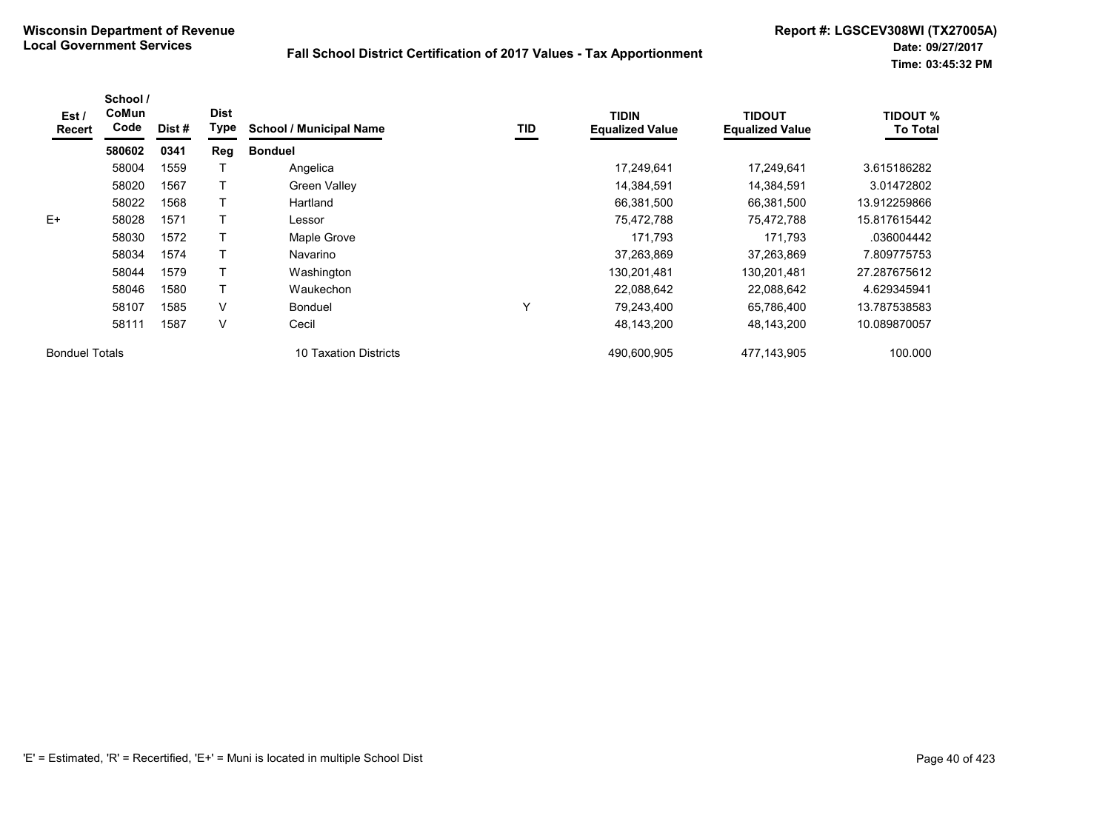| Est /<br>Recert       | School /<br>CoMun<br>Code | Dist # | <b>Dist</b><br><b>Type</b> | <b>School / Municipal Name</b> | TID          | <b>TIDIN</b><br><b>Equalized Value</b> | <b>TIDOUT</b><br><b>Equalized Value</b> | <b>TIDOUT %</b><br><b>To Total</b> |
|-----------------------|---------------------------|--------|----------------------------|--------------------------------|--------------|----------------------------------------|-----------------------------------------|------------------------------------|
|                       | 580602                    | 0341   | Reg                        | <b>Bonduel</b>                 |              |                                        |                                         |                                    |
|                       | 58004                     | 1559   |                            | Angelica                       |              | 17,249,641                             | 17,249,641                              | 3.615186282                        |
|                       | 58020                     | 1567   |                            | Green Valley                   |              | 14,384,591                             | 14,384,591                              | 3.01472802                         |
|                       | 58022                     | 1568   |                            | Hartland                       |              | 66,381,500                             | 66,381,500                              | 13.912259866                       |
| $E+$                  | 58028                     | 1571   |                            | Lessor                         |              | 75,472,788                             | 75,472,788                              | 15.817615442                       |
|                       | 58030                     | 1572   |                            | Maple Grove                    |              | 171,793                                | 171,793                                 | .036004442                         |
|                       | 58034                     | 1574   |                            | Navarino                       |              | 37,263,869                             | 37,263,869                              | 7.809775753                        |
|                       | 58044                     | 1579   |                            | Washington                     |              | 130,201,481                            | 130,201,481                             | 27.287675612                       |
|                       | 58046                     | 1580   |                            | Waukechon                      |              | 22,088,642                             | 22,088,642                              | 4.629345941                        |
|                       | 58107                     | 1585   | $\vee$                     | <b>Bonduel</b>                 | $\checkmark$ | 79,243,400                             | 65,786,400                              | 13.787538583                       |
|                       | 58111                     | 1587   | V                          | Cecil                          |              | 48,143,200                             | 48,143,200                              | 10.089870057                       |
| <b>Bonduel Totals</b> |                           |        |                            | 10 Taxation Districts          |              | 490,600,905                            | 477,143,905                             | 100.000                            |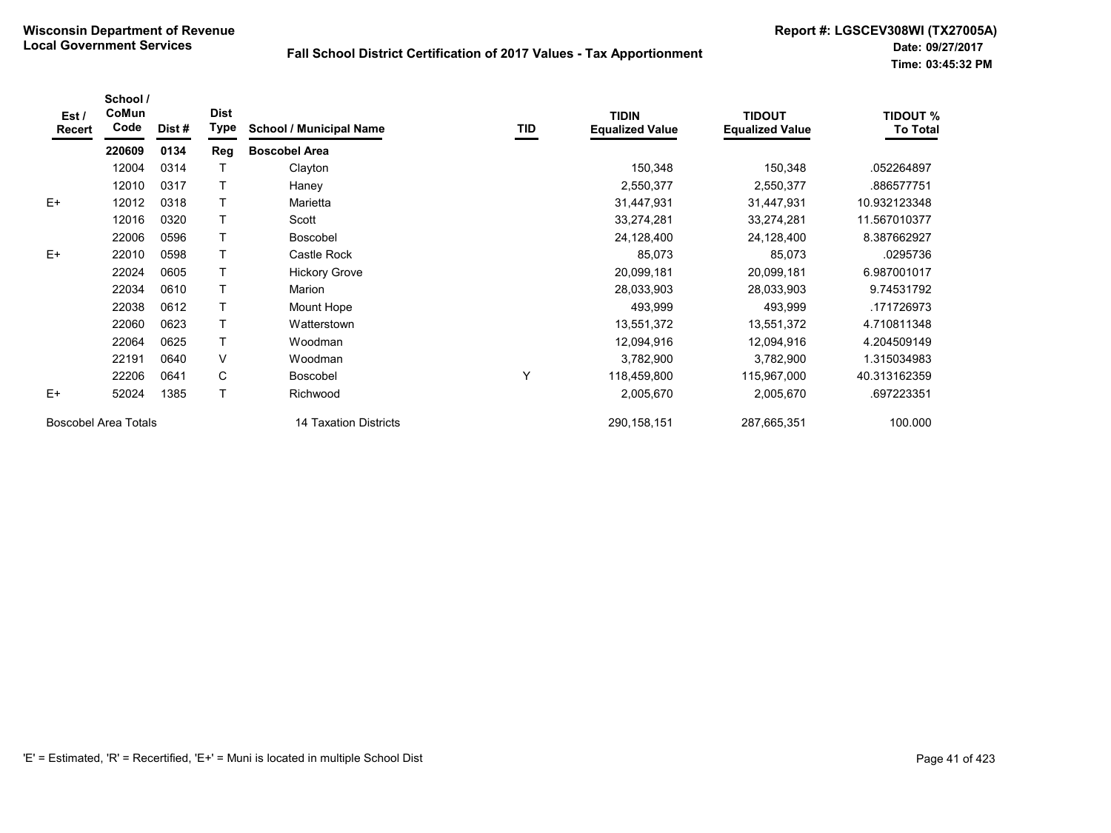| Est/<br>Recert | School /<br>CoMun<br>Code | Dist# | <b>Dist</b><br><b>Type</b> | <b>School / Municipal Name</b> | TID | <b>TIDIN</b><br><b>Equalized Value</b> | <b>TIDOUT</b><br><b>Equalized Value</b> | <b>TIDOUT %</b><br><b>To Total</b> |
|----------------|---------------------------|-------|----------------------------|--------------------------------|-----|----------------------------------------|-----------------------------------------|------------------------------------|
|                | 220609                    | 0134  | Reg                        | <b>Boscobel Area</b>           |     |                                        |                                         |                                    |
|                | 12004                     | 0314  |                            | Clayton                        |     | 150,348                                | 150,348                                 | .052264897                         |
|                | 12010                     | 0317  |                            | Haney                          |     | 2,550,377                              | 2,550,377                               | .886577751                         |
| $E+$           | 12012                     | 0318  |                            | Marietta                       |     | 31,447,931                             | 31,447,931                              | 10.932123348                       |
|                | 12016                     | 0320  |                            | Scott                          |     | 33,274,281                             | 33,274,281                              | 11.567010377                       |
|                | 22006                     | 0596  |                            | <b>Boscobel</b>                |     | 24,128,400                             | 24,128,400                              | 8.387662927                        |
| $E+$           | 22010                     | 0598  |                            | Castle Rock                    |     | 85,073                                 | 85,073                                  | .0295736                           |
|                | 22024                     | 0605  |                            | <b>Hickory Grove</b>           |     | 20,099,181                             | 20,099,181                              | 6.987001017                        |
|                | 22034                     | 0610  |                            | Marion                         |     | 28,033,903                             | 28,033,903                              | 9.74531792                         |
|                | 22038                     | 0612  |                            | Mount Hope                     |     | 493,999                                | 493,999                                 | .171726973                         |
|                | 22060                     | 0623  |                            | Watterstown                    |     | 13,551,372                             | 13,551,372                              | 4.710811348                        |
|                | 22064                     | 0625  | т                          | Woodman                        |     | 12,094,916                             | 12,094,916                              | 4.204509149                        |
|                | 22191                     | 0640  | V                          | Woodman                        |     | 3,782,900                              | 3,782,900                               | 1.315034983                        |
|                | 22206                     | 0641  | C                          | Boscobel                       | Y   | 118,459,800                            | 115,967,000                             | 40.313162359                       |
| $E+$           | 52024                     | 1385  | т                          | Richwood                       |     | 2,005,670                              | 2,005,670                               | .697223351                         |
|                | Boscobel Area Totals      |       |                            | 14 Taxation Districts          |     | 290, 158, 151                          | 287,665,351                             | 100.000                            |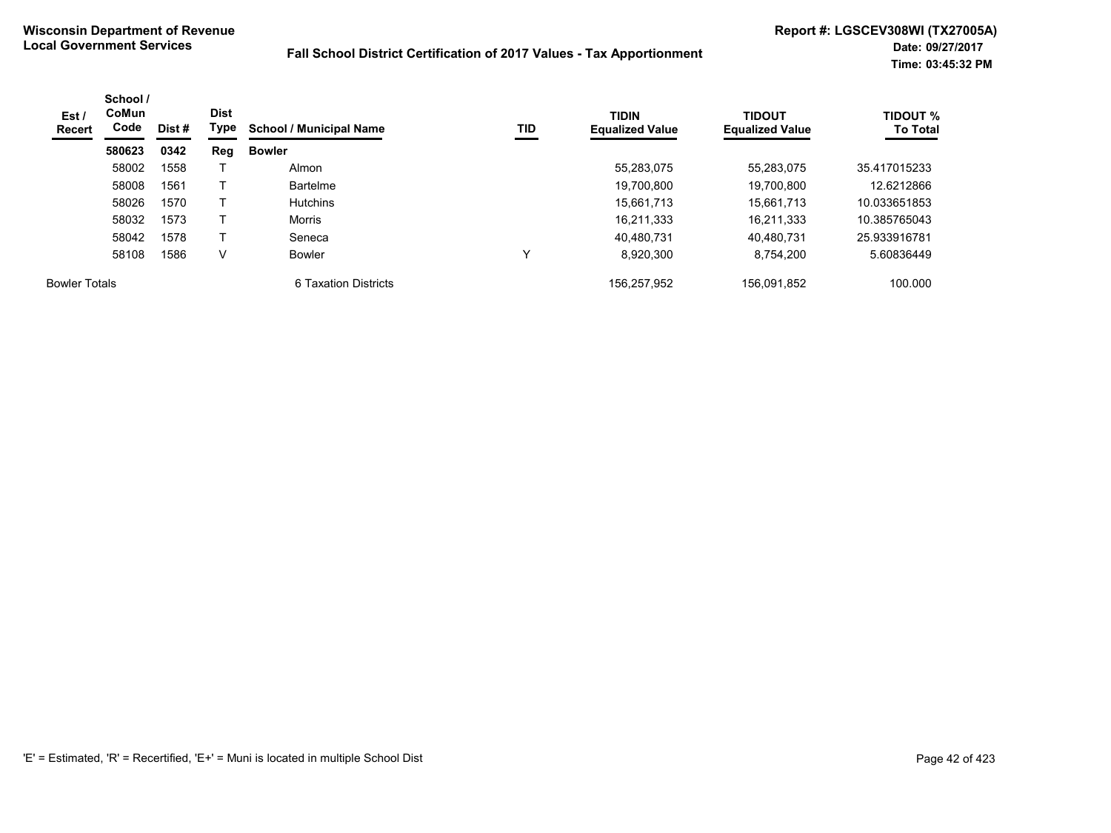| Est /<br>Recert      | School /<br>CoMun<br>Code | Dist # | <b>Dist</b><br>Type | <b>School / Municipal Name</b> | TID | <b>TIDIN</b><br><b>Equalized Value</b> | <b>TIDOUT</b><br><b>Equalized Value</b> | <b>TIDOUT %</b><br><b>To Total</b> |
|----------------------|---------------------------|--------|---------------------|--------------------------------|-----|----------------------------------------|-----------------------------------------|------------------------------------|
|                      | 580623                    | 0342   | Reg                 | <b>Bowler</b>                  |     |                                        |                                         |                                    |
|                      | 58002                     | 1558   |                     | Almon                          |     | 55,283,075                             | 55,283,075                              | 35.417015233                       |
|                      | 58008                     | 1561   |                     | <b>Bartelme</b>                |     | 19,700,800                             | 19,700,800                              | 12.6212866                         |
|                      | 58026                     | 1570   |                     | <b>Hutchins</b>                |     | 15.661.713                             | 15.661.713                              | 10.033651853                       |
|                      | 58032                     | 1573   |                     | <b>Morris</b>                  |     | 16,211,333                             | 16,211,333                              | 10.385765043                       |
|                      | 58042                     | 1578   |                     | Seneca                         |     | 40.480.731                             | 40.480.731                              | 25.933916781                       |
|                      | 58108                     | 1586   | V                   | Bowler                         |     | 8.920.300                              | 8.754.200                               | 5.60836449                         |
| <b>Bowler Totals</b> |                           |        |                     | 6 Taxation Districts           |     | 156.257.952                            | 156.091.852                             | 100.000                            |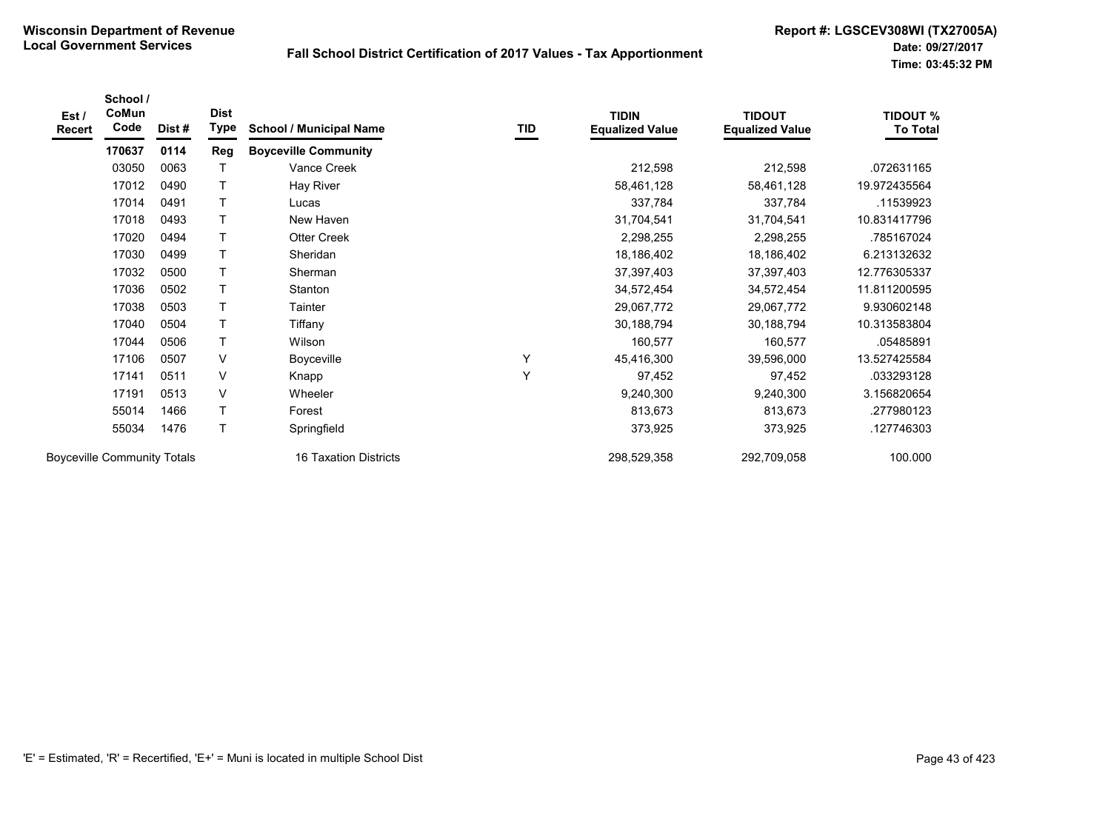| Est /<br>Recert | School /<br>CoMun<br>Code          | Dist# | <b>Dist</b><br>Type | <b>School / Municipal Name</b> | TID | <b>TIDIN</b><br><b>Equalized Value</b> | <b>TIDOUT</b><br><b>Equalized Value</b> | <b>TIDOUT %</b><br><b>To Total</b> |
|-----------------|------------------------------------|-------|---------------------|--------------------------------|-----|----------------------------------------|-----------------------------------------|------------------------------------|
|                 | 170637                             | 0114  | Reg                 | <b>Boyceville Community</b>    |     |                                        |                                         |                                    |
|                 | 03050                              | 0063  |                     | Vance Creek                    |     | 212,598                                | 212,598                                 | .072631165                         |
|                 | 17012                              | 0490  | Τ                   | Hay River                      |     | 58,461,128                             | 58,461,128                              | 19.972435564                       |
|                 | 17014                              | 0491  | т                   | Lucas                          |     | 337,784                                | 337,784                                 | .11539923                          |
|                 | 17018                              | 0493  | т                   | New Haven                      |     | 31,704,541                             | 31,704,541                              | 10.831417796                       |
|                 | 17020                              | 0494  | T                   | <b>Otter Creek</b>             |     | 2,298,255                              | 2,298,255                               | .785167024                         |
|                 | 17030                              | 0499  | Τ                   | Sheridan                       |     | 18,186,402                             | 18,186,402                              | 6.213132632                        |
|                 | 17032                              | 0500  | T                   | Sherman                        |     | 37,397,403                             | 37,397,403                              | 12.776305337                       |
|                 | 17036                              | 0502  | T                   | Stanton                        |     | 34,572,454                             | 34,572,454                              | 11.811200595                       |
|                 | 17038                              | 0503  | T                   | Tainter                        |     | 29,067,772                             | 29,067,772                              | 9.930602148                        |
|                 | 17040                              | 0504  | T                   | Tiffany                        |     | 30,188,794                             | 30,188,794                              | 10.313583804                       |
|                 | 17044                              | 0506  | T                   | Wilson                         |     | 160,577                                | 160,577                                 | .05485891                          |
|                 | 17106                              | 0507  | $\vee$              | Boyceville                     | Υ   | 45,416,300                             | 39,596,000                              | 13.527425584                       |
|                 | 17141                              | 0511  | $\vee$              | Knapp                          | Y   | 97,452                                 | 97,452                                  | .033293128                         |
|                 | 17191                              | 0513  | $\vee$              | Wheeler                        |     | 9,240,300                              | 9,240,300                               | 3.156820654                        |
|                 | 55014                              | 1466  | T                   | Forest                         |     | 813,673                                | 813,673                                 | .277980123                         |
|                 | 55034                              | 1476  | T                   | Springfield                    |     | 373,925                                | 373,925                                 | 127746303                          |
|                 | <b>Boyceville Community Totals</b> |       |                     | <b>16 Taxation Districts</b>   |     | 298,529,358                            | 292,709,058                             | 100.000                            |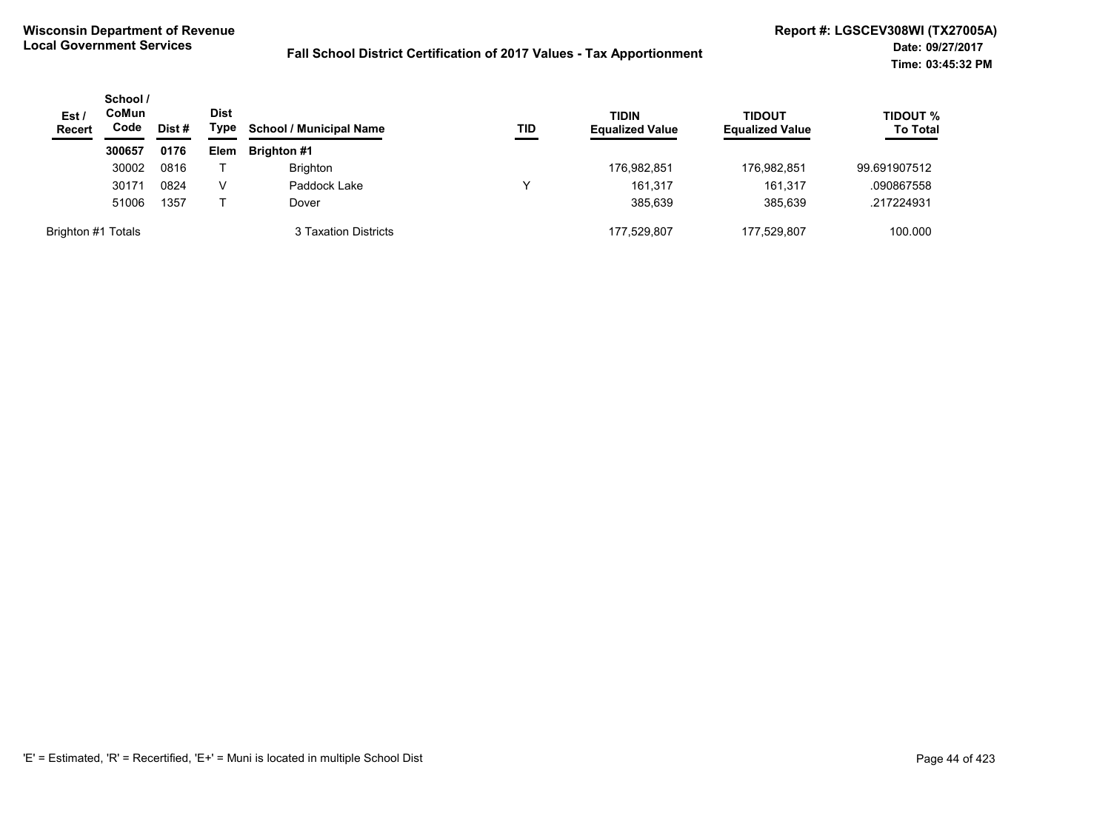| Est/<br><b>Recert</b> | School /<br>CoMun<br>Code | Dist# | <b>Dist</b><br>Type | <b>TIDIN</b><br><b>School / Municipal Name</b><br>TID | <b>Equalized Value</b> | <b>TIDOUT</b><br><b>Equalized Value</b> | <b>TIDOUT %</b><br><b>To Total</b> |              |
|-----------------------|---------------------------|-------|---------------------|-------------------------------------------------------|------------------------|-----------------------------------------|------------------------------------|--------------|
|                       | 300657                    | 0176  | Elem                | <b>Brighton #1</b>                                    |                        |                                         |                                    |              |
|                       | 30002                     | 0816  |                     | <b>Brighton</b>                                       |                        | 176,982,851                             | 176,982,851                        | 99.691907512 |
|                       | 30171                     | 0824  | v                   | Paddock Lake                                          |                        | 161.317                                 | 161,317                            | .090867558   |
|                       | 51006                     | 1357  |                     | Dover                                                 |                        | 385.639                                 | 385,639                            | .217224931   |
| Brighton #1 Totals    |                           |       |                     | 3 Taxation Districts                                  |                        | 177.529.807                             | 177.529.807                        | 100.000      |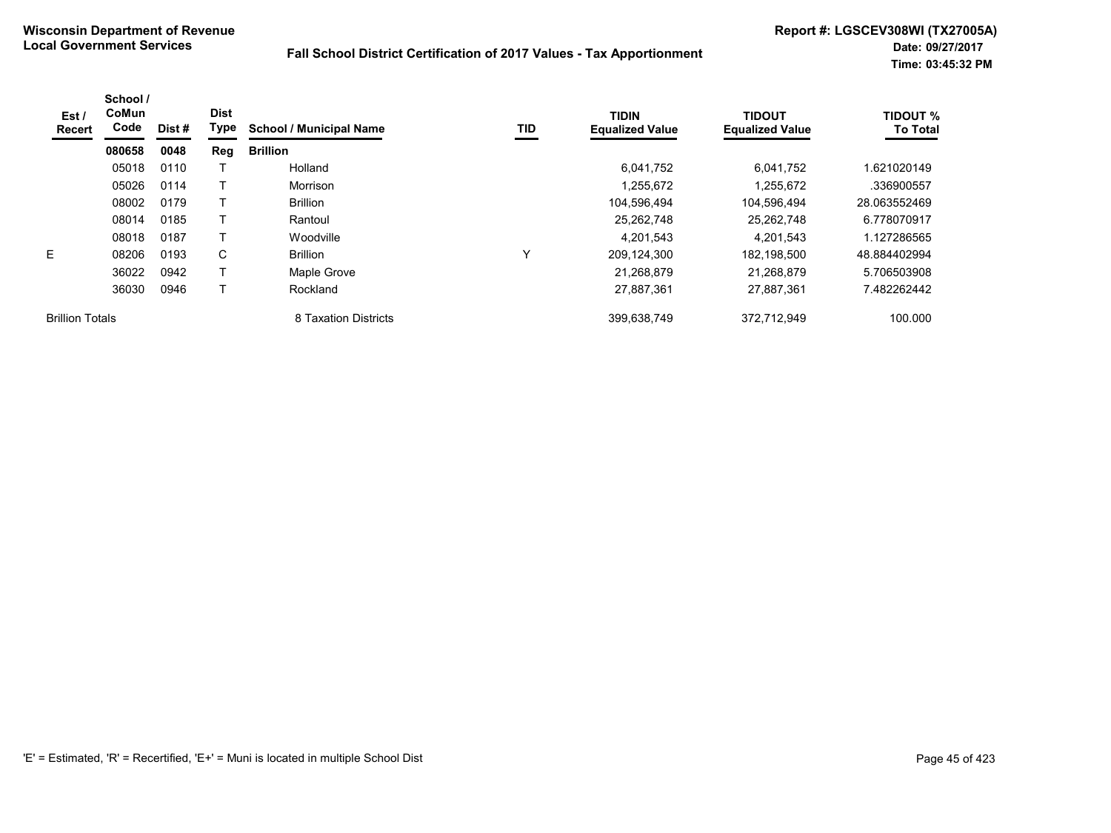| Est /<br>Recert        | School /<br><b>CoMun</b><br>Code | Dist # | <b>Dist</b><br>Type | <b>School / Municipal Name</b> | TID         | <b>TIDIN</b><br><b>Equalized Value</b> | <b>TIDOUT</b><br><b>Equalized Value</b> | <b>TIDOUT %</b><br><b>To Total</b> |
|------------------------|----------------------------------|--------|---------------------|--------------------------------|-------------|----------------------------------------|-----------------------------------------|------------------------------------|
|                        | 080658                           | 0048   | Reg                 | <b>Brillion</b>                |             |                                        |                                         |                                    |
|                        | 05018                            | 0110   |                     | Holland                        |             | 6,041,752                              | 6,041,752                               | 621020149.                         |
|                        | 05026                            | 0114   |                     | Morrison                       |             | 1,255,672                              | 1,255,672                               | .336900557                         |
|                        | 08002                            | 0179   |                     | <b>Brillion</b>                |             | 104,596,494                            | 104,596,494                             | 28.063552469                       |
|                        | 08014                            | 0185   |                     | Rantoul                        |             | 25,262,748                             | 25,262,748                              | 6.778070917                        |
|                        | 08018                            | 0187   |                     | Woodville                      |             | 4,201,543                              | 4,201,543                               | 1.127286565                        |
| E.                     | 08206                            | 0193   | C                   | <b>Brillion</b>                | $\check{ }$ | 209,124,300                            | 182.198.500                             | 48.884402994                       |
|                        | 36022                            | 0942   |                     | Maple Grove                    |             | 21,268,879                             | 21,268,879                              | 5.706503908                        |
|                        | 36030                            | 0946   |                     | Rockland                       |             | 27,887,361                             | 27,887,361                              | 7.482262442                        |
| <b>Brillion Totals</b> |                                  |        |                     | 8 Taxation Districts           |             | 399,638,749                            | 372.712.949                             | 100.000                            |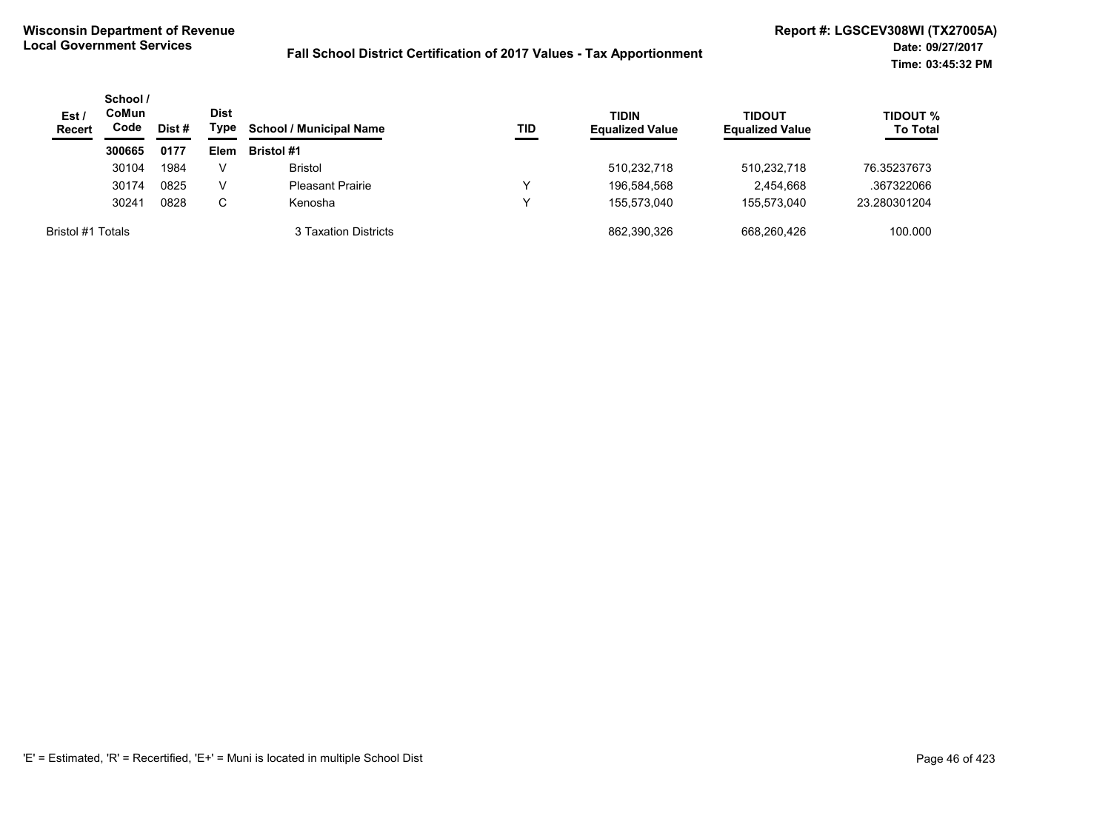| Est/<br><b>Recert</b> | School /<br>CoMun<br>Code | Dist # | <b>Dist</b><br>Type | <b>School / Municipal Name</b> | TID | <b>TIDIN</b><br><b>Equalized Value</b> | TIDOUT<br><b>Equalized Value</b> | <b>TIDOUT %</b><br><b>To Total</b> |
|-----------------------|---------------------------|--------|---------------------|--------------------------------|-----|----------------------------------------|----------------------------------|------------------------------------|
|                       | 300665                    | 0177   | Elem                | <b>Bristol #1</b>              |     |                                        |                                  |                                    |
|                       | 30104                     | 1984   | V                   | <b>Bristol</b>                 |     | 510,232,718                            | 510,232,718                      | 76.35237673                        |
|                       | 30174                     | 0825   | V                   | <b>Pleasant Prairie</b>        |     | 196.584.568                            | 2.454.668                        | .367322066                         |
|                       | 30241                     | 0828   | C                   | Kenosha                        |     | 155.573.040                            | 155.573.040                      | 23.280301204                       |
| Bristol #1 Totals     |                           |        |                     | 3 Taxation Districts           |     | 862,390,326                            | 668.260.426                      | 100.000                            |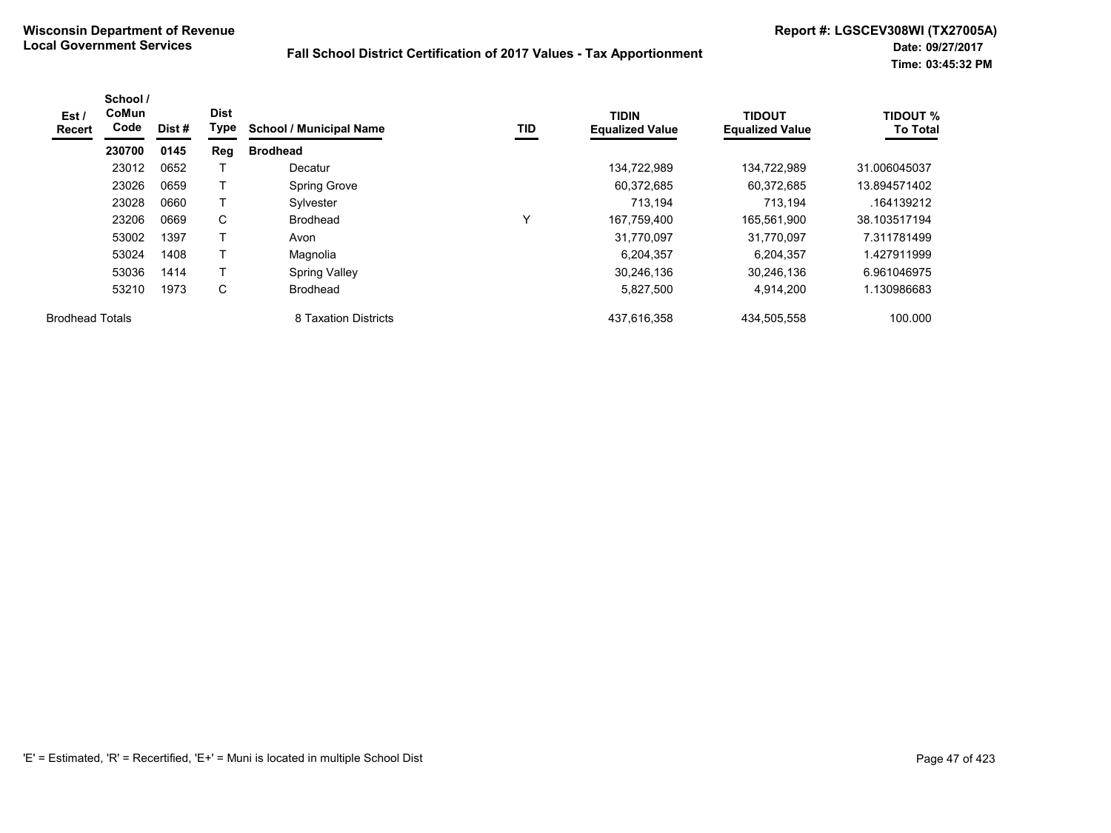| Est/<br>Recert         | School /<br>CoMun<br>Code | Dist # | <b>Dist</b><br>Type | <b>School / Municipal Name</b> | TID | <b>TIDIN</b><br><b>Equalized Value</b> | <b>TIDOUT</b><br><b>Equalized Value</b> | <b>TIDOUT %</b><br><b>To Total</b> |
|------------------------|---------------------------|--------|---------------------|--------------------------------|-----|----------------------------------------|-----------------------------------------|------------------------------------|
|                        | 230700                    | 0145   | Reg                 | <b>Brodhead</b>                |     |                                        |                                         |                                    |
|                        | 23012                     | 0652   |                     | Decatur                        |     | 134,722,989                            | 134,722,989                             | 31.006045037                       |
|                        | 23026                     | 0659   | $\mathsf{T}$        | <b>Spring Grove</b>            |     | 60,372,685                             | 60,372,685                              | 13.894571402                       |
|                        | 23028                     | 0660   | т                   | Sylvester                      |     | 713.194                                | 713.194                                 | .164139212                         |
|                        | 23206                     | 0669   | C                   | <b>Brodhead</b>                | v   | 167,759,400                            | 165.561.900                             | 38.103517194                       |
|                        | 53002                     | 1397   | т                   | Avon                           |     | 31.770.097                             | 31.770.097                              | 7.311781499                        |
|                        | 53024                     | 1408   | т                   | Magnolia                       |     | 6,204,357                              | 6.204.357                               | 1.427911999                        |
|                        | 53036                     | 1414   |                     | <b>Spring Valley</b>           |     | 30.246.136                             | 30.246.136                              | 6.961046975                        |
|                        | 53210                     | 1973   | C                   | <b>Brodhead</b>                |     | 5,827,500                              | 4.914.200                               | 1.130986683                        |
| <b>Brodhead Totals</b> |                           |        |                     | 8 Taxation Districts           |     | 437,616,358                            | 434,505,558                             | 100.000                            |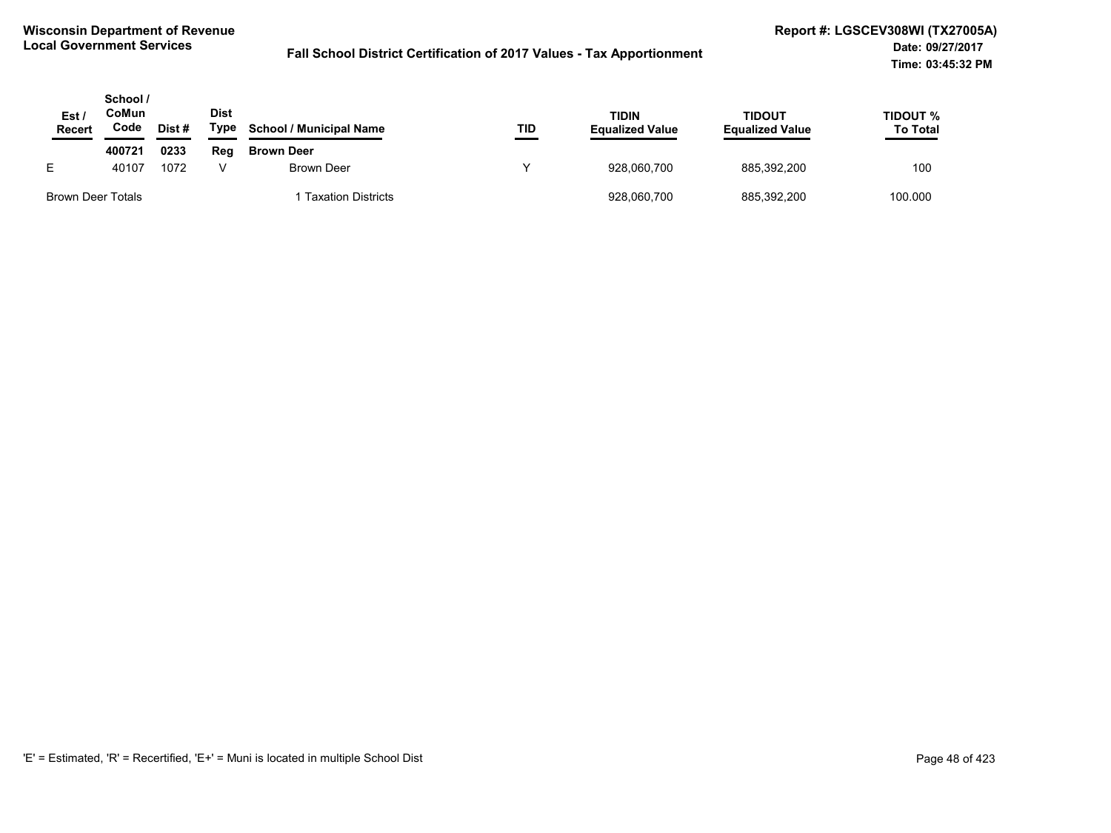| Est.<br>Recert    | School /<br>CoMun<br>Code | Dist # | <b>Dist</b><br>Type | <b>School / Municipal Name</b> | TID | <b>TIDIN</b><br><b>Equalized Value</b> | <b>TIDOUT</b><br><b>Equalized Value</b> | TIDOUT %<br><b>To Total</b> |
|-------------------|---------------------------|--------|---------------------|--------------------------------|-----|----------------------------------------|-----------------------------------------|-----------------------------|
|                   | 400721                    | 0233   | Reg                 | <b>Brown Deer</b>              |     |                                        |                                         |                             |
| E.                | 40107                     | 1072   |                     | Brown Deer                     | v   | 928.060.700                            | 885.392.200                             | 100                         |
| Brown Deer Totals |                           |        |                     | <b>Taxation Districts</b>      |     | 928,060,700                            | 885,392,200                             | 100.000                     |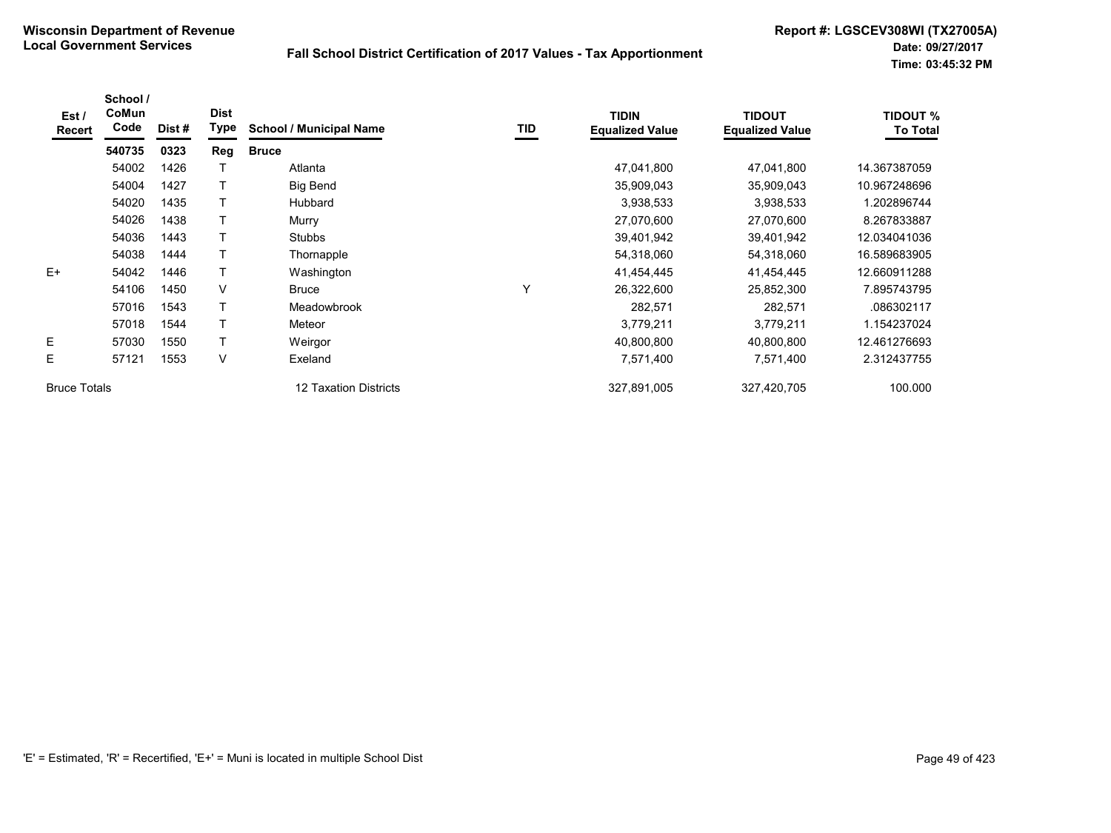| Est /<br>Recert     | School /<br>CoMun<br>Code | Dist # | <b>Dist</b><br>Type | <b>School / Municipal Name</b> | <b>TID</b> | <b>TIDIN</b><br><b>Equalized Value</b> | <b>TIDOUT</b><br><b>Equalized Value</b> | <b>TIDOUT %</b><br><b>To Total</b> |
|---------------------|---------------------------|--------|---------------------|--------------------------------|------------|----------------------------------------|-----------------------------------------|------------------------------------|
|                     | 540735                    | 0323   | Reg                 | <b>Bruce</b>                   |            |                                        |                                         |                                    |
|                     | 54002                     | 1426   |                     | Atlanta                        |            | 47,041,800                             | 47,041,800                              | 14.367387059                       |
|                     | 54004                     | 1427   |                     | Big Bend                       |            | 35,909,043                             | 35,909,043                              | 10.967248696                       |
|                     | 54020                     | 1435   |                     | Hubbard                        |            | 3,938,533                              | 3,938,533                               | 1.202896744                        |
|                     | 54026                     | 1438   |                     | Murry                          |            | 27,070,600                             | 27,070,600                              | 8.267833887                        |
|                     | 54036                     | 1443   |                     | <b>Stubbs</b>                  |            | 39,401,942                             | 39,401,942                              | 12.034041036                       |
|                     | 54038                     | 1444   |                     | Thornapple                     |            | 54,318,060                             | 54,318,060                              | 16.589683905                       |
| $E+$                | 54042                     | 1446   |                     | Washington                     |            | 41,454,445                             | 41,454,445                              | 12.660911288                       |
|                     | 54106                     | 1450   | V                   | <b>Bruce</b>                   | Υ          | 26,322,600                             | 25,852,300                              | 7.895743795                        |
|                     | 57016                     | 1543   |                     | Meadowbrook                    |            | 282,571                                | 282,571                                 | .086302117                         |
|                     | 57018                     | 1544   |                     | Meteor                         |            | 3,779,211                              | 3,779,211                               | 1.154237024                        |
| E                   | 57030                     | 1550   |                     | Weirgor                        |            | 40,800,800                             | 40,800,800                              | 12.461276693                       |
| E                   | 57121                     | 1553   | V                   | Exeland                        |            | 7,571,400                              | 7,571,400                               | 2.312437755                        |
| <b>Bruce Totals</b> |                           |        |                     | 12 Taxation Districts          |            | 327,891,005                            | 327,420,705                             | 100.000                            |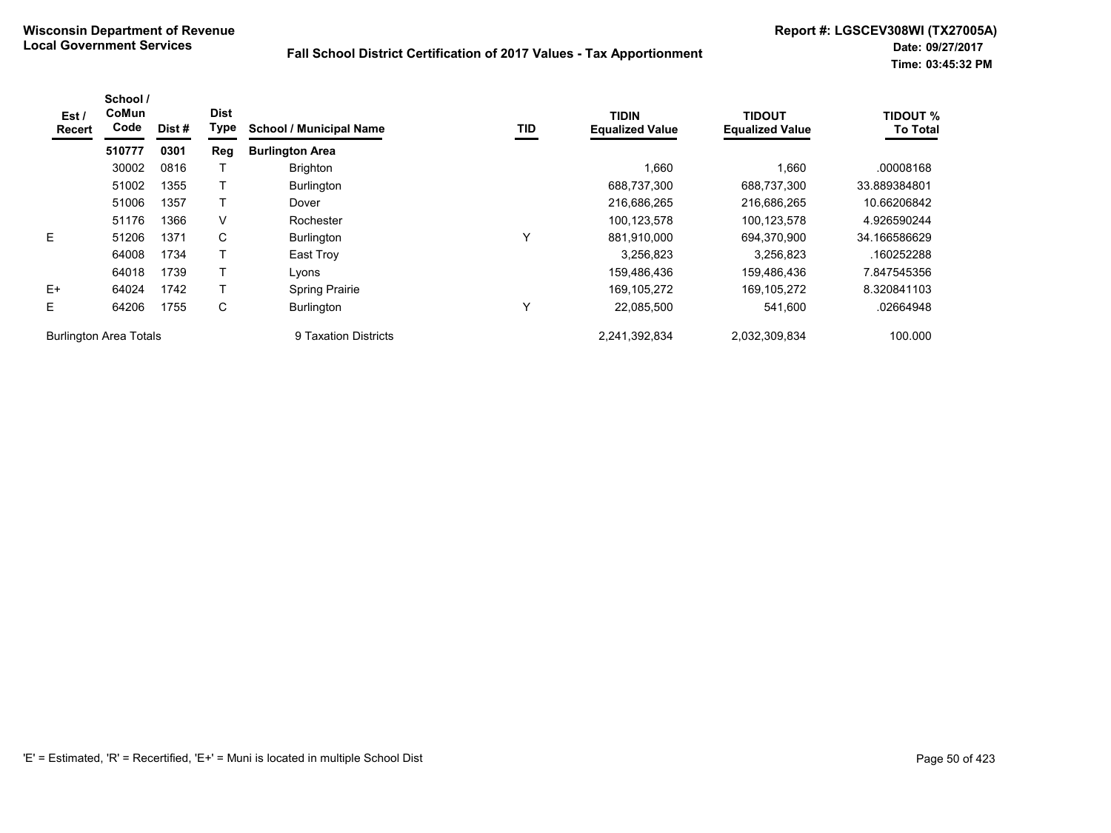| Est /<br>Recert | School /<br>CoMun<br>Code     | Dist# | <b>Dist</b><br>Type | <b>School / Municipal Name</b> | TID | <b>TIDIN</b><br><b>Equalized Value</b> | <b>TIDOUT</b><br><b>Equalized Value</b> | <b>TIDOUT %</b><br><b>To Total</b> |
|-----------------|-------------------------------|-------|---------------------|--------------------------------|-----|----------------------------------------|-----------------------------------------|------------------------------------|
|                 | 510777                        | 0301  | Reg                 | <b>Burlington Area</b>         |     |                                        |                                         |                                    |
|                 | 30002                         | 0816  |                     | <b>Brighton</b>                |     | 1,660                                  | 1,660                                   | .00008168                          |
|                 | 51002                         | 1355  |                     | <b>Burlington</b>              |     | 688,737,300                            | 688.737.300                             | 33.889384801                       |
|                 | 51006                         | 1357  |                     | Dover                          |     | 216,686,265                            | 216,686,265                             | 10.66206842                        |
|                 | 51176                         | 1366  | V                   | Rochester                      |     | 100,123,578                            | 100,123,578                             | 4.926590244                        |
| E               | 51206                         | 1371  | C                   | <b>Burlington</b>              | Y   | 881,910,000                            | 694,370,900                             | 34.166586629                       |
|                 | 64008                         | 1734  |                     | East Troy                      |     | 3,256,823                              | 3,256,823                               | .160252288                         |
|                 | 64018                         | 1739  |                     | Lvons                          |     | 159,486,436                            | 159,486,436                             | 7.847545356                        |
| $E+$            | 64024                         | 1742  |                     | <b>Spring Prairie</b>          |     | 169, 105, 272                          | 169, 105, 272                           | 8.320841103                        |
| Е               | 64206                         | 1755  | С                   | <b>Burlington</b>              | Y   | 22,085,500                             | 541,600                                 | .02664948                          |
|                 | <b>Burlington Area Totals</b> |       |                     | 9 Taxation Districts           |     | 2.241.392.834                          | 2.032.309.834                           | 100.000                            |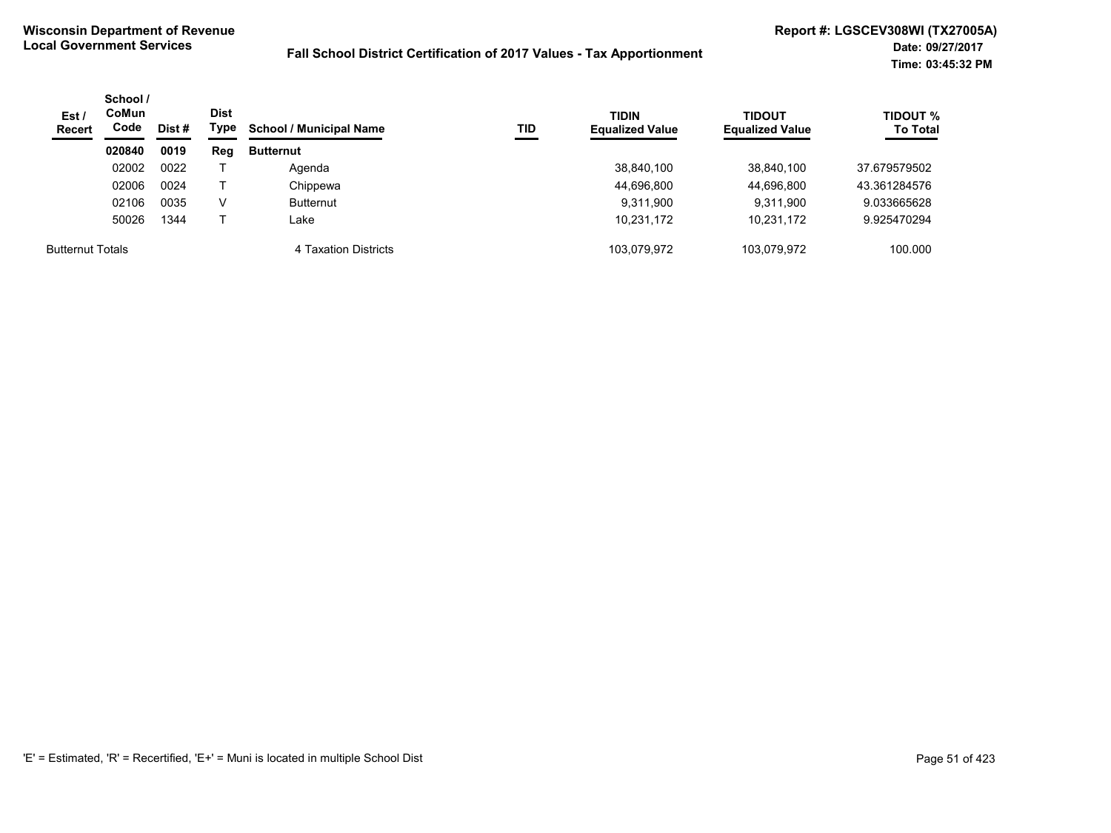| Est/<br><b>Recert</b>   | School /<br><b>CoMun</b><br>Code | Dist # | Dist<br>Type | <b>School / Municipal Name</b> | TID | <b>TIDIN</b><br><b>Equalized Value</b> | <b>TIDOUT</b><br><b>Equalized Value</b> | <b>TIDOUT %</b><br><b>To Total</b> |
|-------------------------|----------------------------------|--------|--------------|--------------------------------|-----|----------------------------------------|-----------------------------------------|------------------------------------|
|                         | 020840                           | 0019   | Reg          | <b>Butternut</b>               |     |                                        |                                         |                                    |
|                         | 02002                            | 0022   |              | Agenda                         |     | 38,840,100                             | 38,840,100                              | 37.679579502                       |
|                         | 02006                            | 0024   |              | Chippewa                       |     | 44,696,800                             | 44,696,800                              | 43.361284576                       |
|                         | 02106                            | 0035   | v            | <b>Butternut</b>               |     | 9,311,900                              | 9,311,900                               | 9.033665628                        |
|                         | 50026                            | 1344   |              | ∟ake                           |     | 10,231,172                             | 10,231,172                              | 9.925470294                        |
| <b>Butternut Totals</b> |                                  |        |              | 4 Taxation Districts           |     | 103.079.972                            | 103.079.972                             | 100.000                            |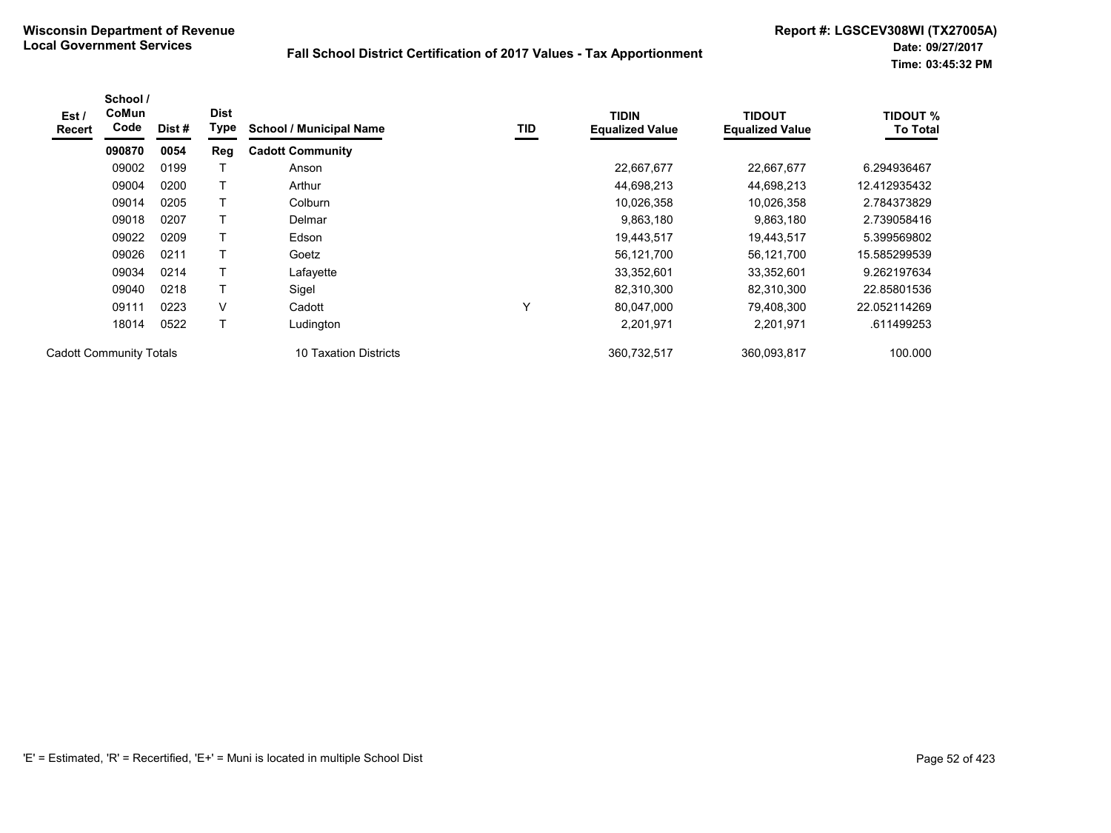| Est /<br><b>Recert</b>         | School /<br><b>CoMun</b><br>Code | Dist# | <b>Dist</b><br>Type | <b>School / Municipal Name</b> | <b>TID</b> | <b>TIDIN</b><br><b>Equalized Value</b> | <b>TIDOUT</b><br><b>Equalized Value</b> | <b>TIDOUT %</b><br><b>To Total</b> |
|--------------------------------|----------------------------------|-------|---------------------|--------------------------------|------------|----------------------------------------|-----------------------------------------|------------------------------------|
|                                | 090870                           | 0054  | Reg                 | <b>Cadott Community</b>        |            |                                        |                                         |                                    |
|                                | 09002                            | 0199  |                     | Anson                          |            | 22,667,677                             | 22,667,677                              | 6.294936467                        |
|                                | 09004                            | 0200  |                     | Arthur                         |            | 44,698,213                             | 44,698,213                              | 12.412935432                       |
|                                | 09014                            | 0205  | T                   | Colburn                        |            | 10,026,358                             | 10,026,358                              | 2.784373829                        |
|                                | 09018                            | 0207  | т                   | Delmar                         |            | 9,863,180                              | 9,863,180                               | 2.739058416                        |
|                                | 09022                            | 0209  | Т                   | Edson                          |            | 19,443,517                             | 19,443,517                              | 5.399569802                        |
|                                | 09026                            | 0211  | T                   | Goetz                          |            | 56,121,700                             | 56,121,700                              | 15.585299539                       |
|                                | 09034                            | 0214  |                     | Lafayette                      |            | 33,352,601                             | 33,352,601                              | 9.262197634                        |
|                                | 09040                            | 0218  | Т                   | Sigel                          |            | 82,310,300                             | 82,310,300                              | 22.85801536                        |
|                                | 09111                            | 0223  | V                   | Cadott                         | Υ          | 80,047,000                             | 79,408,300                              | 22.052114269                       |
|                                | 18014                            | 0522  | T                   | Ludington                      |            | 2,201,971                              | 2,201,971                               | .611499253                         |
| <b>Cadott Community Totals</b> |                                  |       |                     | 10 Taxation Districts          |            | 360,732,517                            | 360,093,817                             | 100.000                            |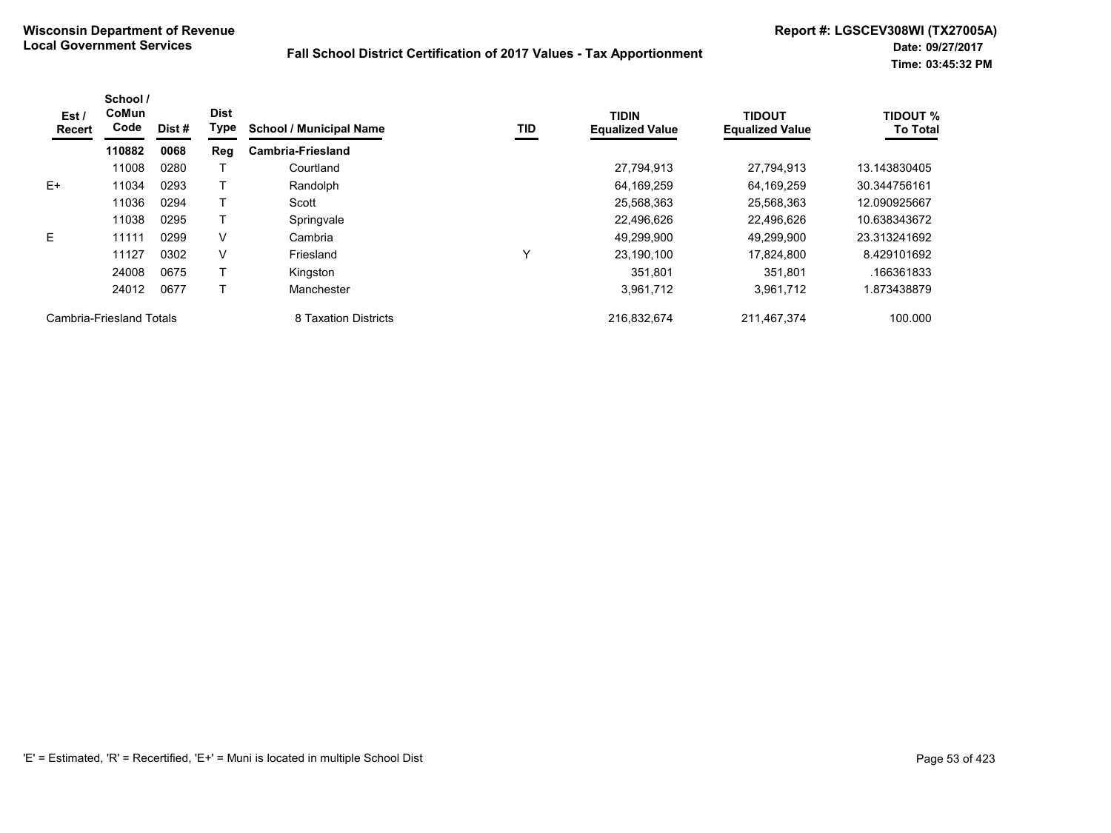| Est/<br><b>Recert</b>    | School /<br>CoMun<br>Code | Dist# | <b>Dist</b><br>Type | <b>School / Municipal Name</b> | TID | <b>TIDIN</b><br><b>Equalized Value</b> | <b>TIDOUT</b><br><b>Equalized Value</b> | <b>TIDOUT %</b><br><b>To Total</b> |
|--------------------------|---------------------------|-------|---------------------|--------------------------------|-----|----------------------------------------|-----------------------------------------|------------------------------------|
|                          | 110882                    | 0068  | Reg                 | <b>Cambria-Friesland</b>       |     |                                        |                                         |                                    |
|                          | 11008                     | 0280  |                     | Courtland                      |     | 27,794,913                             | 27.794.913                              | 13.143830405                       |
| $E+$                     | 11034                     | 0293  |                     | Randolph                       |     | 64,169,259                             | 64.169.259                              | 30.344756161                       |
|                          | 11036                     | 0294  |                     | Scott                          |     | 25,568,363                             | 25,568,363                              | 12.090925667                       |
|                          | 11038                     | 0295  |                     | Springvale                     |     | 22,496,626                             | 22.496.626                              | 10.638343672                       |
| E                        | 11111                     | 0299  | v                   | Cambria                        |     | 49,299,900                             | 49.299.900                              | 23.313241692                       |
|                          | 11127                     | 0302  | V                   | Friesland                      | Υ   | 23,190,100                             | 17,824,800                              | 8.429101692                        |
|                          | 24008                     | 0675  |                     | Kingston                       |     | 351.801                                | 351.801                                 | .166361833                         |
|                          | 24012                     | 0677  |                     | Manchester                     |     | 3,961,712                              | 3,961,712                               | 1.873438879                        |
| Cambria-Friesland Totals |                           |       |                     | 8 Taxation Districts           |     | 216,832,674                            | 211,467,374                             | 100.000                            |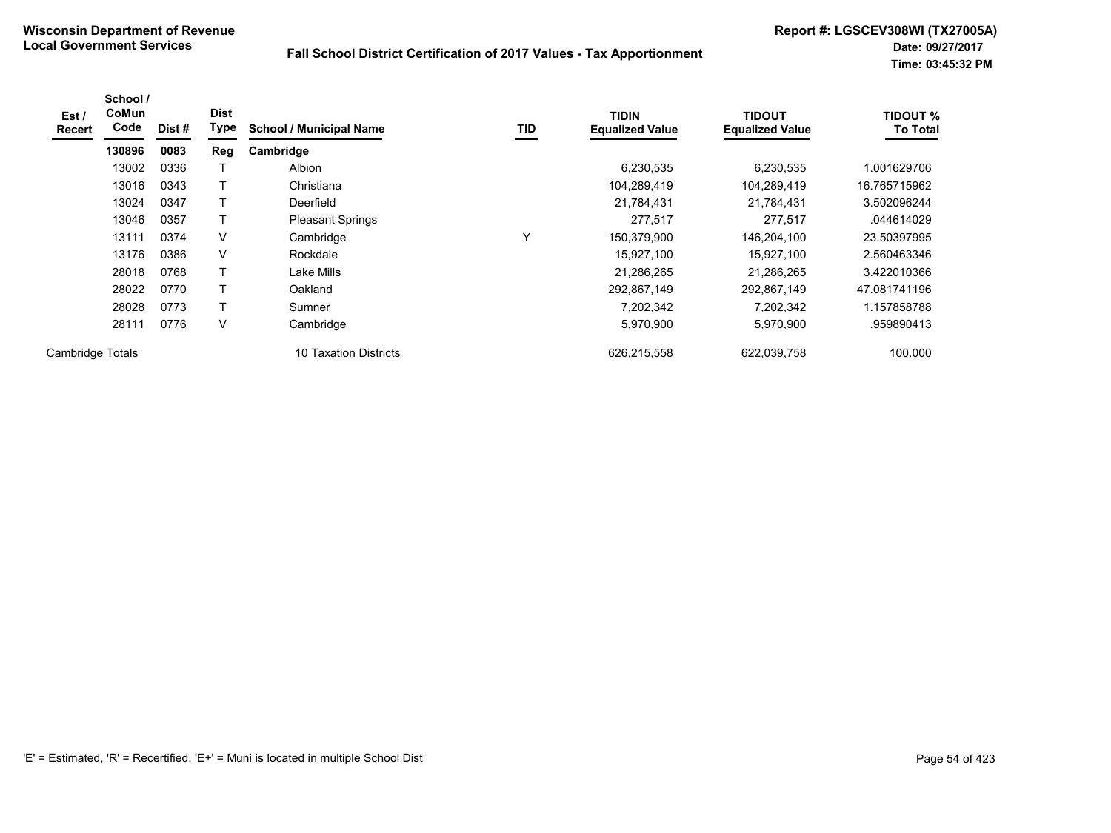| Est /<br><b>Recert</b> | School /<br>CoMun<br>Code | Dist # | <b>Dist</b><br>Type | <b>School / Municipal Name</b> | TID | <b>TIDIN</b><br><b>Equalized Value</b> | <b>TIDOUT</b><br><b>Equalized Value</b> | <b>TIDOUT %</b><br><b>To Total</b> |
|------------------------|---------------------------|--------|---------------------|--------------------------------|-----|----------------------------------------|-----------------------------------------|------------------------------------|
|                        | 130896                    | 0083   | Reg                 | Cambridge                      |     |                                        |                                         |                                    |
|                        | 13002                     | 0336   |                     | Albion                         |     | 6,230,535                              | 6,230,535                               | .001629706                         |
|                        | 13016                     | 0343   |                     | Christiana                     |     | 104,289,419                            | 104,289,419                             | 16.765715962                       |
|                        | 13024                     | 0347   | т                   | Deerfield                      |     | 21,784,431                             | 21,784,431                              | 3.502096244                        |
|                        | 13046                     | 0357   | т                   | <b>Pleasant Springs</b>        |     | 277,517                                | 277,517                                 | .044614029                         |
|                        | 13111                     | 0374   | V                   | Cambridge                      | Υ   | 150,379,900                            | 146,204,100                             | 23.50397995                        |
|                        | 13176                     | 0386   | V                   | Rockdale                       |     | 15,927,100                             | 15,927,100                              | 2.560463346                        |
|                        | 28018                     | 0768   | Τ                   | Lake Mills                     |     | 21,286,265                             | 21,286,265                              | 3.422010366                        |
|                        | 28022                     | 0770   | т                   | Oakland                        |     | 292,867,149                            | 292,867,149                             | 47.081741196                       |
|                        | 28028                     | 0773   | T                   | Sumner                         |     | 7,202,342                              | 7,202,342                               | 1.157858788                        |
|                        | 28111                     | 0776   | V                   | Cambridge                      |     | 5,970,900                              | 5,970,900                               | .959890413                         |
| Cambridge Totals       |                           |        |                     | 10 Taxation Districts          |     | 626,215,558                            | 622,039,758                             | 100.000                            |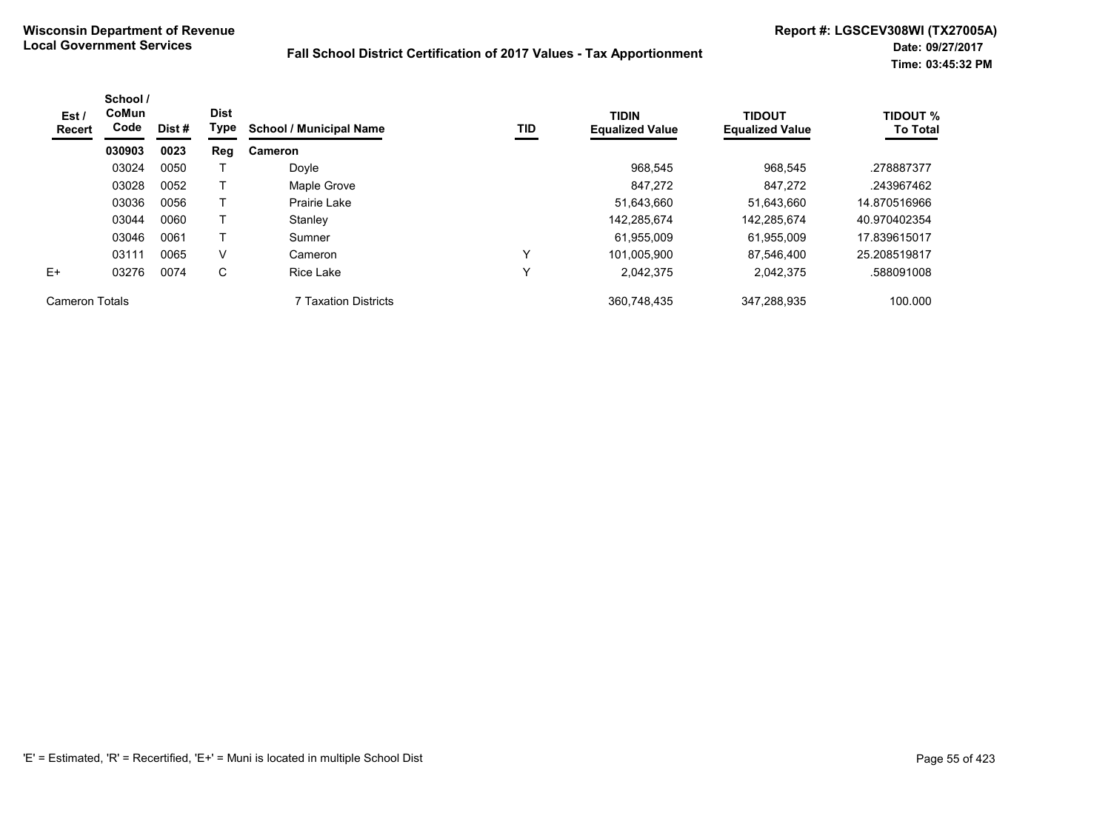| Est/<br><b>Recert</b> | School /<br>CoMun<br>Code | Dist#<br>0023 | <b>Dist</b><br>Type | <b>TIDIN</b><br>TID<br><b>School / Municipal Name</b> | <b>Equalized Value</b> | <b>TIDOUT</b><br><b>Equalized Value</b> | <b>TIDOUT %</b><br><b>To Total</b> |              |
|-----------------------|---------------------------|---------------|---------------------|-------------------------------------------------------|------------------------|-----------------------------------------|------------------------------------|--------------|
|                       | 030903                    |               | Reg                 | <b>Cameron</b>                                        |                        |                                         |                                    |              |
|                       | 03024                     | 0050          |                     | Doyle                                                 |                        | 968.545                                 | 968,545                            | .278887377   |
|                       | 03028                     | 0052          |                     | Maple Grove                                           |                        | 847.272                                 | 847.272                            | .243967462   |
|                       | 03036                     | 0056          |                     | Prairie Lake                                          |                        | 51,643,660                              | 51,643,660                         | 14.870516966 |
|                       | 03044                     | 0060          |                     | Stanley                                               |                        | 142,285,674                             | 142,285,674                        | 40.970402354 |
|                       | 03046                     | 0061          |                     | Sumner                                                |                        | 61,955,009                              | 61,955,009                         | 17.839615017 |
|                       | 03111                     | 0065          | V                   | Cameron                                               | Y                      | 101,005,900                             | 87.546.400                         | 25.208519817 |
| $E+$                  | 03276                     | 0074          | C                   | Rice Lake                                             | v                      | 2,042,375                               | 2,042,375                          | .588091008   |
| <b>Cameron Totals</b> |                           |               |                     | <b>7 Taxation Districts</b>                           |                        | 360,748,435                             | 347.288.935                        | 100.000      |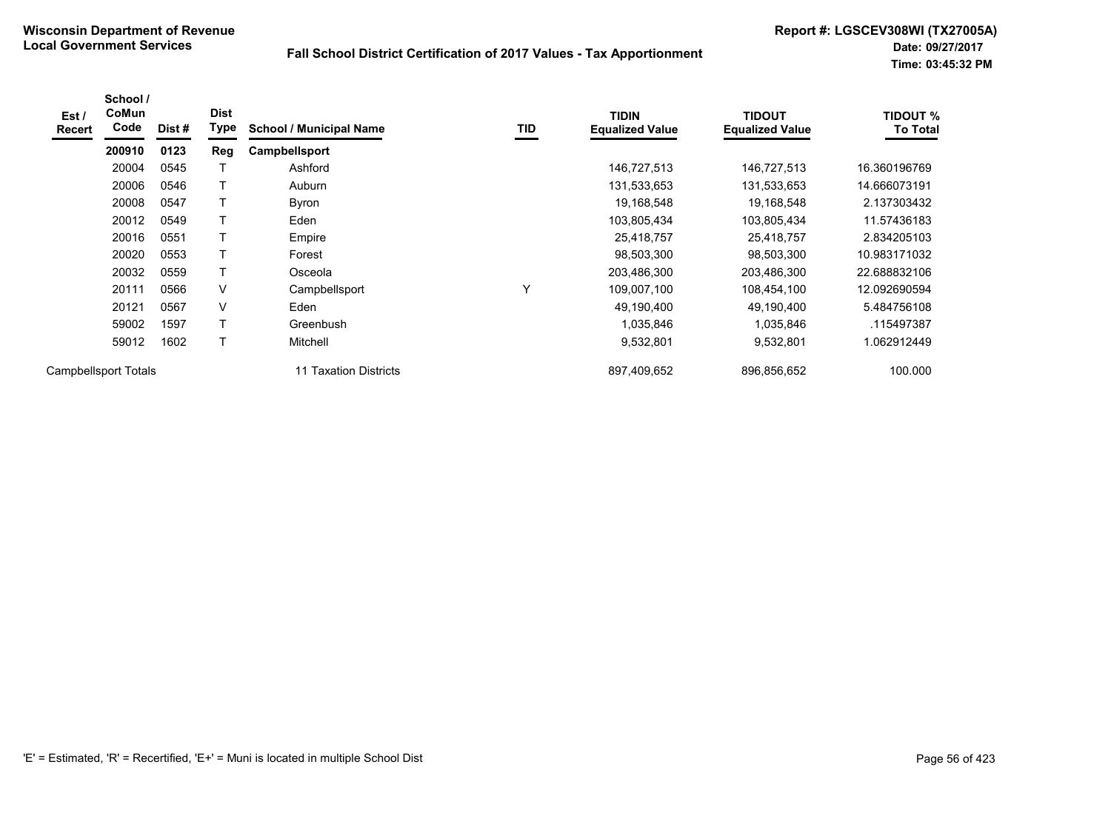| Est /<br><b>Recert</b> | School /<br>CoMun<br>Code   | Dist # | <b>Dist</b><br>Type | <b>School / Municipal Name</b> | TID          | <b>TIDIN</b><br><b>Equalized Value</b> | <b>TIDOUT</b><br><b>Equalized Value</b> | <b>TIDOUT %</b><br><b>To Total</b> |
|------------------------|-----------------------------|--------|---------------------|--------------------------------|--------------|----------------------------------------|-----------------------------------------|------------------------------------|
|                        | 200910                      | 0123   | Reg                 | <b>Campbellsport</b>           |              |                                        |                                         |                                    |
|                        | 20004                       | 0545   | т                   | Ashford                        |              | 146,727,513                            | 146,727,513                             | 16.360196769                       |
|                        | 20006                       | 0546   | т                   | Auburn                         |              | 131,533,653                            | 131,533,653                             | 14.666073191                       |
|                        | 20008                       | 0547   | T                   | Byron                          |              | 19,168,548                             | 19,168,548                              | 2.137303432                        |
|                        | 20012                       | 0549   | T                   | Eden                           |              | 103,805,434                            | 103,805,434                             | 11.57436183                        |
|                        | 20016                       | 0551   | T                   | Empire                         |              | 25,418,757                             | 25,418,757                              | 2.834205103                        |
|                        | 20020                       | 0553   | T                   | Forest                         |              | 98,503,300                             | 98,503,300                              | 10.983171032                       |
|                        | 20032                       | 0559   | T                   | Osceola                        |              | 203,486,300                            | 203,486,300                             | 22.688832106                       |
|                        | 20111                       | 0566   | V                   | Campbellsport                  | $\checkmark$ | 109,007,100                            | 108,454,100                             | 12.092690594                       |
|                        | 20121                       | 0567   | V                   | Eden                           |              | 49,190,400                             | 49,190,400                              | 5.484756108                        |
|                        | 59002                       | 1597   | T                   | Greenbush                      |              | 1,035,846                              | 1,035,846                               | .115497387                         |
|                        | 59012                       | 1602   | T                   | Mitchell                       |              | 9,532,801                              | 9,532,801                               | 062912449.                         |
|                        | <b>Campbellsport Totals</b> |        |                     | 11 Taxation Districts          |              | 897,409,652                            | 896,856,652                             | 100.000                            |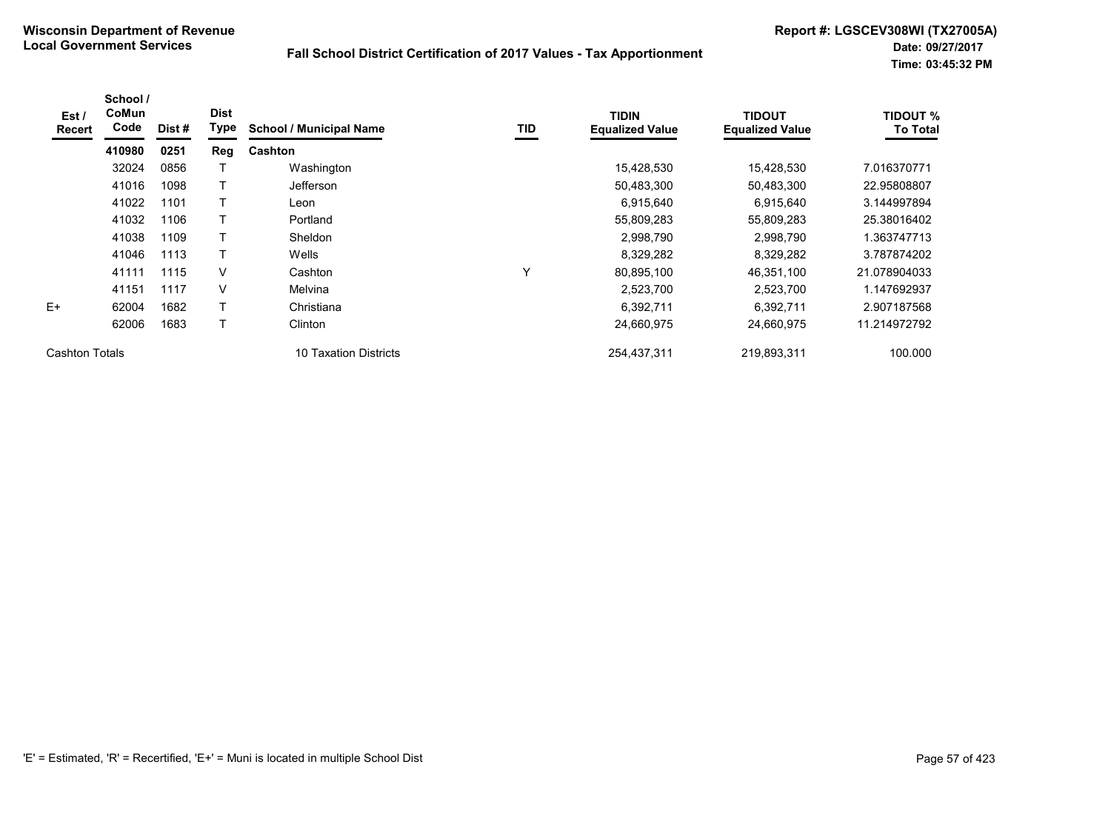| Est/<br><b>Recert</b> | School /<br><b>CoMun</b><br>Code | Dist # | <b>Dist</b><br>Type | <b>School / Municipal Name</b> | <b>TID</b> | <b>TIDIN</b><br><b>Equalized Value</b> | <b>TIDOUT</b><br><b>Equalized Value</b> | <b>TIDOUT %</b><br><b>To Total</b> |
|-----------------------|----------------------------------|--------|---------------------|--------------------------------|------------|----------------------------------------|-----------------------------------------|------------------------------------|
|                       | 410980                           | 0251   | Reg                 | Cashton                        |            |                                        |                                         |                                    |
|                       | 32024                            | 0856   |                     | Washington                     |            | 15,428,530                             | 15,428,530                              | 7.016370771                        |
|                       | 41016                            | 1098   | Т                   | <b>Jefferson</b>               |            | 50,483,300                             | 50,483,300                              | 22.95808807                        |
|                       | 41022                            | 1101   | т                   | Leon                           |            | 6,915,640                              | 6,915,640                               | 3.144997894                        |
|                       | 41032                            | 1106   | $\mathsf{T}$        | Portland                       |            | 55,809,283                             | 55,809,283                              | 25.38016402                        |
|                       | 41038                            | 1109   |                     | <b>Sheldon</b>                 |            | 2,998,790                              | 2,998,790                               | 1.363747713                        |
|                       | 41046                            | 1113   | T                   | Wells                          |            | 8,329,282                              | 8,329,282                               | 3.787874202                        |
|                       | 41111                            | 1115   | V                   | Cashton                        | ٧          | 80,895,100                             | 46,351,100                              | 21.078904033                       |
|                       | 41151                            | 1117   | V                   | Melvina                        |            | 2,523,700                              | 2,523,700                               | 1.147692937                        |
| $E+$                  | 62004                            | 1682   | T                   | Christiana                     |            | 6,392,711                              | 6,392,711                               | 2.907187568                        |
|                       | 62006                            | 1683   | Τ                   | Clinton                        |            | 24,660,975                             | 24,660,975                              | 11.214972792                       |
| Cashton Totals        |                                  |        |                     | 10 Taxation Districts          |            | 254,437,311                            | 219,893,311                             | 100.000                            |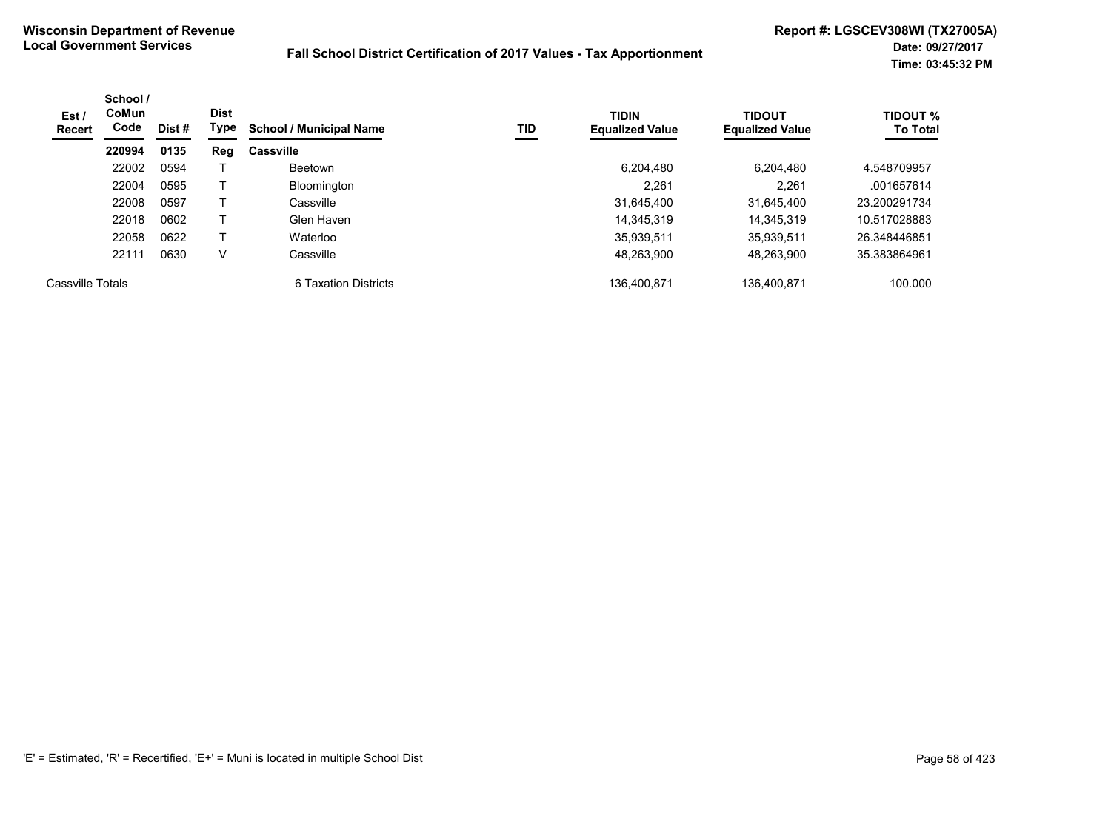| Est /<br>Recert  | School /<br>CoMun<br>Code | Dist # | <b>Dist</b><br>Type | <b>School / Municipal Name</b> | TID | <b>TIDIN</b><br><b>Equalized Value</b> | <b>TIDOUT</b><br><b>Equalized Value</b> | <b>TIDOUT %</b><br><b>To Total</b> |
|------------------|---------------------------|--------|---------------------|--------------------------------|-----|----------------------------------------|-----------------------------------------|------------------------------------|
|                  | 220994                    | 0135   | Reg                 | <b>Cassville</b>               |     |                                        |                                         |                                    |
|                  | 22002                     | 0594   |                     | Beetown                        |     | 6.204.480                              | 6,204,480                               | 4.548709957                        |
|                  | 22004                     | 0595   |                     | Bloomington                    |     | 2.261                                  | 2.261                                   | .001657614                         |
|                  | 22008                     | 0597   |                     | Cassville                      |     | 31.645.400                             | 31.645.400                              | 23.200291734                       |
|                  | 22018                     | 0602   |                     | Glen Haven                     |     | 14.345.319                             | 14,345,319                              | 10.517028883                       |
|                  | 22058                     | 0622   |                     | Waterloo                       |     | 35,939,511                             | 35.939.511                              | 26.348446851                       |
|                  | 22111                     | 0630   | V                   | Cassville                      |     | 48,263,900                             | 48,263,900                              | 35.383864961                       |
| Cassville Totals |                           |        |                     | 6 Taxation Districts           |     | 136.400.871                            | 136.400.871                             | 100.000                            |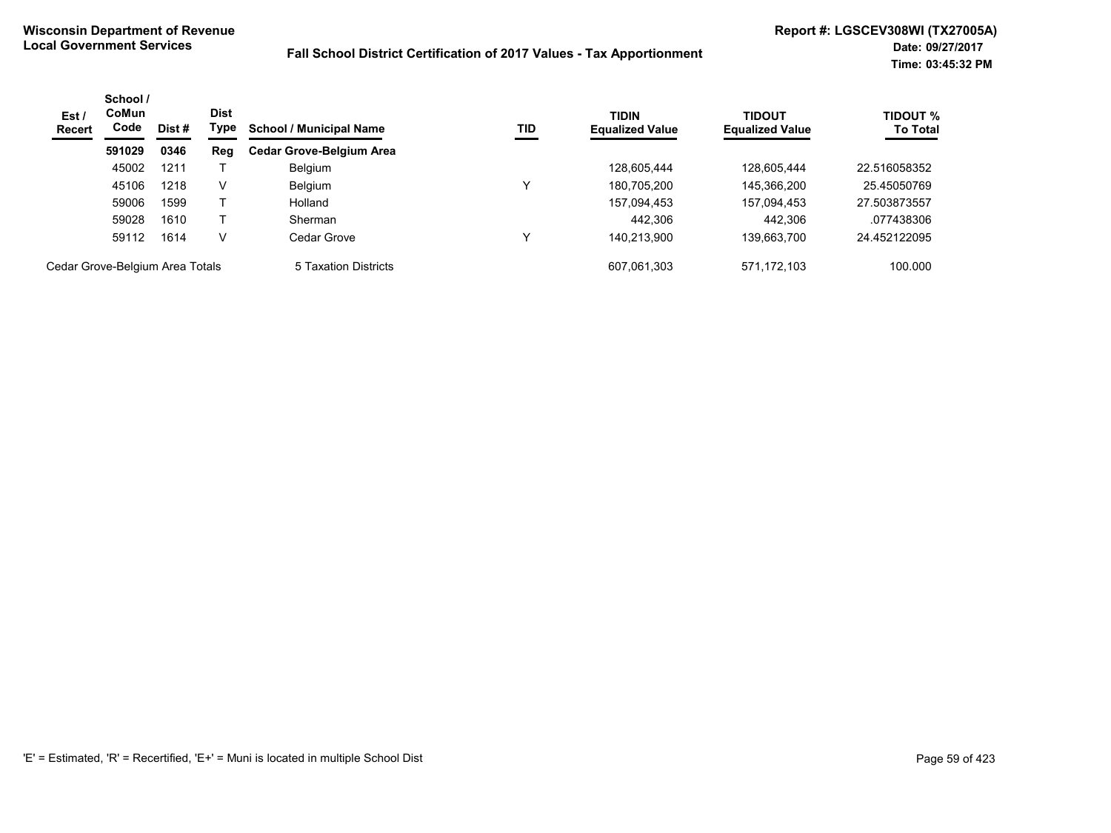| Est/<br><b>Recert</b>           | School /<br><b>CoMun</b><br>Code | Dist# | <b>Dist</b><br>Type | <b>School / Municipal Name</b>  | TID | <b>TIDIN</b><br><b>Equalized Value</b> | <b>TIDOUT</b><br><b>Equalized Value</b> | <b>TIDOUT %</b><br><b>To Total</b> |
|---------------------------------|----------------------------------|-------|---------------------|---------------------------------|-----|----------------------------------------|-----------------------------------------|------------------------------------|
|                                 | 591029                           | 0346  | Reg                 | <b>Cedar Grove-Belgium Area</b> |     |                                        |                                         |                                    |
|                                 | 45002                            | 1211  |                     | <b>Belgium</b>                  |     | 128,605,444                            | 128,605,444                             | 22.516058352                       |
|                                 | 45106                            | 1218  | V                   | <b>Belgium</b>                  | v   | 180,705,200                            | 145,366,200                             | 25.45050769                        |
|                                 | 59006                            | 1599  |                     | Holland                         |     | 157,094,453                            | 157,094,453                             | 27.503873557                       |
|                                 | 59028                            | 1610  |                     | Sherman                         |     | 442.306                                | 442,306                                 | .077438306                         |
|                                 | 59112                            | 1614  | v                   | Cedar Grove                     | v   | 140.213.900                            | 139,663,700                             | 24.452122095                       |
| Cedar Grove-Belgium Area Totals |                                  |       |                     | 5 Taxation Districts            |     | 607.061.303                            | 571.172.103                             | 100.000                            |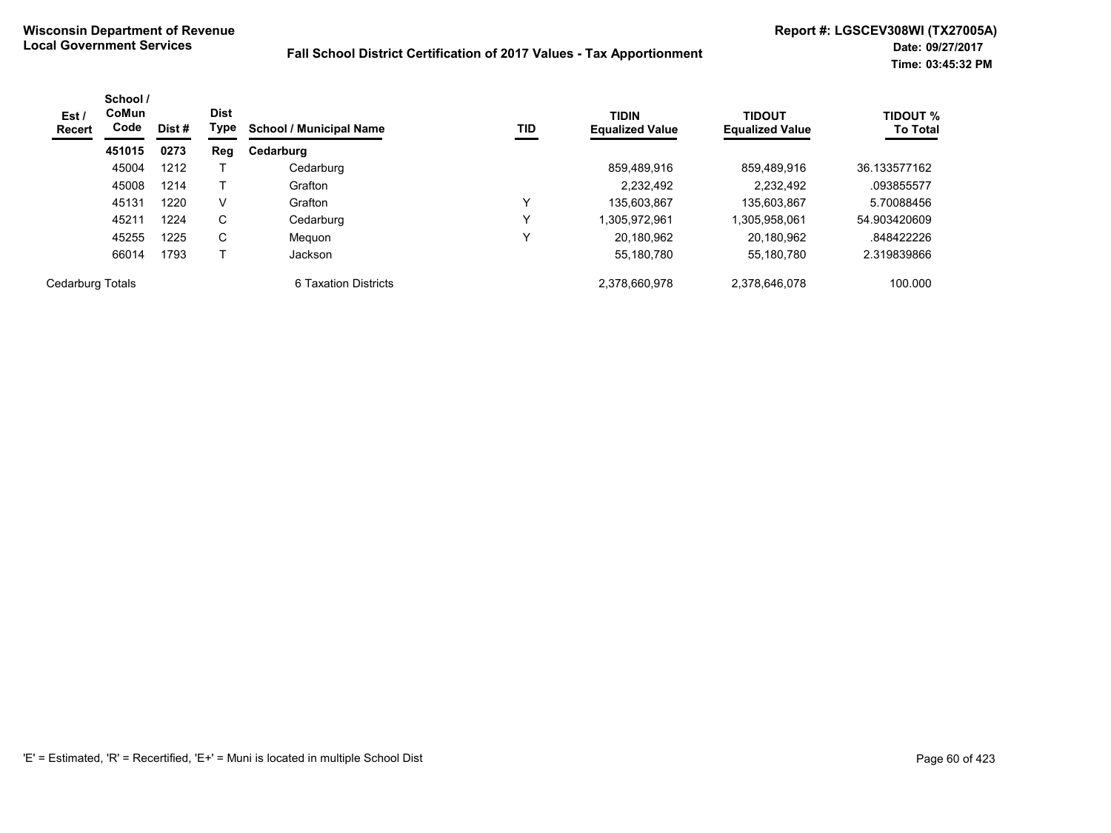| Est /<br><b>Recert</b> | School /<br>CoMun<br>Code | Dist # | <b>Dist</b><br>Type | <b>School / Municipal Name</b> | TID | <b>TIDIN</b><br><b>Equalized Value</b> | <b>TIDOUT</b><br><b>Equalized Value</b> | TIDOUT %<br><b>To Total</b> |
|------------------------|---------------------------|--------|---------------------|--------------------------------|-----|----------------------------------------|-----------------------------------------|-----------------------------|
|                        | 451015                    | 0273   | Reg                 | Cedarburg                      |     |                                        |                                         |                             |
|                        | 45004                     | 1212   |                     | Cedarburg                      |     | 859.489.916                            | 859.489.916                             | 36.133577162                |
|                        | 45008                     | 1214   |                     | Grafton                        |     | 2.232.492                              | 2,232,492                               | .093855577                  |
|                        | 45131                     | 1220   | V                   | Grafton                        | v   | 135,603,867                            | 135,603,867                             | 5.70088456                  |
|                        | 45211                     | 1224   | C                   | Cedarburg                      | v   | .305.972.961                           | ,305,958,061                            | 54.903420609                |
|                        | 45255                     | 1225   | C                   | Meguon                         |     | 20.180.962                             | 20.180.962                              | .848422226                  |
|                        | 66014                     | 1793   |                     | <b>Jackson</b>                 |     | 55,180,780                             | 55,180,780                              | 2.319839866                 |
| Cedarburg Totals       |                           |        |                     | 6 Taxation Districts           |     | 2.378.660.978                          | 2.378.646.078                           | 100.000                     |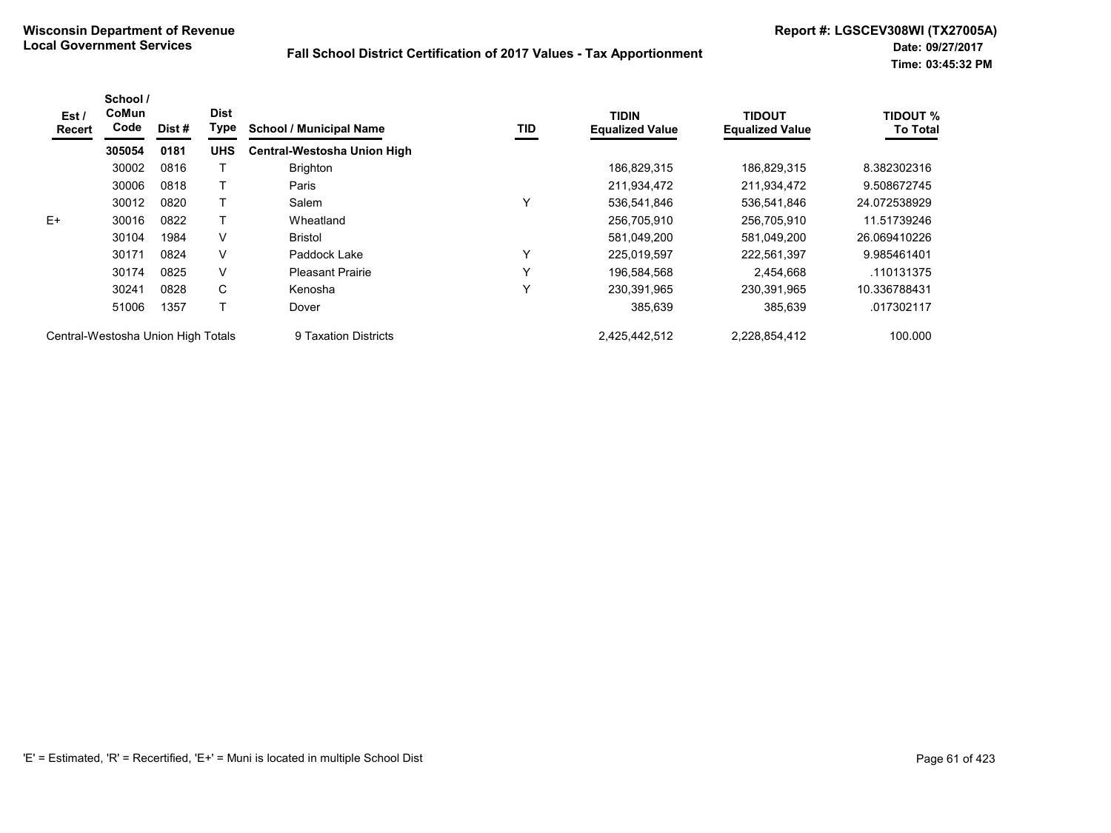| Est /<br>Recert                    | School /<br>CoMun<br>Code | Dist # | <b>Dist</b><br>Type | <b>School / Municipal Name</b> | TID | <b>TIDIN</b><br><b>Equalized Value</b> | <b>TIDOUT</b><br><b>Equalized Value</b> | <b>TIDOUT %</b><br><b>To Total</b> |
|------------------------------------|---------------------------|--------|---------------------|--------------------------------|-----|----------------------------------------|-----------------------------------------|------------------------------------|
|                                    | 305054                    | 0181   | <b>UHS</b>          | Central-Westosha Union High    |     |                                        |                                         |                                    |
|                                    | 30002                     | 0816   |                     | <b>Brighton</b>                |     | 186,829,315                            | 186.829.315                             | 8.382302316                        |
|                                    | 30006                     | 0818   |                     | Paris                          |     | 211,934,472                            | 211,934,472                             | 9.508672745                        |
|                                    | 30012                     | 0820   |                     | Salem                          | Υ   | 536,541,846                            | 536,541,846                             | 24.072538929                       |
| $E+$                               | 30016                     | 0822   |                     | Wheatland                      |     | 256,705,910                            | 256,705,910                             | 11.51739246                        |
|                                    | 30104                     | 1984   | V                   | <b>Bristol</b>                 |     | 581,049,200                            | 581,049,200                             | 26.069410226                       |
|                                    | 30171                     | 0824   | V                   | Paddock Lake                   | Y   | 225,019,597                            | 222,561,397                             | 9.985461401                        |
|                                    | 30174                     | 0825   | V                   | <b>Pleasant Prairie</b>        | Y   | 196,584,568                            | 2,454,668                               | .110131375                         |
|                                    | 30241                     | 0828   | C                   | Kenosha                        | Y   | 230,391,965                            | 230,391,965                             | 10.336788431                       |
|                                    | 51006                     | 1357   | $\mathbf \tau$      | Dover                          |     | 385,639                                | 385,639                                 | .017302117                         |
| Central-Westosha Union High Totals |                           |        |                     | 9 Taxation Districts           |     | 2,425,442,512                          | 2,228,854,412                           | 100.000                            |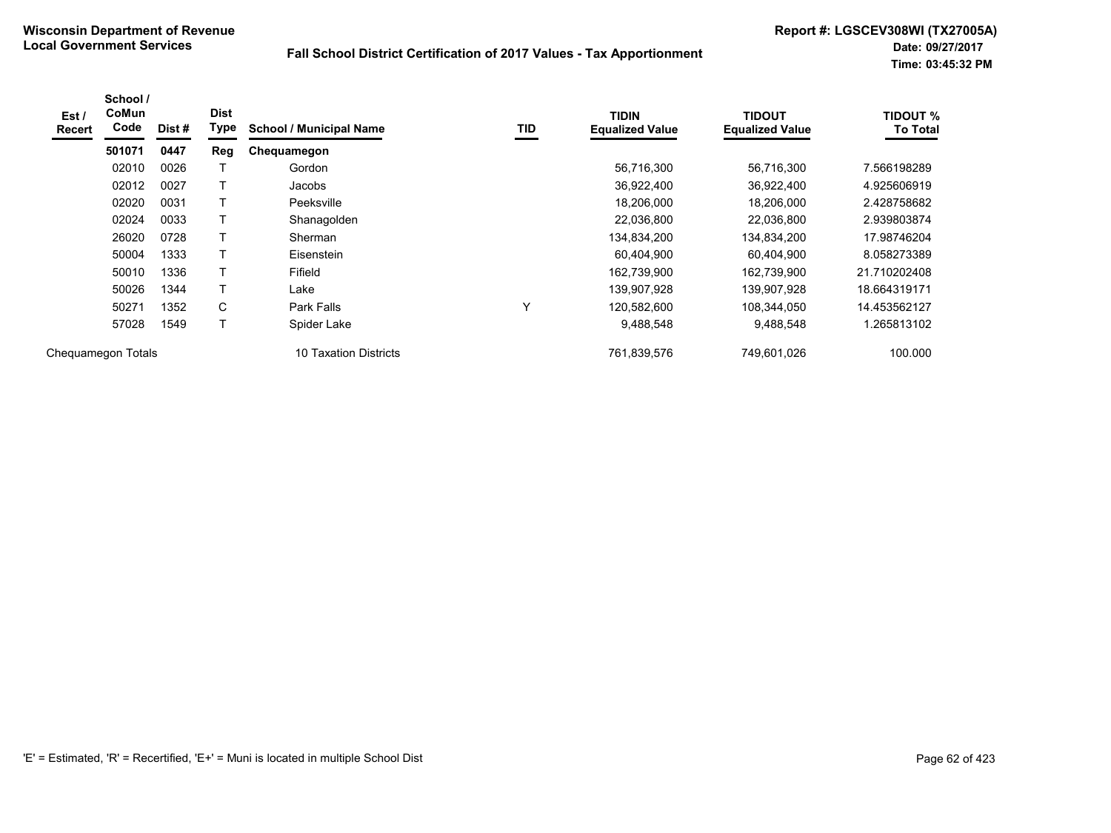| Est /<br><b>Recert</b> | School /<br>CoMun<br>Code | Dist# | <b>Dist</b><br>Type | <b>School / Municipal Name</b> | TID          | <b>TIDIN</b><br><b>Equalized Value</b> | <b>TIDOUT</b><br><b>Equalized Value</b> | <b>TIDOUT %</b><br><b>To Total</b> |
|------------------------|---------------------------|-------|---------------------|--------------------------------|--------------|----------------------------------------|-----------------------------------------|------------------------------------|
|                        | 501071                    | 0447  | <b>Reg</b>          | Chequamegon                    |              |                                        |                                         |                                    |
|                        | 02010                     | 0026  |                     | Gordon                         |              | 56,716,300                             | 56,716,300                              | 7.566198289                        |
|                        | 02012                     | 0027  |                     | Jacobs                         |              | 36,922,400                             | 36,922,400                              | 4.925606919                        |
|                        | 02020                     | 0031  |                     | Peeksville                     |              | 18,206,000                             | 18,206,000                              | 2.428758682                        |
|                        | 02024                     | 0033  |                     | Shanagolden                    |              | 22,036,800                             | 22,036,800                              | 2.939803874                        |
|                        | 26020                     | 0728  |                     | Sherman                        |              | 134,834,200                            | 134,834,200                             | 17.98746204                        |
|                        | 50004                     | 1333  | $\mathbf \tau$      | Eisenstein                     |              | 60,404,900                             | 60,404,900                              | 8.058273389                        |
|                        | 50010                     | 1336  |                     | Fifield                        |              | 162,739,900                            | 162,739,900                             | 21.710202408                       |
|                        | 50026                     | 1344  |                     | Lake                           |              | 139,907,928                            | 139,907,928                             | 18.664319171                       |
|                        | 50271                     | 1352  | С                   | Park Falls                     | $\checkmark$ | 120,582,600                            | 108,344,050                             | 14.453562127                       |
|                        | 57028                     | 1549  |                     | Spider Lake                    |              | 9,488,548                              | 9,488,548                               | 1.265813102                        |
| Chequamegon Totals     |                           |       |                     | 10 Taxation Districts          |              | 761,839,576                            | 749.601.026                             | 100.000                            |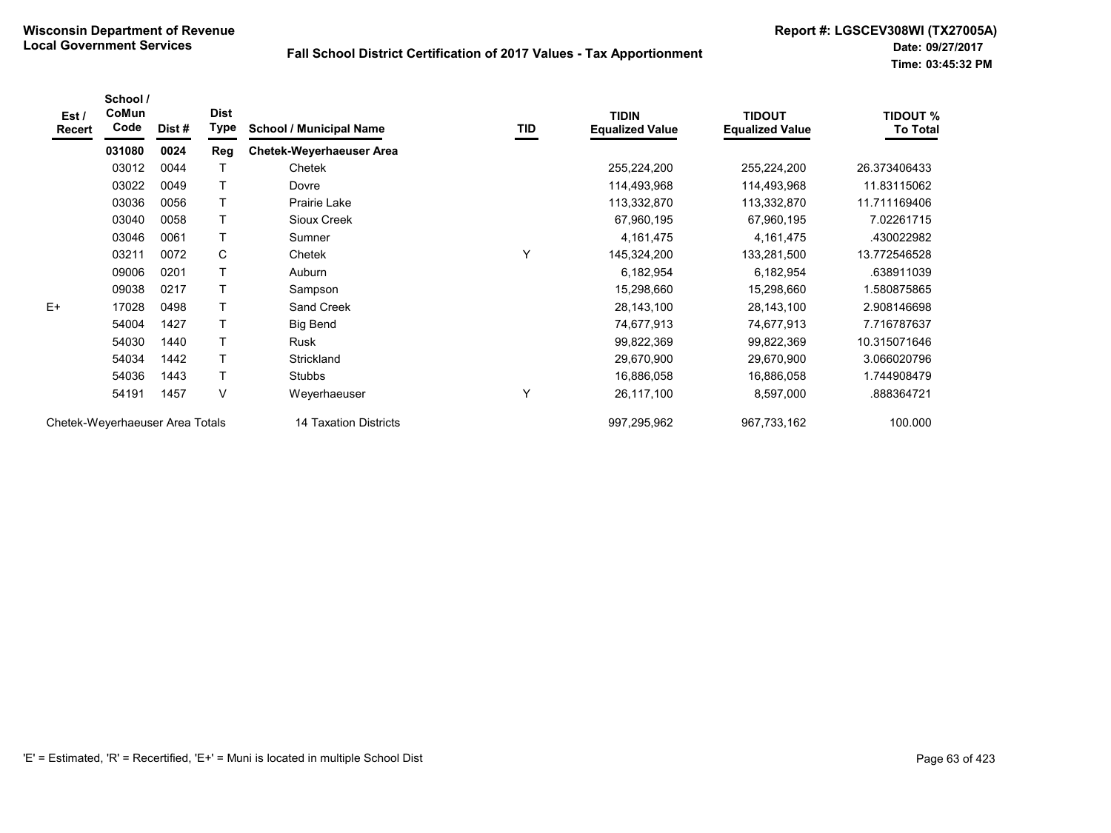| Est/<br>Recert                  | School /<br>CoMun<br>Code | Dist# | <b>Dist</b><br>Type   | <b>School / Municipal Name</b>  | TID         | <b>TIDIN</b><br><b>Equalized Value</b> | <b>TIDOUT</b><br><b>Equalized Value</b> | <b>TIDOUT %</b><br><b>To Total</b> |
|---------------------------------|---------------------------|-------|-----------------------|---------------------------------|-------------|----------------------------------------|-----------------------------------------|------------------------------------|
|                                 | 031080                    | 0024  | Reg                   | <b>Chetek-Weyerhaeuser Area</b> |             |                                        |                                         |                                    |
|                                 | 03012                     | 0044  | Т                     | Chetek                          |             | 255,224,200                            | 255,224,200                             | 26.373406433                       |
|                                 | 03022                     | 0049  | т                     | Dovre                           |             | 114,493,968                            | 114,493,968                             | 11.83115062                        |
|                                 | 03036                     | 0056  | т                     | Prairie Lake                    |             | 113,332,870                            | 113,332,870                             | 11.711169406                       |
|                                 | 03040                     | 0058  | $\mathsf{T}$          | Sioux Creek                     |             | 67,960,195                             | 67,960,195                              | 7.02261715                         |
|                                 | 03046                     | 0061  | T                     | Sumner                          |             | 4, 161, 475                            | 4,161,475                               | .430022982                         |
|                                 | 03211                     | 0072  | C                     | Chetek                          | Υ           | 145,324,200                            | 133,281,500                             | 13.772546528                       |
|                                 | 09006                     | 0201  |                       | Auburn                          |             | 6,182,954                              | 6,182,954                               | .638911039                         |
|                                 | 09038                     | 0217  |                       | Sampson                         |             | 15,298,660                             | 15,298,660                              | 1.580875865                        |
| $E+$                            | 17028                     | 0498  | T                     | Sand Creek                      |             | 28, 143, 100                           | 28,143,100                              | 2.908146698                        |
|                                 | 54004                     | 1427  | $\mathsf{T}$          | <b>Big Bend</b>                 |             | 74,677,913                             | 74,677,913                              | 7.716787637                        |
|                                 | 54030                     | 1440  | T                     | Rusk                            |             | 99,822,369                             | 99,822,369                              | 10.315071646                       |
|                                 | 54034                     | 1442  | T                     | Strickland                      |             | 29,670,900                             | 29,670,900                              | 3.066020796                        |
|                                 | 54036                     | 1443  | T                     | Stubbs                          |             | 16,886,058                             | 16,886,058                              | 1.744908479                        |
|                                 | 54191                     | 1457  | V                     | Weyerhaeuser                    | Y           | 26,117,100                             | 8,597,000                               | .888364721                         |
| Chetek-Weyerhaeuser Area Totals |                           |       | 14 Taxation Districts |                                 | 997,295,962 | 967,733,162                            | 100.000                                 |                                    |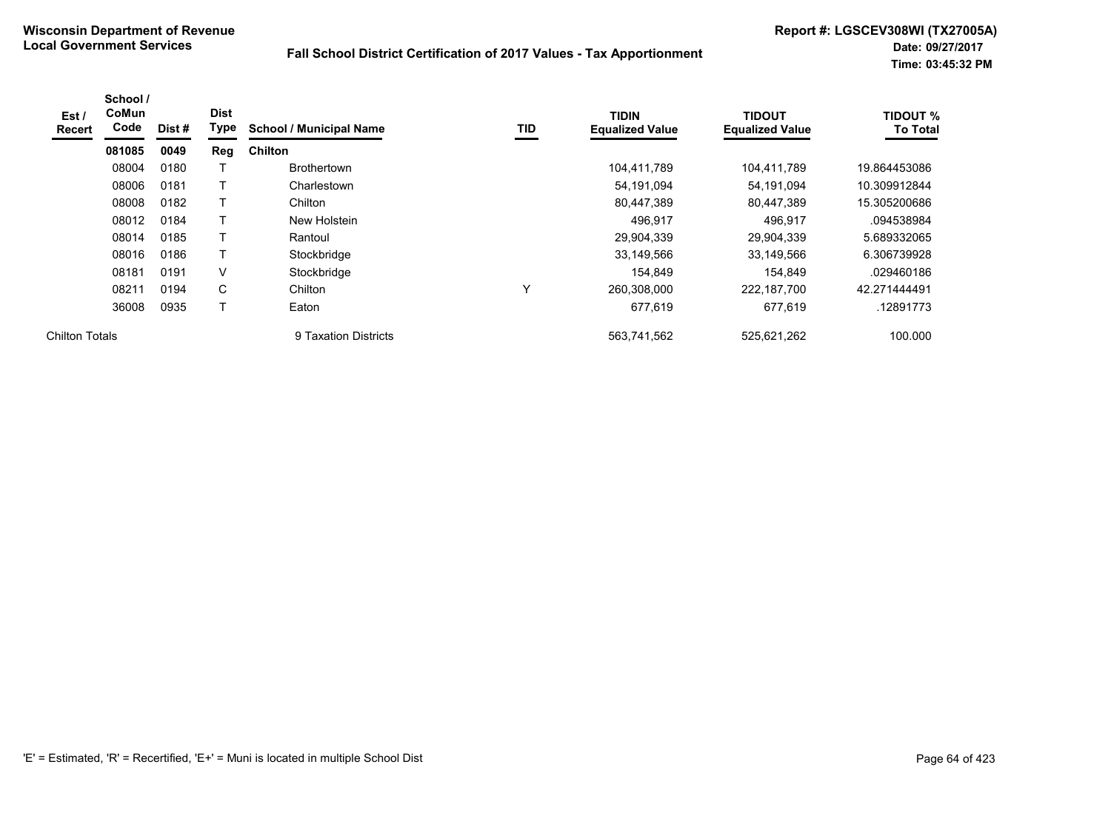| Est /<br>Recert       | School /<br>CoMun<br>Code | Dist# | <b>Dist</b><br>Type | <b>School / Municipal Name</b> | TID | <b>TIDIN</b><br><b>Equalized Value</b> | <b>TIDOUT</b><br><b>Equalized Value</b> | <b>TIDOUT %</b><br><b>To Total</b> |
|-----------------------|---------------------------|-------|---------------------|--------------------------------|-----|----------------------------------------|-----------------------------------------|------------------------------------|
|                       | 081085                    | 0049  | Reg                 | <b>Chilton</b>                 |     |                                        |                                         |                                    |
|                       | 08004                     | 0180  |                     | <b>Brothertown</b>             |     | 104.411.789                            | 104.411.789                             | 19.864453086                       |
|                       | 08006                     | 0181  |                     | Charlestown                    |     | 54,191,094                             | 54,191,094                              | 10.309912844                       |
|                       | 08008                     | 0182  |                     | Chilton                        |     | 80,447,389                             | 80,447,389                              | 15.305200686                       |
|                       | 08012                     | 0184  |                     | New Holstein                   |     | 496,917                                | 496,917                                 | .094538984                         |
|                       | 08014                     | 0185  | т                   | Rantoul                        |     | 29,904,339                             | 29,904,339                              | 5.689332065                        |
|                       | 08016                     | 0186  |                     | Stockbridge                    |     | 33,149,566                             | 33,149,566                              | 6.306739928                        |
|                       | 08181                     | 0191  | V                   | Stockbridge                    |     | 154.849                                | 154.849                                 | .029460186                         |
|                       | 08211                     | 0194  | C                   | Chilton                        | Υ   | 260,308,000                            | 222,187,700                             | 42.271444491                       |
|                       | 36008                     | 0935  | $\mathbf \tau$      | Eaton                          |     | 677,619                                | 677,619                                 | .12891773                          |
| <b>Chilton Totals</b> |                           |       |                     | 9 Taxation Districts           |     | 563,741,562                            | 525,621,262                             | 100.000                            |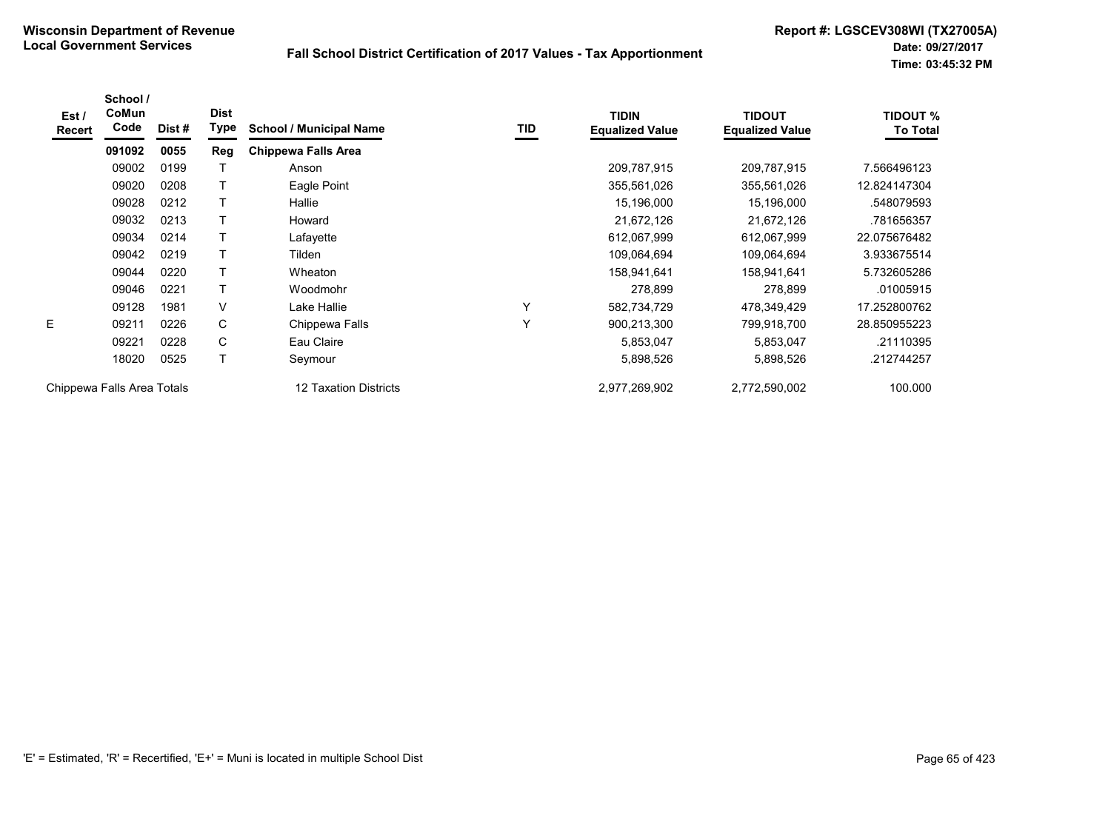| Est /<br>Recert | School /<br><b>CoMun</b><br>Code | Dist# | <b>Dist</b><br>Type | <b>School / Municipal Name</b> | <b>TID</b> | <b>TIDIN</b><br><b>Equalized Value</b> | <b>TIDOUT</b><br><b>Equalized Value</b> | <b>TIDOUT %</b><br><b>To Total</b> |
|-----------------|----------------------------------|-------|---------------------|--------------------------------|------------|----------------------------------------|-----------------------------------------|------------------------------------|
|                 | 091092                           | 0055  | Reg                 | <b>Chippewa Falls Area</b>     |            |                                        |                                         |                                    |
|                 | 09002                            | 0199  |                     | Anson                          |            | 209,787,915                            | 209,787,915                             | 7.566496123                        |
|                 | 09020                            | 0208  | T                   | Eagle Point                    |            | 355,561,026                            | 355,561,026                             | 12.824147304                       |
|                 | 09028                            | 0212  | Т                   | Hallie                         |            | 15,196,000                             | 15,196,000                              | .548079593                         |
|                 | 09032                            | 0213  |                     | Howard                         |            | 21,672,126                             | 21,672,126                              | .781656357                         |
|                 | 09034                            | 0214  |                     | Lafayette                      |            | 612,067,999                            | 612,067,999                             | 22.075676482                       |
|                 | 09042                            | 0219  | Τ                   | Tilden                         |            | 109,064,694                            | 109,064,694                             | 3.933675514                        |
|                 | 09044                            | 0220  | T                   | Wheaton                        |            | 158,941,641                            | 158,941,641                             | 5.732605286                        |
|                 | 09046                            | 0221  | T                   | Woodmohr                       |            | 278,899                                | 278,899                                 | .01005915                          |
|                 | 09128                            | 1981  | $\vee$              | Lake Hallie                    | Y          | 582,734,729                            | 478,349,429                             | 17.252800762                       |
| E.              | 09211                            | 0226  | C                   | Chippewa Falls                 | Υ          | 900,213,300                            | 799,918,700                             | 28.850955223                       |
|                 | 09221                            | 0228  | C                   | Eau Claire                     |            | 5,853,047                              | 5,853,047                               | .21110395                          |
|                 | 18020                            | 0525  | T                   | Seymour                        |            | 5,898,526                              | 5,898,526                               | .212744257                         |
|                 | Chippewa Falls Area Totals       |       |                     | 12 Taxation Districts          |            | 2,977,269,902                          | 2,772,590,002                           | 100.000                            |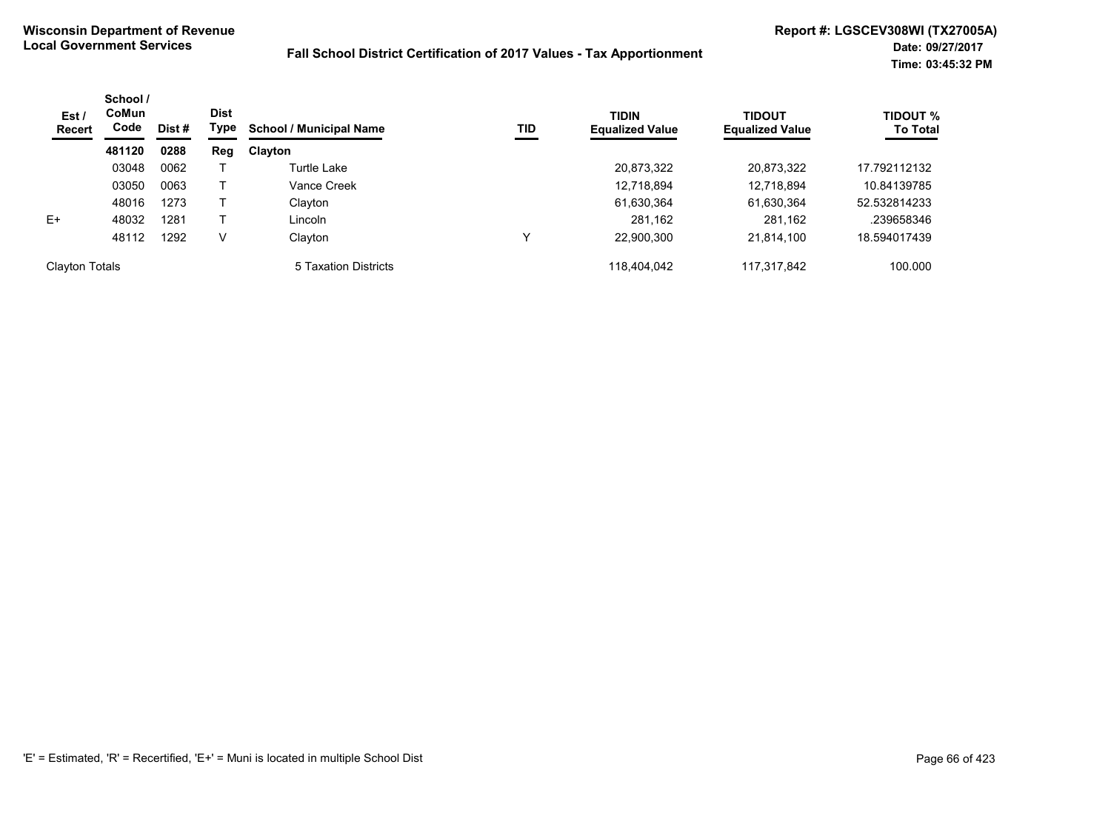| Est /<br><b>Recert</b> | School /<br>CoMun<br>Code | <b>Dist</b><br>Type<br>Dist # |     | <b>TID</b><br><b>School / Municipal Name</b> | <b>TIDIN</b><br><b>Equalized Value</b> | <b>TIDOUT</b><br><b>Equalized Value</b> | <b>TIDOUT %</b><br><b>To Total</b> |              |
|------------------------|---------------------------|-------------------------------|-----|----------------------------------------------|----------------------------------------|-----------------------------------------|------------------------------------|--------------|
|                        | 481120                    | 0288                          | Reg | Clayton                                      |                                        |                                         |                                    |              |
|                        | 03048                     | 0062                          |     | Turtle Lake                                  |                                        | 20,873,322                              | 20,873,322                         | 17.792112132 |
|                        | 03050                     | 0063                          |     | Vance Creek                                  |                                        | 12,718,894                              | 12,718,894                         | 10.84139785  |
|                        | 48016                     | 1273                          |     | Clayton                                      |                                        | 61,630,364                              | 61,630,364                         | 52.532814233 |
| $E+$                   | 48032                     | 1281                          |     | Lincoln                                      |                                        | 281.162                                 | 281,162                            | .239658346   |
|                        | 48112                     | 1292                          | V   | Clayton                                      | ◡                                      | 22,900,300                              | 21,814,100                         | 18.594017439 |
| <b>Clayton Totals</b>  |                           |                               |     | 5 Taxation Districts                         |                                        | 118.404.042                             | 117.317.842                        | 100.000      |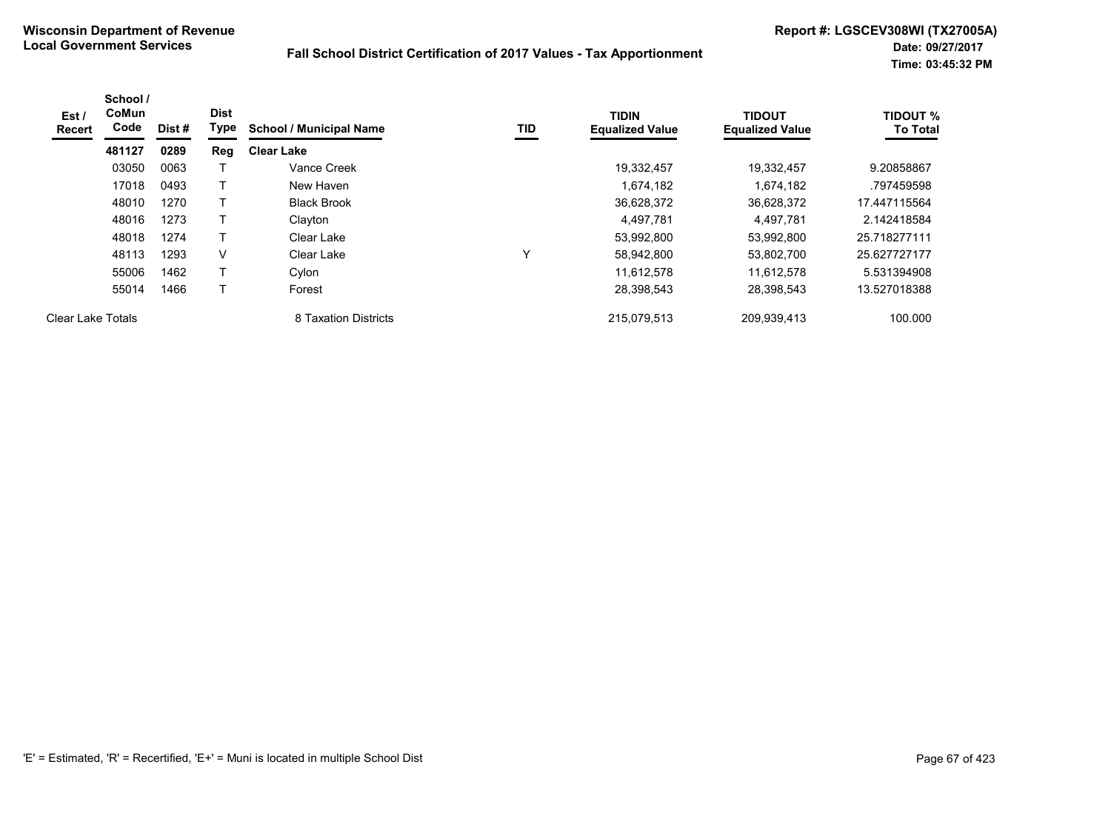| Est /<br><b>Recert</b>   | School /<br>CoMun<br>Code | Dist # | <b>Dist</b><br>Type | <b>School / Municipal Name</b> | TID | <b>TIDIN</b><br><b>Equalized Value</b> | <b>TIDOUT</b><br><b>Equalized Value</b> | <b>TIDOUT %</b><br><b>To Total</b> |
|--------------------------|---------------------------|--------|---------------------|--------------------------------|-----|----------------------------------------|-----------------------------------------|------------------------------------|
|                          | 481127                    | 0289   | Reg                 | <b>Clear Lake</b>              |     |                                        |                                         |                                    |
|                          | 03050                     | 0063   |                     | Vance Creek                    |     | 19,332,457                             | 19,332,457                              | 9.20858867                         |
|                          | 17018                     | 0493   |                     | New Haven                      |     | 1,674,182                              | 1,674,182                               | .797459598                         |
|                          | 48010                     | 1270   | т                   | <b>Black Brook</b>             |     | 36,628,372                             | 36,628,372                              | 17.447115564                       |
|                          | 48016                     | 1273   |                     | Clayton                        |     | 4.497.781                              | 4,497,781                               | 2.142418584                        |
|                          | 48018                     | 1274   |                     | Clear Lake                     |     | 53,992,800                             | 53,992,800                              | 25.718277111                       |
|                          | 48113                     | 1293   | V                   | Clear Lake                     |     | 58,942,800                             | 53,802,700                              | 25.627727177                       |
|                          | 55006                     | 1462   |                     | Cylon                          |     | 11.612.578                             | 11,612,578                              | 5.531394908                        |
|                          | 55014                     | 1466   |                     | Forest                         |     | 28,398,543                             | 28,398,543                              | 13.527018388                       |
| <b>Clear Lake Totals</b> |                           |        |                     | 8 Taxation Districts           |     | 215.079.513                            | 209,939,413                             | 100.000                            |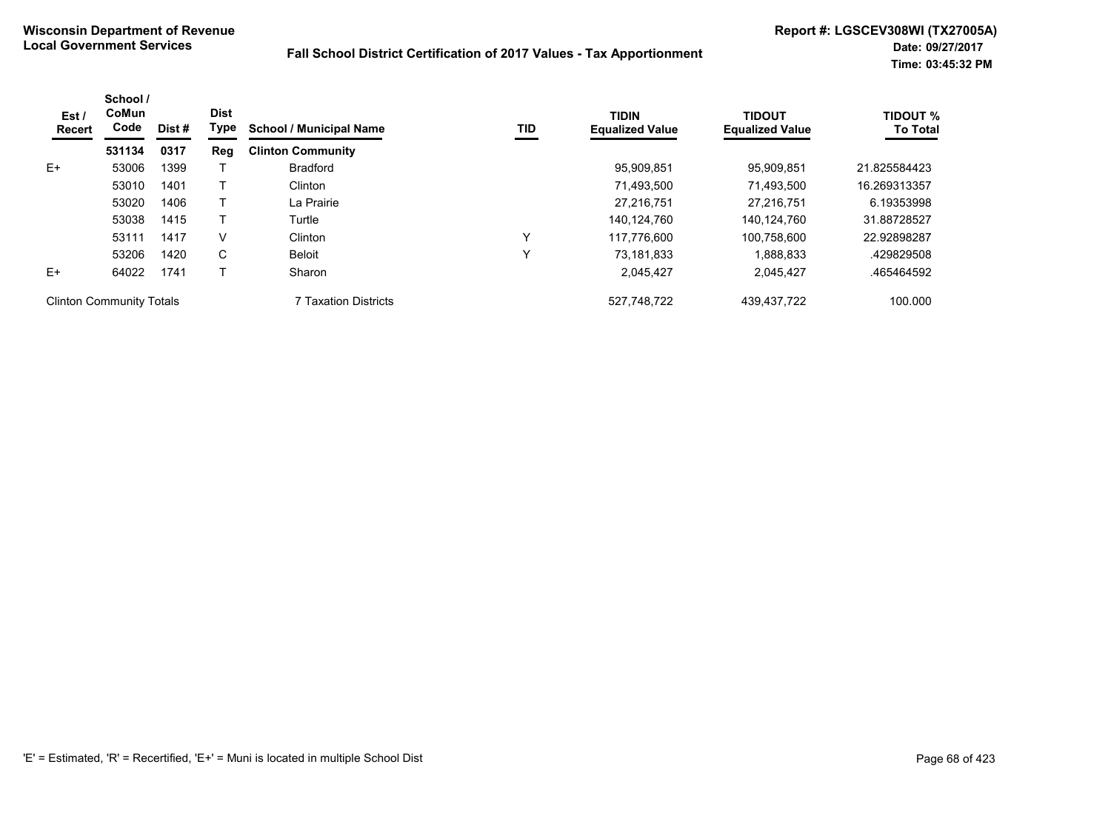| Est /<br>Recert                 | School /<br>CoMun<br>Code | Dist # | <b>Dist</b><br>Type | <b>School / Municipal Name</b> | TID          | <b>TIDIN</b><br><b>Equalized Value</b> | <b>TIDOUT</b><br><b>Equalized Value</b> | <b>TIDOUT %</b><br><b>To Total</b> |
|---------------------------------|---------------------------|--------|---------------------|--------------------------------|--------------|----------------------------------------|-----------------------------------------|------------------------------------|
|                                 | 531134                    | 0317   | Reg                 | <b>Clinton Community</b>       |              |                                        |                                         |                                    |
| $E+$                            | 53006                     | 1399   |                     | <b>Bradford</b>                |              | 95,909,851                             | 95.909.851                              | 21.825584423                       |
|                                 | 53010                     | 1401   |                     | Clinton                        |              | 71,493,500                             | 71,493,500                              | 16.269313357                       |
|                                 | 53020                     | 1406   |                     | La Prairie                     |              | 27.216.751                             | 27.216.751                              | 6.19353998                         |
|                                 | 53038                     | 1415   |                     | Turtle                         |              | 140.124.760                            | 140.124.760                             | 31.88728527                        |
|                                 | 53111                     | 1417   | V                   | Clinton                        | $\checkmark$ | 117.776.600                            | 100.758.600                             | 22.92898287                        |
|                                 | 53206                     | 1420   | C                   | <b>Beloit</b>                  | ν            | 73.181.833                             | 1.888.833                               | .429829508                         |
| $E+$                            | 64022                     | 1741   |                     | Sharon                         |              | 2,045,427                              | 2,045,427                               | .465464592                         |
| <b>Clinton Community Totals</b> |                           |        |                     | 7 Taxation Districts           |              | 527,748,722                            | 439, 437, 722                           | 100.000                            |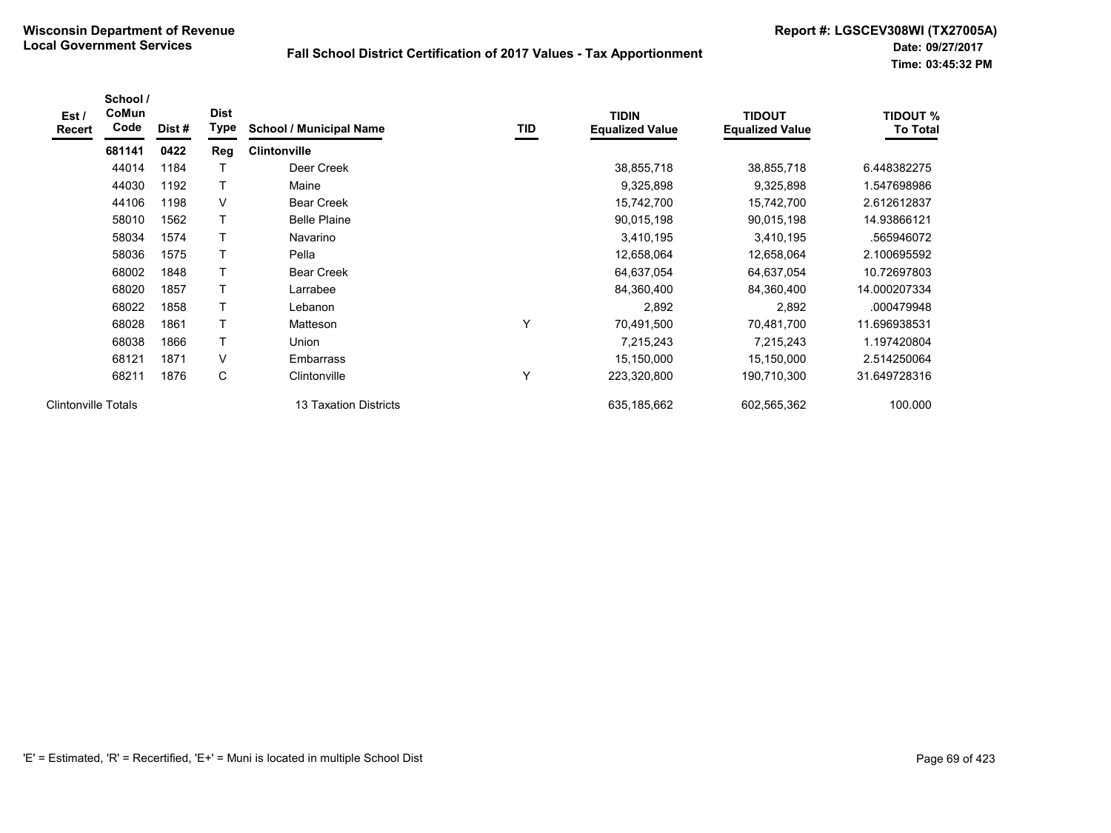| Est /<br><b>Recert</b>     | School /<br>CoMun<br>Code | Dist# | <b>Dist</b><br>Type | <b>School / Municipal Name</b> | TID | <b>TIDIN</b><br><b>Equalized Value</b> | <b>TIDOUT</b><br><b>Equalized Value</b> | <b>TIDOUT %</b><br><b>To Total</b> |
|----------------------------|---------------------------|-------|---------------------|--------------------------------|-----|----------------------------------------|-----------------------------------------|------------------------------------|
|                            | 681141                    | 0422  | <b>Reg</b>          | <b>Clintonville</b>            |     |                                        |                                         |                                    |
|                            | 44014                     | 1184  |                     | Deer Creek                     |     | 38,855,718                             | 38,855,718                              | 6.448382275                        |
|                            | 44030                     | 1192  | T                   | Maine                          |     | 9,325,898                              | 9,325,898                               | 1.547698986                        |
|                            | 44106                     | 1198  | V                   | <b>Bear Creek</b>              |     | 15,742,700                             | 15,742,700                              | 2.612612837                        |
|                            | 58010                     | 1562  | T                   | <b>Belle Plaine</b>            |     | 90,015,198                             | 90,015,198                              | 14.93866121                        |
|                            | 58034                     | 1574  |                     | Navarino                       |     | 3,410,195                              | 3,410,195                               | .565946072                         |
|                            | 58036                     | 1575  |                     | Pella                          |     | 12,658,064                             | 12,658,064                              | 2.100695592                        |
|                            | 68002                     | 1848  | $\mathsf{T}$        | <b>Bear Creek</b>              |     | 64,637,054                             | 64,637,054                              | 10.72697803                        |
|                            | 68020                     | 1857  | T                   | Larrabee                       |     | 84,360,400                             | 84,360,400                              | 14.000207334                       |
|                            | 68022                     | 1858  | Τ                   | Lebanon                        |     | 2,892                                  | 2,892                                   | .000479948                         |
|                            | 68028                     | 1861  | T                   | Matteson                       | Υ   | 70,491,500                             | 70,481,700                              | 11.696938531                       |
|                            | 68038                     | 1866  | T                   | Union                          |     | 7,215,243                              | 7,215,243                               | 1.197420804                        |
|                            | 68121                     | 1871  | V                   | <b>Embarrass</b>               |     | 15,150,000                             | 15,150,000                              | 2.514250064                        |
|                            | 68211                     | 1876  | С                   | Clintonville                   | Υ   | 223,320,800                            | 190,710,300                             | 31.649728316                       |
| <b>Clintonville Totals</b> |                           |       |                     | 13 Taxation Districts          |     | 635,185,662                            | 602,565,362                             | 100.000                            |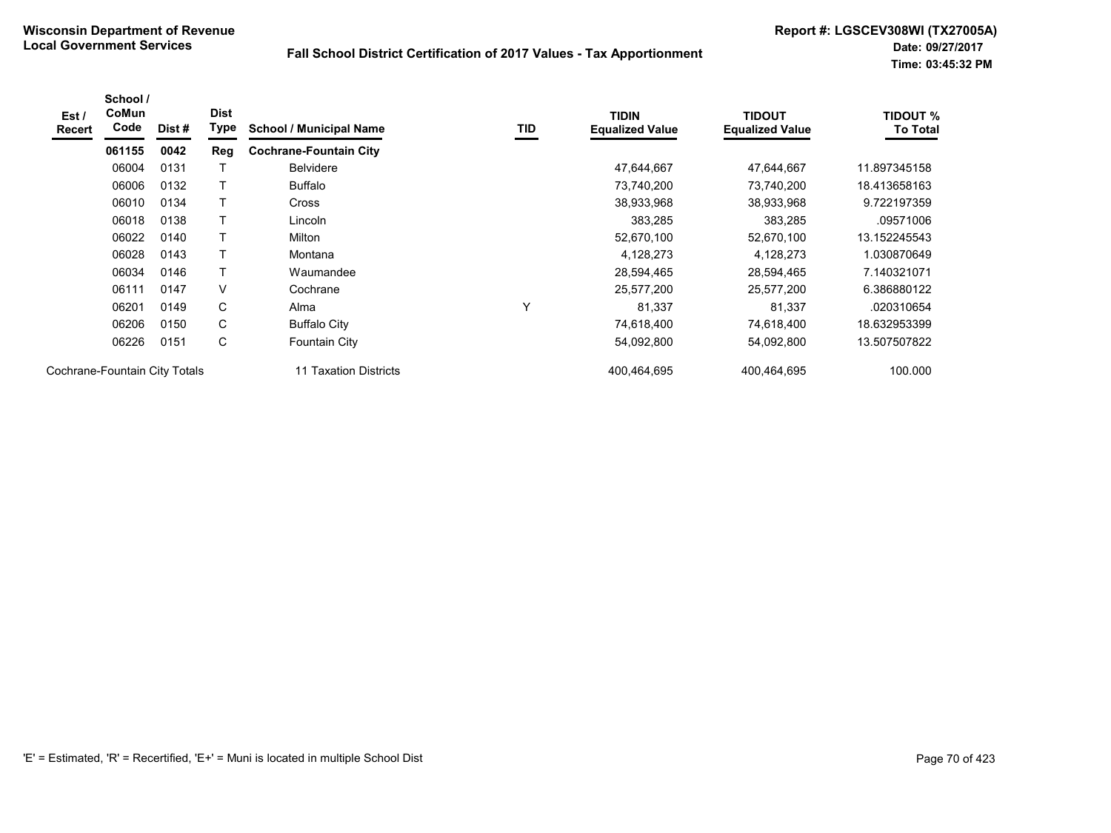| Est /<br><b>Recert</b> | School /<br>CoMun<br>Code     | Dist# | <b>Dist</b><br>Type | <b>School / Municipal Name</b> | TID | <b>TIDIN</b><br><b>Equalized Value</b> | <b>TIDOUT</b><br><b>Equalized Value</b> | <b>TIDOUT %</b><br><b>To Total</b> |
|------------------------|-------------------------------|-------|---------------------|--------------------------------|-----|----------------------------------------|-----------------------------------------|------------------------------------|
|                        | 061155                        | 0042  | Reg                 | <b>Cochrane-Fountain City</b>  |     |                                        |                                         |                                    |
|                        | 06004                         | 0131  |                     | <b>Belvidere</b>               |     | 47,644,667                             | 47,644,667                              | 11.897345158                       |
|                        | 06006                         | 0132  |                     | <b>Buffalo</b>                 |     | 73,740,200                             | 73,740,200                              | 18.413658163                       |
|                        | 06010                         | 0134  | т                   | <b>Cross</b>                   |     | 38,933,968                             | 38,933,968                              | 9.722197359                        |
|                        | 06018                         | 0138  |                     | Lincoln                        |     | 383,285                                | 383,285                                 | .09571006                          |
|                        | 06022                         | 0140  |                     | Milton                         |     | 52,670,100                             | 52,670,100                              | 13.152245543                       |
|                        | 06028                         | 0143  |                     | Montana                        |     | 4,128,273                              | 4,128,273                               | 1.030870649                        |
|                        | 06034                         | 0146  | т                   | Waumandee                      |     | 28,594,465                             | 28,594,465                              | 7.140321071                        |
|                        | 06111                         | 0147  | V                   | Cochrane                       |     | 25,577,200                             | 25,577,200                              | 6.386880122                        |
|                        | 06201                         | 0149  | С                   | Alma                           | Υ   | 81,337                                 | 81,337                                  | .020310654                         |
|                        | 06206                         | 0150  | C                   | <b>Buffalo City</b>            |     | 74,618,400                             | 74,618,400                              | 18.632953399                       |
|                        | 06226                         | 0151  | С                   | <b>Fountain City</b>           |     | 54,092,800                             | 54,092,800                              | 13.507507822                       |
|                        | Cochrane-Fountain City Totals |       |                     | 11 Taxation Districts          |     | 400,464,695                            | 400,464,695                             | 100.000                            |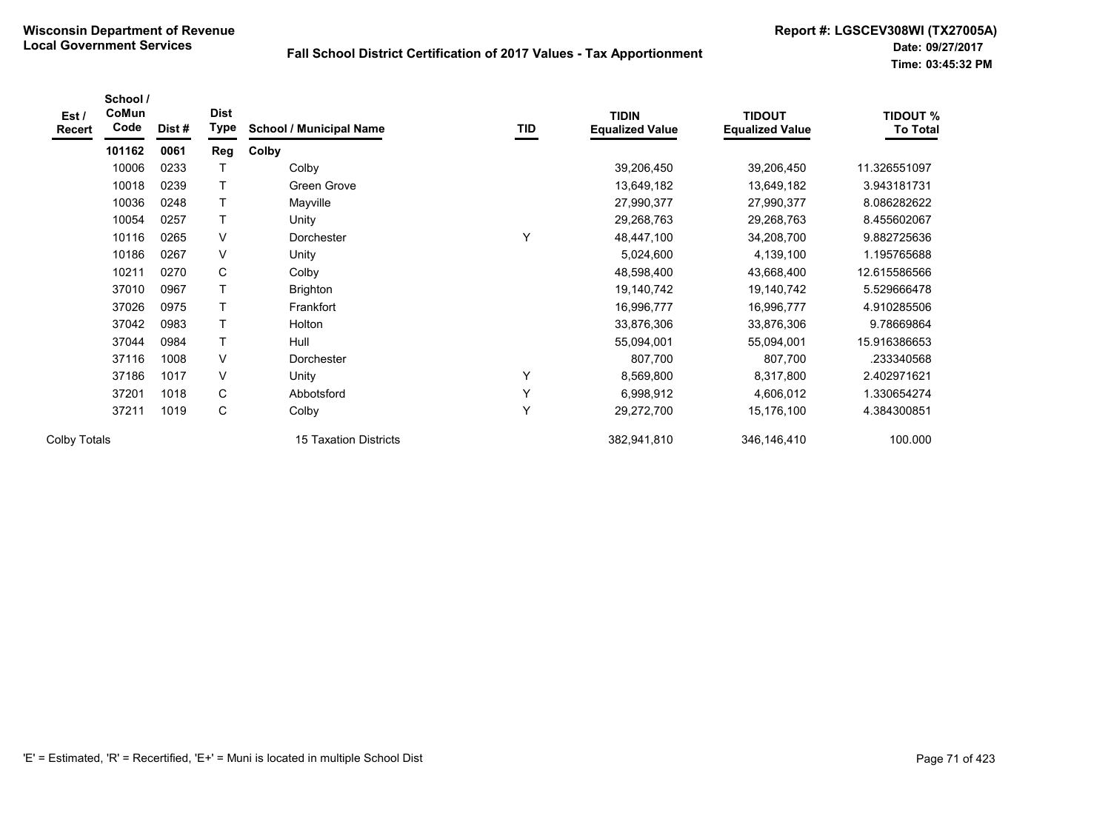| Est /<br>Recert     | School /<br>CoMun<br>Code | Dist# | <b>Dist</b><br>Type | <b>School / Municipal Name</b> | TID | <b>TIDIN</b><br><b>Equalized Value</b> | <b>TIDOUT</b><br><b>Equalized Value</b> | <b>TIDOUT %</b><br><b>To Total</b> |
|---------------------|---------------------------|-------|---------------------|--------------------------------|-----|----------------------------------------|-----------------------------------------|------------------------------------|
|                     | 101162                    | 0061  | Reg                 | Colby                          |     |                                        |                                         |                                    |
|                     | 10006                     | 0233  |                     | Colby                          |     | 39,206,450                             | 39,206,450                              | 11.326551097                       |
|                     | 10018                     | 0239  | Τ                   | Green Grove                    |     | 13,649,182                             | 13,649,182                              | 3.943181731                        |
|                     | 10036                     | 0248  | T                   | Mayville                       |     | 27,990,377                             | 27,990,377                              | 8.086282622                        |
|                     | 10054                     | 0257  | T                   | Unity                          |     | 29,268,763                             | 29,268,763                              | 8.455602067                        |
|                     | 10116                     | 0265  | $\vee$              | Dorchester                     | Y   | 48,447,100                             | 34,208,700                              | 9.882725636                        |
|                     | 10186                     | 0267  | $\vee$              | Unity                          |     | 5,024,600                              | 4,139,100                               | 1.195765688                        |
|                     | 10211                     | 0270  | C                   | Colby                          |     | 48,598,400                             | 43,668,400                              | 12.615586566                       |
|                     | 37010                     | 0967  | Τ                   | <b>Brighton</b>                |     | 19,140,742                             | 19,140,742                              | 5.529666478                        |
|                     | 37026                     | 0975  | T                   | Frankfort                      |     | 16,996,777                             | 16,996,777                              | 4.910285506                        |
|                     | 37042                     | 0983  | Т                   | Holton                         |     | 33,876,306                             | 33,876,306                              | 9.78669864                         |
|                     | 37044                     | 0984  | T                   | Hull                           |     | 55,094,001                             | 55,094,001                              | 15.916386653                       |
|                     | 37116                     | 1008  | $\vee$              | Dorchester                     |     | 807,700                                | 807,700                                 | .233340568                         |
|                     | 37186                     | 1017  | $\vee$              | Unity                          | Υ   | 8,569,800                              | 8,317,800                               | 2.402971621                        |
|                     | 37201                     | 1018  | C                   | Abbotsford                     | Y   | 6,998,912                              | 4,606,012                               | 1.330654274                        |
|                     | 37211                     | 1019  | С                   | Colby                          | Υ   | 29,272,700                             | 15,176,100                              | 4.384300851                        |
| <b>Colby Totals</b> |                           |       |                     | <b>15 Taxation Districts</b>   |     | 382,941,810                            | 346,146,410                             | 100.000                            |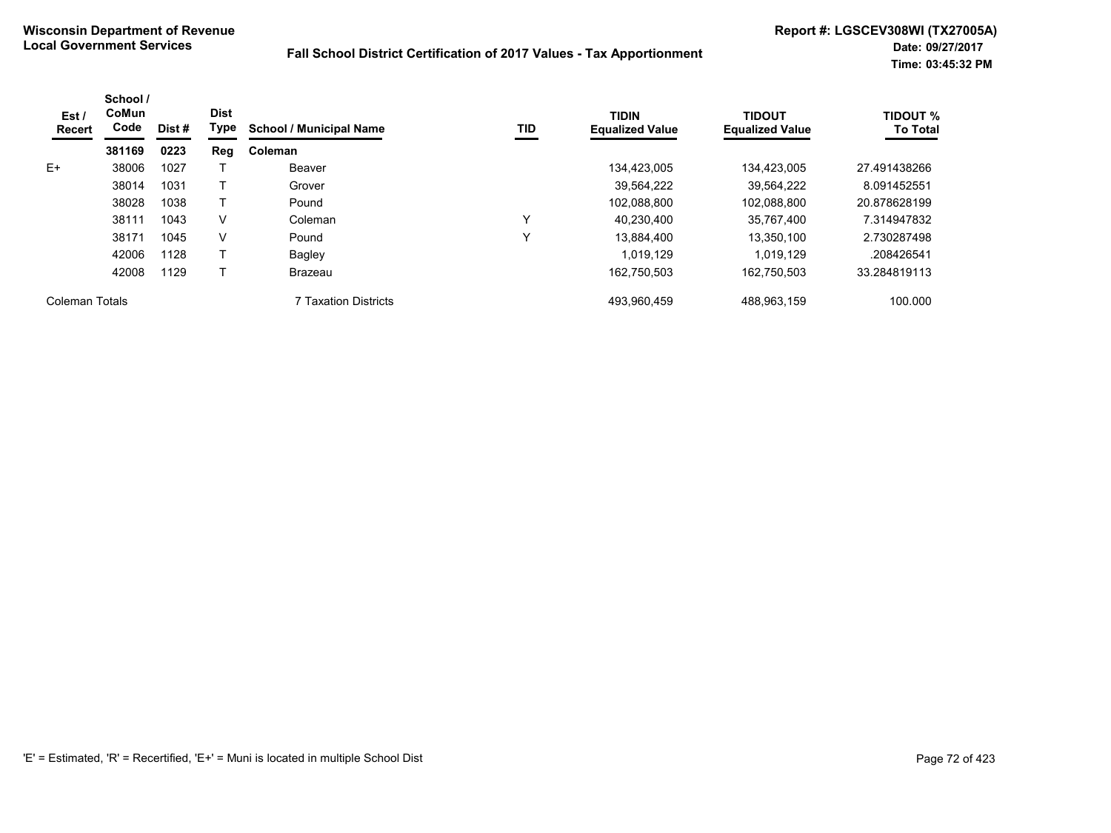| Est /<br>Recert | School /<br>CoMun<br>Code | Dist# | <b>Dist</b><br>Type | <b>School / Municipal Name</b> | TID | <b>TIDIN</b><br><b>Equalized Value</b> | <b>TIDOUT</b><br><b>Equalized Value</b> | <b>TIDOUT %</b><br><b>To Total</b> |
|-----------------|---------------------------|-------|---------------------|--------------------------------|-----|----------------------------------------|-----------------------------------------|------------------------------------|
|                 | 381169                    | 0223  | Reg                 | Coleman                        |     |                                        |                                         |                                    |
| $E+$            | 38006                     | 1027  |                     | Beaver                         |     | 134,423,005                            | 134.423.005                             | 27.491438266                       |
|                 | 38014                     | 1031  |                     | Grover                         |     | 39.564.222                             | 39.564.222                              | 8.091452551                        |
|                 | 38028                     | 1038  |                     | Pound                          |     | 102,088,800                            | 102,088,800                             | 20.878628199                       |
|                 | 38111                     | 1043  | v                   | Coleman                        | ν   | 40.230.400                             | 35,767,400                              | 7.314947832                        |
|                 | 38171                     | 1045  | v                   | Pound                          | ν   | 13,884,400                             | 13,350,100                              | 2.730287498                        |
|                 | 42006                     | 1128  |                     | Bagley                         |     | 1.019.129                              | 1.019.129                               | .208426541                         |
|                 | 42008                     | 1129  |                     | Brazeau                        |     | 162,750,503                            | 162,750,503                             | 33.284819113                       |
| Coleman Totals  |                           |       |                     | <b>7 Taxation Districts</b>    |     | 493,960,459                            | 488,963,159                             | 100.000                            |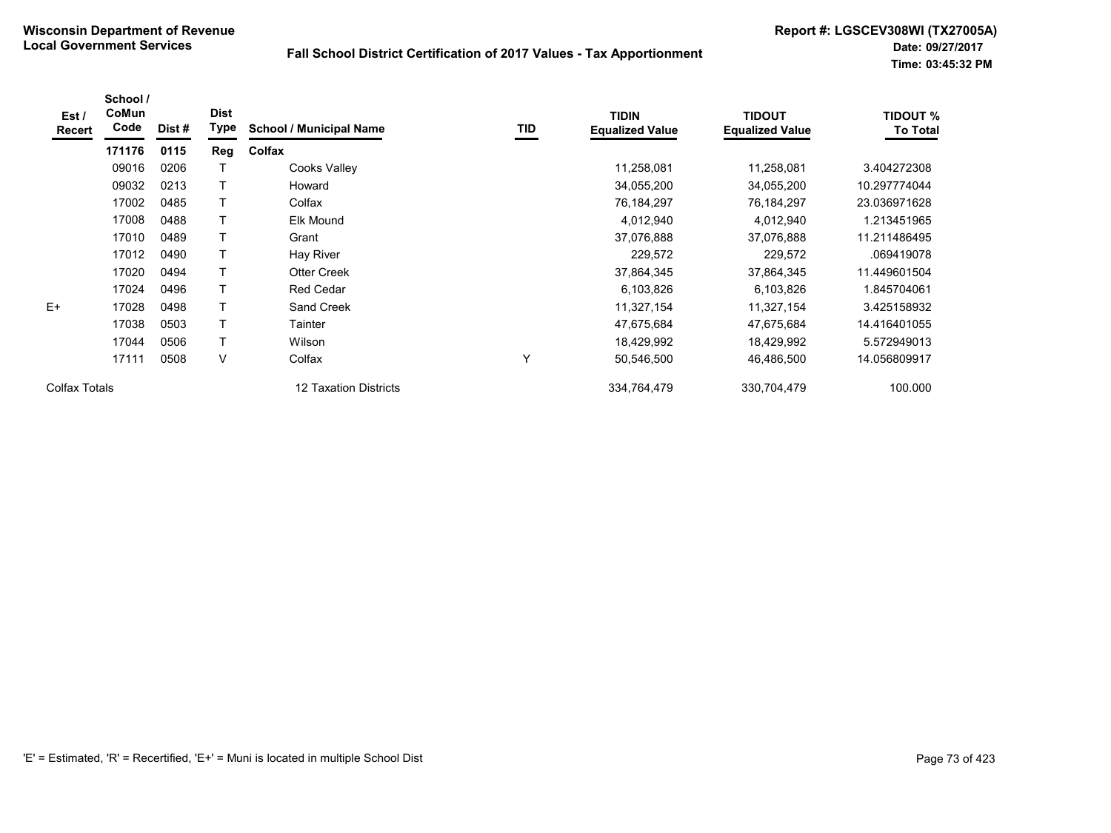| Est /<br>Recert | School /<br>CoMun<br>Code | Dist # | <b>Dist</b><br>Type | <b>School / Municipal Name</b> | TID          | <b>TIDIN</b><br><b>Equalized Value</b> | <b>TIDOUT</b><br><b>Equalized Value</b> | <b>TIDOUT %</b><br><b>To Total</b> |
|-----------------|---------------------------|--------|---------------------|--------------------------------|--------------|----------------------------------------|-----------------------------------------|------------------------------------|
|                 | 171176                    | 0115   | Reg                 | Colfax                         |              |                                        |                                         |                                    |
|                 | 09016                     | 0206   |                     | Cooks Valley                   |              | 11,258,081                             | 11,258,081                              | 3.404272308                        |
|                 | 09032                     | 0213   |                     | Howard                         |              | 34,055,200                             | 34,055,200                              | 10.297774044                       |
|                 | 17002                     | 0485   |                     | Colfax                         |              | 76,184,297                             | 76,184,297                              | 23.036971628                       |
|                 | 17008                     | 0488   |                     | Elk Mound                      |              | 4,012,940                              | 4,012,940                               | 1.213451965                        |
|                 | 17010                     | 0489   |                     | Grant                          |              | 37,076,888                             | 37,076,888                              | 11.211486495                       |
|                 | 17012                     | 0490   |                     | Hay River                      |              | 229,572                                | 229,572                                 | .069419078                         |
|                 | 17020                     | 0494   |                     | <b>Otter Creek</b>             |              | 37,864,345                             | 37,864,345                              | 11.449601504                       |
|                 | 17024                     | 0496   | т                   | <b>Red Cedar</b>               |              | 6,103,826                              | 6,103,826                               | 845704061.                         |
| $E+$            | 17028                     | 0498   | Т                   | Sand Creek                     |              | 11,327,154                             | 11,327,154                              | 3.425158932                        |
|                 | 17038                     | 0503   | т                   | Tainter                        |              | 47,675,684                             | 47,675,684                              | 14.416401055                       |
|                 | 17044                     | 0506   |                     | Wilson                         |              | 18,429,992                             | 18,429,992                              | 5.572949013                        |
|                 | 17111                     | 0508   | V                   | Colfax                         | $\checkmark$ | 50,546,500                             | 46,486,500                              | 14.056809917                       |
| Colfax Totals   |                           |        |                     | 12 Taxation Districts          |              | 334,764,479                            | 330,704,479                             | 100.000                            |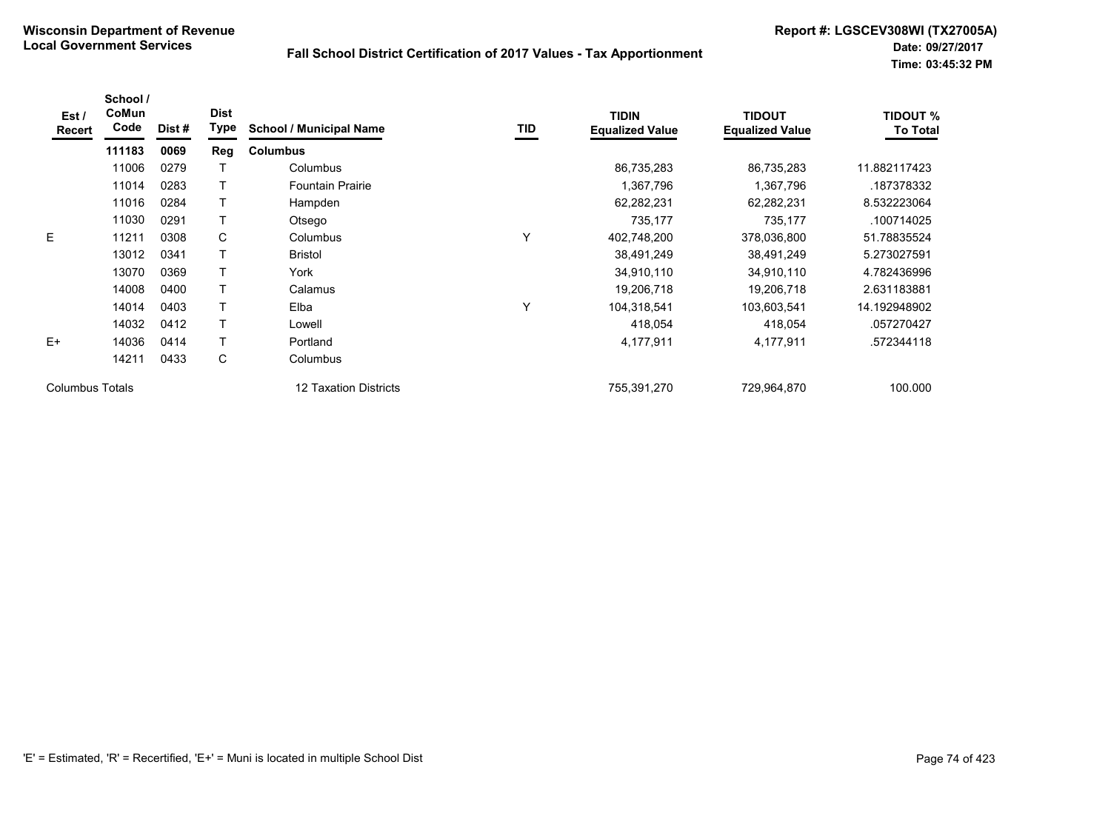| Est /<br>Recert        | School /<br>CoMun<br>Code | Dist # | <b>Dist</b><br><b>Type</b> | <b>School / Municipal Name</b> | <b>TID</b> | <b>TIDIN</b><br><b>Equalized Value</b> | <b>TIDOUT</b><br><b>Equalized Value</b> | <b>TIDOUT %</b><br><b>To Total</b> |
|------------------------|---------------------------|--------|----------------------------|--------------------------------|------------|----------------------------------------|-----------------------------------------|------------------------------------|
|                        | 111183                    | 0069   | Reg                        | <b>Columbus</b>                |            |                                        |                                         |                                    |
|                        | 11006                     | 0279   |                            | Columbus                       |            | 86,735,283                             | 86,735,283                              | 11.882117423                       |
|                        | 11014                     | 0283   |                            | <b>Fountain Prairie</b>        |            | 1,367,796                              | 1,367,796                               | .187378332                         |
|                        | 11016                     | 0284   |                            | Hampden                        |            | 62,282,231                             | 62,282,231                              | 8.532223064                        |
|                        | 11030                     | 0291   |                            | Otsego                         |            | 735,177                                | 735,177                                 | .100714025                         |
| E                      | 11211                     | 0308   | С                          | Columbus                       | Y          | 402,748,200                            | 378,036,800                             | 51.78835524                        |
|                        | 13012                     | 0341   |                            | <b>Bristol</b>                 |            | 38,491,249                             | 38,491,249                              | 5.273027591                        |
|                        | 13070                     | 0369   |                            | York                           |            | 34,910,110                             | 34,910,110                              | 4.782436996                        |
|                        | 14008                     | 0400   |                            | Calamus                        |            | 19,206,718                             | 19,206,718                              | 2.631183881                        |
|                        | 14014                     | 0403   |                            | Elba                           | Υ          | 104,318,541                            | 103,603,541                             | 14.192948902                       |
|                        | 14032                     | 0412   |                            | Lowell                         |            | 418,054                                | 418,054                                 | .057270427                         |
| $E+$                   | 14036                     | 0414   |                            | Portland                       |            | 4,177,911                              | 4,177,911                               | .572344118                         |
|                        | 14211                     | 0433   | С                          | Columbus                       |            |                                        |                                         |                                    |
| <b>Columbus Totals</b> |                           |        |                            | 12 Taxation Districts          |            | 755,391,270                            | 729,964,870                             | 100.000                            |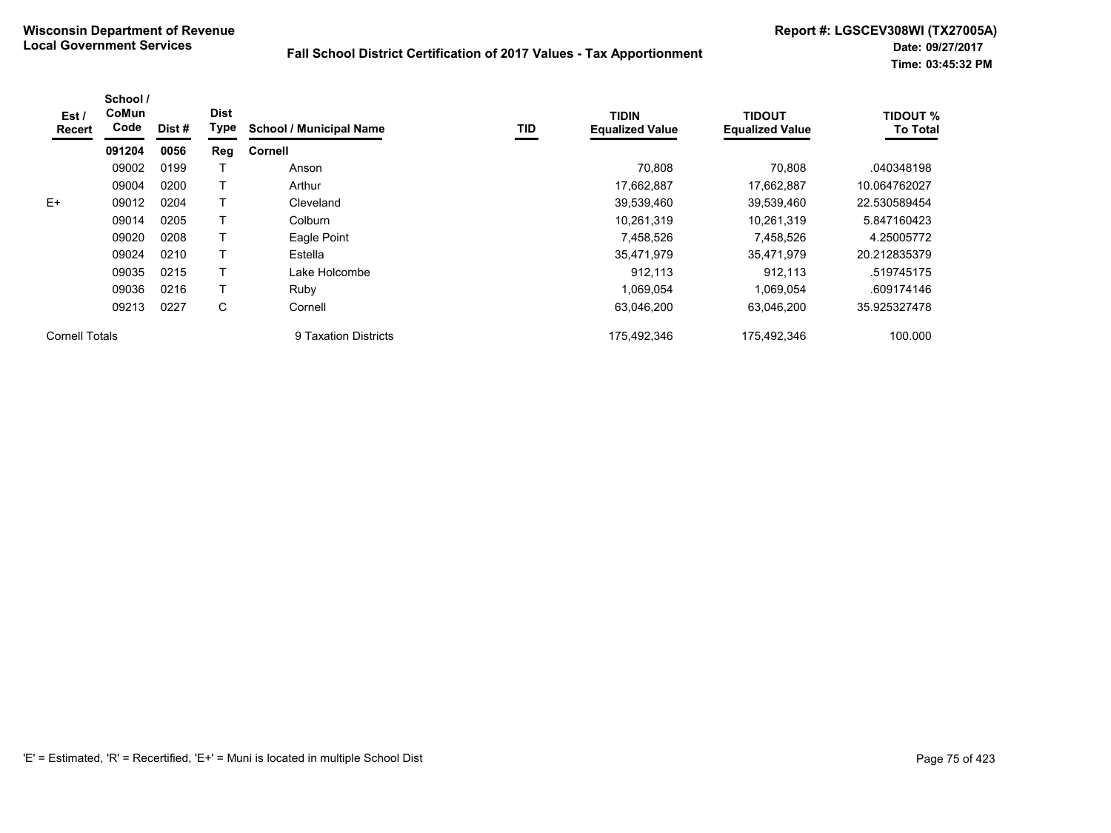| Est /<br>Recert | School /<br><b>CoMun</b><br>Code | Dist# | <b>Dist</b><br>Type | <b>School / Municipal Name</b> | TID | <b>TIDIN</b><br><b>Equalized Value</b> | <b>TIDOUT</b><br><b>Equalized Value</b> | <b>TIDOUT %</b><br><b>To Total</b> |
|-----------------|----------------------------------|-------|---------------------|--------------------------------|-----|----------------------------------------|-----------------------------------------|------------------------------------|
|                 | 091204                           | 0056  | Reg                 | Cornell                        |     |                                        |                                         |                                    |
|                 | 09002                            | 0199  |                     | Anson                          |     | 70,808                                 | 70.808                                  | .040348198                         |
|                 | 09004                            | 0200  |                     | Arthur                         |     | 17,662,887                             | 17,662,887                              | 10.064762027                       |
| $E+$            | 09012                            | 0204  |                     | Cleveland                      |     | 39,539,460                             | 39,539,460                              | 22.530589454                       |
|                 | 09014                            | 0205  |                     | Colburn                        |     | 10,261,319                             | 10,261,319                              | 5.847160423                        |
|                 | 09020                            | 0208  |                     | Eagle Point                    |     | 7,458,526                              | 7,458,526                               | 4.25005772                         |
|                 | 09024                            | 0210  |                     | Estella                        |     | 35,471,979                             | 35,471,979                              | 20.212835379                       |
|                 | 09035                            | 0215  |                     | Lake Holcombe                  |     | 912.113                                | 912.113                                 | .519745175                         |
|                 | 09036                            | 0216  |                     | Ruby                           |     | 1,069,054                              | 1,069,054                               | .609174146                         |
|                 | 09213                            | 0227  | C                   | Cornell                        |     | 63,046,200                             | 63.046.200                              | 35.925327478                       |
| Cornell Totals  |                                  |       |                     | 9 Taxation Districts           |     | 175,492,346                            | 175,492,346                             | 100.000                            |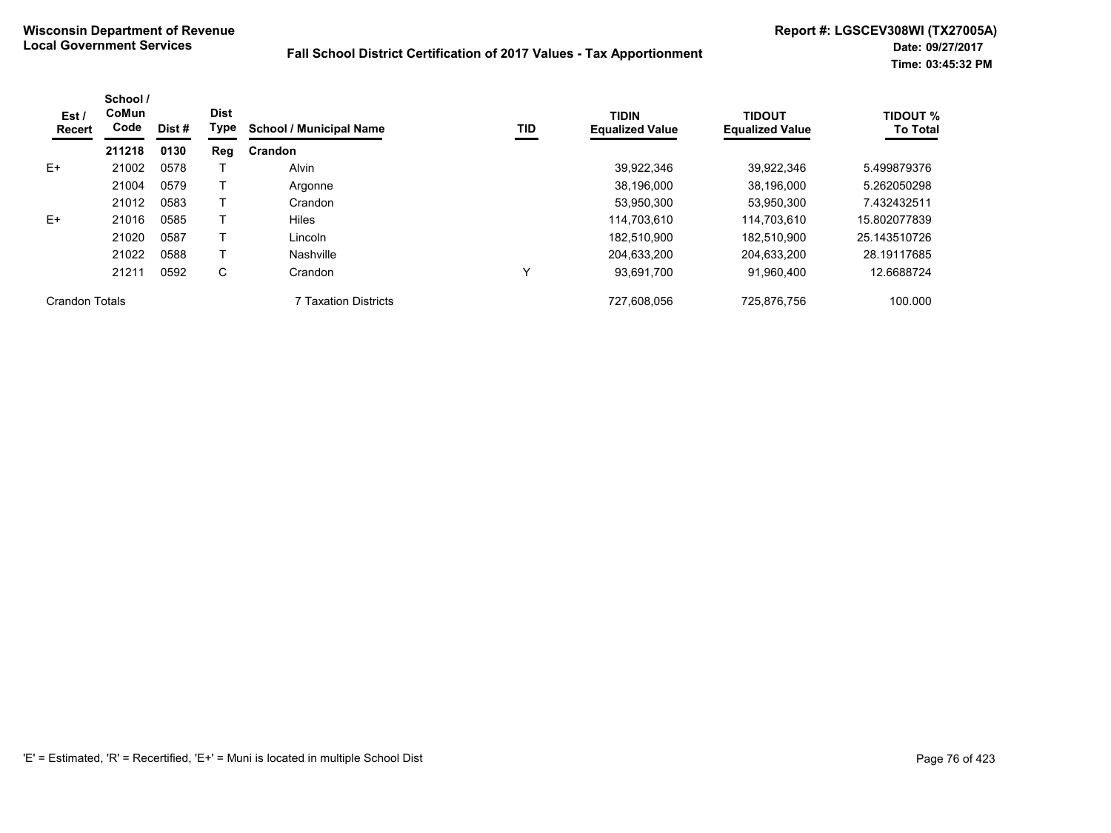| Est /<br><b>Recert</b> | School /<br><b>CoMun</b><br>Code | Dist # | <b>Dist</b><br>Type | <b>School / Municipal Name</b> | TID | <b>TIDIN</b><br><b>Equalized Value</b> | <b>TIDOUT</b><br><b>Equalized Value</b> | <b>TIDOUT %</b><br><b>To Total</b> |
|------------------------|----------------------------------|--------|---------------------|--------------------------------|-----|----------------------------------------|-----------------------------------------|------------------------------------|
|                        | 211218                           | 0130   | Reg                 | Crandon                        |     |                                        |                                         |                                    |
| $E+$                   | 21002                            | 0578   |                     | <b>Alvin</b>                   |     | 39.922.346                             | 39.922.346                              | 5.499879376                        |
|                        | 21004                            | 0579   |                     | Argonne                        |     | 38,196,000                             | 38,196,000                              | 5.262050298                        |
|                        | 21012                            | 0583   |                     | Crandon                        |     | 53,950,300                             | 53,950,300                              | 7.432432511                        |
| $E+$                   | 21016                            | 0585   |                     | <b>Hiles</b>                   |     | 114.703.610                            | 114.703.610                             | 15.802077839                       |
|                        | 21020                            | 0587   |                     | Lincoln                        |     | 182,510,900                            | 182.510.900                             | 25.143510726                       |
|                        | 21022                            | 0588   |                     | Nashville                      |     | 204,633,200                            | 204,633,200                             | 28.19117685                        |
|                        | 21211                            | 0592   | С                   | Crandon                        | v   | 93,691,700                             | 91,960,400                              | 12.6688724                         |
| Crandon Totals         |                                  |        |                     | 7 Taxation Districts           |     | 727,608,056                            | 725,876,756                             | 100.000                            |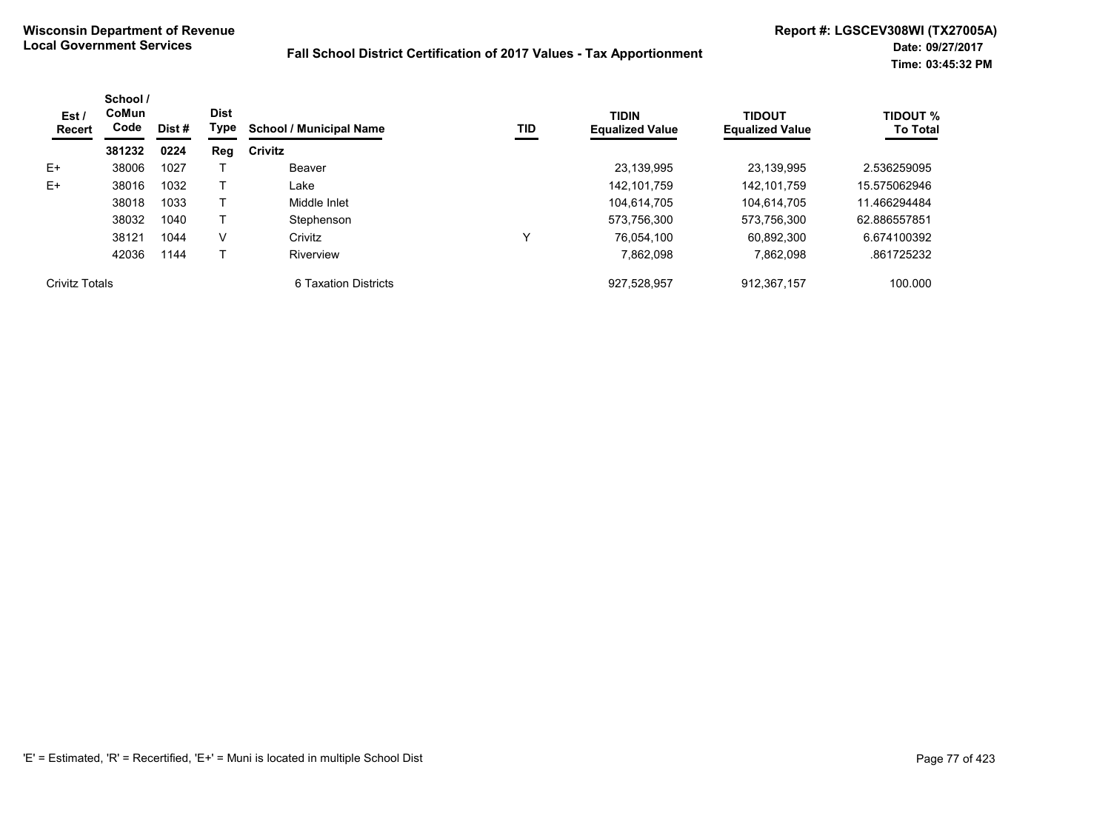| Est /<br><b>Recert</b> | School /<br><b>CoMun</b><br>Code<br>Dist #<br>381232<br>0224 | <b>Dist</b><br>Type | <b>School / Municipal Name</b> | TID                  | <b>TIDIN</b><br><b>Equalized Value</b> | <b>TIDOUT</b><br><b>Equalized Value</b> | TIDOUT %<br><b>To Total</b> |              |
|------------------------|--------------------------------------------------------------|---------------------|--------------------------------|----------------------|----------------------------------------|-----------------------------------------|-----------------------------|--------------|
|                        |                                                              |                     | Reg                            | Crivitz              |                                        |                                         |                             |              |
| $E+$                   | 38006                                                        | 1027                |                                | Beaver               |                                        | 23,139,995                              | 23,139,995                  | 2.536259095  |
| $E+$                   | 38016                                                        | 1032                |                                | Lake                 |                                        | 142,101,759                             | 142,101,759                 | 15.575062946 |
|                        | 38018                                                        | 1033                |                                | Middle Inlet         |                                        | 104.614.705                             | 104.614.705                 | 11.466294484 |
|                        | 38032                                                        | 1040                |                                | Stephenson           |                                        | 573,756,300                             | 573,756,300                 | 62.886557851 |
|                        | 38121                                                        | 1044                | V                              | Crivitz              | $\checkmark$                           | 76.054.100                              | 60,892,300                  | 6.674100392  |
|                        | 42036                                                        | 1144                |                                | Riverview            |                                        | 7.862.098                               | 7.862.098                   | .861725232   |
| Crivitz Totals         |                                                              |                     |                                | 6 Taxation Districts |                                        | 927,528,957                             | 912,367,157                 | 100.000      |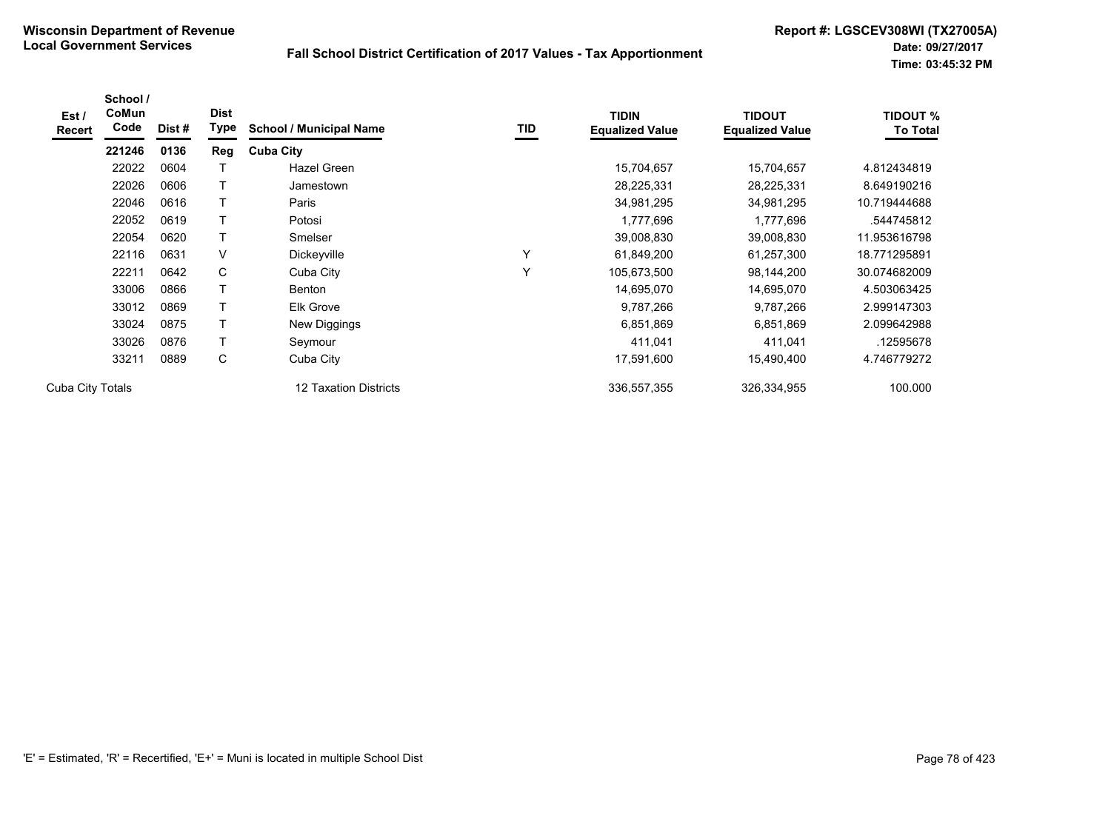| Est /<br>Recert  | School /<br>CoMun<br>Code | Dist# | <b>Dist</b><br>Type | <b>School / Municipal Name</b> | TID          | <b>TIDIN</b><br><b>Equalized Value</b> | <b>TIDOUT</b><br><b>Equalized Value</b> | <b>TIDOUT %</b><br><b>To Total</b> |
|------------------|---------------------------|-------|---------------------|--------------------------------|--------------|----------------------------------------|-----------------------------------------|------------------------------------|
|                  | 221246                    | 0136  | <b>Reg</b>          | <b>Cuba City</b>               |              |                                        |                                         |                                    |
|                  | 22022                     | 0604  |                     | Hazel Green                    |              | 15,704,657                             | 15,704,657                              | 4.812434819                        |
|                  | 22026                     | 0606  | Т                   | Jamestown                      |              | 28,225,331                             | 28,225,331                              | 8.649190216                        |
|                  | 22046                     | 0616  | Т                   | Paris                          |              | 34,981,295                             | 34,981,295                              | 10.719444688                       |
|                  | 22052                     | 0619  |                     | Potosi                         |              | 1,777,696                              | 1,777,696                               | .544745812                         |
|                  | 22054                     | 0620  | Т                   | Smelser                        |              | 39,008,830                             | 39,008,830                              | 11.953616798                       |
|                  | 22116                     | 0631  | $\vee$              | Dickeyville                    | $\checkmark$ | 61,849,200                             | 61,257,300                              | 18.771295891                       |
|                  | 22211                     | 0642  | C                   | Cuba City                      | v            | 105,673,500                            | 98,144,200                              | 30.074682009                       |
|                  | 33006                     | 0866  | Т                   | <b>Benton</b>                  |              | 14,695,070                             | 14,695,070                              | 4.503063425                        |
|                  | 33012                     | 0869  | Т                   | <b>Elk Grove</b>               |              | 9,787,266                              | 9,787,266                               | 2.999147303                        |
|                  | 33024                     | 0875  | т                   | New Diggings                   |              | 6,851,869                              | 6,851,869                               | 2.099642988                        |
|                  | 33026                     | 0876  | Т                   | Seymour                        |              | 411,041                                | 411,041                                 | 12595678                           |
|                  | 33211                     | 0889  | С                   | Cuba City                      |              | 17,591,600                             | 15,490,400                              | 4.746779272                        |
| Cuba City Totals |                           |       |                     | 12 Taxation Districts          |              | 336,557,355                            | 326,334,955                             | 100.000                            |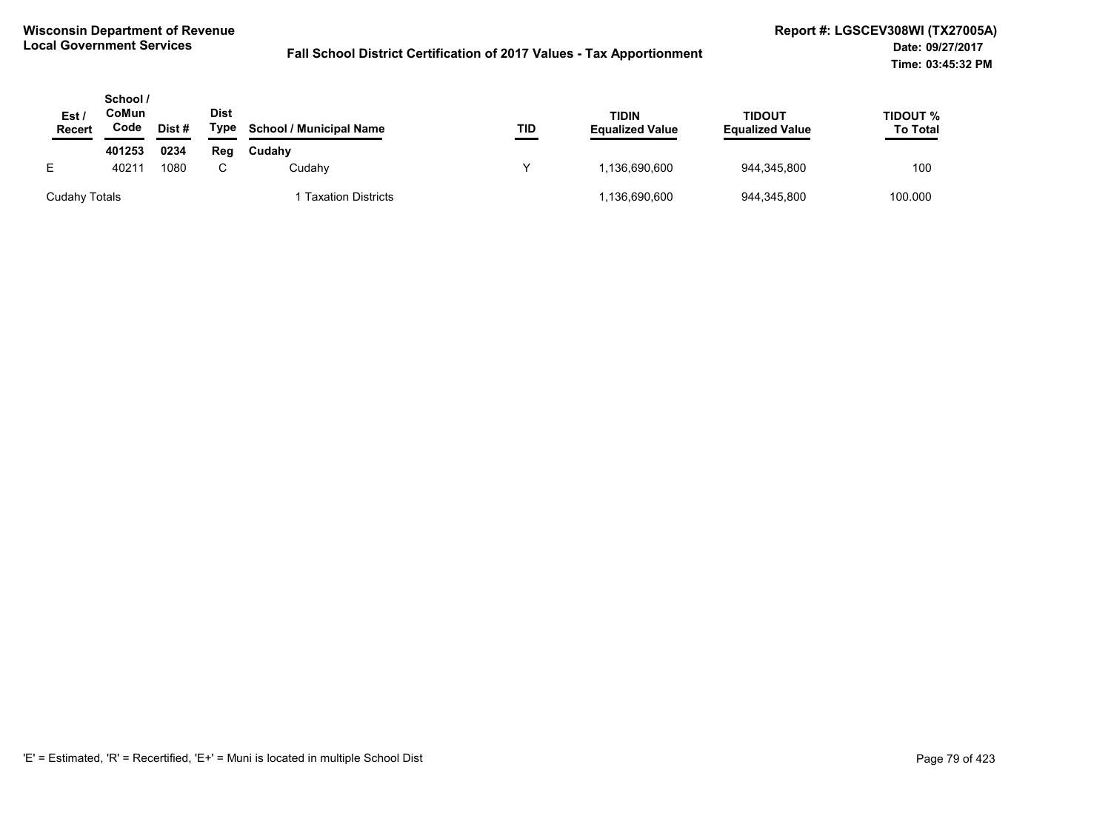| Est.<br><b>Recert</b> | School /<br>CoMun<br>Code | Dist # | <b>Dist</b><br>Type | <b>School / Municipal Name</b> | TID | <b>TIDIN</b><br><b>Equalized Value</b> | TIDOUT<br><b>Equalized Value</b> | TIDOUT %<br><b>To Total</b> |
|-----------------------|---------------------------|--------|---------------------|--------------------------------|-----|----------------------------------------|----------------------------------|-----------------------------|
|                       | 401253                    | 0234   | Reg                 | Cudahy                         |     |                                        |                                  |                             |
|                       | 40211                     | 1080   |                     | Cudahv                         |     | 1.136.690.600                          | 944.345.800                      | 100                         |
| Cudahy Totals         |                           |        |                     | <b>Taxation Districts</b>      |     | 136,690,600                            | 944,345,800                      | 100.000                     |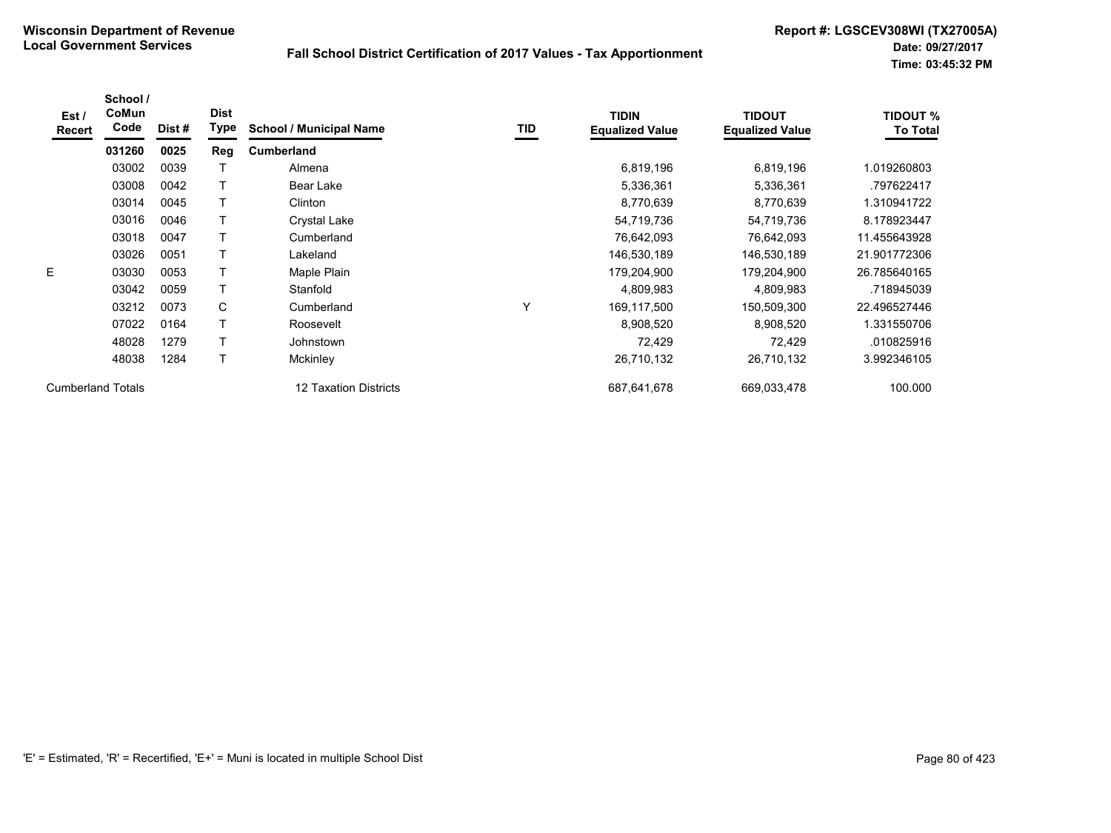| Est /<br><b>Recert</b>   | School /<br>CoMun<br>Code | Dist# | <b>Dist</b><br>Type | <b>School / Municipal Name</b> | TID | <b>TIDIN</b><br><b>Equalized Value</b> | <b>TIDOUT</b><br><b>Equalized Value</b> | <b>TIDOUT %</b><br><b>To Total</b> |
|--------------------------|---------------------------|-------|---------------------|--------------------------------|-----|----------------------------------------|-----------------------------------------|------------------------------------|
|                          | 031260                    | 0025  | Reg                 | <b>Cumberland</b>              |     |                                        |                                         |                                    |
|                          | 03002                     | 0039  |                     | Almena                         |     | 6,819,196                              | 6,819,196                               | 1.019260803                        |
|                          | 03008                     | 0042  | Τ                   | Bear Lake                      |     | 5,336,361                              | 5,336,361                               | .797622417                         |
|                          | 03014                     | 0045  |                     | Clinton                        |     | 8,770,639                              | 8,770,639                               | 1.310941722                        |
|                          | 03016                     | 0046  |                     | Crystal Lake                   |     | 54,719,736                             | 54,719,736                              | 8.178923447                        |
|                          | 03018                     | 0047  |                     | Cumberland                     |     | 76,642,093                             | 76,642,093                              | 11.455643928                       |
|                          | 03026                     | 0051  |                     | Lakeland                       |     | 146,530,189                            | 146,530,189                             | 21.901772306                       |
| E.                       | 03030                     | 0053  | Τ                   | Maple Plain                    |     | 179,204,900                            | 179,204,900                             | 26.785640165                       |
|                          | 03042                     | 0059  | Τ                   | Stanfold                       |     | 4,809,983                              | 4,809,983                               | .718945039                         |
|                          | 03212                     | 0073  | C                   | Cumberland                     | Υ   | 169,117,500                            | 150,509,300                             | 22.496527446                       |
|                          | 07022                     | 0164  | т                   | Roosevelt                      |     | 8,908,520                              | 8,908,520                               | 1.331550706                        |
|                          | 48028                     | 1279  | т                   | Johnstown                      |     | 72,429                                 | 72,429                                  | .010825916                         |
|                          | 48038                     | 1284  | T                   | <b>Mckinley</b>                |     | 26,710,132                             | 26,710,132                              | 3.992346105                        |
| <b>Cumberland Totals</b> |                           |       |                     | 12 Taxation Districts          |     | 687,641,678                            | 669,033,478                             | 100.000                            |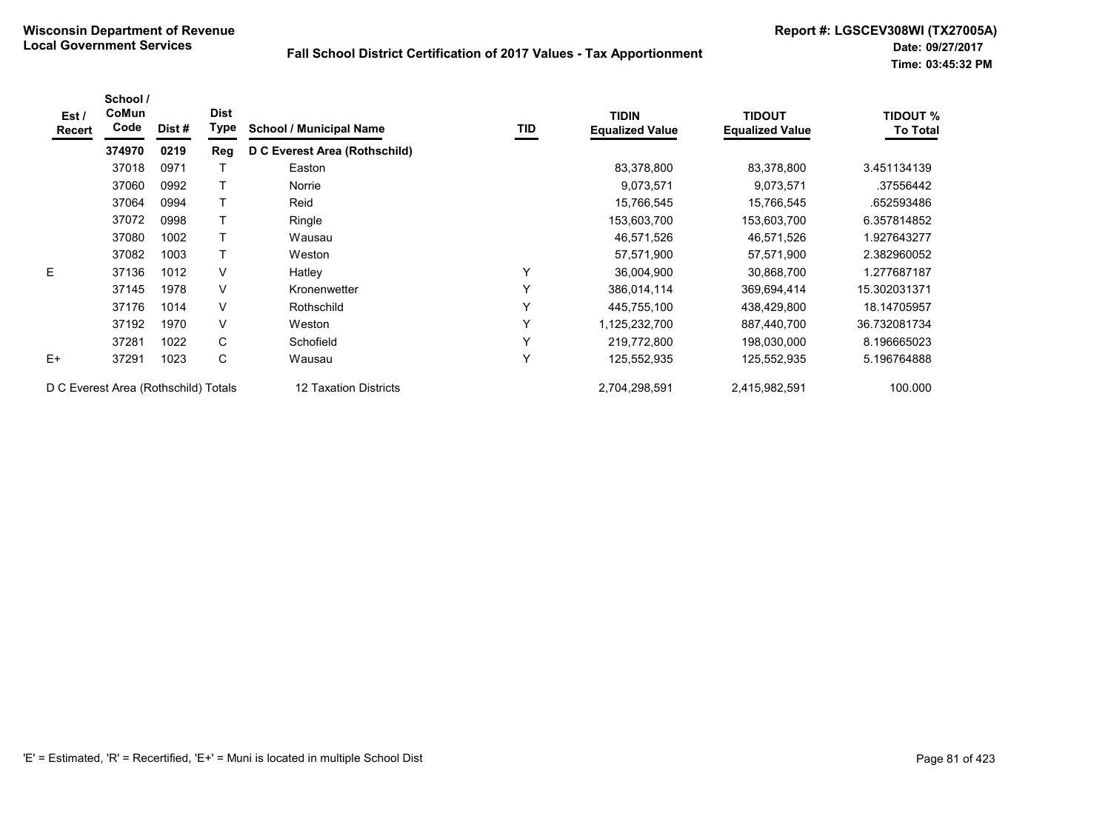| Est/<br>Recert | School /<br>CoMun<br>Code            | Dist # | <b>Dist</b><br>Type | <b>School / Municipal Name</b> | TID | <b>TIDIN</b><br><b>Equalized Value</b> | <b>TIDOUT</b><br><b>Equalized Value</b> | <b>TIDOUT %</b><br><b>To Total</b> |
|----------------|--------------------------------------|--------|---------------------|--------------------------------|-----|----------------------------------------|-----------------------------------------|------------------------------------|
|                | 374970                               | 0219   | Reg                 | D C Everest Area (Rothschild)  |     |                                        |                                         |                                    |
|                | 37018                                | 0971   |                     | Easton                         |     | 83,378,800                             | 83,378,800                              | 3.451134139                        |
|                | 37060                                | 0992   |                     | Norrie                         |     | 9,073,571                              | 9,073,571                               | .37556442                          |
|                | 37064                                | 0994   |                     | Reid                           |     | 15,766,545                             | 15,766,545                              | .652593486                         |
|                | 37072                                | 0998   |                     | Ringle                         |     | 153,603,700                            | 153,603,700                             | 6.357814852                        |
|                | 37080                                | 1002   |                     | Wausau                         |     | 46,571,526                             | 46,571,526                              | 1.927643277                        |
|                | 37082                                | 1003   |                     | Weston                         |     | 57,571,900                             | 57,571,900                              | 2.382960052                        |
| E.             | 37136                                | 1012   | V                   | Hatley                         | Υ   | 36,004,900                             | 30,868,700                              | 1.277687187                        |
|                | 37145                                | 1978   | V                   | Kronenwetter                   | Y   | 386,014,114                            | 369,694,414                             | 15.302031371                       |
|                | 37176                                | 1014   | V                   | Rothschild                     | Y   | 445,755,100                            | 438,429,800                             | 18.14705957                        |
|                | 37192                                | 1970   | V                   | Weston                         | Y   | 1,125,232,700                          | 887,440,700                             | 36.732081734                       |
|                | 37281                                | 1022   | C                   | Schofield                      | Y   | 219,772,800                            | 198,030,000                             | 8.196665023                        |
| E+             | 37291                                | 1023   | С                   | Wausau                         | Y   | 125,552,935                            | 125,552,935                             | 5.196764888                        |
|                | D C Everest Area (Rothschild) Totals |        |                     | 12 Taxation Districts          |     | 2,704,298,591                          | 2,415,982,591                           | 100.000                            |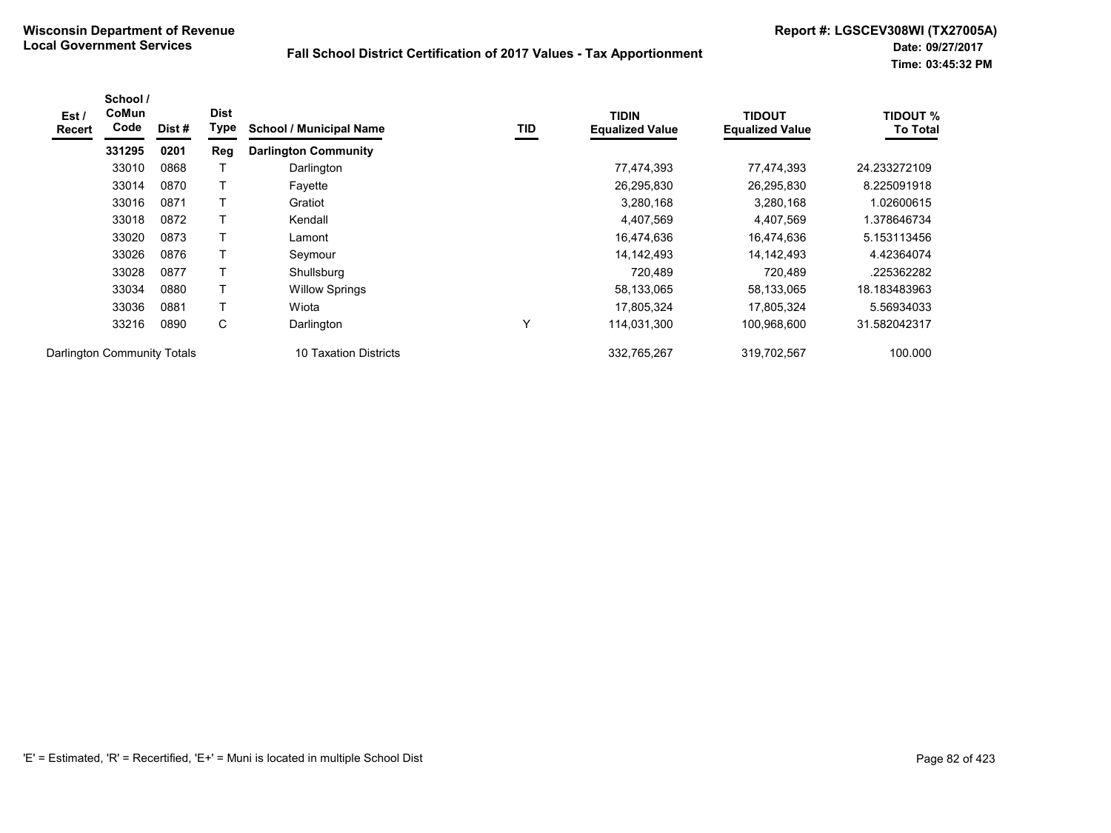| Est /<br>Recert             | School /<br>CoMun<br>Code | Dist# | <b>Dist</b><br>Type | <b>School / Municipal Name</b> | TID | <b>TIDIN</b><br><b>Equalized Value</b> | TIDOUT<br><b>Equalized Value</b> | <b>TIDOUT %</b><br><b>To Total</b> |
|-----------------------------|---------------------------|-------|---------------------|--------------------------------|-----|----------------------------------------|----------------------------------|------------------------------------|
|                             | 331295                    | 0201  | Reg                 | <b>Darlington Community</b>    |     |                                        |                                  |                                    |
|                             | 33010                     | 0868  |                     | Darlington                     |     | 77,474,393                             | 77,474,393                       | 24.233272109                       |
|                             | 33014                     | 0870  |                     | Fayette                        |     | 26,295,830                             | 26,295,830                       | 8.225091918                        |
|                             | 33016                     | 0871  | Т                   | Gratiot                        |     | 3,280,168                              | 3,280,168                        | 1.02600615                         |
|                             | 33018                     | 0872  |                     | Kendall                        |     | 4,407,569                              | 4,407,569                        | .378646734                         |
|                             | 33020                     | 0873  |                     | Lamont                         |     | 16,474,636                             | 16.474.636                       | 5.153113456                        |
|                             | 33026                     | 0876  |                     | Seymour                        |     | 14, 142, 493                           | 14,142,493                       | 4.42364074                         |
|                             | 33028                     | 0877  |                     | Shullsburg                     |     | 720.489                                | 720,489                          | .225362282                         |
|                             | 33034                     | 0880  | Т                   | <b>Willow Springs</b>          |     | 58,133,065                             | 58,133,065                       | 18.183483963                       |
|                             | 33036                     | 0881  |                     | Wiota                          |     | 17,805,324                             | 17,805,324                       | 5.56934033                         |
|                             | 33216                     | 0890  | C                   | Darlington                     | Υ   | 114,031,300                            | 100.968.600                      | 31.582042317                       |
| Darlington Community Totals |                           |       |                     | 10 Taxation Districts          |     | 332,765,267                            | 319,702,567                      | 100.000                            |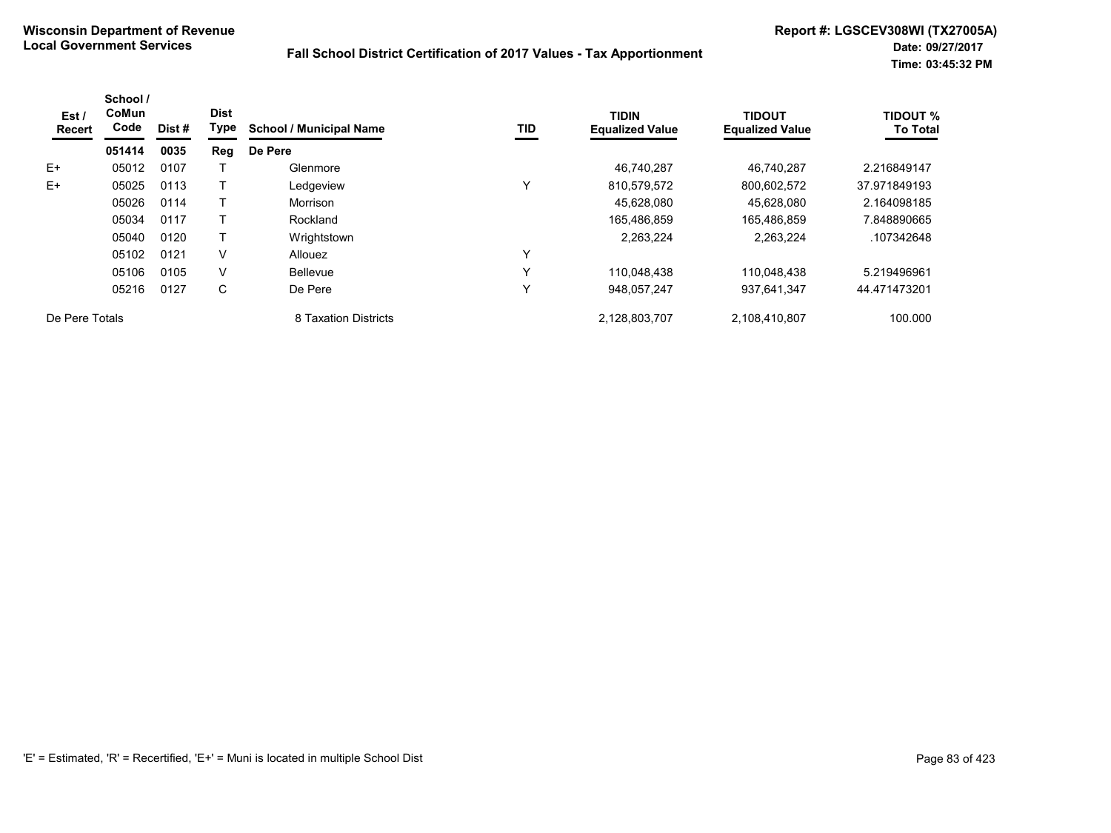| Est/<br>Recert | School /<br>CoMun<br>Code | Dist # | <b>Dist</b><br>Type | <b>School / Municipal Name</b> | TID          | <b>TIDIN</b><br><b>Equalized Value</b> | <b>TIDOUT</b><br><b>Equalized Value</b> | <b>TIDOUT %</b><br><b>To Total</b> |
|----------------|---------------------------|--------|---------------------|--------------------------------|--------------|----------------------------------------|-----------------------------------------|------------------------------------|
|                | 051414                    | 0035   | Reg                 | De Pere                        |              |                                        |                                         |                                    |
| $E+$           | 05012                     | 0107   |                     | Glenmore                       |              | 46,740,287                             | 46.740.287                              | 2.216849147                        |
| $E+$           | 05025                     | 0113   |                     | Ledgeview                      | Υ            | 810,579,572                            | 800,602,572                             | 37.971849193                       |
|                | 05026                     | 0114   |                     | Morrison                       |              | 45,628,080                             | 45,628,080                              | 2.164098185                        |
|                | 05034                     | 0117   |                     | Rockland                       |              | 165,486,859                            | 165,486,859                             | 7.848890665                        |
|                | 05040                     | 0120   |                     | Wrightstown                    |              | 2.263.224                              | 2.263.224                               | .107342648                         |
|                | 05102                     | 0121   | V                   | <b>Allouez</b>                 | Υ            |                                        |                                         |                                    |
|                | 05106                     | 0105   | V                   | <b>Bellevue</b>                | $\checkmark$ | 110,048,438                            | 110,048,438                             | 5.219496961                        |
|                | 05216                     | 0127   | C                   | De Pere                        | Υ            | 948.057.247                            | 937,641,347                             | 44.471473201                       |
| De Pere Totals |                           |        |                     | 8 Taxation Districts           |              | 2,128,803,707                          | 2,108,410,807                           | 100.000                            |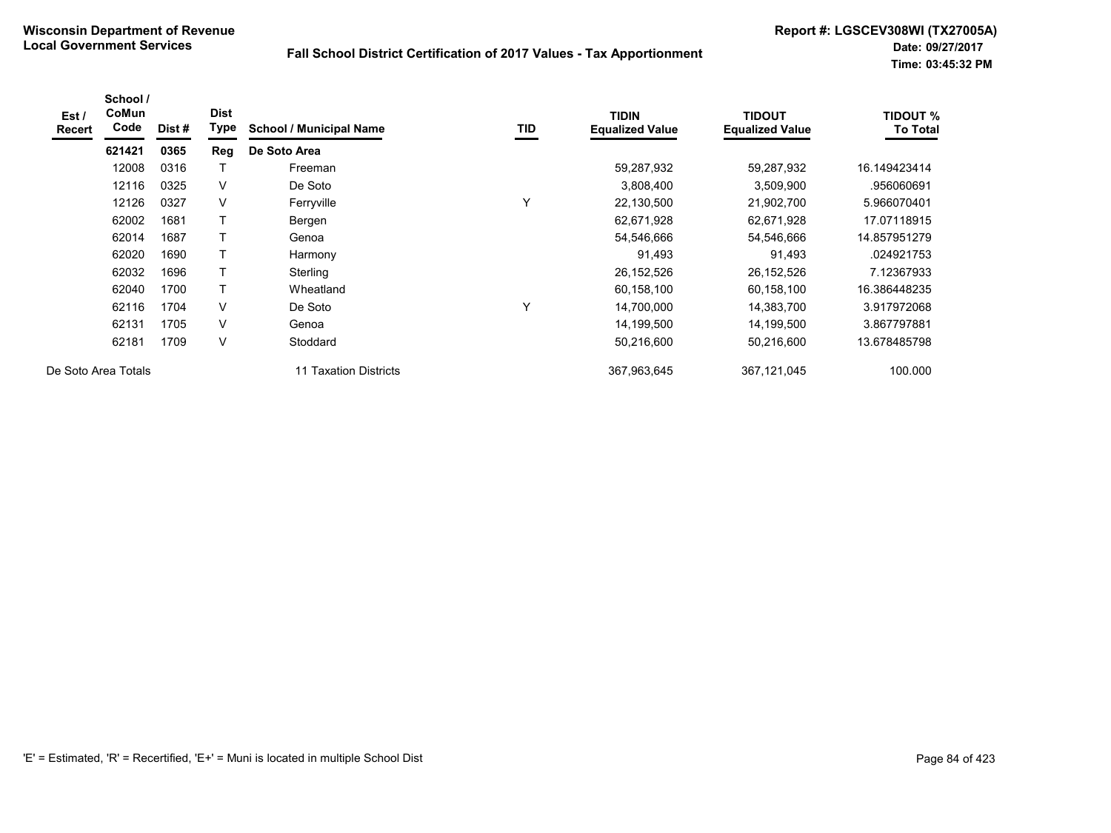| Est /<br><b>Recert</b> | School /<br>CoMun<br>Code | Dist# | <b>Dist</b><br>Type | <b>School / Municipal Name</b> | TID          | <b>TIDIN</b><br><b>Equalized Value</b> | <b>TIDOUT</b><br><b>Equalized Value</b> | <b>TIDOUT %</b><br><b>To Total</b> |
|------------------------|---------------------------|-------|---------------------|--------------------------------|--------------|----------------------------------------|-----------------------------------------|------------------------------------|
|                        | 621421                    | 0365  | Reg                 | De Soto Area                   |              |                                        |                                         |                                    |
|                        | 12008                     | 0316  |                     | Freeman                        |              | 59,287,932                             | 59,287,932                              | 16.149423414                       |
|                        | 12116                     | 0325  | $\vee$              | De Soto                        |              | 3,808,400                              | 3,509,900                               | .956060691                         |
|                        | 12126                     | 0327  | $\vee$              | Ferryville                     | Υ            | 22,130,500                             | 21,902,700                              | 5.966070401                        |
|                        | 62002                     | 1681  |                     | Bergen                         |              | 62,671,928                             | 62,671,928                              | 17.07118915                        |
|                        | 62014                     | 1687  | Т                   | Genoa                          |              | 54,546,666                             | 54,546,666                              | 14.857951279                       |
|                        | 62020                     | 1690  | Τ                   | Harmony                        |              | 91,493                                 | 91,493                                  | .024921753                         |
|                        | 62032                     | 1696  | Τ                   | Sterling                       |              | 26, 152, 526                           | 26,152,526                              | 7.12367933                         |
|                        | 62040                     | 1700  |                     | Wheatland                      |              | 60,158,100                             | 60,158,100                              | 16.386448235                       |
|                        | 62116                     | 1704  | $\vee$              | De Soto                        | $\checkmark$ | 14,700,000                             | 14,383,700                              | 3.917972068                        |
|                        | 62131                     | 1705  | $\vee$              | Genoa                          |              | 14,199,500                             | 14,199,500                              | 3.867797881                        |
|                        | 62181                     | 1709  | $\vee$              | Stoddard                       |              | 50,216,600                             | 50,216,600                              | 13.678485798                       |
|                        | De Soto Area Totals       |       |                     | 11 Taxation Districts          |              | 367.963.645                            | 367,121,045                             | 100.000                            |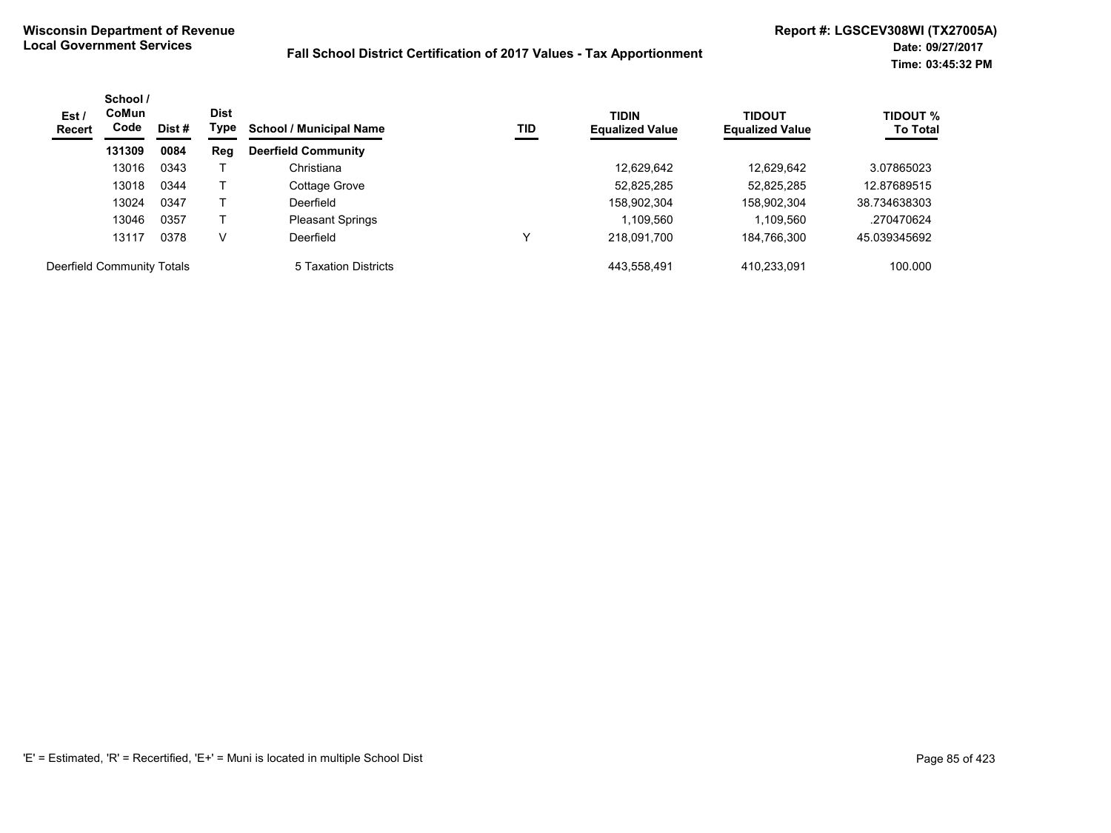| Est /<br><b>Recert</b>     | School /<br><b>CoMun</b><br>Code | Dist # | <b>Dist</b><br>Type | <b>School / Municipal Name</b> | TID | <b>TIDIN</b><br><b>Equalized Value</b> | <b>TIDOUT</b><br><b>Equalized Value</b> | <b>TIDOUT %</b><br><b>To Total</b> |
|----------------------------|----------------------------------|--------|---------------------|--------------------------------|-----|----------------------------------------|-----------------------------------------|------------------------------------|
|                            | 131309                           | 0084   | Reg                 | <b>Deerfield Community</b>     |     |                                        |                                         |                                    |
|                            | 13016                            | 0343   |                     | Christiana                     |     | 12.629.642                             | 12.629.642                              | 3.07865023                         |
|                            | 13018                            | 0344   |                     | Cottage Grove                  |     | 52,825,285                             | 52,825,285                              | 12.87689515                        |
|                            | 13024                            | 0347   |                     | Deerfield                      |     | 158,902,304                            | 158,902,304                             | 38.734638303                       |
|                            | 13046                            | 0357   |                     | <b>Pleasant Springs</b>        |     | 1,109,560                              | 1.109.560                               | .270470624                         |
|                            | 13117                            | 0378   | v                   | Deerfield                      | ν   | 218,091,700                            | 184,766,300                             | 45.039345692                       |
| Deerfield Community Totals |                                  |        |                     | 5 Taxation Districts           |     | 443,558,491                            | 410,233,091                             | 100.000                            |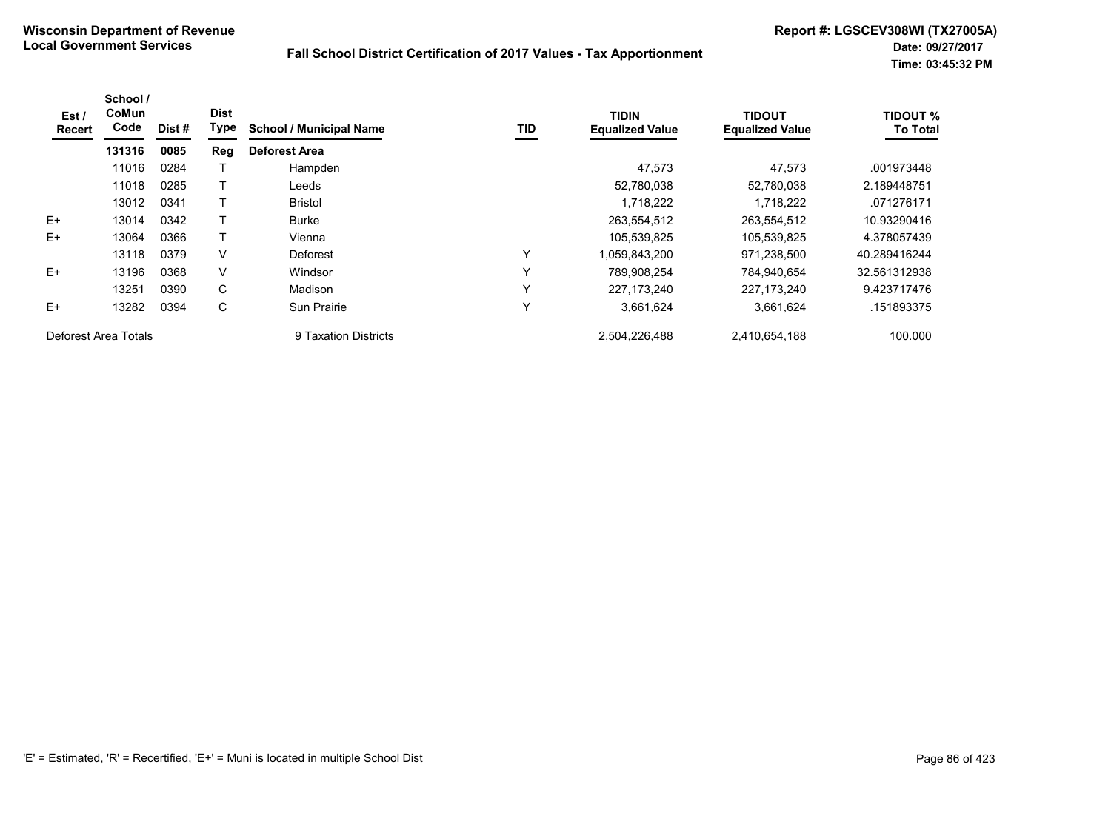| Est/<br>Recert       | School /<br>CoMun<br>Code | Dist # | <b>Dist</b><br>Type | <b>School / Municipal Name</b> | TID          | <b>TIDIN</b><br><b>Equalized Value</b> | <b>TIDOUT</b><br><b>Equalized Value</b> | <b>TIDOUT %</b><br><b>To Total</b> |
|----------------------|---------------------------|--------|---------------------|--------------------------------|--------------|----------------------------------------|-----------------------------------------|------------------------------------|
|                      | 131316                    | 0085   | Reg                 | <b>Deforest Area</b>           |              |                                        |                                         |                                    |
|                      | 11016                     | 0284   |                     | Hampden                        |              | 47,573                                 | 47,573                                  | .001973448                         |
|                      | 11018                     | 0285   |                     | Leeds                          |              | 52,780,038                             | 52,780,038                              | 2.189448751                        |
|                      | 13012                     | 0341   |                     | <b>Bristol</b>                 |              | 1,718,222                              | 1,718,222                               | .071276171                         |
| $E+$                 | 13014                     | 0342   |                     | <b>Burke</b>                   |              | 263,554,512                            | 263,554,512                             | 10.93290416                        |
| $E+$                 | 13064                     | 0366   |                     | Vienna                         |              | 105,539,825                            | 105,539,825                             | 4.378057439                        |
|                      | 13118                     | 0379   | V                   | <b>Deforest</b>                | Y            | .059,843,200                           | 971,238,500                             | 40.289416244                       |
| $E+$                 | 13196                     | 0368   | V                   | Windsor                        | $\checkmark$ | 789.908.254                            | 784.940.654                             | 32.561312938                       |
|                      | 13251                     | 0390   | C                   | Madison                        | $\checkmark$ | 227.173.240                            | 227.173.240                             | 9.423717476                        |
| $E+$                 | 13282                     | 0394   | C                   | <b>Sun Prairie</b>             | $\checkmark$ | 3,661,624                              | 3,661,624                               | .151893375                         |
| Deforest Area Totals |                           |        |                     | 9 Taxation Districts           |              | 2,504,226,488                          | 2,410,654,188                           | 100.000                            |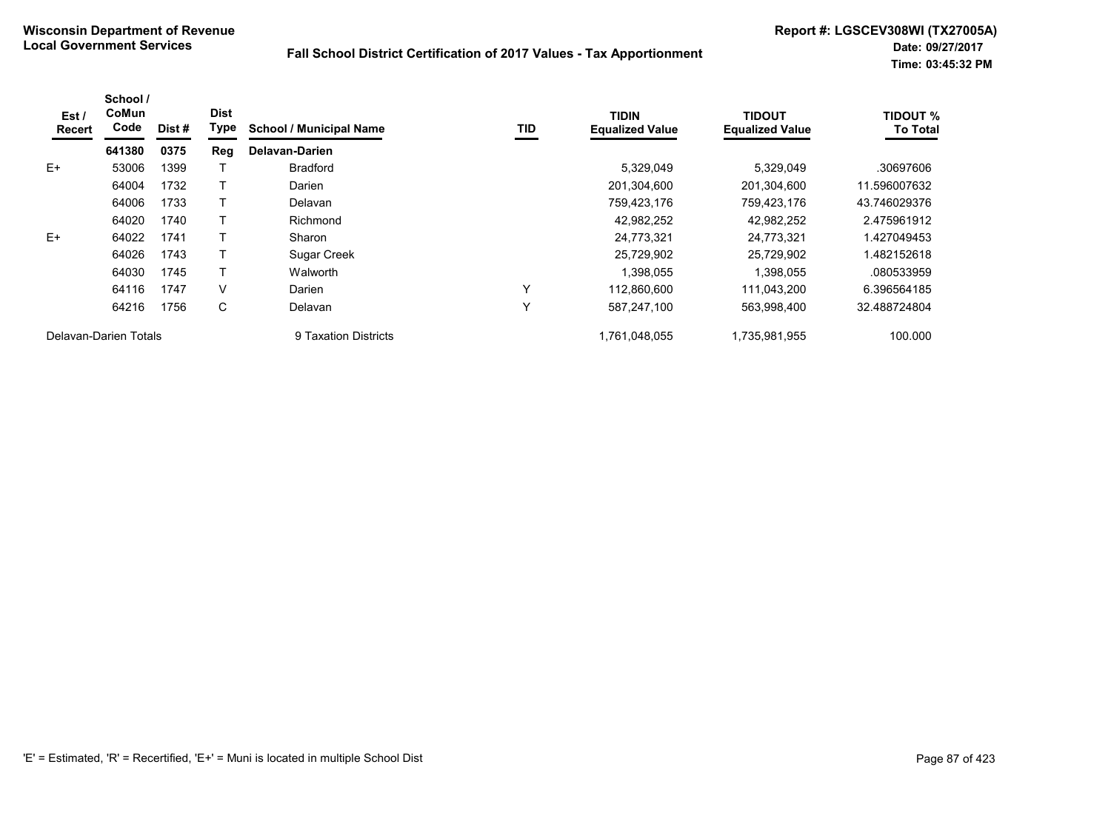| Est /<br>Recert       | School /<br>CoMun<br>Code | Dist# | <b>Dist</b><br>Type | <b>School / Municipal Name</b> | TID | <b>TIDIN</b><br><b>Equalized Value</b> | <b>TIDOUT</b><br><b>Equalized Value</b> | <b>TIDOUT %</b><br><b>To Total</b> |
|-----------------------|---------------------------|-------|---------------------|--------------------------------|-----|----------------------------------------|-----------------------------------------|------------------------------------|
|                       | 641380                    | 0375  | Reg                 | Delavan-Darien                 |     |                                        |                                         |                                    |
| $E+$                  | 53006                     | 1399  |                     | <b>Bradford</b>                |     | 5,329,049                              | 5,329,049                               | .30697606                          |
|                       | 64004                     | 1732  |                     | Darien                         |     | 201,304,600                            | 201,304,600                             | 11.596007632                       |
|                       | 64006                     | 1733  |                     | Delavan                        |     | 759,423,176                            | 759,423,176                             | 43.746029376                       |
|                       | 64020                     | 1740  |                     | Richmond                       |     | 42,982,252                             | 42,982,252                              | 2.475961912                        |
| $E+$                  | 64022                     | 1741  |                     | Sharon                         |     | 24,773,321                             | 24,773,321                              | 1.427049453                        |
|                       | 64026                     | 1743  |                     | <b>Sugar Creek</b>             |     | 25,729,902                             | 25,729,902                              | 1.482152618                        |
|                       | 64030                     | 1745  |                     | Walworth                       |     | 1,398,055                              | 1,398,055                               | .080533959                         |
|                       | 64116                     | 1747  | V                   | Darien                         | Υ   | 112.860.600                            | 111.043.200                             | 6.396564185                        |
|                       | 64216                     | 1756  | C                   | Delavan                        | Υ   | 587,247,100                            | 563,998,400                             | 32.488724804                       |
| Delavan-Darien Totals |                           |       |                     | 9 Taxation Districts           |     | 1,761,048,055                          | 1,735,981,955                           | 100.000                            |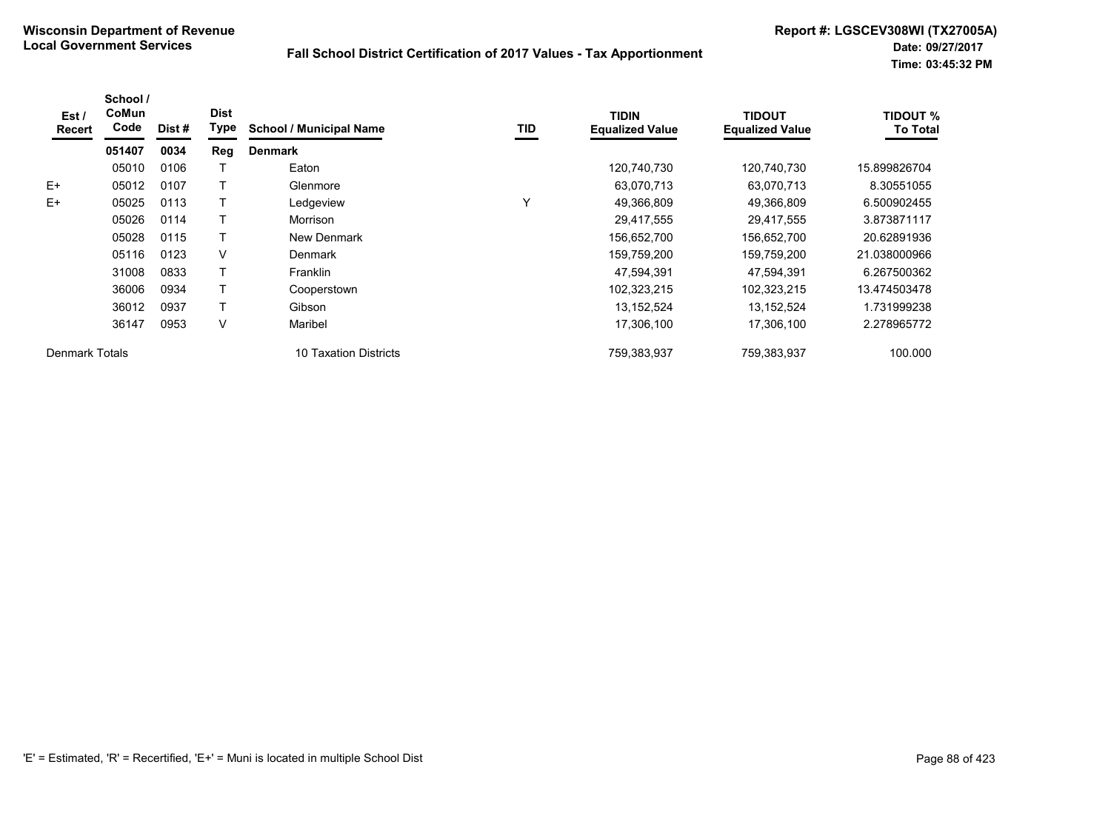| Est /<br><b>Recert</b> | School /<br>CoMun<br>Code | Dist # | <b>Dist</b><br>Type | <b>School / Municipal Name</b>  | TID | <b>TIDIN</b><br><b>Equalized Value</b> | TIDOUT<br><b>Equalized Value</b> | <b>TIDOUT %</b><br><b>To Total</b> |
|------------------------|---------------------------|--------|---------------------|---------------------------------|-----|----------------------------------------|----------------------------------|------------------------------------|
|                        | 051407                    | 0034   | Reg                 | <b>Denmark</b>                  |     |                                        |                                  |                                    |
|                        | 05010                     | 0106   |                     | Eaton                           |     | 120,740,730                            | 120.740.730                      | 15.899826704                       |
| $E+$                   | 05012                     | 0107   |                     | Glenmore                        |     | 63,070,713                             | 63,070,713                       | 8.30551055                         |
| $E+$                   | 05025                     | 0113   |                     | Ledgeview                       | Υ   | 49,366,809                             | 49,366,809                       | 6.500902455                        |
|                        | 05026                     | 0114   |                     | <b>Morrison</b>                 |     | 29,417,555                             | 29,417,555                       | 3.873871117                        |
|                        | 05028                     | 0115   |                     | New Denmark                     |     | 156,652,700                            | 156,652,700                      | 20.62891936                        |
|                        | 05116                     | 0123   | V                   | <b>Denmark</b>                  |     | 159,759,200                            | 159,759,200                      | 21.038000966                       |
|                        | 31008                     | 0833   |                     | Franklin                        |     | 47,594,391                             | 47,594,391                       | 6.267500362                        |
|                        | 36006                     | 0934   |                     | Cooperstown                     |     | 102,323,215                            | 102,323,215                      | 13.474503478                       |
|                        | 36012                     | 0937   |                     | Gibson                          |     | 13,152,524                             | 13,152,524                       | 1.731999238                        |
|                        | 36147                     | 0953   | V                   | Maribel                         |     | 17,306,100                             | 17,306,100                       | 2.278965772                        |
| Denmark Totals         |                           |        |                     | <b>Taxation Districts</b><br>10 |     | 759,383,937                            | 759,383,937                      | 100.000                            |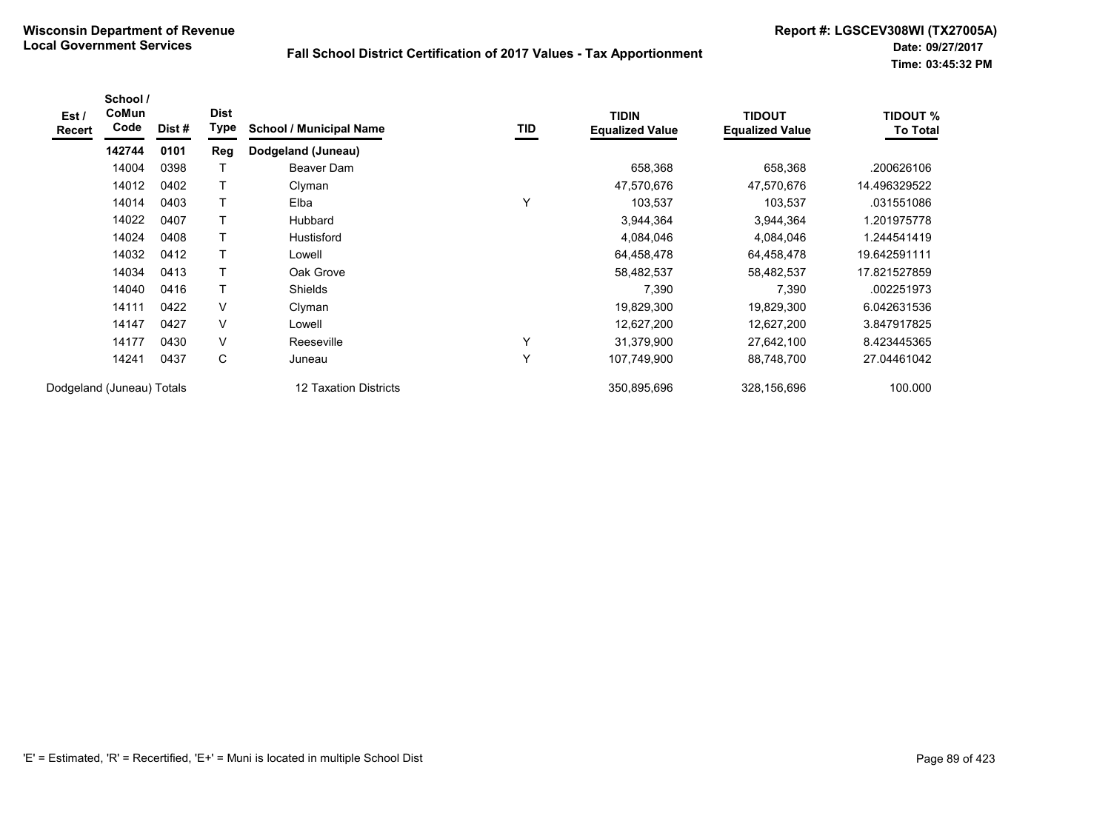| Est /<br>Recert | School /<br>CoMun<br>Code | Dist # | <b>Dist</b><br>Type | <b>School / Municipal Name</b> | TID | <b>TIDIN</b><br><b>Equalized Value</b> | <b>TIDOUT</b><br><b>Equalized Value</b> | <b>TIDOUT %</b><br><b>To Total</b> |
|-----------------|---------------------------|--------|---------------------|--------------------------------|-----|----------------------------------------|-----------------------------------------|------------------------------------|
|                 | 142744                    | 0101   | Reg                 | Dodgeland (Juneau)             |     |                                        |                                         |                                    |
|                 | 14004                     | 0398   |                     | Beaver Dam                     |     | 658,368                                | 658,368                                 | .200626106                         |
|                 | 14012                     | 0402   | т                   | Clyman                         |     | 47,570,676                             | 47,570,676                              | 14.496329522                       |
|                 | 14014                     | 0403   |                     | Elba                           | Y   | 103,537                                | 103,537                                 | .031551086                         |
|                 | 14022                     | 0407   |                     | Hubbard                        |     | 3,944,364                              | 3,944,364                               | 1.201975778                        |
|                 | 14024                     | 0408   |                     | <b>Hustisford</b>              |     | 4,084,046                              | 4,084,046                               | 1.244541419                        |
|                 | 14032                     | 0412   | Τ                   | Lowell                         |     | 64,458,478                             | 64,458,478                              | 19.642591111                       |
|                 | 14034                     | 0413   | т                   | Oak Grove                      |     | 58,482,537                             | 58,482,537                              | 17.821527859                       |
|                 | 14040                     | 0416   | т                   | Shields                        |     | 7,390                                  | 7,390                                   | .002251973                         |
|                 | 14111                     | 0422   | $\vee$              | Clyman                         |     | 19,829,300                             | 19,829,300                              | 6.042631536                        |
|                 | 14147                     | 0427   | V                   | Lowell                         |     | 12,627,200                             | 12,627,200                              | 3.847917825                        |
|                 | 14177                     | 0430   | V                   | Reeseville                     | Υ   | 31,379,900                             | 27,642,100                              | 8.423445365                        |
|                 | 14241                     | 0437   | С                   | Juneau                         | Υ   | 107,749,900                            | 88,748,700                              | 27.04461042                        |
|                 | Dodgeland (Juneau) Totals |        |                     | 12 Taxation Districts          |     | 350,895,696                            | 328,156,696                             | 100.000                            |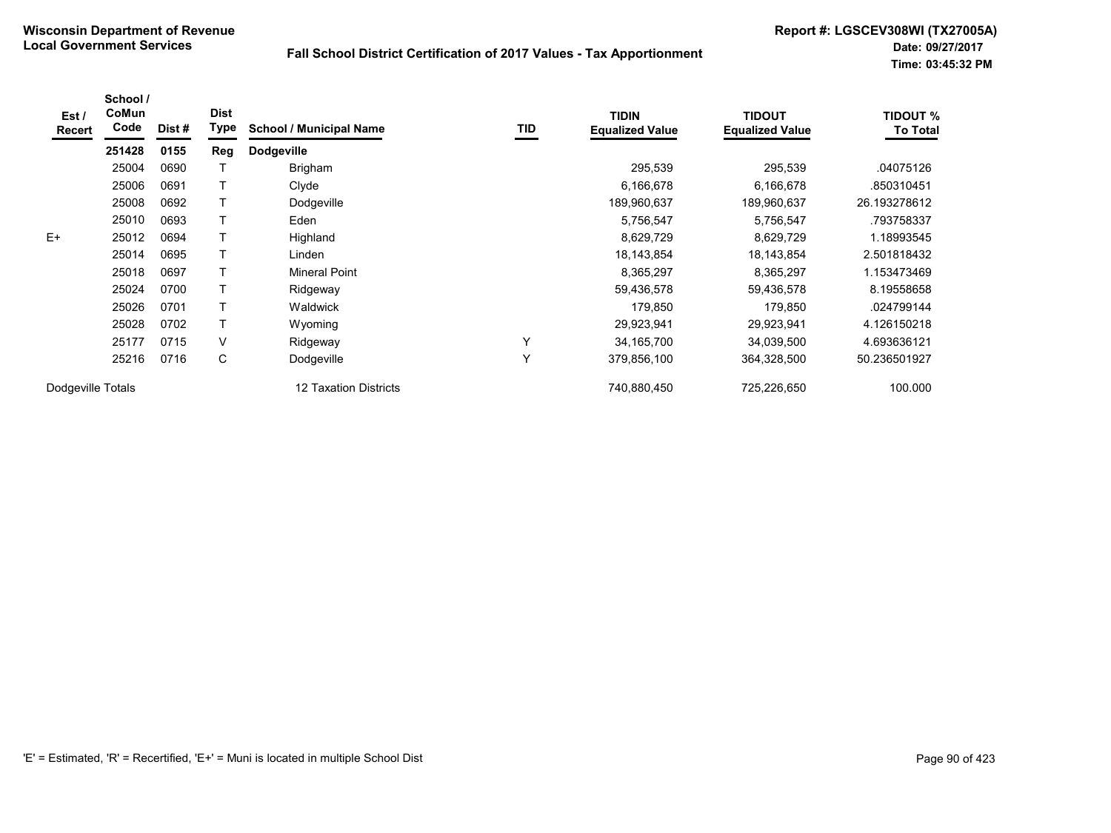| Est /<br>Recert   | School /<br>CoMun<br>Code | Dist# | <b>Dist</b><br><b>Type</b> | <b>School / Municipal Name</b> | <b>TID</b>   | <b>TIDIN</b><br><b>Equalized Value</b> | <b>TIDOUT</b><br><b>Equalized Value</b> | TIDOUT %<br><b>To Total</b> |
|-------------------|---------------------------|-------|----------------------------|--------------------------------|--------------|----------------------------------------|-----------------------------------------|-----------------------------|
|                   | 251428                    | 0155  | Reg                        | <b>Dodgeville</b>              |              |                                        |                                         |                             |
|                   | 25004                     | 0690  |                            | <b>Brigham</b>                 |              | 295,539                                | 295,539                                 | .04075126                   |
|                   | 25006                     | 0691  |                            | Clyde                          |              | 6,166,678                              | 6,166,678                               | .850310451                  |
|                   | 25008                     | 0692  |                            | Dodgeville                     |              | 189,960,637                            | 189,960,637                             | 26.193278612                |
|                   | 25010                     | 0693  |                            | Eden                           |              | 5,756,547                              | 5,756,547                               | .793758337                  |
| $E+$              | 25012                     | 0694  |                            | Highland                       |              | 8,629,729                              | 8,629,729                               | 1.18993545                  |
|                   | 25014                     | 0695  |                            | Linden                         |              | 18,143,854                             | 18,143,854                              | 2.501818432                 |
|                   | 25018                     | 0697  |                            | Mineral Point                  |              | 8,365,297                              | 8,365,297                               | 1.153473469                 |
|                   | 25024                     | 0700  |                            | Ridgeway                       |              | 59,436,578                             | 59,436,578                              | 8.19558658                  |
|                   | 25026                     | 0701  |                            | Waldwick                       |              | 179.850                                | 179,850                                 | .024799144                  |
|                   | 25028                     | 0702  |                            | Wyoming                        |              | 29,923,941                             | 29,923,941                              | 4.126150218                 |
|                   | 25177                     | 0715  | V                          | Ridgeway                       | $\checkmark$ | 34, 165, 700                           | 34,039,500                              | 4.693636121                 |
|                   | 25216                     | 0716  | С                          | Dodgeville                     | Y            | 379,856,100                            | 364,328,500                             | 50.236501927                |
| Dodgeville Totals |                           |       |                            | <b>12 Taxation Districts</b>   |              | 740,880,450                            | 725,226,650                             | 100.000                     |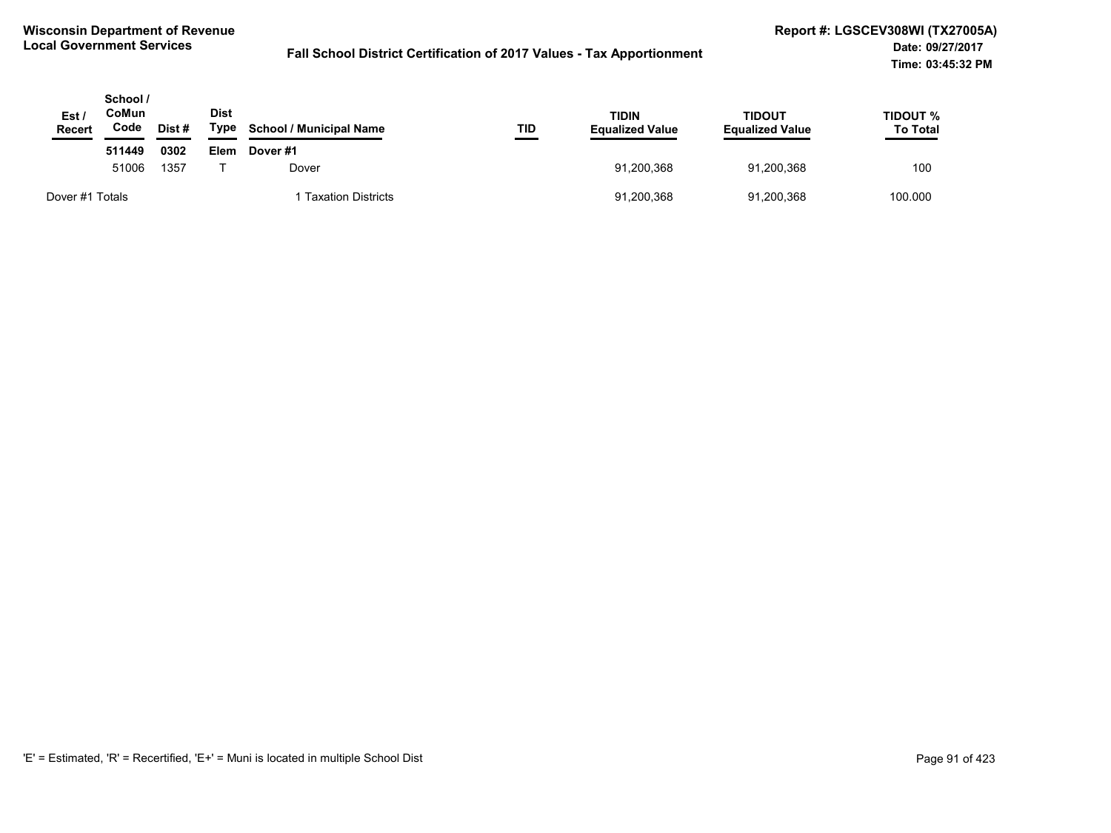| Est /<br><b>Recert</b> | School /<br><b>CoMun</b><br>Code | Dist# | <b>Dist</b><br>Type | <b>School / Municipal Name</b> | TID        | <b>TIDIN</b><br><b>Equalized Value</b> | TIDOUT<br><b>Equalized Value</b> | TIDOUT %<br><b>To Total</b> |
|------------------------|----------------------------------|-------|---------------------|--------------------------------|------------|----------------------------------------|----------------------------------|-----------------------------|
|                        | 511449                           | 0302  | Elem                | Dover#1                        |            |                                        |                                  |                             |
|                        | 51006<br>1357                    |       | Dover               |                                | 91,200,368 | 91.200.368                             | 100                              |                             |
| Dover #1 Totals        |                                  |       |                     | <b>Taxation Districts</b>      |            | 91,200,368                             | 91,200,368                       | 100.000                     |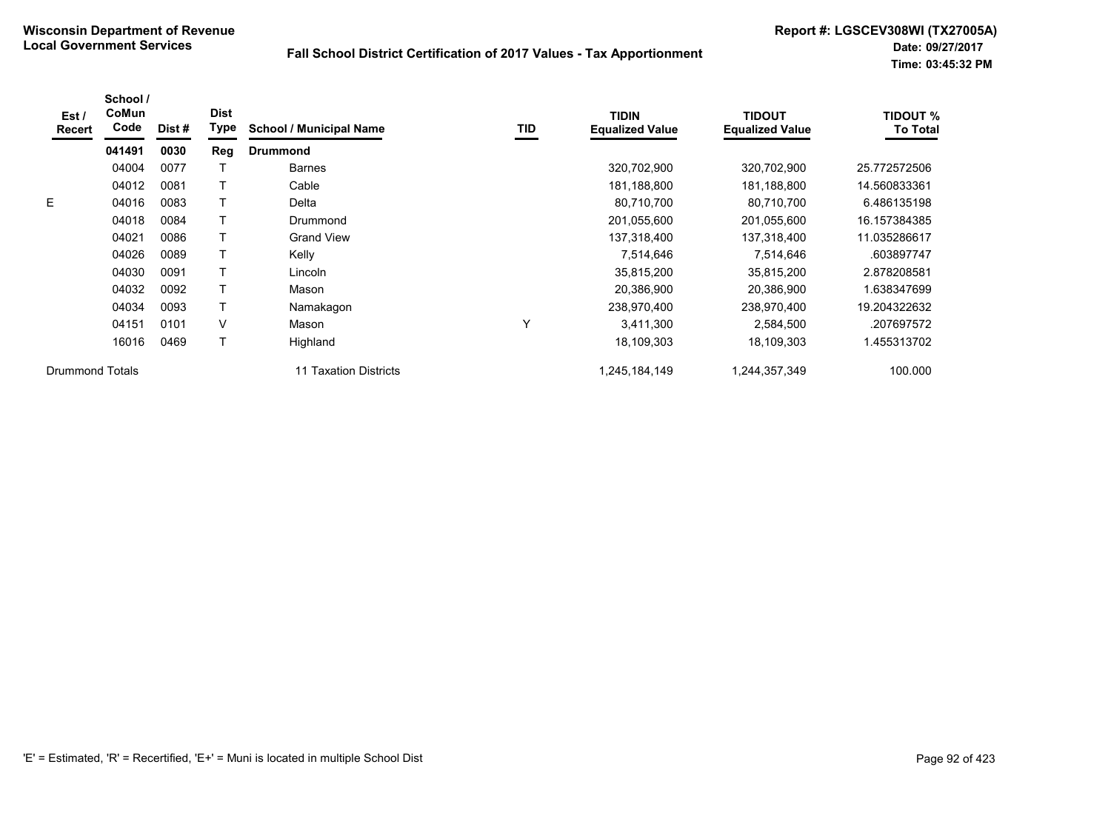| Est /<br>Recert        | School /<br>CoMun<br>Code | Dist # | <b>Dist</b><br><b>Type</b> | <b>School / Municipal Name</b> | TID | <b>TIDIN</b><br><b>Equalized Value</b> | <b>TIDOUT</b><br><b>Equalized Value</b> | <b>TIDOUT %</b><br><b>To Total</b> |
|------------------------|---------------------------|--------|----------------------------|--------------------------------|-----|----------------------------------------|-----------------------------------------|------------------------------------|
|                        | 041491                    | 0030   | Reg                        | <b>Drummond</b>                |     |                                        |                                         |                                    |
|                        | 04004                     | 0077   |                            | <b>Barnes</b>                  |     | 320,702,900                            | 320,702,900                             | 25.772572506                       |
|                        | 04012                     | 0081   |                            | Cable                          |     | 181,188,800                            | 181,188,800                             | 14.560833361                       |
| E.                     | 04016                     | 0083   |                            | Delta                          |     | 80,710,700                             | 80,710,700                              | 6.486135198                        |
|                        | 04018                     | 0084   |                            | Drummond                       |     | 201,055,600                            | 201,055,600                             | 16.157384385                       |
|                        | 04021                     | 0086   |                            | <b>Grand View</b>              |     | 137,318,400                            | 137,318,400                             | 11.035286617                       |
|                        | 04026                     | 0089   |                            | Kelly                          |     | 7,514,646                              | 7,514,646                               | .603897747                         |
|                        | 04030                     | 0091   |                            | Lincoln                        |     | 35,815,200                             | 35,815,200                              | 2.878208581                        |
|                        | 04032                     | 0092   |                            | Mason                          |     | 20,386,900                             | 20,386,900                              | .638347699                         |
|                        | 04034                     | 0093   |                            | Namakagon                      |     | 238,970,400                            | 238,970,400                             | 19.204322632                       |
|                        | 04151                     | 0101   | V                          | Mason                          | Υ   | 3,411,300                              | 2,584,500                               | .207697572                         |
|                        | 16016                     | 0469   |                            | Highland                       |     | 18,109,303                             | 18,109,303                              | 1.455313702                        |
| <b>Drummond Totals</b> |                           |        |                            | <b>Taxation Districts</b>      |     | 1,245,184,149                          | 1,244,357,349                           | 100.000                            |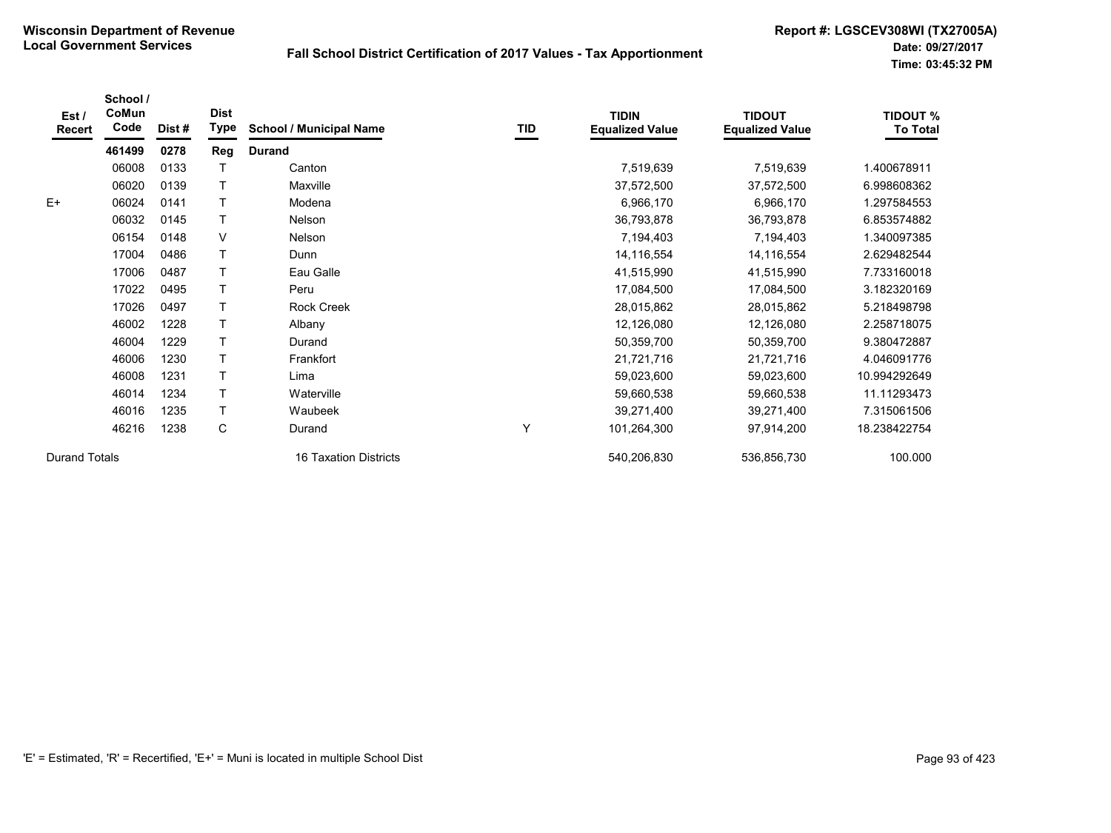| Est /<br>Recert      | School /<br>CoMun<br>Code | Dist # | <b>Dist</b><br><b>Type</b> | <b>School / Municipal Name</b> | TID | <b>TIDIN</b><br><b>Equalized Value</b> | <b>TIDOUT</b><br><b>Equalized Value</b> | <b>TIDOUT %</b><br><b>To Total</b> |
|----------------------|---------------------------|--------|----------------------------|--------------------------------|-----|----------------------------------------|-----------------------------------------|------------------------------------|
|                      | 461499                    | 0278   | Reg                        | <b>Durand</b>                  |     |                                        |                                         |                                    |
|                      | 06008                     | 0133   |                            | Canton                         |     | 7,519,639                              | 7,519,639                               | 1.400678911                        |
|                      | 06020                     | 0139   |                            | Maxville                       |     | 37,572,500                             | 37,572,500                              | 6.998608362                        |
| $E+$                 | 06024                     | 0141   |                            | Modena                         |     | 6,966,170                              | 6,966,170                               | 1.297584553                        |
|                      | 06032                     | 0145   |                            | Nelson                         |     | 36,793,878                             | 36,793,878                              | 6.853574882                        |
|                      | 06154                     | 0148   | V                          | Nelson                         |     | 7,194,403                              | 7,194,403                               | 1.340097385                        |
|                      | 17004                     | 0486   |                            | Dunn                           |     | 14,116,554                             | 14,116,554                              | 2.629482544                        |
|                      | 17006                     | 0487   |                            | Eau Galle                      |     | 41,515,990                             | 41,515,990                              | 7.733160018                        |
|                      | 17022                     | 0495   |                            | Peru                           |     | 17,084,500                             | 17,084,500                              | 3.182320169                        |
|                      | 17026                     | 0497   |                            | <b>Rock Creek</b>              |     | 28,015,862                             | 28,015,862                              | 5.218498798                        |
|                      | 46002                     | 1228   |                            | Albany                         |     | 12,126,080                             | 12,126,080                              | 2.258718075                        |
|                      | 46004                     | 1229   |                            | Durand                         |     | 50,359,700                             | 50,359,700                              | 9.380472887                        |
|                      | 46006                     | 1230   |                            | Frankfort                      |     | 21,721,716                             | 21,721,716                              | 4.046091776                        |
|                      | 46008                     | 1231   |                            | Lima                           |     | 59,023,600                             | 59,023,600                              | 10.994292649                       |
|                      | 46014                     | 1234   |                            | Waterville                     |     | 59,660,538                             | 59,660,538                              | 11.11293473                        |
|                      | 46016                     | 1235   |                            | Waubeek                        |     | 39,271,400                             | 39,271,400                              | 7.315061506                        |
|                      | 46216                     | 1238   | $\mathbf C$                | Durand                         | Y   | 101,264,300                            | 97,914,200                              | 18.238422754                       |
| <b>Durand Totals</b> |                           |        |                            | <b>16 Taxation Districts</b>   |     | 540,206,830                            | 536,856,730                             | 100.000                            |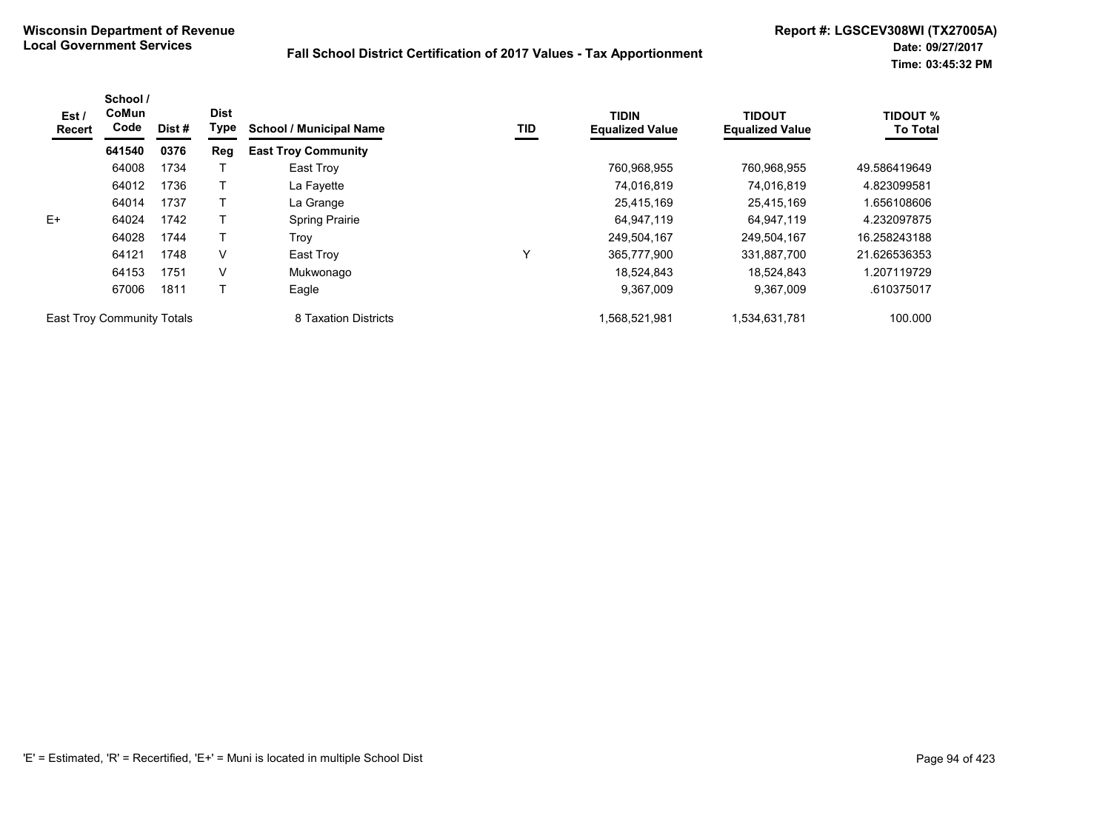| Est /<br>Recert            | School /<br>CoMun<br>Code | Dist # | <b>Dist</b><br>Type | <b>School / Municipal Name</b> | TID | <b>TIDIN</b><br><b>Equalized Value</b> | <b>TIDOUT</b><br><b>Equalized Value</b> | <b>TIDOUT %</b><br><b>To Total</b> |
|----------------------------|---------------------------|--------|---------------------|--------------------------------|-----|----------------------------------------|-----------------------------------------|------------------------------------|
|                            | 641540                    | 0376   | Reg                 | <b>East Troy Community</b>     |     |                                        |                                         |                                    |
|                            | 64008                     | 1734   |                     | East Troy                      |     | 760,968,955                            | 760,968,955                             | 49.586419649                       |
|                            | 64012                     | 1736   |                     | La Fayette                     |     | 74,016,819                             | 74.016.819                              | 4.823099581                        |
|                            | 64014                     | 1737   |                     | La Grange                      |     | 25,415,169                             | 25,415,169                              | .656108606                         |
| E+                         | 64024                     | 1742   |                     | <b>Spring Prairie</b>          |     | 64,947,119                             | 64.947.119                              | 4.232097875                        |
|                            | 64028                     | 1744   |                     | Trov                           |     | 249,504,167                            | 249,504,167                             | 16.258243188                       |
|                            | 64121                     | 1748   | V                   | East Troy                      | 丷   | 365,777,900                            | 331,887,700                             | 21.626536353                       |
|                            | 64153                     | 1751   | V                   | Mukwonago                      |     | 18.524.843                             | 18.524.843                              | 1.207119729                        |
|                            | 67006                     | 1811   |                     | Eagle                          |     | 9,367,009                              | 9,367,009                               | .610375017                         |
| East Troy Community Totals |                           |        |                     | 8 Taxation Districts           |     | 1,568,521,981                          | 1,534,631,781                           | 100.000                            |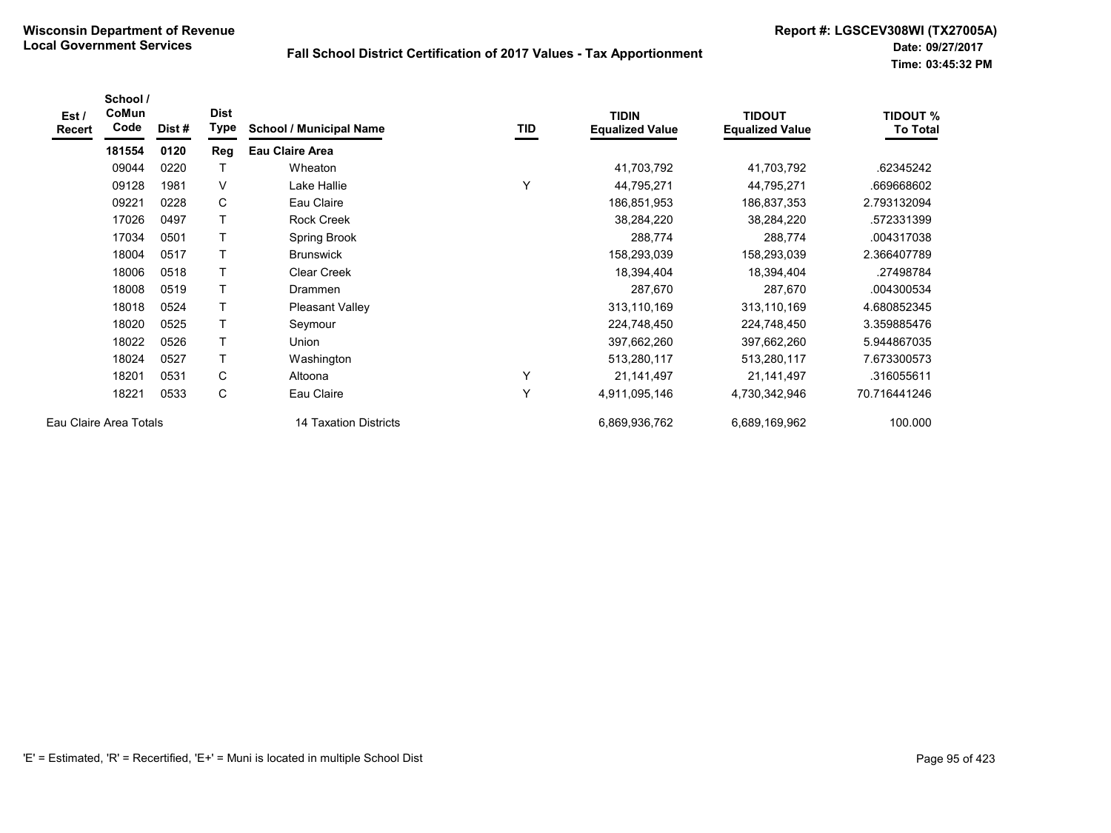| Est/<br><b>Recert</b>  | School /<br>CoMun<br>Code | Dist# | <b>Dist</b><br>Type | <b>School / Municipal Name</b> | TID | <b>TIDIN</b><br><b>Equalized Value</b> | <b>TIDOUT</b><br><b>Equalized Value</b> | <b>TIDOUT %</b><br><b>To Total</b> |
|------------------------|---------------------------|-------|---------------------|--------------------------------|-----|----------------------------------------|-----------------------------------------|------------------------------------|
|                        | 181554                    | 0120  | Reg                 | <b>Eau Claire Area</b>         |     |                                        |                                         |                                    |
|                        | 09044                     | 0220  | Τ                   | Wheaton                        |     | 41,703,792                             | 41,703,792                              | .62345242                          |
|                        | 09128                     | 1981  | V                   | Lake Hallie                    |     | 44,795,271                             | 44,795,271                              | .669668602                         |
|                        | 09221                     | 0228  | C                   | Eau Claire                     |     | 186,851,953                            | 186,837,353                             | 2.793132094                        |
|                        | 17026                     | 0497  | T                   | <b>Rock Creek</b>              |     | 38,284,220                             | 38,284,220                              | .572331399                         |
|                        | 17034                     | 0501  | T.                  | Spring Brook                   |     | 288,774                                | 288,774                                 | .004317038                         |
|                        | 18004                     | 0517  | Τ                   | <b>Brunswick</b>               |     | 158,293,039                            | 158,293,039                             | 2.366407789                        |
|                        | 18006                     | 0518  | т                   | <b>Clear Creek</b>             |     | 18,394,404                             | 18,394,404                              | .27498784                          |
|                        | 18008                     | 0519  | T                   | Drammen                        |     | 287,670                                | 287,670                                 | .004300534                         |
|                        | 18018                     | 0524  | T                   | <b>Pleasant Valley</b>         |     | 313,110,169                            | 313,110,169                             | 4.680852345                        |
|                        | 18020                     | 0525  | T                   | Seymour                        |     | 224,748,450                            | 224,748,450                             | 3.359885476                        |
|                        | 18022                     | 0526  | T                   | Union                          |     | 397,662,260                            | 397,662,260                             | 5.944867035                        |
|                        | 18024                     | 0527  | T                   | Washington                     |     | 513,280,117                            | 513,280,117                             | 7.673300573                        |
|                        | 18201                     | 0531  | C                   | Altoona                        | Υ   | 21,141,497                             | 21,141,497                              | .316055611                         |
|                        | 18221                     | 0533  | С                   | Eau Claire                     | Y   | 4,911,095,146                          | 4,730,342,946                           | 70.716441246                       |
| Eau Claire Area Totals |                           |       |                     | 14 Taxation Districts          |     | 6,869,936,762                          | 6,689,169,962                           | 100.000                            |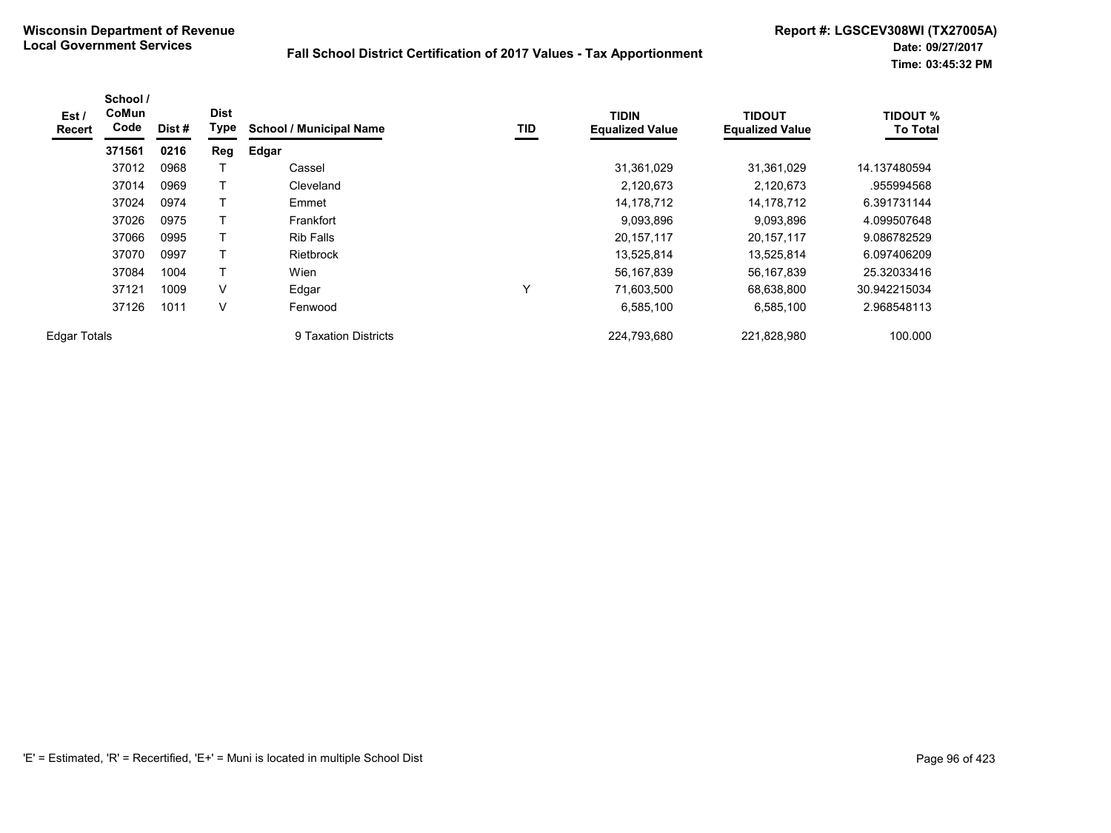| Est /<br><b>Recert</b> | School /<br>CoMun<br>Code | Dist# | <b>Dist</b><br>Type | <b>School / Municipal Name</b> | <b>TID</b> | <b>TIDIN</b><br><b>Equalized Value</b> | <b>TIDOUT</b><br><b>Equalized Value</b> | <b>TIDOUT %</b><br><b>To Total</b> |
|------------------------|---------------------------|-------|---------------------|--------------------------------|------------|----------------------------------------|-----------------------------------------|------------------------------------|
|                        | 371561                    | 0216  | Reg                 | Edgar                          |            |                                        |                                         |                                    |
|                        | 37012                     | 0968  |                     | Cassel                         |            | 31,361,029                             | 31,361,029                              | 14.137480594                       |
|                        | 37014                     | 0969  |                     | Cleveland                      |            | 2,120,673                              | 2,120,673                               | .955994568                         |
|                        | 37024                     | 0974  |                     | Emmet                          |            | 14,178,712                             | 14,178,712                              | 6.391731144                        |
|                        | 37026                     | 0975  |                     | Frankfort                      |            | 9,093,896                              | 9,093,896                               | 4.099507648                        |
|                        | 37066                     | 0995  |                     | <b>Rib Falls</b>               |            | 20,157,117                             | 20, 157, 117                            | 9.086782529                        |
|                        | 37070                     | 0997  |                     | Rietbrock                      |            | 13,525,814                             | 13,525,814                              | 6.097406209                        |
|                        | 37084                     | 1004  |                     | Wien                           |            | 56,167,839                             | 56,167,839                              | 25.32033416                        |
|                        | 37121                     | 1009  | V                   | Edgar                          | Υ          | 71,603,500                             | 68,638,800                              | 30.942215034                       |
|                        | 37126                     | 1011  | V                   | Fenwood                        |            | 6,585,100                              | 6,585,100                               | 2.968548113                        |
| <b>Edgar Totals</b>    |                           |       |                     | 9 Taxation Districts           |            | 224,793,680                            | 221,828,980                             | 100.000                            |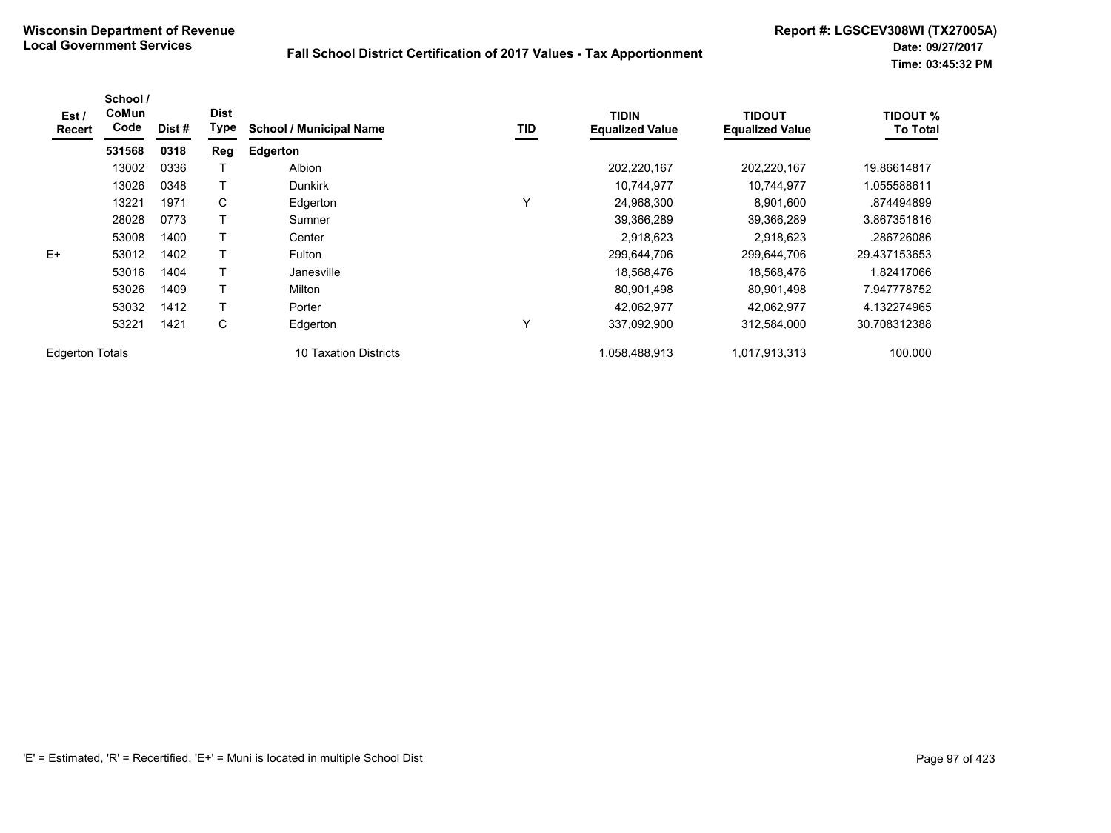| Est /<br><b>Recert</b> | School /<br>CoMun<br>Code | Dist # | <b>Dist</b><br>Type | <b>School / Municipal Name</b> | <b>TID</b> | <b>TIDIN</b><br><b>Equalized Value</b> | <b>TIDOUT</b><br><b>Equalized Value</b> | <b>TIDOUT %</b><br><b>To Total</b> |
|------------------------|---------------------------|--------|---------------------|--------------------------------|------------|----------------------------------------|-----------------------------------------|------------------------------------|
|                        | 531568                    | 0318   | Reg                 | <b>Edgerton</b>                |            |                                        |                                         |                                    |
|                        | 13002                     | 0336   |                     | Albion                         |            | 202,220,167                            | 202,220,167                             | 19.86614817                        |
|                        | 13026                     | 0348   |                     | <b>Dunkirk</b>                 |            | 10,744,977                             | 10,744,977                              | 1.055588611                        |
|                        | 13221                     | 1971   | C                   | Edgerton                       | Υ          | 24,968,300                             | 8,901,600                               | .874494899                         |
|                        | 28028                     | 0773   |                     | Sumner                         |            | 39,366,289                             | 39,366,289                              | 3.867351816                        |
|                        | 53008                     | 1400   |                     | Center                         |            | 2,918,623                              | 2,918,623                               | .286726086                         |
| $E+$                   | 53012                     | 1402   | т                   | Fulton                         |            | 299,644,706                            | 299,644,706                             | 29.437153653                       |
|                        | 53016                     | 1404   |                     | Janesville                     |            | 18,568,476                             | 18,568,476                              | 1.82417066                         |
|                        | 53026                     | 1409   | Т                   | Milton                         |            | 80,901,498                             | 80,901,498                              | 7.947778752                        |
|                        | 53032                     | 1412   |                     | Porter                         |            | 42.062.977                             | 42.062.977                              | 4.132274965                        |
|                        | 53221                     | 1421   | С                   | Edgerton                       | Υ          | 337,092,900                            | 312,584,000                             | 30.708312388                       |
| <b>Edgerton Totals</b> |                           |        |                     | 10 Taxation Districts          |            | 1,058,488,913                          | 1,017,913,313                           | 100.000                            |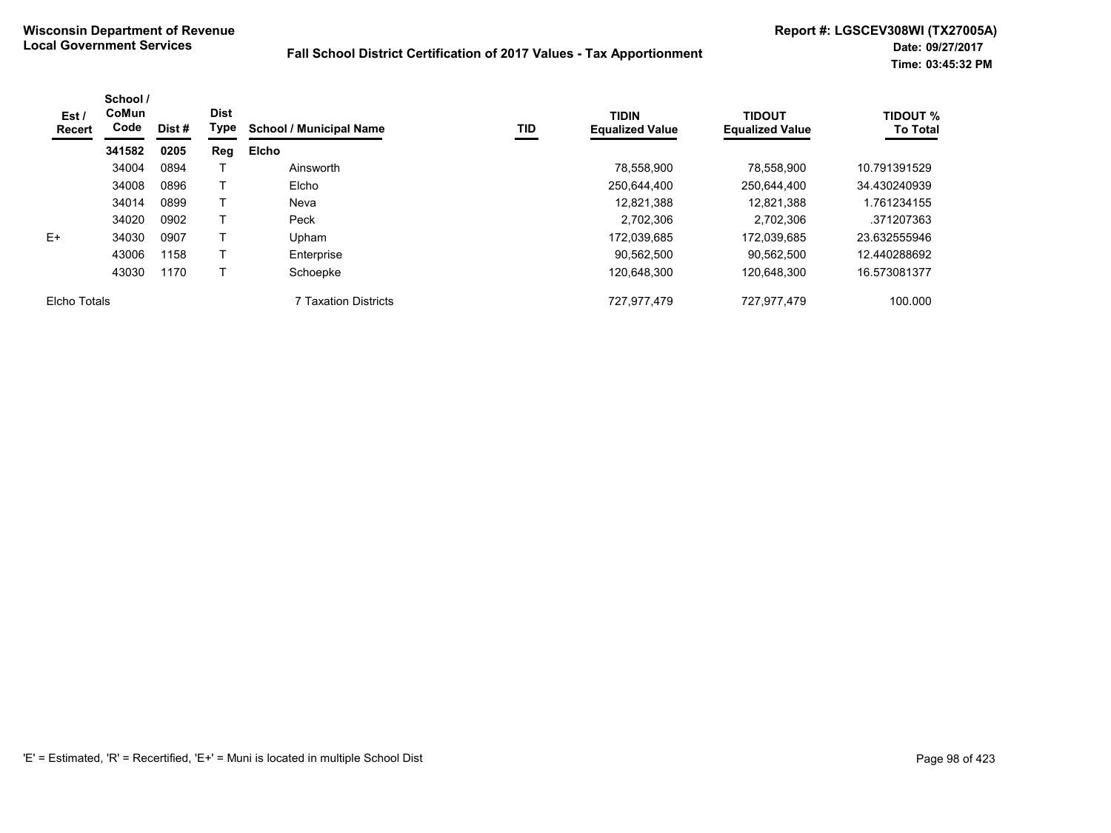| Est /<br><b>Recert</b> | School /<br>CoMun<br>Code | Dist # | <b>Dist</b><br>Type | <b>School / Municipal Name</b> | <b>TID</b> | <b>TIDIN</b><br><b>Equalized Value</b> | <b>TIDOUT</b><br><b>Equalized Value</b> | <b>TIDOUT %</b><br><b>To Total</b> |
|------------------------|---------------------------|--------|---------------------|--------------------------------|------------|----------------------------------------|-----------------------------------------|------------------------------------|
|                        | 341582                    | 0205   | Reg                 | Elcho                          |            |                                        |                                         |                                    |
|                        | 34004                     | 0894   |                     | Ainsworth                      |            | 78,558,900                             | 78.558.900                              | 10.791391529                       |
|                        | 34008                     | 0896   |                     | Elcho                          |            | 250,644,400                            | 250,644,400                             | 34.430240939                       |
|                        | 34014                     | 0899   |                     | Neva                           |            | 12,821,388                             | 12.821.388                              | 1.761234155                        |
|                        | 34020                     | 0902   |                     | Peck                           |            | 2,702,306                              | 2.702.306                               | .371207363                         |
| $E+$                   | 34030                     | 0907   |                     | Upham                          |            | 172,039,685                            | 172.039.685                             | 23.632555946                       |
|                        | 43006                     | 1158   |                     | Enterprise                     |            | 90.562.500                             | 90.562.500                              | 12.440288692                       |
|                        | 43030                     | 1170   |                     | Schoepke                       |            | 120,648,300                            | 120,648,300                             | 16.573081377                       |
| Elcho Totals           |                           |        |                     | 7 Taxation Districts           |            | 727,977,479                            | 727,977,479                             | 100.000                            |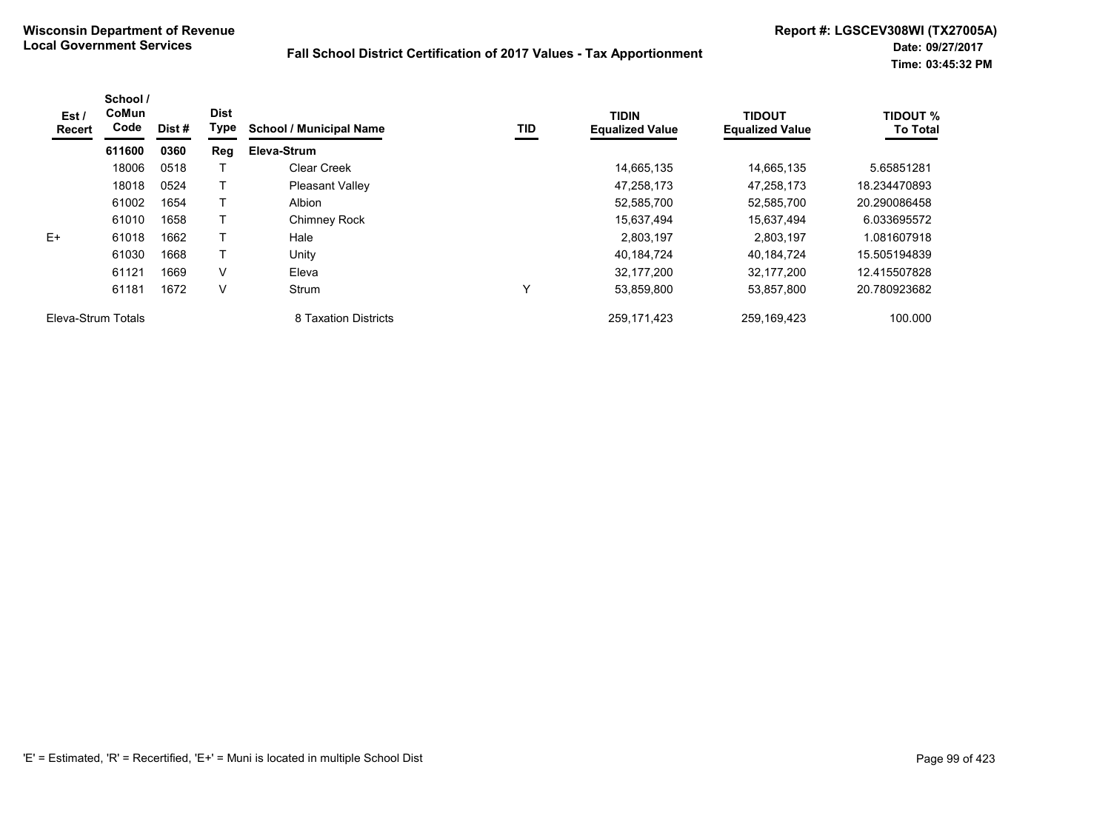| Est /<br><b>Recert</b> | School /<br>CoMun<br>Code | Dist # | <b>Dist</b><br>Type | <b>School / Municipal Name</b> | TID | <b>TIDIN</b><br><b>Equalized Value</b> | <b>TIDOUT</b><br><b>Equalized Value</b> | <b>TIDOUT %</b><br><b>To Total</b> |
|------------------------|---------------------------|--------|---------------------|--------------------------------|-----|----------------------------------------|-----------------------------------------|------------------------------------|
|                        | 611600                    | 0360   | Reg                 | Eleva-Strum                    |     |                                        |                                         |                                    |
|                        | 18006                     | 0518   |                     | Clear Creek                    |     | 14,665,135                             | 14.665.135                              | 5.65851281                         |
|                        | 18018                     | 0524   |                     | <b>Pleasant Valley</b>         |     | 47.258.173                             | 47.258.173                              | 18.234470893                       |
|                        | 61002                     | 1654   |                     | Albion                         |     | 52,585,700                             | 52,585,700                              | 20.290086458                       |
|                        | 61010                     | 1658   |                     | <b>Chimney Rock</b>            |     | 15.637.494                             | 15.637.494                              | 6.033695572                        |
| $E+$                   | 61018                     | 1662   |                     | Hale                           |     | 2,803,197                              | 2.803.197                               | 1.081607918                        |
|                        | 61030                     | 1668   |                     | Unity                          |     | 40,184,724                             | 40,184,724                              | 15.505194839                       |
|                        | 61121                     | 1669   | $\vee$              | Eleva                          |     | 32,177,200                             | 32,177,200                              | 12.415507828                       |
|                        | 61181                     | 1672   | V                   | Strum                          | v   | 53,859,800                             | 53,857,800                              | 20.780923682                       |
| Eleva-Strum Totals     |                           |        |                     | 8 Taxation Districts           |     | 259,171,423                            | 259,169,423                             | 100.000                            |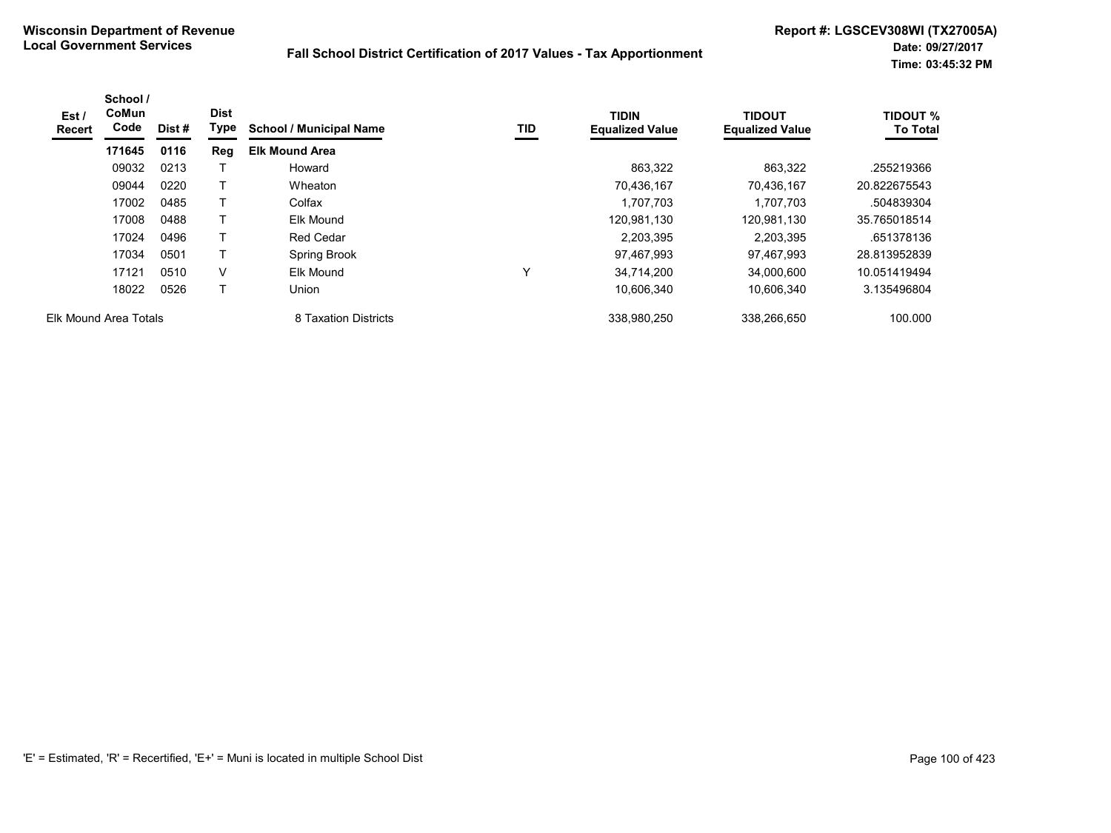| Est/<br>Recert        | School /<br><b>CoMun</b><br>Code | Dist # | <b>Dist</b><br>Type | <b>School / Municipal Name</b> | TID          | <b>TIDIN</b><br><b>Equalized Value</b> | <b>TIDOUT</b><br><b>Equalized Value</b> | <b>TIDOUT %</b><br><b>To Total</b> |
|-----------------------|----------------------------------|--------|---------------------|--------------------------------|--------------|----------------------------------------|-----------------------------------------|------------------------------------|
|                       | 171645                           | 0116   | Reg                 | <b>Elk Mound Area</b>          |              |                                        |                                         |                                    |
|                       | 09032                            | 0213   |                     | Howard                         |              | 863,322                                | 863,322                                 | .255219366                         |
|                       | 09044                            | 0220   | т                   | Wheaton                        |              | 70,436,167                             | 70,436,167                              | 20.822675543                       |
|                       | 17002                            | 0485   | Т                   | Colfax                         |              | 1,707,703                              | 1,707,703                               | .504839304                         |
|                       | 17008                            | 0488   |                     | Elk Mound                      |              | 120,981,130                            | 120,981,130                             | 35.765018514                       |
|                       | 17024                            | 0496   | Т                   | <b>Red Cedar</b>               |              | 2,203,395                              | 2.203.395                               | .651378136                         |
|                       | 17034                            | 0501   | т                   | Spring Brook                   |              | 97,467,993                             | 97,467,993                              | 28.813952839                       |
|                       | 17121                            | 0510   | V                   | Elk Mound                      | $\checkmark$ | 34,714,200                             | 34,000,600                              | 10.051419494                       |
|                       | 18022                            | 0526   | т                   | Union                          |              | 10,606,340                             | 10,606,340                              | 3.135496804                        |
| Elk Mound Area Totals |                                  |        |                     | 8 Taxation Districts           |              | 338,980,250                            | 338,266,650                             | 100.000                            |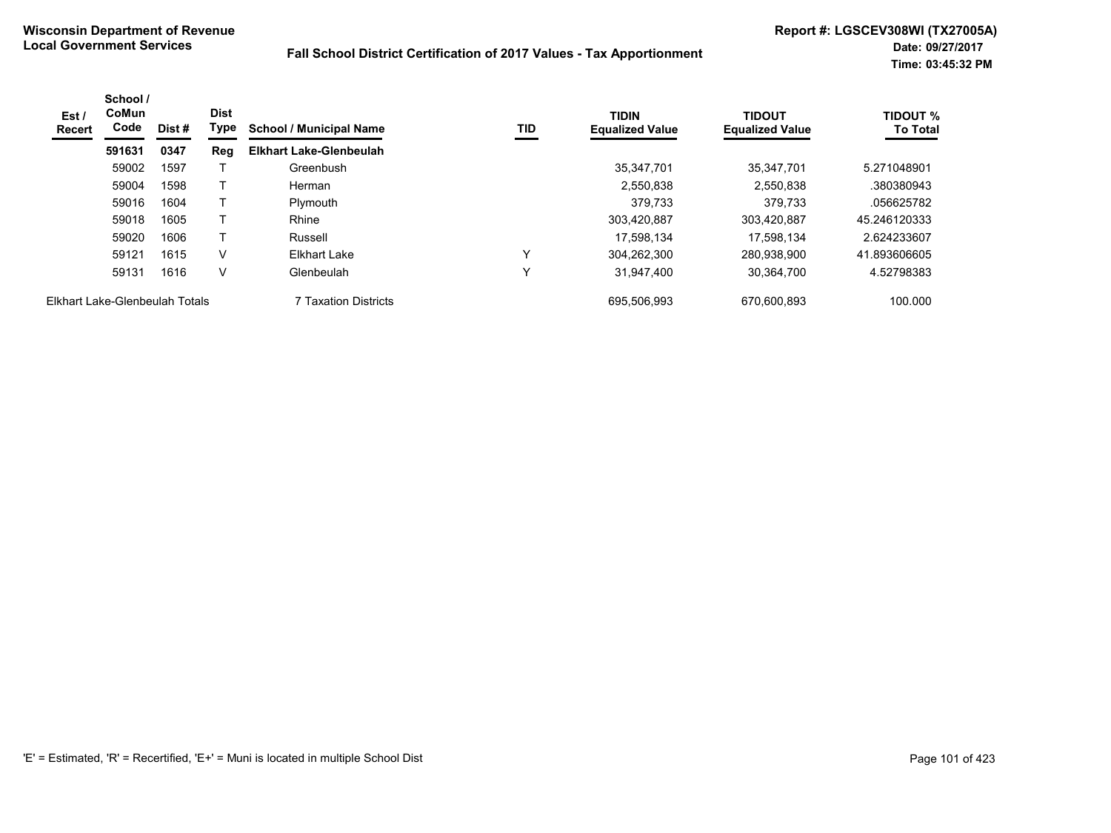| Est /<br><b>Recert</b>         | School /<br><b>CoMun</b><br>Code | Dist # | <b>Dist</b><br>Type | TID<br><b>School / Municipal Name</b> | <b>TIDIN</b><br><b>Equalized Value</b> | <b>TIDOUT</b><br><b>Equalized Value</b> | <b>TIDOUT %</b><br><b>To Total</b> |              |
|--------------------------------|----------------------------------|--------|---------------------|---------------------------------------|----------------------------------------|-----------------------------------------|------------------------------------|--------------|
|                                | 591631                           | 0347   | Reg                 | <b>Elkhart Lake-Glenbeulah</b>        |                                        |                                         |                                    |              |
|                                | 59002                            | 1597   |                     | Greenbush                             |                                        | 35.347.701                              | 35.347.701                         | 5.271048901  |
|                                | 59004                            | 1598   |                     | Herman                                |                                        | 2,550,838                               | 2,550,838                          | .380380943   |
|                                | 59016                            | 1604   |                     | Plymouth                              |                                        | 379.733                                 | 379,733                            | .056625782   |
|                                | 59018                            | 1605   |                     | Rhine                                 |                                        | 303,420,887                             | 303,420,887                        | 45.246120333 |
|                                | 59020                            | 1606   |                     | Russell                               |                                        | 17.598.134                              | 17.598.134                         | 2.624233607  |
|                                | 59121                            | 1615   | v                   | Elkhart Lake                          | v                                      | 304.262.300                             | 280.938.900                        | 41.893606605 |
|                                | 59131                            | 1616   | v                   | Glenbeulah                            | $\checkmark$                           | 31,947,400                              | 30,364,700                         | 4.52798383   |
| Elkhart Lake-Glenbeulah Totals |                                  |        |                     | 7 Taxation Districts                  |                                        | 695.506.993                             | 670.600.893                        | 100.000      |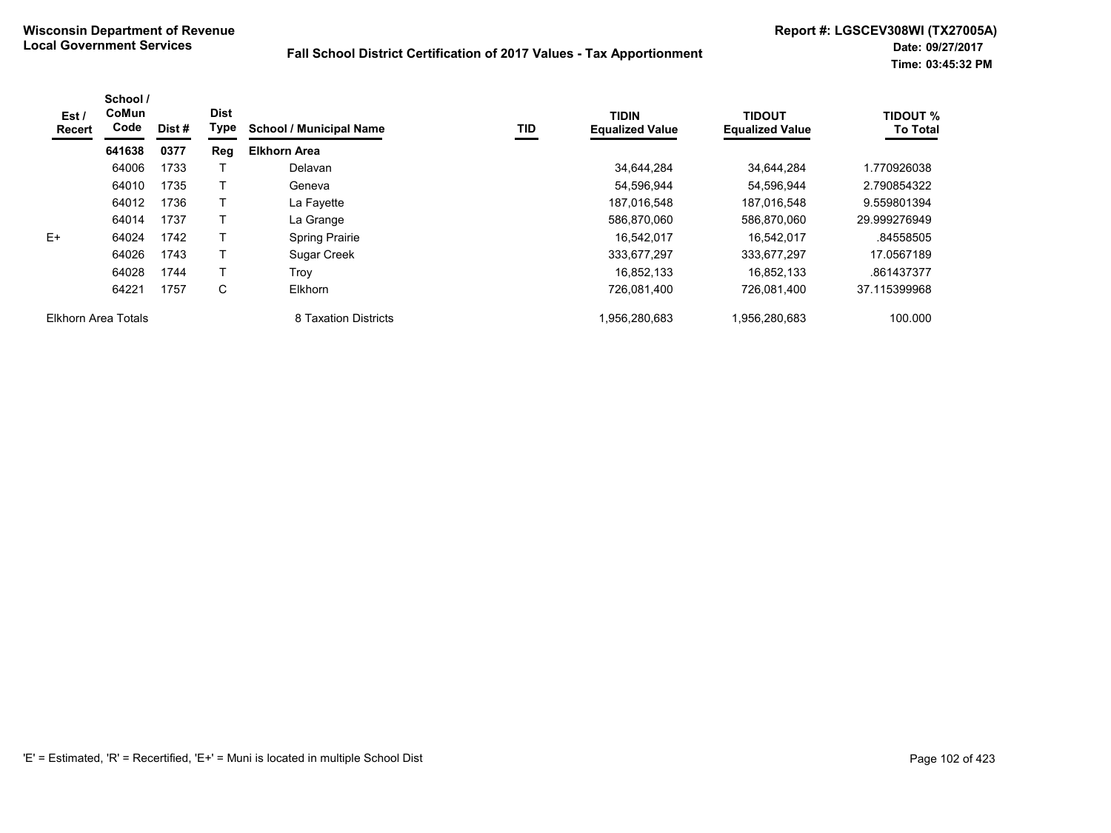| Est /<br>Recert     | School /<br>CoMun<br>Code | Dist # | <b>Dist</b><br>Type | <b>School / Municipal Name</b> | TID | <b>TIDIN</b><br><b>Equalized Value</b> | <b>TIDOUT</b><br><b>Equalized Value</b> | <b>TIDOUT %</b><br><b>To Total</b> |
|---------------------|---------------------------|--------|---------------------|--------------------------------|-----|----------------------------------------|-----------------------------------------|------------------------------------|
|                     | 641638                    | 0377   | Reg                 | <b>Elkhorn Area</b>            |     |                                        |                                         |                                    |
|                     | 64006                     | 1733   |                     | Delavan                        |     | 34,644,284                             | 34,644,284                              | 1.770926038                        |
|                     | 64010                     | 1735   |                     | Geneva                         |     | 54.596.944                             | 54.596.944                              | 2.790854322                        |
|                     | 64012                     | 1736   |                     | La Fayette                     |     | 187.016.548                            | 187.016.548                             | 9.559801394                        |
|                     | 64014                     | 1737   |                     | La Grange                      |     | 586,870,060                            | 586,870,060                             | 29.999276949                       |
| $F+$                | 64024                     | 1742   |                     | <b>Spring Prairie</b>          |     | 16,542,017                             | 16.542.017                              | .84558505                          |
|                     | 64026                     | 1743   |                     | <b>Sugar Creek</b>             |     | 333,677,297                            | 333,677,297                             | 17.0567189                         |
|                     | 64028                     | 1744   |                     | Trov                           |     | 16.852.133                             | 16.852.133                              | .861437377                         |
|                     | 64221                     | 1757   | C                   | Elkhorn                        |     | 726,081,400                            | 726,081,400                             | 37.115399968                       |
| Elkhorn Area Totals |                           |        |                     | 8 Taxation Districts           |     | 1,956,280,683                          | 1,956,280,683                           | 100.000                            |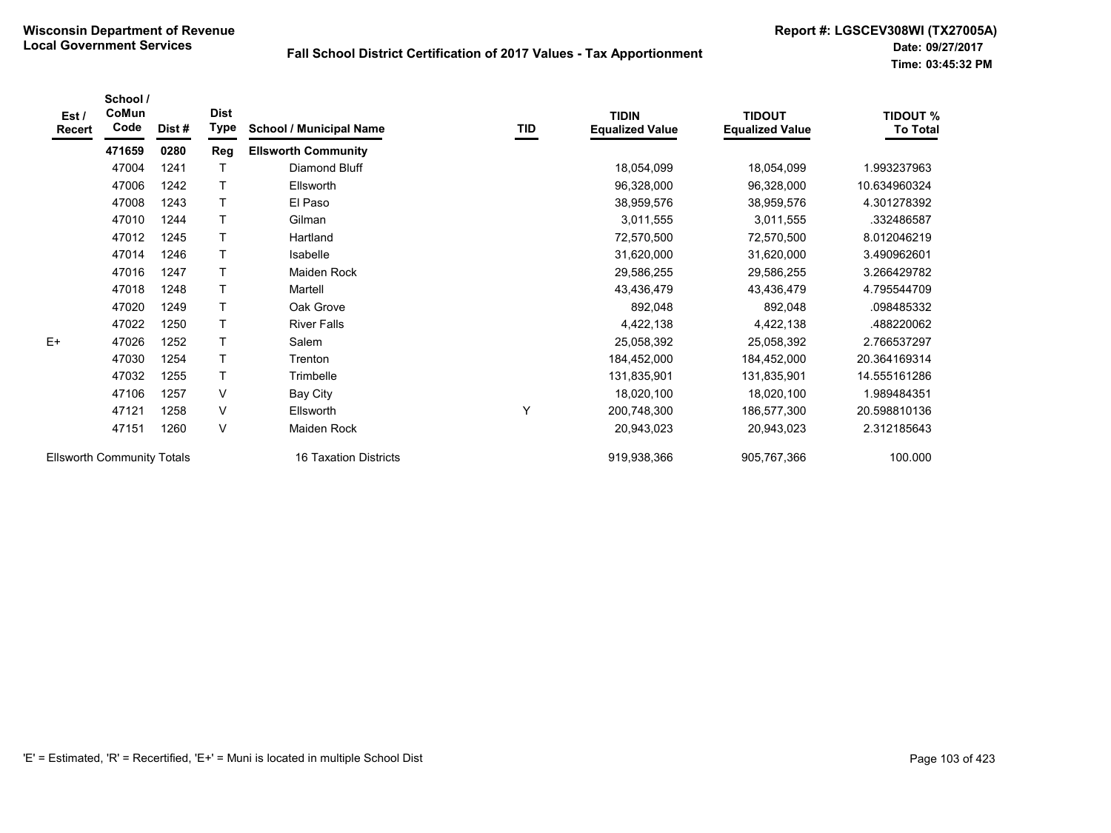| Est /<br><b>Recert</b>            | School /<br>CoMun<br>Code | Dist# | <b>Dist</b><br>Type | <b>School / Municipal Name</b> | TID | <b>TIDIN</b><br><b>Equalized Value</b> | <b>TIDOUT</b><br><b>Equalized Value</b> | <b>TIDOUT %</b><br><b>To Total</b> |
|-----------------------------------|---------------------------|-------|---------------------|--------------------------------|-----|----------------------------------------|-----------------------------------------|------------------------------------|
|                                   | 471659                    | 0280  | Reg                 | <b>Ellsworth Community</b>     |     |                                        |                                         |                                    |
|                                   | 47004                     | 1241  | т                   | Diamond Bluff                  |     | 18,054,099                             | 18,054,099                              | 1.993237963                        |
|                                   | 47006                     | 1242  | T                   | Ellsworth                      |     | 96,328,000                             | 96,328,000                              | 10.634960324                       |
|                                   | 47008                     | 1243  | т                   | El Paso                        |     | 38,959,576                             | 38,959,576                              | 4.301278392                        |
|                                   | 47010                     | 1244  | Τ                   | Gilman                         |     | 3,011,555                              | 3,011,555                               | .332486587                         |
|                                   | 47012                     | 1245  | T                   | Hartland                       |     | 72,570,500                             | 72,570,500                              | 8.012046219                        |
|                                   | 47014                     | 1246  | T                   | Isabelle                       |     | 31,620,000                             | 31,620,000                              | 3.490962601                        |
|                                   | 47016                     | 1247  | T                   | Maiden Rock                    |     | 29,586,255                             | 29,586,255                              | 3.266429782                        |
|                                   | 47018                     | 1248  | T                   | Martell                        |     | 43,436,479                             | 43,436,479                              | 4.795544709                        |
|                                   | 47020                     | 1249  | T                   | Oak Grove                      |     | 892,048                                | 892,048                                 | .098485332                         |
|                                   | 47022                     | 1250  | T                   | <b>River Falls</b>             |     | 4,422,138                              | 4,422,138                               | .488220062                         |
| E+                                | 47026                     | 1252  | T                   | Salem                          |     | 25,058,392                             | 25,058,392                              | 2.766537297                        |
|                                   | 47030                     | 1254  | T                   | Trenton                        |     | 184,452,000                            | 184,452,000                             | 20.364169314                       |
|                                   | 47032                     | 1255  | T                   | Trimbelle                      |     | 131,835,901                            | 131,835,901                             | 14.555161286                       |
|                                   | 47106                     | 1257  | V                   | Bay City                       |     | 18,020,100                             | 18,020,100                              | 1.989484351                        |
|                                   | 47121                     | 1258  | V                   | Ellsworth                      | Υ   | 200,748,300                            | 186,577,300                             | 20.598810136                       |
|                                   | 47151                     | 1260  | $\vee$              | Maiden Rock                    |     | 20,943,023                             | 20,943,023                              | 2.312185643                        |
| <b>Ellsworth Community Totals</b> |                           |       |                     | 16 Taxation Districts          |     | 919,938,366                            | 905,767,366                             | 100.000                            |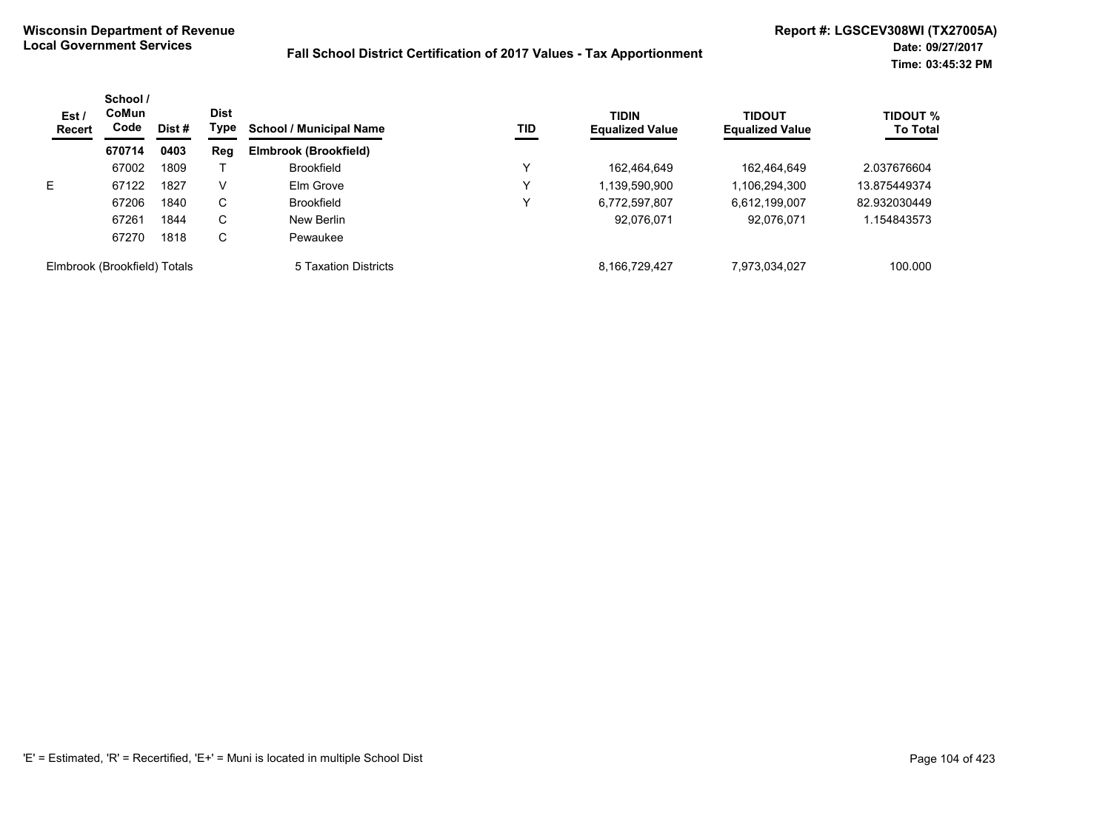| Est/<br>Recert               | School /<br>CoMun<br>Code | Dist # | <b>Dist</b><br>Type | <b>TIDIN</b><br><b>School / Municipal Name</b><br><b>TID</b> | <b>Equalized Value</b> | <b>TIDOUT</b><br><b>Equalized Value</b> | <b>TIDOUT %</b><br><b>To Total</b> |              |
|------------------------------|---------------------------|--------|---------------------|--------------------------------------------------------------|------------------------|-----------------------------------------|------------------------------------|--------------|
|                              | 670714                    | 0403   | <b>Reg</b>          | Elmbrook (Brookfield)                                        |                        |                                         |                                    |              |
|                              | 67002                     | 1809   |                     | <b>Brookfield</b>                                            | v                      | 162.464.649                             | 162,464,649                        | 2.037676604  |
| E                            | 67122                     | 1827   | V                   | Elm Grove                                                    | Y                      | 1,139,590,900                           | 1,106,294,300                      | 13.875449374 |
|                              | 67206                     | 1840   | C                   | <b>Brookfield</b>                                            | Y                      | 6,772,597,807                           | 6,612,199,007                      | 82.932030449 |
|                              | 67261                     | 1844   | С                   | New Berlin                                                   |                        | 92,076,071                              | 92,076,071                         | 1.154843573  |
|                              | 67270                     | 1818   | С                   | Pewaukee                                                     |                        |                                         |                                    |              |
| Elmbrook (Brookfield) Totals |                           |        |                     | 5 Taxation Districts                                         |                        | 8.166.729.427                           | 7,973,034,027                      | 100.000      |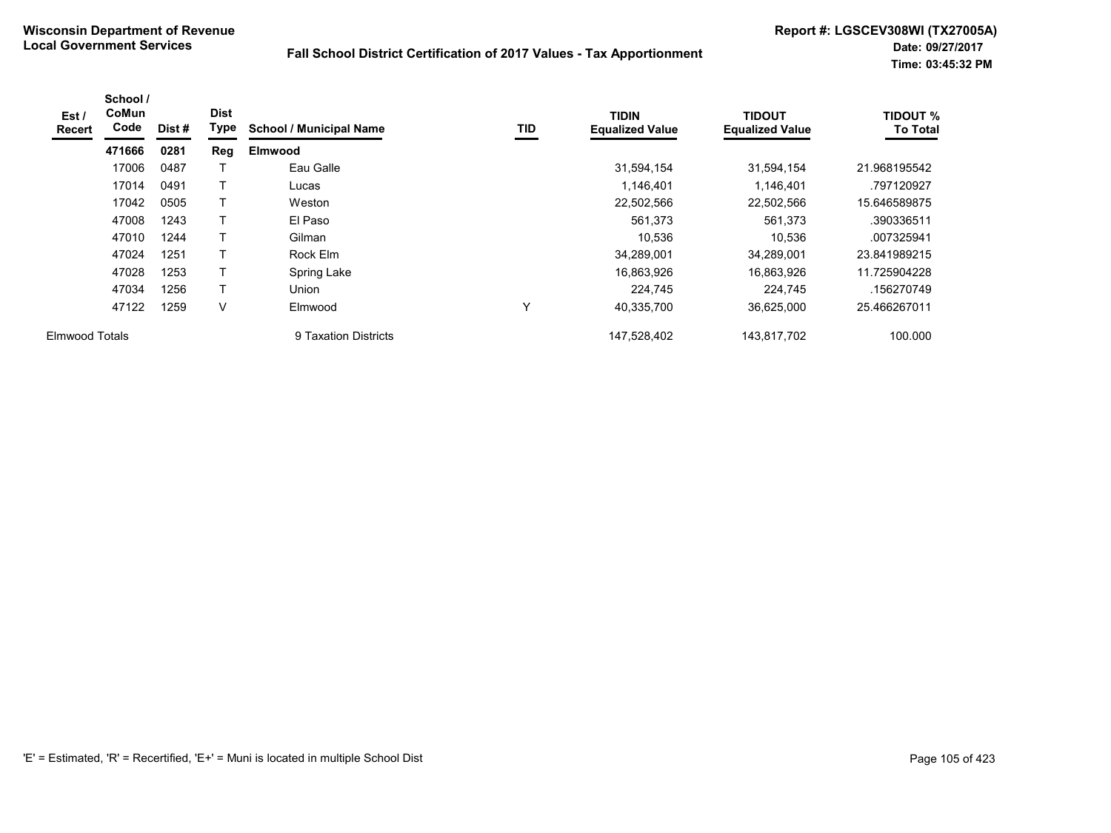| Est /<br><b>Recert</b> | School /<br>CoMun<br>Code | Dist# | <b>Dist</b><br>Type | <b>School / Municipal Name</b> | TID | <b>TIDIN</b><br><b>Equalized Value</b> | <b>TIDOUT</b><br><b>Equalized Value</b> | <b>TIDOUT %</b><br><b>To Total</b> |
|------------------------|---------------------------|-------|---------------------|--------------------------------|-----|----------------------------------------|-----------------------------------------|------------------------------------|
|                        | 471666                    | 0281  | Reg                 | <b>Elmwood</b>                 |     |                                        |                                         |                                    |
|                        | 17006                     | 0487  |                     | Eau Galle                      |     | 31,594,154                             | 31,594,154                              | 21.968195542                       |
|                        | 17014                     | 0491  |                     | Lucas                          |     | 1,146,401                              | 1,146,401                               | .797120927                         |
|                        | 17042                     | 0505  |                     | Weston                         |     | 22,502,566                             | 22,502,566                              | 15.646589875                       |
|                        | 47008                     | 1243  |                     | El Paso                        |     | 561,373                                | 561,373                                 | .390336511                         |
|                        | 47010                     | 1244  |                     | Gilman                         |     | 10,536                                 | 10,536                                  | .007325941                         |
|                        | 47024                     | 1251  |                     | Rock Elm                       |     | 34,289,001                             | 34,289,001                              | 23.841989215                       |
|                        | 47028                     | 1253  |                     | Spring Lake                    |     | 16,863,926                             | 16,863,926                              | 11.725904228                       |
|                        | 47034                     | 1256  |                     | <b>Union</b>                   |     | 224,745                                | 224,745                                 | .156270749                         |
|                        | 47122                     | 1259  | V                   | Elmwood                        | Υ   | 40,335,700                             | 36,625,000                              | 25.466267011                       |
| <b>Elmwood Totals</b>  |                           |       |                     | 9 Taxation Districts           |     | 147,528,402                            | 143,817,702                             | 100.000                            |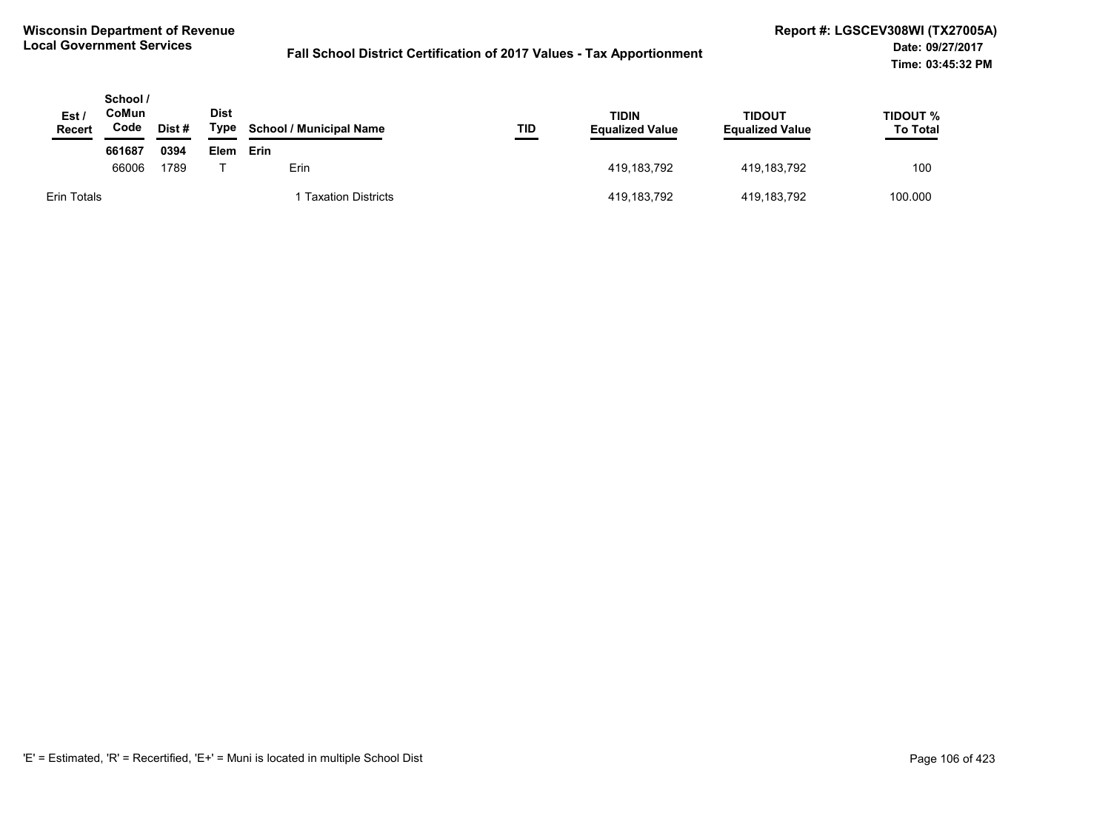| Est /<br>Recert | School /<br>CoMun<br>Code | Dist # | <b>Dist</b><br>Type | <b>School / Municipal Name</b> | TID<br><b>The Company's</b> | TIDIN<br><b>Equalized Value</b> | TIDOUT<br><b>Equalized Value</b> | TIDOUT %<br><b>To Total</b> |
|-----------------|---------------------------|--------|---------------------|--------------------------------|-----------------------------|---------------------------------|----------------------------------|-----------------------------|
|                 | 661687                    | 0394   | Elem                | Erin                           |                             |                                 |                                  |                             |
|                 | 66006                     | 1789   |                     | Erin.                          |                             | 419,183,792                     | 419.183.792                      | 100                         |
| Erin Totals     |                           |        |                     | Taxation Districts             |                             | 419,183,792                     | 419,183,792                      | 100.000                     |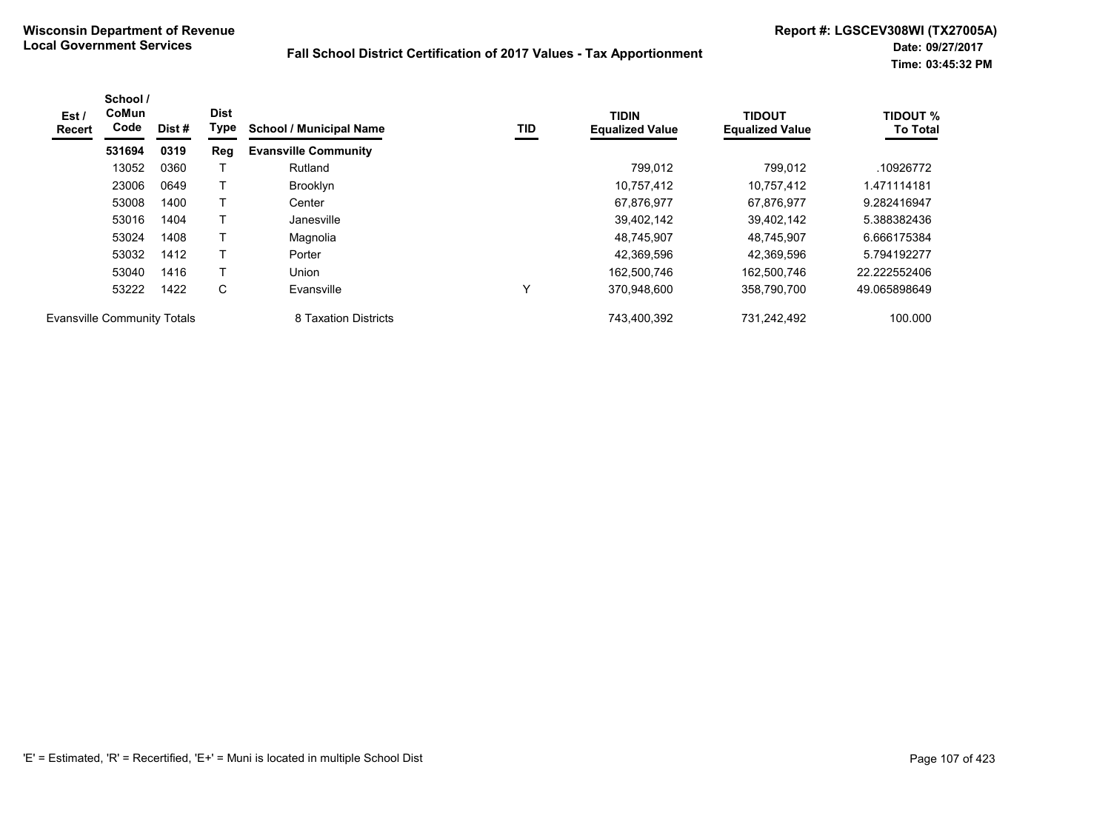| Est /<br><b>Recert</b>             | School /<br><b>CoMun</b><br>Code | Dist # | <b>Dist</b><br>Type | <b>School / Municipal Name</b> | TID | <b>TIDIN</b><br><b>Equalized Value</b> | <b>TIDOUT</b><br><b>Equalized Value</b> | <b>TIDOUT %</b><br><b>To Total</b> |
|------------------------------------|----------------------------------|--------|---------------------|--------------------------------|-----|----------------------------------------|-----------------------------------------|------------------------------------|
|                                    | 531694                           | 0319   | Reg                 | <b>Evansville Community</b>    |     |                                        |                                         |                                    |
|                                    | 13052                            | 0360   |                     | Rutland                        |     | 799.012                                | 799.012                                 | .10926772                          |
|                                    | 23006                            | 0649   |                     | <b>Brooklyn</b>                |     | 10.757.412                             | 10.757.412                              | 1.471114181                        |
|                                    | 53008                            | 1400   |                     | Center                         |     | 67,876,977                             | 67,876,977                              | 9.282416947                        |
|                                    | 53016                            | 1404   |                     | Janesville                     |     | 39.402.142                             | 39.402.142                              | 5.388382436                        |
|                                    | 53024                            | 1408   |                     | Magnolia                       |     | 48.745.907                             | 48.745.907                              | 6.666175384                        |
|                                    | 53032                            | 1412   |                     | Porter                         |     | 42,369,596                             | 42.369.596                              | 5.794192277                        |
|                                    | 53040                            | 1416   | T                   | Union                          |     | 162,500,746                            | 162,500,746                             | 22.222552406                       |
|                                    | 53222                            | 1422   | C                   | Evansville                     | v   | 370.948.600                            | 358,790,700                             | 49.065898649                       |
| <b>Evansville Community Totals</b> |                                  |        |                     | 8 Taxation Districts           |     | 743,400,392                            | 731,242,492                             | 100.000                            |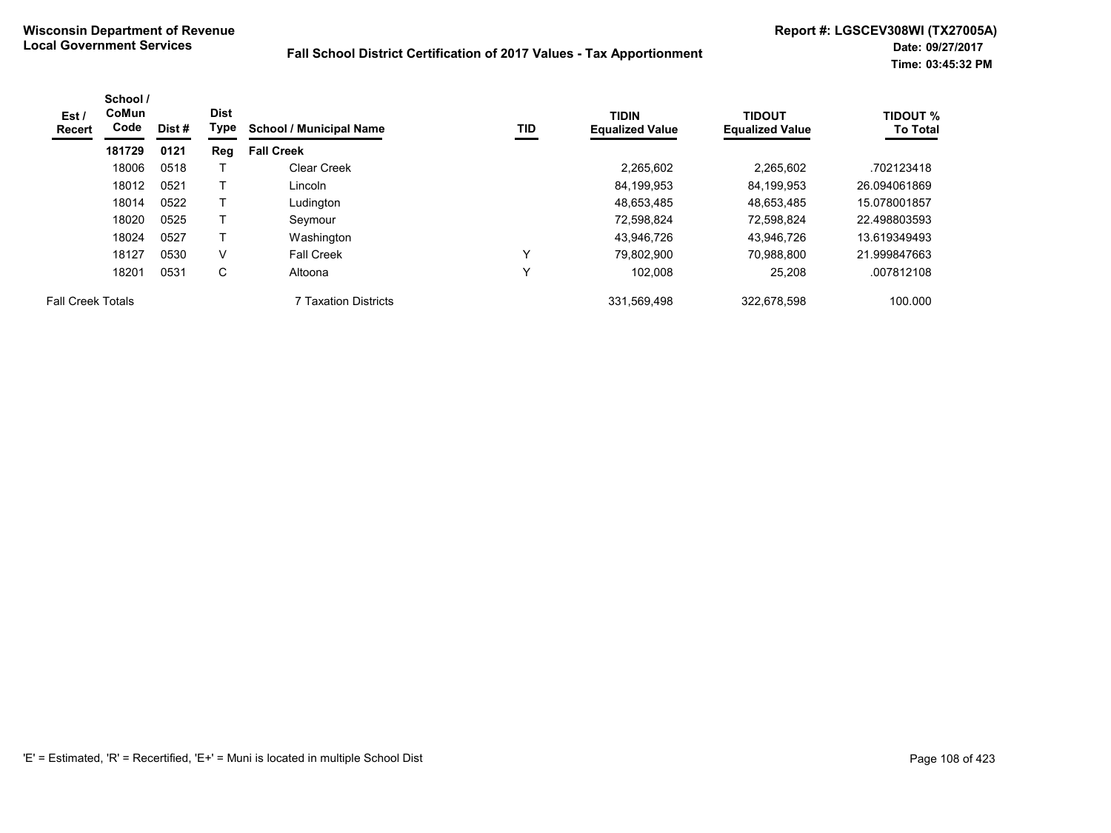| Est /<br><b>Recert</b>   | School /<br>CoMun<br>Code | Dist # | <b>Dist</b><br>Type | <b>School / Municipal Name</b> | TID | <b>TIDIN</b><br><b>Equalized Value</b> | <b>TIDOUT</b><br><b>Equalized Value</b> | <b>TIDOUT %</b><br><b>To Total</b> |
|--------------------------|---------------------------|--------|---------------------|--------------------------------|-----|----------------------------------------|-----------------------------------------|------------------------------------|
|                          | 181729                    | 0121   | Reg                 | <b>Fall Creek</b>              |     |                                        |                                         |                                    |
|                          | 18006                     | 0518   |                     | Clear Creek                    |     | 2.265.602                              | 2.265.602                               | .702123418                         |
|                          | 18012                     | 0521   |                     | Lincoln                        |     | 84,199,953                             | 84,199,953                              | 26.094061869                       |
|                          | 18014                     | 0522   |                     | Ludington                      |     | 48,653,485                             | 48,653,485                              | 15.078001857                       |
|                          | 18020                     | 0525   |                     | Seymour                        |     | 72.598.824                             | 72.598.824                              | 22.498803593                       |
|                          | 18024                     | 0527   |                     | Washington                     |     | 43,946,726                             | 43.946.726                              | 13.619349493                       |
|                          | 18127                     | 0530   | V                   | <b>Fall Creek</b>              |     | 79.802.900                             | 70,988,800                              | 21.999847663                       |
|                          | 18201                     | 0531   | С                   | Altoona                        |     | 102,008                                | 25,208                                  | .007812108                         |
| <b>Fall Creek Totals</b> |                           |        |                     | 7 Taxation Districts           |     | 331,569,498                            | 322,678,598                             | 100.000                            |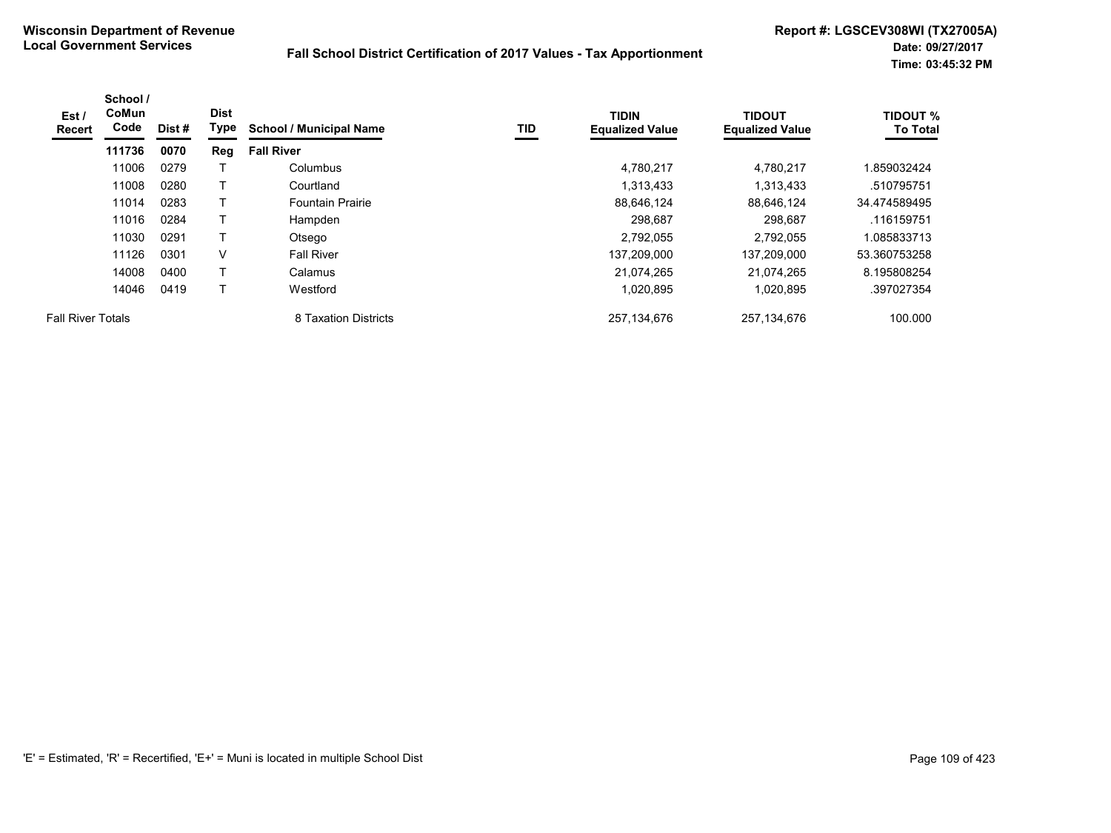| Est/<br>Recert           | School /<br>CoMun<br>Code | Dist # | <b>Dist</b><br>Type | <b>School / Municipal Name</b> | TID | <b>TIDIN</b><br><b>Equalized Value</b> | <b>TIDOUT</b><br><b>Equalized Value</b> | <b>TIDOUT %</b><br><b>To Total</b> |
|--------------------------|---------------------------|--------|---------------------|--------------------------------|-----|----------------------------------------|-----------------------------------------|------------------------------------|
|                          | 111736                    | 0070   | Reg                 | <b>Fall River</b>              |     |                                        |                                         |                                    |
|                          | 11006                     | 0279   |                     | Columbus                       |     | 4,780,217                              | 4.780.217                               | 1.859032424                        |
|                          | 11008                     | 0280   |                     | Courtland                      |     | 1,313,433                              | 1,313,433                               | .510795751                         |
|                          | 11014                     | 0283   |                     | <b>Fountain Prairie</b>        |     | 88,646,124                             | 88,646,124                              | 34.474589495                       |
|                          | 11016                     | 0284   |                     | Hampden                        |     | 298,687                                | 298,687                                 | .116159751                         |
|                          | 11030                     | 0291   |                     | Otsego                         |     | 2,792,055                              | 2.792.055                               | 1.085833713                        |
|                          | 11126                     | 0301   | V                   | <b>Fall River</b>              |     | 137,209,000                            | 137,209,000                             | 53.360753258                       |
|                          | 14008                     | 0400   |                     | Calamus                        |     | 21,074,265                             | 21.074.265                              | 8.195808254                        |
|                          | 14046                     | 0419   |                     | Westford                       |     | 1,020,895                              | 1,020,895                               | .397027354                         |
| <b>Fall River Totals</b> |                           |        |                     | 8 Taxation Districts           |     | 257,134,676                            | 257,134,676                             | 100.000                            |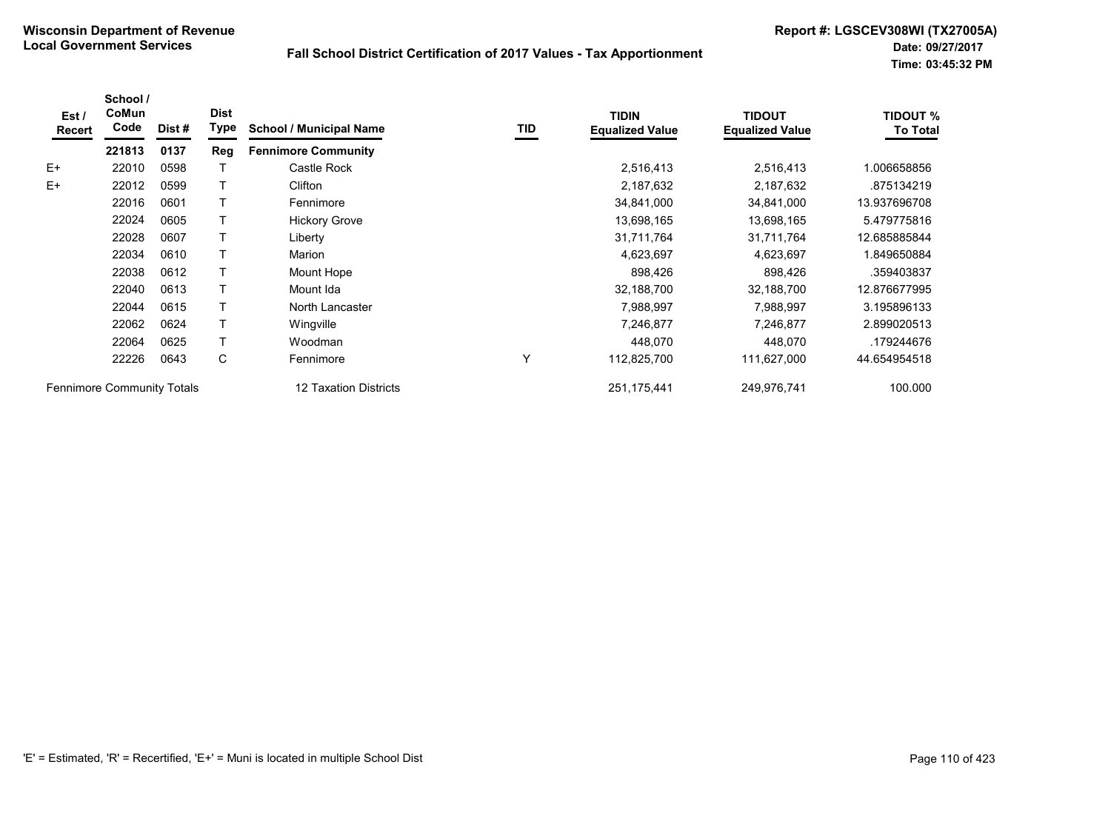| Est/<br>Recert                    | School /<br>CoMun<br>Code | Dist # | <b>Dist</b><br>Type   | <b>School / Municipal Name</b> | TID         | <b>TIDIN</b><br><b>Equalized Value</b> | <b>TIDOUT</b><br><b>Equalized Value</b> | <b>TIDOUT %</b><br><b>To Total</b> |
|-----------------------------------|---------------------------|--------|-----------------------|--------------------------------|-------------|----------------------------------------|-----------------------------------------|------------------------------------|
|                                   | 221813                    | 0137   | Reg                   | <b>Fennimore Community</b>     |             |                                        |                                         |                                    |
| $E+$                              | 22010                     | 0598   |                       | Castle Rock                    |             | 2,516,413                              | 2,516,413                               | 1.006658856                        |
| $E+$                              | 22012                     | 0599   |                       | Clifton                        |             | 2,187,632                              | 2,187,632                               | .875134219                         |
|                                   | 22016                     | 0601   |                       | Fennimore                      |             | 34,841,000                             | 34,841,000                              | 13.937696708                       |
|                                   | 22024                     | 0605   |                       | <b>Hickory Grove</b>           |             | 13,698,165                             | 13,698,165                              | 5.479775816                        |
|                                   | 22028                     | 0607   |                       | Liberty                        |             | 31,711,764                             | 31,711,764                              | 12.685885844                       |
|                                   | 22034                     | 0610   |                       | Marion                         |             | 4,623,697                              | 4,623,697                               | 1.849650884                        |
|                                   | 22038                     | 0612   |                       | Mount Hope                     |             | 898,426                                | 898,426                                 | .359403837                         |
|                                   | 22040                     | 0613   |                       | Mount Ida                      |             | 32,188,700                             | 32,188,700                              | 12.876677995                       |
|                                   | 22044                     | 0615   |                       | North Lancaster                |             | 7,988,997                              | 7,988,997                               | 3.195896133                        |
|                                   | 22062                     | 0624   |                       | Wingville                      |             | 7,246,877                              | 7,246,877                               | 2.899020513                        |
|                                   | 22064                     | 0625   |                       | Woodman                        |             | 448,070                                | 448,070                                 | .179244676                         |
|                                   | 22226                     | 0643   | С                     | Fennimore                      | Y           | 112,825,700                            | 111,627,000                             | 44.654954518                       |
| <b>Fennimore Community Totals</b> |                           |        | 12 Taxation Districts |                                | 251,175,441 | 249,976,741                            | 100.000                                 |                                    |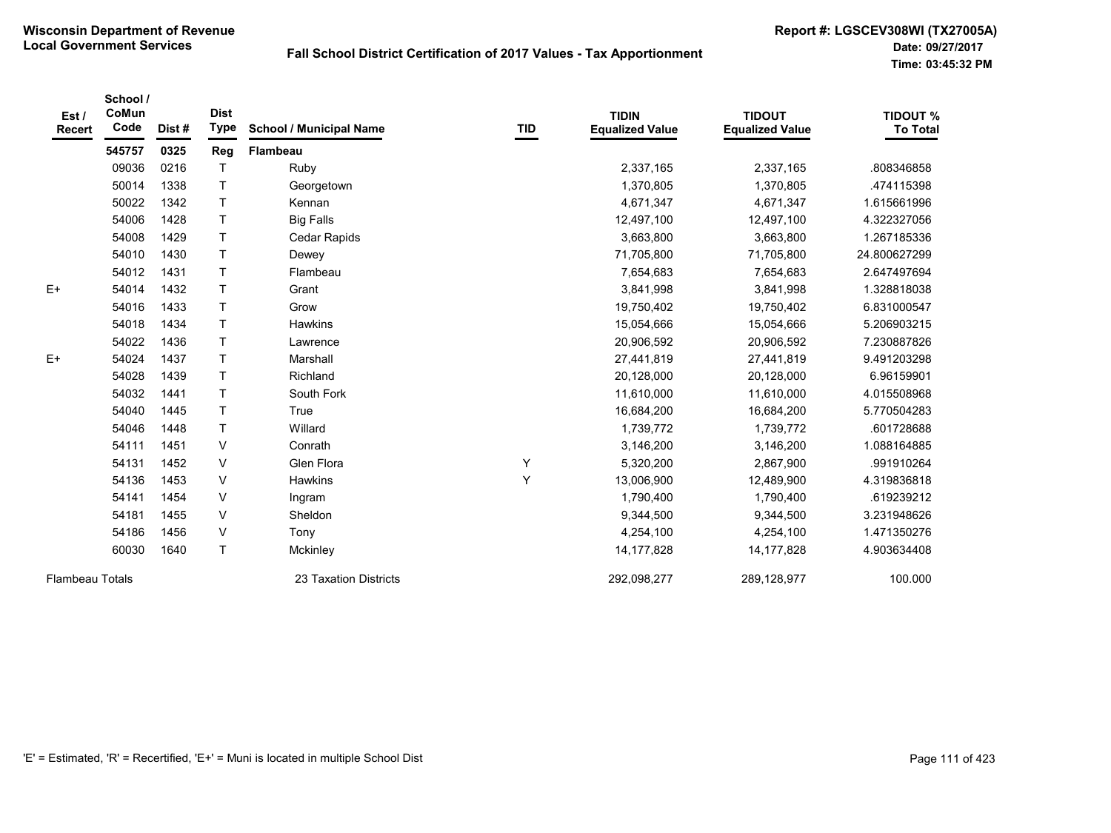| Est/<br><b>Recert</b>  | School /<br>CoMun<br>Code | Dist# | <b>Dist</b><br><b>Type</b> | <b>School / Municipal Name</b> | TID | <b>TIDIN</b><br><b>Equalized Value</b> | <b>TIDOUT</b><br><b>Equalized Value</b> | <b>TIDOUT %</b><br><b>To Total</b> |
|------------------------|---------------------------|-------|----------------------------|--------------------------------|-----|----------------------------------------|-----------------------------------------|------------------------------------|
|                        | 545757                    | 0325  | Reg                        | Flambeau                       |     |                                        |                                         |                                    |
|                        | 09036                     | 0216  |                            | Ruby                           |     | 2,337,165                              | 2,337,165                               | .808346858                         |
|                        | 50014                     | 1338  | Τ                          | Georgetown                     |     | 1,370,805                              | 1,370,805                               | 474115398                          |
|                        | 50022                     | 1342  | T                          | Kennan                         |     | 4,671,347                              | 4,671,347                               | 1.615661996                        |
|                        | 54006                     | 1428  | $\top$                     | <b>Big Falls</b>               |     | 12,497,100                             | 12,497,100                              | 4.322327056                        |
|                        | 54008                     | 1429  | $\mathsf{T}$               | Cedar Rapids                   |     | 3,663,800                              | 3,663,800                               | 1.267185336                        |
|                        | 54010                     | 1430  | $\top$                     | Dewey                          |     | 71,705,800                             | 71,705,800                              | 24.800627299                       |
|                        | 54012                     | 1431  | T                          | Flambeau                       |     | 7,654,683                              | 7,654,683                               | 2.647497694                        |
| $E+$                   | 54014                     | 1432  | T                          | Grant                          |     | 3,841,998                              | 3,841,998                               | 1.328818038                        |
|                        | 54016                     | 1433  | T                          | Grow                           |     | 19,750,402                             | 19,750,402                              | 6.831000547                        |
|                        | 54018                     | 1434  | T                          | Hawkins                        |     | 15,054,666                             | 15,054,666                              | 5.206903215                        |
|                        | 54022                     | 1436  | $\mathsf{T}$               | Lawrence                       |     | 20,906,592                             | 20,906,592                              | 7.230887826                        |
| $E+$                   | 54024                     | 1437  | Τ                          | Marshall                       |     | 27,441,819                             | 27,441,819                              | 9.491203298                        |
|                        | 54028                     | 1439  | T                          | Richland                       |     | 20,128,000                             | 20,128,000                              | 6.96159901                         |
|                        | 54032                     | 1441  | T                          | South Fork                     |     | 11,610,000                             | 11,610,000                              | 4.015508968                        |
|                        | 54040                     | 1445  | T                          | True                           |     | 16,684,200                             | 16,684,200                              | 5.770504283                        |
|                        | 54046                     | 1448  | T                          | Willard                        |     | 1,739,772                              | 1,739,772                               | .601728688                         |
|                        | 54111                     | 1451  | $\vee$                     | Conrath                        |     | 3,146,200                              | 3,146,200                               | 1.088164885                        |
|                        | 54131                     | 1452  | $\vee$                     | Glen Flora                     | Υ   | 5,320,200                              | 2,867,900                               | .991910264                         |
|                        | 54136                     | 1453  | $\vee$                     | Hawkins                        | Y   | 13,006,900                             | 12,489,900                              | 4.319836818                        |
|                        | 54141                     | 1454  | $\vee$                     | Ingram                         |     | 1,790,400                              | 1,790,400                               | .619239212                         |
|                        | 54181                     | 1455  | $\vee$                     | Sheldon                        |     | 9,344,500                              | 9,344,500                               | 3.231948626                        |
|                        | 54186                     | 1456  | V                          | Tony                           |     | 4,254,100                              | 4,254,100                               | 1.471350276                        |
|                        | 60030                     | 1640  | $\mathsf{T}$               | Mckinley                       |     | 14, 177, 828                           | 14, 177, 828                            | 4.903634408                        |
| <b>Flambeau Totals</b> |                           |       |                            | 23 Taxation Districts          |     | 292,098,277                            | 289,128,977                             | 100.000                            |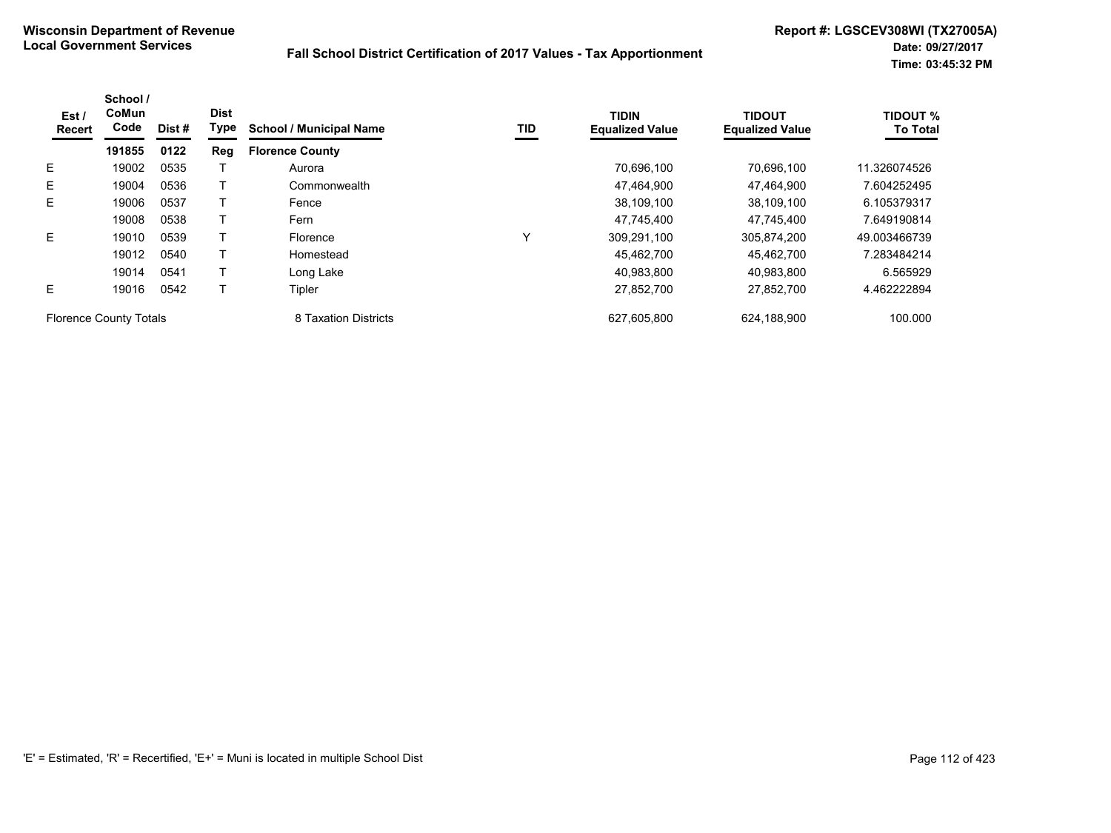| Est/<br>Recert                | School /<br>CoMun<br>Code | Dist #               | <b>Dist</b><br>Type | <b>School / Municipal Name</b> | TID         | <b>TIDIN</b><br><b>Equalized Value</b> | <b>TIDOUT</b><br><b>Equalized Value</b> | <b>TIDOUT %</b><br><b>To Total</b> |
|-------------------------------|---------------------------|----------------------|---------------------|--------------------------------|-------------|----------------------------------------|-----------------------------------------|------------------------------------|
|                               | 191855                    | 0122                 | Reg                 | <b>Florence County</b>         |             |                                        |                                         |                                    |
| E.                            | 19002                     | 0535                 |                     | Aurora                         |             | 70,696,100                             | 70.696.100                              | 11.326074526                       |
| E.                            | 19004                     | 0536                 |                     | Commonwealth                   |             | 47.464.900                             | 47.464.900                              | 7.604252495                        |
| E.                            | 19006                     | 0537                 |                     | Fence                          |             | 38.109.100                             | 38.109.100                              | 6.105379317                        |
|                               | 19008                     | 0538                 |                     | Fern                           |             | 47,745,400                             | 47,745,400                              | 7.649190814                        |
| E.                            | 19010                     | 0539                 |                     | Florence                       | Y           | 309,291,100                            | 305,874,200                             | 49.003466739                       |
|                               | 19012                     | 0540                 |                     | Homestead                      |             | 45,462,700                             | 45.462.700                              | 7.283484214                        |
|                               | 19014                     | 0541                 |                     | Long Lake                      |             | 40.983.800                             | 40.983.800                              | 6.565929                           |
| E.                            | 19016                     | 0542                 |                     | Tipler                         |             | 27,852,700                             | 27,852,700                              | 4.462222894                        |
| <b>Florence County Totals</b> |                           | 8 Taxation Districts |                     | 627,605,800                    | 624,188,900 | 100.000                                |                                         |                                    |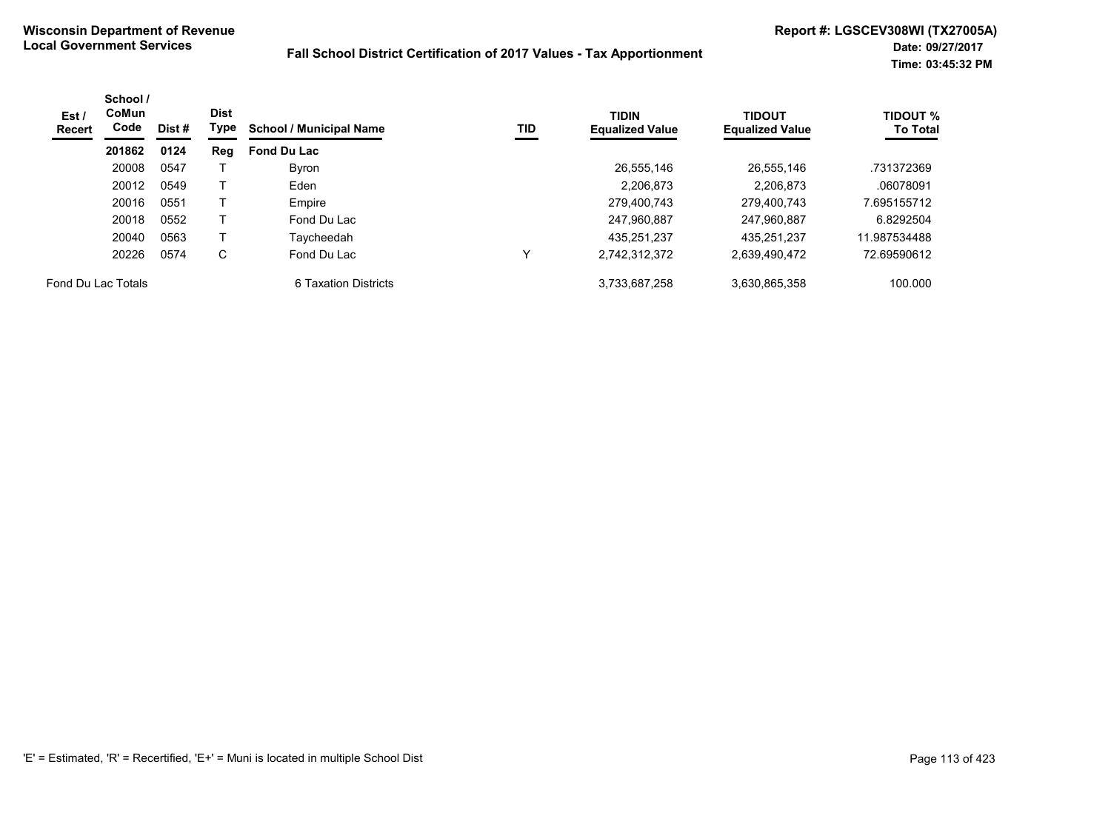| Est/<br><b>Recert</b> | School /<br><b>CoMun</b><br>Code | <b>Dist</b><br>Dist # |     | Type<br>TID<br><b>School / Municipal Name</b> | <b>TIDIN</b><br><b>Equalized Value</b> | <b>TIDOUT</b><br><b>Equalized Value</b> | <b>TIDOUT %</b><br><b>To Total</b> |              |
|-----------------------|----------------------------------|-----------------------|-----|-----------------------------------------------|----------------------------------------|-----------------------------------------|------------------------------------|--------------|
|                       | 201862                           | 0124                  | Reg | <b>Fond Du Lac</b>                            |                                        |                                         |                                    |              |
|                       | 20008                            | 0547                  |     | Byron                                         |                                        | 26,555,146                              | 26,555,146                         | .731372369   |
|                       | 20012                            | 0549                  |     | Eden                                          |                                        | 2.206.873                               | 2.206.873                          | .06078091    |
|                       | 20016                            | 0551                  |     | Empire                                        |                                        | 279.400.743                             | 279.400.743                        | 7.695155712  |
|                       | 20018                            | 0552                  |     | Fond Du Lac                                   |                                        | 247,960,887                             | 247.960.887                        | 6.8292504    |
|                       | 20040                            | 0563                  |     | Taycheedah                                    |                                        | 435.251.237                             | 435.251.237                        | 11.987534488 |
|                       | 20226                            | 0574                  | C   | Fond Du Lac                                   | v                                      | 2,742,312,372                           | 2,639,490,472                      | 72.69590612  |
| Fond Du Lac Totals    |                                  |                       |     | 6 Taxation Districts                          |                                        | 3,733,687,258                           | 3,630,865,358                      | 100.000      |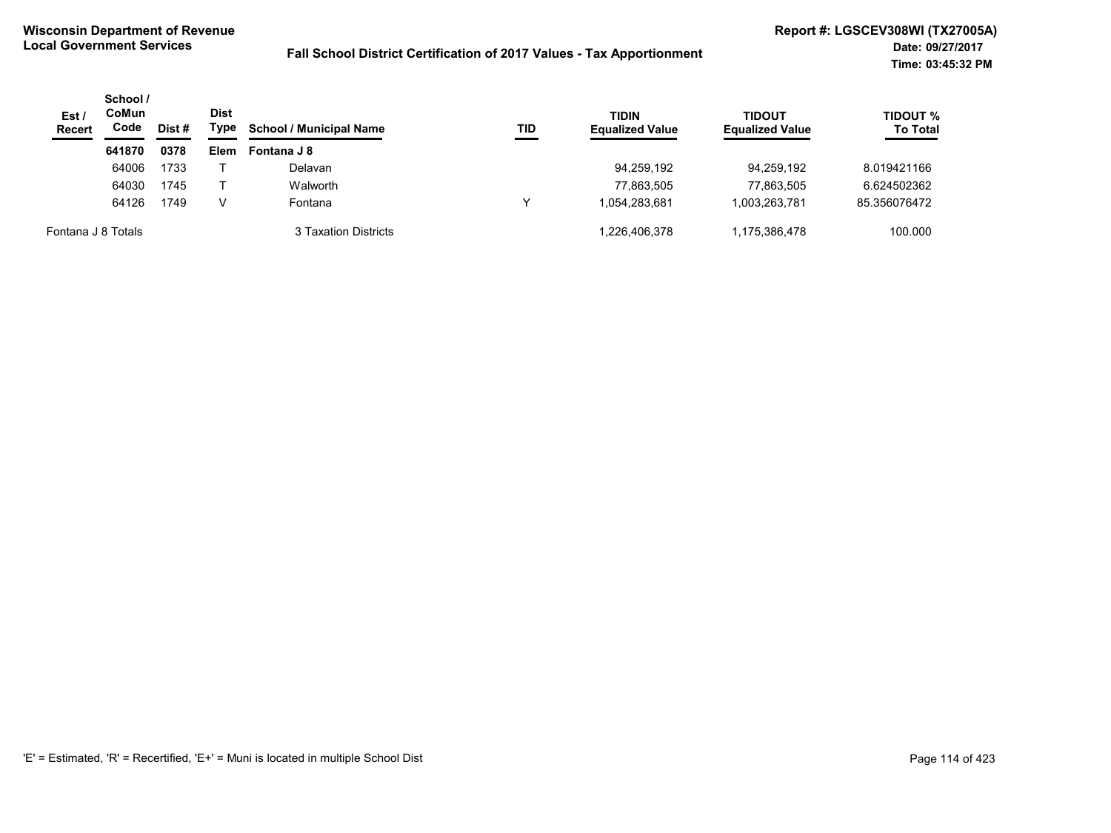| Est/<br><b>Recert</b> | School /<br>CoMun<br>Code | Dist # | <b>Dist</b><br>Type | <b>TIDIN</b><br><b>School / Municipal Name</b><br>TID | <b>Equalized Value</b> | TIDOUT<br><b>Equalized Value</b> | TIDOUT %<br><b>To Total</b> |              |
|-----------------------|---------------------------|--------|---------------------|-------------------------------------------------------|------------------------|----------------------------------|-----------------------------|--------------|
|                       | 641870                    | 0378   | Elem                | Fontana J 8                                           |                        |                                  |                             |              |
|                       | 64006                     | 1733   |                     | Delavan                                               |                        | 94,259,192                       | 94.259.192                  | 8.019421166  |
|                       | 64030                     | 1745   |                     | Walworth                                              |                        | 77,863,505                       | 77.863.505                  | 6.624502362  |
|                       | 64126                     | 1749   | v                   | Fontana                                               |                        | 1.054.283.681                    | 1.003.263.781               | 85.356076472 |
| Fontana J 8 Totals    |                           |        |                     | 3 Taxation Districts                                  |                        | 1,226,406,378                    | 1,175,386,478               | 100.000      |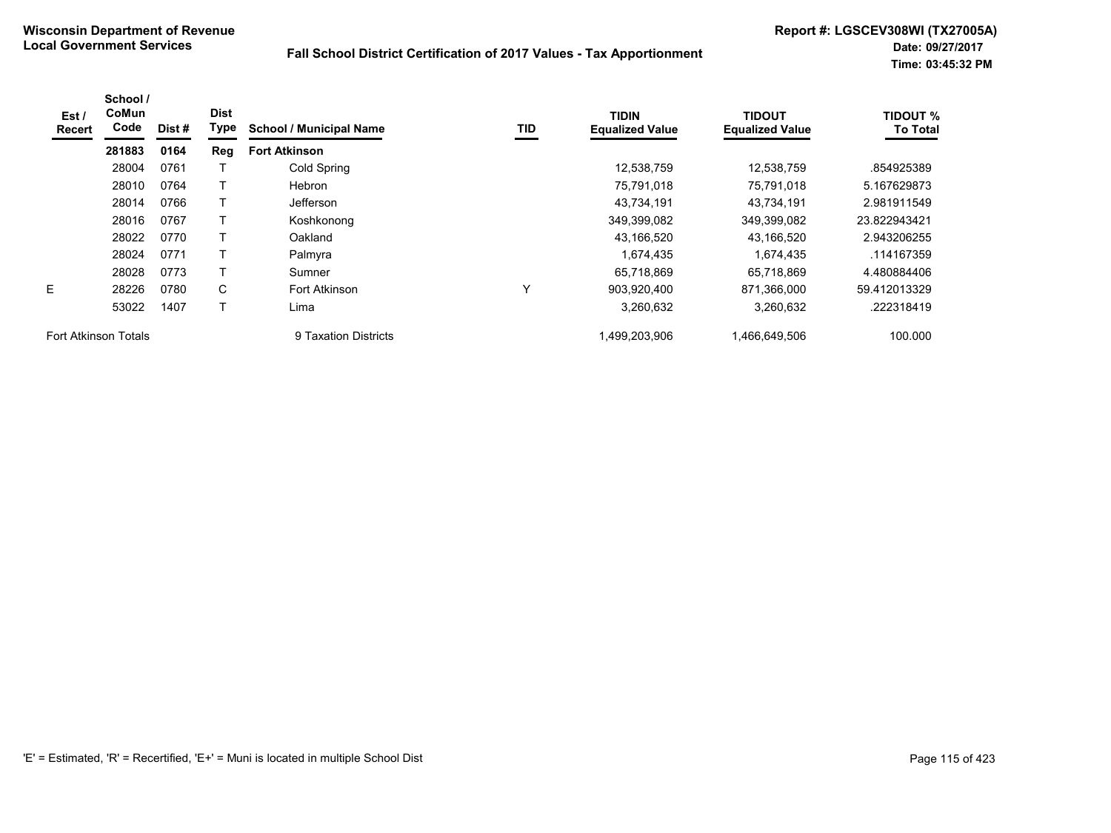| Est /<br><b>Recert</b>      | School /<br><b>CoMun</b><br>Code | Dist# | <b>Dist</b><br>Type | <b>School / Municipal Name</b> | TID | TIDIN<br><b>Equalized Value</b> | <b>TIDOUT</b><br><b>Equalized Value</b> | <b>TIDOUT %</b><br><b>To Total</b> |
|-----------------------------|----------------------------------|-------|---------------------|--------------------------------|-----|---------------------------------|-----------------------------------------|------------------------------------|
|                             | 281883                           | 0164  | Reg                 | <b>Fort Atkinson</b>           |     |                                 |                                         |                                    |
|                             | 28004                            | 0761  |                     | Cold Spring                    |     | 12.538.759                      | 12,538,759                              | .854925389                         |
|                             | 28010                            | 0764  |                     | <b>Hebron</b>                  |     | 75,791,018                      | 75,791,018                              | 5.167629873                        |
|                             | 28014                            | 0766  |                     | <b>Jefferson</b>               |     | 43,734,191                      | 43,734,191                              | 2.981911549                        |
|                             | 28016                            | 0767  |                     | Koshkonong                     |     | 349,399,082                     | 349,399,082                             | 23.822943421                       |
|                             | 28022                            | 0770  |                     | Oakland                        |     | 43,166,520                      | 43,166,520                              | 2.943206255                        |
|                             | 28024                            | 0771  |                     | Palmyra                        |     | 1,674,435                       | 1,674,435                               | .114167359                         |
|                             | 28028                            | 0773  |                     | Sumner                         |     | 65,718,869                      | 65,718,869                              | 4.480884406                        |
| E.                          | 28226                            | 0780  | C                   | Fort Atkinson                  | v   | 903,920,400                     | 871,366,000                             | 59.412013329                       |
|                             | 53022                            | 1407  |                     | Lima                           |     | 3,260,632                       | 3,260,632                               | .222318419                         |
| <b>Fort Atkinson Totals</b> |                                  |       |                     | 9 Taxation Districts           |     | 1,499,203,906                   | 1,466,649,506                           | 100.000                            |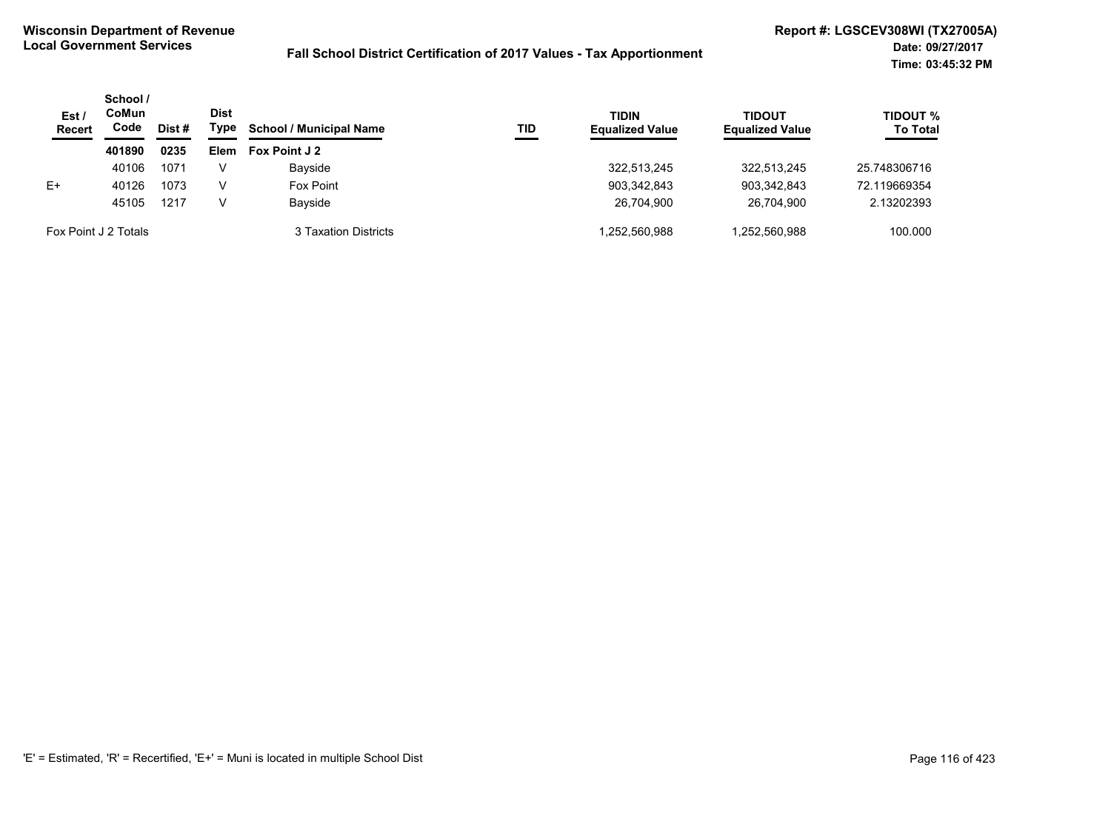| Est/<br><b>Recert</b> | School /<br>CoMun<br>Code | Dist # | <b>Dist</b><br>Type | <b>School / Municipal Name</b> | TID | <b>TIDIN</b><br><b>Equalized Value</b> | <b>TIDOUT</b><br><b>Equalized Value</b> | <b>TIDOUT %</b><br><b>To Total</b> |
|-----------------------|---------------------------|--------|---------------------|--------------------------------|-----|----------------------------------------|-----------------------------------------|------------------------------------|
|                       | 401890                    | 0235   | <b>Elem</b>         | Fox Point J 2                  |     |                                        |                                         |                                    |
|                       | 40106                     | 1071   | V                   | Bayside                        |     | 322.513.245                            | 322.513.245                             | 25.748306716                       |
| $E+$                  | 40126                     | 1073   | V                   | Fox Point                      |     | 903,342,843                            | 903.342.843                             | 72.119669354                       |
|                       | 45105                     | 1217   | V                   | Bayside                        |     | 26.704.900                             | 26.704.900                              | 2.13202393                         |
| Fox Point J 2 Totals  |                           |        |                     | 3 Taxation Districts           |     | .252.560.988                           | 1,252,560,988                           | 100.000                            |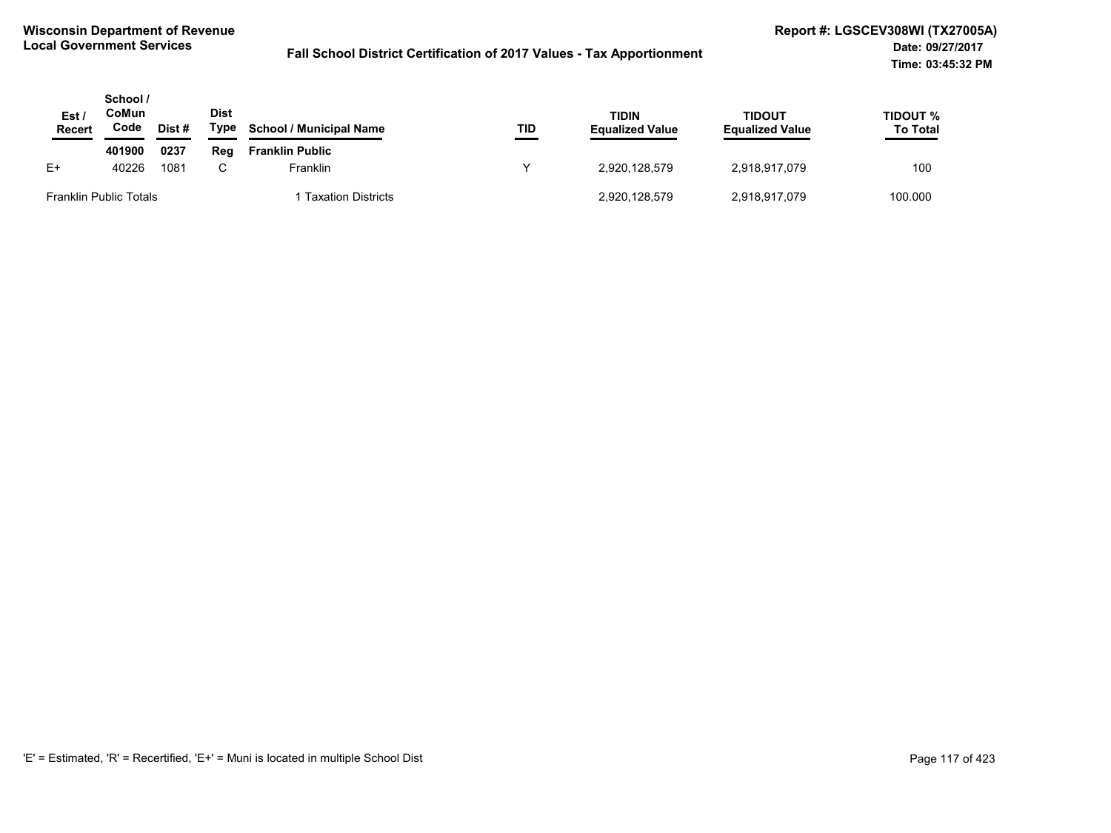| Est /<br>Recert               | School /<br>CoMun<br>Code | Dist # | <b>Dist</b><br>Type | <b>School / Municipal Name</b> | TID | <b>TIDIN</b><br><b>Equalized Value</b> | TIDOUT<br><b>Equalized Value</b> | TIDOUT %<br><b>To Total</b> |
|-------------------------------|---------------------------|--------|---------------------|--------------------------------|-----|----------------------------------------|----------------------------------|-----------------------------|
|                               | 401900                    | 0237   | Rea                 | <b>Franklin Public</b>         |     |                                        |                                  |                             |
| $E+$                          | 40226                     | 1081   | C.                  | Franklin                       | v   | 2.920.128.579                          | 2,918,917,079                    | 100                         |
| <b>Franklin Public Totals</b> |                           |        |                     | <b>Taxation Districts</b>      |     | 2,920,128,579                          | 2,918,917,079                    | 100.000                     |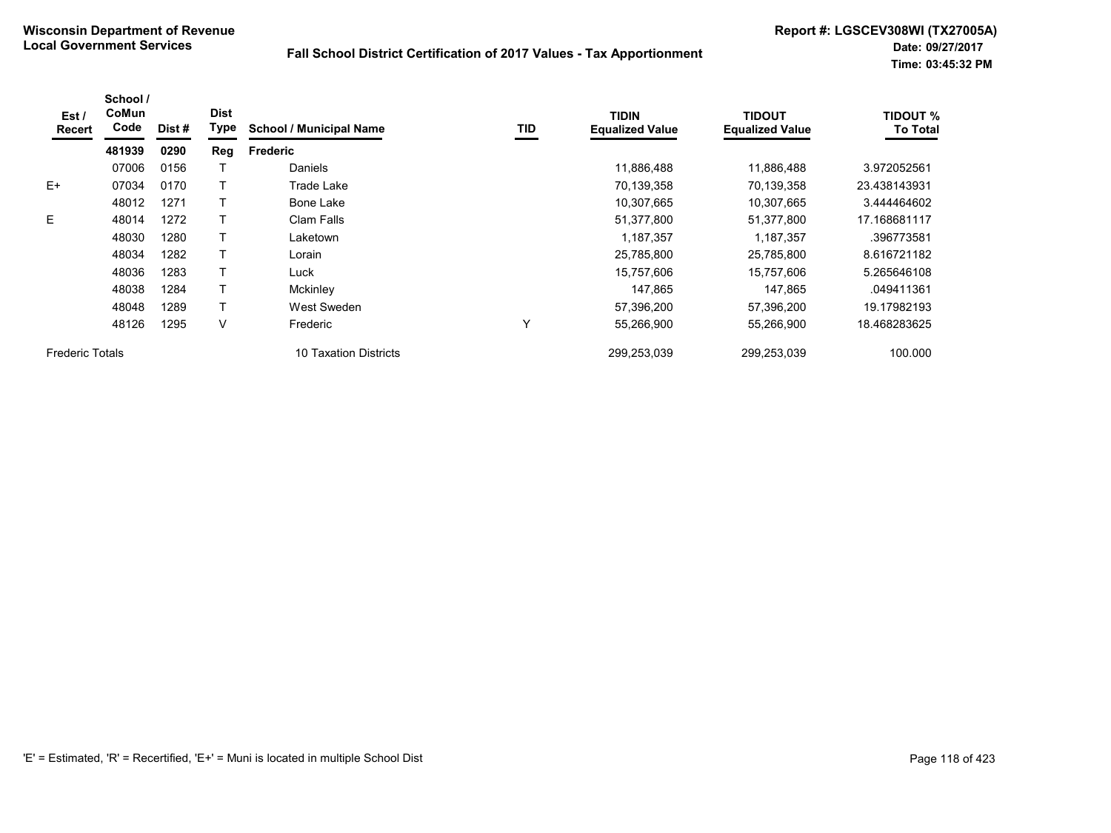| Est/<br>Recert         | School /<br>CoMun<br>Code | Dist # | <b>Dist</b><br>Type | <b>School / Municipal Name</b> | TID | <b>TIDIN</b><br><b>Equalized Value</b> | TIDOUT<br><b>Equalized Value</b> | <b>TIDOUT %</b><br><b>To Total</b> |
|------------------------|---------------------------|--------|---------------------|--------------------------------|-----|----------------------------------------|----------------------------------|------------------------------------|
|                        | 481939                    | 0290   | Reg                 | <b>Frederic</b>                |     |                                        |                                  |                                    |
|                        | 07006                     | 0156   |                     | Daniels                        |     | 11,886,488                             | 11,886,488                       | 3.972052561                        |
| $E+$                   | 07034                     | 0170   |                     | Trade Lake                     |     | 70,139,358                             | 70,139,358                       | 23.438143931                       |
|                        | 48012                     | 1271   |                     | Bone Lake                      |     | 10,307,665                             | 10,307,665                       | 3.444464602                        |
| E.                     | 48014                     | 1272   |                     | Clam Falls                     |     | 51,377,800                             | 51,377,800                       | 17.168681117                       |
|                        | 48030                     | 1280   |                     | Laketown                       |     | 1,187,357                              | 1,187,357                        | .396773581                         |
|                        | 48034                     | 1282   |                     | Lorain                         |     | 25,785,800                             | 25,785,800                       | 8.616721182                        |
|                        | 48036                     | 1283   |                     | Luck                           |     | 15,757,606                             | 15,757,606                       | 5.265646108                        |
|                        | 48038                     | 1284   |                     | Mckinley                       |     | 147,865                                | 147,865                          | .049411361                         |
|                        | 48048                     | 1289   |                     | West Sweden                    |     | 57,396,200                             | 57,396,200                       | 19.17982193                        |
|                        | 48126                     | 1295   | V                   | Frederic                       | Υ   | 55,266,900                             | 55,266,900                       | 18.468283625                       |
| <b>Frederic Totals</b> |                           |        |                     | 10 Taxation Districts          |     | 299,253,039                            | 299,253,039                      | 100.000                            |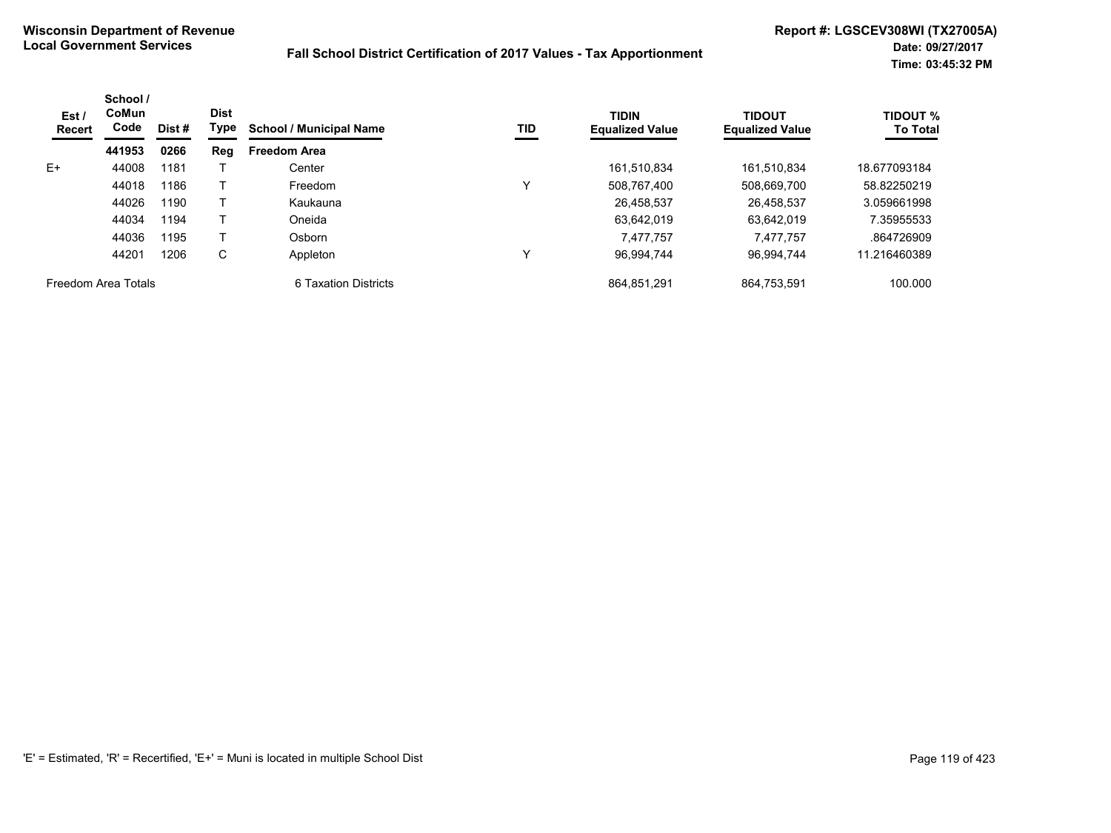| Est /<br><b>Recert</b> | School /<br><b>CoMun</b><br>Code | Dist#        | <b>Dist</b><br>Type | <b>School / Municipal Name</b> | TID        | <b>TIDIN</b><br><b>Equalized Value</b> | <b>TIDOUT</b><br><b>Equalized Value</b> | <b>TIDOUT %</b><br><b>To Total</b> |
|------------------------|----------------------------------|--------------|---------------------|--------------------------------|------------|----------------------------------------|-----------------------------------------|------------------------------------|
|                        | 441953                           | 0266         | Reg                 | <b>Freedom Area</b>            |            |                                        |                                         |                                    |
| E+                     | 44008                            | 1181         |                     | Center                         |            | 161,510,834                            | 161,510,834                             | 18.677093184                       |
|                        | 44018                            | 1186         |                     | Freedom                        | Υ          | 508,767,400                            | 508,669,700                             | 58.82250219                        |
|                        | 44026<br>44034                   | 1190<br>1194 |                     | Kaukauna<br>Oneida             | 26,458,537 | 26,458,537                             | 3.059661998                             |                                    |
|                        |                                  |              |                     |                                |            | 63.642.019                             | 63.642.019                              | 7.35955533                         |
|                        | 44036                            | 1195         |                     | Osborn                         |            | 7,477,757                              | 7,477,757                               | .864726909                         |
|                        | 44201                            | 1206         | С                   | Appleton                       | ν          | 96,994,744                             | 96.994.744                              | 11.216460389                       |
| Freedom Area Totals    |                                  |              |                     | 6 Taxation Districts           |            | 864.851.291                            | 864.753.591                             | 100.000                            |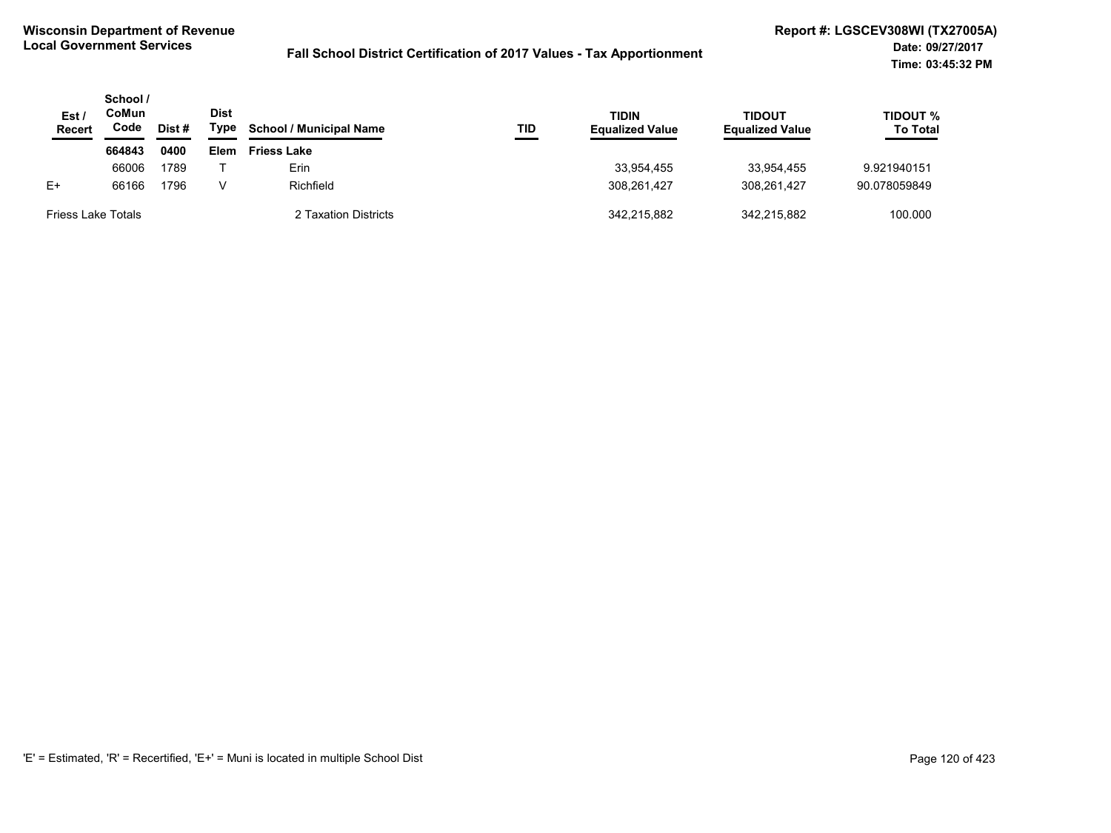| Est /<br><b>Recert</b>    | School /<br>CoMun<br>Code | <b>Dist</b><br><b>TIDIN</b><br>Type<br><b>School / Municipal Name</b><br>Dist #<br>TID |             | <b>Equalized Value</b> | <b>TIDOUT</b><br><b>Equalized Value</b> | <b>TIDOUT %</b><br><b>To Total</b> |             |              |
|---------------------------|---------------------------|----------------------------------------------------------------------------------------|-------------|------------------------|-----------------------------------------|------------------------------------|-------------|--------------|
|                           | 664843                    | 0400                                                                                   | <b>Elem</b> | <b>Friess Lake</b>     |                                         |                                    |             |              |
|                           | 66006                     | 1789                                                                                   |             | Erin                   |                                         | 33.954.455                         | 33.954.455  | 9.921940151  |
| $E+$                      | 66166                     | 1796                                                                                   | v           | Richfield              |                                         | 308.261.427                        | 308.261.427 | 90.078059849 |
| <b>Friess Lake Totals</b> |                           |                                                                                        |             | 2 Taxation Districts   |                                         | 342.215.882                        | 342.215.882 | 100.000      |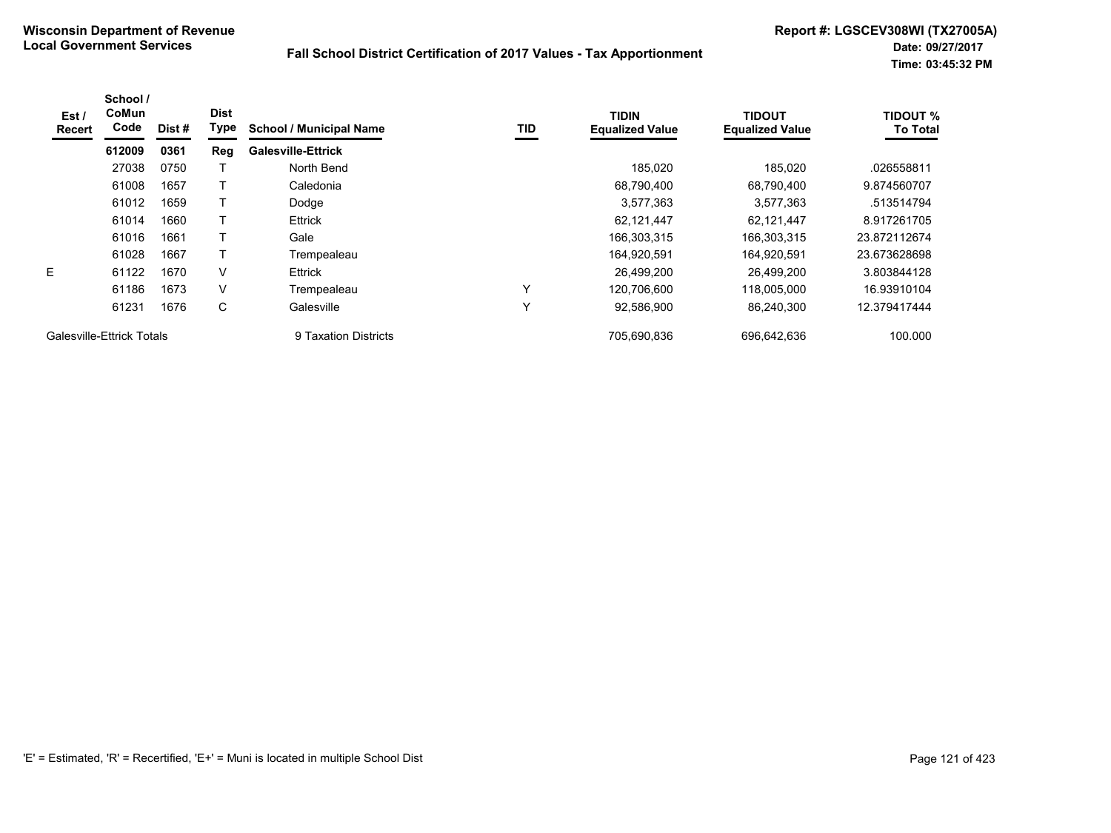| Est/<br>Recert            | School /<br>CoMun<br>Code | Dist # | <b>Dist</b><br>Type | <b>School / Municipal Name</b> | TID | <b>TIDIN</b><br><b>Equalized Value</b> | <b>TIDOUT</b><br><b>Equalized Value</b> | <b>TIDOUT %</b><br><b>To Total</b> |
|---------------------------|---------------------------|--------|---------------------|--------------------------------|-----|----------------------------------------|-----------------------------------------|------------------------------------|
|                           | 612009                    | 0361   | Reg                 | <b>Galesville-Ettrick</b>      |     |                                        |                                         |                                    |
|                           | 27038                     | 0750   |                     | North Bend                     |     | 185,020                                | 185,020                                 | .026558811                         |
|                           | 61008                     | 1657   |                     | Caledonia                      |     | 68,790,400                             | 68,790,400                              | 9.874560707                        |
|                           | 61012                     | 1659   |                     | Dodge                          |     | 3,577,363                              | 3,577,363                               | .513514794                         |
|                           | 61014                     | 1660   |                     | <b>Ettrick</b>                 |     | 62,121,447                             | 62,121,447                              | 8.917261705                        |
|                           | 61016                     | 1661   |                     | Gale                           |     | 166,303,315                            | 166,303,315                             | 23.872112674                       |
|                           | 61028                     | 1667   |                     | Trempealeau                    |     | 164,920,591                            | 164,920,591                             | 23.673628698                       |
| E.                        | 61122                     | 1670   | V                   | <b>Ettrick</b>                 |     | 26.499.200                             | 26.499.200                              | 3.803844128                        |
|                           | 61186                     | 1673   | V                   | Trempealeau                    | Υ   | 120.706.600                            | 118.005.000                             | 16.93910104                        |
|                           | 61231                     | 1676   | С                   | Galesville                     | Υ   | 92,586,900                             | 86.240.300                              | 12.379417444                       |
| Galesville-Ettrick Totals |                           |        |                     | 9 Taxation Districts           |     | 705,690,836                            | 696.642.636                             | 100.000                            |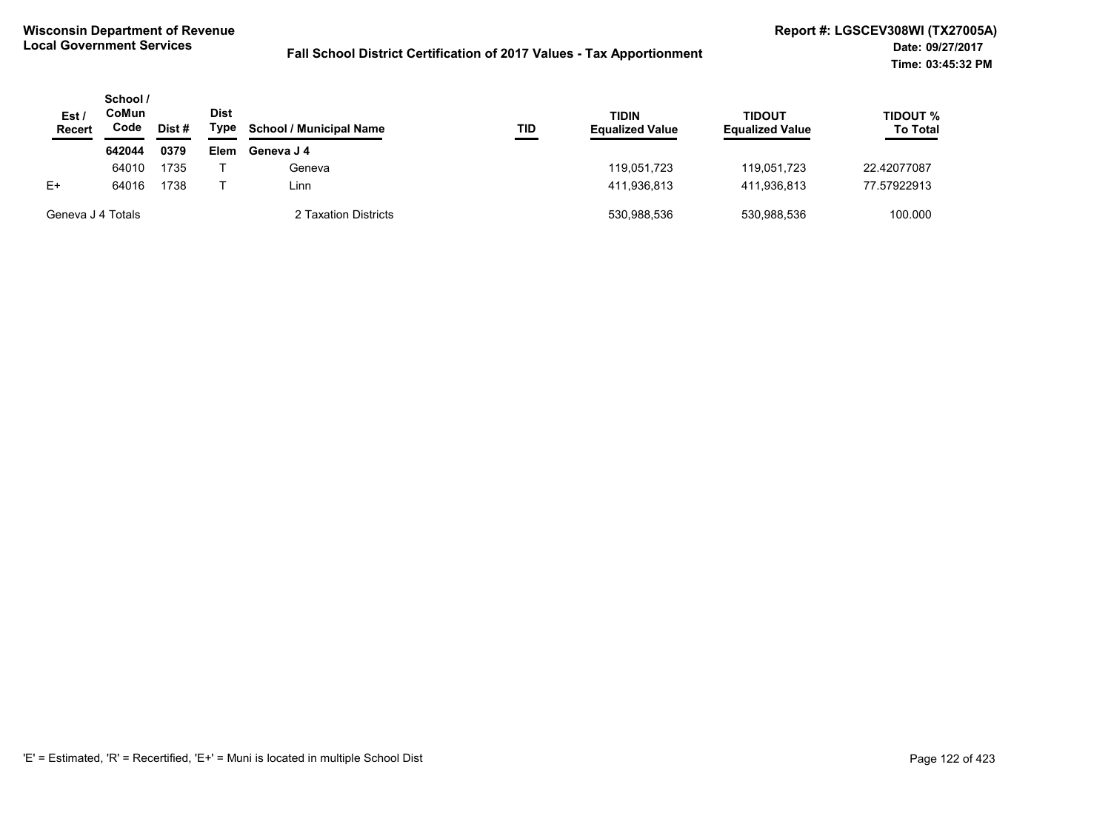| Est /<br>Recert   | School /<br>CoMun<br>Code<br>Dist # |      | <b>Dist</b><br>Type | <b>School / Municipal Name</b> | TID | <b>TIDIN</b><br><b>Equalized Value</b> | <b>TIDOUT</b><br><b>Equalized Value</b> | <b>TIDOUT %</b><br><b>To Total</b> |
|-------------------|-------------------------------------|------|---------------------|--------------------------------|-----|----------------------------------------|-----------------------------------------|------------------------------------|
|                   | 642044                              | 0379 | <b>Elem</b>         | Geneva J 4                     |     |                                        |                                         |                                    |
|                   | 64010                               | 1735 |                     | Geneva                         |     | 119.051.723                            | 119.051.723                             | 22.42077087                        |
| $E+$              | 64016                               | 1738 |                     | Linn.                          |     | 411,936,813                            | 411.936.813                             | 77.57922913                        |
| Geneva J 4 Totals |                                     |      |                     | 2 Taxation Districts           |     | 530.988.536                            | 530.988.536                             | 100.000                            |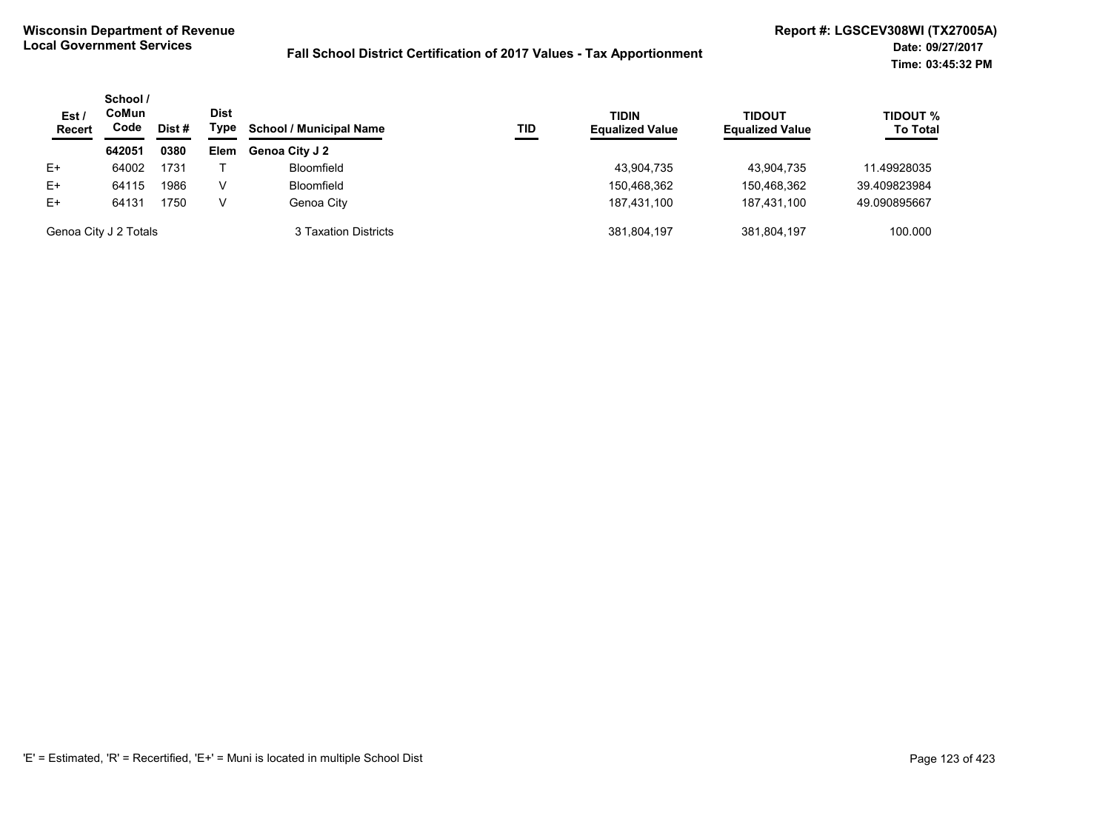| Est/<br><b>Recert</b> | School /<br>CoMun<br>Code | Dist # | <b>Dist</b><br>Type | <b>School / Municipal Name</b> | TID | <b>TIDIN</b><br><b>Equalized Value</b> | <b>TIDOUT</b><br><b>Equalized Value</b> | <b>TIDOUT %</b><br><b>To Total</b> |
|-----------------------|---------------------------|--------|---------------------|--------------------------------|-----|----------------------------------------|-----------------------------------------|------------------------------------|
|                       | 642051                    | 0380   | <b>Elem</b>         | Genoa City J 2                 |     |                                        |                                         |                                    |
| $E+$                  | 64002                     | 1731   |                     | <b>Bloomfield</b>              |     | 43,904,735                             | 43.904.735                              | 11.49928035                        |
| $E+$                  | 64115                     | 1986   | v                   | <b>Bloomfield</b>              |     | 150,468,362                            | 150,468,362                             | 39.409823984                       |
| $E+$                  | 64131                     | 1750   | v                   | Genoa City                     |     | 187.431.100                            | 187.431.100                             | 49.090895667                       |
| Genoa City J 2 Totals |                           |        |                     | 3 Taxation Districts           |     | 381,804,197                            | 381.804.197                             | 100.000                            |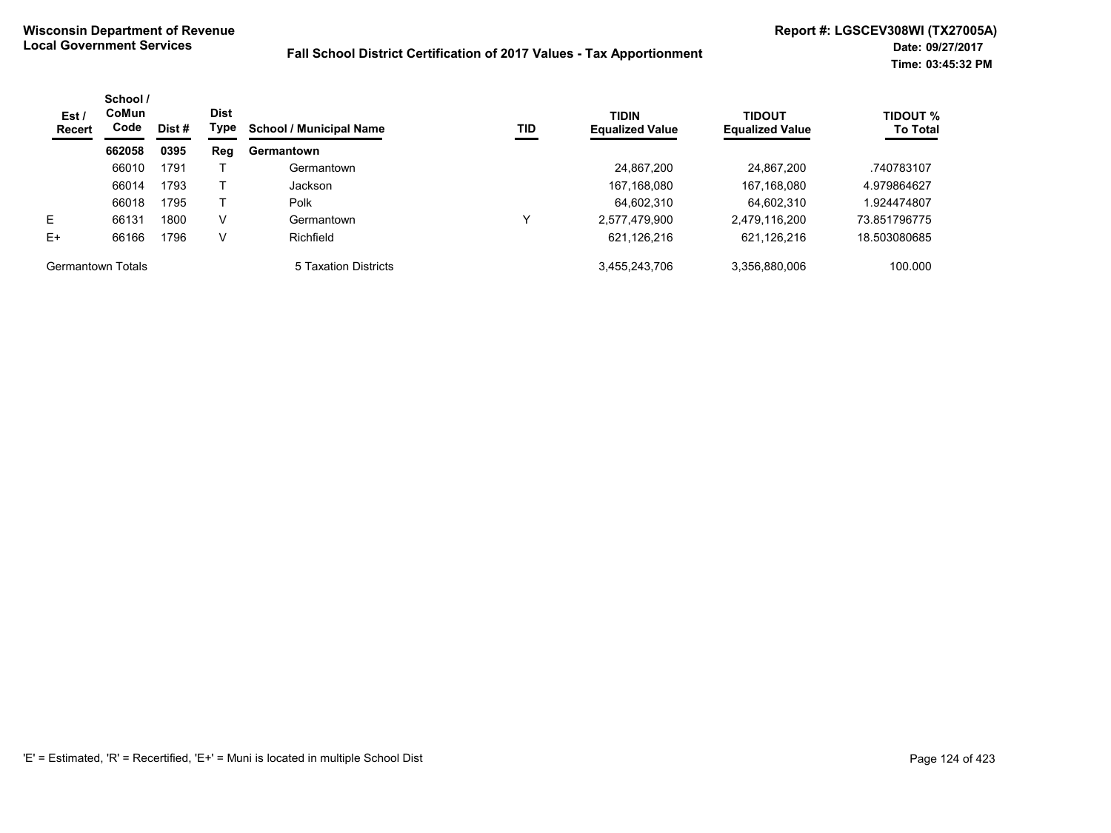| Est /<br><b>Recert</b>   | School /<br><b>CoMun</b><br>Code | Dist# | <b>Dist</b><br>Type | <b>School / Municipal Name</b> | TID | <b>TIDIN</b><br><b>Equalized Value</b> | <b>TIDOUT</b><br><b>Equalized Value</b> | <b>TIDOUT %</b><br><b>To Total</b> |
|--------------------------|----------------------------------|-------|---------------------|--------------------------------|-----|----------------------------------------|-----------------------------------------|------------------------------------|
|                          | 662058                           | 0395  | Reg                 | Germantown                     |     |                                        |                                         |                                    |
|                          | 66010                            | 1791  |                     | Germantown                     |     | 24,867,200                             | 24,867,200                              | .740783107                         |
|                          | 66014                            | 1793  |                     | Jackson                        |     | 167,168,080                            | 167,168,080                             | 4.979864627                        |
|                          | 66018                            | 1795  |                     | Polk                           |     | 64,602,310                             | 64,602,310                              | 1.924474807                        |
| E.                       | 66131                            | 1800  | V                   | Germantown                     |     | 2,577,479,900                          | 2,479,116,200                           | 73.851796775                       |
| $E+$                     | 66166                            | 1796  | V                   | Richfield                      |     | 621,126,216                            | 621,126,216                             | 18.503080685                       |
| <b>Germantown Totals</b> |                                  |       |                     | 5 Taxation Districts           |     | 3,455,243,706                          | 3,356,880,006                           | 100.000                            |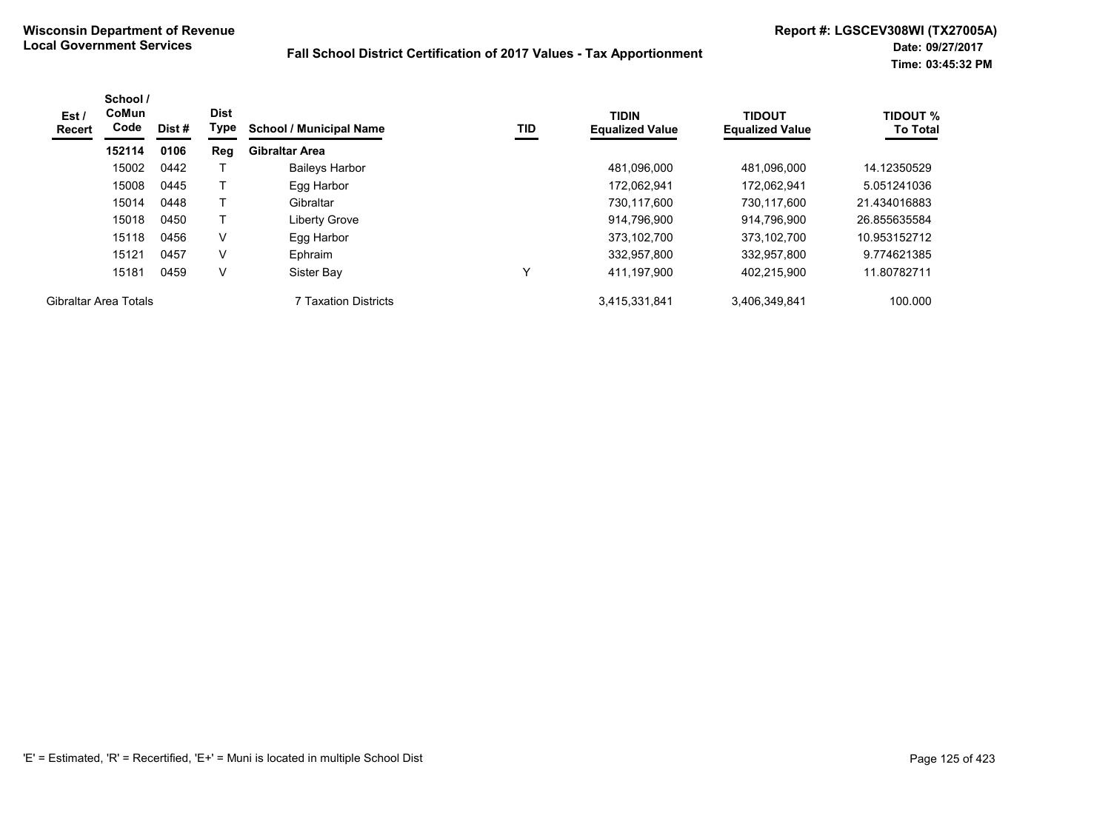| Est /<br><b>Recert</b> | School /<br>CoMun<br>Code | Dist# | <b>Dist</b><br>Type | <b>School / Municipal Name</b> | TID | <b>TIDIN</b><br><b>Equalized Value</b> | <b>TIDOUT</b><br><b>Equalized Value</b> | <b>TIDOUT %</b><br><b>To Total</b> |
|------------------------|---------------------------|-------|---------------------|--------------------------------|-----|----------------------------------------|-----------------------------------------|------------------------------------|
|                        | 152114                    | 0106  | Reg                 | <b>Gibraltar Area</b>          |     |                                        |                                         |                                    |
|                        | 15002                     | 0442  |                     | <b>Baileys Harbor</b>          |     | 481.096.000                            | 481.096.000                             | 14.12350529                        |
|                        | 15008                     | 0445  |                     | Egg Harbor                     |     | 172,062,941                            | 172,062,941                             | 5.051241036                        |
|                        | 15014                     | 0448  |                     | Gibraltar                      |     | 730.117.600                            | 730.117.600                             | 21.434016883                       |
|                        | 15018                     | 0450  |                     | Liberty Grove                  |     | 914,796,900                            | 914,796,900                             | 26.855635584                       |
|                        | 15118                     | 0456  | V                   | Egg Harbor                     |     | 373,102,700                            | 373,102,700                             | 10.953152712                       |
|                        | 15121                     | 0457  | V                   | Ephraim                        |     | 332,957,800                            | 332,957,800                             | 9.774621385                        |
|                        | 15181                     | 0459  | V                   | Sister Bay                     |     | 411,197,900                            | 402,215,900                             | 11.80782711                        |
| Gibraltar Area Totals  |                           |       |                     | 7 Taxation Districts           |     | 3,415,331,841                          | 3,406,349,841                           | 100.000                            |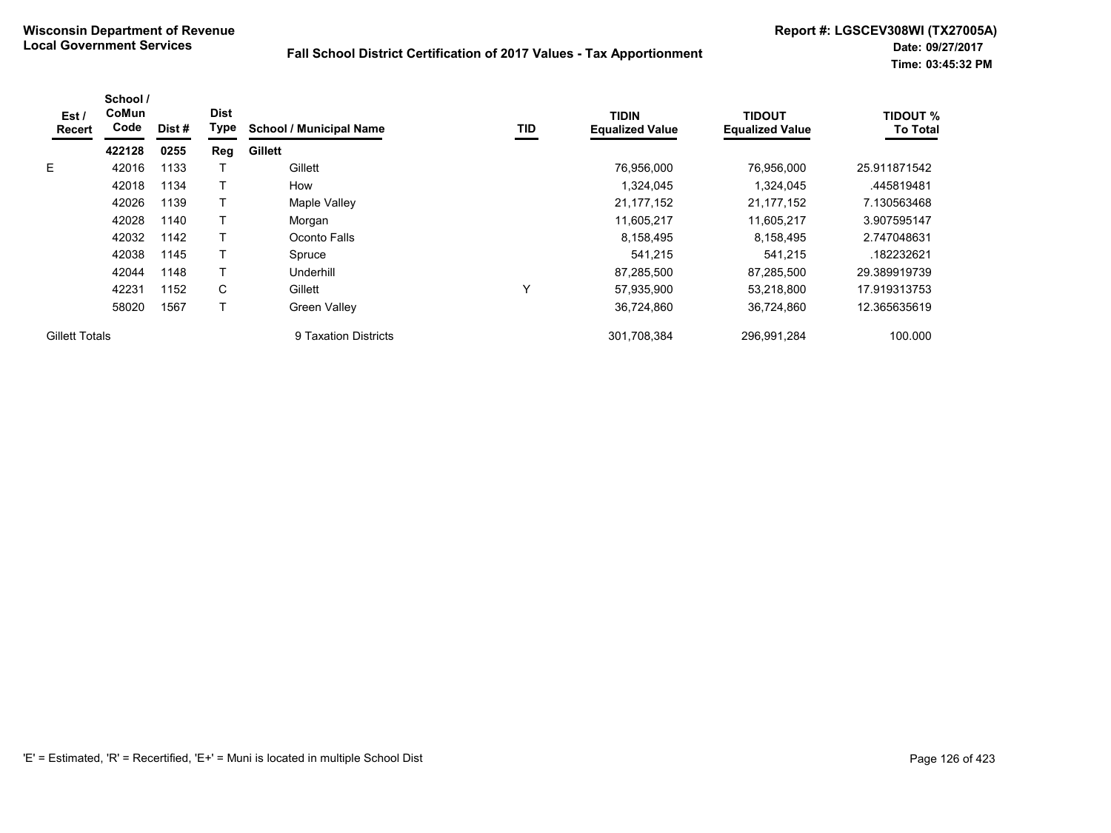| Est /<br>Recert       | School /<br>CoMun<br>Code | Dist# | <b>Dist</b><br>Type | <b>School / Municipal Name</b> | TID | <b>TIDIN</b><br><b>Equalized Value</b> | <b>TIDOUT</b><br><b>Equalized Value</b> | <b>TIDOUT %</b><br><b>To Total</b> |
|-----------------------|---------------------------|-------|---------------------|--------------------------------|-----|----------------------------------------|-----------------------------------------|------------------------------------|
|                       | 422128                    | 0255  | Reg                 | <b>Gillett</b>                 |     |                                        |                                         |                                    |
| E.                    | 42016                     | 1133  |                     | Gillett                        |     | 76,956,000                             | 76.956.000                              | 25.911871542                       |
|                       | 42018                     | 1134  |                     | How                            |     | 1,324,045                              | 1,324,045                               | .445819481                         |
|                       | 42026                     | 1139  |                     | Maple Valley                   |     | 21, 177, 152                           | 21, 177, 152                            | 7.130563468                        |
|                       | 42028                     | 1140  |                     | Morgan                         |     | 11,605,217                             | 11,605,217                              | 3.907595147                        |
|                       | 42032                     | 1142  |                     | Oconto Falls                   |     | 8,158,495                              | 8,158,495                               | 2.747048631                        |
|                       | 42038                     | 1145  |                     | Spruce                         |     | 541,215                                | 541,215                                 | .182232621                         |
|                       | 42044                     | 1148  |                     | Underhill                      |     | 87,285,500                             | 87,285,500                              | 29.389919739                       |
|                       | 42231                     | 1152  | C                   | Gillett                        | Υ   | 57,935,900                             | 53,218,800                              | 17.919313753                       |
|                       | 58020                     | 1567  | T.                  | Green Valley                   |     | 36,724,860                             | 36,724,860                              | 12.365635619                       |
| <b>Gillett Totals</b> |                           |       |                     | 9 Taxation Districts           |     | 301,708,384                            | 296,991,284                             | 100.000                            |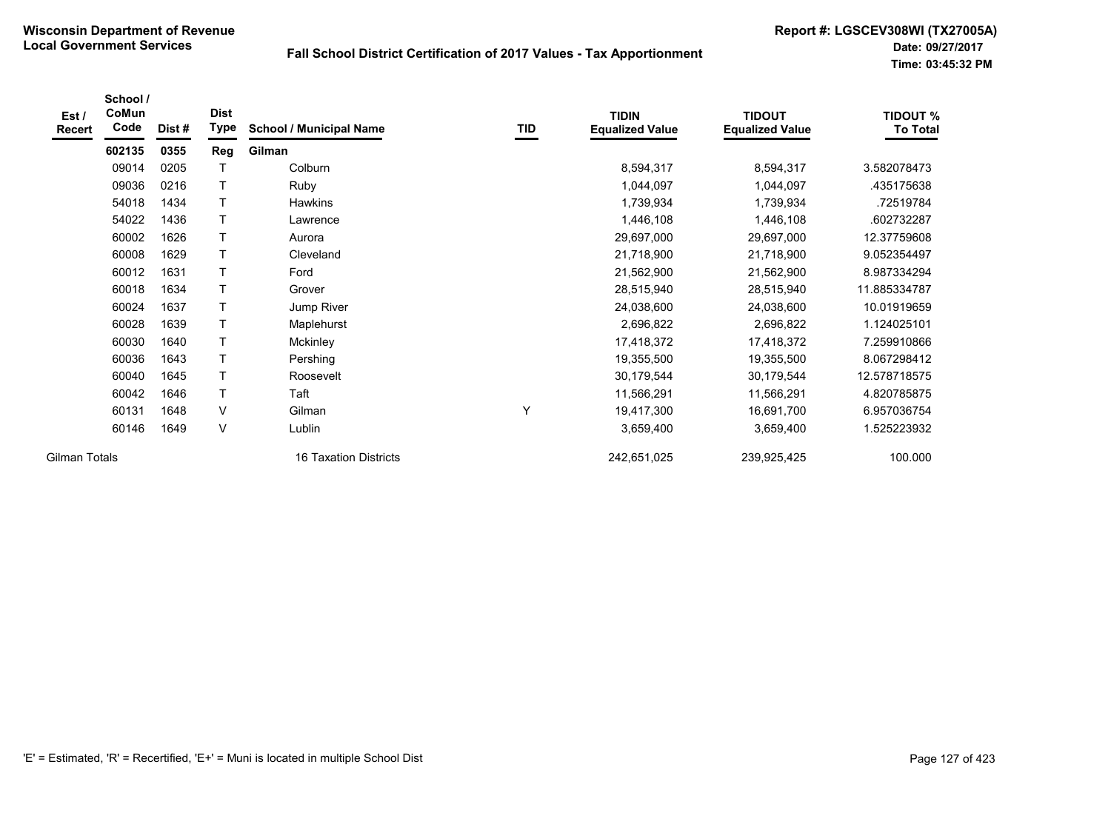| Est /<br>Recert | School /<br>CoMun<br>Code | Dist# | <b>Dist</b><br>Type | <b>School / Municipal Name</b> | TID | <b>TIDIN</b><br><b>Equalized Value</b> | <b>TIDOUT</b><br><b>Equalized Value</b> | <b>TIDOUT %</b><br><b>To Total</b> |
|-----------------|---------------------------|-------|---------------------|--------------------------------|-----|----------------------------------------|-----------------------------------------|------------------------------------|
|                 | 602135                    | 0355  | Reg                 | Gilman                         |     |                                        |                                         |                                    |
|                 | 09014                     | 0205  | т                   | Colburn                        |     | 8,594,317                              | 8,594,317                               | 3.582078473                        |
|                 | 09036                     | 0216  | T                   | Ruby                           |     | 1,044,097                              | 1,044,097                               | 435175638                          |
|                 | 54018                     | 1434  | T                   | <b>Hawkins</b>                 |     | 1,739,934                              | 1,739,934                               | .72519784                          |
|                 | 54022                     | 1436  | T                   | Lawrence                       |     | 1,446,108                              | 1,446,108                               | .602732287                         |
|                 | 60002                     | 1626  | T                   | Aurora                         |     | 29,697,000                             | 29,697,000                              | 12.37759608                        |
|                 | 60008                     | 1629  | T                   | Cleveland                      |     | 21,718,900                             | 21,718,900                              | 9.052354497                        |
|                 | 60012                     | 1631  | T                   | Ford                           |     | 21,562,900                             | 21,562,900                              | 8.987334294                        |
|                 | 60018                     | 1634  | $\mathsf{T}$        | Grover                         |     | 28,515,940                             | 28,515,940                              | 11.885334787                       |
|                 | 60024                     | 1637  | T                   | Jump River                     |     | 24,038,600                             | 24,038,600                              | 10.01919659                        |
|                 | 60028                     | 1639  | T                   | Maplehurst                     |     | 2,696,822                              | 2,696,822                               | 1.124025101                        |
|                 | 60030                     | 1640  | T                   | Mckinley                       |     | 17,418,372                             | 17,418,372                              | 7.259910866                        |
|                 | 60036                     | 1643  | T                   | Pershing                       |     | 19,355,500                             | 19,355,500                              | 8.067298412                        |
|                 | 60040                     | 1645  | Т                   | Roosevelt                      |     | 30,179,544                             | 30,179,544                              | 12.578718575                       |
|                 | 60042                     | 1646  | T                   | Taft                           |     | 11,566,291                             | 11,566,291                              | 4.820785875                        |
|                 | 60131                     | 1648  | $\vee$              | Gilman                         | Υ   | 19,417,300                             | 16,691,700                              | 6.957036754                        |
|                 | 60146                     | 1649  | V                   | Lublin                         |     | 3,659,400                              | 3,659,400                               | 1.525223932                        |
| Gilman Totals   |                           |       |                     | 16 Taxation Districts          |     | 242,651,025                            | 239,925,425                             | 100.000                            |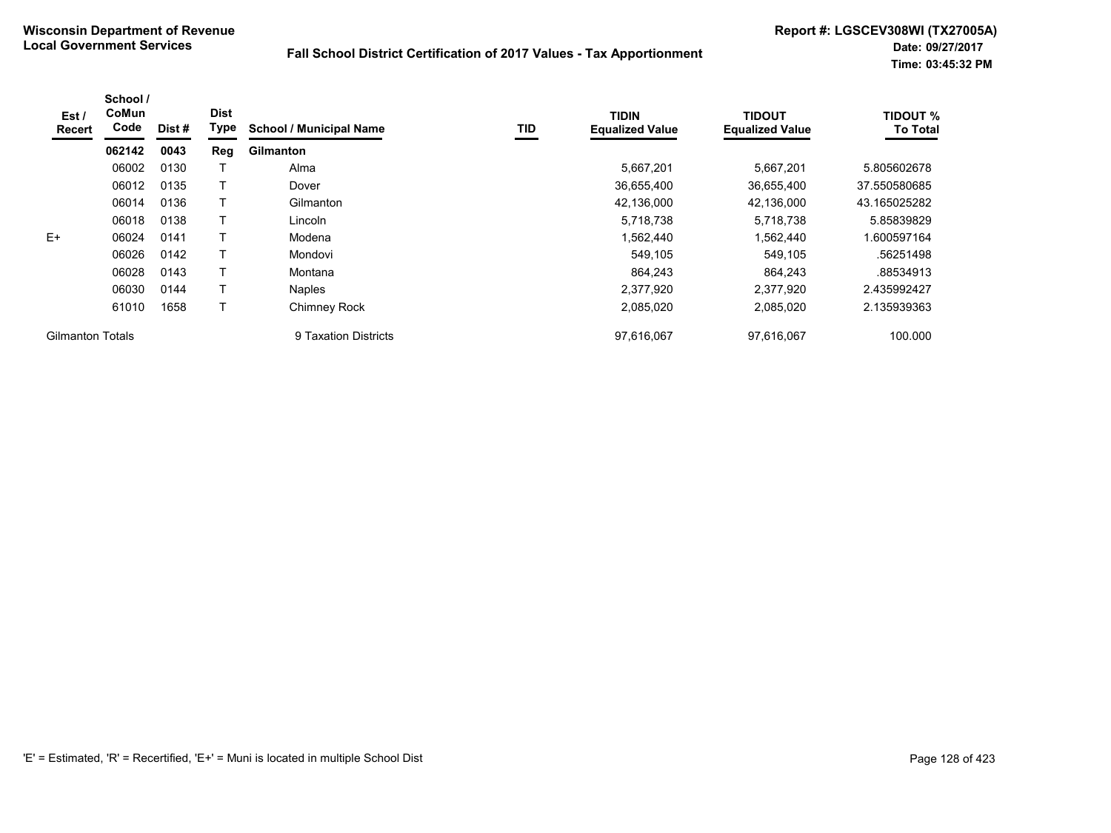| Est /<br>Recert         | School /<br>CoMun<br>Code | Dist # | <b>Dist</b><br>Type | <b>School / Municipal Name</b> | TID | <b>TIDIN</b><br><b>Equalized Value</b> | <b>TIDOUT</b><br><b>Equalized Value</b> | <b>TIDOUT %</b><br><b>To Total</b> |
|-------------------------|---------------------------|--------|---------------------|--------------------------------|-----|----------------------------------------|-----------------------------------------|------------------------------------|
|                         | 062142                    | 0043   | Reg                 | <b>Gilmanton</b>               |     |                                        |                                         |                                    |
|                         | 06002                     | 0130   |                     | Alma                           |     | 5,667,201                              | 5,667,201                               | 5.805602678                        |
|                         | 06012                     | 0135   |                     | Dover                          |     | 36,655,400                             | 36,655,400                              | 37.550580685                       |
|                         | 06014                     | 0136   |                     | Gilmanton                      |     | 42,136,000                             | 42,136,000                              | 43.165025282                       |
|                         | 06018                     | 0138   |                     | Lincoln                        |     | 5,718,738                              | 5,718,738                               | 5.85839829                         |
| $E+$                    | 06024                     | 0141   |                     | Modena                         |     | 1,562,440                              | 1,562,440                               | .600597164                         |
|                         | 06026                     | 0142   |                     | Mondovi                        |     | 549,105                                | 549,105                                 | .56251498                          |
|                         | 06028                     | 0143   |                     | Montana                        |     | 864.243                                | 864.243                                 | .88534913                          |
|                         | 06030                     | 0144   |                     | <b>Naples</b>                  |     | 2,377,920                              | 2.377.920                               | 2.435992427                        |
|                         | 61010                     | 1658   |                     | <b>Chimney Rock</b>            |     | 2,085,020                              | 2,085,020                               | 2.135939363                        |
| <b>Gilmanton Totals</b> |                           |        |                     | 9 Taxation Districts           |     | 97,616,067                             | 97,616,067                              | 100.000                            |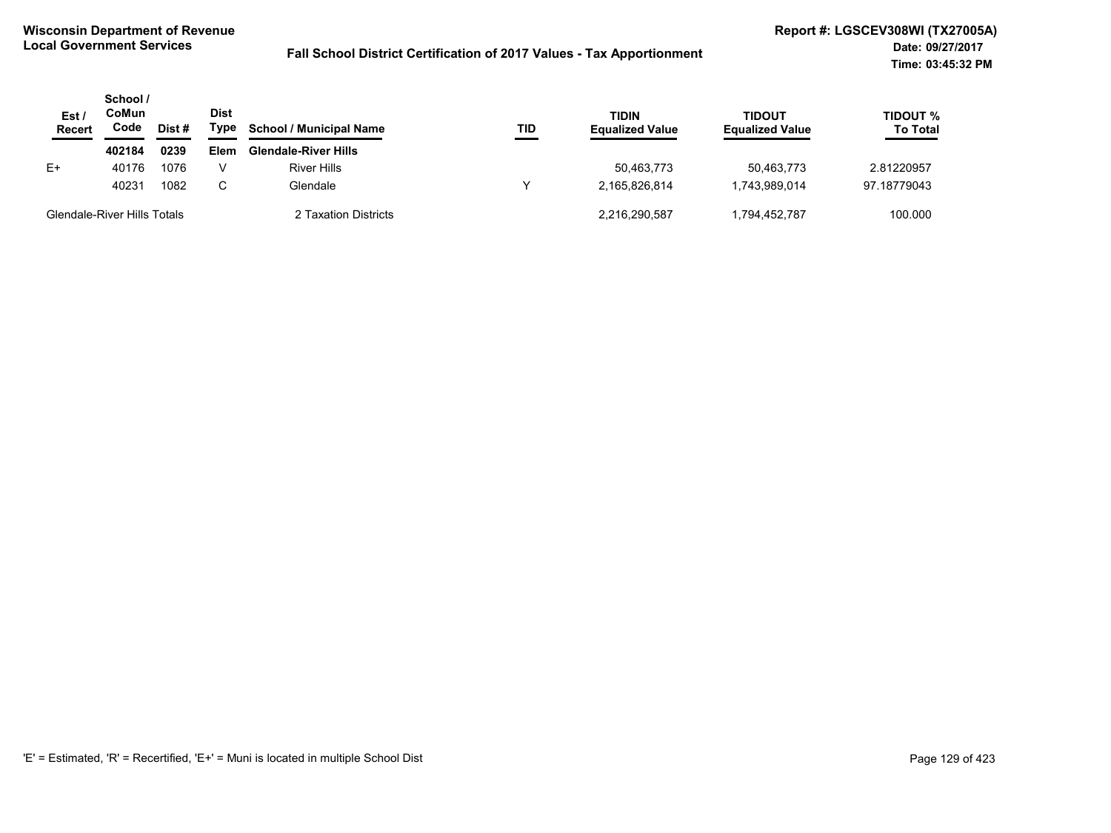| Est/<br><b>Recert</b> | School /<br>CoMun<br>Code   | Dist # | Dist<br>Type | <b>School / Municipal Name</b> | <b>TID</b> | <b>TIDIN</b><br><b>Equalized Value</b> | <b>TIDOUT</b><br><b>Equalized Value</b> | <b>TIDOUT %</b><br><b>To Total</b> |
|-----------------------|-----------------------------|--------|--------------|--------------------------------|------------|----------------------------------------|-----------------------------------------|------------------------------------|
|                       | 402184                      | 0239   | Elem         | <b>Glendale-River Hills</b>    |            |                                        |                                         |                                    |
| E+                    | 40176                       | 1076   |              | <b>River Hills</b>             |            | 50.463.773                             | 50.463.773                              | 2.81220957                         |
|                       | 40231                       | 1082   | C            | Glendale                       |            | 2.165.826.814                          | 1,743,989,014                           | 97.18779043                        |
|                       | Glendale-River Hills Totals |        |              | 2 Taxation Districts           |            | 2,216,290,587                          | 1,794,452,787                           | 100.000                            |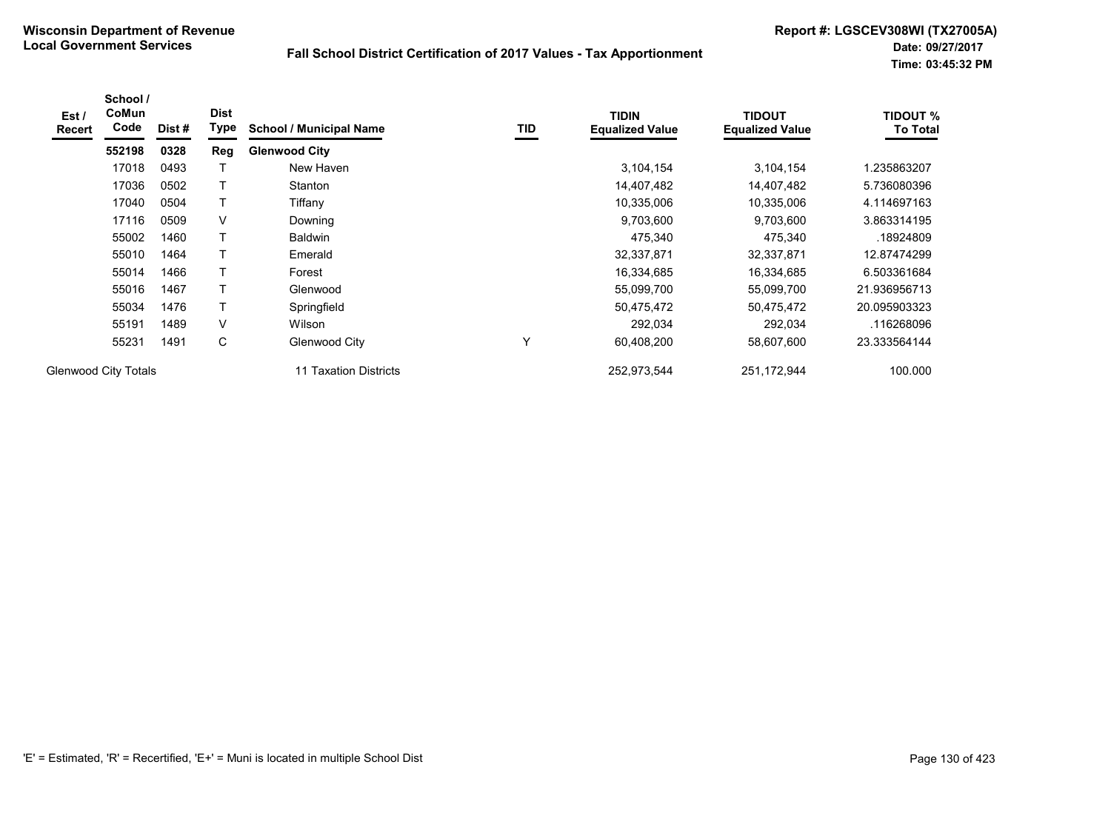| Est /<br>Recert | School /<br>CoMun<br>Code   | Dist# | <b>Dist</b><br>Type | <b>School / Municipal Name</b> | TID          | <b>TIDIN</b><br><b>Equalized Value</b> | <b>TIDOUT</b><br><b>Equalized Value</b> | <b>TIDOUT %</b><br><b>To Total</b> |
|-----------------|-----------------------------|-------|---------------------|--------------------------------|--------------|----------------------------------------|-----------------------------------------|------------------------------------|
|                 | 552198                      | 0328  | Reg                 | <b>Glenwood City</b>           |              |                                        |                                         |                                    |
|                 | 17018                       | 0493  |                     | New Haven                      |              | 3,104,154                              | 3,104,154                               | 1.235863207                        |
|                 | 17036                       | 0502  |                     | Stanton                        |              | 14,407,482                             | 14,407,482                              | 5.736080396                        |
|                 | 17040                       | 0504  |                     | Tiffany                        |              | 10,335,006                             | 10,335,006                              | 4.114697163                        |
|                 | 17116                       | 0509  | V                   | Downing                        |              | 9,703,600                              | 9,703,600                               | 3.863314195                        |
|                 | 55002                       | 1460  |                     | <b>Baldwin</b>                 |              | 475,340                                | 475,340                                 | .18924809                          |
|                 | 55010                       | 1464  |                     | Emerald                        |              | 32,337,871                             | 32,337,871                              | 12.87474299                        |
|                 | 55014                       | 1466  | т                   | Forest                         |              | 16,334,685                             | 16,334,685                              | 6.503361684                        |
|                 | 55016                       | 1467  |                     | Glenwood                       |              | 55,099,700                             | 55,099,700                              | 21.936956713                       |
|                 | 55034                       | 1476  | Τ                   | Springfield                    |              | 50,475,472                             | 50,475,472                              | 20.095903323                       |
|                 | 55191                       | 1489  | V                   | Wilson                         |              | 292,034                                | 292,034                                 | .116268096                         |
|                 | 55231                       | 1491  | С                   | Glenwood City                  | $\checkmark$ | 60,408,200                             | 58,607,600                              | 23.333564144                       |
|                 | <b>Glenwood City Totals</b> |       |                     | 11 Taxation Districts          |              | 252,973,544                            | 251,172,944                             | 100.000                            |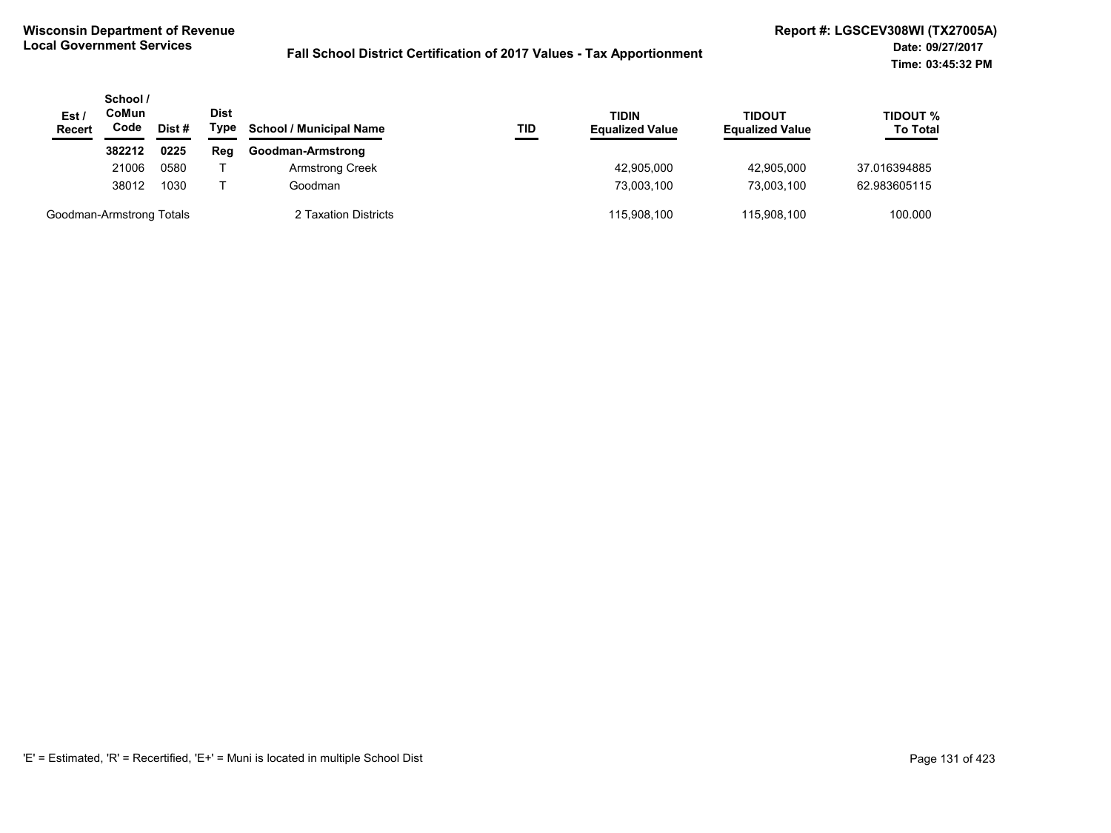| Est/<br><b>Recert</b>    | School /<br>CoMun<br>Code | Dist # | <b>Dist</b><br>Type | <b>School / Municipal Name</b> | TID | TIDIN<br><b>Equalized Value</b> | TIDOUT<br><b>Equalized Value</b> | TIDOUT %<br><b>To Total</b> |
|--------------------------|---------------------------|--------|---------------------|--------------------------------|-----|---------------------------------|----------------------------------|-----------------------------|
|                          | 382212                    | 0225   | Reg                 | Goodman-Armstrong              |     |                                 |                                  |                             |
|                          | 21006                     | 0580   |                     | Armstrong Creek                |     | 42,905,000                      | 42.905.000                       | 37.016394885                |
|                          | 38012                     | 1030   |                     | Goodman                        |     | 73,003,100                      | 73.003.100                       | 62.983605115                |
| Goodman-Armstrong Totals |                           |        |                     | 2 Taxation Districts           |     | 115,908,100                     | 115,908,100                      | 100.000                     |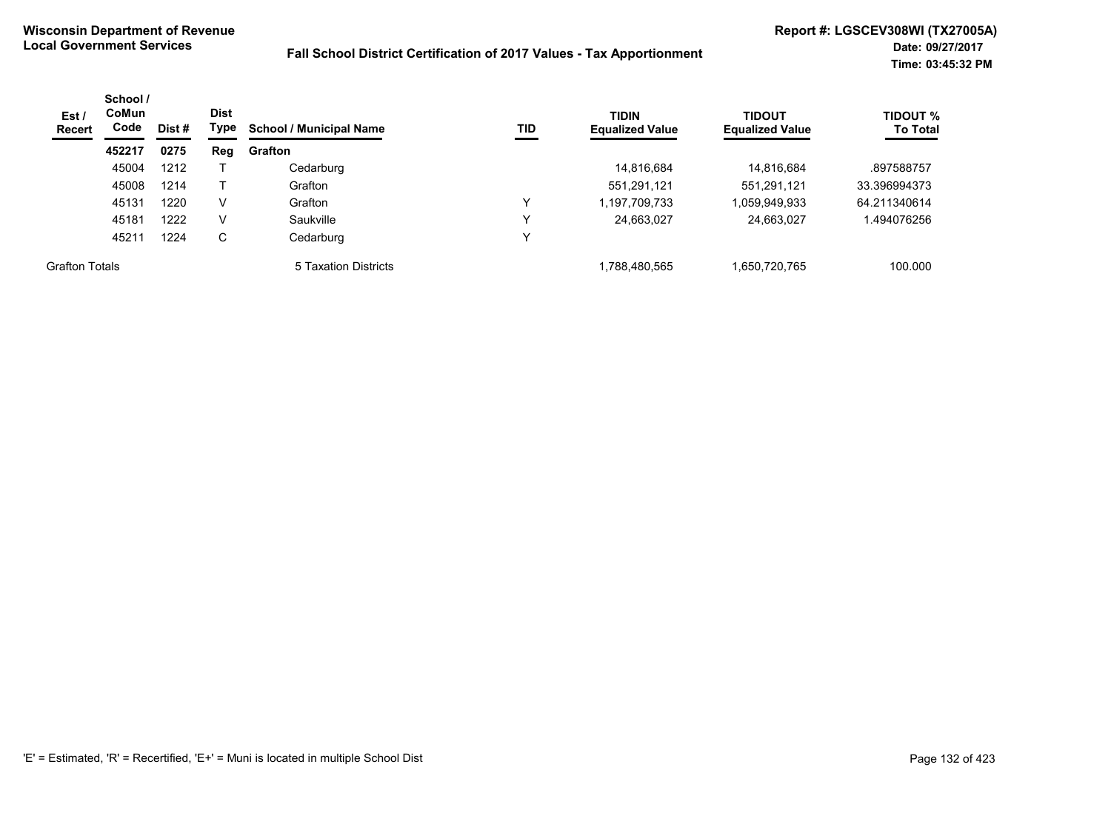| Est /<br><b>Recert</b> | School /<br><b>CoMun</b><br>Code | Dist # | <b>Dist</b><br>Type | <b>School / Municipal Name</b> | TID         | <b>TIDIN</b><br><b>Equalized Value</b> | <b>TIDOUT</b><br><b>Equalized Value</b> | <b>TIDOUT %</b><br><b>To Total</b> |
|------------------------|----------------------------------|--------|---------------------|--------------------------------|-------------|----------------------------------------|-----------------------------------------|------------------------------------|
|                        | 452217                           | 0275   | Reg                 | Grafton                        |             |                                        |                                         |                                    |
|                        | 45004                            | 1212   |                     | Cedarburg                      |             | 14,816,684                             | 14.816.684                              | .897588757                         |
|                        | 45008                            | 1214   |                     | Grafton                        |             | 551,291,121                            | 551,291,121                             | 33.396994373                       |
|                        | 45131                            | 1220   | V                   | Grafton                        | ν           | 1,197,709,733                          | 1,059,949,933                           | 64.211340614                       |
|                        | 45181                            | 1222   | V                   | Saukville                      | $\check{ }$ | 24,663,027                             | 24,663,027                              | .494076256                         |
|                        | 45211                            | 1224   | C                   | Cedarburg                      | v           |                                        |                                         |                                    |
| <b>Grafton Totals</b>  |                                  |        |                     | 5 Taxation Districts           |             | 1,788,480,565                          | 1,650,720,765                           | 100.000                            |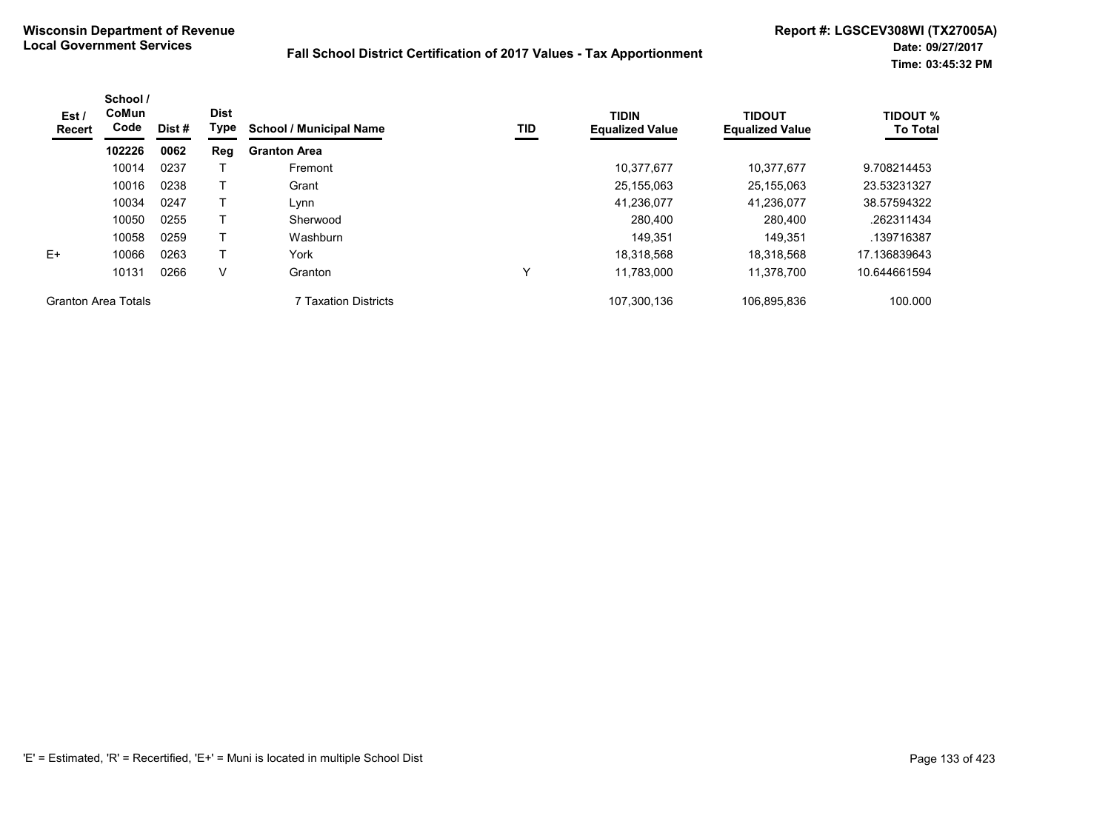| Est /<br><b>Recert</b>     | School /<br>CoMun<br>Code | Dist #<br>0062 | <b>Dist</b><br><b>Type</b> | <b>School / Municipal Name</b> | TID | <b>TIDIN</b><br><b>Equalized Value</b> | <b>TIDOUT</b><br><b>Equalized Value</b> | <b>TIDOUT %</b><br><b>To Total</b> |
|----------------------------|---------------------------|----------------|----------------------------|--------------------------------|-----|----------------------------------------|-----------------------------------------|------------------------------------|
|                            | 102226                    |                | Reg                        | <b>Granton Area</b>            |     |                                        |                                         |                                    |
|                            | 10014                     | 0237           |                            | Fremont                        |     | 10,377,677                             | 10.377.677                              | 9.708214453                        |
|                            | 10016                     | 0238           |                            | Grant                          |     | 25,155,063                             | 25,155,063                              | 23.53231327                        |
|                            | 10034                     | 0247           |                            | Lynn                           |     | 41,236,077                             | 41.236.077                              | 38.57594322                        |
|                            | 10050                     | 0255           |                            | Sherwood                       |     | 280,400                                | 280,400                                 | .262311434                         |
|                            | 10058                     | 0259           |                            | Washburn                       |     | 149,351                                | 149,351                                 | .139716387                         |
| $E+$                       | 10066                     | 0263           |                            | York                           |     | 18.318.568                             | 18,318,568                              | 17.136839643                       |
|                            | 10131                     | 0266           | V                          | Granton                        | ν   | 11.783.000                             | 11.378.700                              | 10.644661594                       |
| <b>Granton Area Totals</b> |                           |                |                            | <b>7 Taxation Districts</b>    |     | 107,300,136                            | 106,895,836                             | 100.000                            |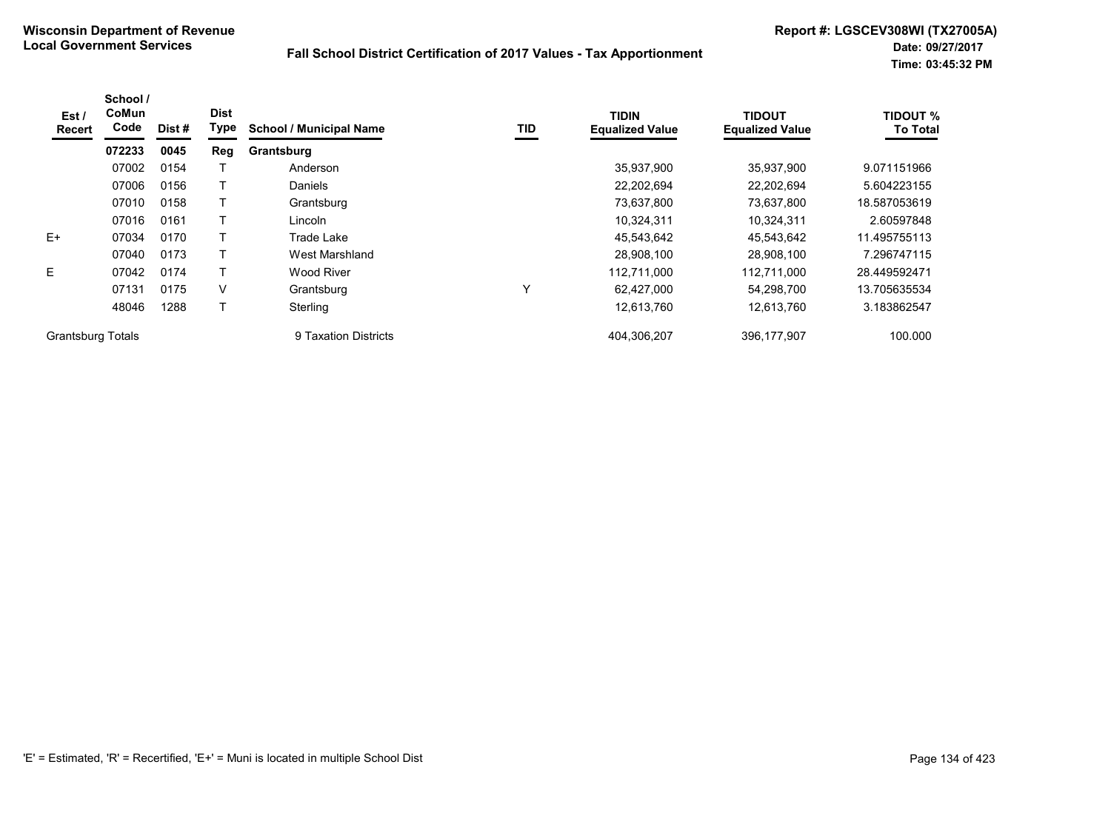| Est /<br><b>Recert</b>   | School /<br>CoMun<br>Code | Dist # | <b>Dist</b><br>Type | <b>School / Municipal Name</b> | TID | <b>TIDIN</b><br><b>Equalized Value</b> | <b>TIDOUT</b><br><b>Equalized Value</b> | <b>TIDOUT %</b><br><b>To Total</b> |
|--------------------------|---------------------------|--------|---------------------|--------------------------------|-----|----------------------------------------|-----------------------------------------|------------------------------------|
|                          | 072233                    | 0045   | Reg                 | Grantsburg                     |     |                                        |                                         |                                    |
|                          | 07002                     | 0154   |                     | Anderson                       |     | 35,937,900                             | 35,937,900                              | 9.071151966                        |
|                          | 07006                     | 0156   |                     | Daniels                        |     | 22,202,694                             | 22.202.694                              | 5.604223155                        |
|                          | 07010                     | 0158   |                     | Grantsburg                     |     | 73,637,800                             | 73,637,800                              | 18.587053619                       |
|                          | 07016                     | 0161   |                     | Lincoln                        |     | 10,324,311                             | 10,324,311                              | 2.60597848                         |
| $E+$                     | 07034                     | 0170   |                     | Trade Lake                     |     | 45,543,642                             | 45,543,642                              | 11.495755113                       |
|                          | 07040                     | 0173   |                     | West Marshland                 |     | 28,908,100                             | 28,908,100                              | 7.296747115                        |
| E                        | 07042                     | 0174   |                     | Wood River                     |     | 112.711.000                            | 112.711.000                             | 28.449592471                       |
|                          | 07131                     | 0175   | V                   | Grantsburg                     | Υ   | 62,427,000                             | 54,298,700                              | 13.705635534                       |
|                          | 48046                     | 1288   |                     | Sterling                       |     | 12,613,760                             | 12,613,760                              | 3.183862547                        |
| <b>Grantsburg Totals</b> |                           |        |                     | 9 Taxation Districts           |     | 404,306,207                            | 396,177,907                             | 100.000                            |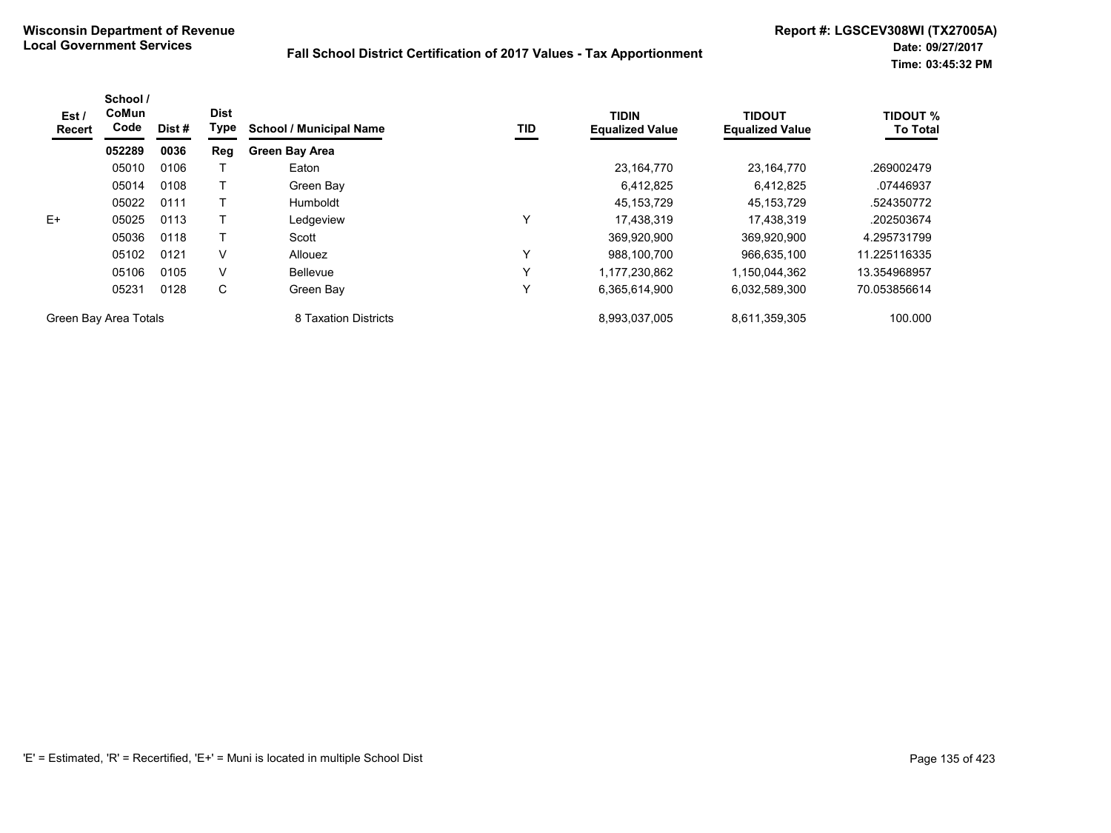| Est /<br><b>Recert</b> | School /<br>CoMun<br>Code | Dist # | <b>Dist</b><br>Type | <b>School / Municipal Name</b> | TID          | <b>TIDIN</b><br><b>Equalized Value</b> | <b>TIDOUT</b><br><b>Equalized Value</b> | <b>TIDOUT %</b><br><b>To Total</b> |
|------------------------|---------------------------|--------|---------------------|--------------------------------|--------------|----------------------------------------|-----------------------------------------|------------------------------------|
|                        | 052289                    | 0036   | Reg                 | <b>Green Bay Area</b>          |              |                                        |                                         |                                    |
|                        | 05010                     | 0106   |                     | Eaton                          |              | 23,164,770                             | 23,164,770                              | .269002479                         |
|                        | 05014                     | 0108   |                     | Green Bay                      |              | 6,412,825                              | 6,412,825                               | .07446937                          |
|                        | 05022                     | 0111   |                     | <b>Humboldt</b>                |              | 45,153,729                             | 45, 153, 729                            | .524350772                         |
| $E+$                   | 05025                     | 0113   |                     | Ledgeview                      | $\check{ }$  | 17.438.319                             | 17.438.319                              | .202503674                         |
|                        | 05036                     | 0118   |                     | Scott                          |              | 369,920,900                            | 369,920,900                             | 4.295731799                        |
|                        | 05102                     | 0121   | V                   | Allouez                        | $\checkmark$ | 988,100,700                            | 966,635,100                             | 11.225116335                       |
|                        | 05106                     | 0105   | V                   | <b>Bellevue</b>                | $\check{ }$  | 1.177.230.862                          | 1.150.044.362                           | 13.354968957                       |
|                        | 05231                     | 0128   | C                   | Green Bay                      | $\checkmark$ | 6,365,614,900                          | 6,032,589,300                           | 70.053856614                       |
| Green Bay Area Totals  |                           |        |                     | 8 Taxation Districts           |              | 8,993,037,005                          | 8,611,359,305                           | 100.000                            |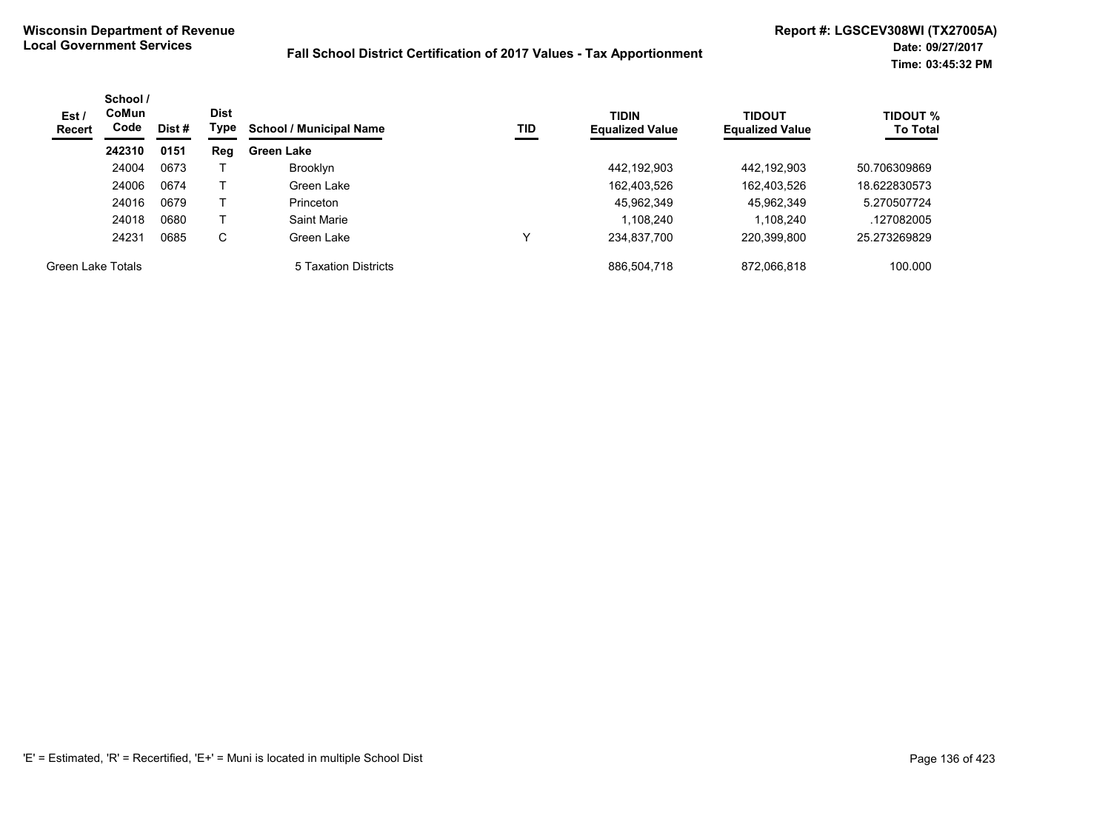| Est /<br><b>Recert</b> | School /<br><b>CoMun</b><br>Code<br>Dist # | <b>Dist</b><br>Type | TID<br><b>School / Municipal Name</b> | <b>TIDIN</b><br><b>Equalized Value</b> | <b>TIDOUT</b><br><b>Equalized Value</b> | <b>TIDOUT %</b><br><b>To Total</b> |             |              |
|------------------------|--------------------------------------------|---------------------|---------------------------------------|----------------------------------------|-----------------------------------------|------------------------------------|-------------|--------------|
|                        | 242310                                     | 0151                | Reg                                   | <b>Green Lake</b>                      |                                         |                                    |             |              |
|                        | 24004                                      | 0673                |                                       | Brooklyn                               |                                         | 442,192,903                        | 442,192,903 | 50.706309869 |
|                        | 24006                                      | 0674                |                                       | Green Lake                             |                                         | 162,403,526                        | 162,403,526 | 18.622830573 |
|                        | 24016                                      | 0679                |                                       | Princeton                              |                                         | 45,962,349                         | 45,962,349  | 5.270507724  |
|                        | 24018                                      | 0680                |                                       | Saint Marie                            |                                         | 1,108,240                          | 1,108,240   | .127082005   |
|                        | 24231                                      | 0685                | C                                     | Green Lake                             | ν                                       | 234,837,700                        | 220,399,800 | 25.273269829 |
| Green Lake Totals      |                                            |                     |                                       | 5 Taxation Districts                   |                                         | 886,504,718                        | 872,066,818 | 100.000      |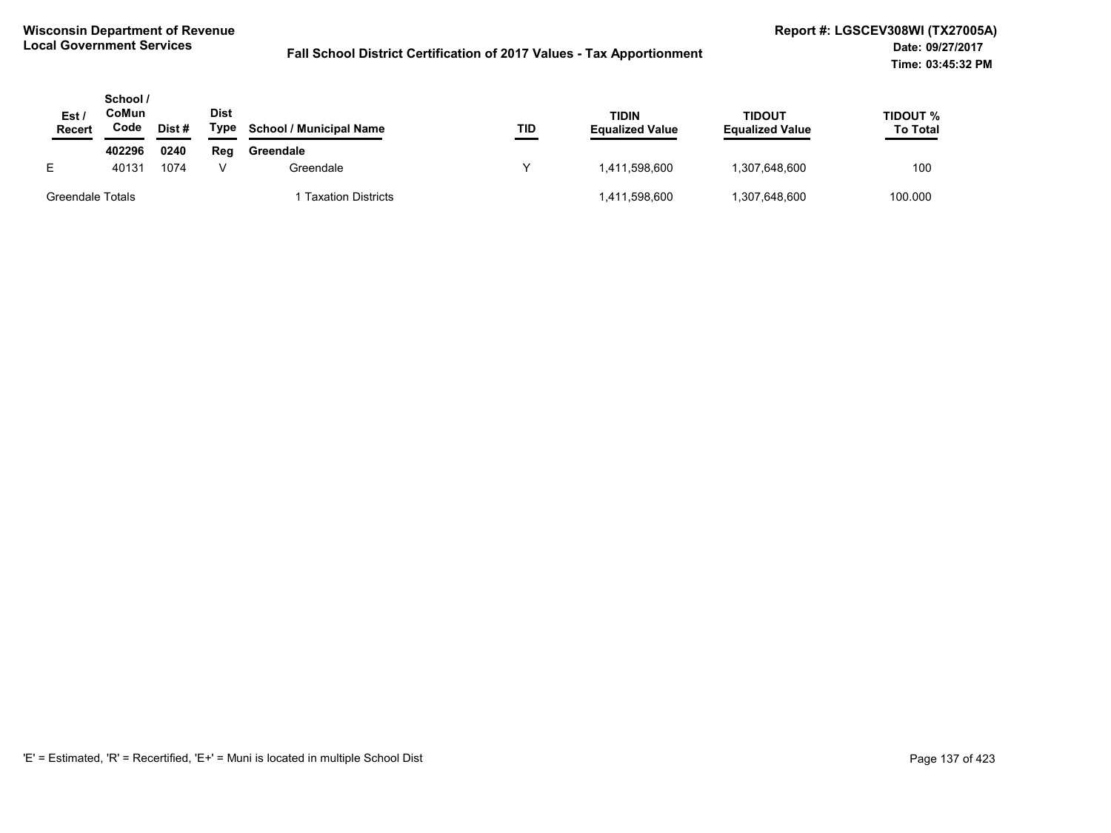| Est.<br>Recert   | School /<br>CoMun<br>Code | Dist # | <b>Dist</b><br>Type | <b>School / Municipal Name</b> | TID | TIDIN<br><b>Equalized Value</b> | <b>TIDOUT</b><br><b>Equalized Value</b> | TIDOUT %<br><b>To Total</b> |
|------------------|---------------------------|--------|---------------------|--------------------------------|-----|---------------------------------|-----------------------------------------|-----------------------------|
|                  | 402296                    | 0240   | Reg                 | Greendale                      |     |                                 |                                         |                             |
| F.               | 40131                     | 1074   |                     | Greendale                      | v   | 1.411.598.600                   | 1,307,648,600                           | 100                         |
| Greendale Totals |                           |        |                     | <b>Taxation Districts</b>      |     | 1,411,598,600                   | 1,307,648,600                           | 100.000                     |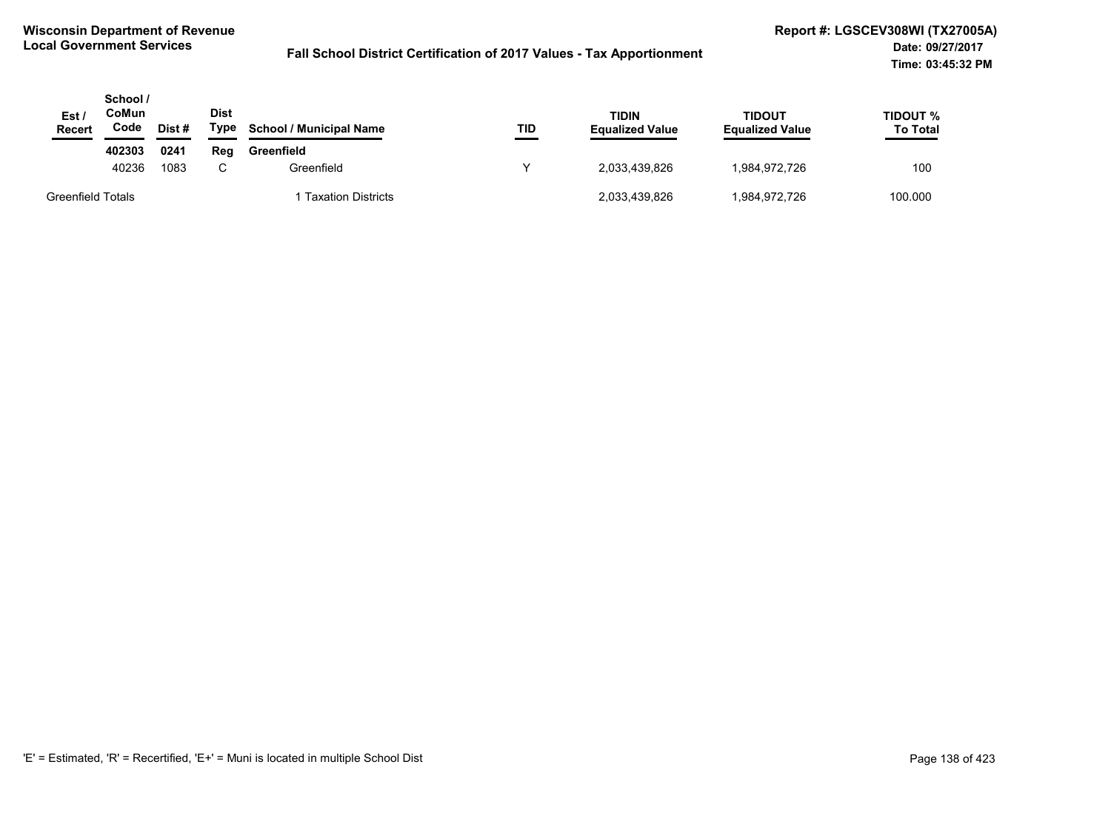| Est /<br><b>Recert</b>   | School /<br>CoMun<br>Code | Dist# | Dist<br>Type | <b>School / Municipal Name</b> | TID | <b>TIDIN</b><br><b>Equalized Value</b> | <b>TIDOUT</b><br><b>Equalized Value</b> | TIDOUT %<br><b>To Total</b> |
|--------------------------|---------------------------|-------|--------------|--------------------------------|-----|----------------------------------------|-----------------------------------------|-----------------------------|
|                          | 402303                    | 0241  | Rea          | Greenfield                     |     |                                        |                                         |                             |
|                          | 40236                     | 1083  | C.           | Greenfield                     |     | 2,033,439,826                          | 1,984,972,726                           | 100                         |
| <b>Greenfield Totals</b> |                           |       |              | <b>Taxation Districts</b>      |     | 2,033,439,826                          | 1,984,972,726                           | 100.000                     |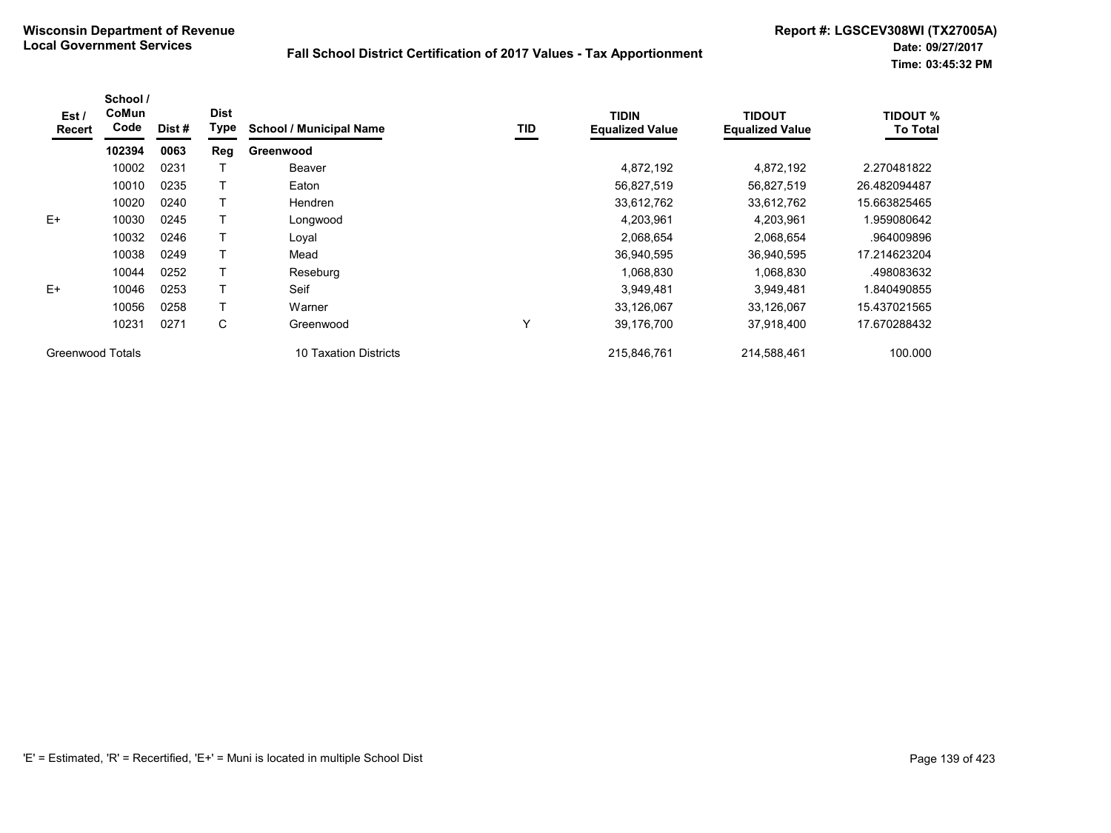| Est /<br><b>Recert</b> | School /<br>CoMun<br>Code | Dist # | <b>Dist</b><br><b>Type</b> | <b>School / Municipal Name</b> | TID          | <b>TIDIN</b><br><b>Equalized Value</b> | <b>TIDOUT</b><br><b>Equalized Value</b> | <b>TIDOUT %</b><br><b>To Total</b> |
|------------------------|---------------------------|--------|----------------------------|--------------------------------|--------------|----------------------------------------|-----------------------------------------|------------------------------------|
|                        | 102394                    | 0063   | Reg                        | Greenwood                      |              |                                        |                                         |                                    |
|                        | 10002                     | 0231   |                            | Beaver                         |              | 4,872,192                              | 4,872,192                               | 2.270481822                        |
|                        | 10010                     | 0235   |                            | Eaton                          |              | 56,827,519                             | 56,827,519                              | 26.482094487                       |
|                        | 10020                     | 0240   |                            | Hendren                        |              | 33,612,762                             | 33,612,762                              | 15.663825465                       |
| $E+$                   | 10030                     | 0245   |                            | Longwood                       |              | 4,203,961                              | 4,203,961                               | 1.959080642                        |
|                        | 10032                     | 0246   |                            | Loyal                          |              | 2,068,654                              | 2,068,654                               | .964009896                         |
|                        | 10038                     | 0249   |                            | Mead                           |              | 36,940,595                             | 36,940,595                              | 17.214623204                       |
|                        | 10044                     | 0252   |                            | Reseburg                       |              | 1,068,830                              | 1,068,830                               | .498083632                         |
| $E+$                   | 10046                     | 0253   |                            | Seif                           |              | 3,949,481                              | 3,949,481                               | 1.840490855                        |
|                        | 10056                     | 0258   |                            | Warner                         |              | 33,126,067                             | 33,126,067                              | 15.437021565                       |
|                        | 10231                     | 0271   | C                          | Greenwood                      | $\checkmark$ | 39,176,700                             | 37,918,400                              | 17.670288432                       |
| Greenwood Totals       |                           |        |                            | 10 Taxation Districts          |              | 215,846,761                            | 214,588,461                             | 100.000                            |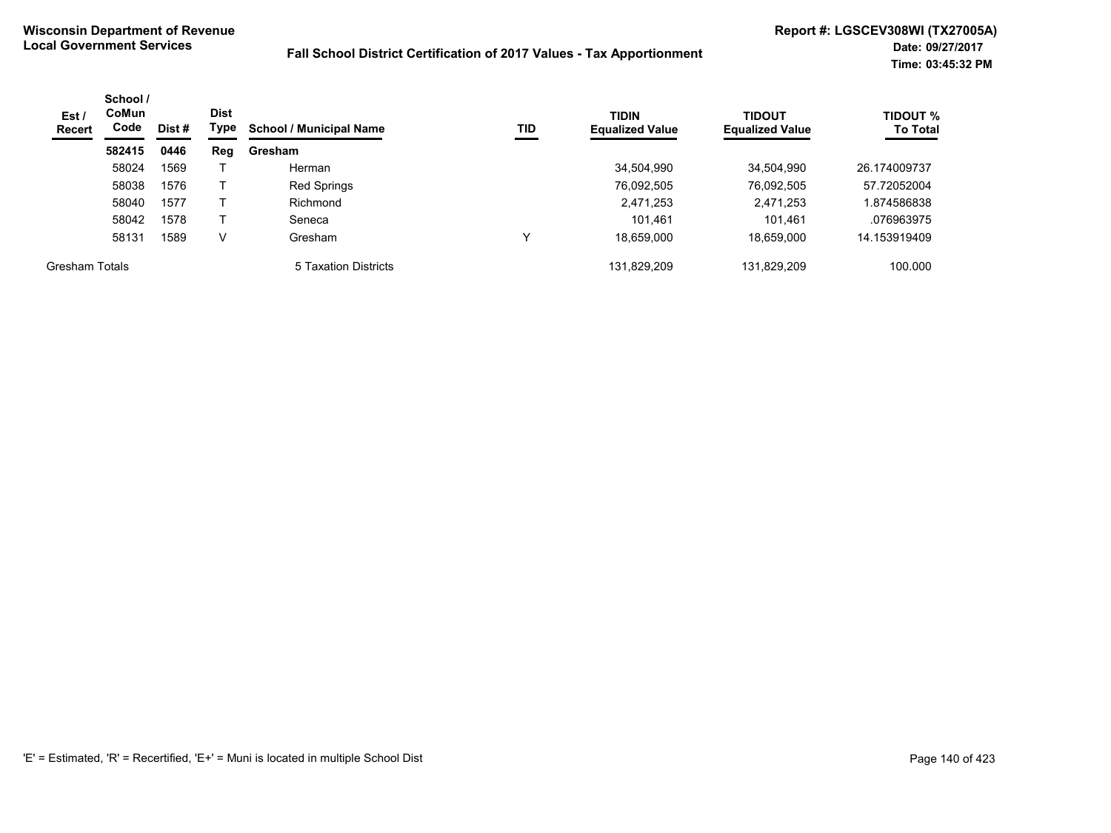| Est /<br><b>Recert</b> | School /<br><b>CoMun</b><br>Code | Dist# | <b>Dist</b><br>Type | <b>School / Municipal Name</b> | TID | <b>TIDIN</b><br><b>Equalized Value</b> | <b>TIDOUT</b><br><b>Equalized Value</b> | <b>TIDOUT %</b><br><b>To Total</b> |
|------------------------|----------------------------------|-------|---------------------|--------------------------------|-----|----------------------------------------|-----------------------------------------|------------------------------------|
|                        | 582415                           | 0446  | Reg                 | Gresham                        |     |                                        |                                         |                                    |
|                        | 58024                            | 1569  |                     | Herman                         |     | 34,504,990                             | 34,504,990                              | 26.174009737                       |
|                        | 58038                            | 1576  |                     | <b>Red Springs</b>             |     | 76,092,505                             | 76,092,505                              | 57.72052004                        |
|                        | 58040                            | 1577  |                     | Richmond                       |     | 2,471,253                              | 2,471,253                               | 1.874586838                        |
|                        | 58042                            | 1578  |                     | Seneca                         |     | 101,461                                | 101,461                                 | .076963975                         |
|                        | 58131                            | 1589  | V                   | Gresham                        | ν   | 18,659,000                             | 18,659,000                              | 14.153919409                       |
| <b>Gresham Totals</b>  |                                  |       |                     | 5 Taxation Districts           |     | 131,829,209                            | 131,829,209                             | 100.000                            |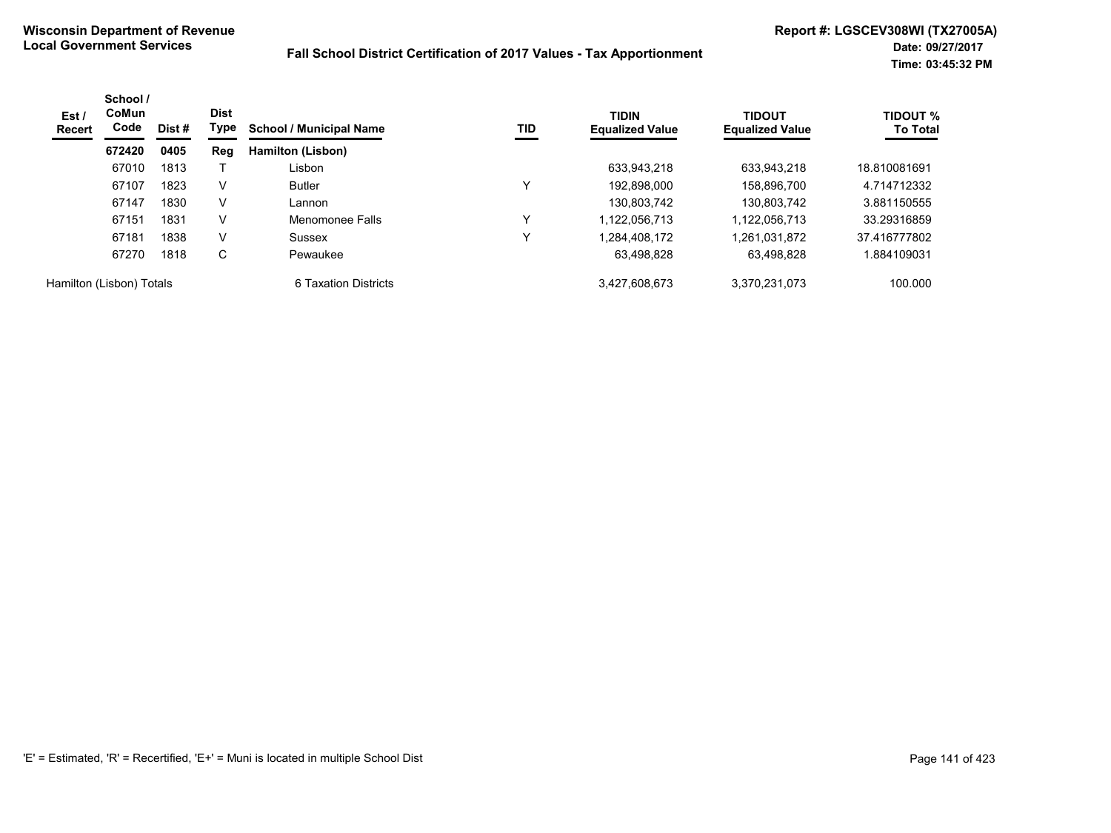| Est /<br>Recert          | School /<br>CoMun<br>Code | Dist # | <b>Dist</b><br>Type | <b>School / Municipal Name</b> | TID | <b>TIDIN</b><br><b>Equalized Value</b> | <b>TIDOUT</b><br><b>Equalized Value</b> | <b>TIDOUT %</b><br><b>To Total</b> |
|--------------------------|---------------------------|--------|---------------------|--------------------------------|-----|----------------------------------------|-----------------------------------------|------------------------------------|
|                          | 672420                    | 0405   | Reg                 | Hamilton (Lisbon)              |     |                                        |                                         |                                    |
|                          | 67010                     | 1813   |                     | Lisbon                         |     | 633,943,218                            | 633,943,218                             | 18.810081691                       |
|                          | 67107                     | 1823   | V                   | <b>Butler</b>                  | v   | 192,898,000                            | 158,896,700                             | 4.714712332                        |
|                          | 67147                     | 1830   | V                   | Lannon                         |     | 130.803.742                            | 130,803,742                             | 3.881150555                        |
|                          | 67151                     | 1831   | v                   | Menomonee Falls                | v   | 1.122.056.713                          | 1.122.056.713                           | 33.29316859                        |
|                          | 67181                     | 1838   | V                   | Sussex                         | v   | 1,284,408,172                          | 1,261,031,872                           | 37.416777802                       |
|                          | 67270                     | 1818   | С                   | Pewaukee                       |     | 63,498,828                             | 63,498,828                              | 1.884109031                        |
| Hamilton (Lisbon) Totals |                           |        |                     | 6 Taxation Districts           |     | 3,427,608,673                          | 3.370.231.073                           | 100.000                            |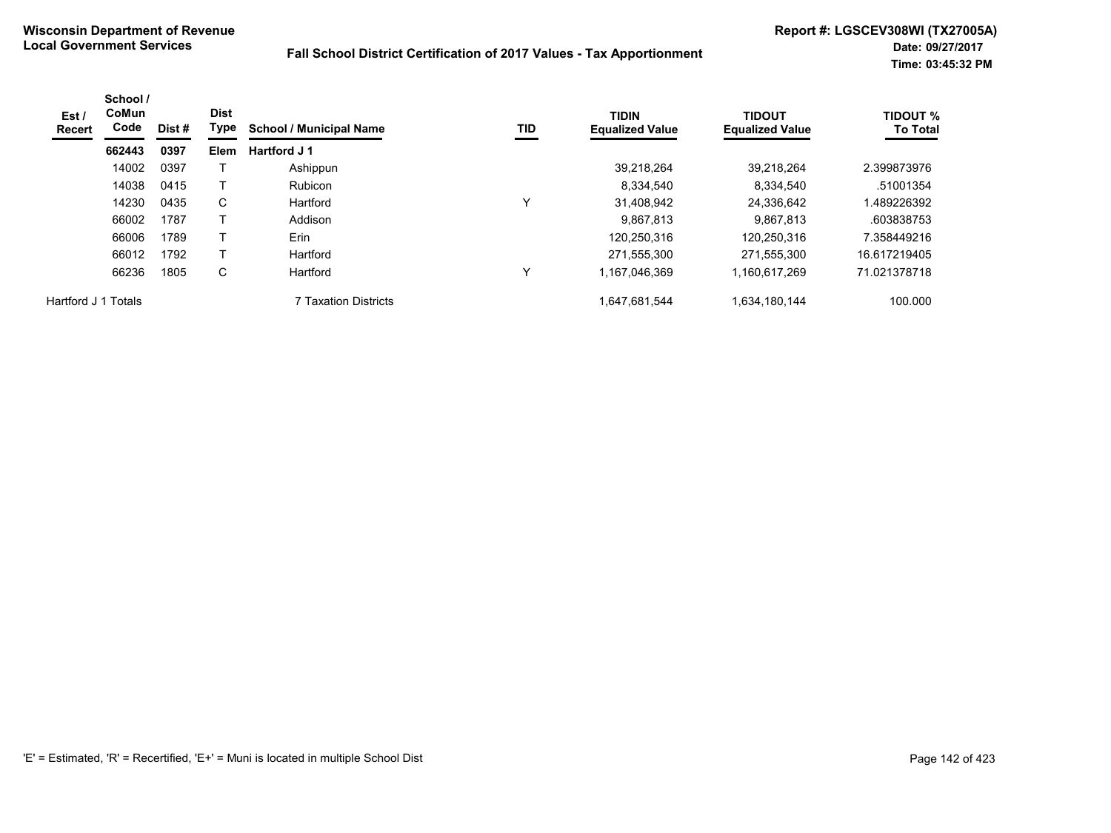| Est /<br>Recert     | School /<br>CoMun<br>Code | Dist # | <b>Dist</b><br>Type | <b>School / Municipal Name</b> | TID | <b>TIDIN</b><br><b>Equalized Value</b> | <b>TIDOUT</b><br><b>Equalized Value</b> | <b>TIDOUT %</b><br><b>To Total</b> |
|---------------------|---------------------------|--------|---------------------|--------------------------------|-----|----------------------------------------|-----------------------------------------|------------------------------------|
|                     | 662443                    | 0397   | <b>Elem</b>         | Hartford J 1                   |     |                                        |                                         |                                    |
|                     | 14002                     | 0397   |                     | Ashippun                       |     | 39,218,264                             | 39.218.264                              | 2.399873976                        |
|                     | 14038                     | 0415   |                     | <b>Rubicon</b>                 |     | 8,334,540                              | 8,334,540                               | .51001354                          |
|                     | 14230                     | 0435   | C                   | Hartford                       | v   | 31,408,942                             | 24,336,642                              | .489226392                         |
|                     | 66002                     | 1787   |                     | Addison                        |     | 9,867,813                              | 9.867.813                               | .603838753                         |
|                     | 66006                     | 1789   |                     | Erin                           |     | 120.250.316                            | 120.250.316                             | 7.358449216                        |
|                     | 66012                     | 1792   |                     | Hartford                       |     | 271,555,300                            | 271,555,300                             | 16.617219405                       |
|                     | 66236                     | 1805   | C                   | Hartford                       | v   | 1,167,046,369                          | 1,160,617,269                           | 71.021378718                       |
| Hartford J 1 Totals |                           |        |                     | <b>7 Taxation Districts</b>    |     | 1,647,681,544                          | 1,634,180,144                           | 100.000                            |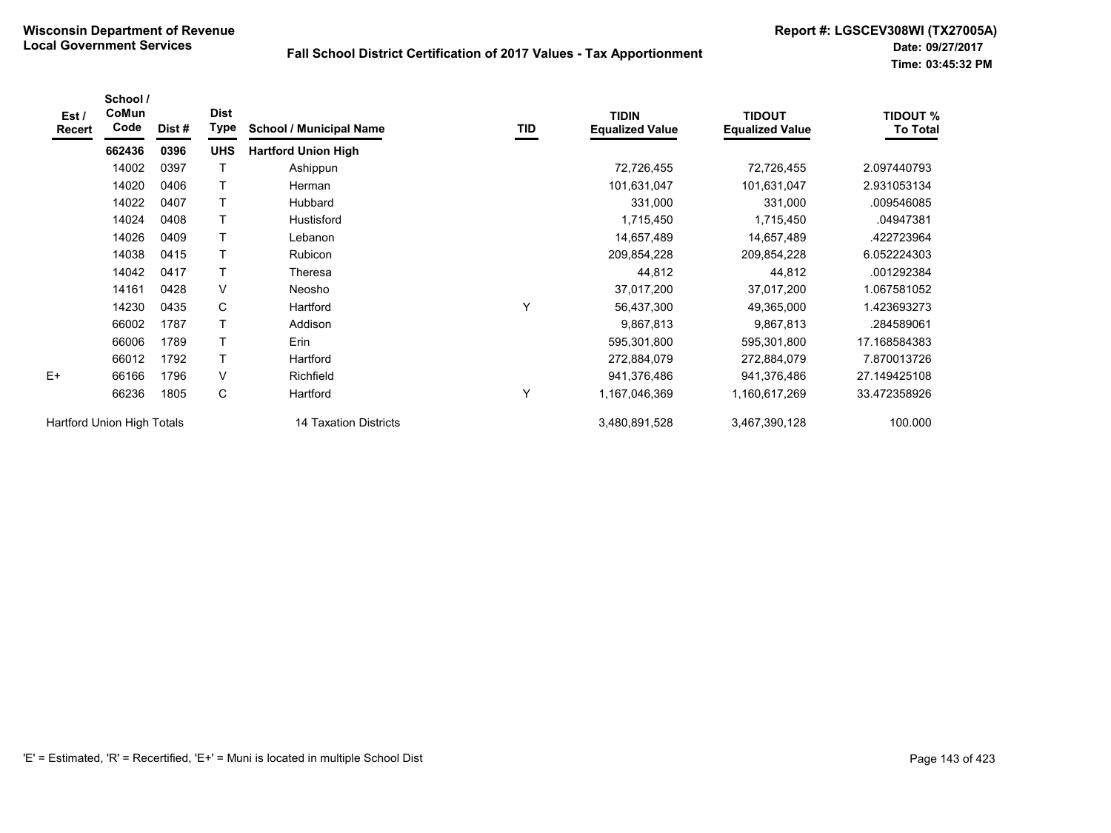| Est $\prime$<br><b>Recert</b> | School /<br>CoMun<br>Code | Dist# | <b>Dist</b><br>Type | <b>School / Municipal Name</b> | TID | <b>TIDIN</b><br><b>Equalized Value</b> | <b>TIDOUT</b><br><b>Equalized Value</b> | <b>TIDOUT %</b><br><b>To Total</b> |
|-------------------------------|---------------------------|-------|---------------------|--------------------------------|-----|----------------------------------------|-----------------------------------------|------------------------------------|
|                               | 662436                    | 0396  | <b>UHS</b>          | <b>Hartford Union High</b>     |     |                                        |                                         |                                    |
|                               | 14002                     | 0397  |                     | Ashippun                       |     | 72,726,455                             | 72,726,455                              | 2.097440793                        |
|                               | 14020                     | 0406  | Т                   | Herman                         |     | 101,631,047                            | 101,631,047                             | 2.931053134                        |
|                               | 14022                     | 0407  | т                   | Hubbard                        |     | 331,000                                | 331,000                                 | .009546085                         |
|                               | 14024                     | 0408  | T                   | Hustisford                     |     | 1,715,450                              | 1,715,450                               | .04947381                          |
|                               | 14026                     | 0409  | T                   | Lebanon                        |     | 14,657,489                             | 14,657,489                              | .422723964                         |
|                               | 14038                     | 0415  | Τ                   | Rubicon                        |     | 209,854,228                            | 209,854,228                             | 6.052224303                        |
|                               | 14042                     | 0417  | т                   | Theresa                        |     | 44,812                                 | 44,812                                  | .001292384                         |
|                               | 14161                     | 0428  | V                   | Neosho                         |     | 37,017,200                             | 37,017,200                              | 1.067581052                        |
|                               | 14230                     | 0435  | C                   | Hartford                       | Υ   | 56,437,300                             | 49,365,000                              | 1.423693273                        |
|                               | 66002                     | 1787  | T                   | Addison                        |     | 9,867,813                              | 9,867,813                               | .284589061                         |
|                               | 66006                     | 1789  | T                   | Erin                           |     | 595,301,800                            | 595,301,800                             | 17.168584383                       |
|                               | 66012                     | 1792  | T                   | Hartford                       |     | 272,884,079                            | 272,884,079                             | 7.870013726                        |
| $E+$                          | 66166                     | 1796  | $\vee$              | Richfield                      |     | 941,376,486                            | 941,376,486                             | 27.149425108                       |
|                               | 66236                     | 1805  | С                   | Hartford                       | Υ   | 1,167,046,369                          | 1,160,617,269                           | 33.472358926                       |
| Hartford Union High Totals    |                           |       |                     | 14 Taxation Districts          |     | 3,480,891,528                          | 3,467,390,128                           | 100.000                            |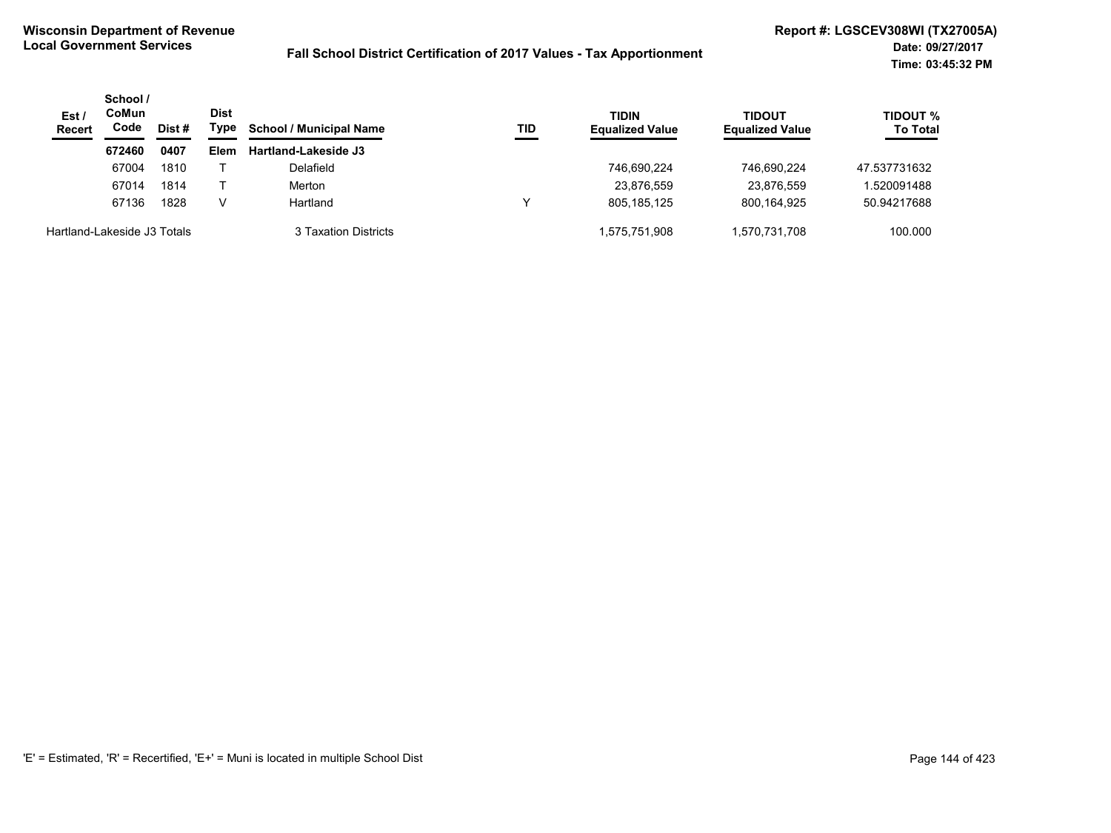| Est/<br><b>Recert</b>       | School /<br>CoMun<br>Code | Dist # | <b>Dist</b><br>Type | <b>School / Municipal Name</b> | TID | <b>TIDIN</b><br><b>Equalized Value</b> | TIDOUT<br><b>Equalized Value</b> | <b>TIDOUT %</b><br><b>To Total</b> |
|-----------------------------|---------------------------|--------|---------------------|--------------------------------|-----|----------------------------------------|----------------------------------|------------------------------------|
|                             | 672460                    | 0407   | Elem                | <b>Hartland-Lakeside J3</b>    |     |                                        |                                  |                                    |
|                             | 67004                     | 1810   |                     | Delafield                      |     | 746.690.224                            | 746.690.224                      | 47.537731632                       |
|                             | 67014                     | 1814   |                     | Merton                         |     | 23,876,559                             | 23,876,559                       | .520091488                         |
|                             | 67136                     | 1828   | V                   | Hartland                       |     | 805.185.125                            | 800.164.925                      | 50.94217688                        |
| Hartland-Lakeside J3 Totals |                           |        |                     | 3 Taxation Districts           |     | 1,575,751,908                          | .570.731.708                     | 100.000                            |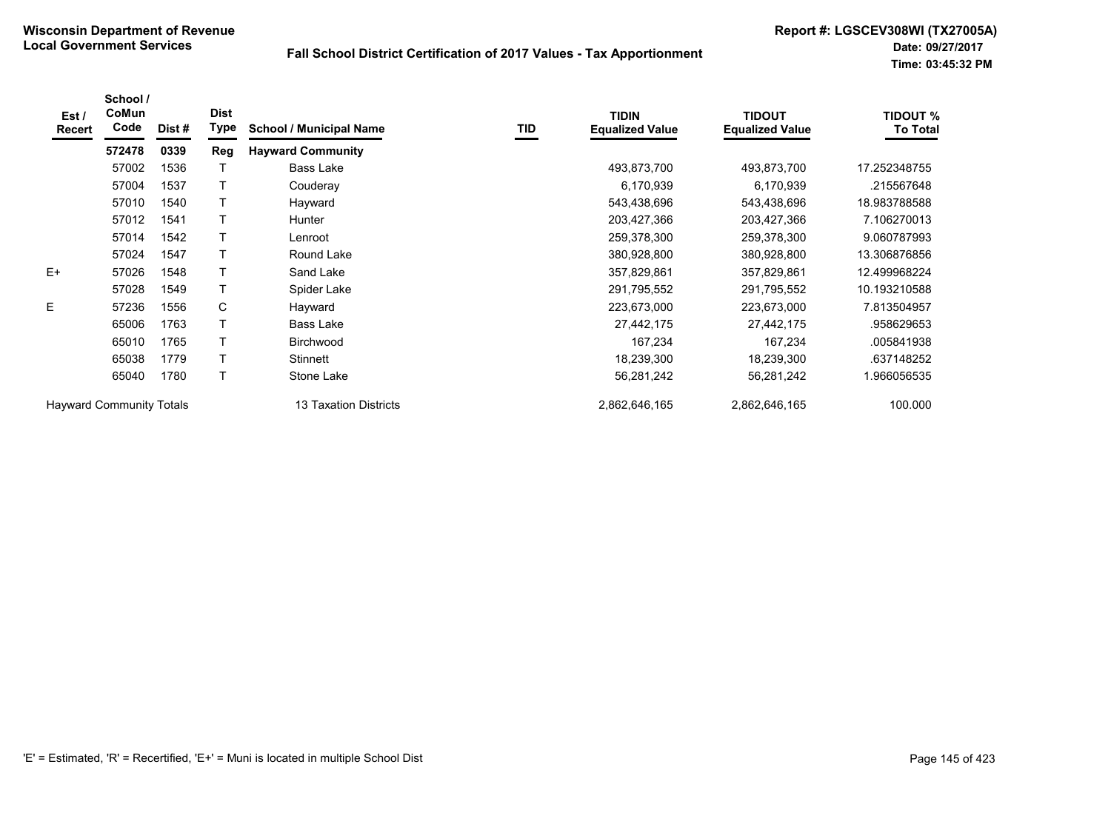| Est /<br><b>Recert</b>          | School /<br>CoMun<br>Code | Dist# | <b>Dist</b><br><b>Type</b> | <b>School / Municipal Name</b> | TID | <b>TIDIN</b><br><b>Equalized Value</b> | <b>TIDOUT</b><br><b>Equalized Value</b> | <b>TIDOUT %</b><br><b>To Total</b> |
|---------------------------------|---------------------------|-------|----------------------------|--------------------------------|-----|----------------------------------------|-----------------------------------------|------------------------------------|
|                                 | 572478                    | 0339  | Reg                        | <b>Hayward Community</b>       |     |                                        |                                         |                                    |
|                                 | 57002                     | 1536  |                            | Bass Lake                      |     | 493,873,700                            | 493,873,700                             | 17.252348755                       |
|                                 | 57004                     | 1537  | Т                          | Couderay                       |     | 6,170,939                              | 6,170,939                               | .215567648                         |
|                                 | 57010                     | 1540  |                            | Hayward                        |     | 543,438,696                            | 543,438,696                             | 18.983788588                       |
|                                 | 57012                     | 1541  |                            | Hunter                         |     | 203,427,366                            | 203,427,366                             | 7.106270013                        |
|                                 | 57014                     | 1542  |                            | Lenroot                        |     | 259,378,300                            | 259,378,300                             | 9.060787993                        |
|                                 | 57024                     | 1547  |                            | Round Lake                     |     | 380,928,800                            | 380,928,800                             | 13.306876856                       |
| $E+$                            | 57026                     | 1548  |                            | Sand Lake                      |     | 357,829,861                            | 357,829,861                             | 12.499968224                       |
|                                 | 57028                     | 1549  |                            | Spider Lake                    |     | 291,795,552                            | 291,795,552                             | 10.193210588                       |
| E                               | 57236                     | 1556  | C                          | Hayward                        |     | 223,673,000                            | 223,673,000                             | 7.813504957                        |
|                                 | 65006                     | 1763  |                            | Bass Lake                      |     | 27,442,175                             | 27,442,175                              | .958629653                         |
|                                 | 65010                     | 1765  |                            | <b>Birchwood</b>               |     | 167,234                                | 167,234                                 | .005841938                         |
|                                 | 65038                     | 1779  |                            | Stinnett                       |     | 18,239,300                             | 18,239,300                              | .637148252                         |
|                                 | 65040                     | 1780  | $\top$                     | Stone Lake                     |     | 56,281,242                             | 56,281,242                              | 1.966056535                        |
| <b>Hayward Community Totals</b> |                           |       |                            | 13 Taxation Districts          |     | 2,862,646,165                          | 2,862,646,165                           | 100.000                            |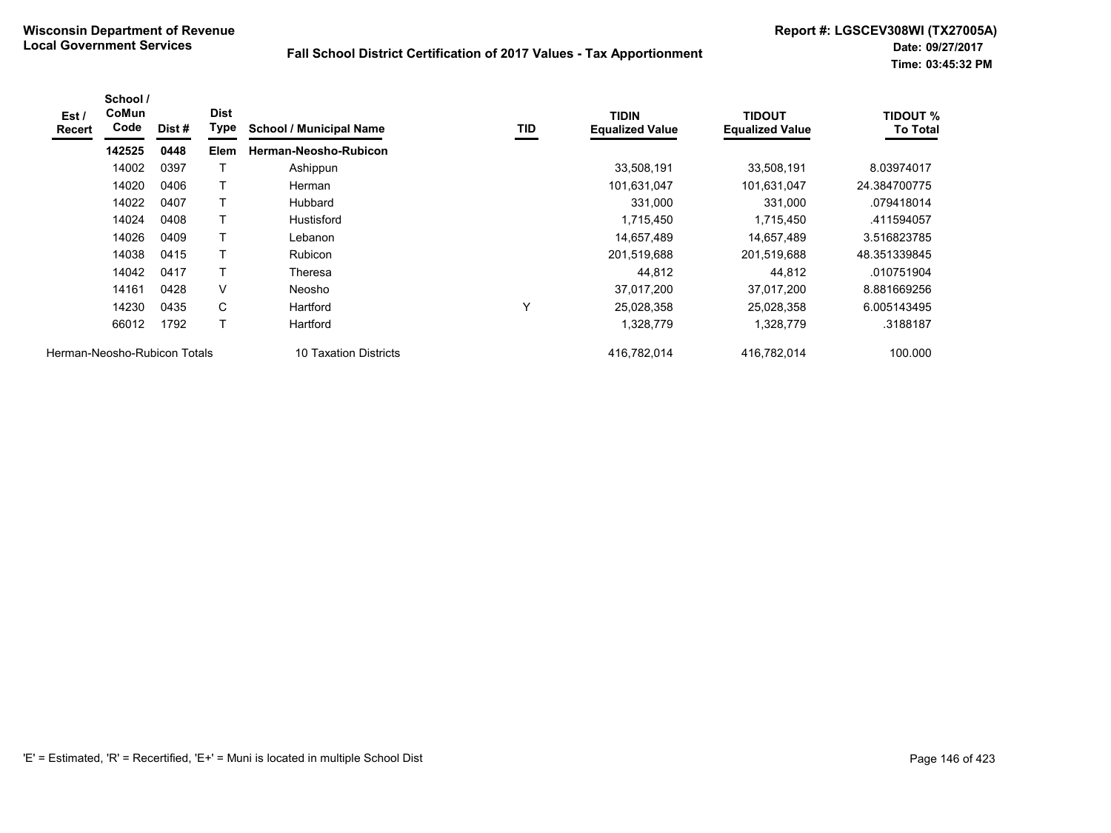| Est /<br><b>Recert</b>       | School /<br><b>CoMun</b><br>Code | Dist # | <b>Dist</b><br>Type | <b>School / Municipal Name</b> | TID | <b>TIDIN</b><br><b>Equalized Value</b> | TIDOUT<br><b>Equalized Value</b> | TIDOUT %<br><b>To Total</b> |
|------------------------------|----------------------------------|--------|---------------------|--------------------------------|-----|----------------------------------------|----------------------------------|-----------------------------|
|                              | 142525                           | 0448   | <b>Elem</b>         | Herman-Neosho-Rubicon          |     |                                        |                                  |                             |
|                              | 14002                            | 0397   |                     | Ashippun                       |     | 33,508,191                             | 33,508,191                       | 8.03974017                  |
|                              | 14020                            | 0406   |                     | Herman                         |     | 101,631,047                            | 101,631,047                      | 24.384700775                |
|                              | 14022                            | 0407   |                     | Hubbard                        |     | 331,000                                | 331,000                          | .079418014                  |
|                              | 14024                            | 0408   |                     | <b>Hustisford</b>              |     | 1,715,450                              | 1,715,450                        | .411594057                  |
|                              | 14026                            | 0409   |                     | Lebanon                        |     | 14,657,489                             | 14.657.489                       | 3.516823785                 |
|                              | 14038                            | 0415   |                     | Rubicon                        |     | 201,519,688                            | 201,519,688                      | 48.351339845                |
|                              | 14042                            | 0417   |                     | Theresa                        |     | 44,812                                 | 44,812                           | .010751904                  |
|                              | 14161                            | 0428   | V                   | Neosho                         |     | 37,017,200                             | 37,017,200                       | 8.881669256                 |
|                              | 14230                            | 0435   | C                   | Hartford                       | v   | 25,028,358                             | 25,028,358                       | 6.005143495                 |
|                              | 66012                            | 1792   |                     | Hartford                       |     | 1,328,779                              | 1,328,779                        | .3188187                    |
| Herman-Neosho-Rubicon Totals |                                  |        |                     | 10 Taxation Districts          |     | 416,782,014                            | 416,782,014                      | 100.000                     |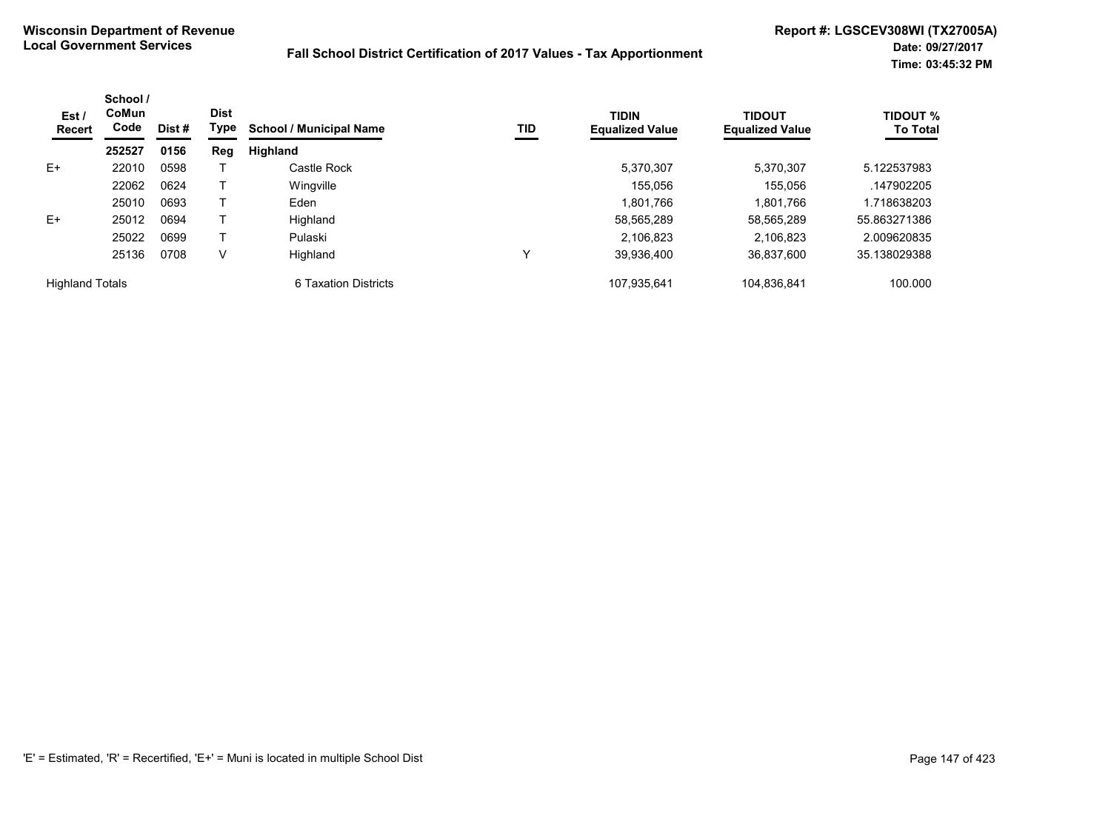| Est /<br><b>Recert</b> | School /<br>CoMun<br>Code | Dist# | <b>Dist</b><br>Type | <b>School / Municipal Name</b> | TID | <b>TIDIN</b><br><b>Equalized Value</b> | <b>TIDOUT</b><br><b>Equalized Value</b> | <b>TIDOUT %</b><br><b>To Total</b> |
|------------------------|---------------------------|-------|---------------------|--------------------------------|-----|----------------------------------------|-----------------------------------------|------------------------------------|
|                        | 252527                    | 0156  | Reg                 | Highland                       |     |                                        |                                         |                                    |
| $E+$                   | 22010                     | 0598  |                     | Castle Rock                    |     | 5,370,307                              | 5.370.307                               | 5.122537983                        |
|                        | 22062                     | 0624  |                     | Wingville                      |     | 155.056                                | 155.056                                 | .147902205                         |
|                        | 25010                     | 0693  |                     | Eden                           |     | 1,801,766                              | 1.801.766                               | 1.718638203                        |
| $E+$                   | 25012                     | 0694  |                     | Highland                       |     | 58,565,289                             | 58,565,289                              | 55.863271386                       |
|                        | 25022                     | 0699  |                     | Pulaski                        |     | 2.106.823                              | 2.106.823                               | 2.009620835                        |
|                        | 25136                     | 0708  | V                   | Highland                       |     | 39,936,400                             | 36.837.600                              | 35.138029388                       |
| <b>Highland Totals</b> |                           |       |                     | 6 Taxation Districts           |     | 107,935,641                            | 104,836,841                             | 100.000                            |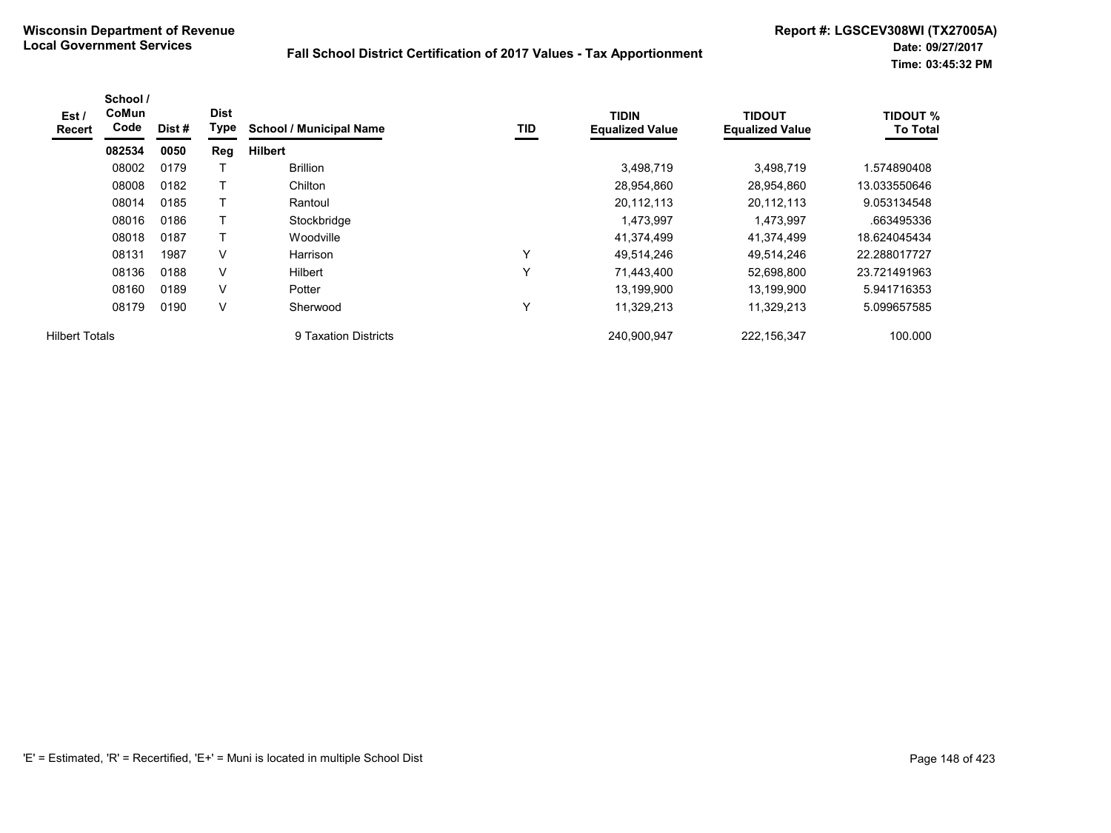| Est /<br><b>Recert</b> | School /<br>CoMun<br>Code | Dist # | <b>Dist</b><br>Type | <b>School / Municipal Name</b> | TID          | <b>TIDIN</b><br><b>Equalized Value</b> | <b>TIDOUT</b><br><b>Equalized Value</b> | <b>TIDOUT %</b><br><b>To Total</b> |
|------------------------|---------------------------|--------|---------------------|--------------------------------|--------------|----------------------------------------|-----------------------------------------|------------------------------------|
|                        | 082534                    | 0050   | Reg                 | <b>Hilbert</b>                 |              |                                        |                                         |                                    |
|                        | 08002                     | 0179   |                     | <b>Brillion</b>                |              | 3,498,719                              | 3,498,719                               | .574890408                         |
|                        | 08008                     | 0182   |                     | Chilton                        |              | 28,954,860                             | 28,954,860                              | 13.033550646                       |
|                        | 08014                     | 0185   | т                   | Rantoul                        |              | 20,112,113                             | 20,112,113                              | 9.053134548                        |
|                        | 08016                     | 0186   |                     | Stockbridge                    |              | 1,473,997                              | 1,473,997                               | .663495336                         |
|                        | 08018                     | 0187   |                     | Woodville                      |              | 41,374,499                             | 41,374,499                              | 18.624045434                       |
|                        | 08131                     | 1987   | V                   | Harrison                       | Υ            | 49,514,246                             | 49,514,246                              | 22.288017727                       |
|                        | 08136                     | 0188   | V                   | <b>Hilbert</b>                 | $\checkmark$ | 71,443,400                             | 52,698,800                              | 23.721491963                       |
|                        | 08160                     | 0189   | V                   | Potter                         |              | 13,199,900                             | 13,199,900                              | 5.941716353                        |
|                        | 08179                     | 0190   | V                   | Sherwood                       | $\check{ }$  | 11,329,213                             | 11,329,213                              | 5.099657585                        |
| <b>Hilbert Totals</b>  |                           |        |                     | 9 Taxation Districts           |              | 240.900.947                            | 222.156.347                             | 100.000                            |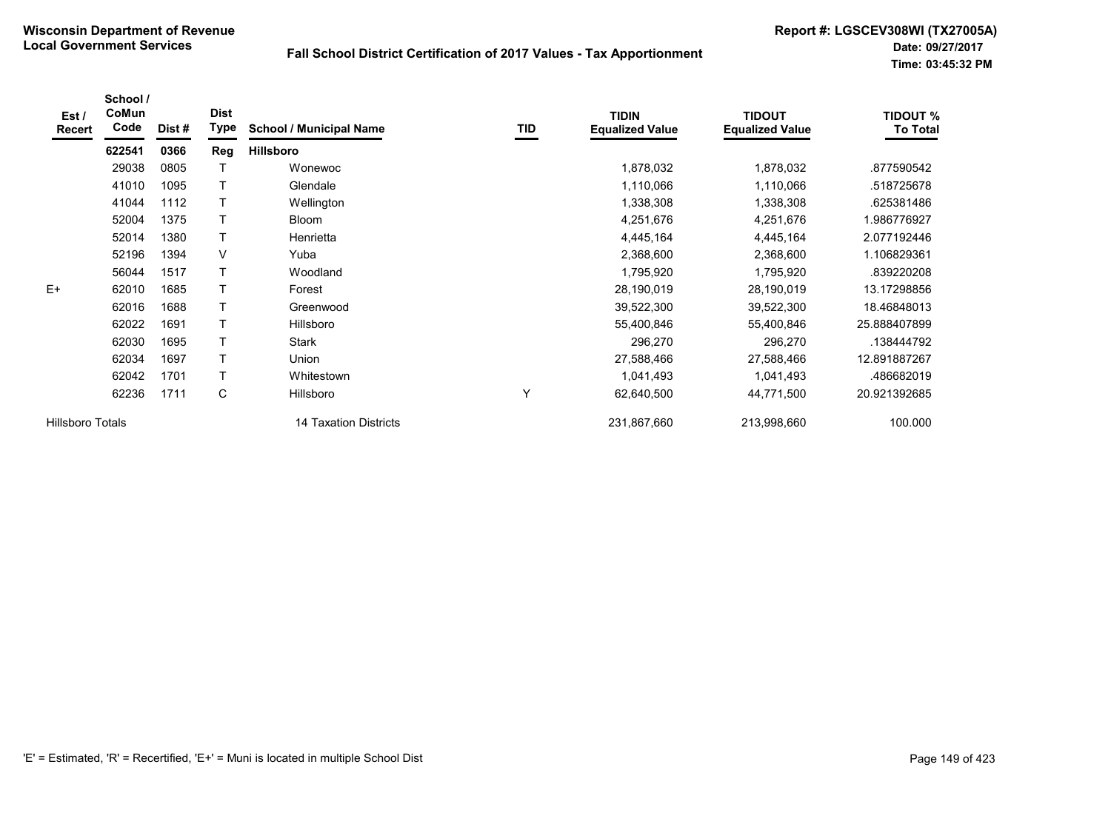| Est/<br><b>Recert</b>   | School /<br>CoMun<br>Code | Dist# | <b>Dist</b><br>Type | <b>School / Municipal Name</b> | TID | <b>TIDIN</b><br><b>Equalized Value</b> | <b>TIDOUT</b><br><b>Equalized Value</b> | <b>TIDOUT %</b><br><b>To Total</b> |
|-------------------------|---------------------------|-------|---------------------|--------------------------------|-----|----------------------------------------|-----------------------------------------|------------------------------------|
|                         | 622541                    | 0366  | Reg                 | <b>Hillsboro</b>               |     |                                        |                                         |                                    |
|                         | 29038                     | 0805  |                     | Wonewoc                        |     | 1,878,032                              | 1,878,032                               | .877590542                         |
|                         | 41010                     | 1095  |                     | Glendale                       |     | 1,110,066                              | 1,110,066                               | .518725678                         |
|                         | 41044                     | 1112  |                     | Wellington                     |     | 1,338,308                              | 1,338,308                               | .625381486                         |
|                         | 52004                     | 1375  |                     | <b>Bloom</b>                   |     | 4,251,676                              | 4,251,676                               | 1.986776927                        |
|                         | 52014                     | 1380  |                     | Henrietta                      |     | 4,445,164                              | 4,445,164                               | 2.077192446                        |
|                         | 52196                     | 1394  | V                   | Yuba                           |     | 2,368,600                              | 2,368,600                               | 1.106829361                        |
|                         | 56044                     | 1517  |                     | Woodland                       |     | 1,795,920                              | 1,795,920                               | .839220208                         |
| E+                      | 62010                     | 1685  |                     | Forest                         |     | 28,190,019                             | 28,190,019                              | 13.17298856                        |
|                         | 62016                     | 1688  | Τ                   | Greenwood                      |     | 39,522,300                             | 39,522,300                              | 18.46848013                        |
|                         | 62022                     | 1691  | $\mathsf{T}$        | Hillsboro                      |     | 55,400,846                             | 55,400,846                              | 25.888407899                       |
|                         | 62030                     | 1695  |                     | <b>Stark</b>                   |     | 296,270                                | 296,270                                 | .138444792                         |
|                         | 62034                     | 1697  | Τ                   | Union                          |     | 27,588,466                             | 27,588,466                              | 12.891887267                       |
|                         | 62042                     | 1701  | Τ                   | Whitestown                     |     | 1,041,493                              | 1,041,493                               | .486682019                         |
|                         | 62236                     | 1711  | С                   | Hillsboro                      | Υ   | 62,640,500                             | 44,771,500                              | 20.921392685                       |
| <b>Hillsboro Totals</b> |                           |       |                     | 14 Taxation Districts          |     | 231,867,660                            | 213,998,660                             | 100.000                            |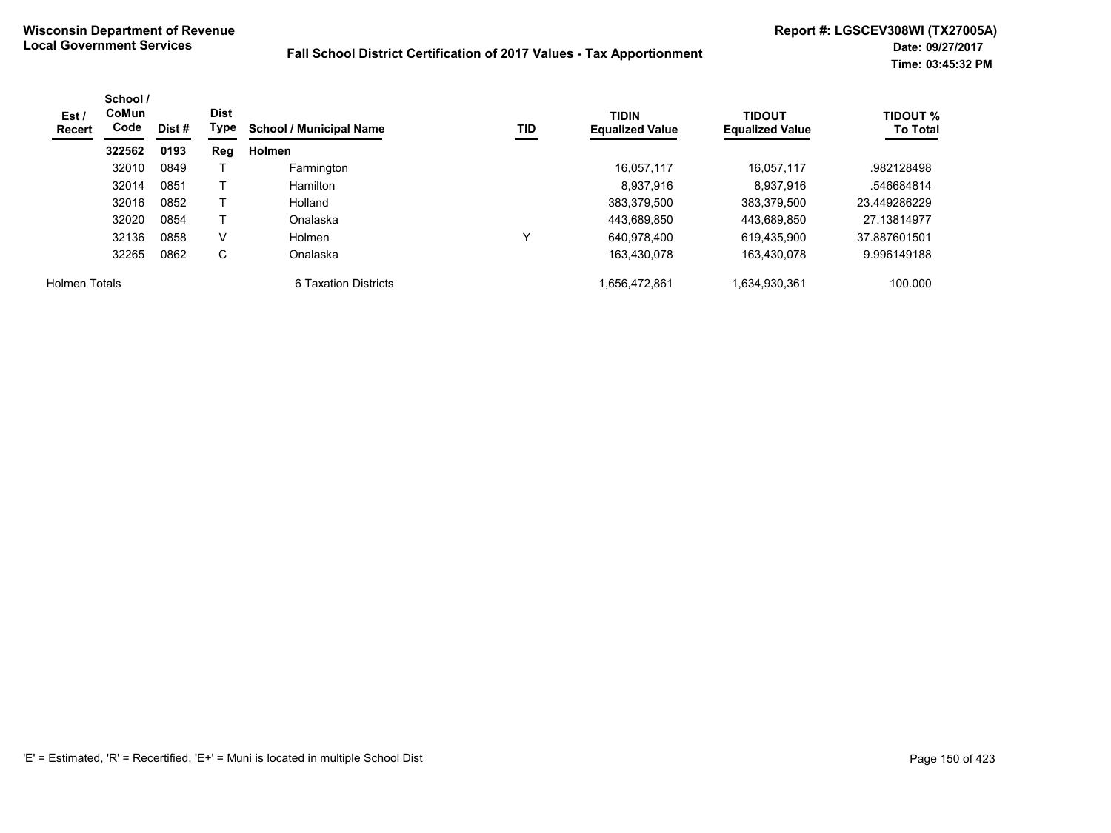| Est /<br><b>Recert</b> | School /<br><b>CoMun</b><br>Code | Dist # | <b>Dist</b><br>Type | <b>School / Municipal Name</b> | TID | <b>TIDIN</b><br><b>Equalized Value</b> | <b>TIDOUT</b><br><b>Equalized Value</b> | <b>TIDOUT %</b><br><b>To Total</b> |
|------------------------|----------------------------------|--------|---------------------|--------------------------------|-----|----------------------------------------|-----------------------------------------|------------------------------------|
|                        | 322562                           | 0193   | Reg                 | <b>Holmen</b>                  |     |                                        |                                         |                                    |
|                        | 32010                            | 0849   |                     | Farmington                     |     | 16.057.117                             | 16.057.117                              | .982128498                         |
|                        | 32014                            | 0851   |                     | Hamilton                       |     | 8.937.916                              | 8,937,916                               | .546684814                         |
|                        | 32016                            | 0852   |                     | Holland                        |     | 383.379.500                            | 383.379.500                             | 23.449286229                       |
|                        | 32020                            | 0854   |                     | Onalaska                       |     | 443.689.850                            | 443.689.850                             | 27.13814977                        |
|                        | 32136                            | 0858   | V                   | <b>Holmen</b>                  | v   | 640.978.400                            | 619.435.900                             | 37.887601501                       |
|                        | 32265                            | 0862   | С                   | Onalaska                       |     | 163,430,078                            | 163,430,078                             | 9.996149188                        |
| <b>Holmen Totals</b>   |                                  |        |                     | 6 Taxation Districts           |     | 1.656.472.861                          | 1,634,930,361                           | 100.000                            |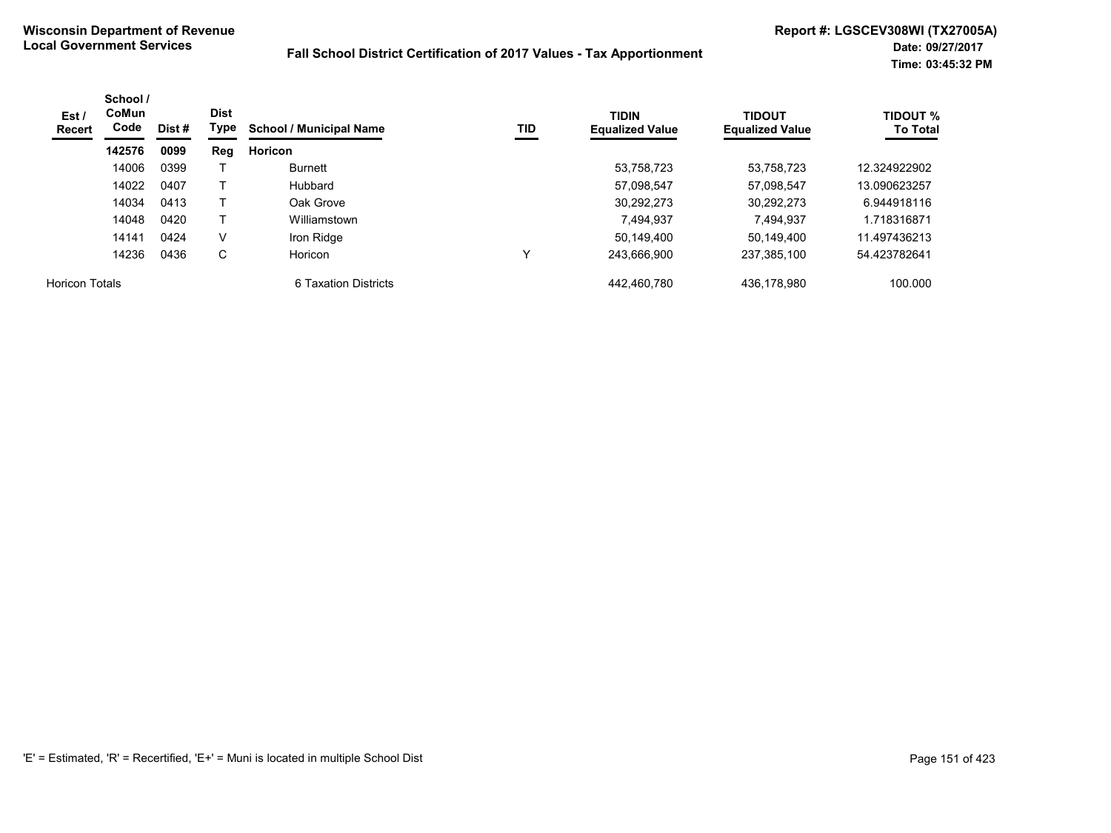| Est /<br>Recert       | School /<br>CoMun<br>Code | Dist # | <b>Dist</b><br>Type | <b>School / Municipal Name</b> | TID | <b>TIDIN</b><br><b>Equalized Value</b> | <b>TIDOUT</b><br><b>Equalized Value</b> | <b>TIDOUT %</b><br><b>To Total</b> |
|-----------------------|---------------------------|--------|---------------------|--------------------------------|-----|----------------------------------------|-----------------------------------------|------------------------------------|
|                       | 142576                    | 0099   | Reg                 | <b>Horicon</b>                 |     |                                        |                                         |                                    |
|                       | 14006                     | 0399   |                     | Burnett                        |     | 53,758,723                             | 53,758,723                              | 12.324922902                       |
|                       | 14022                     | 0407   |                     | Hubbard                        |     | 57,098,547                             | 57.098.547                              | 13.090623257                       |
|                       | 14034                     | 0413   |                     | Oak Grove                      |     | 30.292.273                             | 30,292,273                              | 6.944918116                        |
|                       | 14048                     | 0420   |                     | Williamstown                   |     | 7.494.937                              | 7.494.937                               | 1.718316871                        |
|                       | 14141                     | 0424   | v                   | Iron Ridge                     |     | 50.149.400                             | 50.149.400                              | 11.497436213                       |
|                       | 14236                     | 0436   | С                   | Horicon                        | v   | 243.666.900                            | 237.385.100                             | 54.423782641                       |
| <b>Horicon Totals</b> |                           |        |                     | 6 Taxation Districts           |     | 442.460.780                            | 436.178.980                             | 100.000                            |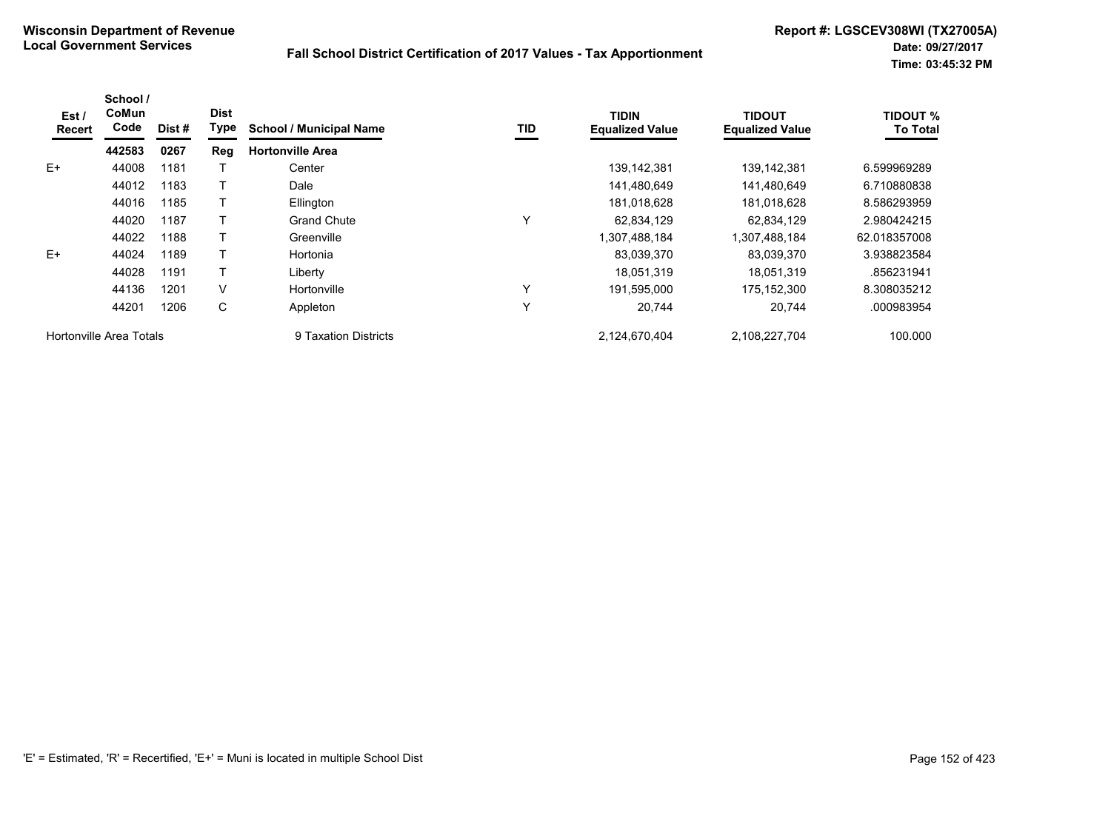| Est /<br>Recert | School /<br>CoMun<br>Code | Dist# | <b>Dist</b><br>Type | <b>School / Municipal Name</b> | TID | <b>TIDIN</b><br><b>Equalized Value</b> | <b>TIDOUT</b><br><b>Equalized Value</b> | <b>TIDOUT %</b><br><b>To Total</b> |
|-----------------|---------------------------|-------|---------------------|--------------------------------|-----|----------------------------------------|-----------------------------------------|------------------------------------|
|                 | 442583                    | 0267  | Reg                 | <b>Hortonville Area</b>        |     |                                        |                                         |                                    |
| $E+$            | 44008                     | 1181  |                     | Center                         |     | 139,142,381                            | 139.142.381                             | 6.599969289                        |
|                 | 44012                     | 1183  |                     | Dale                           |     | 141,480,649                            | 141,480,649                             | 6.710880838                        |
|                 | 44016                     | 1185  |                     | Ellington                      |     | 181,018,628                            | 181,018,628                             | 8.586293959                        |
|                 | 44020                     | 1187  |                     | <b>Grand Chute</b>             | Y   | 62,834,129                             | 62,834,129                              | 2.980424215                        |
|                 | 44022                     | 1188  |                     | Greenville                     |     | 184.888.184                            | 1,307,488,184                           | 62.018357008                       |
| $E+$            | 44024                     | 1189  |                     | Hortonia                       |     | 83,039,370                             | 83,039,370                              | 3.938823584                        |
|                 | 44028                     | 1191  |                     | Liberty                        |     | 18,051,319                             | 18,051,319                              | .856231941                         |
|                 | 44136                     | 1201  | V                   | Hortonville                    | Υ   | 191,595,000                            | 175,152,300                             | 8.308035212                        |
|                 | 44201                     | 1206  | C                   | Appleton                       | Υ   | 20,744                                 | 20.744                                  | .000983954                         |
|                 | Hortonville Area Totals   |       |                     | 9 Taxation Districts           |     | 2,124,670,404                          | 2,108,227,704                           | 100.000                            |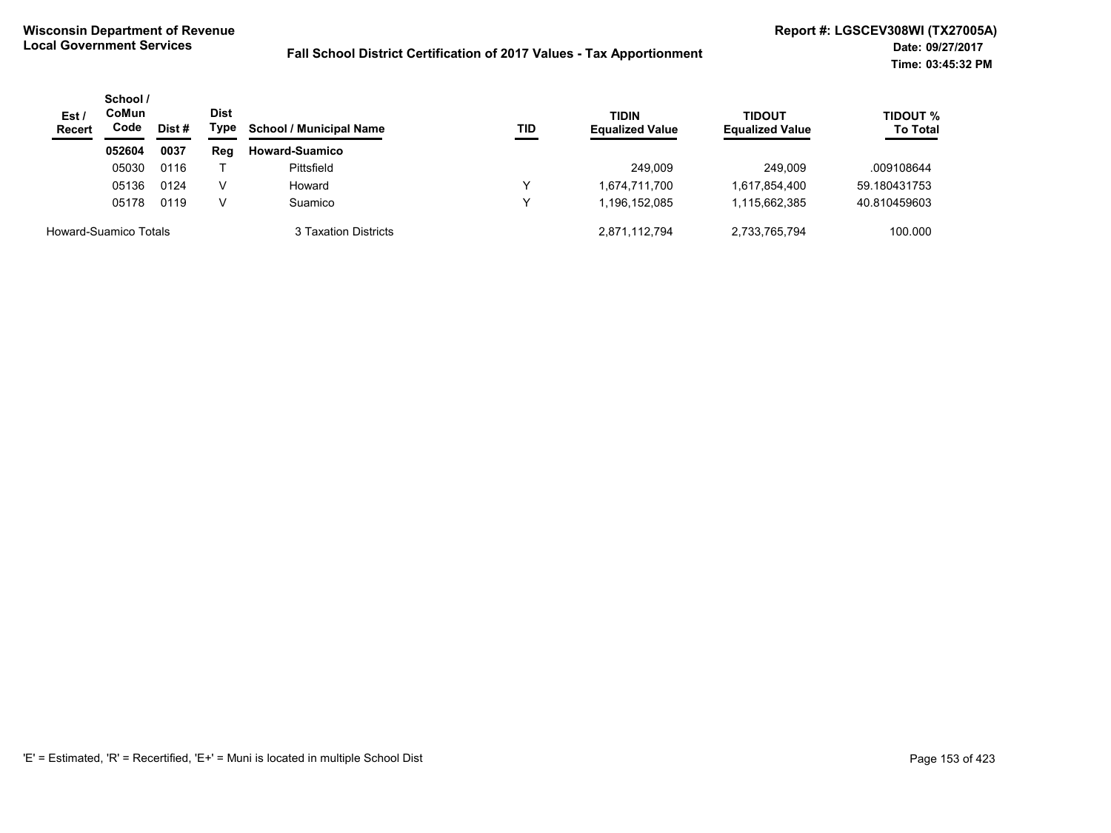| Est/<br><b>Recert</b> | School /<br>CoMun<br>Code | Dist# |     | <b>School / Municipal Name</b> | TID | <b>TIDIN</b><br><b>Equalized Value</b> | TIDOUT<br><b>Equalized Value</b> | TIDOUT %<br><b>To Total</b> |
|-----------------------|---------------------------|-------|-----|--------------------------------|-----|----------------------------------------|----------------------------------|-----------------------------|
|                       | 052604                    | 0037  | Reg | <b>Howard-Suamico</b>          |     |                                        |                                  |                             |
|                       | 05030                     | 0116  |     | Pittsfield                     |     | 249.009                                | 249.009                          | .009108644                  |
|                       | 05136                     | 0124  | V   | Howard                         | ◡   | 1,674,711,700                          | 1,617,854,400                    | 59.180431753                |
|                       | 05178                     | 0119  | v   | Suamico                        |     | 1.196.152.085                          | 1,115,662,385                    | 40.810459603                |
| Howard-Suamico Totals |                           |       |     | 3 Taxation Districts           |     | 2,871,112,794                          | 2,733,765,794                    | 100.000                     |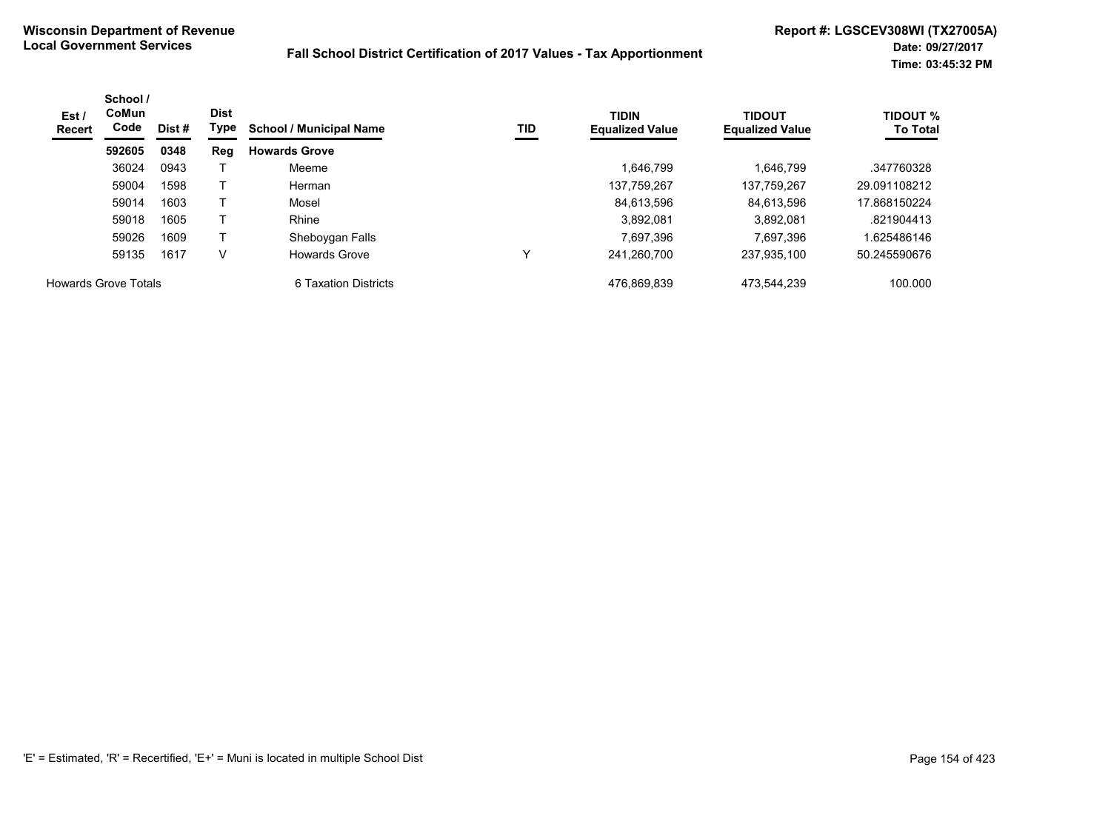| Est /<br><b>Recert</b> | School /<br><b>CoMun</b><br><b>Dist</b><br>Code<br>Dist # | Type | <b>School / Municipal Name</b><br>TID | <b>TIDIN</b><br><b>Equalized Value</b> | <b>TIDOUT</b><br><b>Equalized Value</b> | <b>TIDOUT %</b><br><b>To Total</b> |             |              |
|------------------------|-----------------------------------------------------------|------|---------------------------------------|----------------------------------------|-----------------------------------------|------------------------------------|-------------|--------------|
|                        | 592605                                                    | 0348 | Reg                                   | <b>Howards Grove</b>                   |                                         |                                    |             |              |
|                        | 36024                                                     | 0943 |                                       | Meeme                                  |                                         | 1.646.799                          | 1.646.799   | .347760328   |
|                        | 59004                                                     | 1598 |                                       | Herman                                 |                                         | 137.759.267                        | 137.759.267 | 29.091108212 |
|                        | 59014                                                     | 1603 |                                       | Mosel                                  |                                         | 84.613.596                         | 84.613.596  | 17.868150224 |
|                        | 59018                                                     | 1605 |                                       | Rhine                                  |                                         | 3,892,081                          | 3,892,081   | .821904413   |
|                        | 59026                                                     | 1609 |                                       | Sheboygan Falls                        |                                         | 7.697.396                          | 7.697.396   | .625486146   |
|                        | 59135                                                     | 1617 | V                                     | <b>Howards Grove</b>                   |                                         | 241,260,700                        | 237,935,100 | 50.245590676 |
| Howards Grove Totals   |                                                           |      |                                       | 6 Taxation Districts                   |                                         | 476.869.839                        | 473.544.239 | 100.000      |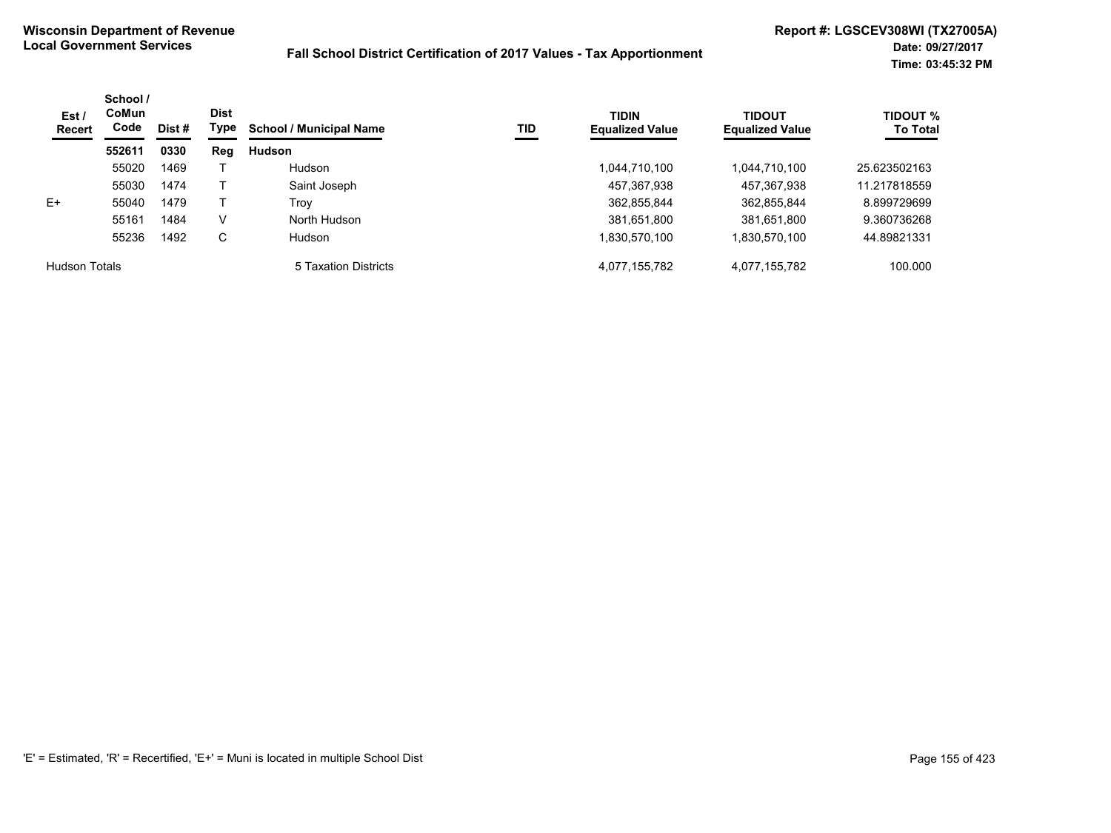| Est /<br>Recert      | School /<br><b>CoMun</b><br>Code | Dist # | <b>Dist</b><br>Type | <b>School / Municipal Name</b> | <b>TID</b> | <b>TIDIN</b><br><b>Equalized Value</b> | <b>TIDOUT</b><br><b>Equalized Value</b> | <b>TIDOUT %</b><br><b>To Total</b> |
|----------------------|----------------------------------|--------|---------------------|--------------------------------|------------|----------------------------------------|-----------------------------------------|------------------------------------|
|                      | 552611                           | 0330   | Reg                 | <b>Hudson</b>                  |            |                                        |                                         |                                    |
|                      | 55020                            | 1469   |                     | Hudson                         |            | 1.044.710.100                          | 1,044,710,100                           | 25.623502163                       |
|                      | 55030                            | 1474   |                     | Saint Joseph                   |            | 457,367,938                            | 457,367,938                             | 11.217818559                       |
| E+                   | 55040                            | 1479   |                     | Trov                           |            | 362,855,844                            | 362,855,844                             | 8.899729699                        |
|                      | 55161                            | 1484   | V                   | North Hudson                   |            | 381,651,800                            | 381,651,800                             | 9.360736268                        |
|                      | 55236                            | 1492   | C                   | Hudson                         |            | 1,830,570,100                          | 1,830,570,100                           | 44.89821331                        |
| <b>Hudson Totals</b> |                                  |        |                     | 5 Taxation Districts           |            | 4,077,155,782                          | 4,077,155,782                           | 100.000                            |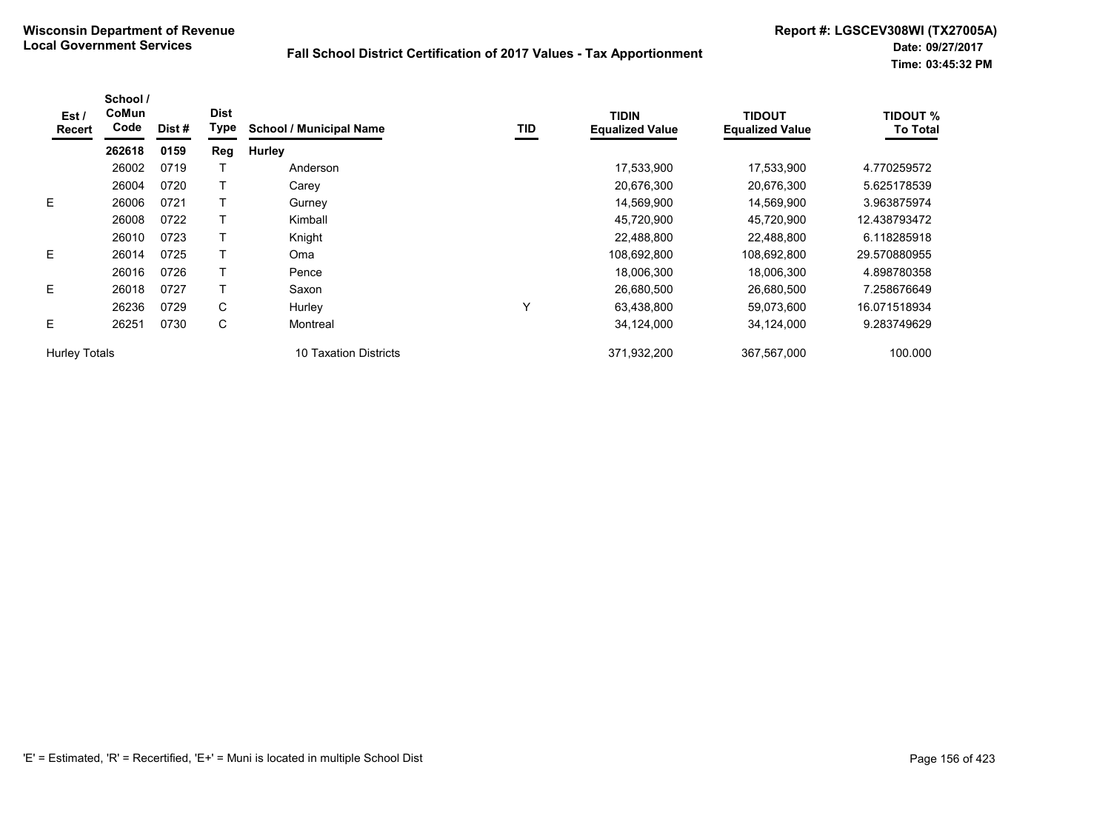| Est /<br>Recert      | School /<br>CoMun<br>Code | Dist # | <b>Dist</b><br><b>Type</b> | <b>School / Municipal Name</b> | TID | <b>TIDIN</b><br><b>Equalized Value</b> | <b>TIDOUT</b><br><b>Equalized Value</b> | TIDOUT %<br><b>To Total</b> |
|----------------------|---------------------------|--------|----------------------------|--------------------------------|-----|----------------------------------------|-----------------------------------------|-----------------------------|
|                      | 262618                    | 0159   | Reg                        | <b>Hurley</b>                  |     |                                        |                                         |                             |
|                      | 26002                     | 0719   |                            | Anderson                       |     | 17,533,900                             | 17,533,900                              | 4.770259572                 |
|                      | 26004                     | 0720   |                            | Carey                          |     | 20,676,300                             | 20,676,300                              | 5.625178539                 |
| E                    | 26006                     | 0721   |                            | Gurney                         |     | 14,569,900                             | 14,569,900                              | 3.963875974                 |
|                      | 26008                     | 0722   |                            | Kimball                        |     | 45,720,900                             | 45,720,900                              | 12.438793472                |
|                      | 26010                     | 0723   |                            | Knight                         |     | 22,488,800                             | 22.488.800                              | 6.118285918                 |
| E                    | 26014                     | 0725   |                            | Oma                            |     | 108,692,800                            | 108,692,800                             | 29.570880955                |
|                      | 26016                     | 0726   |                            | Pence                          |     | 18,006,300                             | 18,006,300                              | 4.898780358                 |
| E.                   | 26018                     | 0727   |                            | Saxon                          |     | 26,680,500                             | 26,680,500                              | 7.258676649                 |
|                      | 26236                     | 0729   | C                          | Hurley                         | Υ   | 63,438,800                             | 59,073,600                              | 16.071518934                |
| E                    | 26251                     | 0730   | C                          | Montreal                       |     | 34,124,000                             | 34,124,000                              | 9.283749629                 |
| <b>Hurley Totals</b> |                           |        |                            | 10 Taxation Districts          |     | 371,932,200                            | 367,567,000                             | 100.000                     |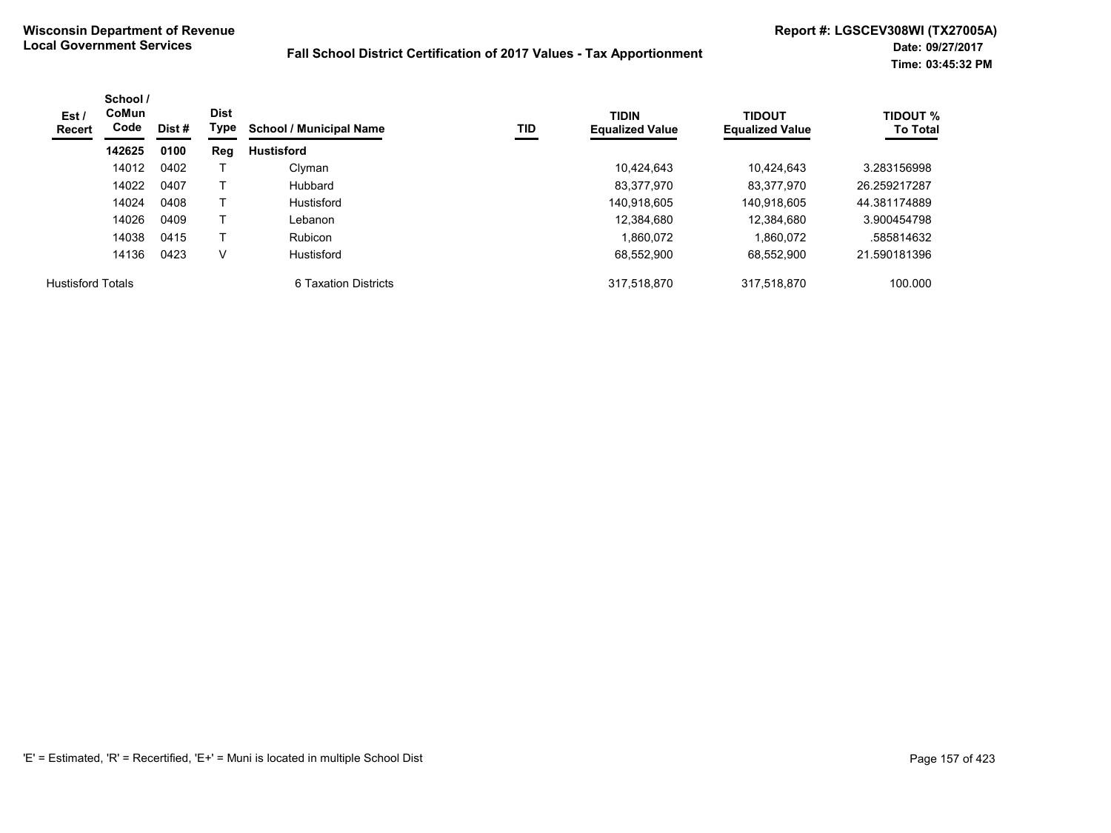| Est /<br>Recert          | School /<br>CoMun<br>Code | Dist # | <b>Dist</b><br>Type | <b>School / Municipal Name</b> | TID | <b>TIDIN</b><br><b>Equalized Value</b> | <b>TIDOUT</b><br><b>Equalized Value</b> | TIDOUT %<br><b>To Total</b> |
|--------------------------|---------------------------|--------|---------------------|--------------------------------|-----|----------------------------------------|-----------------------------------------|-----------------------------|
|                          | 142625                    | 0100   | Reg                 | <b>Hustisford</b>              |     |                                        |                                         |                             |
|                          | 14012                     | 0402   |                     | Clyman                         |     | 10.424.643                             | 10.424.643                              | 3.283156998                 |
|                          | 14022                     | 0407   |                     | Hubbard                        |     | 83,377,970                             | 83,377,970                              | 26.259217287                |
|                          | 14024                     | 0408   |                     | Hustisford                     |     | 140,918,605                            | 140,918,605                             | 44.381174889                |
|                          | 14026                     | 0409   |                     | Lebanon                        |     | 12.384.680                             | 12,384,680                              | 3.900454798                 |
|                          | 14038                     | 0415   |                     | <b>Rubicon</b>                 |     | 1.860.072                              | 1.860.072                               | .585814632                  |
|                          | 14136                     | 0423   | v                   | Hustisford                     |     | 68.552.900                             | 68.552.900                              | 21.590181396                |
| <b>Hustisford Totals</b> |                           |        |                     | 6 Taxation Districts           |     | 317.518.870                            | 317.518.870                             | 100.000                     |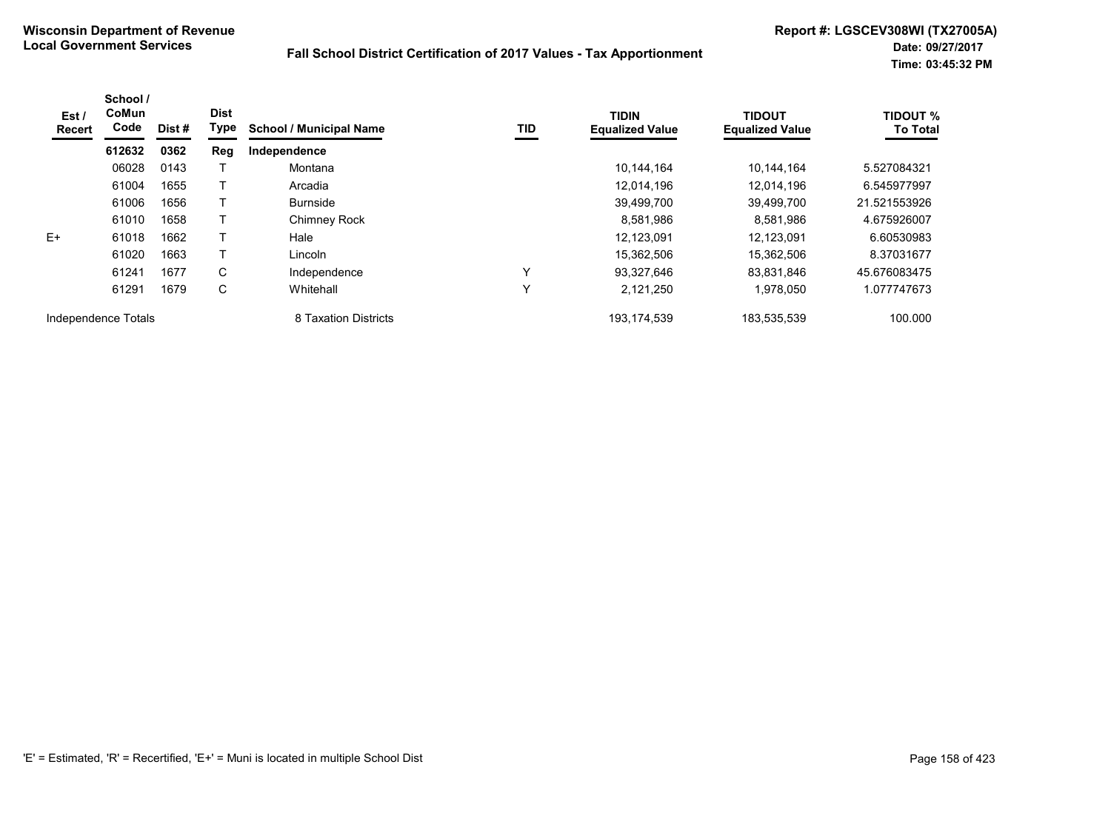| Est /<br>Recert     | School /<br>CoMun<br>Code | Dist# | <b>Dist</b><br><b>Type</b> | <b>School / Municipal Name</b> | TID          | <b>TIDIN</b><br><b>Equalized Value</b> | <b>TIDOUT</b><br><b>Equalized Value</b> | <b>TIDOUT %</b><br><b>To Total</b> |
|---------------------|---------------------------|-------|----------------------------|--------------------------------|--------------|----------------------------------------|-----------------------------------------|------------------------------------|
|                     | 612632                    | 0362  | Reg                        | Independence                   |              |                                        |                                         |                                    |
|                     | 06028                     | 0143  |                            | Montana                        |              | 10,144,164                             | 10.144.164                              | 5.527084321                        |
|                     | 61004                     | 1655  |                            | Arcadia                        |              | 12,014,196                             | 12.014.196                              | 6.545977997                        |
|                     | 61006                     | 1656  |                            | <b>Burnside</b>                |              | 39,499,700                             | 39.499.700                              | 21.521553926                       |
|                     | 61010                     | 1658  |                            | Chimney Rock                   |              | 8,581,986                              | 8,581,986                               | 4.675926007                        |
| E+                  | 61018                     | 1662  |                            | Hale                           |              | 12,123,091                             | 12.123.091                              | 6.60530983                         |
|                     | 61020                     | 1663  |                            | Lincoln                        |              | 15,362,506                             | 15,362,506                              | 8.37031677                         |
|                     | 61241                     | 1677  | C                          | Independence                   | ν            | 93,327,646                             | 83.831.846                              | 45.676083475                       |
|                     | 61291                     | 1679  | C                          | Whitehall                      | $\checkmark$ | 2,121,250                              | 1,978,050                               | 1.077747673                        |
| Independence Totals |                           |       |                            | 8 Taxation Districts           |              | 193, 174, 539                          | 183,535,539                             | 100.000                            |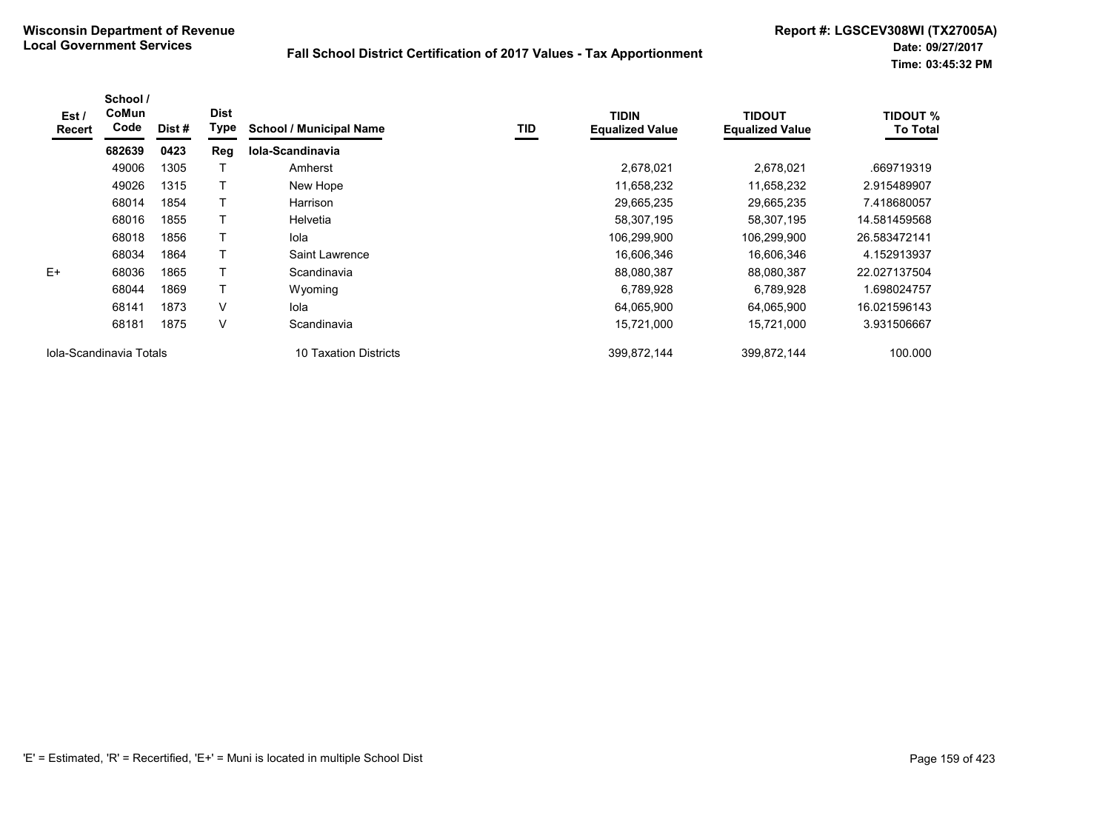| Est /<br><b>Recert</b>  | School /<br>CoMun<br>Code | Dist # | <b>Dist</b><br>Type | <b>School / Municipal Name</b> | TID | <b>TIDIN</b><br><b>Equalized Value</b> | <b>TIDOUT</b><br><b>Equalized Value</b> | <b>TIDOUT %</b><br><b>To Total</b> |
|-------------------------|---------------------------|--------|---------------------|--------------------------------|-----|----------------------------------------|-----------------------------------------|------------------------------------|
|                         | 682639                    | 0423   | Reg                 | Iola-Scandinavia               |     |                                        |                                         |                                    |
|                         | 49006                     | 1305   |                     | Amherst                        |     | 2,678,021                              | 2,678,021                               | .669719319                         |
|                         | 49026                     | 1315   |                     | New Hope                       |     | 11,658,232                             | 11,658,232                              | 2.915489907                        |
|                         | 68014                     | 1854   |                     | Harrison                       |     | 29,665,235                             | 29,665,235                              | 7.418680057                        |
|                         | 68016                     | 1855   |                     | Helvetia                       |     | 58,307,195                             | 58,307,195                              | 14.581459568                       |
|                         | 68018                     | 1856   |                     | lola                           |     | 106,299,900                            | 106,299,900                             | 26.583472141                       |
|                         | 68034                     | 1864   | Т                   | Saint Lawrence                 |     | 16,606,346                             | 16,606,346                              | 4.152913937                        |
| $E+$                    | 68036                     | 1865   |                     | Scandinavia                    |     | 88,080,387                             | 88,080,387                              | 22.027137504                       |
|                         | 68044                     | 1869   | т                   | Wyoming                        |     | 6,789,928                              | 6,789,928                               | 1.698024757                        |
|                         | 68141                     | 1873   | $\vee$              | lola                           |     | 64,065,900                             | 64,065,900                              | 16.021596143                       |
|                         | 68181                     | 1875   | $\vee$              | Scandinavia                    |     | 15,721,000                             | 15,721,000                              | 3.931506667                        |
| Iola-Scandinavia Totals |                           |        |                     | 10 Taxation Districts          |     | 399,872,144                            | 399.872.144                             | 100.000                            |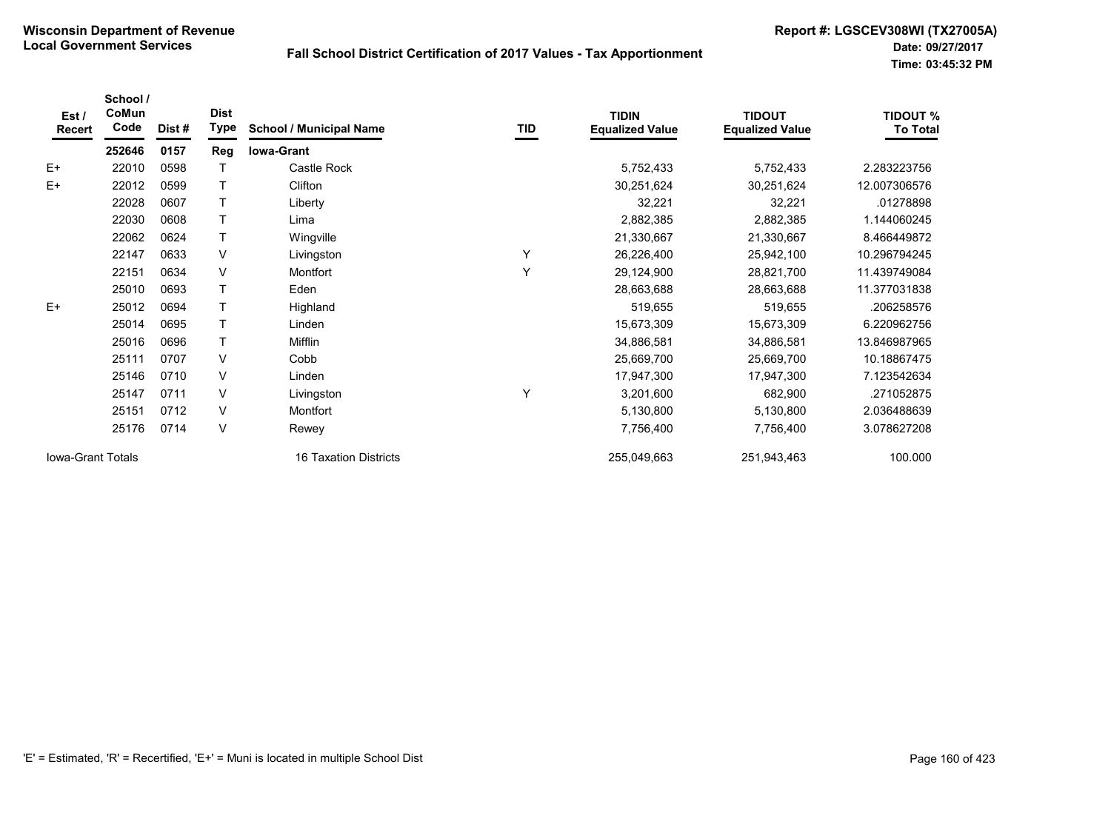| Est /<br>Recert          | School /<br>CoMun<br>Code | Dist # | <b>Dist</b><br><b>Type</b> | <b>School / Municipal Name</b> | TID | <b>TIDIN</b><br><b>Equalized Value</b> | <b>TIDOUT</b><br><b>Equalized Value</b> | <b>TIDOUT %</b><br><b>To Total</b> |
|--------------------------|---------------------------|--------|----------------------------|--------------------------------|-----|----------------------------------------|-----------------------------------------|------------------------------------|
|                          | 252646                    | 0157   | Reg                        | <b>Iowa-Grant</b>              |     |                                        |                                         |                                    |
| $E+$                     | 22010                     | 0598   |                            | Castle Rock                    |     | 5,752,433                              | 5,752,433                               | 2.283223756                        |
| $E+$                     | 22012                     | 0599   |                            | Clifton                        |     | 30,251,624                             | 30,251,624                              | 12.007306576                       |
|                          | 22028                     | 0607   |                            | Liberty                        |     | 32,221                                 | 32,221                                  | 01278898                           |
|                          | 22030                     | 0608   |                            | Lima                           |     | 2,882,385                              | 2,882,385                               | 1.144060245                        |
|                          | 22062                     | 0624   | T                          | Wingville                      |     | 21,330,667                             | 21,330,667                              | 8.466449872                        |
|                          | 22147                     | 0633   | V                          | Livingston                     | Υ   | 26,226,400                             | 25,942,100                              | 10.296794245                       |
|                          | 22151                     | 0634   | V                          | Montfort                       | Y   | 29,124,900                             | 28,821,700                              | 11.439749084                       |
|                          | 25010                     | 0693   |                            | Eden                           |     | 28,663,688                             | 28,663,688                              | 11.377031838                       |
| $E+$                     | 25012                     | 0694   |                            | Highland                       |     | 519,655                                | 519,655                                 | .206258576                         |
|                          | 25014                     | 0695   |                            | Linden                         |     | 15,673,309                             | 15,673,309                              | 6.220962756                        |
|                          | 25016                     | 0696   |                            | Mifflin                        |     | 34,886,581                             | 34,886,581                              | 13.846987965                       |
|                          | 25111                     | 0707   | V                          | Cobb                           |     | 25,669,700                             | 25,669,700                              | 10.18867475                        |
|                          | 25146                     | 0710   | V                          | Linden                         |     | 17,947,300                             | 17,947,300                              | 7.123542634                        |
|                          | 25147                     | 0711   | V                          | Livingston                     | Y   | 3,201,600                              | 682,900                                 | .271052875                         |
|                          | 25151                     | 0712   | V                          | Montfort                       |     | 5,130,800                              | 5,130,800                               | 2.036488639                        |
|                          | 25176                     | 0714   | V                          | Rewey                          |     | 7,756,400                              | 7,756,400                               | 3.078627208                        |
| <b>Iowa-Grant Totals</b> |                           |        |                            | 16 Taxation Districts          |     | 255,049,663                            | 251,943,463                             | 100.000                            |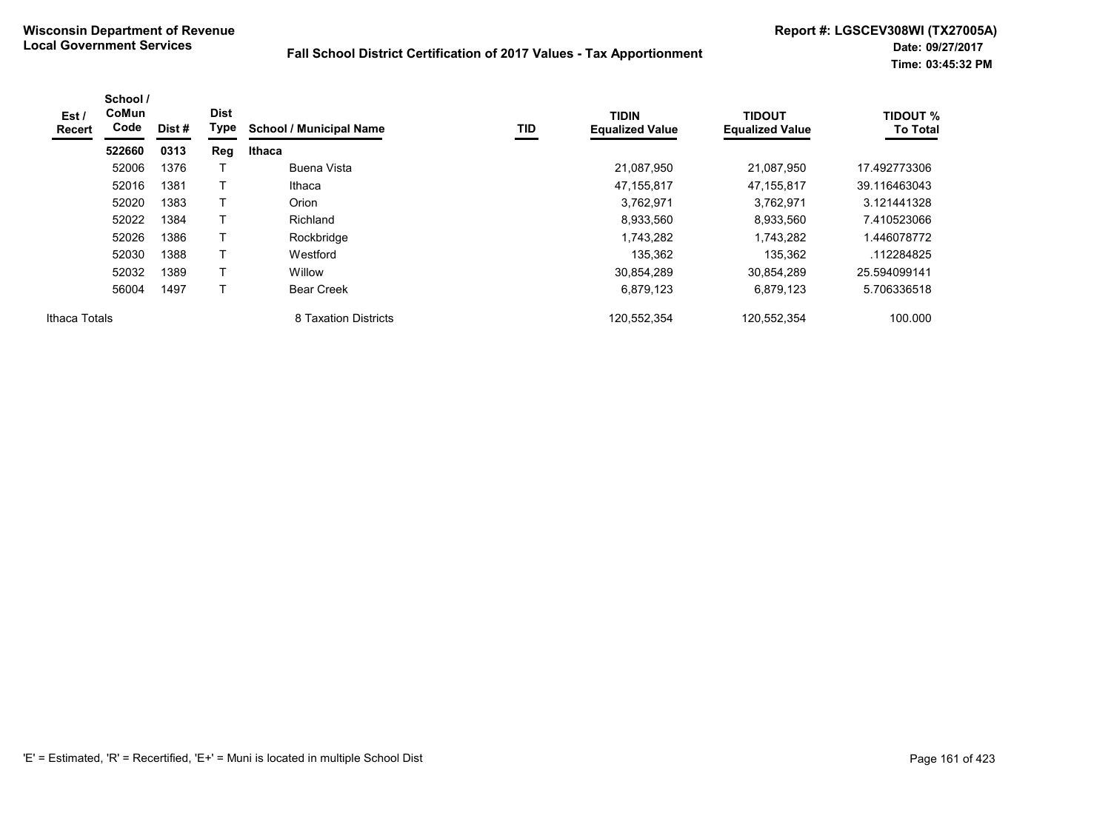| Est /<br>Recert | School /<br><b>CoMun</b><br>Code | Dist # | <b>Dist</b><br>Type | <b>School / Municipal Name</b> | TID | <b>TIDIN</b><br><b>Equalized Value</b> | <b>TIDOUT</b><br><b>Equalized Value</b> | <b>TIDOUT %</b><br><b>To Total</b> |
|-----------------|----------------------------------|--------|---------------------|--------------------------------|-----|----------------------------------------|-----------------------------------------|------------------------------------|
|                 | 522660                           | 0313   | Reg                 | Ithaca                         |     |                                        |                                         |                                    |
|                 | 52006                            | 1376   |                     | Buena Vista                    |     | 21,087,950                             | 21,087,950                              | 17.492773306                       |
|                 | 52016                            | 1381   | $\top$              | Ithaca                         |     | 47,155,817                             | 47,155,817                              | 39.116463043                       |
|                 | 52020                            | 1383   | Т                   | Orion                          |     | 3,762,971                              | 3,762,971                               | 3.121441328                        |
|                 | 52022                            | 1384   | Т                   | Richland                       |     | 8,933,560                              | 8,933,560                               | 7.410523066                        |
|                 | 52026                            | 1386   | Т                   | Rockbridge                     |     | 1,743,282                              | 1,743,282                               | 1.446078772                        |
|                 | 52030                            | 1388   | Т                   | Westford                       |     | 135,362                                | 135,362                                 | .112284825                         |
|                 | 52032                            | 1389   | Т                   | Willow                         |     | 30,854,289                             | 30.854.289                              | 25.594099141                       |
|                 | 56004                            | 1497   | т                   | <b>Bear Creek</b>              |     | 6,879,123                              | 6,879,123                               | 5.706336518                        |
| Ithaca Totals   |                                  |        |                     | 8 Taxation Districts           |     | 120,552,354                            | 120,552,354                             | 100.000                            |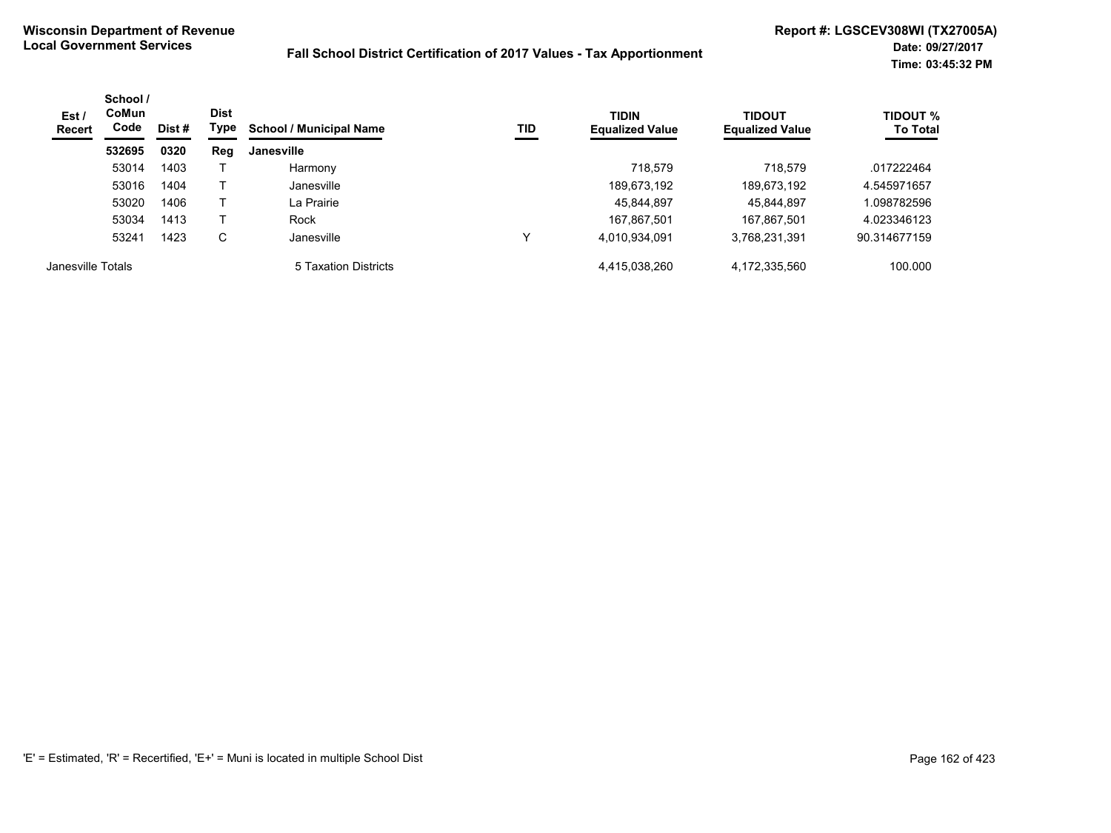| Est /<br>Recert   | School /<br><b>CoMun</b><br>Code | Dist # | <b>Dist</b><br>Type | <b>School / Municipal Name</b> | TID | <b>TIDIN</b><br><b>Equalized Value</b> | <b>TIDOUT</b><br><b>Equalized Value</b> | <b>TIDOUT %</b><br><b>To Total</b> |
|-------------------|----------------------------------|--------|---------------------|--------------------------------|-----|----------------------------------------|-----------------------------------------|------------------------------------|
|                   | 532695                           | 0320   | Reg                 | Janesville                     |     |                                        |                                         |                                    |
|                   | 53014                            | 1403   |                     | Harmony                        |     | 718.579                                | 718.579                                 | .017222464                         |
|                   | 53016                            | 1404   |                     | Janesville                     |     | 189,673,192                            | 189,673,192                             | 4.545971657                        |
|                   | 53020                            | 1406   |                     | La Prairie                     |     | 45,844,897                             | 45,844,897                              | 098782596.ا                        |
|                   | 53034                            | 1413   |                     | Rock                           |     | 167.867.501                            | 167.867.501                             | 4.023346123                        |
|                   | 53241                            | 1423   | C                   | Janesville                     | ∨   | 4,010,934,091                          | 3,768,231,391                           | 90.314677159                       |
| Janesville Totals |                                  |        |                     | 5 Taxation Districts           |     | 4,415,038,260                          | 4,172,335,560                           | 100.000                            |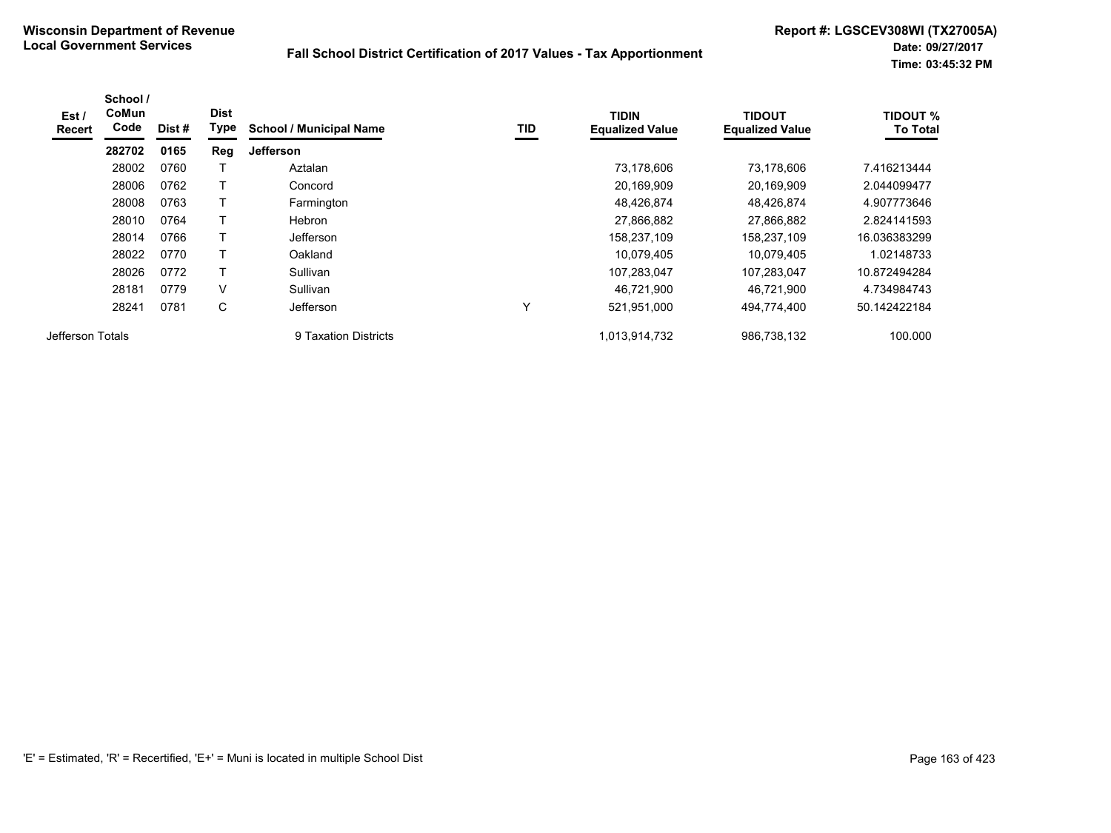| Est /<br><b>Recert</b> | School /<br>CoMun<br>Code | Dist# | <b>Dist</b><br>Type | <b>School / Municipal Name</b> | TID | <b>TIDIN</b><br><b>Equalized Value</b> | <b>TIDOUT</b><br><b>Equalized Value</b> | <b>TIDOUT %</b><br><b>To Total</b> |
|------------------------|---------------------------|-------|---------------------|--------------------------------|-----|----------------------------------------|-----------------------------------------|------------------------------------|
|                        | 282702                    | 0165  | Reg                 | <b>Jefferson</b>               |     |                                        |                                         |                                    |
|                        | 28002                     | 0760  |                     | Aztalan                        |     | 73,178,606                             | 73,178,606                              | 7.416213444                        |
|                        | 28006                     | 0762  |                     | Concord                        |     | 20,169,909                             | 20.169.909                              | 2.044099477                        |
|                        | 28008                     | 0763  |                     | Farmington                     |     | 48,426,874                             | 48,426,874                              | 4.907773646                        |
|                        | 28010                     | 0764  |                     | Hebron                         |     | 27,866,882                             | 27,866,882                              | 2.824141593                        |
|                        | 28014                     | 0766  |                     | Jefferson                      |     | 158,237,109                            | 158,237,109                             | 16.036383299                       |
|                        | 28022                     | 0770  |                     | Oakland                        |     | 10,079,405                             | 10,079,405                              | 1.02148733                         |
|                        | 28026                     | 0772  |                     | Sullivan                       |     | 107,283,047                            | 107,283,047                             | 10.872494284                       |
|                        | 28181                     | 0779  | V                   | Sullivan                       |     | 46,721,900                             | 46.721.900                              | 4.734984743                        |
|                        | 28241                     | 0781  | С                   | Jefferson                      | Y   | 521,951,000                            | 494,774,400                             | 50.142422184                       |
| Jefferson Totals       |                           |       |                     | 9 Taxation Districts           |     | 1.013.914.732                          | 986.738.132                             | 100.000                            |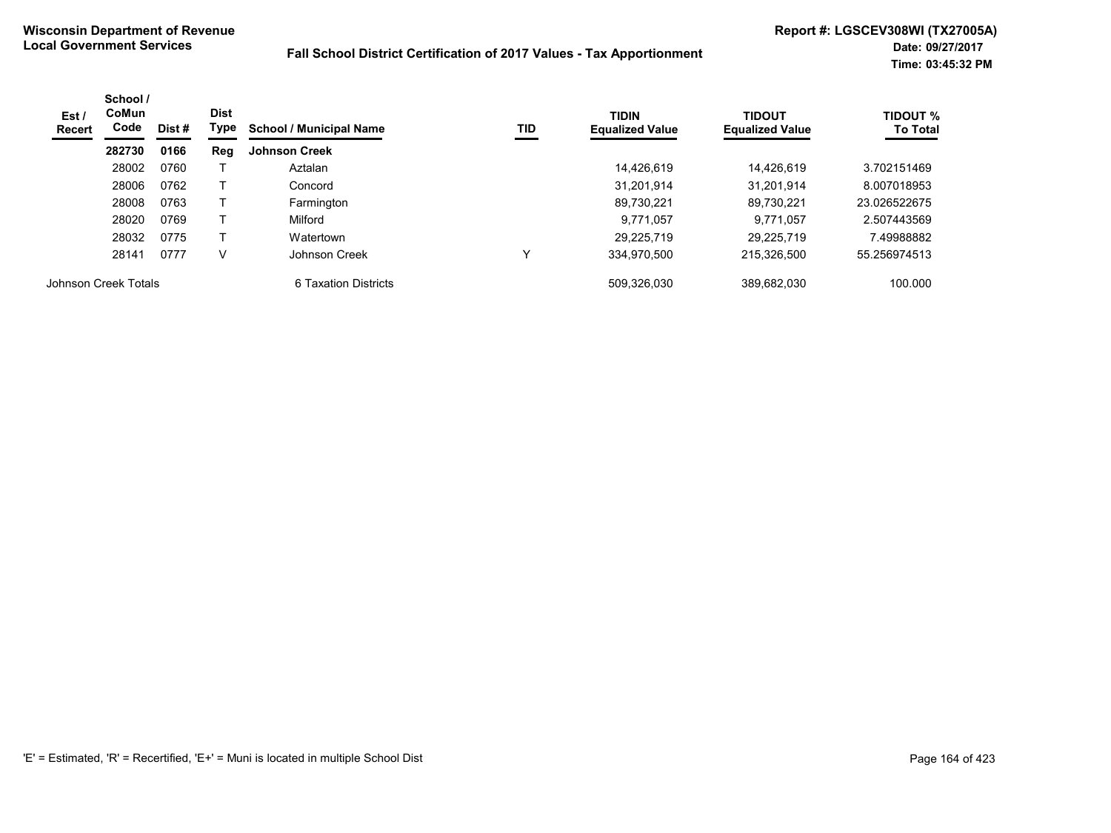| Est /<br><b>Recert</b> | School /<br><b>CoMun</b><br><b>Dist</b><br>Code<br>Type<br>Dist # |      | <b>School / Municipal Name</b> | TID                  | <b>TIDIN</b><br><b>Equalized Value</b> | <b>TIDOUT</b><br><b>Equalized Value</b> | <b>TIDOUT %</b><br><b>To Total</b> |              |
|------------------------|-------------------------------------------------------------------|------|--------------------------------|----------------------|----------------------------------------|-----------------------------------------|------------------------------------|--------------|
|                        | 282730                                                            | 0166 | Reg                            | <b>Johnson Creek</b> |                                        |                                         |                                    |              |
|                        | 28002                                                             | 0760 |                                | Aztalan              |                                        | 14.426.619                              | 14.426.619                         | 3.702151469  |
|                        | 28006                                                             | 0762 |                                | Concord              |                                        | 31,201,914                              | 31.201.914                         | 8.007018953  |
|                        | 28008                                                             | 0763 |                                | Farmington           |                                        | 89.730.221                              | 89.730.221                         | 23.026522675 |
|                        | 28020                                                             | 0769 |                                | Milford              |                                        | 9,771,057                               | 9.771.057                          | 2.507443569  |
|                        | 28032                                                             | 0775 |                                | Watertown            |                                        | 29,225,719                              | 29.225.719                         | 7.49988882   |
|                        | 28141                                                             | 0777 | v                              | Johnson Creek        |                                        | 334,970,500                             | 215.326.500                        | 55.256974513 |
| Johnson Creek Totals   |                                                                   |      |                                | 6 Taxation Districts |                                        | 509.326.030                             | 389.682.030                        | 100.000      |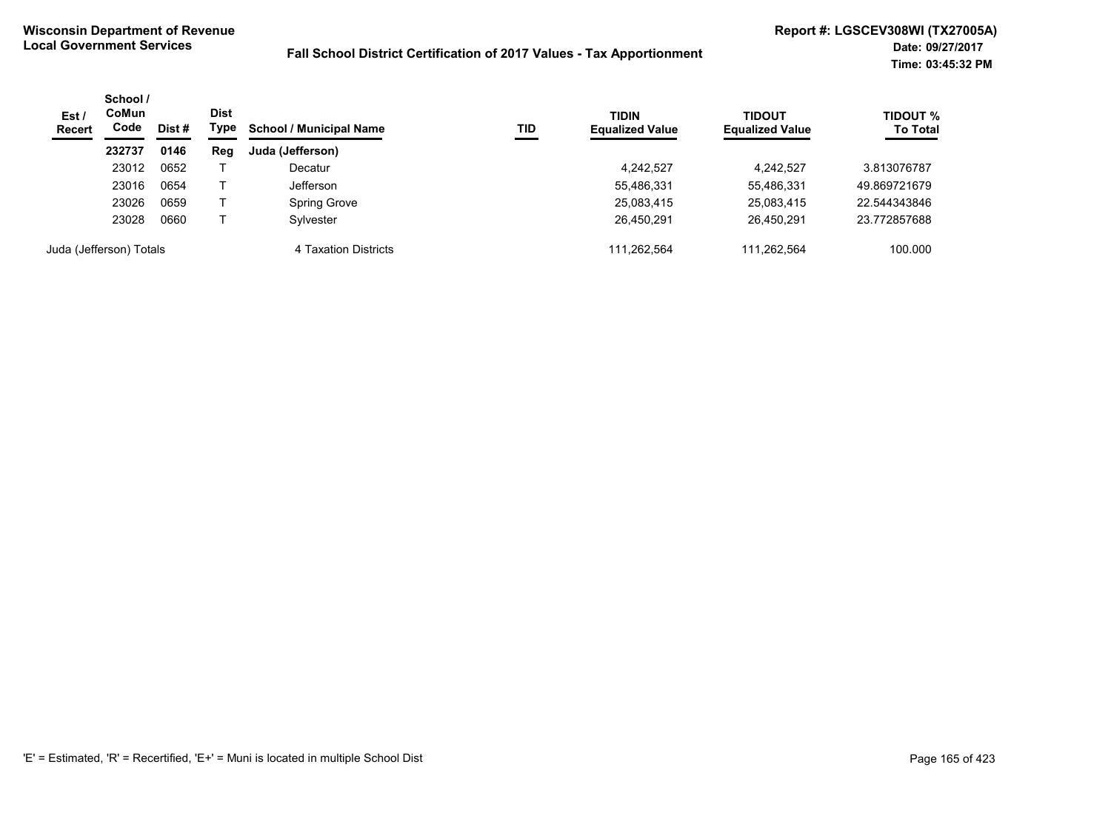| Est /<br><b>Recert</b> | School /<br>CoMun<br>Code | Dist<br>Type<br>Dist # |     | <b>School / Municipal Name</b><br>TID | <b>TIDIN</b><br><b>Equalized Value</b> | <b>TIDOUT</b><br><b>Equalized Value</b> | <b>TIDOUT %</b><br><b>To Total</b> |              |
|------------------------|---------------------------|------------------------|-----|---------------------------------------|----------------------------------------|-----------------------------------------|------------------------------------|--------------|
|                        | 232737                    | 0146                   | Reg | Juda (Jefferson)                      |                                        |                                         |                                    |              |
|                        | 23012                     | 0652                   |     | Decatur                               |                                        | 4,242,527                               | 4,242,527                          | 3.813076787  |
|                        | 23016                     | 0654                   |     | <b>Jefferson</b>                      |                                        | 55,486,331                              | 55,486,331                         | 49.869721679 |
|                        | 23026                     | 0659                   |     | Spring Grove                          |                                        | 25,083,415                              | 25,083,415                         | 22.544343846 |
|                        | 23028                     | 0660                   |     | Sylvester                             |                                        | 26,450,291                              | 26.450.291                         | 23.772857688 |
|                        | Juda (Jefferson) Totals   |                        |     | 4 Taxation Districts                  |                                        | 111.262.564                             | 111.262.564                        | 100.000      |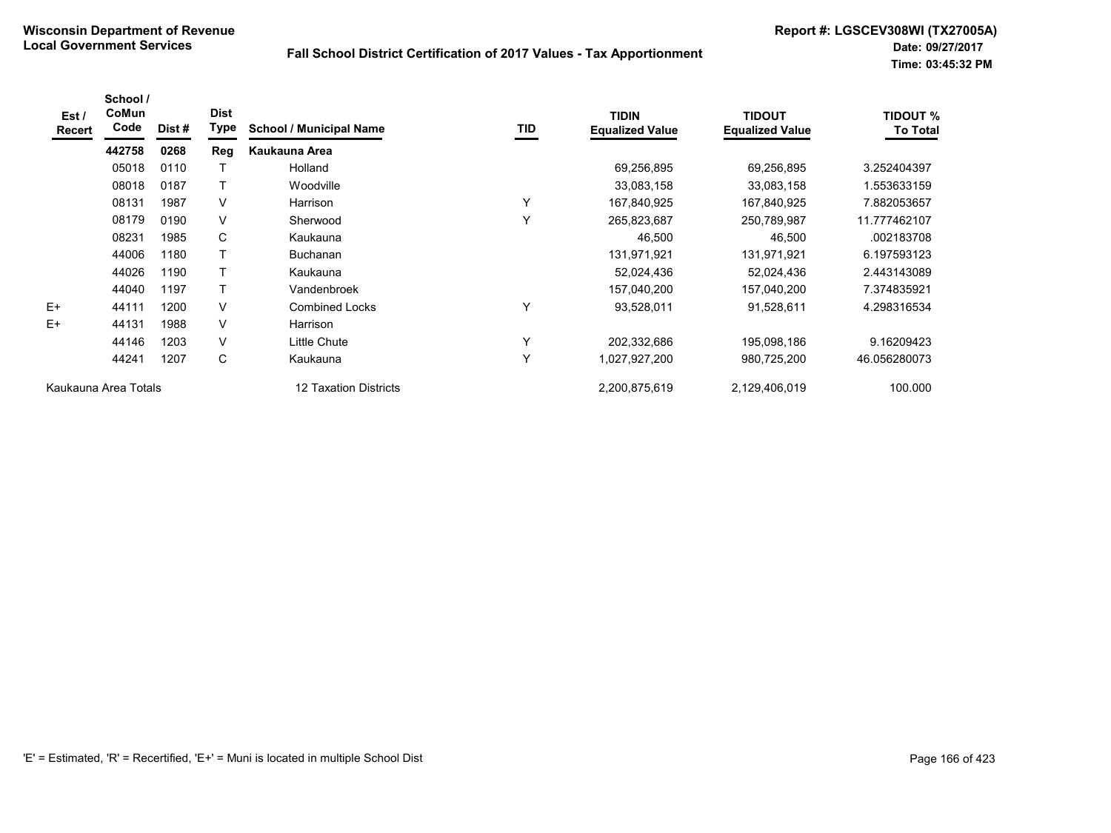| Est /<br>Recert | School /<br><b>CoMun</b><br>Code | Dist# | <b>Dist</b><br>Type | <b>School / Municipal Name</b> | <b>TID</b> | <b>TIDIN</b><br><b>Equalized Value</b> | <b>TIDOUT</b><br><b>Equalized Value</b> | <b>TIDOUT %</b><br><b>To Total</b> |
|-----------------|----------------------------------|-------|---------------------|--------------------------------|------------|----------------------------------------|-----------------------------------------|------------------------------------|
|                 | 442758                           | 0268  | Reg                 | Kaukauna Area                  |            |                                        |                                         |                                    |
|                 | 05018                            | 0110  |                     | Holland                        |            | 69,256,895                             | 69,256,895                              | 3.252404397                        |
|                 | 08018                            | 0187  | $\mathsf{T}$        | Woodville                      |            | 33,083,158                             | 33,083,158                              | 1.553633159                        |
|                 | 08131                            | 1987  | V                   | Harrison                       | Y          | 167,840,925                            | 167,840,925                             | 7.882053657                        |
|                 | 08179                            | 0190  | $\vee$              | Sherwood                       | Y          | 265,823,687                            | 250,789,987                             | 11.777462107                       |
|                 | 08231                            | 1985  | C                   | Kaukauna                       |            | 46,500                                 | 46,500                                  | .002183708                         |
|                 | 44006                            | 1180  | т                   | <b>Buchanan</b>                |            | 131,971,921                            | 131,971,921                             | 6.197593123                        |
|                 | 44026                            | 1190  | т                   | Kaukauna                       |            | 52,024,436                             | 52,024,436                              | 2.443143089                        |
|                 | 44040                            | 1197  | T                   | Vandenbroek                    |            | 157,040,200                            | 157,040,200                             | 7.374835921                        |
| $E+$            | 44111                            | 1200  | $\vee$              | <b>Combined Locks</b>          | Y          | 93,528,011                             | 91,528,611                              | 4.298316534                        |
| $E+$            | 44131                            | 1988  | V                   | Harrison                       |            |                                        |                                         |                                    |
|                 | 44146                            | 1203  | V                   | Little Chute                   | Y          | 202,332,686                            | 195,098,186                             | 9.16209423                         |
|                 | 44241                            | 1207  | C                   | Kaukauna                       | Y          | 1,027,927,200                          | 980,725,200                             | 46.056280073                       |
|                 | Kaukauna Area Totals             |       |                     | 12 Taxation Districts          |            | 2,200,875,619                          | 2,129,406,019                           | 100.000                            |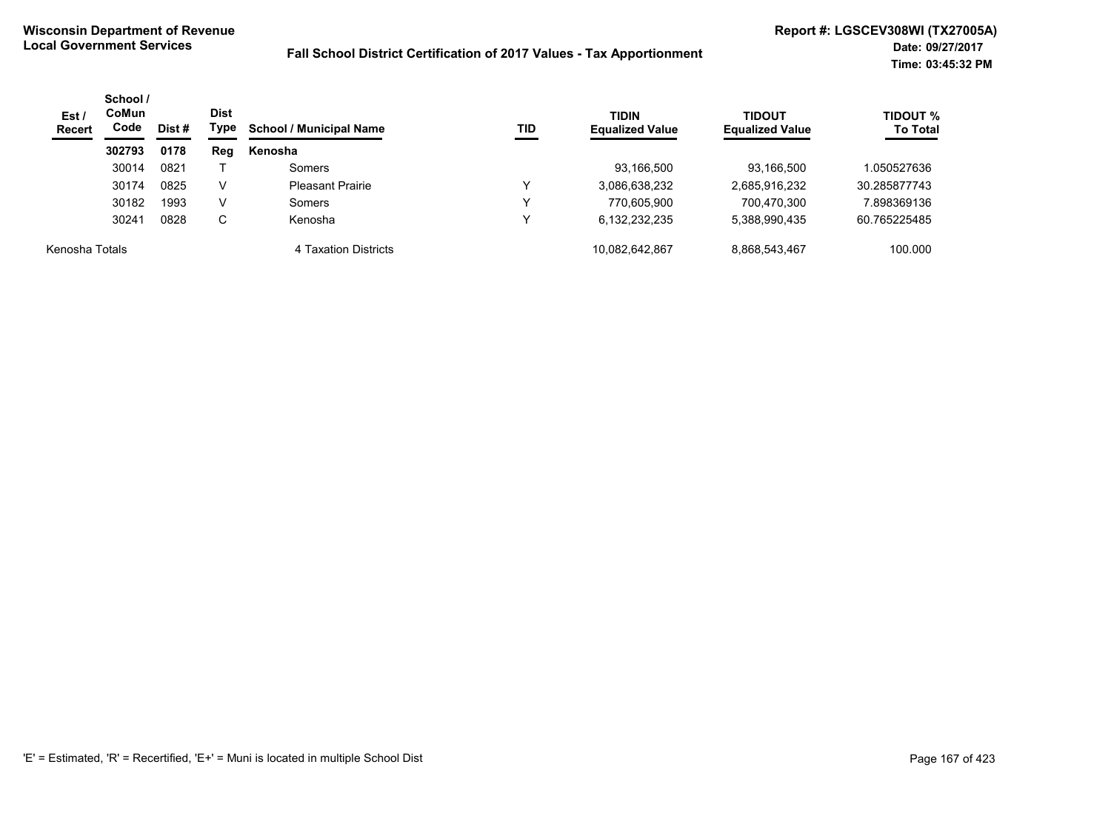| Est/<br><b>Recert</b> | School /<br>CoMun<br>Code<br>Dist # |      | <b>Dist</b><br>Type | <b>School / Municipal Name</b><br><b>TID</b> | <b>TIDIN</b><br><b>Equalized Value</b> | <b>TIDOUT</b><br><b>Equalized Value</b> | <b>TIDOUT %</b><br><b>To Total</b> |              |
|-----------------------|-------------------------------------|------|---------------------|----------------------------------------------|----------------------------------------|-----------------------------------------|------------------------------------|--------------|
|                       | 302793                              | 0178 | Reg                 | Kenosha                                      |                                        |                                         |                                    |              |
|                       | 30014                               | 0821 |                     | Somers                                       |                                        | 93,166,500                              | 93,166,500                         | .050527636   |
|                       | 30174                               | 0825 | V                   | <b>Pleasant Prairie</b>                      |                                        | 3,086,638,232                           | 2,685,916,232                      | 30.285877743 |
|                       | 30182                               | 1993 | V                   | Somers                                       |                                        | 770.605.900                             | 700,470,300                        | 898369136.7  |
|                       | 30241                               | 0828 | C                   | Kenosha                                      |                                        | 6.132.232.235                           | 5,388,990,435                      | 60.765225485 |
| Kenosha Totals        |                                     |      |                     | 4 Taxation Districts                         |                                        | 10,082,642,867                          | 8,868,543,467                      | 100.000      |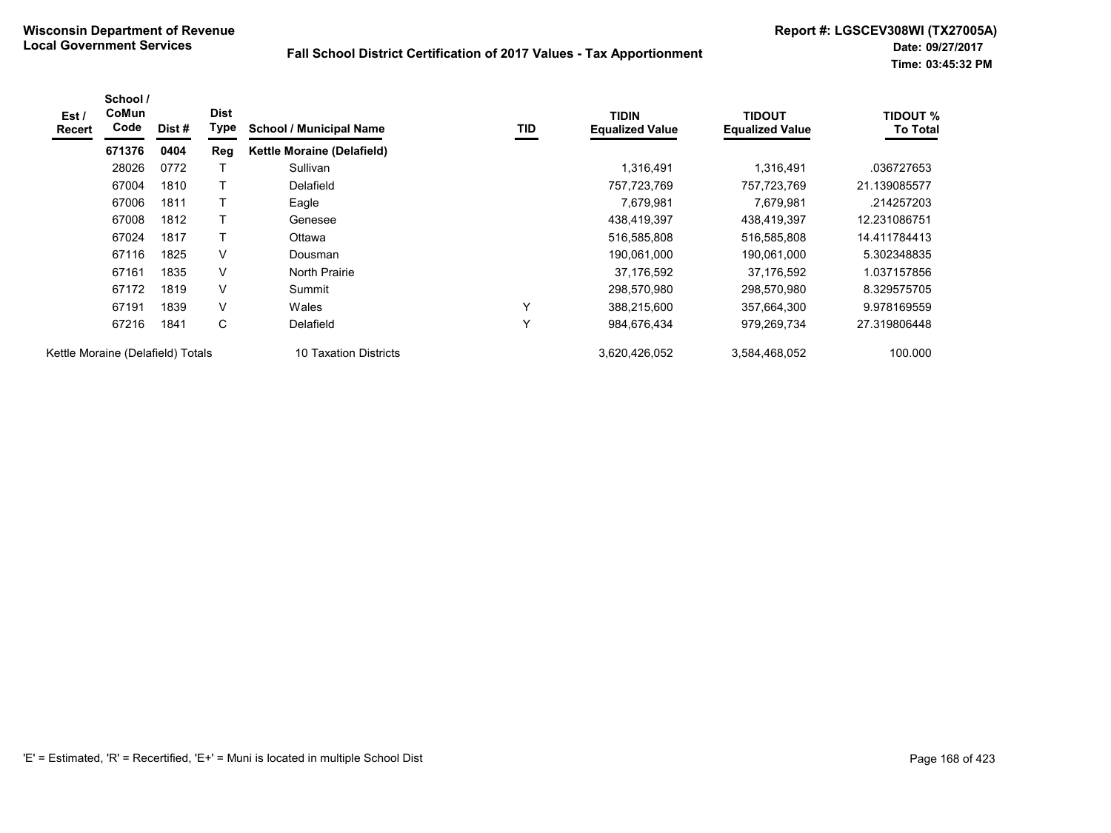| Est/<br><b>Recert</b>             | School /<br>CoMun<br>Code | Dist # | <b>Dist</b><br>Type | <b>School / Municipal Name</b>    | TID          | <b>TIDIN</b><br><b>Equalized Value</b> | <b>TIDOUT</b><br><b>Equalized Value</b> | TIDOUT %<br><b>To Total</b> |
|-----------------------------------|---------------------------|--------|---------------------|-----------------------------------|--------------|----------------------------------------|-----------------------------------------|-----------------------------|
|                                   | 671376                    | 0404   | Reg                 | <b>Kettle Moraine (Delafield)</b> |              |                                        |                                         |                             |
|                                   | 28026                     | 0772   |                     | Sullivan                          |              | 1,316,491                              | 1,316,491                               | .036727653                  |
|                                   | 67004                     | 1810   |                     | Delafield                         |              | 757,723,769                            | 757.723.769                             | 21.139085577                |
|                                   | 67006                     | 1811   |                     | Eagle                             |              | 7,679,981                              | 7,679,981                               | .214257203                  |
|                                   | 67008                     | 1812   |                     | Genesee                           |              | 438,419,397                            | 438,419,397                             | 12.231086751                |
|                                   | 67024                     | 1817   |                     | Ottawa                            |              | 516,585,808                            | 516,585,808                             | 14.411784413                |
|                                   | 67116                     | 1825   | V                   | Dousman                           |              | 190,061,000                            | 190,061,000                             | 5.302348835                 |
|                                   | 67161                     | 1835   | $\vee$              | North Prairie                     |              | 37,176,592                             | 37,176,592                              | 1.037157856                 |
|                                   | 67172                     | 1819   | V                   | Summit                            |              | 298,570,980                            | 298,570,980                             | 8.329575705                 |
|                                   | 67191                     | 1839   | V                   | Wales                             | $\checkmark$ | 388,215,600                            | 357,664,300                             | 9.978169559                 |
|                                   | 67216                     | 1841   | C                   | Delafield                         | $\checkmark$ | 984,676,434                            | 979,269,734                             | 27.319806448                |
| Kettle Moraine (Delafield) Totals |                           |        |                     | 10 Taxation Districts             |              | 3,620,426,052                          | 3,584,468,052                           | 100.000                     |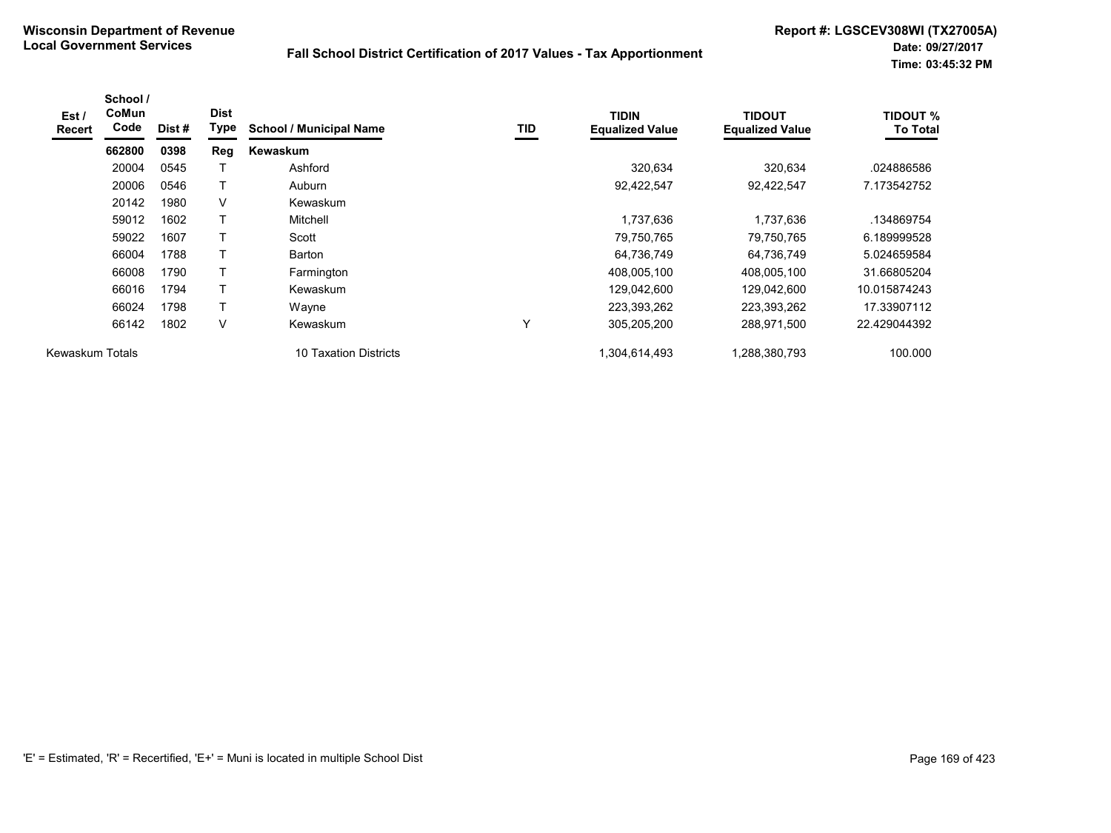| Est /<br><b>Recert</b> | School /<br>CoMun<br>Code | Dist # | <b>Dist</b><br>Type | <b>School / Municipal Name</b> | TID | <b>TIDIN</b><br><b>Equalized Value</b> | <b>TIDOUT</b><br><b>Equalized Value</b> | <b>TIDOUT %</b><br><b>To Total</b> |
|------------------------|---------------------------|--------|---------------------|--------------------------------|-----|----------------------------------------|-----------------------------------------|------------------------------------|
|                        | 662800                    | 0398   | Reg                 | Kewaskum                       |     |                                        |                                         |                                    |
|                        | 20004                     | 0545   |                     | Ashford                        |     | 320,634                                | 320,634                                 | .024886586                         |
|                        | 20006                     | 0546   | т                   | Auburn                         |     | 92,422,547                             | 92,422,547                              | 7.173542752                        |
|                        | 20142                     | 1980   | V                   | Kewaskum                       |     |                                        |                                         |                                    |
|                        | 59012                     | 1602   |                     | Mitchell                       |     | 1,737,636                              | 1,737,636                               | .134869754                         |
|                        | 59022                     | 1607   |                     | Scott                          |     | 79,750,765                             | 79.750.765                              | 6.189999528                        |
|                        | 66004                     | 1788   |                     | Barton                         |     | 64,736,749                             | 64,736,749                              | 5.024659584                        |
|                        | 66008                     | 1790   | т                   | Farmington                     |     | 408,005,100                            | 408,005,100                             | 31.66805204                        |
|                        | 66016                     | 1794   | Τ                   | Kewaskum                       |     | 129,042,600                            | 129,042,600                             | 10.015874243                       |
|                        | 66024                     | 1798   |                     | Wayne                          |     | 223,393,262                            | 223,393,262                             | 17.33907112                        |
|                        | 66142                     | 1802   | V                   | Kewaskum                       | Υ   | 305,205,200                            | 288,971,500                             | 22.429044392                       |
| Kewaskum Totals        |                           |        |                     | 10 Taxation Districts          |     | 1,304,614,493                          | 1,288,380,793                           | 100.000                            |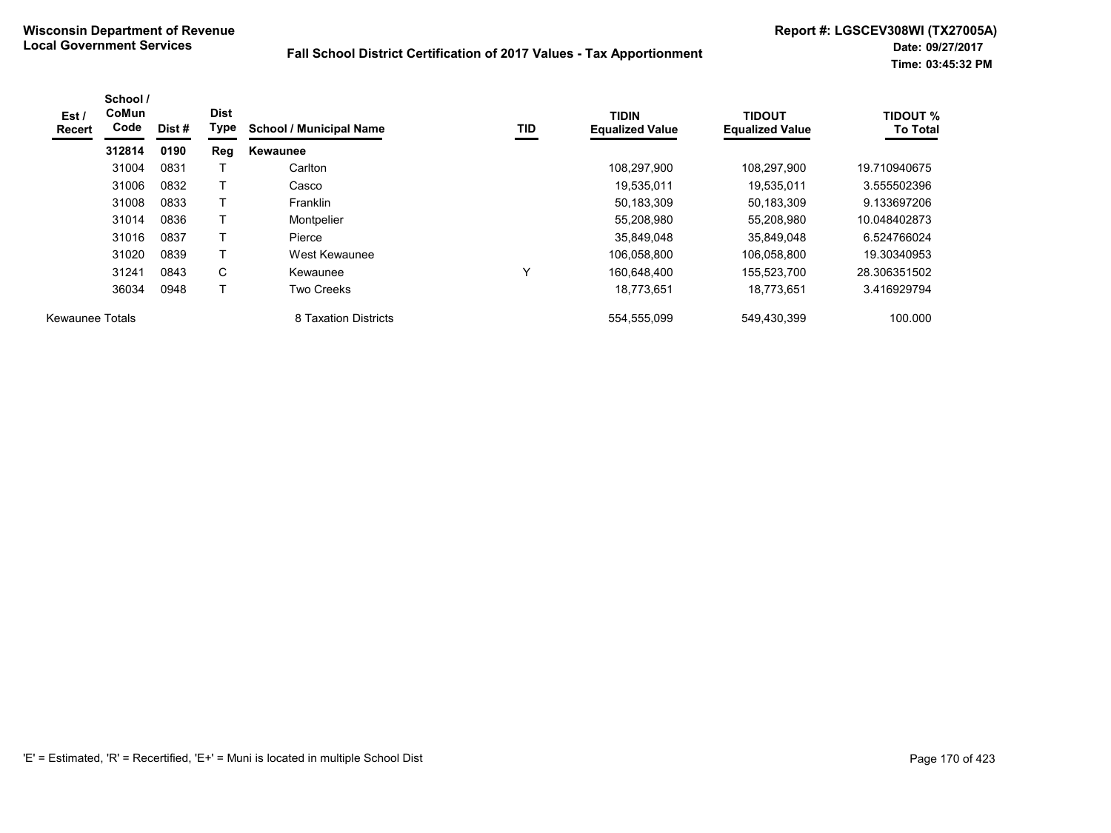| Est /<br>Recert        | School /<br>CoMun<br>Code | Dist # | <b>Dist</b><br>Type | <b>School / Municipal Name</b> | TID          | <b>TIDIN</b><br><b>Equalized Value</b> | <b>TIDOUT</b><br><b>Equalized Value</b> | <b>TIDOUT %</b><br><b>To Total</b> |
|------------------------|---------------------------|--------|---------------------|--------------------------------|--------------|----------------------------------------|-----------------------------------------|------------------------------------|
|                        | 312814                    | 0190   | Reg                 | <b>Kewaunee</b>                |              |                                        |                                         |                                    |
|                        | 31004                     | 0831   |                     | Carlton                        |              | 108,297,900                            | 108,297,900                             | 19.710940675                       |
|                        | 31006                     | 0832   |                     | Casco                          |              | 19,535,011                             | 19.535.011                              | 3.555502396                        |
|                        | 31008                     | 0833   |                     | <b>Franklin</b>                |              | 50,183,309                             | 50,183,309                              | 9.133697206                        |
|                        | 31014                     | 0836   |                     | Montpelier                     |              | 55,208,980                             | 55.208.980                              | 10.048402873                       |
|                        | 31016                     | 0837   |                     | Pierce                         |              | 35.849.048                             | 35.849.048                              | 6.524766024                        |
|                        | 31020                     | 0839   | т                   | West Kewaunee                  |              | 106,058,800                            | 106,058,800                             | 19.30340953                        |
|                        | 31241                     | 0843   | C                   | Kewaunee                       | $\checkmark$ | 160,648,400                            | 155,523,700                             | 28.306351502                       |
|                        | 36034                     | 0948   |                     | <b>Two Creeks</b>              |              | 18,773,651                             | 18,773,651                              | 3.416929794                        |
| <b>Kewaunee Totals</b> |                           |        |                     | 8 Taxation Districts           |              | 554,555,099                            | 549,430,399                             | 100.000                            |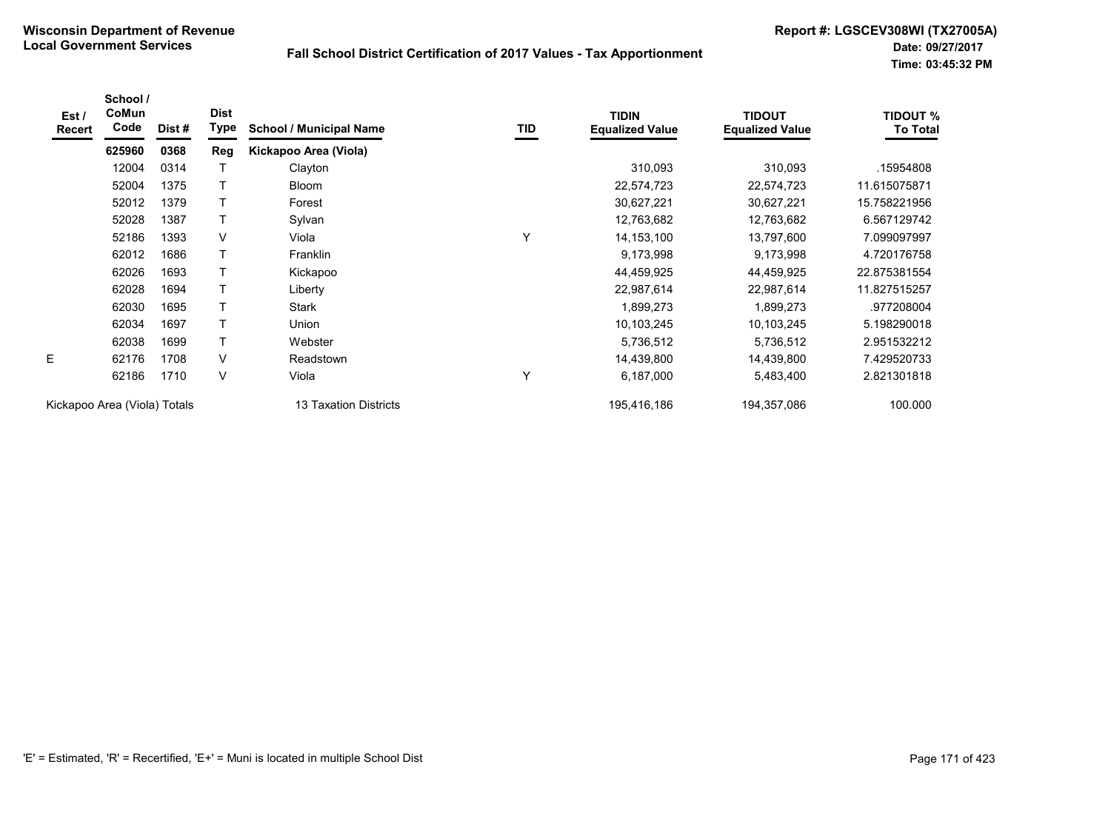| Est /<br>Recert              | School /<br>CoMun<br>Code | Dist# | <b>Dist</b><br>Type | <b>School / Municipal Name</b> | TID | <b>TIDIN</b><br><b>Equalized Value</b> | <b>TIDOUT</b><br><b>Equalized Value</b> | <b>TIDOUT %</b><br><b>To Total</b> |
|------------------------------|---------------------------|-------|---------------------|--------------------------------|-----|----------------------------------------|-----------------------------------------|------------------------------------|
|                              | 625960                    | 0368  | <b>Reg</b>          | Kickapoo Area (Viola)          |     |                                        |                                         |                                    |
|                              | 12004                     | 0314  | $\top$              | Clayton                        |     | 310,093                                | 310,093                                 | .15954808                          |
|                              | 52004                     | 1375  | $\mathsf{T}$        | Bloom                          |     | 22,574,723                             | 22,574,723                              | 11.615075871                       |
|                              | 52012                     | 1379  | $\mathsf{T}$        | Forest                         |     | 30,627,221                             | 30,627,221                              | 15.758221956                       |
|                              | 52028                     | 1387  | $\mathsf{T}$        | Sylvan                         |     | 12,763,682                             | 12,763,682                              | 6.567129742                        |
|                              | 52186                     | 1393  | V                   | Viola                          | Υ   | 14, 153, 100                           | 13,797,600                              | 7.099097997                        |
|                              | 62012                     | 1686  | T                   | Franklin                       |     | 9,173,998                              | 9,173,998                               | 4.720176758                        |
|                              | 62026                     | 1693  | Τ                   | Kickapoo                       |     | 44,459,925                             | 44,459,925                              | 22.875381554                       |
|                              | 62028                     | 1694  | Τ                   | Liberty                        |     | 22,987,614                             | 22,987,614                              | 11.827515257                       |
|                              | 62030                     | 1695  | Τ                   | <b>Stark</b>                   |     | 1,899,273                              | 1,899,273                               | .977208004                         |
|                              | 62034                     | 1697  | Τ                   | Union                          |     | 10,103,245                             | 10,103,245                              | 5.198290018                        |
|                              | 62038                     | 1699  | Τ                   | Webster                        |     | 5,736,512                              | 5,736,512                               | 2.951532212                        |
| E                            | 62176                     | 1708  | $\vee$              | Readstown                      |     | 14,439,800                             | 14,439,800                              | 7.429520733                        |
|                              | 62186                     | 1710  | $\vee$              | Viola                          | Υ   | 6,187,000                              | 5,483,400                               | 2.821301818                        |
| Kickapoo Area (Viola) Totals |                           |       |                     | 13 Taxation Districts          |     | 195,416,186                            | 194,357,086                             | 100.000                            |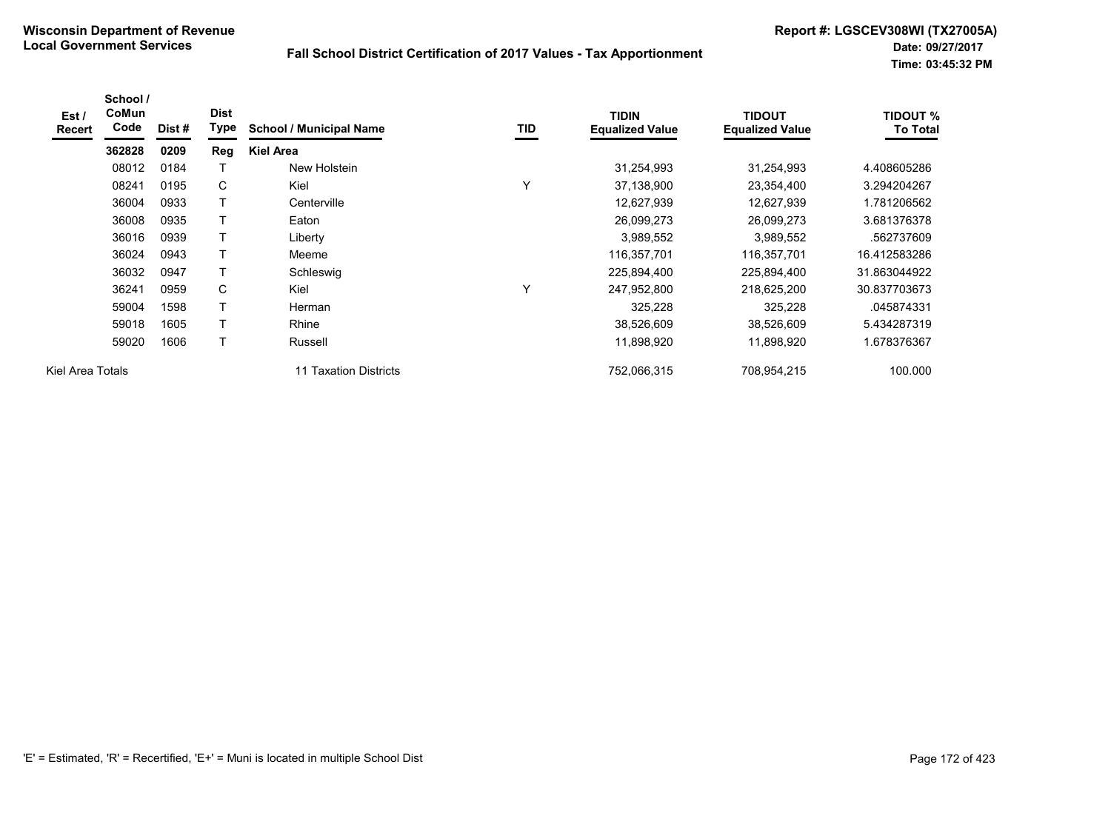| Est /<br>Recert  | School /<br>CoMun<br>Code | Dist# | <b>Dist</b><br>Type | <b>School / Municipal Name</b> | TID | <b>TIDIN</b><br><b>Equalized Value</b> | <b>TIDOUT</b><br><b>Equalized Value</b> | <b>TIDOUT %</b><br><b>To Total</b> |
|------------------|---------------------------|-------|---------------------|--------------------------------|-----|----------------------------------------|-----------------------------------------|------------------------------------|
|                  | 362828                    | 0209  | Reg                 | <b>Kiel Area</b>               |     |                                        |                                         |                                    |
|                  | 08012                     | 0184  |                     | New Holstein                   |     | 31,254,993                             | 31,254,993                              | 4.408605286                        |
|                  | 08241                     | 0195  | С                   | Kiel                           | Υ   | 37,138,900                             | 23,354,400                              | 3.294204267                        |
|                  | 36004                     | 0933  | Т                   | Centerville                    |     | 12,627,939                             | 12,627,939                              | 1.781206562                        |
|                  | 36008                     | 0935  | Т                   | Eaton                          |     | 26,099,273                             | 26,099,273                              | 3.681376378                        |
|                  | 36016                     | 0939  | Т                   | Liberty                        |     | 3,989,552                              | 3,989,552                               | .562737609                         |
|                  | 36024                     | 0943  | Т                   | Meeme                          |     | 116,357,701                            | 116,357,701                             | 16.412583286                       |
|                  | 36032                     | 0947  | Т                   | Schleswig                      |     | 225,894,400                            | 225,894,400                             | 31.863044922                       |
|                  | 36241                     | 0959  | C                   | Kiel                           | Υ   | 247,952,800                            | 218,625,200                             | 30.837703673                       |
|                  | 59004                     | 1598  | Т                   | Herman                         |     | 325,228                                | 325,228                                 | .045874331                         |
|                  | 59018                     | 1605  | Т                   | Rhine                          |     | 38,526,609                             | 38,526,609                              | 5.434287319                        |
|                  | 59020                     | 1606  | Т                   | Russell                        |     | 11,898,920                             | 11,898,920                              | 1.678376367                        |
| Kiel Area Totals |                           |       |                     | 11 Taxation Districts          |     | 752,066,315                            | 708,954,215                             | 100.000                            |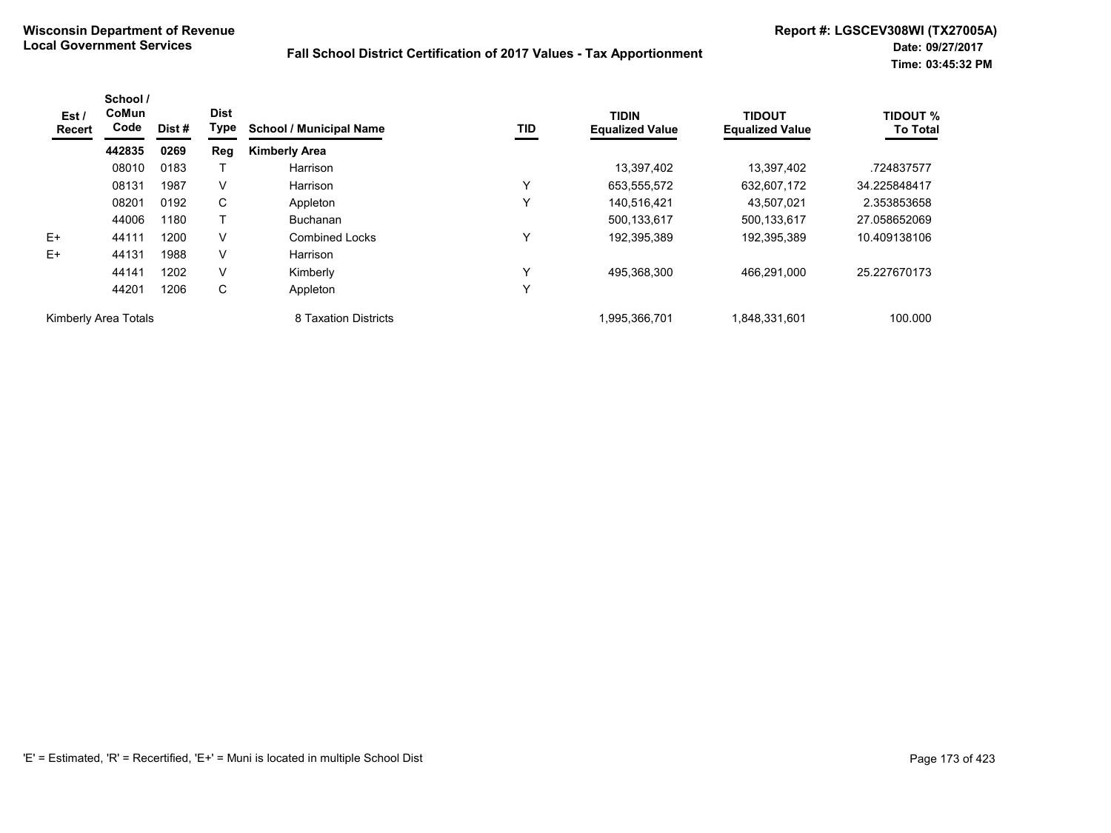| Est /<br>Recert      | School /<br><b>CoMun</b><br>Code | Dist # | <b>Dist</b><br>Type | <b>School / Municipal Name</b> | TID | <b>TIDIN</b><br><b>Equalized Value</b> | <b>TIDOUT</b><br><b>Equalized Value</b> | <b>TIDOUT %</b><br><b>To Total</b> |
|----------------------|----------------------------------|--------|---------------------|--------------------------------|-----|----------------------------------------|-----------------------------------------|------------------------------------|
|                      | 442835                           | 0269   | Reg                 | <b>Kimberly Area</b>           |     |                                        |                                         |                                    |
|                      | 08010                            | 0183   |                     | Harrison                       |     | 13,397,402                             | 13,397,402                              | .724837577                         |
|                      | 08131                            | 1987   | V                   | Harrison                       | Y   | 653,555,572                            | 632,607,172                             | 34.225848417                       |
|                      | 08201                            | 0192   | C                   | Appleton                       | ٧   | 140,516,421                            | 43.507.021                              | 2.353853658                        |
|                      | 44006                            | 1180   |                     | <b>Buchanan</b>                |     | 500.133.617                            | 500.133.617                             | 27.058652069                       |
| $E+$                 | 44111                            | 1200   | v                   | <b>Combined Locks</b>          | Υ   | 192,395,389                            | 192,395,389                             | 10.409138106                       |
| $E+$                 | 44131                            | 1988   | v                   | Harrison                       |     |                                        |                                         |                                    |
|                      | 44141                            | 1202   | V                   | Kimberly                       | Υ   | 495,368,300                            | 466.291.000                             | 25.227670173                       |
|                      | 44201                            | 1206   | С                   | Appleton                       | Y   |                                        |                                         |                                    |
| Kimberly Area Totals |                                  |        |                     | 8 Taxation Districts           |     | 1,995,366,701                          | 1,848,331,601                           | 100.000                            |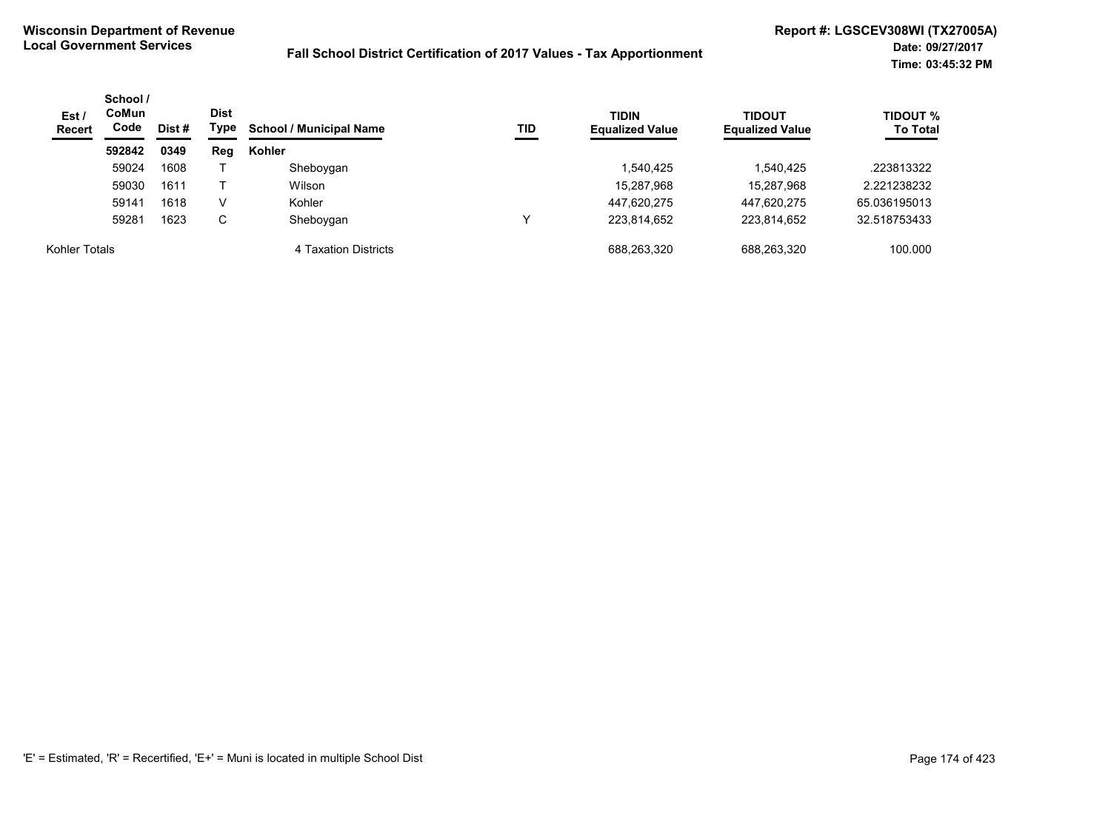| Est/<br><b>Recert</b> | School /<br><b>CoMun</b><br>Code |      | <b>Dist</b><br>Type<br>Dist # | <b>School / Municipal Name</b> | TID | <b>TIDIN</b><br><b>Equalized Value</b> | <b>TIDOUT</b><br><b>Equalized Value</b> | <b>TIDOUT %</b><br><b>To Total</b> |
|-----------------------|----------------------------------|------|-------------------------------|--------------------------------|-----|----------------------------------------|-----------------------------------------|------------------------------------|
|                       | 592842                           | 0349 | Reg                           | Kohler                         |     |                                        |                                         |                                    |
|                       | 59024                            | 1608 |                               | Sheboygan                      |     | .540,425                               | 1,540,425                               | .223813322                         |
|                       | 59030                            | 1611 |                               | Wilson                         |     | 15,287,968                             | 15,287,968                              | 2.221238232                        |
|                       | 59141                            | 1618 | V                             | Kohler                         |     | 447,620,275                            | 447,620,275                             | 65.036195013                       |
|                       | 59281                            | 1623 | C                             | Sheboygan                      | v   | 223.814.652                            | 223.814.652                             | 32.518753433                       |
| Kohler Totals         |                                  |      |                               | 4 Taxation Districts           |     | 688,263,320                            | 688,263,320                             | 100.000                            |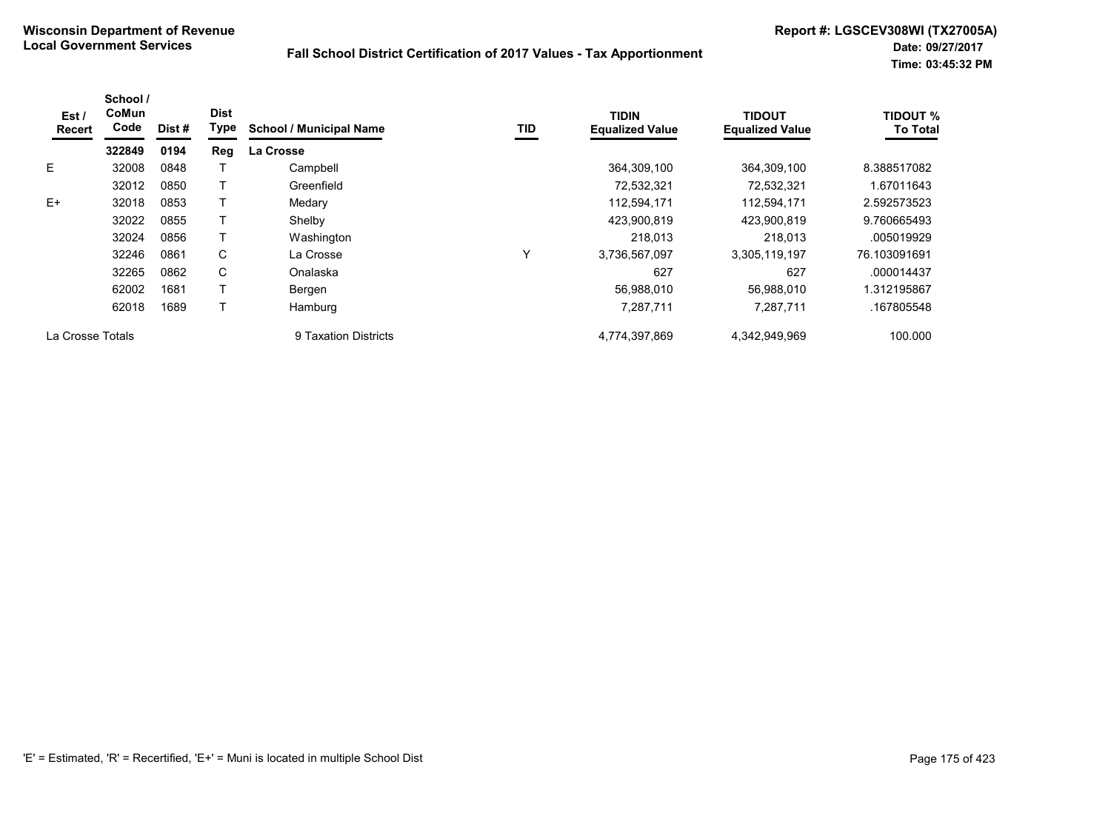| Est /<br>Recert  | School /<br>CoMun<br>Code | Dist# | <b>Dist</b><br>Type | <b>School / Municipal Name</b> | TID | <b>TIDIN</b><br><b>Equalized Value</b> | <b>TIDOUT</b><br><b>Equalized Value</b> | <b>TIDOUT %</b><br><b>To Total</b> |
|------------------|---------------------------|-------|---------------------|--------------------------------|-----|----------------------------------------|-----------------------------------------|------------------------------------|
|                  | 322849                    | 0194  | Reg                 | <b>La Crosse</b>               |     |                                        |                                         |                                    |
| E.               | 32008                     | 0848  |                     | Campbell                       |     | 364,309,100                            | 364,309,100                             | 8.388517082                        |
|                  | 32012                     | 0850  |                     | Greenfield                     |     | 72,532,321                             | 72,532,321                              | 1.67011643                         |
| $E+$             | 32018                     | 0853  |                     | Medary                         |     | 112,594,171                            | 112,594,171                             | 2.592573523                        |
|                  | 32022                     | 0855  |                     | Shelby                         |     | 423,900,819                            | 423,900,819                             | 9.760665493                        |
|                  | 32024                     | 0856  |                     | Washington                     |     | 218,013                                | 218,013                                 | .005019929                         |
|                  | 32246                     | 0861  | C                   | La Crosse                      | Υ   | 3,736,567,097                          | 3,305,119,197                           | 76.103091691                       |
|                  | 32265                     | 0862  | C                   | Onalaska                       |     | 627                                    | 627                                     | .000014437                         |
|                  | 62002                     | 1681  |                     | Bergen                         |     | 56,988,010                             | 56.988.010                              | 1.312195867                        |
|                  | 62018                     | 1689  |                     | Hamburg                        |     | 7,287,711                              | 7,287,711                               | .167805548                         |
| La Crosse Totals |                           |       |                     | 9 Taxation Districts           |     | 4,774,397,869                          | 4,342,949,969                           | 100.000                            |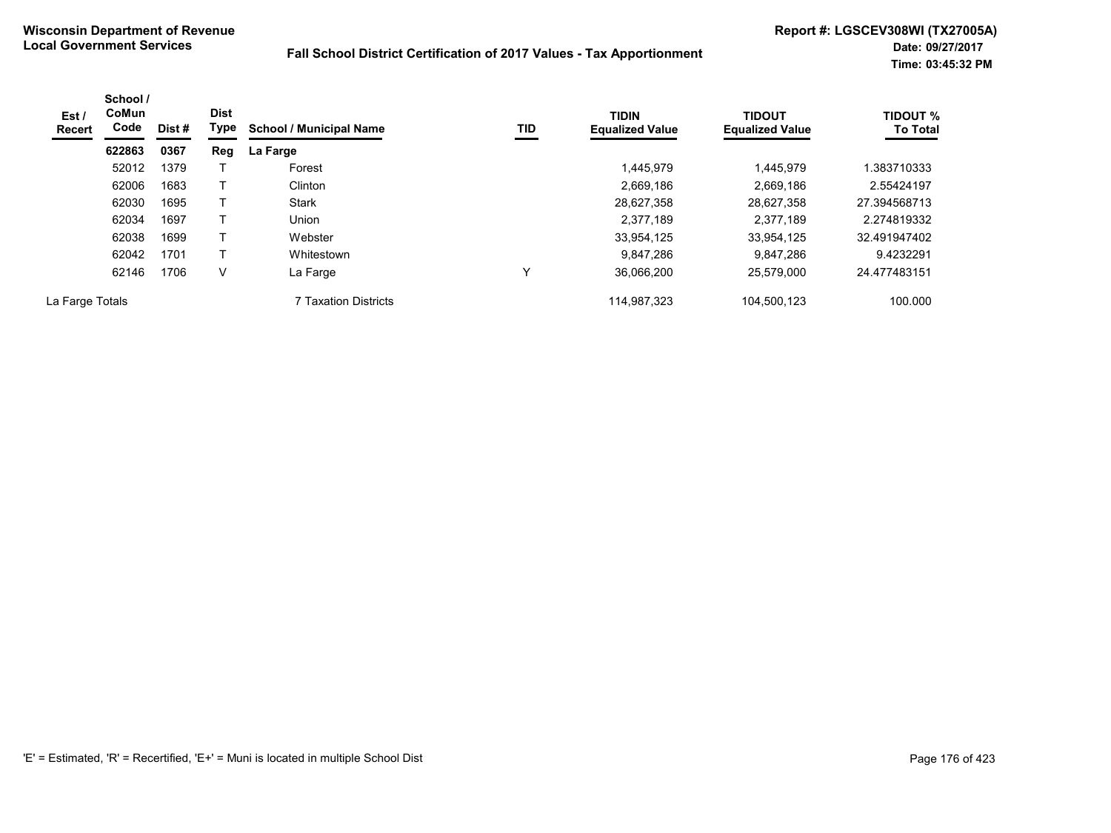| Est /<br>Recert | School /<br><b>CoMun</b><br>Code | Dist # | <b>Dist</b><br>Type | <b>School / Municipal Name</b> | TID | <b>TIDIN</b><br><b>Equalized Value</b> | <b>TIDOUT</b><br><b>Equalized Value</b> | <b>TIDOUT %</b><br><b>To Total</b> |
|-----------------|----------------------------------|--------|---------------------|--------------------------------|-----|----------------------------------------|-----------------------------------------|------------------------------------|
|                 | 622863                           | 0367   | Reg                 | La Farge                       |     |                                        |                                         |                                    |
|                 | 52012                            | 1379   |                     | Forest                         |     | 1.445.979                              | 1,445,979                               | .383710333                         |
|                 | 62006                            | 1683   |                     | Clinton                        |     | 2,669,186                              | 2,669,186                               | 2.55424197                         |
|                 | 62030                            | 1695   |                     | <b>Stark</b>                   |     | 28,627,358                             | 28,627,358                              | 27.394568713                       |
|                 | 62034                            | 1697   |                     | Union                          |     | 2.377.189                              | 2,377,189                               | 2.274819332                        |
|                 | 62038                            | 1699   |                     | Webster                        |     | 33,954,125                             | 33,954,125                              | 32.491947402                       |
|                 | 62042                            | 1701   | T                   | Whitestown                     |     | 9.847.286                              | 9,847,286                               | 9.4232291                          |
|                 | 62146                            | 1706   | V                   | La Farge                       | v   | 36,066,200                             | 25.579.000                              | 24.477483151                       |
| La Farge Totals |                                  |        |                     | 7 Taxation Districts           |     | 114,987,323                            | 104,500,123                             | 100.000                            |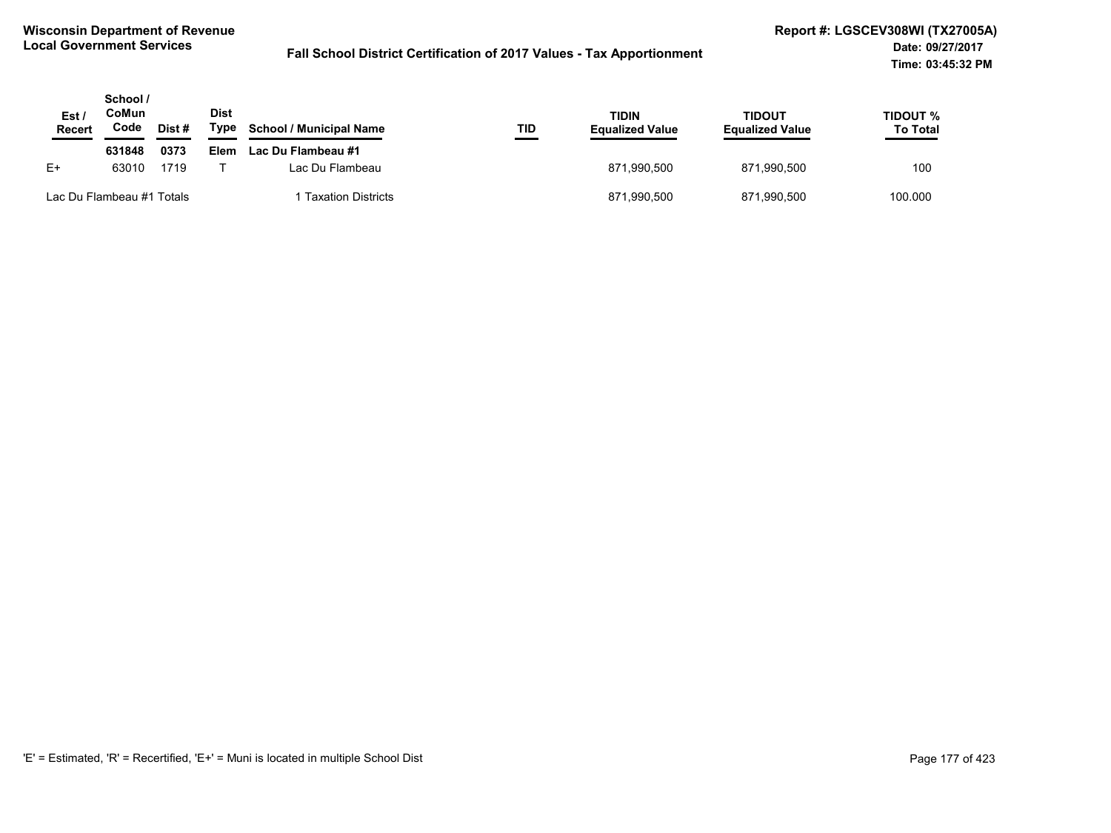| Est.<br><b>Recert</b> | School /<br>CoMun<br>Code | Dist # | <b>Dist</b><br>Type | <b>School / Municipal Name</b> | TID | TIDIN<br><b>Equalized Value</b> | <b>TIDOUT</b><br><b>Equalized Value</b> | TIDOUT %<br><b>To Total</b> |
|-----------------------|---------------------------|--------|---------------------|--------------------------------|-----|---------------------------------|-----------------------------------------|-----------------------------|
|                       | 631848                    | 0373   | <b>Elem</b>         | Lac Du Flambeau #1             |     |                                 |                                         |                             |
| E+                    | 63010                     | 1719   |                     | Lac Du Flambeau                |     | 871.990.500                     | 871.990.500                             | 100                         |
|                       | Lac Du Flambeau #1 Totals |        |                     | <b>Taxation Districts</b>      |     | 871,990,500                     | 871,990,500                             | 100.000                     |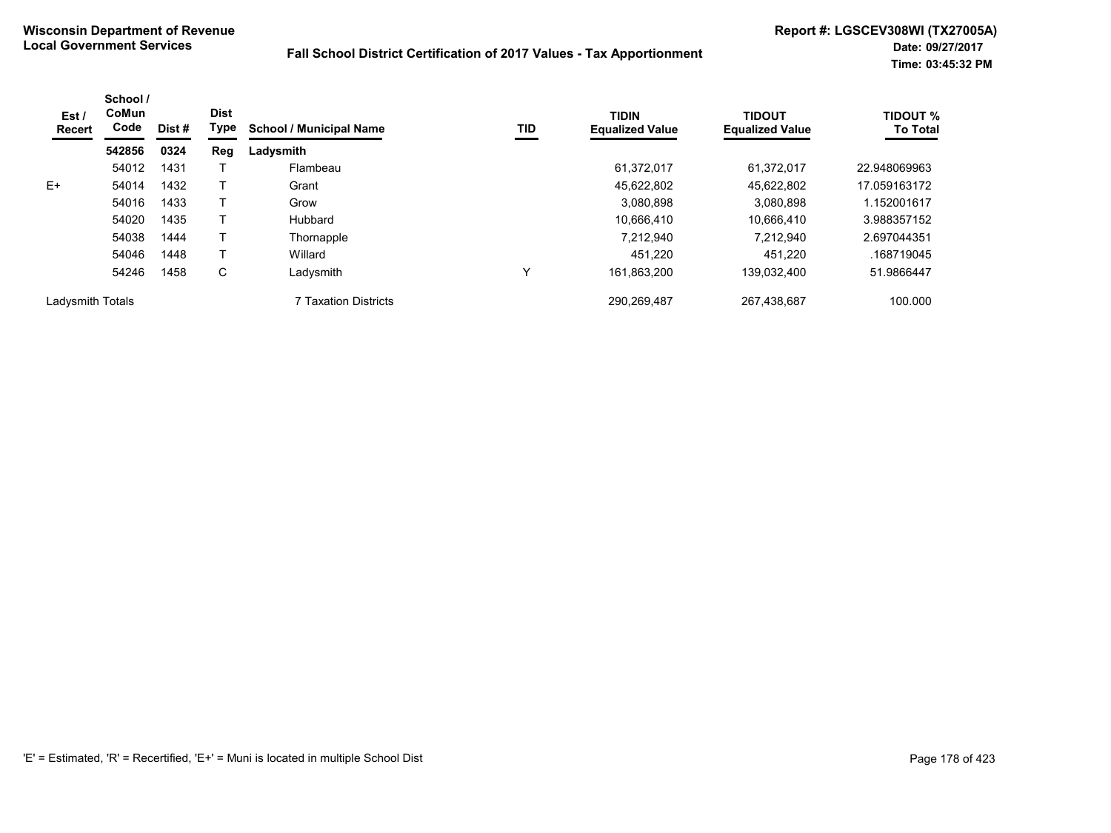| Est /<br><b>Recert</b> | School /<br>CoMun<br>Code | Dist# | <b>Dist</b><br>Type | <b>School / Municipal Name</b> | TID | <b>TIDIN</b><br><b>Equalized Value</b> | <b>TIDOUT</b><br><b>Equalized Value</b> | <b>TIDOUT %</b><br><b>To Total</b> |
|------------------------|---------------------------|-------|---------------------|--------------------------------|-----|----------------------------------------|-----------------------------------------|------------------------------------|
|                        | 542856                    | 0324  | Reg                 | Ladysmith                      |     |                                        |                                         |                                    |
|                        | 54012                     | 1431  |                     | Flambeau                       |     | 61.372.017                             | 61.372.017                              | 22.948069963                       |
| E+                     | 54014                     | 1432  |                     | Grant                          |     | 45,622,802                             | 45,622,802                              | 17.059163172                       |
|                        | 54016                     | 1433  |                     | Grow                           |     | 3,080,898                              | 3.080.898                               | 1.152001617                        |
|                        | 54020                     | 1435  |                     | Hubbard                        |     | 10.666.410                             | 10.666.410                              | 3.988357152                        |
|                        | 54038                     | 1444  |                     | Thornapple                     |     | 7,212,940                              | 7.212.940                               | 2.697044351                        |
|                        | 54046                     | 1448  |                     | Willard                        |     | 451.220                                | 451.220                                 | .168719045                         |
|                        | 54246                     | 1458  | С                   | Ladysmith                      | Υ   | 161.863.200                            | 139.032.400                             | 51.9866447                         |
| Ladysmith Totals       |                           |       |                     | 7 Taxation Districts           |     | 290,269,487                            | 267,438,687                             | 100.000                            |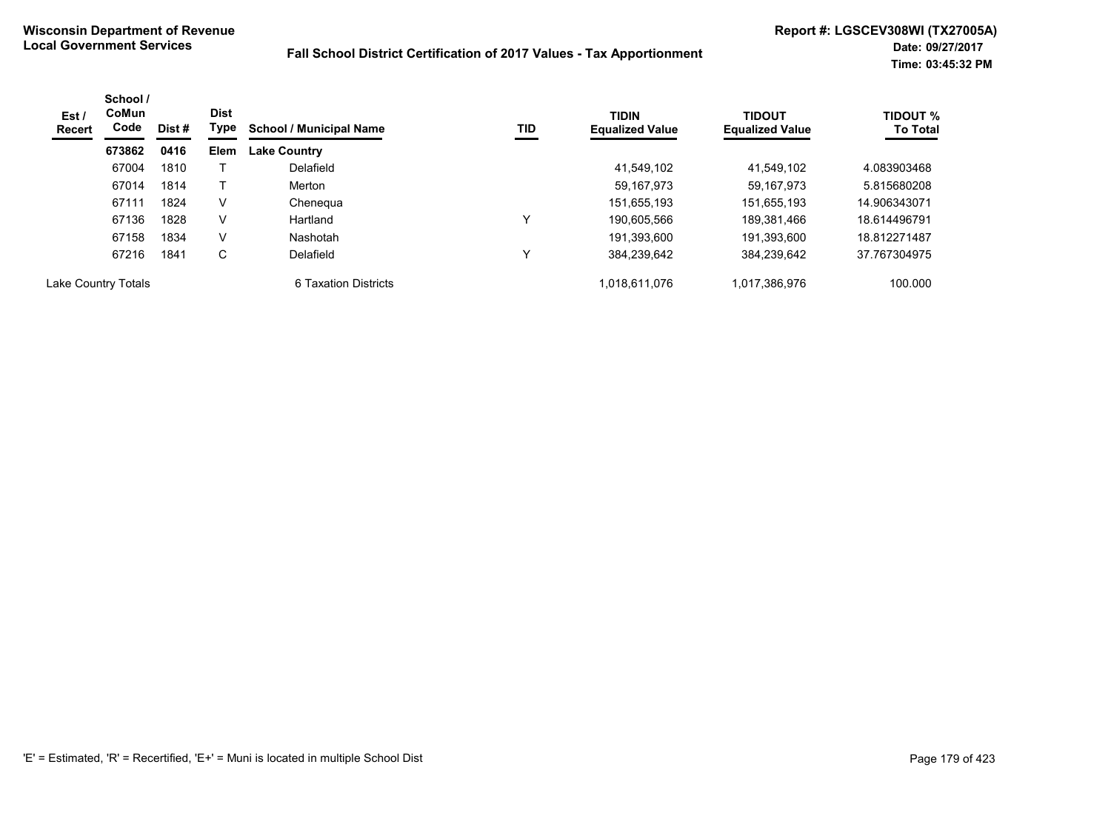| Est /<br>Recert     | School /<br>CoMun<br>Code | Dist # | <b>Dist</b><br>Type | <b>School / Municipal Name</b> | TID | <b>TIDIN</b><br><b>Equalized Value</b> | <b>TIDOUT</b><br><b>Equalized Value</b> | <b>TIDOUT %</b><br><b>To Total</b> |
|---------------------|---------------------------|--------|---------------------|--------------------------------|-----|----------------------------------------|-----------------------------------------|------------------------------------|
|                     | 673862                    | 0416   | <b>Elem</b>         | <b>Lake Country</b>            |     |                                        |                                         |                                    |
|                     | 67004                     | 1810   |                     | Delafield                      |     | 41.549.102                             | 41.549.102                              | 4.083903468                        |
|                     | 67014                     | 1814   |                     | Merton                         |     | 59, 167, 973                           | 59,167,973                              | 5.815680208                        |
|                     | 67111                     | 1824   | V                   | Chenegua                       |     | 151,655,193                            | 151,655,193                             | 14.906343071                       |
|                     | 67136                     | 1828   | V                   | Hartland                       | v   | 190.605.566                            | 189.381.466                             | 18.614496791                       |
|                     | 67158                     | 1834   | V                   | Nashotah                       |     | 191.393.600                            | 191,393,600                             | 18.812271487                       |
|                     | 67216                     | 1841   | C                   | Delafield                      | v   | 384.239.642                            | 384.239.642                             | 37.767304975                       |
| Lake Country Totals |                           |        |                     | 6 Taxation Districts           |     | 1.018.611.076                          | 1,017,386,976                           | 100.000                            |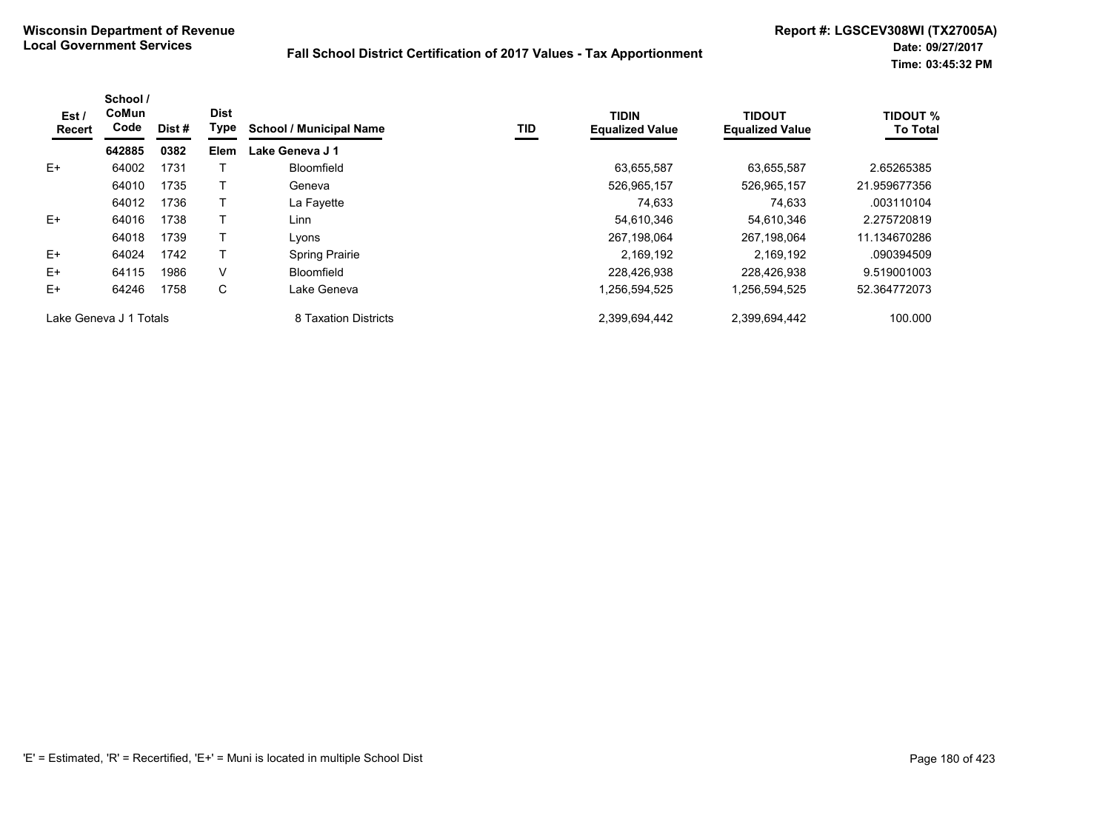| Est/<br>Recert         | School /<br>CoMun<br>Code | Dist # | <b>Dist</b><br>Type | <b>School / Municipal Name</b> | TID | <b>TIDIN</b><br><b>Equalized Value</b> | <b>TIDOUT</b><br><b>Equalized Value</b> | <b>TIDOUT %</b><br><b>To Total</b> |
|------------------------|---------------------------|--------|---------------------|--------------------------------|-----|----------------------------------------|-----------------------------------------|------------------------------------|
|                        | 642885                    | 0382   | <b>Elem</b>         | Lake Geneva J 1                |     |                                        |                                         |                                    |
| $E+$                   | 64002                     | 1731   |                     | Bloomfield                     |     | 63,655,587                             | 63.655.587                              | 2.65265385                         |
|                        | 64010                     | 1735   |                     | Geneva                         |     | 526,965,157                            | 526,965,157                             | 21.959677356                       |
|                        | 64012                     | 1736   |                     | La Fayette                     |     | 74,633                                 | 74,633                                  | .003110104                         |
| $E+$                   | 64016                     | 1738   |                     | Linn                           |     | 54.610.346                             | 54,610,346                              | 2.275720819                        |
|                        | 64018                     | 1739   |                     | Lyons                          |     | 267.198.064                            | 267.198.064                             | 11.134670286                       |
| $E+$                   | 64024                     | 1742   |                     | Spring Prairie                 |     | 2,169,192                              | 2,169,192                               | .090394509                         |
| $E+$                   | 64115                     | 1986   | V                   | Bloomfield                     |     | 228.426.938                            | 228.426.938                             | 9.519001003                        |
| $E+$                   | 64246                     | 1758   | С                   | Lake Geneva                    |     | 1,256,594,525                          | 1,256,594,525                           | 52.364772073                       |
| Lake Geneva J 1 Totals |                           |        |                     | 8 Taxation Districts           |     | 2.399.694.442                          | 2,399,694,442                           | 100.000                            |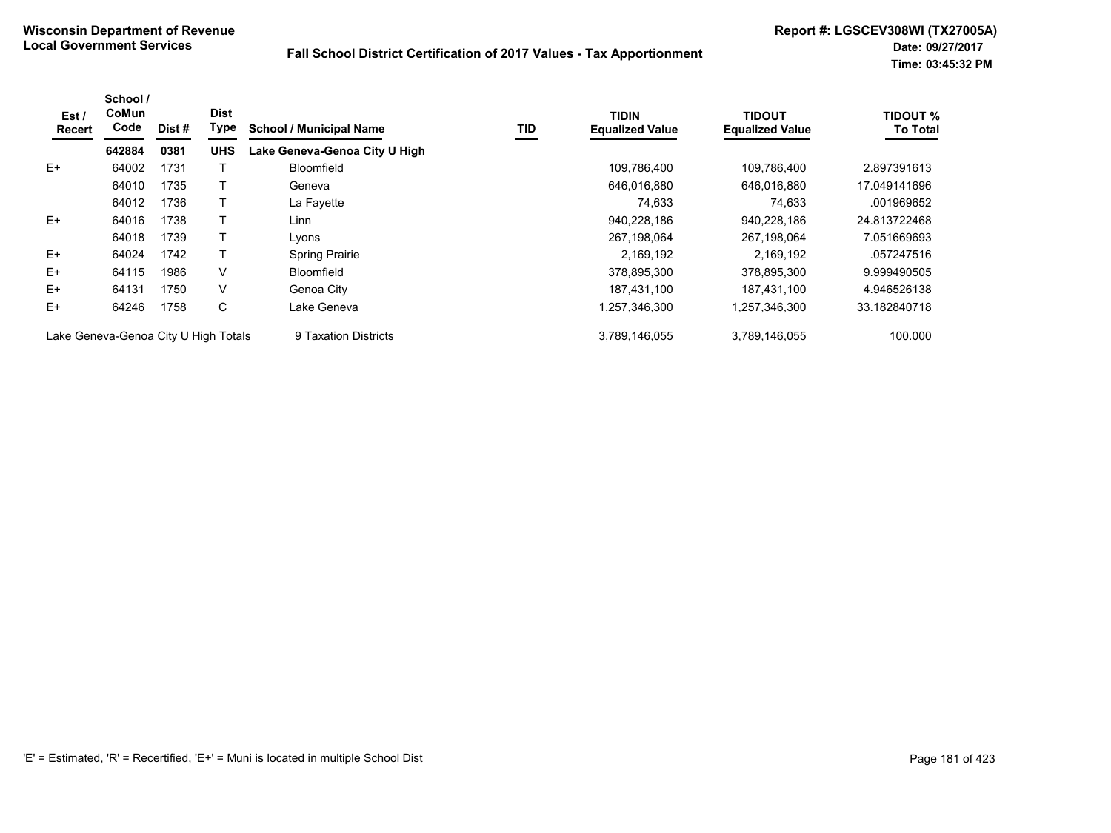| Est /<br>Recert                      | School /<br>CoMun<br>Code | Dist# | <b>Dist</b><br>Type | <b>School / Municipal Name</b> | TID | <b>TIDIN</b><br><b>Equalized Value</b> | TIDOUT<br><b>Equalized Value</b> | <b>TIDOUT %</b><br><b>To Total</b> |
|--------------------------------------|---------------------------|-------|---------------------|--------------------------------|-----|----------------------------------------|----------------------------------|------------------------------------|
|                                      | 642884                    | 0381  | <b>UHS</b>          | Lake Geneva-Genoa City U High  |     |                                        |                                  |                                    |
| $E+$                                 | 64002                     | 1731  |                     | <b>Bloomfield</b>              |     | 109,786,400                            | 109.786.400                      | 2.897391613                        |
|                                      | 64010                     | 1735  |                     | Geneva                         |     | 646,016,880                            | 646,016,880                      | 17.049141696                       |
|                                      | 64012                     | 1736  |                     | La Fayette                     |     | 74.633                                 | 74.633                           | .001969652                         |
| $E+$                                 | 64016                     | 1738  |                     | Linn                           |     | 940,228,186                            | 940,228,186                      | 24.813722468                       |
|                                      | 64018                     | 1739  |                     | Lvons                          |     | 267,198,064                            | 267,198,064                      | 7.051669693                        |
| $E+$                                 | 64024                     | 1742  |                     | Spring Prairie                 |     | 2,169,192                              | 2,169,192                        | .057247516                         |
| $E+$                                 | 64115                     | 1986  | V                   | <b>Bloomfield</b>              |     | 378,895,300                            | 378,895,300                      | 9.999490505                        |
| E+                                   | 64131                     | 1750  | V                   | Genoa City                     |     | 187,431,100                            | 187,431,100                      | 4.946526138                        |
| E+                                   | 64246                     | 1758  | C                   | Lake Geneva                    |     | 1,257,346,300                          | 1,257,346,300                    | 33.182840718                       |
| Lake Geneva-Genoa City U High Totals |                           |       |                     | 9 Taxation Districts           |     | 3,789,146,055                          | 3,789,146,055                    | 100.000                            |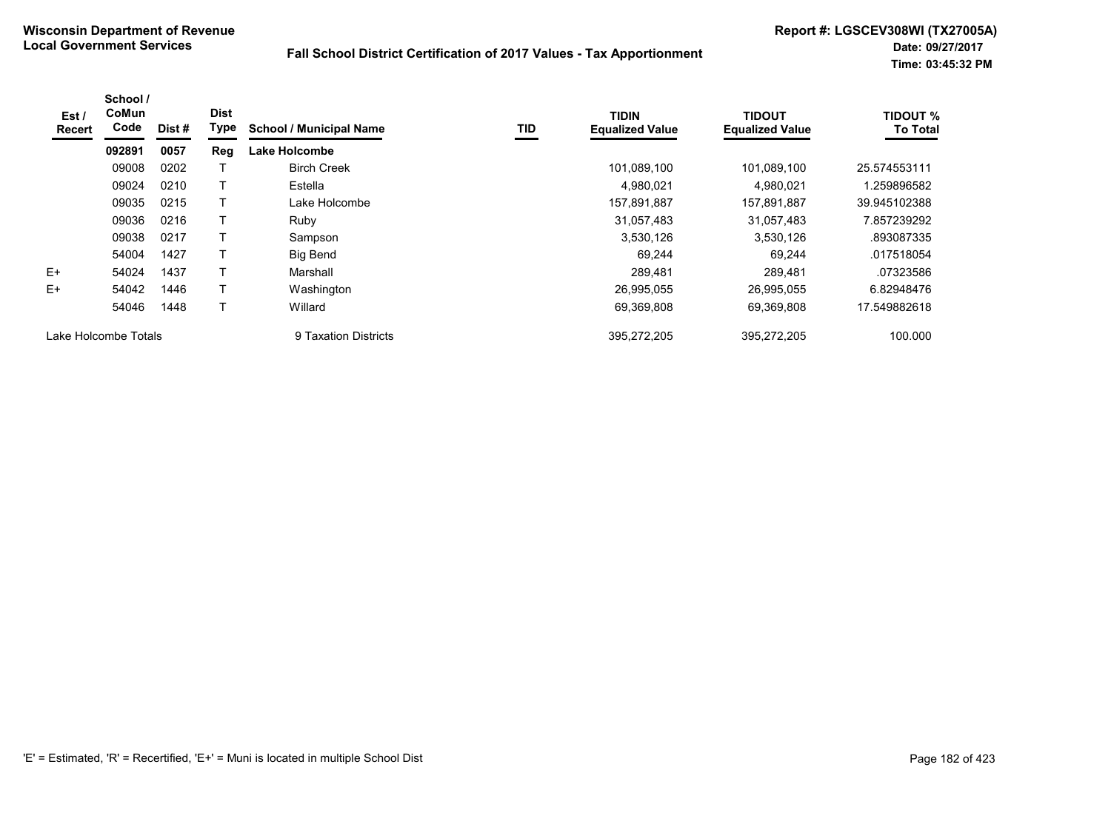| Est /<br><b>Recert</b> | School /<br>CoMun<br>Code | Dist# | <b>Dist</b><br><b>Type</b> | <b>School / Municipal Name</b> | TID | <b>TIDIN</b><br><b>Equalized Value</b> | <b>TIDOUT</b><br><b>Equalized Value</b> | <b>TIDOUT %</b><br><b>To Total</b> |
|------------------------|---------------------------|-------|----------------------------|--------------------------------|-----|----------------------------------------|-----------------------------------------|------------------------------------|
|                        | 092891                    | 0057  | Reg                        | <b>Lake Holcombe</b>           |     |                                        |                                         |                                    |
|                        | 09008                     | 0202  |                            | <b>Birch Creek</b>             |     | 101,089,100                            | 101,089,100                             | 25.574553111                       |
|                        | 09024                     | 0210  |                            | Estella                        |     | 4,980,021                              | 4,980,021                               | 1.259896582                        |
|                        | 09035                     | 0215  |                            | Lake Holcombe                  |     | 157,891,887                            | 157,891,887                             | 39.945102388                       |
|                        | 09036                     | 0216  |                            | Ruby                           |     | 31,057,483                             | 31,057,483                              | 7.857239292                        |
|                        | 09038                     | 0217  |                            | Sampson                        |     | 3,530,126                              | 3,530,126                               | .893087335                         |
|                        | 54004                     | 1427  |                            | <b>Big Bend</b>                |     | 69,244                                 | 69,244                                  | .017518054                         |
| $E+$                   | 54024                     | 1437  |                            | Marshall                       |     | 289,481                                | 289,481                                 | .07323586                          |
| $E+$                   | 54042                     | 1446  |                            | Washington                     |     | 26,995,055                             | 26,995,055                              | 6.82948476                         |
|                        | 54046                     | 1448  |                            | Willard                        |     | 69,369,808                             | 69.369.808                              | 17.549882618                       |
| Lake Holcombe Totals   |                           |       |                            | 9 Taxation Districts           |     | 395,272,205                            | 395.272.205                             | 100.000                            |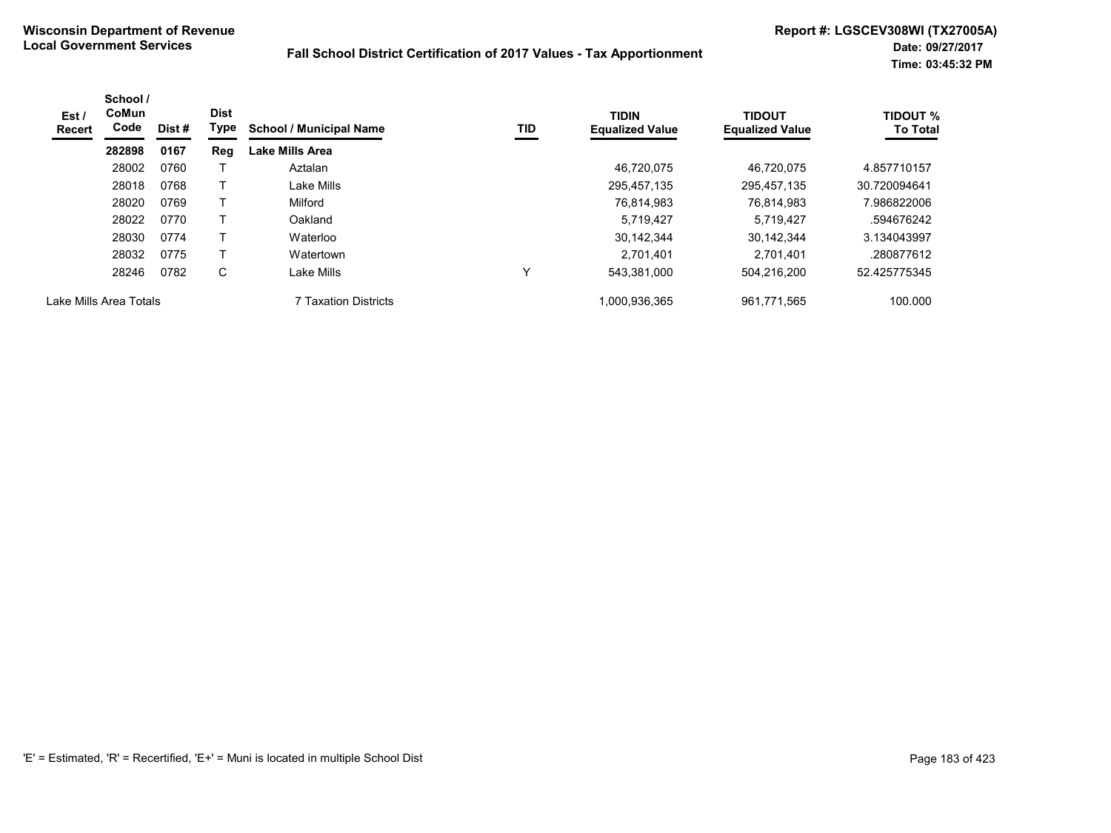| Est /<br>Recert | School /<br>CoMun<br>Code | Dist # | <b>Dist</b><br>Type | <b>School / Municipal Name</b> | TID | <b>TIDIN</b><br><b>Equalized Value</b> | <b>TIDOUT</b><br><b>Equalized Value</b> | <b>TIDOUT %</b><br><b>To Total</b> |
|-----------------|---------------------------|--------|---------------------|--------------------------------|-----|----------------------------------------|-----------------------------------------|------------------------------------|
|                 | 282898                    | 0167   | Reg                 | <b>Lake Mills Area</b>         |     |                                        |                                         |                                    |
|                 | 28002                     | 0760   |                     | Aztalan                        |     | 46,720,075                             | 46.720.075                              | 4.857710157                        |
|                 | 28018                     | 0768   |                     | Lake Mills                     |     | 295,457,135                            | 295,457,135                             | 30.720094641                       |
|                 | 28020                     | 0769   |                     | Milford                        |     | 76,814,983                             | 76.814.983                              | 7.986822006                        |
|                 | 28022                     | 0770   |                     | Oakland                        |     | 5,719,427                              | 5,719,427                               | .594676242                         |
|                 | 28030                     | 0774   |                     | Waterloo                       |     | 30,142,344                             | 30.142.344                              | 3.134043997                        |
|                 | 28032                     | 0775   |                     | Watertown                      |     | 2.701.401                              | 2.701.401                               | .280877612                         |
|                 | 28246                     | 0782   | C                   | Lake Mills                     | v   | 543,381,000                            | 504,216,200                             | 52.425775345                       |
|                 | Lake Mills Area Totals    |        |                     | <b>7 Taxation Districts</b>    |     | 1,000,936,365                          | 961,771,565                             | 100.000                            |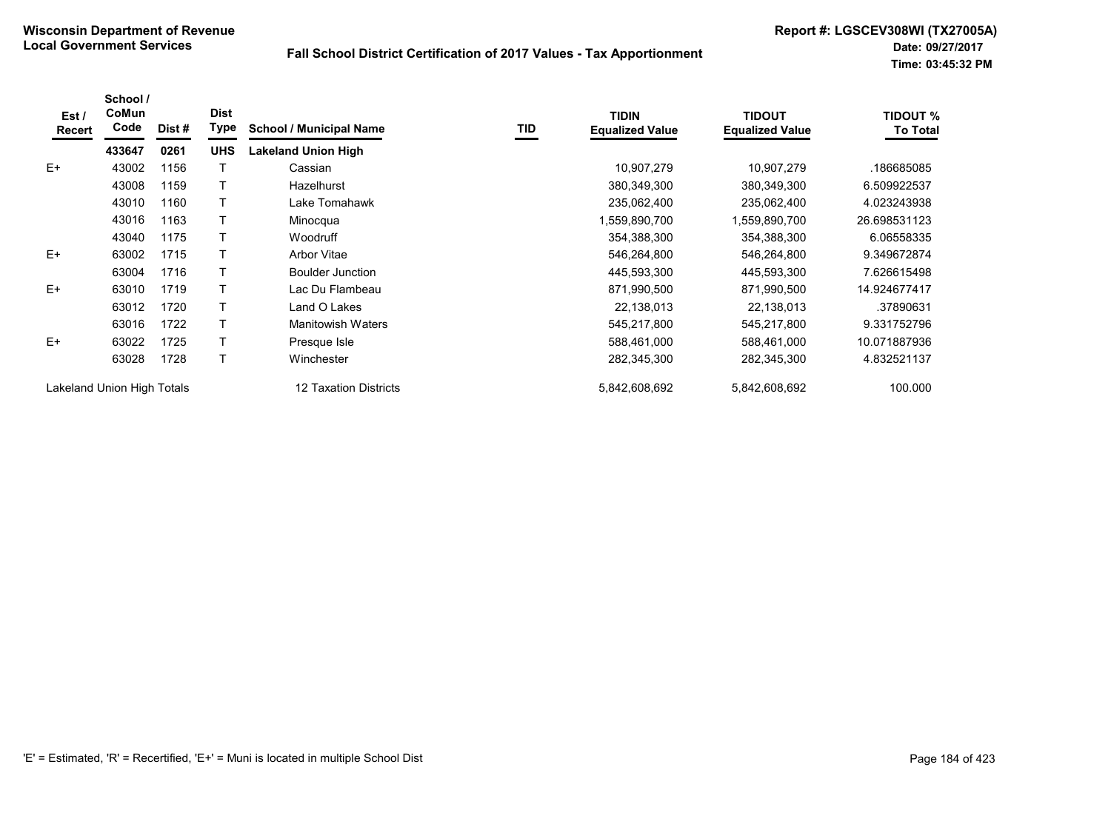| Est/<br>Recert | School /<br>CoMun<br>Code  | Dist # | <b>Dist</b><br><b>Type</b> | <b>School / Municipal Name</b> | TID | <b>TIDIN</b><br><b>Equalized Value</b> | <b>TIDOUT</b><br><b>Equalized Value</b> | <b>TIDOUT %</b><br><b>To Total</b> |
|----------------|----------------------------|--------|----------------------------|--------------------------------|-----|----------------------------------------|-----------------------------------------|------------------------------------|
|                | 433647                     | 0261   | <b>UHS</b>                 | <b>Lakeland Union High</b>     |     |                                        |                                         |                                    |
| $E+$           | 43002                      | 1156   |                            | Cassian                        |     | 10,907,279                             | 10,907,279                              | .186685085                         |
|                | 43008                      | 1159   |                            | Hazelhurst                     |     | 380,349,300                            | 380,349,300                             | 6.509922537                        |
|                | 43010                      | 1160   |                            | Lake Tomahawk                  |     | 235,062,400                            | 235,062,400                             | 4.023243938                        |
|                | 43016                      | 1163   |                            | Minocqua                       |     | 1,559,890,700                          | 1,559,890,700                           | 26.698531123                       |
|                | 43040                      | 1175   |                            | <b>Woodruff</b>                |     | 354,388,300                            | 354,388,300                             | 6.06558335                         |
| $E+$           | 63002                      | 1715   |                            | <b>Arbor Vitae</b>             |     | 546,264,800                            | 546,264,800                             | 9.349672874                        |
|                | 63004                      | 1716   |                            | <b>Boulder Junction</b>        |     | 445,593,300                            | 445,593,300                             | 7.626615498                        |
| $E+$           | 63010                      | 1719   | т                          | Lac Du Flambeau                |     | 871,990,500                            | 871,990,500                             | 14.924677417                       |
|                | 63012                      | 1720   |                            | Land O Lakes                   |     | 22,138,013                             | 22,138,013                              | .37890631                          |
|                | 63016                      | 1722   |                            | <b>Manitowish Waters</b>       |     | 545,217,800                            | 545,217,800                             | 9.331752796                        |
| $E+$           | 63022                      | 1725   |                            | Presque Isle                   |     | 588,461,000                            | 588,461,000                             | 10.071887936                       |
|                | 63028                      | 1728   |                            | Winchester                     |     | 282,345,300                            | 282,345,300                             | 4.832521137                        |
|                | Lakeland Union High Totals |        |                            | 12 Taxation Districts          |     | 5,842,608,692                          | 5,842,608,692                           | 100.000                            |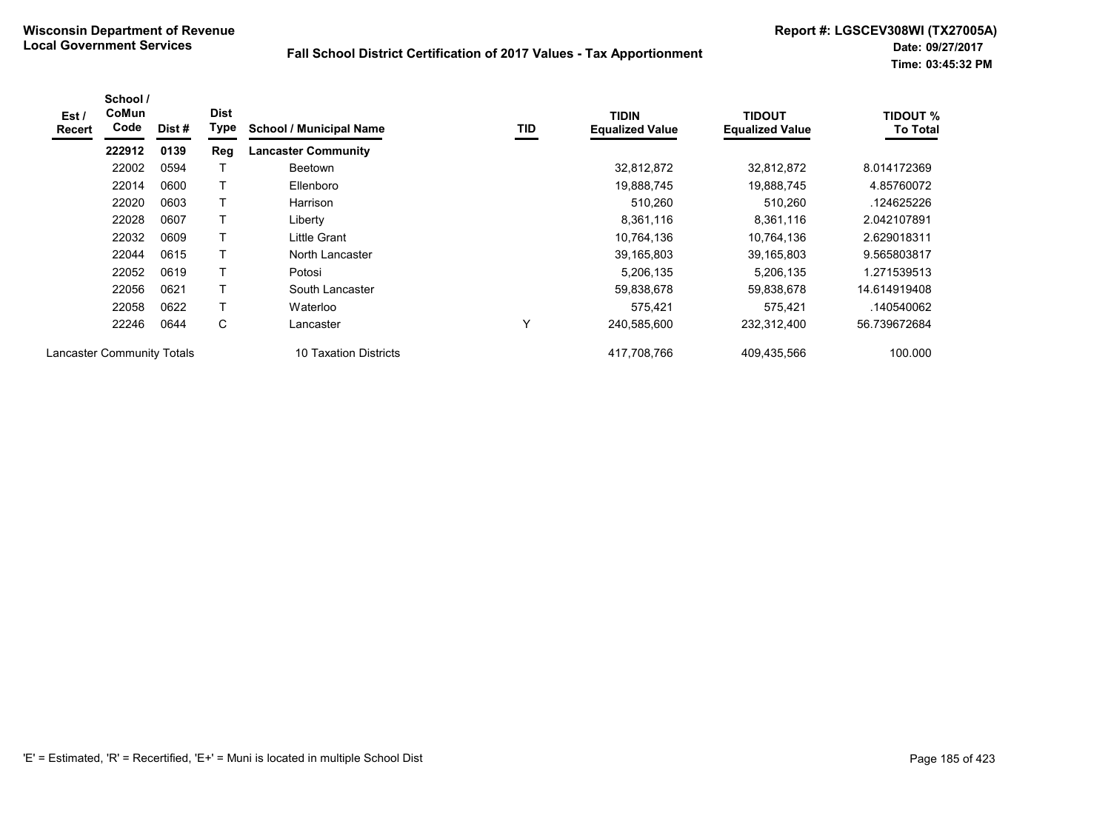| Est/<br><b>Recert</b>             | School /<br>CoMun<br>Code | Dist # | <b>Dist</b><br>Type | <b>School / Municipal Name</b> | TID | <b>TIDIN</b><br><b>Equalized Value</b> | <b>TIDOUT</b><br><b>Equalized Value</b> | <b>TIDOUT %</b><br><b>To Total</b> |
|-----------------------------------|---------------------------|--------|---------------------|--------------------------------|-----|----------------------------------------|-----------------------------------------|------------------------------------|
|                                   | 222912                    | 0139   | Reg                 | <b>Lancaster Community</b>     |     |                                        |                                         |                                    |
|                                   | 22002                     | 0594   |                     | <b>Beetown</b>                 |     | 32,812,872                             | 32,812,872                              | 8.014172369                        |
|                                   | 22014                     | 0600   |                     | Ellenboro                      |     | 19,888,745                             | 19,888,745                              | 4.85760072                         |
|                                   | 22020                     | 0603   |                     | Harrison                       |     | 510,260                                | 510,260                                 | .124625226                         |
|                                   | 22028                     | 0607   |                     | Liberty                        |     | 8,361,116                              | 8,361,116                               | 2.042107891                        |
|                                   | 22032                     | 0609   |                     | Little Grant                   |     | 10,764,136                             | 10.764.136                              | 2.629018311                        |
|                                   | 22044                     | 0615   |                     | North Lancaster                |     | 39,165,803                             | 39,165,803                              | 9.565803817                        |
|                                   | 22052                     | 0619   |                     | Potosi                         |     | 5,206,135                              | 5,206,135                               | 1.271539513                        |
|                                   | 22056                     | 0621   | т                   | South Lancaster                |     | 59,838,678                             | 59,838,678                              | 14.614919408                       |
|                                   | 22058                     | 0622   |                     | Waterloo                       |     | 575.421                                | 575,421                                 | .140540062                         |
|                                   | 22246                     | 0644   | C                   | Lancaster                      | Υ   | 240,585,600                            | 232,312,400                             | 56.739672684                       |
| <b>Lancaster Community Totals</b> |                           |        |                     | 10 Taxation Districts          |     | 417,708,766                            | 409,435,566                             | 100.000                            |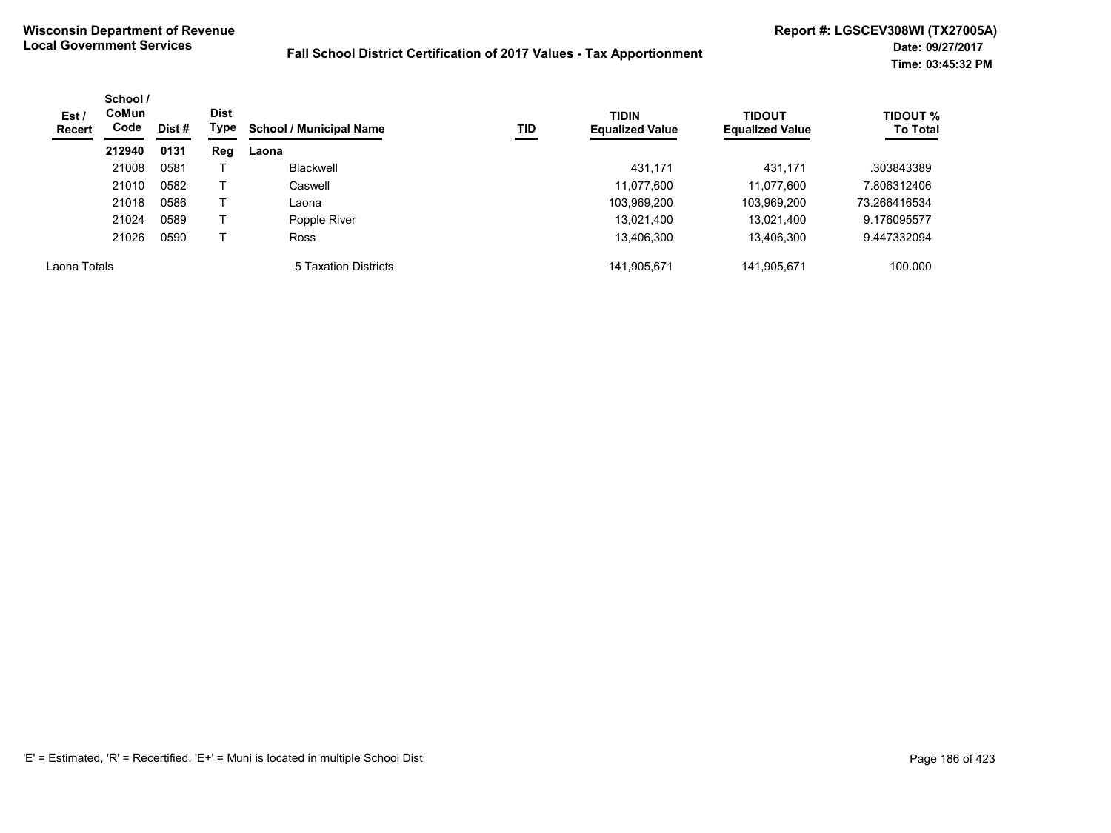| Est /<br><b>Recert</b> | School /<br><b>CoMun</b><br>Code | Dist # | <b>Dist</b><br>Type | <b>School / Municipal Name</b> | TID | <b>TIDIN</b><br><b>Equalized Value</b> | <b>TIDOUT</b><br><b>Equalized Value</b> | <b>TIDOUT %</b><br><b>To Total</b> |
|------------------------|----------------------------------|--------|---------------------|--------------------------------|-----|----------------------------------------|-----------------------------------------|------------------------------------|
|                        | 212940                           | 0131   | Reg                 | Laona                          |     |                                        |                                         |                                    |
|                        | 21008                            | 0581   |                     | Blackwell                      |     | 431.171                                | 431,171                                 | .303843389                         |
|                        | 21010                            | 0582   |                     | Caswell                        |     | 11,077,600                             | 11,077,600                              | 7.806312406                        |
|                        | 21018                            | 0586   |                     | Laona                          |     | 103,969,200                            | 103,969,200                             | 73.266416534                       |
|                        | 21024                            | 0589   |                     | Popple River                   |     | 13,021,400                             | 13,021,400                              | 9.176095577                        |
|                        | 21026                            | 0590   |                     | <b>Ross</b>                    |     | 13,406,300                             | 13,406,300                              | 9.447332094                        |
| Laona Totals           |                                  |        |                     | 5 Taxation Districts           |     | 141,905,671                            | 141,905,671                             | 100.000                            |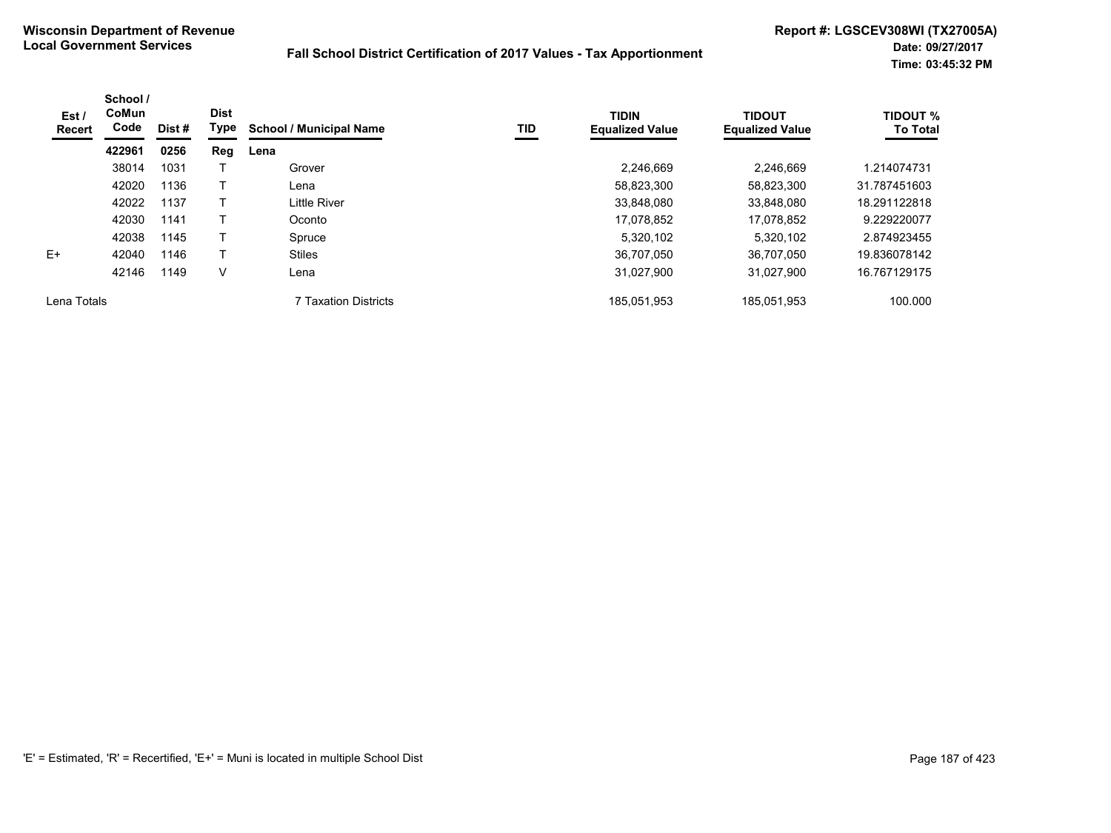| Est /<br><b>Recert</b> | School /<br><b>CoMun</b><br>Code | Dist # | <b>Dist</b><br>Type | <b>School / Municipal Name</b> | TID | <b>TIDIN</b><br><b>Equalized Value</b> | <b>TIDOUT</b><br><b>Equalized Value</b> | <b>TIDOUT %</b><br><b>To Total</b> |
|------------------------|----------------------------------|--------|---------------------|--------------------------------|-----|----------------------------------------|-----------------------------------------|------------------------------------|
|                        | 422961                           | 0256   | Reg                 | Lena                           |     |                                        |                                         |                                    |
|                        | 38014                            | 1031   |                     | Grover                         |     | 2.246.669                              | 2.246.669                               | 1.214074731                        |
|                        | 42020                            | 1136   |                     | Lena                           |     | 58,823,300                             | 58,823,300                              | 31.787451603                       |
|                        | 42022                            | 1137   |                     | <b>Little River</b>            |     | 33,848,080                             | 33.848.080                              | 18.291122818                       |
|                        | 42030                            | 1141   |                     | Oconto                         |     | 17.078.852                             | 17.078.852                              | 9.229220077                        |
|                        | 42038                            | 1145   |                     | Spruce                         |     | 5,320,102                              | 5,320,102                               | 2.874923455                        |
| $E+$                   | 42040                            | 1146   |                     | <b>Stiles</b>                  |     | 36,707,050                             | 36.707.050                              | 19.836078142                       |
|                        | 42146                            | 1149   | V                   | Lena                           |     | 31,027,900                             | 31,027,900                              | 16.767129175                       |
| Lena Totals            |                                  |        |                     | 7 Taxation Districts           |     | 185,051,953                            | 185,051,953                             | 100.000                            |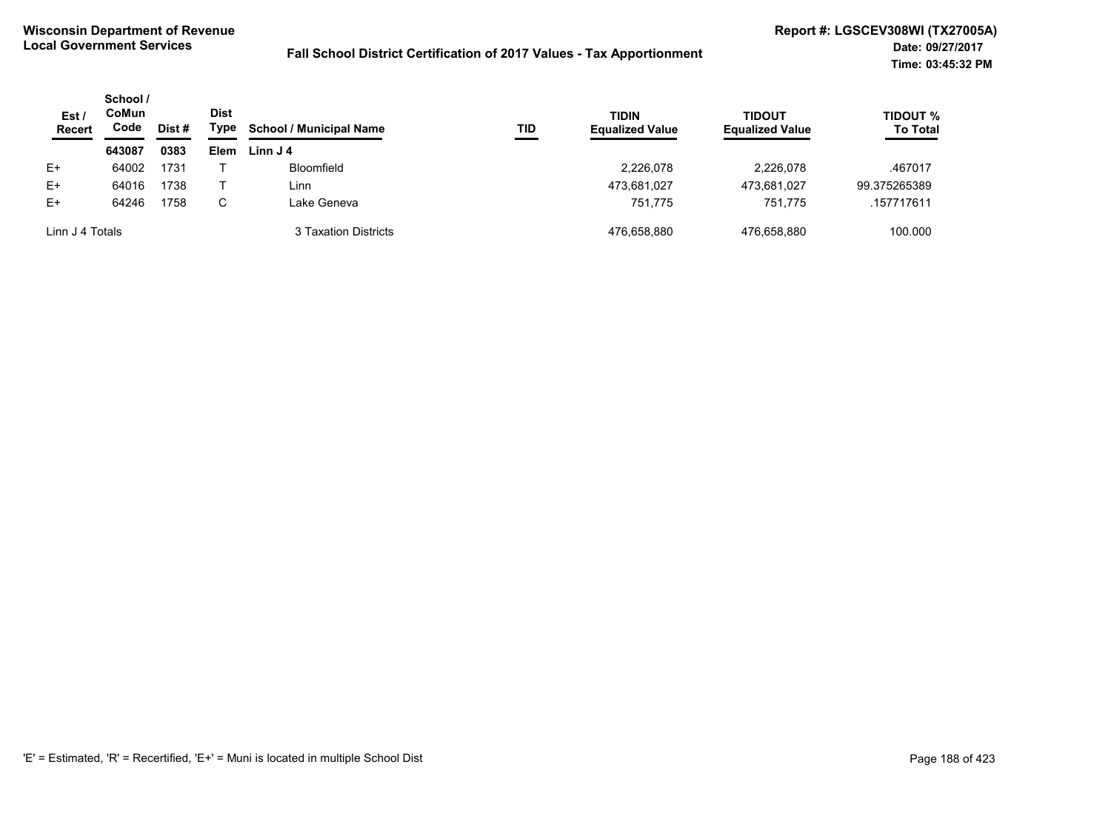| Est /<br><b>Recert</b> | School /<br>CoMun<br>Code | Dist # | <b>Dist</b><br>Type | <b>School / Municipal Name</b> | TID | <b>TIDIN</b><br><b>Equalized Value</b> | <b>TIDOUT</b><br><b>Equalized Value</b> | <b>TIDOUT %</b><br><b>To Total</b> |
|------------------------|---------------------------|--------|---------------------|--------------------------------|-----|----------------------------------------|-----------------------------------------|------------------------------------|
|                        | 643087                    | 0383   | Elem                | Linn J 4                       |     |                                        |                                         |                                    |
| $E+$                   | 64002                     | 1731   |                     | Bloomfield                     |     | 2,226,078                              | 2.226.078                               | .467017                            |
| $E+$                   | 64016                     | 1738   |                     | Linn                           |     | 473,681,027                            | 473.681.027                             | 99.375265389                       |
| $E+$                   | 64246                     | 1758   | С                   | Lake Geneva                    |     | 751.775                                | 751.775                                 | .157717611                         |
| Linn J 4 Totals        |                           |        |                     | 3 Taxation Districts           |     | 476.658.880                            | 476.658.880                             | 100.000                            |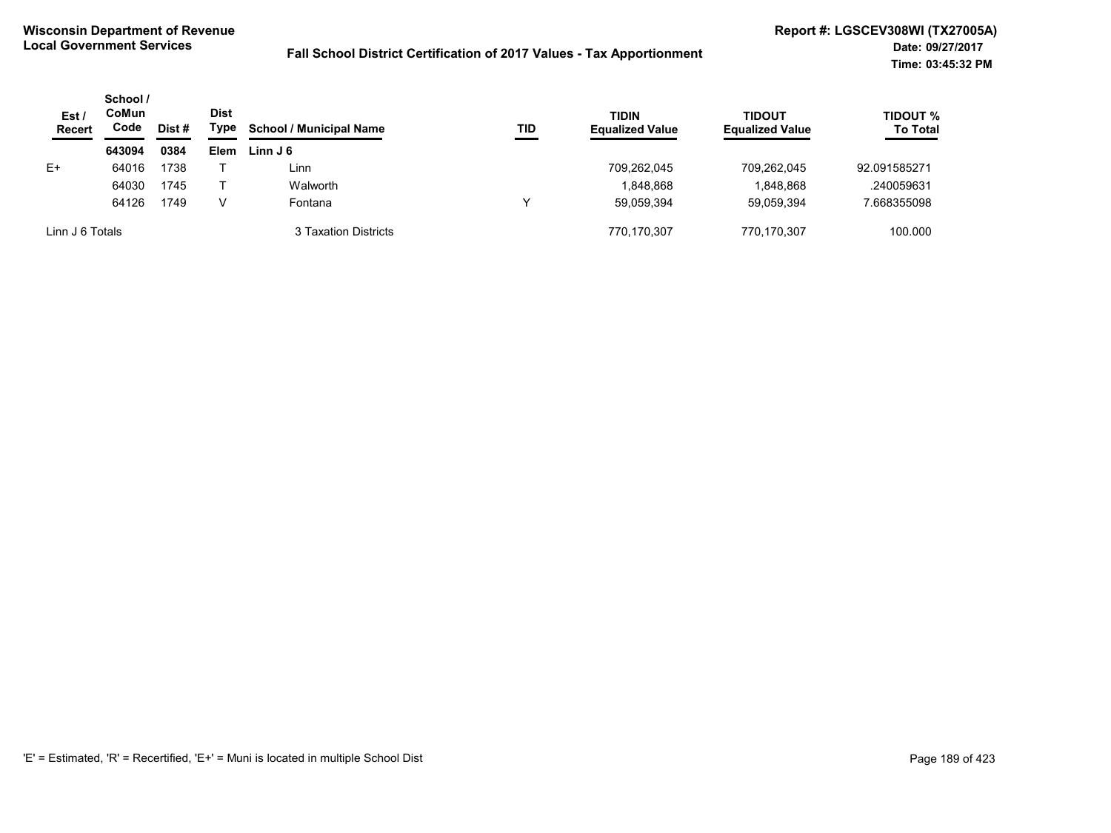| Est/<br><b>Recert</b> | School /<br>CoMun<br>Code | Dist # | <b>Dist</b><br>Type | <b>School / Municipal Name</b> | TID | <b>TIDIN</b><br><b>Equalized Value</b> | TIDOUT<br><b>Equalized Value</b> | <b>TIDOUT %</b><br><b>To Total</b> |
|-----------------------|---------------------------|--------|---------------------|--------------------------------|-----|----------------------------------------|----------------------------------|------------------------------------|
|                       | 643094                    | 0384   | Elem                | Linn J 6                       |     |                                        |                                  |                                    |
| $E+$                  | 64016                     | 1738   |                     | $\mathsf{\bot inn}$            |     | 709.262.045                            | 709.262.045                      | 92.091585271                       |
|                       | 64030                     | 1745   |                     | Walworth                       |     | 1,848,868                              | 1,848,868                        | .240059631                         |
|                       | 64126                     | 1749   | V                   | Fontana                        |     | 59,059,394                             | 59.059.394                       | 7.668355098                        |
| Linn J 6 Totals       |                           |        |                     | 3 Taxation Districts           |     | 770.170.307                            | 770.170.307                      | 100.000                            |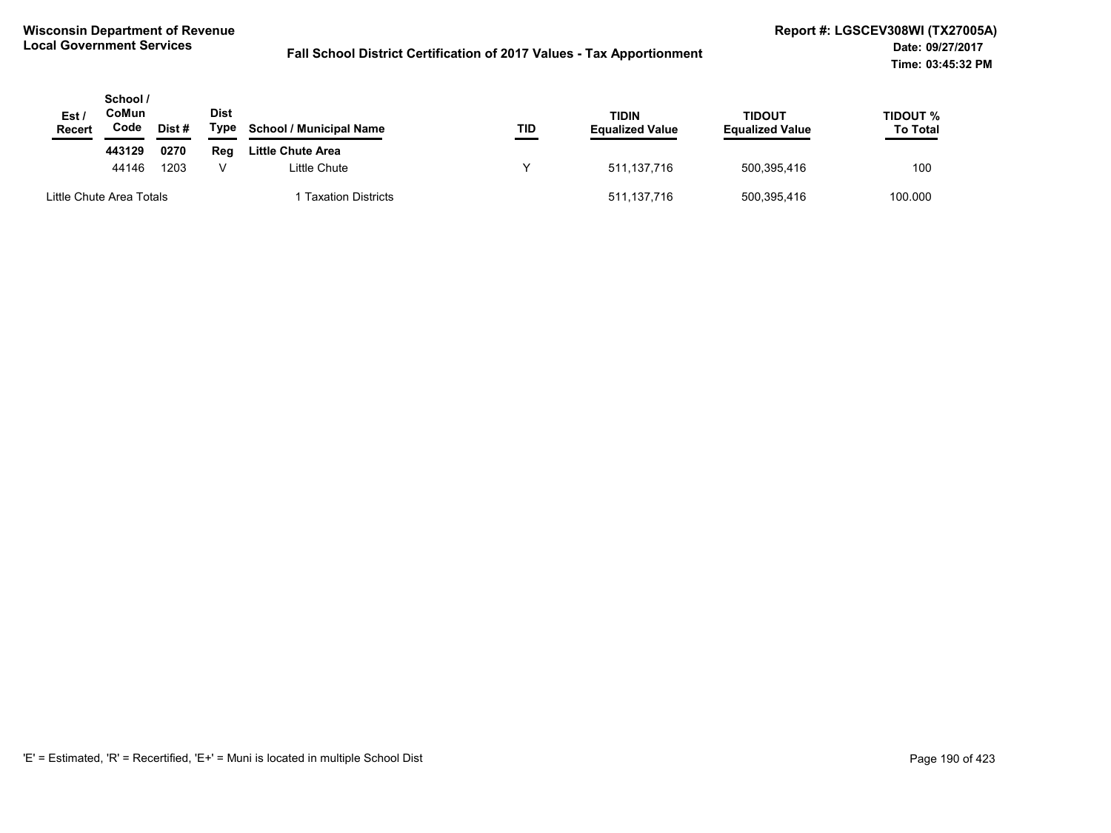| Est/<br><b>Recert</b>    | School /<br>CoMun<br>Code | Dist # | Dist<br>Type | <b>School / Municipal Name</b> | TID | <b>TIDIN</b><br><b>Equalized Value</b> | <b>TIDOUT</b><br><b>Equalized Value</b> | <b>TIDOUT %</b><br><b>To Total</b> |
|--------------------------|---------------------------|--------|--------------|--------------------------------|-----|----------------------------------------|-----------------------------------------|------------------------------------|
|                          | 443129                    | 0270   | Reg          | Little Chute Area              |     |                                        |                                         |                                    |
|                          | 44146                     | 1203   |              | Little Chute                   |     | 511,137,716                            | 500,395,416                             | 100                                |
| Little Chute Area Totals |                           |        |              | <b>Taxation Districts</b>      |     | 511,137,716                            | 500,395,416                             | 100.000                            |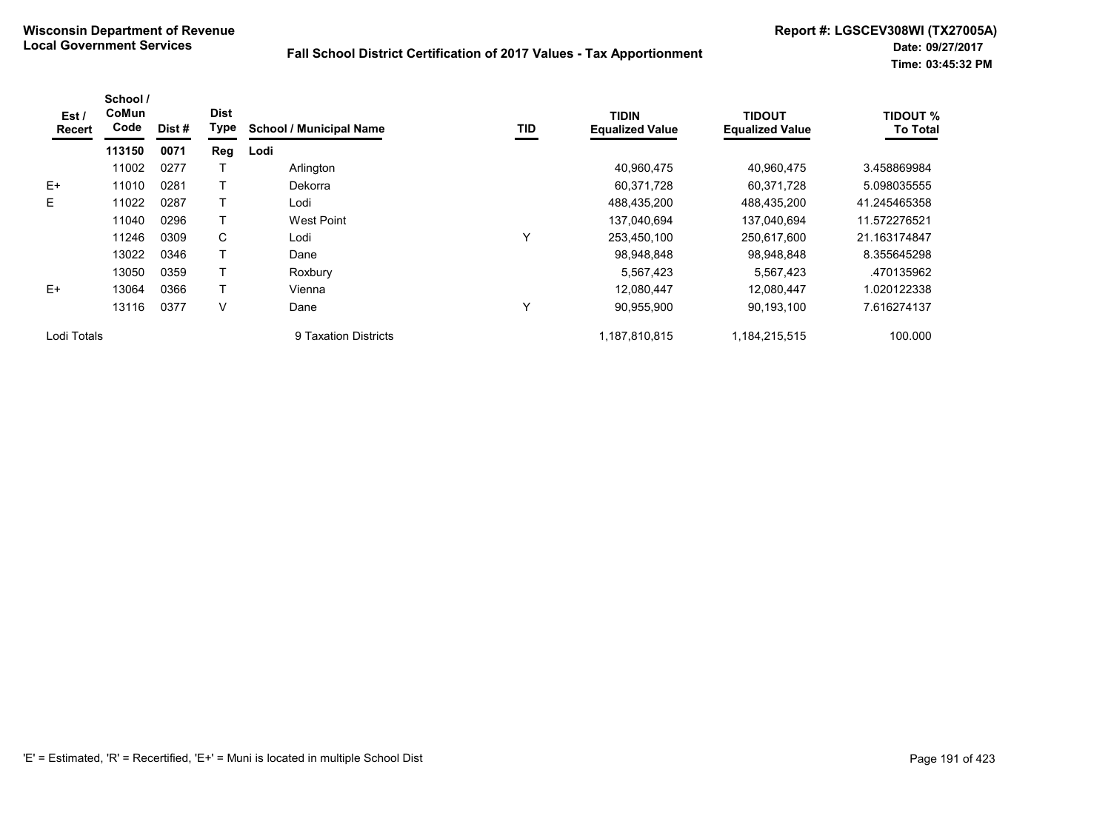| Est/<br><b>Recert</b> | School /<br>CoMun<br>Code | Dist# | <b>Dist</b><br>Type | <b>School / Municipal Name</b> | TID | <b>TIDIN</b><br><b>Equalized Value</b> | <b>TIDOUT</b><br><b>Equalized Value</b> | <b>TIDOUT %</b><br><b>To Total</b> |
|-----------------------|---------------------------|-------|---------------------|--------------------------------|-----|----------------------------------------|-----------------------------------------|------------------------------------|
|                       | 113150                    | 0071  | Reg                 | Lodi                           |     |                                        |                                         |                                    |
|                       | 11002                     | 0277  |                     | Arlington                      |     | 40.960.475                             | 40.960.475                              | 3.458869984                        |
| E+                    | 11010                     | 0281  |                     | Dekorra                        |     | 60,371,728                             | 60,371,728                              | 5.098035555                        |
| E                     | 11022                     | 0287  |                     | Lodi                           |     | 488,435,200                            | 488,435,200                             | 41.245465358                       |
|                       | 11040                     | 0296  |                     | <b>West Point</b>              |     | 137,040,694                            | 137,040,694                             | 11.572276521                       |
|                       | 11246                     | 0309  | C                   | Lodi                           | Υ   | 253,450,100                            | 250,617,600                             | 21.163174847                       |
|                       | 13022                     | 0346  |                     | Dane                           |     | 98,948,848                             | 98,948,848                              | 8.355645298                        |
|                       | 13050                     | 0359  |                     | Roxbury                        |     | 5,567,423                              | 5,567,423                               | .470135962                         |
| $E+$                  | 13064                     | 0366  |                     | Vienna                         |     | 12,080,447                             | 12,080,447                              | 1.020122338                        |
|                       | 13116                     | 0377  | V                   | Dane                           | Υ   | 90,955,900                             | 90,193,100                              | 7.616274137                        |
| Lodi Totals           |                           |       |                     | 9 Taxation Districts           |     | 1,187,810,815                          | 1,184,215,515                           | 100.000                            |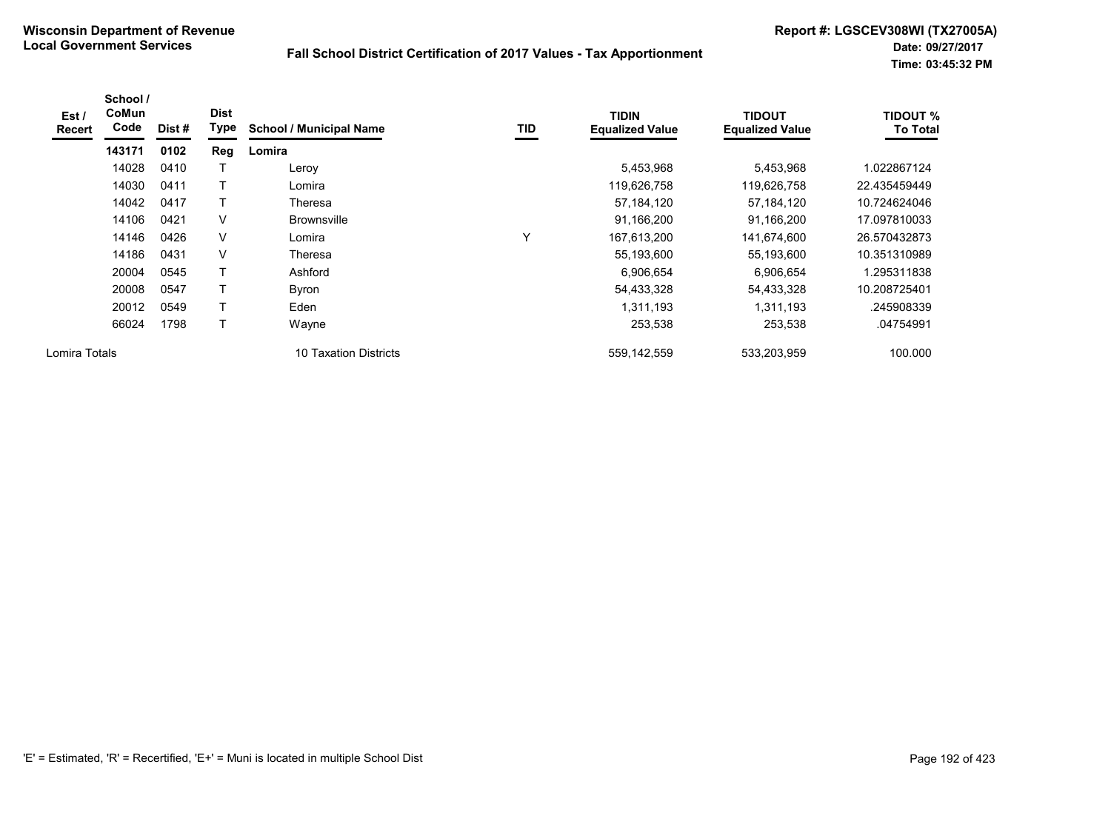| Est /<br>Recert | School /<br>CoMun<br>Code | Dist# | <b>Dist</b><br>Type | <b>School / Municipal Name</b> | <b>TID</b> | <b>TIDIN</b><br><b>Equalized Value</b> | <b>TIDOUT</b><br><b>Equalized Value</b> | <b>TIDOUT %</b><br><b>To Total</b> |
|-----------------|---------------------------|-------|---------------------|--------------------------------|------------|----------------------------------------|-----------------------------------------|------------------------------------|
|                 | 143171                    | 0102  | Reg                 | Lomira                         |            |                                        |                                         |                                    |
|                 | 14028                     | 0410  |                     | Leroy                          |            | 5,453,968                              | 5,453,968                               | 1.022867124                        |
|                 | 14030                     | 0411  |                     | Lomira                         |            | 119,626,758                            | 119,626,758                             | 22.435459449                       |
|                 | 14042                     | 0417  |                     | Theresa                        |            | 57,184,120                             | 57,184,120                              | 10.724624046                       |
|                 | 14106                     | 0421  | V                   | <b>Brownsville</b>             |            | 91,166,200                             | 91,166,200                              | 17.097810033                       |
|                 | 14146                     | 0426  | V                   | Lomira                         | Υ          | 167,613,200                            | 141,674,600                             | 26.570432873                       |
|                 | 14186                     | 0431  | $\vee$              | Theresa                        |            | 55,193,600                             | 55,193,600                              | 10.351310989                       |
|                 | 20004                     | 0545  |                     | Ashford                        |            | 6,906,654                              | 6,906,654                               | 1.295311838                        |
|                 | 20008                     | 0547  |                     | <b>Byron</b>                   |            | 54,433,328                             | 54,433,328                              | 10.208725401                       |
|                 | 20012                     | 0549  | T                   | Eden                           |            | 1,311,193                              | 1,311,193                               | .245908339                         |
|                 | 66024                     | 1798  |                     | Wayne                          |            | 253,538                                | 253,538                                 | .04754991                          |
| Lomira Totals   |                           |       |                     | 10 Taxation Districts          |            | 559, 142, 559                          | 533,203,959                             | 100.000                            |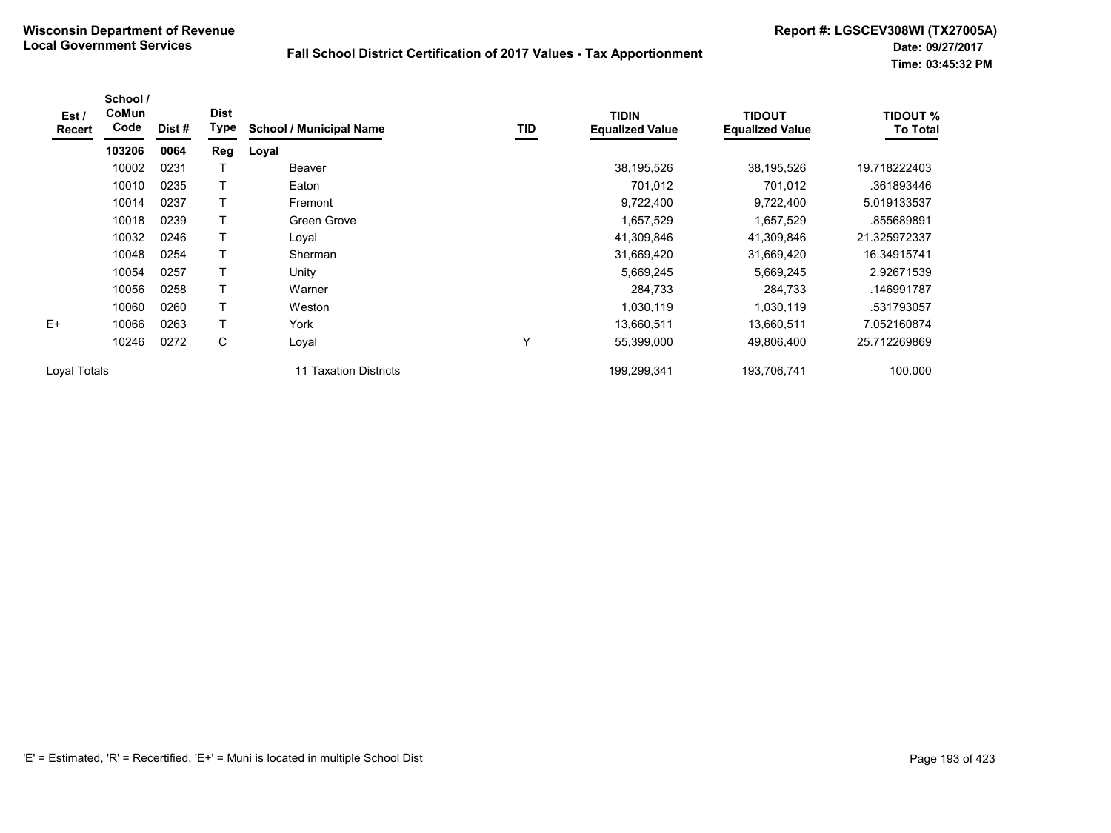| Est /<br><b>Recert</b> | School /<br>CoMun<br>Code | Dist# | <b>Dist</b><br>Type | <b>School / Municipal Name</b> | TID | <b>TIDIN</b><br><b>Equalized Value</b> | <b>TIDOUT</b><br><b>Equalized Value</b> | <b>TIDOUT %</b><br><b>To Total</b> |
|------------------------|---------------------------|-------|---------------------|--------------------------------|-----|----------------------------------------|-----------------------------------------|------------------------------------|
|                        | 103206                    | 0064  | Reg                 | Loyal                          |     |                                        |                                         |                                    |
|                        | 10002                     | 0231  |                     | Beaver                         |     | 38,195,526                             | 38,195,526                              | 19.718222403                       |
|                        | 10010                     | 0235  | T                   | Eaton                          |     | 701,012                                | 701,012                                 | .361893446                         |
|                        | 10014                     | 0237  |                     | Fremont                        |     | 9,722,400                              | 9,722,400                               | 5.019133537                        |
|                        | 10018                     | 0239  |                     | Green Grove                    |     | 1,657,529                              | 1,657,529                               | .855689891                         |
|                        | 10032                     | 0246  | $\mathsf T$         | Loyal                          |     | 41,309,846                             | 41,309,846                              | 21.325972337                       |
|                        | 10048                     | 0254  | T                   | Sherman                        |     | 31,669,420                             | 31,669,420                              | 16.34915741                        |
|                        | 10054                     | 0257  | $\mathsf T$         | Unity                          |     | 5,669,245                              | 5,669,245                               | 2.92671539                         |
|                        | 10056                     | 0258  |                     | Warner                         |     | 284,733                                | 284,733                                 | .146991787                         |
|                        | 10060                     | 0260  | T                   | Weston                         |     | 1,030,119                              | 1,030,119                               | .531793057                         |
| $E+$                   | 10066                     | 0263  | $\mathsf{T}$        | York                           |     | 13,660,511                             | 13,660,511                              | 7.052160874                        |
|                        | 10246                     | 0272  | С                   | Loyal                          | Υ   | 55,399,000                             | 49,806,400                              | 25.712269869                       |
| Loval Totals           |                           |       |                     | 11 Taxation Districts          |     | 199,299,341                            | 193,706,741                             | 100.000                            |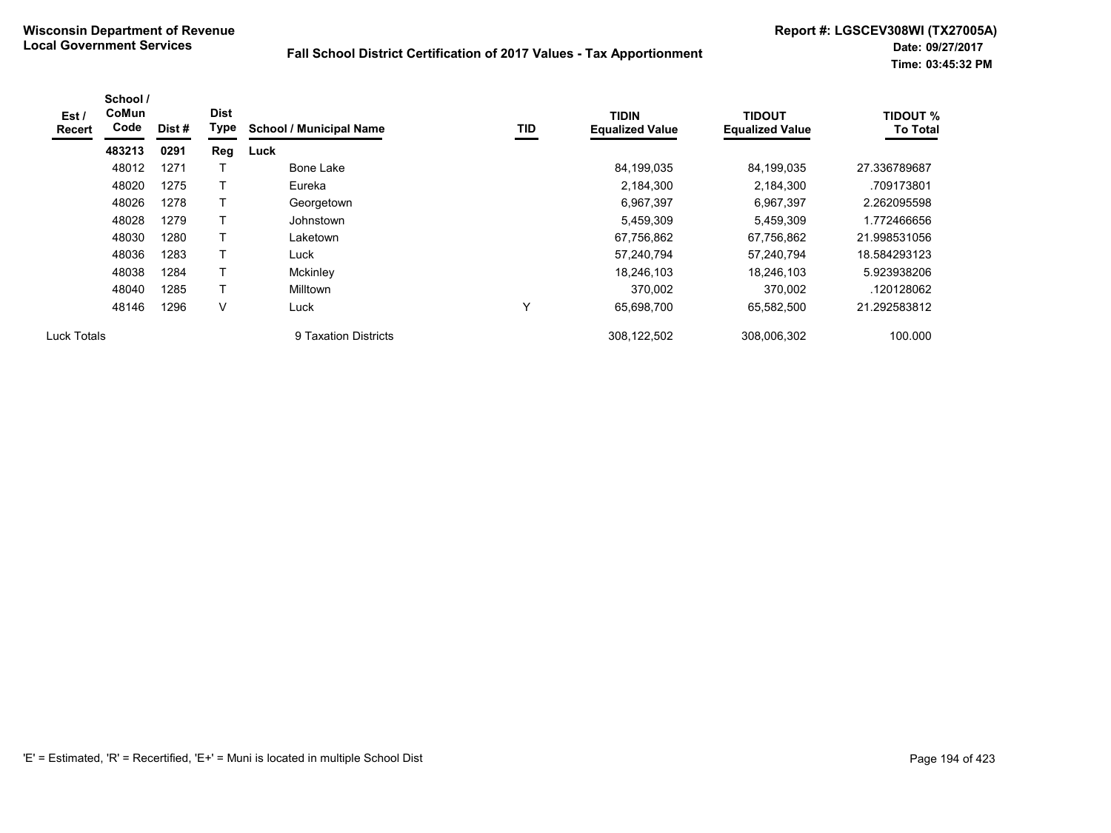| Est /<br><b>Recert</b> | School /<br>CoMun<br>Code | Dist # | <b>Dist</b><br>Type | <b>School / Municipal Name</b> | TID | <b>TIDIN</b><br><b>Equalized Value</b> | <b>TIDOUT</b><br><b>Equalized Value</b> | <b>TIDOUT %</b><br><b>To Total</b> |
|------------------------|---------------------------|--------|---------------------|--------------------------------|-----|----------------------------------------|-----------------------------------------|------------------------------------|
|                        | 483213                    | 0291   | Reg                 | Luck                           |     |                                        |                                         |                                    |
|                        | 48012                     | 1271   |                     | Bone Lake                      |     | 84,199,035                             | 84,199,035                              | 27.336789687                       |
|                        | 48020                     | 1275   |                     | Eureka                         |     | 2,184,300                              | 2,184,300                               | .709173801                         |
|                        | 48026                     | 1278   |                     | Georgetown                     |     | 6,967,397                              | 6,967,397                               | 2.262095598                        |
|                        | 48028                     | 1279   |                     | Johnstown                      |     | 5,459,309                              | 5,459,309                               | 1.772466656                        |
|                        | 48030                     | 1280   |                     | Laketown                       |     | 67,756,862                             | 67,756,862                              | 21.998531056                       |
|                        | 48036                     | 1283   |                     | Luck                           |     | 57,240,794                             | 57,240,794                              | 18.584293123                       |
|                        | 48038                     | 1284   |                     | Mckinley                       |     | 18,246,103                             | 18,246,103                              | 5.923938206                        |
|                        | 48040                     | 1285   |                     | <b>Milltown</b>                |     | 370.002                                | 370.002                                 | .120128062                         |
|                        | 48146                     | 1296   | V                   | Luck                           | Y   | 65,698,700                             | 65,582,500                              | 21.292583812                       |
| <b>Luck Totals</b>     |                           |        |                     | 9 Taxation Districts           |     | 308,122,502                            | 308.006.302                             | 100.000                            |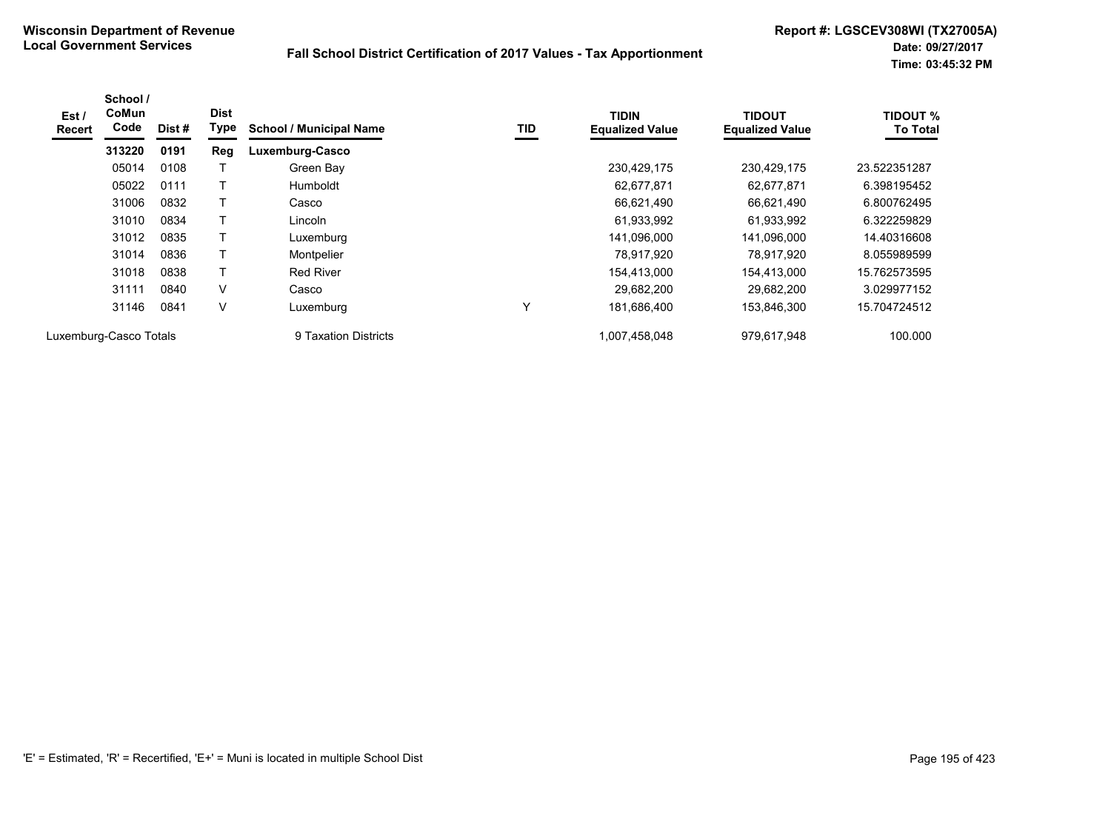| Est /<br><b>Recert</b> | School /<br>CoMun<br>Code | Dist# | <b>Dist</b><br>Type | <b>School / Municipal Name</b> | TID | <b>TIDIN</b><br><b>Equalized Value</b> | <b>TIDOUT</b><br><b>Equalized Value</b> | <b>TIDOUT %</b><br><b>To Total</b> |
|------------------------|---------------------------|-------|---------------------|--------------------------------|-----|----------------------------------------|-----------------------------------------|------------------------------------|
|                        | 313220                    | 0191  | Reg                 | Luxemburg-Casco                |     |                                        |                                         |                                    |
|                        | 05014                     | 0108  |                     | Green Bay                      |     | 230,429,175                            | 230,429,175                             | 23.522351287                       |
|                        | 05022                     | 0111  |                     | Humboldt                       |     | 62,677,871                             | 62,677,871                              | 6.398195452                        |
|                        | 31006                     | 0832  |                     | Casco                          |     | 66,621,490                             | 66,621,490                              | 6.800762495                        |
|                        | 31010                     | 0834  |                     | Lincoln                        |     | 61,933,992                             | 61,933,992                              | 6.322259829                        |
|                        | 31012                     | 0835  | T                   | Luxemburg                      |     | 141,096,000                            | 141,096,000                             | 14.40316608                        |
|                        | 31014                     | 0836  | Т                   | Montpelier                     |     | 78,917,920                             | 78.917.920                              | 8.055989599                        |
|                        | 31018                     | 0838  | T                   | <b>Red River</b>               |     | 154.413.000                            | 154,413,000                             | 15.762573595                       |
|                        | 31111                     | 0840  | V                   | Casco                          |     | 29,682,200                             | 29,682,200                              | 3.029977152                        |
|                        | 31146                     | 0841  | V                   | Luxemburg                      | Y   | 181,686,400                            | 153,846,300                             | 15.704724512                       |
| Luxemburg-Casco Totals |                           |       |                     | 9 Taxation Districts           |     | 1.007.458.048                          | 979.617.948                             | 100.000                            |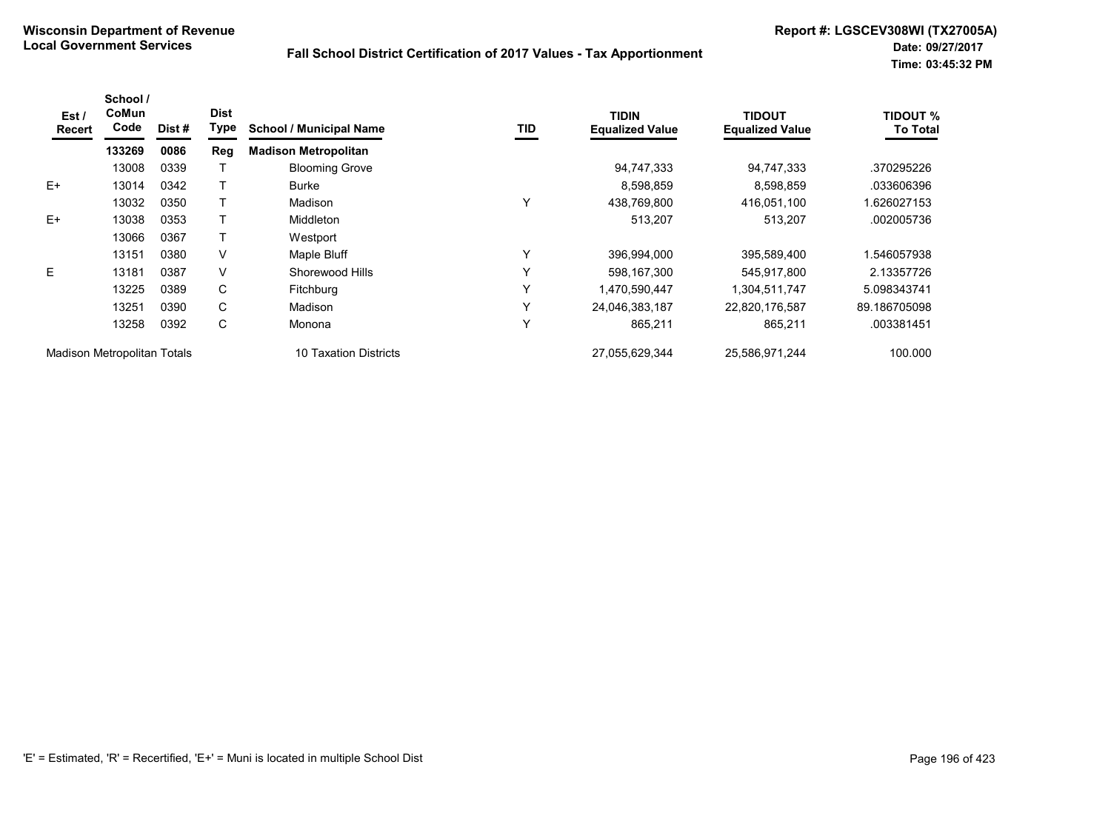| Est /<br><b>Recert</b> | School /<br>CoMun<br>Code   | Dist # | <b>Dist</b><br>Type | <b>School / Municipal Name</b> | <b>TID</b> | <b>TIDIN</b><br><b>Equalized Value</b> | <b>TIDOUT</b><br><b>Equalized Value</b> | TIDOUT %<br><b>To Total</b> |
|------------------------|-----------------------------|--------|---------------------|--------------------------------|------------|----------------------------------------|-----------------------------------------|-----------------------------|
|                        | 133269                      | 0086   | Reg                 | <b>Madison Metropolitan</b>    |            |                                        |                                         |                             |
|                        | 13008                       | 0339   |                     | <b>Blooming Grove</b>          |            | 94,747,333                             | 94,747,333                              | .370295226                  |
| $E+$                   | 13014                       | 0342   |                     | <b>Burke</b>                   |            | 8,598,859                              | 8,598,859                               | .033606396                  |
|                        | 13032                       | 0350   |                     | Madison                        | Υ          | 438,769,800                            | 416,051,100                             | 1.626027153                 |
| $E+$                   | 13038                       | 0353   |                     | <b>Middleton</b>               |            | 513.207                                | 513,207                                 | .002005736                  |
|                        | 13066                       | 0367   |                     | Westport                       |            |                                        |                                         |                             |
|                        | 13151                       | 0380   | V                   | Maple Bluff                    | Υ          | 396,994,000                            | 395,589,400                             | 1.546057938                 |
| E.                     | 13181                       | 0387   | V                   | Shorewood Hills                | Y          | 598,167,300                            | 545,917,800                             | 2.13357726                  |
|                        | 13225                       | 0389   | C                   | <b>Fitchburg</b>               | Υ          | 1,470,590,447                          | 1,304,511,747                           | 5.098343741                 |
|                        | 13251                       | 0390   | C                   | Madison                        | Y          | 24,046,383,187                         | 22,820,176,587                          | 89.186705098                |
|                        | 13258                       | 0392   | С                   | Monona                         | Y          | 865,211                                | 865,211                                 | .003381451                  |
|                        | Madison Metropolitan Totals |        |                     | <b>10 Taxation Districts</b>   |            | 27,055,629,344                         | 25,586,971,244                          | 100.000                     |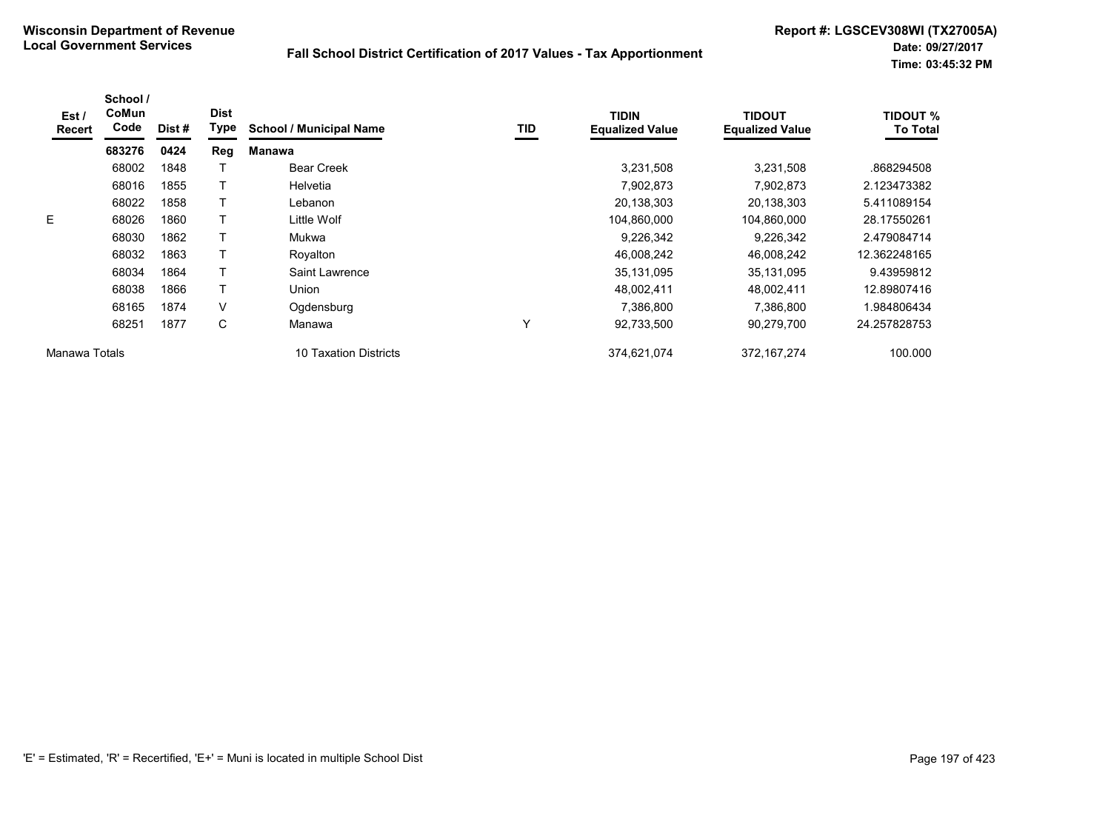| Est /<br>Recert | School /<br>CoMun<br>Code | Dist # | <b>Dist</b><br><b>Type</b> | <b>School / Municipal Name</b> | TID | <b>TIDIN</b><br><b>Equalized Value</b> | <b>TIDOUT</b><br><b>Equalized Value</b> | <b>TIDOUT %</b><br><b>To Total</b> |
|-----------------|---------------------------|--------|----------------------------|--------------------------------|-----|----------------------------------------|-----------------------------------------|------------------------------------|
|                 | 683276                    | 0424   | Reg                        | Manawa                         |     |                                        |                                         |                                    |
|                 | 68002                     | 1848   |                            | <b>Bear Creek</b>              |     | 3,231,508                              | 3,231,508                               | .868294508                         |
|                 | 68016                     | 1855   |                            | Helvetia                       |     | 7,902,873                              | 7,902,873                               | 2.123473382                        |
|                 | 68022                     | 1858   |                            | Lebanon                        |     | 20,138,303                             | 20,138,303                              | 5.411089154                        |
| E               | 68026                     | 1860   |                            | Little Wolf                    |     | 104,860,000                            | 104,860,000                             | 28.17550261                        |
|                 | 68030                     | 1862   |                            | Mukwa                          |     | 9,226,342                              | 9,226,342                               | 2.479084714                        |
|                 | 68032                     | 1863   |                            | Royalton                       |     | 46,008,242                             | 46,008,242                              | 12.362248165                       |
|                 | 68034                     | 1864   |                            | Saint Lawrence                 |     | 35,131,095                             | 35,131,095                              | 9.43959812                         |
|                 | 68038                     | 1866   |                            | Union                          |     | 48,002,411                             | 48,002,411                              | 12.89807416                        |
|                 | 68165                     | 1874   | V                          | Ogdensburg                     |     | 7,386,800                              | 7,386,800                               | .984806434                         |
|                 | 68251                     | 1877   | C                          | Manawa                         | Υ   | 92,733,500                             | 90,279,700                              | 24.257828753                       |
| Manawa Totals   |                           |        |                            | 10 Taxation Districts          |     | 374,621,074                            | 372, 167, 274                           | 100.000                            |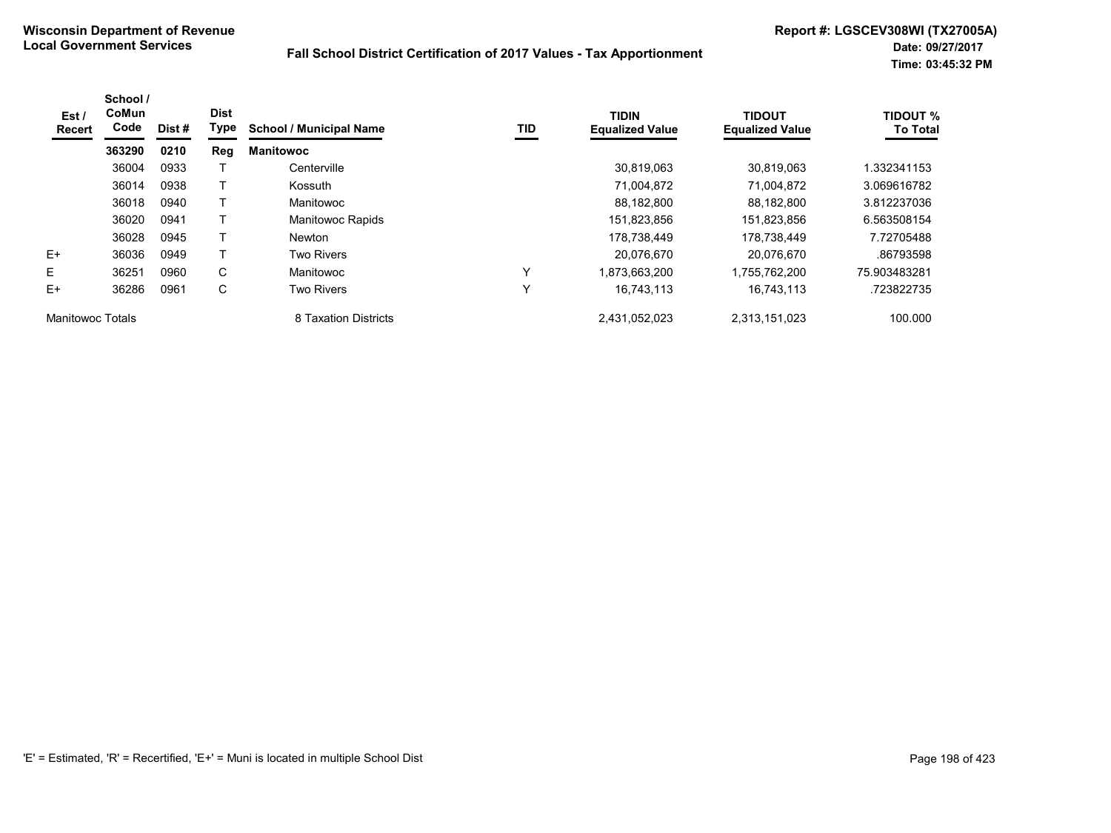| Est /<br><b>Recert</b>  | School /<br>CoMun<br>Code | Dist # | <b>Dist</b><br>Type | <b>School / Municipal Name</b> | TID          | <b>TIDIN</b><br><b>Equalized Value</b> | <b>TIDOUT</b><br><b>Equalized Value</b> | <b>TIDOUT %</b><br><b>To Total</b> |
|-------------------------|---------------------------|--------|---------------------|--------------------------------|--------------|----------------------------------------|-----------------------------------------|------------------------------------|
|                         | 363290                    | 0210   | Reg                 | <b>Manitowoc</b>               |              |                                        |                                         |                                    |
|                         | 36004                     | 0933   |                     | Centerville                    |              | 30,819,063                             | 30.819.063                              | 1.332341153                        |
|                         | 36014                     | 0938   |                     | Kossuth                        |              | 71,004,872                             | 71,004,872                              | 3.069616782                        |
|                         | 36018                     | 0940   |                     | Manitowoc                      |              | 88.182.800                             | 88.182.800                              | 3.812237036                        |
|                         | 36020                     | 0941   |                     | <b>Manitowoc Rapids</b>        |              | 151,823,856                            | 151,823,856                             | 6.563508154                        |
|                         | 36028                     | 0945   |                     | <b>Newton</b>                  |              | 178.738.449                            | 178.738.449                             | 7.72705488                         |
| $E+$                    | 36036                     | 0949   |                     | <b>Two Rivers</b>              |              | 20.076.670                             | 20.076.670                              | .86793598                          |
| E.                      | 36251                     | 0960   | C                   | Manitowoc                      | $\checkmark$ | 1,873,663,200                          | 1,755,762,200                           | 75.903483281                       |
| $E+$                    | 36286                     | 0961   | C                   | <b>Two Rivers</b>              | $\checkmark$ | 16,743,113                             | 16,743,113                              | .723822735                         |
| <b>Manitowoc Totals</b> |                           |        |                     | 8 Taxation Districts           |              | 2,431,052,023                          | 2,313,151,023                           | 100.000                            |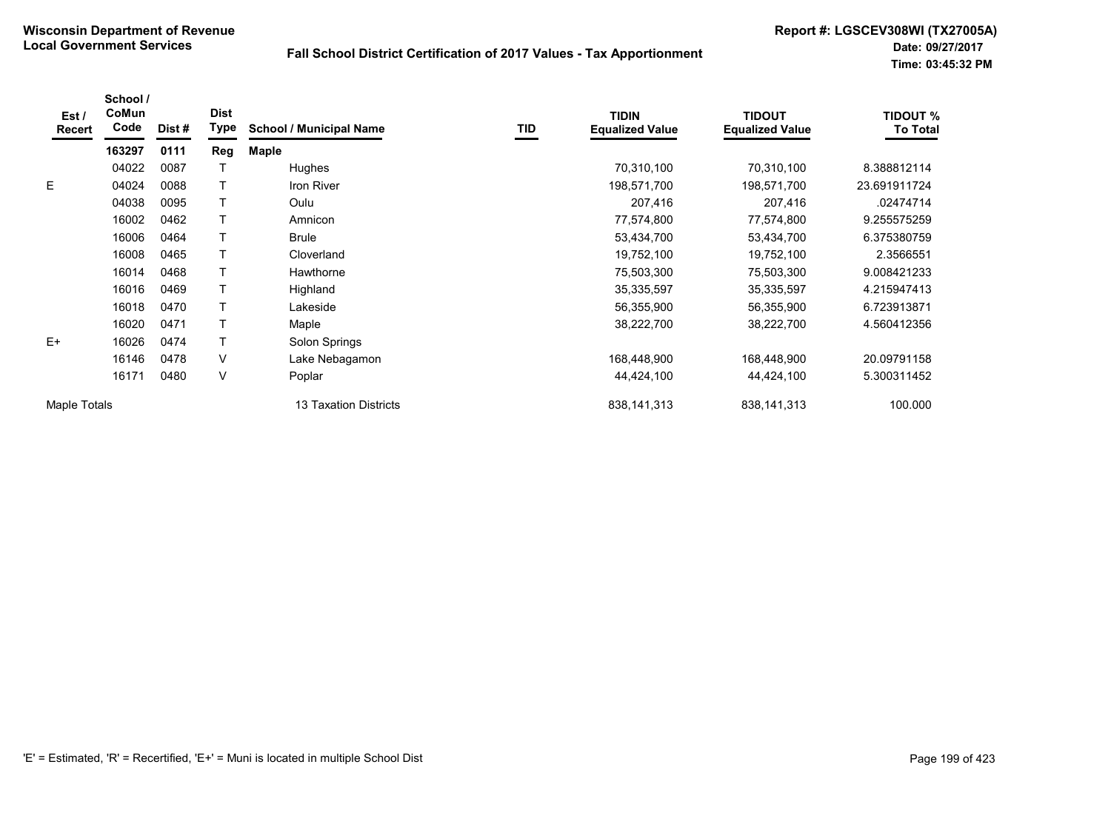| Est/<br><b>Recert</b> | School /<br>CoMun<br>Code | Dist# | <b>Dist</b><br><b>Type</b> | <b>School / Municipal Name</b> | TID | <b>TIDIN</b><br><b>Equalized Value</b> | <b>TIDOUT</b><br><b>Equalized Value</b> | <b>TIDOUT %</b><br><b>To Total</b> |
|-----------------------|---------------------------|-------|----------------------------|--------------------------------|-----|----------------------------------------|-----------------------------------------|------------------------------------|
|                       | 163297                    | 0111  | Reg                        | <b>Maple</b>                   |     |                                        |                                         |                                    |
|                       | 04022                     | 0087  |                            | Hughes                         |     | 70,310,100                             | 70,310,100                              | 8.388812114                        |
| E                     | 04024                     | 0088  |                            | Iron River                     |     | 198,571,700                            | 198,571,700                             | 23.691911724                       |
|                       | 04038                     | 0095  |                            | Oulu                           |     | 207,416                                | 207,416                                 | .02474714                          |
|                       | 16002                     | 0462  |                            | Amnicon                        |     | 77,574,800                             | 77,574,800                              | 9.255575259                        |
|                       | 16006                     | 0464  |                            | <b>Brule</b>                   |     | 53,434,700                             | 53,434,700                              | 6.375380759                        |
|                       | 16008                     | 0465  |                            | Cloverland                     |     | 19,752,100                             | 19,752,100                              | 2.3566551                          |
|                       | 16014                     | 0468  |                            | Hawthorne                      |     | 75,503,300                             | 75,503,300                              | 9.008421233                        |
|                       | 16016                     | 0469  |                            | Highland                       |     | 35,335,597                             | 35,335,597                              | 4.215947413                        |
|                       | 16018                     | 0470  |                            | Lakeside                       |     | 56,355,900                             | 56,355,900                              | 6.723913871                        |
|                       | 16020                     | 0471  |                            | Maple                          |     | 38,222,700                             | 38,222,700                              | 4.560412356                        |
| $E+$                  | 16026                     | 0474  |                            | Solon Springs                  |     |                                        |                                         |                                    |
|                       | 16146                     | 0478  | V                          | Lake Nebagamon                 |     | 168,448,900                            | 168,448,900                             | 20.09791158                        |
|                       | 16171                     | 0480  | V                          | Poplar                         |     | 44,424,100                             | 44,424,100                              | 5.300311452                        |
| Maple Totals          |                           |       |                            | 13 Taxation Districts          |     | 838, 141, 313                          | 838,141,313                             | 100.000                            |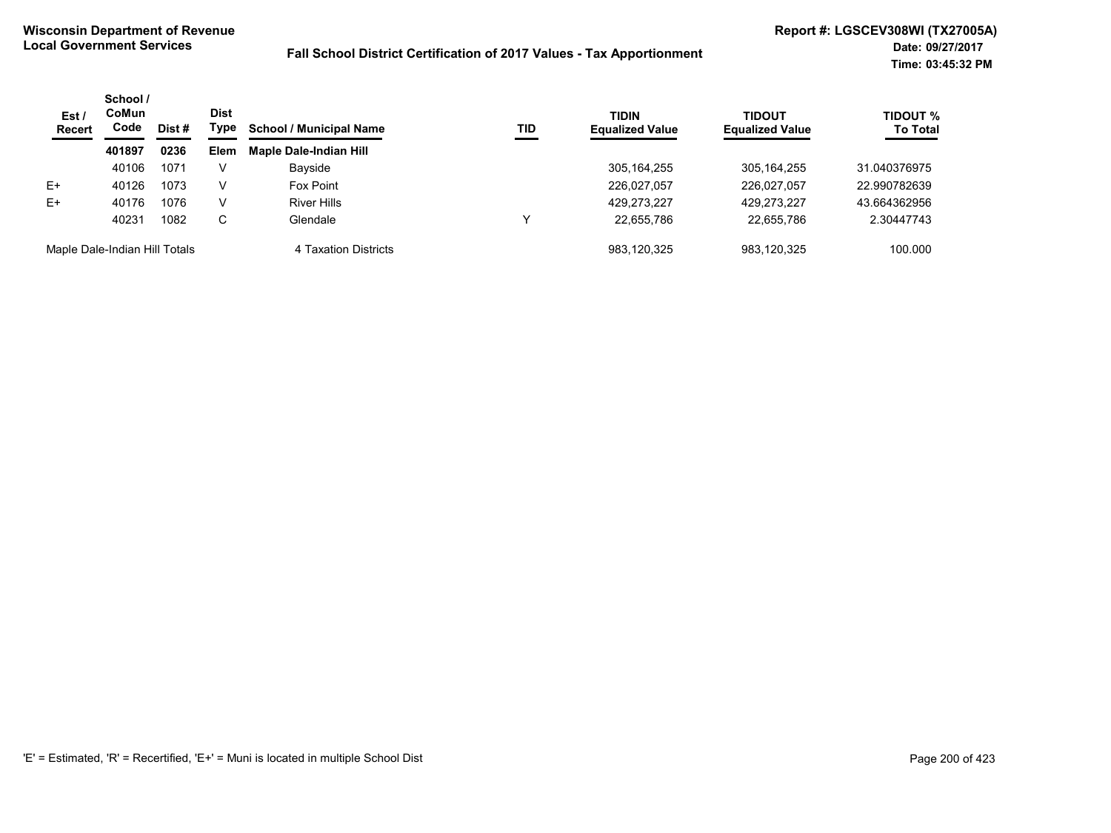| Est/<br><b>Recert</b>         | School /<br>CoMun<br><b>Dist</b><br>Code<br>Type<br>Dist # | <b>School / Municipal Name</b> | TID  | <b>TIDIN</b><br><b>Equalized Value</b> | TIDOUT<br><b>Equalized Value</b> | TIDOUT %<br><b>To Total</b> |             |              |
|-------------------------------|------------------------------------------------------------|--------------------------------|------|----------------------------------------|----------------------------------|-----------------------------|-------------|--------------|
|                               | 401897                                                     | 0236                           | Elem | <b>Maple Dale-Indian Hill</b>          |                                  |                             |             |              |
|                               | 40106                                                      | 1071                           |      | Bayside                                |                                  | 305, 164, 255               | 305.164.255 | 31.040376975 |
| E+                            | 40126                                                      | 1073                           | V    | Fox Point                              |                                  | 226,027,057                 | 226.027.057 | 22.990782639 |
| $E+$                          | 40176                                                      | 1076                           | V    | <b>River Hills</b>                     |                                  | 429,273,227                 | 429.273.227 | 43.664362956 |
|                               | 40231                                                      | 1082                           | С    | Glendale                               | ν                                | 22,655,786                  | 22,655,786  | 2.30447743   |
| Maple Dale-Indian Hill Totals |                                                            |                                |      | 4 Taxation Districts                   |                                  | 983.120.325                 | 983.120.325 | 100.000      |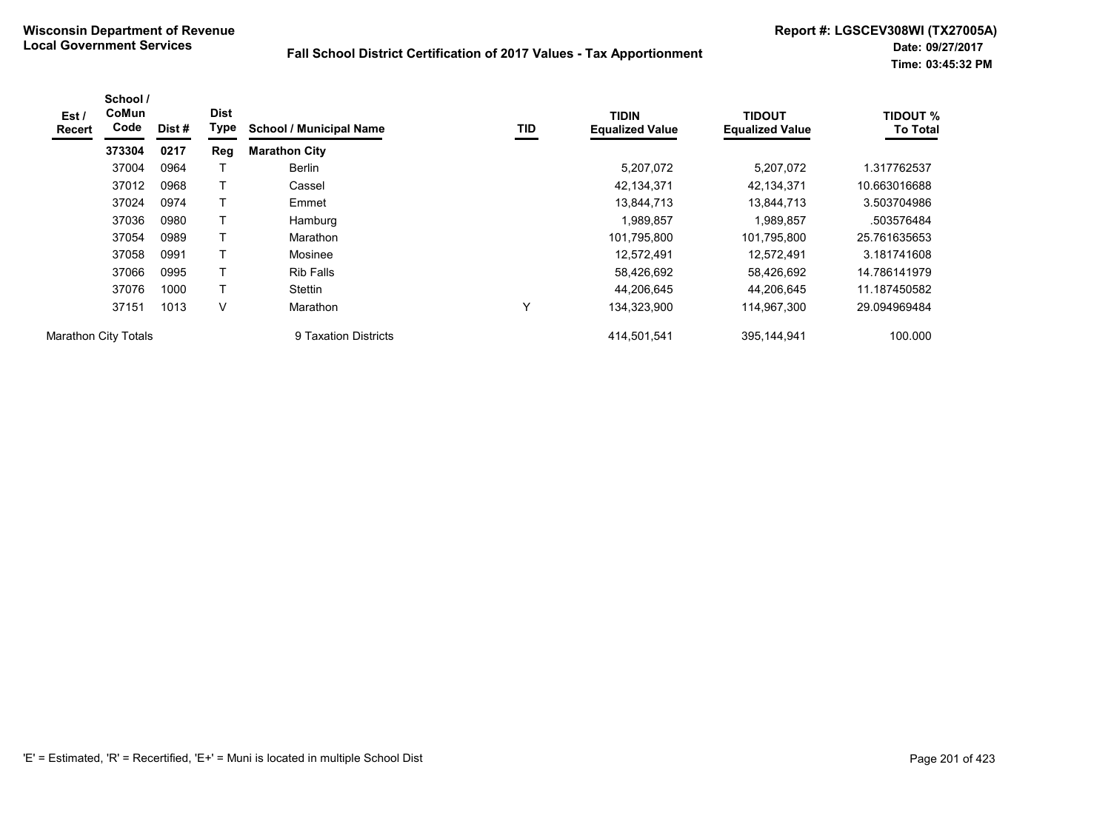| Est /<br><b>Recert</b>      | School /<br>CoMun<br>Code | Dist# | <b>Dist</b><br>Type | <b>School / Municipal Name</b> | TID | <b>TIDIN</b><br><b>Equalized Value</b> | <b>TIDOUT</b><br><b>Equalized Value</b> | <b>TIDOUT %</b><br><b>To Total</b> |
|-----------------------------|---------------------------|-------|---------------------|--------------------------------|-----|----------------------------------------|-----------------------------------------|------------------------------------|
|                             | 373304                    | 0217  | Reg                 | <b>Marathon City</b>           |     |                                        |                                         |                                    |
|                             | 37004                     | 0964  |                     | <b>Berlin</b>                  |     | 5,207,072                              | 5,207,072                               | .317762537                         |
|                             | 37012                     | 0968  |                     | Cassel                         |     | 42,134,371                             | 42,134,371                              | 10.663016688                       |
|                             | 37024                     | 0974  | т                   | Emmet                          |     | 13,844,713                             | 13,844,713                              | 3.503704986                        |
|                             | 37036                     | 0980  |                     | Hamburg                        |     | ,989,857                               | 1,989,857                               | .503576484                         |
|                             | 37054                     | 0989  | T                   | Marathon                       |     | 101,795,800                            | 101,795,800                             | 25.761635653                       |
|                             | 37058                     | 0991  |                     | Mosinee                        |     | 12,572,491                             | 12,572,491                              | 3.181741608                        |
|                             | 37066                     | 0995  | T                   | <b>Rib Falls</b>               |     | 58,426,692                             | 58,426,692                              | 14.786141979                       |
|                             | 37076                     | 1000  | т                   | Stettin                        |     | 44,206,645                             | 44.206.645                              | 11.187450582                       |
|                             | 37151                     | 1013  | v                   | Marathon                       | Υ   | 134,323,900                            | 114,967,300                             | 29.094969484                       |
| <b>Marathon City Totals</b> |                           |       |                     | 9 Taxation Districts           |     | 414,501,541                            | 395,144,941                             | 100.000                            |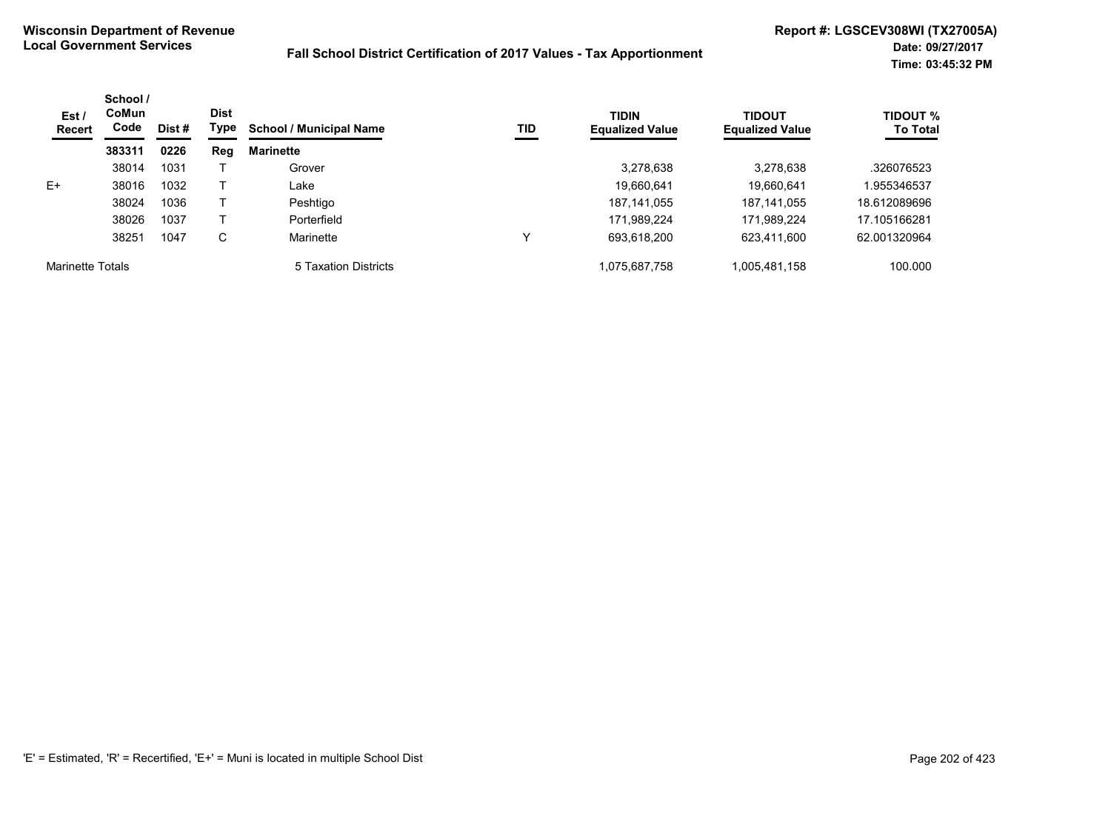| Est/<br><b>Recert</b>   | School /<br><b>CoMun</b><br>Code | Dist # | <b>Dist</b><br>Type | <b>School / Municipal Name</b> | TID | <b>TIDIN</b><br><b>Equalized Value</b> | <b>TIDOUT</b><br><b>Equalized Value</b> | <b>TIDOUT %</b><br><b>To Total</b> |
|-------------------------|----------------------------------|--------|---------------------|--------------------------------|-----|----------------------------------------|-----------------------------------------|------------------------------------|
|                         | 383311                           | 0226   | Reg                 | <b>Marinette</b>               |     |                                        |                                         |                                    |
|                         | 38014                            | 1031   |                     | Grover                         |     | 3,278,638                              | 3,278,638                               | .326076523                         |
| $E+$                    | 38016                            | 1032   |                     | Lake                           |     | 19,660,641                             | 19,660,641                              | 1.955346537                        |
|                         | 38024                            | 1036   |                     | Peshtigo                       |     | 187, 141, 055                          | 187, 141, 055                           | 18.612089696                       |
|                         | 38026                            | 1037   |                     | Porterfield                    |     | 171,989,224                            | 171,989,224                             | 17.105166281                       |
|                         | 38251                            | 1047   | С                   | Marinette                      | ν   | 693,618,200                            | 623,411,600                             | 62.001320964                       |
| <b>Marinette Totals</b> |                                  |        |                     | 5 Taxation Districts           |     | 1,075,687,758                          | 1,005,481,158                           | 100.000                            |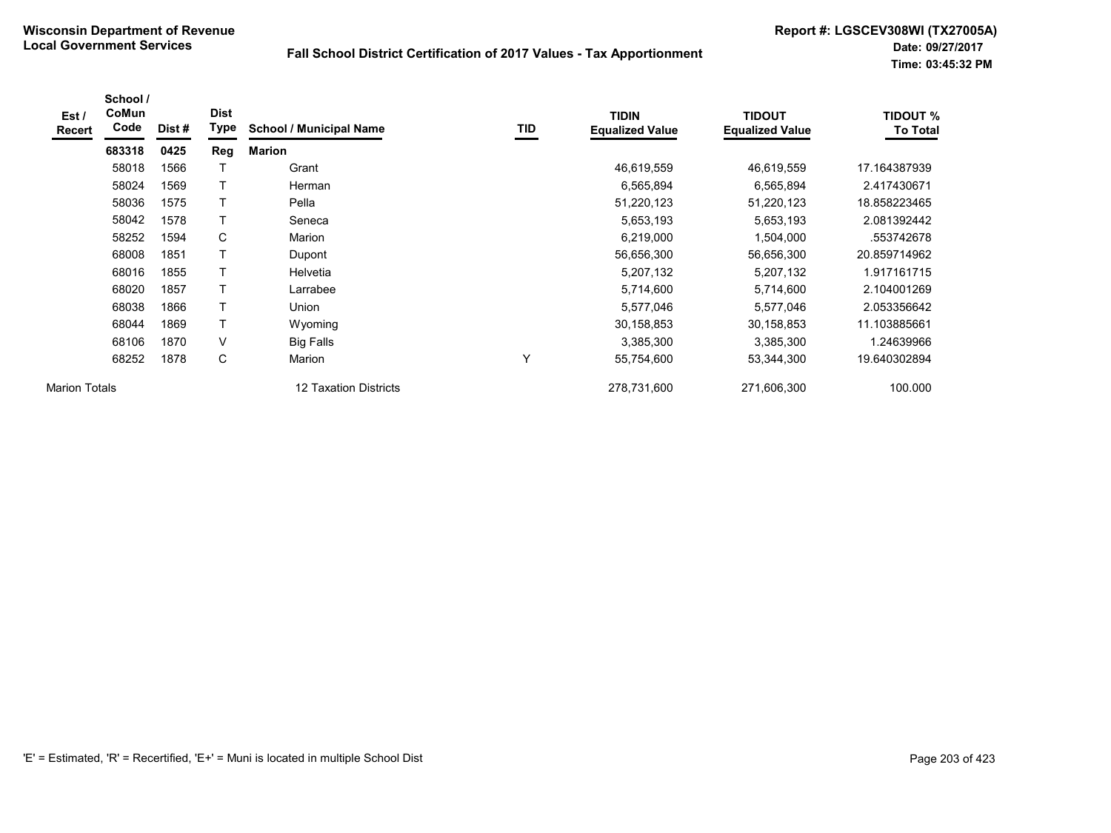| Est /<br><b>Recert</b> | School /<br>CoMun<br>Code | Dist# | <b>Dist</b><br><b>Type</b> | <b>School / Municipal Name</b> | TID | <b>TIDIN</b><br><b>Equalized Value</b> | <b>TIDOUT</b><br><b>Equalized Value</b> | <b>TIDOUT %</b><br><b>To Total</b> |
|------------------------|---------------------------|-------|----------------------------|--------------------------------|-----|----------------------------------------|-----------------------------------------|------------------------------------|
|                        | 683318                    | 0425  | Reg                        | <b>Marion</b>                  |     |                                        |                                         |                                    |
|                        | 58018                     | 1566  |                            | Grant                          |     | 46,619,559                             | 46,619,559                              | 17.164387939                       |
|                        | 58024                     | 1569  | т                          | Herman                         |     | 6,565,894                              | 6,565,894                               | 2.417430671                        |
|                        | 58036                     | 1575  |                            | Pella                          |     | 51,220,123                             | 51,220,123                              | 18.858223465                       |
|                        | 58042                     | 1578  |                            | Seneca                         |     | 5,653,193                              | 5,653,193                               | 2.081392442                        |
|                        | 58252                     | 1594  | С                          | Marion                         |     | 6,219,000                              | 1,504,000                               | .553742678                         |
|                        | 68008                     | 1851  |                            | Dupont                         |     | 56,656,300                             | 56,656,300                              | 20.859714962                       |
|                        | 68016                     | 1855  |                            | Helvetia                       |     | 5,207,132                              | 5,207,132                               | 1.917161715                        |
|                        | 68020                     | 1857  |                            | Larrabee                       |     | 5,714,600                              | 5,714,600                               | 2.104001269                        |
|                        | 68038                     | 1866  | Т                          | Union                          |     | 5,577,046                              | 5,577,046                               | 2.053356642                        |
|                        | 68044                     | 1869  | Т                          | Wyoming                        |     | 30,158,853                             | 30,158,853                              | 11.103885661                       |
|                        | 68106                     | 1870  | V                          | <b>Big Falls</b>               |     | 3,385,300                              | 3,385,300                               | 1.24639966                         |
|                        | 68252                     | 1878  | С                          | Marion                         | Y   | 55,754,600                             | 53,344,300                              | 19.640302894                       |
| <b>Marion Totals</b>   |                           |       |                            | <b>12 Taxation Districts</b>   |     | 278,731,600                            | 271,606,300                             | 100.000                            |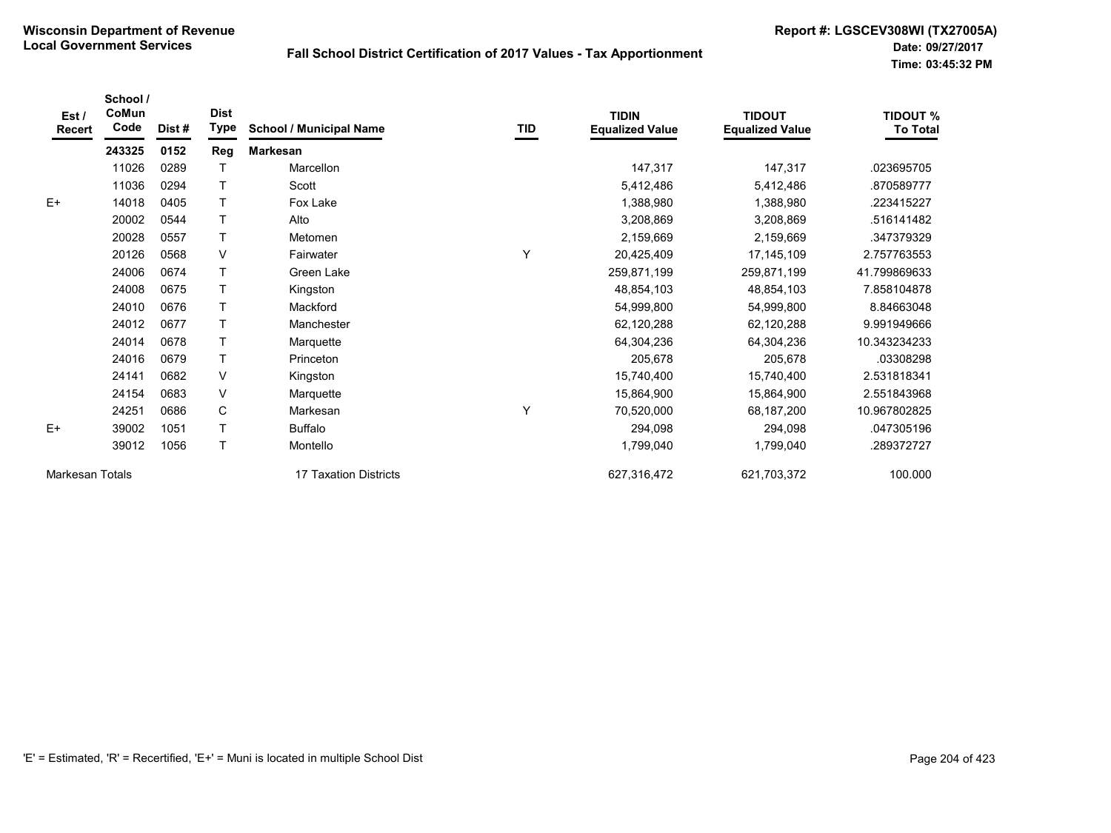| Est/<br><b>Recert</b>  | School /<br>CoMun<br>Code | Dist # | <b>Dist</b><br><b>Type</b> | <b>School / Municipal Name</b> | TID | <b>TIDIN</b><br><b>Equalized Value</b> | <b>TIDOUT</b><br><b>Equalized Value</b> | <b>TIDOUT %</b><br><b>To Total</b> |
|------------------------|---------------------------|--------|----------------------------|--------------------------------|-----|----------------------------------------|-----------------------------------------|------------------------------------|
|                        | 243325                    | 0152   | Reg                        | <b>Markesan</b>                |     |                                        |                                         |                                    |
|                        | 11026                     | 0289   |                            | Marcellon                      |     | 147,317                                | 147,317                                 | .023695705                         |
|                        | 11036                     | 0294   |                            | Scott                          |     | 5,412,486                              | 5,412,486                               | .870589777                         |
| $E+$                   | 14018                     | 0405   |                            | Fox Lake                       |     | 1,388,980                              | 1,388,980                               | .223415227                         |
|                        | 20002                     | 0544   |                            | Alto                           |     | 3,208,869                              | 3,208,869                               | .516141482                         |
|                        | 20028                     | 0557   |                            | Metomen                        |     | 2,159,669                              | 2,159,669                               | .347379329                         |
|                        | 20126                     | 0568   | $\vee$                     | Fairwater                      | Y   | 20,425,409                             | 17, 145, 109                            | 2.757763553                        |
|                        | 24006                     | 0674   |                            | Green Lake                     |     | 259,871,199                            | 259,871,199                             | 41.799869633                       |
|                        | 24008                     | 0675   |                            | Kingston                       |     | 48,854,103                             | 48,854,103                              | 7.858104878                        |
|                        | 24010                     | 0676   | T                          | Mackford                       |     | 54,999,800                             | 54,999,800                              | 8.84663048                         |
|                        | 24012                     | 0677   |                            | Manchester                     |     | 62,120,288                             | 62,120,288                              | 9.991949666                        |
|                        | 24014                     | 0678   |                            | Marquette                      |     | 64,304,236                             | 64,304,236                              | 10.343234233                       |
|                        | 24016                     | 0679   |                            | Princeton                      |     | 205,678                                | 205,678                                 | .03308298                          |
|                        | 24141                     | 0682   | V                          | Kingston                       |     | 15,740,400                             | 15,740,400                              | 2.531818341                        |
|                        | 24154                     | 0683   | $\vee$                     | Marquette                      |     | 15,864,900                             | 15,864,900                              | 2.551843968                        |
|                        | 24251                     | 0686   | C                          | Markesan                       | Y   | 70,520,000                             | 68,187,200                              | 10.967802825                       |
| $E+$                   | 39002                     | 1051   |                            | <b>Buffalo</b>                 |     | 294,098                                | 294,098                                 | .047305196                         |
|                        | 39012                     | 1056   | T                          | Montello                       |     | 1,799,040                              | 1,799,040                               | .289372727                         |
| <b>Markesan Totals</b> |                           |        |                            | 17 Taxation Districts          |     | 627,316,472                            | 621,703,372                             | 100.000                            |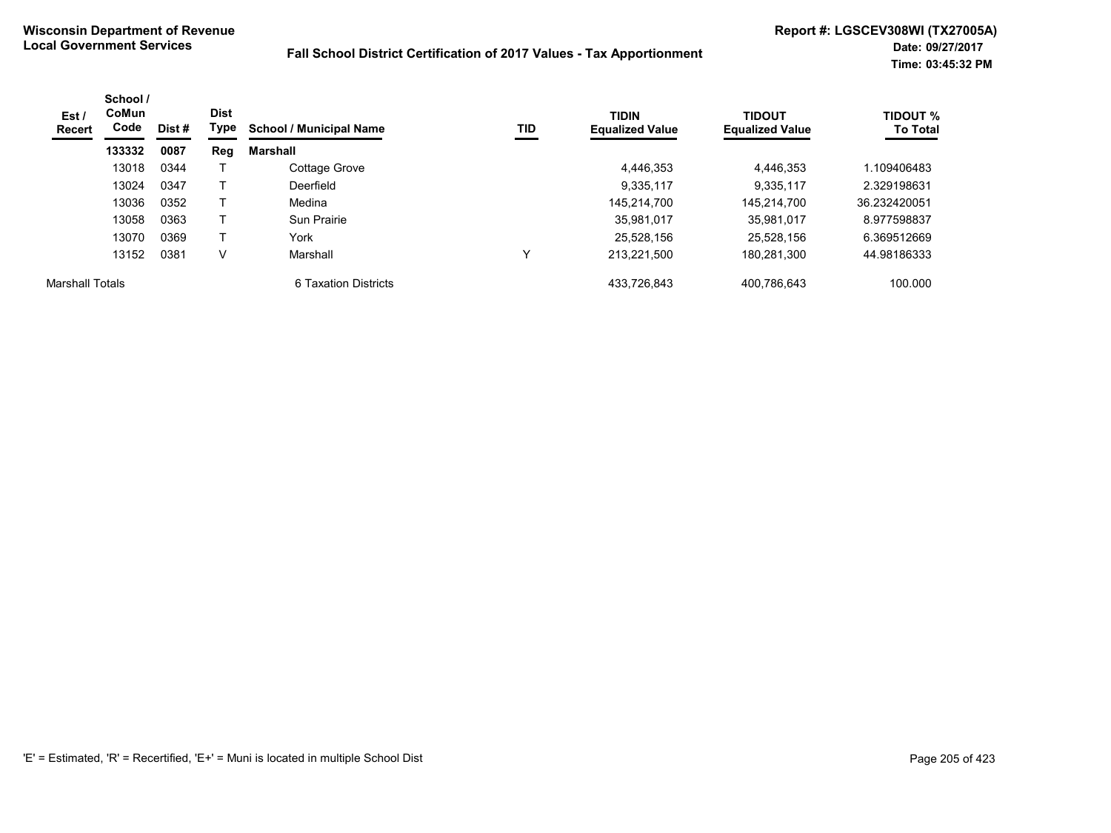| Est /<br>Recert        | School /<br>CoMun<br>Code | Dist # | <b>Dist</b><br>Type | <b>School / Municipal Name</b> | TID | <b>TIDIN</b><br><b>Equalized Value</b> | <b>TIDOUT</b><br><b>Equalized Value</b> | <b>TIDOUT %</b><br><b>To Total</b> |
|------------------------|---------------------------|--------|---------------------|--------------------------------|-----|----------------------------------------|-----------------------------------------|------------------------------------|
|                        | 133332                    | 0087   | Reg                 | Marshall                       |     |                                        |                                         |                                    |
|                        | 13018                     | 0344   |                     | Cottage Grove                  |     | 4,446,353                              | 4,446,353                               | 1.109406483                        |
|                        | 13024                     | 0347   |                     | Deerfield                      |     | 9.335.117                              | 9,335,117                               | 2.329198631                        |
|                        | 13036                     | 0352   |                     | Medina                         |     | 145.214.700                            | 145.214.700                             | 36.232420051                       |
|                        | 13058                     | 0363   |                     | Sun Prairie                    |     | 35,981,017                             | 35.981.017                              | 8.977598837                        |
|                        | 13070                     | 0369   |                     | York                           |     | 25.528.156                             | 25.528.156                              | 6.369512669                        |
|                        | 13152                     | 0381   | V                   | Marshall                       |     | 213.221.500                            | 180,281,300                             | 44.98186333                        |
| <b>Marshall Totals</b> |                           |        |                     | 6 Taxation Districts           |     | 433.726.843                            | 400.786.643                             | 100.000                            |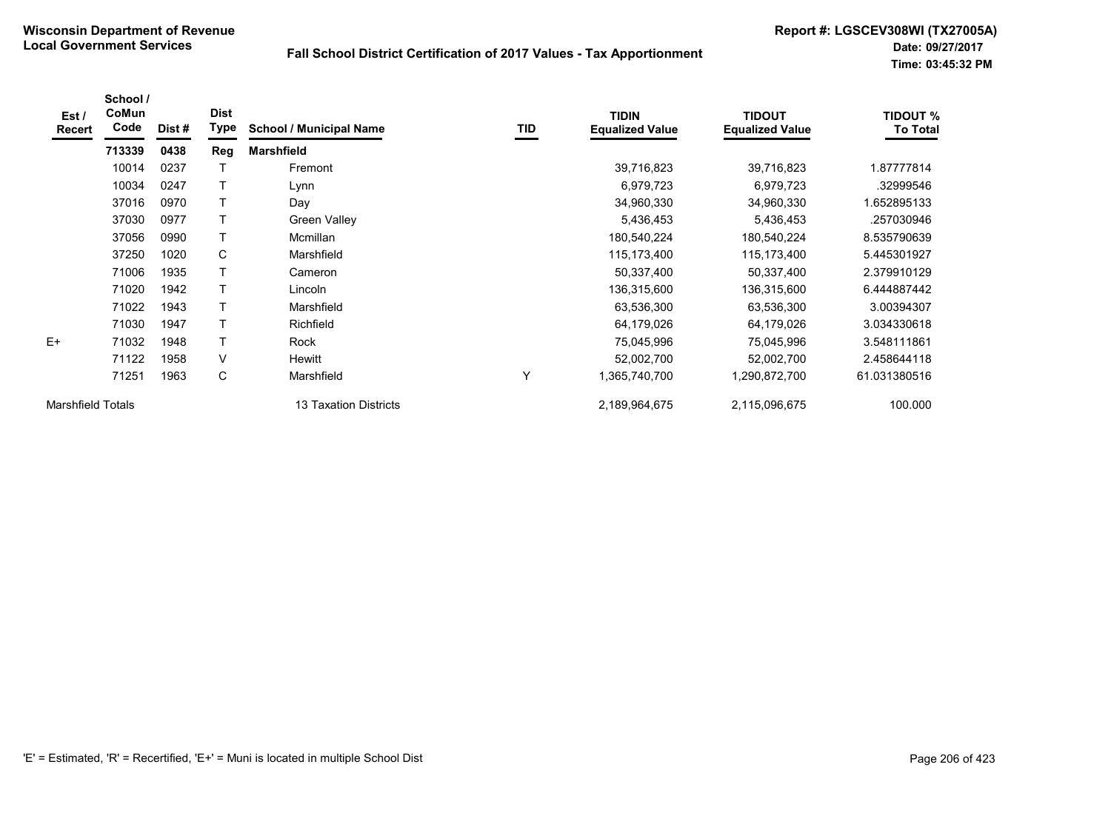| Est /<br><b>Recert</b>   | School /<br>CoMun<br>Code | Dist # | <b>Dist</b><br>Type | <b>School / Municipal Name</b> | TID | <b>TIDIN</b><br><b>Equalized Value</b> | <b>TIDOUT</b><br><b>Equalized Value</b> | <b>TIDOUT %</b><br><b>To Total</b> |
|--------------------------|---------------------------|--------|---------------------|--------------------------------|-----|----------------------------------------|-----------------------------------------|------------------------------------|
|                          | 713339                    | 0438   | Reg                 | <b>Marshfield</b>              |     |                                        |                                         |                                    |
|                          | 10014                     | 0237   |                     | Fremont                        |     | 39,716,823                             | 39,716,823                              | 1.87777814                         |
|                          | 10034                     | 0247   |                     | Lynn                           |     | 6,979,723                              | 6,979,723                               | .32999546                          |
|                          | 37016                     | 0970   | Τ                   | Day                            |     | 34,960,330                             | 34,960,330                              | .652895133                         |
|                          | 37030                     | 0977   | Т                   | <b>Green Valley</b>            |     | 5,436,453                              | 5,436,453                               | .257030946                         |
|                          | 37056                     | 0990   | T                   | Mcmillan                       |     | 180,540,224                            | 180,540,224                             | 8.535790639                        |
|                          | 37250                     | 1020   | C                   | Marshfield                     |     | 115,173,400                            | 115,173,400                             | 5.445301927                        |
|                          | 71006                     | 1935   | T                   | Cameron                        |     | 50,337,400                             | 50,337,400                              | 2.379910129                        |
|                          | 71020                     | 1942   |                     | Lincoln                        |     | 136,315,600                            | 136,315,600                             | 6.444887442                        |
|                          | 71022                     | 1943   | T                   | Marshfield                     |     | 63,536,300                             | 63,536,300                              | 3.00394307                         |
|                          | 71030                     | 1947   | T                   | Richfield                      |     | 64,179,026                             | 64,179,026                              | 3.034330618                        |
| $E+$                     | 71032                     | 1948   | T                   | Rock                           |     | 75,045,996                             | 75,045,996                              | 3.548111861                        |
|                          | 71122                     | 1958   | $\vee$              | Hewitt                         |     | 52,002,700                             | 52,002,700                              | 2.458644118                        |
|                          | 71251                     | 1963   | C                   | Marshfield                     | Υ   | 1,365,740,700                          | 1,290,872,700                           | 61.031380516                       |
| <b>Marshfield Totals</b> |                           |        |                     | 13 Taxation Districts          |     | 2,189,964,675                          | 2,115,096,675                           | 100.000                            |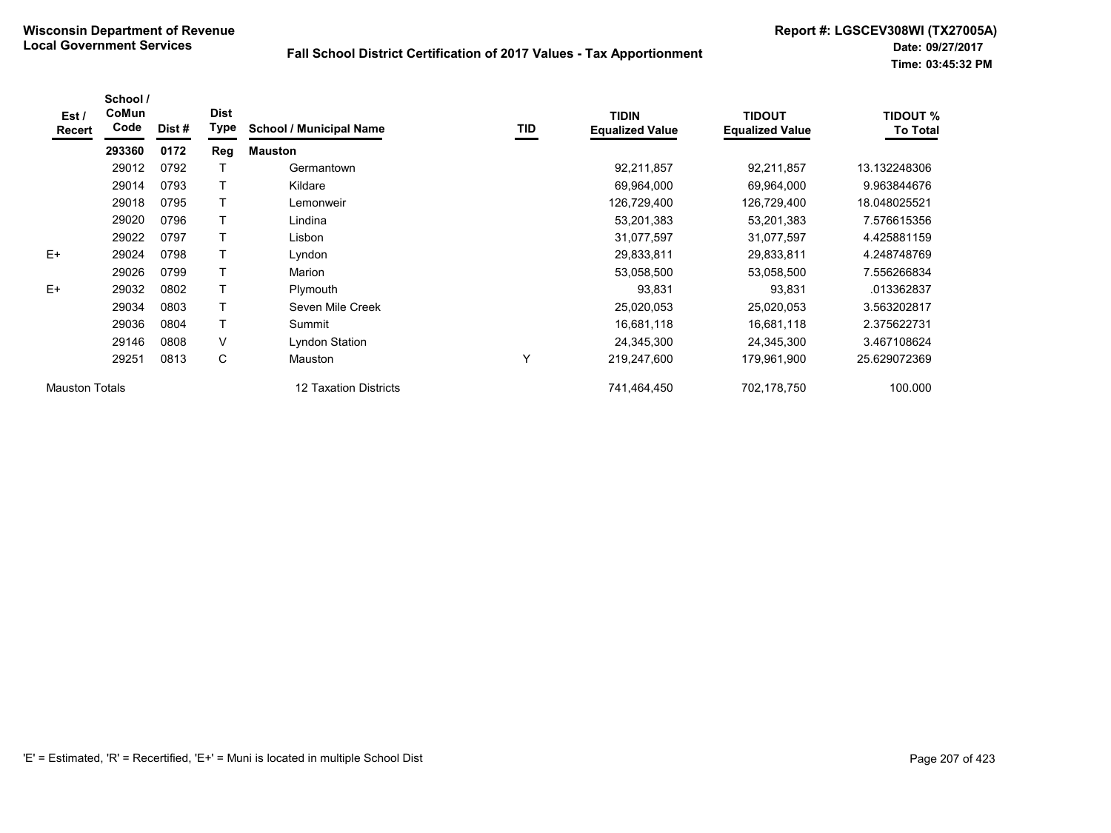| Est /<br>Recert       | School /<br>CoMun<br>Code | Dist# | <b>Dist</b><br>Type | <b>School / Municipal Name</b> | TID | <b>TIDIN</b><br><b>Equalized Value</b> | <b>TIDOUT</b><br><b>Equalized Value</b> | <b>TIDOUT %</b><br><b>To Total</b> |
|-----------------------|---------------------------|-------|---------------------|--------------------------------|-----|----------------------------------------|-----------------------------------------|------------------------------------|
|                       | 293360                    | 0172  | Reg                 | <b>Mauston</b>                 |     |                                        |                                         |                                    |
|                       | 29012                     | 0792  |                     | Germantown                     |     | 92,211,857                             | 92,211,857                              | 13.132248306                       |
|                       | 29014                     | 0793  |                     | Kildare                        |     | 69,964,000                             | 69,964,000                              | 9.963844676                        |
|                       | 29018                     | 0795  |                     | Lemonweir                      |     | 126,729,400                            | 126,729,400                             | 18.048025521                       |
|                       | 29020                     | 0796  |                     | Lindina                        |     | 53,201,383                             | 53,201,383                              | 7.576615356                        |
|                       | 29022                     | 0797  |                     | Lisbon                         |     | 31,077,597                             | 31,077,597                              | 4.425881159                        |
| $E+$                  | 29024                     | 0798  |                     | Lyndon                         |     | 29,833,811                             | 29,833,811                              | 4.248748769                        |
|                       | 29026                     | 0799  | $\mathsf T$         | Marion                         |     | 53,058,500                             | 53,058,500                              | 7.556266834                        |
| $E+$                  | 29032                     | 0802  | T                   | Plymouth                       |     | 93,831                                 | 93,831                                  | .013362837                         |
|                       | 29034                     | 0803  | $\mathsf{T}$        | Seven Mile Creek               |     | 25,020,053                             | 25,020,053                              | 3.563202817                        |
|                       | 29036                     | 0804  |                     | Summit                         |     | 16,681,118                             | 16,681,118                              | 2.375622731                        |
|                       | 29146                     | 0808  | V                   | Lyndon Station                 |     | 24,345,300                             | 24,345,300                              | 3.467108624                        |
|                       | 29251                     | 0813  | C                   | <b>Mauston</b>                 | Υ   | 219,247,600                            | 179,961,900                             | 25.629072369                       |
| <b>Mauston Totals</b> |                           |       |                     | 12 Taxation Districts          |     | 741,464,450                            | 702,178,750                             | 100.000                            |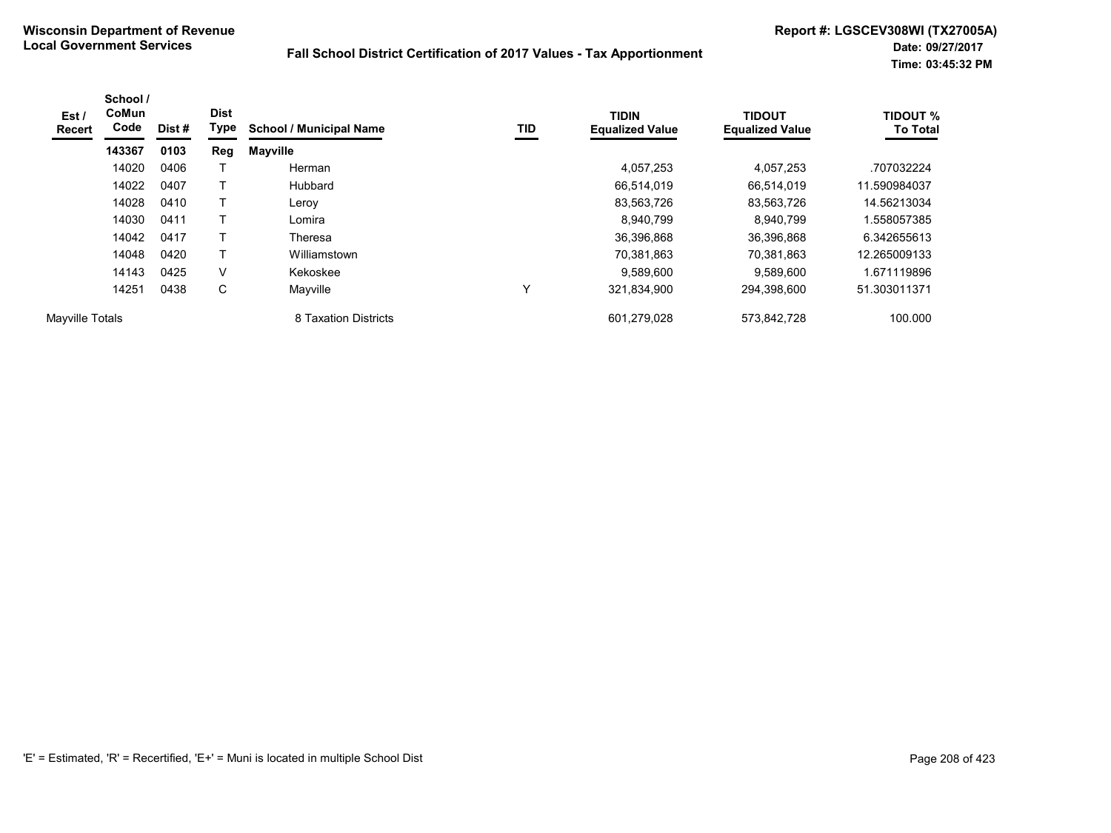| Est /<br><b>Recert</b> | School /<br>CoMun<br>Code | Dist # | <b>Dist</b><br>Type | <b>School / Municipal Name</b> | TID | <b>TIDIN</b><br><b>Equalized Value</b> | <b>TIDOUT</b><br><b>Equalized Value</b> | <b>TIDOUT %</b><br><b>To Total</b> |
|------------------------|---------------------------|--------|---------------------|--------------------------------|-----|----------------------------------------|-----------------------------------------|------------------------------------|
|                        | 143367                    | 0103   | Reg                 | <b>Mayville</b>                |     |                                        |                                         |                                    |
|                        | 14020                     | 0406   |                     | Herman                         |     | 4,057,253                              | 4,057,253                               | .707032224                         |
|                        | 14022                     | 0407   |                     | Hubbard                        |     | 66,514,019                             | 66,514,019                              | 11.590984037                       |
|                        | 14028                     | 0410   |                     | Leroy                          |     | 83,563,726                             | 83,563,726                              | 14.56213034                        |
|                        | 14030                     | 0411   |                     | Lomira                         |     | 8.940.799                              | 8,940,799                               | .558057385                         |
|                        | 14042                     | 0417   |                     | Theresa                        |     | 36,396,868                             | 36.396.868                              | 6.342655613                        |
|                        | 14048                     | 0420   |                     | Williamstown                   |     | 70,381,863                             | 70,381,863                              | 12.265009133                       |
|                        | 14143                     | 0425   | $\vee$              | Kekoskee                       |     | 9,589,600                              | 9,589,600                               | 1.671119896                        |
|                        | 14251                     | 0438   | C                   | Mayville                       | v   | 321,834,900                            | 294.398.600                             | 51.303011371                       |
| Mayville Totals        |                           |        |                     | 8 Taxation Districts           |     | 601,279,028                            | 573,842,728                             | 100.000                            |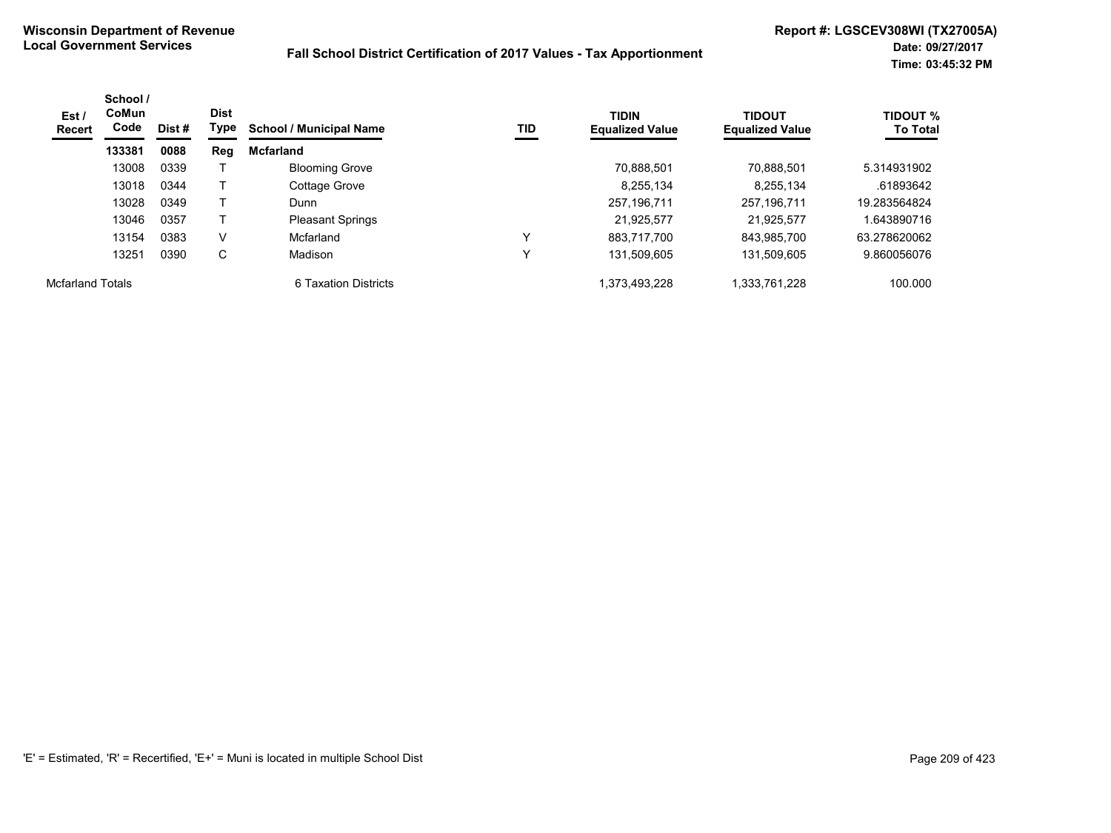| Est /<br>Recert         | School /<br>CoMun<br>Code | Dist # | <b>Dist</b><br>Type | <b>School / Municipal Name</b> | TID | <b>TIDIN</b><br><b>Equalized Value</b> | <b>TIDOUT</b><br><b>Equalized Value</b> | TIDOUT %<br><b>To Total</b> |
|-------------------------|---------------------------|--------|---------------------|--------------------------------|-----|----------------------------------------|-----------------------------------------|-----------------------------|
|                         | 133381                    | 0088   | Reg                 | <b>Mcfarland</b>               |     |                                        |                                         |                             |
|                         | 13008                     | 0339   |                     | <b>Blooming Grove</b>          |     | 70.888.501                             | 70.888.501                              | 5.314931902                 |
|                         | 13018                     | 0344   |                     | Cottage Grove                  |     | 8,255,134                              | 8,255,134                               | .61893642                   |
|                         | 13028                     | 0349   |                     | Dunn                           |     | 257,196,711                            | 257,196,711                             | 19.283564824                |
|                         | 13046                     | 0357   |                     | <b>Pleasant Springs</b>        |     | 21,925,577                             | 21.925.577                              | 1.643890716                 |
|                         | 13154                     | 0383   | V                   | Mcfarland                      |     | 883.717.700                            | 843.985.700                             | 63.278620062                |
|                         | 13251                     | 0390   | C                   | Madison                        | v   | 131.509.605                            | 131.509.605                             | 9.860056076                 |
| <b>Mcfarland Totals</b> |                           |        |                     | 6 Taxation Districts           |     | 1,373,493,228                          | 1,333,761,228                           | 100.000                     |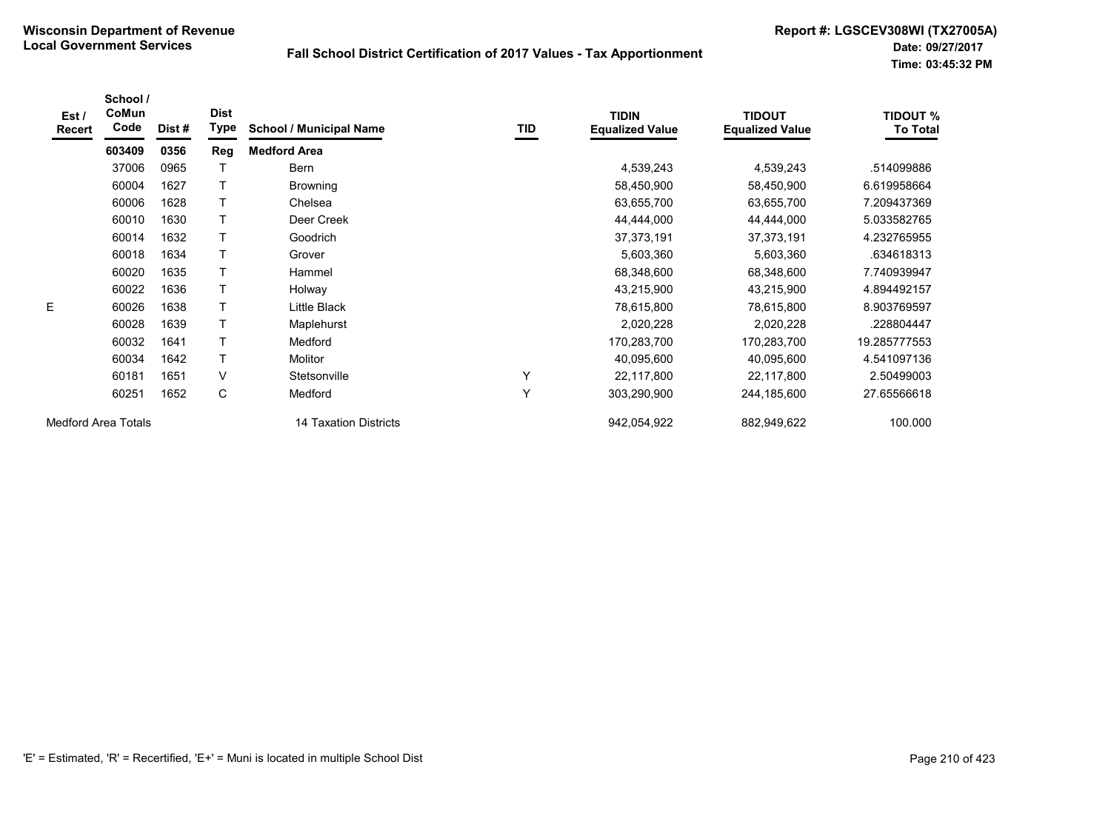| Est/<br><b>Recert</b>      | School /<br>CoMun<br>Code | Dist# | <b>Dist</b><br>Type | <b>School / Municipal Name</b> | TID | <b>TIDIN</b><br><b>Equalized Value</b> | <b>TIDOUT</b><br><b>Equalized Value</b> | <b>TIDOUT %</b><br><b>To Total</b> |
|----------------------------|---------------------------|-------|---------------------|--------------------------------|-----|----------------------------------------|-----------------------------------------|------------------------------------|
|                            | 603409                    | 0356  | Reg                 | <b>Medford Area</b>            |     |                                        |                                         |                                    |
|                            | 37006                     | 0965  |                     | Bern                           |     | 4,539,243                              | 4,539,243                               | .514099886                         |
|                            | 60004                     | 1627  |                     | <b>Browning</b>                |     | 58,450,900                             | 58,450,900                              | 6.619958664                        |
|                            | 60006                     | 1628  |                     | Chelsea                        |     | 63,655,700                             | 63,655,700                              | 7.209437369                        |
|                            | 60010                     | 1630  |                     | Deer Creek                     |     | 44,444,000                             | 44,444,000                              | 5.033582765                        |
|                            | 60014                     | 1632  |                     | Goodrich                       |     | 37,373,191                             | 37,373,191                              | 4.232765955                        |
|                            | 60018                     | 1634  |                     | Grover                         |     | 5,603,360                              | 5,603,360                               | .634618313                         |
|                            | 60020                     | 1635  |                     | Hammel                         |     | 68,348,600                             | 68,348,600                              | 7.740939947                        |
|                            | 60022                     | 1636  |                     | Holway                         |     | 43,215,900                             | 43,215,900                              | 4.894492157                        |
| E                          | 60026                     | 1638  | $\mathsf{T}$        | Little Black                   |     | 78,615,800                             | 78,615,800                              | 8.903769597                        |
|                            | 60028                     | 1639  |                     | Maplehurst                     |     | 2,020,228                              | 2,020,228                               | 228804447                          |
|                            | 60032                     | 1641  |                     | Medford                        |     | 170,283,700                            | 170,283,700                             | 19.285777553                       |
|                            | 60034                     | 1642  |                     | Molitor                        |     | 40,095,600                             | 40,095,600                              | 4.541097136                        |
|                            | 60181                     | 1651  | $\vee$              | Stetsonville                   | Y   | 22,117,800                             | 22,117,800                              | 2.50499003                         |
|                            | 60251                     | 1652  | C                   | Medford                        | Y   | 303,290,900                            | 244,185,600                             | 27.65566618                        |
| <b>Medford Area Totals</b> |                           |       |                     | 14 Taxation Districts          |     | 942,054,922                            | 882,949,622                             | 100.000                            |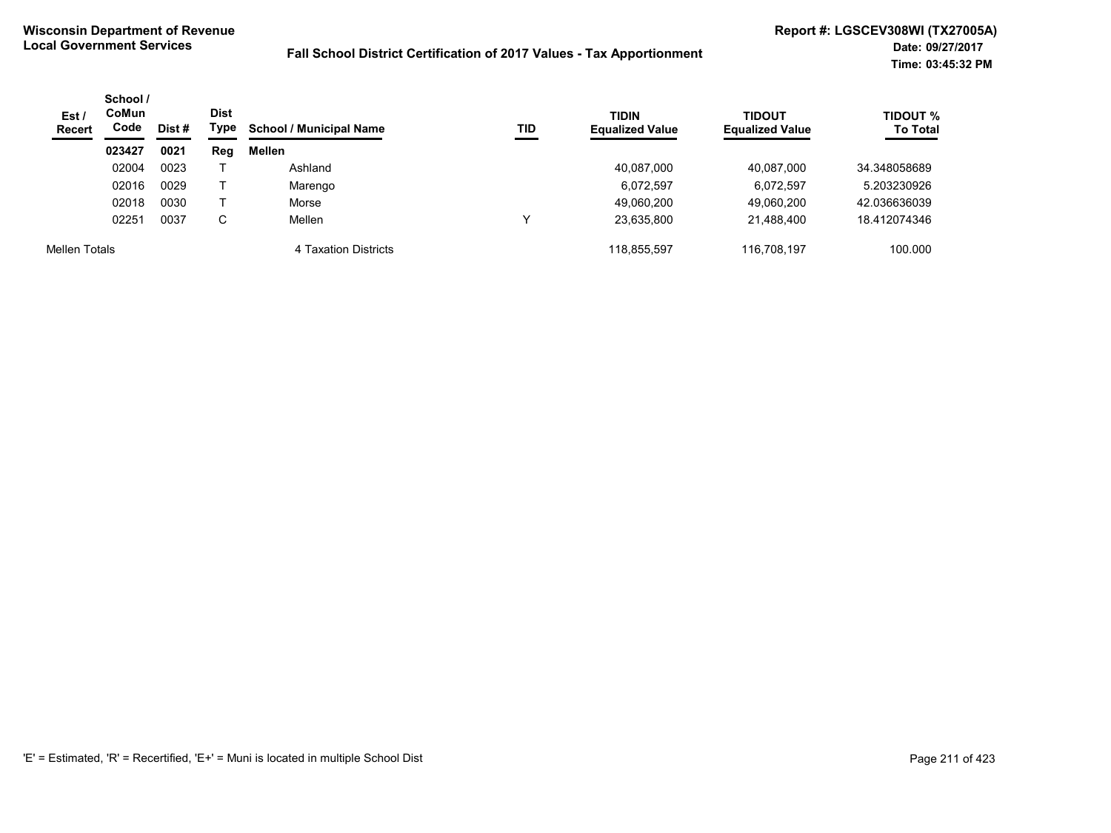| Est/<br><b>Recert</b> | School /<br><b>CoMun</b><br>Code | Dist # | <b>Dist</b><br>Type | <b>School / Municipal Name</b> | TID | <b>TIDIN</b><br><b>Equalized Value</b> | <b>TIDOUT</b><br><b>Equalized Value</b> | <b>TIDOUT %</b><br><b>To Total</b> |
|-----------------------|----------------------------------|--------|---------------------|--------------------------------|-----|----------------------------------------|-----------------------------------------|------------------------------------|
|                       | 023427                           | 0021   | Reg                 | Mellen                         |     |                                        |                                         |                                    |
|                       | 02004                            | 0023   |                     | Ashland                        |     | 40,087,000                             | 40,087,000                              | 34.348058689                       |
|                       | 02016                            | 0029   |                     | Marengo                        |     | 6,072,597                              | 6,072,597                               | 5.203230926                        |
|                       | 02018                            | 0030   |                     | Morse                          |     | 49,060,200                             | 49.060.200                              | 42.036636039                       |
|                       | 02251                            | 0037   | C                   | Mellen                         | ν   | 23.635.800                             | 21,488,400                              | 18.412074346                       |
| Mellen Totals         |                                  |        |                     | 4 Taxation Districts           |     | 118,855,597                            | 116.708.197                             | 100.000                            |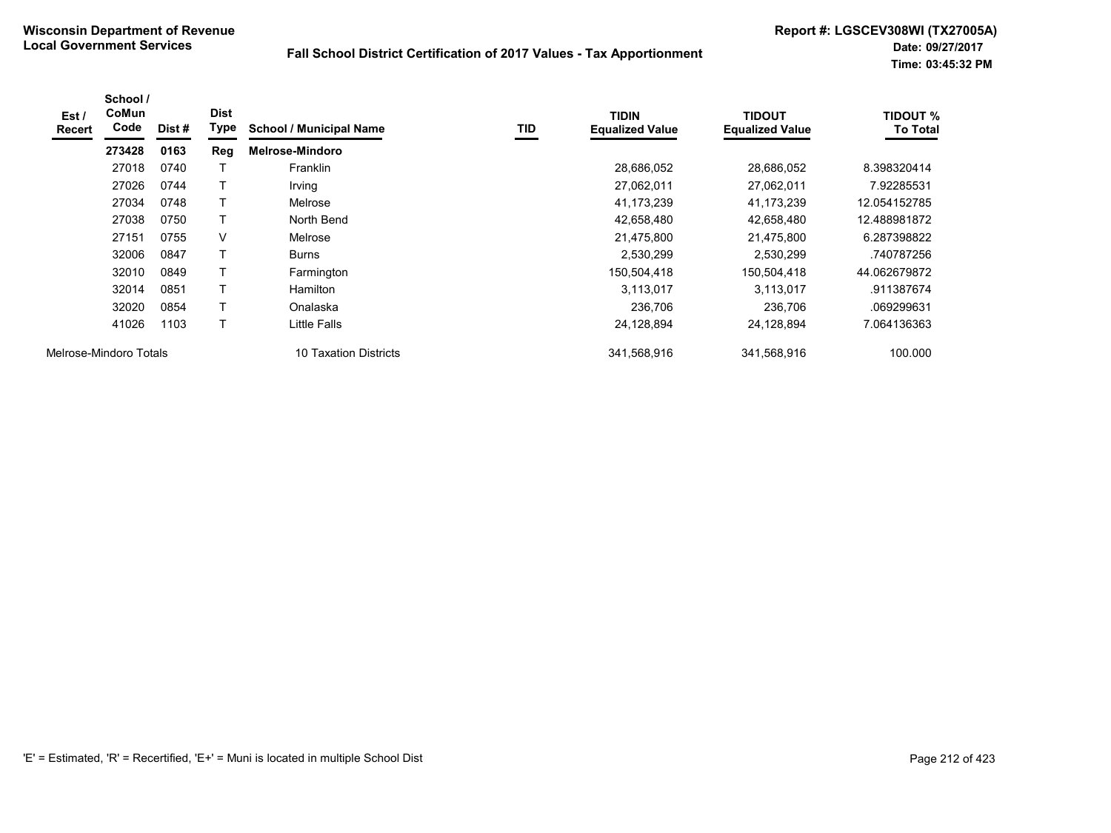| Est /<br><b>Recert</b> | School /<br>CoMun<br>Code | Dist# | <b>Dist</b><br>Type | <b>School / Municipal Name</b> | TID | <b>TIDIN</b><br><b>Equalized Value</b> | <b>TIDOUT</b><br><b>Equalized Value</b> | <b>TIDOUT %</b><br><b>To Total</b> |
|------------------------|---------------------------|-------|---------------------|--------------------------------|-----|----------------------------------------|-----------------------------------------|------------------------------------|
|                        | 273428                    | 0163  | Reg                 | <b>Melrose-Mindoro</b>         |     |                                        |                                         |                                    |
|                        | 27018                     | 0740  |                     | <b>Franklin</b>                |     | 28,686,052                             | 28,686,052                              | 8.398320414                        |
|                        | 27026                     | 0744  |                     | Irving                         |     | 27,062,011                             | 27,062,011                              | 7.92285531                         |
|                        | 27034                     | 0748  | Т                   | Melrose                        |     | 41,173,239                             | 41,173,239                              | 12.054152785                       |
|                        | 27038                     | 0750  |                     | North Bend                     |     | 42,658,480                             | 42,658,480                              | 12.488981872                       |
|                        | 27151                     | 0755  | V                   | Melrose                        |     | 21,475,800                             | 21,475,800                              | 6.287398822                        |
|                        | 32006                     | 0847  | T                   | <b>Burns</b>                   |     | 2,530,299                              | 2,530,299                               | .740787256                         |
|                        | 32010                     | 0849  | T                   | Farmington                     |     | 150,504,418                            | 150,504,418                             | 44.062679872                       |
|                        | 32014                     | 0851  | T                   | <b>Hamilton</b>                |     | 3,113,017                              | 3,113,017                               | .911387674                         |
|                        | 32020                     | 0854  | Т                   | Onalaska                       |     | 236.706                                | 236,706                                 | .069299631                         |
|                        | 41026                     | 1103  | T                   | Little Falls                   |     | 24,128,894                             | 24,128,894                              | 7.064136363                        |
| Melrose-Mindoro Totals |                           |       |                     | 10 Taxation Districts          |     | 341,568,916                            | 341,568,916                             | 100.000                            |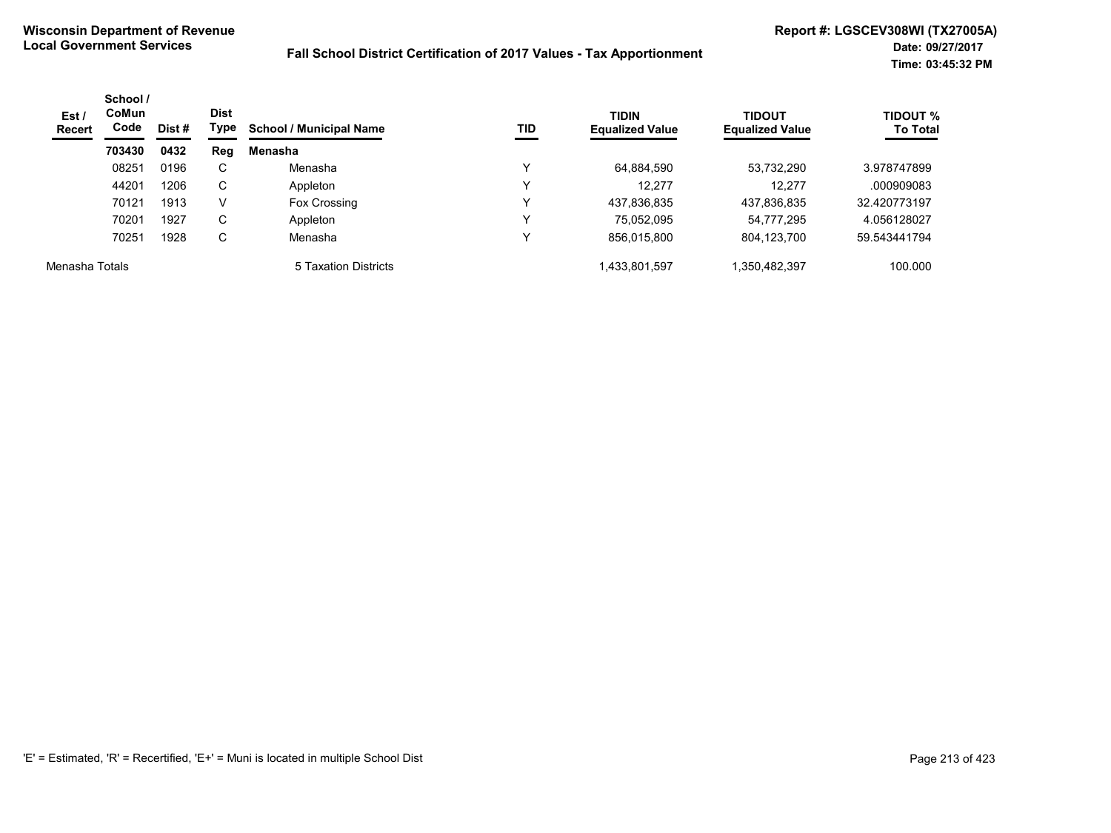| Est/<br><b>Recert</b> | School /<br><b>CoMun</b><br>Code | Dist # | <b>Dist</b><br>Type | <b>School / Municipal Name</b> | <b>TIDIN</b><br>TID<br><b>Equalized Value</b> |               | <b>TIDOUT</b><br><b>Equalized Value</b> | <b>TIDOUT %</b><br><b>To Total</b> |
|-----------------------|----------------------------------|--------|---------------------|--------------------------------|-----------------------------------------------|---------------|-----------------------------------------|------------------------------------|
|                       | 703430                           | 0432   | Reg                 | Menasha                        |                                               |               |                                         |                                    |
|                       | 08251                            | 0196   | C                   | Menasha                        | v                                             | 64,884,590    | 53.732.290                              | 3.978747899                        |
|                       | 44201                            | 1206   | C                   | Appleton                       | v                                             | 12.277        | 12.277                                  | .000909083                         |
|                       | 70121                            | 1913   | V                   | Fox Crossing                   | v                                             | 437,836,835   | 437,836,835                             | 32.420773197                       |
|                       | 70201                            | 1927   | C                   | Appleton                       | v                                             | 75.052.095    | 54,777,295                              | 4.056128027                        |
|                       | 70251                            | 1928   | C                   | Menasha                        | v                                             | 856,015,800   | 804,123,700                             | 59.543441794                       |
| Menasha Totals        |                                  |        |                     | 5 Taxation Districts           |                                               | 1,433,801,597 | 1,350,482,397                           | 100.000                            |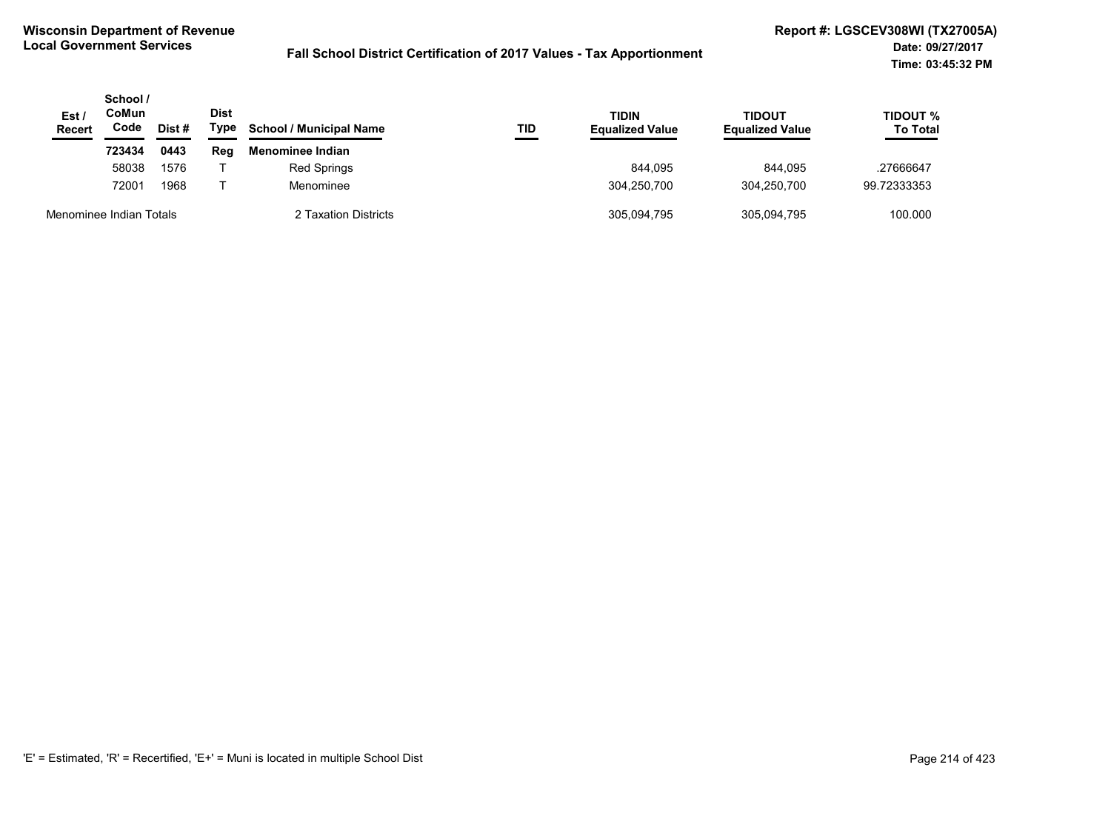| Est/<br><b>Recert</b>   | School /<br>CoMun<br>Code | Dist # | <b>Dist</b><br>Type | <b>School / Municipal Name</b> | TID | <b>TIDIN</b><br><b>Equalized Value</b> | TIDOUT<br><b>Equalized Value</b> | <b>TIDOUT %</b><br><b>To Total</b> |
|-------------------------|---------------------------|--------|---------------------|--------------------------------|-----|----------------------------------------|----------------------------------|------------------------------------|
|                         | 723434                    | 0443   | Reg                 | Menominee Indian               |     |                                        |                                  |                                    |
|                         | 58038                     | 1576   |                     | Red Springs                    |     | 844.095                                | 844.095                          | .27666647                          |
|                         | 72001                     | 1968   |                     | Menominee                      |     | 304.250.700                            | 304.250.700                      | 99.72333353                        |
| Menominee Indian Totals |                           |        |                     | 2 Taxation Districts           |     | 305,094,795                            | 305,094,795                      | 100.000                            |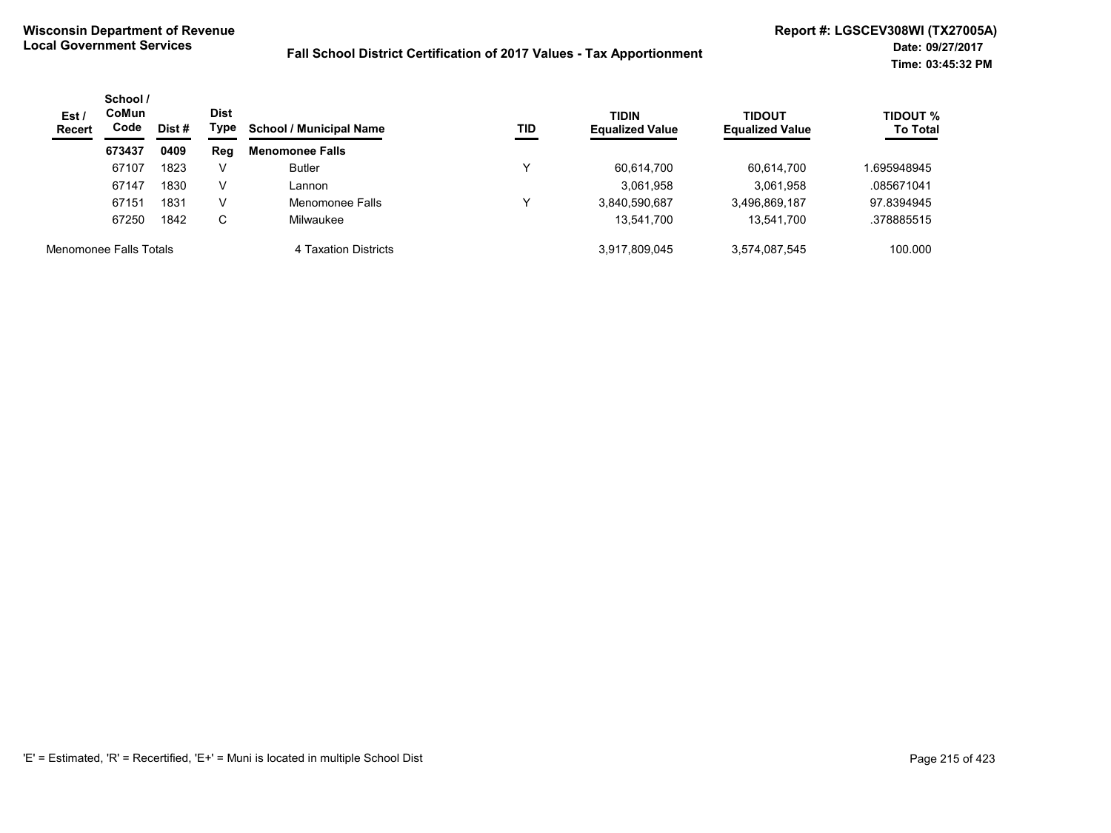| Est/<br><b>Recert</b>  | School /<br><b>CoMun</b><br>Code<br>Dist # | Dist<br>Type | <b>School / Municipal Name</b> | TID                    | <b>TIDIN</b><br><b>Equalized Value</b> | <b>TIDOUT</b><br><b>Equalized Value</b> | <b>TIDOUT %</b><br><b>To Total</b> |            |
|------------------------|--------------------------------------------|--------------|--------------------------------|------------------------|----------------------------------------|-----------------------------------------|------------------------------------|------------|
|                        | 673437                                     | 0409         | Reg                            | <b>Menomonee Falls</b> |                                        |                                         |                                    |            |
|                        | 67107                                      | 1823         | V                              | <b>Butler</b>          | ν                                      | 60,614,700                              | 60,614,700                         | .695948945 |
|                        | 67147                                      | 1830         | V                              | Lannon                 |                                        | 3,061,958                               | 3,061,958                          | .085671041 |
|                        | 67151                                      | 1831         | v                              | Menomonee Falls        | ∨                                      | 3,840,590,687                           | 3,496,869,187                      | 97.8394945 |
|                        | 67250                                      | 1842         | С                              | Milwaukee              |                                        | 13,541,700                              | 13,541,700                         | .378885515 |
| Menomonee Falls Totals |                                            |              |                                | 4 Taxation Districts   |                                        | 3.917.809.045                           | 3,574,087,545                      | 100.000    |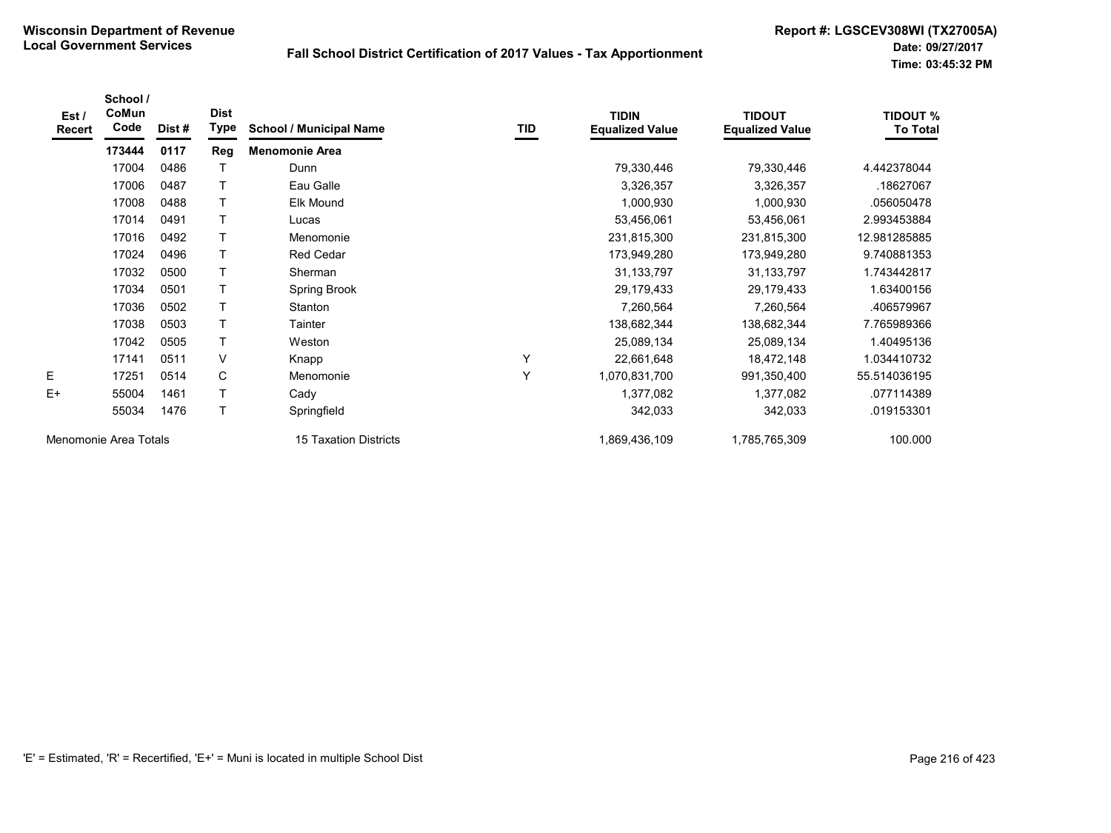| Est /<br>Recert       | School /<br>CoMun<br>Code | Dist # | <b>Dist</b><br>Type | <b>School / Municipal Name</b> | TID | <b>TIDIN</b><br><b>Equalized Value</b> | <b>TIDOUT</b><br><b>Equalized Value</b> | <b>TIDOUT %</b><br><b>To Total</b> |
|-----------------------|---------------------------|--------|---------------------|--------------------------------|-----|----------------------------------------|-----------------------------------------|------------------------------------|
|                       | 173444                    | 0117   | Reg                 | <b>Menomonie Area</b>          |     |                                        |                                         |                                    |
|                       | 17004                     | 0486   |                     | Dunn                           |     | 79,330,446                             | 79,330,446                              | 4.442378044                        |
|                       | 17006                     | 0487   |                     | Eau Galle                      |     | 3,326,357                              | 3,326,357                               | .18627067                          |
|                       | 17008                     | 0488   |                     | Elk Mound                      |     | 1,000,930                              | 1,000,930                               | .056050478                         |
|                       | 17014                     | 0491   | т                   | Lucas                          |     | 53,456,061                             | 53,456,061                              | 2.993453884                        |
|                       | 17016                     | 0492   | Τ                   | Menomonie                      |     | 231,815,300                            | 231,815,300                             | 12.981285885                       |
|                       | 17024                     | 0496   |                     | Red Cedar                      |     | 173,949,280                            | 173,949,280                             | 9.740881353                        |
|                       | 17032                     | 0500   | т                   | Sherman                        |     | 31, 133, 797                           | 31, 133, 797                            | 1.743442817                        |
|                       | 17034                     | 0501   |                     | Spring Brook                   |     | 29,179,433                             | 29,179,433                              | 1.63400156                         |
|                       | 17036                     | 0502   | т                   | Stanton                        |     | 7,260,564                              | 7,260,564                               | .406579967                         |
|                       | 17038                     | 0503   | Τ                   | Tainter                        |     | 138,682,344                            | 138,682,344                             | 7.765989366                        |
|                       | 17042                     | 0505   |                     | Weston                         |     | 25,089,134                             | 25,089,134                              | 1.40495136                         |
|                       | 17141                     | 0511   | V                   | Knapp                          | Υ   | 22,661,648                             | 18,472,148                              | 1.034410732                        |
| E.                    | 17251                     | 0514   | C                   | Menomonie                      | Υ   | 1,070,831,700                          | 991,350,400                             | 55.514036195                       |
| $E+$                  | 55004                     | 1461   |                     | Cady                           |     | 1,377,082                              | 1,377,082                               | .077114389                         |
|                       | 55034                     | 1476   | Τ                   | Springfield                    |     | 342,033                                | 342,033                                 | .019153301                         |
| Menomonie Area Totals |                           |        |                     | 15 Taxation Districts          |     | 1,869,436,109                          | 1,785,765,309                           | 100.000                            |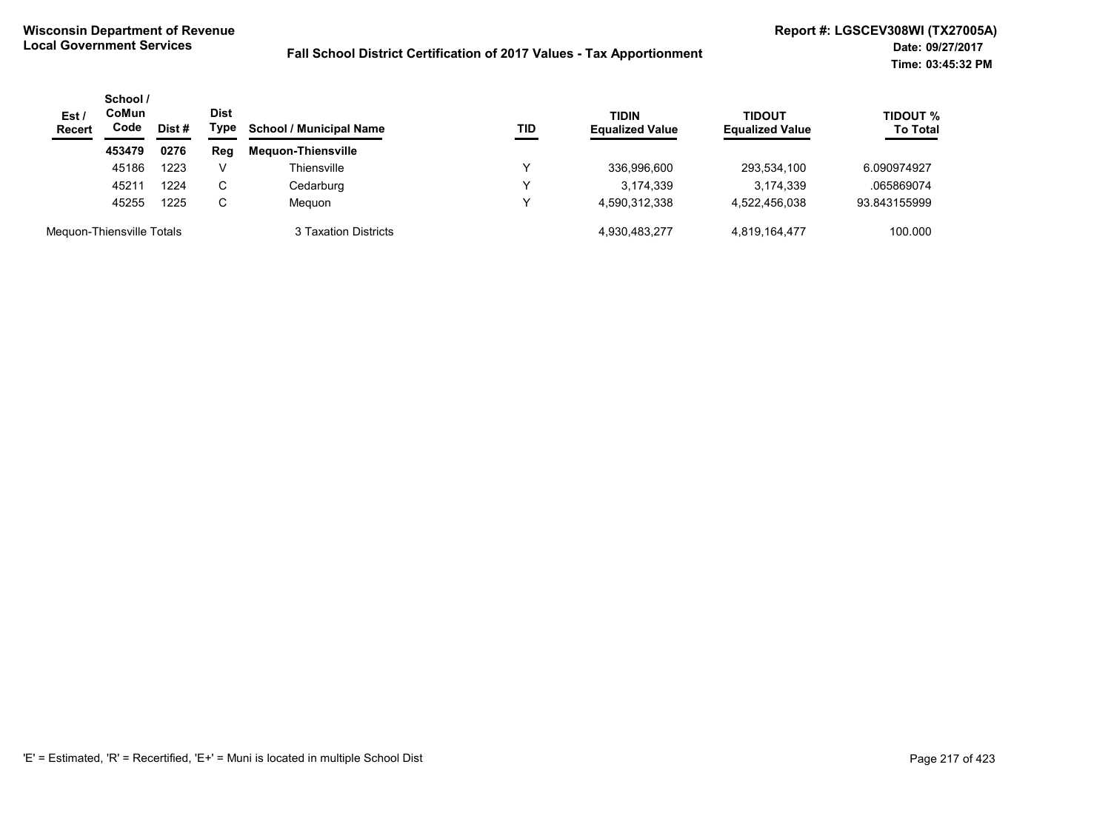| Est/<br><b>Recert</b>     | School /<br><b>CoMun</b><br>Code | Dist # | <b>Dist</b><br>Type | <b>School / Municipal Name</b> | TID | <b>TIDIN</b><br><b>Equalized Value</b> | <b>TIDOUT</b><br><b>Equalized Value</b> | <b>TIDOUT %</b><br><b>To Total</b> |
|---------------------------|----------------------------------|--------|---------------------|--------------------------------|-----|----------------------------------------|-----------------------------------------|------------------------------------|
|                           | 453479                           | 0276   | Reg                 | <b>Meguon-Thiensville</b>      |     |                                        |                                         |                                    |
|                           | 45186                            | 1223   | V                   | Thiensville                    |     | 336,996,600                            | 293,534,100                             | 6.090974927                        |
|                           | 45211                            | 1224   | C                   | Cedarburg                      |     | 3,174,339                              | 3,174,339                               | .065869074                         |
|                           | 45255                            | 1225   | C                   | Meguon                         |     | 4.590.312.338                          | 4,522,456,038                           | 93.843155999                       |
| Meguon-Thiensville Totals |                                  |        |                     | 3 Taxation Districts           |     | 4,930,483,277                          | 4,819,164,477                           | 100.000                            |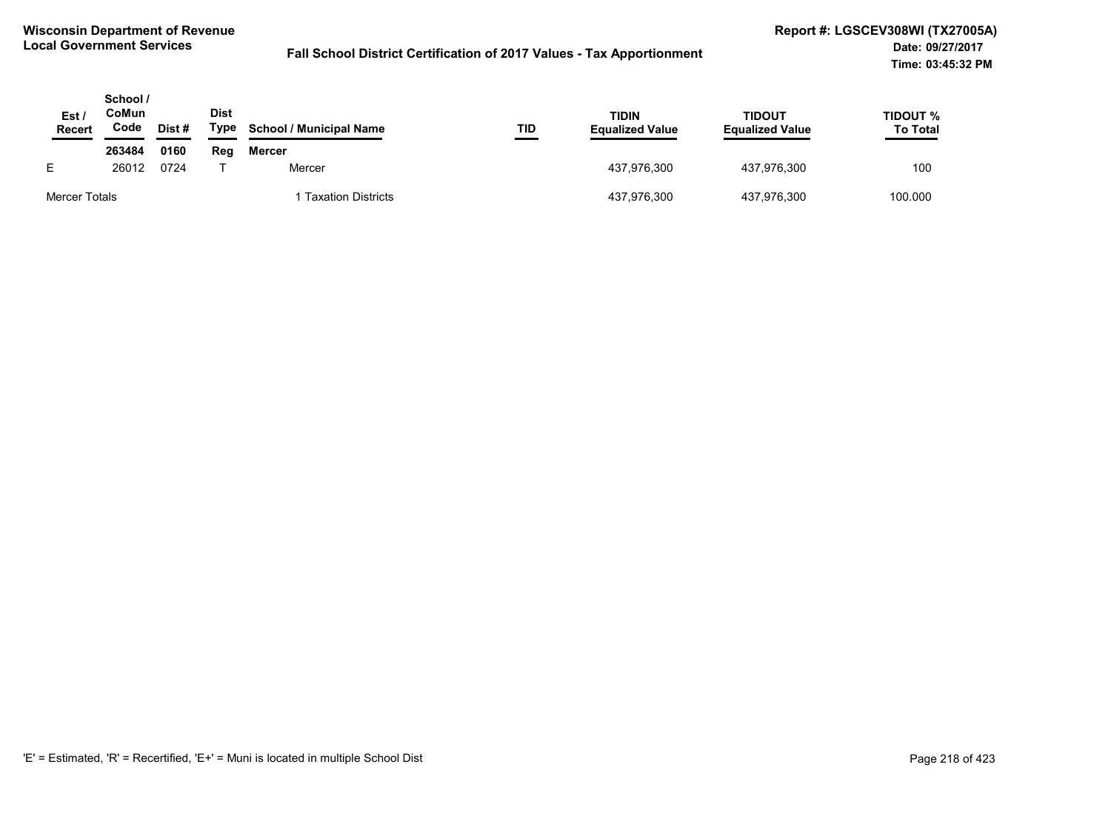| Est.<br><b>Recert</b> | School /<br>CoMun<br>Code | Dist# | <b>Dist</b><br>Type | <b>School / Municipal Name</b> | TID | TIDIN<br><b>Equalized Value</b> | <b>TIDOUT</b><br><b>Equalized Value</b> | TIDOUT %<br><b>To Total</b> |
|-----------------------|---------------------------|-------|---------------------|--------------------------------|-----|---------------------------------|-----------------------------------------|-----------------------------|
|                       | 263484                    | 0160  | Reg                 | <b>Mercer</b>                  |     |                                 |                                         |                             |
| E.                    | 26012                     | 0724  |                     | Mercer                         |     | 437.976.300                     | 437,976,300                             | 100                         |
| Mercer Totals         |                           |       |                     | <b>Taxation Districts</b>      |     | 437,976,300                     | 437,976,300                             | 100.000                     |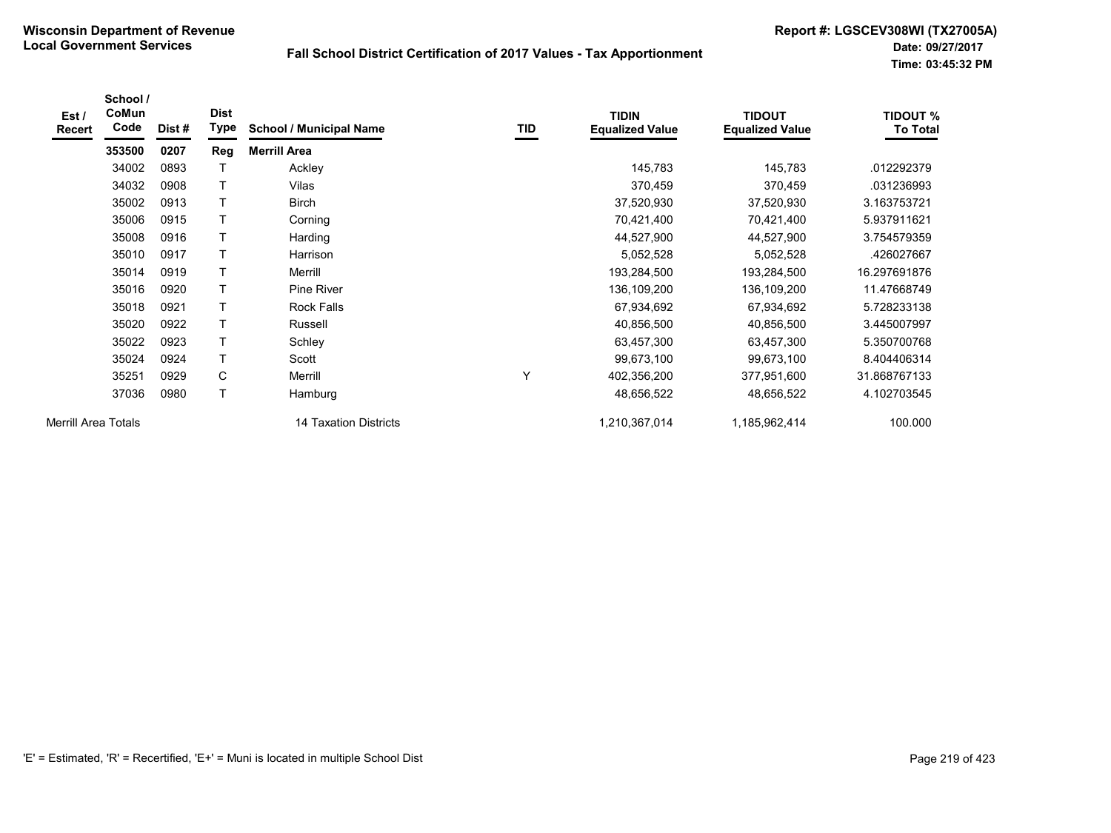| Est/<br><b>Recert</b>      | School /<br>CoMun<br>Code | Dist# | <b>Dist</b><br>Type | <b>School / Municipal Name</b> | TID | <b>TIDIN</b><br><b>Equalized Value</b> | <b>TIDOUT</b><br><b>Equalized Value</b> | <b>TIDOUT %</b><br><b>To Total</b> |
|----------------------------|---------------------------|-------|---------------------|--------------------------------|-----|----------------------------------------|-----------------------------------------|------------------------------------|
|                            | 353500                    | 0207  | Reg                 | <b>Merrill Area</b>            |     |                                        |                                         |                                    |
|                            | 34002                     | 0893  | Т                   | Ackley                         |     | 145,783                                | 145,783                                 | .012292379                         |
|                            | 34032                     | 0908  | Τ                   | Vilas                          |     | 370,459                                | 370,459                                 | .031236993                         |
|                            | 35002                     | 0913  | т                   | <b>Birch</b>                   |     | 37,520,930                             | 37,520,930                              | 3.163753721                        |
|                            | 35006                     | 0915  | т                   | Corning                        |     | 70,421,400                             | 70,421,400                              | 5.937911621                        |
|                            | 35008                     | 0916  | т                   | Harding                        |     | 44,527,900                             | 44,527,900                              | 3.754579359                        |
|                            | 35010                     | 0917  |                     | Harrison                       |     | 5,052,528                              | 5,052,528                               | .426027667                         |
|                            | 35014                     | 0919  |                     | Merrill                        |     | 193,284,500                            | 193,284,500                             | 16.297691876                       |
|                            | 35016                     | 0920  | T                   | Pine River                     |     | 136,109,200                            | 136,109,200                             | 11.47668749                        |
|                            | 35018                     | 0921  | T                   | Rock Falls                     |     | 67,934,692                             | 67,934,692                              | 5.728233138                        |
|                            | 35020                     | 0922  | T                   | Russell                        |     | 40,856,500                             | 40,856,500                              | 3.445007997                        |
|                            | 35022                     | 0923  | т                   | Schley                         |     | 63,457,300                             | 63,457,300                              | 5.350700768                        |
|                            | 35024                     | 0924  | T                   | Scott                          |     | 99,673,100                             | 99,673,100                              | 8.404406314                        |
|                            | 35251                     | 0929  | C                   | Merrill                        | Υ   | 402,356,200                            | 377,951,600                             | 31.868767133                       |
|                            | 37036                     | 0980  | T                   | Hamburg                        |     | 48,656,522                             | 48,656,522                              | 4.102703545                        |
| <b>Merrill Area Totals</b> |                           |       |                     | 14 Taxation Districts          |     | 1,210,367,014                          | 1,185,962,414                           | 100.000                            |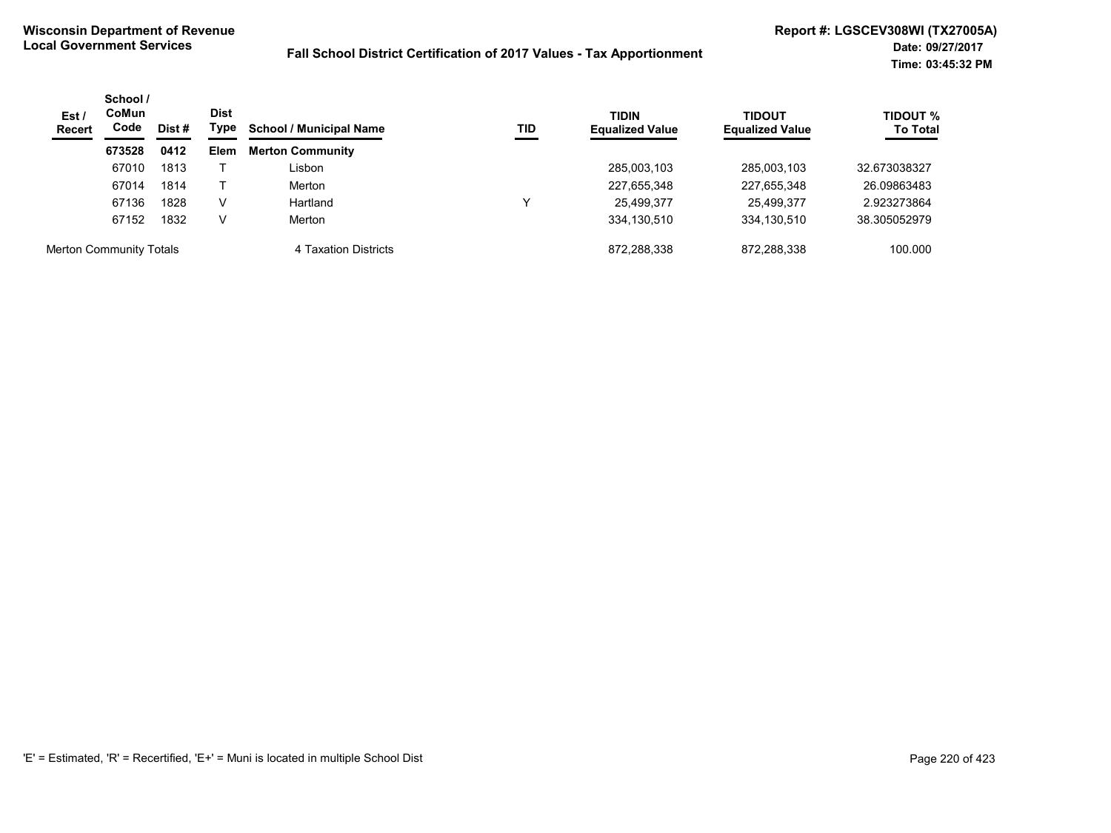| Est/<br><b>Recert</b>          | School /<br><b>CoMun</b><br>Code | Dist<br>Type<br>Dist # | <b>School / Municipal Name</b> | TID                     | <b>TIDIN</b><br><b>Equalized Value</b> | <b>TIDOUT</b><br><b>Equalized Value</b> | <b>TIDOUT %</b><br><b>To Total</b> |              |
|--------------------------------|----------------------------------|------------------------|--------------------------------|-------------------------|----------------------------------------|-----------------------------------------|------------------------------------|--------------|
|                                | 673528                           | 0412                   | <b>Elem</b>                    | <b>Merton Community</b> |                                        |                                         |                                    |              |
|                                | 67010                            | 1813                   |                                | Lisbon                  |                                        | 285,003,103                             | 285,003,103                        | 32.673038327 |
|                                | 67014                            | 1814                   |                                | Merton                  |                                        | 227,655,348                             | 227,655,348                        | 26.09863483  |
|                                | 67136                            | 1828                   | v                              | Hartland                | ν                                      | 25,499,377                              | 25,499,377                         | 2.923273864  |
|                                | 67152                            | 1832                   | v                              | Merton                  |                                        | 334,130,510                             | 334,130,510                        | 38.305052979 |
| <b>Merton Community Totals</b> |                                  |                        |                                | 4 Taxation Districts    |                                        | 872.288.338                             | 872.288.338                        | 100.000      |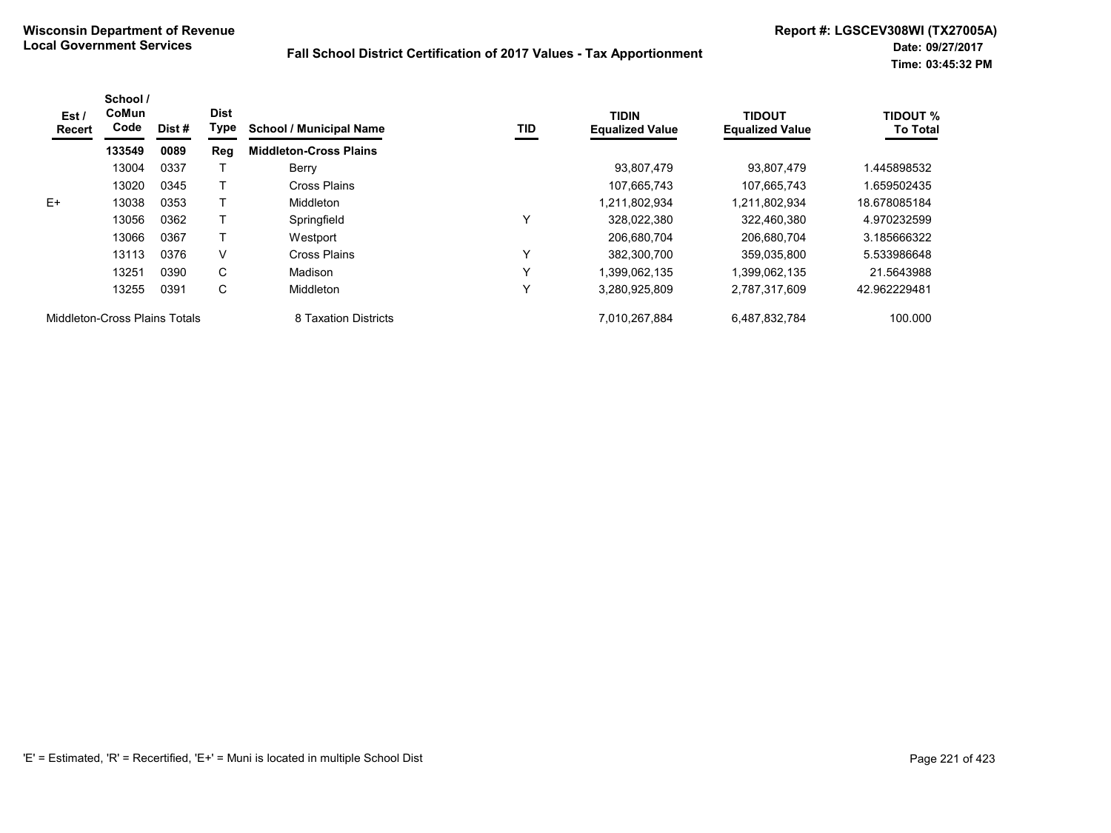| Est/<br><b>Recert</b>         | School /<br>CoMun<br>Code | Dist# | <b>Dist</b><br>Type | <b>School / Municipal Name</b> | TID | <b>TIDIN</b><br><b>Equalized Value</b> | <b>TIDOUT</b><br><b>Equalized Value</b> | TIDOUT %<br><b>To Total</b> |
|-------------------------------|---------------------------|-------|---------------------|--------------------------------|-----|----------------------------------------|-----------------------------------------|-----------------------------|
|                               | 133549                    | 0089  | Reg                 | <b>Middleton-Cross Plains</b>  |     |                                        |                                         |                             |
|                               | 13004                     | 0337  |                     | Berry                          |     | 93.807.479                             | 93.807.479                              | 1.445898532                 |
|                               | 13020                     | 0345  |                     | Cross Plains                   |     | 107.665.743                            | 107.665.743                             | 1.659502435                 |
| $E+$                          | 13038                     | 0353  |                     | Middleton                      |     | 1.211.802.934                          | 1.211.802.934                           | 18.678085184                |
|                               | 13056                     | 0362  |                     | Springfield                    | Y   | 328.022.380                            | 322.460.380                             | 4.970232599                 |
|                               | 13066                     | 0367  |                     | Westport                       |     | 206.680.704                            | 206.680.704                             | 3.185666322                 |
|                               | 13113                     | 0376  | V                   | Cross Plains                   | Y   | 382.300.700                            | 359.035.800                             | 5.533986648                 |
|                               | 13251                     | 0390  | C                   | Madison                        | Y   | 1.399.062.135                          | 1,399,062,135                           | 21.5643988                  |
|                               | 13255                     | 0391  | С                   | Middleton                      | Y   | 3,280,925,809                          | 2,787,317,609                           | 42.962229481                |
| Middleton-Cross Plains Totals |                           |       |                     | 8 Taxation Districts           |     | 7,010,267,884                          | 6,487,832,784                           | 100.000                     |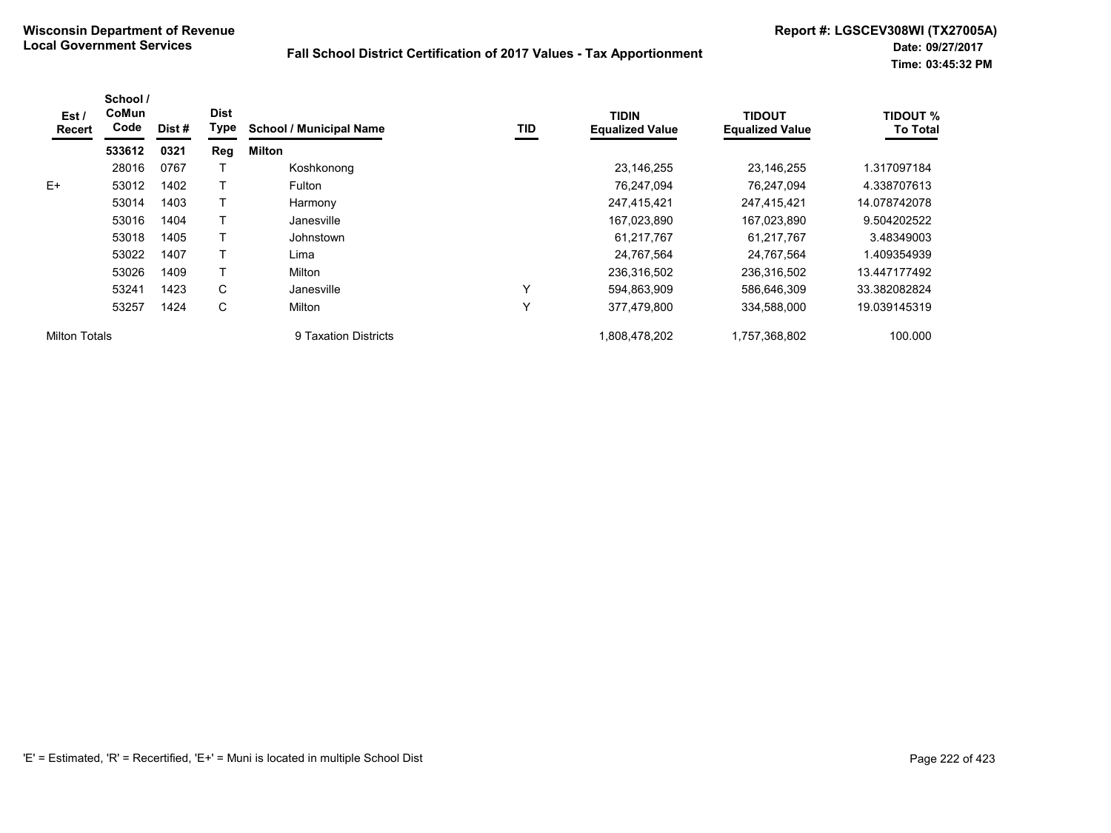| Est /<br><b>Recert</b> | School /<br>CoMun<br>Code | Dist# | <b>Dist</b><br>Type | <b>School / Municipal Name</b> | TID | <b>TIDIN</b><br><b>Equalized Value</b> | <b>TIDOUT</b><br><b>Equalized Value</b> | <b>TIDOUT %</b><br><b>To Total</b> |
|------------------------|---------------------------|-------|---------------------|--------------------------------|-----|----------------------------------------|-----------------------------------------|------------------------------------|
|                        | 533612                    | 0321  | Reg                 | Milton                         |     |                                        |                                         |                                    |
|                        | 28016                     | 0767  |                     | Koshkonong                     |     | 23,146,255                             | 23.146.255                              | 1.317097184                        |
| E+                     | 53012                     | 1402  |                     | Fulton                         |     | 76,247,094                             | 76,247,094                              | 4.338707613                        |
|                        | 53014                     | 1403  |                     | Harmony                        |     | 247,415,421                            | 247,415,421                             | 14.078742078                       |
|                        | 53016                     | 1404  |                     | Janesville                     |     | 167,023,890                            | 167,023,890                             | 9.504202522                        |
|                        | 53018                     | 1405  |                     | Johnstown                      |     | 61.217.767                             | 61.217.767                              | 3.48349003                         |
|                        | 53022                     | 1407  |                     | Lima                           |     | 24,767,564                             | 24,767,564                              | 1.409354939                        |
|                        | 53026                     | 1409  |                     | Milton                         |     | 236,316,502                            | 236,316,502                             | 13.447177492                       |
|                        | 53241                     | 1423  | C                   | Janesville                     | Υ   | 594,863,909                            | 586,646,309                             | 33.382082824                       |
|                        | 53257                     | 1424  | C                   | Milton                         | Υ   | 377.479.800                            | 334,588,000                             | 19.039145319                       |
| <b>Milton Totals</b>   |                           |       |                     | 9 Taxation Districts           |     | 1,808,478,202                          | 1,757,368,802                           | 100.000                            |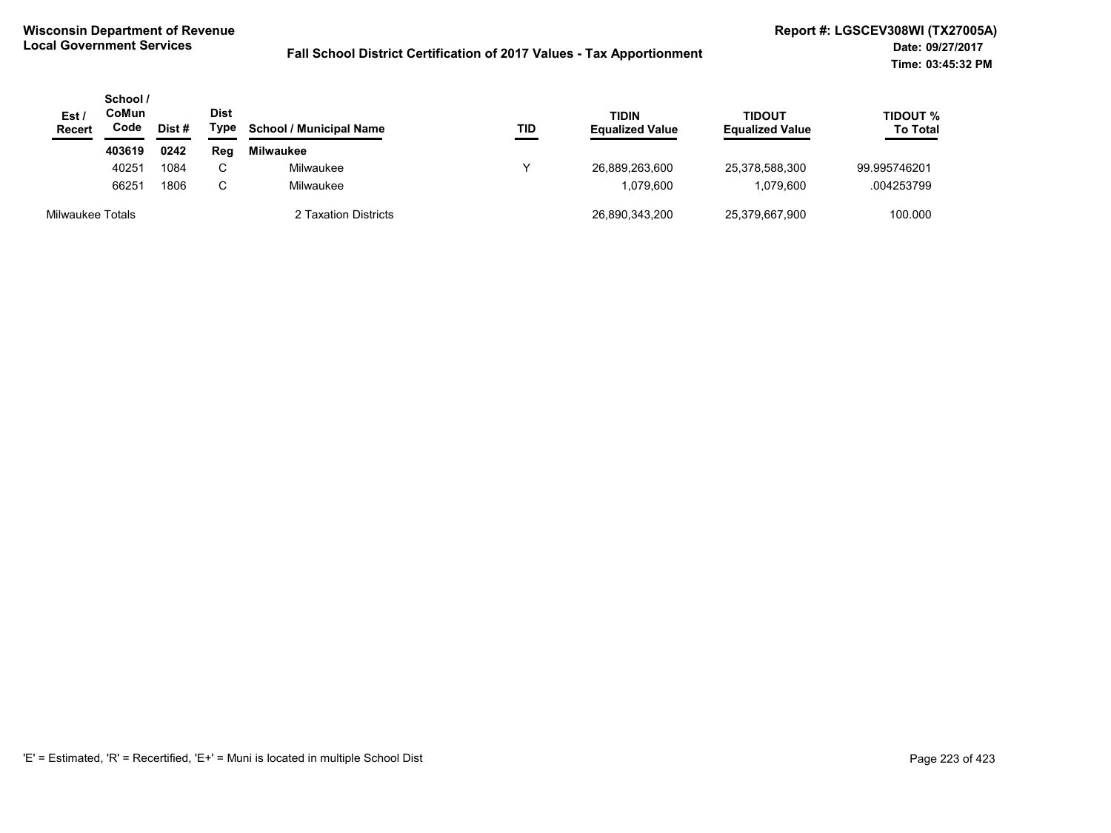| Est /<br><b>Recert</b> | School /<br>CoMun<br>Code | Dist # | <b>Dist</b><br>Type | <b>School / Municipal Name</b> | TID | <b>TIDIN</b><br><b>Equalized Value</b> | <b>TIDOUT</b><br><b>Equalized Value</b> | TIDOUT %<br><b>To Total</b> |
|------------------------|---------------------------|--------|---------------------|--------------------------------|-----|----------------------------------------|-----------------------------------------|-----------------------------|
|                        | 403619                    | 0242   | Reg                 | <b>Milwaukee</b>               |     |                                        |                                         |                             |
|                        | 40251                     | 1084   | $\sim$              | Milwaukee                      |     | 26,889,263,600                         | 25,378,588,300                          | 99.995746201                |
|                        | 66251                     | 1806   | U                   | Milwaukee                      |     | 1.079.600                              | 1.079.600                               | .004253799                  |
| Milwaukee Totals       |                           |        |                     | 2 Taxation Districts           |     | 26,890,343,200                         | 25,379,667,900                          | 100.000                     |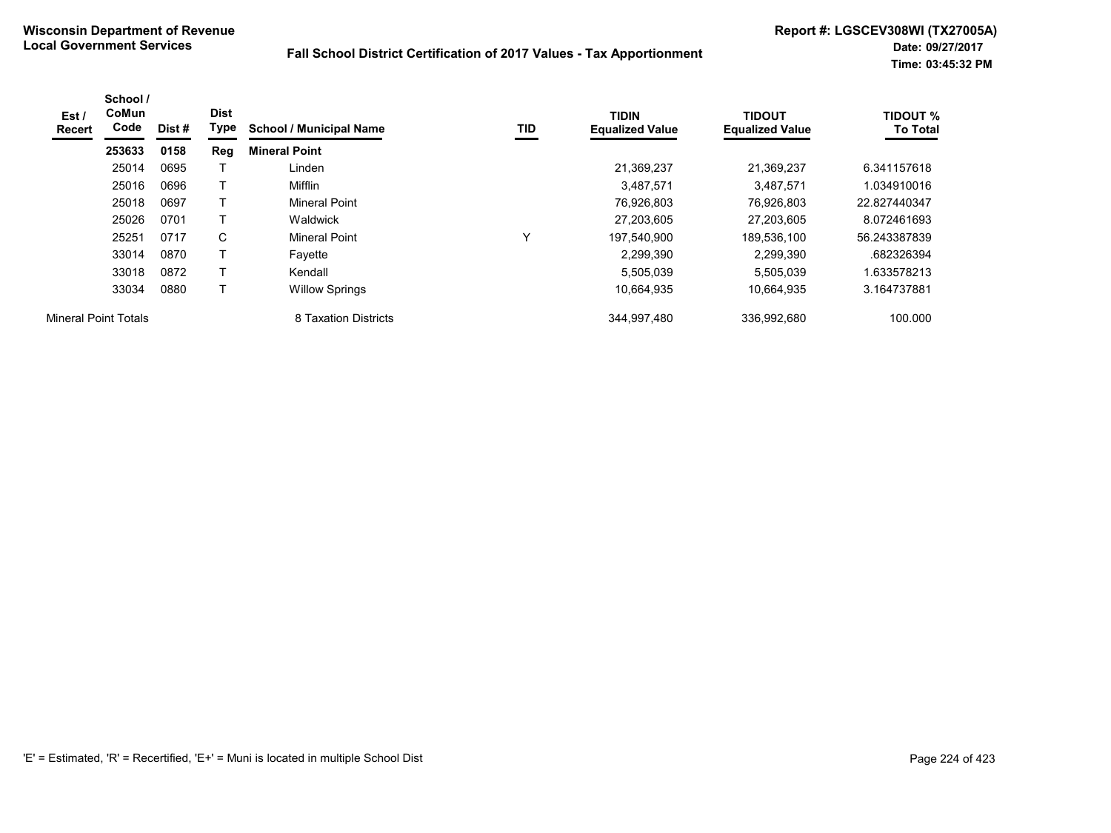| Est /<br>Recert             | School /<br>CoMun<br>Code | Dist # | <b>Dist</b><br>Type | <b>School / Municipal Name</b> | TID | <b>TIDIN</b><br><b>Equalized Value</b> | <b>TIDOUT</b><br><b>Equalized Value</b> | <b>TIDOUT %</b><br><b>To Total</b> |
|-----------------------------|---------------------------|--------|---------------------|--------------------------------|-----|----------------------------------------|-----------------------------------------|------------------------------------|
|                             | 253633                    | 0158   | Reg                 | <b>Mineral Point</b>           |     |                                        |                                         |                                    |
|                             | 25014                     | 0695   |                     | Linden                         |     | 21,369,237                             | 21.369.237                              | 6.341157618                        |
|                             | 25016                     | 0696   |                     | Mifflin                        |     | 3,487,571                              | 3,487,571                               | 1.034910016                        |
|                             | 25018                     | 0697   |                     | <b>Mineral Point</b>           |     | 76,926,803                             | 76.926.803                              | 22.827440347                       |
|                             | 25026                     | 0701   |                     | Waldwick                       |     | 27,203,605                             | 27,203,605                              | 8.072461693                        |
|                             | 25251                     | 0717   | C                   | <b>Mineral Point</b>           | v   | 197,540,900                            | 189,536,100                             | 56.243387839                       |
|                             | 33014                     | 0870   |                     | Favette                        |     | 2,299,390                              | 2,299,390                               | .682326394                         |
|                             | 33018                     | 0872   |                     | Kendall                        |     | 5,505,039                              | 5.505.039                               | 1.633578213                        |
|                             | 33034                     | 0880   |                     | <b>Willow Springs</b>          |     | 10,664,935                             | 10,664,935                              | 3.164737881                        |
| <b>Mineral Point Totals</b> |                           |        |                     | 8 Taxation Districts           |     | 344,997,480                            | 336,992,680                             | 100.000                            |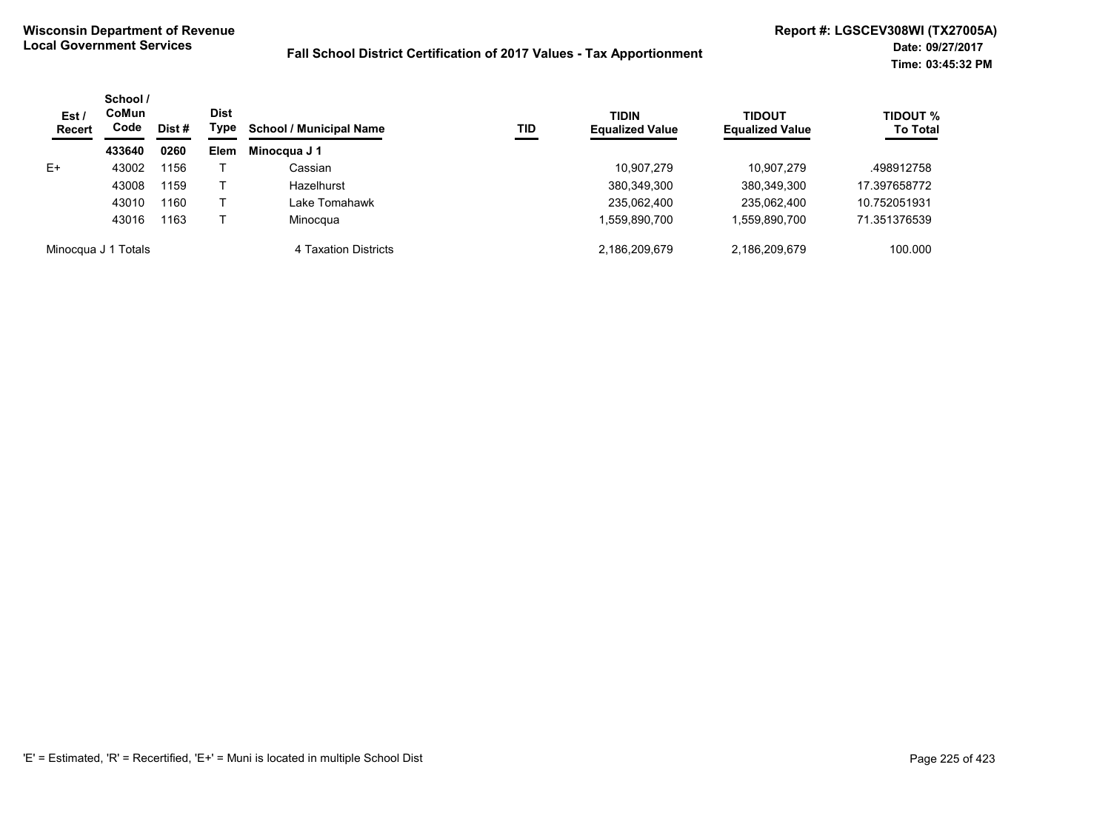| Est /<br><b>Recert</b> | School /<br>CoMun<br>Code | Dist # | <b>Dist</b><br>Type | <b>School / Municipal Name</b> | TID | <b>TIDIN</b><br><b>Equalized Value</b> | <b>TIDOUT</b><br><b>Equalized Value</b> | <b>TIDOUT %</b><br><b>To Total</b> |
|------------------------|---------------------------|--------|---------------------|--------------------------------|-----|----------------------------------------|-----------------------------------------|------------------------------------|
|                        | 433640                    | 0260   | <b>Elem</b>         | Minocqua J 1                   |     |                                        |                                         |                                    |
| E+                     | 43002                     | 1156   |                     | Cassian                        |     | 10,907,279                             | 10.907.279                              | .498912758                         |
|                        | 43008                     | 1159   |                     | Hazelhurst                     |     | 380,349,300                            | 380,349,300                             | 17.397658772                       |
|                        | 43010                     | 1160   |                     | Lake Tomahawk                  |     | 235,062,400                            | 235,062,400                             | 10.752051931                       |
|                        | 43016                     | 1163   |                     | Minocqua                       |     | .559,890,700                           | 1,559,890,700                           | 71.351376539                       |
|                        | Minocqua J 1 Totals       |        |                     | 4 Taxation Districts           |     | 2,186,209,679                          | 2,186,209,679                           | 100.000                            |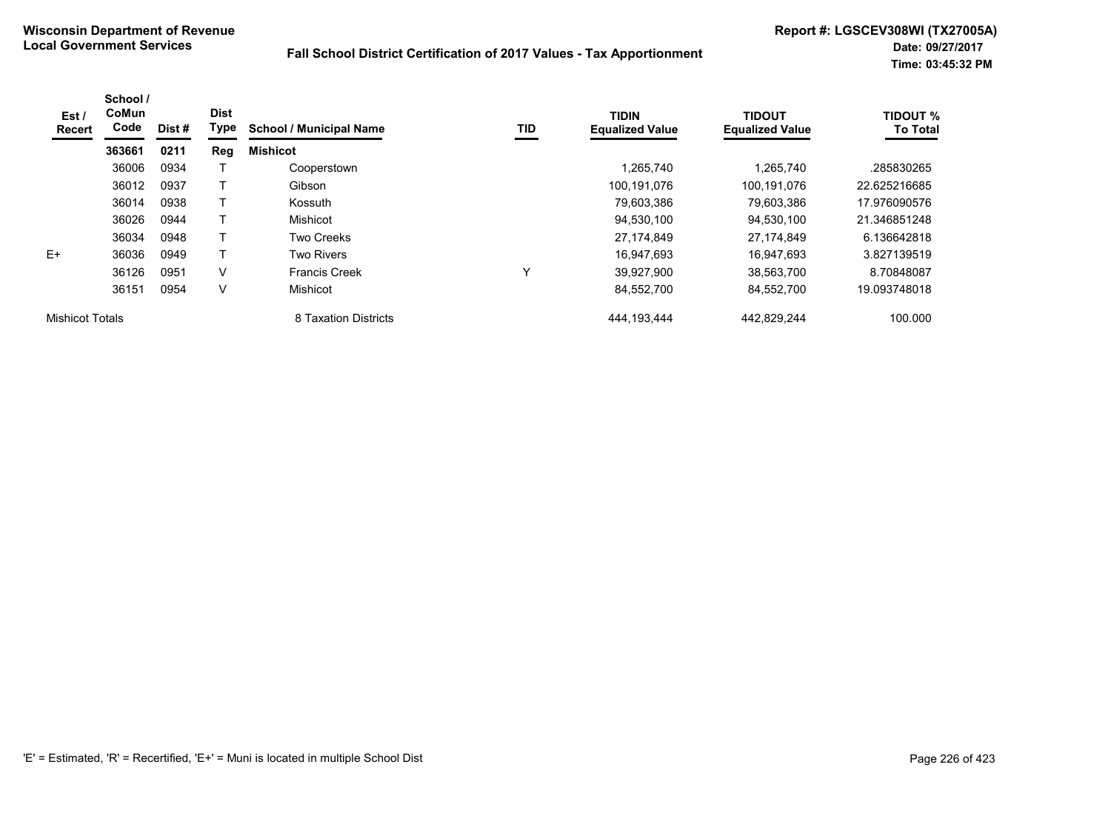| Est/<br>Recert         | School /<br>CoMun<br>Code | Dist # | <b>Dist</b><br>Type | <b>School / Municipal Name</b> | TID | <b>TIDIN</b><br><b>Equalized Value</b> | <b>TIDOUT</b><br><b>Equalized Value</b> | <b>TIDOUT %</b><br><b>To Total</b> |
|------------------------|---------------------------|--------|---------------------|--------------------------------|-----|----------------------------------------|-----------------------------------------|------------------------------------|
|                        | 363661                    | 0211   | Reg                 | <b>Mishicot</b>                |     |                                        |                                         |                                    |
|                        | 36006                     | 0934   |                     | Cooperstown                    |     | ,265,740                               | 1,265,740                               | .285830265                         |
|                        | 36012                     | 0937   |                     | Gibson                         |     | 100,191,076                            | 100,191,076                             | 22.625216685                       |
|                        | 36014                     | 0938   |                     | Kossuth                        |     | 79,603,386                             | 79,603,386                              | 17.976090576                       |
|                        | 36026                     | 0944   |                     | Mishicot                       |     | 94,530,100                             | 94.530.100                              | 21.346851248                       |
|                        | 36034                     | 0948   |                     | Two Creeks                     |     | 27,174,849                             | 27.174.849                              | 6.136642818                        |
| $E+$                   | 36036                     | 0949   | T                   | <b>Two Rivers</b>              |     | 16,947,693                             | 16,947,693                              | 3.827139519                        |
|                        | 36126                     | 0951   | V                   | <b>Francis Creek</b>           | Υ   | 39,927,900                             | 38,563,700                              | 8.70848087                         |
|                        | 36151                     | 0954   | V                   | Mishicot                       |     | 84,552,700                             | 84,552,700                              | 19.093748018                       |
| <b>Mishicot Totals</b> |                           |        |                     | 8 Taxation Districts           |     | 444, 193, 444                          | 442,829,244                             | 100.000                            |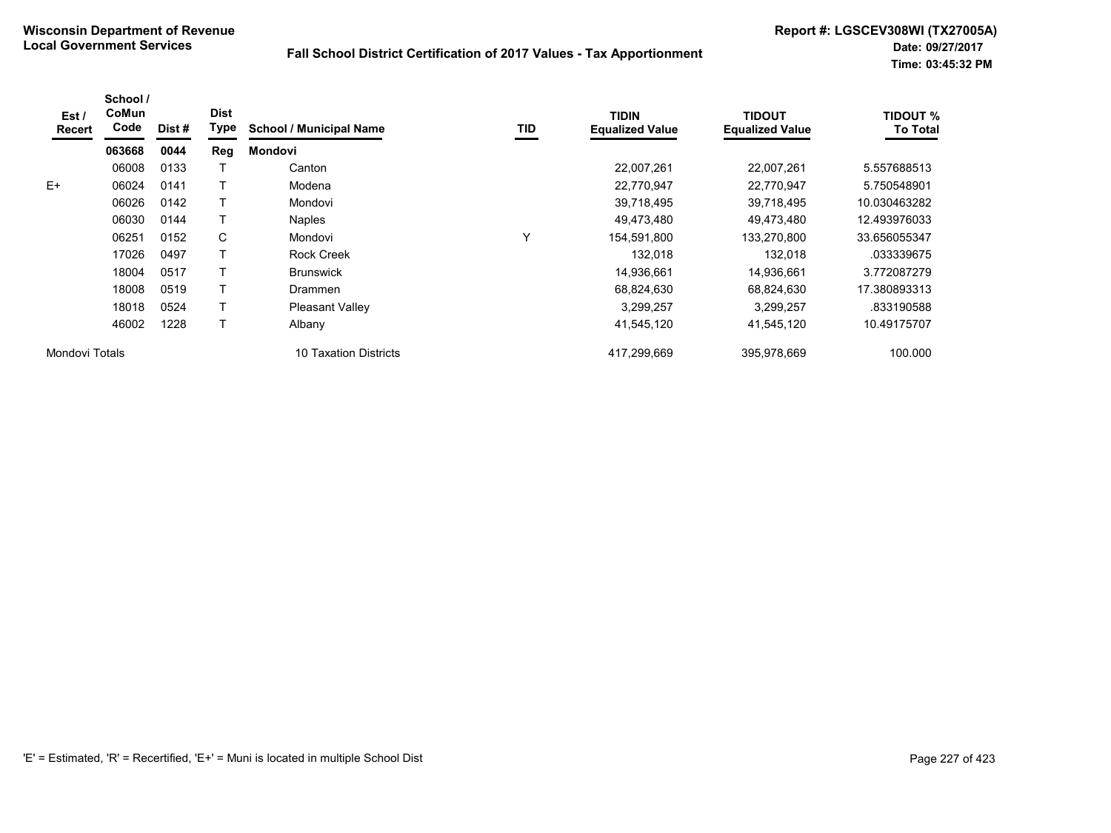| Est /<br>Recert | School /<br>CoMun<br>Code | Dist # | <b>Dist</b><br>Type | <b>School / Municipal Name</b>  | TID | <b>TIDIN</b><br><b>Equalized Value</b> | <b>TIDOUT</b><br><b>Equalized Value</b> | <b>TIDOUT %</b><br><b>To Total</b> |
|-----------------|---------------------------|--------|---------------------|---------------------------------|-----|----------------------------------------|-----------------------------------------|------------------------------------|
|                 | 063668                    | 0044   | Reg                 | <b>Mondovi</b>                  |     |                                        |                                         |                                    |
|                 | 06008                     | 0133   |                     | Canton                          |     | 22,007,261                             | 22,007,261                              | 5.557688513                        |
| $E+$            | 06024                     | 0141   |                     | Modena                          |     | 22,770,947                             | 22,770,947                              | 5.750548901                        |
|                 | 06026                     | 0142   |                     | Mondovi                         |     | 39,718,495                             | 39,718,495                              | 10.030463282                       |
|                 | 06030                     | 0144   |                     | <b>Naples</b>                   |     | 49,473,480                             | 49,473,480                              | 12.493976033                       |
|                 | 06251                     | 0152   | C                   | Mondovi                         | Y   | 154,591,800                            | 133,270,800                             | 33.656055347                       |
|                 | 17026                     | 0497   |                     | <b>Rock Creek</b>               |     | 132,018                                | 132,018                                 | .033339675                         |
|                 | 18004                     | 0517   |                     | <b>Brunswick</b>                |     | 14,936,661                             | 14,936,661                              | 3.772087279                        |
|                 | 18008                     | 0519   |                     | Drammen                         |     | 68,824,630                             | 68,824,630                              | 17.380893313                       |
|                 | 18018                     | 0524   |                     | <b>Pleasant Valley</b>          |     | 3,299,257                              | 3,299,257                               | .833190588                         |
|                 | 46002                     | 1228   |                     | Albany                          |     | 41,545,120                             | 41,545,120                              | 10.49175707                        |
| Mondovi Totals  |                           |        |                     | <b>Taxation Districts</b><br>10 |     | 417.299.669                            | 395.978.669                             | 100.000                            |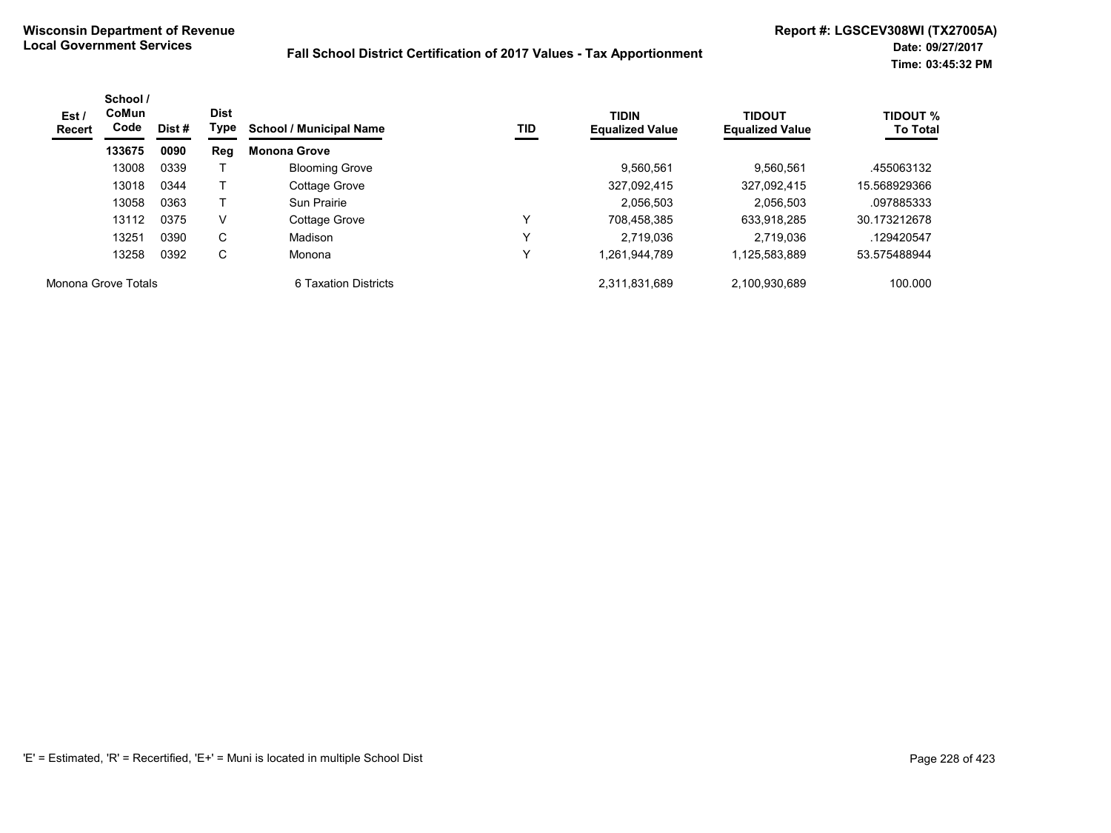| Est /<br>Recert     | School /<br><b>CoMun</b><br>Code | Dist # | <b>Dist</b><br>Type | <b>School / Municipal Name</b> | TID          | <b>TIDIN</b><br><b>Equalized Value</b> | <b>TIDOUT</b><br><b>Equalized Value</b> | <b>TIDOUT %</b><br><b>To Total</b> |
|---------------------|----------------------------------|--------|---------------------|--------------------------------|--------------|----------------------------------------|-----------------------------------------|------------------------------------|
|                     | 133675                           | 0090   | Reg                 | <b>Monona Grove</b>            |              |                                        |                                         |                                    |
|                     | 13008                            | 0339   |                     | <b>Blooming Grove</b>          |              | 9,560,561                              | 9.560.561                               | .455063132                         |
|                     | 13018                            | 0344   |                     | Cottage Grove                  |              | 327,092,415                            | 327,092,415                             | 15.568929366                       |
|                     | 13058                            | 0363   |                     | Sun Prairie                    |              | 2,056,503                              | 2.056.503                               | .097885333                         |
|                     | 13112                            | 0375   | V                   | Cottage Grove                  | ٧            | 708.458.385                            | 633.918.285                             | 30.173212678                       |
|                     | 13251                            | 0390   | C                   | Madison                        | $\checkmark$ | 2.719.036                              | 2.719.036                               | .129420547                         |
|                     | 13258                            | 0392   | C                   | Monona                         | Υ            | 1,261,944,789                          | 1,125,583,889                           | 53.575488944                       |
| Monona Grove Totals |                                  |        |                     | 6 Taxation Districts           |              | 2.311.831.689                          | 2,100,930,689                           | 100.000                            |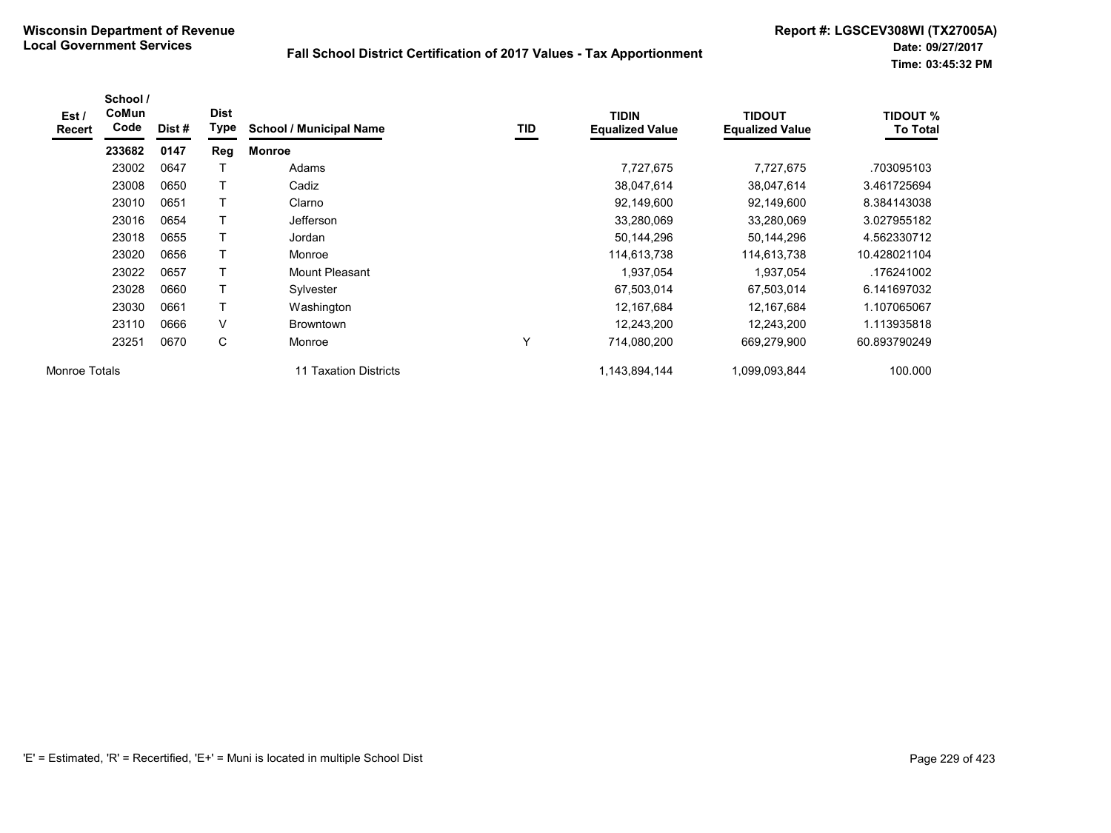| Est /<br>Recert | School /<br>CoMun<br>Code | Dist# | <b>Dist</b><br>Type | <b>School / Municipal Name</b> | TID | <b>TIDIN</b><br><b>Equalized Value</b> | <b>TIDOUT</b><br><b>Equalized Value</b> | <b>TIDOUT %</b><br><b>To Total</b> |
|-----------------|---------------------------|-------|---------------------|--------------------------------|-----|----------------------------------------|-----------------------------------------|------------------------------------|
|                 | 233682                    | 0147  | Reg                 | <b>Monroe</b>                  |     |                                        |                                         |                                    |
|                 | 23002                     | 0647  |                     | Adams                          |     | 7,727,675                              | 7,727,675                               | .703095103                         |
|                 | 23008                     | 0650  |                     | Cadiz                          |     | 38,047,614                             | 38,047,614                              | 3.461725694                        |
|                 | 23010                     | 0651  | Т                   | Clarno                         |     | 92,149,600                             | 92,149,600                              | 8.384143038                        |
|                 | 23016                     | 0654  |                     | Jefferson                      |     | 33,280,069                             | 33,280,069                              | 3.027955182                        |
|                 | 23018                     | 0655  |                     | Jordan                         |     | 50,144,296                             | 50,144,296                              | 4.562330712                        |
|                 | 23020                     | 0656  | т                   | Monroe                         |     | 114,613,738                            | 114,613,738                             | 10.428021104                       |
|                 | 23022                     | 0657  | Т                   | <b>Mount Pleasant</b>          |     | 1,937,054                              | 1,937,054                               | .176241002                         |
|                 | 23028                     | 0660  |                     | Sylvester                      |     | 67,503,014                             | 67,503,014                              | 6.141697032                        |
|                 | 23030                     | 0661  | Т                   | Washington                     |     | 12,167,684                             | 12,167,684                              | 1.107065067                        |
|                 | 23110                     | 0666  | V                   | <b>Browntown</b>               |     | 12,243,200                             | 12,243,200                              | 1.113935818                        |
|                 | 23251                     | 0670  | С                   | Monroe                         | Y   | 714,080,200                            | 669,279,900                             | 60.893790249                       |
| Monroe Totals   |                           |       |                     | 11 Taxation Districts          |     | 1,143,894,144                          | 1,099,093,844                           | 100.000                            |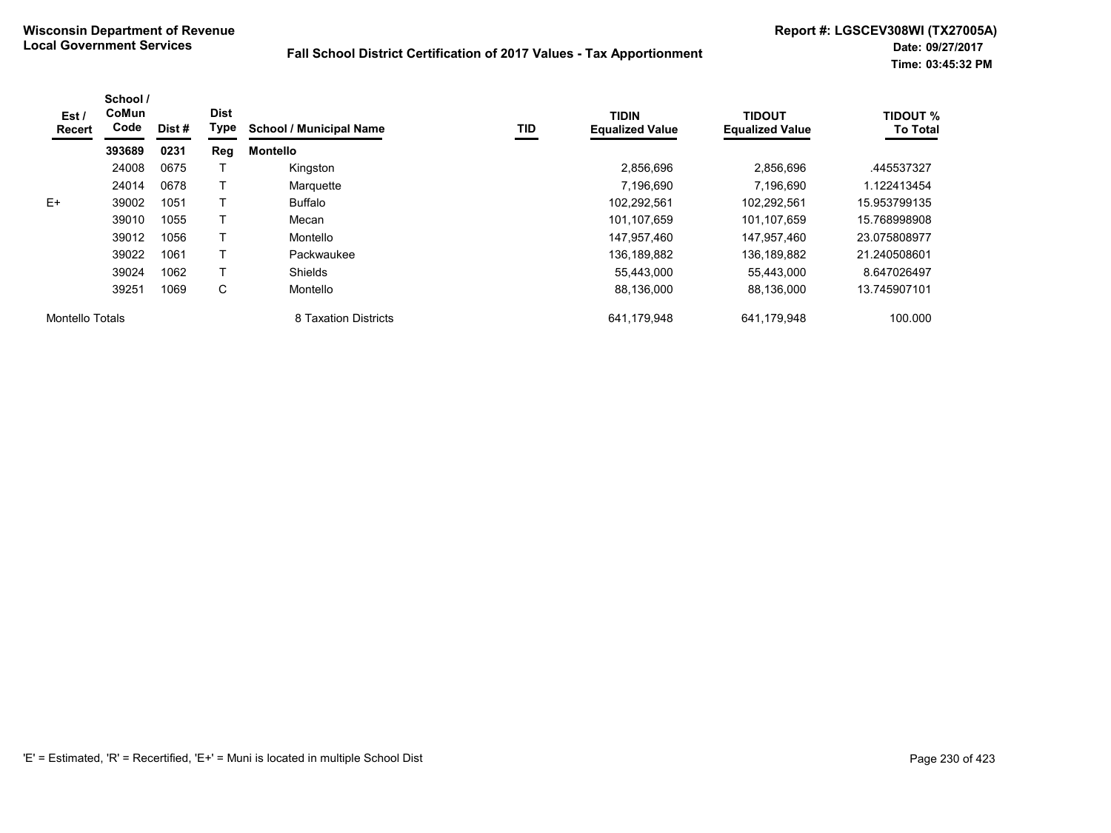| Est /<br>Recert | School /<br><b>CoMun</b><br>Code | Dist # | <b>Dist</b><br><b>Type</b> | <b>School / Municipal Name</b> | TID | <b>TIDIN</b><br><b>Equalized Value</b> | <b>TIDOUT</b><br><b>Equalized Value</b> | <b>TIDOUT %</b><br><b>To Total</b> |
|-----------------|----------------------------------|--------|----------------------------|--------------------------------|-----|----------------------------------------|-----------------------------------------|------------------------------------|
|                 | 393689                           | 0231   | Reg                        | <b>Montello</b>                |     |                                        |                                         |                                    |
|                 | 24008                            | 0675   |                            | Kingston                       |     | 2,856,696                              | 2.856.696                               | .445537327                         |
|                 | 24014                            | 0678   |                            | Marquette                      |     | 7,196,690                              | 7,196,690                               | 1.122413454                        |
| $E+$            | 39002                            | 1051   |                            | Buffalo                        |     | 102,292,561                            | 102,292,561                             | 15.953799135                       |
|                 | 39010                            | 1055   |                            | Mecan                          |     | 101.107.659                            | 101.107.659                             | 15.768998908                       |
|                 | 39012                            | 1056   |                            | Montello                       |     | 147,957,460                            | 147,957,460                             | 23.075808977                       |
|                 | 39022                            | 1061   |                            | Packwaukee                     |     | 136,189,882                            | 136,189,882                             | 21.240508601                       |
|                 | 39024                            | 1062   |                            | <b>Shields</b>                 |     | 55,443,000                             | 55.443.000                              | 8.647026497                        |
|                 | 39251                            | 1069   | С                          | Montello                       |     | 88,136,000                             | 88,136,000                              | 13.745907101                       |
| Montello Totals |                                  |        |                            | 8 Taxation Districts           |     | 641,179,948                            | 641,179,948                             | 100.000                            |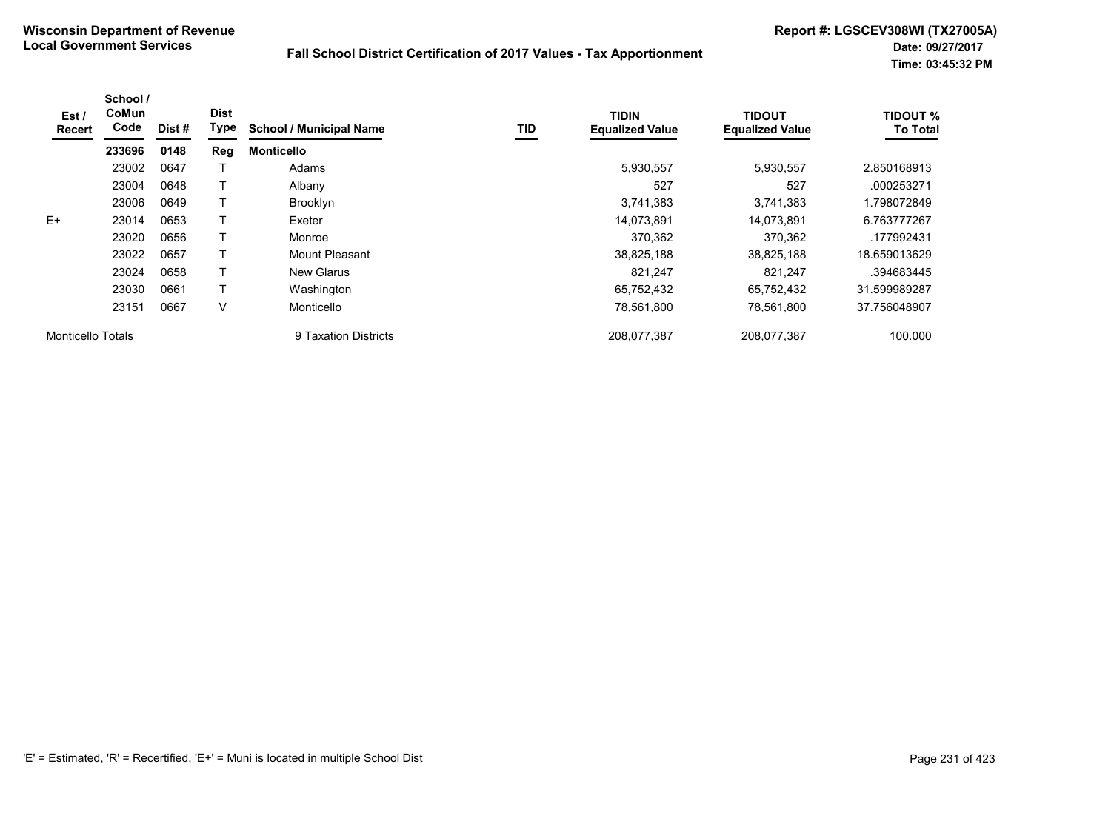| Est /<br>Recert          | School /<br>CoMun<br>Code | Dist # | <b>Dist</b><br>Type | <b>School / Municipal Name</b> | TID | <b>TIDIN</b><br><b>Equalized Value</b> | <b>TIDOUT</b><br><b>Equalized Value</b> | <b>TIDOUT %</b><br><b>To Total</b> |
|--------------------------|---------------------------|--------|---------------------|--------------------------------|-----|----------------------------------------|-----------------------------------------|------------------------------------|
|                          | 233696                    | 0148   | Reg                 | <b>Monticello</b>              |     |                                        |                                         |                                    |
|                          | 23002                     | 0647   |                     | Adams                          |     | 5,930,557                              | 5,930,557                               | 2.850168913                        |
|                          | 23004                     | 0648   |                     | Albany                         |     | 527                                    | 527                                     | .000253271                         |
|                          | 23006                     | 0649   |                     | <b>Brooklyn</b>                |     | 3,741,383                              | 3,741,383                               | 1.798072849                        |
| $E+$                     | 23014                     | 0653   |                     | Exeter                         |     | 14,073,891                             | 14,073,891                              | 6.763777267                        |
|                          | 23020                     | 0656   |                     | Monroe                         |     | 370,362                                | 370,362                                 | .177992431                         |
|                          | 23022                     | 0657   |                     | Mount Pleasant                 |     | 38,825,188                             | 38,825,188                              | 18.659013629                       |
|                          | 23024                     | 0658   |                     | <b>New Glarus</b>              |     | 821.247                                | 821.247                                 | .394683445                         |
|                          | 23030                     | 0661   |                     | Washington                     |     | 65,752,432                             | 65.752.432                              | 31.599989287                       |
|                          | 23151                     | 0667   | v                   | Monticello                     |     | 78,561,800                             | 78,561,800                              | 37.756048907                       |
| <b>Monticello Totals</b> |                           |        |                     | 9 Taxation Districts           |     | 208,077,387                            | 208,077,387                             | 100.000                            |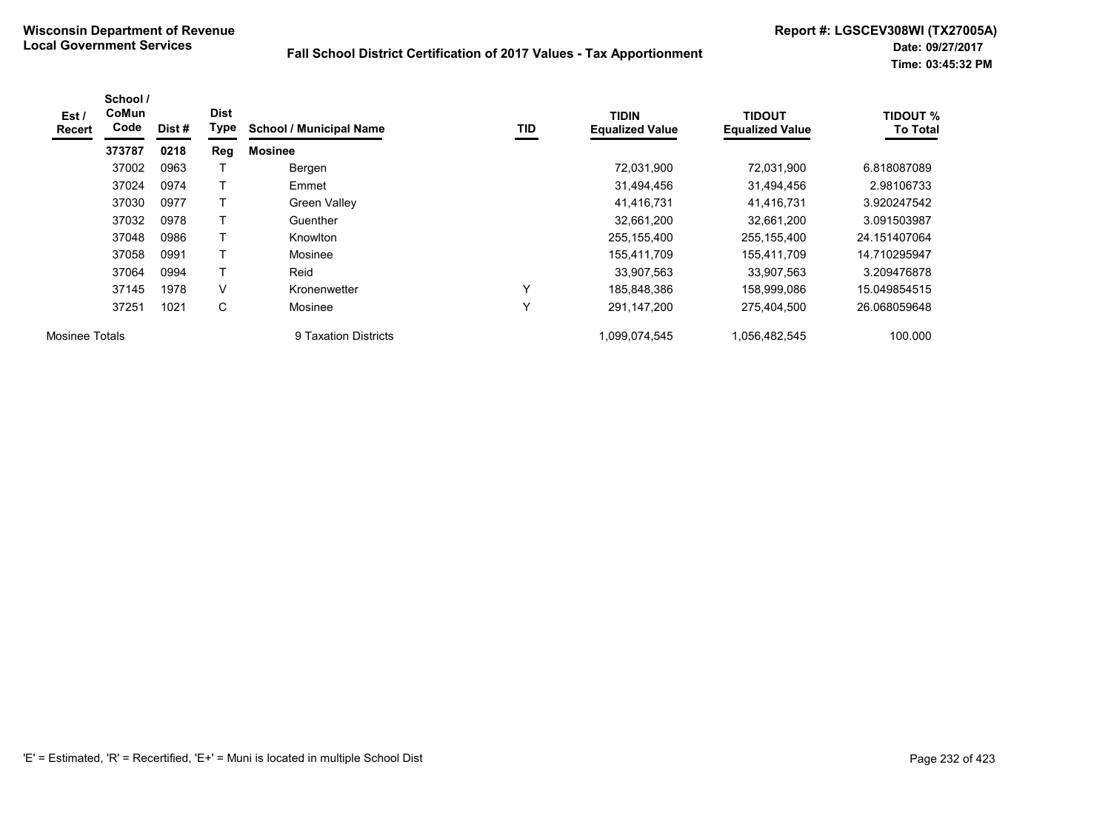| Est/<br><b>Recert</b> | School /<br>CoMun<br>Code | Dist# | <b>Dist</b><br>Type | <b>School / Municipal Name</b> | TID          | <b>TIDIN</b><br><b>Equalized Value</b> | <b>TIDOUT</b><br><b>Equalized Value</b> | <b>TIDOUT %</b><br><b>To Total</b> |
|-----------------------|---------------------------|-------|---------------------|--------------------------------|--------------|----------------------------------------|-----------------------------------------|------------------------------------|
|                       | 373787                    | 0218  | Reg                 | <b>Mosinee</b>                 |              |                                        |                                         |                                    |
|                       | 37002                     | 0963  |                     | Bergen                         |              | 72,031,900                             | 72,031,900                              | 6.818087089                        |
|                       | 37024                     | 0974  |                     | Emmet                          |              | 31,494,456                             | 31,494,456                              | 2.98106733                         |
|                       | 37030                     | 0977  |                     | <b>Green Valley</b>            |              | 41,416,731                             | 41,416,731                              | 3.920247542                        |
|                       | 37032                     | 0978  |                     | Guenther                       |              | 32,661,200                             | 32,661,200                              | 3.091503987                        |
|                       | 37048                     | 0986  |                     | Knowlton                       |              | 255,155,400                            | 255,155,400                             | 24.151407064                       |
|                       | 37058                     | 0991  |                     | Mosinee                        |              | 155,411,709                            | 155,411,709                             | 14.710295947                       |
|                       | 37064                     | 0994  | $\mathbf \tau$      | Reid                           |              | 33,907,563                             | 33,907,563                              | 3.209476878                        |
|                       | 37145                     | 1978  | V                   | Kronenwetter                   | $\checkmark$ | 185,848,386                            | 158.999.086                             | 15.049854515                       |
|                       | 37251                     | 1021  | С                   | Mosinee                        | Υ            | 291,147,200                            | 275.404.500                             | 26.068059648                       |
| Mosinee Totals        |                           |       |                     | 9 Taxation Districts           |              | 1,099,074,545                          | 1,056,482,545                           | 100.000                            |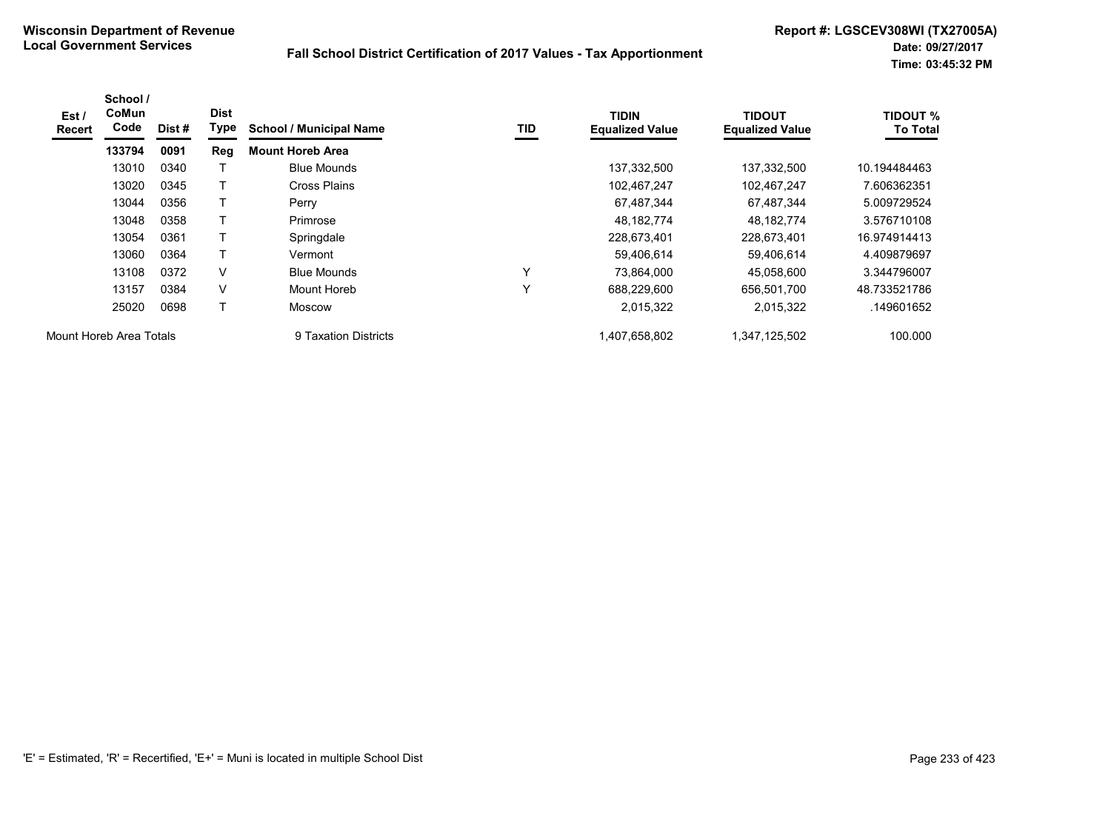| Est /<br><b>Recert</b>  | School /<br><b>CoMun</b><br>Code | Dist # | <b>Dist</b><br>Type | <b>School / Municipal Name</b> | TID | <b>TIDIN</b><br><b>Equalized Value</b> | <b>TIDOUT</b><br><b>Equalized Value</b> | <b>TIDOUT %</b><br><b>To Total</b> |
|-------------------------|----------------------------------|--------|---------------------|--------------------------------|-----|----------------------------------------|-----------------------------------------|------------------------------------|
|                         | 133794                           | 0091   | Reg                 | <b>Mount Horeb Area</b>        |     |                                        |                                         |                                    |
|                         | 13010                            | 0340   |                     | <b>Blue Mounds</b>             |     | 137,332,500                            | 137,332,500                             | 10.194484463                       |
|                         | 13020                            | 0345   | т                   | Cross Plains                   |     | 102,467,247                            | 102,467,247                             | 7.606362351                        |
|                         | 13044                            | 0356   |                     | Perry                          |     | 67,487,344                             | 67,487,344                              | 5.009729524                        |
|                         | 13048                            | 0358   |                     | Primrose                       |     | 48,182,774                             | 48, 182, 774                            | 3.576710108                        |
|                         | 13054                            | 0361   |                     | Springdale                     |     | 228,673,401                            | 228,673,401                             | 16.974914413                       |
|                         | 13060                            | 0364   | т                   | Vermont                        |     | 59,406,614                             | 59,406,614                              | 4.409879697                        |
|                         | 13108                            | 0372   | V                   | <b>Blue Mounds</b>             | Υ   | 73.864.000                             | 45.058.600                              | 3.344796007                        |
|                         | 13157                            | 0384   | V                   | Mount Horeb                    | Υ   | 688,229,600                            | 656,501,700                             | 48.733521786                       |
|                         | 25020                            | 0698   | T                   | <b>Moscow</b>                  |     | 2,015,322                              | 2,015,322                               | .149601652                         |
| Mount Horeb Area Totals |                                  |        |                     | 9 Taxation Districts           |     | 1,407,658,802                          | 1,347,125,502                           | 100.000                            |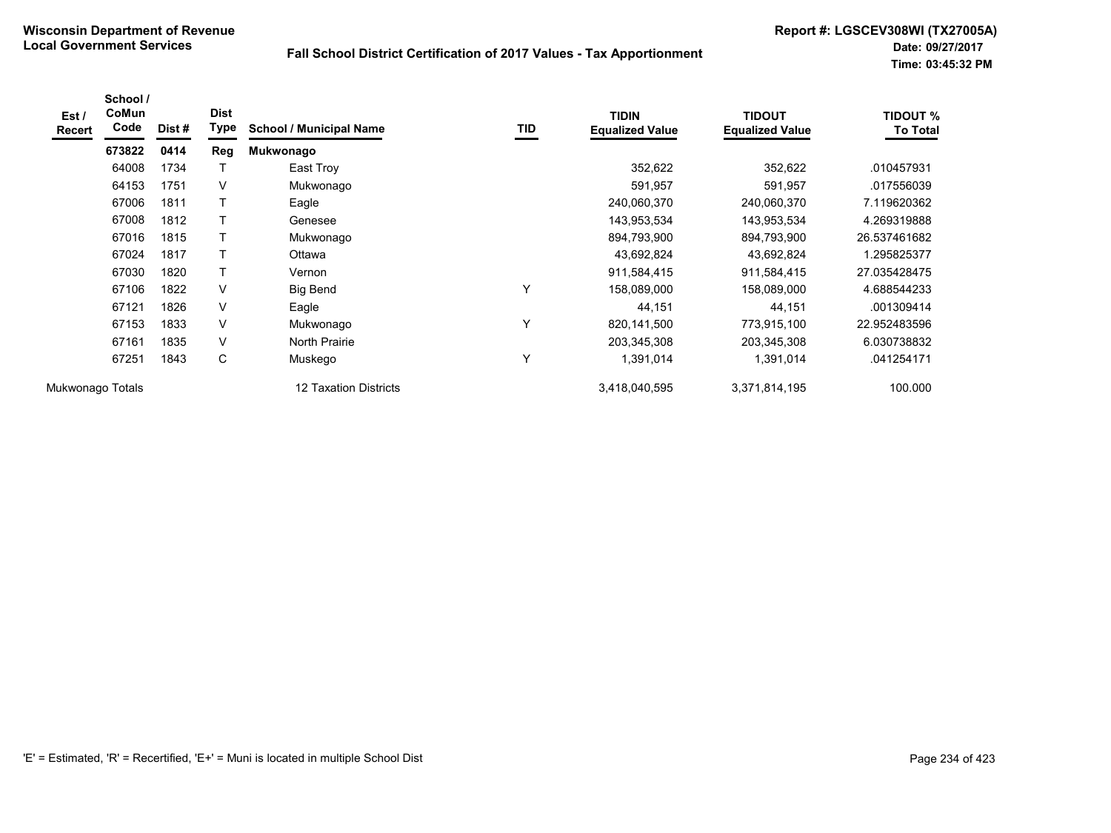| Est/<br><b>Recert</b> | School /<br>CoMun<br>Code | Dist# | <b>Dist</b><br>Type | <b>School / Municipal Name</b> | TID | <b>TIDIN</b><br><b>Equalized Value</b> | <b>TIDOUT</b><br><b>Equalized Value</b> | <b>TIDOUT %</b><br>To Total |
|-----------------------|---------------------------|-------|---------------------|--------------------------------|-----|----------------------------------------|-----------------------------------------|-----------------------------|
|                       | 673822                    | 0414  | Reg                 | Mukwonago                      |     |                                        |                                         |                             |
|                       | 64008                     | 1734  |                     | East Troy                      |     | 352,622                                | 352,622                                 | .010457931                  |
|                       | 64153                     | 1751  | V                   | Mukwonago                      |     | 591,957                                | 591,957                                 | .017556039                  |
|                       | 67006                     | 1811  |                     | Eagle                          |     | 240,060,370                            | 240,060,370                             | 7.119620362                 |
|                       | 67008                     | 1812  |                     | Genesee                        |     | 143,953,534                            | 143,953,534                             | 4.269319888                 |
|                       | 67016                     | 1815  | $\mathsf{T}$        | Mukwonago                      |     | 894,793,900                            | 894,793,900                             | 26.537461682                |
|                       | 67024                     | 1817  |                     | Ottawa                         |     | 43,692,824                             | 43,692,824                              | 1.295825377                 |
|                       | 67030                     | 1820  | T                   | Vernon                         |     | 911,584,415                            | 911,584,415                             | 27.035428475                |
|                       | 67106                     | 1822  | $\vee$              | <b>Big Bend</b>                | Υ   | 158,089,000                            | 158,089,000                             | 4.688544233                 |
|                       | 67121                     | 1826  | $\vee$              | Eagle                          |     | 44,151                                 | 44,151                                  | .001309414                  |
|                       | 67153                     | 1833  | $\vee$              | Mukwonago                      | Υ   | 820,141,500                            | 773,915,100                             | 22.952483596                |
|                       | 67161                     | 1835  | V                   | North Prairie                  |     | 203,345,308                            | 203,345,308                             | 6.030738832                 |
|                       | 67251                     | 1843  | С                   | Muskego                        | Υ   | 1,391,014                              | 1,391,014                               | .041254171                  |
| Mukwonago Totals      |                           |       |                     | 12 Taxation Districts          |     | 3,418,040,595                          | 3,371,814,195                           | 100.000                     |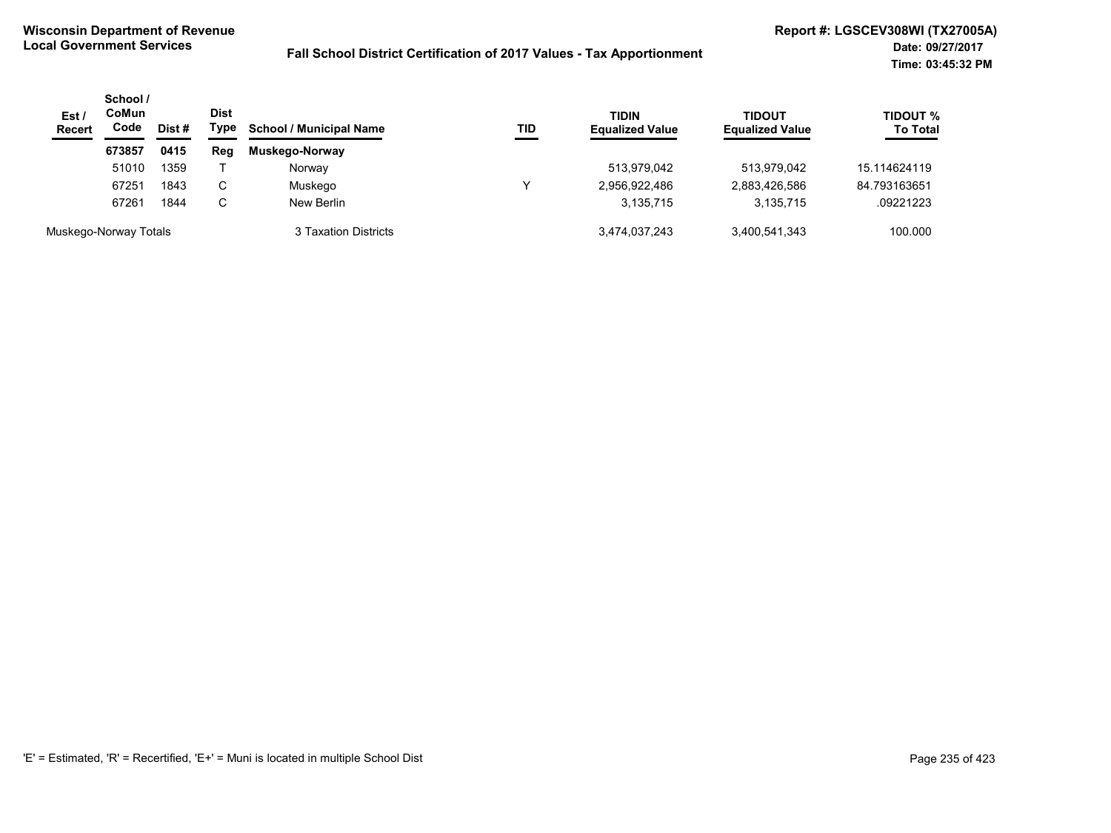| Est/<br><b>Recert</b> | School /<br><b>CoMun</b><br>Code | Dist # | <b>Dist</b><br>Type<br><b>School / Municipal Name</b> |                      | TID | <b>TIDIN</b><br><b>Equalized Value</b> | <b>TIDOUT</b><br><b>Equalized Value</b> | <b>TIDOUT %</b><br><b>To Total</b> |
|-----------------------|----------------------------------|--------|-------------------------------------------------------|----------------------|-----|----------------------------------------|-----------------------------------------|------------------------------------|
|                       | 673857                           | 0415   | Reg                                                   | Muskego-Norway       |     |                                        |                                         |                                    |
|                       | 51010                            | 1359   |                                                       | Norway               |     | 513,979,042                            | 513,979,042                             | 15.114624119                       |
|                       | 67251                            | 1843   | C                                                     | Muskego              |     | 2,956,922,486                          | 2,883,426,586                           | 84.793163651                       |
|                       | 67261                            | 1844   | C                                                     | New Berlin           |     | 3,135,715                              | 3,135,715                               | .09221223                          |
| Muskego-Norway Totals |                                  |        |                                                       | 3 Taxation Districts |     | 3,474,037,243                          | 3,400,541,343                           | 100.000                            |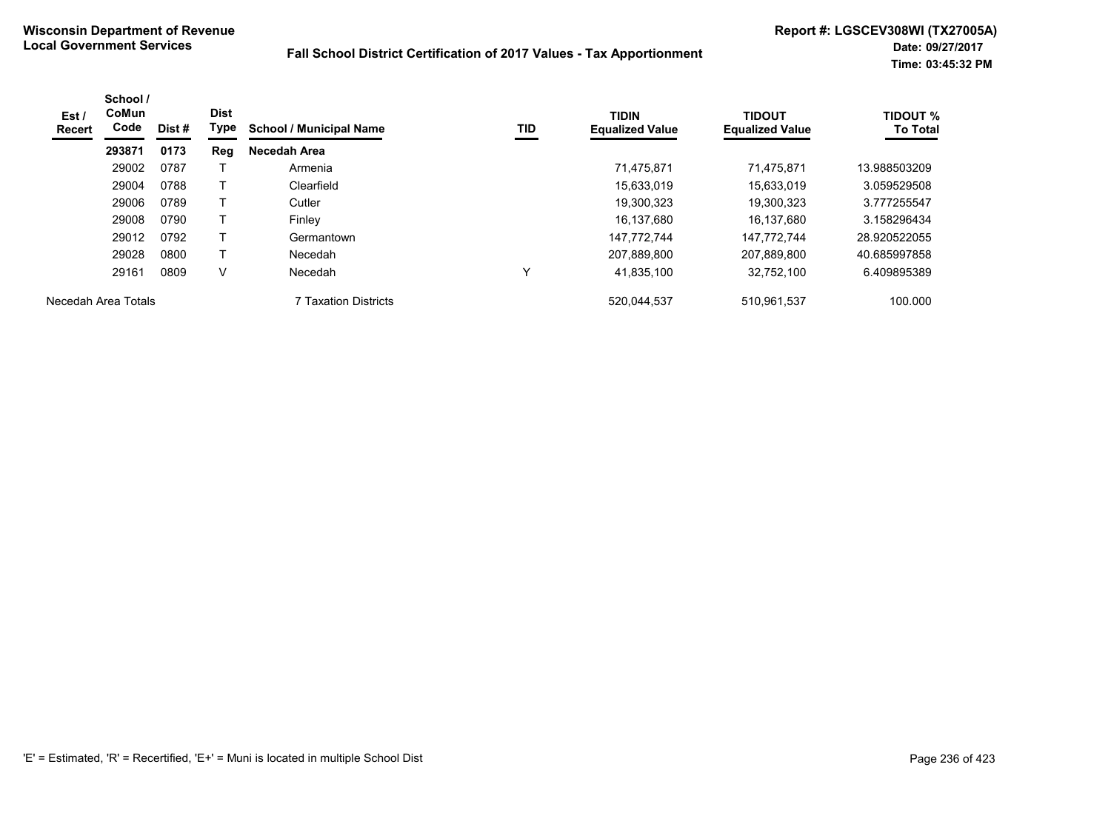| Est /<br><b>Recert</b> | School /<br>CoMun<br>Code | Dist # | <b>Dist</b><br>Type | <b>School / Municipal Name</b> | TID | <b>TIDIN</b><br><b>Equalized Value</b> | <b>TIDOUT</b><br><b>Equalized Value</b> | <b>TIDOUT %</b><br><b>To Total</b> |
|------------------------|---------------------------|--------|---------------------|--------------------------------|-----|----------------------------------------|-----------------------------------------|------------------------------------|
|                        | 293871                    | 0173   | <b>Reg</b>          | Necedah Area                   |     |                                        |                                         |                                    |
|                        | 29002                     | 0787   |                     | Armenia                        |     | 71.475.871                             | 71.475.871                              | 13.988503209                       |
|                        | 29004                     | 0788   |                     | Clearfield                     |     | 15,633,019                             | 15.633.019                              | 3.059529508                        |
|                        | 29006                     | 0789   |                     | Cutler                         |     | 19,300,323                             | 19.300.323                              | 3.777255547                        |
|                        | 29008                     | 0790   |                     | Finley                         |     | 16,137,680                             | 16.137.680                              | 3.158296434                        |
|                        | 29012                     | 0792   |                     | Germantown                     |     | 147,772,744                            | 147.772.744                             | 28.920522055                       |
|                        | 29028                     | 0800   |                     | Necedah                        |     | 207,889,800                            | 207,889,800                             | 40.685997858                       |
|                        | 29161                     | 0809   | ٧                   | Necedah                        |     | 41,835,100                             | 32,752,100                              | 6.409895389                        |
| Necedah Area Totals    |                           |        |                     | 7 Taxation Districts           |     | 520,044,537                            | 510,961,537                             | 100.000                            |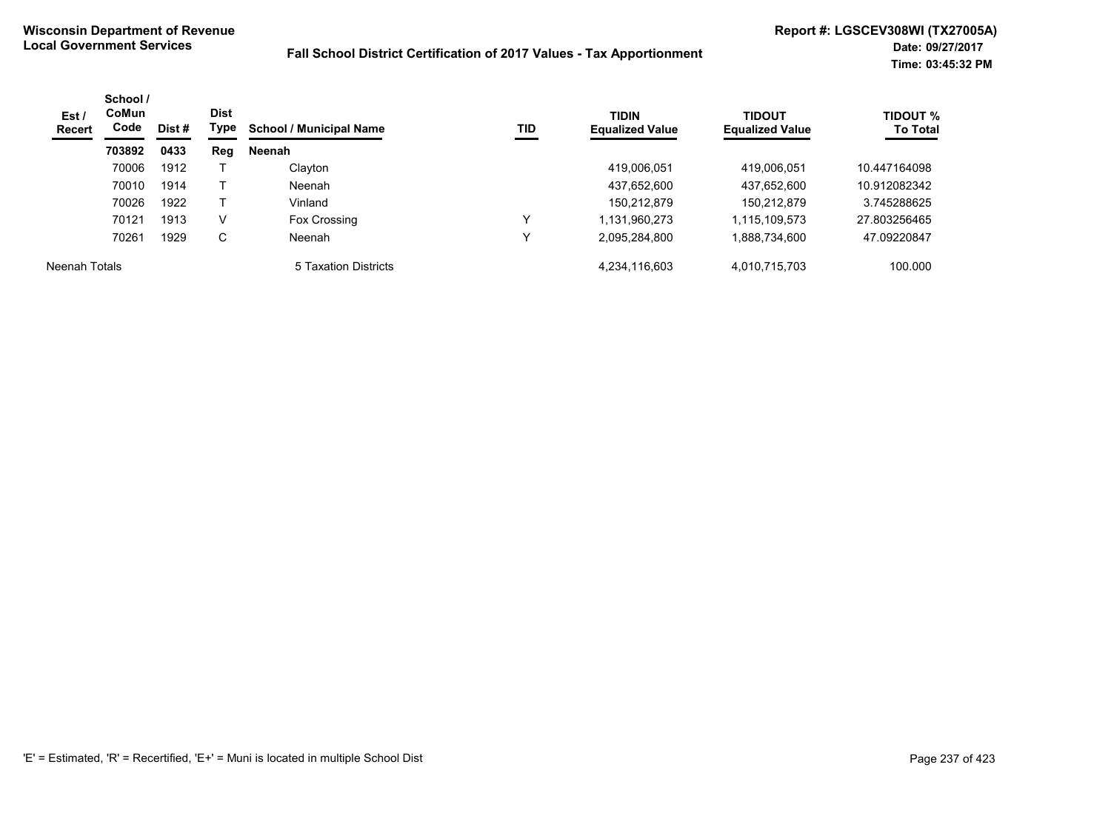| Est/<br>Recert       | School /<br><b>CoMun</b><br>Code | Dist# | <b>Dist</b><br>Type | <b>School / Municipal Name</b> | TID          | <b>TIDIN</b><br><b>Equalized Value</b> | <b>TIDOUT</b><br><b>Equalized Value</b> | <b>TIDOUT %</b><br><b>To Total</b> |
|----------------------|----------------------------------|-------|---------------------|--------------------------------|--------------|----------------------------------------|-----------------------------------------|------------------------------------|
|                      | 703892                           | 0433  | Reg                 | Neenah                         |              |                                        |                                         |                                    |
|                      | 70006                            | 1912  |                     | Clayton                        |              | 419,006,051                            | 419,006,051                             | 10.447164098                       |
|                      | 70010                            | 1914  |                     | Neenah                         |              | 437,652,600                            | 437,652,600                             | 10.912082342                       |
|                      | 70026                            | 1922  |                     | Vinland                        |              | 150,212,879                            | 150,212,879                             | 3.745288625                        |
|                      | 70121                            | 1913  | V                   | Fox Crossing                   | $\checkmark$ | 1,131,960,273                          | 1,115,109,573                           | 27.803256465                       |
|                      | 70261                            | 1929  | C                   | Neenah                         | v            | 2,095,284,800                          | 1,888,734,600                           | 47.09220847                        |
| <b>Neenah Totals</b> |                                  |       |                     | 5 Taxation Districts           |              | 4,234,116,603                          | 4,010,715,703                           | 100.000                            |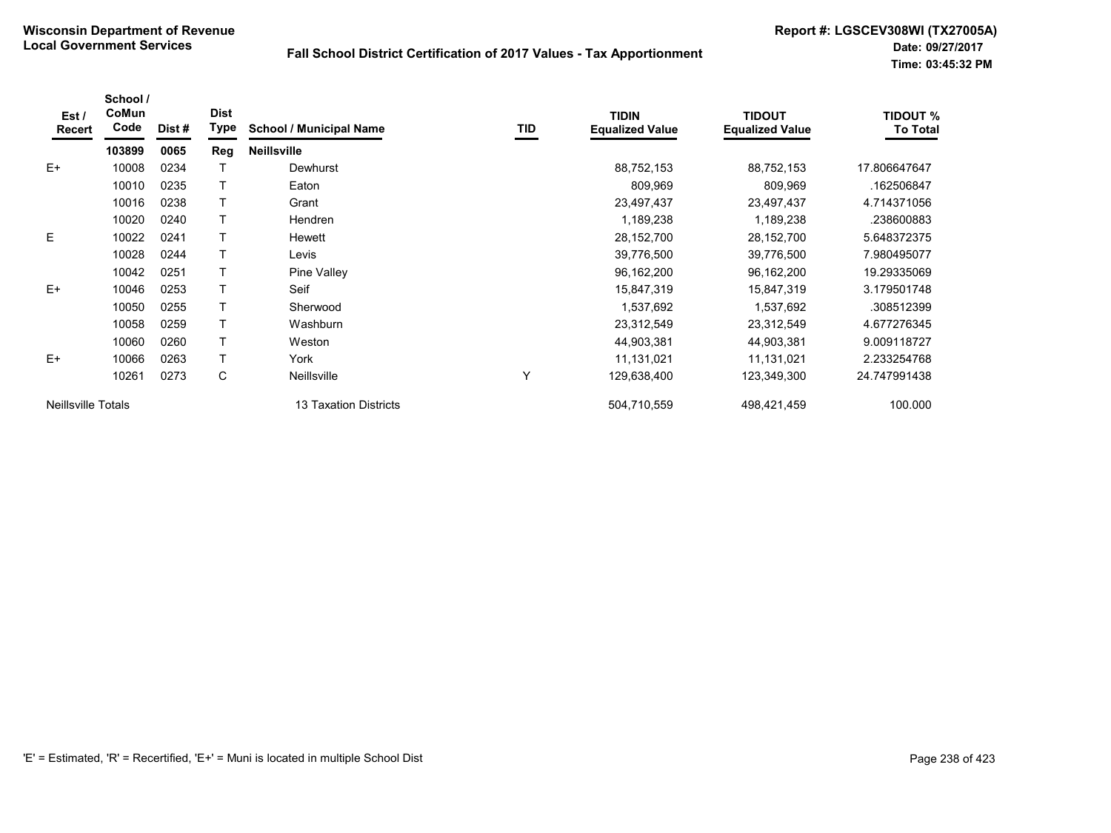| Est /<br>Recert           | School /<br>CoMun<br>Code | Dist# | <b>Dist</b><br><b>Type</b> | <b>School / Municipal Name</b> | TID | <b>TIDIN</b><br><b>Equalized Value</b> | <b>TIDOUT</b><br><b>Equalized Value</b> | <b>TIDOUT %</b><br><b>To Total</b> |
|---------------------------|---------------------------|-------|----------------------------|--------------------------------|-----|----------------------------------------|-----------------------------------------|------------------------------------|
|                           | 103899                    | 0065  | Reg                        | <b>Neillsville</b>             |     |                                        |                                         |                                    |
| $E+$                      | 10008                     | 0234  |                            | Dewhurst                       |     | 88,752,153                             | 88,752,153                              | 17.806647647                       |
|                           | 10010                     | 0235  |                            | Eaton                          |     | 809,969                                | 809,969                                 | .162506847                         |
|                           | 10016                     | 0238  |                            | Grant                          |     | 23,497,437                             | 23,497,437                              | 4.714371056                        |
|                           | 10020                     | 0240  |                            | <b>Hendren</b>                 |     | 1,189,238                              | 1,189,238                               | .238600883                         |
| E                         | 10022                     | 0241  |                            | Hewett                         |     | 28,152,700                             | 28,152,700                              | 5.648372375                        |
|                           | 10028                     | 0244  |                            | Levis                          |     | 39,776,500                             | 39,776,500                              | 7.980495077                        |
|                           | 10042                     | 0251  |                            | Pine Valley                    |     | 96,162,200                             | 96,162,200                              | 19.29335069                        |
| $E+$                      | 10046                     | 0253  |                            | Seif                           |     | 15,847,319                             | 15,847,319                              | 3.179501748                        |
|                           | 10050                     | 0255  |                            | Sherwood                       |     | 1,537,692                              | 1,537,692                               | .308512399                         |
|                           | 10058                     | 0259  |                            | Washburn                       |     | 23,312,549                             | 23,312,549                              | 4.677276345                        |
|                           | 10060                     | 0260  |                            | Weston                         |     | 44,903,381                             | 44,903,381                              | 9.009118727                        |
| $E+$                      | 10066                     | 0263  |                            | York                           |     | 11,131,021                             | 11,131,021                              | 2.233254768                        |
|                           | 10261                     | 0273  | C                          | <b>Neillsville</b>             | Υ   | 129,638,400                            | 123,349,300                             | 24.747991438                       |
| <b>Neillsville Totals</b> |                           |       |                            | <b>13 Taxation Districts</b>   |     | 504,710,559                            | 498,421,459                             | 100.000                            |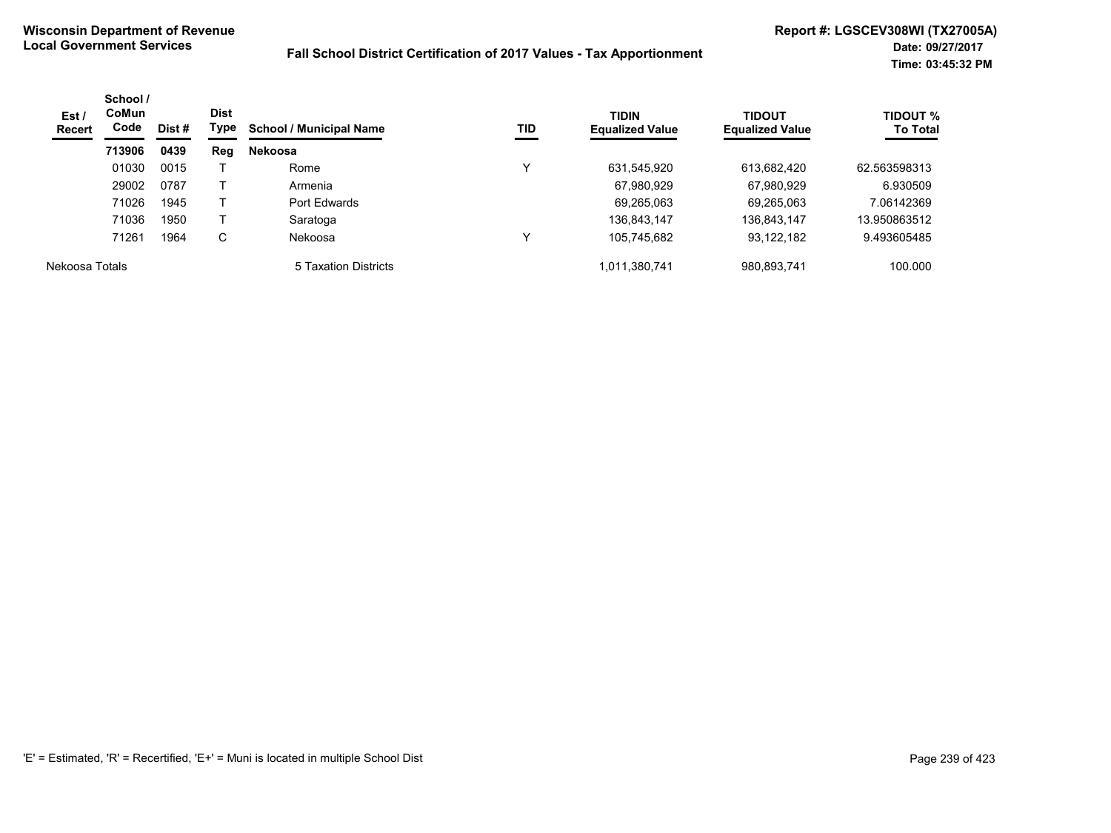| Est /<br><b>Recert</b> | School /<br><b>CoMun</b><br>Code | Dist # | <b>Dist</b><br>Type | <b>School / Municipal Name</b> | TID | <b>TIDIN</b><br><b>Equalized Value</b> | <b>TIDOUT</b><br><b>Equalized Value</b> | <b>TIDOUT %</b><br><b>To Total</b> |
|------------------------|----------------------------------|--------|---------------------|--------------------------------|-----|----------------------------------------|-----------------------------------------|------------------------------------|
|                        | 713906                           | 0439   | Reg                 | <b>Nekoosa</b>                 |     |                                        |                                         |                                    |
|                        | 01030                            | 0015   |                     | Rome                           | v   | 631,545,920                            | 613,682,420                             | 62.563598313                       |
|                        | 29002                            | 0787   |                     | Armenia                        |     | 67,980,929                             | 67,980,929                              | 6.930509                           |
|                        | 71026                            | 1945   |                     | Port Edwards                   |     | 69,265,063                             | 69,265,063                              | 7.06142369                         |
|                        | 71036                            | 1950   |                     | Saratoga                       |     | 136,843,147                            | 136,843,147                             | 13.950863512                       |
|                        | 71261                            | 1964   | C                   | Nekoosa                        | v   | 105,745,682                            | 93,122,182                              | 9.493605485                        |
| Nekoosa Totals         |                                  |        |                     | 5 Taxation Districts           |     | 1,011,380,741                          | 980,893,741                             | 100.000                            |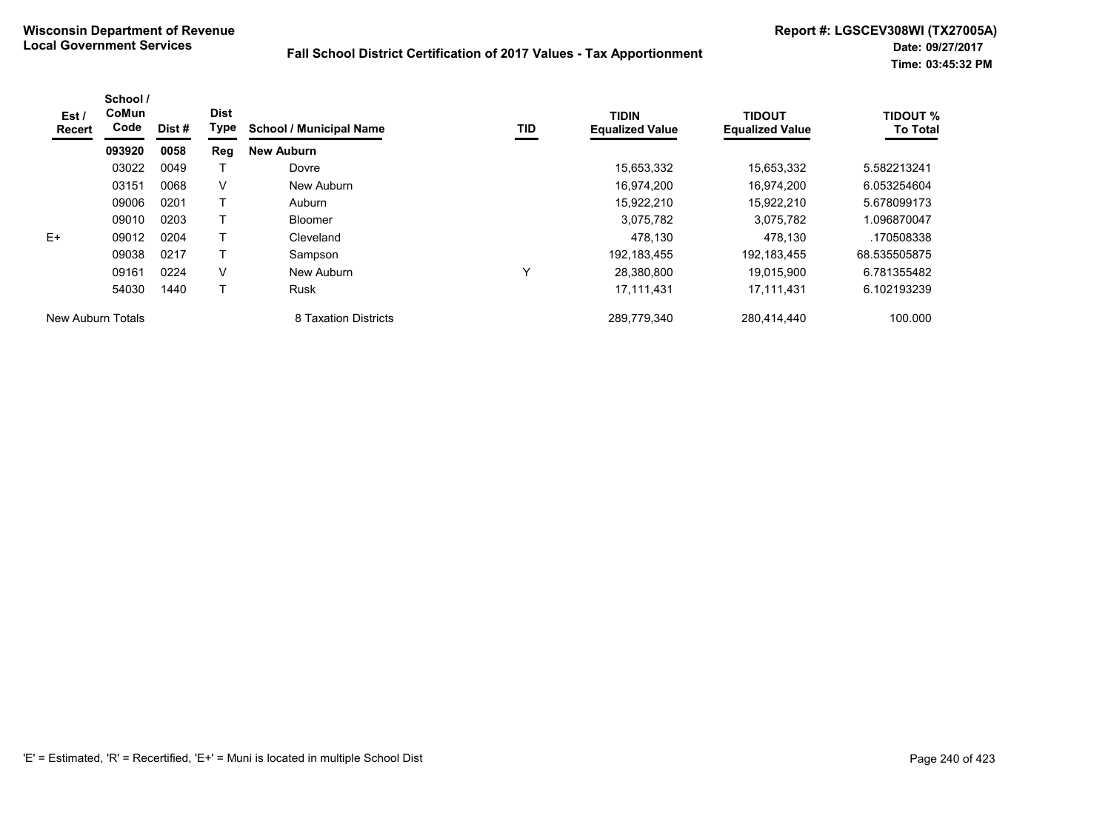| Est /<br>Recert   | School /<br>CoMun<br>Code | Dist # | <b>Dist</b><br>Type | <b>School / Municipal Name</b> | TID          | <b>TIDIN</b><br><b>Equalized Value</b> | <b>TIDOUT</b><br><b>Equalized Value</b> | <b>TIDOUT %</b><br><b>To Total</b> |
|-------------------|---------------------------|--------|---------------------|--------------------------------|--------------|----------------------------------------|-----------------------------------------|------------------------------------|
|                   | 093920                    | 0058   | Reg                 | <b>New Auburn</b>              |              |                                        |                                         |                                    |
|                   | 03022                     | 0049   |                     | Dovre                          |              | 15,653,332                             | 15,653,332                              | 5.582213241                        |
|                   | 03151                     | 0068   | V                   | New Auburn                     |              | 16,974,200                             | 16.974.200                              | 6.053254604                        |
|                   | 09006                     | 0201   |                     | Auburn                         |              | 15,922,210                             | 15,922,210                              | 5.678099173                        |
|                   | 09010                     | 0203   |                     | <b>Bloomer</b>                 |              | 3,075,782                              | 3.075.782                               | 1.096870047                        |
| $E+$              | 09012                     | 0204   |                     | Cleveland                      |              | 478,130                                | 478,130                                 | .170508338                         |
|                   | 09038                     | 0217   | т                   | Sampson                        |              | 192, 183, 455                          | 192, 183, 455                           | 68.535505875                       |
|                   | 09161                     | 0224   | V                   | New Auburn                     | $\checkmark$ | 28,380,800                             | 19.015.900                              | 6.781355482                        |
|                   | 54030                     | 1440   |                     | Rusk                           |              | 17,111,431                             | 17,111,431                              | 6.102193239                        |
| New Auburn Totals |                           |        |                     | 8 Taxation Districts           |              | 289,779,340                            | 280,414,440                             | 100.000                            |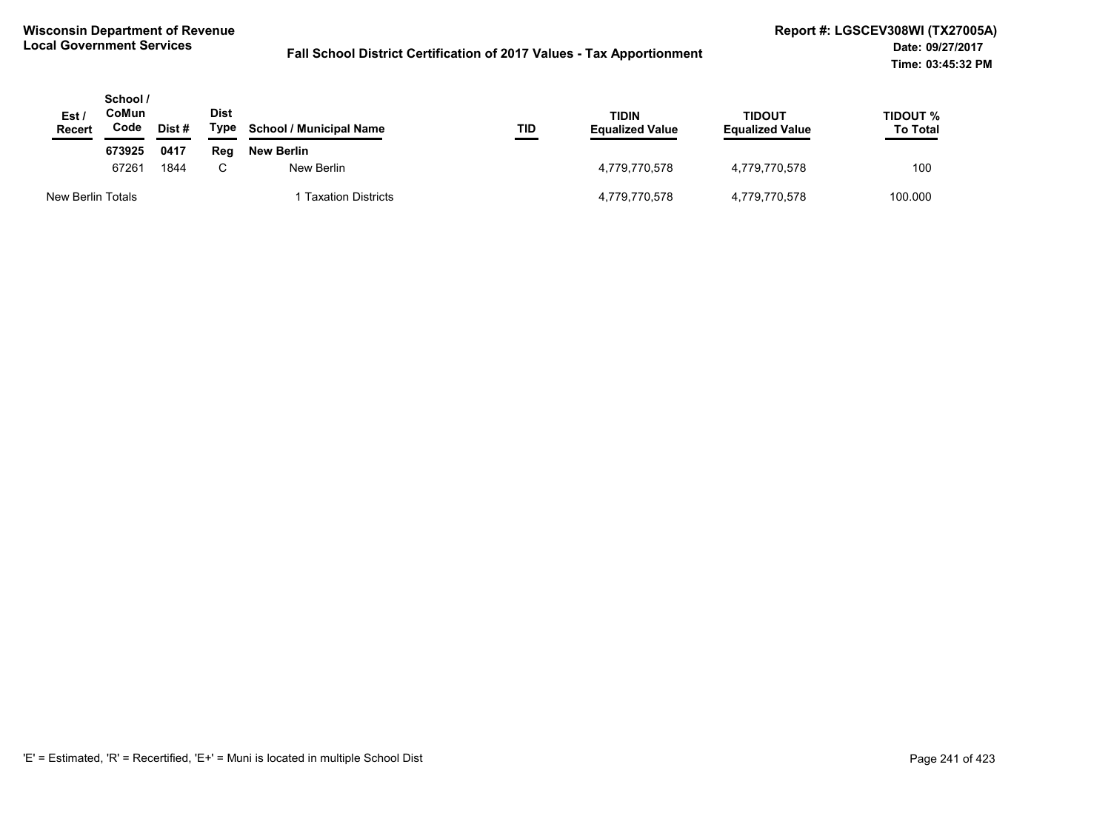| Est /<br>Recert   | School /<br>CoMun<br>Code | Dist # | Dist<br>Type | <b>School / Municipal Name</b> | TID | TIDIN<br><b>Equalized Value</b> | TIDOUT<br><b>Equalized Value</b> | TIDOUT %<br><b>To Total</b> |
|-------------------|---------------------------|--------|--------------|--------------------------------|-----|---------------------------------|----------------------------------|-----------------------------|
|                   | 673925                    | 0417   | Rea          | New Berlin                     |     |                                 |                                  |                             |
|                   | 67261<br>1844             |        | C            | New Berlin                     |     | 4,779,770,578                   | 4,779,770,578                    | 100                         |
| New Berlin Totals |                           |        |              | 1 Taxation Districts           |     | 4,779,770,578                   | 4,779,770,578                    | 100.000                     |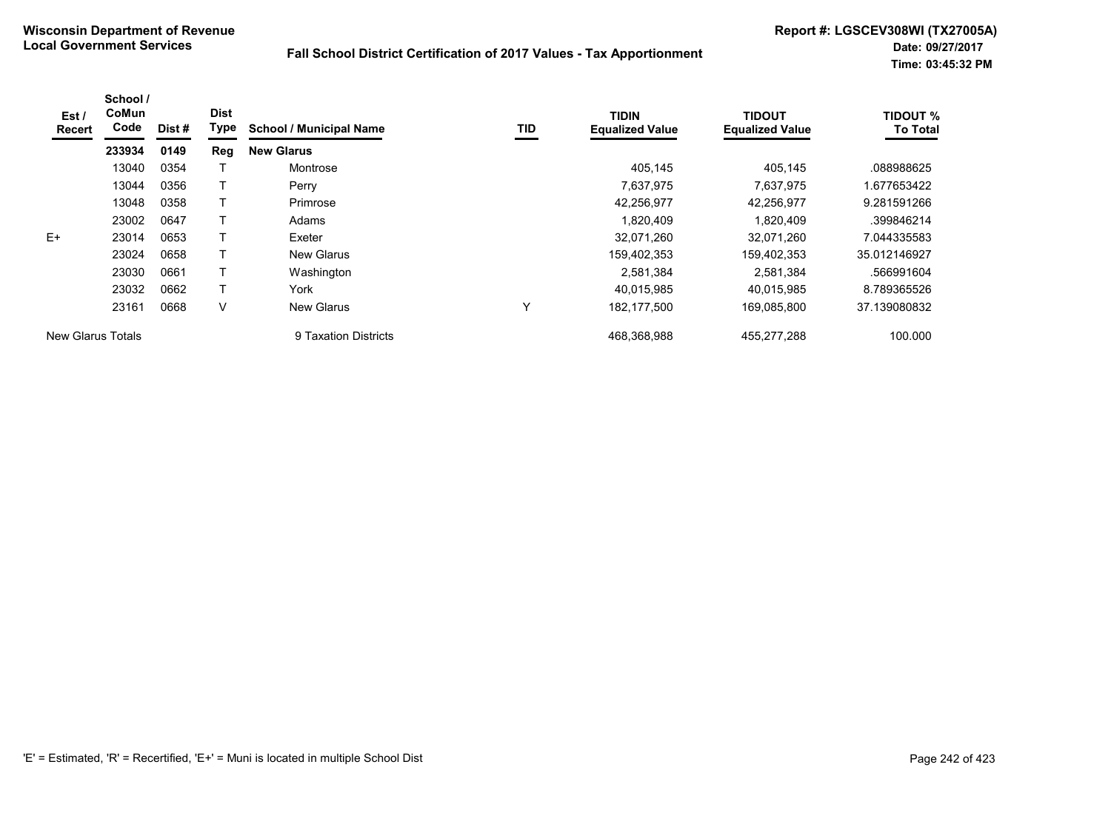| Est /<br><b>Recert</b> | School /<br>CoMun<br>Code | Dist# | <b>Dist</b><br><b>Type</b> | <b>School / Municipal Name</b> | TID | <b>TIDIN</b><br><b>Equalized Value</b> | <b>TIDOUT</b><br><b>Equalized Value</b> | <b>TIDOUT %</b><br><b>To Total</b> |
|------------------------|---------------------------|-------|----------------------------|--------------------------------|-----|----------------------------------------|-----------------------------------------|------------------------------------|
|                        | 233934                    | 0149  | Reg                        | <b>New Glarus</b>              |     |                                        |                                         |                                    |
|                        | 13040                     | 0354  |                            | Montrose                       |     | 405.145                                | 405.145                                 | .088988625                         |
|                        | 13044                     | 0356  |                            | Perry                          |     | 7,637,975                              | 7.637.975                               | .677653422                         |
|                        | 13048                     | 0358  |                            | Primrose                       |     | 42,256,977                             | 42.256.977                              | 9.281591266                        |
|                        | 23002                     | 0647  |                            | Adams                          |     | 1,820,409                              | 1.820.409                               | .399846214                         |
| $E+$                   | 23014                     | 0653  |                            | Exeter                         |     | 32,071,260                             | 32,071,260                              | 7.044335583                        |
|                        | 23024                     | 0658  |                            | <b>New Glarus</b>              |     | 159,402,353                            | 159,402,353                             | 35.012146927                       |
|                        | 23030                     | 0661  |                            | Washington                     |     | 2,581,384                              | 2,581,384                               | .566991604                         |
|                        | 23032                     | 0662  |                            | York                           |     | 40,015,985                             | 40.015.985                              | 8.789365526                        |
|                        | 23161                     | 0668  | V                          | New Glarus                     | ν   | 182, 177, 500                          | 169,085,800                             | 37.139080832                       |
| New Glarus Totals      |                           |       |                            | 9 Taxation Districts           |     | 468.368.988                            | 455.277.288                             | 100.000                            |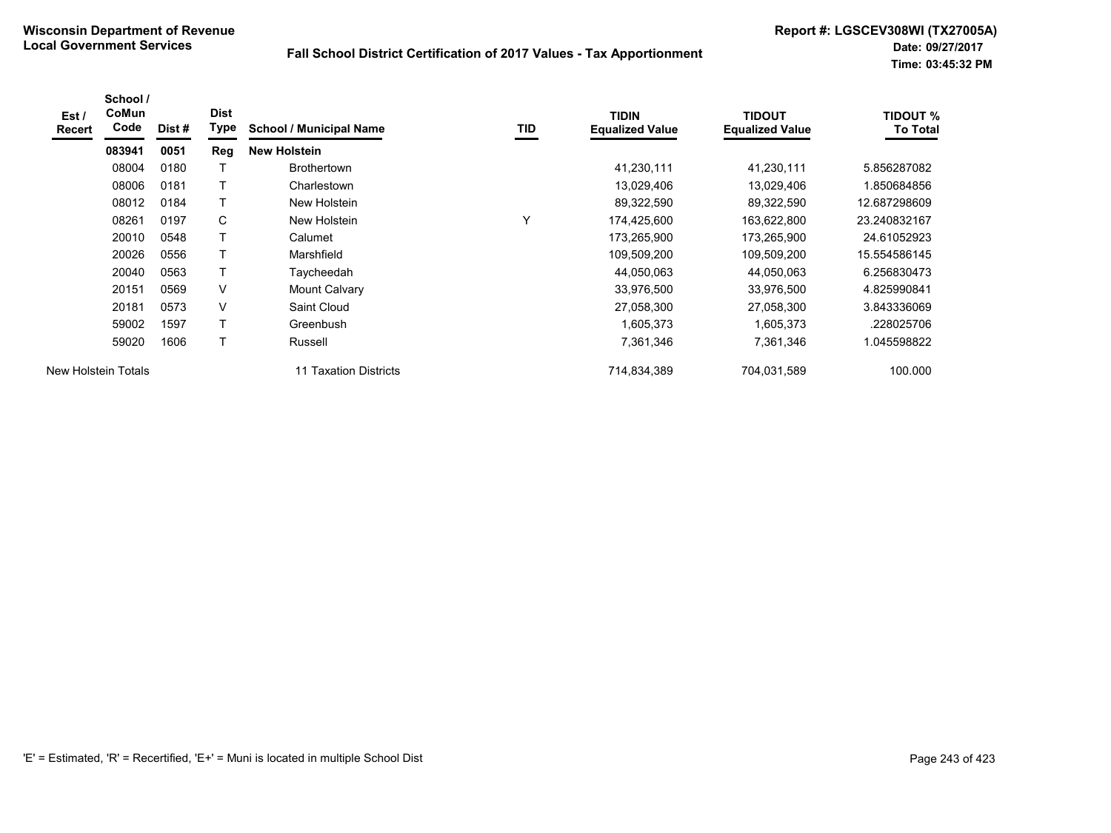| Est/<br><b>Recert</b> | School /<br>CoMun<br>Code | Dist# | <b>Dist</b><br>Type | <b>School / Municipal Name</b>  | TID          | <b>TIDIN</b><br><b>Equalized Value</b> | <b>TIDOUT</b><br><b>Equalized Value</b> | <b>TIDOUT %</b><br><b>To Total</b> |
|-----------------------|---------------------------|-------|---------------------|---------------------------------|--------------|----------------------------------------|-----------------------------------------|------------------------------------|
|                       | 083941                    | 0051  | Reg                 | <b>New Holstein</b>             |              |                                        |                                         |                                    |
|                       | 08004                     | 0180  |                     | <b>Brothertown</b>              |              | 41,230,111                             | 41,230,111                              | 5.856287082                        |
|                       | 08006                     | 0181  |                     | Charlestown                     |              | 13,029,406                             | 13,029,406                              | 1.850684856                        |
|                       | 08012                     | 0184  |                     | New Holstein                    |              | 89,322,590                             | 89,322,590                              | 12.687298609                       |
|                       | 08261                     | 0197  | C                   | New Holstein                    | $\checkmark$ | 174,425,600                            | 163,622,800                             | 23.240832167                       |
|                       | 20010                     | 0548  |                     | Calumet                         |              | 173,265,900                            | 173,265,900                             | 24.61052923                        |
|                       | 20026                     | 0556  |                     | Marshfield                      |              | 109,509,200                            | 109,509,200                             | 15.554586145                       |
|                       | 20040                     | 0563  | т                   | Tavcheedah                      |              | 44,050,063                             | 44,050,063                              | 6.256830473                        |
|                       | 20151                     | 0569  | V                   | Mount Calvary                   |              | 33,976,500                             | 33,976,500                              | 4.825990841                        |
|                       | 20181                     | 0573  | V                   | Saint Cloud                     |              | 27,058,300                             | 27,058,300                              | 3.843336069                        |
|                       | 59002                     | 1597  | т                   | Greenbush                       |              | 1,605,373                              | 1,605,373                               | .228025706                         |
|                       | 59020                     | 1606  |                     | Russell                         |              | 7,361,346                              | 7,361,346                               | 1.045598822                        |
|                       | New Holstein Totals       |       |                     | <b>Taxation Districts</b><br>11 |              | 714,834,389                            | 704,031,589                             | 100.000                            |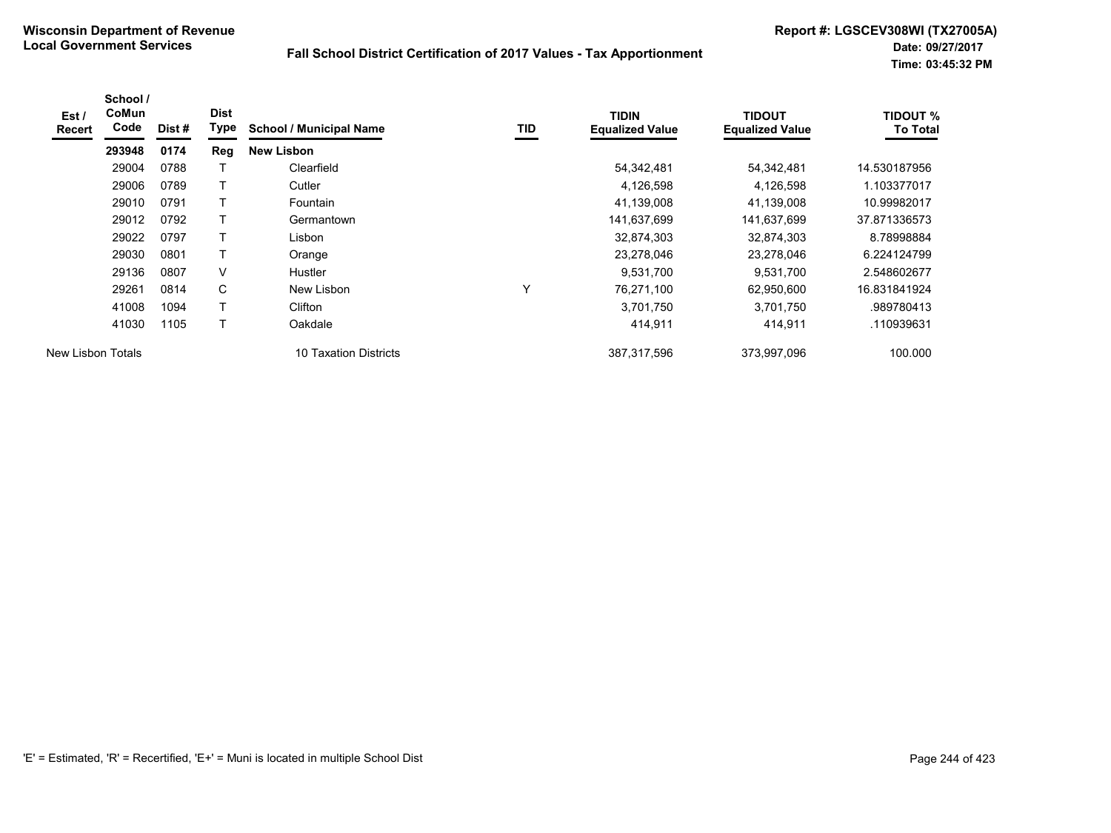| Est /<br><b>Recert</b> | School /<br><b>CoMun</b><br>Code | Dist # | <b>Dist</b><br><b>Type</b> | <b>School / Municipal Name</b> | TID | <b>TIDIN</b><br><b>Equalized Value</b> | <b>TIDOUT</b><br><b>Equalized Value</b> | <b>TIDOUT %</b><br><b>To Total</b> |
|------------------------|----------------------------------|--------|----------------------------|--------------------------------|-----|----------------------------------------|-----------------------------------------|------------------------------------|
|                        | 293948                           | 0174   | Reg                        | <b>New Lisbon</b>              |     |                                        |                                         |                                    |
|                        | 29004                            | 0788   |                            | Clearfield                     |     | 54,342,481                             | 54,342,481                              | 14.530187956                       |
|                        | 29006                            | 0789   |                            | Cutler                         |     | 4,126,598                              | 4,126,598                               | 1.103377017                        |
|                        | 29010                            | 0791   | т                          | <b>Fountain</b>                |     | 41,139,008                             | 41,139,008                              | 10.99982017                        |
|                        | 29012                            | 0792   | $\mathsf{T}$               | Germantown                     |     | 141,637,699                            | 141,637,699                             | 37.871336573                       |
|                        | 29022                            | 0797   | т                          | Lisbon                         |     | 32,874,303                             | 32,874,303                              | 8.78998884                         |
|                        | 29030                            | 0801   | T                          | Orange                         |     | 23,278,046                             | 23,278,046                              | 6.224124799                        |
|                        | 29136                            | 0807   | V                          | <b>Hustler</b>                 |     | 9,531,700                              | 9,531,700                               | 2.548602677                        |
|                        | 29261                            | 0814   | C                          | New Lisbon                     | Υ   | 76,271,100                             | 62,950,600                              | 16.831841924                       |
|                        | 41008                            | 1094   | T                          | Clifton                        |     | 3,701,750                              | 3,701,750                               | .989780413                         |
|                        | 41030                            | 1105   | Τ                          | Oakdale                        |     | 414,911                                | 414,911                                 | .110939631                         |
| New Lisbon Totals      |                                  |        |                            | 10 Taxation Districts          |     | 387,317,596                            | 373,997,096                             | 100.000                            |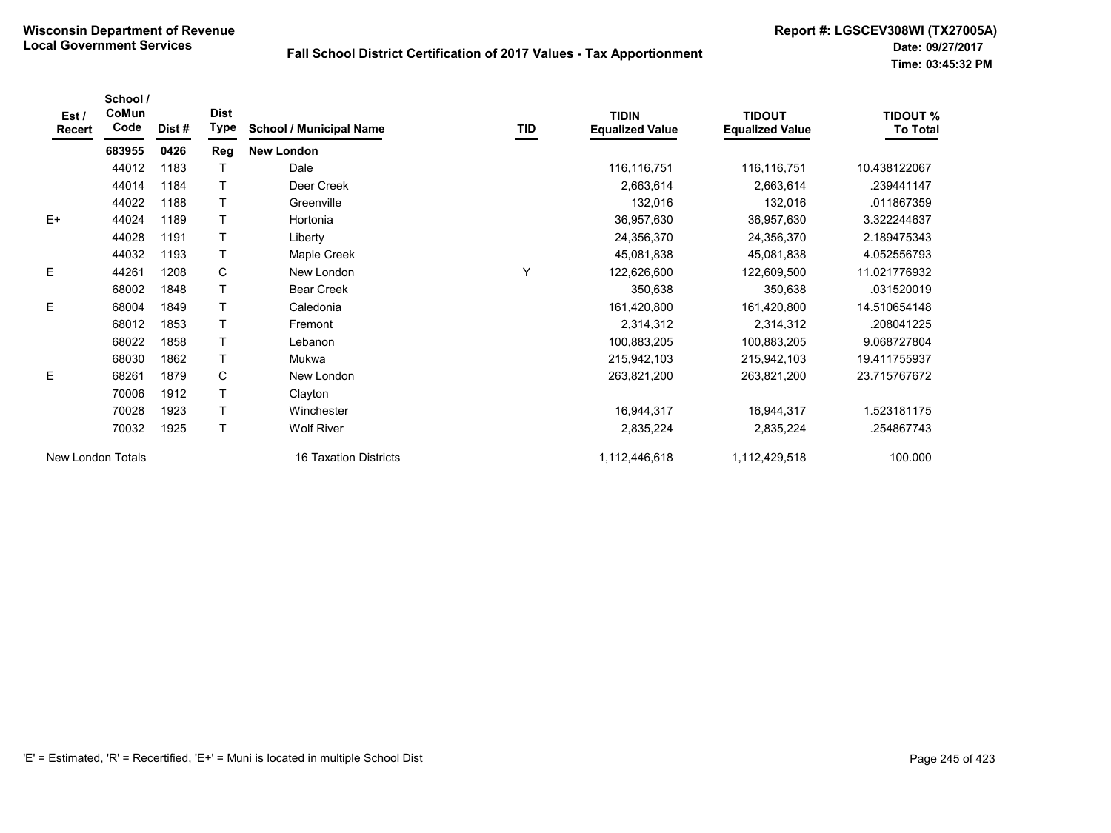| Est /<br>Recert   | School /<br>CoMun<br>Code | Dist # | <b>Dist</b><br>Type | <b>School / Municipal Name</b> | TID | <b>TIDIN</b><br><b>Equalized Value</b> | <b>TIDOUT</b><br><b>Equalized Value</b> | <b>TIDOUT %</b><br><b>To Total</b> |
|-------------------|---------------------------|--------|---------------------|--------------------------------|-----|----------------------------------------|-----------------------------------------|------------------------------------|
|                   | 683955                    | 0426   | Reg                 | <b>New London</b>              |     |                                        |                                         |                                    |
|                   | 44012                     | 1183   |                     | Dale                           |     | 116,116,751                            | 116,116,751                             | 10.438122067                       |
|                   | 44014                     | 1184   |                     | Deer Creek                     |     | 2,663,614                              | 2,663,614                               | .239441147                         |
|                   | 44022                     | 1188   |                     | Greenville                     |     | 132,016                                | 132,016                                 | .011867359                         |
| $E+$              | 44024                     | 1189   |                     | Hortonia                       |     | 36,957,630                             | 36,957,630                              | 3.322244637                        |
|                   | 44028                     | 1191   |                     | Liberty                        |     | 24,356,370                             | 24,356,370                              | 2.189475343                        |
|                   | 44032                     | 1193   |                     | Maple Creek                    |     | 45,081,838                             | 45,081,838                              | 4.052556793                        |
| Ε                 | 44261                     | 1208   | C                   | New London                     | Y   | 122,626,600                            | 122,609,500                             | 11.021776932                       |
|                   | 68002                     | 1848   |                     | <b>Bear Creek</b>              |     | 350,638                                | 350,638                                 | .031520019                         |
| E                 | 68004                     | 1849   |                     | Caledonia                      |     | 161,420,800                            | 161,420,800                             | 14.510654148                       |
|                   | 68012                     | 1853   |                     | Fremont                        |     | 2,314,312                              | 2,314,312                               | .208041225                         |
|                   | 68022                     | 1858   |                     | Lebanon                        |     | 100,883,205                            | 100,883,205                             | 9.068727804                        |
|                   | 68030                     | 1862   | T                   | Mukwa                          |     | 215,942,103                            | 215,942,103                             | 19.411755937                       |
| E                 | 68261                     | 1879   | C                   | New London                     |     | 263,821,200                            | 263,821,200                             | 23.715767672                       |
|                   | 70006                     | 1912   |                     | Clayton                        |     |                                        |                                         |                                    |
|                   | 70028                     | 1923   |                     | Winchester                     |     | 16,944,317                             | 16,944,317                              | 1.523181175                        |
|                   | 70032                     | 1925   | T                   | <b>Wolf River</b>              |     | 2,835,224                              | 2,835,224                               | .254867743                         |
| New London Totals |                           |        |                     | <b>16 Taxation Districts</b>   |     | 1,112,446,618                          | 1,112,429,518                           | 100.000                            |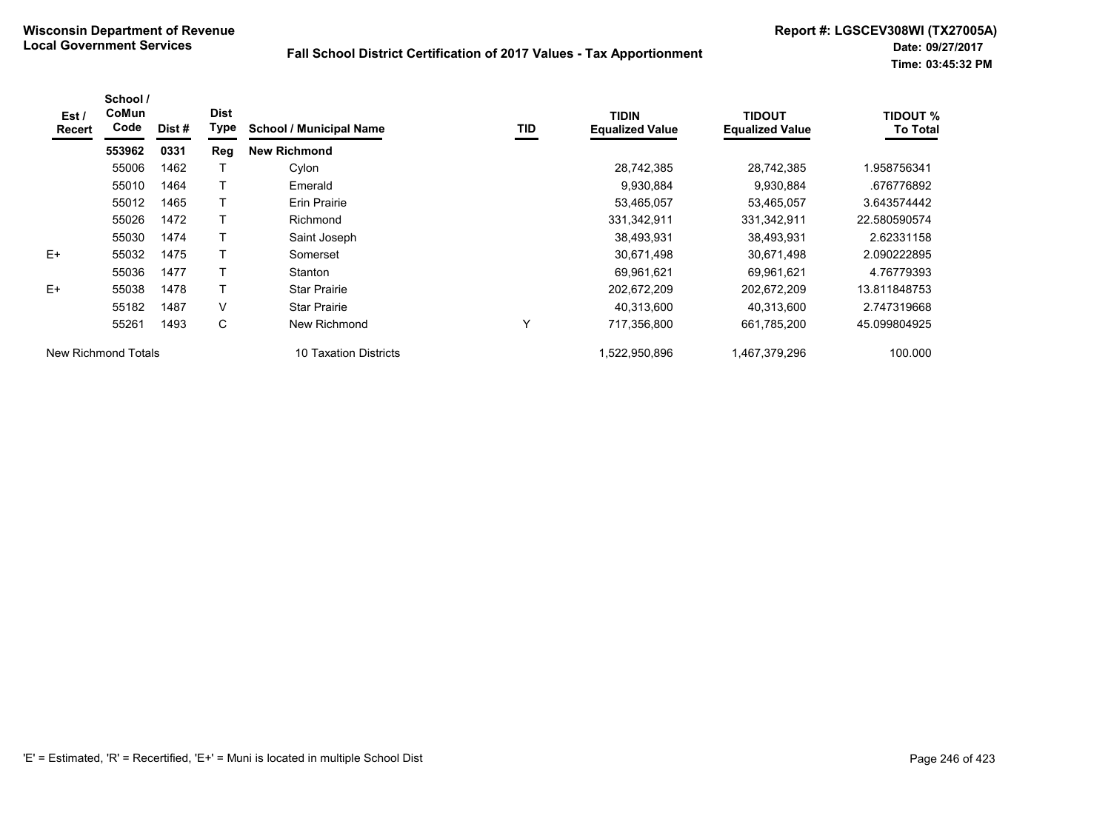| Est /<br><b>Recert</b> | School /<br>CoMun<br>Code | Dist # | <b>Dist</b><br><b>Type</b> | <b>School / Municipal Name</b> | TID | <b>TIDIN</b><br><b>Equalized Value</b> | <b>TIDOUT</b><br><b>Equalized Value</b> | <b>TIDOUT %</b><br><b>To Total</b> |
|------------------------|---------------------------|--------|----------------------------|--------------------------------|-----|----------------------------------------|-----------------------------------------|------------------------------------|
|                        | 553962                    | 0331   | Reg                        | <b>New Richmond</b>            |     |                                        |                                         |                                    |
|                        | 55006                     | 1462   |                            | Cylon                          |     | 28,742,385                             | 28,742,385                              | 1.958756341                        |
|                        | 55010                     | 1464   |                            | Emerald                        |     | 9,930,884                              | 9,930,884                               | .676776892                         |
|                        | 55012                     | 1465   |                            | Erin Prairie                   |     | 53,465,057                             | 53,465,057                              | 3.643574442                        |
|                        | 55026                     | 1472   |                            | Richmond                       |     | 331,342,911                            | 331,342,911                             | 22.580590574                       |
|                        | 55030                     | 1474   |                            | Saint Joseph                   |     | 38,493,931                             | 38.493.931                              | 2.62331158                         |
| $E+$                   | 55032                     | 1475   |                            | Somerset                       |     | 30,671,498                             | 30,671,498                              | 2.090222895                        |
|                        | 55036                     | 1477   |                            | Stanton                        |     | 69.961.621                             | 69,961,621                              | 4.76779393                         |
| $E+$                   | 55038                     | 1478   |                            | <b>Star Prairie</b>            |     | 202,672,209                            | 202,672,209                             | 13.811848753                       |
|                        | 55182                     | 1487   | V                          | <b>Star Prairie</b>            |     | 40,313,600                             | 40,313,600                              | 2.747319668                        |
|                        | 55261                     | 1493   | C                          | New Richmond                   | Υ   | 717,356,800                            | 661,785,200                             | 45.099804925                       |
| New Richmond Totals    |                           |        |                            | 10 Taxation Districts          |     | 1.522.950.896                          | 1,467,379,296                           | 100.000                            |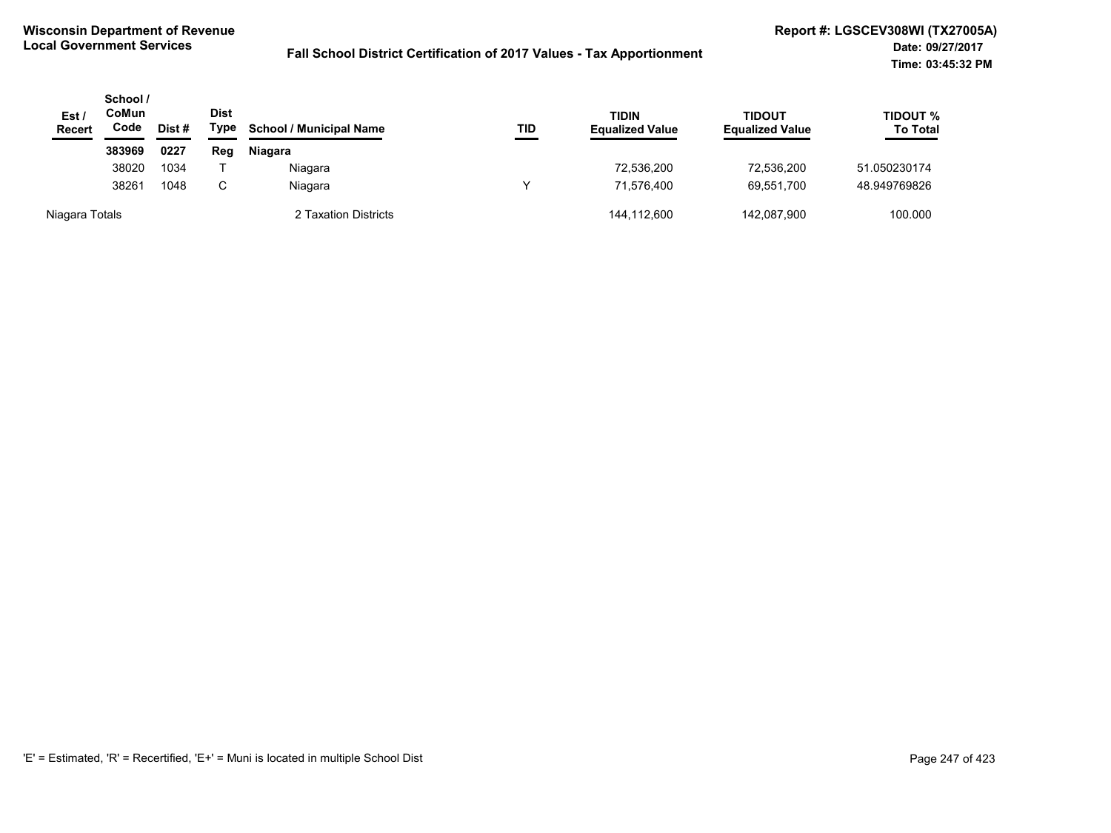| Est/<br><b>Recert</b> | School /<br>CoMun<br>Code | Dist# | <b>Dist</b><br>Type | <b>School / Municipal Name</b> | TID | <b>TIDIN</b><br><b>Equalized Value</b> | <b>TIDOUT</b><br><b>Equalized Value</b> | TIDOUT %<br><b>To Total</b> |
|-----------------------|---------------------------|-------|---------------------|--------------------------------|-----|----------------------------------------|-----------------------------------------|-----------------------------|
|                       | 383969                    | 0227  | Reg                 | Niagara                        |     |                                        |                                         |                             |
|                       | 38020                     | 1034  |                     | Niagara                        |     | 72,536,200                             | 72.536.200                              | 51.050230174                |
|                       | 38261                     | 1048  |                     | Niagara                        |     | 71,576,400                             | 69.551.700                              | 48.949769826                |
| Niagara Totals        |                           |       |                     | 2 Taxation Districts           |     | 144.112.600                            | 142,087,900                             | 100.000                     |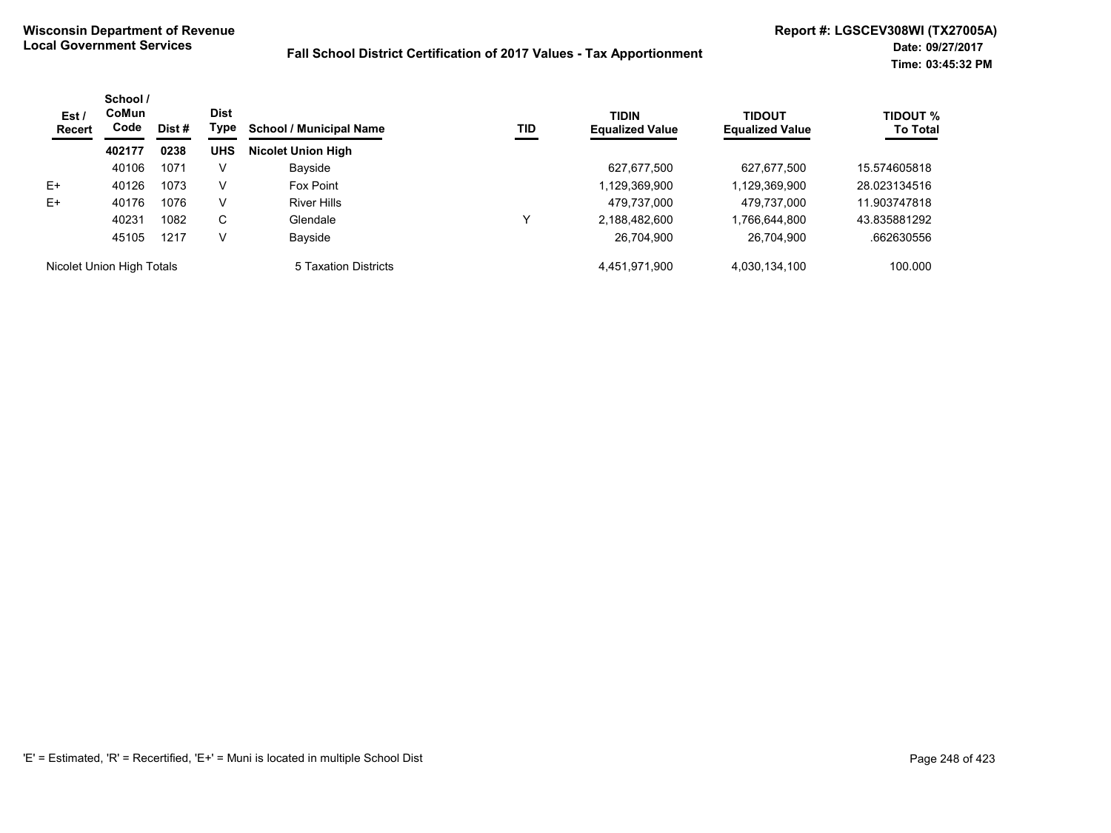| Est /<br>Recert           | School /<br><b>CoMun</b><br>Code | Dist # | <b>Dist</b><br>Type | <b>School / Municipal Name</b> | TID | <b>TIDIN</b><br><b>Equalized Value</b> | <b>TIDOUT</b><br><b>Equalized Value</b> | <b>TIDOUT %</b><br><b>To Total</b> |
|---------------------------|----------------------------------|--------|---------------------|--------------------------------|-----|----------------------------------------|-----------------------------------------|------------------------------------|
|                           | 402177                           | 0238   | <b>UHS</b>          | <b>Nicolet Union High</b>      |     |                                        |                                         |                                    |
|                           | 40106                            | 1071   | V                   | Bayside                        |     | 627.677.500                            | 627,677,500                             | 15.574605818                       |
| $E+$                      | 40126                            | 1073   | V                   | Fox Point                      |     | 1,129,369,900                          | 1,129,369,900                           | 28.023134516                       |
| $E+$                      | 40176                            | 1076   | V                   | <b>River Hills</b>             |     | 479.737.000                            | 479.737.000                             | 11.903747818                       |
|                           | 40231                            | 1082   | C.                  | Glendale                       | ν   | 2,188,482,600                          | 1,766,644,800                           | 43.835881292                       |
|                           | 45105                            | 1217   | V                   | Bayside                        |     | 26,704,900                             | 26,704,900                              | .662630556                         |
| Nicolet Union High Totals |                                  |        |                     | 5 Taxation Districts           |     | 4,451,971,900                          | 4,030,134,100                           | 100.000                            |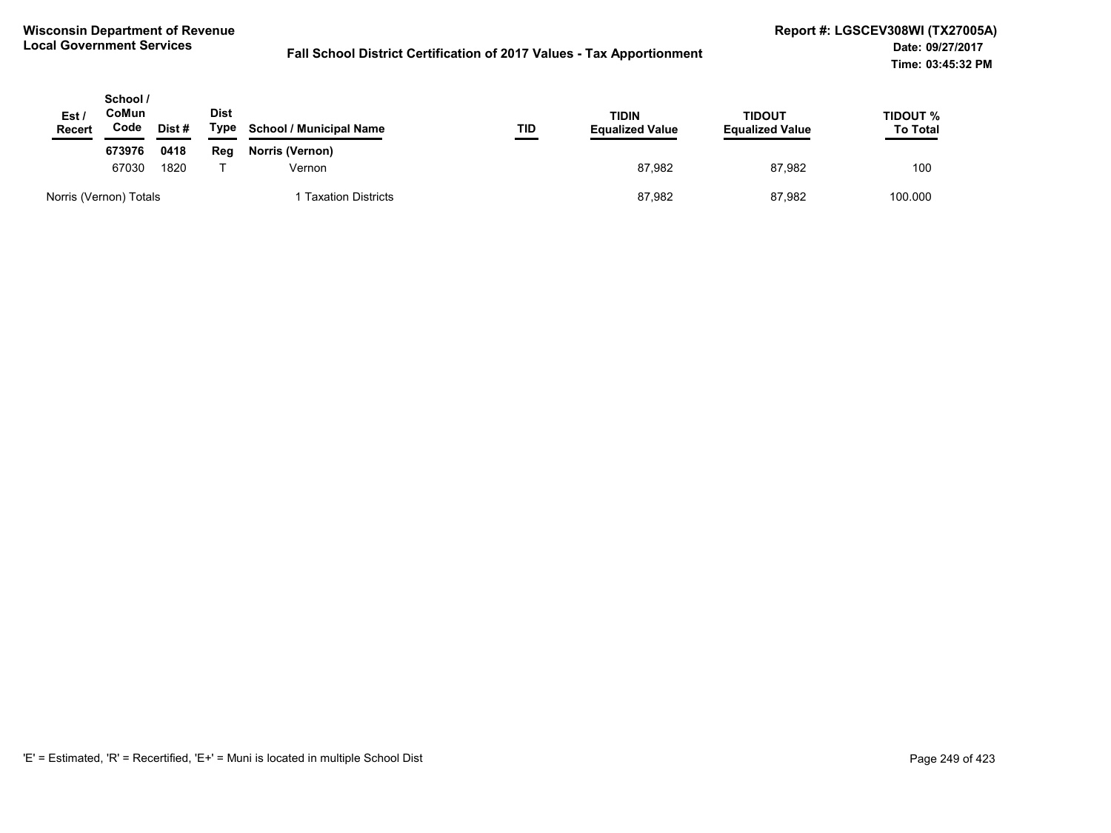| Est /<br><b>Recert</b> | School /<br>CoMun<br>Code | Dist# | Dist<br>Type | <b>School / Municipal Name</b> | TID | <b>TIDIN</b><br><b>Equalized Value</b> | TIDOUT<br><b>Equalized Value</b> | TIDOUT %<br><b>To Total</b> |
|------------------------|---------------------------|-------|--------------|--------------------------------|-----|----------------------------------------|----------------------------------|-----------------------------|
|                        | 673976                    | 0418  | Reg          | Norris (Vernon)                |     |                                        |                                  |                             |
|                        | 67030                     | 1820  |              | Vernon                         |     | 87.982                                 | 87,982                           | 100                         |
|                        | Norris (Vernon) Totals    |       |              | <b>Taxation Districts</b>      |     | 87,982                                 | 87,982                           | 100.000                     |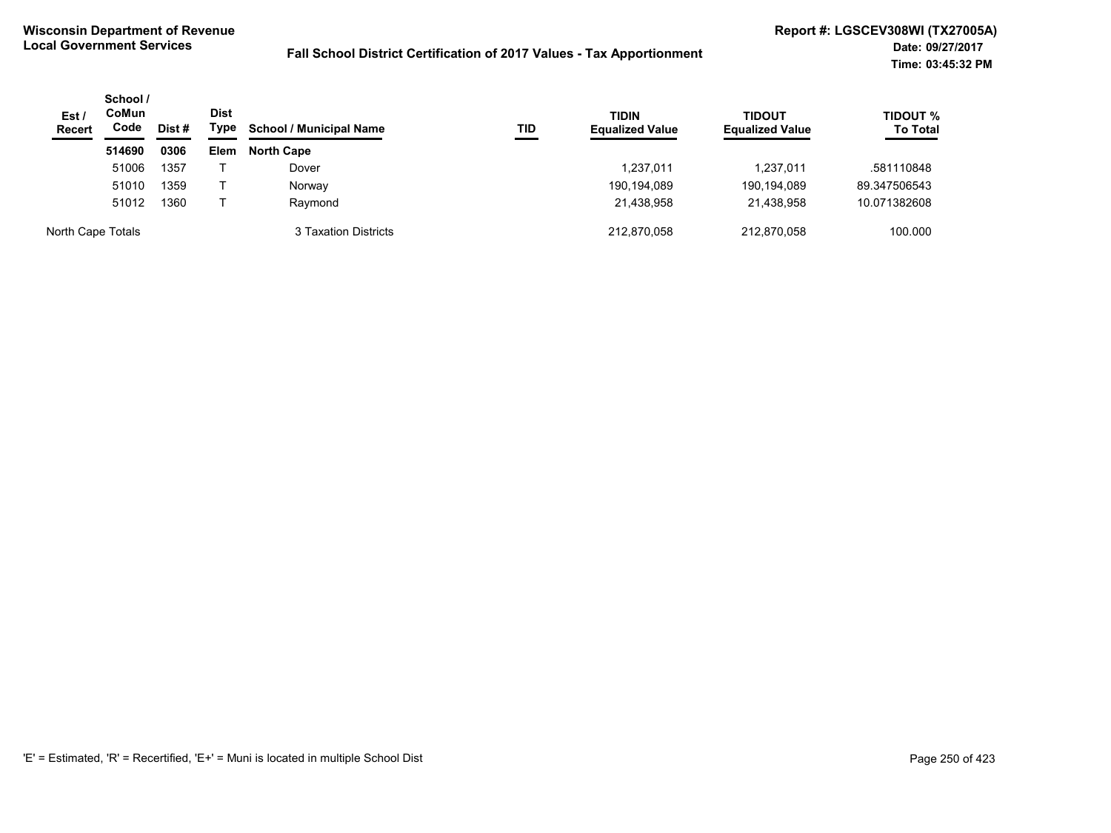| Est/<br><b>Recert</b> | School /<br><b>CoMun</b><br>Code | Dist # | Dist<br>Type | <b>School / Municipal Name</b> | TID | <b>TIDIN</b><br><b>Equalized Value</b> | <b>TIDOUT</b><br><b>Equalized Value</b> | <b>TIDOUT %</b><br><b>To Total</b> |
|-----------------------|----------------------------------|--------|--------------|--------------------------------|-----|----------------------------------------|-----------------------------------------|------------------------------------|
|                       | 514690                           | 0306   | <b>Elem</b>  | <b>North Cape</b>              |     |                                        |                                         |                                    |
|                       | 51006                            | 1357   |              | Dover                          |     | 1,237,011                              | 1,237,011                               | .581110848                         |
|                       | 51010                            | 1359   |              | Norway                         |     | 190,194,089                            | 190,194,089                             | 89.347506543                       |
|                       | 51012                            | 1360   |              | Raymond                        |     | 21,438,958                             | 21.438.958                              | 10.071382608                       |
| North Cape Totals     |                                  |        |              | 3 Taxation Districts           |     | 212.870.058                            | 212.870.058                             | 100.000                            |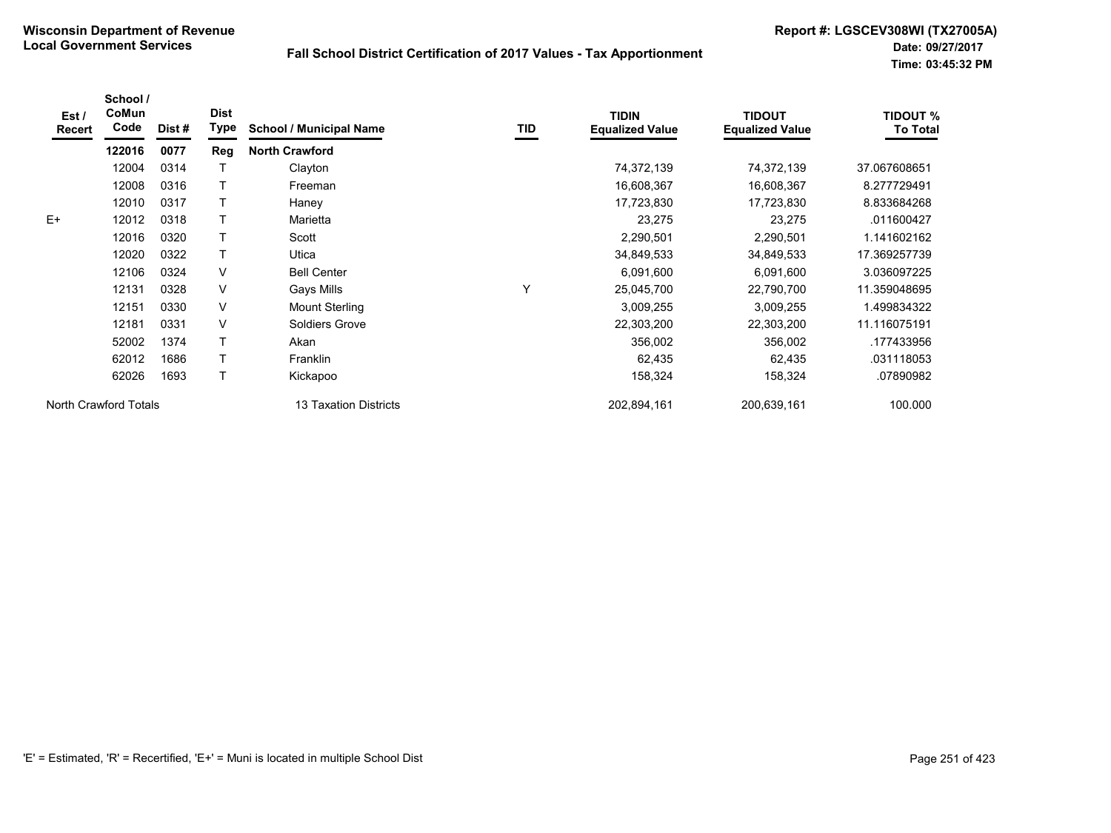| Est /<br><b>Recert</b> | School /<br>CoMun<br>Code | Dist # | <b>Dist</b><br>Type | <b>School / Municipal Name</b> | TID | <b>TIDIN</b><br><b>Equalized Value</b> | <b>TIDOUT</b><br><b>Equalized Value</b> | <b>TIDOUT %</b><br><b>To Total</b> |
|------------------------|---------------------------|--------|---------------------|--------------------------------|-----|----------------------------------------|-----------------------------------------|------------------------------------|
|                        | 122016                    | 0077   | Reg                 | <b>North Crawford</b>          |     |                                        |                                         |                                    |
|                        | 12004                     | 0314   |                     | Clayton                        |     | 74,372,139                             | 74,372,139                              | 37.067608651                       |
|                        | 12008                     | 0316   |                     | Freeman                        |     | 16,608,367                             | 16,608,367                              | 8.277729491                        |
|                        | 12010                     | 0317   |                     | Haney                          |     | 17,723,830                             | 17,723,830                              | 8.833684268                        |
| $E+$                   | 12012                     | 0318   | т                   | Marietta                       |     | 23,275                                 | 23,275                                  | .011600427                         |
|                        | 12016                     | 0320   | T                   | Scott                          |     | 2,290,501                              | 2,290,501                               | 1.141602162                        |
|                        | 12020                     | 0322   | т                   | Utica                          |     | 34,849,533                             | 34,849,533                              | 17.369257739                       |
|                        | 12106                     | 0324   | $\vee$              | <b>Bell Center</b>             |     | 6,091,600                              | 6,091,600                               | 3.036097225                        |
|                        | 12131                     | 0328   | $\vee$              | Gays Mills                     | Υ   | 25,045,700                             | 22,790,700                              | 11.359048695                       |
|                        | 12151                     | 0330   | V                   | <b>Mount Sterling</b>          |     | 3,009,255                              | 3,009,255                               | 1.499834322                        |
|                        | 12181                     | 0331   | V                   | Soldiers Grove                 |     | 22,303,200                             | 22,303,200                              | 11.116075191                       |
|                        | 52002                     | 1374   |                     | Akan                           |     | 356,002                                | 356,002                                 | .177433956                         |
|                        | 62012                     | 1686   | T                   | <b>Franklin</b>                |     | 62,435                                 | 62,435                                  | .031118053                         |
|                        | 62026                     | 1693   | T.                  | Kickapoo                       |     | 158,324                                | 158,324                                 | .07890982                          |
| North Crawford Totals  |                           |        |                     | <b>13 Taxation Districts</b>   |     | 202,894,161                            | 200,639,161                             | 100.000                            |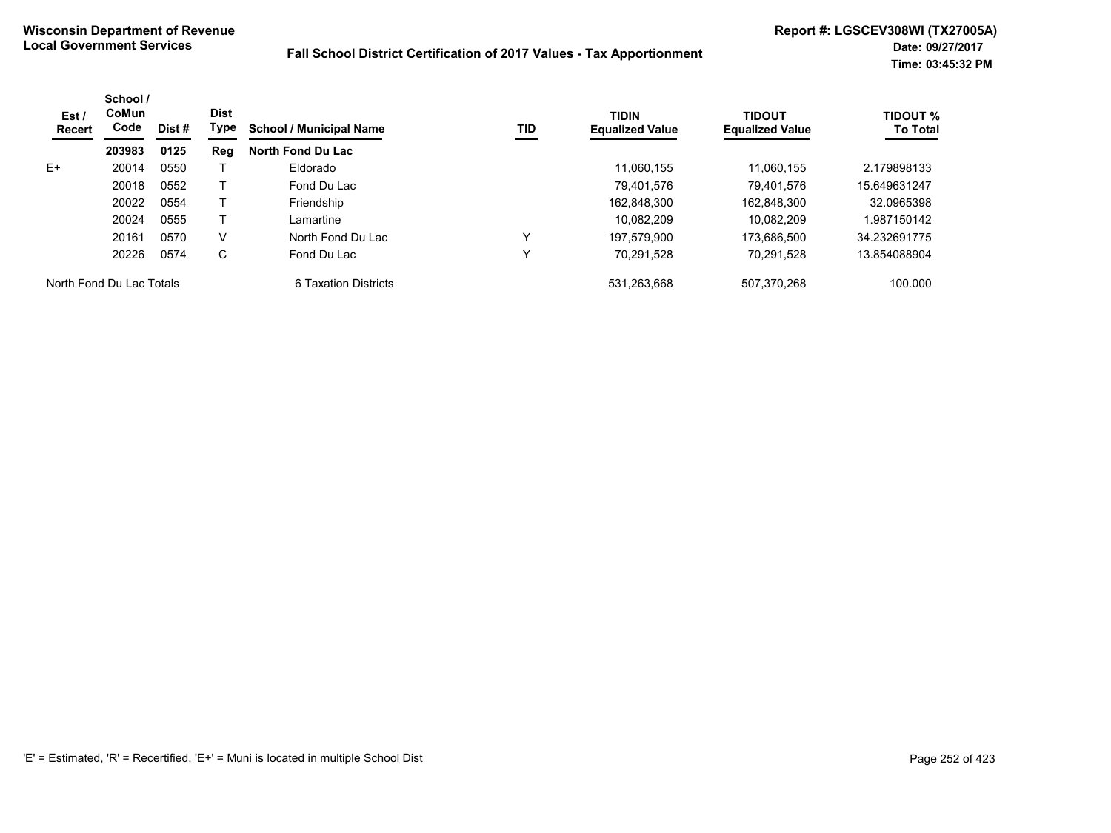| Est/<br>Recert           | School /<br>CoMun<br>Code<br>Dist #<br>0125<br>203983 | <b>Dist</b><br>Type | <b>School / Municipal Name</b><br>TID | <b>TIDIN</b><br><b>Equalized Value</b> | <b>TIDOUT</b><br><b>Equalized Value</b> | <b>TIDOUT %</b><br><b>To Total</b> |             |              |
|--------------------------|-------------------------------------------------------|---------------------|---------------------------------------|----------------------------------------|-----------------------------------------|------------------------------------|-------------|--------------|
|                          |                                                       |                     | Reg                                   | North Fond Du Lac                      |                                         |                                    |             |              |
| E+                       | 20014                                                 | 0550                |                                       | Eldorado                               |                                         | 11.060.155                         | 11.060.155  | 2.179898133  |
|                          | 20018                                                 | 0552                |                                       | Fond Du Lac                            |                                         | 79.401.576                         | 79.401.576  | 15.649631247 |
|                          | 20022                                                 | 0554                |                                       | Friendship                             |                                         | 162.848.300                        | 162,848,300 | 32.0965398   |
|                          | 20024                                                 | 0555                |                                       | Lamartine                              |                                         | 10.082.209                         | 10.082.209  | 1.987150142  |
|                          | 20161                                                 | 0570                | v                                     | North Fond Du Lac                      |                                         | 197.579.900                        | 173.686.500 | 34.232691775 |
|                          | 20226                                                 | 0574                | С                                     | Fond Du Lac                            |                                         | 70,291,528                         | 70,291,528  | 13.854088904 |
| North Fond Du Lac Totals |                                                       |                     |                                       | 6 Taxation Districts                   |                                         | 531.263.668                        | 507.370.268 | 100.000      |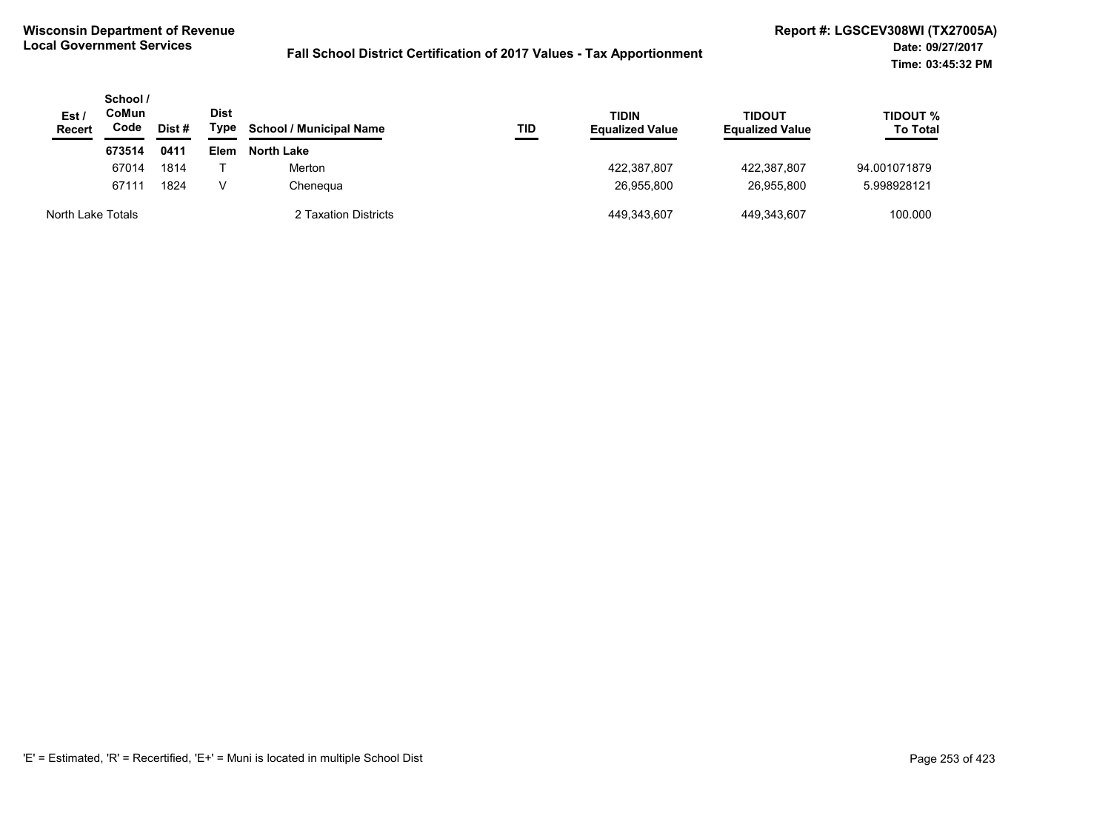| Est /<br><b>Recert</b> | School/<br>CoMun<br>Code<br>Dist # |      | Dist<br>Type | <b>School / Municipal Name</b> | TID | <b>TIDIN</b><br><b>Equalized Value</b> | <b>TIDOUT</b><br><b>Equalized Value</b> | <b>TIDOUT %</b><br><b>To Total</b> |
|------------------------|------------------------------------|------|--------------|--------------------------------|-----|----------------------------------------|-----------------------------------------|------------------------------------|
|                        | 673514                             | 0411 | <b>Elem</b>  | North Lake                     |     |                                        |                                         |                                    |
|                        | 67014                              | 1814 |              | Merton                         |     | 422,387,807                            | 422.387.807                             | 94.001071879                       |
|                        | 67111                              | 1824 | v            | Chenegua                       |     | 26.955.800                             | 26.955.800                              | 5.998928121                        |
| North Lake Totals      |                                    |      |              | 2 Taxation Districts           |     | 449,343,607                            | 449.343.607                             | 100.000                            |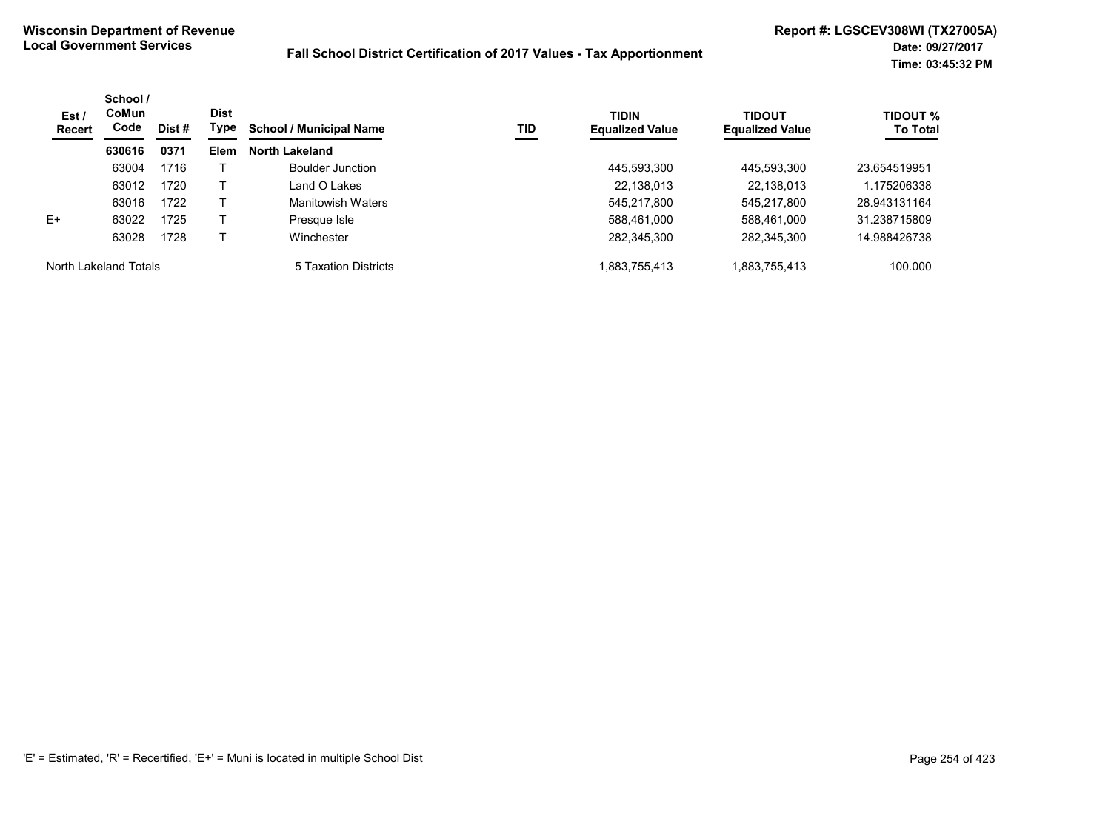| Est /<br>Recert       | School /<br>CoMun<br>Code | Dist #      | <b>Dist</b><br>Type   | <b>School / Municipal Name</b> | TID | <b>TIDIN</b><br><b>Equalized Value</b> | <b>TIDOUT</b><br><b>Equalized Value</b> | <b>TIDOUT %</b><br><b>To Total</b> |
|-----------------------|---------------------------|-------------|-----------------------|--------------------------------|-----|----------------------------------------|-----------------------------------------|------------------------------------|
|                       | 630616<br>0371            | <b>Elem</b> | <b>North Lakeland</b> |                                |     |                                        |                                         |                                    |
|                       | 63004                     | 1716        |                       | Boulder Junction               |     | 445,593,300                            | 445,593,300                             | 23.654519951                       |
|                       | 63012                     | 1720        |                       | ∟and O Lakes                   |     | 22,138,013                             | 22,138,013                              | 1.175206338                        |
|                       | 63016                     | 1722        |                       | Manitowish Waters              |     | 545,217,800                            | 545,217,800                             | 28.943131164                       |
| $E+$                  | 63022                     | 1725        |                       | Presque Isle                   |     | 588,461,000                            | 588,461,000                             | 31.238715809                       |
|                       | 63028                     | 1728        |                       | Winchester                     |     | 282,345,300                            | 282,345,300                             | 14.988426738                       |
| North Lakeland Totals |                           |             |                       | 5 Taxation Districts           |     | 883,755,413.                           | 1,883,755,413                           | 100.000                            |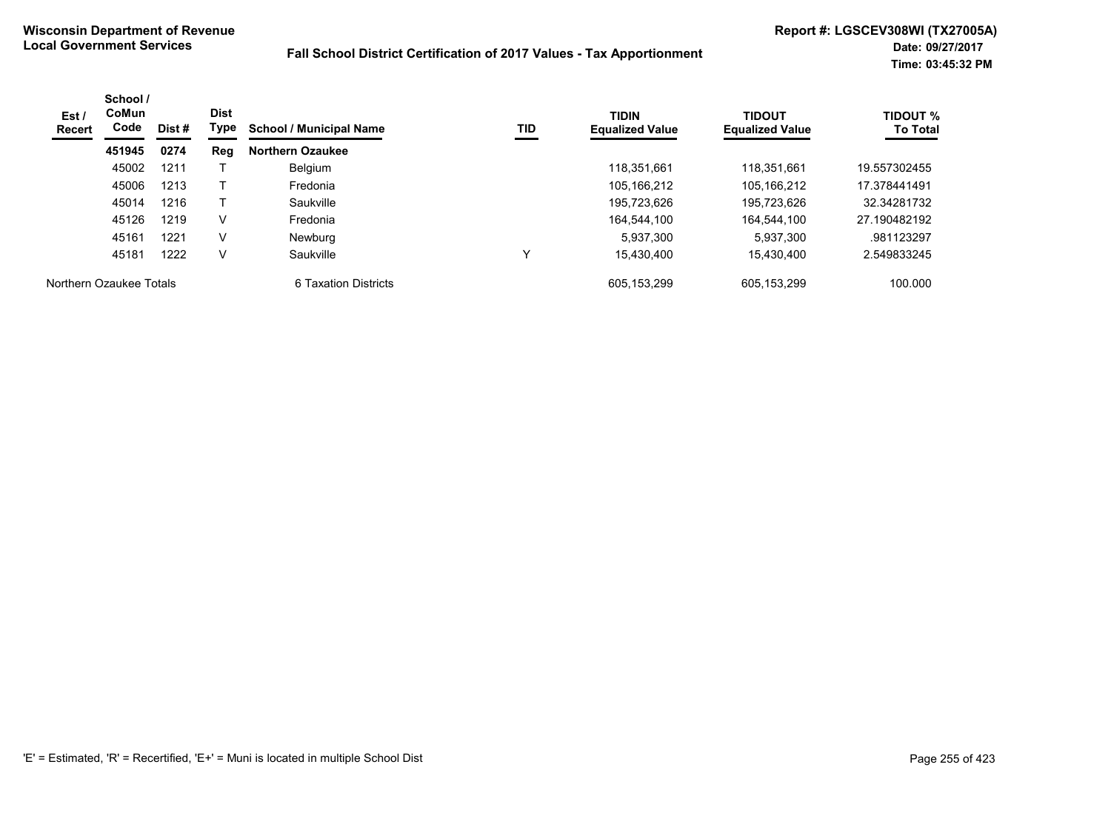| Est /<br>Recert         | School /<br>CoMun<br>Code | Dist # | <b>Dist</b><br>Type | <b>School / Municipal Name</b> | TID | <b>TIDIN</b><br><b>Equalized Value</b> | <b>TIDOUT</b><br><b>Equalized Value</b> | TIDOUT %<br><b>To Total</b> |
|-------------------------|---------------------------|--------|---------------------|--------------------------------|-----|----------------------------------------|-----------------------------------------|-----------------------------|
|                         | 451945                    | 0274   | Reg                 | <b>Northern Ozaukee</b>        |     |                                        |                                         |                             |
|                         | 45002                     | 1211   |                     | Belgium                        |     | 118.351.661                            | 118.351.661                             | 19.557302455                |
|                         | 45006                     | 1213   |                     | Fredonia                       |     | 105,166,212                            | 105,166,212                             | 17.378441491                |
|                         | 45014                     | 1216   |                     | Saukville                      |     | 195,723,626                            | 195,723,626                             | 32.34281732                 |
|                         | 45126                     | 1219   | V                   | Fredonia                       |     | 164.544.100                            | 164,544,100                             | 27.190482192                |
|                         | 45161                     | 1221   | V                   | <b>Newburg</b>                 |     | 5.937.300                              | 5,937,300                               | .981123297                  |
|                         | 45181                     | 1222   | V                   | Saukville                      | v   | 15.430.400                             | 15.430.400                              | 2.549833245                 |
| Northern Ozaukee Totals |                           |        |                     | 6 Taxation Districts           |     | 605.153.299                            | 605.153.299                             | 100.000                     |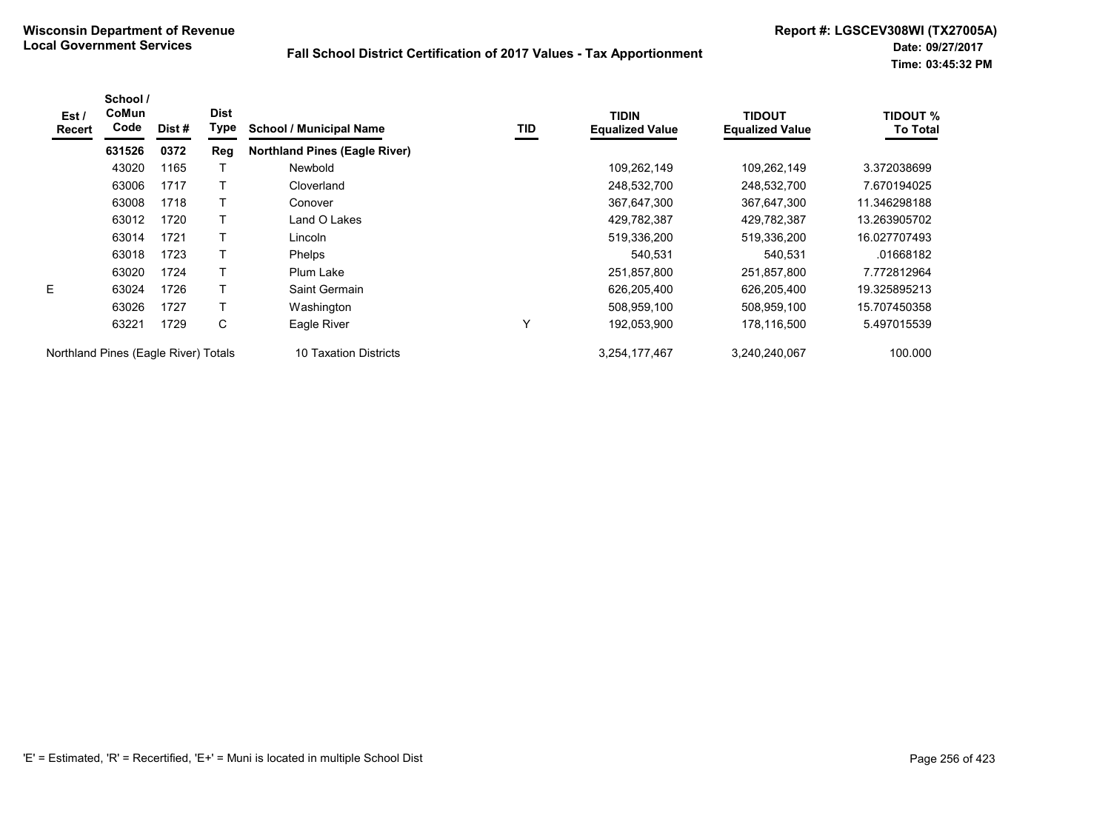| Est /<br><b>Recert</b>               | School /<br>CoMun<br>Code | Dist # | <b>Dist</b><br>Type | <b>School / Municipal Name</b>       | TID | <b>TIDIN</b><br><b>Equalized Value</b> | TIDOUT<br><b>Equalized Value</b> | <b>TIDOUT %</b><br><b>To Total</b> |
|--------------------------------------|---------------------------|--------|---------------------|--------------------------------------|-----|----------------------------------------|----------------------------------|------------------------------------|
|                                      | 631526                    | 0372   | Reg                 | <b>Northland Pines (Eagle River)</b> |     |                                        |                                  |                                    |
|                                      | 43020                     | 1165   |                     | Newbold                              |     | 109,262,149                            | 109,262,149                      | 3.372038699                        |
|                                      | 63006                     | 1717   |                     | Cloverland                           |     | 248,532,700                            | 248,532,700                      | 7.670194025                        |
|                                      | 63008                     | 1718   |                     | Conover                              |     | 367,647,300                            | 367,647,300                      | 11.346298188                       |
|                                      | 63012                     | 1720   |                     | Land O Lakes                         |     | 429,782,387                            | 429,782,387                      | 13.263905702                       |
|                                      | 63014                     | 1721   |                     | Lincoln                              |     | 519,336,200                            | 519,336,200                      | 16.027707493                       |
|                                      | 63018                     | 1723   |                     | <b>Phelps</b>                        |     | 540,531                                | 540,531                          | .01668182                          |
|                                      | 63020                     | 1724   |                     | Plum Lake                            |     | 251,857,800                            | 251,857,800                      | 7.772812964                        |
| E                                    | 63024                     | 1726   |                     | Saint Germain                        |     | 626,205,400                            | 626,205,400                      | 19.325895213                       |
|                                      | 63026                     | 1727   |                     | Washington                           |     | 508,959,100                            | 508,959,100                      | 15.707450358                       |
|                                      | 63221                     | 1729   | C                   | Eagle River                          | Υ   | 192,053,900                            | 178,116,500                      | 5.497015539                        |
| Northland Pines (Eagle River) Totals |                           |        |                     | 10 Taxation Districts                |     | 3,254,177,467                          | 3,240,240,067                    | 100.000                            |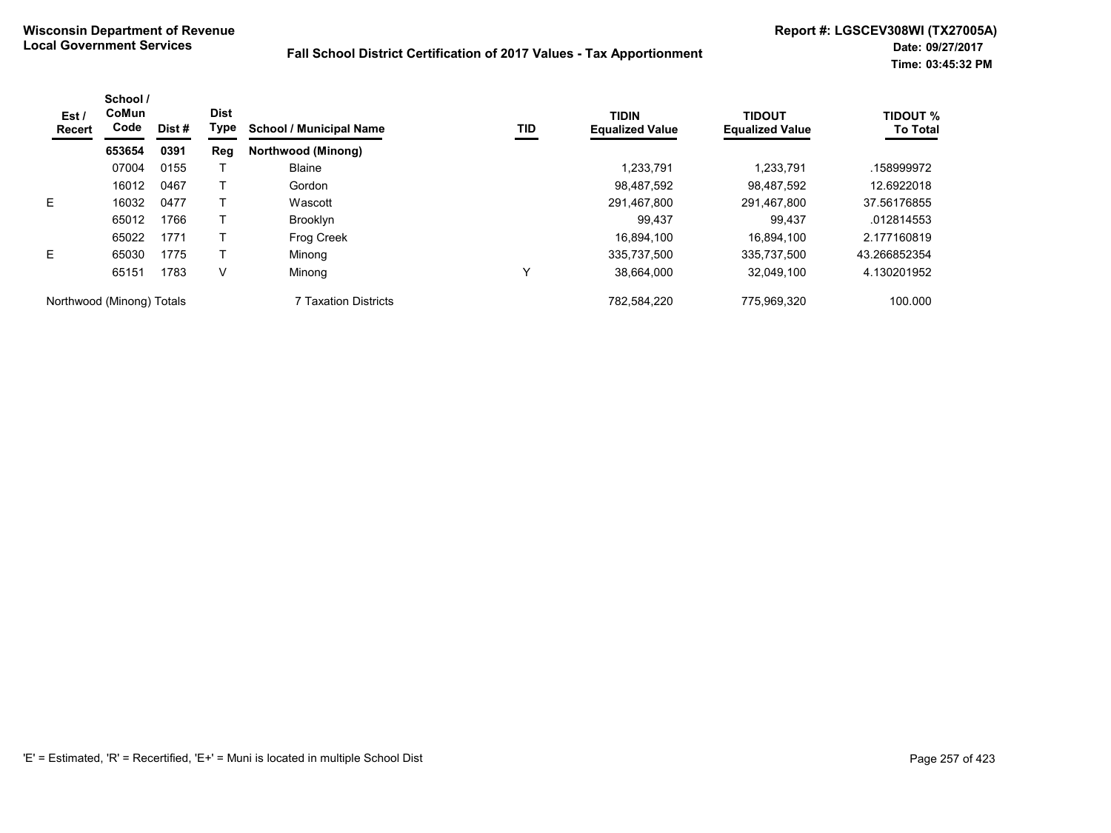| Est/<br><b>Recert</b>     | School /<br>CoMun<br>Code<br>Dist #<br>653654<br>0391 | <b>Dist</b><br>Type | <b>School / Municipal Name</b> | TID                  | <b>TIDIN</b><br><b>Equalized Value</b> | <b>TIDOUT</b><br><b>Equalized Value</b> | <b>TIDOUT %</b><br><b>To Total</b> |              |
|---------------------------|-------------------------------------------------------|---------------------|--------------------------------|----------------------|----------------------------------------|-----------------------------------------|------------------------------------|--------------|
|                           |                                                       |                     | Reg                            | Northwood (Minong)   |                                        |                                         |                                    |              |
|                           | 07004                                                 | 0155                |                                | <b>Blaine</b>        |                                        | 1,233,791                               | 1.233.791                          | .158999972   |
|                           | 16012                                                 | 0467                |                                | Gordon               |                                        | 98.487.592                              | 98.487.592                         | 12.6922018   |
| E                         | 16032                                                 | 0477                |                                | Wascott              |                                        | 291,467,800                             | 291,467,800                        | 37.56176855  |
|                           | 65012                                                 | 1766                |                                | <b>Brooklyn</b>      |                                        | 99.437                                  | 99.437                             | .012814553   |
|                           | 65022                                                 | 1771                |                                | Frog Creek           |                                        | 16,894,100                              | 16.894.100                         | 2.177160819  |
| E.                        | 65030                                                 | 1775                |                                | Minong               |                                        | 335.737.500                             | 335.737.500                        | 43.266852354 |
|                           | 65151                                                 | 1783                | V                              | Minong               | Υ                                      | 38,664,000                              | 32.049.100                         | 4.130201952  |
| Northwood (Minong) Totals |                                                       |                     |                                | 7 Taxation Districts |                                        | 782.584.220                             | 775.969.320                        | 100.000      |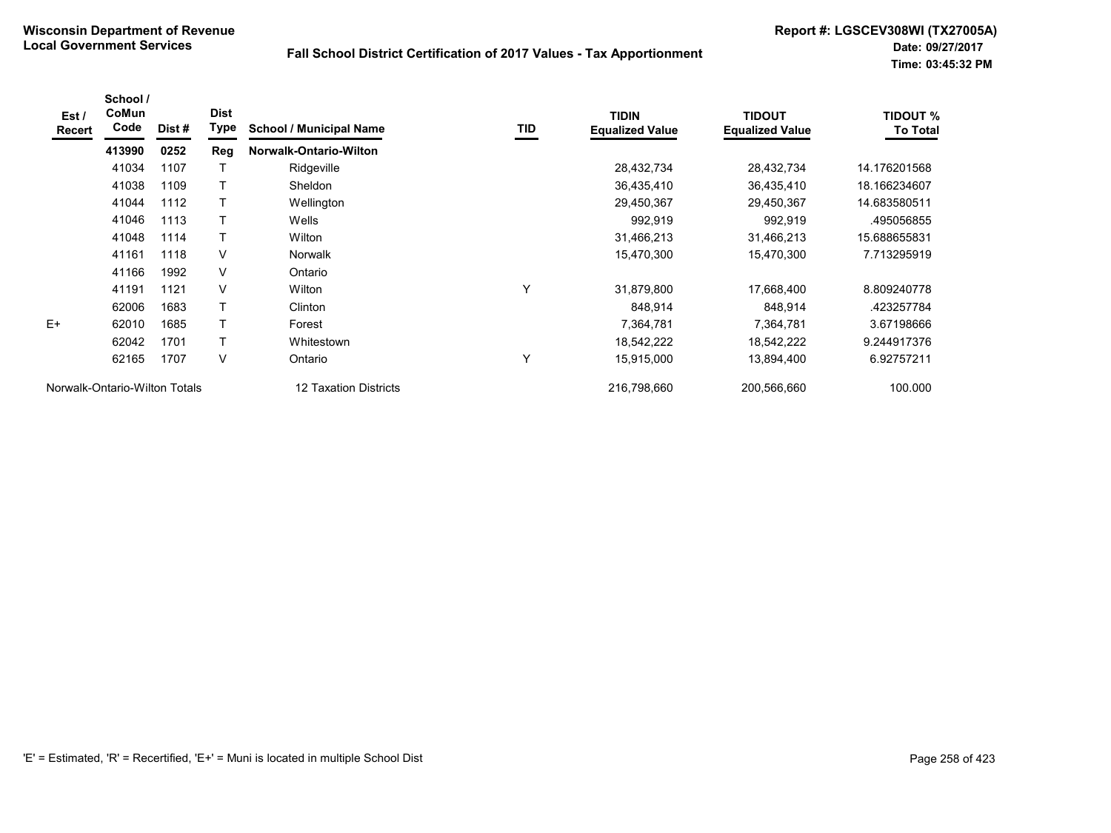| Est /<br>Recert               | School /<br><b>CoMun</b><br>Code | Dist# | <b>Dist</b><br>Type | <b>School / Municipal Name</b> | TID | <b>TIDIN</b><br><b>Equalized Value</b> | <b>TIDOUT</b><br><b>Equalized Value</b> | <b>TIDOUT %</b><br><b>To Total</b> |
|-------------------------------|----------------------------------|-------|---------------------|--------------------------------|-----|----------------------------------------|-----------------------------------------|------------------------------------|
|                               | 413990                           | 0252  | Reg                 | Norwalk-Ontario-Wilton         |     |                                        |                                         |                                    |
|                               | 41034                            | 1107  |                     | Ridgeville                     |     | 28,432,734                             | 28,432,734                              | 14.176201568                       |
|                               | 41038                            | 1109  | $\top$              | Sheldon                        |     | 36,435,410                             | 36,435,410                              | 18.166234607                       |
|                               | 41044                            | 1112  | $\top$              | Wellington                     |     | 29,450,367                             | 29,450,367                              | 14.683580511                       |
|                               | 41046                            | 1113  |                     | Wells                          |     | 992,919                                | 992,919                                 | .495056855                         |
|                               | 41048                            | 1114  | Т                   | Wilton                         |     | 31,466,213                             | 31,466,213                              | 15.688655831                       |
|                               | 41161                            | 1118  | V                   | <b>Norwalk</b>                 |     | 15,470,300                             | 15,470,300                              | 7.713295919                        |
|                               | 41166                            | 1992  | V                   | Ontario                        |     |                                        |                                         |                                    |
|                               | 41191                            | 1121  | V                   | Wilton                         | Υ   | 31,879,800                             | 17,668,400                              | 8.809240778                        |
|                               | 62006                            | 1683  | $\mathsf{T}$        | Clinton                        |     | 848,914                                | 848,914                                 | .423257784                         |
| $E+$                          | 62010                            | 1685  | $\top$              | Forest                         |     | 7,364,781                              | 7,364,781                               | 3.67198666                         |
|                               | 62042                            | 1701  | $\top$              | Whitestown                     |     | 18,542,222                             | 18,542,222                              | 9.244917376                        |
|                               | 62165                            | 1707  | V                   | Ontario                        | ٧   | 15,915,000                             | 13,894,400                              | 6.92757211                         |
| Norwalk-Ontario-Wilton Totals |                                  |       |                     | 12 Taxation Districts          |     | 216,798,660                            | 200,566,660                             | 100.000                            |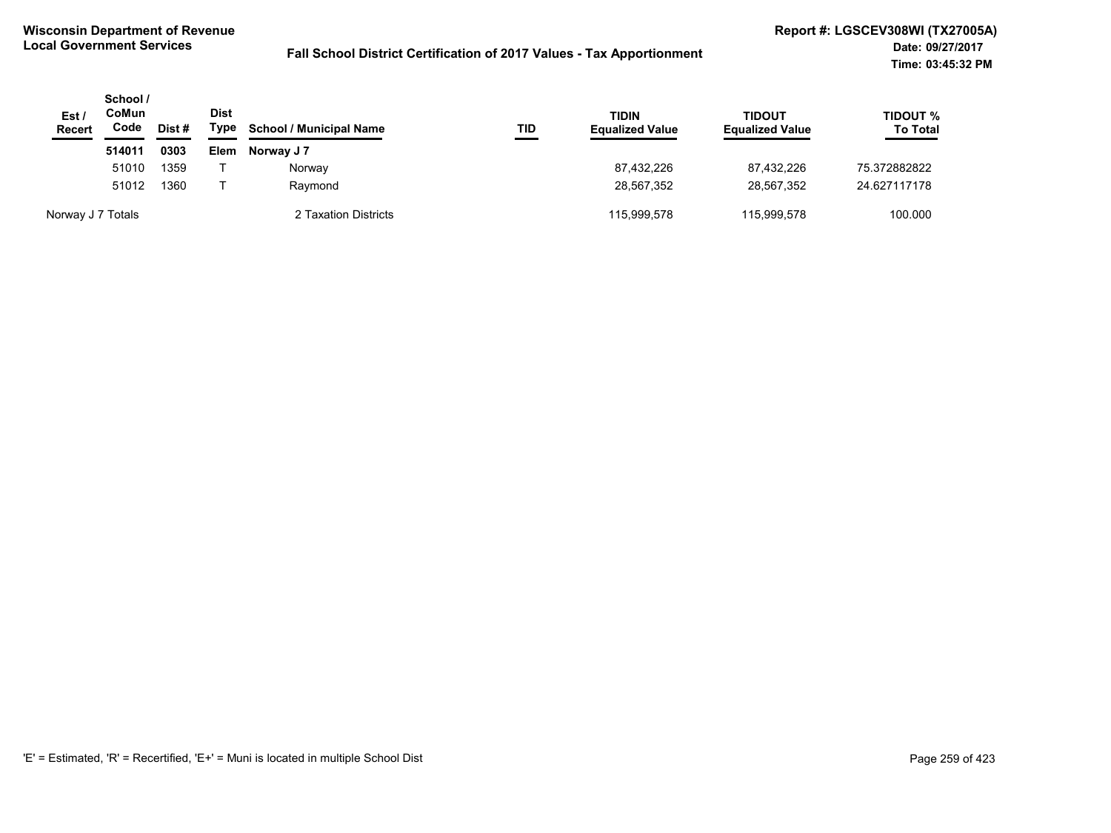| Est /<br><b>Recert</b> | School/<br>CoMun<br>Code | Dist # | Dist<br>Type | <b>School / Municipal Name</b> | TID | <b>TIDIN</b><br><b>Equalized Value</b> | <b>TIDOUT</b><br><b>Equalized Value</b> | TIDOUT %<br><b>To Total</b> |
|------------------------|--------------------------|--------|--------------|--------------------------------|-----|----------------------------------------|-----------------------------------------|-----------------------------|
|                        | 514011                   | 0303   | Elem         | Norway J 7                     |     |                                        |                                         |                             |
|                        | 51010                    | 1359   |              | Norway                         |     | 87,432,226                             | 87.432.226                              | 75.372882822                |
|                        | 51012                    | 1360   |              | Raymond                        |     | 28,567,352                             | 28.567.352                              | 24.627117178                |
| Norway J 7 Totals      |                          |        |              | 2 Taxation Districts           |     | 115,999,578                            | 115.999.578                             | 100.000                     |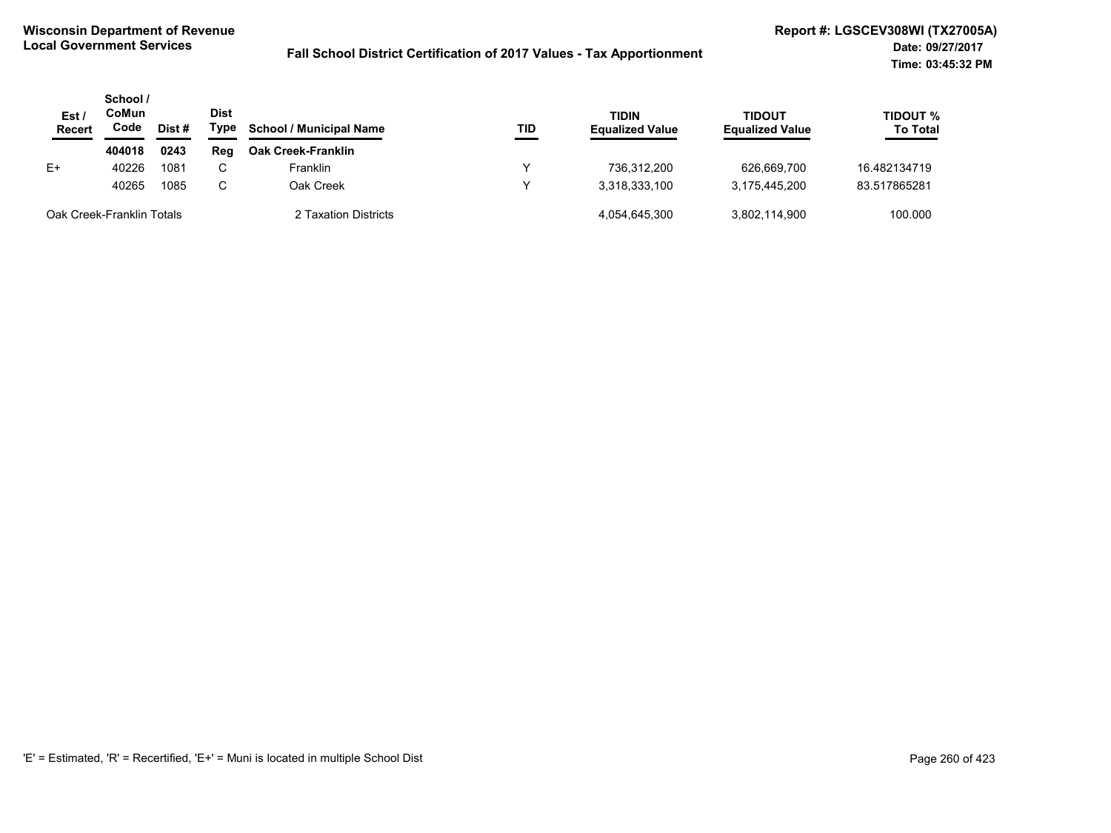| Est/<br><b>Recert</b>     | School /<br>CoMun<br>Code | Dist# | <b>Dist</b><br>Type | <b>School / Municipal Name</b> | TID | TIDIN<br><b>Equalized Value</b> | <b>TIDOUT</b><br><b>Equalized Value</b> | TIDOUT %<br><b>To Total</b> |
|---------------------------|---------------------------|-------|---------------------|--------------------------------|-----|---------------------------------|-----------------------------------------|-----------------------------|
|                           | 404018                    | 0243  | Reg                 | <b>Oak Creek-Franklin</b>      |     |                                 |                                         |                             |
| E+                        | 40226                     | 1081  | C.                  | Franklin                       |     | 736.312.200                     | 626.669.700                             | 16.482134719                |
|                           | 40265                     | 1085  | C.                  | Oak Creek                      |     | 3.318.333.100                   | 3,175,445,200                           | 83.517865281                |
| Oak Creek-Franklin Totals |                           |       |                     | 2 Taxation Districts           |     | 4.054.645.300                   | 3.802.114.900                           | 100.000                     |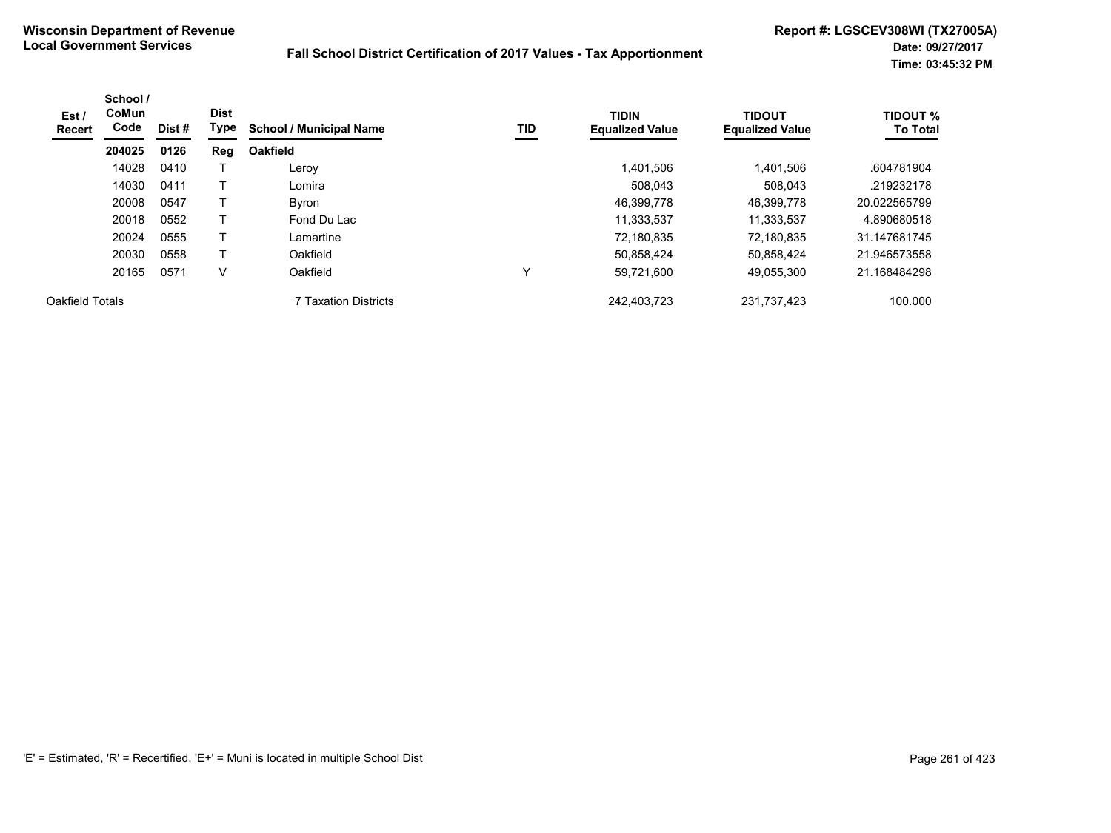| Est/<br>Recert  | School /<br><b>CoMun</b><br>Code | Dist# | <b>Dist</b><br>Type | <b>School / Municipal Name</b> | TID | <b>TIDIN</b><br><b>Equalized Value</b> | <b>TIDOUT</b><br><b>Equalized Value</b> | <b>TIDOUT %</b><br><b>To Total</b> |
|-----------------|----------------------------------|-------|---------------------|--------------------------------|-----|----------------------------------------|-----------------------------------------|------------------------------------|
|                 | 204025                           | 0126  | Reg                 | <b>Oakfield</b>                |     |                                        |                                         |                                    |
|                 | 14028                            | 0410  |                     | Leroy                          |     | 1.401.506                              | 1,401,506                               | .604781904                         |
|                 | 14030                            | 0411  |                     | Lomira                         |     | 508,043                                | 508,043                                 | .219232178                         |
|                 | 20008                            | 0547  |                     | Byron                          |     | 46,399,778                             | 46,399,778                              | 20.022565799                       |
|                 | 20018                            | 0552  |                     | Fond Du Lac                    |     | 11,333,537                             | 11,333,537                              | 4.890680518                        |
|                 | 20024                            | 0555  |                     | Lamartine                      |     | 72,180,835                             | 72.180.835                              | 31.147681745                       |
|                 | 20030                            | 0558  | т                   | Oakfield                       |     | 50,858,424                             | 50,858,424                              | 21.946573558                       |
|                 | 20165                            | 0571  | V                   | Oakfield                       | v   | 59,721,600                             | 49,055,300                              | 21.168484298                       |
| Oakfield Totals |                                  |       |                     | 7 Taxation Districts           |     | 242,403,723                            | 231,737,423                             | 100.000                            |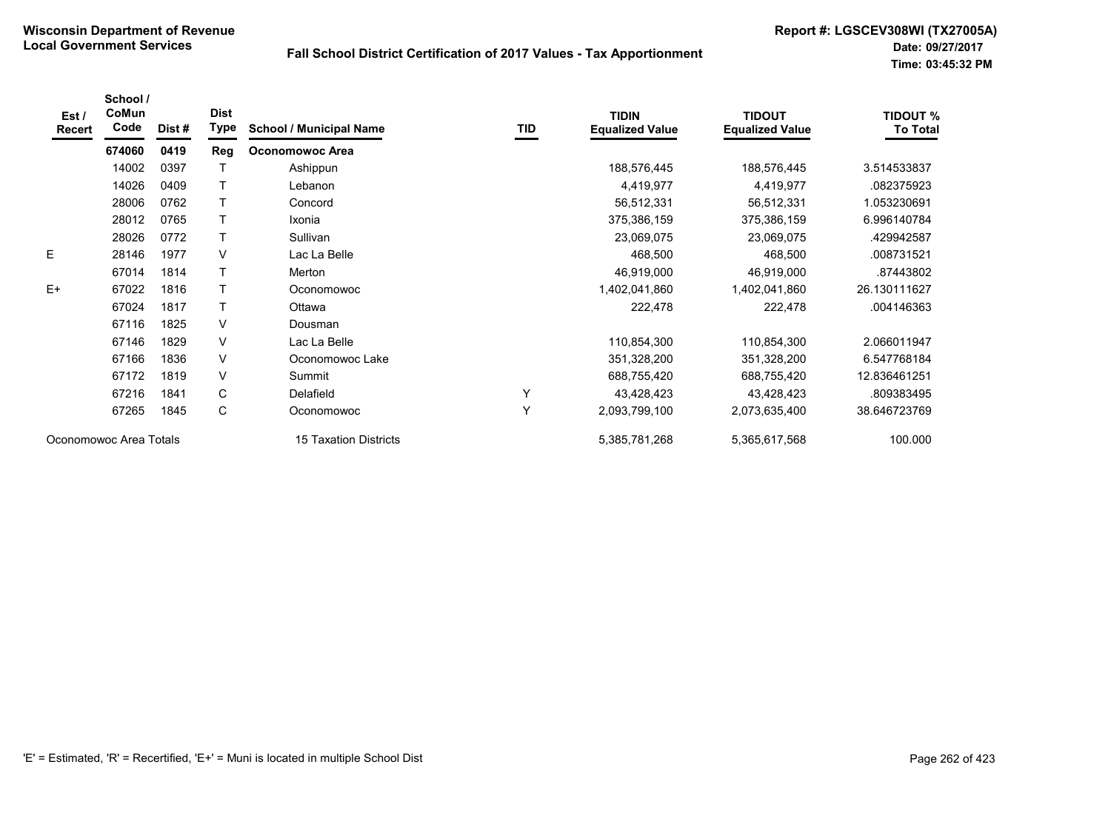| Est/<br><b>Recert</b>  | School /<br>CoMun<br>Code | Dist# | <b>Dist</b><br>Type | <b>School / Municipal Name</b> | TID | <b>TIDIN</b><br><b>Equalized Value</b> | <b>TIDOUT</b><br><b>Equalized Value</b> | <b>TIDOUT %</b><br><b>To Total</b> |
|------------------------|---------------------------|-------|---------------------|--------------------------------|-----|----------------------------------------|-----------------------------------------|------------------------------------|
|                        | 674060                    | 0419  | Reg                 | <b>Oconomowoc Area</b>         |     |                                        |                                         |                                    |
|                        | 14002                     | 0397  |                     | Ashippun                       |     | 188,576,445                            | 188,576,445                             | 3.514533837                        |
|                        | 14026                     | 0409  | T                   | Lebanon                        |     | 4,419,977                              | 4,419,977                               | .082375923                         |
|                        | 28006                     | 0762  |                     | Concord                        |     | 56,512,331                             | 56,512,331                              | 1.053230691                        |
|                        | 28012                     | 0765  | $\top$              | Ixonia                         |     | 375,386,159                            | 375,386,159                             | 6.996140784                        |
|                        | 28026                     | 0772  | T                   | Sullivan                       |     | 23,069,075                             | 23,069,075                              | .429942587                         |
| E                      | 28146                     | 1977  | V                   | Lac La Belle                   |     | 468,500                                | 468,500                                 | .008731521                         |
|                        | 67014                     | 1814  | $\top$              | Merton                         |     | 46,919,000                             | 46,919,000                              | .87443802                          |
| $E+$                   | 67022                     | 1816  | $\mathsf{T}$        | Oconomowoc                     |     | 1,402,041,860                          | 1,402,041,860                           | 26.130111627                       |
|                        | 67024                     | 1817  | T                   | Ottawa                         |     | 222,478                                | 222,478                                 | .004146363                         |
|                        | 67116                     | 1825  | V                   | Dousman                        |     |                                        |                                         |                                    |
|                        | 67146                     | 1829  | V                   | Lac La Belle                   |     | 110,854,300                            | 110,854,300                             | 2.066011947                        |
|                        | 67166                     | 1836  | V                   | Oconomowoc Lake                |     | 351,328,200                            | 351,328,200                             | 6.547768184                        |
|                        | 67172                     | 1819  | V                   | Summit                         |     | 688,755,420                            | 688,755,420                             | 12.836461251                       |
|                        | 67216                     | 1841  | C                   | Delafield                      | Y   | 43,428,423                             | 43,428,423                              | .809383495                         |
|                        | 67265                     | 1845  | C                   | Oconomowoc                     | Y   | 2,093,799,100                          | 2,073,635,400                           | 38.646723769                       |
| Oconomowoc Area Totals |                           |       |                     | 15 Taxation Districts          |     | 5,385,781,268                          | 5,365,617,568                           | 100.000                            |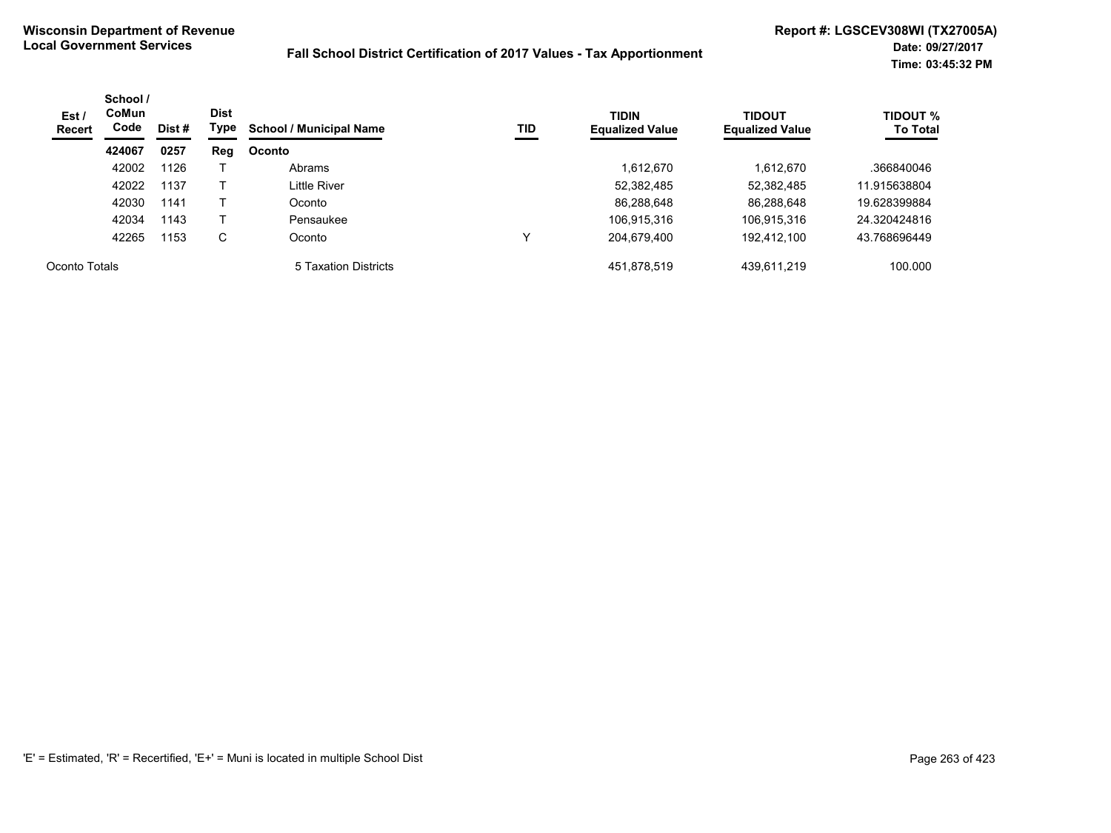| Est /<br>Recert | School /<br><b>CoMun</b><br>Code | Dist# | <b>Dist</b><br>Type | <b>School / Municipal Name</b> | TID | <b>TIDIN</b><br><b>Equalized Value</b> | <b>TIDOUT</b><br><b>Equalized Value</b> | <b>TIDOUT %</b><br><b>To Total</b> |
|-----------------|----------------------------------|-------|---------------------|--------------------------------|-----|----------------------------------------|-----------------------------------------|------------------------------------|
|                 | 424067                           | 0257  | Reg                 | Oconto                         |     |                                        |                                         |                                    |
|                 | 42002                            | 1126  |                     | Abrams                         |     | 1,612,670                              | 1,612,670                               | .366840046                         |
|                 | 42022                            | 1137  |                     | Little River                   |     | 52,382,485                             | 52,382,485                              | 11.915638804                       |
|                 | 42030                            | 1141  |                     | Oconto                         |     | 86,288,648                             | 86,288,648                              | 19.628399884                       |
|                 | 42034                            | 1143  |                     | Pensaukee                      |     | 106,915,316                            | 106,915,316                             | 24.320424816                       |
|                 | 42265                            | 1153  | С                   | Oconto                         | v   | 204,679,400                            | 192,412,100                             | 43.768696449                       |
| Oconto Totals   |                                  |       |                     | 5 Taxation Districts           |     | 451,878,519                            | 439,611,219                             | 100.000                            |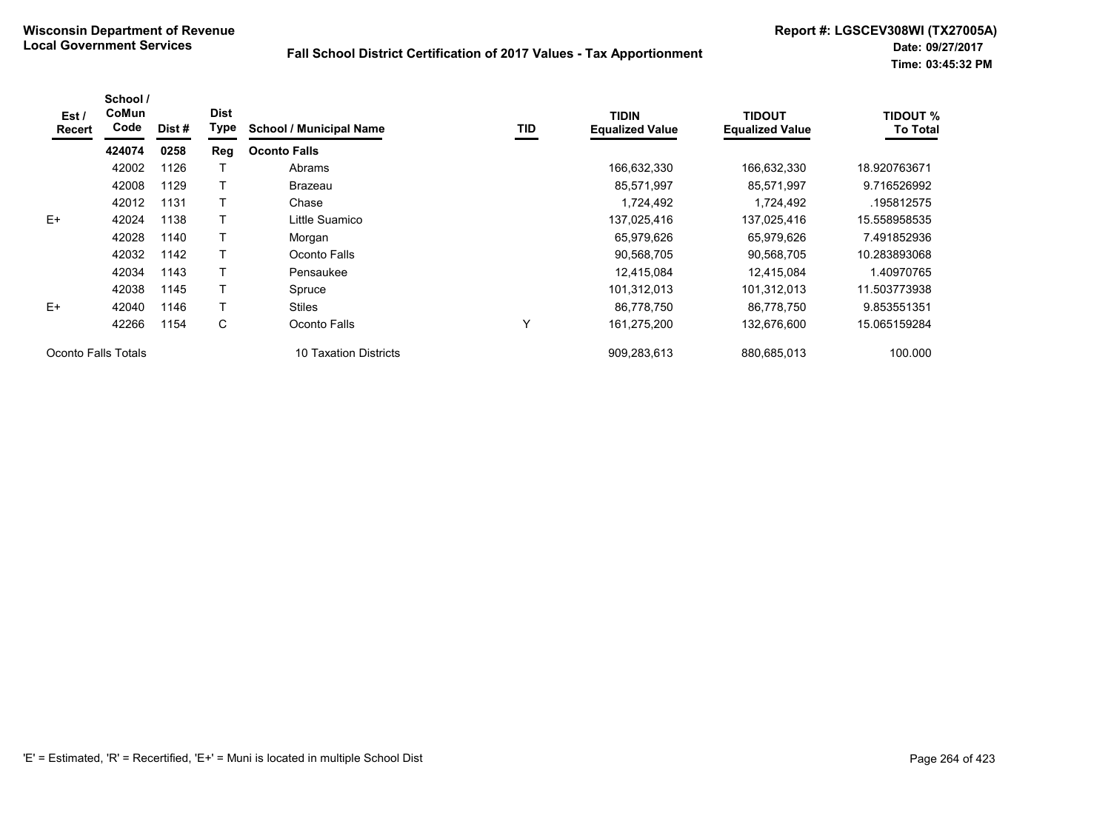| Est /<br><b>Recert</b> | School /<br>CoMun<br>Code | Dist # | <b>Dist</b><br>Type | <b>School / Municipal Name</b> | TID          | <b>TIDIN</b><br><b>Equalized Value</b> | <b>TIDOUT</b><br><b>Equalized Value</b> | <b>TIDOUT %</b><br><b>To Total</b> |
|------------------------|---------------------------|--------|---------------------|--------------------------------|--------------|----------------------------------------|-----------------------------------------|------------------------------------|
|                        | 424074                    | 0258   | Reg                 | <b>Oconto Falls</b>            |              |                                        |                                         |                                    |
|                        | 42002                     | 1126   |                     | Abrams                         |              | 166,632,330                            | 166,632,330                             | 18.920763671                       |
|                        | 42008                     | 1129   |                     | Brazeau                        |              | 85,571,997                             | 85,571,997                              | 9.716526992                        |
|                        | 42012                     | 1131   |                     | Chase                          |              | 1,724,492                              | 1,724,492                               | .195812575                         |
| $E+$                   | 42024                     | 1138   |                     | Little Suamico                 |              | 137,025,416                            | 137,025,416                             | 15.558958535                       |
|                        | 42028                     | 1140   |                     | Morgan                         |              | 65,979,626                             | 65.979.626                              | 7.491852936                        |
|                        | 42032                     | 1142   |                     | Oconto Falls                   |              | 90,568,705                             | 90,568,705                              | 10.283893068                       |
|                        | 42034                     | 1143   |                     | Pensaukee                      |              | 12,415,084                             | 12,415,084                              | 1.40970765                         |
|                        | 42038                     | 1145   |                     | Spruce                         |              | 101,312,013                            | 101,312,013                             | 11.503773938                       |
| E+                     | 42040                     | 1146   |                     | <b>Stiles</b>                  |              | 86,778,750                             | 86.778.750                              | 9.853551351                        |
|                        | 42266                     | 1154   | C                   | Oconto Falls                   | $\checkmark$ | 161,275,200                            | 132,676,600                             | 15.065159284                       |
| Oconto Falls Totals    |                           |        |                     | <b>10 Taxation Districts</b>   |              | 909,283,613                            | 880,685,013                             | 100.000                            |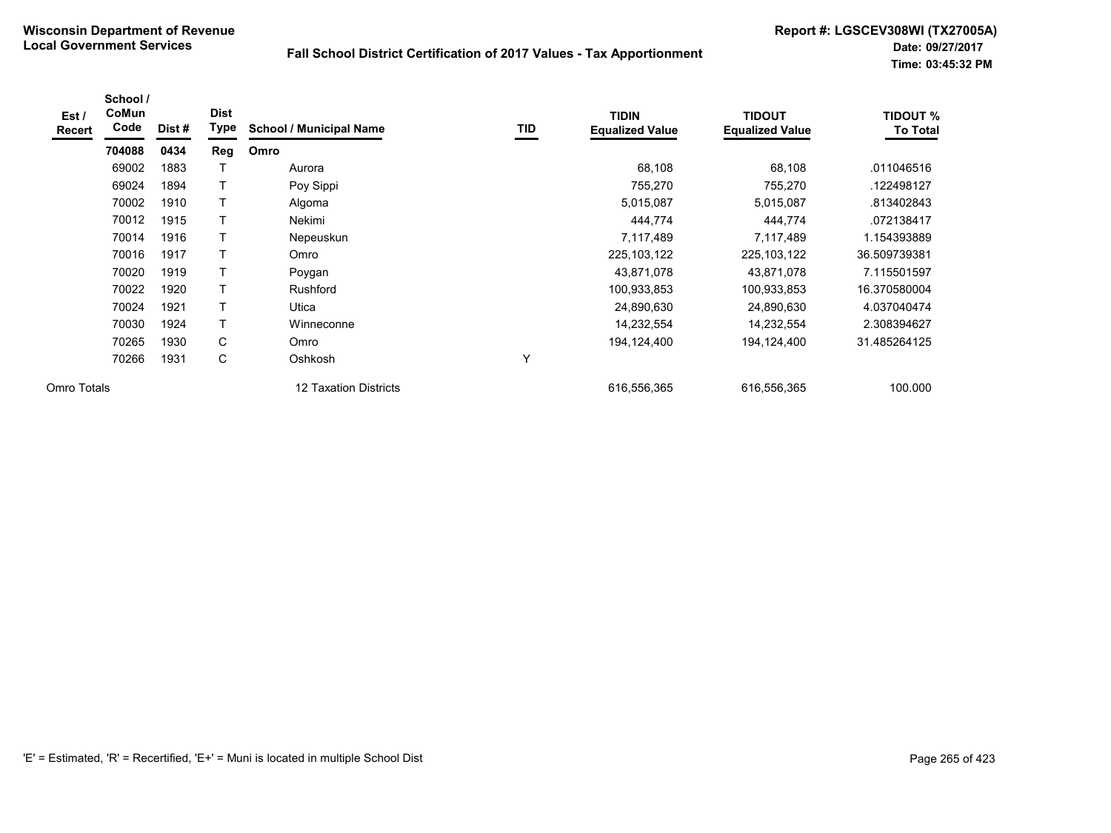| Est /<br><b>Recert</b> | School /<br>CoMun<br>Code | Dist# | <b>Dist</b><br><b>Type</b> | <b>School / Municipal Name</b> | TID | <b>TIDIN</b><br><b>Equalized Value</b> | <b>TIDOUT</b><br><b>Equalized Value</b> | <b>TIDOUT %</b><br><b>To Total</b> |
|------------------------|---------------------------|-------|----------------------------|--------------------------------|-----|----------------------------------------|-----------------------------------------|------------------------------------|
|                        | 704088                    | 0434  | Reg                        | Omro                           |     |                                        |                                         |                                    |
|                        | 69002                     | 1883  |                            | Aurora                         |     | 68,108                                 | 68,108                                  | .011046516                         |
|                        | 69024                     | 1894  | Т                          | Poy Sippi                      |     | 755,270                                | 755,270                                 | .122498127                         |
|                        | 70002                     | 1910  |                            | Algoma                         |     | 5,015,087                              | 5,015,087                               | .813402843                         |
|                        | 70012                     | 1915  |                            | Nekimi                         |     | 444,774                                | 444,774                                 | .072138417                         |
|                        | 70014                     | 1916  |                            | Nepeuskun                      |     | 7,117,489                              | 7,117,489                               | 1.154393889                        |
|                        | 70016                     | 1917  | Т                          | Omro                           |     | 225, 103, 122                          | 225, 103, 122                           | 36.509739381                       |
|                        | 70020                     | 1919  |                            | Poygan                         |     | 43,871,078                             | 43,871,078                              | 7.115501597                        |
|                        | 70022                     | 1920  | Τ                          | Rushford                       |     | 100,933,853                            | 100,933,853                             | 16.370580004                       |
|                        | 70024                     | 1921  | Τ                          | Utica                          |     | 24,890,630                             | 24,890,630                              | 4.037040474                        |
|                        | 70030                     | 1924  | Τ                          | Winneconne                     |     | 14,232,554                             | 14,232,554                              | 2.308394627                        |
|                        | 70265                     | 1930  | C                          | Omro                           |     | 194,124,400                            | 194,124,400                             | 31.485264125                       |
|                        | 70266                     | 1931  | C                          | Oshkosh                        | Υ   |                                        |                                         |                                    |
| Omro Totals            |                           |       |                            | 12 Taxation Districts          |     | 616,556,365                            | 616,556,365                             | 100.000                            |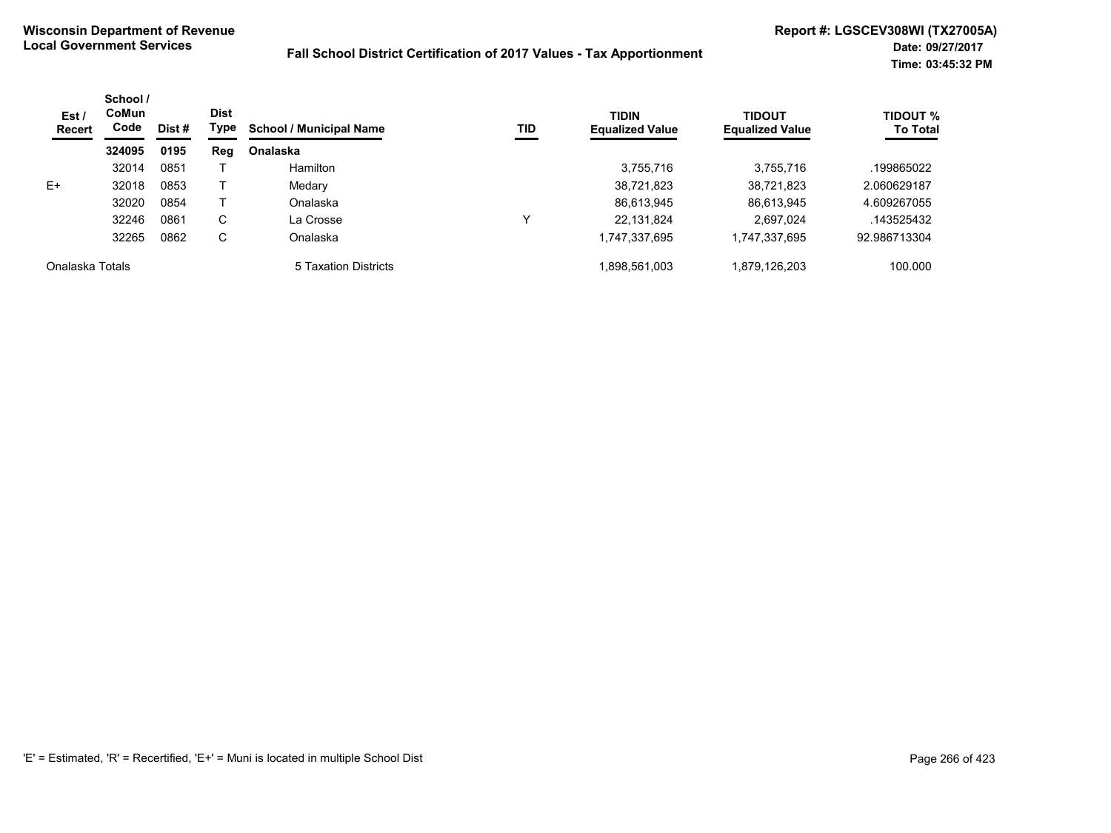| Est/<br><b>Recert</b> | School /<br><b>CoMun</b><br>Code | Dist # | <b>Dist</b><br>Type | <b>School / Municipal Name</b> | TID | <b>TIDIN</b><br><b>Equalized Value</b> | TIDOUT<br><b>Equalized Value</b> | <b>TIDOUT %</b><br><b>To Total</b> |
|-----------------------|----------------------------------|--------|---------------------|--------------------------------|-----|----------------------------------------|----------------------------------|------------------------------------|
|                       | 324095                           | 0195   | Reg                 | <b>Onalaska</b>                |     |                                        |                                  |                                    |
|                       | 32014                            | 0851   |                     | <b>Hamilton</b>                |     | 3,755,716                              | 3.755.716                        | .199865022                         |
| $E+$                  | 32018                            | 0853   |                     | Medary                         |     | 38,721,823                             | 38,721,823                       | 2.060629187                        |
|                       | 32020                            | 0854   |                     | Onalaska                       |     | 86,613,945                             | 86,613,945                       | 4.609267055                        |
|                       | 32246                            | 0861   | С                   | La Crosse                      | v   | 22,131,824                             | 2,697,024                        | .143525432                         |
|                       | 32265                            | 0862   | С                   | Onalaska                       |     | 1,747,337,695                          | 1,747,337,695                    | 92.986713304                       |
| Onalaska Totals       |                                  |        |                     | 5 Taxation Districts           |     | 1,898,561,003                          | 1.879.126.203                    | 100.000                            |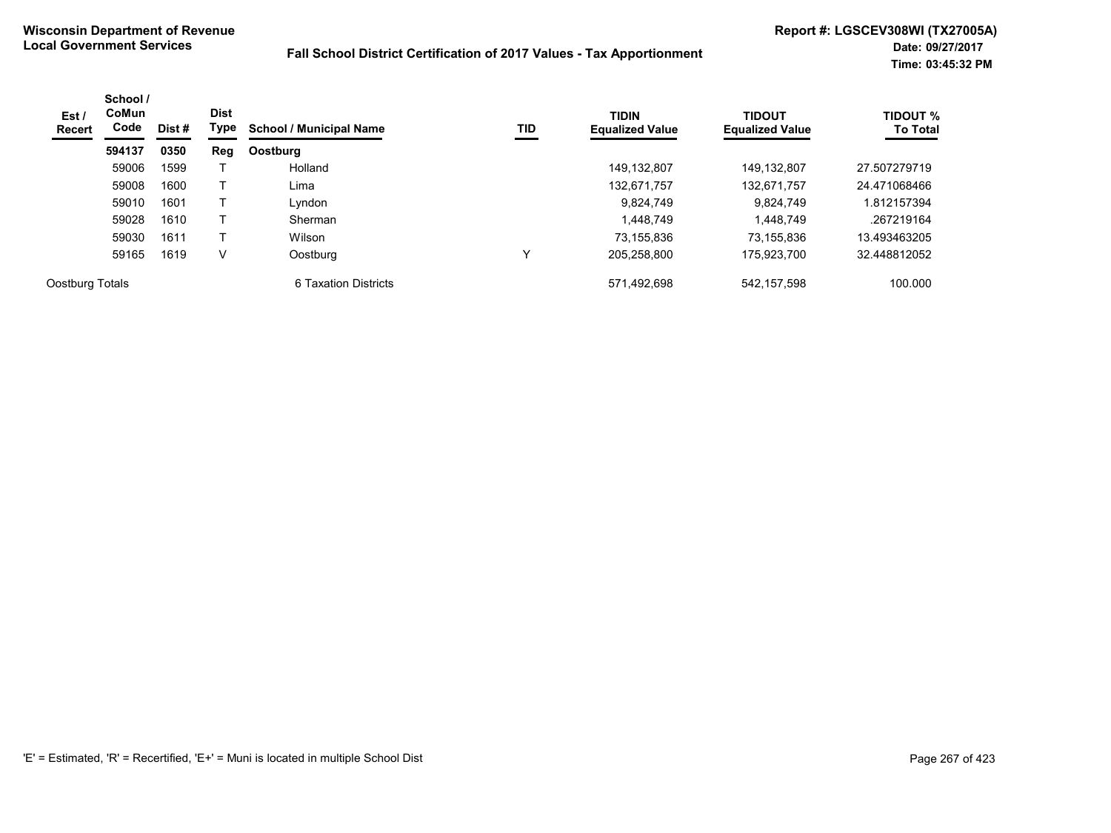| Est /<br>Recert | School /<br>CoMun<br>Code | Dist # | <b>Dist</b><br>Type | <b>School / Municipal Name</b> | TID | <b>TIDIN</b><br><b>Equalized Value</b> | <b>TIDOUT</b><br><b>Equalized Value</b> | <b>TIDOUT %</b><br><b>To Total</b> |
|-----------------|---------------------------|--------|---------------------|--------------------------------|-----|----------------------------------------|-----------------------------------------|------------------------------------|
|                 | 594137                    | 0350   | Reg                 | Oostburg                       |     |                                        |                                         |                                    |
|                 | 59006                     | 1599   |                     | Holland                        |     | 149,132,807                            | 149.132.807                             | 27.507279719                       |
|                 | 59008                     | 1600   |                     | Lima                           |     | 132,671,757                            | 132,671,757                             | 24.471068466                       |
|                 | 59010                     | 1601   |                     | Lyndon                         |     | 9,824,749                              | 9.824.749                               | 1.812157394                        |
|                 | 59028                     | 1610   |                     | Sherman                        |     | 1,448,749                              | 1.448.749                               | .267219164                         |
|                 | 59030                     | 1611   |                     | Wilson                         |     | 73,155,836                             | 73.155.836                              | 13.493463205                       |
|                 | 59165                     | 1619   | V                   | Oostburg                       | v   | 205.258.800                            | 175.923.700                             | 32.448812052                       |
| Oostburg Totals |                           |        |                     | 6 Taxation Districts           |     | 571,492,698                            | 542,157,598                             | 100.000                            |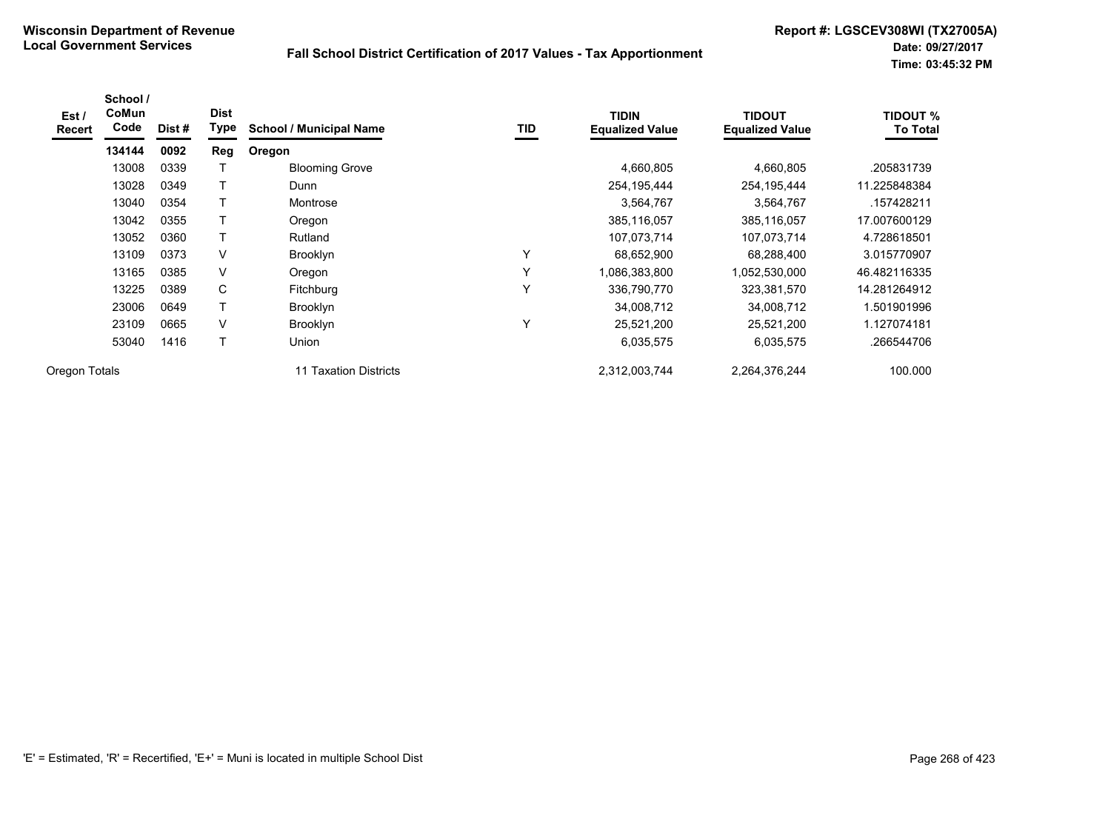| Est /<br>Recert | School /<br>CoMun<br>Code | Dist # | <b>Dist</b><br>Type | <b>School / Municipal Name</b> | <b>TID</b> | <b>TIDIN</b><br><b>Equalized Value</b> | <b>TIDOUT</b><br><b>Equalized Value</b> | <b>TIDOUT %</b><br><b>To Total</b> |
|-----------------|---------------------------|--------|---------------------|--------------------------------|------------|----------------------------------------|-----------------------------------------|------------------------------------|
|                 | 134144                    | 0092   | <b>Reg</b>          | Oregon                         |            |                                        |                                         |                                    |
|                 | 13008                     | 0339   |                     | <b>Blooming Grove</b>          |            | 4,660,805                              | 4,660,805                               | .205831739                         |
|                 | 13028                     | 0349   |                     | Dunn                           |            | 254, 195, 444                          | 254, 195, 444                           | 11.225848384                       |
|                 | 13040                     | 0354   |                     | Montrose                       |            | 3,564,767                              | 3,564,767                               | .157428211                         |
|                 | 13042                     | 0355   |                     | Oregon                         |            | 385,116,057                            | 385,116,057                             | 17.007600129                       |
|                 | 13052                     | 0360   |                     | Rutland                        |            | 107,073,714                            | 107,073,714                             | 4.728618501                        |
|                 | 13109                     | 0373   | V                   | <b>Brooklyn</b>                | Υ          | 68,652,900                             | 68,288,400                              | 3.015770907                        |
|                 | 13165                     | 0385   | $\vee$              | Oregon                         | Υ          | 1,086,383,800                          | 1,052,530,000                           | 46.482116335                       |
|                 | 13225                     | 0389   | C                   | <b>Fitchburg</b>               | Υ          | 336,790,770                            | 323,381,570                             | 14.281264912                       |
|                 | 23006                     | 0649   |                     | <b>Brooklyn</b>                |            | 34,008,712                             | 34,008,712                              | 1.501901996                        |
|                 | 23109                     | 0665   | V                   | <b>Brooklyn</b>                | Y          | 25,521,200                             | 25,521,200                              | 1.127074181                        |
|                 | 53040                     | 1416   | T                   | Union                          |            | 6,035,575                              | 6,035,575                               | .266544706                         |
| Oregon Totals   |                           |        |                     | 11 Taxation Districts          |            | 2,312,003,744                          | 2,264,376,244                           | 100.000                            |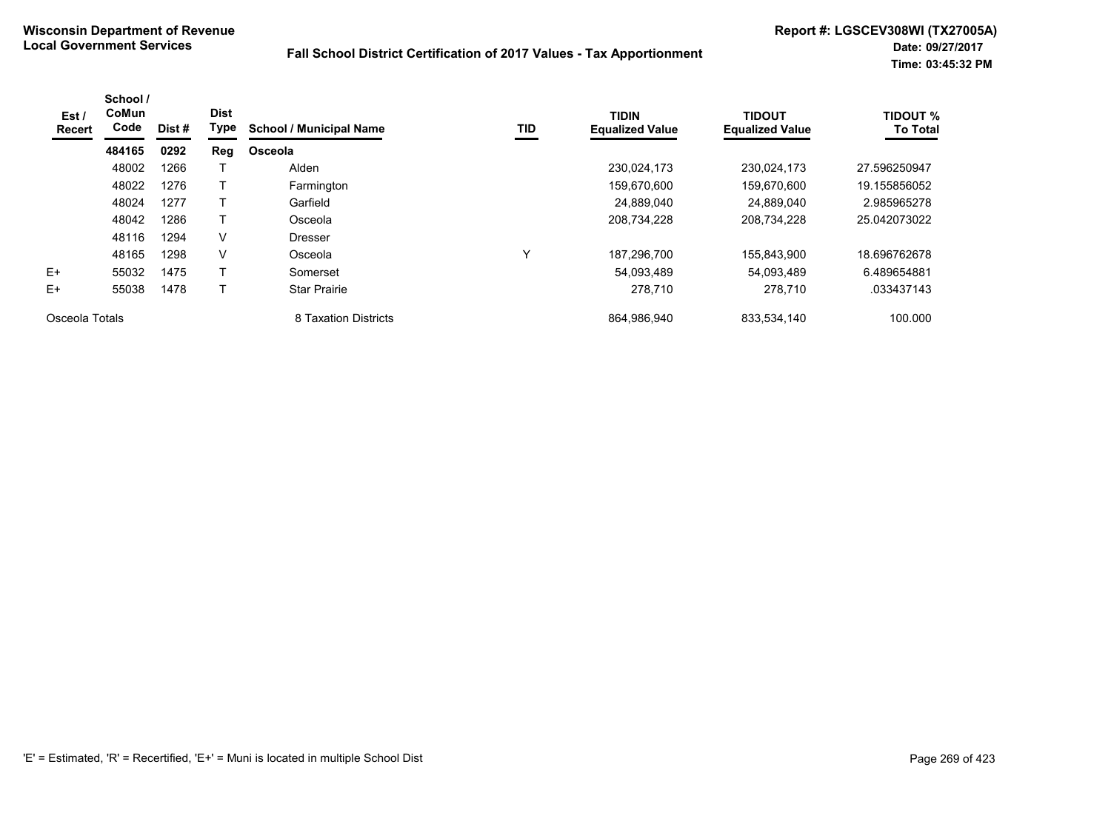| Est /<br>Recert | School /<br>CoMun<br>Code | Dist # | <b>Dist</b><br>Type | <b>School / Municipal Name</b> | TID | <b>TIDIN</b><br><b>Equalized Value</b> | <b>TIDOUT</b><br><b>Equalized Value</b> | <b>TIDOUT %</b><br><b>To Total</b> |
|-----------------|---------------------------|--------|---------------------|--------------------------------|-----|----------------------------------------|-----------------------------------------|------------------------------------|
|                 | 484165                    | 0292   | Reg                 | Osceola                        |     |                                        |                                         |                                    |
|                 | 48002                     | 1266   |                     | Alden                          |     | 230.024.173                            | 230.024.173                             | 27.596250947                       |
|                 | 48022                     | 1276   |                     | Farmington                     |     | 159,670,600                            | 159,670,600                             | 19.155856052                       |
|                 | 48024                     | 1277   |                     | Garfield                       |     | 24.889.040                             | 24.889.040                              | 2.985965278                        |
|                 | 48042                     | 1286   |                     | Osceola                        |     | 208,734,228                            | 208,734,228                             | 25.042073022                       |
|                 | 48116                     | 1294   | V                   | <b>Dresser</b>                 |     |                                        |                                         |                                    |
|                 | 48165                     | 1298   | $\vee$              | Osceola                        | v   | 187,296,700                            | 155,843,900                             | 18.696762678                       |
| $E+$            | 55032                     | 1475   |                     | Somerset                       |     | 54,093,489                             | 54,093,489                              | 6.489654881                        |
| $E+$            | 55038                     | 1478   |                     | <b>Star Prairie</b>            |     | 278,710                                | 278,710                                 | .033437143                         |
| Osceola Totals  |                           |        |                     | 8 Taxation Districts           |     | 864,986,940                            | 833,534,140                             | 100.000                            |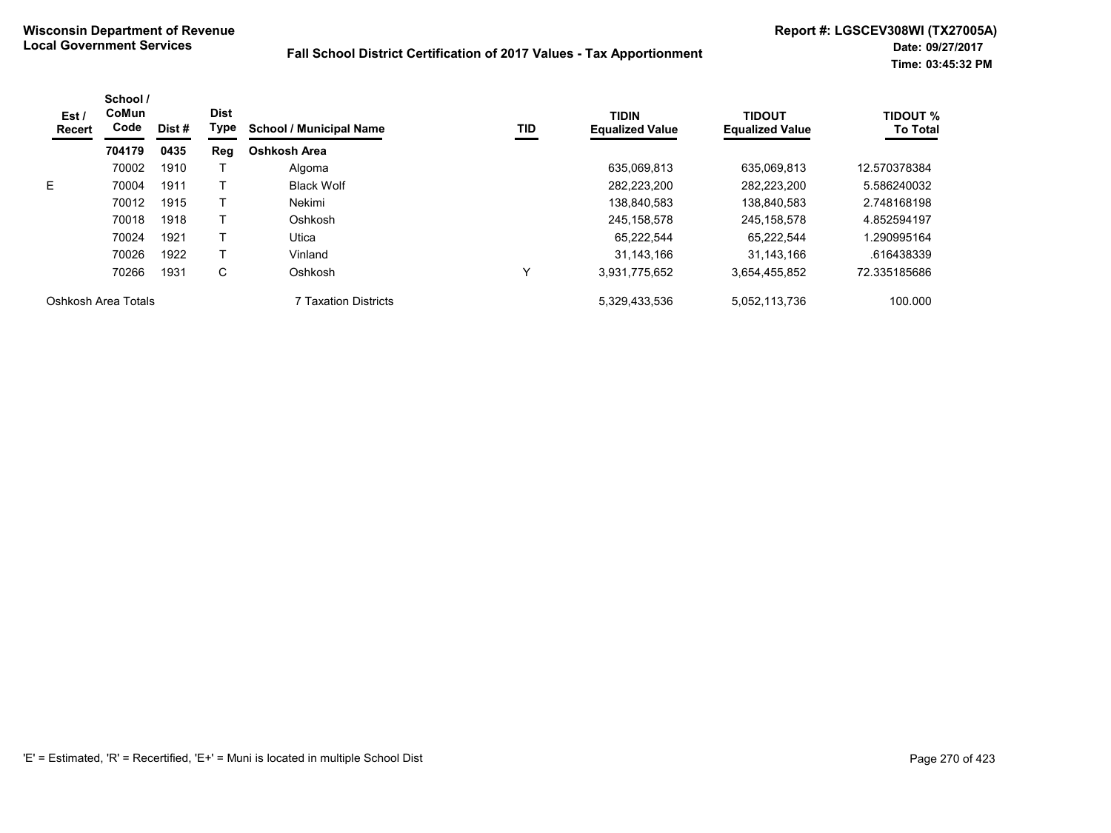| Est /<br><b>Recert</b> | School /<br>CoMun<br>Code | Dist# | <b>Dist</b><br>Type | <b>School / Municipal Name</b> | TID | <b>TIDIN</b><br><b>Equalized Value</b> | <b>TIDOUT</b><br><b>Equalized Value</b> | <b>TIDOUT %</b><br><b>To Total</b> |
|------------------------|---------------------------|-------|---------------------|--------------------------------|-----|----------------------------------------|-----------------------------------------|------------------------------------|
|                        | 704179                    | 0435  | Reg                 | Oshkosh Area                   |     |                                        |                                         |                                    |
|                        | 70002                     | 1910  |                     | Algoma                         |     | 635,069,813                            | 635,069,813                             | 12.570378384                       |
| E.                     | 70004                     | 1911  |                     | <b>Black Wolf</b>              |     | 282.223.200                            | 282.223.200                             | 5.586240032                        |
|                        | 70012                     | 1915  |                     | Nekimi                         |     | 138,840,583                            | 138.840.583                             | 2.748168198                        |
|                        | 70018                     | 1918  |                     | Oshkosh                        |     | 245, 158, 578                          | 245.158.578                             | 4.852594197                        |
|                        | 70024                     | 1921  |                     | Utica                          |     | 65.222.544                             | 65.222.544                              | 1.290995164                        |
|                        | 70026                     | 1922  |                     | Vinland                        |     | 31.143.166                             | 31.143.166                              | .616438339                         |
|                        | 70266                     | 1931  | С                   | Oshkosh                        | ↘   | 3,931,775,652                          | 3,654,455,852                           | 72.335185686                       |
| Oshkosh Area Totals    |                           |       |                     | 7 Taxation Districts           |     | 5,329,433,536                          | 5,052,113,736                           | 100.000                            |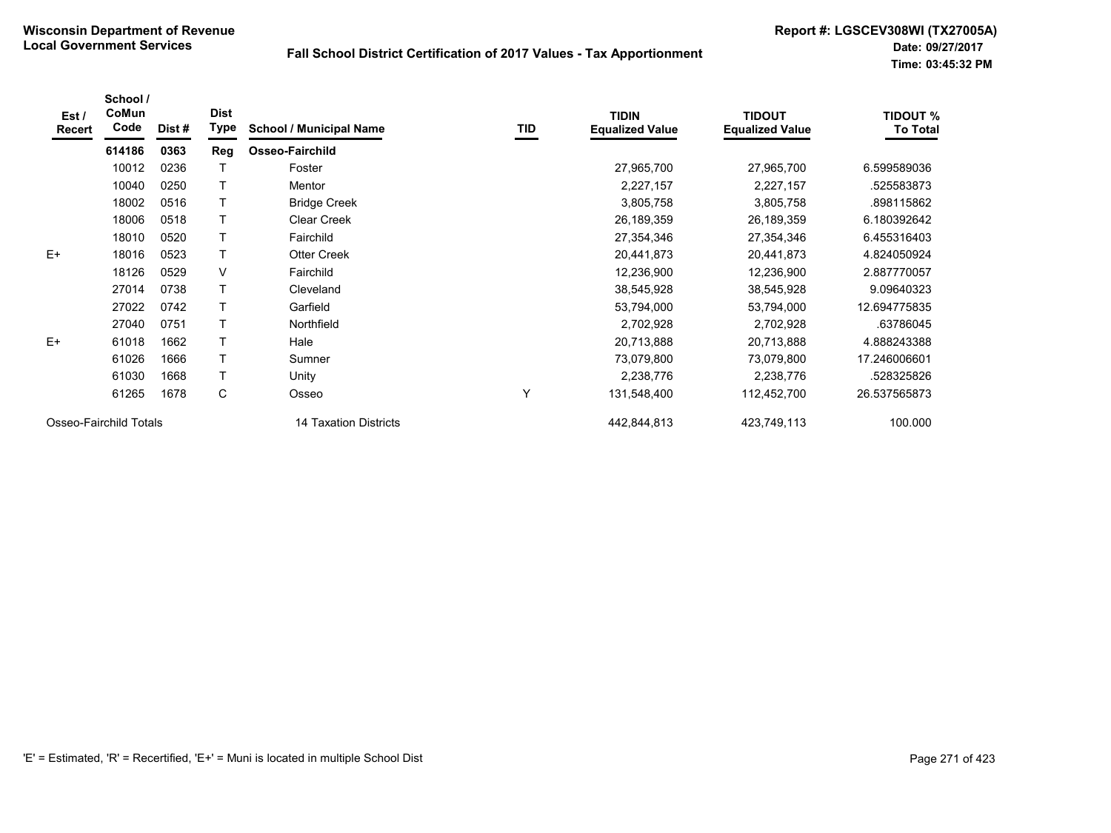| Est/<br>Recert         | School /<br>CoMun<br>Code | Dist # | <b>Dist</b><br>Type | <b>School / Municipal Name</b> | TID | <b>TIDIN</b><br><b>Equalized Value</b> | <b>TIDOUT</b><br><b>Equalized Value</b> | <b>TIDOUT %</b><br><b>To Total</b> |
|------------------------|---------------------------|--------|---------------------|--------------------------------|-----|----------------------------------------|-----------------------------------------|------------------------------------|
|                        | 614186                    | 0363   | Reg                 | Osseo-Fairchild                |     |                                        |                                         |                                    |
|                        | 10012                     | 0236   |                     | Foster                         |     | 27,965,700                             | 27,965,700                              | 6.599589036                        |
|                        | 10040                     | 0250   |                     | <b>Mentor</b>                  |     | 2,227,157                              | 2,227,157                               | .525583873                         |
|                        | 18002                     | 0516   |                     | <b>Bridge Creek</b>            |     | 3,805,758                              | 3,805,758                               | .898115862                         |
|                        | 18006                     | 0518   |                     | <b>Clear Creek</b>             |     | 26,189,359                             | 26,189,359                              | 6.180392642                        |
|                        | 18010                     | 0520   |                     | Fairchild                      |     | 27,354,346                             | 27,354,346                              | 6.455316403                        |
| $E+$                   | 18016                     | 0523   |                     | <b>Otter Creek</b>             |     | 20,441,873                             | 20,441,873                              | 4.824050924                        |
|                        | 18126                     | 0529   | V                   | Fairchild                      |     | 12,236,900                             | 12,236,900                              | 2.887770057                        |
|                        | 27014                     | 0738   |                     | Cleveland                      |     | 38,545,928                             | 38,545,928                              | 9.09640323                         |
|                        | 27022                     | 0742   |                     | Garfield                       |     | 53,794,000                             | 53,794,000                              | 12.694775835                       |
|                        | 27040                     | 0751   |                     | Northfield                     |     | 2,702,928                              | 2,702,928                               | .63786045                          |
| $E+$                   | 61018                     | 1662   |                     | Hale                           |     | 20,713,888                             | 20,713,888                              | 4.888243388                        |
|                        | 61026                     | 1666   |                     | Sumner                         |     | 73,079,800                             | 73,079,800                              | 17.246006601                       |
|                        | 61030                     | 1668   |                     | Unity                          |     | 2,238,776                              | 2,238,776                               | .528325826                         |
|                        | 61265                     | 1678   | С                   | Osseo                          | Y   | 131,548,400                            | 112,452,700                             | 26.537565873                       |
| Osseo-Fairchild Totals |                           |        |                     | 14 Taxation Districts          |     | 442,844,813                            | 423,749,113                             | 100.000                            |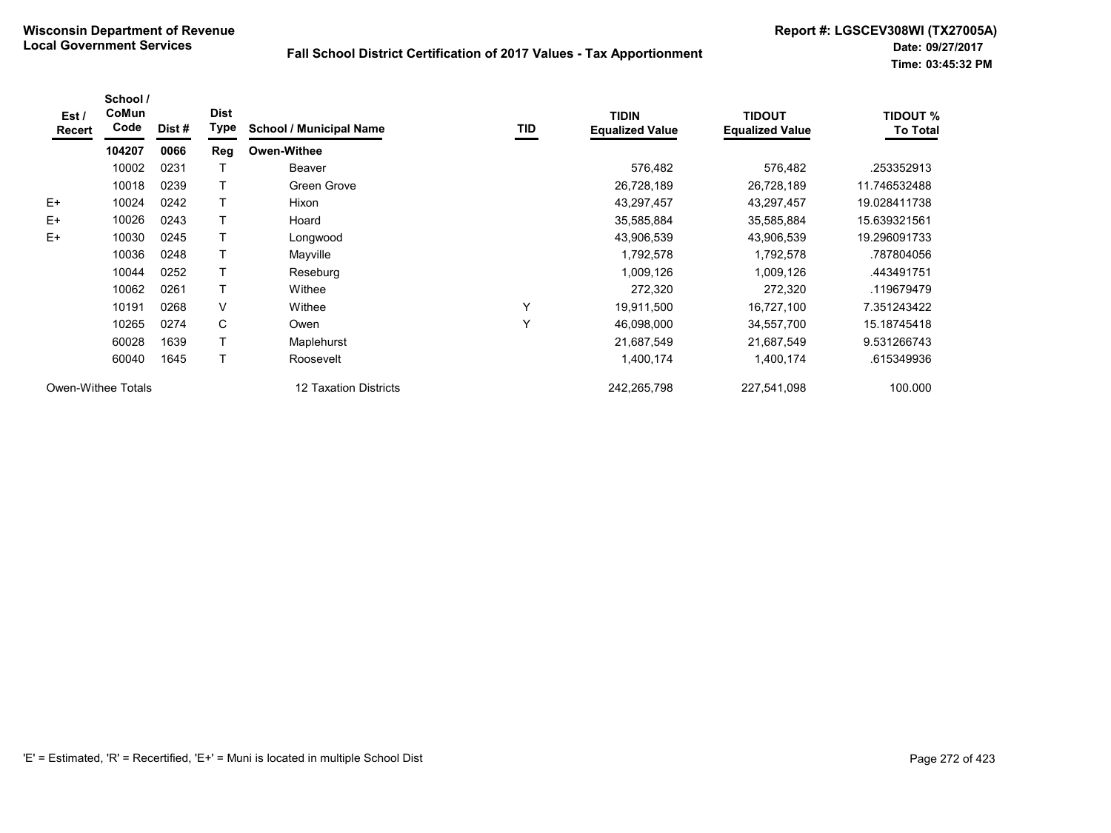| Est /<br>Recert | School /<br>CoMun<br>Code | Dist # | <b>Dist</b><br>Type | <b>School / Municipal Name</b> | TID          | <b>TIDIN</b><br><b>Equalized Value</b> | <b>TIDOUT</b><br><b>Equalized Value</b> | <b>TIDOUT %</b><br><b>To Total</b> |
|-----------------|---------------------------|--------|---------------------|--------------------------------|--------------|----------------------------------------|-----------------------------------------|------------------------------------|
|                 | 104207                    | 0066   | Reg                 | <b>Owen-Withee</b>             |              |                                        |                                         |                                    |
|                 | 10002                     | 0231   |                     | Beaver                         |              | 576,482                                | 576,482                                 | .253352913                         |
|                 | 10018                     | 0239   |                     | Green Grove                    |              | 26,728,189                             | 26,728,189                              | 11.746532488                       |
| $E+$            | 10024                     | 0242   |                     | Hixon                          |              | 43,297,457                             | 43,297,457                              | 19.028411738                       |
| $E+$            | 10026                     | 0243   |                     | Hoard                          |              | 35,585,884                             | 35,585,884                              | 15.639321561                       |
| E+              | 10030                     | 0245   |                     | Longwood                       |              | 43,906,539                             | 43,906,539                              | 19.296091733                       |
|                 | 10036                     | 0248   |                     | Mayville                       |              | 1,792,578                              | 1,792,578                               | .787804056                         |
|                 | 10044                     | 0252   |                     | Reseburg                       |              | 1,009,126                              | 1,009,126                               | .443491751                         |
|                 | 10062                     | 0261   |                     | Withee                         |              | 272,320                                | 272,320                                 | .119679479                         |
|                 | 10191                     | 0268   | $\vee$              | Withee                         | $\checkmark$ | 19,911,500                             | 16,727,100                              | 7.351243422                        |
|                 | 10265                     | 0274   | C                   | Owen                           | $\checkmark$ | 46,098,000                             | 34,557,700                              | 15.18745418                        |
|                 | 60028                     | 1639   |                     | Maplehurst                     |              | 21,687,549                             | 21,687,549                              | 9.531266743                        |
|                 | 60040                     | 1645   |                     | Roosevelt                      |              | 1,400,174                              | 1,400,174                               | .615349936                         |
|                 | Owen-Withee Totals        |        |                     | 12 Taxation Districts          |              | 242,265,798                            | 227,541,098                             | 100.000                            |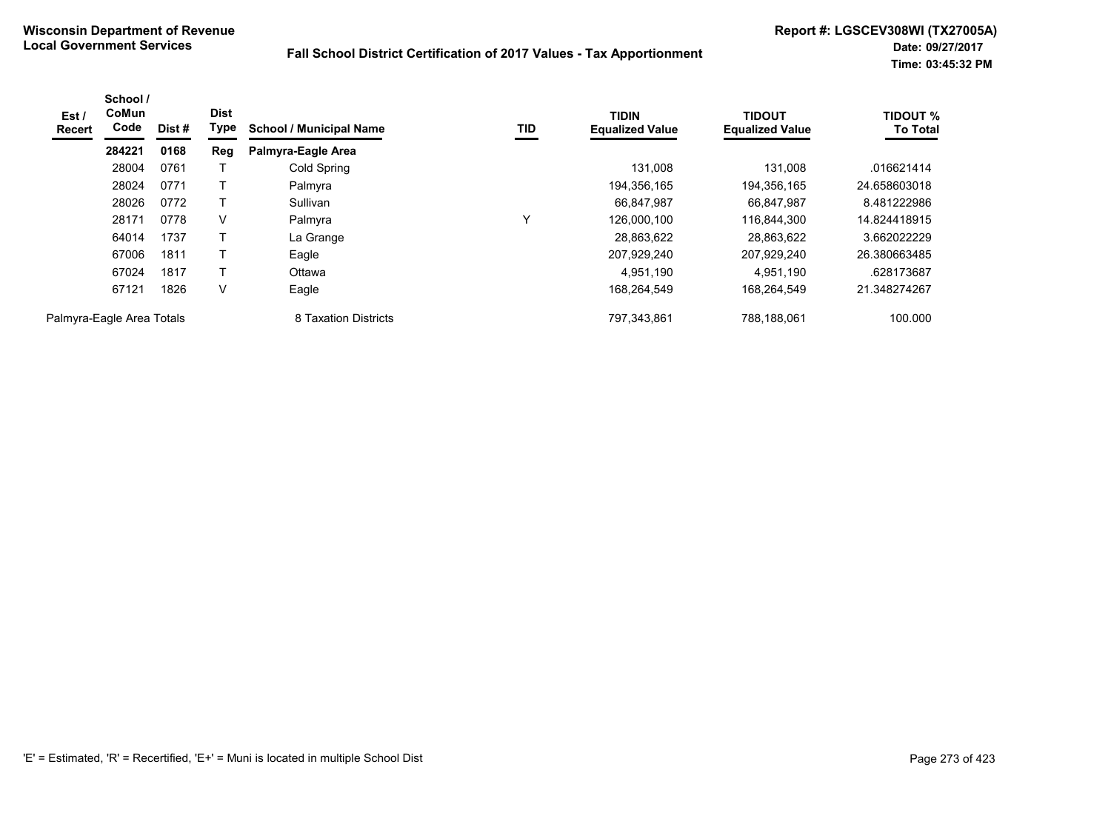| Est /<br>Recert           | School /<br>CoMun<br>Code | Dist # | <b>Dist</b><br>Type | <b>School / Municipal Name</b> | TID | <b>TIDIN</b><br><b>Equalized Value</b> | <b>TIDOUT</b><br><b>Equalized Value</b> | <b>TIDOUT %</b><br><b>To Total</b> |
|---------------------------|---------------------------|--------|---------------------|--------------------------------|-----|----------------------------------------|-----------------------------------------|------------------------------------|
|                           | 284221                    | 0168   | Reg                 | Palmyra-Eagle Area             |     |                                        |                                         |                                    |
|                           | 28004                     | 0761   |                     | Cold Spring                    |     | 131,008                                | 131,008                                 | .016621414                         |
|                           | 28024                     | 0771   |                     | Palmyra                        |     | 194,356,165                            | 194,356,165                             | 24.658603018                       |
|                           | 28026                     | 0772   |                     | Sullivan                       |     | 66,847,987                             | 66,847,987                              | 8.481222986                        |
|                           | 28171                     | 0778   | V                   | Palmyra                        | ٧   | 126.000.100                            | 116.844.300                             | 14.824418915                       |
|                           | 64014                     | 1737   |                     | La Grange                      |     | 28,863,622                             | 28,863,622                              | 3.662022229                        |
|                           | 67006                     | 1811   |                     | Eagle                          |     | 207,929,240                            | 207,929,240                             | 26.380663485                       |
|                           | 67024                     | 1817   |                     | Ottawa                         |     | 4,951,190                              | 4,951,190                               | .628173687                         |
|                           | 67121                     | 1826   | V                   | Eagle                          |     | 168,264,549                            | 168,264,549                             | 21.348274267                       |
| Palmyra-Eagle Area Totals |                           |        |                     | 8 Taxation Districts           |     | 797,343,861                            | 788,188,061                             | 100.000                            |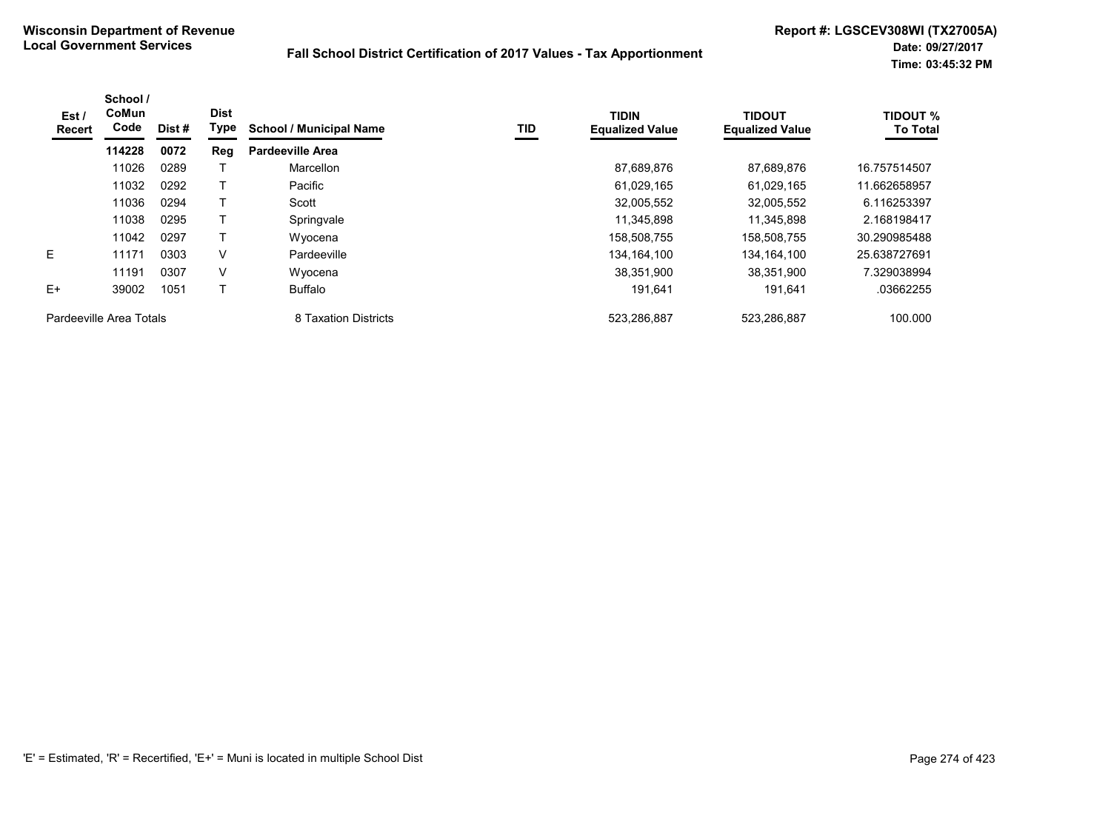| Est /<br><b>Recert</b>  | School /<br>CoMun<br>Code | Dist # | <b>Dist</b><br>Type | <b>School / Municipal Name</b> | TID | <b>TIDIN</b><br><b>Equalized Value</b> | <b>TIDOUT</b><br><b>Equalized Value</b> | <b>TIDOUT %</b><br><b>To Total</b> |
|-------------------------|---------------------------|--------|---------------------|--------------------------------|-----|----------------------------------------|-----------------------------------------|------------------------------------|
|                         | 114228                    | 0072   | Reg                 | <b>Pardeeville Area</b>        |     |                                        |                                         |                                    |
|                         | 11026                     | 0289   |                     | Marcellon                      |     | 87,689,876                             | 87,689,876                              | 16.757514507                       |
|                         | 11032                     | 0292   |                     | Pacific                        |     | 61,029,165                             | 61,029,165                              | 11.662658957                       |
|                         | 11036                     | 0294   |                     | Scott                          |     | 32,005,552                             | 32,005,552                              | 6.116253397                        |
|                         | 11038                     | 0295   |                     | Springvale                     |     | 11,345,898                             | 11.345.898                              | 2.168198417                        |
|                         | 11042                     | 0297   |                     | Wyocena                        |     | 158,508,755                            | 158,508,755                             | 30.290985488                       |
| E                       | 11171                     | 0303   | $\vee$              | Pardeeville                    |     | 134, 164, 100                          | 134, 164, 100                           | 25.638727691                       |
|                         | 11191                     | 0307   | V                   | Wyocena                        |     | 38,351,900                             | 38.351.900                              | 7.329038994                        |
| E+                      | 39002                     | 1051   |                     | Buffalo                        |     | 191,641                                | 191,641                                 | .03662255                          |
| Pardeeville Area Totals |                           |        |                     | 8 Taxation Districts           |     | 523,286,887                            | 523,286,887                             | 100.000                            |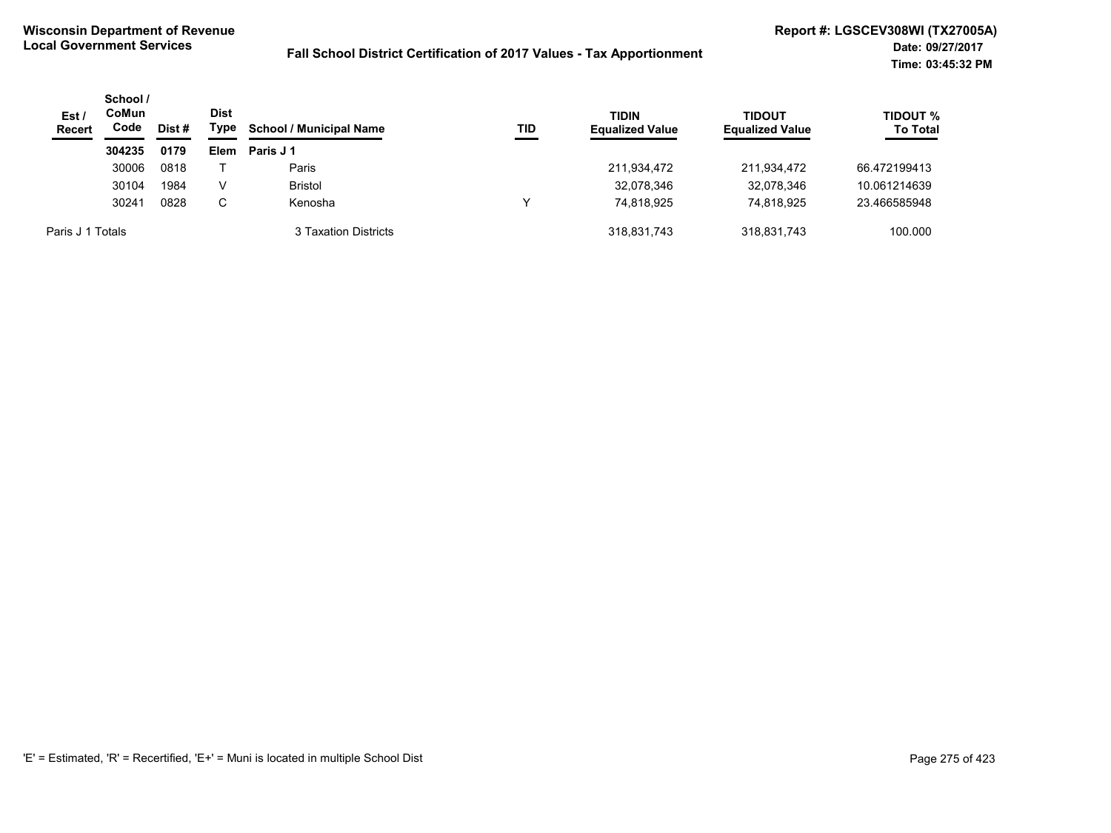| Est /<br><b>Recert</b> | School /<br>CoMun<br>Code | Dist # | Dist<br>Type | <b>School / Municipal Name</b> | <b>TID</b> | <b>TIDIN</b><br><b>Equalized Value</b> | <b>TIDOUT</b><br><b>Equalized Value</b> | <b>TIDOUT %</b><br><b>To Total</b> |
|------------------------|---------------------------|--------|--------------|--------------------------------|------------|----------------------------------------|-----------------------------------------|------------------------------------|
|                        | 304235                    | 0179   | Elem         | Paris J 1                      |            |                                        |                                         |                                    |
|                        | 30006                     | 0818   |              | Paris                          |            | 211,934,472                            | 211,934,472                             | 66.472199413                       |
|                        | 30104                     | 1984   | V            | <b>Bristol</b>                 |            | 32,078,346                             | 32,078,346                              | 10.061214639                       |
|                        | 30241                     | 0828   | C            | Kenosha                        |            | 74.818.925                             | 74.818.925                              | 23.466585948                       |
| Paris J 1 Totals       |                           |        |              | 3 Taxation Districts           |            | 318,831,743                            | 318,831,743                             | 100.000                            |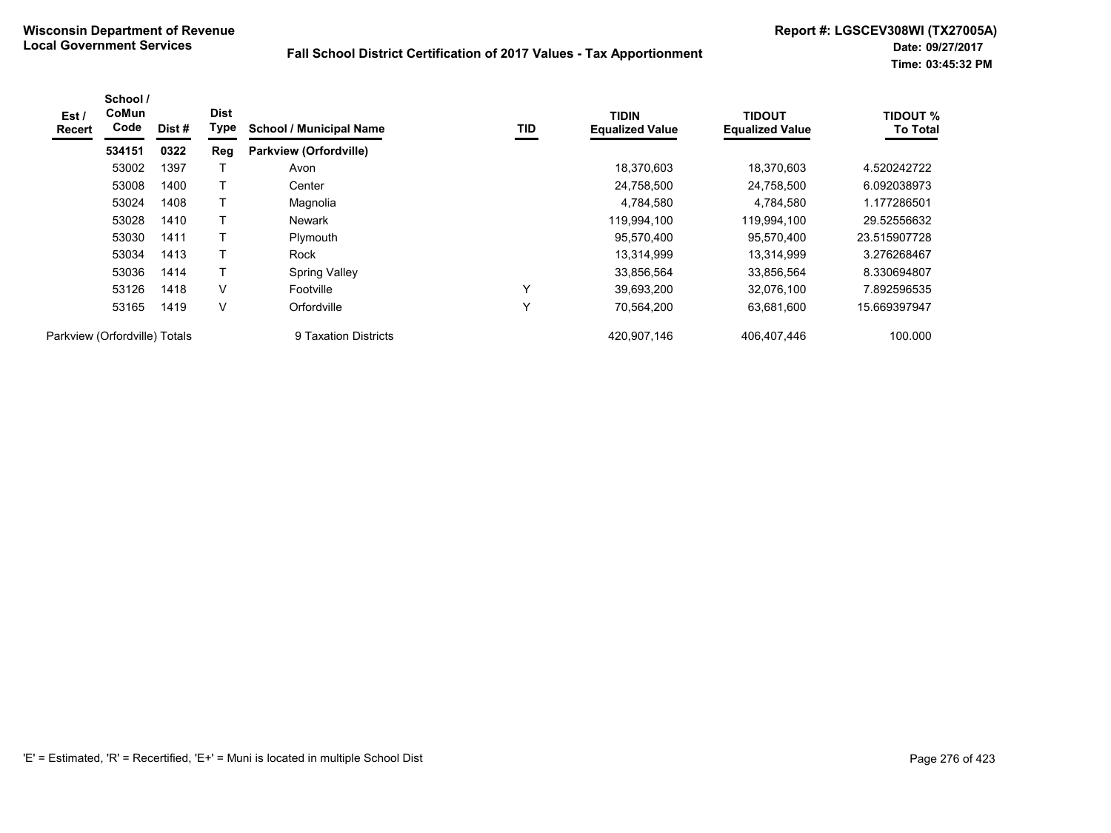| Est /<br><b>Recert</b>        | School /<br>CoMun<br>Code | Dist # | <b>Dist</b><br>Type | <b>School / Municipal Name</b> | <b>TID</b> | <b>TIDIN</b><br><b>Equalized Value</b> | <b>TIDOUT</b><br><b>Equalized Value</b> | <b>TIDOUT %</b><br><b>To Total</b> |
|-------------------------------|---------------------------|--------|---------------------|--------------------------------|------------|----------------------------------------|-----------------------------------------|------------------------------------|
|                               | 534151                    | 0322   | Reg                 | Parkview (Orfordville)         |            |                                        |                                         |                                    |
|                               | 53002                     | 1397   |                     | Avon                           |            | 18,370,603                             | 18,370,603                              | 4.520242722                        |
|                               | 53008                     | 1400   |                     | Center                         |            | 24,758,500                             | 24,758,500                              | 6.092038973                        |
|                               | 53024                     | 1408   |                     | Magnolia                       |            | 4,784,580                              | 4,784,580                               | 1.177286501                        |
|                               | 53028                     | 1410   |                     | <b>Newark</b>                  |            | 119,994,100                            | 119,994,100                             | 29.52556632                        |
|                               | 53030                     | 1411   |                     | Plymouth                       |            | 95,570,400                             | 95,570,400                              | 23.515907728                       |
|                               | 53034                     | 1413   |                     | Rock                           |            | 13,314,999                             | 13,314,999                              | 3.276268467                        |
|                               | 53036                     | 1414   | T                   | <b>Spring Valley</b>           |            | 33,856,564                             | 33,856,564                              | 8.330694807                        |
|                               | 53126                     | 1418   | V                   | Footville                      | Υ          | 39,693,200                             | 32,076,100                              | 7.892596535                        |
|                               | 53165                     | 1419   | V                   | Orfordville                    | Υ          | 70,564,200                             | 63,681,600                              | 15.669397947                       |
| Parkview (Orfordville) Totals |                           |        |                     | 9 Taxation Districts           |            | 420,907,146                            | 406,407,446                             | 100.000                            |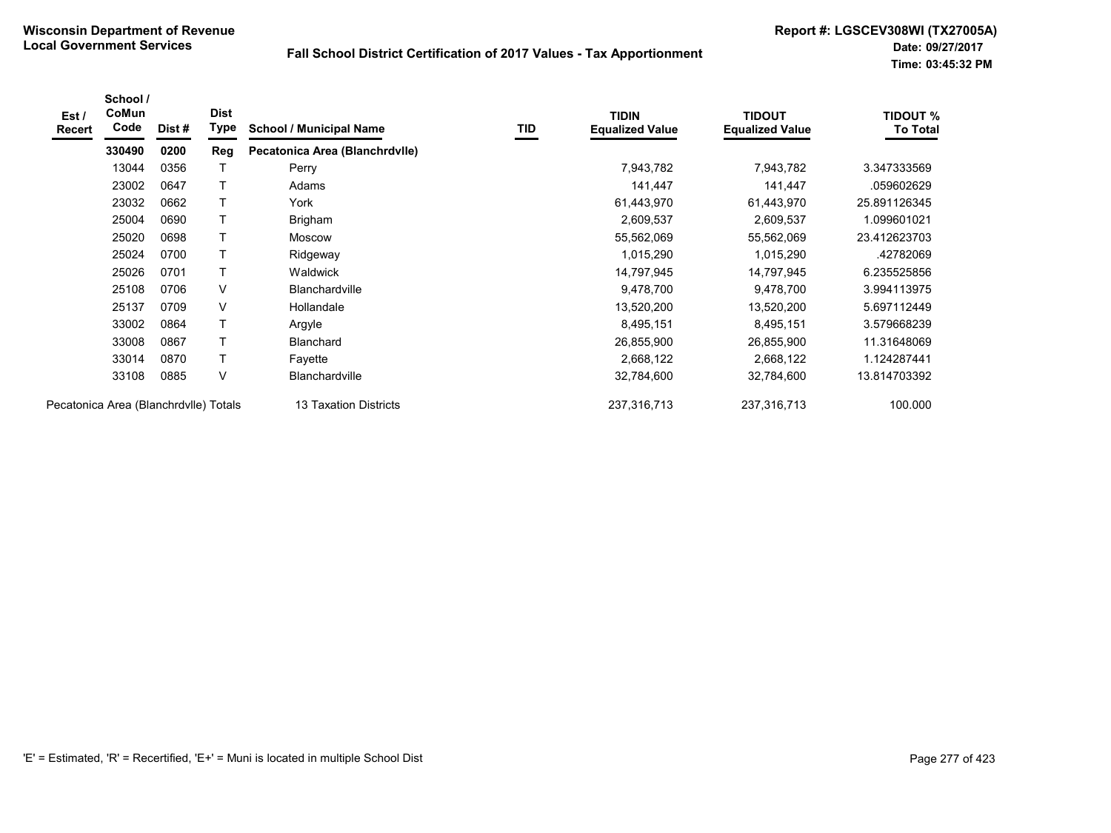| Est /<br><b>Recert</b>                | School /<br>CoMun<br>Code | Dist# | <b>Dist</b><br>Type | <b>School / Municipal Name</b> | TID | <b>TIDIN</b><br><b>Equalized Value</b> | <b>TIDOUT</b><br><b>Equalized Value</b> | <b>TIDOUT %</b><br><b>To Total</b> |
|---------------------------------------|---------------------------|-------|---------------------|--------------------------------|-----|----------------------------------------|-----------------------------------------|------------------------------------|
|                                       | 330490                    | 0200  | Reg                 | Pecatonica Area (Blanchrdvlle) |     |                                        |                                         |                                    |
|                                       | 13044                     | 0356  |                     | Perry                          |     | 7,943,782                              | 7,943,782                               | 3.347333569                        |
|                                       | 23002                     | 0647  |                     | Adams                          |     | 141,447                                | 141,447                                 | .059602629                         |
|                                       | 23032                     | 0662  |                     | York                           |     | 61,443,970                             | 61,443,970                              | 25.891126345                       |
|                                       | 25004                     | 0690  |                     | Brigham                        |     | 2,609,537                              | 2,609,537                               | 1.099601021                        |
|                                       | 25020                     | 0698  |                     | <b>Moscow</b>                  |     | 55,562,069                             | 55,562,069                              | 23.412623703                       |
|                                       | 25024                     | 0700  |                     | Ridgeway                       |     | 1,015,290                              | 1,015,290                               | .42782069                          |
|                                       | 25026                     | 0701  |                     | Waldwick                       |     | 14,797,945                             | 14,797,945                              | 6.235525856                        |
|                                       | 25108                     | 0706  | V                   | <b>Blanchardville</b>          |     | 9,478,700                              | 9,478,700                               | 3.994113975                        |
|                                       | 25137                     | 0709  | V                   | Hollandale                     |     | 13,520,200                             | 13,520,200                              | 5.697112449                        |
|                                       | 33002                     | 0864  |                     | Argyle                         |     | 8,495,151                              | 8,495,151                               | 3.579668239                        |
|                                       | 33008                     | 0867  |                     | <b>Blanchard</b>               |     | 26,855,900                             | 26,855,900                              | 11.31648069                        |
|                                       | 33014                     | 0870  |                     | Fayette                        |     | 2,668,122                              | 2,668,122                               | 1.124287441                        |
|                                       | 33108                     | 0885  | V                   | <b>Blanchardville</b>          |     | 32,784,600                             | 32,784,600                              | 13.814703392                       |
| Pecatonica Area (Blanchrdvlle) Totals |                           |       |                     | 13 Taxation Districts          |     | 237,316,713                            | 237,316,713                             | 100.000                            |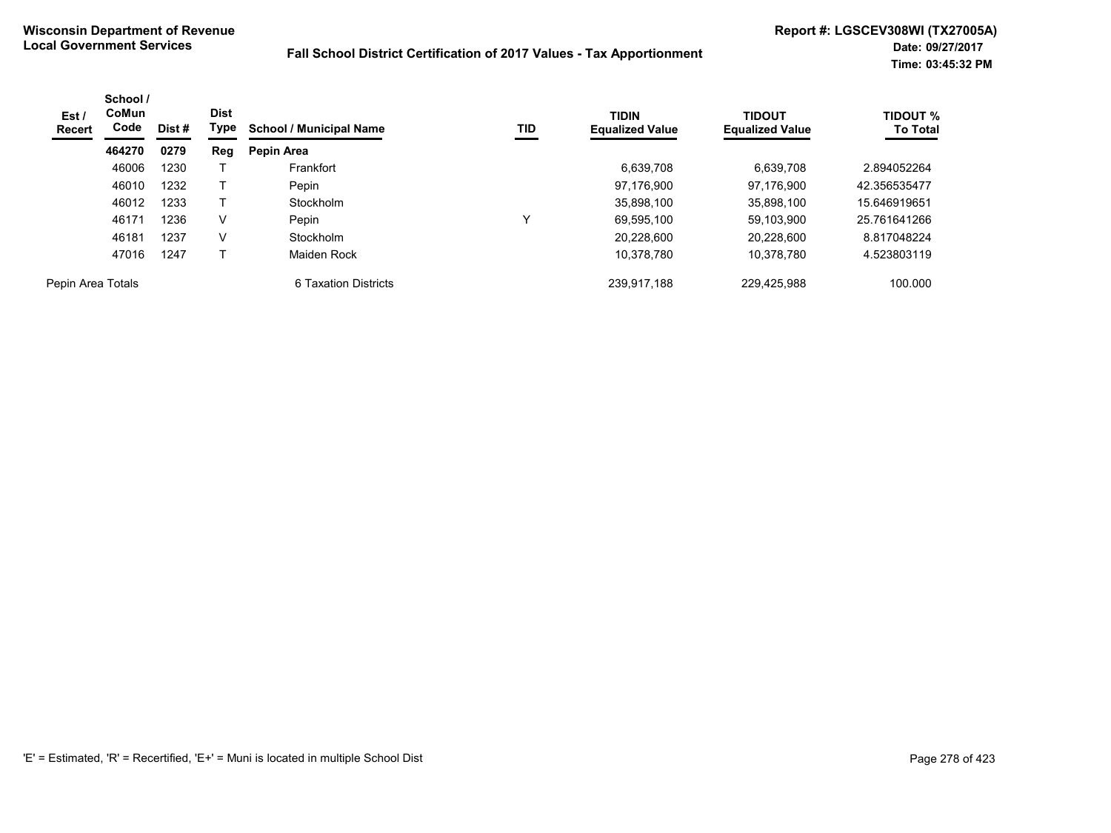| Est /<br><b>Recert</b> | School /<br>CoMun<br>Code | <b>Dist</b><br>Type<br>Dist # |        | TID<br><b>School / Municipal Name</b> | <b>TIDIN</b><br><b>Equalized Value</b> | <b>TIDOUT</b><br><b>Equalized Value</b> | <b>TIDOUT %</b><br><b>To Total</b> |              |
|------------------------|---------------------------|-------------------------------|--------|---------------------------------------|----------------------------------------|-----------------------------------------|------------------------------------|--------------|
|                        | 464270                    | 0279                          | Reg    | Pepin Area                            |                                        |                                         |                                    |              |
|                        | 46006                     | 1230                          |        | Frankfort                             |                                        | 6,639,708                               | 6,639,708                          | 2.894052264  |
|                        | 46010                     | 1232                          |        | Pepin                                 |                                        | 97.176.900                              | 97.176.900                         | 42.356535477 |
|                        | 46012                     | 1233                          |        | Stockholm                             |                                        | 35,898,100                              | 35,898,100                         | 15.646919651 |
|                        | 46171                     | 1236                          | V      | Pepin                                 | v                                      | 69,595,100                              | 59.103.900                         | 25.761641266 |
|                        | 46181                     | 1237                          | $\vee$ | Stockholm                             |                                        | 20.228.600                              | 20.228.600                         | 8.817048224  |
|                        | 47016                     | 1247                          |        | Maiden Rock                           |                                        | 10,378,780                              | 10,378,780                         | 4.523803119  |
| Pepin Area Totals      |                           |                               |        | 6 Taxation Districts                  |                                        | 239,917,188                             | 229.425.988                        | 100.000      |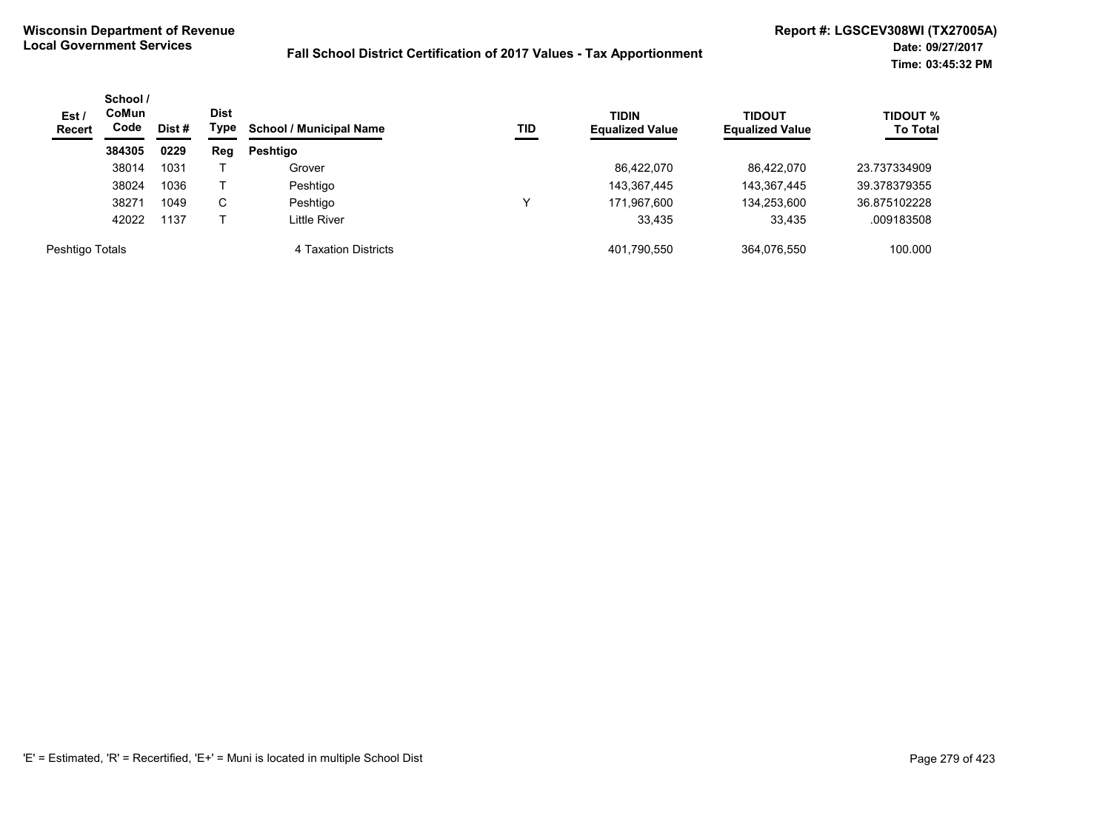| Est/<br><b>Recert</b> | School /<br>CoMun<br>Code<br>Dist # |      | <b>Dist</b><br>Type | <b>School / Municipal Name</b> | TID | <b>TIDIN</b><br><b>Equalized Value</b> | <b>TIDOUT</b><br><b>Equalized Value</b> | <b>TIDOUT %</b><br><b>To Total</b> |
|-----------------------|-------------------------------------|------|---------------------|--------------------------------|-----|----------------------------------------|-----------------------------------------|------------------------------------|
|                       | 384305                              | 0229 | Reg                 | <b>Peshtigo</b>                |     |                                        |                                         |                                    |
|                       | 38014                               | 1031 |                     | Grover                         |     | 86,422,070                             | 86.422.070                              | 23.737334909                       |
|                       | 38024                               | 1036 |                     | Peshtigo                       |     | 143,367,445                            | 143,367,445                             | 39.378379355                       |
|                       | 38271                               | 1049 | C                   | Peshtigo                       |     | 171,967,600                            | 134,253,600                             | 36.875102228                       |
|                       | 42022                               | 1137 |                     | Little River                   |     | 33.435                                 | 33.435                                  | .009183508                         |
| Peshtigo Totals       |                                     |      |                     | 4 Taxation Districts           |     | 401,790,550                            | 364.076.550                             | 100.000                            |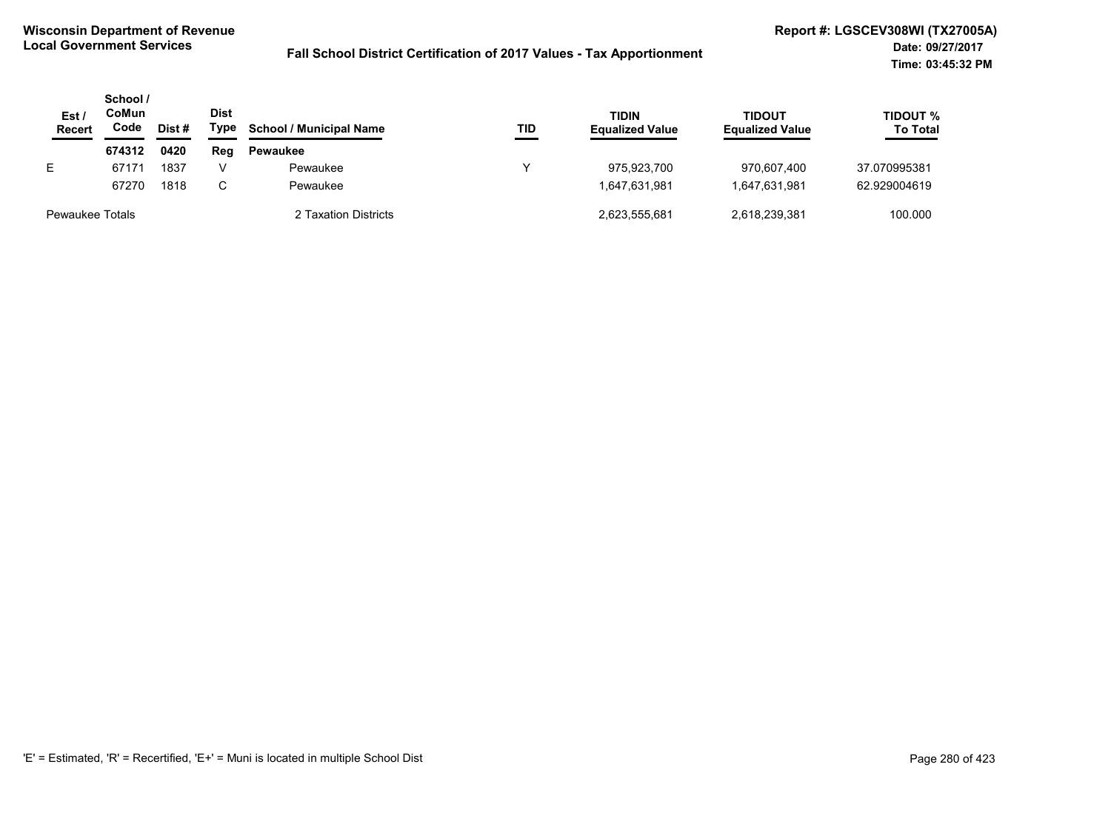| Est<br><b>Recert</b>   | School /<br>CoMun<br>Code | Dist # | <b>Dist</b><br>Type | <b>School / Municipal Name</b> | TID | <b>TIDIN</b><br><b>Equalized Value</b> | <b>TIDOUT</b><br><b>Equalized Value</b> | <b>TIDOUT %</b><br><b>To Total</b> |
|------------------------|---------------------------|--------|---------------------|--------------------------------|-----|----------------------------------------|-----------------------------------------|------------------------------------|
|                        | 674312                    | 0420   | Reg                 | Pewaukee                       |     |                                        |                                         |                                    |
| E.                     | 67171                     | 1837   | V                   | Pewaukee                       |     | 975.923.700                            | 970.607.400                             | 37.070995381                       |
|                        | 67270                     | 1818   | C.                  | Pewaukee                       |     | 1.647.631.981                          | 1,647,631,981                           | 62.929004619                       |
| <b>Pewaukee Totals</b> |                           |        |                     | 2 Taxation Districts           |     | 2,623,555,681                          | 2,618,239,381                           | 100.000                            |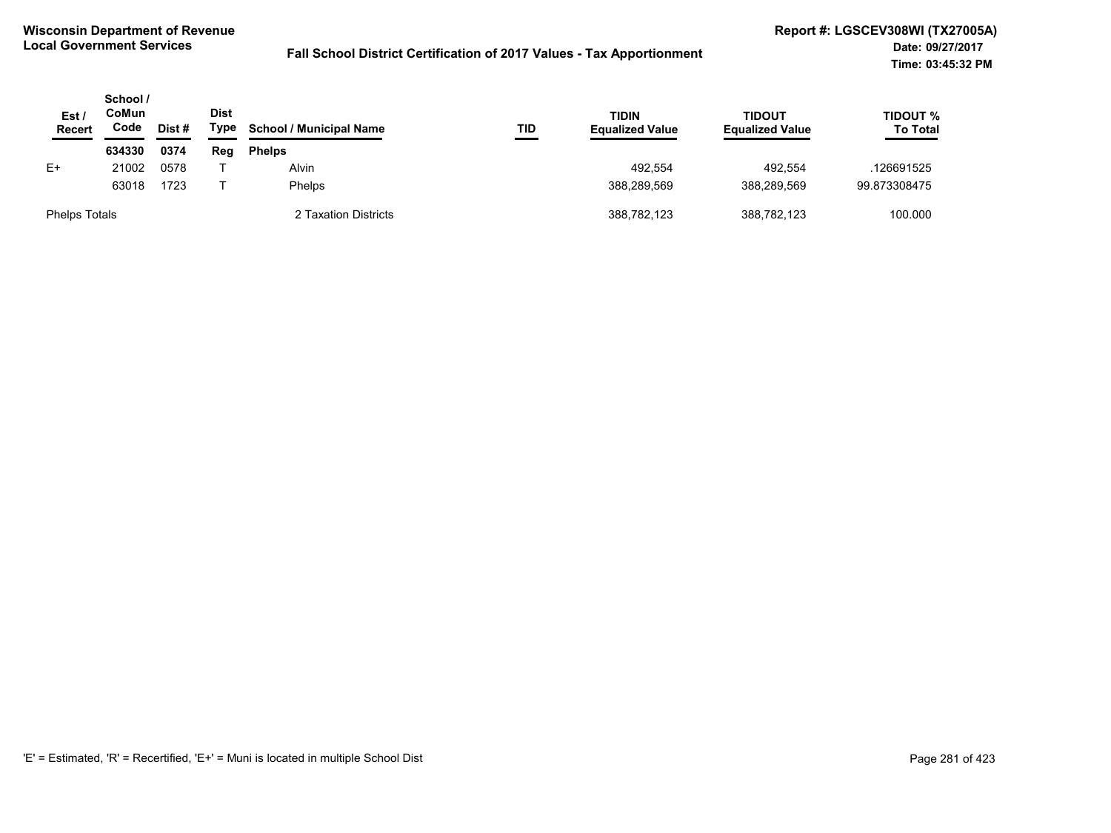| Est <sub>1</sub><br><b>Recert</b> | School /<br>CoMun<br>Code | Dist# | <b>Dist</b><br>Type | <b>School / Municipal Name</b> | TID | TIDIN<br><b>Equalized Value</b> | <b>TIDOUT</b><br><b>Equalized Value</b> | TIDOUT %<br><b>To Total</b> |
|-----------------------------------|---------------------------|-------|---------------------|--------------------------------|-----|---------------------------------|-----------------------------------------|-----------------------------|
|                                   | 634330                    | 0374  | Reg                 | <b>Phelps</b>                  |     |                                 |                                         |                             |
| E+                                | 21002                     | 0578  |                     | Alvin                          |     | 492.554                         | 492.554                                 | .126691525                  |
|                                   | 63018                     | 1723  |                     | <b>Phelps</b>                  |     | 388.289.569                     | 388.289.569                             | 99.873308475                |
| <b>Phelps Totals</b>              |                           |       |                     | 2 Taxation Districts           |     | 388,782,123                     | 388,782,123                             | 100.000                     |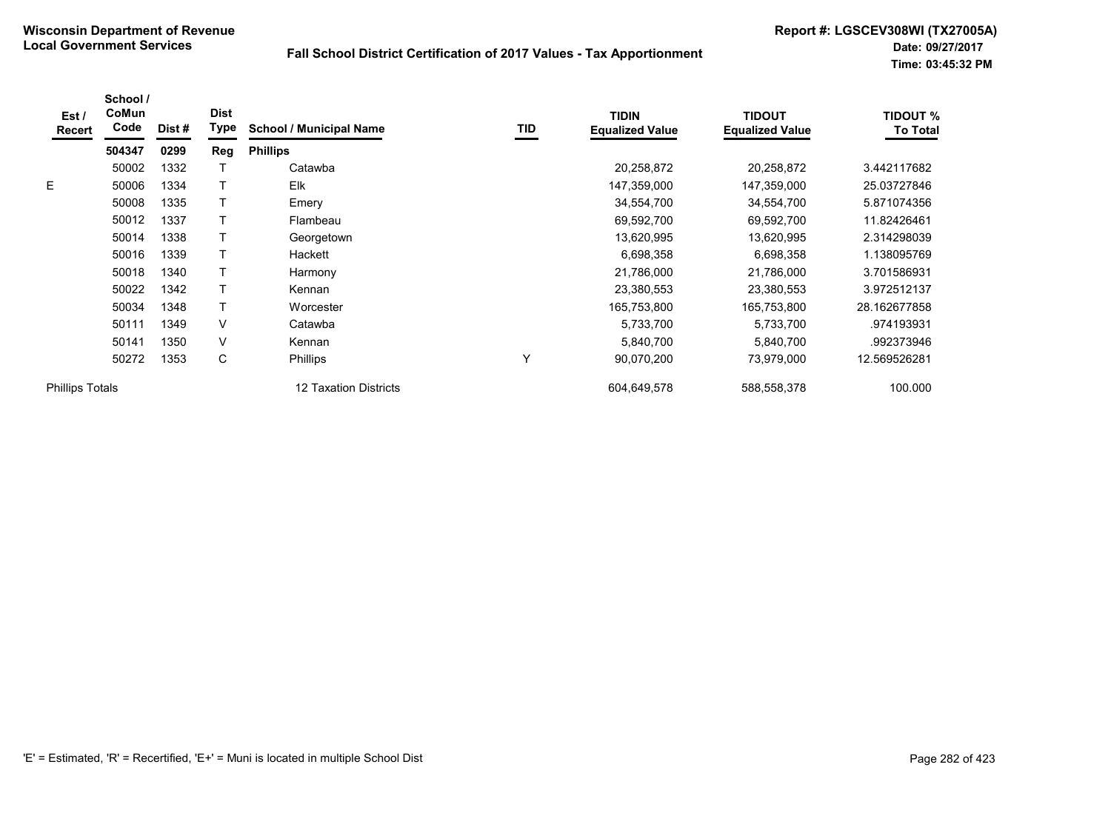| Est/<br>Recert         | School /<br>CoMun<br>Code | Dist# | <b>Dist</b><br><b>Type</b> | <b>School / Municipal Name</b> | <b>TID</b> | <b>TIDIN</b><br><b>Equalized Value</b> | <b>TIDOUT</b><br><b>Equalized Value</b> | <b>TIDOUT %</b><br><b>To Total</b> |
|------------------------|---------------------------|-------|----------------------------|--------------------------------|------------|----------------------------------------|-----------------------------------------|------------------------------------|
|                        | 504347                    | 0299  | Reg                        | <b>Phillips</b>                |            |                                        |                                         |                                    |
|                        | 50002                     | 1332  |                            | Catawba                        |            | 20,258,872                             | 20,258,872                              | 3.442117682                        |
| E.                     | 50006                     | 1334  |                            | Elk                            |            | 147,359,000                            | 147,359,000                             | 25.03727846                        |
|                        | 50008                     | 1335  |                            | Emery                          |            | 34,554,700                             | 34,554,700                              | 5.871074356                        |
|                        | 50012                     | 1337  |                            | Flambeau                       |            | 69,592,700                             | 69,592,700                              | 11.82426461                        |
|                        | 50014                     | 1338  |                            | Georgetown                     |            | 13,620,995                             | 13,620,995                              | 2.314298039                        |
|                        | 50016                     | 1339  |                            | Hackett                        |            | 6,698,358                              | 6,698,358                               | 1.138095769                        |
|                        | 50018                     | 1340  |                            | Harmony                        |            | 21,786,000                             | 21,786,000                              | 3.701586931                        |
|                        | 50022                     | 1342  |                            | Kennan                         |            | 23,380,553                             | 23,380,553                              | 3.972512137                        |
|                        | 50034                     | 1348  |                            | Worcester                      |            | 165,753,800                            | 165,753,800                             | 28.162677858                       |
|                        | 50111                     | 1349  | V                          | Catawba                        |            | 5,733,700                              | 5,733,700                               | .974193931                         |
|                        | 50141                     | 1350  | V                          | Kennan                         |            | 5,840,700                              | 5,840,700                               | .992373946                         |
|                        | 50272                     | 1353  | С                          | <b>Phillips</b>                | Υ          | 90,070,200                             | 73,979,000                              | 12.569526281                       |
| <b>Phillips Totals</b> |                           |       |                            | <b>12 Taxation Districts</b>   |            | 604,649,578                            | 588,558,378                             | 100.000                            |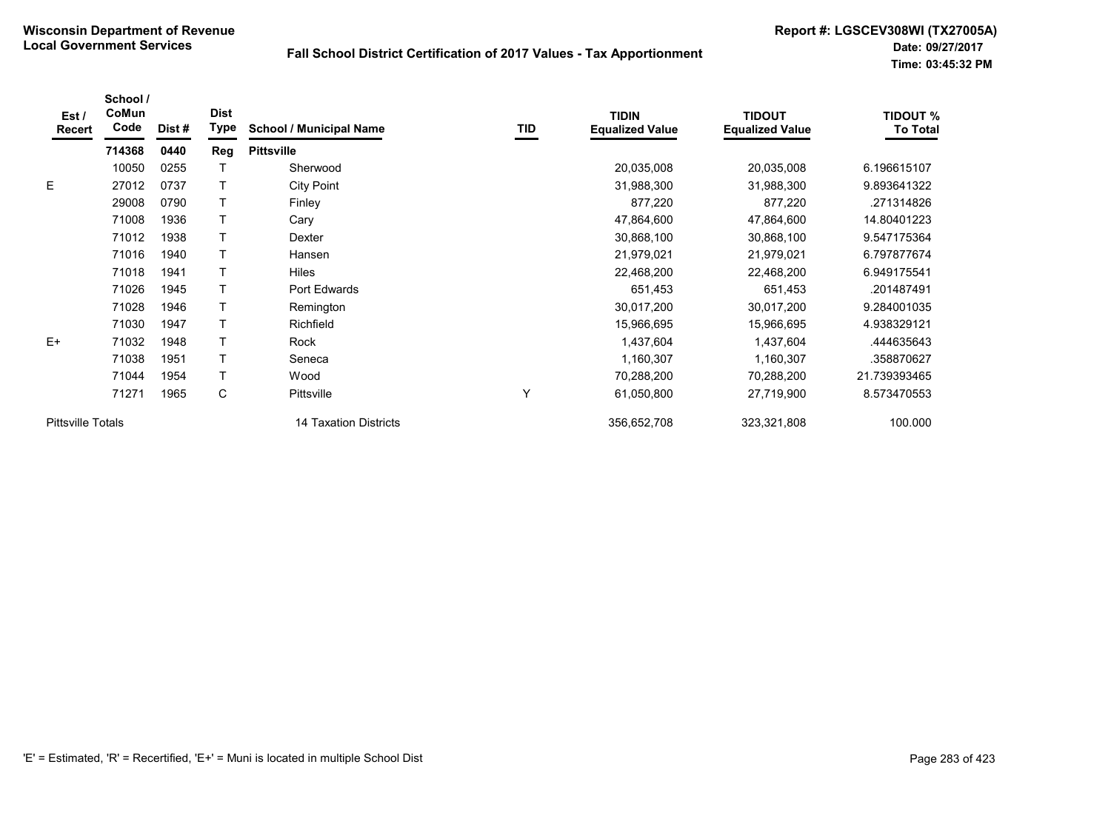| Est/<br><b>Recert</b>    | School /<br>CoMun<br>Code | Dist# | <b>Dist</b><br><b>Type</b> | <b>School / Municipal Name</b> | TID | <b>TIDIN</b><br><b>Equalized Value</b> | <b>TIDOUT</b><br><b>Equalized Value</b> | <b>TIDOUT %</b><br><b>To Total</b> |
|--------------------------|---------------------------|-------|----------------------------|--------------------------------|-----|----------------------------------------|-----------------------------------------|------------------------------------|
|                          | 714368                    | 0440  | <b>Reg</b>                 | <b>Pittsville</b>              |     |                                        |                                         |                                    |
|                          | 10050                     | 0255  |                            | Sherwood                       |     | 20,035,008                             | 20,035,008                              | 6.196615107                        |
| E.                       | 27012                     | 0737  |                            | <b>City Point</b>              |     | 31,988,300                             | 31,988,300                              | 9.893641322                        |
|                          | 29008                     | 0790  |                            | Finley                         |     | 877,220                                | 877,220                                 | .271314826                         |
|                          | 71008                     | 1936  |                            | Cary                           |     | 47,864,600                             | 47,864,600                              | 14.80401223                        |
|                          | 71012                     | 1938  |                            | Dexter                         |     | 30,868,100                             | 30,868,100                              | 9.547175364                        |
|                          | 71016                     | 1940  |                            | Hansen                         |     | 21,979,021                             | 21,979,021                              | 6.797877674                        |
|                          | 71018                     | 1941  |                            | <b>Hiles</b>                   |     | 22,468,200                             | 22,468,200                              | 6.949175541                        |
|                          | 71026                     | 1945  |                            | Port Edwards                   |     | 651,453                                | 651,453                                 | .201487491                         |
|                          | 71028                     | 1946  |                            | Remington                      |     | 30,017,200                             | 30,017,200                              | 9.284001035                        |
|                          | 71030                     | 1947  |                            | Richfield                      |     | 15,966,695                             | 15,966,695                              | 4.938329121                        |
| $E+$                     | 71032                     | 1948  |                            | Rock                           |     | 1,437,604                              | 1,437,604                               | .444635643                         |
|                          | 71038                     | 1951  |                            | Seneca                         |     | 1,160,307                              | 1,160,307                               | .358870627                         |
|                          | 71044                     | 1954  |                            | Wood                           |     | 70,288,200                             | 70,288,200                              | 21.739393465                       |
|                          | 71271                     | 1965  | C                          | <b>Pittsville</b>              | Υ   | 61,050,800                             | 27,719,900                              | 8.573470553                        |
| <b>Pittsville Totals</b> |                           |       |                            | 14 Taxation Districts          |     | 356,652,708                            | 323,321,808                             | 100.000                            |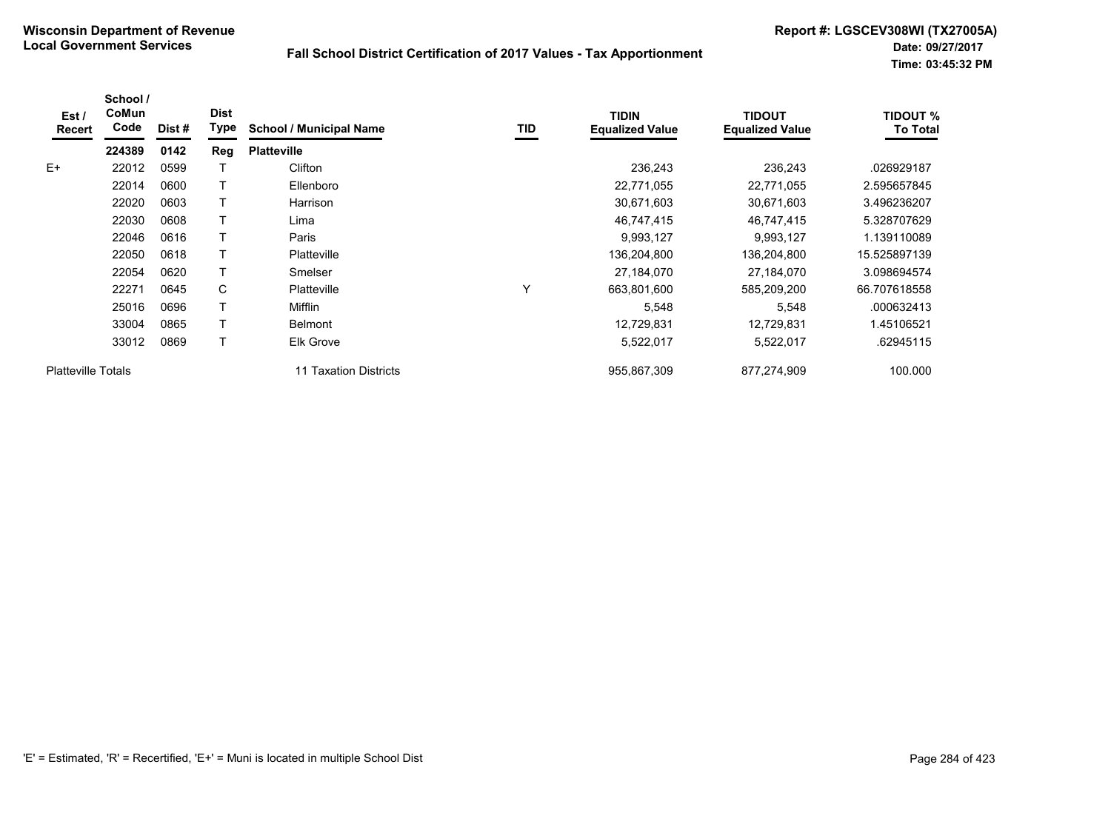| Est /<br><b>Recert</b>    | School /<br><b>CoMun</b><br>Code | Dist #               | <b>Dist</b><br>Type | <b>School / Municipal Name</b> | TID | <b>TIDIN</b><br><b>Equalized Value</b> | <b>TIDOUT</b><br><b>Equalized Value</b> | <b>TIDOUT %</b><br>To Total |
|---------------------------|----------------------------------|----------------------|---------------------|--------------------------------|-----|----------------------------------------|-----------------------------------------|-----------------------------|
|                           | 224389                           | 0142                 | Reg                 | <b>Platteville</b>             |     |                                        |                                         |                             |
| $E+$                      | 22012                            | 0599                 |                     | Clifton                        |     | 236,243                                | 236,243                                 | .026929187                  |
|                           | 22014                            | 0600                 |                     | Ellenboro                      |     | 22,771,055                             | 22,771,055                              | 2.595657845                 |
|                           | 22020                            | 0603                 |                     | Harrison                       |     | 30,671,603                             | 30,671,603                              | 3.496236207                 |
|                           | 22030                            | 0608                 |                     | Lima                           |     | 46,747,415                             | 46,747,415                              | 5.328707629                 |
|                           | 22046<br>22050                   | 0616<br>0618<br>0620 |                     | Paris                          |     | 9,993,127                              | 9,993,127                               | 1.139110089                 |
|                           |                                  |                      |                     | <b>Platteville</b>             |     | 136,204,800                            | 136,204,800                             | 15.525897139                |
|                           | 22054                            |                      |                     | Smelser                        |     | 27,184,070                             | 27,184,070                              | 3.098694574                 |
|                           | 22271                            | 0645                 | C                   | Platteville                    | Υ   | 663,801,600                            | 585,209,200                             | 66.707618558                |
|                           | 25016                            | 0696                 |                     | Mifflin                        |     | 5,548                                  | 5,548                                   | .000632413                  |
|                           | 33004                            | 0865                 |                     | <b>Belmont</b>                 |     | 12,729,831                             | 12,729,831                              | 1.45106521                  |
|                           | 33012                            | 0869                 |                     | Elk Grove                      |     | 5,522,017                              | 5,522,017                               | .62945115                   |
| <b>Platteville Totals</b> |                                  |                      |                     | 11 Taxation Districts          |     | 955,867,309                            | 877,274,909                             | 100.000                     |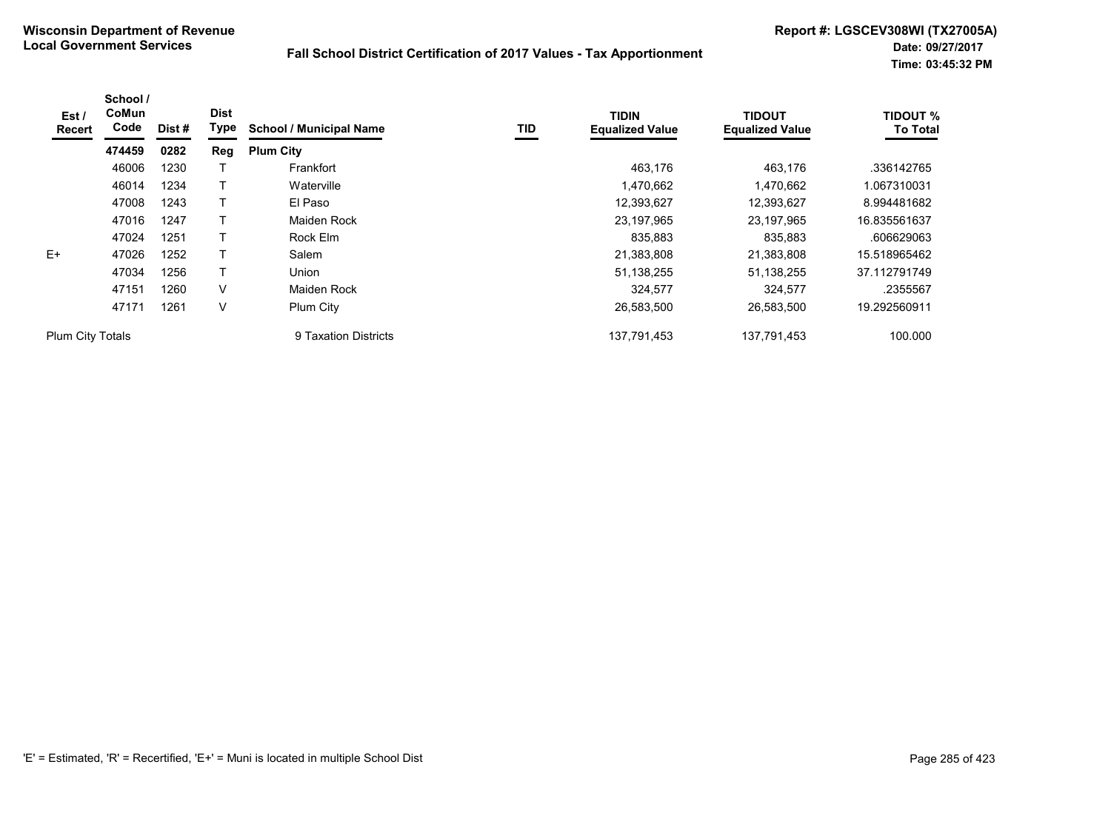| Est /<br>Recert  | School /<br>CoMun<br>Code | Dist# | <b>Dist</b><br>Type | <b>School / Municipal Name</b> | TID | <b>TIDIN</b><br><b>Equalized Value</b> | <b>TIDOUT</b><br><b>Equalized Value</b> | <b>TIDOUT %</b><br><b>To Total</b> |
|------------------|---------------------------|-------|---------------------|--------------------------------|-----|----------------------------------------|-----------------------------------------|------------------------------------|
|                  | 474459                    | 0282  | Reg                 | <b>Plum City</b>               |     |                                        |                                         |                                    |
|                  | 46006                     | 1230  |                     | Frankfort                      |     | 463,176                                | 463,176                                 | .336142765                         |
|                  | 46014                     | 1234  |                     | Waterville                     |     | 1,470,662                              | 1,470,662                               | 1.067310031                        |
|                  | 47008                     | 1243  | Т                   | El Paso                        |     | 12,393,627                             | 12,393,627                              | 8.994481682                        |
|                  | 47016                     | 1247  |                     | Maiden Rock                    |     | 23,197,965                             | 23,197,965                              | 16.835561637                       |
|                  | 47024                     | 1251  | т                   | Rock Elm                       |     | 835,883                                | 835,883                                 | .606629063                         |
| $E+$             | 47026                     | 1252  |                     | Salem                          |     | 21,383,808                             | 21,383,808                              | 15.518965462                       |
|                  | 47034                     | 1256  | T                   | Union                          |     | 51,138,255                             | 51, 138, 255                            | 37.112791749                       |
|                  | 47151                     | 1260  | $\vee$              | Maiden Rock                    |     | 324,577                                | 324,577                                 | .2355567                           |
|                  | 47171                     | 1261  | V                   | Plum City                      |     | 26,583,500                             | 26,583,500                              | 19.292560911                       |
| Plum City Totals |                           |       |                     | 9 Taxation Districts           |     | 137,791,453                            | 137,791,453                             | 100.000                            |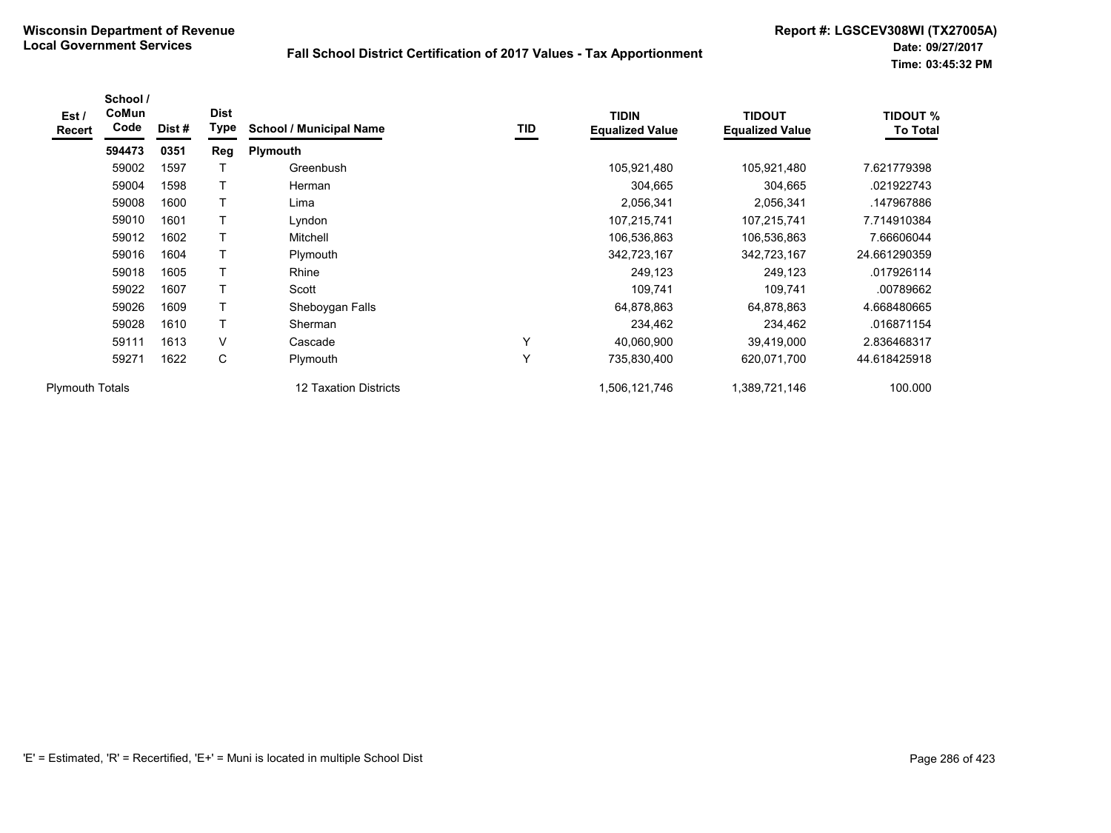| Est /<br>Recert        | School /<br>CoMun<br>Code | Dist# | <b>Dist</b><br>Type | <b>School / Municipal Name</b> | TID | <b>TIDIN</b><br><b>Equalized Value</b> | <b>TIDOUT</b><br><b>Equalized Value</b> | <b>TIDOUT %</b><br><b>To Total</b> |
|------------------------|---------------------------|-------|---------------------|--------------------------------|-----|----------------------------------------|-----------------------------------------|------------------------------------|
|                        | 594473                    | 0351  | <b>Reg</b>          | <b>Plymouth</b>                |     |                                        |                                         |                                    |
|                        | 59002                     | 1597  |                     | Greenbush                      |     | 105,921,480                            | 105,921,480                             | 7.621779398                        |
|                        | 59004                     | 1598  | т                   | Herman                         |     | 304,665                                | 304,665                                 | .021922743                         |
|                        | 59008                     | 1600  |                     | Lima                           |     | 2,056,341                              | 2,056,341                               | .147967886                         |
|                        | 59010                     | 1601  |                     | Lyndon                         |     | 107,215,741                            | 107,215,741                             | 7.714910384                        |
|                        | 59012                     | 1602  |                     | Mitchell                       |     | 106,536,863                            | 106,536,863                             | 7.66606044                         |
|                        | 59016                     | 1604  |                     | Plymouth                       |     | 342,723,167                            | 342,723,167                             | 24.661290359                       |
|                        | 59018                     | 1605  | т                   | Rhine                          |     | 249,123                                | 249,123                                 | .017926114                         |
|                        | 59022                     | 1607  | т                   | Scott                          |     | 109,741                                | 109,741                                 | .00789662                          |
|                        | 59026                     | 1609  |                     | Sheboygan Falls                |     | 64,878,863                             | 64,878,863                              | 4.668480665                        |
|                        | 59028                     | 1610  | т                   | Sherman                        |     | 234,462                                | 234,462                                 | .016871154                         |
|                        | 59111                     | 1613  | V                   | Cascade                        | Υ   | 40,060,900                             | 39,419,000                              | 2.836468317                        |
|                        | 59271                     | 1622  | С                   | Plymouth                       | Υ   | 735,830,400                            | 620,071,700                             | 44.618425918                       |
| <b>Plymouth Totals</b> |                           |       |                     | <b>12 Taxation Districts</b>   |     | 1,506,121,746                          | 1,389,721,146                           | 100.000                            |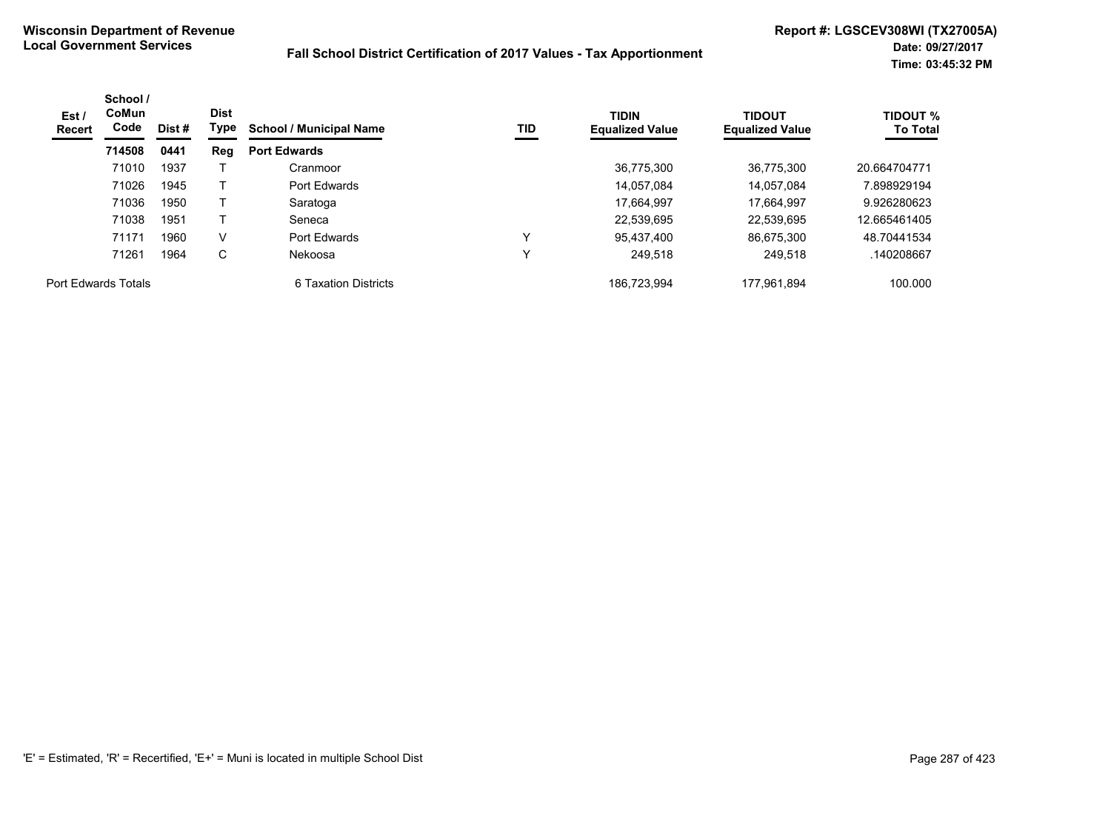| Est /<br><b>Recert</b> | School /<br><b>CoMun</b><br>Code | <b>Dist</b><br>Type<br>Dist # |     | <b>School / Municipal Name</b> | TID | <b>TIDIN</b><br><b>Equalized Value</b> | <b>TIDOUT</b><br><b>Equalized Value</b> | <b>TIDOUT %</b><br><b>To Total</b> |
|------------------------|----------------------------------|-------------------------------|-----|--------------------------------|-----|----------------------------------------|-----------------------------------------|------------------------------------|
|                        | 714508                           | 0441                          | Reg | <b>Port Edwards</b>            |     |                                        |                                         |                                    |
|                        | 71010                            | 1937                          |     | Cranmoor                       |     | 36,775,300                             | 36,775,300                              | 20.664704771                       |
|                        | 71026                            | 1945                          |     | Port Edwards                   |     | 14.057.084                             | 14.057.084                              | 7.898929194                        |
|                        | 71036                            | 1950                          |     | Saratoga                       |     | 17.664.997                             | 17.664.997                              | 9.926280623                        |
|                        | 71038                            | 1951                          |     | Seneca                         |     | 22,539,695                             | 22.539.695                              | 12.665461405                       |
|                        | 71171                            | 1960                          | V   | Port Edwards                   | v   | 95.437.400                             | 86.675.300                              | 48.70441534                        |
|                        | 71261                            | 1964                          | C   | Nekoosa                        |     | 249.518                                | 249.518                                 | .140208667                         |
| Port Edwards Totals    |                                  |                               |     | 6 Taxation Districts           |     | 186,723,994                            | 177,961,894                             | 100.000                            |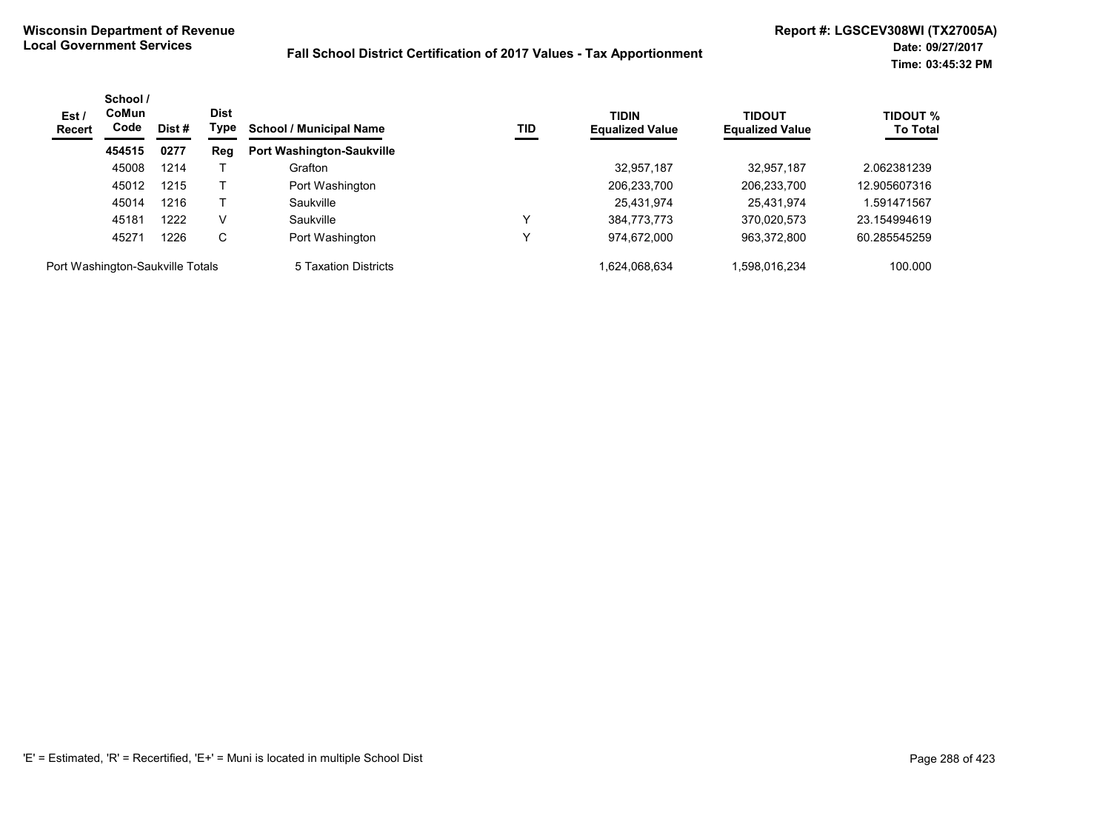| Est/<br><b>Recert</b>            | School /<br><b>CoMun</b><br>Code | Dist# | <b>Dist</b><br>Type | <b>School / Municipal Name</b>   | TID | <b>TIDIN</b><br><b>Equalized Value</b> | <b>TIDOUT</b><br><b>Equalized Value</b> | <b>TIDOUT %</b><br><b>To Total</b> |
|----------------------------------|----------------------------------|-------|---------------------|----------------------------------|-----|----------------------------------------|-----------------------------------------|------------------------------------|
|                                  | 454515                           | 0277  | Reg                 | <b>Port Washington-Saukville</b> |     |                                        |                                         |                                    |
|                                  | 45008                            | 1214  |                     | Grafton                          |     | 32,957,187                             | 32.957.187                              | 2.062381239                        |
|                                  | 45012                            | 1215  |                     | Port Washington                  |     | 206,233,700                            | 206,233,700                             | 12.905607316                       |
|                                  | 45014                            | 1216  |                     | Saukville                        |     | 25,431,974                             | 25,431,974                              | .591471567                         |
|                                  | 45181                            | 1222  | V                   | Saukville                        | v   | 384,773,773                            | 370,020,573                             | 23.154994619                       |
|                                  | 45271                            | 1226  | C                   | Port Washington                  | v   | 974,672,000                            | 963,372,800                             | 60.285545259                       |
| Port Washington-Saukville Totals |                                  |       |                     | 5 Taxation Districts             |     | 1.624.068.634                          | .598.016.234                            | 100.000                            |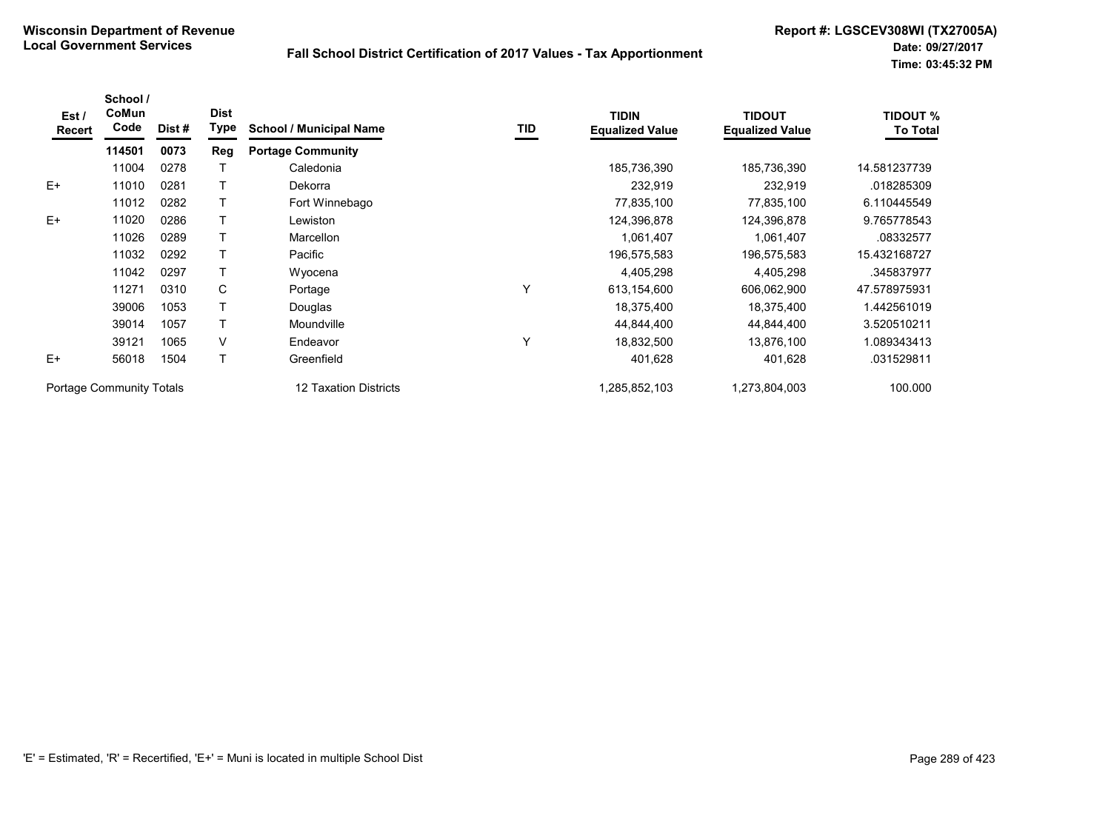| Est/<br>Recert | School /<br>CoMun<br>Code       | Dist # | <b>Dist</b><br>Type | <b>School / Municipal Name</b> | TID | <b>TIDIN</b><br><b>Equalized Value</b> | <b>TIDOUT</b><br><b>Equalized Value</b> | <b>TIDOUT %</b><br><b>To Total</b> |
|----------------|---------------------------------|--------|---------------------|--------------------------------|-----|----------------------------------------|-----------------------------------------|------------------------------------|
|                | 114501                          | 0073   | <b>Reg</b>          | <b>Portage Community</b>       |     |                                        |                                         |                                    |
|                | 11004                           | 0278   |                     | Caledonia                      |     | 185,736,390                            | 185,736,390                             | 14.581237739                       |
| $E+$           | 11010                           | 0281   |                     | Dekorra                        |     | 232,919                                | 232,919                                 | .018285309                         |
|                | 11012                           | 0282   |                     | Fort Winnebago                 |     | 77,835,100                             | 77,835,100                              | 6.110445549                        |
| $E+$           | 11020                           | 0286   |                     | Lewiston                       |     | 124,396,878                            | 124,396,878                             | 9.765778543                        |
|                | 11026                           | 0289   |                     | <b>Marcellon</b>               |     | 1,061,407                              | 1,061,407                               | .08332577                          |
|                | 11032                           | 0292   |                     | Pacific                        |     | 196,575,583                            | 196,575,583                             | 15.432168727                       |
|                | 11042                           | 0297   |                     | Wyocena                        |     | 4,405,298                              | 4,405,298                               | .345837977                         |
|                | 11271                           | 0310   | C                   | Portage                        | Y   | 613,154,600                            | 606,062,900                             | 47.578975931                       |
|                | 39006                           | 1053   |                     | Douglas                        |     | 18,375,400                             | 18,375,400                              | 1.442561019                        |
|                | 39014                           | 1057   |                     | Moundville                     |     | 44,844,400                             | 44,844,400                              | 3.520510211                        |
|                | 39121                           | 1065   | V                   | Endeavor                       | Y   | 18,832,500                             | 13,876,100                              | 1.089343413                        |
| $E+$           | 56018                           | 1504   |                     | Greenfield                     |     | 401,628                                | 401,628                                 | .031529811                         |
|                | <b>Portage Community Totals</b> |        |                     | 12 Taxation Districts          |     | 1,285,852,103                          | 1,273,804,003                           | 100.000                            |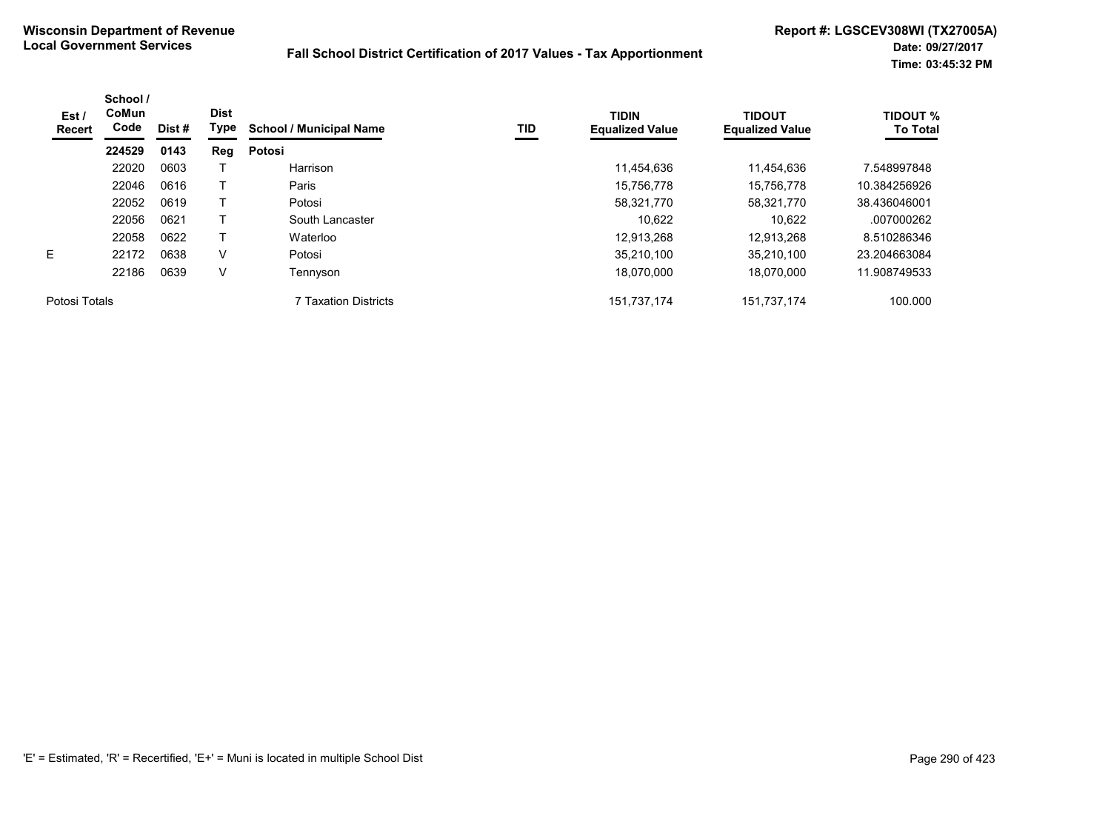| Est/<br><b>Recert</b> | School /<br>CoMun<br>Code | Dist# | <b>Dist</b><br>Type | <b>School / Municipal Name</b> | TID | <b>TIDIN</b><br><b>Equalized Value</b> | <b>TIDOUT</b><br><b>Equalized Value</b> | <b>TIDOUT %</b><br><b>To Total</b> |
|-----------------------|---------------------------|-------|---------------------|--------------------------------|-----|----------------------------------------|-----------------------------------------|------------------------------------|
|                       | 224529                    | 0143  | Reg                 | Potosi                         |     |                                        |                                         |                                    |
|                       | 22020                     | 0603  |                     | Harrison                       |     | 11,454,636                             | 11,454,636                              | 7.548997848                        |
|                       | 22046                     | 0616  |                     | Paris                          |     | 15,756,778                             | 15.756.778                              | 10.384256926                       |
|                       | 22052                     | 0619  |                     | Potosi                         |     | 58,321,770                             | 58,321,770                              | 38.436046001                       |
|                       | 22056                     | 0621  |                     | South Lancaster                |     | 10.622                                 | 10.622                                  | .007000262                         |
|                       | 22058                     | 0622  |                     | Waterloo                       |     | 12.913.268                             | 12.913.268                              | 8.510286346                        |
| E.                    | 22172                     | 0638  | V                   | Potosi                         |     | 35.210.100                             | 35.210.100                              | 23.204663084                       |
|                       | 22186                     | 0639  | V                   | Tennyson                       |     | 18,070,000                             | 18.070.000                              | 11.908749533                       |
| Potosi Totals         |                           |       |                     | 7 Taxation Districts           |     | 151,737,174                            | 151,737,174                             | 100.000                            |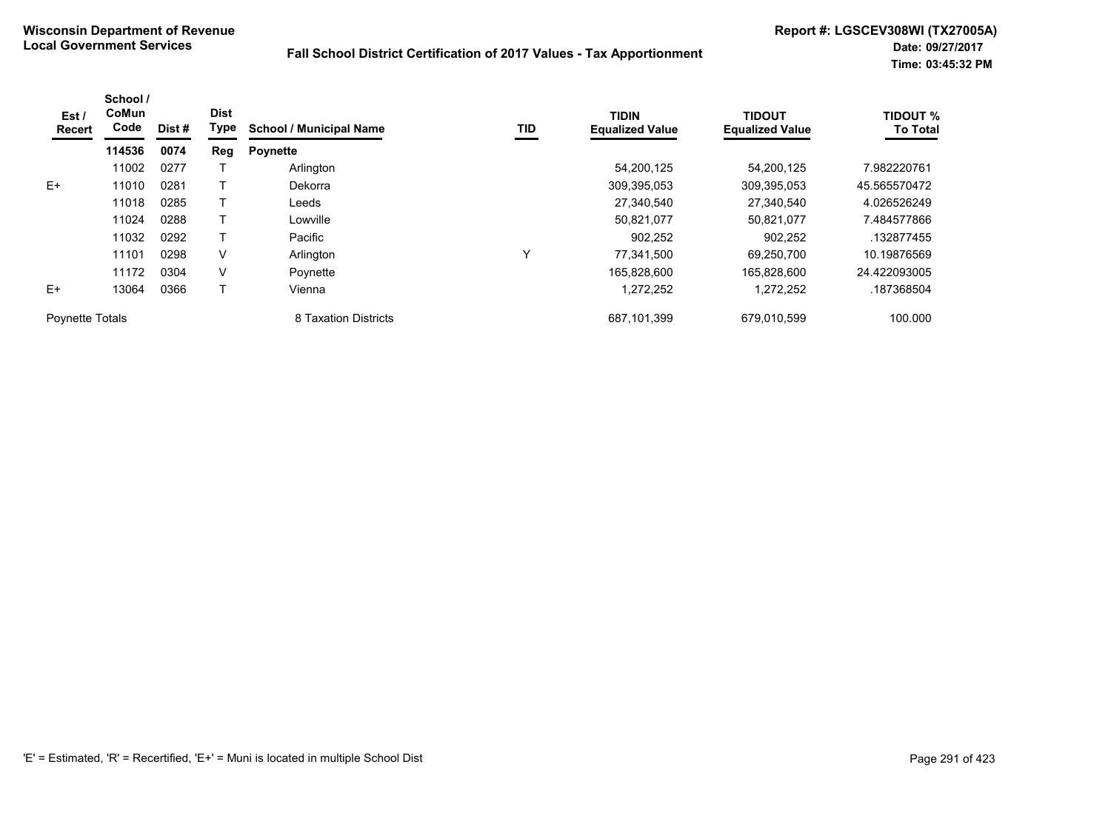| Est /<br>Recert | School /<br>CoMun<br>Code | Dist # | <b>Dist</b><br>Type | <b>School / Municipal Name</b> | TID | <b>TIDIN</b><br><b>Equalized Value</b> | <b>TIDOUT</b><br><b>Equalized Value</b> | <b>TIDOUT %</b><br><b>To Total</b> |
|-----------------|---------------------------|--------|---------------------|--------------------------------|-----|----------------------------------------|-----------------------------------------|------------------------------------|
|                 | 114536                    | 0074   | Reg                 | <b>Poynette</b>                |     |                                        |                                         |                                    |
|                 | 11002                     | 0277   |                     | Arlington                      |     | 54,200,125                             | 54,200,125                              | 7.982220761                        |
| $E+$            | 11010                     | 0281   |                     | Dekorra                        |     | 309,395,053                            | 309,395,053                             | 45.565570472                       |
|                 | 11018                     | 0285   |                     | Leeds                          |     | 27,340,540                             | 27,340,540                              | 4.026526249                        |
|                 | 11024                     | 0288   |                     | Lowville                       |     | 50,821,077                             | 50.821.077                              | 7.484577866                        |
|                 | 11032                     | 0292   |                     | Pacific                        |     | 902,252                                | 902,252                                 | .132877455                         |
|                 | 11101                     | 0298   | V                   | Arlington                      | Υ   | 77,341,500                             | 69,250,700                              | 10.19876569                        |
|                 | 11172                     | 0304   | V                   | Poynette                       |     | 165,828,600                            | 165.828.600                             | 24.422093005                       |
| $E+$            | 13064                     | 0366   |                     | Vienna                         |     | 1,272,252                              | 1,272,252                               | .187368504                         |
| Poynette Totals |                           |        |                     | 8 Taxation Districts           |     | 687,101,399                            | 679,010,599                             | 100.000                            |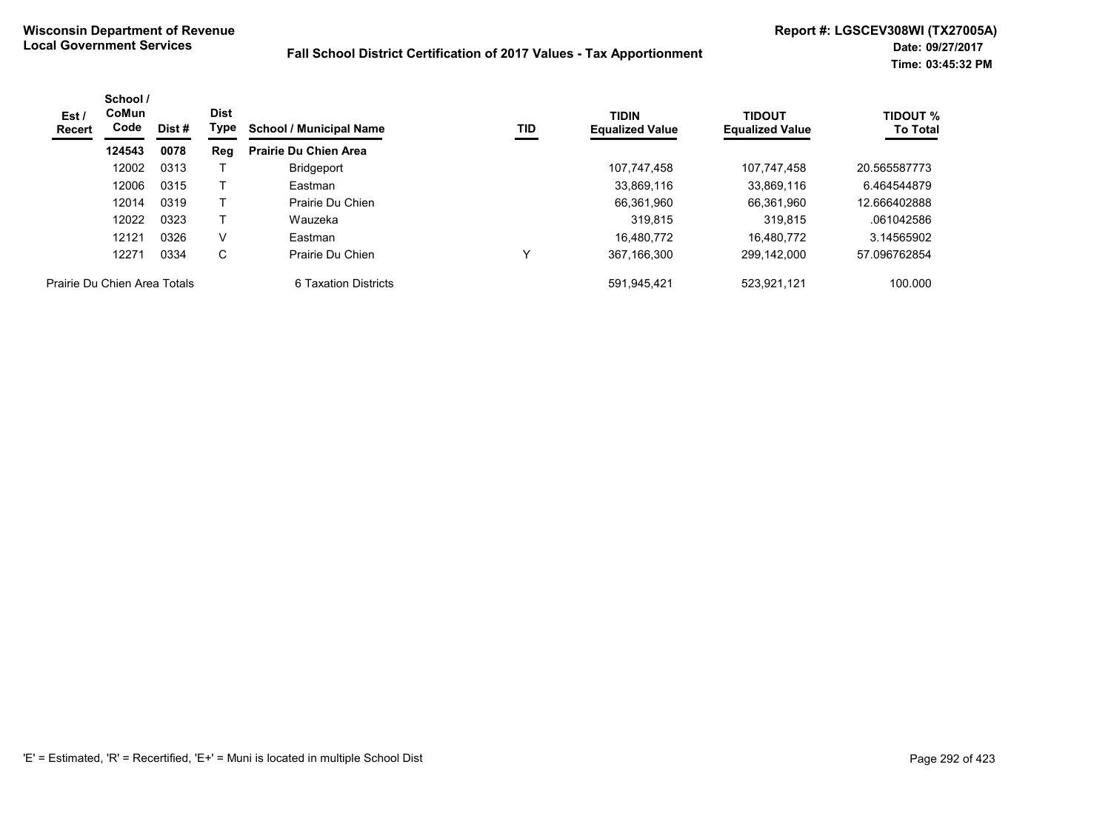| Est /<br>Recert              | School /<br>CoMun<br>Code | Dist # | <b>Dist</b><br>Type | <b>School / Municipal Name</b> | TID | <b>TIDIN</b><br><b>Equalized Value</b> | <b>TIDOUT</b><br><b>Equalized Value</b> | <b>TIDOUT %</b><br><b>To Total</b> |
|------------------------------|---------------------------|--------|---------------------|--------------------------------|-----|----------------------------------------|-----------------------------------------|------------------------------------|
|                              | 124543                    | 0078   | Reg                 | <b>Prairie Du Chien Area</b>   |     |                                        |                                         |                                    |
|                              | 12002                     | 0313   |                     | Bridgeport                     |     | 107.747.458                            | 107.747.458                             | 20.565587773                       |
|                              | 12006                     | 0315   |                     | Eastman                        |     | 33,869,116                             | 33,869,116                              | 6.464544879                        |
|                              | 12014                     | 0319   |                     | Prairie Du Chien               |     | 66,361,960                             | 66,361,960                              | 12.666402888                       |
|                              | 12022                     | 0323   |                     | Wauzeka                        |     | 319.815                                | 319.815                                 | .061042586                         |
|                              | 12121                     | 0326   | V                   | Eastman                        |     | 16.480.772                             | 16.480.772                              | 3.14565902                         |
|                              | 12271                     | 0334   | C                   | Prairie Du Chien               | v   | 367,166,300                            | 299.142.000                             | 57.096762854                       |
| Prairie Du Chien Area Totals |                           |        |                     | 6 Taxation Districts           |     | 591,945,421                            | 523,921,121                             | 100.000                            |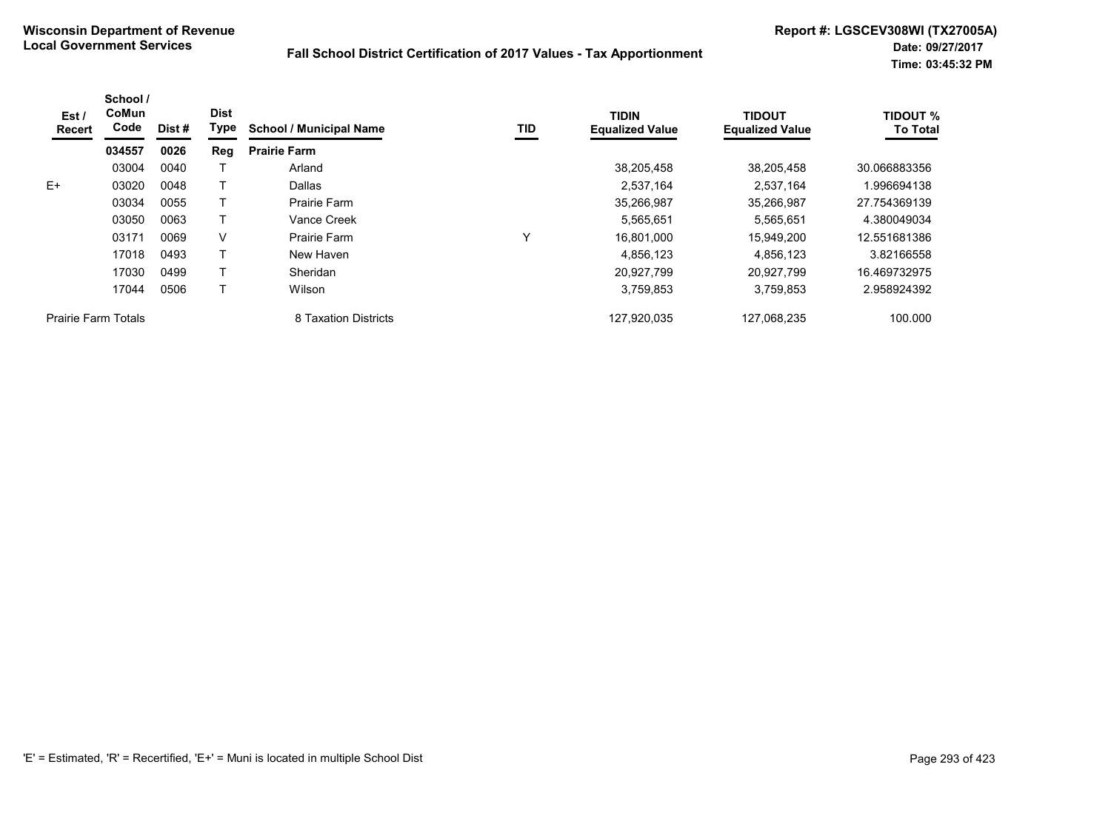| Est/<br>Recert             | School /<br>CoMun<br>Code | Dist# | <b>Dist</b><br>Type | <b>School / Municipal Name</b> | TID | <b>TIDIN</b><br><b>Equalized Value</b> | <b>TIDOUT</b><br><b>Equalized Value</b> | <b>TIDOUT %</b><br><b>To Total</b> |
|----------------------------|---------------------------|-------|---------------------|--------------------------------|-----|----------------------------------------|-----------------------------------------|------------------------------------|
|                            | 034557                    | 0026  | Reg                 | <b>Prairie Farm</b>            |     |                                        |                                         |                                    |
|                            | 03004                     | 0040  |                     | Arland                         |     | 38,205,458                             | 38,205,458                              | 30.066883356                       |
| $E+$                       | 03020                     | 0048  |                     | Dallas                         |     | 2,537,164                              | 2,537,164                               | 1.996694138                        |
|                            | 03034                     | 0055  |                     | Prairie Farm                   |     | 35,266,987                             | 35,266,987                              | 27.754369139                       |
|                            | 03050                     | 0063  |                     | Vance Creek                    |     | 5,565,651                              | 5,565,651                               | 4.380049034                        |
|                            | 03171                     | 0069  | V                   | Prairie Farm                   | ν   | 16.801.000                             | 15.949.200                              | 12.551681386                       |
|                            | 17018                     | 0493  |                     | New Haven                      |     | 4,856,123                              | 4,856,123                               | 3.82166558                         |
|                            | 17030                     | 0499  |                     | Sheridan                       |     | 20.927.799                             | 20.927.799                              | 16.469732975                       |
|                            | 17044                     | 0506  |                     | Wilson                         |     | 3,759,853                              | 3,759,853                               | 2.958924392                        |
| <b>Prairie Farm Totals</b> |                           |       |                     | 8 Taxation Districts           |     | 127,920,035                            | 127,068,235                             | 100.000                            |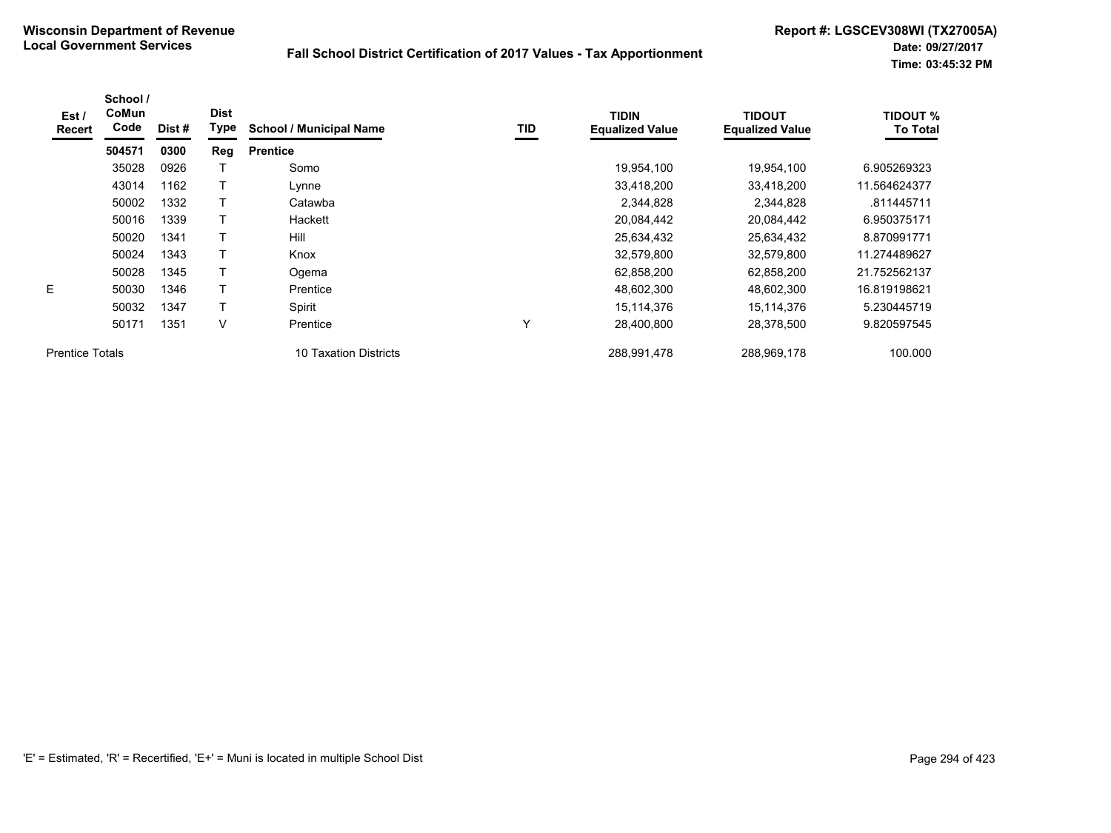| Est/<br>Recert         | School /<br>CoMun<br>Code | Dist# | <b>Dist</b><br>Type | <b>School / Municipal Name</b> | TID | <b>TIDIN</b><br><b>Equalized Value</b> | <b>TIDOUT</b><br><b>Equalized Value</b> | <b>TIDOUT %</b><br><b>To Total</b> |
|------------------------|---------------------------|-------|---------------------|--------------------------------|-----|----------------------------------------|-----------------------------------------|------------------------------------|
|                        | 504571                    | 0300  | Reg                 | <b>Prentice</b>                |     |                                        |                                         |                                    |
|                        | 35028                     | 0926  |                     | Somo                           |     | 19,954,100                             | 19,954,100                              | 6.905269323                        |
|                        | 43014                     | 1162  |                     | Lynne                          |     | 33,418,200                             | 33,418,200                              | 11.564624377                       |
|                        | 50002                     | 1332  | T                   | Catawba                        |     | 2,344,828                              | 2,344,828                               | .811445711                         |
|                        | 50016                     | 1339  |                     | Hackett                        |     | 20,084,442                             | 20,084,442                              | 6.950375171                        |
|                        | 50020                     | 1341  | T                   | Hill                           |     | 25,634,432                             | 25,634,432                              | 8.870991771                        |
|                        | 50024                     | 1343  |                     | Knox                           |     | 32,579,800                             | 32,579,800                              | 11.274489627                       |
|                        | 50028                     | 1345  |                     | Ogema                          |     | 62,858,200                             | 62,858,200                              | 21.752562137                       |
| E                      | 50030                     | 1346  |                     | Prentice                       |     | 48,602,300                             | 48,602,300                              | 16.819198621                       |
|                        | 50032                     | 1347  |                     | Spirit                         |     | 15,114,376                             | 15,114,376                              | 5.230445719                        |
|                        | 50171                     | 1351  | V                   | Prentice                       | Υ   | 28,400,800                             | 28.378.500                              | 9.820597545                        |
| <b>Prentice Totals</b> |                           |       |                     | 10 Taxation Districts          |     | 288,991,478                            | 288,969,178                             | 100.000                            |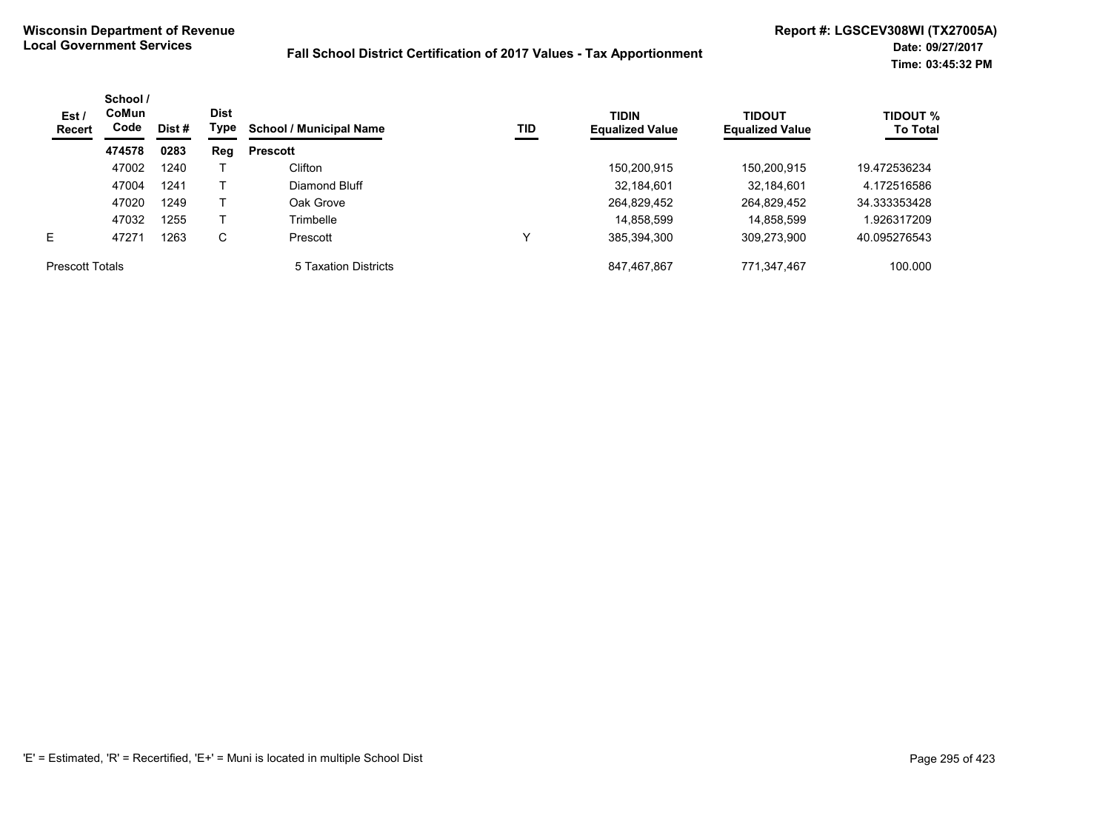| Est /<br>Recert        | School /<br>CoMun<br>Code | Dist # | <b>Dist</b><br>Type | <b>School / Municipal Name</b> | TID | <b>TIDIN</b><br><b>Equalized Value</b> | <b>TIDOUT</b><br><b>Equalized Value</b> | <b>TIDOUT %</b><br><b>To Total</b> |
|------------------------|---------------------------|--------|---------------------|--------------------------------|-----|----------------------------------------|-----------------------------------------|------------------------------------|
|                        | 474578                    | 0283   | Reg                 | <b>Prescott</b>                |     |                                        |                                         |                                    |
|                        | 47002                     | 1240   |                     | Clifton                        |     | 150,200,915                            | 150.200.915                             | 19.472536234                       |
|                        | 47004                     | 1241   |                     | Diamond Bluff                  |     | 32,184,601                             | 32.184.601                              | 4.172516586                        |
|                        | 47020                     | 1249   |                     | Oak Grove                      |     | 264,829,452                            | 264,829,452                             | 34.333353428                       |
|                        | 47032                     | 1255   |                     | Trimbelle                      |     | 14.858.599                             | 14,858,599                              | 1.926317209                        |
| E.                     | 47271                     | 1263   | C                   | Prescott                       |     | 385,394,300                            | 309,273,900                             | 40.095276543                       |
| <b>Prescott Totals</b> |                           |        |                     | 5 Taxation Districts           |     | 847,467,867                            | 771,347,467                             | 100.000                            |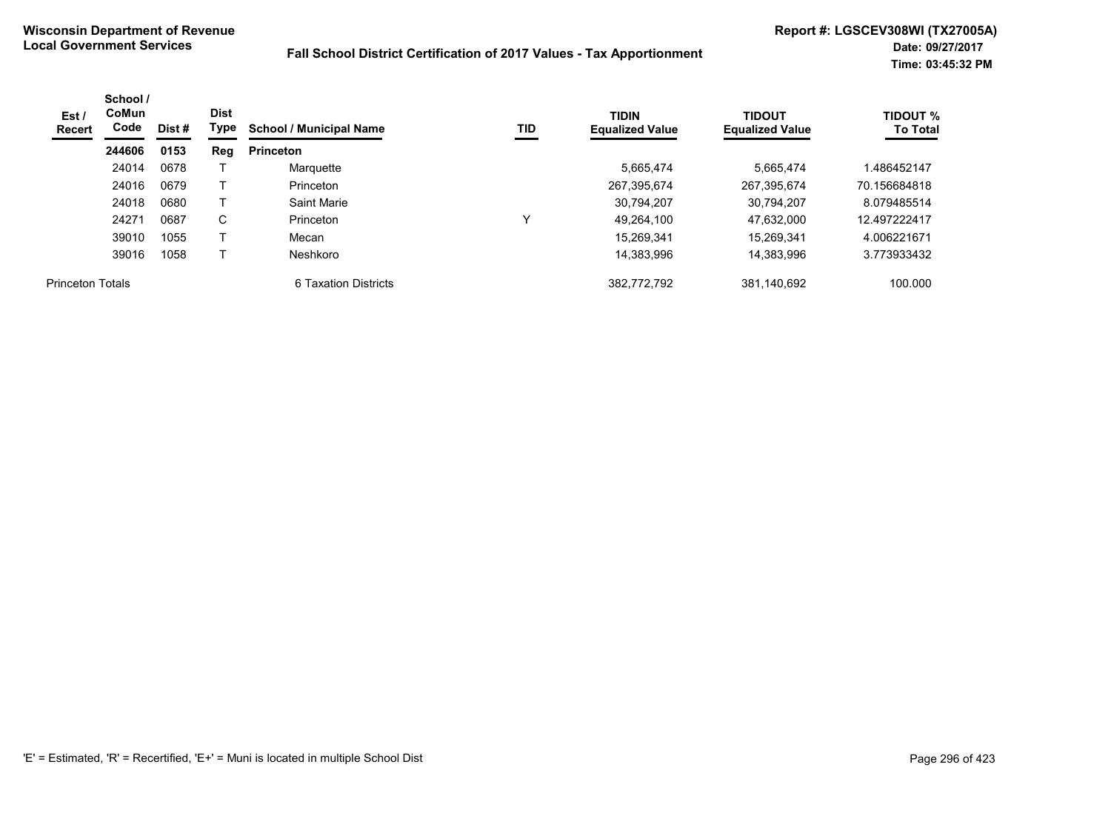| Est /<br>Recert         | School /<br>CoMun<br>Code | Dist # | <b>Dist</b><br>Type | <b>School / Municipal Name</b> | TID | <b>TIDIN</b><br><b>Equalized Value</b> | <b>TIDOUT</b><br><b>Equalized Value</b> | <b>TIDOUT %</b><br><b>To Total</b> |
|-------------------------|---------------------------|--------|---------------------|--------------------------------|-----|----------------------------------------|-----------------------------------------|------------------------------------|
|                         | 244606                    | 0153   | Reg                 | <b>Princeton</b>               |     |                                        |                                         |                                    |
|                         | 24014                     | 0678   |                     | Marquette                      |     | 5,665,474                              | 5.665.474                               | .486452147                         |
|                         | 24016                     | 0679   |                     | Princeton                      |     | 267,395,674                            | 267,395,674                             | 70.156684818                       |
|                         | 24018                     | 0680   |                     | Saint Marie                    |     | 30,794,207                             | 30,794,207                              | 8.079485514                        |
|                         | 24271                     | 0687   | C.                  | Princeton                      | v   | 49,264,100                             | 47,632,000                              | 12.497222417                       |
|                         | 39010                     | 1055   |                     | Mecan                          |     | 15.269.341                             | 15.269.341                              | 4.006221671                        |
|                         | 39016                     | 1058   |                     | Neshkoro                       |     | 14.383.996                             | 14.383.996                              | 3.773933432                        |
| <b>Princeton Totals</b> |                           |        |                     | 6 Taxation Districts           |     | 382,772,792                            | 381,140,692                             | 100.000                            |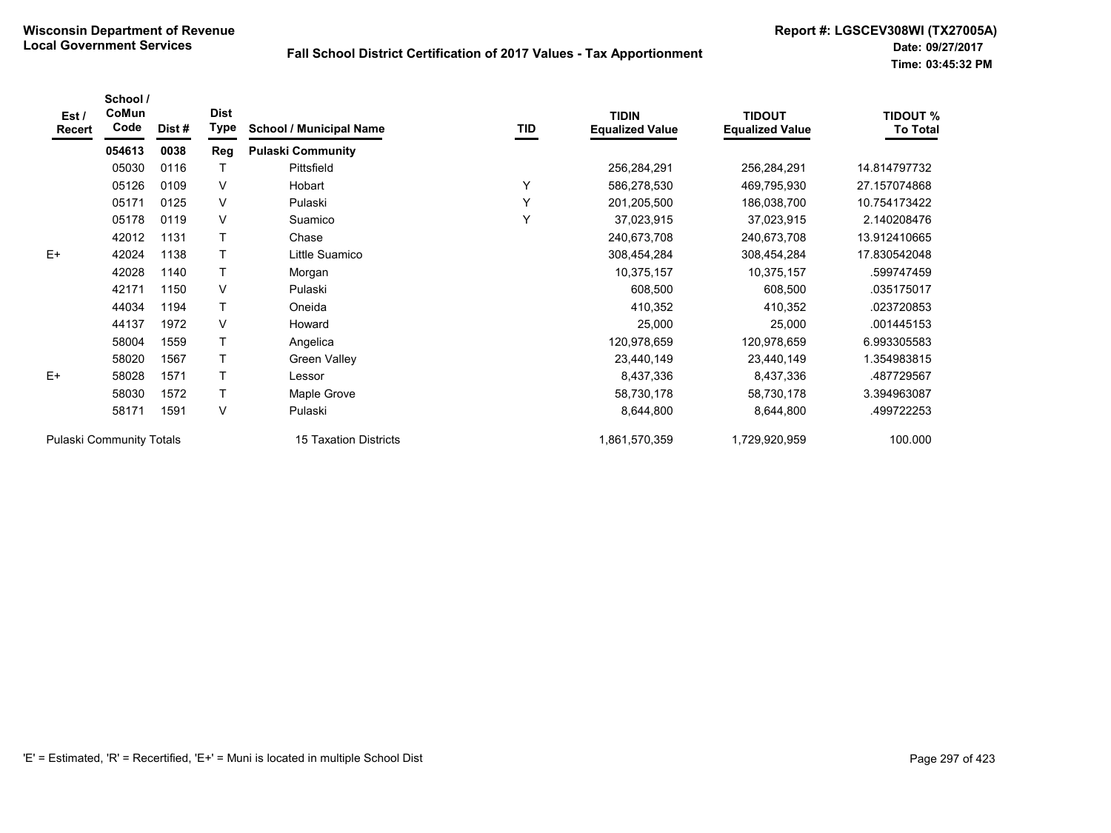| Est/<br><b>Recert</b>           | School /<br>CoMun<br>Code | Dist# | <b>Dist</b><br>Type | <b>School / Municipal Name</b> | TID | <b>TIDIN</b><br><b>Equalized Value</b> | <b>TIDOUT</b><br><b>Equalized Value</b> | <b>TIDOUT %</b><br><b>To Total</b> |
|---------------------------------|---------------------------|-------|---------------------|--------------------------------|-----|----------------------------------------|-----------------------------------------|------------------------------------|
|                                 | 054613                    | 0038  | <b>Reg</b>          | <b>Pulaski Community</b>       |     |                                        |                                         |                                    |
|                                 | 05030                     | 0116  |                     | Pittsfield                     |     | 256,284,291                            | 256,284,291                             | 14.814797732                       |
|                                 | 05126                     | 0109  | V                   | Hobart                         | Υ   | 586,278,530                            | 469,795,930                             | 27.157074868                       |
|                                 | 05171                     | 0125  | V                   | Pulaski                        | Y   | 201,205,500                            | 186,038,700                             | 10.754173422                       |
|                                 | 05178                     | 0119  | V                   | Suamico                        | Y   | 37,023,915                             | 37,023,915                              | 2.140208476                        |
|                                 | 42012                     | 1131  |                     | Chase                          |     | 240,673,708                            | 240,673,708                             | 13.912410665                       |
| $E+$                            | 42024                     | 1138  | Τ                   | Little Suamico                 |     | 308,454,284                            | 308,454,284                             | 17.830542048                       |
|                                 | 42028                     | 1140  |                     | Morgan                         |     | 10,375,157                             | 10,375,157                              | .599747459                         |
|                                 | 42171                     | 1150  | V                   | Pulaski                        |     | 608,500                                | 608,500                                 | .035175017                         |
|                                 | 44034                     | 1194  | $\mathsf{T}$        | Oneida                         |     | 410,352                                | 410,352                                 | .023720853                         |
|                                 | 44137                     | 1972  | V                   | Howard                         |     | 25,000                                 | 25,000                                  | .001445153                         |
|                                 | 58004                     | 1559  | Τ                   | Angelica                       |     | 120,978,659                            | 120,978,659                             | 6.993305583                        |
|                                 | 58020                     | 1567  |                     | <b>Green Valley</b>            |     | 23,440,149                             | 23,440,149                              | 1.354983815                        |
| $E+$                            | 58028                     | 1571  |                     | Lessor                         |     | 8,437,336                              | 8,437,336                               | .487729567                         |
|                                 | 58030                     | 1572  | $\mathsf{T}$        | Maple Grove                    |     | 58,730,178                             | 58,730,178                              | 3.394963087                        |
|                                 | 58171                     | 1591  | V                   | Pulaski                        |     | 8,644,800                              | 8,644,800                               | .499722253                         |
| <b>Pulaski Community Totals</b> |                           |       |                     | <b>15 Taxation Districts</b>   |     | 1,861,570,359                          | 1,729,920,959                           | 100.000                            |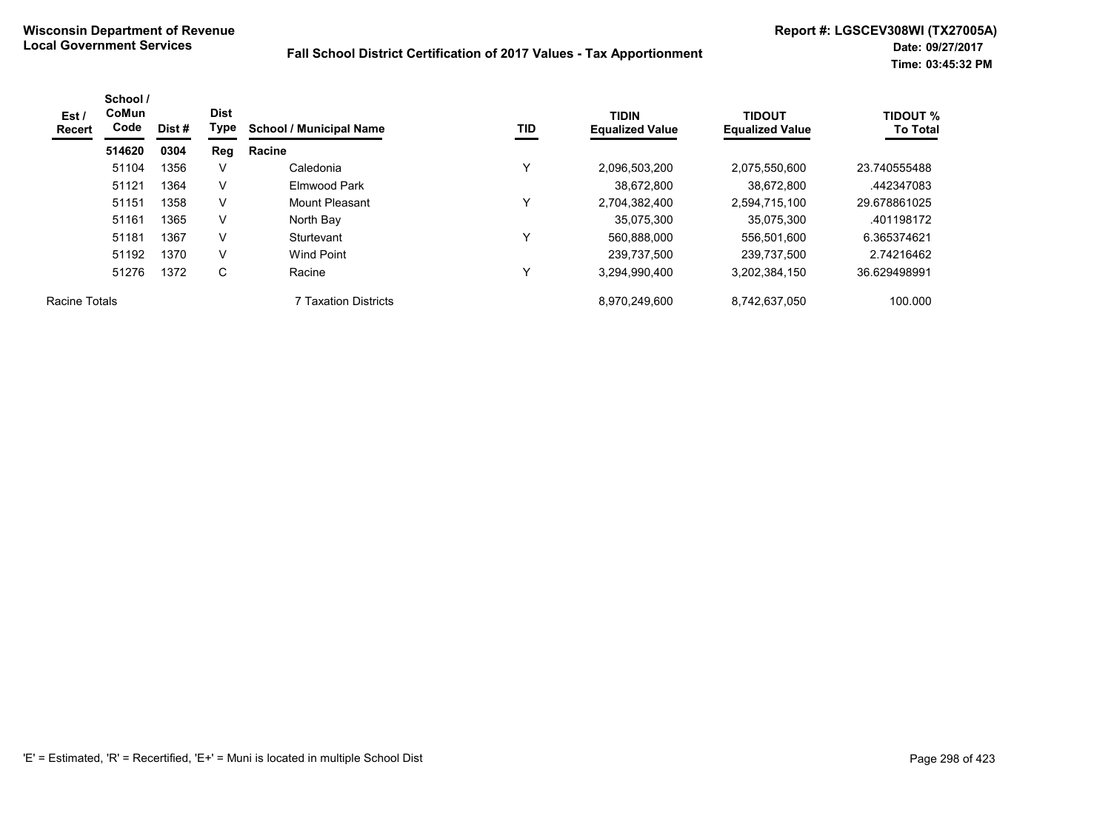| Est /<br><b>Recert</b> | School /<br><b>CoMun</b><br>Code | Dist # | <b>Dist</b><br>Type | <b>School / Municipal Name</b> | TID | <b>TIDIN</b><br><b>Equalized Value</b> | <b>TIDOUT</b><br><b>Equalized Value</b> | <b>TIDOUT %</b><br><b>To Total</b> |
|------------------------|----------------------------------|--------|---------------------|--------------------------------|-----|----------------------------------------|-----------------------------------------|------------------------------------|
|                        | 514620                           | 0304   | Reg                 | Racine                         |     |                                        |                                         |                                    |
|                        | 51104                            | 1356   | v                   | Caledonia                      | Υ   | 2,096,503,200                          | 2,075,550,600                           | 23.740555488                       |
|                        | 51121                            | 1364   | V                   | Elmwood Park                   |     | 38,672,800                             | 38.672.800                              | .442347083                         |
|                        | 51151                            | 1358   | V                   | Mount Pleasant                 | Υ   | 2,704,382,400                          | 2,594,715,100                           | 29.678861025                       |
|                        | 51161                            | 1365   | V                   | North Bay                      |     | 35.075.300                             | 35.075.300                              | .401198172                         |
|                        | 51181                            | 1367   | V                   | Sturtevant                     | ٧   | 560,888,000                            | 556,501,600                             | 6.365374621                        |
|                        | 51192                            | 1370   | V                   | Wind Point                     |     | 239,737,500                            | 239,737,500                             | 2.74216462                         |
|                        | 51276                            | 1372   | C                   | Racine                         | Υ   | 3,294,990,400                          | 3,202,384,150                           | 36.629498991                       |
| Racine Totals          |                                  |        |                     | <b>7 Taxation Districts</b>    |     | 8,970,249,600                          | 8,742,637,050                           | 100.000                            |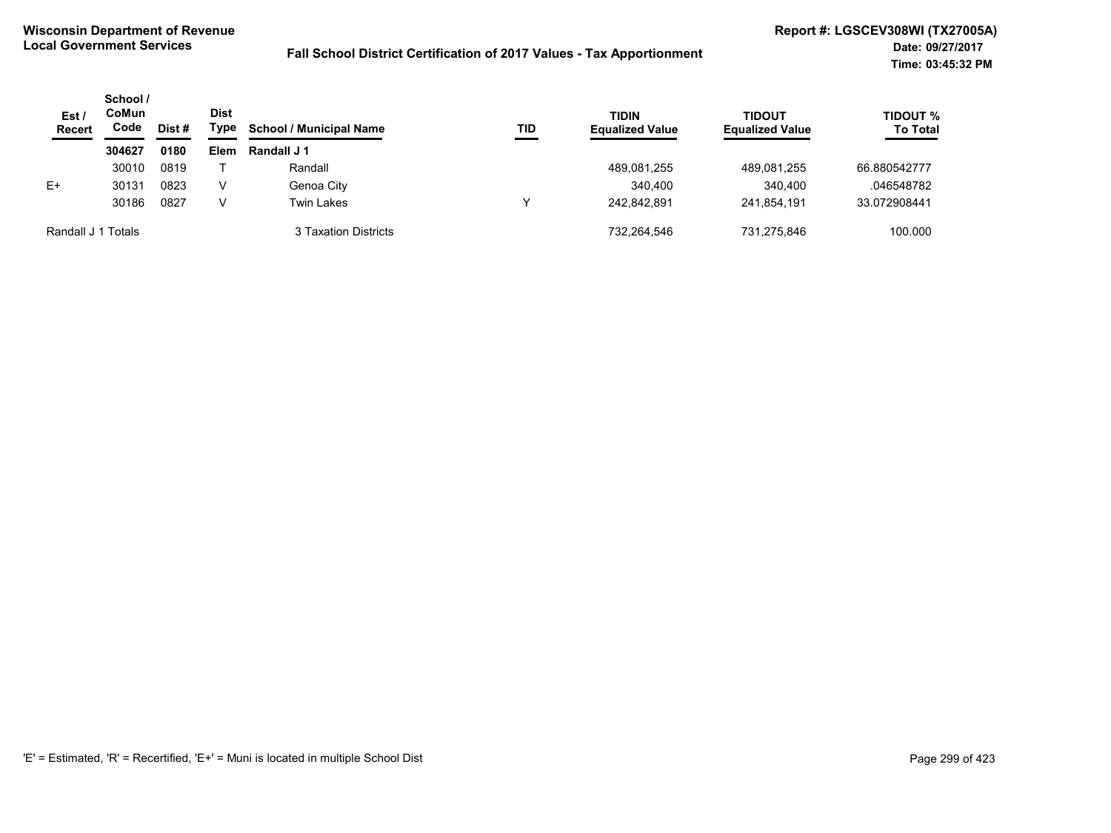| Est /<br><b>Recert</b> | School /<br>CoMun<br>Code | Dist # | <b>Dist</b><br>Type | <b>School / Municipal Name</b> | TID | <b>TIDIN</b><br><b>Equalized Value</b> | <b>TIDOUT</b><br><b>Equalized Value</b> | <b>TIDOUT %</b><br><b>To Total</b> |
|------------------------|---------------------------|--------|---------------------|--------------------------------|-----|----------------------------------------|-----------------------------------------|------------------------------------|
|                        | 304627                    | 0180   | Elem                | Randall J 1                    |     |                                        |                                         |                                    |
|                        | 30010                     | 0819   |                     | Randall                        |     | 489,081,255                            | 489.081.255                             | 66.880542777                       |
| $E+$                   | 30131                     | 0823   | v                   | Genoa City                     |     | 340,400                                | 340,400                                 | .046548782                         |
|                        | 30186                     | 0827   | V                   | Twin Lakes                     | v   | 242.842.891                            | 241.854.191                             | 33.072908441                       |
| Randall J 1 Totals     |                           |        |                     | 3 Taxation Districts           |     | 732,264,546                            | 731.275.846                             | 100.000                            |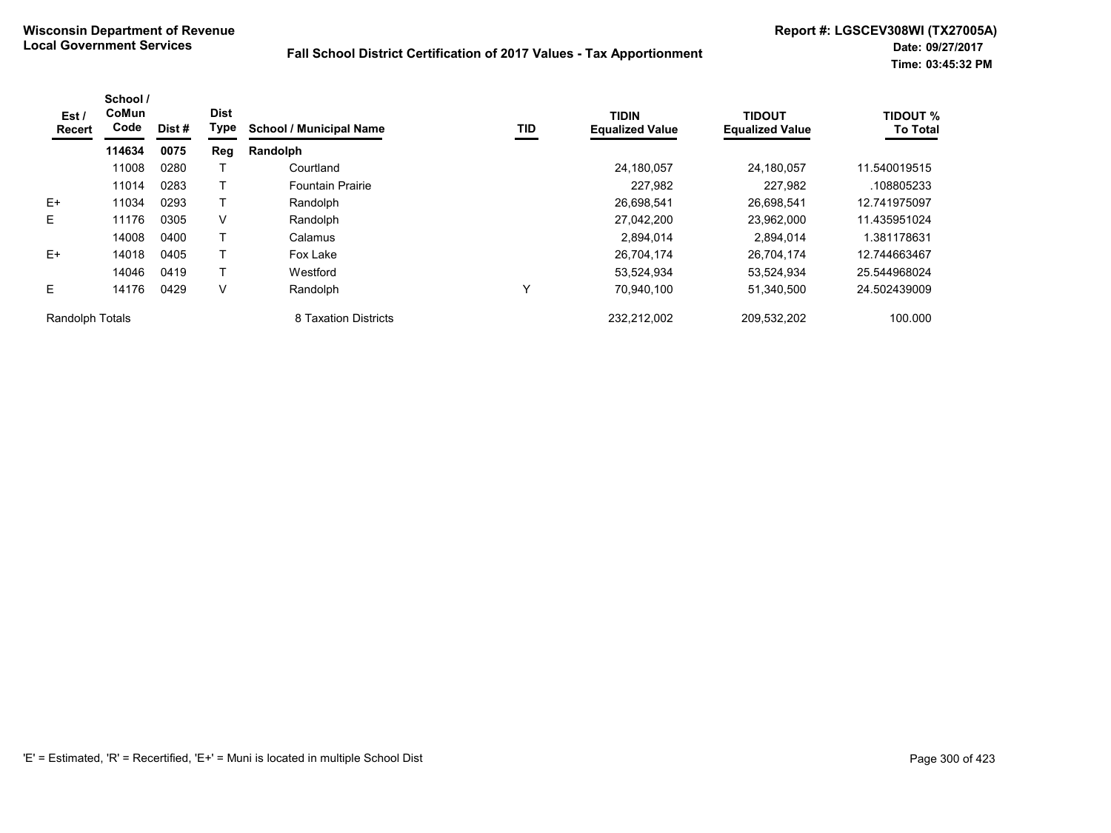| Est /<br>Recert        | School /<br>CoMun<br>Code | Dist # | <b>Dist</b><br>Type | <b>School / Municipal Name</b> | TID | <b>TIDIN</b><br><b>Equalized Value</b> | <b>TIDOUT</b><br><b>Equalized Value</b> | <b>TIDOUT %</b><br><b>To Total</b> |
|------------------------|---------------------------|--------|---------------------|--------------------------------|-----|----------------------------------------|-----------------------------------------|------------------------------------|
|                        | 114634                    | 0075   | Reg                 | Randolph                       |     |                                        |                                         |                                    |
|                        | 11008                     | 0280   |                     | Courtland                      |     | 24,180,057                             | 24.180.057                              | 11.540019515                       |
|                        | 11014                     | 0283   |                     | <b>Fountain Prairie</b>        |     | 227,982                                | 227,982                                 | .108805233                         |
| $E+$                   | 11034                     | 0293   |                     | Randolph                       |     | 26.698.541                             | 26.698.541                              | 12.741975097                       |
| Е                      | 11176                     | 0305   | V                   | Randolph                       |     | 27,042,200                             | 23,962,000                              | 11.435951024                       |
|                        | 14008                     | 0400   |                     | Calamus                        |     | 2,894,014                              | 2.894.014                               | 1.381178631                        |
| $E+$                   | 14018                     | 0405   |                     | Fox Lake                       |     | 26,704,174                             | 26,704,174                              | 12.744663467                       |
|                        | 14046                     | 0419   |                     | Westford                       |     | 53.524.934                             | 53.524.934                              | 25.544968024                       |
| E                      | 14176                     | 0429   | V                   | Randolph                       | Υ   | 70,940,100                             | 51,340,500                              | 24.502439009                       |
| <b>Randolph Totals</b> |                           |        |                     | 8 Taxation Districts           |     | 232.212.002                            | 209,532,202                             | 100.000                            |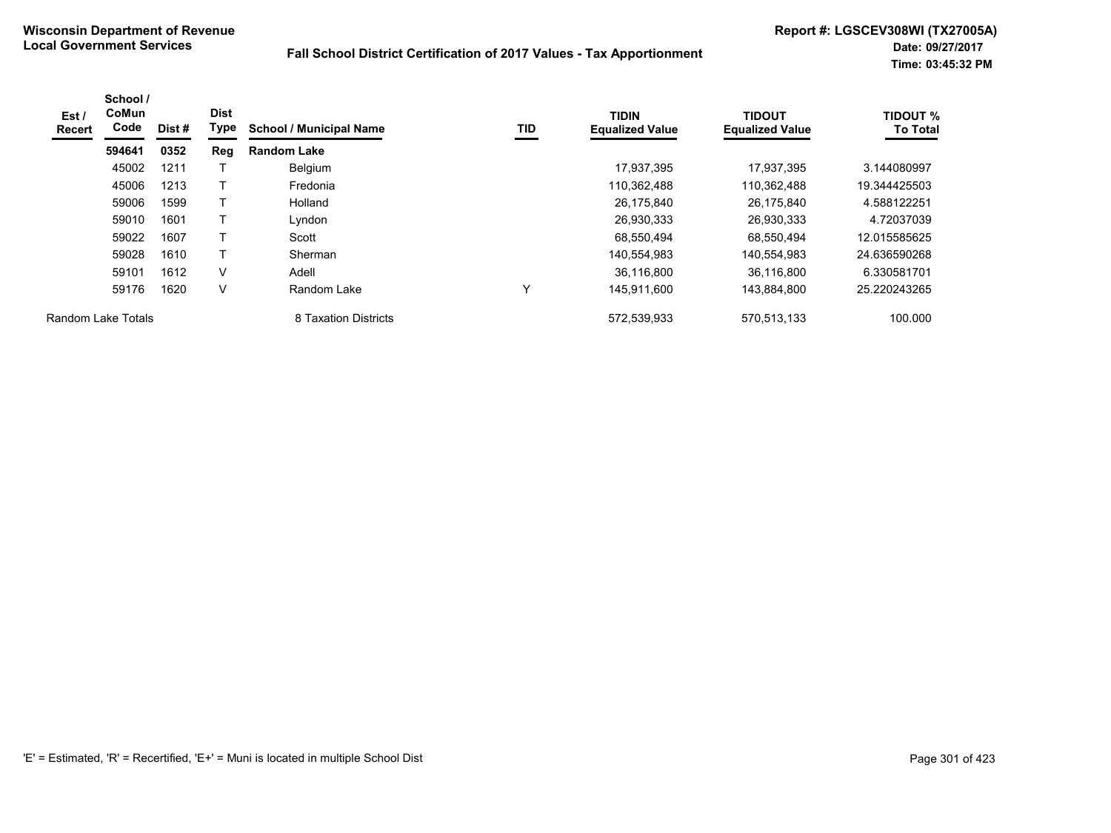| Est /<br>Recert    | School /<br>CoMun<br>Code | Dist # | <b>Dist</b><br>Type | <b>School / Municipal Name</b> | TID          | <b>TIDIN</b><br><b>Equalized Value</b> | <b>TIDOUT</b><br><b>Equalized Value</b> | <b>TIDOUT %</b><br><b>To Total</b> |
|--------------------|---------------------------|--------|---------------------|--------------------------------|--------------|----------------------------------------|-----------------------------------------|------------------------------------|
|                    | 594641                    | 0352   | Reg                 | <b>Random Lake</b>             |              |                                        |                                         |                                    |
|                    | 45002                     | 1211   |                     | Belgium                        |              | 17,937,395                             | 17.937.395                              | 3.144080997                        |
|                    | 45006                     | 1213   |                     | Fredonia                       |              | 110,362,488                            | 110,362,488                             | 19.344425503                       |
|                    | 59006                     | 1599   |                     | Holland                        |              | 26,175,840                             | 26.175.840                              | 4.588122251                        |
|                    | 59010                     | 1601   |                     | Lyndon                         |              | 26,930,333                             | 26,930,333                              | 4.72037039                         |
|                    | 59022                     | 1607   |                     | Scott                          |              | 68,550,494                             | 68,550,494                              | 12.015585625                       |
|                    | 59028                     | 1610   |                     | Sherman                        |              | 140,554,983                            | 140,554,983                             | 24.636590268                       |
|                    | 59101                     | 1612   | $\vee$              | Adell                          |              | 36,116,800                             | 36,116,800                              | 6.330581701                        |
|                    | 59176                     | 1620   | $\vee$              | Random Lake                    | $\checkmark$ | 145,911,600                            | 143,884,800                             | 25.220243265                       |
| Random Lake Totals |                           |        |                     | 8 Taxation Districts           |              | 572,539,933                            | 570,513,133                             | 100.000                            |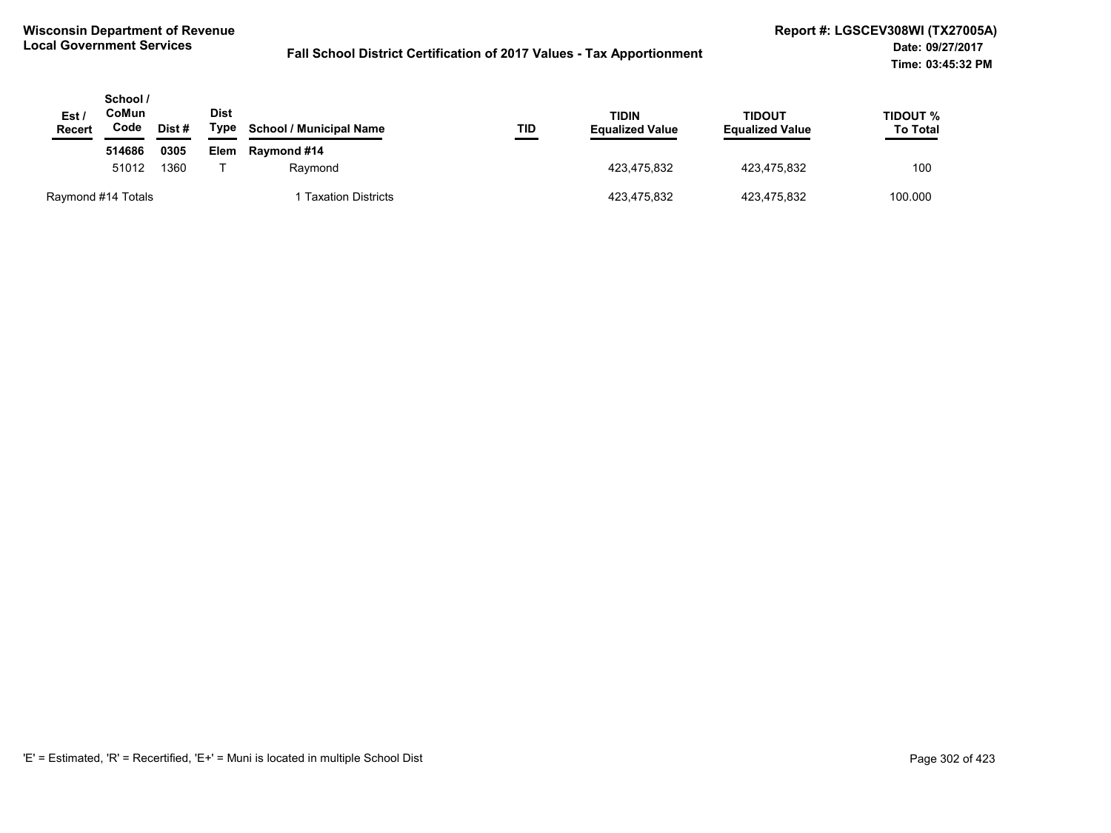| Est /<br><b>Recert</b> | School /<br>CoMun<br>Code | Dist # | <b>Dist</b><br>Type | <b>School / Municipal Name</b> | TID | TIDIN<br><b>Equalized Value</b> | TIDOUT<br><b>Equalized Value</b> | TIDOUT %<br><b>To Total</b> |
|------------------------|---------------------------|--------|---------------------|--------------------------------|-----|---------------------------------|----------------------------------|-----------------------------|
|                        | 514686                    | 0305   | Elem                | <b>Raymond #14</b>             |     |                                 |                                  |                             |
|                        | 51012                     |        | 1360                | Ravmond                        |     | 423.475.832                     | 423.475.832                      | 100                         |
| Raymond #14 Totals     |                           |        |                     | <b>Taxation Districts</b>      |     | 423,475,832                     | 423,475,832                      | 100.000                     |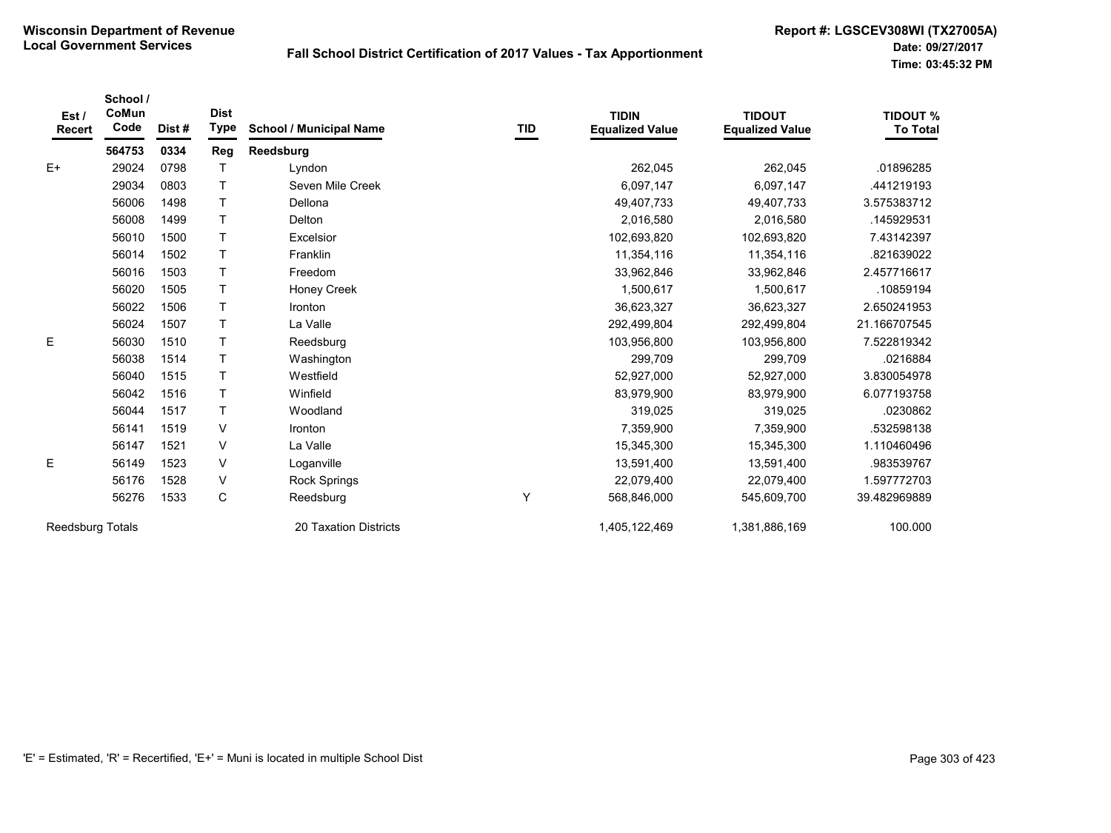| Est/<br><b>Recert</b> | School /<br>CoMun<br>Code | Dist# | <b>Dist</b><br><b>Type</b> | <b>School / Municipal Name</b> | <b>TID</b> | <b>TIDIN</b><br><b>Equalized Value</b> | <b>TIDOUT</b><br><b>Equalized Value</b> | <b>TIDOUT %</b><br><b>To Total</b> |
|-----------------------|---------------------------|-------|----------------------------|--------------------------------|------------|----------------------------------------|-----------------------------------------|------------------------------------|
|                       | 564753                    | 0334  | Reg                        | Reedsburg                      |            |                                        |                                         |                                    |
| $E+$                  | 29024                     | 0798  |                            | Lyndon                         |            | 262,045                                | 262,045                                 | .01896285                          |
|                       | 29034                     | 0803  | T                          | Seven Mile Creek               |            | 6,097,147                              | 6,097,147                               | .441219193                         |
|                       | 56006                     | 1498  | $\mathsf{T}$               | Dellona                        |            | 49,407,733                             | 49,407,733                              | 3.575383712                        |
|                       | 56008                     | 1499  | $\mathsf{T}$               | Delton                         |            | 2,016,580                              | 2,016,580                               | .145929531                         |
|                       | 56010                     | 1500  | $\mathsf{T}$               | Excelsior                      |            | 102,693,820                            | 102,693,820                             | 7.43142397                         |
|                       | 56014                     | 1502  | T                          | Franklin                       |            | 11,354,116                             | 11,354,116                              | .821639022                         |
|                       | 56016                     | 1503  | $\mathsf{T}$               | Freedom                        |            | 33,962,846                             | 33,962,846                              | 2.457716617                        |
|                       | 56020                     | 1505  | T                          | Honey Creek                    |            | 1,500,617                              | 1,500,617                               | .10859194                          |
|                       | 56022                     | 1506  | T                          | <b>Ironton</b>                 |            | 36,623,327                             | 36,623,327                              | 2.650241953                        |
|                       | 56024                     | 1507  | T                          | La Valle                       |            | 292,499,804                            | 292,499,804                             | 21.166707545                       |
| E                     | 56030                     | 1510  | T                          | Reedsburg                      |            | 103,956,800                            | 103,956,800                             | 7.522819342                        |
|                       | 56038                     | 1514  | T                          | Washington                     |            | 299,709                                | 299,709                                 | .0216884                           |
|                       | 56040                     | 1515  | $\mathsf{T}$               | Westfield                      |            | 52,927,000                             | 52,927,000                              | 3.830054978                        |
|                       | 56042                     | 1516  | T                          | Winfield                       |            | 83,979,900                             | 83,979,900                              | 6.077193758                        |
|                       | 56044                     | 1517  | $\mathsf T$                | Woodland                       |            | 319,025                                | 319,025                                 | .0230862                           |
|                       | 56141                     | 1519  | V                          | Ironton                        |            | 7,359,900                              | 7,359,900                               | .532598138                         |
|                       | 56147                     | 1521  | V                          | La Valle                       |            | 15,345,300                             | 15,345,300                              | 1.110460496                        |
| E                     | 56149                     | 1523  | V                          | Loganville                     |            | 13,591,400                             | 13,591,400                              | .983539767                         |
|                       | 56176                     | 1528  | V                          | Rock Springs                   |            | 22,079,400                             | 22,079,400                              | 1.597772703                        |
|                       | 56276                     | 1533  | C                          | Reedsburg                      | Y          | 568,846,000                            | 545,609,700                             | 39.482969889                       |
| Reedsburg Totals      |                           |       |                            | 20 Taxation Districts          |            | 1,405,122,469                          | 1,381,886,169                           | 100.000                            |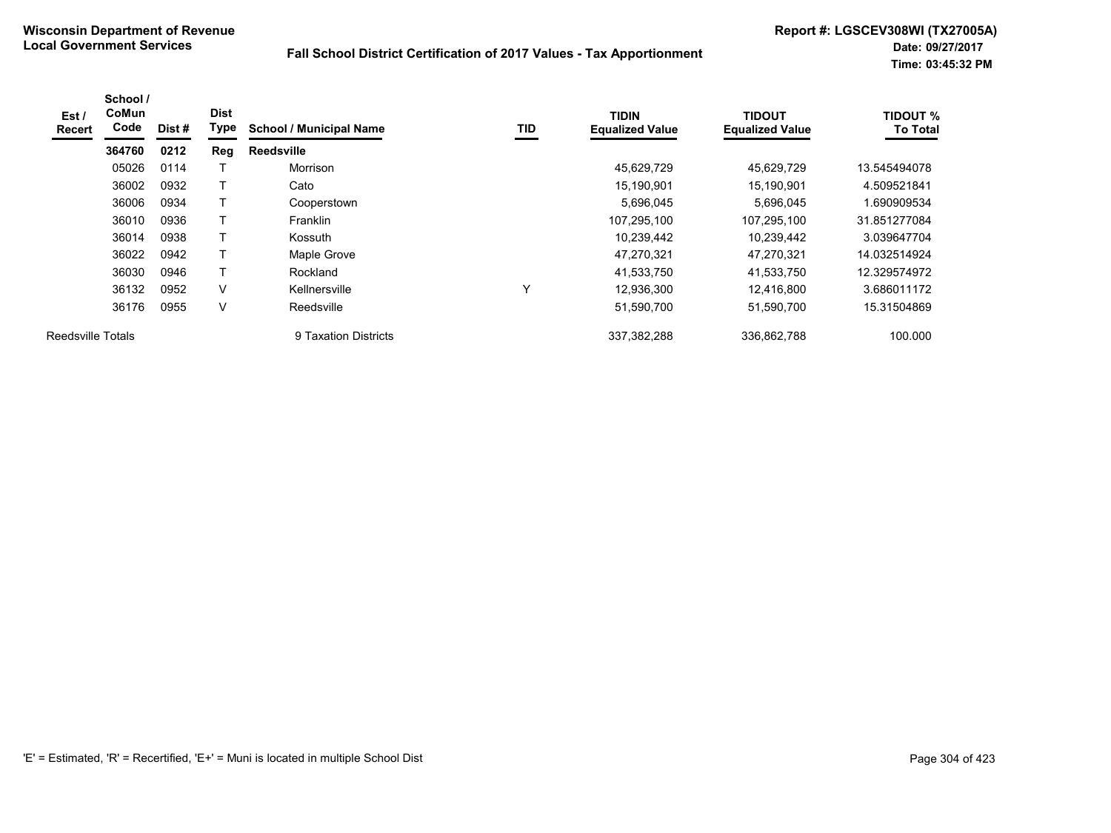| Est/<br><b>Recert</b>    | School /<br>CoMun<br>Code | Dist# | <b>Dist</b><br>Type | <b>School / Municipal Name</b> | TID | <b>TIDIN</b><br><b>Equalized Value</b> | <b>TIDOUT</b><br><b>Equalized Value</b> | <b>TIDOUT %</b><br><b>To Total</b> |
|--------------------------|---------------------------|-------|---------------------|--------------------------------|-----|----------------------------------------|-----------------------------------------|------------------------------------|
|                          | 364760                    | 0212  | Reg                 | Reedsville                     |     |                                        |                                         |                                    |
|                          | 05026                     | 0114  |                     | Morrison                       |     | 45,629,729                             | 45,629,729                              | 13.545494078                       |
|                          | 36002                     | 0932  |                     | Cato                           |     | 15,190,901                             | 15,190,901                              | 4.509521841                        |
|                          | 36006                     | 0934  |                     | Cooperstown                    |     | 5,696,045                              | 5,696,045                               | 1.690909534                        |
|                          | 36010                     | 0936  | $\mathbf \tau$      | Franklin                       |     | 107,295,100                            | 107,295,100                             | 31.851277084                       |
|                          | 36014                     | 0938  | Т                   | Kossuth                        |     | 10,239,442                             | 10,239,442                              | 3.039647704                        |
|                          | 36022                     | 0942  |                     | Maple Grove                    |     | 47,270,321                             | 47,270,321                              | 14.032514924                       |
|                          | 36030                     | 0946  | $\mathsf{T}$        | Rockland                       |     | 41,533,750                             | 41,533,750                              | 12.329574972                       |
|                          | 36132                     | 0952  | V                   | Kellnersville                  | Y   | 12,936,300                             | 12.416.800                              | 3.686011172                        |
|                          | 36176                     | 0955  | V                   | Reedsville                     |     | 51,590,700                             | 51,590,700                              | 15.31504869                        |
| <b>Reedsville Totals</b> |                           |       |                     | 9 Taxation Districts           |     | 337,382,288                            | 336,862,788                             | 100.000                            |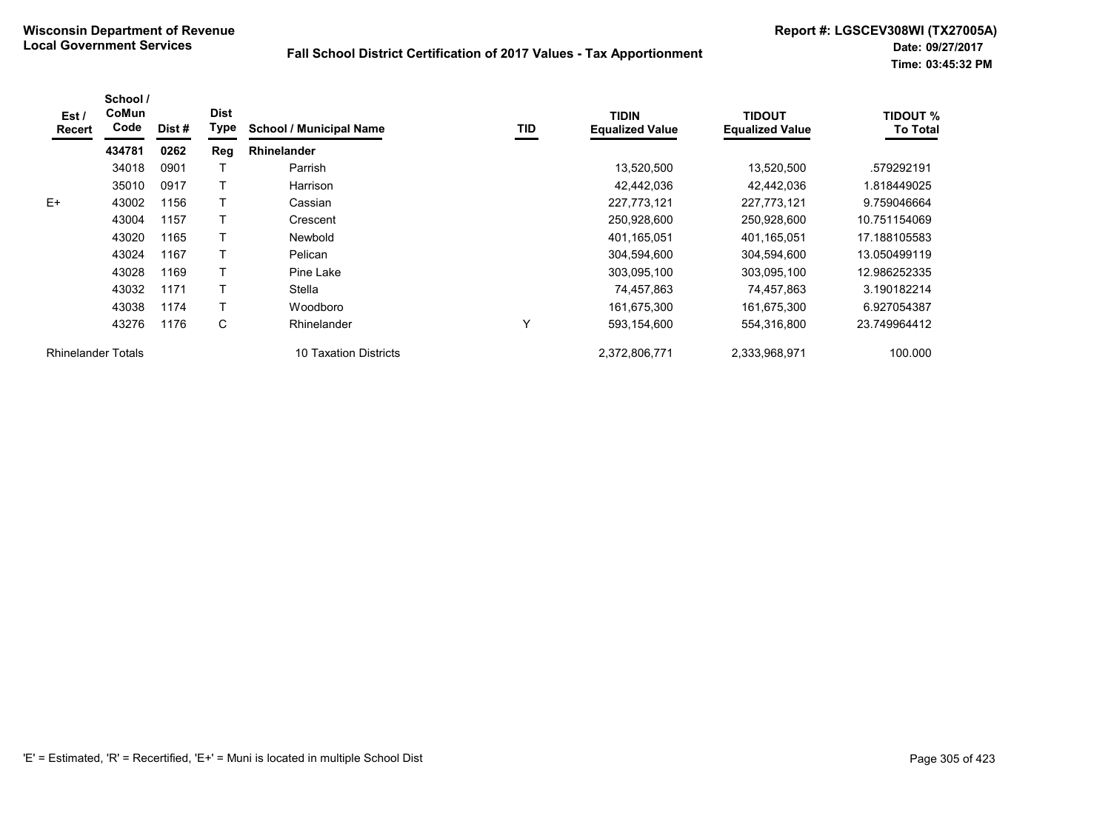| Est /<br><b>Recert</b>    | School /<br>CoMun<br>Code | Dist # | <b>Dist</b><br>Type | <b>School / Municipal Name</b> | TID | <b>TIDIN</b><br><b>Equalized Value</b> | <b>TIDOUT</b><br><b>Equalized Value</b> | <b>TIDOUT %</b><br><b>To Total</b> |
|---------------------------|---------------------------|--------|---------------------|--------------------------------|-----|----------------------------------------|-----------------------------------------|------------------------------------|
|                           | 434781                    | 0262   | Reg                 | <b>Rhinelander</b>             |     |                                        |                                         |                                    |
|                           | 34018                     | 0901   |                     | Parrish                        |     | 13,520,500                             | 13,520,500                              | .579292191                         |
|                           | 35010                     | 0917   |                     | Harrison                       |     | 42,442,036                             | 42,442,036                              | 1.818449025                        |
| $E+$                      | 43002                     | 1156   |                     | Cassian                        |     | 227,773,121                            | 227,773,121                             | 9.759046664                        |
|                           | 43004                     | 1157   |                     | Crescent                       |     | 250,928,600                            | 250,928,600                             | 10.751154069                       |
|                           | 43020                     | 1165   |                     | Newbold                        |     | 401,165,051                            | 401,165,051                             | 17.188105583                       |
|                           | 43024                     | 1167   |                     | Pelican                        |     | 304,594,600                            | 304,594,600                             | 13.050499119                       |
|                           | 43028                     | 1169   |                     | Pine Lake                      |     | 303,095,100                            | 303,095,100                             | 12.986252335                       |
|                           | 43032                     | 1171   |                     | Stella                         |     | 74,457,863                             | 74,457,863                              | 3.190182214                        |
|                           | 43038                     | 1174   |                     | Woodboro                       |     | 161,675,300                            | 161,675,300                             | 6.927054387                        |
|                           | 43276                     | 1176   | C                   | Rhinelander                    | Υ   | 593,154,600                            | 554,316,800                             | 23.749964412                       |
| <b>Rhinelander Totals</b> |                           |        |                     | 10 Taxation Districts          |     | 2,372,806,771                          | 2,333,968,971                           | 100.000                            |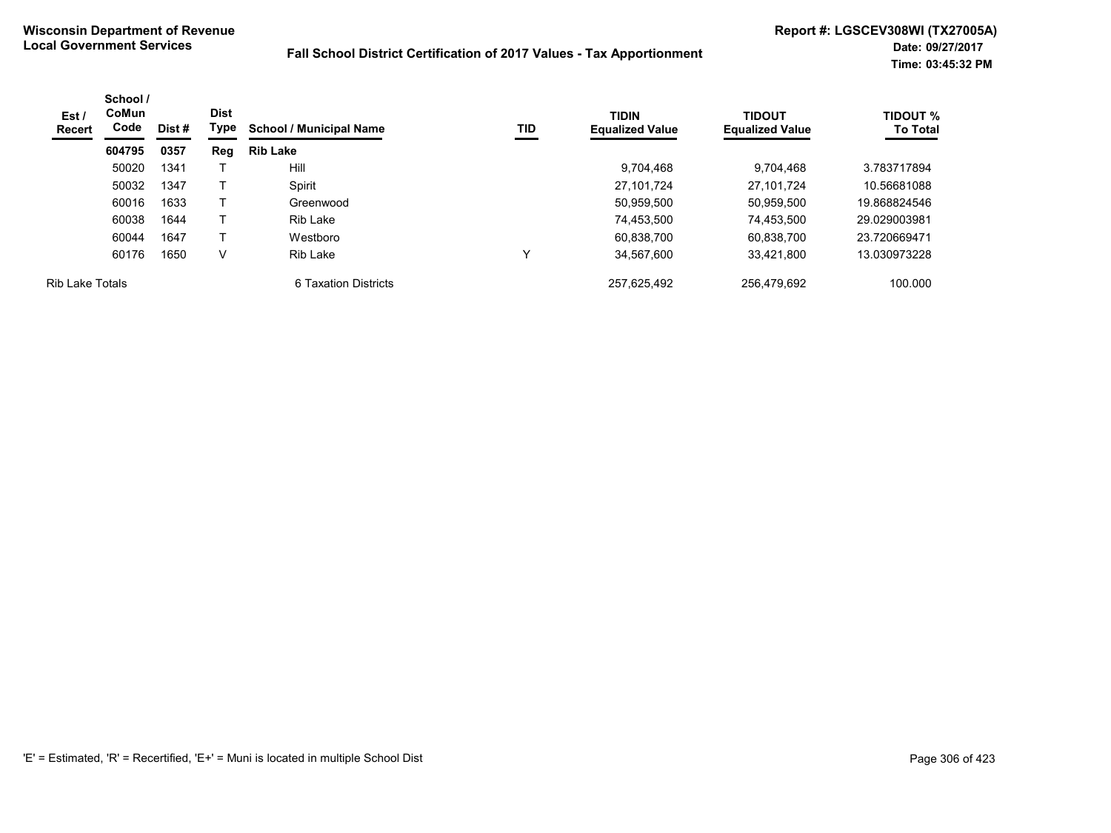| Est /<br>Recert        | School /<br>CoMun<br>Code | Dist # | <b>Dist</b><br>Type | <b>School / Municipal Name</b> | TID | <b>TIDIN</b><br><b>Equalized Value</b> | <b>TIDOUT</b><br><b>Equalized Value</b> | <b>TIDOUT %</b><br><b>To Total</b> |
|------------------------|---------------------------|--------|---------------------|--------------------------------|-----|----------------------------------------|-----------------------------------------|------------------------------------|
|                        | 604795                    | 0357   | Reg                 | <b>Rib Lake</b>                |     |                                        |                                         |                                    |
|                        | 50020                     | 1341   |                     | Hill                           |     | 9,704,468                              | 9,704,468                               | 3.783717894                        |
|                        | 50032                     | 1347   |                     | Spirit                         |     | 27.101.724                             | 27.101.724                              | 10.56681088                        |
|                        | 60016                     | 1633   |                     | Greenwood                      |     | 50,959,500                             | 50,959,500                              | 19.868824546                       |
|                        | 60038                     | 1644   |                     | <b>Rib Lake</b>                |     | 74,453,500                             | 74.453.500                              | 29.029003981                       |
|                        | 60044                     | 1647   |                     | Westboro                       |     | 60,838,700                             | 60,838,700                              | 23.720669471                       |
|                        | 60176                     | 1650   | V                   | Rib Lake                       | v   | 34.567.600                             | 33,421,800                              | 13.030973228                       |
| <b>Rib Lake Totals</b> |                           |        |                     | 6 Taxation Districts           |     | 257.625.492                            | 256.479.692                             | 100.000                            |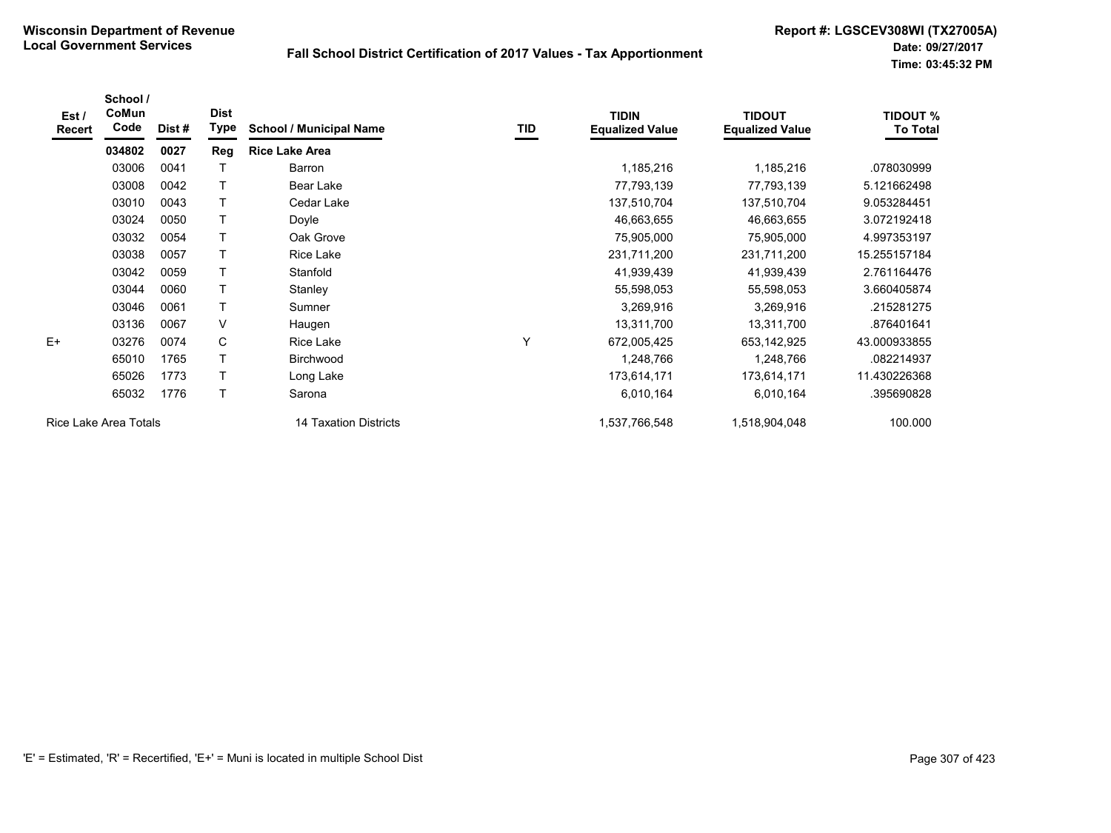| Est/<br><b>Recert</b> | School /<br>CoMun<br>Code | Dist# | <b>Dist</b><br>Type | <b>School / Municipal Name</b> | TID | <b>TIDIN</b><br><b>Equalized Value</b> | <b>TIDOUT</b><br><b>Equalized Value</b> | <b>TIDOUT %</b><br><b>To Total</b> |
|-----------------------|---------------------------|-------|---------------------|--------------------------------|-----|----------------------------------------|-----------------------------------------|------------------------------------|
|                       | 034802                    | 0027  | Reg                 | <b>Rice Lake Area</b>          |     |                                        |                                         |                                    |
|                       | 03006                     | 0041  |                     | Barron                         |     | 1,185,216                              | 1,185,216                               | .078030999                         |
|                       | 03008                     | 0042  | $\mathsf{T}$        | Bear Lake                      |     | 77,793,139                             | 77,793,139                              | 5.121662498                        |
|                       | 03010                     | 0043  | T                   | Cedar Lake                     |     | 137,510,704                            | 137,510,704                             | 9.053284451                        |
|                       | 03024                     | 0050  | Τ                   | Doyle                          |     | 46,663,655                             | 46,663,655                              | 3.072192418                        |
|                       | 03032                     | 0054  | T                   | Oak Grove                      |     | 75,905,000                             | 75,905,000                              | 4.997353197                        |
|                       | 03038                     | 0057  | Т                   | Rice Lake                      |     | 231,711,200                            | 231,711,200                             | 15.255157184                       |
|                       | 03042                     | 0059  |                     | Stanfold                       |     | 41,939,439                             | 41,939,439                              | 2.761164476                        |
|                       | 03044                     | 0060  | T                   | Stanley                        |     | 55,598,053                             | 55,598,053                              | 3.660405874                        |
|                       | 03046                     | 0061  | T                   | Sumner                         |     | 3,269,916                              | 3,269,916                               | .215281275                         |
|                       | 03136                     | 0067  | $\vee$              | Haugen                         |     | 13,311,700                             | 13,311,700                              | .876401641                         |
| $E+$                  | 03276                     | 0074  | C                   | <b>Rice Lake</b>               | Υ   | 672,005,425                            | 653,142,925                             | 43.000933855                       |
|                       | 65010                     | 1765  | T                   | Birchwood                      |     | 1,248,766                              | 1,248,766                               | .082214937                         |
|                       | 65026                     | 1773  | T                   | Long Lake                      |     | 173,614,171                            | 173,614,171                             | 11.430226368                       |
|                       | 65032                     | 1776  | T                   | Sarona                         |     | 6,010,164                              | 6,010,164                               | .395690828                         |
| Rice Lake Area Totals |                           |       |                     | 14 Taxation Districts          |     | 1,537,766,548                          | 1,518,904,048                           | 100.000                            |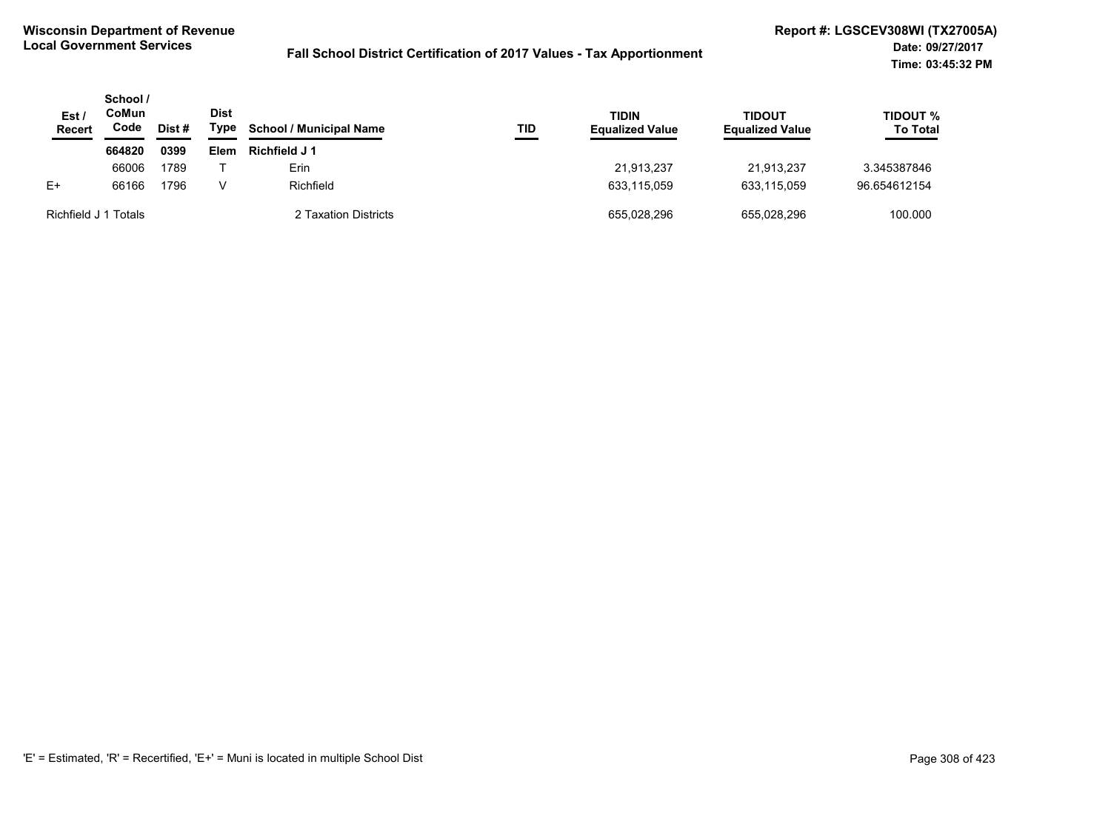| Est /<br>Recert      | School /<br>CoMun<br>Code | Dist # | <b>Dist</b><br>Type | <b>School / Municipal Name</b> | TID | TIDIN<br><b>TIDOUT</b><br><b>Equalized Value</b><br><b>Equalized Value</b> |             | <b>TIDOUT %</b><br><b>To Total</b> |
|----------------------|---------------------------|--------|---------------------|--------------------------------|-----|----------------------------------------------------------------------------|-------------|------------------------------------|
|                      | 664820                    | 0399   | <b>Elem</b>         | Richfield J 1                  |     |                                                                            |             |                                    |
|                      | 66006                     | 1789   |                     | Erin                           |     | 21.913.237                                                                 | 21.913.237  | 3.345387846                        |
| $E+$                 | 66166                     | 1796   | v                   | Richfield                      |     | 633,115,059                                                                | 633,115,059 | 96.654612154                       |
| Richfield J 1 Totals |                           |        |                     | 2 Taxation Districts           |     | 655.028.296                                                                | 655.028.296 | 100.000                            |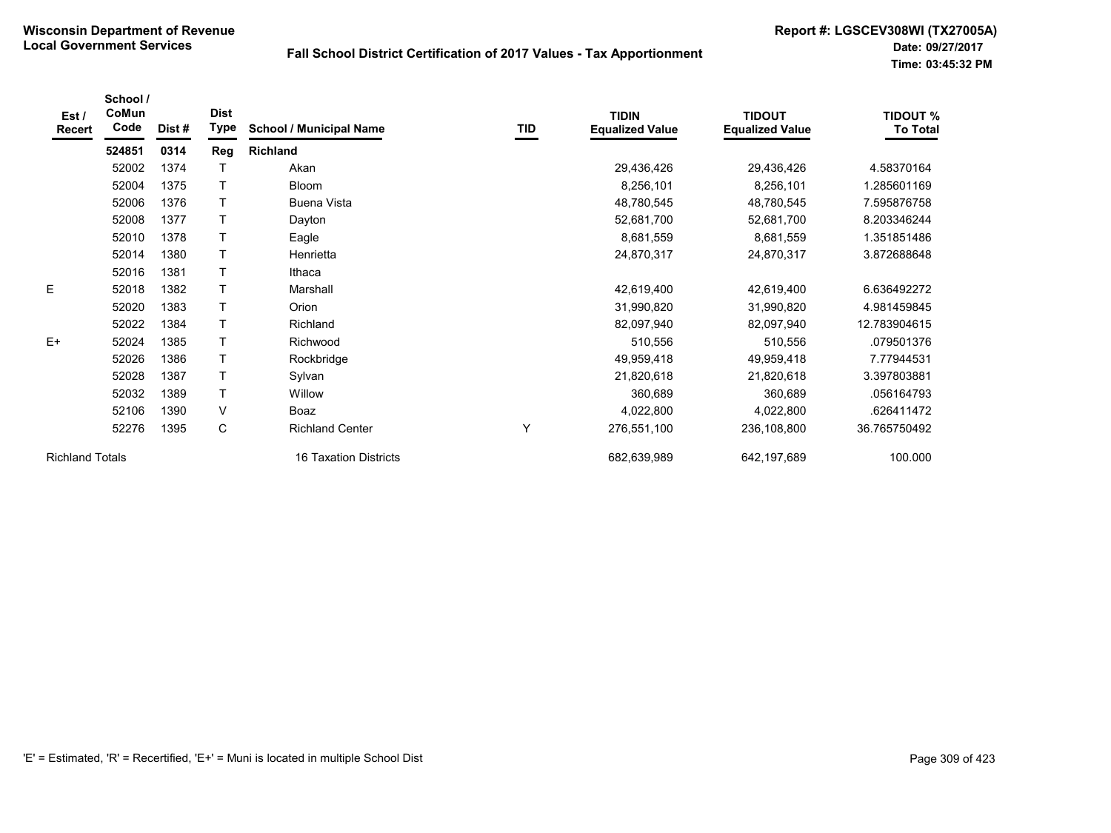| Est /<br>Recert        | School /<br>CoMun<br>Code | Dist# | <b>Dist</b><br>Type | <b>School / Municipal Name</b> | TID | <b>TIDIN</b><br><b>Equalized Value</b> | <b>TIDOUT</b><br><b>Equalized Value</b> | <b>TIDOUT %</b><br><b>To Total</b> |
|------------------------|---------------------------|-------|---------------------|--------------------------------|-----|----------------------------------------|-----------------------------------------|------------------------------------|
|                        | 524851                    | 0314  | Reg                 | <b>Richland</b>                |     |                                        |                                         |                                    |
|                        | 52002                     | 1374  |                     | Akan                           |     | 29,436,426                             | 29,436,426                              | 4.58370164                         |
|                        | 52004                     | 1375  |                     | <b>Bloom</b>                   |     | 8,256,101                              | 8,256,101                               | .285601169                         |
|                        | 52006                     | 1376  | $\mathsf T$         | Buena Vista                    |     | 48,780,545                             | 48,780,545                              | 7.595876758                        |
|                        | 52008                     | 1377  |                     | Dayton                         |     | 52,681,700                             | 52,681,700                              | 8.203346244                        |
|                        | 52010                     | 1378  | $\mathsf{T}$        | Eagle                          |     | 8,681,559                              | 8,681,559                               | 1.351851486                        |
|                        | 52014                     | 1380  | $\mathsf T$         | Henrietta                      |     | 24,870,317                             | 24,870,317                              | 3.872688648                        |
|                        | 52016                     | 1381  | $\mathsf{T}$        | Ithaca                         |     |                                        |                                         |                                    |
| E                      | 52018                     | 1382  |                     | Marshall                       |     | 42,619,400                             | 42,619,400                              | 6.636492272                        |
|                        | 52020                     | 1383  | $\mathsf{T}$        | <b>Orion</b>                   |     | 31,990,820                             | 31,990,820                              | 4.981459845                        |
|                        | 52022                     | 1384  | $\mathsf{T}$        | Richland                       |     | 82,097,940                             | 82,097,940                              | 12.783904615                       |
| $E+$                   | 52024                     | 1385  | $\mathsf{T}$        | Richwood                       |     | 510,556                                | 510,556                                 | .079501376                         |
|                        | 52026                     | 1386  | $\mathsf{T}$        | Rockbridge                     |     | 49,959,418                             | 49,959,418                              | 7.77944531                         |
|                        | 52028                     | 1387  |                     | Sylvan                         |     | 21,820,618                             | 21,820,618                              | 3.397803881                        |
|                        | 52032                     | 1389  | $\mathsf{T}$        | Willow                         |     | 360,689                                | 360,689                                 | .056164793                         |
|                        | 52106                     | 1390  | V                   | Boaz                           |     | 4,022,800                              | 4,022,800                               | .626411472                         |
|                        | 52276                     | 1395  | C                   | <b>Richland Center</b>         | Υ   | 276,551,100                            | 236,108,800                             | 36.765750492                       |
| <b>Richland Totals</b> |                           |       |                     | 16 Taxation Districts          |     | 682,639,989                            | 642,197,689                             | 100.000                            |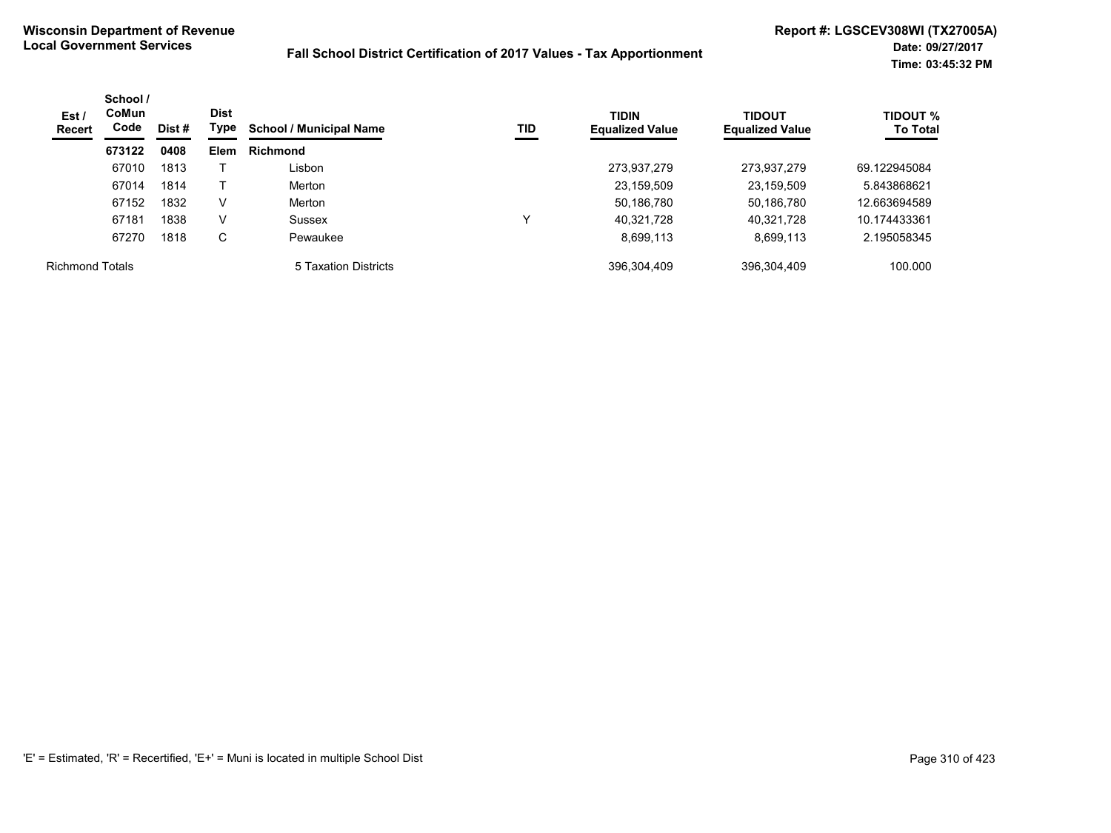| Est/<br><b>Recert</b>  | School /<br><b>CoMun</b><br>Code | <b>Dist</b><br>Type<br>Dist # |             | <b>School / Municipal Name</b> | TID | <b>TIDIN</b><br><b>Equalized Value</b> | <b>TIDOUT</b><br><b>Equalized Value</b> | <b>TIDOUT %</b><br><b>To Total</b> |
|------------------------|----------------------------------|-------------------------------|-------------|--------------------------------|-----|----------------------------------------|-----------------------------------------|------------------------------------|
|                        | 673122                           | 0408                          | <b>Elem</b> | <b>Richmond</b>                |     |                                        |                                         |                                    |
|                        | 67010                            | 1813                          |             | Lisbon                         |     | 273,937,279                            | 273,937,279                             | 69.122945084                       |
|                        | 67014                            | 1814                          |             | Merton                         |     | 23,159,509                             | 23,159,509                              | 5.843868621                        |
|                        | 67152                            | 1832                          | V           | Merton                         |     | 50,186,780                             | 50,186,780                              | 12.663694589                       |
|                        | 67181                            | 1838                          | V           | Sussex                         | v   | 40,321,728                             | 40,321,728                              | 10.174433361                       |
|                        | 67270                            | 1818                          | C           | Pewaukee                       |     | 8,699,113                              | 8,699,113                               | 2.195058345                        |
| <b>Richmond Totals</b> |                                  |                               |             | 5 Taxation Districts           |     | 396,304,409                            | 396,304,409                             | 100.000                            |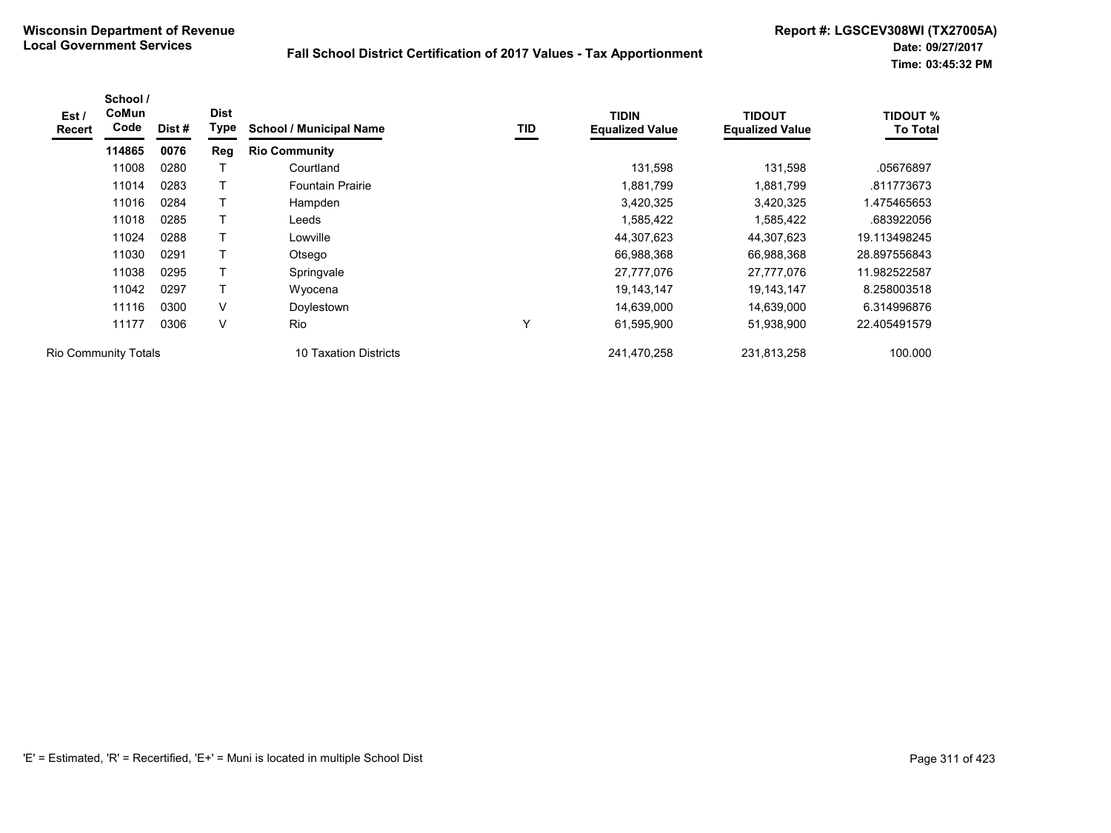| Est /<br><b>Recert</b> | School /<br>CoMun<br>Code   | Dist # | <b>Dist</b><br>Type | <b>School / Municipal Name</b> | TID          | <b>TIDIN</b><br><b>Equalized Value</b> | <b>TIDOUT</b><br><b>Equalized Value</b> | <b>TIDOUT %</b><br><b>To Total</b> |
|------------------------|-----------------------------|--------|---------------------|--------------------------------|--------------|----------------------------------------|-----------------------------------------|------------------------------------|
|                        | 114865                      | 0076   | <b>Reg</b>          | <b>Rio Community</b>           |              |                                        |                                         |                                    |
|                        | 11008                       | 0280   |                     | Courtland                      |              | 131,598                                | 131,598                                 | .05676897                          |
|                        | 11014                       | 0283   |                     | <b>Fountain Prairie</b>        |              | 1,881,799                              | 1,881,799                               | .811773673                         |
|                        | 11016                       | 0284   |                     | Hampden                        |              | 3,420,325                              | 3,420,325                               | 1.475465653                        |
|                        | 11018                       | 0285   |                     | Leeds                          |              | 1,585,422                              | 1,585,422                               | .683922056                         |
|                        | 11024                       | 0288   |                     | Lowville                       |              | 44,307,623                             | 44,307,623                              | 19.113498245                       |
|                        | 11030                       | 0291   |                     | Otsego                         |              | 66,988,368                             | 66,988,368                              | 28.897556843                       |
|                        | 11038                       | 0295   |                     | Springvale                     |              | 27.777.076                             | 27.777.076                              | 11.982522587                       |
|                        | 11042                       | 0297   |                     | Wyocena                        |              | 19,143,147                             | 19, 143, 147                            | 8.258003518                        |
|                        | 11116                       | 0300   | V                   | Doylestown                     |              | 14,639,000                             | 14,639,000                              | 6.314996876                        |
|                        | 11177                       | 0306   | V                   | <b>Rio</b>                     | $\checkmark$ | 61,595,900                             | 51,938,900                              | 22.405491579                       |
|                        | <b>Rio Community Totals</b> |        |                     | 10 Taxation Districts          |              | 241,470,258                            | 231,813,258                             | 100.000                            |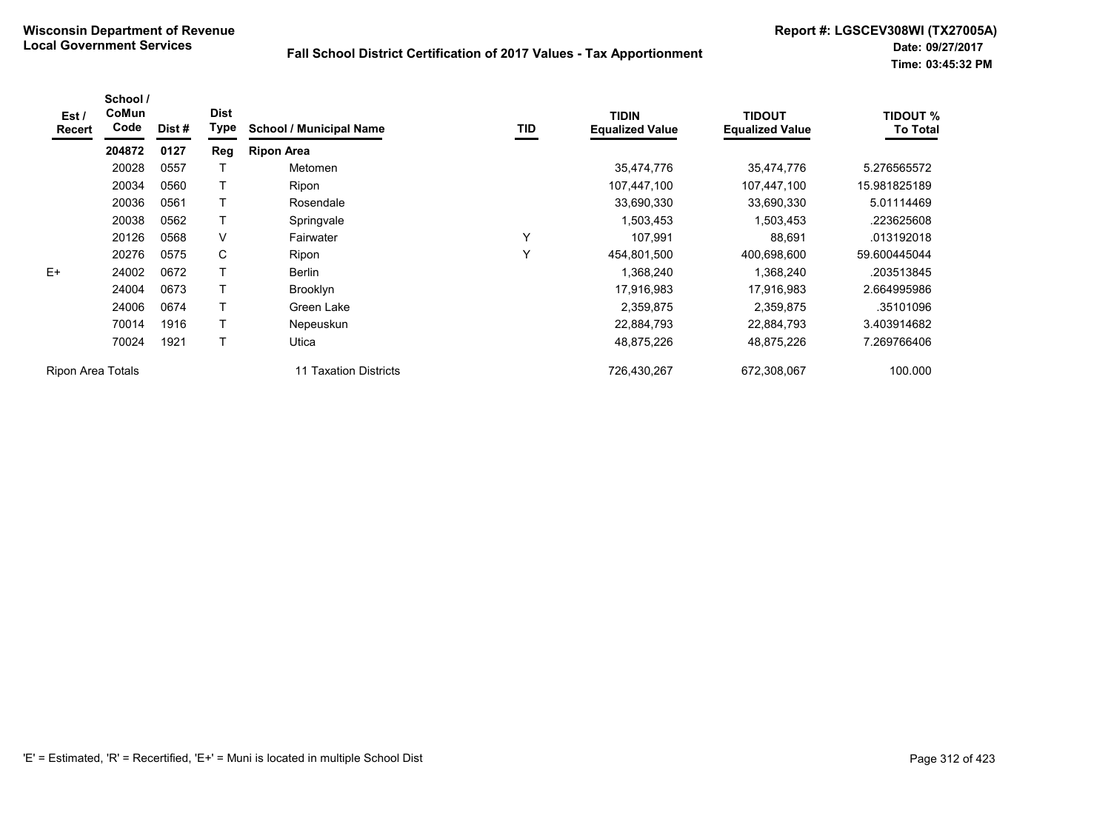| Est /<br>Recert   | School /<br>CoMun<br>Code | Dist # | <b>Dist</b><br><b>Type</b> | <b>School / Municipal Name</b> | TID | <b>TIDIN</b><br><b>Equalized Value</b> | <b>TIDOUT</b><br><b>Equalized Value</b> | <b>TIDOUT %</b><br><b>To Total</b> |
|-------------------|---------------------------|--------|----------------------------|--------------------------------|-----|----------------------------------------|-----------------------------------------|------------------------------------|
|                   | 204872                    | 0127   | Reg                        | <b>Ripon Area</b>              |     |                                        |                                         |                                    |
|                   | 20028                     | 0557   |                            | Metomen                        |     | 35,474,776                             | 35,474,776                              | 5.276565572                        |
|                   | 20034                     | 0560   |                            | Ripon                          |     | 107,447,100                            | 107,447,100                             | 15.981825189                       |
|                   | 20036                     | 0561   |                            | Rosendale                      |     | 33,690,330                             | 33,690,330                              | 5.01114469                         |
|                   | 20038                     | 0562   |                            | Springvale                     |     | 1,503,453                              | 1,503,453                               | .223625608                         |
|                   | 20126                     | 0568   | V                          | Fairwater                      | Y   | 107,991                                | 88,691                                  | .013192018                         |
|                   | 20276                     | 0575   | C                          | Ripon                          | Y   | 454,801,500                            | 400.698.600                             | 59.600445044                       |
| $E+$              | 24002                     | 0672   |                            | Berlin                         |     | 1,368,240                              | 1,368,240                               | .203513845                         |
|                   | 24004                     | 0673   |                            | Brooklyn                       |     | 17,916,983                             | 17,916,983                              | 2.664995986                        |
|                   | 24006                     | 0674   |                            | Green Lake                     |     | 2,359,875                              | 2,359,875                               | .35101096                          |
|                   | 70014                     | 1916   |                            | Nepeuskun                      |     | 22,884,793                             | 22,884,793                              | 3.403914682                        |
|                   | 70024                     | 1921   |                            | Utica                          |     | 48,875,226                             | 48,875,226                              | 7.269766406                        |
| Ripon Area Totals |                           |        |                            | Taxation Districts<br>11       |     | 726.430.267                            | 672,308,067                             | 100.000                            |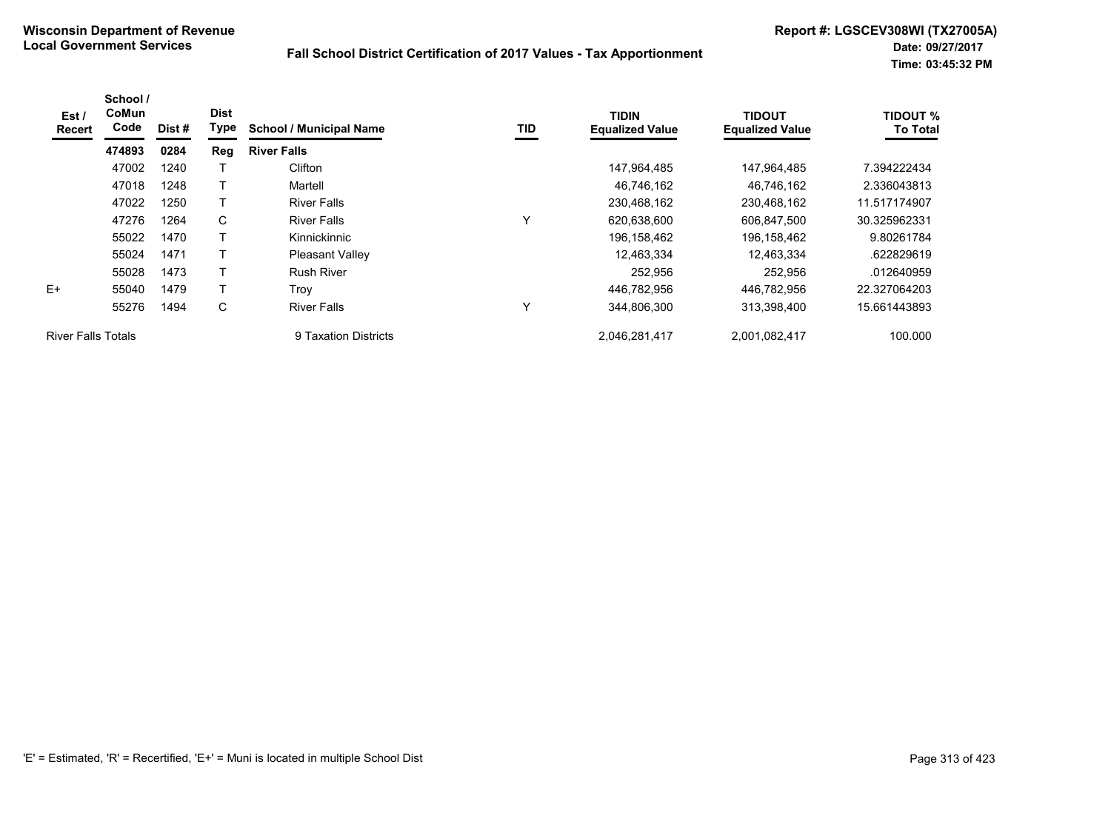| Est /<br>Recert           | School /<br><b>CoMun</b><br>Code | Dist# | <b>Dist</b><br>Type | <b>School / Municipal Name</b> | TID          | <b>TIDIN</b><br><b>Equalized Value</b> | <b>TIDOUT</b><br><b>Equalized Value</b> | <b>TIDOUT %</b><br><b>To Total</b> |
|---------------------------|----------------------------------|-------|---------------------|--------------------------------|--------------|----------------------------------------|-----------------------------------------|------------------------------------|
|                           | 474893                           | 0284  | Reg                 | <b>River Falls</b>             |              |                                        |                                         |                                    |
|                           | 47002                            | 1240  |                     | Clifton                        |              | 147,964,485                            | 147,964,485                             | 7.394222434                        |
|                           | 47018                            | 1248  |                     | Martell                        |              | 46,746,162                             | 46,746,162                              | 2.336043813                        |
|                           | 47022                            | 1250  |                     | <b>River Falls</b>             |              | 230,468,162                            | 230,468,162                             | 11.517174907                       |
|                           | 47276                            | 1264  | C                   | <b>River Falls</b>             | $\checkmark$ | 620,638,600                            | 606,847,500                             | 30.325962331                       |
|                           | 55022                            | 1470  | T                   | Kinnickinnic                   |              | 196,158,462                            | 196,158,462                             | 9.80261784                         |
|                           | 55024                            | 1471  |                     | Pleasant Valley                |              | 12,463,334                             | 12,463,334                              | .622829619                         |
|                           | 55028                            | 1473  |                     | <b>Rush River</b>              |              | 252,956                                | 252,956                                 | .012640959                         |
| $F+$                      | 55040                            | 1479  |                     | Trov                           |              | 446.782.956                            | 446.782.956                             | 22.327064203                       |
|                           | 55276                            | 1494  | C                   | <b>River Falls</b>             | $\checkmark$ | 344,806,300                            | 313,398,400                             | 15.661443893                       |
| <b>River Falls Totals</b> |                                  |       |                     | 9 Taxation Districts           |              | 2,046,281,417                          | 2,001,082,417                           | 100.000                            |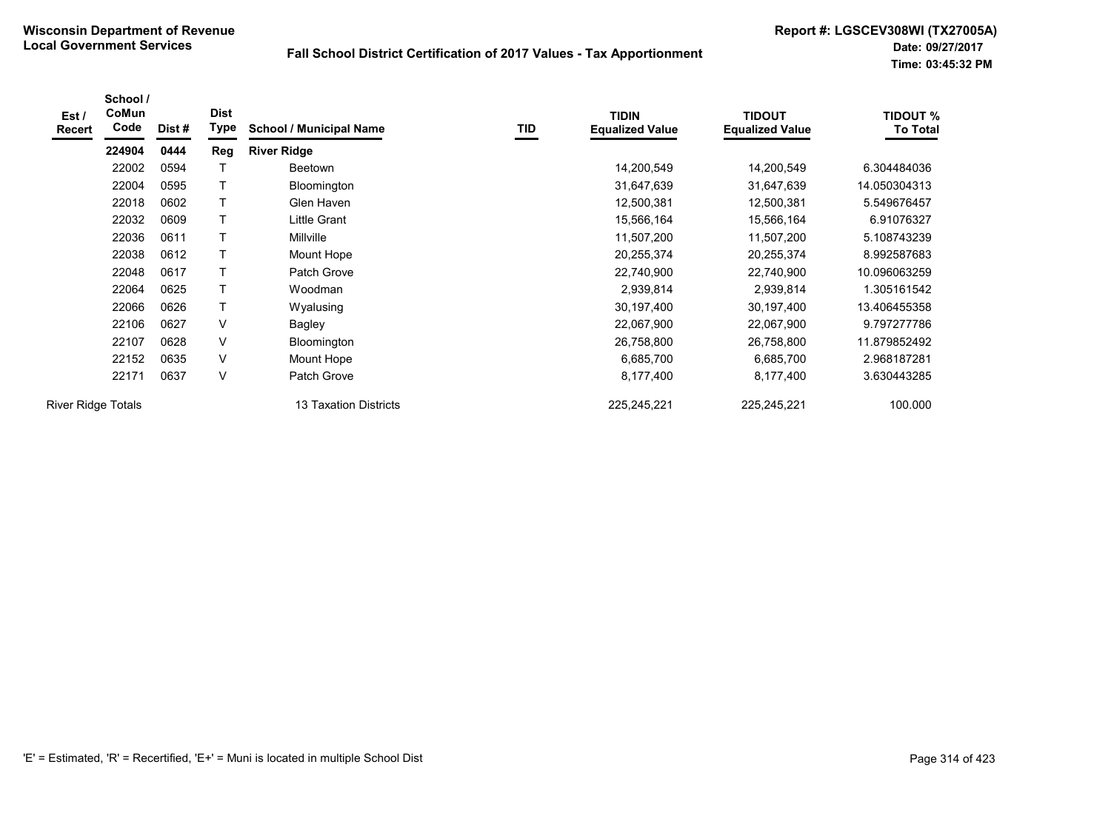| Est /<br><b>Recert</b>    | School /<br>CoMun<br>Code | Dist# | <b>Dist</b><br>Type | <b>School / Municipal Name</b> | TID | <b>TIDIN</b><br><b>Equalized Value</b> | <b>TIDOUT</b><br><b>Equalized Value</b> | <b>TIDOUT %</b><br><b>To Total</b> |
|---------------------------|---------------------------|-------|---------------------|--------------------------------|-----|----------------------------------------|-----------------------------------------|------------------------------------|
|                           | 224904                    | 0444  | Reg                 | <b>River Ridge</b>             |     |                                        |                                         |                                    |
|                           | 22002                     | 0594  |                     | Beetown                        |     | 14,200,549                             | 14,200,549                              | 6.304484036                        |
|                           | 22004                     | 0595  | Τ                   | Bloomington                    |     | 31,647,639                             | 31,647,639                              | 14.050304313                       |
|                           | 22018                     | 0602  | T                   | Glen Haven                     |     | 12,500,381                             | 12,500,381                              | 5.549676457                        |
|                           | 22032                     | 0609  | T                   | Little Grant                   |     | 15,566,164                             | 15,566,164                              | 6.91076327                         |
|                           | 22036                     | 0611  | T                   | Millville                      |     | 11,507,200                             | 11,507,200                              | 5.108743239                        |
|                           | 22038                     | 0612  |                     | Mount Hope                     |     | 20,255,374                             | 20,255,374                              | 8.992587683                        |
|                           | 22048                     | 0617  |                     | Patch Grove                    |     | 22,740,900                             | 22,740,900                              | 10.096063259                       |
|                           | 22064                     | 0625  |                     | Woodman                        |     | 2,939,814                              | 2,939,814                               | 1.305161542                        |
|                           | 22066                     | 0626  |                     | Wyalusing                      |     | 30,197,400                             | 30,197,400                              | 13.406455358                       |
|                           | 22106                     | 0627  | V                   | Bagley                         |     | 22,067,900                             | 22,067,900                              | 9.797277786                        |
|                           | 22107                     | 0628  | $\vee$              | Bloomington                    |     | 26,758,800                             | 26,758,800                              | 11.879852492                       |
|                           | 22152                     | 0635  | V                   | Mount Hope                     |     | 6,685,700                              | 6,685,700                               | 2.968187281                        |
|                           | 22171                     | 0637  | V                   | Patch Grove                    |     | 8,177,400                              | 8,177,400                               | 3.630443285                        |
| <b>River Ridge Totals</b> |                           |       |                     | 13 Taxation Districts          |     | 225,245,221                            | 225,245,221                             | 100.000                            |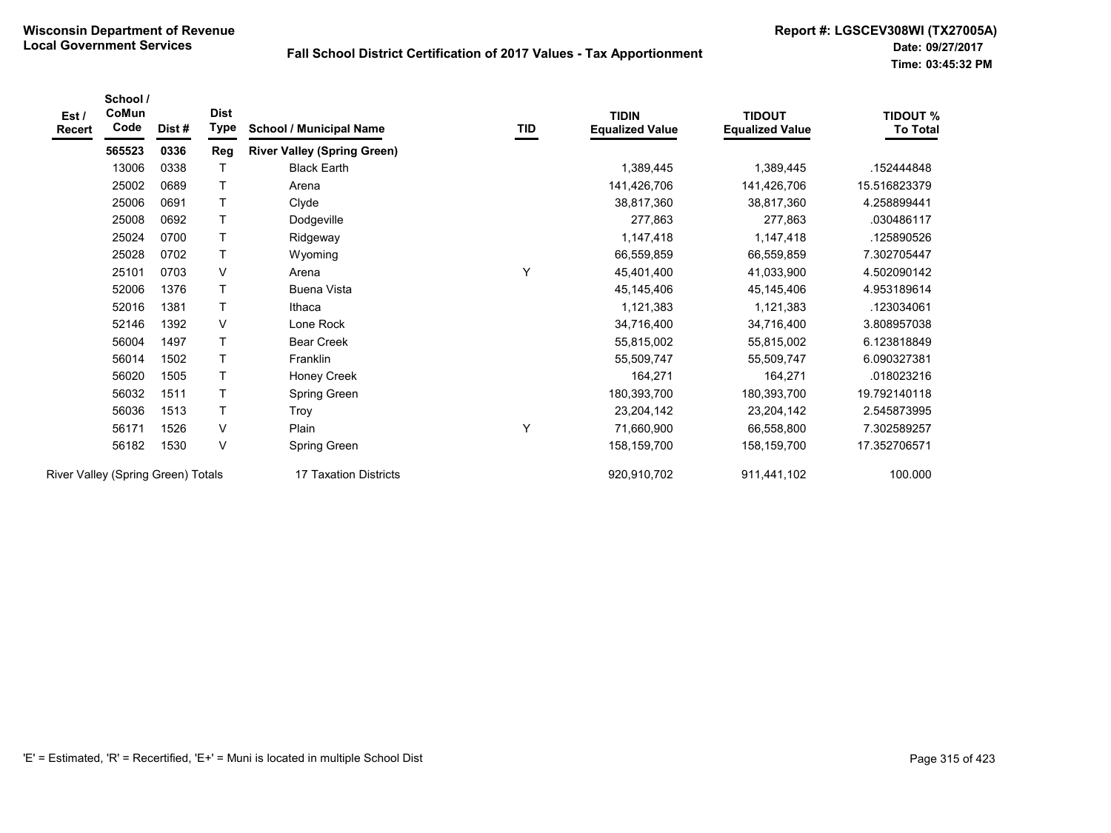| Est/<br>Recert                     | School /<br>CoMun<br>Code | Dist# | <b>Dist</b><br>Type | <b>School / Municipal Name</b>     | TID | <b>TIDIN</b><br><b>Equalized Value</b> | <b>TIDOUT</b><br><b>Equalized Value</b> | <b>TIDOUT %</b><br><b>To Total</b> |
|------------------------------------|---------------------------|-------|---------------------|------------------------------------|-----|----------------------------------------|-----------------------------------------|------------------------------------|
|                                    | 565523                    | 0336  | Reg                 | <b>River Valley (Spring Green)</b> |     |                                        |                                         |                                    |
|                                    | 13006                     | 0338  | Τ                   | <b>Black Earth</b>                 |     | 1,389,445                              | 1,389,445                               | .152444848                         |
|                                    | 25002                     | 0689  | $\top$              | Arena                              |     | 141,426,706                            | 141,426,706                             | 15.516823379                       |
|                                    | 25006                     | 0691  | T                   | Clyde                              |     | 38,817,360                             | 38,817,360                              | 4.258899441                        |
|                                    | 25008                     | 0692  | $\top$              | Dodgeville                         |     | 277,863                                | 277,863                                 | .030486117                         |
|                                    | 25024                     | 0700  | $\mathsf T$         | Ridgeway                           |     | 1,147,418                              | 1,147,418                               | .125890526                         |
|                                    | 25028                     | 0702  | $\top$              | Wyoming                            |     | 66,559,859                             | 66,559,859                              | 7.302705447                        |
|                                    | 25101                     | 0703  | V                   | Arena                              | Y   | 45,401,400                             | 41,033,900                              | 4.502090142                        |
|                                    | 52006                     | 1376  | $\top$              | <b>Buena Vista</b>                 |     | 45, 145, 406                           | 45,145,406                              | 4.953189614                        |
|                                    | 52016                     | 1381  | $\mathsf T$         | Ithaca                             |     | 1,121,383                              | 1,121,383                               | .123034061                         |
|                                    | 52146                     | 1392  | V                   | Lone Rock                          |     | 34,716,400                             | 34,716,400                              | 3.808957038                        |
|                                    | 56004                     | 1497  | T                   | <b>Bear Creek</b>                  |     | 55,815,002                             | 55,815,002                              | 6.123818849                        |
|                                    | 56014                     | 1502  | $\mathsf{T}$        | Franklin                           |     | 55,509,747                             | 55,509,747                              | 6.090327381                        |
|                                    | 56020                     | 1505  | $\mathsf T$         | Honey Creek                        |     | 164,271                                | 164,271                                 | .018023216                         |
|                                    | 56032                     | 1511  | T                   | Spring Green                       |     | 180,393,700                            | 180,393,700                             | 19.792140118                       |
|                                    | 56036                     | 1513  | $\top$              | Troy                               |     | 23,204,142                             | 23,204,142                              | 2.545873995                        |
|                                    | 56171                     | 1526  | V                   | Plain                              | Y   | 71,660,900                             | 66,558,800                              | 7.302589257                        |
|                                    | 56182                     | 1530  | $\vee$              | Spring Green                       |     | 158,159,700                            | 158,159,700                             | 17.352706571                       |
| River Valley (Spring Green) Totals |                           |       |                     | 17 Taxation Districts              |     | 920,910,702                            | 911,441,102                             | 100.000                            |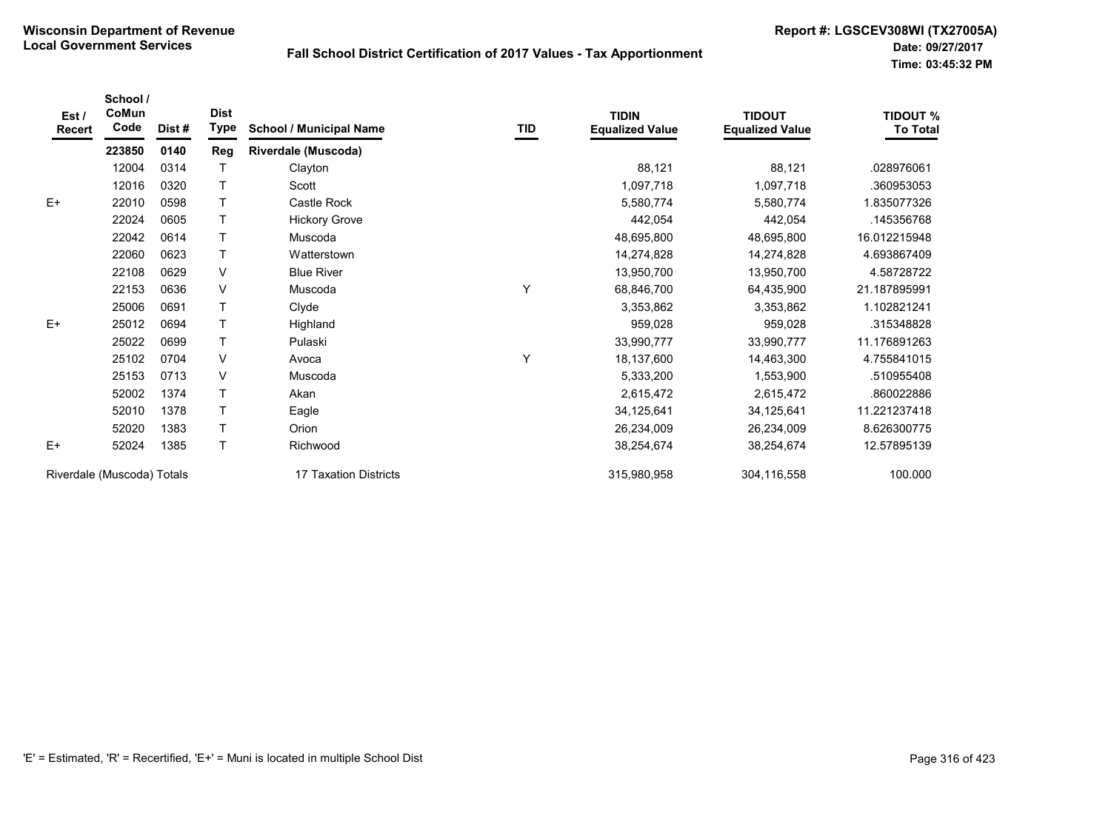| Est/<br><b>Recert</b>      | School /<br>CoMun<br>Code | Dist #                | <b>Dist</b><br><b>Type</b> | <b>School / Municipal Name</b> | TID         | <b>TIDIN</b><br><b>Equalized Value</b> | <b>TIDOUT</b><br><b>Equalized Value</b> | <b>TIDOUT %</b><br><b>To Total</b> |
|----------------------------|---------------------------|-----------------------|----------------------------|--------------------------------|-------------|----------------------------------------|-----------------------------------------|------------------------------------|
|                            | 223850                    | 0140                  | Reg                        | <b>Riverdale (Muscoda)</b>     |             |                                        |                                         |                                    |
|                            | 12004                     | 0314                  |                            | Clayton                        |             | 88,121                                 | 88,121                                  | .028976061                         |
|                            | 12016                     | 0320                  |                            | Scott                          |             | 1,097,718                              | 1,097,718                               | .360953053                         |
| $E+$                       | 22010                     | 0598                  | T                          | Castle Rock                    |             | 5,580,774                              | 5,580,774                               | 1.835077326                        |
|                            | 22024                     | 0605                  |                            | <b>Hickory Grove</b>           |             | 442,054                                | 442,054                                 | .145356768                         |
|                            | 22042                     | 0614                  | T                          | Muscoda                        |             | 48,695,800                             | 48,695,800                              | 16.012215948                       |
|                            | 22060                     | 0623                  | T                          | Watterstown                    |             | 14,274,828                             | 14,274,828                              | 4.693867409                        |
|                            | 22108                     | 0629                  | V                          | <b>Blue River</b>              |             | 13,950,700                             | 13,950,700                              | 4.58728722                         |
|                            | 22153                     | 0636                  | V                          | Muscoda                        | Υ           | 68,846,700                             | 64,435,900                              | 21.187895991                       |
|                            | 25006                     | 0691                  | T                          | Clyde                          |             | 3,353,862                              | 3,353,862                               | 1.102821241                        |
| $E+$                       | 25012                     | 0694                  | T                          | Highland                       |             | 959,028                                | 959,028                                 | .315348828                         |
|                            | 25022                     | 0699                  |                            | Pulaski                        |             | 33,990,777                             | 33,990,777                              | 11.176891263                       |
|                            | 25102                     | 0704                  | V                          | Avoca                          | Y           | 18,137,600                             | 14,463,300                              | 4.755841015                        |
|                            | 25153                     | 0713                  | V                          | Muscoda                        |             | 5,333,200                              | 1,553,900                               | .510955408                         |
|                            | 52002                     | 1374                  |                            | Akan                           |             | 2,615,472                              | 2,615,472                               | .860022886                         |
|                            | 52010                     | 1378                  | T                          | Eagle                          |             | 34,125,641                             | 34,125,641                              | 11.221237418                       |
|                            | 52020                     | 1383                  | T.                         | Orion                          |             | 26,234,009                             | 26,234,009                              | 8.626300775                        |
| $E+$                       | 52024                     | 1385                  |                            | Richwood                       |             | 38,254,674                             | 38,254,674                              | 12.57895139                        |
| Riverdale (Muscoda) Totals |                           | 17 Taxation Districts |                            | 315,980,958                    | 304,116,558 | 100.000                                |                                         |                                    |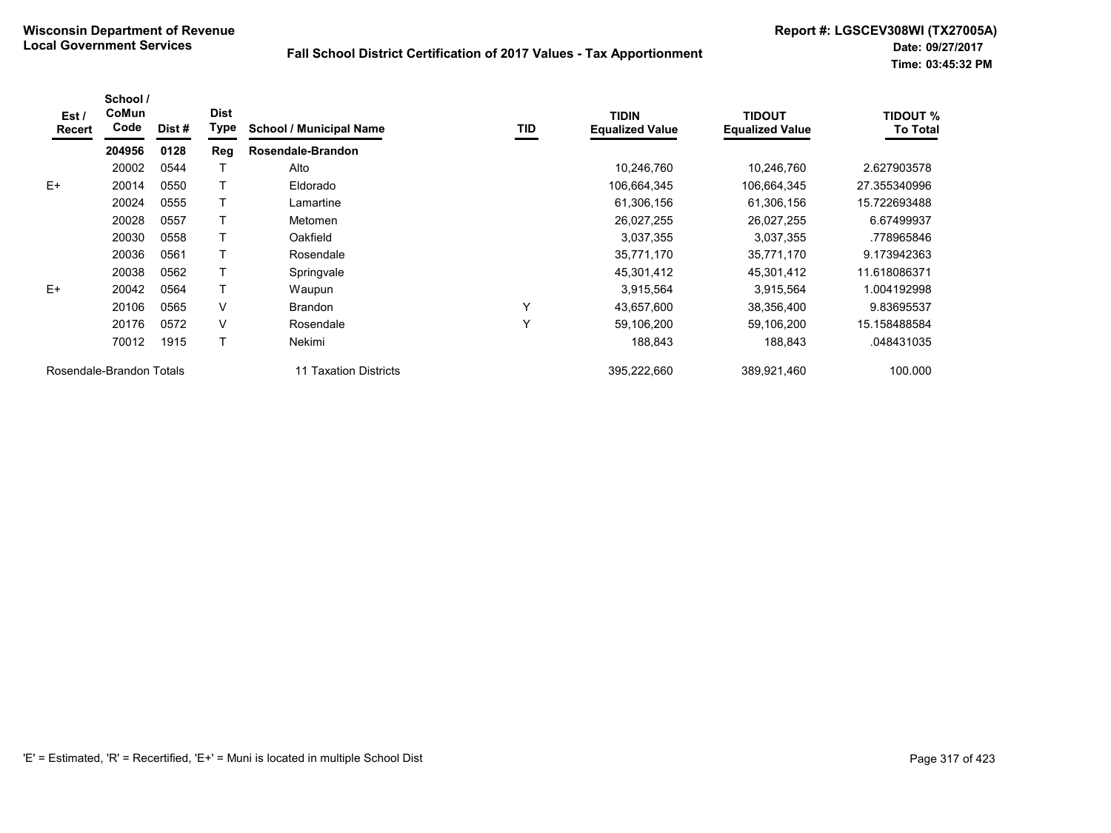| Est /<br>Recert | School /<br>CoMun<br>Code | Dist # | <b>Dist</b><br><b>Type</b> | <b>School / Municipal Name</b>  | TID | <b>TIDIN</b><br><b>Equalized Value</b> | <b>TIDOUT</b><br><b>Equalized Value</b> | <b>TIDOUT %</b><br><b>To Total</b> |
|-----------------|---------------------------|--------|----------------------------|---------------------------------|-----|----------------------------------------|-----------------------------------------|------------------------------------|
|                 | 204956                    | 0128   | Reg                        | Rosendale-Brandon               |     |                                        |                                         |                                    |
|                 | 20002                     | 0544   |                            | Alto                            |     | 10,246,760                             | 10,246,760                              | 2.627903578                        |
| $E+$            | 20014                     | 0550   |                            | Eldorado                        |     | 106.664.345                            | 106,664,345                             | 27.355340996                       |
|                 | 20024                     | 0555   |                            | Lamartine                       |     | 61,306,156                             | 61,306,156                              | 15.722693488                       |
|                 | 20028                     | 0557   |                            | Metomen                         |     | 26,027,255                             | 26,027,255                              | 6.67499937                         |
|                 | 20030                     | 0558   |                            | Oakfield                        |     | 3,037,355                              | 3,037,355                               | .778965846                         |
|                 | 20036                     | 0561   |                            | Rosendale                       |     | 35,771,170                             | 35,771,170                              | 9.173942363                        |
|                 | 20038                     | 0562   |                            | Springvale                      |     | 45,301,412                             | 45,301,412                              | 11.618086371                       |
| $E+$            | 20042                     | 0564   |                            | Waupun                          |     | 3,915,564                              | 3,915,564                               | 1.004192998                        |
|                 | 20106                     | 0565   | V                          | <b>Brandon</b>                  | Υ   | 43,657,600                             | 38,356,400                              | 9.83695537                         |
|                 | 20176                     | 0572   | V                          | Rosendale                       | Υ   | 59,106,200                             | 59,106,200                              | 15.158488584                       |
|                 | 70012                     | 1915   |                            | Nekimi                          |     | 188,843                                | 188,843                                 | .048431035                         |
|                 | Rosendale-Brandon Totals  |        |                            | <b>Taxation Districts</b><br>11 |     | 395,222,660                            | 389,921,460                             | 100.000                            |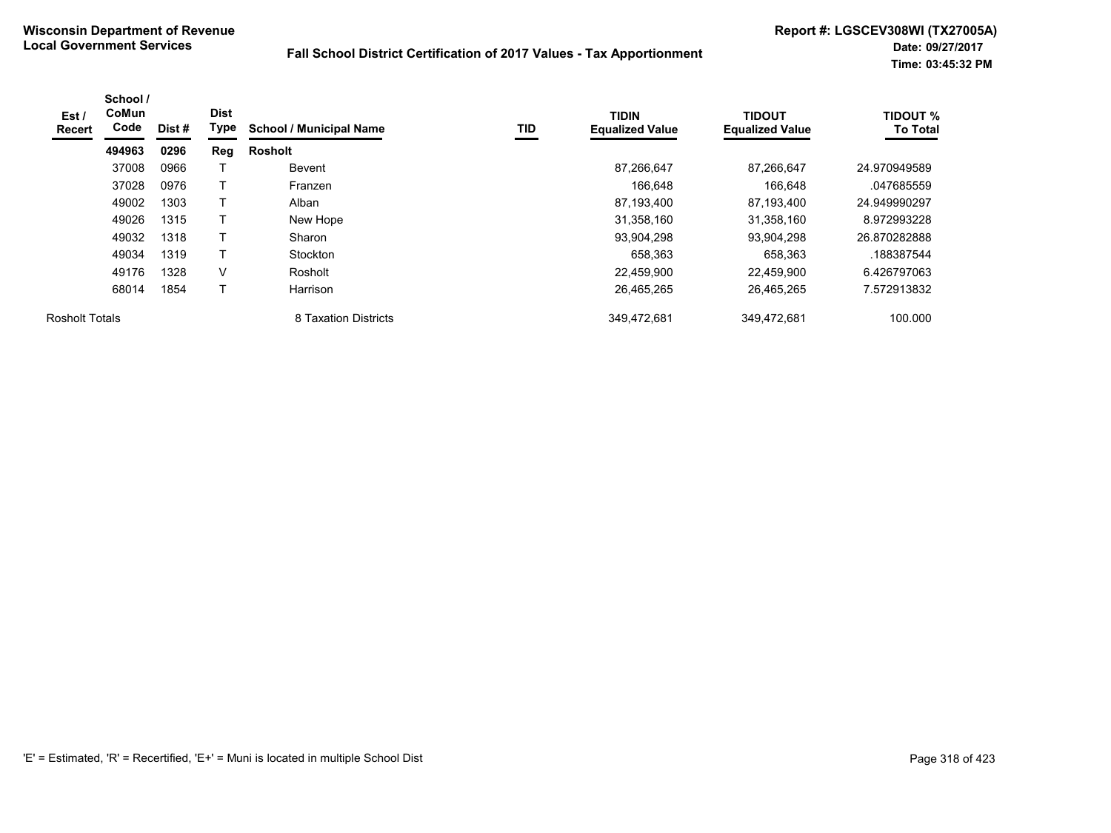| Est /<br>Recert       | School /<br>CoMun<br>Code | Dist # | <b>Dist</b><br>Type | <b>School / Municipal Name</b> | TID | <b>TIDIN</b><br><b>Equalized Value</b> | <b>TIDOUT</b><br><b>Equalized Value</b> | <b>TIDOUT %</b><br><b>To Total</b> |
|-----------------------|---------------------------|--------|---------------------|--------------------------------|-----|----------------------------------------|-----------------------------------------|------------------------------------|
|                       | 494963                    | 0296   | Reg                 | <b>Rosholt</b>                 |     |                                        |                                         |                                    |
|                       | 37008                     | 0966   |                     | <b>Bevent</b>                  |     | 87,266,647                             | 87.266.647                              | 24.970949589                       |
|                       | 37028                     | 0976   |                     | Franzen                        |     | 166.648                                | 166,648                                 | .047685559                         |
|                       | 49002                     | 1303   |                     | Alban                          |     | 87,193,400                             | 87,193,400                              | 24.949990297                       |
|                       | 49026                     | 1315   |                     | New Hope                       |     | 31,358,160                             | 31,358,160                              | 8.972993228                        |
|                       | 49032                     | 1318   |                     | Sharon                         |     | 93,904,298                             | 93,904,298                              | 26.870282888                       |
|                       | 49034                     | 1319   |                     | Stockton                       |     | 658,363                                | 658,363                                 | .188387544                         |
|                       | 49176                     | 1328   | V                   | Rosholt                        |     | 22,459,900                             | 22.459.900                              | 6.426797063                        |
|                       | 68014                     | 1854   |                     | Harrison                       |     | 26,465,265                             | 26,465,265                              | 7.572913832                        |
| <b>Rosholt Totals</b> |                           |        |                     | 8 Taxation Districts           |     | 349,472,681                            | 349,472,681                             | 100.000                            |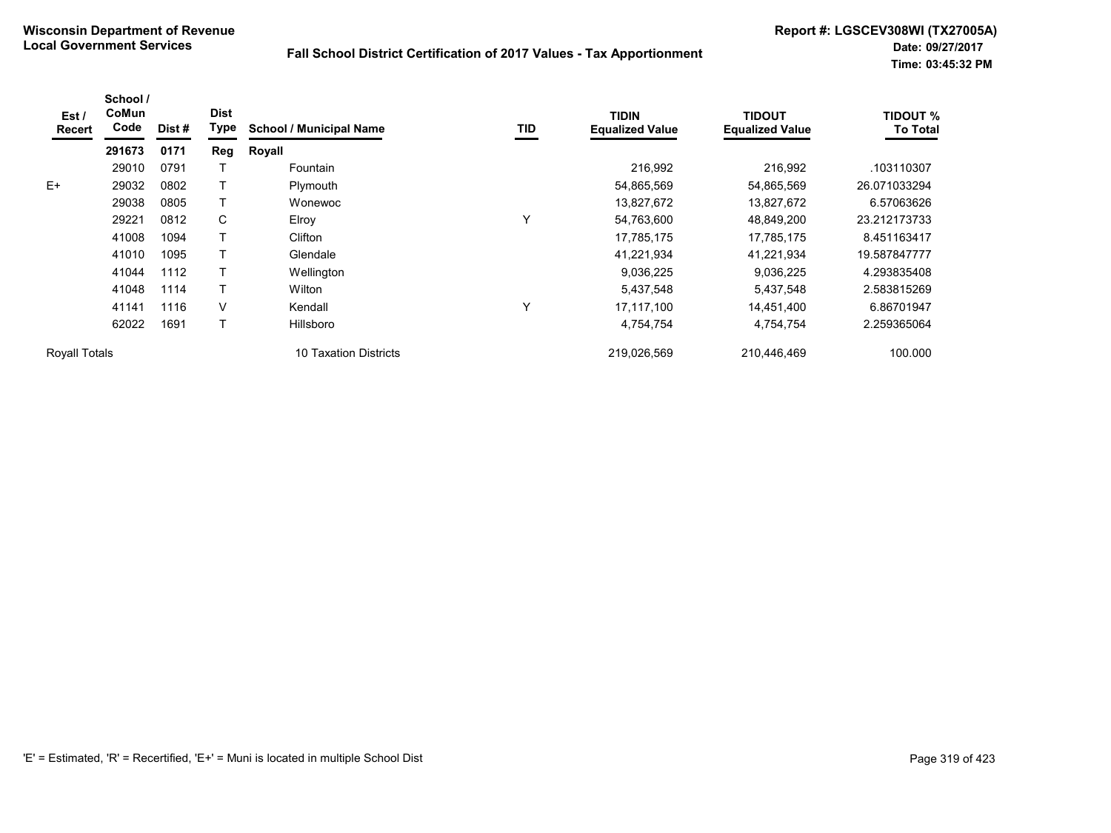| Est /<br>Recert      | School /<br>CoMun<br>Code | Dist # | <b>Dist</b><br><b>Type</b> | <b>School / Municipal Name</b>  | TID | <b>TIDIN</b><br><b>Equalized Value</b> | <b>TIDOUT</b><br><b>Equalized Value</b> | <b>TIDOUT %</b><br><b>To Total</b> |
|----------------------|---------------------------|--------|----------------------------|---------------------------------|-----|----------------------------------------|-----------------------------------------|------------------------------------|
|                      | 291673                    | 0171   | Reg                        | Royall                          |     |                                        |                                         |                                    |
|                      | 29010                     | 0791   |                            | Fountain                        |     | 216,992                                | 216,992                                 | .103110307                         |
| $E+$                 | 29032                     | 0802   |                            | Plymouth                        |     | 54,865,569                             | 54,865,569                              | 26.071033294                       |
|                      | 29038                     | 0805   |                            | Wonewoc                         |     | 13,827,672                             | 13,827,672                              | 6.57063626                         |
|                      | 29221                     | 0812   | C                          | Elroy                           | Υ   | 54,763,600                             | 48,849,200                              | 23.212173733                       |
|                      | 41008                     | 1094   |                            | Clifton                         |     | 17,785,175                             | 17,785,175                              | 8.451163417                        |
|                      | 41010                     | 1095   |                            | Glendale                        |     | 41,221,934                             | 41,221,934                              | 19.587847777                       |
|                      | 41044                     | 1112   |                            | Wellington                      |     | 9,036,225                              | 9,036,225                               | 4.293835408                        |
|                      | 41048                     | 1114   |                            | Wilton                          |     | 5,437,548                              | 5,437,548                               | 2.583815269                        |
|                      | 41141                     | 1116   | V                          | Kendall                         | Y   | 17,117,100                             | 14,451,400                              | 6.86701947                         |
|                      | 62022                     | 1691   |                            | Hillsboro                       |     | 4,754,754                              | 4,754,754                               | 2.259365064                        |
| <b>Royall Totals</b> |                           |        |                            | <b>Taxation Districts</b><br>10 |     | 219,026,569                            | 210,446,469                             | 100.000                            |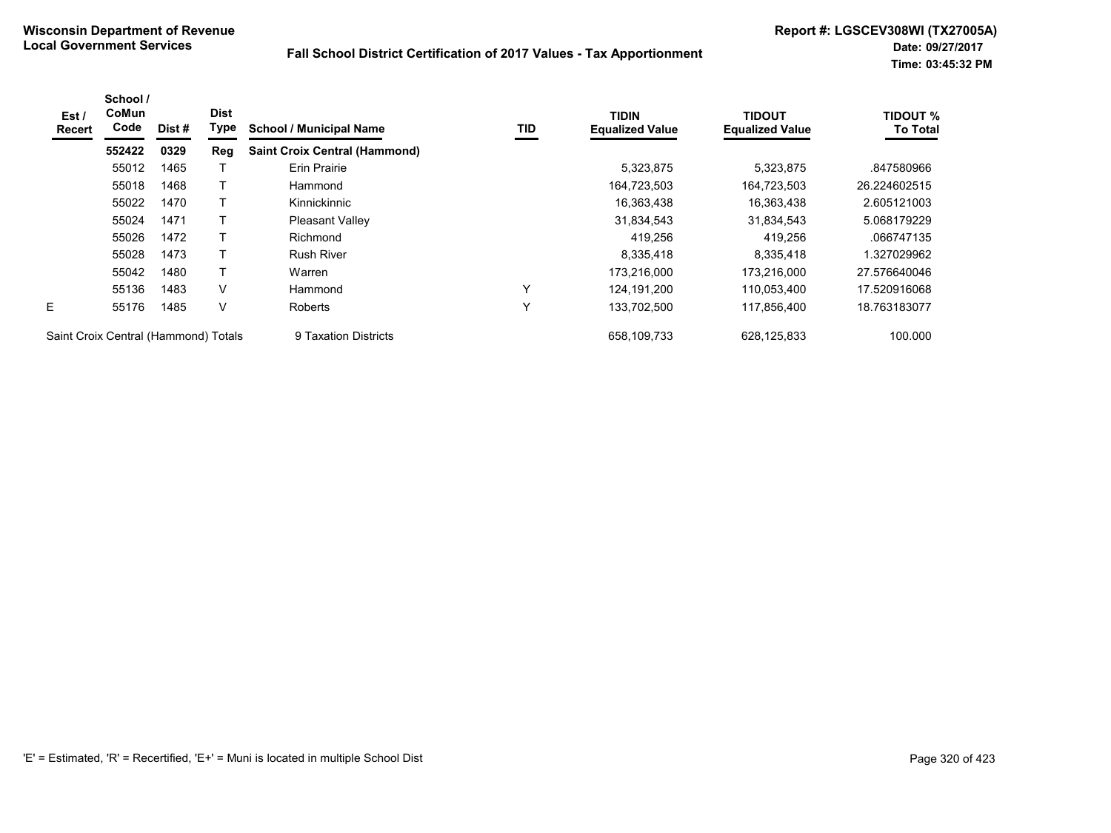| Est /<br><b>Recert</b>               | School /<br>CoMun<br>Code | Dist # | <b>Dist</b><br>Type | <b>School / Municipal Name</b>       | TID | <b>TIDIN</b><br><b>Equalized Value</b> | <b>TIDOUT</b><br><b>Equalized Value</b> | <b>TIDOUT %</b><br><b>To Total</b> |
|--------------------------------------|---------------------------|--------|---------------------|--------------------------------------|-----|----------------------------------------|-----------------------------------------|------------------------------------|
|                                      | 552422                    | 0329   | Reg                 | <b>Saint Croix Central (Hammond)</b> |     |                                        |                                         |                                    |
|                                      | 55012                     | 1465   |                     | <b>Erin Prairie</b>                  |     | 5,323,875                              | 5,323,875                               | .847580966                         |
|                                      | 55018                     | 1468   |                     | Hammond                              |     | 164,723,503                            | 164,723,503                             | 26.224602515                       |
|                                      | 55022                     | 1470   | т                   | Kinnickinnic                         |     | 16,363,438                             | 16,363,438                              | 2.605121003                        |
|                                      | 55024                     | 1471   |                     | <b>Pleasant Valley</b>               |     | 31,834,543                             | 31,834,543                              | 5.068179229                        |
|                                      | 55026                     | 1472   | т                   | Richmond                             |     | 419,256                                | 419,256                                 | .066747135                         |
|                                      | 55028                     | 1473   |                     | <b>Rush River</b>                    |     | 8,335,418                              | 8,335,418                               | .327029962                         |
|                                      | 55042                     | 1480   | T                   | Warren                               |     | 173,216,000                            | 173,216,000                             | 27.576640046                       |
|                                      | 55136                     | 1483   | V                   | Hammond                              | Υ   | 124.191.200                            | 110,053,400                             | 17.520916068                       |
| E.                                   | 55176                     | 1485   | V                   | <b>Roberts</b>                       | Υ   | 133,702,500                            | 117,856,400                             | 18.763183077                       |
| Saint Croix Central (Hammond) Totals |                           |        |                     | 9 Taxation Districts                 |     | 658,109,733                            | 628,125,833                             | 100.000                            |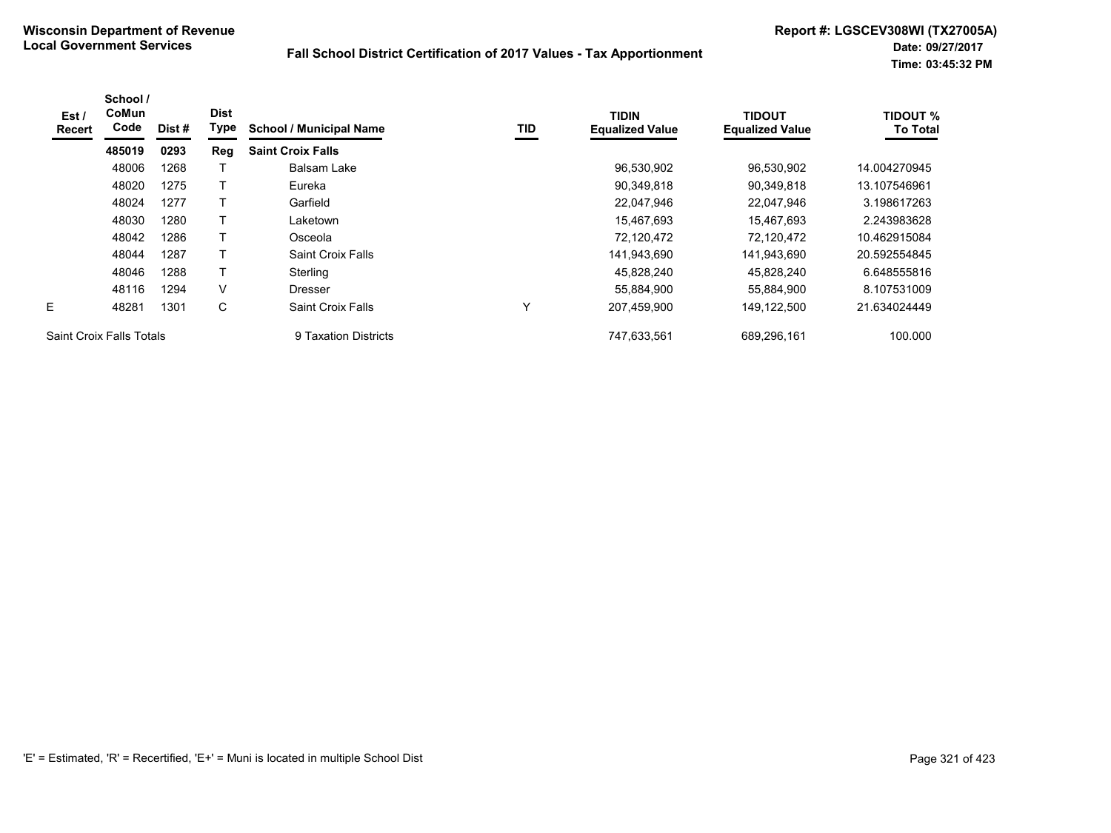| Est/<br><b>Recert</b>           | School /<br>CoMun<br>Code | Dist# | <b>Dist</b><br>Type | <b>School / Municipal Name</b> | TID | <b>TIDIN</b><br><b>Equalized Value</b> | <b>TIDOUT</b><br><b>Equalized Value</b> | <b>TIDOUT %</b><br><b>To Total</b> |
|---------------------------------|---------------------------|-------|---------------------|--------------------------------|-----|----------------------------------------|-----------------------------------------|------------------------------------|
|                                 | 485019                    | 0293  | Reg                 | <b>Saint Croix Falls</b>       |     |                                        |                                         |                                    |
|                                 | 48006                     | 1268  |                     | Balsam Lake                    |     | 96,530,902                             | 96,530,902                              | 14.004270945                       |
|                                 | 48020                     | 1275  |                     | Eureka                         |     | 90,349,818                             | 90,349,818                              | 13.107546961                       |
|                                 | 48024                     | 1277  | т                   | Garfield                       |     | 22,047,946                             | 22,047,946                              | 3.198617263                        |
|                                 | 48030                     | 1280  |                     | Laketown                       |     | 15,467,693                             | 15,467,693                              | 2.243983628                        |
|                                 | 48042                     | 1286  | T                   | Osceola                        |     | 72,120,472                             | 72,120,472                              | 10.462915084                       |
|                                 | 48044                     | 1287  |                     | Saint Croix Falls              |     | 141,943,690                            | 141,943,690                             | 20.592554845                       |
|                                 | 48046                     | 1288  | Т                   | Sterling                       |     | 45,828,240                             | 45,828,240                              | 6.648555816                        |
|                                 | 48116                     | 1294  | V                   | <b>Dresser</b>                 |     | 55.884.900                             | 55,884,900                              | 8.107531009                        |
| E.                              | 48281                     | 1301  | С                   | Saint Croix Falls              | Y   | 207,459,900                            | 149,122,500                             | 21.634024449                       |
| <b>Saint Croix Falls Totals</b> |                           |       |                     | 9 Taxation Districts           |     | 747.633.561                            | 689.296.161                             | 100.000                            |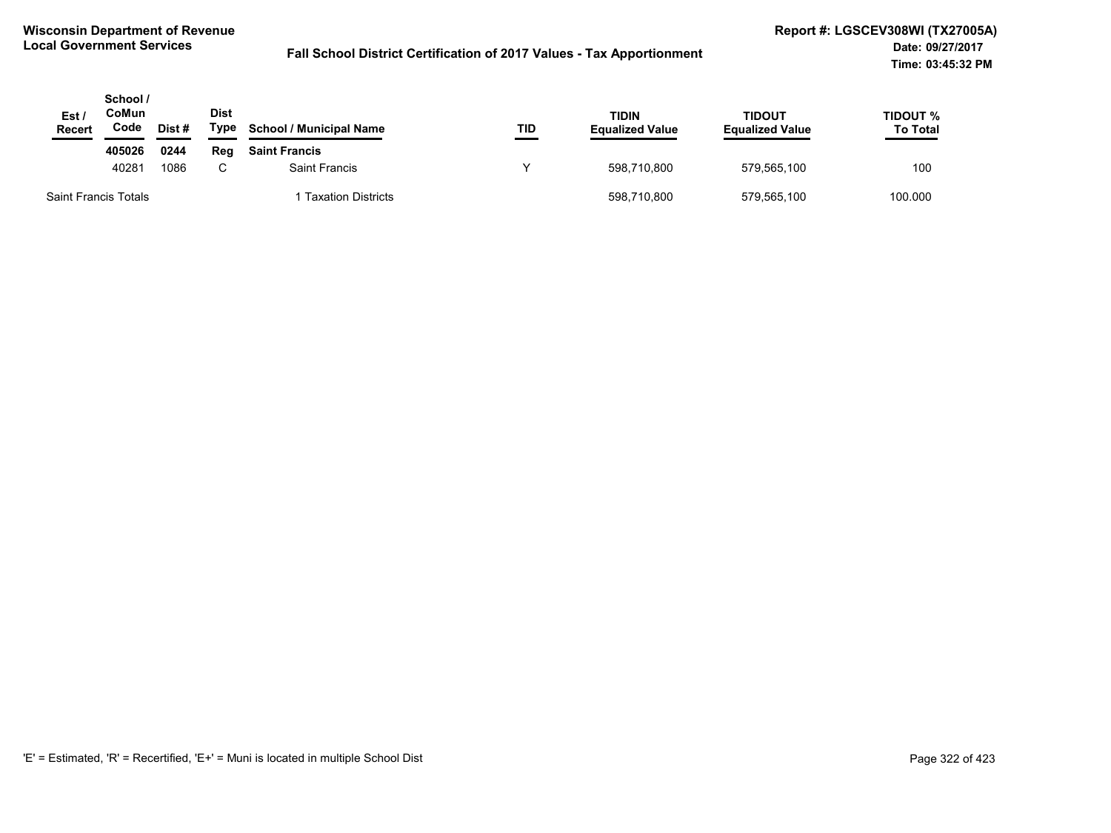| Est /<br><b>Recert</b>      | School /<br>CoMun<br>Code | Dist# | Dist<br>Type | <b>School / Municipal Name</b> | TID | TIDIN<br><b>Equalized Value</b> | <b>TIDOUT</b><br><b>Equalized Value</b> | TIDOUT %<br><b>To Total</b> |
|-----------------------------|---------------------------|-------|--------------|--------------------------------|-----|---------------------------------|-----------------------------------------|-----------------------------|
|                             | 405026                    | 0244  | Rea          | <b>Saint Francis</b>           |     |                                 |                                         |                             |
|                             | 40281                     | 1086  | $\sim$       | <b>Saint Francis</b>           |     | 598,710,800                     | 579,565,100                             | 100                         |
| <b>Saint Francis Totals</b> |                           |       |              | <b>Taxation Districts</b>      |     | 598,710,800                     | 579,565,100                             | 100.000                     |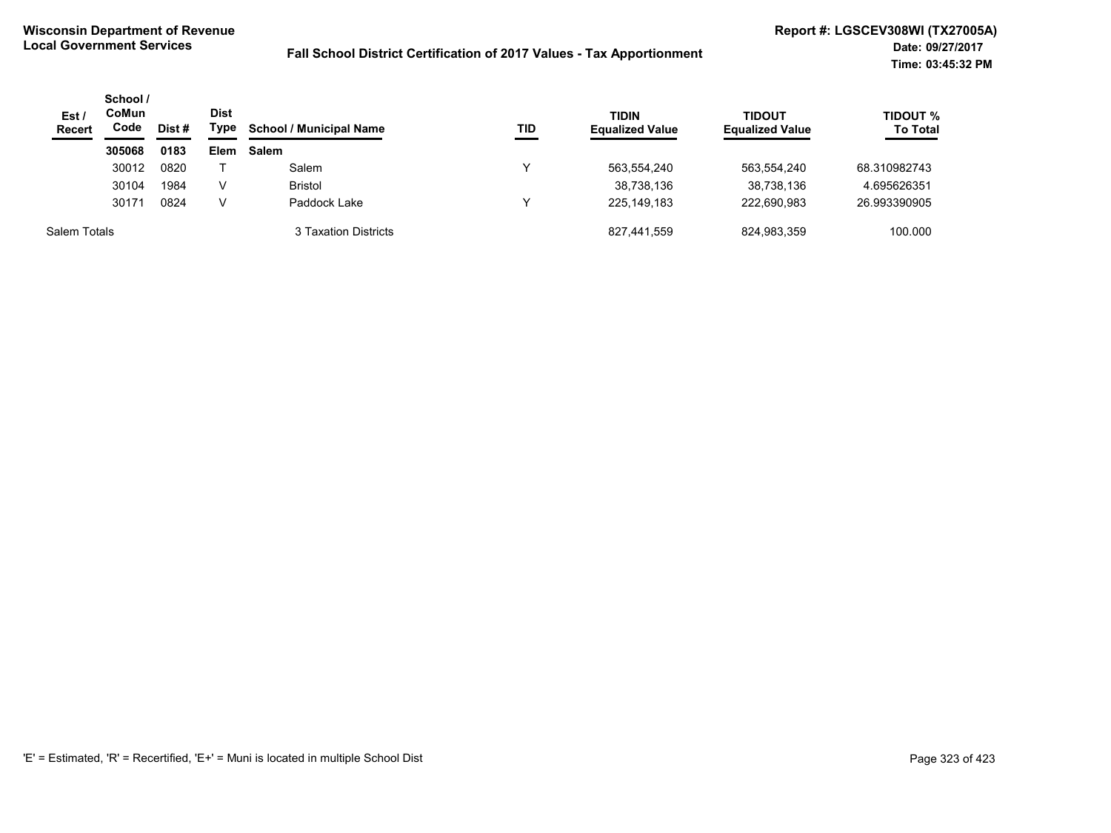| Est /<br><b>Recert</b> | School /<br>CoMun<br>Code | <b>Dist</b><br>Type<br>Dist # |      | <b>School / Municipal Name</b><br>TID | <b>TIDIN</b><br><b>Equalized Value</b> | <b>TIDOUT</b><br><b>Equalized Value</b> | <b>TIDOUT %</b><br><b>To Total</b> |
|------------------------|---------------------------|-------------------------------|------|---------------------------------------|----------------------------------------|-----------------------------------------|------------------------------------|
|                        | 305068                    | 0183                          | Elem | <b>Salem</b>                          |                                        |                                         |                                    |
|                        | 30012                     | 0820                          |      | Salem                                 | 563,554,240                            | 563,554,240                             | 68.310982743                       |
|                        | 30104                     | 1984                          | v    | <b>Bristol</b>                        | 38,738,136                             | 38,738,136                              | 4.695626351                        |
|                        | 30171                     | 0824                          | V    | Paddock Lake                          | 225,149,183                            | 222.690.983                             | 26.993390905                       |
| Salem Totals           |                           |                               |      | 3 Taxation Districts                  | 827,441,559                            | 824,983,359                             | 100.000                            |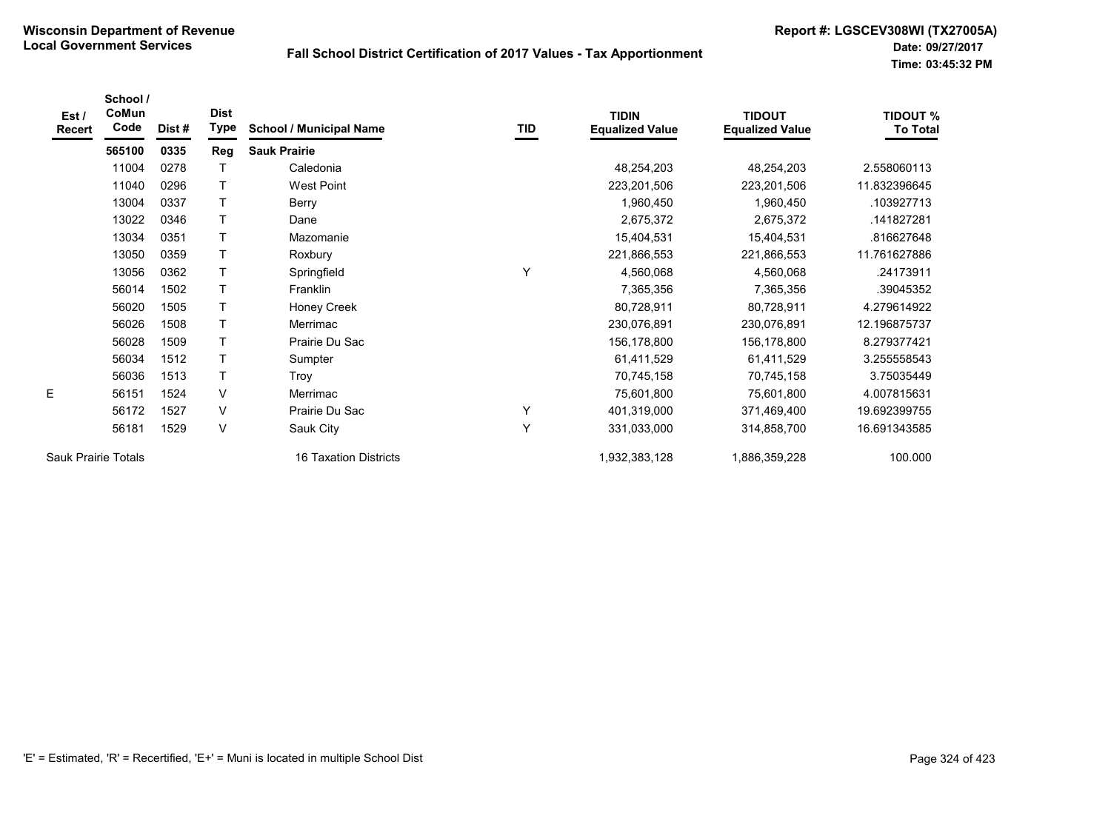| Est/<br><b>Recert</b> | School /<br>CoMun<br>Code | Dist# | <b>Dist</b><br>Type | <b>School / Municipal Name</b> | TID | <b>TIDIN</b><br><b>Equalized Value</b> | <b>TIDOUT</b><br><b>Equalized Value</b> | <b>TIDOUT %</b><br><b>To Total</b> |
|-----------------------|---------------------------|-------|---------------------|--------------------------------|-----|----------------------------------------|-----------------------------------------|------------------------------------|
|                       | 565100                    | 0335  | Reg                 | <b>Sauk Prairie</b>            |     |                                        |                                         |                                    |
|                       | 11004                     | 0278  |                     | Caledonia                      |     | 48,254,203                             | 48,254,203                              | 2.558060113                        |
|                       | 11040                     | 0296  | T                   | <b>West Point</b>              |     | 223,201,506                            | 223,201,506                             | 11.832396645                       |
|                       | 13004                     | 0337  | T                   | Berry                          |     | 1,960,450                              | 1,960,450                               | .103927713                         |
|                       | 13022                     | 0346  | $\mathsf T$         | Dane                           |     | 2,675,372                              | 2,675,372                               | .141827281                         |
|                       | 13034                     | 0351  | $\mathsf{T}$        | Mazomanie                      |     | 15,404,531                             | 15,404,531                              | .816627648                         |
|                       | 13050                     | 0359  | $\mathsf{T}$        | Roxbury                        |     | 221,866,553                            | 221,866,553                             | 11.761627886                       |
|                       | 13056                     | 0362  | $\mathsf{T}$        | Springfield                    | Y   | 4,560,068                              | 4,560,068                               | .24173911                          |
|                       | 56014                     | 1502  | $\mathsf{T}$        | Franklin                       |     | 7,365,356                              | 7,365,356                               | .39045352                          |
|                       | 56020                     | 1505  | $\mathsf{T}$        | Honey Creek                    |     | 80,728,911                             | 80,728,911                              | 4.279614922                        |
|                       | 56026                     | 1508  | $\mathsf{T}$        | Merrimac                       |     | 230,076,891                            | 230,076,891                             | 12.196875737                       |
|                       | 56028                     | 1509  | $\top$              | Prairie Du Sac                 |     | 156,178,800                            | 156,178,800                             | 8.279377421                        |
|                       | 56034                     | 1512  | $\mathsf{T}$        | Sumpter                        |     | 61,411,529                             | 61,411,529                              | 3.255558543                        |
|                       | 56036                     | 1513  | $\top$              | Troy                           |     | 70,745,158                             | 70,745,158                              | 3.75035449                         |
| E                     | 56151                     | 1524  | V                   | Merrimac                       |     | 75,601,800                             | 75,601,800                              | 4.007815631                        |
|                       | 56172                     | 1527  | V                   | Prairie Du Sac                 | Υ   | 401,319,000                            | 371,469,400                             | 19.692399755                       |
|                       | 56181                     | 1529  | V                   | Sauk City                      | Y   | 331,033,000                            | 314,858,700                             | 16.691343585                       |
| Sauk Prairie Totals   |                           |       |                     | 16 Taxation Districts          |     | 1,932,383,128                          | 1,886,359,228                           | 100.000                            |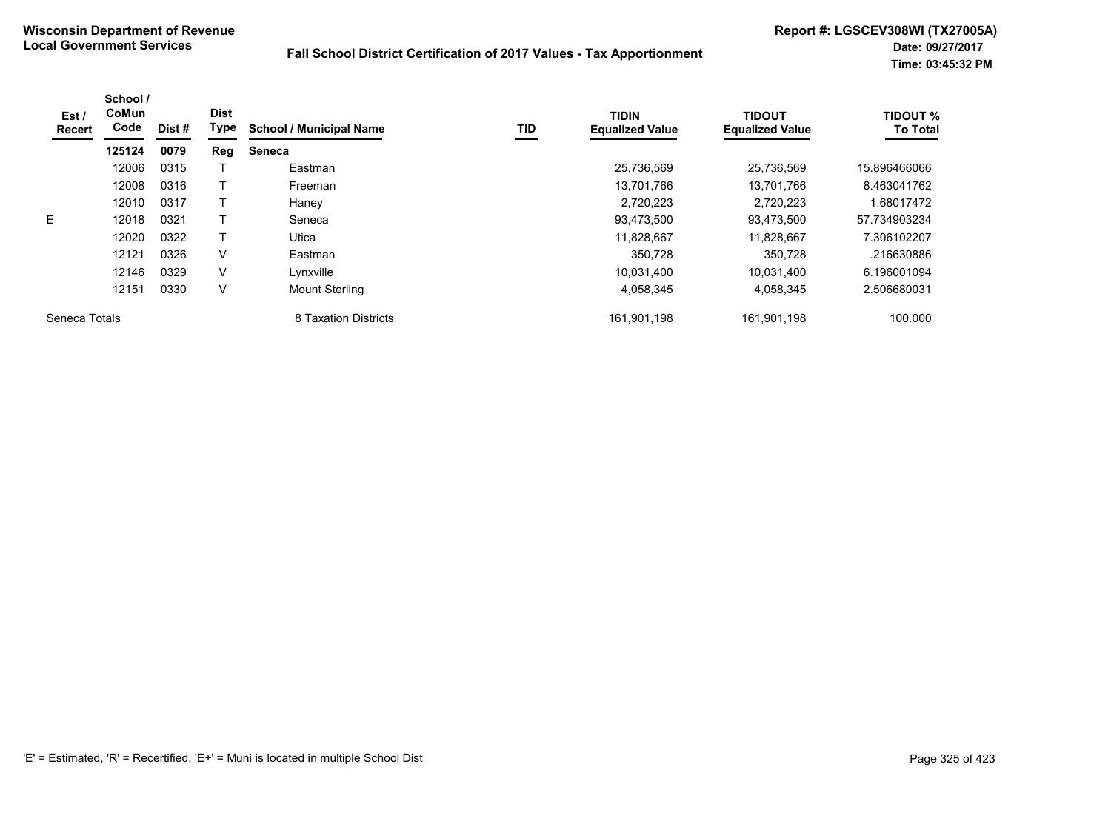| Est /<br>Recert | School /<br>CoMun<br>Code | Dist # | <b>Dist</b><br>Type | <b>School / Municipal Name</b> | TID | <b>TIDIN</b><br><b>Equalized Value</b> | <b>TIDOUT</b><br><b>Equalized Value</b> | <b>TIDOUT %</b><br><b>To Total</b> |
|-----------------|---------------------------|--------|---------------------|--------------------------------|-----|----------------------------------------|-----------------------------------------|------------------------------------|
|                 | 125124                    | 0079   | Reg                 | <b>Seneca</b>                  |     |                                        |                                         |                                    |
|                 | 12006                     | 0315   |                     | Eastman                        |     | 25,736,569                             | 25,736,569                              | 15.896466066                       |
|                 | 12008                     | 0316   |                     | Freeman                        |     | 13,701,766                             | 13,701,766                              | 8.463041762                        |
|                 | 12010                     | 0317   |                     | Haney                          |     | 2,720,223                              | 2,720,223                               | 1.68017472                         |
| E               | 12018                     | 0321   |                     | Seneca                         |     | 93,473,500                             | 93.473.500                              | 57.734903234                       |
|                 | 12020                     | 0322   |                     | Utica                          |     | 11,828,667                             | 11,828,667                              | 7.306102207                        |
|                 | 12121                     | 0326   | $\vee$              | Eastman                        |     | 350,728                                | 350,728                                 | .216630886                         |
|                 | 12146                     | 0329   | V                   | Lynxville                      |     | 10.031.400                             | 10.031.400                              | 6.196001094                        |
|                 | 12151                     | 0330   | V                   | <b>Mount Sterling</b>          |     | 4,058,345                              | 4,058,345                               | 2.506680031                        |
| Seneca Totals   |                           |        |                     | 8 Taxation Districts           |     | 161,901,198                            | 161,901,198                             | 100.000                            |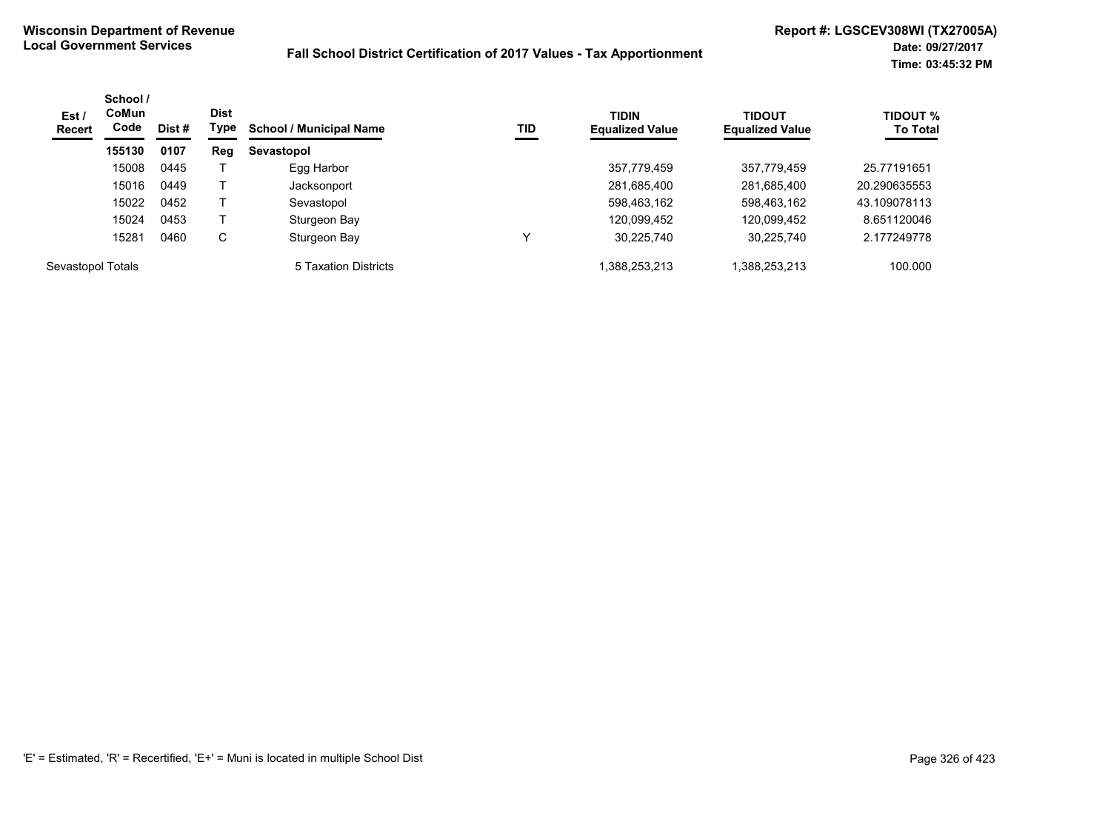| Est/<br><b>Recert</b> | School /<br><b>CoMun</b><br>Code | Dist # | <b>Dist</b><br>Type | <b>School / Municipal Name</b> | TID | <b>TIDIN</b><br><b>Equalized Value</b> | <b>TIDOUT</b><br><b>Equalized Value</b> | <b>TIDOUT %</b><br><b>To Total</b> |
|-----------------------|----------------------------------|--------|---------------------|--------------------------------|-----|----------------------------------------|-----------------------------------------|------------------------------------|
|                       | 155130                           | 0107   | Reg                 | Sevastopol                     |     |                                        |                                         |                                    |
|                       | 15008                            | 0445   |                     | Egg Harbor                     |     | 357,779,459                            | 357,779,459                             | 25.77191651                        |
|                       | 15016                            | 0449   |                     | Jacksonport                    |     | 281,685,400                            | 281,685,400                             | 20.290635553                       |
|                       | 15022                            | 0452   |                     | Sevastopol                     |     | 598,463,162                            | 598,463,162                             | 43.109078113                       |
|                       | 15024                            | 0453   |                     | Sturgeon Bay                   |     | 120,099,452                            | 120,099,452                             | 8.651120046                        |
|                       | 15281                            | 0460   | C                   | Sturgeon Bay                   |     | 30,225,740                             | 30,225,740                              | 2.177249778                        |
| Sevastopol Totals     |                                  |        |                     | 5 Taxation Districts           |     | 1,388,253,213                          | 1,388,253,213                           | 100.000                            |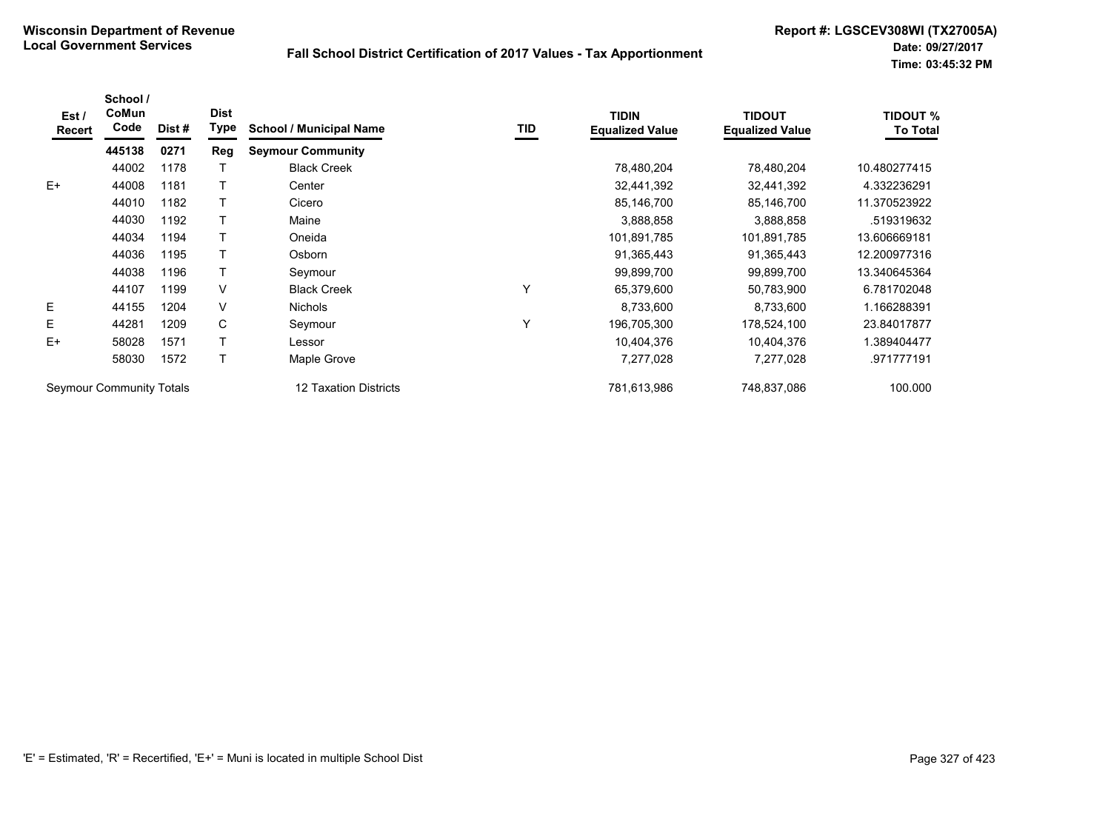| Est /<br>Recert | School /<br>CoMun<br>Code       | Dist # | <b>Dist</b><br><b>Type</b> | <b>School / Municipal Name</b> | TID | <b>TIDIN</b><br><b>Equalized Value</b> | <b>TIDOUT</b><br><b>Equalized Value</b> | <b>TIDOUT %</b><br><b>To Total</b> |
|-----------------|---------------------------------|--------|----------------------------|--------------------------------|-----|----------------------------------------|-----------------------------------------|------------------------------------|
|                 | 445138                          | 0271   | Reg                        | <b>Seymour Community</b>       |     |                                        |                                         |                                    |
|                 | 44002                           | 1178   |                            | <b>Black Creek</b>             |     | 78,480,204                             | 78,480,204                              | 10.480277415                       |
| $E+$            | 44008                           | 1181   |                            | Center                         |     | 32,441,392                             | 32,441,392                              | 4.332236291                        |
|                 | 44010                           | 1182   |                            | Cicero                         |     | 85,146,700                             | 85,146,700                              | 11.370523922                       |
|                 | 44030                           | 1192   |                            | Maine                          |     | 3,888,858                              | 3,888,858                               | .519319632                         |
|                 | 44034                           | 1194   |                            | Oneida                         |     | 101,891,785                            | 101,891,785                             | 13.606669181                       |
|                 | 44036                           | 1195   |                            | Osborn                         |     | 91,365,443                             | 91,365,443                              | 12.200977316                       |
|                 | 44038                           | 1196   |                            | Seymour                        |     | 99,899,700                             | 99,899,700                              | 13.340645364                       |
|                 | 44107                           | 1199   | V                          | <b>Black Creek</b>             | ٧   | 65,379,600                             | 50,783,900                              | 6.781702048                        |
| E               | 44155                           | 1204   | V                          | <b>Nichols</b>                 |     | 8,733,600                              | 8,733,600                               | 1.166288391                        |
| E               | 44281                           | 1209   | C                          | Seymour                        | Υ   | 196,705,300                            | 178,524,100                             | 23.84017877                        |
| $E+$            | 58028                           | 1571   |                            | Lessor                         |     | 10,404,376                             | 10,404,376                              | 1.389404477                        |
|                 | 58030                           | 1572   |                            | Maple Grove                    |     | 7,277,028                              | 7,277,028                               | .971777191                         |
|                 | <b>Seymour Community Totals</b> |        |                            | 12 Taxation Districts          |     | 781,613,986                            | 748,837,086                             | 100.000                            |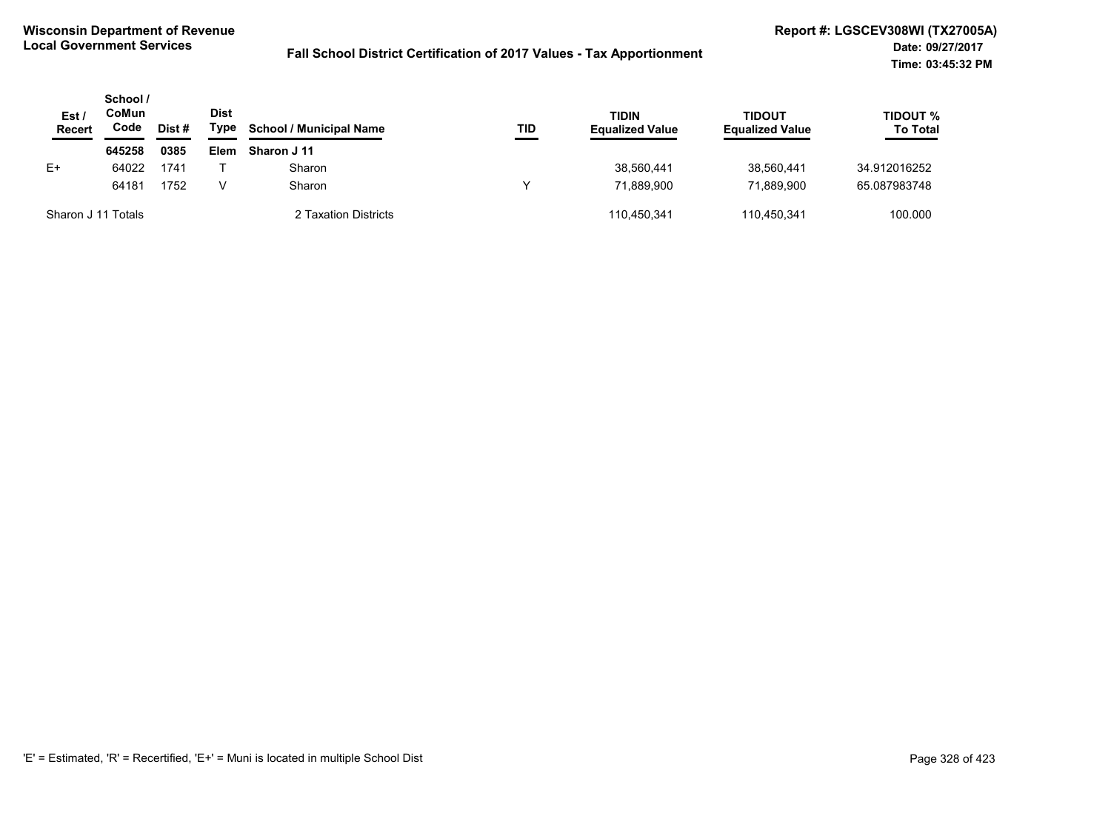| Est<br><b>Recert</b> | School /<br>CoMun<br>Code | Dist# | <b>Dist</b><br>Type | <b>School / Municipal Name</b> | TID | TIDIN<br><b>Equalized Value</b> | <b>TIDOUT</b><br><b>Equalized Value</b> | TIDOUT %<br><b>To Total</b> |
|----------------------|---------------------------|-------|---------------------|--------------------------------|-----|---------------------------------|-----------------------------------------|-----------------------------|
|                      | 645258                    | 0385  | Elem                | Sharon J 11                    |     |                                 |                                         |                             |
| E+                   | 64022                     | 1741  |                     | Sharon                         |     | 38,560,441                      | 38.560.441                              | 34.912016252                |
|                      | 64181                     | 1752  |                     | Sharon                         | v   | 71.889.900                      | 71.889.900                              | 65.087983748                |
| Sharon J 11 Totals   |                           |       |                     | 2 Taxation Districts           |     | 110,450,341                     | 110,450,341                             | 100.000                     |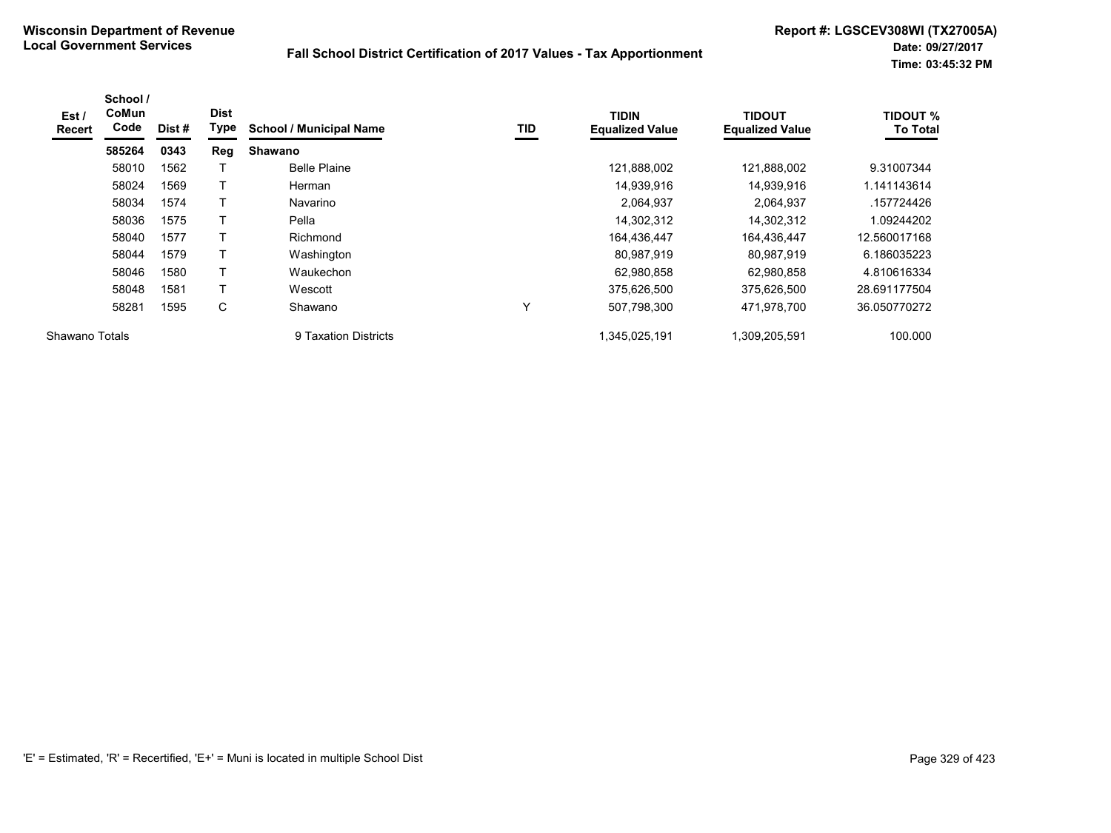| Est /<br><b>Recert</b> | School /<br>CoMun<br>Code | Dist# | <b>Dist</b><br>Type | <b>School / Municipal Name</b> | <b>TID</b> | <b>TIDIN</b><br><b>Equalized Value</b> | <b>TIDOUT</b><br><b>Equalized Value</b> | <b>TIDOUT %</b><br><b>To Total</b> |
|------------------------|---------------------------|-------|---------------------|--------------------------------|------------|----------------------------------------|-----------------------------------------|------------------------------------|
|                        | 585264                    | 0343  | Reg                 | Shawano                        |            |                                        |                                         |                                    |
|                        | 58010                     | 1562  |                     | <b>Belle Plaine</b>            |            | 121,888,002                            | 121,888,002                             | 9.31007344                         |
|                        | 58024                     | 1569  |                     | Herman                         |            | 14,939,916                             | 14,939,916                              | 1.141143614                        |
|                        | 58034                     | 1574  | т                   | Navarino                       |            | 2,064,937                              | 2,064,937                               | .157724426                         |
|                        | 58036                     | 1575  |                     | Pella                          |            | 14,302,312                             | 14,302,312                              | 1.09244202                         |
|                        | 58040                     | 1577  | T                   | Richmond                       |            | 164,436,447                            | 164,436,447                             | 12.560017168                       |
|                        | 58044                     | 1579  |                     | Washington                     |            | 80,987,919                             | 80.987.919                              | 6.186035223                        |
|                        | 58046                     | 1580  | Т                   | Waukechon                      |            | 62,980,858                             | 62.980.858                              | 4.810616334                        |
|                        | 58048                     | 1581  |                     | Wescott                        |            | 375,626,500                            | 375,626,500                             | 28.691177504                       |
|                        | 58281                     | 1595  | С                   | Shawano                        | v          | 507,798,300                            | 471,978,700                             | 36.050770272                       |
| Shawano Totals         |                           |       |                     | 9 Taxation Districts           |            | 1.345.025.191                          | 1,309,205,591                           | 100.000                            |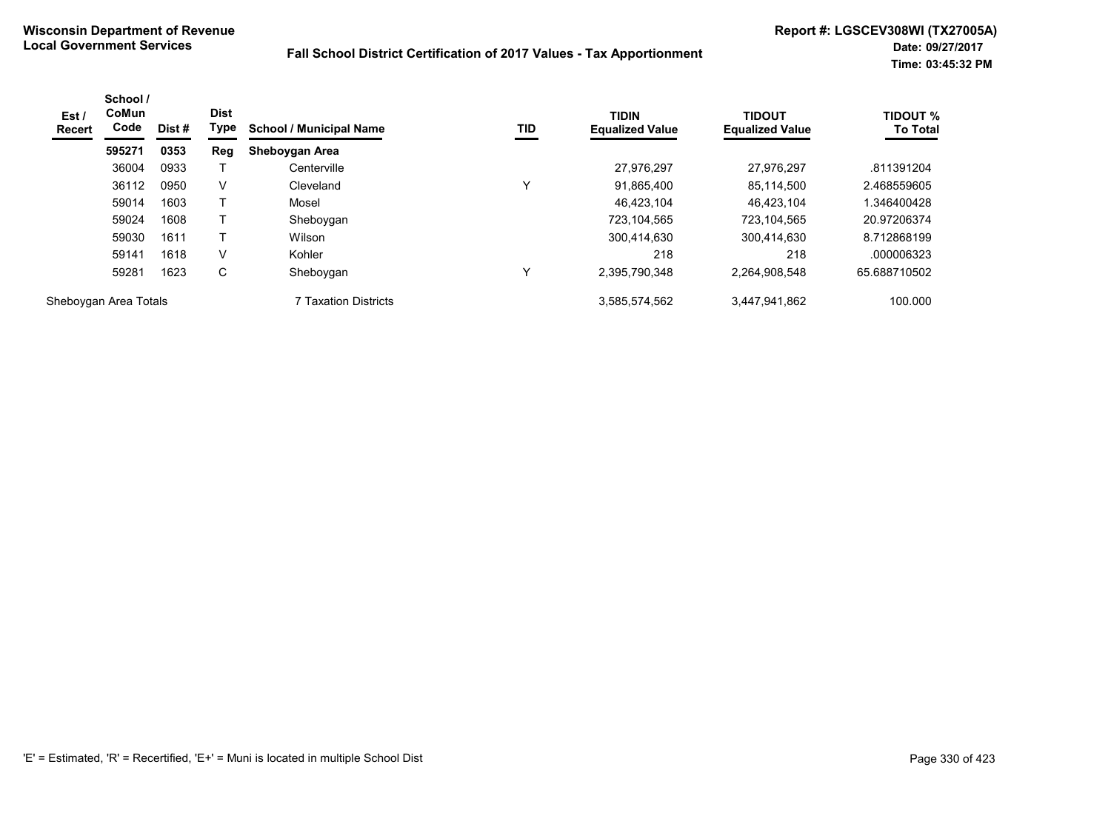| Est/<br><b>Recert</b> | School /<br><b>CoMun</b><br>Code | Dist # | <b>Dist</b><br>Type | <b>School / Municipal Name</b> | TID | <b>TIDIN</b><br><b>Equalized Value</b> | <b>TIDOUT</b><br><b>Equalized Value</b> | <b>TIDOUT %</b><br><b>To Total</b> |
|-----------------------|----------------------------------|--------|---------------------|--------------------------------|-----|----------------------------------------|-----------------------------------------|------------------------------------|
|                       | 595271                           | 0353   | Reg                 | Sheboygan Area                 |     |                                        |                                         |                                    |
|                       | 36004                            | 0933   |                     | Centerville                    |     | 27,976,297                             | 27.976.297                              | .811391204                         |
|                       | 36112                            | 0950   | V                   | Cleveland                      | v   | 91,865,400                             | 85,114,500                              | 2.468559605                        |
|                       | 59014                            | 1603   |                     | Mosel                          |     | 46,423,104                             | 46.423.104                              | .346400428                         |
|                       | 59024                            | 1608   |                     | Sheboygan                      |     | 723,104,565                            | 723,104,565                             | 20.97206374                        |
|                       | 59030                            | 1611   |                     | Wilson                         |     | 300.414.630                            | 300,414,630                             | 8.712868199                        |
|                       | 59141                            | 1618   | V                   | Kohler                         |     | 218                                    | 218                                     | .000006323                         |
|                       | 59281                            | 1623   | C                   | Sheboygan                      | v   | 2,395,790,348                          | 2,264,908,548                           | 65.688710502                       |
| Sheboygan Area Totals |                                  |        |                     | <b>7 Taxation Districts</b>    |     | 3,585,574,562                          | 3,447,941,862                           | 100.000                            |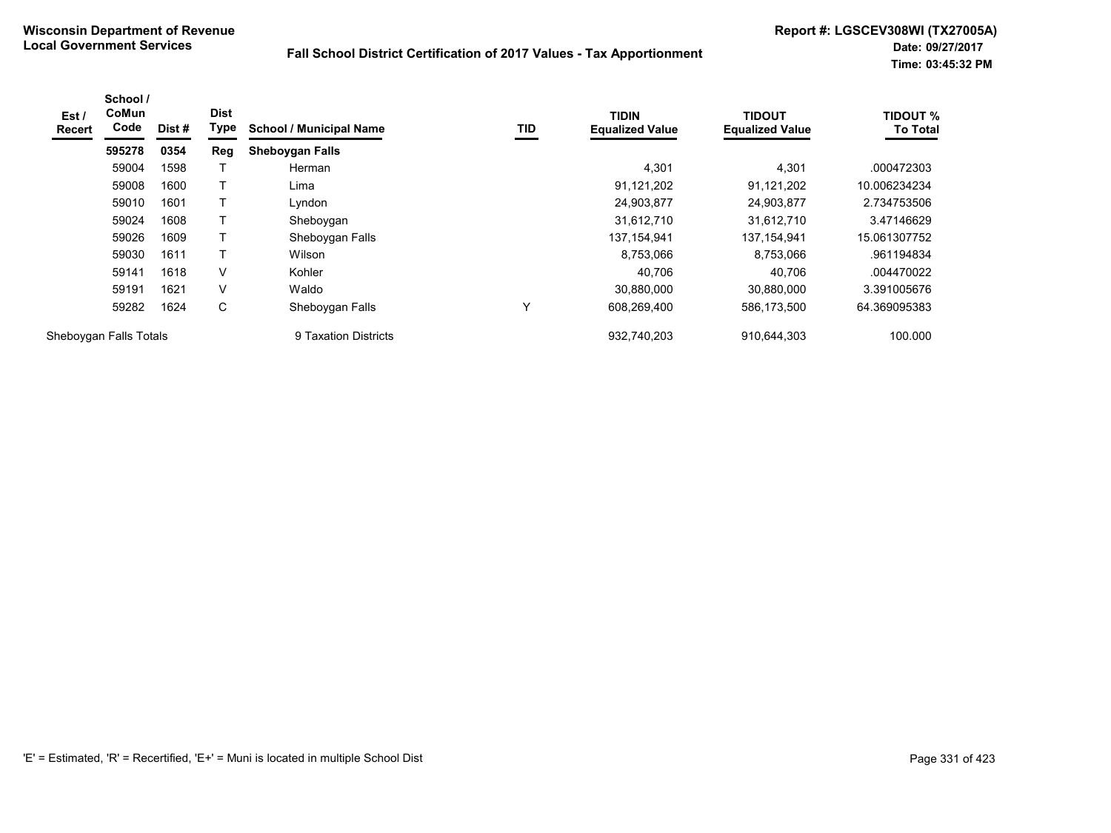| Est /<br><b>Recert</b> | School /<br>CoMun<br>Code | Dist# | <b>Dist</b><br>Type | <b>School / Municipal Name</b> | TID | <b>TIDIN</b><br><b>Equalized Value</b> | <b>TIDOUT</b><br><b>Equalized Value</b> | <b>TIDOUT %</b><br><b>To Total</b> |
|------------------------|---------------------------|-------|---------------------|--------------------------------|-----|----------------------------------------|-----------------------------------------|------------------------------------|
|                        | 595278                    | 0354  | Reg                 | <b>Sheboygan Falls</b>         |     |                                        |                                         |                                    |
|                        | 59004                     | 1598  |                     | Herman                         |     | 4,301                                  | 4,301                                   | .000472303                         |
|                        | 59008                     | 1600  |                     | Lima                           |     | 91,121,202                             | 91,121,202                              | 10.006234234                       |
|                        | 59010                     | 1601  |                     | Lyndon                         |     | 24,903,877                             | 24,903,877                              | 2.734753506                        |
|                        | 59024                     | 1608  |                     | Sheboygan                      |     | 31,612,710                             | 31,612,710                              | 3.47146629                         |
|                        | 59026                     | 1609  | т                   | Sheboygan Falls                |     | 137, 154, 941                          | 137.154.941                             | 15.061307752                       |
|                        | 59030                     | 1611  |                     | Wilson                         |     | 8,753,066                              | 8,753,066                               | .961194834                         |
|                        | 59141                     | 1618  | V                   | Kohler                         |     | 40,706                                 | 40,706                                  | .004470022                         |
|                        | 59191                     | 1621  | V                   | Waldo                          |     | 30,880,000                             | 30.880.000                              | 3.391005676                        |
|                        | 59282                     | 1624  | С                   | Sheboygan Falls                | Υ   | 608,269,400                            | 586,173,500                             | 64.369095383                       |
| Sheboygan Falls Totals |                           |       |                     | 9 Taxation Districts           |     | 932.740.203                            | 910.644.303                             | 100.000                            |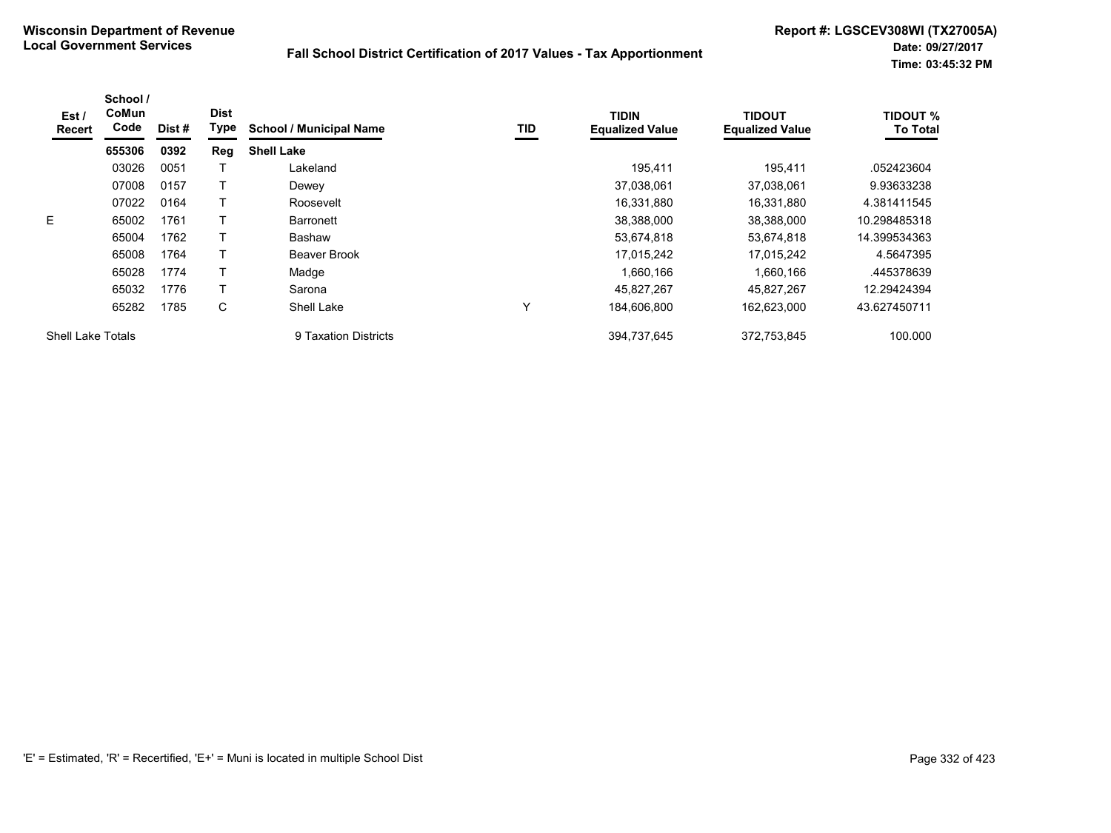| Est /<br>Recert          | School /<br><b>CoMun</b><br>Code | Dist# | <b>Dist</b><br>Type | <b>School / Municipal Name</b> | TID          | <b>TIDIN</b><br><b>Equalized Value</b> | <b>TIDOUT</b><br><b>Equalized Value</b> | <b>TIDOUT %</b><br><b>To Total</b> |
|--------------------------|----------------------------------|-------|---------------------|--------------------------------|--------------|----------------------------------------|-----------------------------------------|------------------------------------|
|                          | 655306                           | 0392  | Reg                 | <b>Shell Lake</b>              |              |                                        |                                         |                                    |
|                          | 03026                            | 0051  |                     | Lakeland                       |              | 195.411                                | 195.411                                 | .052423604                         |
|                          | 07008                            | 0157  |                     | Dewey                          |              | 37,038,061                             | 37.038.061                              | 9.93633238                         |
|                          | 07022                            | 0164  |                     | Roosevelt                      |              | 16,331,880                             | 16.331.880                              | 4.381411545                        |
| E.                       | 65002                            | 1761  |                     | <b>Barronett</b>               |              | 38,388,000                             | 38.388.000                              | 10.298485318                       |
|                          | 65004                            | 1762  |                     | <b>Bashaw</b>                  |              | 53,674,818                             | 53,674,818                              | 14.399534363                       |
|                          | 65008                            | 1764  |                     | <b>Beaver Brook</b>            |              | 17,015,242                             | 17,015,242                              | 4.5647395                          |
|                          | 65028                            | 1774  |                     | Madge                          |              | 1,660,166                              | 1,660,166                               | .445378639                         |
|                          | 65032                            | 1776  |                     | Sarona                         |              | 45,827,267                             | 45,827,267                              | 12.29424394                        |
|                          | 65282                            | 1785  | С                   | Shell Lake                     | $\checkmark$ | 184,606,800                            | 162,623,000                             | 43.627450711                       |
| <b>Shell Lake Totals</b> |                                  |       |                     | 9 Taxation Districts           |              | 394.737.645                            | 372.753.845                             | 100.000                            |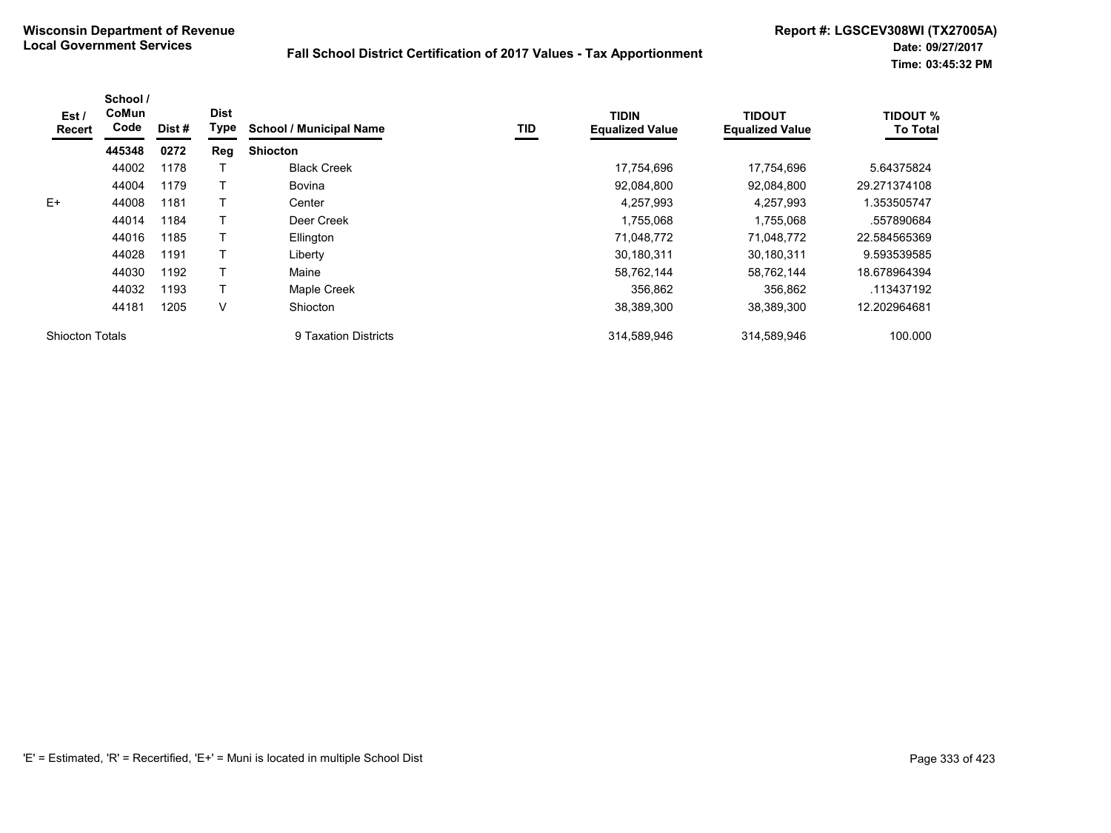| Est/<br>Recert         | School /<br>CoMun<br>Code | Dist# | <b>Dist</b><br>Type | <b>School / Municipal Name</b> | TID | <b>TIDIN</b><br><b>Equalized Value</b> | <b>TIDOUT</b><br><b>Equalized Value</b> | <b>TIDOUT %</b><br><b>To Total</b> |
|------------------------|---------------------------|-------|---------------------|--------------------------------|-----|----------------------------------------|-----------------------------------------|------------------------------------|
|                        | 445348                    | 0272  | Reg                 | <b>Shiocton</b>                |     |                                        |                                         |                                    |
|                        | 44002                     | 1178  |                     | <b>Black Creek</b>             |     | 17,754,696                             | 17,754,696                              | 5.64375824                         |
|                        | 44004                     | 1179  |                     | <b>Bovina</b>                  |     | 92,084,800                             | 92,084,800                              | 29.271374108                       |
| $E+$                   | 44008                     | 1181  |                     | Center                         |     | 4,257,993                              | 4,257,993                               | 1.353505747                        |
|                        | 44014                     | 1184  |                     | Deer Creek                     |     | 1,755,068                              | 1,755,068                               | .557890684                         |
|                        | 44016                     | 1185  |                     | Ellington                      |     | 71,048,772                             | 71,048,772                              | 22.584565369                       |
|                        | 44028                     | 1191  |                     | Liberty                        |     | 30,180,311                             | 30,180,311                              | 9.593539585                        |
|                        | 44030                     | 1192  |                     | Maine                          |     | 58.762.144                             | 58.762.144                              | 18.678964394                       |
|                        | 44032                     | 1193  |                     | Maple Creek                    |     | 356,862                                | 356,862                                 | .113437192                         |
|                        | 44181                     | 1205  | V                   | Shiocton                       |     | 38,389,300                             | 38,389,300                              | 12.202964681                       |
| <b>Shiocton Totals</b> |                           |       |                     | 9 Taxation Districts           |     | 314,589,946                            | 314,589,946                             | 100.000                            |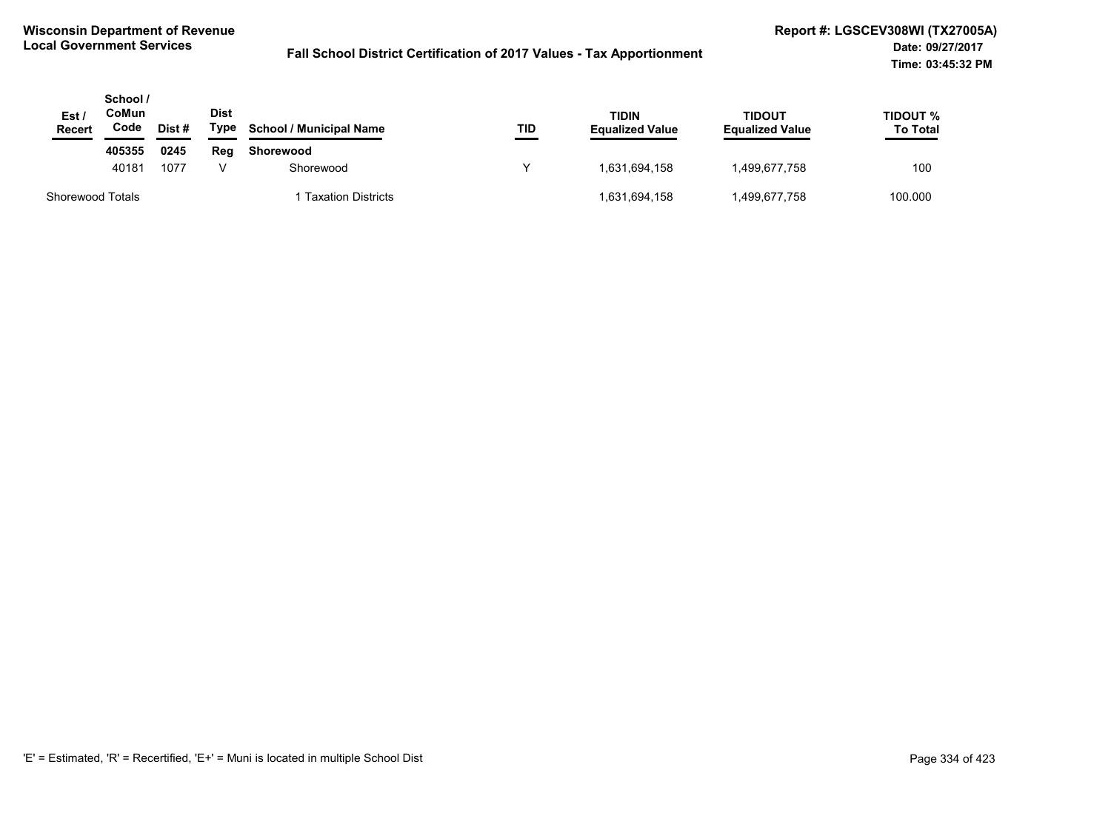| Est /<br><b>Recert</b>  | School /<br>CoMun<br>Code | Dist # | Dist<br>Type | <b>School / Municipal Name</b> | TID | <b>TIDIN</b><br><b>Equalized Value</b> | <b>TIDOUT</b><br><b>Equalized Value</b> | TIDOUT %<br><b>To Total</b> |
|-------------------------|---------------------------|--------|--------------|--------------------------------|-----|----------------------------------------|-----------------------------------------|-----------------------------|
|                         | 405355                    | 0245   | Reg          | Shorewood                      |     |                                        |                                         |                             |
|                         | 40181                     | 1077   |              | Shorewood                      |     | 1,631,694,158                          | 1,499,677,758                           | 100                         |
| <b>Shorewood Totals</b> |                           |        |              | 1 Taxation Districts           |     | 1,631,694,158                          | 1,499,677,758                           | 100.000                     |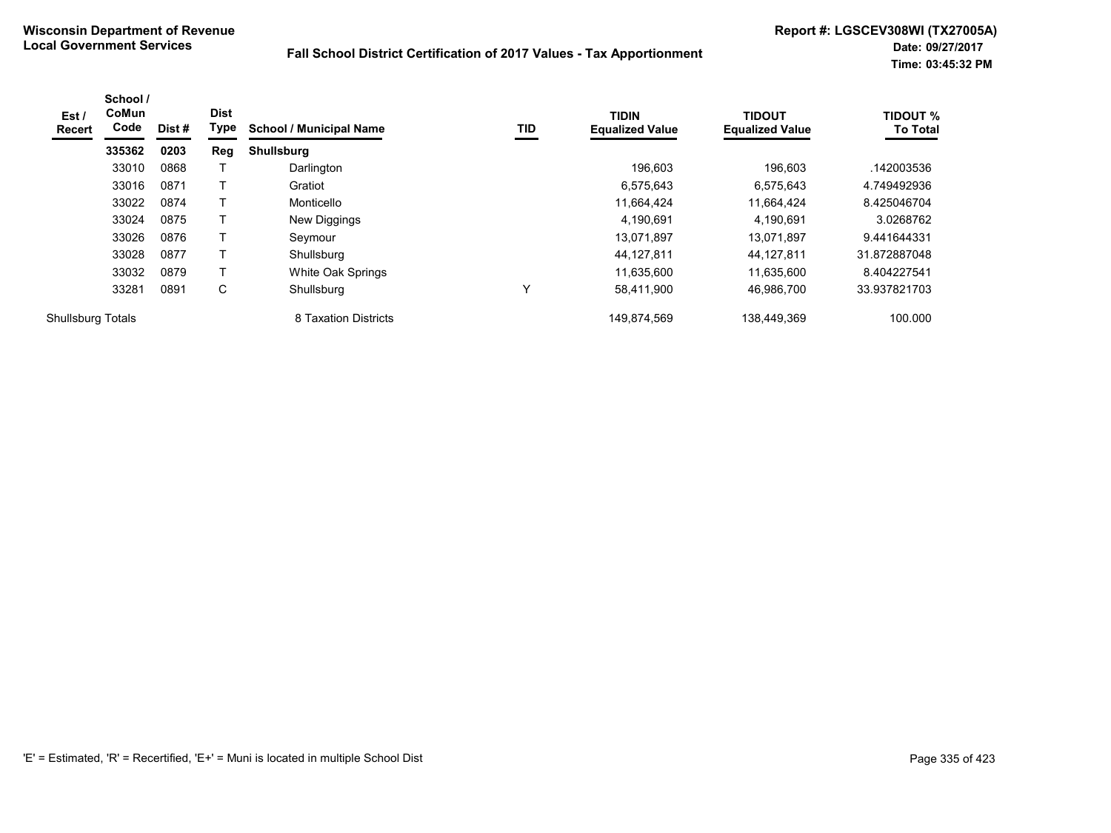| Est /<br>Recert   | School /<br>CoMun<br>Code | Dist# | <b>Dist</b><br>Type | <b>School / Municipal Name</b> | TID | <b>TIDIN</b><br><b>Equalized Value</b> | <b>TIDOUT</b><br><b>Equalized Value</b> | <b>TIDOUT %</b><br><b>To Total</b> |
|-------------------|---------------------------|-------|---------------------|--------------------------------|-----|----------------------------------------|-----------------------------------------|------------------------------------|
|                   | 335362                    | 0203  | <b>Reg</b>          | <b>Shullsburg</b>              |     |                                        |                                         |                                    |
|                   | 33010                     | 0868  |                     | Darlington                     |     | 196.603                                | 196.603                                 | .142003536                         |
|                   | 33016                     | 0871  |                     | Gratiot                        |     | 6,575,643                              | 6,575,643                               | 4.749492936                        |
|                   | 33022                     | 0874  |                     | Monticello                     |     | 11,664,424                             | 11.664.424                              | 8.425046704                        |
|                   | 33024                     | 0875  |                     | New Diggings                   |     | 4,190,691                              | 4,190,691                               | 3.0268762                          |
|                   | 33026                     | 0876  |                     | Seymour                        |     | 13.071.897                             | 13,071,897                              | 9.441644331                        |
|                   | 33028                     | 0877  |                     | Shullsburg                     |     | 44,127,811                             | 44,127,811                              | 31.872887048                       |
|                   | 33032                     | 0879  |                     | White Oak Springs              |     | 11,635,600                             | 11,635,600                              | 8.404227541                        |
|                   | 33281                     | 0891  | C                   | Shullsburg                     | v   | 58,411,900                             | 46,986,700                              | 33.937821703                       |
| Shullsburg Totals |                           |       |                     | 8 Taxation Districts           |     | 149.874.569                            | 138.449.369                             | 100.000                            |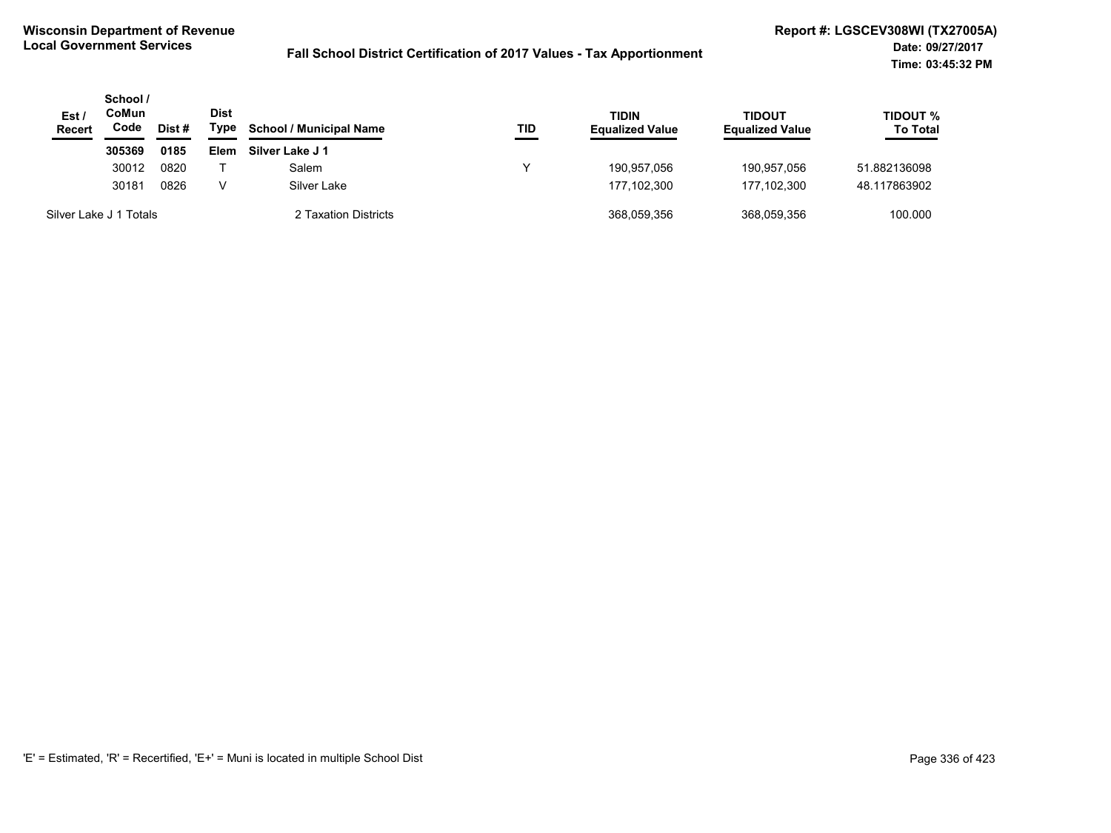| Est /<br><b>Recert</b> | School /<br>CoMun<br>Code | Dist# | <b>Dist</b><br>Type | <b>School / Municipal Name</b> | TID | <b>TIDIN</b><br><b>Equalized Value</b> | <b>TIDOUT</b><br><b>Equalized Value</b> | TIDOUT %<br><b>To Total</b> |
|------------------------|---------------------------|-------|---------------------|--------------------------------|-----|----------------------------------------|-----------------------------------------|-----------------------------|
|                        | 305369                    | 0185  | Elem                | Silver Lake J 1                |     |                                        |                                         |                             |
|                        | 30012                     | 0820  |                     | Salem                          | v   | 190.957.056                            | 190.957.056                             | 51.882136098                |
|                        | 30181                     | 0826  | V                   | Silver Lake                    |     | 177.102.300                            | 177.102.300                             | 48.117863902                |
| Silver Lake J 1 Totals |                           |       |                     | 2 Taxation Districts           |     | 368,059,356                            | 368,059,356                             | 100.000                     |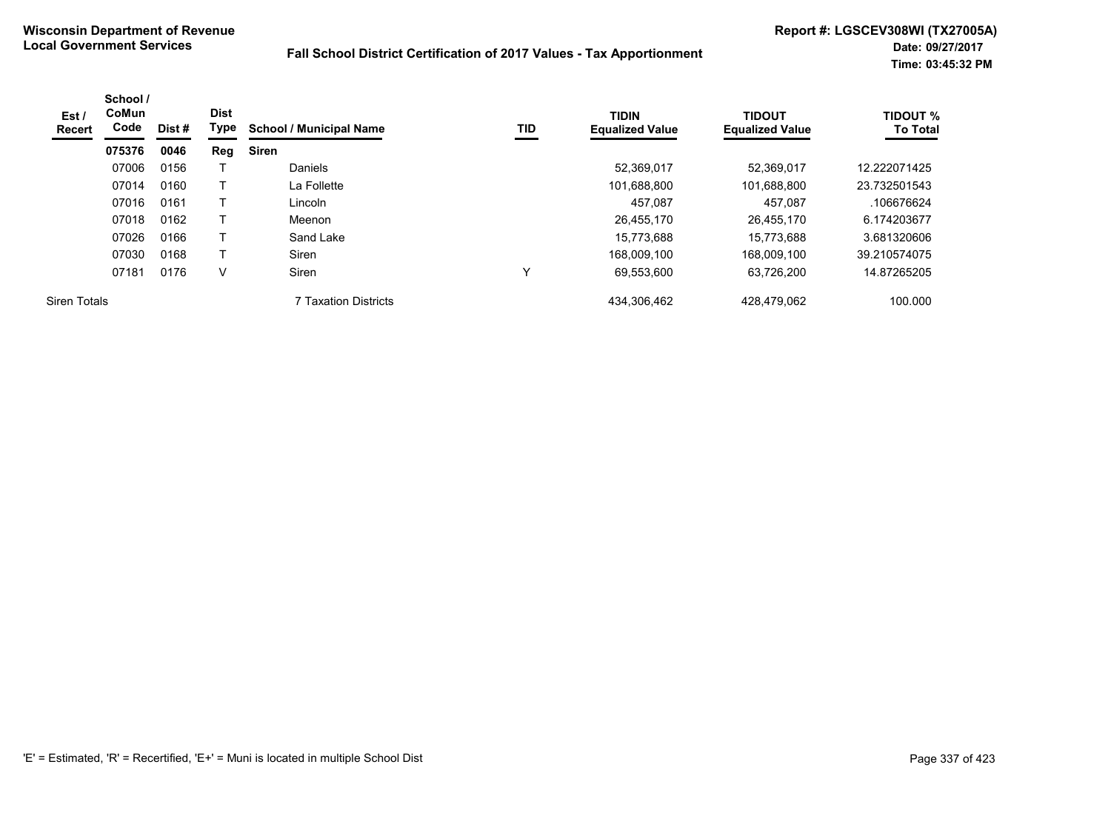| Est /<br>Recert     | School /<br><b>CoMun</b><br>Code | Dist# | <b>Dist</b><br>Type | <b>School / Municipal Name</b> | TID | <b>TIDIN</b><br><b>Equalized Value</b> | <b>TIDOUT</b><br><b>Equalized Value</b> | <b>TIDOUT %</b><br><b>To Total</b> |
|---------------------|----------------------------------|-------|---------------------|--------------------------------|-----|----------------------------------------|-----------------------------------------|------------------------------------|
|                     | 075376                           | 0046  | Reg                 | <b>Siren</b>                   |     |                                        |                                         |                                    |
|                     | 07006                            | 0156  |                     | <b>Daniels</b>                 |     | 52,369,017                             | 52.369.017                              | 12.222071425                       |
|                     | 07014                            | 0160  |                     | La Follette                    |     | 101,688,800                            | 101,688,800                             | 23.732501543                       |
|                     | 07016                            | 0161  |                     | Lincoln                        |     | 457.087                                | 457.087                                 | .106676624                         |
|                     | 07018                            | 0162  |                     | Meenon                         |     | 26,455,170                             | 26.455.170                              | 6.174203677                        |
|                     | 07026                            | 0166  |                     | Sand Lake                      |     | 15,773,688                             | 15.773.688                              | 3.681320606                        |
|                     | 07030                            | 0168  | T                   | Siren                          |     | 168,009,100                            | 168,009,100                             | 39.210574075                       |
|                     | 07181                            | 0176  | V                   | Siren                          | v   | 69,553,600                             | 63,726,200                              | 14.87265205                        |
| <b>Siren Totals</b> |                                  |       |                     | 7 Taxation Districts           |     | 434,306,462                            | 428,479,062                             | 100.000                            |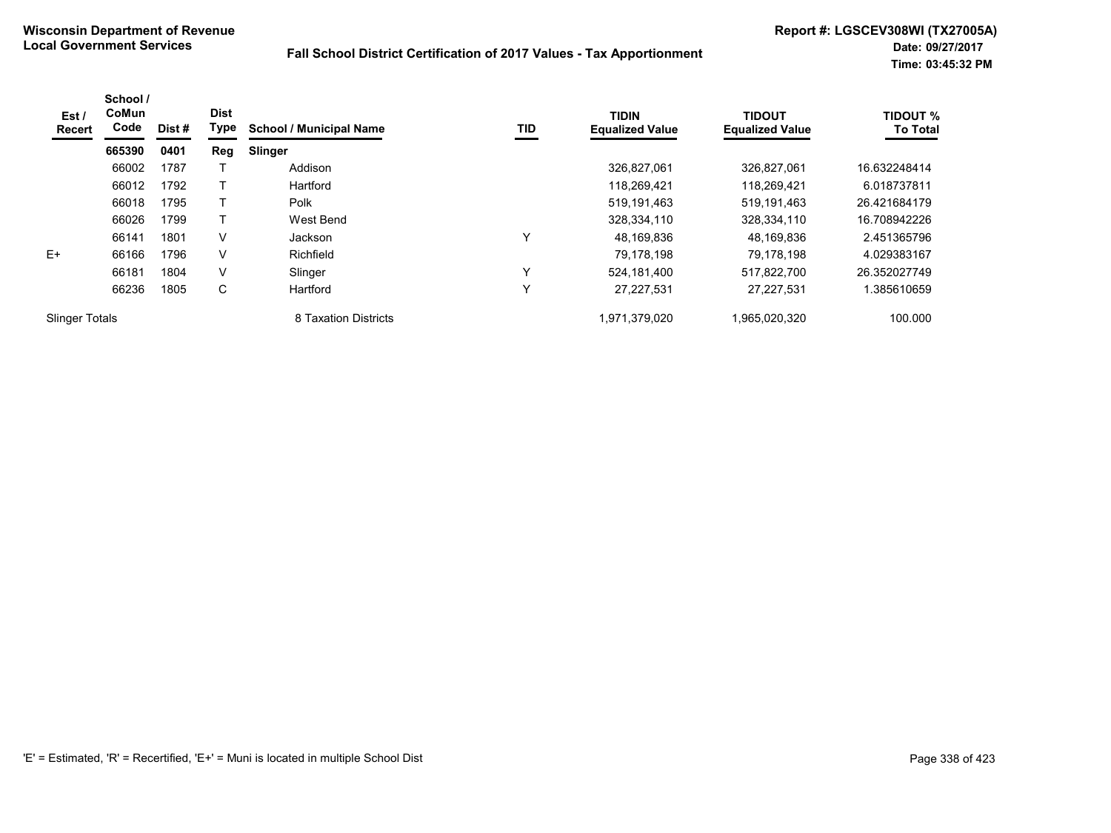| Est/<br><b>Recert</b> | School /<br><b>CoMun</b><br>Code | <b>Dist</b><br>Type<br>Dist#<br>0401<br>Reg |   | TID<br><b>School / Municipal Name</b> |              | <b>TIDIN</b><br><b>Equalized Value</b> | <b>TIDOUT</b><br><b>Equalized Value</b> | <b>TIDOUT %</b><br><b>To Total</b> |
|-----------------------|----------------------------------|---------------------------------------------|---|---------------------------------------|--------------|----------------------------------------|-----------------------------------------|------------------------------------|
|                       | 665390                           |                                             |   | Slinger                               |              |                                        |                                         |                                    |
|                       | 66002                            | 1787                                        |   | Addison                               |              | 326,827,061                            | 326,827,061                             | 16.632248414                       |
|                       | 66012                            | 1792                                        |   | Hartford                              |              | 118,269,421                            | 118,269,421                             | 6.018737811                        |
|                       | 66018                            | 1795                                        |   | Polk                                  |              | 519,191,463                            | 519,191,463                             | 26.421684179                       |
|                       | 66026                            | 1799                                        |   | West Bend                             |              | 328,334,110                            | 328,334,110                             | 16.708942226                       |
|                       | 66141                            | 1801                                        | V | <b>Jackson</b>                        | Υ            | 48,169,836                             | 48,169,836                              | 2.451365796                        |
| $E+$                  | 66166                            | 1796                                        | V | Richfield                             |              | 79,178,198                             | 79.178.198                              | 4.029383167                        |
|                       | 66181                            | 1804                                        | V | Slinger                               | $\checkmark$ | 524.181.400                            | 517,822,700                             | 26.352027749                       |
|                       | 66236                            | 1805                                        | C | Hartford                              | Υ            | 27,227,531                             | 27.227.531                              | .385610659                         |
| <b>Slinger Totals</b> |                                  |                                             |   | 8 Taxation Districts                  |              | 1,971,379,020                          | 1,965,020,320                           | 100.000                            |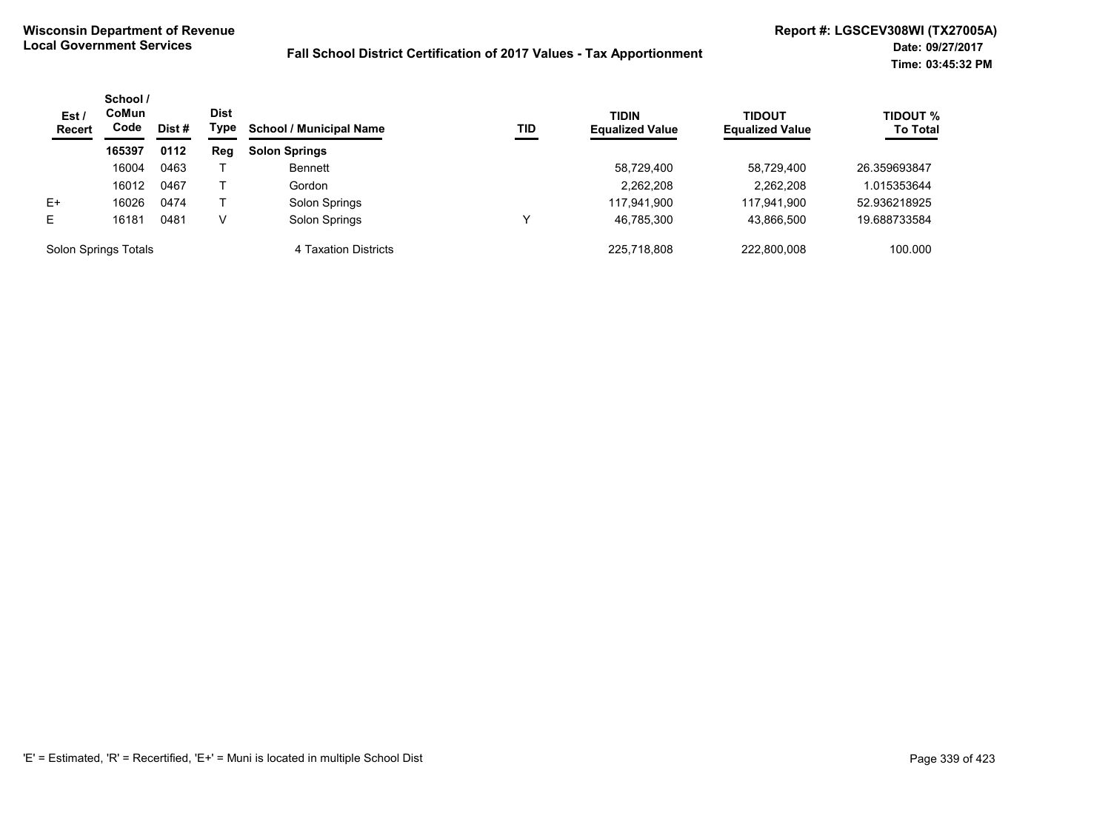| Est /<br><b>Recert</b> | School /<br>CoMun<br>Code | Dist # | <b>Dist</b><br>Type | <b>School / Municipal Name</b> | TID | <b>TIDIN</b><br><b>Equalized Value</b> | TIDOUT<br><b>Equalized Value</b> | <b>TIDOUT %</b><br><b>To Total</b> |
|------------------------|---------------------------|--------|---------------------|--------------------------------|-----|----------------------------------------|----------------------------------|------------------------------------|
|                        | 165397                    | 0112   | Reg                 | <b>Solon Springs</b>           |     |                                        |                                  |                                    |
|                        | 16004                     | 0463   |                     | <b>Bennett</b>                 |     | 58,729,400                             | 58.729.400                       | 26.359693847                       |
|                        | 16012                     | 0467   |                     | Gordon                         |     | 2,262,208                              | 2.262.208                        | .015353644                         |
| $E+$                   | 16026                     | 0474   |                     | Solon Springs                  |     | 117,941,900                            | 117,941,900                      | 52.936218925                       |
| E                      | 16181                     | 0481   | V                   | Solon Springs                  |     | 46,785,300                             | 43,866,500                       | 19.688733584                       |
| Solon Springs Totals   |                           |        |                     | 4 Taxation Districts           |     | 225.718.808                            | 222.800.008                      | 100.000                            |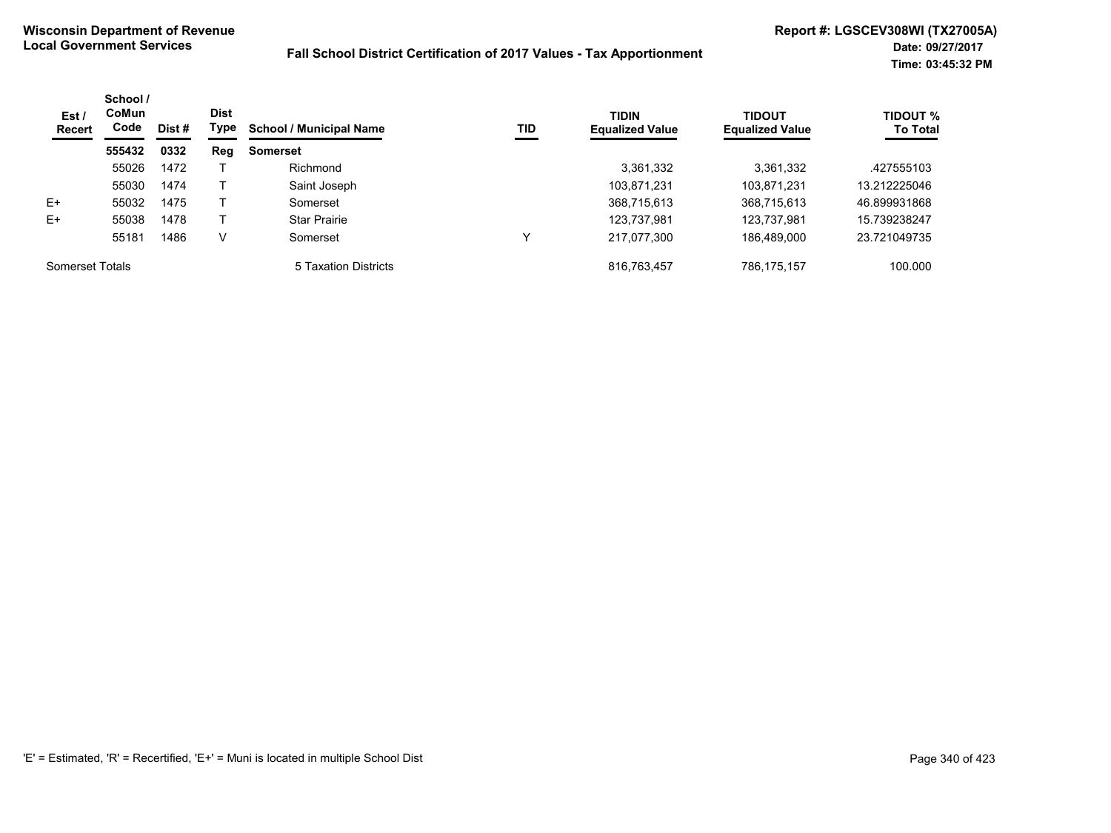| Est /<br>Recert | School /<br><b>CoMun</b><br>Code | Dist # | <b>Dist</b><br>Type | <b>School / Municipal Name</b> | TID | <b>TIDIN</b><br><b>Equalized Value</b> | <b>TIDOUT</b><br><b>Equalized Value</b> | <b>TIDOUT %</b><br><b>To Total</b> |
|-----------------|----------------------------------|--------|---------------------|--------------------------------|-----|----------------------------------------|-----------------------------------------|------------------------------------|
|                 | 555432                           | 0332   | Reg                 | <b>Somerset</b>                |     |                                        |                                         |                                    |
|                 | 55026                            | 1472   |                     | Richmond                       |     | 3,361,332                              | 3,361,332                               | .427555103                         |
|                 | 55030                            | 1474   |                     | Saint Joseph                   |     | 103,871,231                            | 103,871,231                             | 13.212225046                       |
| $E+$            | 55032                            | 1475   |                     | Somerset                       |     | 368,715,613                            | 368,715,613                             | 46.899931868                       |
| $E+$            | 55038                            | 1478   |                     | <b>Star Prairie</b>            |     | 123.737.981                            | 123,737,981                             | 15.739238247                       |
|                 | 55181                            | 1486   | V                   | Somerset                       |     | 217,077,300                            | 186,489,000                             | 23.721049735                       |
| Somerset Totals |                                  |        |                     | 5 Taxation Districts           |     | 816,763,457                            | 786,175,157                             | 100.000                            |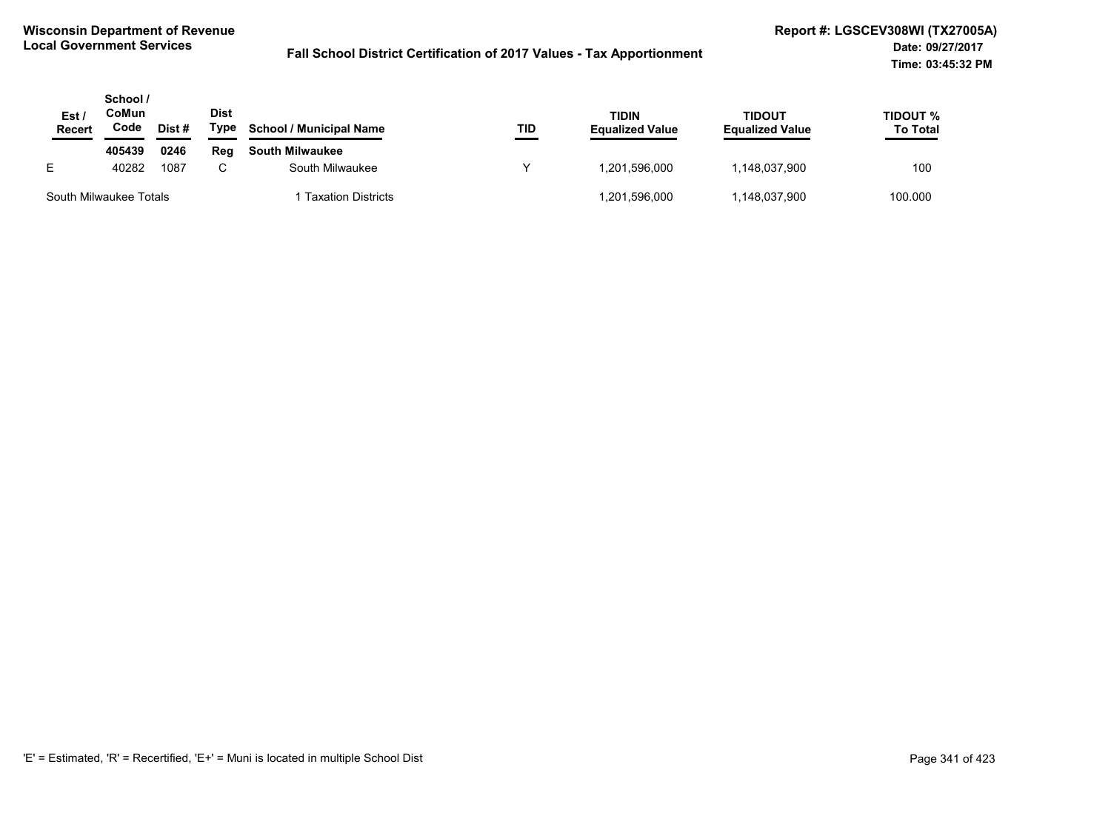| Est.<br>Recert         | School /<br>CoMun<br>Code | Dist # | <b>Dist</b><br>Type | <b>School / Municipal Name</b> | TID | <b>TIDIN</b><br><b>Equalized Value</b> | <b>TIDOUT</b><br><b>Equalized Value</b> | TIDOUT %<br><b>To Total</b> |
|------------------------|---------------------------|--------|---------------------|--------------------------------|-----|----------------------------------------|-----------------------------------------|-----------------------------|
|                        | 405439                    | 0246   | Reg                 | <b>South Milwaukee</b>         |     |                                        |                                         |                             |
| E.                     | 40282                     | 1087   |                     | South Milwaukee                |     | 1.201.596.000                          | 148,037,900                             | 100                         |
| South Milwaukee Totals |                           |        |                     | <b>Taxation Districts</b>      |     | 1,201,596,000                          | .148,037,900                            | 100.000                     |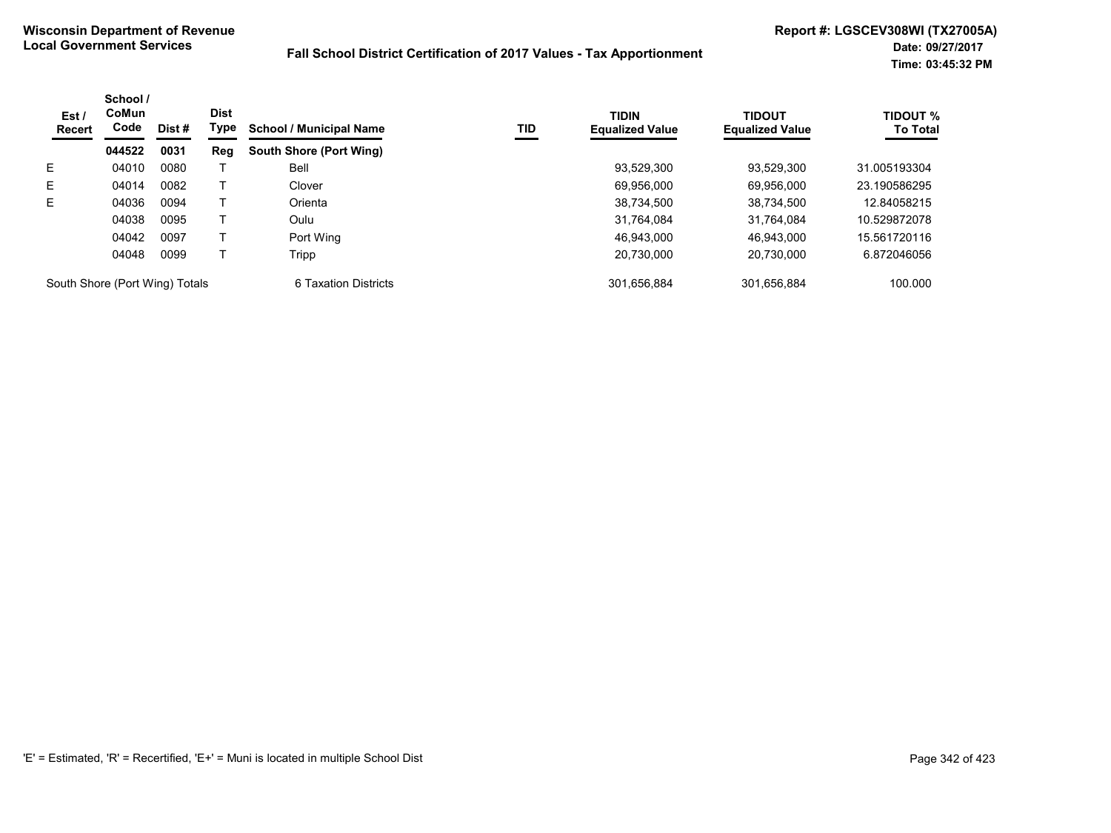| Est /<br><b>Recert</b>         | School /<br>CoMun<br>Code | Dist # | <b>Dist</b><br>Type | <b>School / Municipal Name</b> | TID | <b>TIDIN</b><br><b>Equalized Value</b> | <b>TIDOUT</b><br><b>Equalized Value</b> | <b>TIDOUT %</b><br><b>To Total</b> |
|--------------------------------|---------------------------|--------|---------------------|--------------------------------|-----|----------------------------------------|-----------------------------------------|------------------------------------|
|                                | 044522                    | 0031   | Reg                 | South Shore (Port Wing)        |     |                                        |                                         |                                    |
| E.                             | 04010                     | 0080   |                     | Bell                           |     | 93,529,300                             | 93.529.300                              | 31.005193304                       |
| E.                             | 04014                     | 0082   |                     | Clover                         |     | 69,956,000                             | 69.956.000                              | 23.190586295                       |
| E.                             | 04036                     | 0094   |                     | Orienta                        |     | 38,734,500                             | 38,734,500                              | 12.84058215                        |
|                                | 04038                     | 0095   |                     | Oulu                           |     | 31,764,084                             | 31.764.084                              | 10.529872078                       |
|                                | 04042                     | 0097   |                     | Port Wing                      |     | 46.943.000                             | 46.943.000                              | 15.561720116                       |
|                                | 04048                     | 0099   |                     | Tripp                          |     | 20,730,000                             | 20.730.000                              | 6.872046056                        |
| South Shore (Port Wing) Totals |                           |        |                     | 6 Taxation Districts           |     | 301.656.884                            | 301.656.884                             | 100.000                            |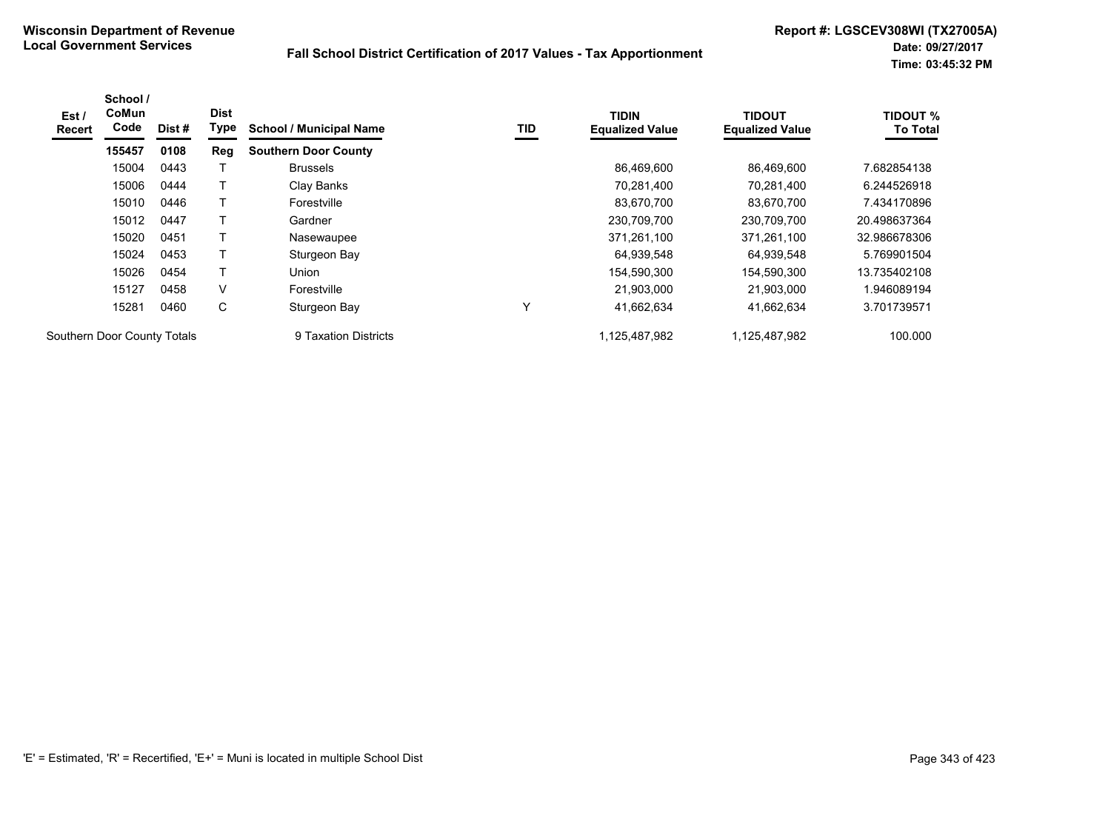| Est /<br><b>Recert</b> | School /<br>CoMun<br>Code   | Dist# | <b>Dist</b><br>Type | <b>School / Municipal Name</b> | TID | <b>TIDIN</b><br><b>Equalized Value</b> | <b>TIDOUT</b><br><b>Equalized Value</b> | <b>TIDOUT %</b><br><b>To Total</b> |
|------------------------|-----------------------------|-------|---------------------|--------------------------------|-----|----------------------------------------|-----------------------------------------|------------------------------------|
|                        | 155457                      | 0108  | Reg                 | <b>Southern Door County</b>    |     |                                        |                                         |                                    |
|                        | 15004                       | 0443  |                     | <b>Brussels</b>                |     | 86,469,600                             | 86,469,600                              | 7.682854138                        |
|                        | 15006                       | 0444  |                     | Clay Banks                     |     | 70,281,400                             | 70.281.400                              | 6.244526918                        |
|                        | 15010                       | 0446  |                     | Forestville                    |     | 83,670,700                             | 83,670,700                              | 7.434170896                        |
|                        | 15012                       | 0447  |                     | Gardner                        |     | 230,709,700                            | 230,709,700                             | 20.498637364                       |
|                        | 15020                       | 0451  |                     | Nasewaupee                     |     | 371,261,100                            | 371,261,100                             | 32.986678306                       |
|                        | 15024                       | 0453  |                     | Sturgeon Bay                   |     | 64,939,548                             | 64,939,548                              | 5.769901504                        |
|                        | 15026                       | 0454  |                     | Union                          |     | 154,590,300                            | 154,590,300                             | 13.735402108                       |
|                        | 15127                       | 0458  | V                   | Forestville                    |     | 21.903.000                             | 21.903.000                              | 1.946089194                        |
|                        | 15281                       | 0460  | C                   | Sturgeon Bay                   | v   | 41,662,634                             | 41,662,634                              | 3.701739571                        |
|                        | Southern Door County Totals |       |                     | 9 Taxation Districts           |     | 1,125,487,982                          | 1.125.487.982                           | 100.000                            |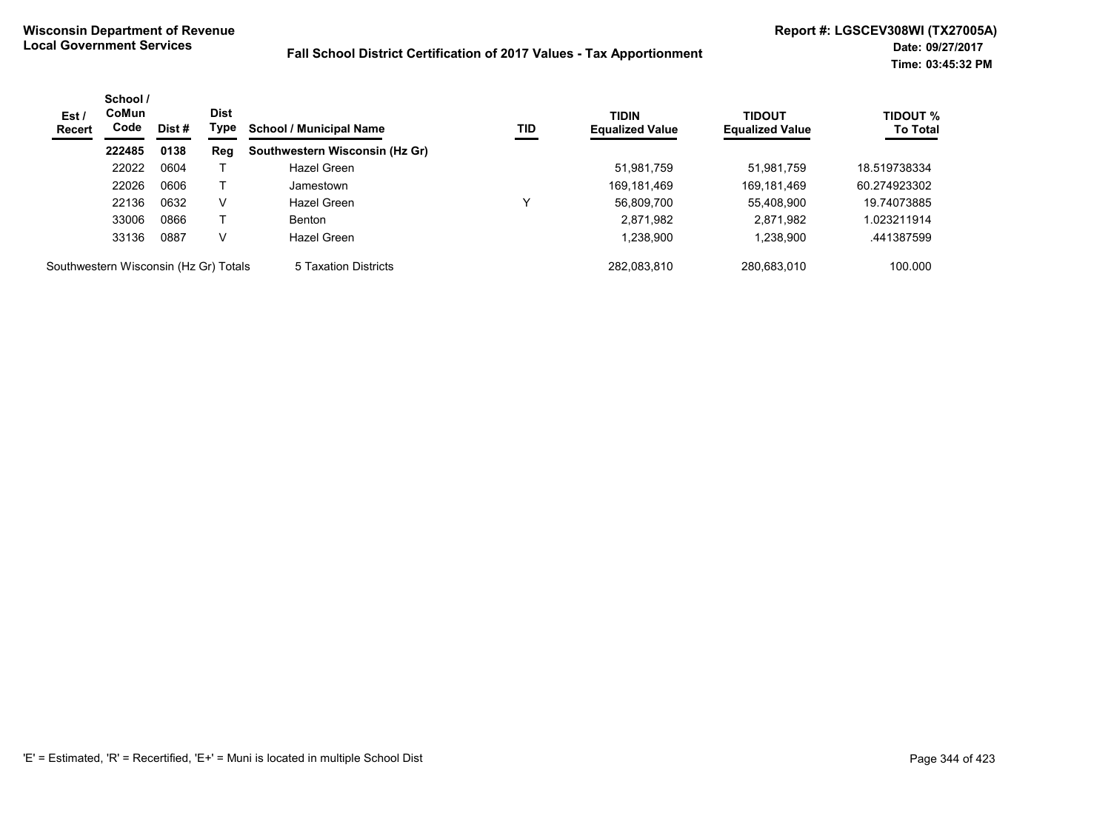| Est/<br><b>Recert</b>                 | School /<br><b>CoMun</b><br>Code | <b>Dist</b><br>Dist# | Type | <b>School / Municipal Name</b> | TID | <b>TIDIN</b><br><b>Equalized Value</b> | <b>TIDOUT</b><br><b>Equalized Value</b> | <b>TIDOUT %</b><br><b>To Total</b> |
|---------------------------------------|----------------------------------|----------------------|------|--------------------------------|-----|----------------------------------------|-----------------------------------------|------------------------------------|
|                                       | 222485                           | 0138                 | Reg  | Southwestern Wisconsin (Hz Gr) |     |                                        |                                         |                                    |
|                                       | 22022                            | 0604                 |      | Hazel Green                    |     | 51,981,759                             | 51,981,759                              | 18.519738334                       |
|                                       | 22026                            | 0606                 |      | Jamestown                      |     | 169,181,469                            | 169,181,469                             | 60.274923302                       |
|                                       | 22136                            | 0632                 | v    | Hazel Green                    | v   | 56,809,700                             | 55,408,900                              | 19.74073885                        |
|                                       | 33006                            | 0866                 |      | <b>Benton</b>                  |     | 2,871,982                              | 2,871,982                               | .023211914                         |
|                                       | 33136                            | 0887                 | V    | Hazel Green                    |     | 1,238,900                              | 1,238,900                               | .441387599                         |
| Southwestern Wisconsin (Hz Gr) Totals |                                  |                      |      | 5 Taxation Districts           |     | 282.083.810                            | 280.683.010                             | 100.000                            |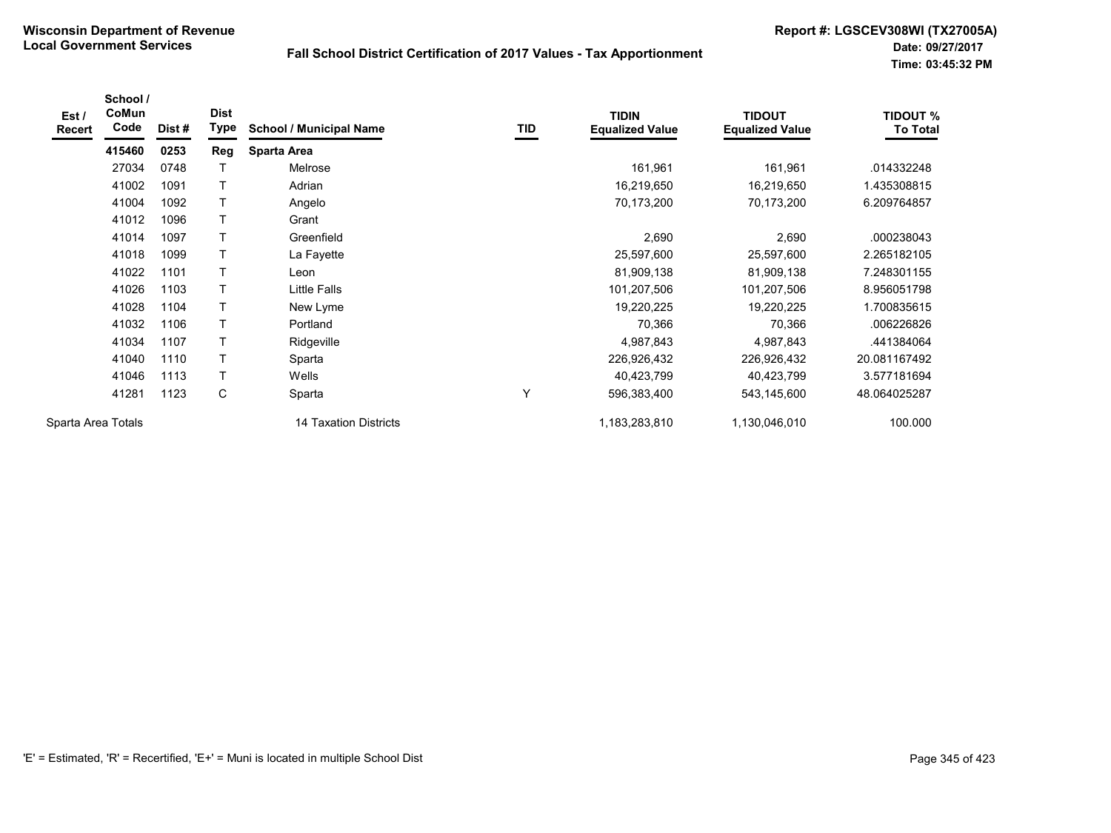| Est /<br>Recert    | School /<br>CoMun<br>Code | Dist# | <b>Dist</b><br>Type | <b>School / Municipal Name</b> | TID | <b>TIDIN</b><br><b>Equalized Value</b> | <b>TIDOUT</b><br><b>Equalized Value</b> | <b>TIDOUT %</b><br><b>To Total</b> |
|--------------------|---------------------------|-------|---------------------|--------------------------------|-----|----------------------------------------|-----------------------------------------|------------------------------------|
|                    | 415460                    | 0253  | Reg                 | <b>Sparta Area</b>             |     |                                        |                                         |                                    |
|                    | 27034                     | 0748  |                     | <b>Melrose</b>                 |     | 161,961                                | 161,961                                 | .014332248                         |
|                    | 41002                     | 1091  | Τ                   | Adrian                         |     | 16,219,650                             | 16,219,650                              | 1.435308815                        |
|                    | 41004                     | 1092  |                     | Angelo                         |     | 70,173,200                             | 70,173,200                              | 6.209764857                        |
|                    | 41012                     | 1096  |                     | Grant                          |     |                                        |                                         |                                    |
|                    | 41014                     | 1097  | т                   | Greenfield                     |     | 2,690                                  | 2,690                                   | .000238043                         |
|                    | 41018                     | 1099  |                     | La Fayette                     |     | 25,597,600                             | 25,597,600                              | 2.265182105                        |
|                    | 41022                     | 1101  |                     | Leon                           |     | 81,909,138                             | 81,909,138                              | 7.248301155                        |
|                    | 41026                     | 1103  |                     | Little Falls                   |     | 101,207,506                            | 101,207,506                             | 8.956051798                        |
|                    | 41028                     | 1104  |                     | New Lyme                       |     | 19,220,225                             | 19,220,225                              | 1.700835615                        |
|                    | 41032                     | 1106  | т                   | Portland                       |     | 70,366                                 | 70,366                                  | .006226826                         |
|                    | 41034                     | 1107  | Τ                   | Ridgeville                     |     | 4,987,843                              | 4,987,843                               | .441384064                         |
|                    | 41040                     | 1110  |                     | Sparta                         |     | 226,926,432                            | 226,926,432                             | 20.081167492                       |
|                    | 41046                     | 1113  |                     | Wells                          |     | 40,423,799                             | 40,423,799                              | 3.577181694                        |
|                    | 41281                     | 1123  | C                   | Sparta                         | Y   | 596,383,400                            | 543,145,600                             | 48.064025287                       |
| Sparta Area Totals |                           |       |                     | <b>14 Taxation Districts</b>   |     | 1,183,283,810                          | 1,130,046,010                           | 100.000                            |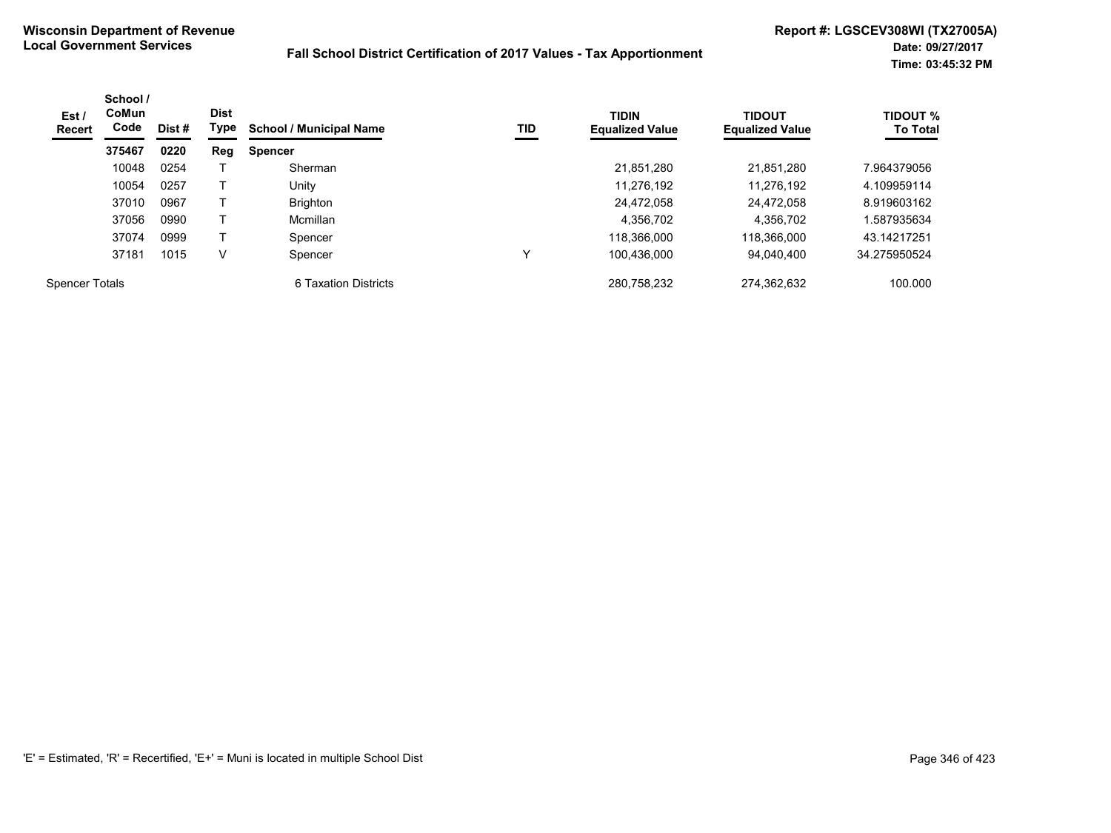| Est /<br>Recert       | School /<br>CoMun<br>Code | Dist # | <b>Dist</b><br>Type | <b>School / Municipal Name</b> | TID | <b>TIDIN</b><br><b>Equalized Value</b> | <b>TIDOUT</b><br><b>Equalized Value</b> | <b>TIDOUT %</b><br><b>To Total</b> |
|-----------------------|---------------------------|--------|---------------------|--------------------------------|-----|----------------------------------------|-----------------------------------------|------------------------------------|
|                       | 375467                    | 0220   | Reg                 | <b>Spencer</b>                 |     |                                        |                                         |                                    |
|                       | 10048                     | 0254   |                     | Sherman                        |     | 21,851,280                             | 21,851,280                              | 7.964379056                        |
|                       | 10054                     | 0257   |                     | Unity                          |     | 11.276.192                             | 11.276.192                              | 4.109959114                        |
|                       | 37010                     | 0967   |                     | <b>Brighton</b>                |     | 24.472.058                             | 24.472.058                              | 8.919603162                        |
|                       | 37056                     | 0990   |                     | Mcmillan                       |     | 4,356,702                              | 4,356,702                               | 1.587935634                        |
|                       | 37074                     | 0999   |                     | Spencer                        |     | 118.366.000                            | 118,366,000                             | 43.14217251                        |
|                       | 37181                     | 1015   | V                   | Spencer                        |     | 100.436.000                            | 94.040.400                              | 34.275950524                       |
| <b>Spencer Totals</b> |                           |        |                     | 6 Taxation Districts           |     | 280,758,232                            | 274,362,632                             | 100.000                            |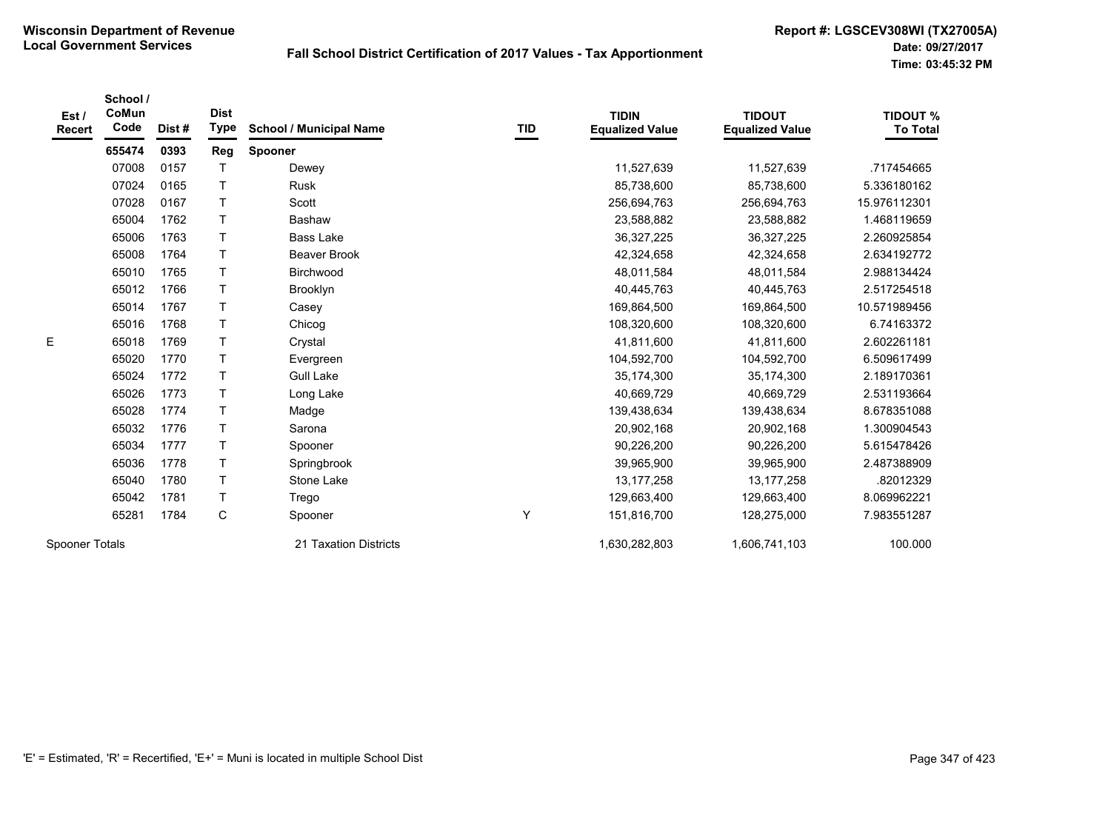| Est/<br>Recert | School /<br>CoMun<br>Code | Dist# | <b>Dist</b><br><b>Type</b> | <b>School / Municipal Name</b> | TID | <b>TIDIN</b><br><b>Equalized Value</b> | <b>TIDOUT</b><br><b>Equalized Value</b> | <b>TIDOUT %</b><br><b>To Total</b> |
|----------------|---------------------------|-------|----------------------------|--------------------------------|-----|----------------------------------------|-----------------------------------------|------------------------------------|
|                | 655474                    | 0393  | Reg                        | Spooner                        |     |                                        |                                         |                                    |
|                | 07008                     | 0157  | $\mathsf{T}$               | Dewey                          |     | 11,527,639                             | 11,527,639                              | .717454665                         |
|                | 07024                     | 0165  | $\mathsf{T}$               | Rusk                           |     | 85,738,600                             | 85,738,600                              | 5.336180162                        |
|                | 07028                     | 0167  | T                          | Scott                          |     | 256,694,763                            | 256,694,763                             | 15.976112301                       |
|                | 65004                     | 1762  | Τ                          | Bashaw                         |     | 23,588,882                             | 23,588,882                              | 1.468119659                        |
|                | 65006                     | 1763  | $\mathsf{T}$               | <b>Bass Lake</b>               |     | 36,327,225                             | 36,327,225                              | 2.260925854                        |
|                | 65008                     | 1764  | $\mathsf{T}$               | Beaver Brook                   |     | 42,324,658                             | 42,324,658                              | 2.634192772                        |
|                | 65010                     | 1765  | $\mathsf{T}$               | Birchwood                      |     | 48,011,584                             | 48,011,584                              | 2.988134424                        |
|                | 65012                     | 1766  | $\mathsf{T}$               | Brooklyn                       |     | 40,445,763                             | 40,445,763                              | 2.517254518                        |
|                | 65014                     | 1767  | Τ                          | Casey                          |     | 169,864,500                            | 169,864,500                             | 10.571989456                       |
|                | 65016                     | 1768  | $\mathsf{T}$               | Chicog                         |     | 108,320,600                            | 108,320,600                             | 6.74163372                         |
| E              | 65018                     | 1769  | Τ                          | Crystal                        |     | 41,811,600                             | 41,811,600                              | 2.602261181                        |
|                | 65020                     | 1770  | $\mathsf T$                | Evergreen                      |     | 104,592,700                            | 104,592,700                             | 6.509617499                        |
|                | 65024                     | 1772  | Τ                          | <b>Gull Lake</b>               |     | 35,174,300                             | 35,174,300                              | 2.189170361                        |
|                | 65026                     | 1773  | $\mathsf{T}$               | Long Lake                      |     | 40,669,729                             | 40,669,729                              | 2.531193664                        |
|                | 65028                     | 1774  | $\top$                     | Madge                          |     | 139,438,634                            | 139,438,634                             | 8.678351088                        |
|                | 65032                     | 1776  | T                          | Sarona                         |     | 20,902,168                             | 20,902,168                              | 1.300904543                        |
|                | 65034                     | 1777  | Τ                          | Spooner                        |     | 90,226,200                             | 90,226,200                              | 5.615478426                        |
|                | 65036                     | 1778  | Τ                          | Springbrook                    |     | 39,965,900                             | 39,965,900                              | 2.487388909                        |
|                | 65040                     | 1780  | Τ                          | Stone Lake                     |     | 13, 177, 258                           | 13, 177, 258                            | .82012329                          |
|                | 65042                     | 1781  | T                          | Trego                          |     | 129,663,400                            | 129,663,400                             | 8.069962221                        |
|                | 65281                     | 1784  | $\mathbf C$                | Spooner                        | Υ   | 151,816,700                            | 128,275,000                             | 7.983551287                        |
| Spooner Totals |                           |       |                            | 21 Taxation Districts          |     | 1,630,282,803                          | 1,606,741,103                           | 100.000                            |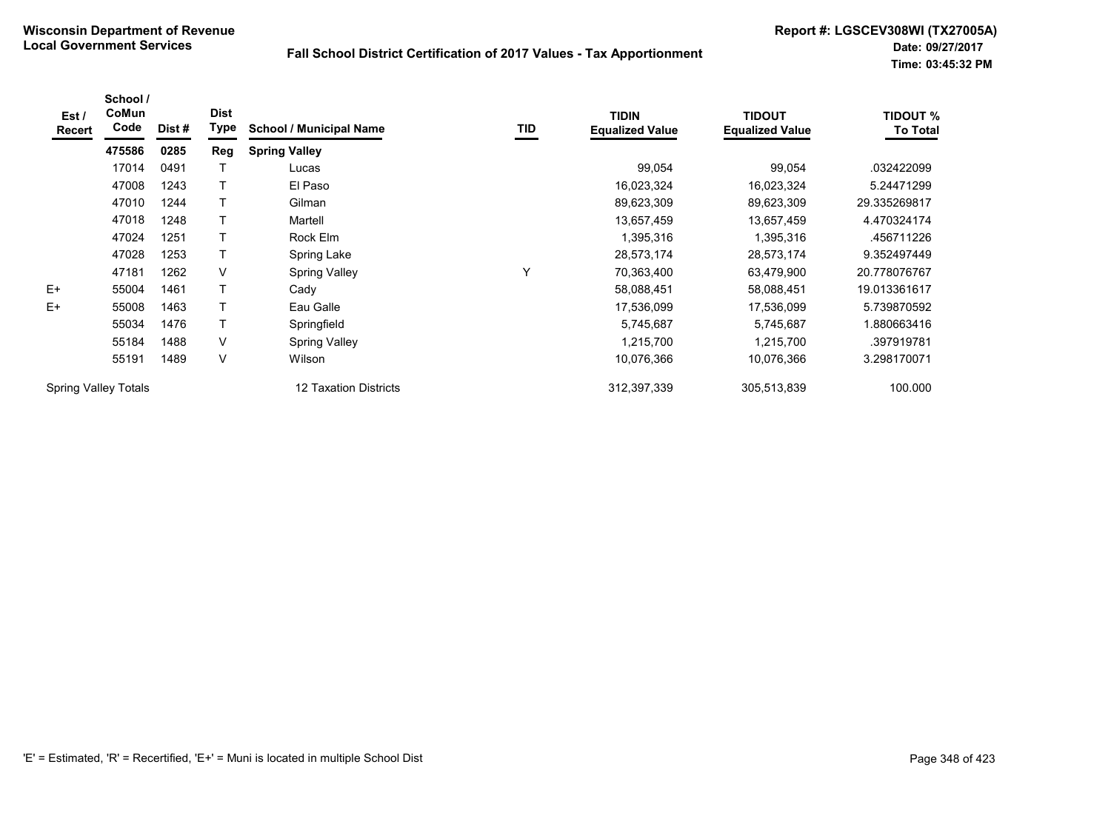| Est /<br>Recert             | School /<br>CoMun<br>Code | Dist # | <b>Dist</b><br>Type | <b>School / Municipal Name</b> | TID | <b>TIDIN</b><br><b>Equalized Value</b> | <b>TIDOUT</b><br><b>Equalized Value</b> | <b>TIDOUT %</b><br><b>To Total</b> |
|-----------------------------|---------------------------|--------|---------------------|--------------------------------|-----|----------------------------------------|-----------------------------------------|------------------------------------|
|                             | 475586                    | 0285   | Reg                 | <b>Spring Valley</b>           |     |                                        |                                         |                                    |
|                             | 17014                     | 0491   |                     | Lucas                          |     | 99,054                                 | 99,054                                  | .032422099                         |
|                             | 47008                     | 1243   |                     | El Paso                        |     | 16,023,324                             | 16,023,324                              | 5.24471299                         |
|                             | 47010                     | 1244   |                     | Gilman                         |     | 89,623,309                             | 89,623,309                              | 29.335269817                       |
|                             | 47018                     | 1248   |                     | Martell                        |     | 13,657,459                             | 13,657,459                              | 4.470324174                        |
|                             | 47024                     | 1251   |                     | Rock Elm                       |     | 1,395,316                              | 1,395,316                               | .456711226                         |
|                             | 47028                     | 1253   |                     | Spring Lake                    |     | 28,573,174                             | 28,573,174                              | 9.352497449                        |
|                             | 47181                     | 1262   | $\vee$              | <b>Spring Valley</b>           | Y   | 70,363,400                             | 63,479,900                              | 20.778076767                       |
| $E+$                        | 55004                     | 1461   |                     | Cady                           |     | 58,088,451                             | 58,088,451                              | 19.013361617                       |
| $E+$                        | 55008                     | 1463   |                     | Eau Galle                      |     | 17,536,099                             | 17,536,099                              | 5.739870592                        |
|                             | 55034                     | 1476   |                     | Springfield                    |     | 5,745,687                              | 5,745,687                               | 1.880663416                        |
|                             | 55184                     | 1488   | V                   | <b>Spring Valley</b>           |     | 1,215,700                              | 1,215,700                               | .397919781                         |
|                             | 55191                     | 1489   | $\vee$              | Wilson                         |     | 10,076,366                             | 10,076,366                              | 3.298170071                        |
| <b>Spring Valley Totals</b> |                           |        |                     | 12 Taxation Districts          |     | 312,397,339                            | 305,513,839                             | 100.000                            |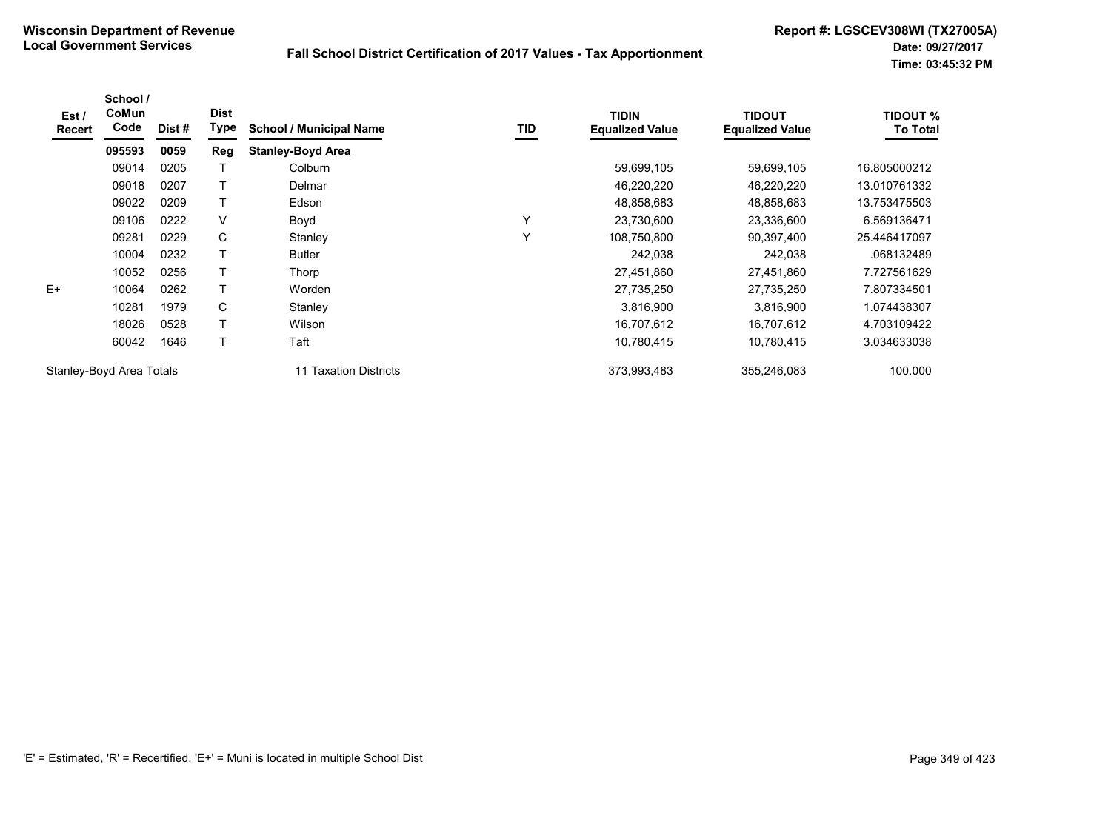| Est /<br><b>Recert</b>   | School /<br>CoMun<br>Code | Dist # | <b>Dist</b><br>Type | <b>School / Municipal Name</b> | <b>TID</b> | <b>TIDIN</b><br><b>Equalized Value</b> | <b>TIDOUT</b><br><b>Equalized Value</b> | TIDOUT %<br><b>To Total</b> |
|--------------------------|---------------------------|--------|---------------------|--------------------------------|------------|----------------------------------------|-----------------------------------------|-----------------------------|
|                          | 095593                    | 0059   | Reg                 | <b>Stanley-Boyd Area</b>       |            |                                        |                                         |                             |
|                          | 09014                     | 0205   |                     | Colburn                        |            | 59,699,105                             | 59,699,105                              | 16.805000212                |
|                          | 09018                     | 0207   |                     | Delmar                         |            | 46,220,220                             | 46,220,220                              | 13.010761332                |
|                          | 09022                     | 0209   | Т                   | Edson                          |            | 48,858,683                             | 48,858,683                              | 13.753475503                |
|                          | 09106                     | 0222   | V                   | Boyd                           | Υ          | 23,730,600                             | 23,336,600                              | 6.569136471                 |
|                          | 09281                     | 0229   | C                   | Stanley                        | Υ          | 108,750,800                            | 90,397,400                              | 25.446417097                |
|                          | 10004                     | 0232   |                     | <b>Butler</b>                  |            | 242,038                                | 242,038                                 | .068132489                  |
|                          | 10052                     | 0256   | Т                   | Thorp                          |            | 27,451,860                             | 27,451,860                              | 7.727561629                 |
| $E+$                     | 10064                     | 0262   |                     | Worden                         |            | 27,735,250                             | 27,735,250                              | 7.807334501                 |
|                          | 10281                     | 1979   | C                   | Stanley                        |            | 3,816,900                              | 3,816,900                               | 1.074438307                 |
|                          | 18026                     | 0528   |                     | Wilson                         |            | 16,707,612                             | 16,707,612                              | 4.703109422                 |
|                          | 60042                     | 1646   | Τ                   | Taft                           |            | 10,780,415                             | 10,780,415                              | 3.034633038                 |
| Stanley-Boyd Area Totals |                           |        |                     | 11 Taxation Districts          |            | 373,993,483                            | 355,246,083                             | 100.000                     |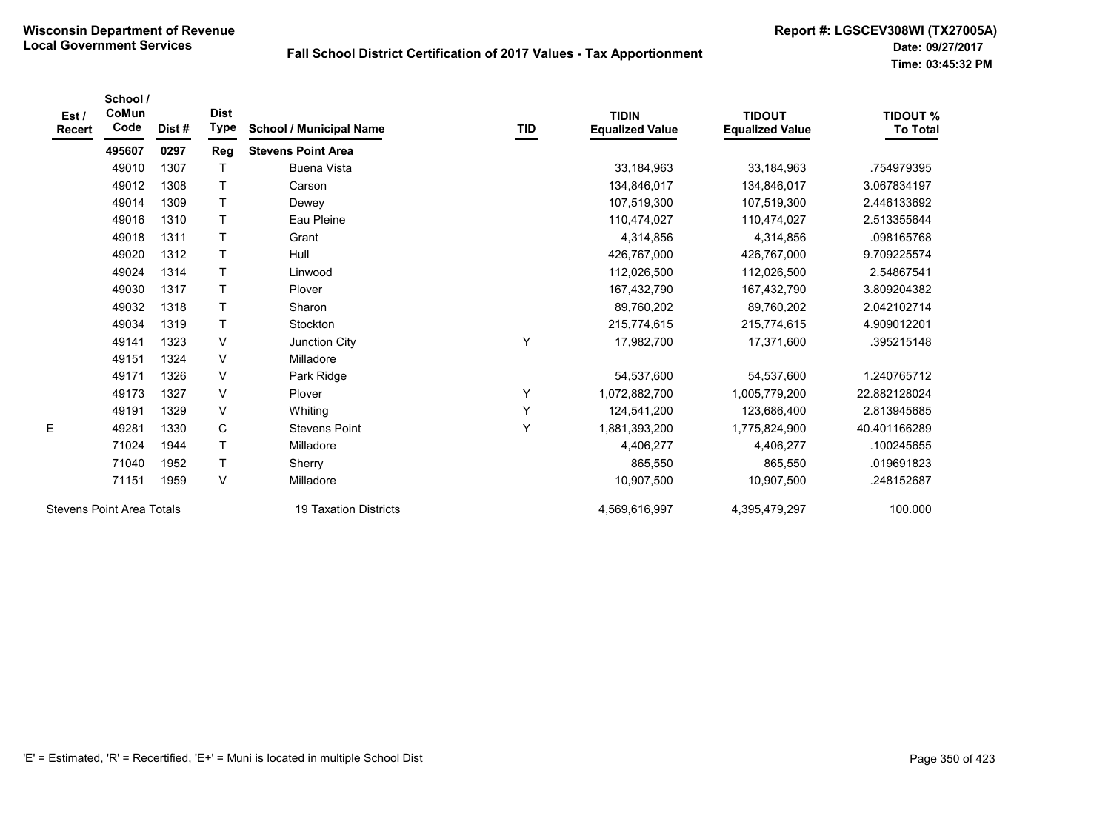| Est/<br>Recert | School /<br>CoMun<br>Code        | Dist# | <b>Dist</b><br>Type | <b>School / Municipal Name</b> | TID | <b>TIDIN</b><br><b>Equalized Value</b> | <b>TIDOUT</b><br><b>Equalized Value</b> | <b>TIDOUT %</b><br><b>To Total</b> |
|----------------|----------------------------------|-------|---------------------|--------------------------------|-----|----------------------------------------|-----------------------------------------|------------------------------------|
|                | 495607                           | 0297  | Reg                 | <b>Stevens Point Area</b>      |     |                                        |                                         |                                    |
|                | 49010                            | 1307  | $\top$              | <b>Buena Vista</b>             |     | 33, 184, 963                           | 33,184,963                              | .754979395                         |
|                | 49012                            | 1308  | Τ                   | Carson                         |     | 134,846,017                            | 134,846,017                             | 3.067834197                        |
|                | 49014                            | 1309  | Τ                   | Dewey                          |     | 107,519,300                            | 107,519,300                             | 2.446133692                        |
|                | 49016                            | 1310  | $\mathsf{T}$        | Eau Pleine                     |     | 110,474,027                            | 110,474,027                             | 2.513355644                        |
|                | 49018                            | 1311  | $\top$              | Grant                          |     | 4,314,856                              | 4,314,856                               | .098165768                         |
|                | 49020                            | 1312  | $\mathsf{T}$        | Hull                           |     | 426.767.000                            | 426,767,000                             | 9.709225574                        |
|                | 49024                            | 1314  | $\top$              | Linwood                        |     | 112,026,500                            | 112,026,500                             | 2.54867541                         |
|                | 49030                            | 1317  | $\mathsf{T}$        | Plover                         |     | 167,432,790                            | 167,432,790                             | 3.809204382                        |
|                | 49032                            | 1318  | $\top$              | Sharon                         |     | 89,760,202                             | 89,760,202                              | 2.042102714                        |
|                | 49034                            | 1319  | Τ                   | Stockton                       |     | 215,774,615                            | 215,774,615                             | 4.909012201                        |
|                | 49141                            | 1323  | V                   | Junction City                  | Y   | 17,982,700                             | 17,371,600                              | .395215148                         |
|                | 49151                            | 1324  | V                   | Milladore                      |     |                                        |                                         |                                    |
|                | 49171                            | 1326  | $\vee$              | Park Ridge                     |     | 54,537,600                             | 54,537,600                              | 1.240765712                        |
|                | 49173                            | 1327  | $\vee$              | Plover                         | Υ   | 1,072,882,700                          | 1,005,779,200                           | 22.882128024                       |
|                | 49191                            | 1329  | V                   | Whiting                        | Υ   | 124,541,200                            | 123,686,400                             | 2.813945685                        |
| E              | 49281                            | 1330  | C                   | <b>Stevens Point</b>           | Y   | 1,881,393,200                          | 1,775,824,900                           | 40.401166289                       |
|                | 71024                            | 1944  | $\mathsf{T}$        | Milladore                      |     | 4,406,277                              | 4,406,277                               | .100245655                         |
|                | 71040                            | 1952  | Τ                   | Sherry                         |     | 865,550                                | 865,550                                 | .019691823                         |
|                | 71151                            | 1959  | $\vee$              | Milladore                      |     | 10,907,500                             | 10,907,500                              | .248152687                         |
|                | <b>Stevens Point Area Totals</b> |       |                     | <b>19 Taxation Districts</b>   |     | 4,569,616,997                          | 4,395,479,297                           | 100.000                            |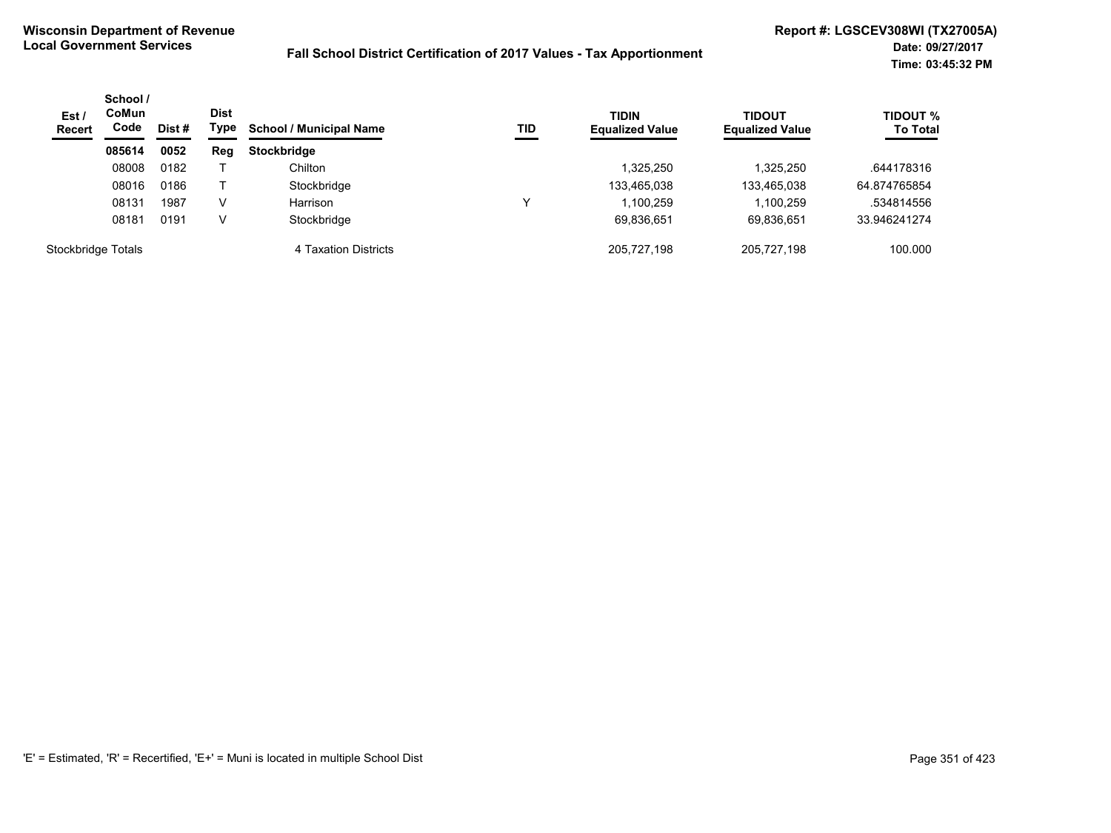| Est/<br><b>Recert</b> | School /<br><b>CoMun</b><br>Code | Dist # | <b>Dist</b><br>Type | <b>School / Municipal Name</b> | TID | <b>TIDIN</b><br><b>Equalized Value</b> | <b>TIDOUT</b><br><b>Equalized Value</b> | <b>TIDOUT %</b><br><b>To Total</b> |
|-----------------------|----------------------------------|--------|---------------------|--------------------------------|-----|----------------------------------------|-----------------------------------------|------------------------------------|
|                       | 085614                           | 0052   | Reg                 | <b>Stockbridge</b>             |     |                                        |                                         |                                    |
|                       | 08008                            | 0182   |                     | Chilton                        |     | 1,325,250                              | 1,325,250                               | .644178316                         |
|                       | 08016                            | 0186   |                     | Stockbridge                    |     | 133,465,038                            | 133,465,038                             | 64.874765854                       |
|                       | 08131                            | 1987   | v                   | Harrison                       | ν   | 1,100,259                              | 1,100,259                               | .534814556                         |
|                       | 08181                            | 0191   | v                   | Stockbridge                    |     | 69,836,651                             | 69,836,651                              | 33.946241274                       |
| Stockbridge Totals    |                                  |        |                     | 4 Taxation Districts           |     | 205.727.198                            | 205.727.198                             | 100.000                            |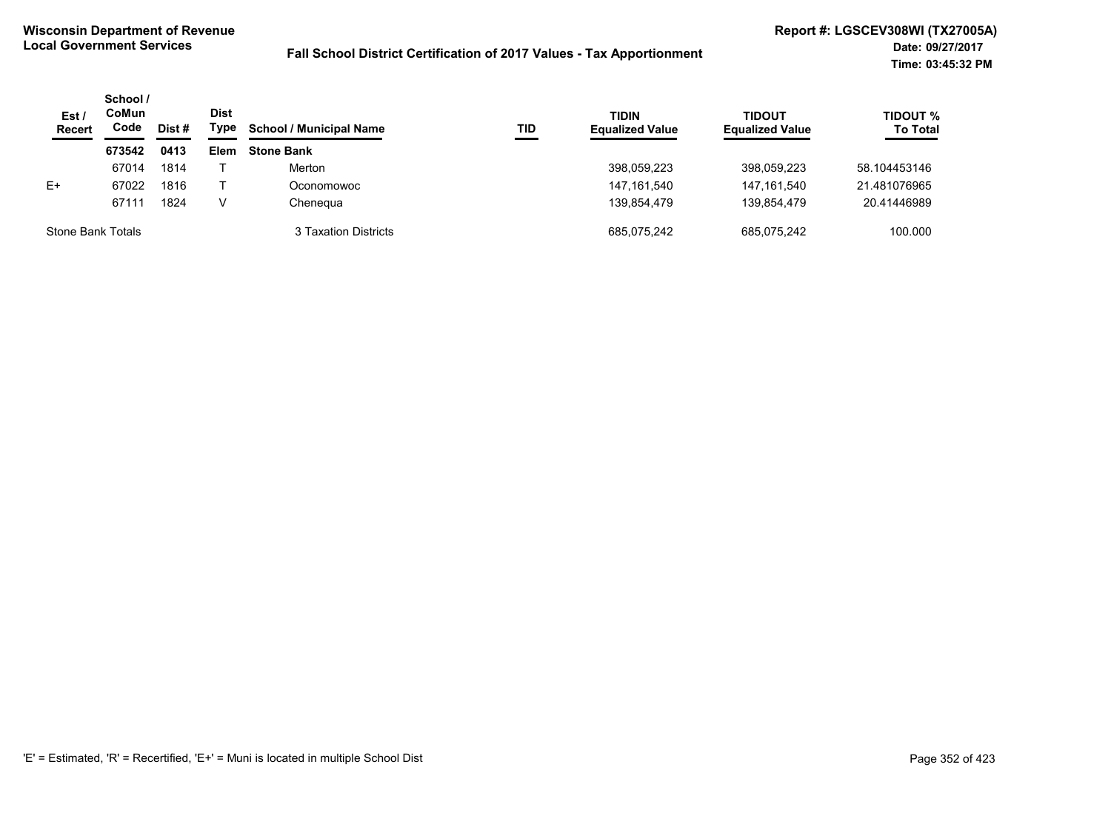| Est/<br><b>Recert</b> | School /<br>CoMun<br>Code | Dist # | <b>Dist</b><br>Type | <b>School / Municipal Name</b> | TID | <b>TIDIN</b><br><b>Equalized Value</b> | TIDOUT<br><b>Equalized Value</b> | <b>TIDOUT %</b><br><b>To Total</b> |
|-----------------------|---------------------------|--------|---------------------|--------------------------------|-----|----------------------------------------|----------------------------------|------------------------------------|
|                       | 673542                    | 0413   | Elem                | <b>Stone Bank</b>              |     |                                        |                                  |                                    |
|                       | 67014                     | 1814   |                     | Merton                         |     | 398,059,223                            | 398.059.223                      | 58.104453146                       |
| $E+$                  | 67022                     | 1816   |                     | Oconomowoc                     |     | 147, 161, 540                          | 147.161.540                      | 21.481076965                       |
|                       | 67111                     | 1824   | v                   | Chenegua                       |     | 139.854.479                            | 139.854.479                      | 20.41446989                        |
| Stone Bank Totals     |                           |        |                     | 3 Taxation Districts           |     | 685.075.242                            | 685.075.242                      | 100.000                            |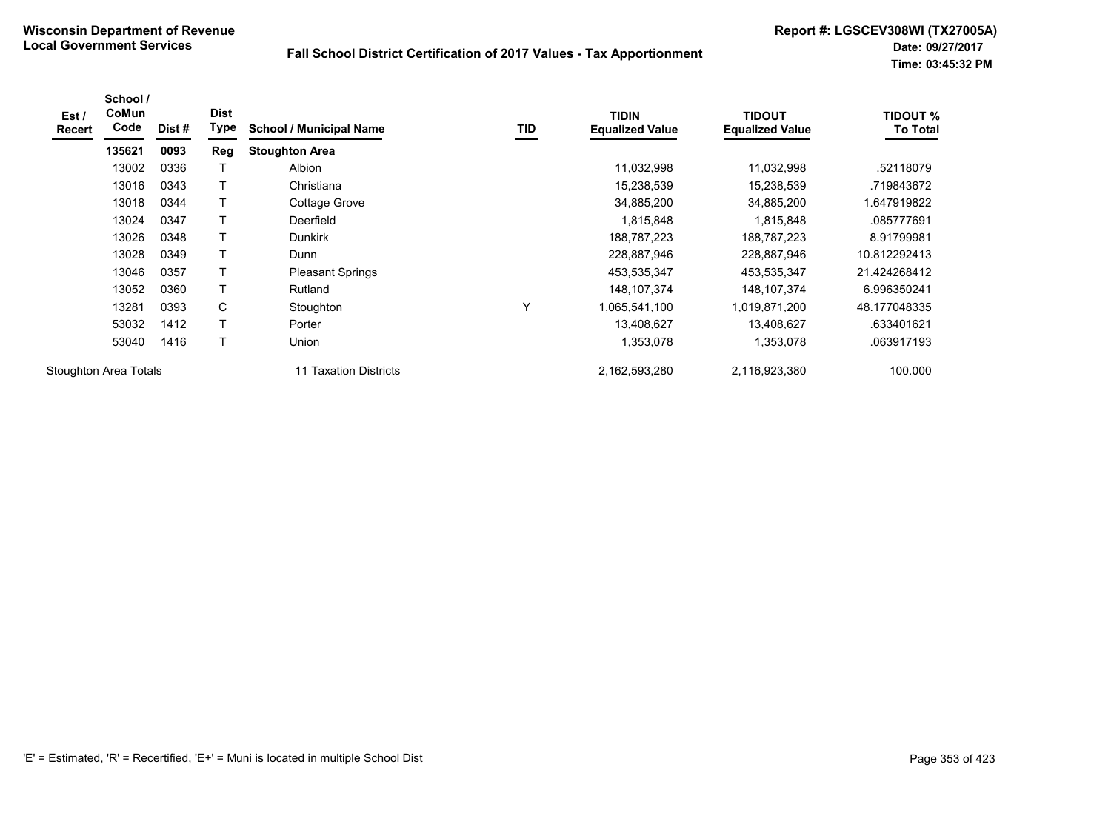| Est /<br><b>Recert</b> | School /<br><b>CoMun</b><br>Code | Dist# | <b>Dist</b><br>Type | <b>School / Municipal Name</b> | TID | <b>TIDIN</b><br><b>Equalized Value</b> | <b>TIDOUT</b><br><b>Equalized Value</b> | <b>TIDOUT %</b><br><b>To Total</b> |
|------------------------|----------------------------------|-------|---------------------|--------------------------------|-----|----------------------------------------|-----------------------------------------|------------------------------------|
|                        | 135621                           | 0093  | Reg                 | <b>Stoughton Area</b>          |     |                                        |                                         |                                    |
|                        | 13002                            | 0336  |                     | Albion                         |     | 11,032,998                             | 11,032,998                              | .52118079                          |
|                        | 13016                            | 0343  | т                   | Christiana                     |     | 15,238,539                             | 15,238,539                              | .719843672                         |
|                        | 13018                            | 0344  | Τ                   | Cottage Grove                  |     | 34,885,200                             | 34,885,200                              | 1.647919822                        |
|                        | 13024                            | 0347  |                     | Deerfield                      |     | 1,815,848                              | 1,815,848                               | .085777691                         |
|                        | 13026                            | 0348  |                     | <b>Dunkirk</b>                 |     | 188,787,223                            | 188,787,223                             | 8.91799981                         |
|                        | 13028                            | 0349  | T                   | Dunn                           |     | 228,887,946                            | 228,887,946                             | 10.812292413                       |
|                        | 13046                            | 0357  | T                   | <b>Pleasant Springs</b>        |     | 453,535,347                            | 453,535,347                             | 21.424268412                       |
|                        | 13052                            | 0360  |                     | Rutland                        |     | 148, 107, 374                          | 148, 107, 374                           | 6.996350241                        |
|                        | 13281                            | 0393  | C                   | Stoughton                      | Υ   | 1,065,541,100                          | 1,019,871,200                           | 48.177048335                       |
|                        | 53032                            | 1412  | T                   | Porter                         |     | 13,408,627                             | 13,408,627                              | .633401621                         |
|                        | 53040                            | 1416  | T                   | <b>Union</b>                   |     | 1,353,078                              | 1,353,078                               | .063917193                         |
| Stoughton Area Totals  |                                  |       |                     | 11 Taxation Districts          |     | 2,162,593,280                          | 2,116,923,380                           | 100.000                            |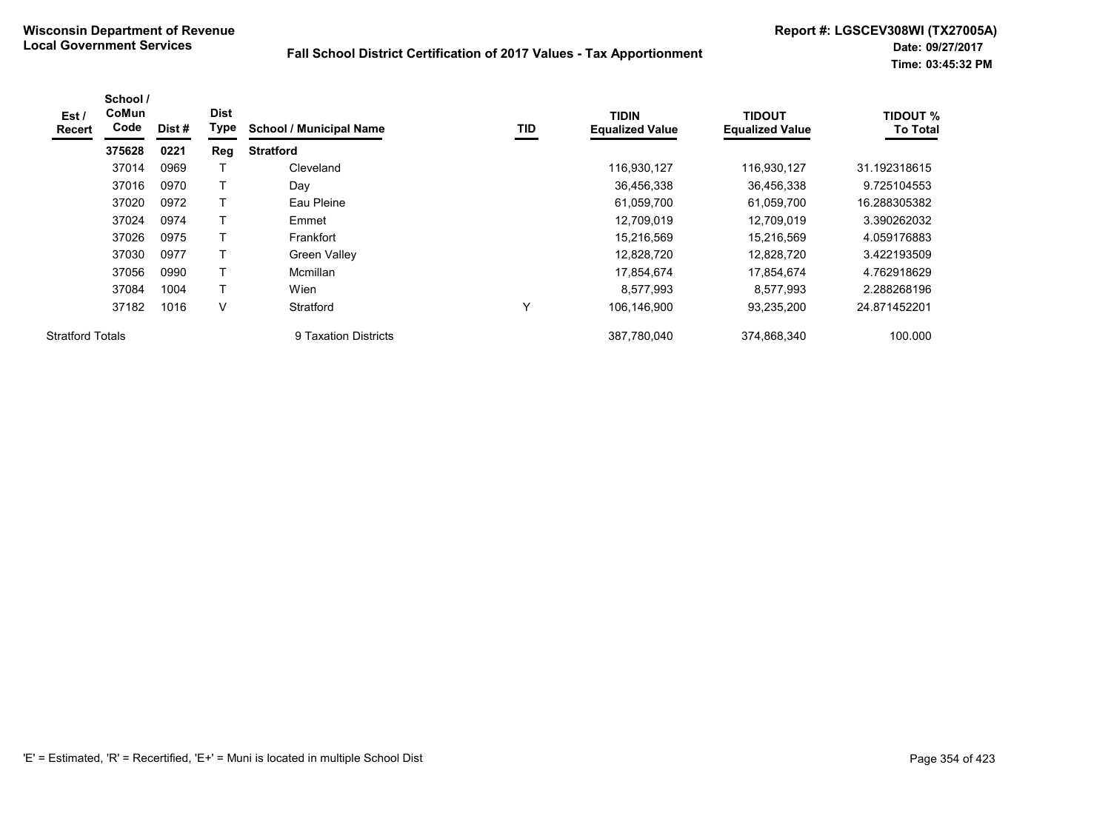| Est /<br><b>Recert</b>  | School /<br><b>CoMun</b><br>Code | Dist # | <b>Dist</b><br>Type | <b>School / Municipal Name</b> | TID | <b>TIDIN</b><br><b>Equalized Value</b> | <b>TIDOUT</b><br><b>Equalized Value</b> | <b>TIDOUT %</b><br><b>To Total</b> |
|-------------------------|----------------------------------|--------|---------------------|--------------------------------|-----|----------------------------------------|-----------------------------------------|------------------------------------|
|                         | 375628                           | 0221   | Reg                 | <b>Stratford</b>               |     |                                        |                                         |                                    |
|                         | 37014                            | 0969   |                     | Cleveland                      |     | 116,930,127                            | 116,930,127                             | 31.192318615                       |
|                         | 37016                            | 0970   |                     | Day                            |     | 36,456,338                             | 36,456,338                              | 9.725104553                        |
|                         | 37020                            | 0972   |                     | Eau Pleine                     |     | 61,059,700                             | 61,059,700                              | 16.288305382                       |
|                         | 37024                            | 0974   |                     | Emmet                          |     | 12,709,019                             | 12.709.019                              | 3.390262032                        |
|                         | 37026                            | 0975   |                     | Frankfort                      |     | 15,216,569                             | 15,216,569                              | 4.059176883                        |
|                         | 37030                            | 0977   |                     | <b>Green Valley</b>            |     | 12,828,720                             | 12,828,720                              | 3.422193509                        |
|                         | 37056                            | 0990   |                     | Mcmillan                       |     | 17,854,674                             | 17,854,674                              | 4.762918629                        |
|                         | 37084                            | 1004   | т                   | Wien                           |     | 8,577,993                              | 8,577,993                               | 2.288268196                        |
|                         | 37182                            | 1016   | V                   | Stratford                      | Υ   | 106,146,900                            | 93,235,200                              | 24.871452201                       |
| <b>Stratford Totals</b> |                                  |        |                     | 9 Taxation Districts           |     | 387.780.040                            | 374.868.340                             | 100.000                            |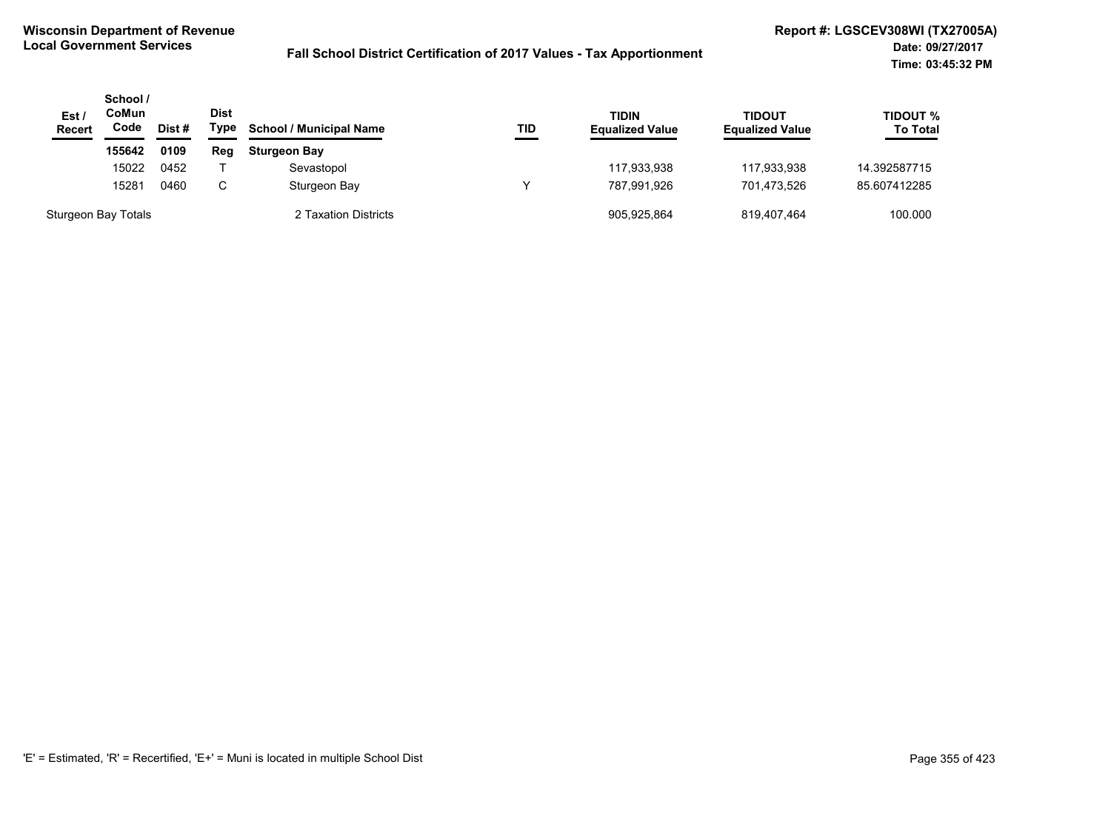| Est/<br><b>Recert</b> | School /<br>CoMun<br>Code<br>155642 | Dist # | Dist<br>Type | <b>School / Municipal Name</b><br><b>Sturgeon Bay</b> | TID | <b>TIDIN</b><br><b>Equalized Value</b> | TIDOUT<br><b>Equalized Value</b> | TIDOUT %<br><b>To Total</b> |
|-----------------------|-------------------------------------|--------|--------------|-------------------------------------------------------|-----|----------------------------------------|----------------------------------|-----------------------------|
|                       |                                     | 0109   | Reg          |                                                       |     |                                        |                                  |                             |
|                       | 15022                               | 0452   |              | Sevastopol                                            |     | 117,933,938                            | 117,933,938                      | 14.392587715                |
|                       | 15281                               | 0460   | C            | Sturgeon Bay                                          |     | 787.991.926                            | 701.473.526                      | 85.607412285                |
| Sturgeon Bay Totals   |                                     |        |              | 2 Taxation Districts                                  |     | 905,925,864                            | 819,407,464                      | 100.000                     |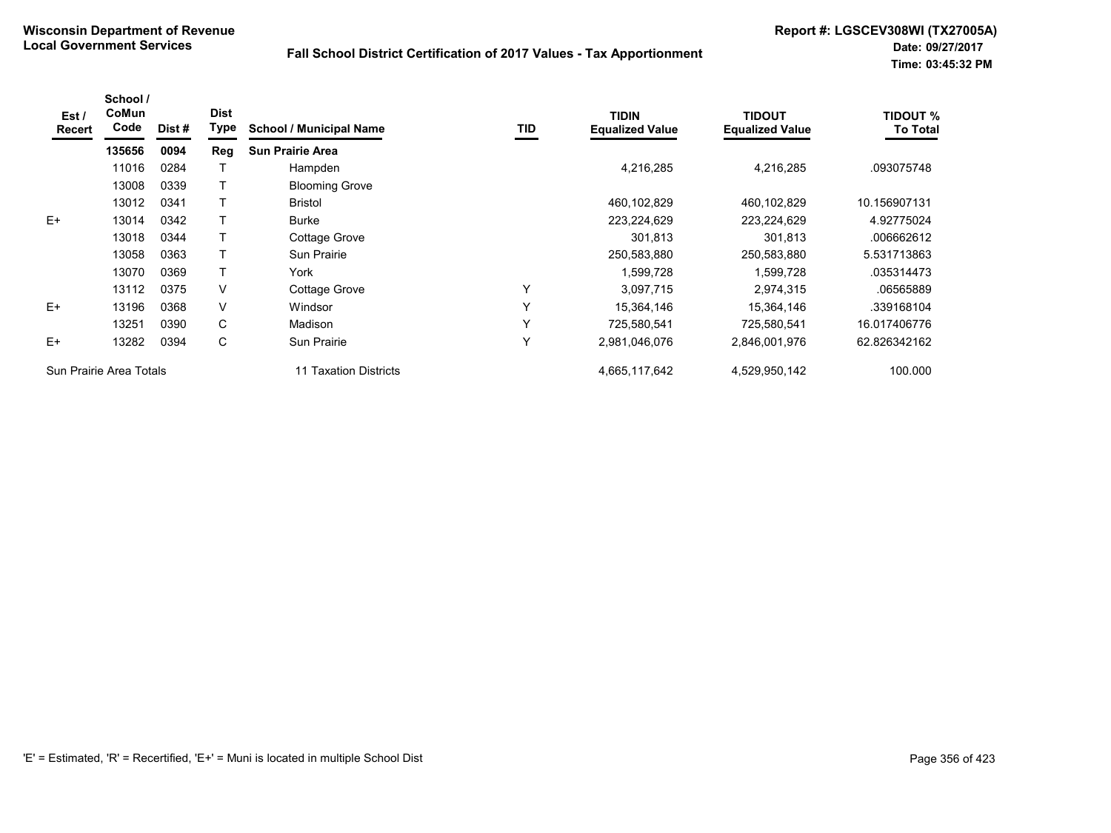| Est/<br>Recert | School /<br><b>CoMun</b><br>Code | Dist # | <b>Dist</b><br>Type | <b>School / Municipal Name</b> | TID | <b>TIDIN</b><br><b>Equalized Value</b> | <b>TIDOUT</b><br><b>Equalized Value</b> | <b>TIDOUT %</b><br><b>To Total</b> |
|----------------|----------------------------------|--------|---------------------|--------------------------------|-----|----------------------------------------|-----------------------------------------|------------------------------------|
|                | 135656                           | 0094   | Reg                 | <b>Sun Prairie Area</b>        |     |                                        |                                         |                                    |
|                | 11016                            | 0284   |                     | Hampden                        |     | 4,216,285                              | 4,216,285                               | .093075748                         |
|                | 13008                            | 0339   |                     | <b>Blooming Grove</b>          |     |                                        |                                         |                                    |
|                | 13012                            | 0341   |                     | <b>Bristol</b>                 |     | 460,102,829                            | 460,102,829                             | 10.156907131                       |
| $E+$           | 13014                            | 0342   |                     | <b>Burke</b>                   |     | 223,224,629                            | 223,224,629                             | 4.92775024                         |
|                | 13018                            | 0344   |                     | Cottage Grove                  |     | 301,813                                | 301,813                                 | .006662612                         |
|                | 13058                            | 0363   |                     | <b>Sun Prairie</b>             |     | 250,583,880                            | 250,583,880                             | 5.531713863                        |
|                | 13070                            | 0369   |                     | York                           |     | 1,599,728                              | 1,599,728                               | .035314473                         |
|                | 13112                            | 0375   | V                   | Cottage Grove                  | Υ   | 3,097,715                              | 2,974,315                               | .06565889                          |
| $E+$           | 13196                            | 0368   | V                   | Windsor                        | Y   | 15,364,146                             | 15,364,146                              | .339168104                         |
|                | 13251                            | 0390   | C                   | Madison                        | Y   | 725,580,541                            | 725,580,541                             | 16.017406776                       |
| $E+$           | 13282                            | 0394   | C                   | <b>Sun Prairie</b>             | Υ   | 2,981,046,076                          | 2,846,001,976                           | 62.826342162                       |
|                | Sun Prairie Area Totals          |        |                     | 11 Taxation Districts          |     | 4,665,117,642                          | 4,529,950,142                           | 100.000                            |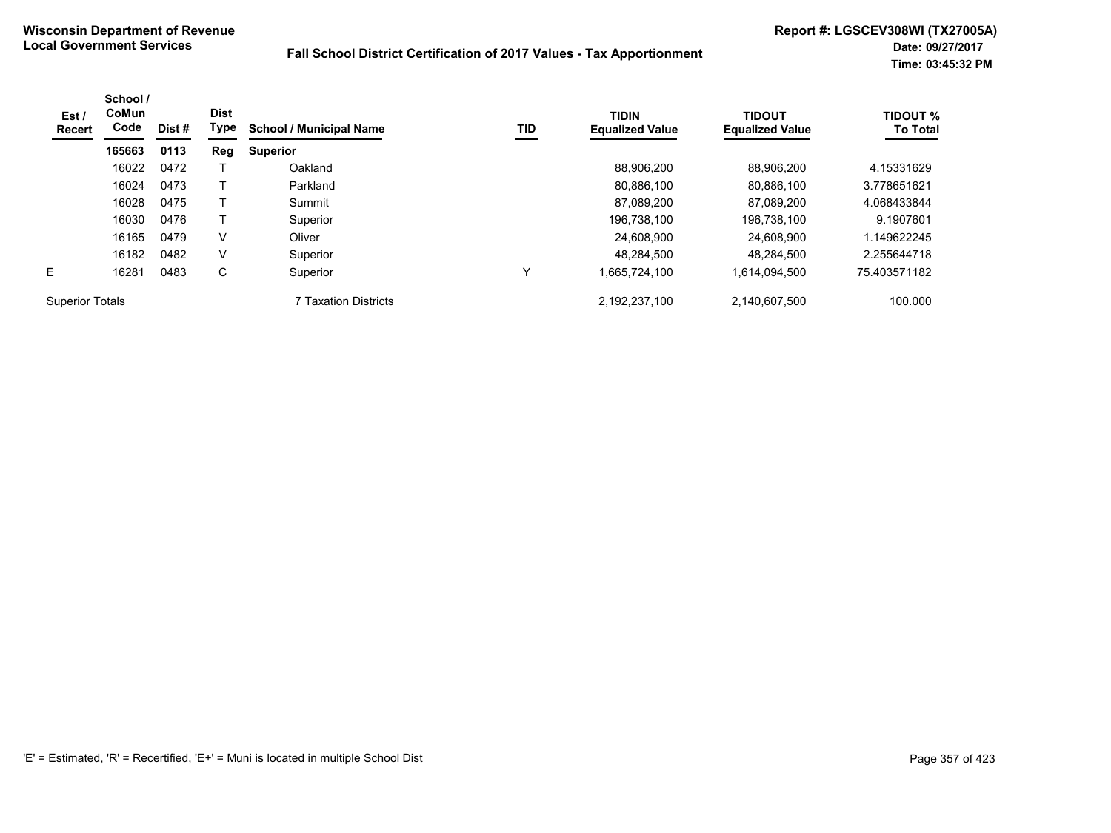| CoMun<br>Est /<br>Code<br><b>Recert</b> | School / | Dist# | <b>Dist</b><br>Type | <b>School / Municipal Name</b> | TID | <b>TIDIN</b><br><b>Equalized Value</b> | <b>TIDOUT</b><br><b>Equalized Value</b> | <b>TIDOUT %</b><br><b>To Total</b> |
|-----------------------------------------|----------|-------|---------------------|--------------------------------|-----|----------------------------------------|-----------------------------------------|------------------------------------|
|                                         | 165663   | 0113  | Reg                 | <b>Superior</b>                |     |                                        |                                         |                                    |
|                                         | 16022    | 0472  |                     | Oakland                        |     | 88.906.200                             | 88.906.200                              | 4.15331629                         |
|                                         | 16024    | 0473  |                     | Parkland                       |     | 80,886,100                             | 80,886,100                              | 3.778651621                        |
|                                         | 16028    | 0475  |                     | Summit                         |     | 87.089.200                             | 87.089.200                              | 4.068433844                        |
|                                         | 16030    | 0476  |                     | Superior                       |     | 196,738,100                            | 196,738,100                             | 9.1907601                          |
|                                         | 16165    | 0479  | V                   | Oliver                         |     | 24.608.900                             | 24.608.900                              | 1.149622245                        |
|                                         | 16182    | 0482  | V                   | Superior                       |     | 48.284.500                             | 48.284.500                              | 2.255644718                        |
| E.                                      | 16281    | 0483  | С                   | Superior                       | v   | .665.724.100                           | 1,614,094,500                           | 75.403571182                       |
| <b>Superior Totals</b>                  |          |       |                     | 7 Taxation Districts           |     | 2,192,237,100                          | 2,140,607,500                           | 100.000                            |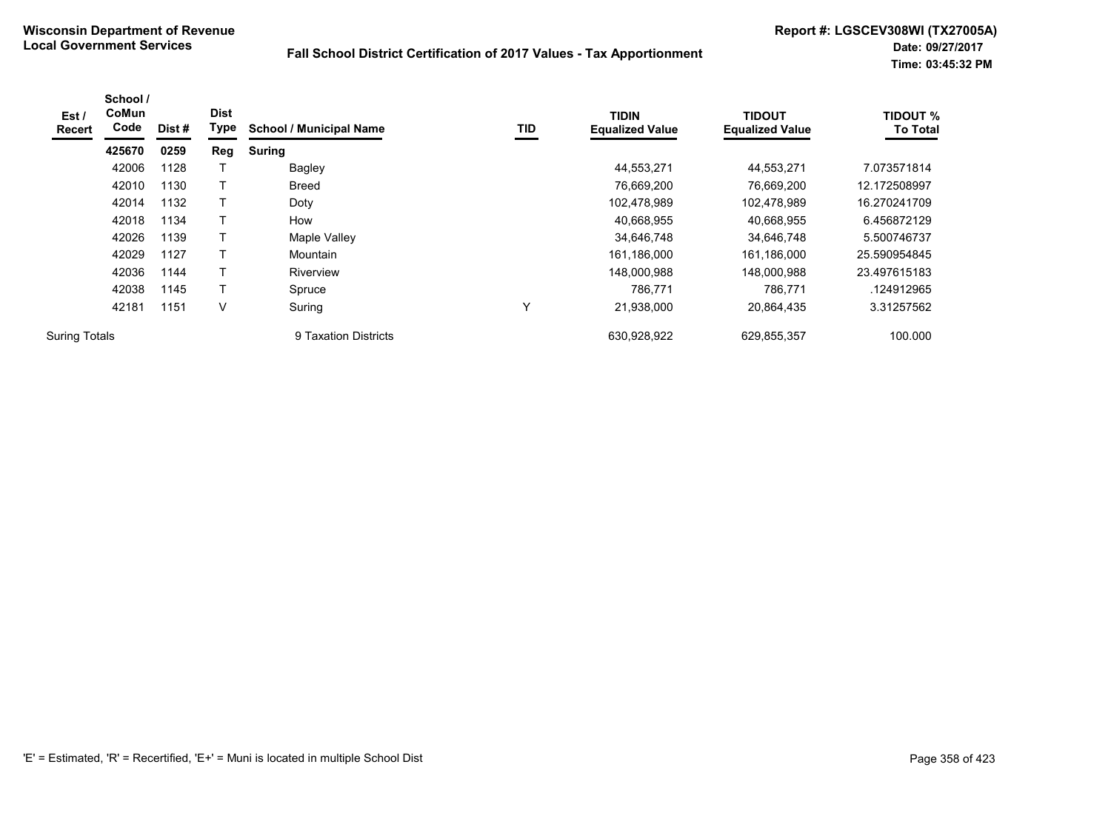| Est /<br><b>Recert</b> | School /<br>CoMun<br>Code | Dist # | <b>Dist</b><br>Type | <b>School / Municipal Name</b> | TID | <b>TIDIN</b><br><b>Equalized Value</b> | <b>TIDOUT</b><br><b>Equalized Value</b> | <b>TIDOUT %</b><br><b>To Total</b> |
|------------------------|---------------------------|--------|---------------------|--------------------------------|-----|----------------------------------------|-----------------------------------------|------------------------------------|
|                        | 425670                    | 0259   | Reg                 | <b>Suring</b>                  |     |                                        |                                         |                                    |
|                        | 42006                     | 1128   |                     | <b>Bagley</b>                  |     | 44,553,271                             | 44,553,271                              | 7.073571814                        |
|                        | 42010                     | 1130   |                     | <b>Breed</b>                   |     | 76,669,200                             | 76,669,200                              | 12.172508997                       |
|                        | 42014                     | 1132   | т                   | Doty                           |     | 102,478,989                            | 102,478,989                             | 16.270241709                       |
|                        | 42018                     | 1134   |                     | How                            |     | 40,668,955                             | 40,668,955                              | 6.456872129                        |
|                        | 42026                     | 1139   | Т                   | Maple Valley                   |     | 34,646,748                             | 34,646,748                              | 5.500746737                        |
|                        | 42029                     | 1127   |                     | Mountain                       |     | 161,186,000                            | 161,186,000                             | 25.590954845                       |
|                        | 42036                     | 1144   |                     | Riverview                      |     | 148,000,988                            | 148,000,988                             | 23.497615183                       |
|                        | 42038                     | 1145   | Т                   | Spruce                         |     | 786.771                                | 786,771                                 | .124912965                         |
|                        | 42181                     | 1151   | V                   | Suring                         | v   | 21,938,000                             | 20,864,435                              | 3.31257562                         |
| <b>Suring Totals</b>   |                           |        |                     | 9 Taxation Districts           |     | 630.928.922                            | 629,855,357                             | 100.000                            |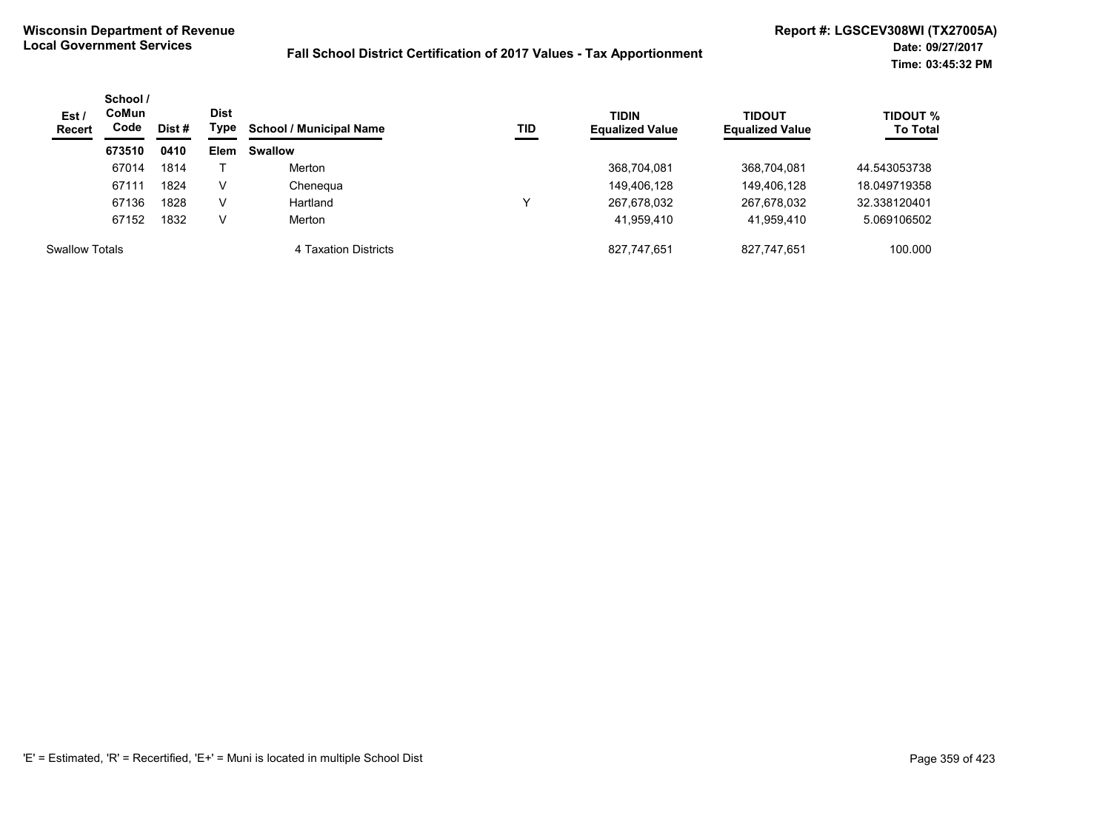| Est/<br><b>Recert</b> | School /<br><b>CoMun</b><br>Code | Dist # | <b>Dist</b><br>Type | <b>School / Municipal Name</b> | TID | <b>TIDIN</b><br><b>Equalized Value</b> | <b>TIDOUT</b><br><b>Equalized Value</b> | TIDOUT %<br><b>To Total</b> |
|-----------------------|----------------------------------|--------|---------------------|--------------------------------|-----|----------------------------------------|-----------------------------------------|-----------------------------|
|                       | 673510                           | 0410   | <b>Elem</b>         | <b>Swallow</b>                 |     |                                        |                                         |                             |
|                       | 67014                            | 1814   |                     | Merton                         |     | 368,704,081                            | 368,704,081                             | 44.543053738                |
|                       | 67111                            | 1824   | V                   | Chenegua                       |     | 149,406,128                            | 149,406,128                             | 18.049719358                |
|                       | 67136                            | 1828   | V                   | Hartland                       |     | 267,678,032                            | 267,678,032                             | 32.338120401                |
|                       | 67152                            | 1832   | V                   | Merton                         |     | 41,959,410                             | 41.959.410                              | 5.069106502                 |
| <b>Swallow Totals</b> |                                  |        |                     | 4 Taxation Districts           |     | 827,747,651                            | 827.747.651                             | 100.000                     |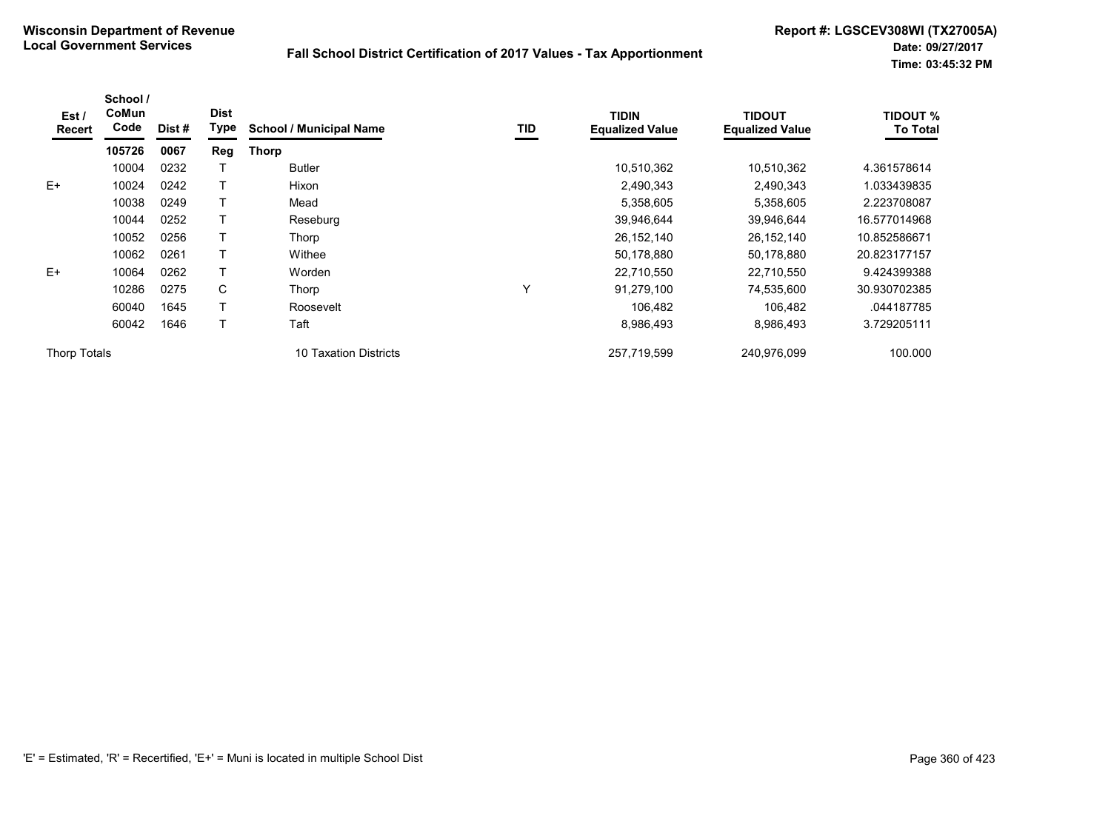| Est /<br>Recert | School /<br>CoMun<br>Code | Dist # | <b>Dist</b><br><b>Type</b> | <b>School / Municipal Name</b> | TID | <b>TIDIN</b><br><b>Equalized Value</b> | <b>TIDOUT</b><br><b>Equalized Value</b> | <b>TIDOUT %</b><br><b>To Total</b> |
|-----------------|---------------------------|--------|----------------------------|--------------------------------|-----|----------------------------------------|-----------------------------------------|------------------------------------|
|                 | 105726                    | 0067   | Reg                        | Thorp                          |     |                                        |                                         |                                    |
|                 | 10004                     | 0232   |                            | <b>Butler</b>                  |     | 10,510,362                             | 10,510,362                              | 4.361578614                        |
| $E+$            | 10024                     | 0242   |                            | Hixon                          |     | 2,490,343                              | 2,490,343                               | 1.033439835                        |
|                 | 10038                     | 0249   |                            | Mead                           |     | 5,358,605                              | 5,358,605                               | 2.223708087                        |
|                 | 10044                     | 0252   |                            | Reseburg                       |     | 39,946,644                             | 39,946,644                              | 16.577014968                       |
|                 | 10052                     | 0256   |                            | Thorp                          |     | 26, 152, 140                           | 26, 152, 140                            | 10.852586671                       |
|                 | 10062                     | 0261   |                            | Withee                         |     | 50,178,880                             | 50,178,880                              | 20.823177157                       |
| $E+$            | 10064                     | 0262   |                            | Worden                         |     | 22,710,550                             | 22,710,550                              | 9.424399388                        |
|                 | 10286                     | 0275   | C                          | Thorp                          | Υ   | 91,279,100                             | 74,535,600                              | 30.930702385                       |
|                 | 60040                     | 1645   |                            | Roosevelt                      |     | 106.482                                | 106,482                                 | .044187785                         |
|                 | 60042                     | 1646   |                            | Taft                           |     | 8,986,493                              | 8,986,493                               | 3.729205111                        |
| Thorp Totals    |                           |        |                            | 10 Taxation Districts          |     | 257,719,599                            | 240,976,099                             | 100.000                            |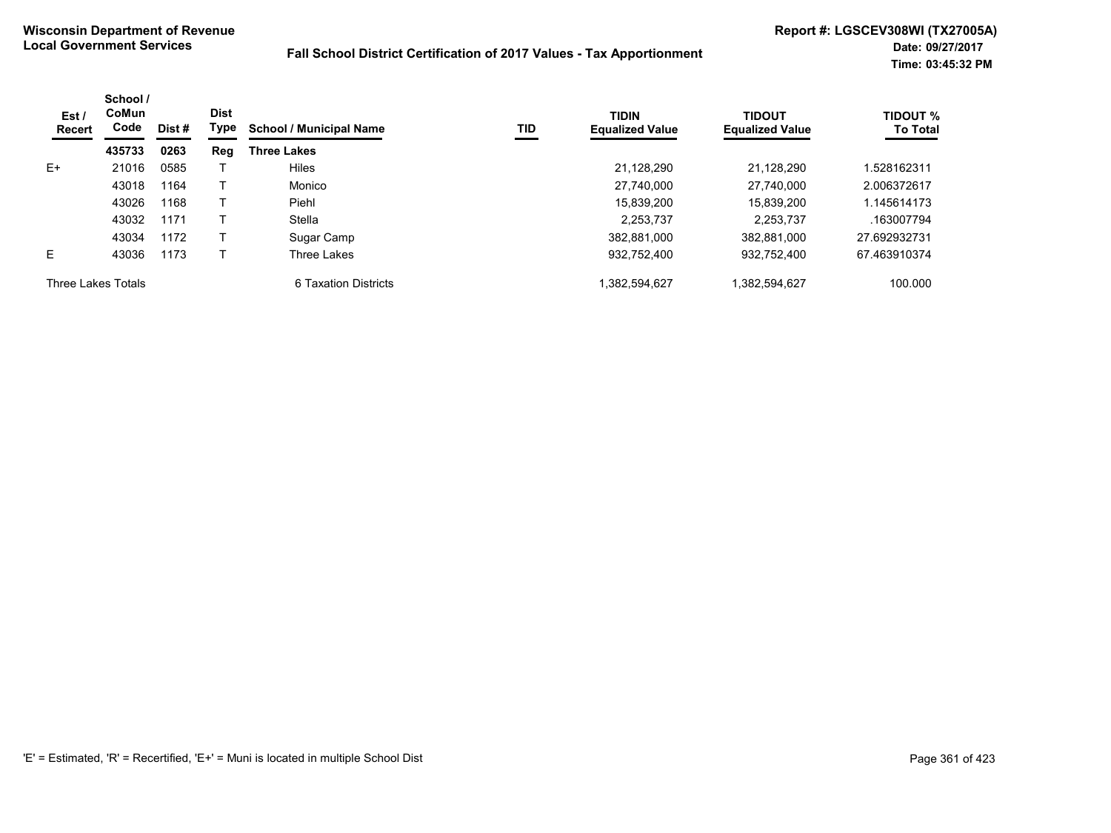| Est/<br>Recert     | School /<br>CoMun<br>Code | Dist # | <b>Dist</b><br>Type | <b>School / Municipal Name</b> | TID | <b>TIDIN</b><br><b>Equalized Value</b> | <b>TIDOUT</b><br><b>Equalized Value</b> | <b>TIDOUT %</b><br><b>To Total</b> |
|--------------------|---------------------------|--------|---------------------|--------------------------------|-----|----------------------------------------|-----------------------------------------|------------------------------------|
|                    | 435733                    | 0263   | Reg                 | <b>Three Lakes</b>             |     |                                        |                                         |                                    |
| E+                 | 21016                     | 0585   |                     | <b>Hiles</b>                   |     | 21.128.290                             | 21.128.290                              | 1.528162311                        |
|                    | 43018                     | 1164   |                     | Monico                         |     | 27.740.000                             | 27.740.000                              | 2.006372617                        |
|                    | 43026                     | 1168   |                     | Piehl                          |     | 15.839.200                             | 15,839,200                              | 1.145614173                        |
|                    | 43032                     | 1171   |                     | Stella                         |     | 2.253.737                              | 2.253.737                               | .163007794                         |
|                    | 43034                     | 1172   |                     | Sugar Camp                     |     | 382.881.000                            | 382.881.000                             | 27.692932731                       |
| E                  | 43036                     | 1173   |                     | Three Lakes                    |     | 932,752,400                            | 932,752,400                             | 67.463910374                       |
| Three Lakes Totals |                           |        |                     | 6 Taxation Districts           |     | .382,594,627                           | 1,382,594,627                           | 100.000                            |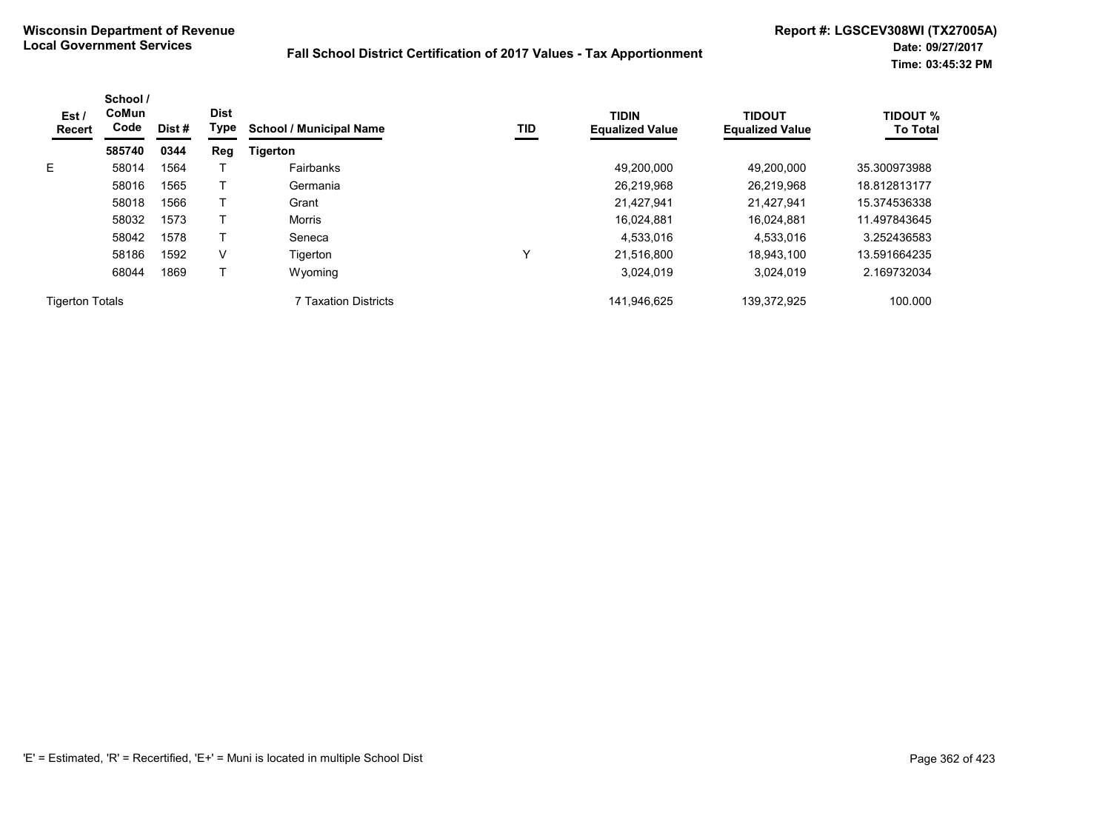| Est/<br><b>Recert</b>  | School /<br>CoMun<br>Code | Dist# | <b>Dist</b><br>Type | <b>School / Municipal Name</b> | TID | <b>TIDIN</b><br><b>Equalized Value</b> | <b>TIDOUT</b><br><b>Equalized Value</b> | <b>TIDOUT %</b><br><b>To Total</b> |
|------------------------|---------------------------|-------|---------------------|--------------------------------|-----|----------------------------------------|-----------------------------------------|------------------------------------|
|                        | 585740                    | 0344  | Reg                 | <b>Tigerton</b>                |     |                                        |                                         |                                    |
| E.                     | 58014                     | 1564  |                     | Fairbanks                      |     | 49.200.000                             | 49.200.000                              | 35.300973988                       |
|                        | 58016                     | 1565  |                     | Germania                       |     | 26,219,968                             | 26,219,968                              | 18.812813177                       |
|                        | 58018                     | 1566  |                     | Grant                          |     | 21.427.941                             | 21.427.941                              | 15.374536338                       |
|                        | 58032                     | 1573  |                     | <b>Morris</b>                  |     | 16,024,881                             | 16.024.881                              | 11.497843645                       |
|                        | 58042                     | 1578  |                     | Seneca                         |     | 4,533,016                              | 4,533,016                               | 3.252436583                        |
|                        | 58186                     | 1592  | V                   | Tigerton                       | ν   | 21,516,800                             | 18,943,100                              | 13.591664235                       |
|                        | 68044                     | 1869  |                     | Wyoming                        |     | 3.024.019                              | 3.024.019                               | 2.169732034                        |
| <b>Tigerton Totals</b> |                           |       |                     | 7 Taxation Districts           |     | 141,946,625                            | 139,372,925                             | 100.000                            |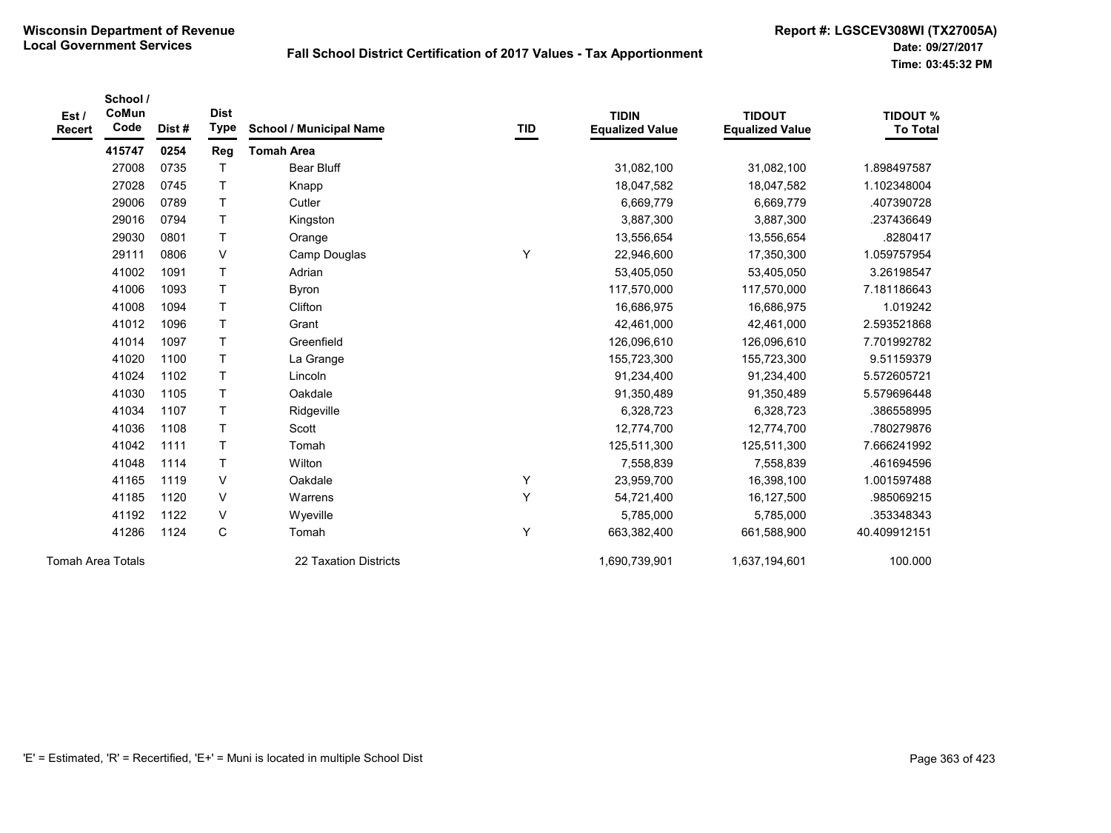|                          | School / |       |              |                                |            |                        |                        |                 |
|--------------------------|----------|-------|--------------|--------------------------------|------------|------------------------|------------------------|-----------------|
| Est/                     | CoMun    |       | <b>Dist</b>  |                                |            | <b>TIDIN</b>           | <b>TIDOUT</b>          | <b>TIDOUT %</b> |
| <b>Recert</b>            | Code     | Dist# | <b>Type</b>  | <b>School / Municipal Name</b> | <b>TID</b> | <b>Equalized Value</b> | <b>Equalized Value</b> | <b>To Total</b> |
|                          | 415747   | 0254  | Reg          | <b>Tomah Area</b>              |            |                        |                        |                 |
|                          | 27008    | 0735  | $\top$       | <b>Bear Bluff</b>              |            | 31,082,100             | 31,082,100             | 1.898497587     |
|                          | 27028    | 0745  | $\mathsf{T}$ | Knapp                          |            | 18,047,582             | 18,047,582             | 1.102348004     |
|                          | 29006    | 0789  | $\mathsf{T}$ | Cutler                         |            | 6,669,779              | 6,669,779              | 407390728       |
|                          | 29016    | 0794  | $\mathsf{T}$ | Kingston                       |            | 3,887,300              | 3,887,300              | .237436649      |
|                          | 29030    | 0801  | $\mathsf{T}$ | Orange                         |            | 13,556,654             | 13,556,654             | .8280417        |
|                          | 29111    | 0806  | $\vee$       | Camp Douglas                   | Υ          | 22,946,600             | 17,350,300             | 1.059757954     |
|                          | 41002    | 1091  | $\mathsf{T}$ | Adrian                         |            | 53,405,050             | 53,405,050             | 3.26198547      |
|                          | 41006    | 1093  | $\mathsf{T}$ | Byron                          |            | 117,570,000            | 117,570,000            | 7.181186643     |
|                          | 41008    | 1094  | $\top$       | Clifton                        |            | 16,686,975             | 16,686,975             | 1.019242        |
|                          | 41012    | 1096  | $\mathsf{T}$ | Grant                          |            | 42,461,000             | 42,461,000             | 2.593521868     |
|                          | 41014    | 1097  | $\mathsf{T}$ | Greenfield                     |            | 126,096,610            | 126,096,610            | 7.701992782     |
|                          | 41020    | 1100  | $\mathsf{T}$ | La Grange                      |            | 155,723,300            | 155,723,300            | 9.51159379      |
|                          | 41024    | 1102  | $\mathsf{T}$ | Lincoln                        |            | 91,234,400             | 91,234,400             | 5.572605721     |
|                          | 41030    | 1105  | $\mathsf T$  | Oakdale                        |            | 91,350,489             | 91,350,489             | 5.579696448     |
|                          | 41034    | 1107  | $\mathsf{T}$ | Ridgeville                     |            | 6,328,723              | 6,328,723              | .386558995      |
|                          | 41036    | 1108  | $\mathsf{T}$ | Scott                          |            | 12,774,700             | 12,774,700             | .780279876      |
|                          | 41042    | 1111  | $\mathsf{T}$ | Tomah                          |            | 125,511,300            | 125,511,300            | 7.666241992     |
|                          | 41048    | 1114  | $\top$       | Wilton                         |            | 7,558,839              | 7,558,839              | .461694596      |
|                          | 41165    | 1119  | V            | Oakdale                        | Υ          | 23,959,700             | 16,398,100             | 1.001597488     |
|                          | 41185    | 1120  | V            | Warrens                        | Y          | 54,721,400             | 16,127,500             | .985069215      |
|                          | 41192    | 1122  | V            | Wyeville                       |            | 5,785,000              | 5,785,000              | .353348343      |
|                          | 41286    | 1124  | $\mathsf{C}$ | Tomah                          | Υ          | 663,382,400            | 661,588,900            | 40.409912151    |
| <b>Tomah Area Totals</b> |          |       |              | 22 Taxation Districts          |            | 1,690,739,901          | 1,637,194,601          | 100.000         |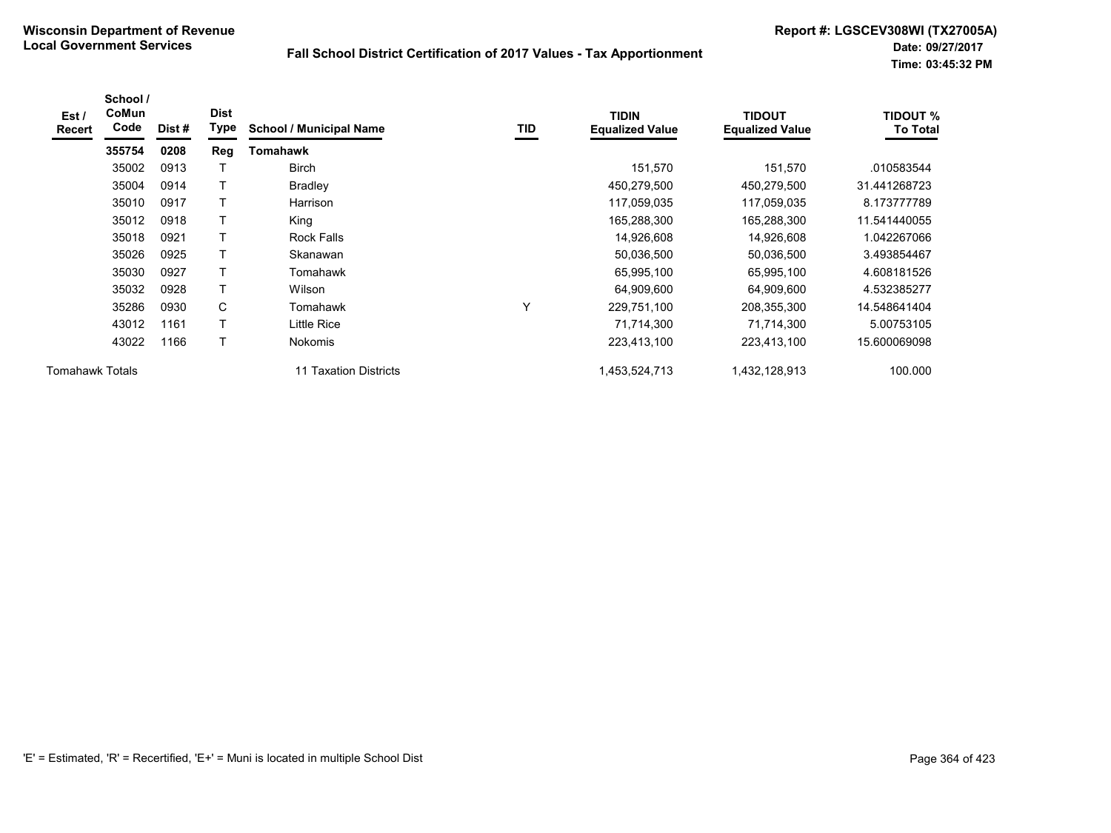| Est /<br>Recert        | School /<br>CoMun<br>Code | Dist# | <b>Dist</b><br>Type | <b>School / Municipal Name</b> | TID | <b>TIDIN</b><br><b>Equalized Value</b> | <b>TIDOUT</b><br><b>Equalized Value</b> | <b>TIDOUT %</b><br><b>To Total</b> |
|------------------------|---------------------------|-------|---------------------|--------------------------------|-----|----------------------------------------|-----------------------------------------|------------------------------------|
|                        | 355754                    | 0208  | Reg                 | Tomahawk                       |     |                                        |                                         |                                    |
|                        | 35002                     | 0913  |                     | <b>Birch</b>                   |     | 151,570                                | 151,570                                 | .010583544                         |
|                        | 35004                     | 0914  |                     | <b>Bradley</b>                 |     | 450,279,500                            | 450,279,500                             | 31.441268723                       |
|                        | 35010                     | 0917  | т                   | Harrison                       |     | 117,059,035                            | 117,059,035                             | 8.173777789                        |
|                        | 35012                     | 0918  |                     | King                           |     | 165,288,300                            | 165,288,300                             | 11.541440055                       |
|                        | 35018                     | 0921  | Τ                   | <b>Rock Falls</b>              |     | 14,926,608                             | 14,926,608                              | 1.042267066                        |
|                        | 35026                     | 0925  | т                   | Skanawan                       |     | 50,036,500                             | 50,036,500                              | 3.493854467                        |
|                        | 35030                     | 0927  | T                   | Tomahawk                       |     | 65,995,100                             | 65,995,100                              | 4.608181526                        |
|                        | 35032                     | 0928  |                     | Wilson                         |     | 64,909,600                             | 64,909,600                              | 4.532385277                        |
|                        | 35286                     | 0930  | C                   | Tomahawk                       | Υ   | 229,751,100                            | 208,355,300                             | 14.548641404                       |
|                        | 43012                     | 1161  | Τ                   | Little Rice                    |     | 71,714,300                             | 71,714,300                              | 5.00753105                         |
|                        | 43022                     | 1166  | T                   | <b>Nokomis</b>                 |     | 223,413,100                            | 223,413,100                             | 15.600069098                       |
| <b>Tomahawk Totals</b> |                           |       |                     | 11 Taxation Districts          |     | 1,453,524,713                          | 1,432,128,913                           | 100.000                            |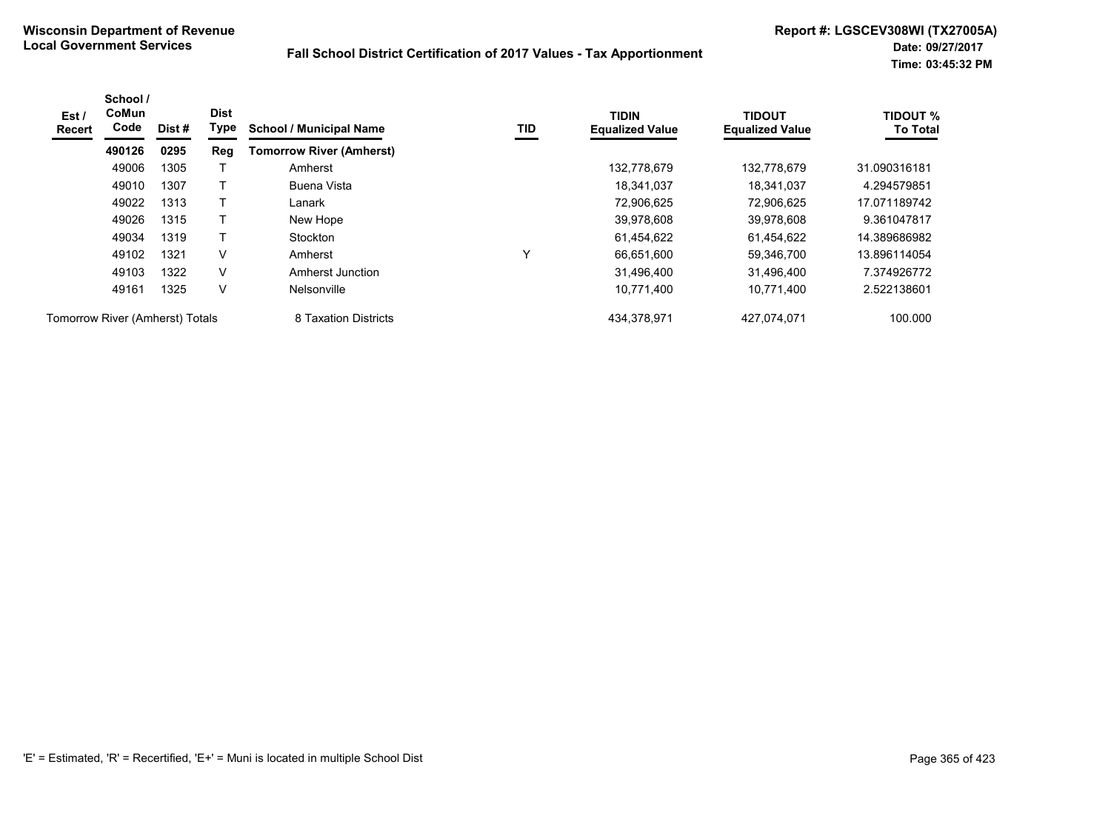| Est /<br>Recert                 | School /<br><b>CoMun</b><br>Code | Dist # | <b>Dist</b><br>Type | <b>School / Municipal Name</b>  | TID          | <b>TIDIN</b><br><b>Equalized Value</b> | <b>TIDOUT</b><br><b>Equalized Value</b> | <b>TIDOUT %</b><br><b>To Total</b> |
|---------------------------------|----------------------------------|--------|---------------------|---------------------------------|--------------|----------------------------------------|-----------------------------------------|------------------------------------|
|                                 | 490126                           | 0295   | Reg                 | <b>Tomorrow River (Amherst)</b> |              |                                        |                                         |                                    |
|                                 | 49006                            | 1305   |                     | Amherst                         |              | 132.778.679                            | 132.778.679                             | 31.090316181                       |
|                                 | 49010                            | 1307   |                     | Buena Vista                     |              | 18.341.037                             | 18.341.037                              | 4.294579851                        |
|                                 | 49022                            | 1313   |                     | Lanark                          |              | 72,906,625                             | 72.906.625                              | 17.071189742                       |
|                                 | 49026                            | 1315   |                     | New Hope                        |              | 39,978,608                             | 39.978.608                              | 9.361047817                        |
|                                 | 49034                            | 1319   |                     | Stockton                        |              | 61,454,622                             | 61.454.622                              | 14.389686982                       |
|                                 | 49102                            | 1321   | V                   | Amherst                         | $\checkmark$ | 66.651.600                             | 59,346,700                              | 13.896114054                       |
|                                 | 49103                            | 1322   | V                   | Amherst Junction                |              | 31,496,400                             | 31,496,400                              | 7.374926772                        |
|                                 | 49161                            | 1325   | $\vee$              | Nelsonville                     |              | 10,771,400                             | 10,771,400                              | 2.522138601                        |
| Tomorrow River (Amherst) Totals |                                  |        |                     | 8 Taxation Districts            |              | 434,378,971                            | 427,074,071                             | 100.000                            |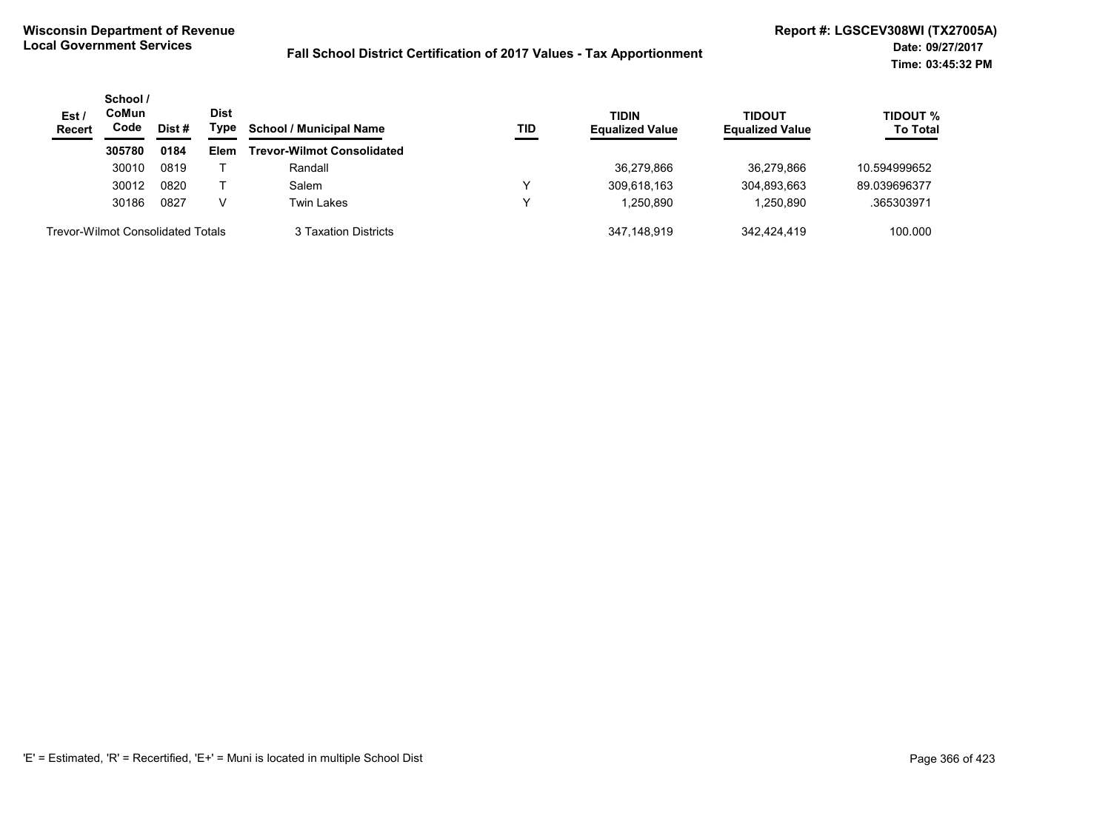| Est/<br><b>Recert</b>                    | School /<br>CoMun<br>Code | Dist# | <b>Dist</b><br>Type | <b>School / Municipal Name</b>    | TID | <b>TIDIN</b><br><b>Equalized Value</b> | TIDOUT<br><b>Equalized Value</b> | TIDOUT %<br><b>To Total</b> |
|------------------------------------------|---------------------------|-------|---------------------|-----------------------------------|-----|----------------------------------------|----------------------------------|-----------------------------|
|                                          | 305780                    | 0184  | Elem                | <b>Trevor-Wilmot Consolidated</b> |     |                                        |                                  |                             |
|                                          | 30010                     | 0819  |                     | Randall                           |     | 36.279.866                             | 36.279.866                       | 10.594999652                |
|                                          | 30012                     | 0820  |                     | Salem                             |     | 309,618,163                            | 304,893,663                      | 89.039696377                |
|                                          | 30186                     | 0827  | V                   | Twin Lakes                        |     | 1.250.890                              | 1.250.890                        | .365303971                  |
| <b>Trevor-Wilmot Consolidated Totals</b> |                           |       |                     | 3 Taxation Districts              |     | 347.148.919                            | 342.424.419                      | 100.000                     |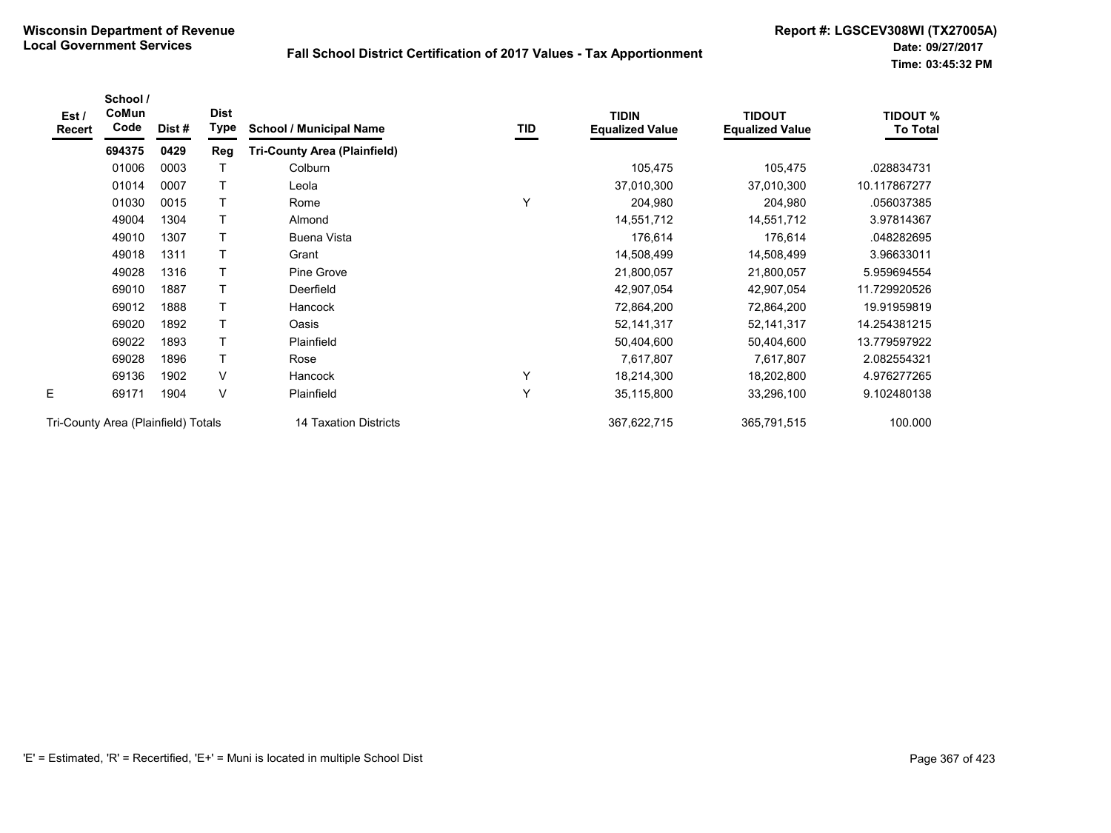| Est /<br>Recert                     | School /<br>CoMun<br>Code | Dist # | <b>Dist</b><br>Type | <b>School / Municipal Name</b>      | TID | <b>TIDIN</b><br><b>Equalized Value</b> | <b>TIDOUT</b><br><b>Equalized Value</b> | <b>TIDOUT %</b><br><b>To Total</b> |
|-------------------------------------|---------------------------|--------|---------------------|-------------------------------------|-----|----------------------------------------|-----------------------------------------|------------------------------------|
|                                     | 694375                    | 0429   | Reg                 | <b>Tri-County Area (Plainfield)</b> |     |                                        |                                         |                                    |
|                                     | 01006                     | 0003   |                     | Colburn                             |     | 105,475                                | 105,475                                 | .028834731                         |
|                                     | 01014                     | 0007   |                     | Leola                               |     | 37,010,300                             | 37,010,300                              | 10.117867277                       |
|                                     | 01030                     | 0015   |                     | Rome                                | Υ   | 204,980                                | 204,980                                 | .056037385                         |
|                                     | 49004                     | 1304   |                     | Almond                              |     | 14,551,712                             | 14,551,712                              | 3.97814367                         |
|                                     | 49010                     | 1307   | Τ                   | Buena Vista                         |     | 176,614                                | 176,614                                 | .048282695                         |
|                                     | 49018                     | 1311   |                     | Grant                               |     | 14,508,499                             | 14,508,499                              | 3.96633011                         |
|                                     | 49028                     | 1316   |                     | Pine Grove                          |     | 21,800,057                             | 21,800,057                              | 5.959694554                        |
|                                     | 69010                     | 1887   |                     | Deerfield                           |     | 42,907,054                             | 42,907,054                              | 11.729920526                       |
|                                     | 69012                     | 1888   | т                   | Hancock                             |     | 72,864,200                             | 72,864,200                              | 19.91959819                        |
|                                     | 69020                     | 1892   | T                   | Oasis                               |     | 52, 141, 317                           | 52, 141, 317                            | 14.254381215                       |
|                                     | 69022                     | 1893   |                     | Plainfield                          |     | 50,404,600                             | 50,404,600                              | 13.779597922                       |
|                                     | 69028                     | 1896   |                     | Rose                                |     | 7,617,807                              | 7,617,807                               | 2.082554321                        |
|                                     | 69136                     | 1902   | V                   | Hancock                             | Y   | 18,214,300                             | 18,202,800                              | 4.976277265                        |
| E                                   | 69171                     | 1904   | V                   | Plainfield                          | Y   | 35,115,800                             | 33,296,100                              | 9.102480138                        |
| Tri-County Area (Plainfield) Totals |                           |        |                     | 14 Taxation Districts               |     | 367,622,715                            | 365,791,515                             | 100.000                            |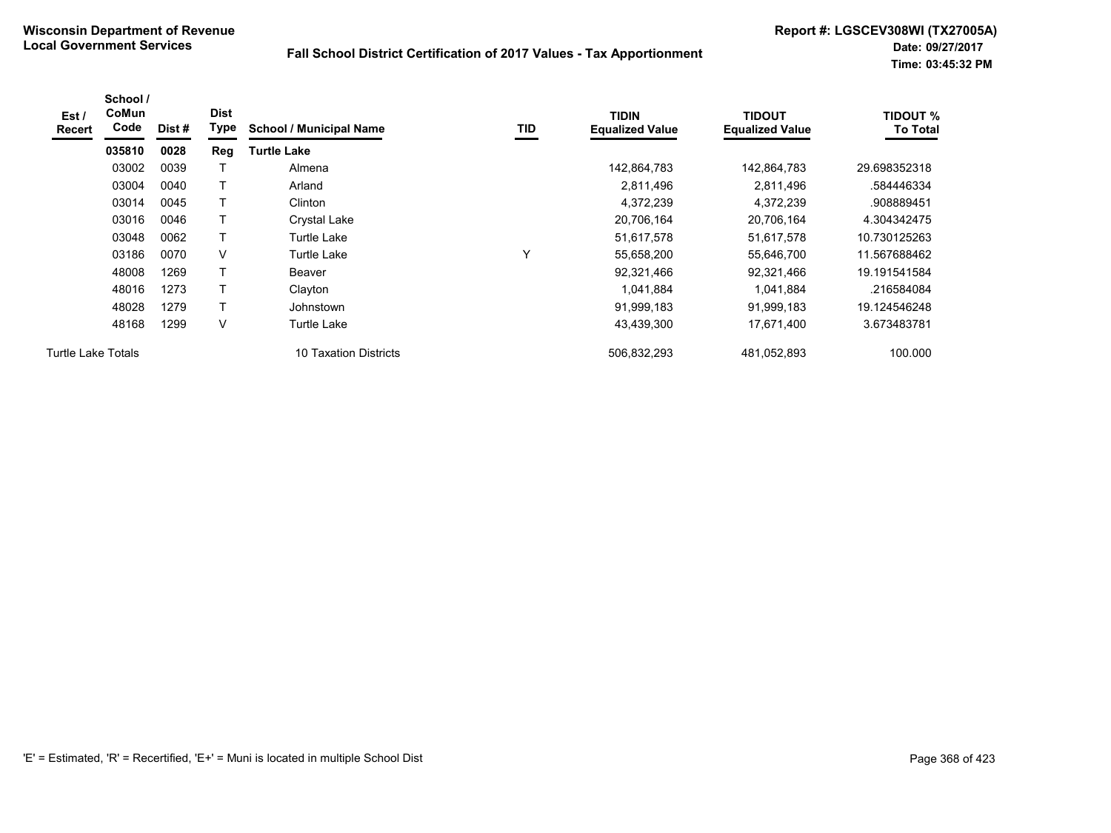| Est /<br><b>Recert</b>    | School /<br><b>CoMun</b><br>Code | Dist # | <b>Dist</b><br>Type | <b>School / Municipal Name</b> | TID          | <b>TIDIN</b><br><b>Equalized Value</b> | TIDOUT<br><b>Equalized Value</b> | TIDOUT %<br><b>To Total</b> |
|---------------------------|----------------------------------|--------|---------------------|--------------------------------|--------------|----------------------------------------|----------------------------------|-----------------------------|
|                           | 035810                           | 0028   | Reg                 | <b>Turtle Lake</b>             |              |                                        |                                  |                             |
|                           | 03002                            | 0039   |                     | Almena                         |              | 142,864,783                            | 142,864,783                      | 29.698352318                |
|                           | 03004                            | 0040   |                     | Arland                         |              | 2,811,496                              | 2,811,496                        | .584446334                  |
|                           | 03014                            | 0045   |                     | Clinton                        |              | 4,372,239                              | 4,372,239                        | .908889451                  |
|                           | 03016                            | 0046   |                     | Crystal Lake                   |              | 20,706,164                             | 20,706,164                       | 4.304342475                 |
|                           | 03048                            | 0062   |                     | Turtle Lake                    |              | 51,617,578                             | 51,617,578                       | 10.730125263                |
|                           | 03186                            | 0070   | V                   | Turtle Lake                    | $\checkmark$ | 55,658,200                             | 55,646,700                       | 11.567688462                |
|                           | 48008                            | 1269   |                     | Beaver                         |              | 92,321,466                             | 92,321,466                       | 19.191541584                |
|                           | 48016                            | 1273   |                     | Clayton                        |              | 1,041,884                              | 1,041,884                        | .216584084                  |
|                           | 48028                            | 1279   | $\mathsf{T}$        | Johnstown                      |              | 91,999,183                             | 91,999,183                       | 19.124546248                |
|                           | 48168                            | 1299   | V                   | Turtle Lake                    |              | 43,439,300                             | 17,671,400                       | 3.673483781                 |
| <b>Turtle Lake Totals</b> |                                  |        |                     | 10 Taxation Districts          |              | 506,832,293                            | 481,052,893                      | 100.000                     |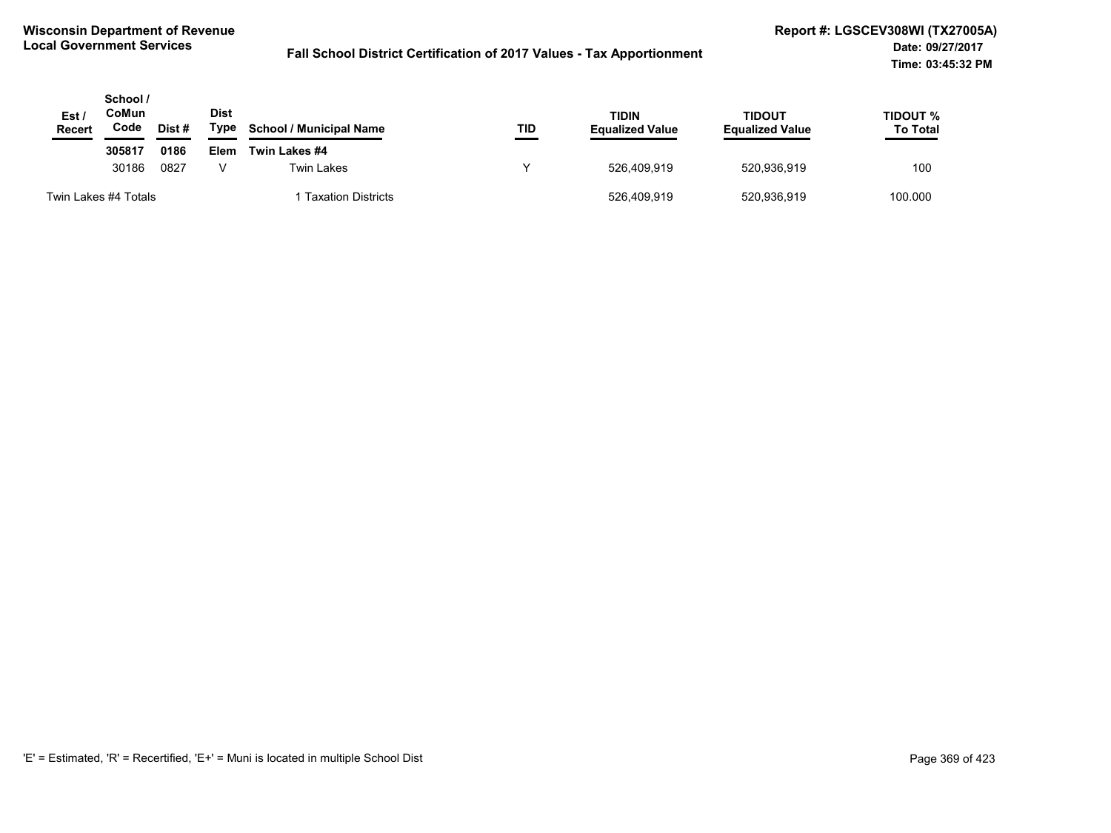| Est/<br><b>Recert</b> | School /<br>CoMun<br>Code<br>Dist # |      | Dist<br>Type | <b>School / Municipal Name</b> | TID | <b>TIDIN</b><br><b>Equalized Value</b> | <b>TIDOUT</b><br><b>Equalized Value</b> | TIDOUT %<br><b>To Total</b> |
|-----------------------|-------------------------------------|------|--------------|--------------------------------|-----|----------------------------------------|-----------------------------------------|-----------------------------|
|                       | 305817                              | 0186 | Elem         | Twin Lakes #4                  |     |                                        |                                         |                             |
|                       | 30186                               | 0827 |              | <b>Twin Lakes</b>              |     | 526.409.919                            | 520,936,919                             | 100                         |
|                       | Twin Lakes #4 Totals                |      |              | <b>Taxation Districts</b>      |     | 526.409.919                            | 520,936,919                             | 100.000                     |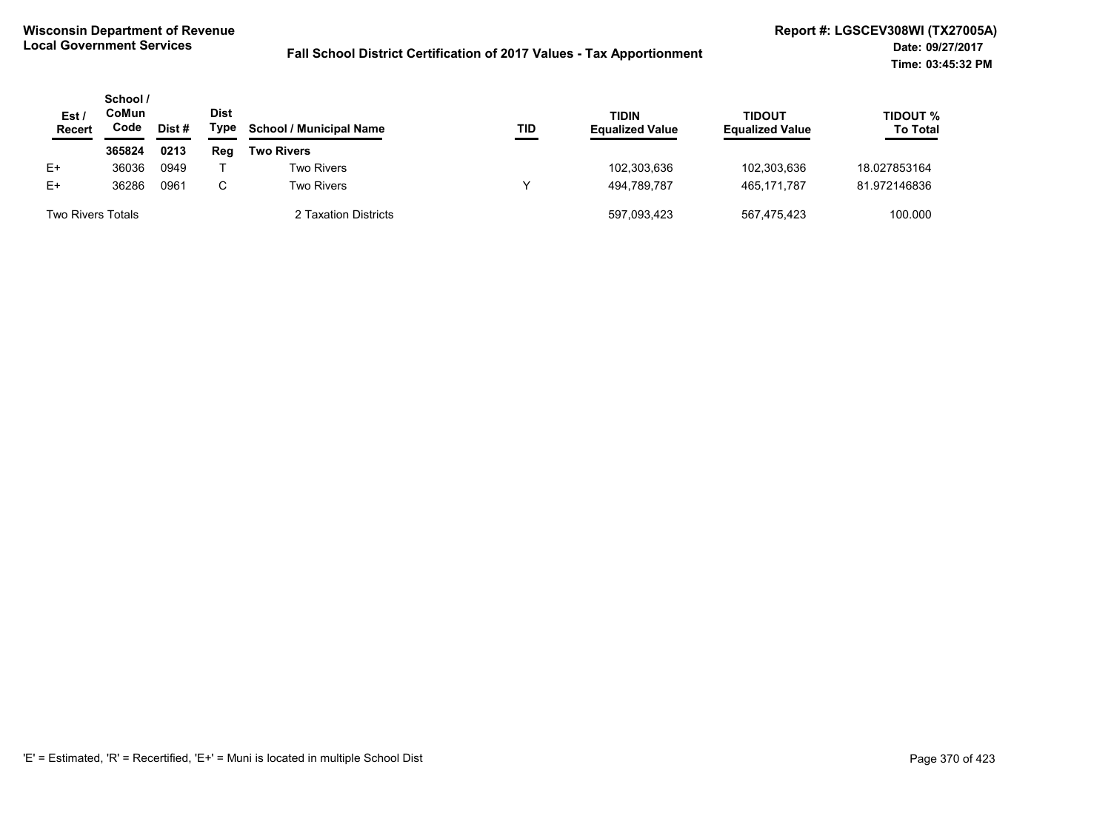| Est/<br>Recert           | School /<br>CoMun<br>Code | Dist # | <b>Dist</b><br>Type | <b>School / Municipal Name</b> | TID | <b>TIDIN</b><br><b>Equalized Value</b> | TIDOUT<br><b>Equalized Value</b> | TIDOUT %<br><b>To Total</b> |
|--------------------------|---------------------------|--------|---------------------|--------------------------------|-----|----------------------------------------|----------------------------------|-----------------------------|
|                          | 365824                    | 0213   | Rea                 | <b>Two Rivers</b>              |     |                                        |                                  |                             |
| E+                       | 36036                     | 0949   |                     | <b>Two Rivers</b>              |     | 102,303,636                            | 102,303,636                      | 18.027853164                |
| $E+$                     | 36286                     | 0961   | C.                  | <b>Two Rivers</b>              | v   | 494.789.787                            | 465.171.787                      | 81.972146836                |
| <b>Two Rivers Totals</b> |                           |        |                     | 2 Taxation Districts           |     | 597,093,423                            | 567.475.423                      | 100.000                     |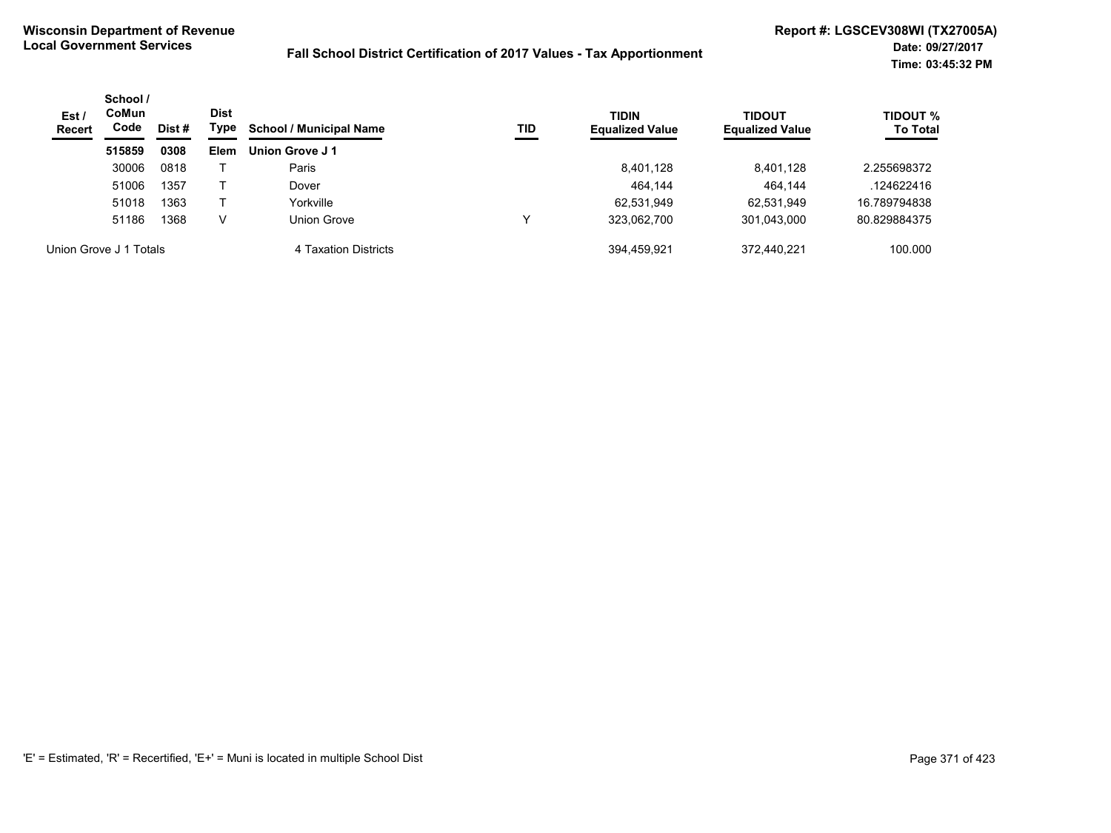| Est /<br><b>Recert</b> | School /<br><b>CoMun</b><br>Code<br>Dist # | Dist<br>Type | <b>School / Municipal Name</b><br>TID | <b>TIDIN</b><br><b>Equalized Value</b> | TIDOUT<br><b>Equalized Value</b> | <b>TIDOUT %</b><br><b>To Total</b> |             |              |
|------------------------|--------------------------------------------|--------------|---------------------------------------|----------------------------------------|----------------------------------|------------------------------------|-------------|--------------|
|                        | 515859                                     | 0308         | <b>Elem</b>                           | Union Grove J 1                        |                                  |                                    |             |              |
|                        | 30006                                      | 0818         |                                       | Paris                                  |                                  | 8,401,128                          | 8,401,128   | 2.255698372  |
|                        | 51006                                      | 1357         |                                       | Dover                                  |                                  | 464.144                            | 464.144     | .124622416   |
|                        | 51018                                      | 1363         |                                       | Yorkville                              |                                  | 62,531,949                         | 62.531.949  | 16.789794838 |
|                        | 51186                                      | 1368         | v                                     | Union Grove                            |                                  | 323,062,700                        | 301,043,000 | 80.829884375 |
|                        | Union Grove J 1 Totals                     |              |                                       | 4 Taxation Districts                   |                                  | 394.459.921                        | 372.440.221 | 100.000      |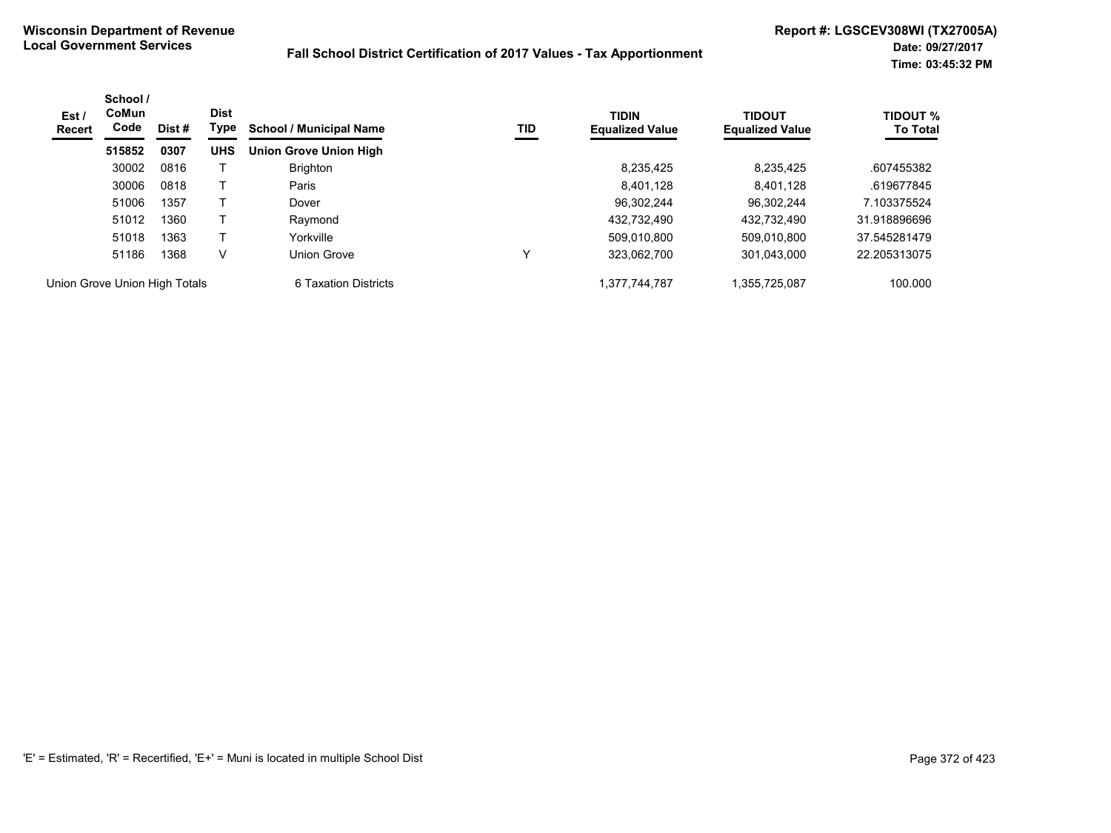| Est /<br>Recert               | School /<br>CoMun<br>Code | Dist # | <b>Dist</b><br>Type | <b>School / Municipal Name</b> | TID | <b>TIDIN</b><br><b>Equalized Value</b> | <b>TIDOUT</b><br><b>Equalized Value</b> | <b>TIDOUT %</b><br><b>To Total</b> |
|-------------------------------|---------------------------|--------|---------------------|--------------------------------|-----|----------------------------------------|-----------------------------------------|------------------------------------|
|                               | 515852                    | 0307   | <b>UHS</b>          | <b>Union Grove Union High</b>  |     |                                        |                                         |                                    |
|                               | 30002                     | 0816   |                     | <b>Brighton</b>                |     | 8,235,425                              | 8,235,425                               | .607455382                         |
|                               | 30006                     | 0818   |                     | Paris                          |     | 8.401.128                              | 8,401,128                               | .619677845                         |
|                               | 51006                     | 1357   |                     | Dover                          |     | 96.302.244                             | 96.302.244                              | 7.103375524                        |
|                               | 51012                     | 1360   |                     | Raymond                        |     | 432.732.490                            | 432.732.490                             | 31.918896696                       |
|                               | 51018                     | 1363   |                     | Yorkville                      |     | 509.010.800                            | 509,010,800                             | 37.545281479                       |
|                               | 51186                     | 1368   | V                   | Union Grove                    | v   | 323,062,700                            | 301,043,000                             | 22.205313075                       |
| Union Grove Union High Totals |                           |        |                     | 6 Taxation Districts           |     | 1.377.744.787                          | .355.725.087                            | 100.000                            |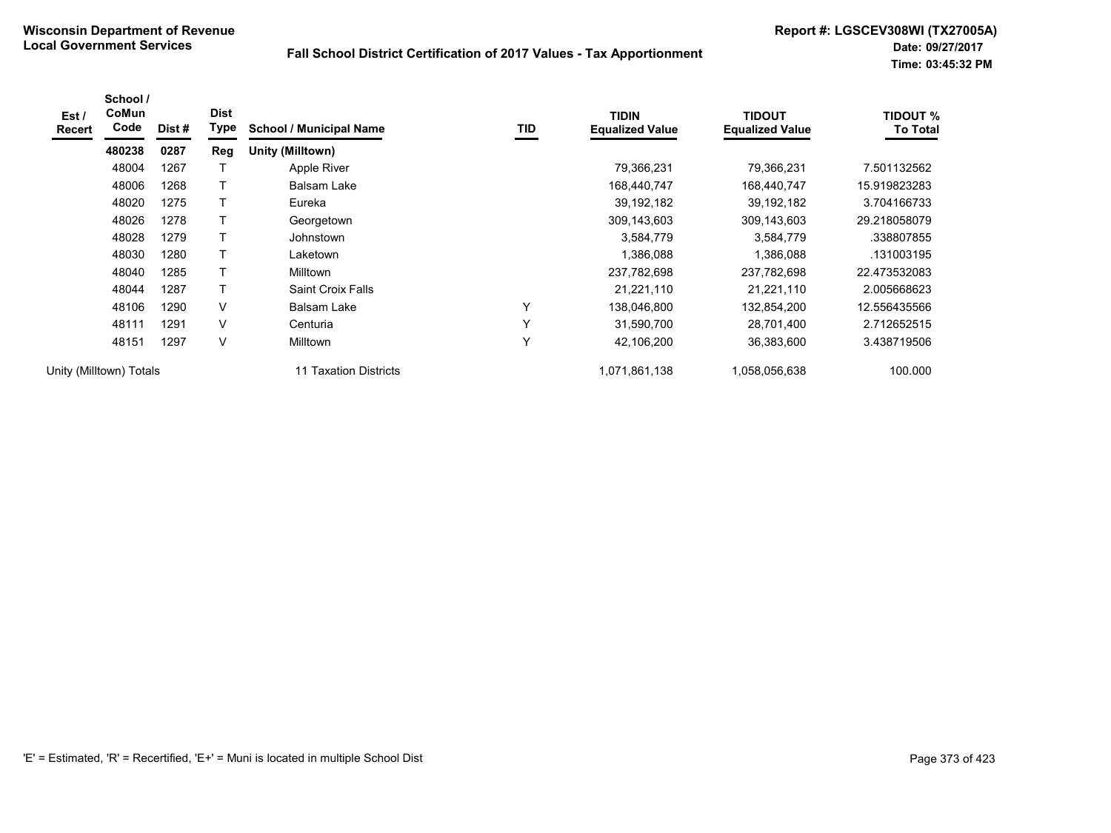| Est /<br><b>Recert</b> | School /<br>CoMun<br>Code | Dist# | <b>Dist</b><br>Type | <b>School / Municipal Name</b> | TID          | <b>TIDIN</b><br><b>Equalized Value</b> | <b>TIDOUT</b><br><b>Equalized Value</b> | <b>TIDOUT %</b><br><b>To Total</b> |
|------------------------|---------------------------|-------|---------------------|--------------------------------|--------------|----------------------------------------|-----------------------------------------|------------------------------------|
|                        | 480238                    | 0287  | Reg                 | Unity (Milltown)               |              |                                        |                                         |                                    |
|                        | 48004                     | 1267  |                     | Apple River                    |              | 79,366,231                             | 79,366,231                              | 7.501132562                        |
|                        | 48006                     | 1268  |                     | Balsam Lake                    |              | 168,440,747                            | 168,440,747                             | 15.919823283                       |
|                        | 48020                     | 1275  |                     | Eureka                         |              | 39, 192, 182                           | 39, 192, 182                            | 3.704166733                        |
|                        | 48026                     | 1278  |                     | Georgetown                     |              | 309,143,603                            | 309,143,603                             | 29.218058079                       |
|                        | 48028                     | 1279  |                     | Johnstown                      |              | 3,584,779                              | 3,584,779                               | .338807855                         |
|                        | 48030                     | 1280  | т                   | Laketown                       |              | 1,386,088                              | 1,386,088                               | .131003195                         |
|                        | 48040                     | 1285  | т                   | <b>Milltown</b>                |              | 237,782,698                            | 237,782,698                             | 22.473532083                       |
|                        | 48044                     | 1287  |                     | Saint Croix Falls              |              | 21,221,110                             | 21,221,110                              | 2.005668623                        |
|                        | 48106                     | 1290  | V                   | Balsam Lake                    | Υ            | 138,046,800                            | 132,854,200                             | 12.556435566                       |
|                        | 48111                     | 1291  | V                   | Centuria                       | $\checkmark$ | 31,590,700                             | 28,701,400                              | 2.712652515                        |
|                        | 48151                     | 1297  | V                   | <b>Milltown</b>                | Υ            | 42,106,200                             | 36,383,600                              | 3.438719506                        |
|                        | Unity (Milltown) Totals   |       |                     | 11 Taxation Districts          |              | 1,071,861,138                          | 1,058,056,638                           | 100.000                            |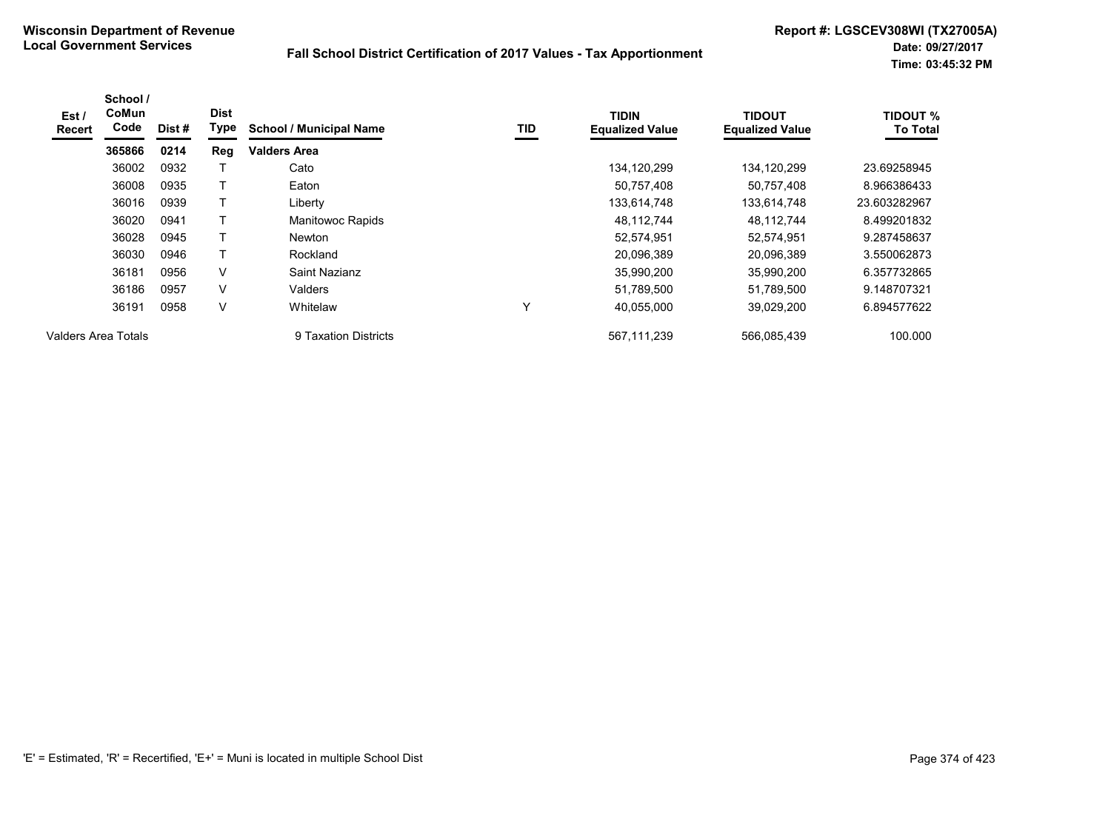| Est/<br><b>Recert</b> | School /<br>CoMun<br>Code | Dist# | <b>Dist</b><br>Type | <b>School / Municipal Name</b> | TID | <b>TIDIN</b><br><b>Equalized Value</b> | <b>TIDOUT</b><br><b>Equalized Value</b> | <b>TIDOUT %</b><br><b>To Total</b> |
|-----------------------|---------------------------|-------|---------------------|--------------------------------|-----|----------------------------------------|-----------------------------------------|------------------------------------|
|                       | 365866                    | 0214  | Reg                 | <b>Valders Area</b>            |     |                                        |                                         |                                    |
|                       | 36002                     | 0932  |                     | Cato                           |     | 134,120,299                            | 134, 120, 299                           | 23.69258945                        |
|                       | 36008                     | 0935  |                     | Eaton                          |     | 50,757,408                             | 50,757,408                              | 8.966386433                        |
|                       | 36016                     | 0939  | т                   | Liberty                        |     | 133,614,748                            | 133,614,748                             | 23.603282967                       |
|                       | 36020                     | 0941  |                     | Manitowoc Rapids               |     | 48,112,744                             | 48,112,744                              | 8.499201832                        |
|                       | 36028                     | 0945  | T                   | <b>Newton</b>                  |     | 52,574,951                             | 52,574,951                              | 9.287458637                        |
|                       | 36030                     | 0946  | Т                   | Rockland                       |     | 20,096,389                             | 20,096,389                              | 3.550062873                        |
|                       | 36181                     | 0956  | V                   | Saint Nazianz                  |     | 35,990,200                             | 35,990,200                              | 6.357732865                        |
|                       | 36186                     | 0957  | V                   | Valders                        |     | 51,789,500                             | 51,789,500                              | 9.148707321                        |
|                       | 36191                     | 0958  | V                   | Whitelaw                       | Y   | 40,055,000                             | 39,029,200                              | 6.894577622                        |
| Valders Area Totals   |                           |       |                     | 9 Taxation Districts           |     | 567.111.239                            | 566.085.439                             | 100.000                            |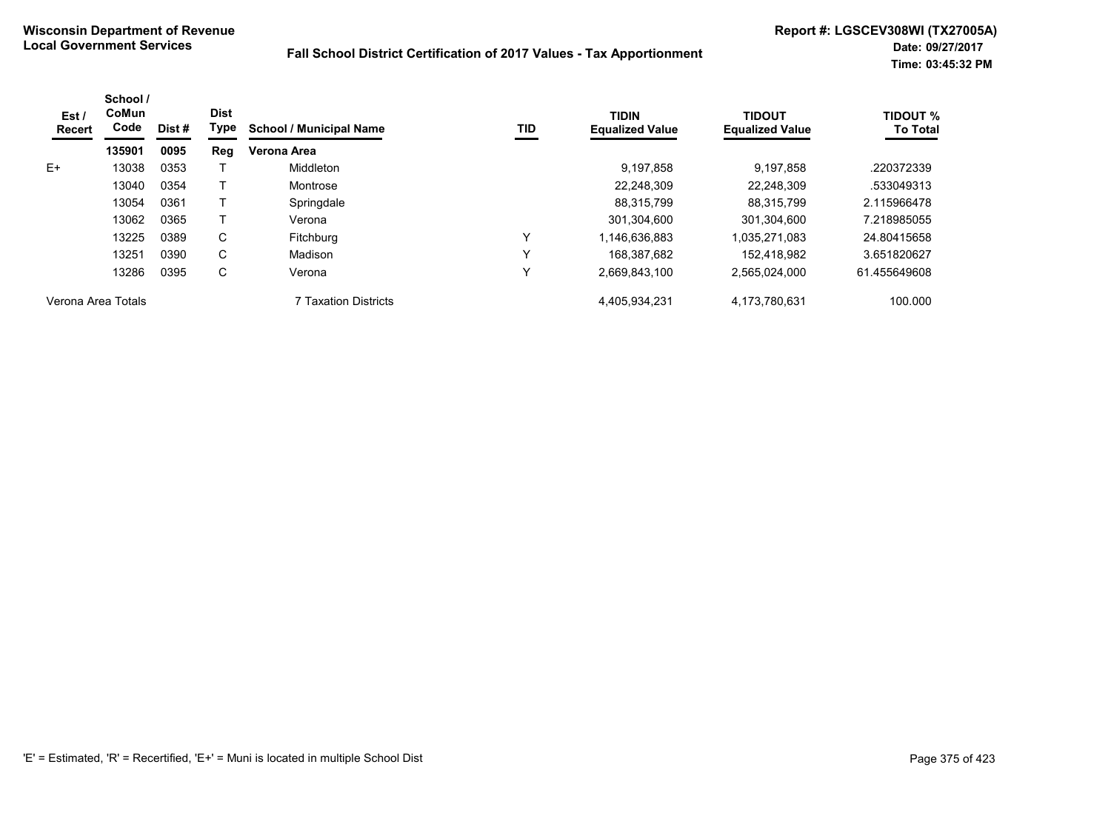| Est/<br><b>Recert</b> | School /<br>CoMun<br>Code | Dist # | <b>Dist</b><br>Type | <b>School / Municipal Name</b> | TID | <b>TIDIN</b><br><b>Equalized Value</b> | <b>TIDOUT</b><br><b>Equalized Value</b> | <b>TIDOUT %</b><br><b>To Total</b> |
|-----------------------|---------------------------|--------|---------------------|--------------------------------|-----|----------------------------------------|-----------------------------------------|------------------------------------|
|                       | 135901                    | 0095   | Reg                 | Verona Area                    |     |                                        |                                         |                                    |
| E+                    | 13038                     | 0353   |                     | Middleton                      |     | 9,197,858                              | 9.197.858                               | .220372339                         |
|                       | 13040                     | 0354   |                     | Montrose                       |     | 22.248.309                             | 22.248.309                              | .533049313                         |
|                       | 13054                     | 0361   |                     | Springdale                     |     | 88,315,799                             | 88.315.799                              | 2.115966478                        |
|                       | 13062                     | 0365   |                     | Verona                         |     | 301.304.600                            | 301.304.600                             | 7.218985055                        |
|                       | 13225                     | 0389   | C                   | Fitchburg                      | Y   | 1,146,636,883                          | 1,035,271,083                           | 24.80415658                        |
|                       | 13251                     | 0390   | C                   | Madison                        | Υ   | 168.387.682                            | 152.418.982                             | 3.651820627                        |
|                       | 13286                     | 0395   | С                   | Verona                         | Y   | 2,669,843,100                          | 2,565,024,000                           | 61.455649608                       |
| Verona Area Totals    |                           |        |                     | 7 Taxation Districts           |     | 4,405,934,231                          | 4,173,780,631                           | 100.000                            |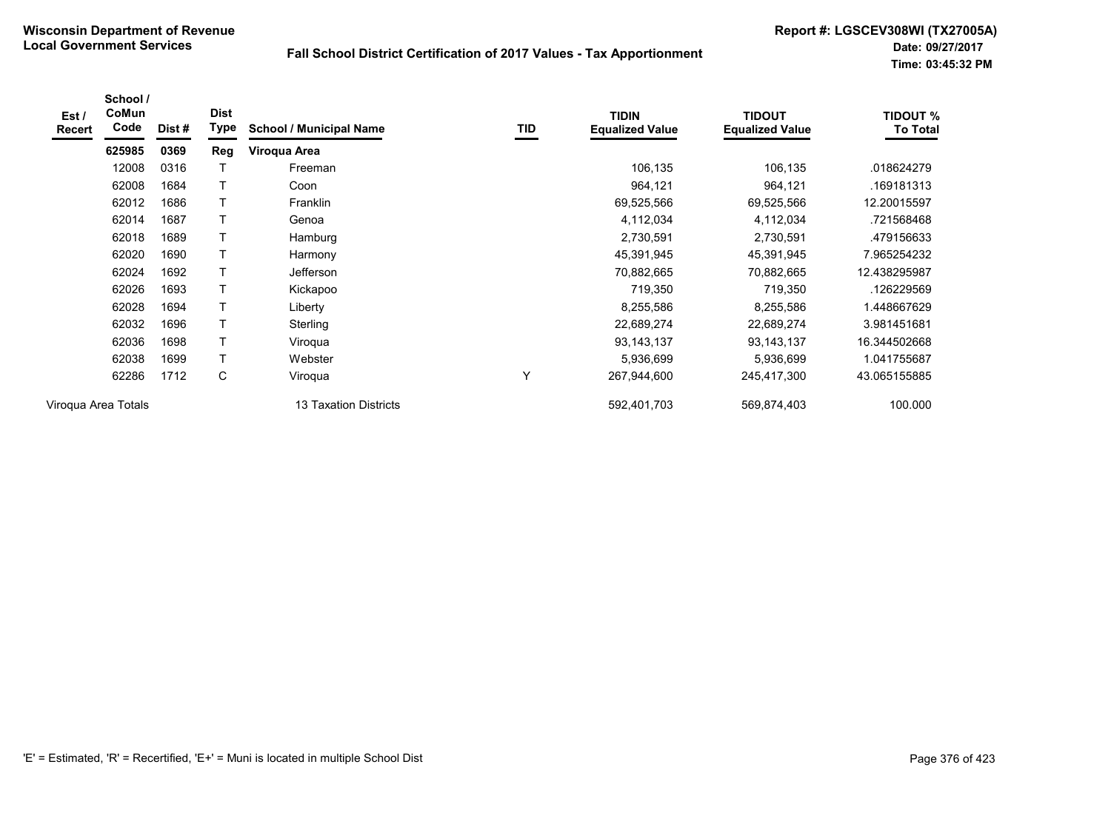| Est /<br>Recert | School /<br>CoMun<br>Code | Dist# | <b>Dist</b><br>Type | <b>School / Municipal Name</b> | TID | <b>TIDIN</b><br><b>Equalized Value</b> | <b>TIDOUT</b><br><b>Equalized Value</b> | <b>TIDOUT %</b><br><b>To Total</b> |
|-----------------|---------------------------|-------|---------------------|--------------------------------|-----|----------------------------------------|-----------------------------------------|------------------------------------|
|                 | 625985                    | 0369  | Reg                 | Viroqua Area                   |     |                                        |                                         |                                    |
|                 | 12008                     | 0316  |                     | Freeman                        |     | 106,135                                | 106,135                                 | .018624279                         |
|                 | 62008                     | 1684  | $\mathsf{T}$        | Coon                           |     | 964,121                                | 964,121                                 | .169181313                         |
|                 | 62012                     | 1686  | $\mathsf T$         | <b>Franklin</b>                |     | 69,525,566                             | 69,525,566                              | 12.20015597                        |
|                 | 62014                     | 1687  | $\mathsf{T}$        | Genoa                          |     | 4,112,034                              | 4,112,034                               | .721568468                         |
|                 | 62018                     | 1689  | $\mathsf T$         | Hamburg                        |     | 2,730,591                              | 2,730,591                               | .479156633                         |
|                 | 62020                     | 1690  | $\mathsf T$         | Harmony                        |     | 45,391,945                             | 45,391,945                              | 7.965254232                        |
|                 | 62024                     | 1692  | T                   | <b>Jefferson</b>               |     | 70,882,665                             | 70,882,665                              | 12.438295987                       |
|                 | 62026                     | 1693  | $\mathsf T$         | Kickapoo                       |     | 719,350                                | 719,350                                 | .126229569                         |
|                 | 62028                     | 1694  | $\mathsf T$         | Liberty                        |     | 8,255,586                              | 8,255,586                               | 1.448667629                        |
|                 | 62032                     | 1696  | $\mathsf T$         | Sterling                       |     | 22,689,274                             | 22,689,274                              | 3.981451681                        |
|                 | 62036                     | 1698  | $\mathsf T$         | Viroqua                        |     | 93, 143, 137                           | 93, 143, 137                            | 16.344502668                       |
|                 | 62038                     | 1699  | T                   | Webster                        |     | 5,936,699                              | 5,936,699                               | 1.041755687                        |
|                 | 62286                     | 1712  | C                   | Viroqua                        | Υ   | 267,944,600                            | 245,417,300                             | 43.065155885                       |
|                 | Virogua Area Totals       |       |                     | 13 Taxation Districts          |     | 592,401,703                            | 569,874,403                             | 100.000                            |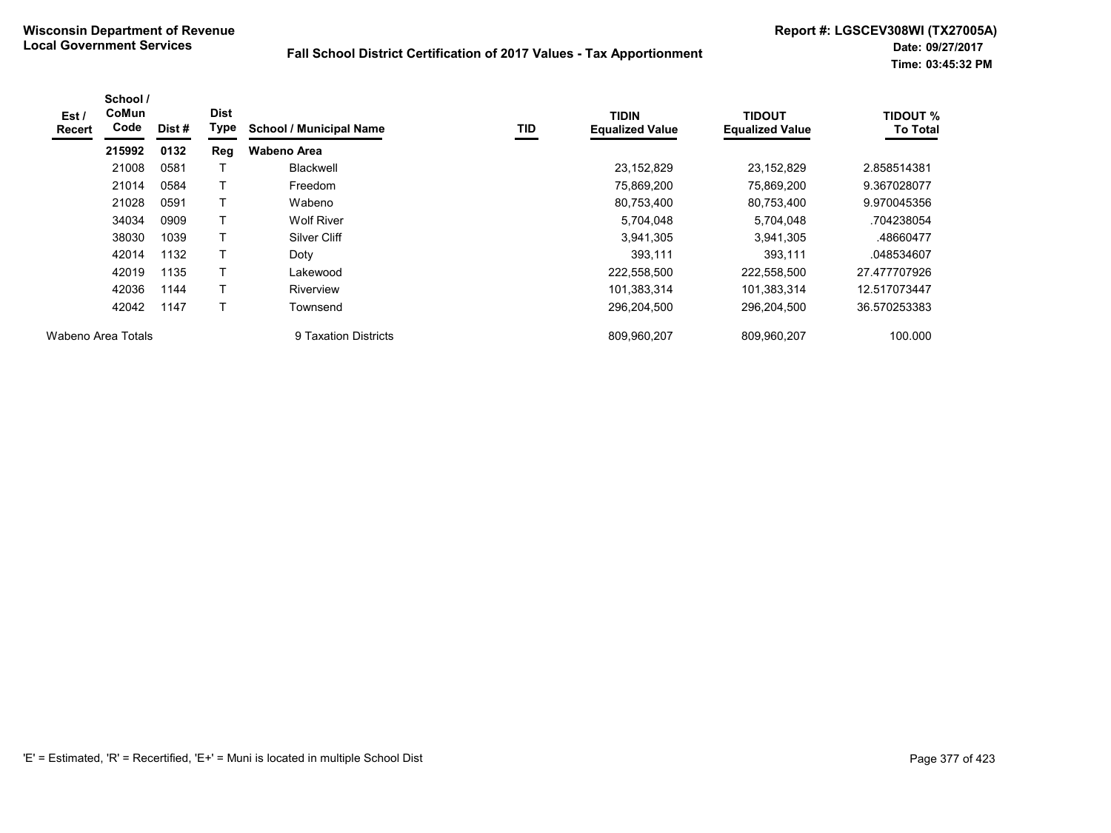| Est/<br>Recert     | School /<br>CoMun<br>Code | Dist # | <b>Dist</b><br>Type | <b>School / Municipal Name</b> | <b>TID</b> | <b>TIDIN</b><br><b>Equalized Value</b> | <b>TIDOUT</b><br><b>Equalized Value</b> | <b>TIDOUT %</b><br><b>To Total</b> |
|--------------------|---------------------------|--------|---------------------|--------------------------------|------------|----------------------------------------|-----------------------------------------|------------------------------------|
|                    | 215992                    | 0132   | Reg                 | Wabeno Area                    |            |                                        |                                         |                                    |
|                    | 21008                     | 0581   |                     | Blackwell                      |            | 23,152,829                             | 23,152,829                              | 2.858514381                        |
|                    | 21014                     | 0584   |                     | Freedom                        |            | 75,869,200                             | 75,869,200                              | 9.367028077                        |
|                    | 21028                     | 0591   | Т                   | Wabeno                         |            | 80,753,400                             | 80,753,400                              | 9.970045356                        |
|                    | 34034                     | 0909   |                     | <b>Wolf River</b>              |            | 5,704,048                              | 5,704,048                               | .704238054                         |
|                    | 38030                     | 1039   | T                   | Silver Cliff                   |            | 3,941,305                              | 3,941,305                               | .48660477                          |
|                    | 42014                     | 1132   |                     | Doty                           |            | 393,111                                | 393,111                                 | .048534607                         |
|                    | 42019                     | 1135   | T                   | Lakewood                       |            | 222,558,500                            | 222,558,500                             | 27.477707926                       |
|                    | 42036                     | 1144   |                     | Riverview                      |            | 101,383,314                            | 101,383,314                             | 12.517073447                       |
|                    | 42042                     | 1147   | Т                   | Townsend                       |            | 296,204,500                            | 296,204,500                             | 36.570253383                       |
| Wabeno Area Totals |                           |        |                     | 9 Taxation Districts           |            | 809,960,207                            | 809,960,207                             | 100.000                            |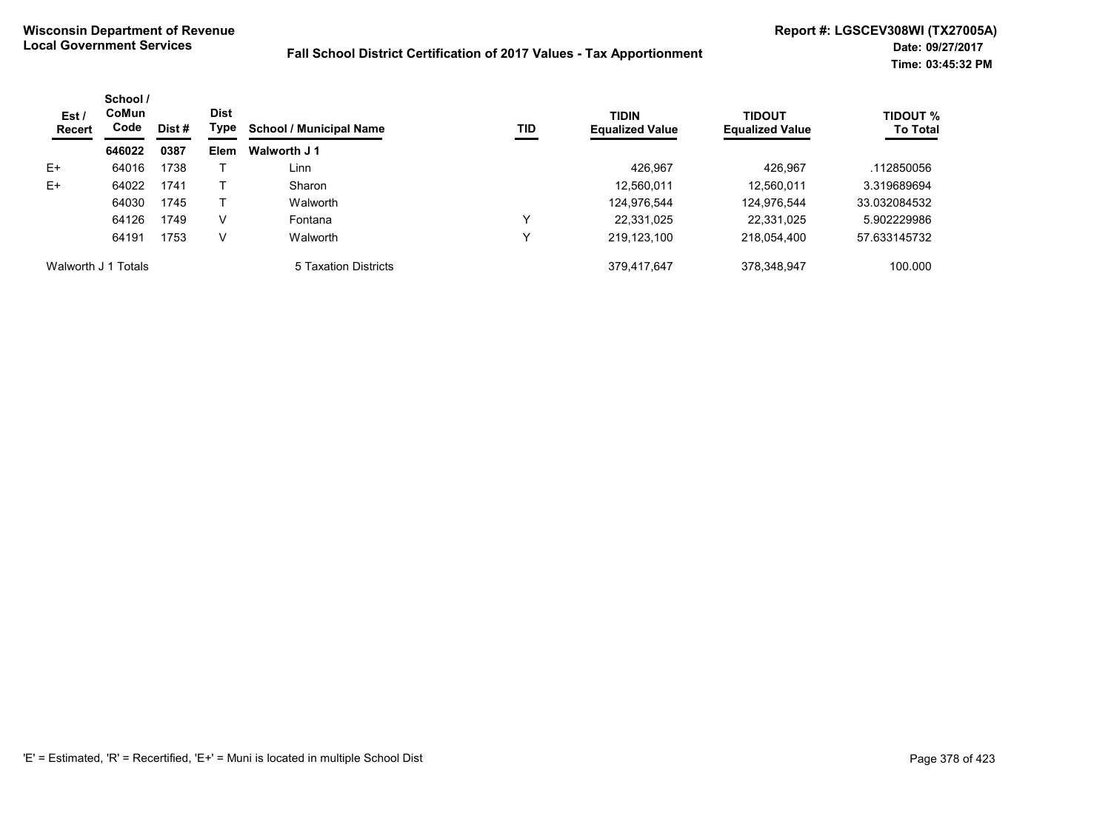| Est /<br><b>Recert</b> | School /<br><b>CoMun</b><br>Code | Dist # | <b>Dist</b><br>Type | <b>School / Municipal Name</b> | <b>TID</b>   | <b>TIDIN</b><br><b>Equalized Value</b> | TIDOUT<br><b>Equalized Value</b> | <b>TIDOUT %</b><br><b>To Total</b> |
|------------------------|----------------------------------|--------|---------------------|--------------------------------|--------------|----------------------------------------|----------------------------------|------------------------------------|
|                        | 646022                           | 0387   | <b>Elem</b>         | Walworth J 1                   |              |                                        |                                  |                                    |
| $E+$                   | 64016                            | 1738   |                     | Linn                           |              | 426.967                                | 426.967                          | .112850056                         |
| $E+$                   | 64022                            | 1741   |                     | Sharon                         |              | 12,560,011                             | 12,560,011                       | 3.319689694                        |
|                        | 64030                            | 1745   |                     | Walworth                       |              | 124,976,544                            | 124,976,544                      | 33.032084532                       |
|                        | 64126                            | 1749   | V                   | Fontana                        | $\checkmark$ | 22,331,025                             | 22,331,025                       | 5.902229986                        |
|                        | 64191                            | 1753   | V                   | Walworth                       | ν            | 219,123,100                            | 218,054,400                      | 57.633145732                       |
| Walworth J 1 Totals    |                                  |        |                     | 5 Taxation Districts           |              | 379.417.647                            | 378.348.947                      | 100.000                            |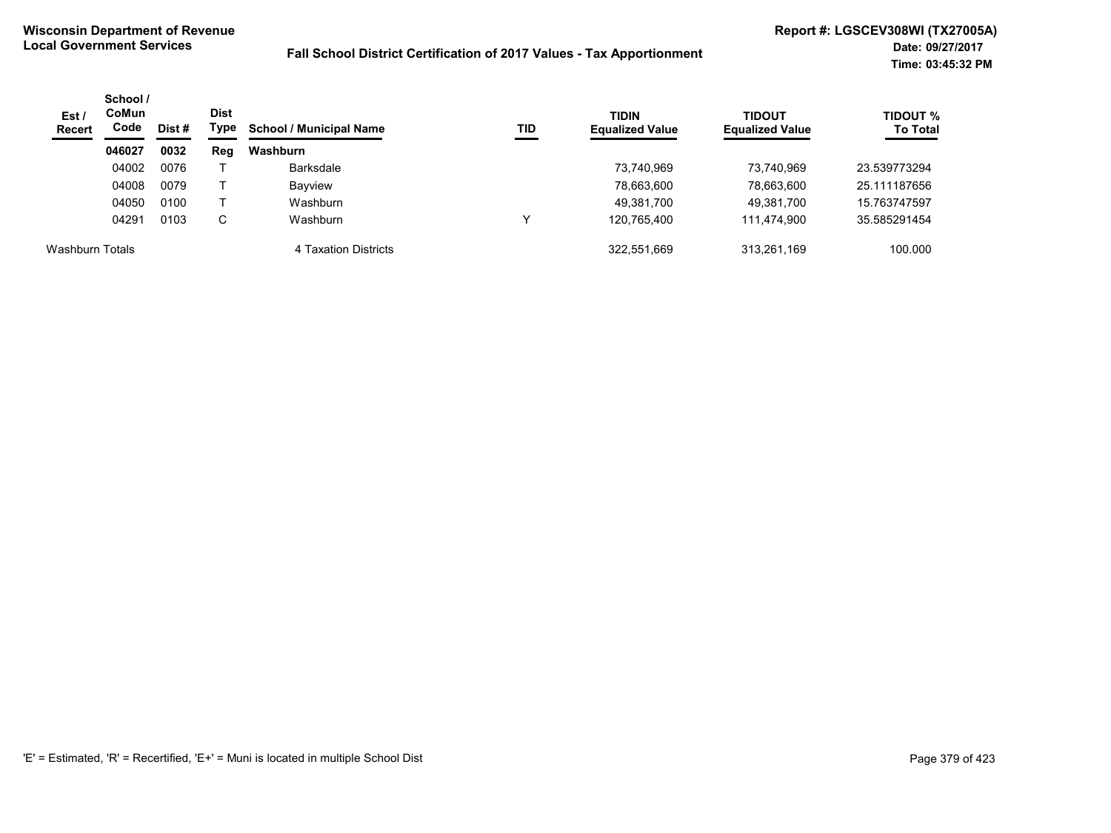| Est/<br><b>Recert</b>  | School /<br>CoMun<br>Code<br>Dist# | Dist<br>Type | <b>School / Municipal Name</b> | TID                  | <b>TIDIN</b><br><b>Equalized Value</b> | <b>TIDOUT</b><br><b>Equalized Value</b> | TIDOUT %<br><b>To Total</b> |              |
|------------------------|------------------------------------|--------------|--------------------------------|----------------------|----------------------------------------|-----------------------------------------|-----------------------------|--------------|
|                        | 046027                             | 0032         | Reg                            | Washburn             |                                        |                                         |                             |              |
|                        | 04002                              | 0076         |                                | <b>Barksdale</b>     |                                        | 73,740,969                              | 73,740,969                  | 23.539773294 |
|                        | 04008                              | 0079         |                                | <b>Bayview</b>       |                                        | 78,663,600                              | 78,663,600                  | 25.111187656 |
|                        | 04050                              | 0100         |                                | Washburn             |                                        | 49,381,700                              | 49,381,700                  | 15.763747597 |
|                        | 04291                              | 0103         | С                              | Washburn             | v                                      | 120.765.400                             | 111.474.900                 | 35.585291454 |
| <b>Washburn Totals</b> |                                    |              |                                | 4 Taxation Districts |                                        | 322,551,669                             | 313,261,169                 | 100.000      |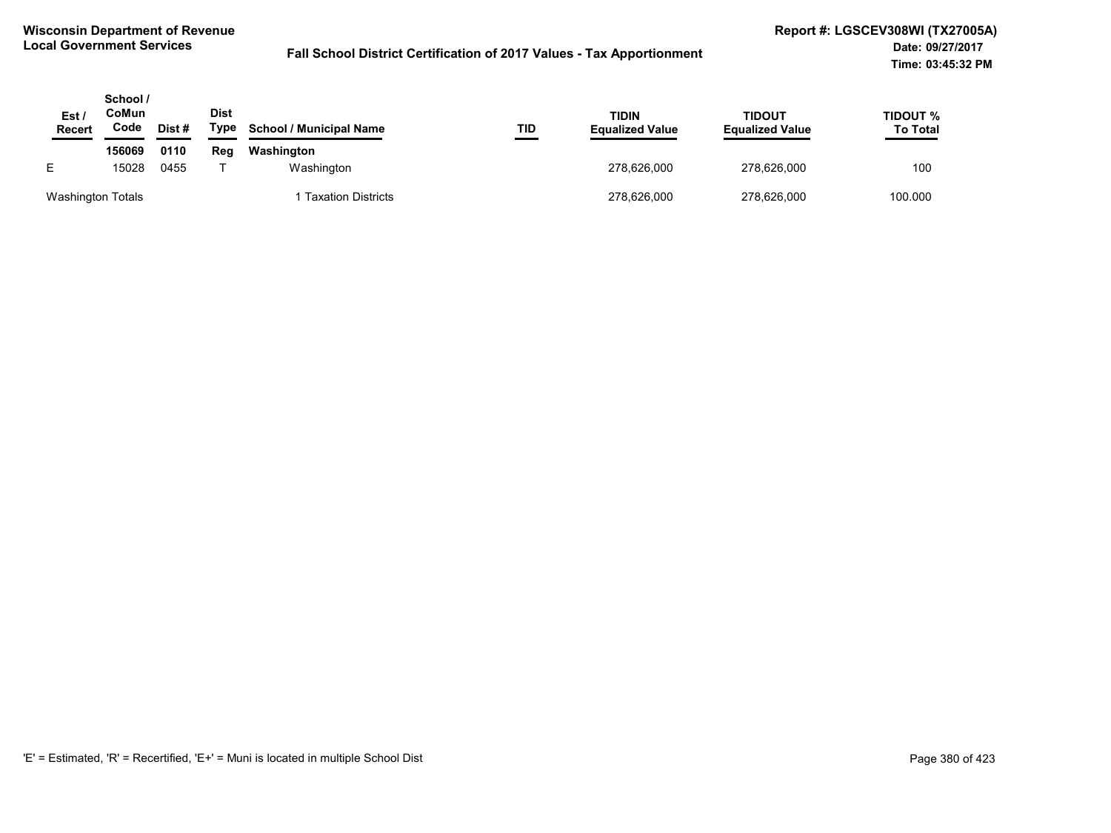| Est,<br><b>Recert</b>    | School /<br>CoMun<br>Code | Dist# | <b>Dist</b><br>Type | <b>School / Municipal Name</b> | TID | TIDIN<br><b>Equalized Value</b> | <b>TIDOUT</b><br><b>Equalized Value</b> | TIDOUT %<br><b>To Total</b> |
|--------------------------|---------------------------|-------|---------------------|--------------------------------|-----|---------------------------------|-----------------------------------------|-----------------------------|
|                          | 156069                    | 0110  | Reg                 | Washington                     |     |                                 |                                         |                             |
|                          | 15028                     | 0455  |                     | Washington                     |     | 278,626,000                     | 278,626,000                             | 100                         |
| <b>Washington Totals</b> |                           |       |                     | <b>Taxation Districts</b>      |     | 278,626,000                     | 278.626.000                             | 100.000                     |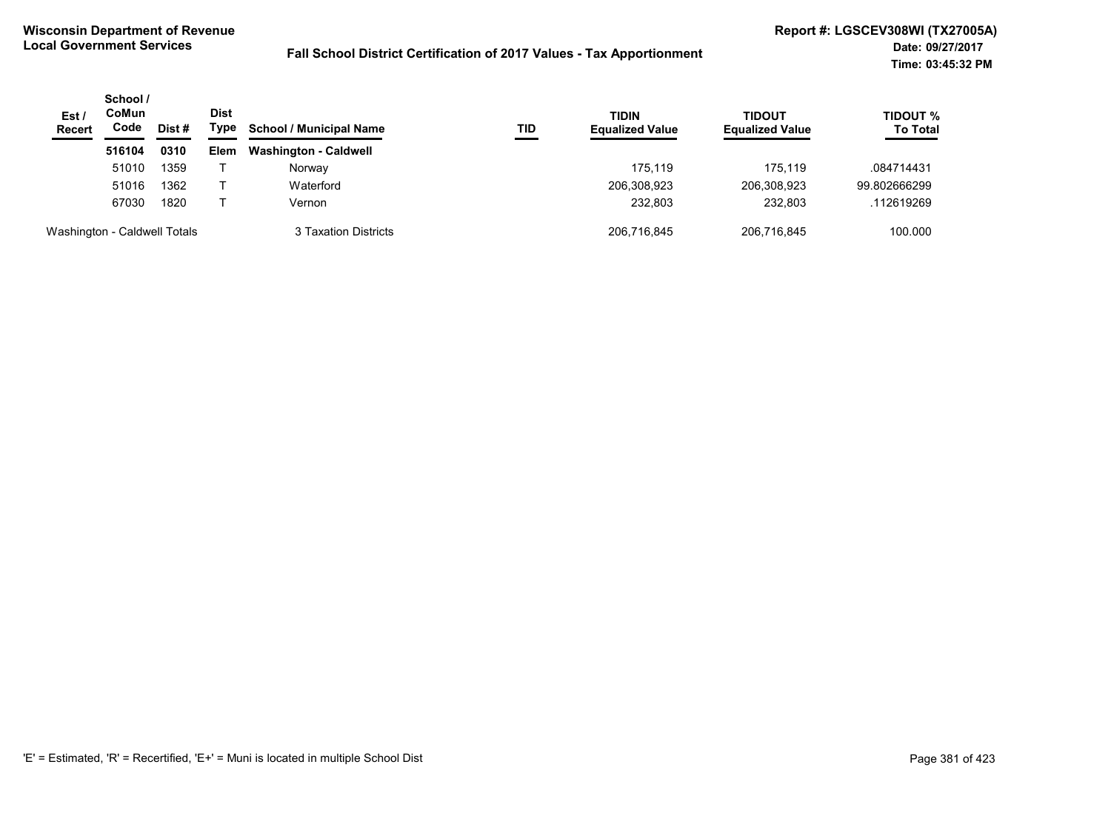| Est/<br><b>Recert</b>        | School /<br>CoMun<br>Code | Dist # | <b>Dist</b><br>Type | <b>School / Municipal Name</b> | TID | <b>TIDIN</b><br><b>Equalized Value</b> | TIDOUT<br><b>Equalized Value</b> | <b>TIDOUT %</b><br><b>To Total</b> |
|------------------------------|---------------------------|--------|---------------------|--------------------------------|-----|----------------------------------------|----------------------------------|------------------------------------|
|                              | 516104                    | 0310   | <b>Elem</b>         | <b>Washington - Caldwell</b>   |     |                                        |                                  |                                    |
|                              | 51010                     | 1359   |                     | Norway                         |     | 175.119                                | 175.119                          | .084714431                         |
|                              | 51016                     | 1362   |                     | Waterford                      |     | 206,308,923                            | 206,308,923                      | 99.802666299                       |
|                              | 67030                     | 1820   |                     | Vernon                         |     | 232.803                                | 232,803                          | .112619269                         |
| Washington - Caldwell Totals |                           |        |                     | 3 Taxation Districts           |     | 206,716,845                            | 206,716,845                      | 100.000                            |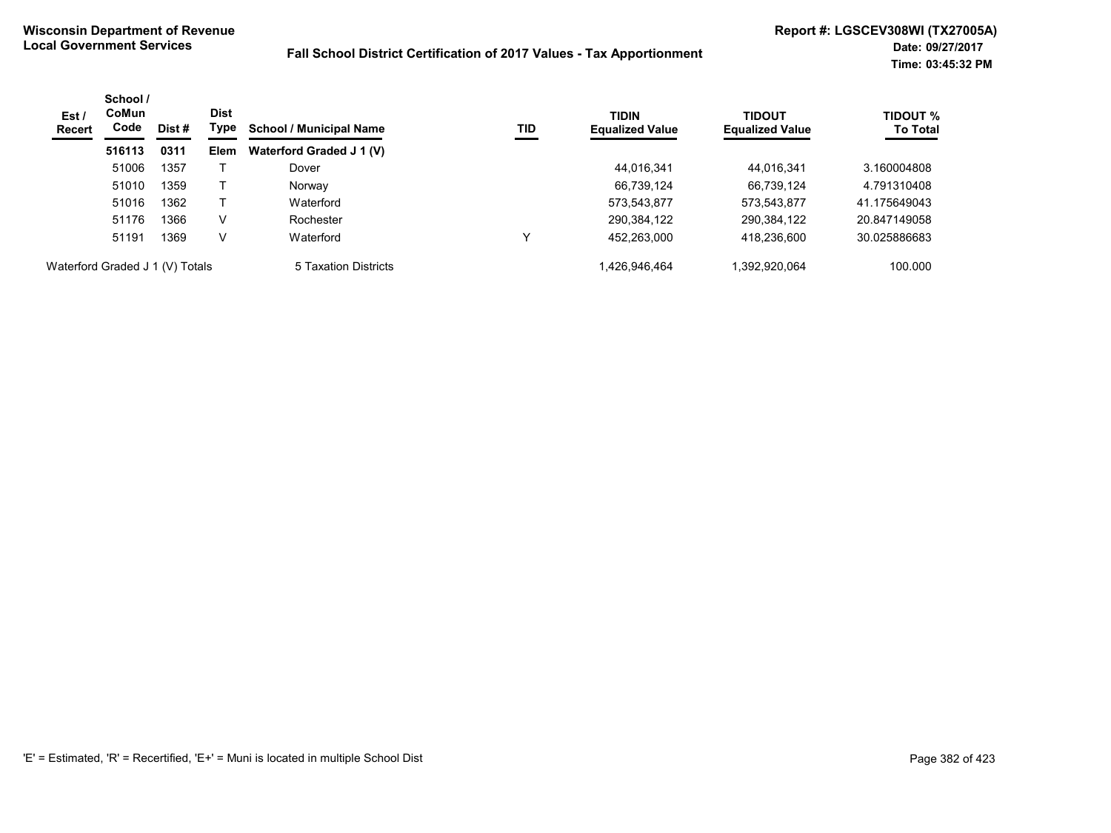| Est/<br>Recert                  | School /<br><b>CoMun</b><br>Code | Dist # | <b>Dist</b><br>Type | <b>School / Municipal Name</b> | TID | <b>TIDIN</b><br><b>Equalized Value</b> | <b>TIDOUT</b><br><b>Equalized Value</b> | <b>TIDOUT %</b><br><b>To Total</b> |
|---------------------------------|----------------------------------|--------|---------------------|--------------------------------|-----|----------------------------------------|-----------------------------------------|------------------------------------|
|                                 | 516113                           | 0311   | Elem                | Waterford Graded J 1 (V)       |     |                                        |                                         |                                    |
|                                 | 51006                            | 1357   |                     | Dover                          |     | 44,016,341                             | 44.016.341                              | 3.160004808                        |
|                                 | 51010                            | 1359   |                     | Norway                         |     | 66,739,124                             | 66,739,124                              | 4.791310408                        |
|                                 | 51016                            | 1362   |                     | Waterford                      |     | 573,543,877                            | 573,543,877                             | 41.175649043                       |
|                                 | 51176                            | 1366   | V                   | Rochester                      |     | 290,384,122                            | 290,384,122                             | 20.847149058                       |
|                                 | 51191                            | 1369   | V                   | Waterford                      | v   | 452,263,000                            | 418,236,600                             | 30.025886683                       |
| Waterford Graded J 1 (V) Totals |                                  |        |                     | 5 Taxation Districts           |     | 1,426,946,464                          | 1.392.920.064                           | 100.000                            |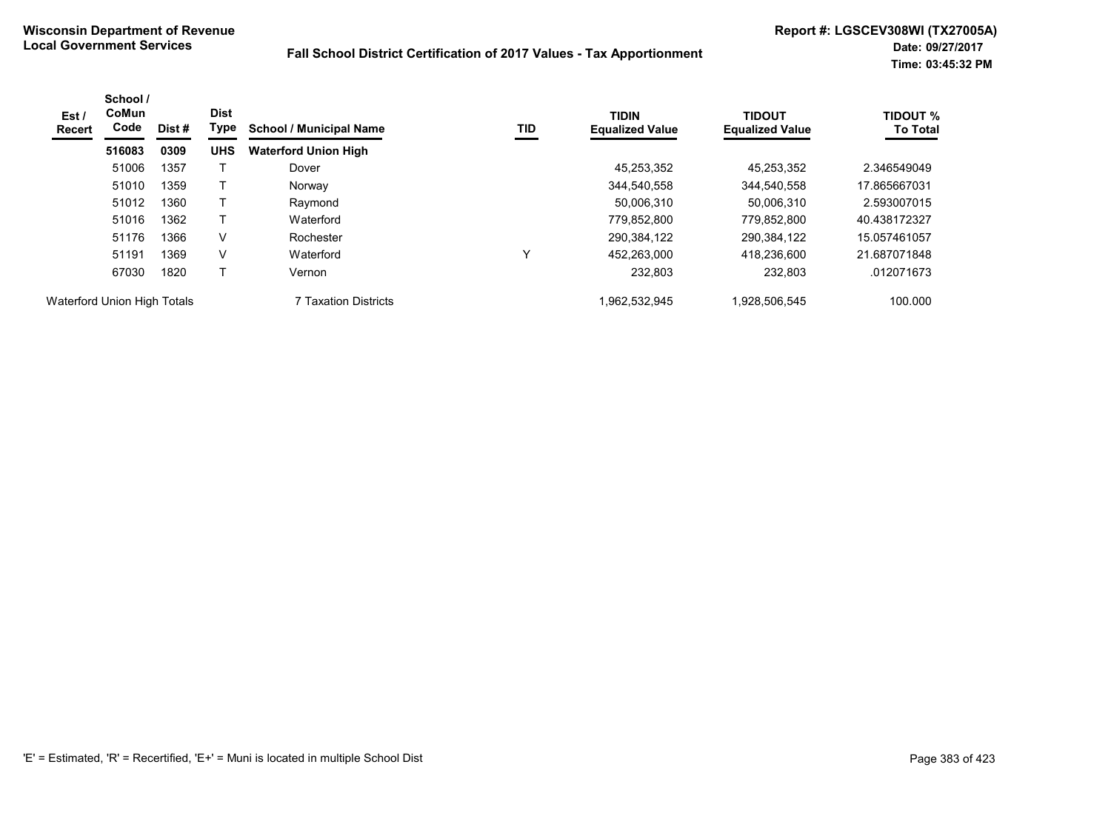| Est /<br><b>Recert</b>      | School /<br><b>CoMun</b><br>Code | Dist# | <b>Dist</b><br>Type | <b>School / Municipal Name</b> | TID | <b>TIDIN</b><br><b>Equalized Value</b> | <b>TIDOUT</b><br><b>Equalized Value</b> | <b>TIDOUT %</b><br><b>To Total</b> |
|-----------------------------|----------------------------------|-------|---------------------|--------------------------------|-----|----------------------------------------|-----------------------------------------|------------------------------------|
|                             | 516083                           | 0309  | <b>UHS</b>          | <b>Waterford Union High</b>    |     |                                        |                                         |                                    |
|                             | 51006                            | 1357  |                     | Dover                          |     | 45,253,352                             | 45,253,352                              | 2.346549049                        |
|                             | 51010                            | 1359  |                     | Norway                         |     | 344,540,558                            | 344,540,558                             | 17.865667031                       |
|                             | 51012                            | 1360  |                     | Raymond                        |     | 50,006,310                             | 50,006,310                              | 2.593007015                        |
|                             | 51016                            | 1362  |                     | Waterford                      |     | 779,852,800                            | 779,852,800                             | 40.438172327                       |
|                             | 51176                            | 1366  | V                   | Rochester                      |     | 290,384,122                            | 290,384,122                             | 15.057461057                       |
|                             | 51191                            | 1369  | V                   | Waterford                      | Y   | 452.263.000                            | 418.236.600                             | 21.687071848                       |
|                             | 67030                            | 1820  |                     | Vernon                         |     | 232,803                                | 232,803                                 | .012071673                         |
| Waterford Union High Totals |                                  |       |                     | 7 Taxation Districts           |     | 1,962,532,945                          | 1,928,506,545                           | 100.000                            |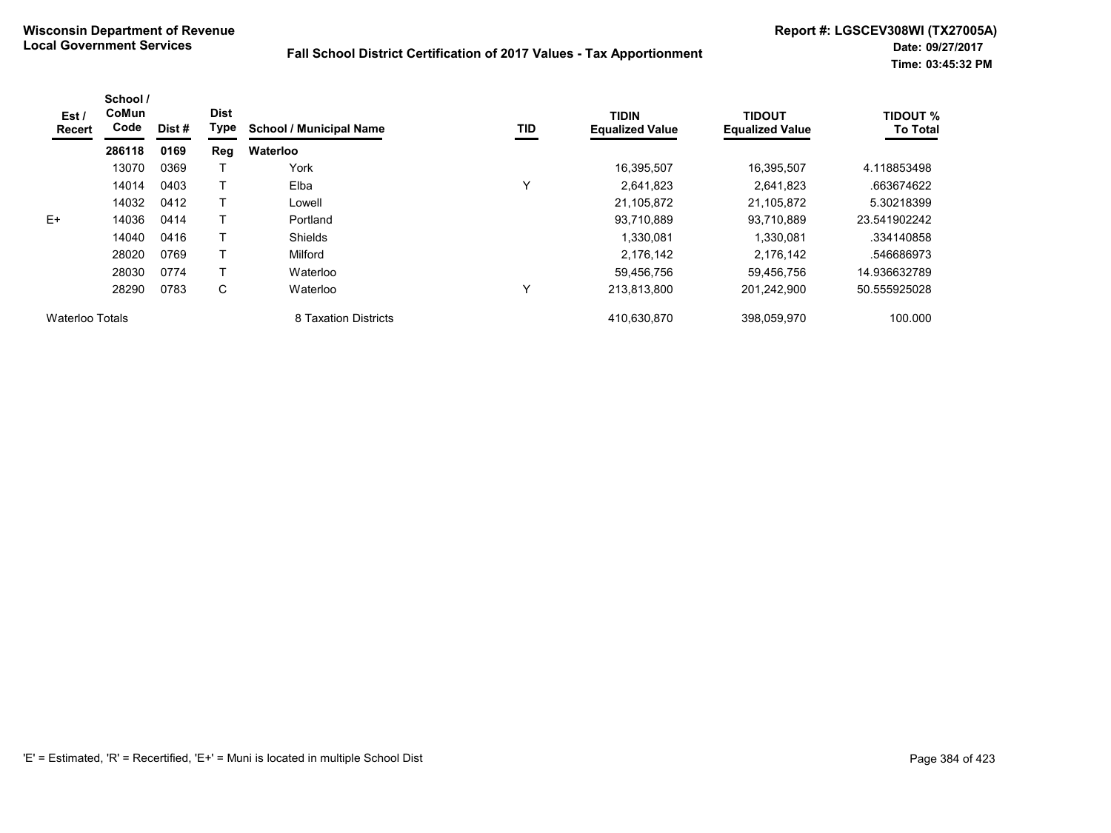| Est /<br><b>Recert</b> | School /<br>CoMun<br>Code | Dist # | <b>Dist</b><br>Type | <b>School / Municipal Name</b> | TID         | <b>TIDIN</b><br><b>Equalized Value</b> | <b>TIDOUT</b><br><b>Equalized Value</b> | <b>TIDOUT %</b><br><b>To Total</b> |
|------------------------|---------------------------|--------|---------------------|--------------------------------|-------------|----------------------------------------|-----------------------------------------|------------------------------------|
|                        | 286118                    | 0169   | Reg                 | Waterloo                       |             |                                        |                                         |                                    |
|                        | 13070                     | 0369   |                     | York                           |             | 16,395,507                             | 16,395,507                              | 4.118853498                        |
|                        | 14014                     | 0403   |                     | Elba                           | $\check{ }$ | 2,641,823                              | 2,641,823                               | .663674622                         |
|                        | 14032                     | 0412   |                     | Lowell                         |             | 21.105.872                             | 21.105.872                              | 5.30218399                         |
| $E+$                   | 14036                     | 0414   |                     | Portland                       |             | 93.710.889                             | 93.710.889                              | 23.541902242                       |
|                        | 14040                     | 0416   |                     | <b>Shields</b>                 |             | 1.330.081                              | 1.330.081                               | .334140858                         |
|                        | 28020                     | 0769   |                     | Milford                        |             | 2.176.142                              | 2,176,142                               | .546686973                         |
|                        | 28030                     | 0774   |                     | Waterloo                       |             | 59,456,756                             | 59,456,756                              | 14.936632789                       |
|                        | 28290                     | 0783   | C                   | Waterloo                       | Υ           | 213.813.800                            | 201,242,900                             | 50.555925028                       |
| Waterloo Totals        |                           |        |                     | 8 Taxation Districts           |             | 410,630,870                            | 398,059,970                             | 100.000                            |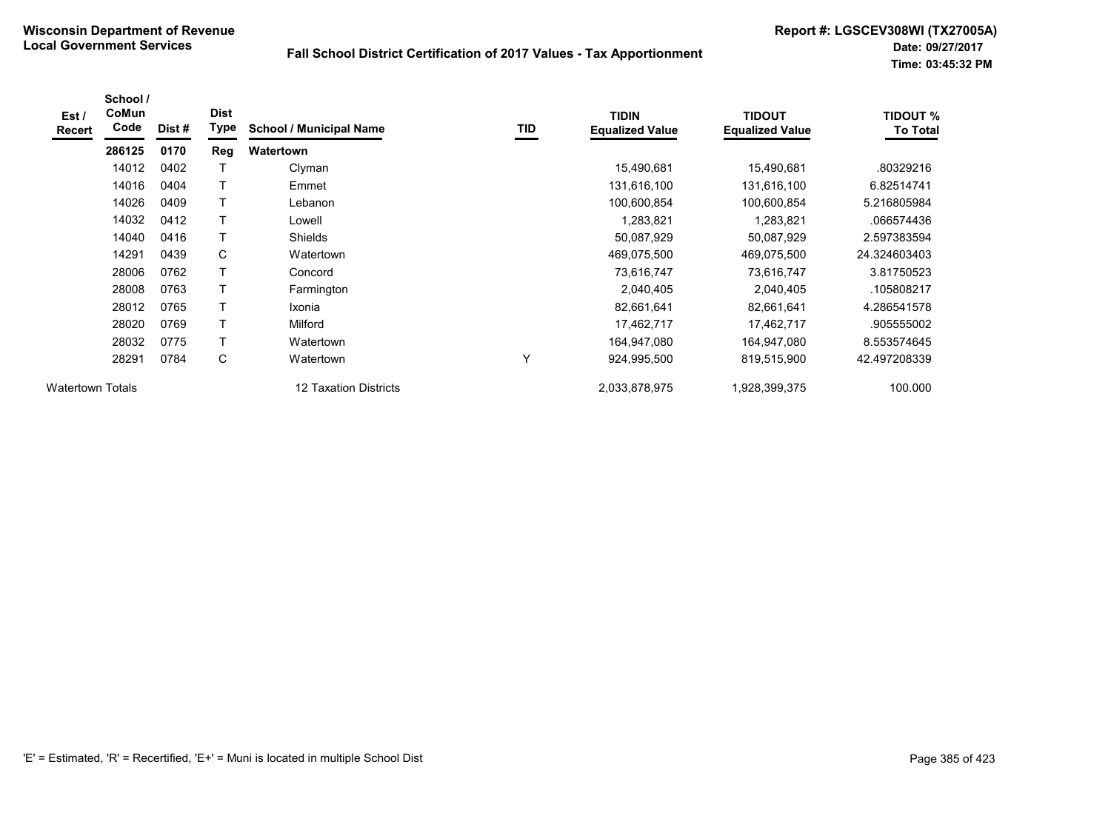| Est /<br>Recert         | School /<br>CoMun<br>Code | Dist# | <b>Dist</b><br>Type | <b>School / Municipal Name</b> | TID | <b>TIDIN</b><br><b>Equalized Value</b> | <b>TIDOUT</b><br><b>Equalized Value</b> | <b>TIDOUT %</b><br><b>To Total</b> |
|-------------------------|---------------------------|-------|---------------------|--------------------------------|-----|----------------------------------------|-----------------------------------------|------------------------------------|
|                         | 286125                    | 0170  | <b>Reg</b>          | Watertown                      |     |                                        |                                         |                                    |
|                         | 14012                     | 0402  |                     | Clyman                         |     | 15,490,681                             | 15,490,681                              | .80329216                          |
|                         | 14016                     | 0404  | т                   | Emmet                          |     | 131,616,100                            | 131,616,100                             | 6.82514741                         |
|                         | 14026                     | 0409  |                     | Lebanon                        |     | 100,600,854                            | 100,600,854                             | 5.216805984                        |
|                         | 14032                     | 0412  |                     | Lowell                         |     | 1,283,821                              | 1,283,821                               | .066574436                         |
|                         | 14040                     | 0416  |                     | Shields                        |     | 50,087,929                             | 50,087,929                              | 2.597383594                        |
|                         | 14291                     | 0439  | С                   | Watertown                      |     | 469,075,500                            | 469,075,500                             | 24.324603403                       |
|                         | 28006                     | 0762  | т                   | Concord                        |     | 73,616,747                             | 73,616,747                              | 3.81750523                         |
|                         | 28008                     | 0763  | т                   | Farmington                     |     | 2,040,405                              | 2,040,405                               | .105808217                         |
|                         | 28012                     | 0765  |                     | Ixonia                         |     | 82,661,641                             | 82,661,641                              | 4.286541578                        |
|                         | 28020                     | 0769  |                     | Milford                        |     | 17,462,717                             | 17,462,717                              | .905555002                         |
|                         | 28032                     | 0775  |                     | Watertown                      |     | 164,947,080                            | 164,947,080                             | 8.553574645                        |
|                         | 28291                     | 0784  | C                   | Watertown                      | Υ   | 924,995,500                            | 819,515,900                             | 42.497208339                       |
| <b>Watertown Totals</b> |                           |       |                     | <b>12 Taxation Districts</b>   |     | 2,033,878,975                          | 1,928,399,375                           | 100.000                            |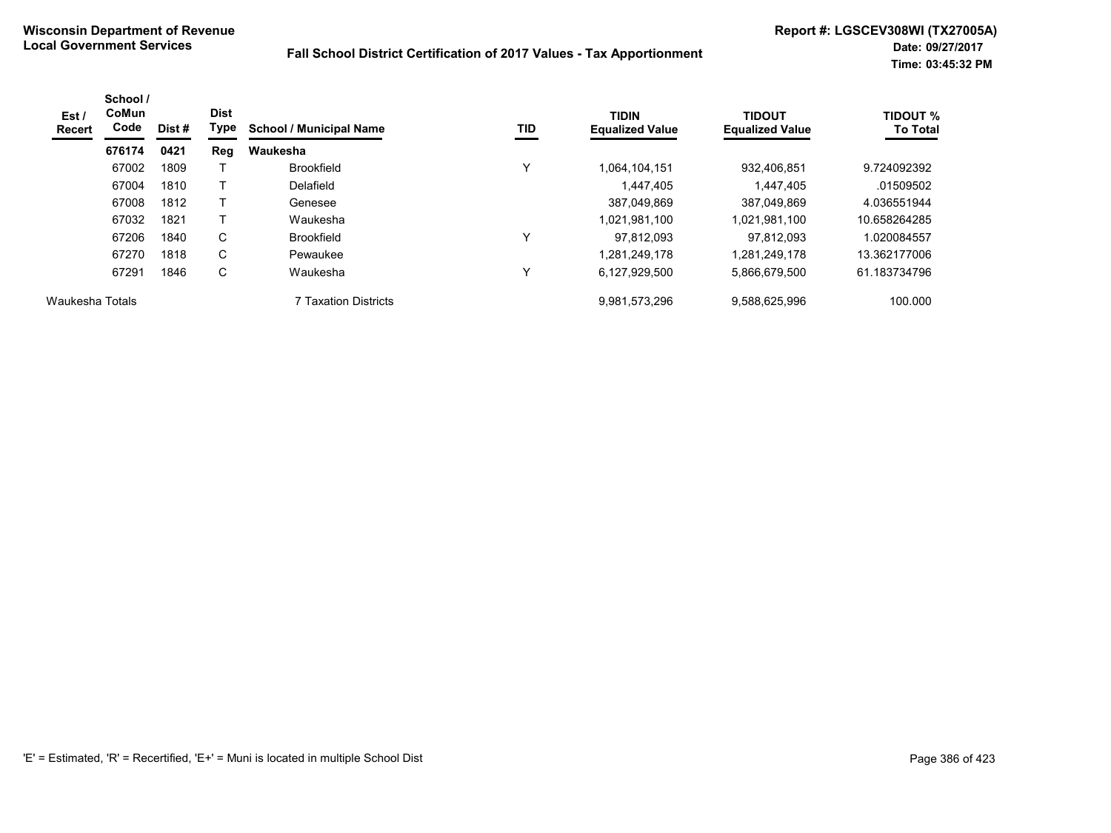| Est /<br><b>Recert</b> | School /<br><b>CoMun</b><br>Code | Dist # | <b>Dist</b><br>Type | <b>School / Municipal Name</b> | TID | <b>TIDIN</b><br><b>Equalized Value</b> | <b>TIDOUT</b><br><b>Equalized Value</b> | <b>TIDOUT %</b><br><b>To Total</b> |
|------------------------|----------------------------------|--------|---------------------|--------------------------------|-----|----------------------------------------|-----------------------------------------|------------------------------------|
|                        | 676174                           | 0421   | Reg                 | Waukesha                       |     |                                        |                                         |                                    |
|                        | 67002                            | 1809   |                     | <b>Brookfield</b>              | Υ   | 1,064,104,151                          | 932,406,851                             | 9.724092392                        |
|                        | 67004                            | 1810   |                     | Delafield                      |     | 1.447.405                              | 1.447.405                               | .01509502                          |
|                        | 67008                            | 1812   |                     | Genesee                        |     | 387.049.869                            | 387.049.869                             | 4.036551944                        |
|                        | 67032                            | 1821   |                     | Waukesha                       |     | 1.021.981.100                          | 1,021,981,100                           | 10.658264285                       |
|                        | 67206                            | 1840   | C                   | <b>Brookfield</b>              | ٧   | 97.812.093                             | 97.812.093                              | 1.020084557                        |
|                        | 67270                            | 1818   | C                   | Pewaukee                       |     | 1,281,249,178                          | 1,281,249,178                           | 13.362177006                       |
|                        | 67291                            | 1846   | C                   | Waukesha                       | Υ   | 6,127,929,500                          | 5,866,679,500                           | 61.183734796                       |
| Waukesha Totals        |                                  |        |                     | <b>7 Taxation Districts</b>    |     | 9,981,573,296                          | 9,588,625,996                           | 100.000                            |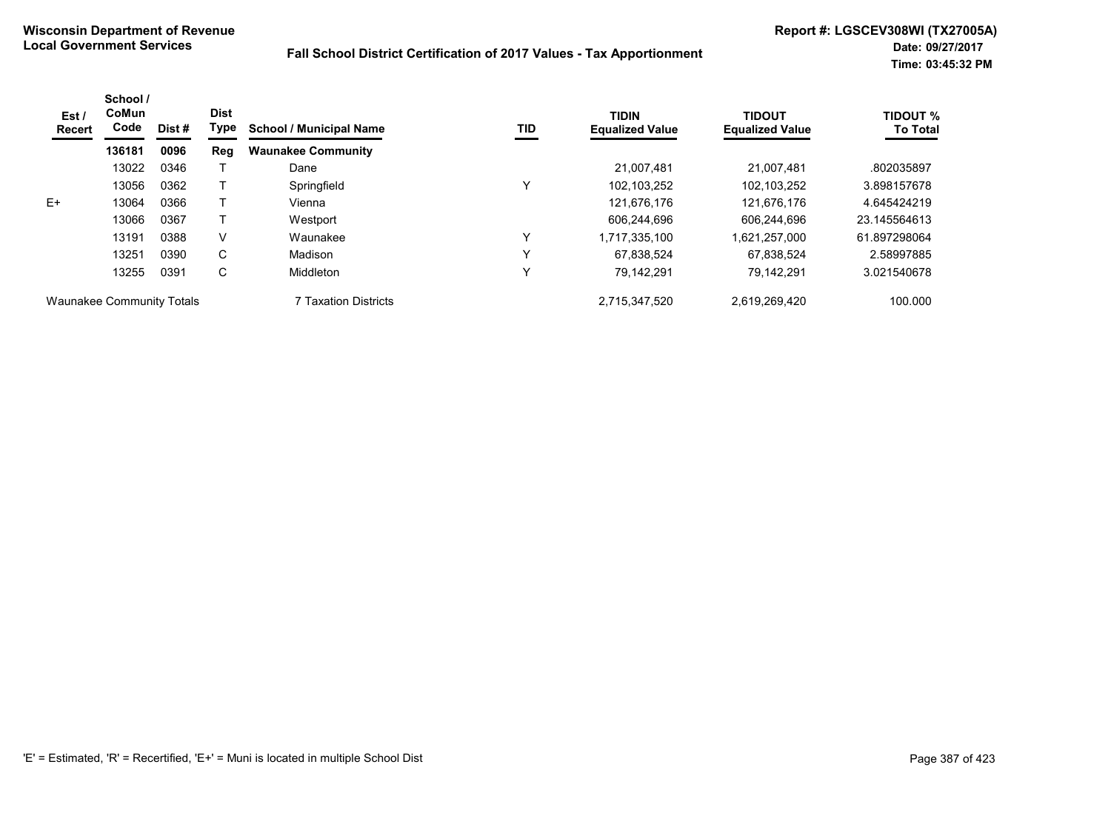| Est/<br><b>Recert</b>            | School /<br>CoMun<br>Code | Dist# | <b>Dist</b><br>Type | <b>School / Municipal Name</b> | TID          | <b>TIDIN</b><br><b>Equalized Value</b> | <b>TIDOUT</b><br><b>Equalized Value</b> | <b>TIDOUT %</b><br><b>To Total</b> |
|----------------------------------|---------------------------|-------|---------------------|--------------------------------|--------------|----------------------------------------|-----------------------------------------|------------------------------------|
|                                  | 136181                    | 0096  | Reg                 | <b>Waunakee Community</b>      |              |                                        |                                         |                                    |
|                                  | 13022                     | 0346  |                     | Dane                           |              | 21.007.481                             | 21.007.481                              | .802035897                         |
|                                  | 13056                     | 0362  |                     | Springfield                    | v            | 102,103,252                            | 102.103.252                             | 3.898157678                        |
| E+                               | 13064                     | 0366  |                     | Vienna                         |              | 121,676,176                            | 121,676,176                             | 4.645424219                        |
|                                  | 13066                     | 0367  |                     | Westport                       |              | 606,244,696                            | 606.244.696                             | 23.145564613                       |
|                                  | 13191                     | 0388  | V                   | Waunakee                       | $\check{ }$  | 1,717,335,100                          | 1,621,257,000                           | 61.897298064                       |
|                                  | 13251                     | 0390  | C                   | Madison                        | $\check{ }$  | 67,838,524                             | 67,838,524                              | 2.58997885                         |
|                                  | 13255                     | 0391  | C                   | Middleton                      | $\checkmark$ | 79.142.291                             | 79.142.291                              | 3.021540678                        |
| <b>Waunakee Community Totals</b> |                           |       |                     | 7 Taxation Districts           |              | 2,715,347,520                          | 2,619,269,420                           | 100.000                            |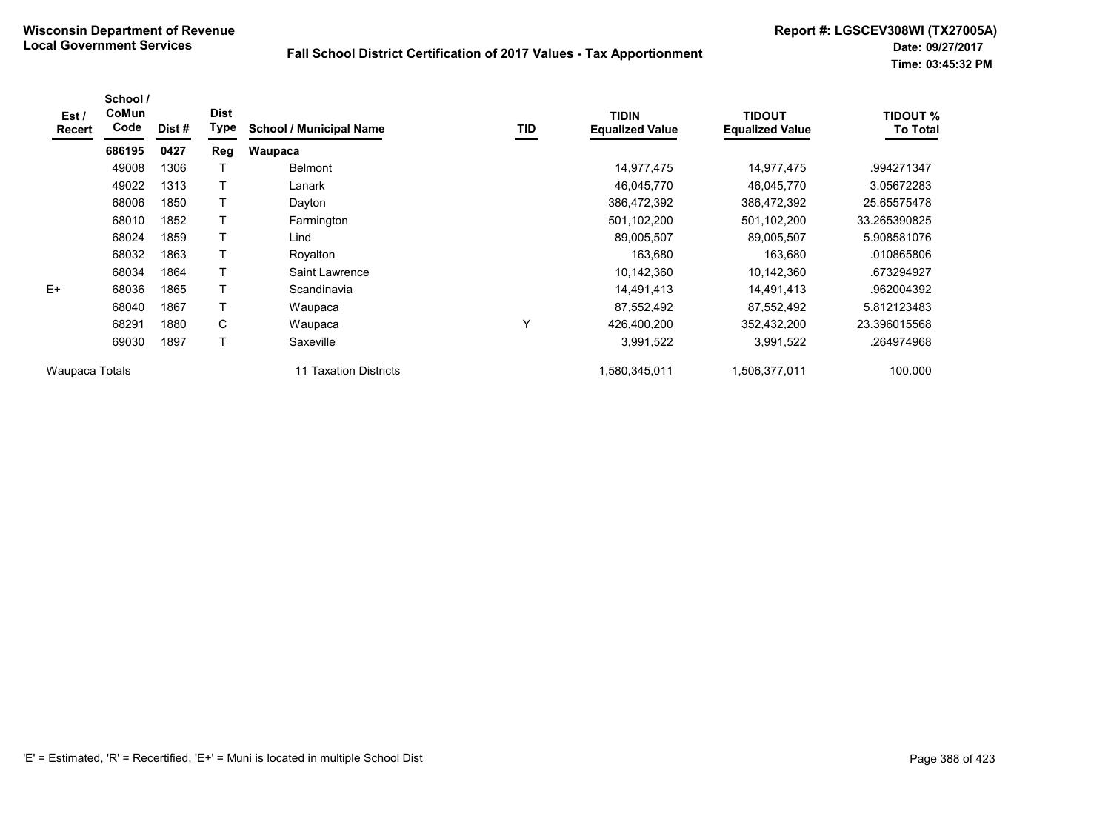| Est/<br><b>Recert</b> | School /<br>CoMun<br>Code | Dist # | <b>Dist</b><br>Type | <b>School / Municipal Name</b> | TID | <b>TIDIN</b><br><b>Equalized Value</b> | <b>TIDOUT</b><br><b>Equalized Value</b> | <b>TIDOUT %</b><br><b>To Total</b> |
|-----------------------|---------------------------|--------|---------------------|--------------------------------|-----|----------------------------------------|-----------------------------------------|------------------------------------|
|                       | 686195                    | 0427   | Reg                 | Waupaca                        |     |                                        |                                         |                                    |
|                       | 49008                     | 1306   |                     | <b>Belmont</b>                 |     | 14,977,475                             | 14,977,475                              | .994271347                         |
|                       | 49022                     | 1313   | $\top$              | Lanark                         |     | 46,045,770                             | 46,045,770                              | 3.05672283                         |
|                       | 68006                     | 1850   |                     | Dayton                         |     | 386,472,392                            | 386,472,392                             | 25.65575478                        |
|                       | 68010                     | 1852   |                     | Farmington                     |     | 501,102,200                            | 501,102,200                             | 33.265390825                       |
|                       | 68024                     | 1859   |                     | Lind                           |     | 89,005,507                             | 89,005,507                              | 5.908581076                        |
|                       | 68032                     | 1863   |                     | Royalton                       |     | 163,680                                | 163,680                                 | .010865806                         |
|                       | 68034                     | 1864   | $\mathsf T$         | Saint Lawrence                 |     | 10,142,360                             | 10,142,360                              | .673294927                         |
| $E+$                  | 68036                     | 1865   |                     | Scandinavia                    |     | 14,491,413                             | 14,491,413                              | .962004392                         |
|                       | 68040                     | 1867   |                     | Waupaca                        |     | 87,552,492                             | 87,552,492                              | 5.812123483                        |
|                       | 68291                     | 1880   | $\mathsf{C}$        | Waupaca                        | Υ   | 426,400,200                            | 352,432,200                             | 23.396015568                       |
|                       | 69030                     | 1897   |                     | Saxeville                      |     | 3,991,522                              | 3,991,522                               | .264974968                         |
| Waupaca Totals        |                           |        |                     | 11 Taxation Districts          |     | 1,580,345,011                          | 1,506,377,011                           | 100.000                            |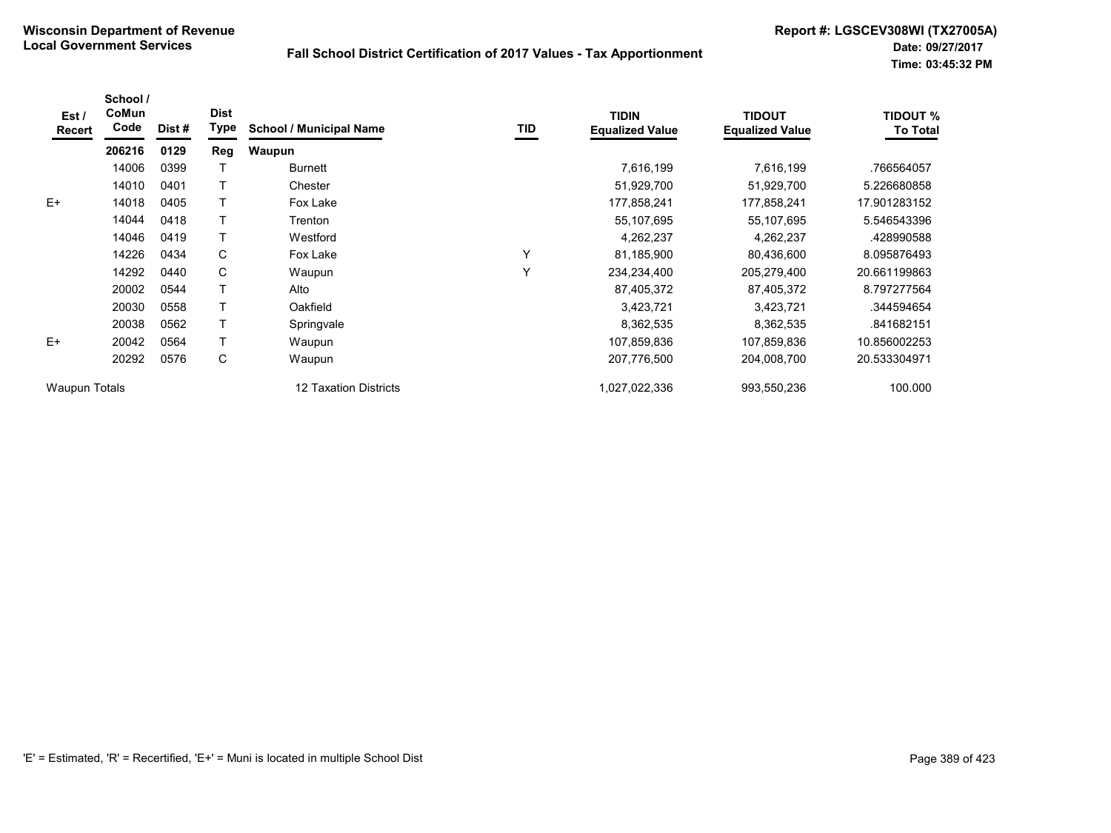| Est/<br>Recert       | School /<br>CoMun<br>Code | Dist # | <b>Dist</b><br><b>Type</b> | <b>School / Municipal Name</b> | TID | <b>TIDIN</b><br><b>Equalized Value</b> | <b>TIDOUT</b><br><b>Equalized Value</b> | <b>TIDOUT %</b><br><b>To Total</b> |
|----------------------|---------------------------|--------|----------------------------|--------------------------------|-----|----------------------------------------|-----------------------------------------|------------------------------------|
|                      | 206216                    | 0129   | Reg                        | Waupun                         |     |                                        |                                         |                                    |
|                      | 14006                     | 0399   |                            | <b>Burnett</b>                 |     | 7,616,199                              | 7,616,199                               | .766564057                         |
|                      | 14010                     | 0401   |                            | Chester                        |     | 51,929,700                             | 51,929,700                              | 5.226680858                        |
| $E+$                 | 14018                     | 0405   |                            | Fox Lake                       |     | 177,858,241                            | 177,858,241                             | 17.901283152                       |
|                      | 14044                     | 0418   |                            | Trenton                        |     | 55,107,695                             | 55,107,695                              | 5.546543396                        |
|                      | 14046                     | 0419   |                            | Westford                       |     | 4,262,237                              | 4,262,237                               | 428990588                          |
|                      | 14226                     | 0434   | C                          | Fox Lake                       | Y   | 81,185,900                             | 80,436,600                              | 8.095876493                        |
|                      | 14292                     | 0440   | С                          | Waupun                         | Y   | 234,234,400                            | 205,279,400                             | 20.661199863                       |
|                      | 20002                     | 0544   |                            | Alto                           |     | 87,405,372                             | 87,405,372                              | 8.797277564                        |
|                      | 20030                     | 0558   |                            | Oakfield                       |     | 3,423,721                              | 3,423,721                               | .344594654                         |
|                      | 20038                     | 0562   | $\mathbf$                  | Springvale                     |     | 8,362,535                              | 8,362,535                               | .841682151                         |
| $E+$                 | 20042                     | 0564   |                            | Waupun                         |     | 107,859,836                            | 107,859,836                             | 10.856002253                       |
|                      | 20292                     | 0576   | С                          | Waupun                         |     | 207,776,500                            | 204,008,700                             | 20.533304971                       |
| <b>Waupun Totals</b> |                           |        |                            | 12 Taxation Districts          |     | 1,027,022,336                          | 993,550,236                             | 100.000                            |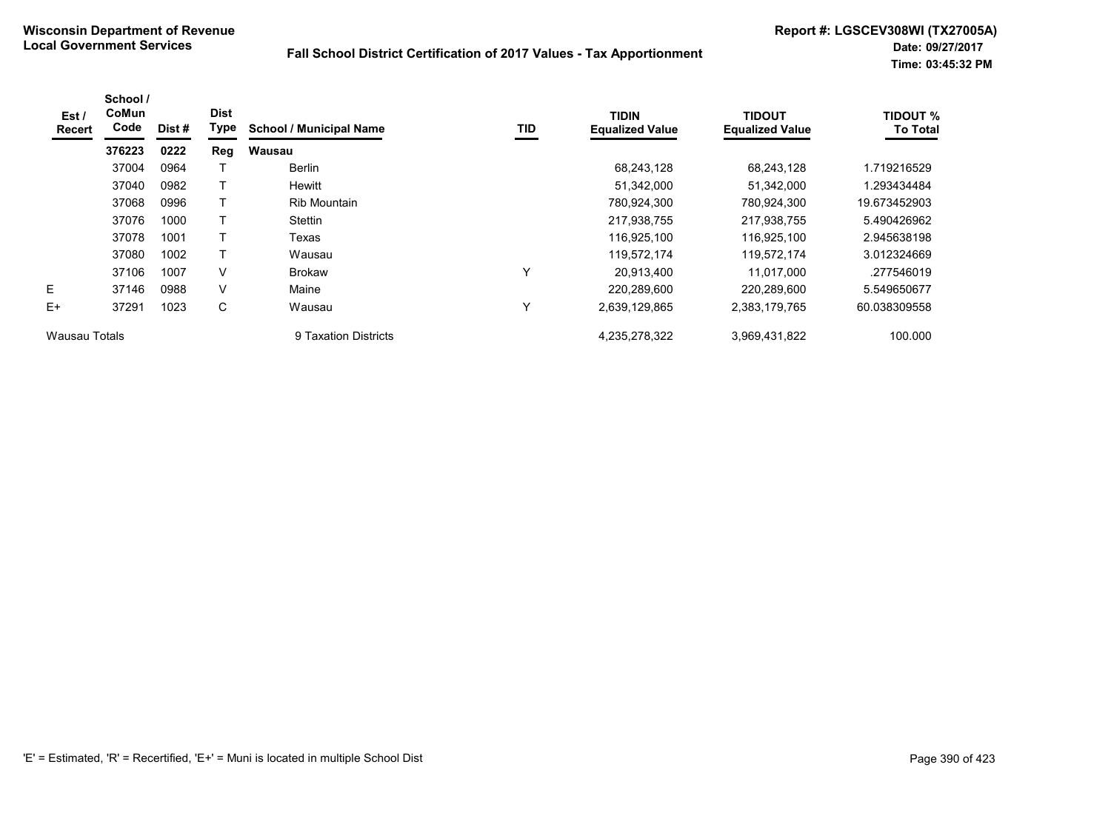| Est /<br>Recert | School /<br>CoMun<br>Code | Dist# | <b>Dist</b><br>Type | <b>School / Municipal Name</b> | TID          | <b>TIDIN</b><br><b>Equalized Value</b> | <b>TIDOUT</b><br><b>Equalized Value</b> | <b>TIDOUT %</b><br><b>To Total</b> |
|-----------------|---------------------------|-------|---------------------|--------------------------------|--------------|----------------------------------------|-----------------------------------------|------------------------------------|
|                 | 376223                    | 0222  | Reg                 | Wausau                         |              |                                        |                                         |                                    |
|                 | 37004                     | 0964  |                     | <b>Berlin</b>                  |              | 68,243,128                             | 68,243,128                              | 1.719216529                        |
|                 | 37040                     | 0982  |                     | Hewitt                         |              | 51,342,000                             | 51,342,000                              | 1.293434484                        |
|                 | 37068                     | 0996  | т                   | Rib Mountain                   |              | 780,924,300                            | 780,924,300                             | 19.673452903                       |
|                 | 37076                     | 1000  |                     | Stettin                        |              | 217,938,755                            | 217,938,755                             | 5.490426962                        |
|                 | 37078                     | 1001  | т                   | Texas                          |              | 116,925,100                            | 116,925,100                             | 2.945638198                        |
|                 | 37080                     | 1002  |                     | Wausau                         |              | 119,572,174                            | 119,572,174                             | 3.012324669                        |
|                 | 37106                     | 1007  | $\vee$              | <b>Brokaw</b>                  | $\checkmark$ | 20,913,400                             | 11,017,000                              | .277546019                         |
| Е               | 37146                     | 0988  | $\vee$              | Maine                          |              | 220,289,600                            | 220,289,600                             | 5.549650677                        |
| E+              | 37291                     | 1023  | C                   | Wausau                         | ٧            | 2,639,129,865                          | 2,383,179,765                           | 60.038309558                       |
| Wausau Totals   |                           |       |                     | 9 Taxation Districts           |              | 4,235,278,322                          | 3,969,431,822                           | 100.000                            |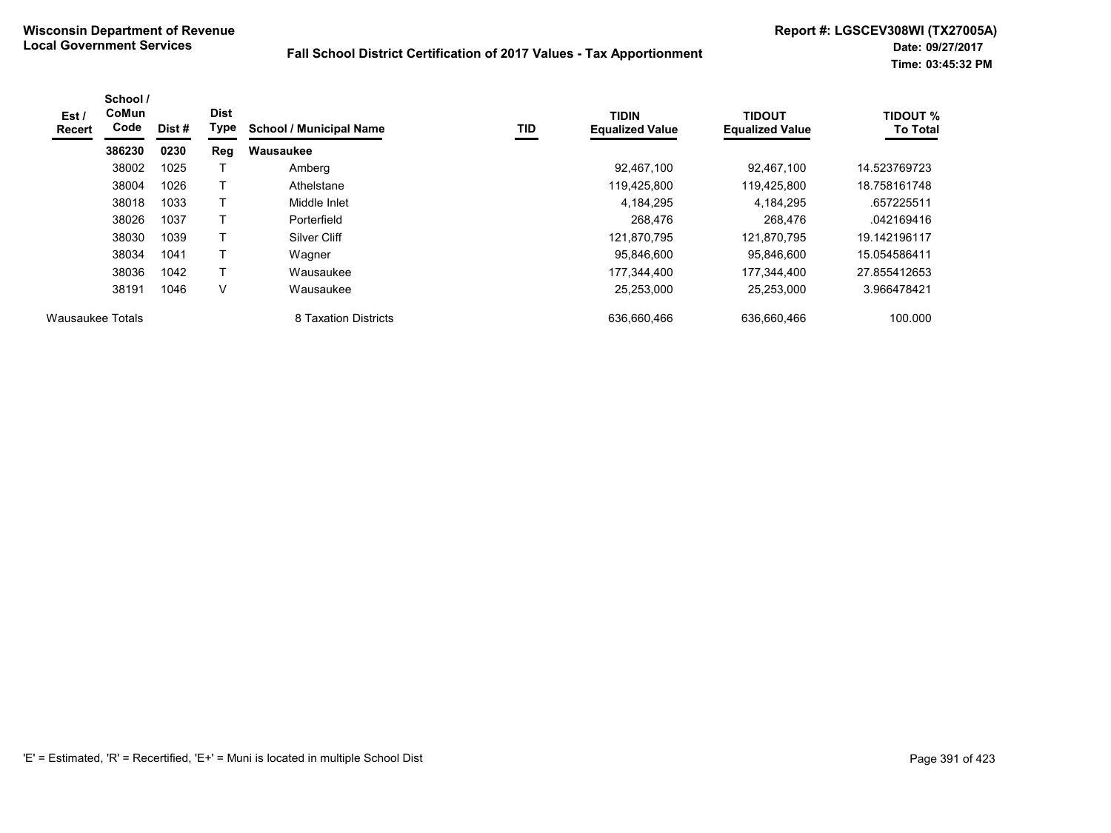| Est /<br><b>Recert</b> | School /<br>CoMun<br>Code | Dist # | <b>Dist</b><br>Type | <b>School / Municipal Name</b> | TID | <b>TIDIN</b><br><b>Equalized Value</b> | <b>TIDOUT</b><br><b>Equalized Value</b> | <b>TIDOUT %</b><br><b>To Total</b> |
|------------------------|---------------------------|--------|---------------------|--------------------------------|-----|----------------------------------------|-----------------------------------------|------------------------------------|
|                        | 386230                    | 0230   | Reg                 | Wausaukee                      |     |                                        |                                         |                                    |
|                        | 38002                     | 1025   |                     | Amberg                         |     | 92.467.100                             | 92.467.100                              | 14.523769723                       |
|                        | 38004                     | 1026   |                     | Athelstane                     |     | 119,425,800                            | 119,425,800                             | 18.758161748                       |
|                        | 38018                     | 1033   | т                   | Middle Inlet                   |     | 4,184,295                              | 4.184.295                               | .657225511                         |
|                        | 38026                     | 1037   |                     | Porterfield                    |     | 268,476                                | 268,476                                 | .042169416                         |
|                        | 38030                     | 1039   | $\mathbf \tau$      | Silver Cliff                   |     | 121,870,795                            | 121,870,795                             | 19.142196117                       |
|                        | 38034                     | 1041   |                     | Wagner                         |     | 95,846,600                             | 95.846.600                              | 15.054586411                       |
|                        | 38036                     | 1042   |                     | Wausaukee                      |     | 177.344.400                            | 177.344.400                             | 27.855412653                       |
|                        | 38191                     | 1046   | V                   | Wausaukee                      |     | 25,253,000                             | 25,253,000                              | 3.966478421                        |
| Wausaukee Totals       |                           |        |                     | 8 Taxation Districts           |     | 636,660,466                            | 636,660,466                             | 100.000                            |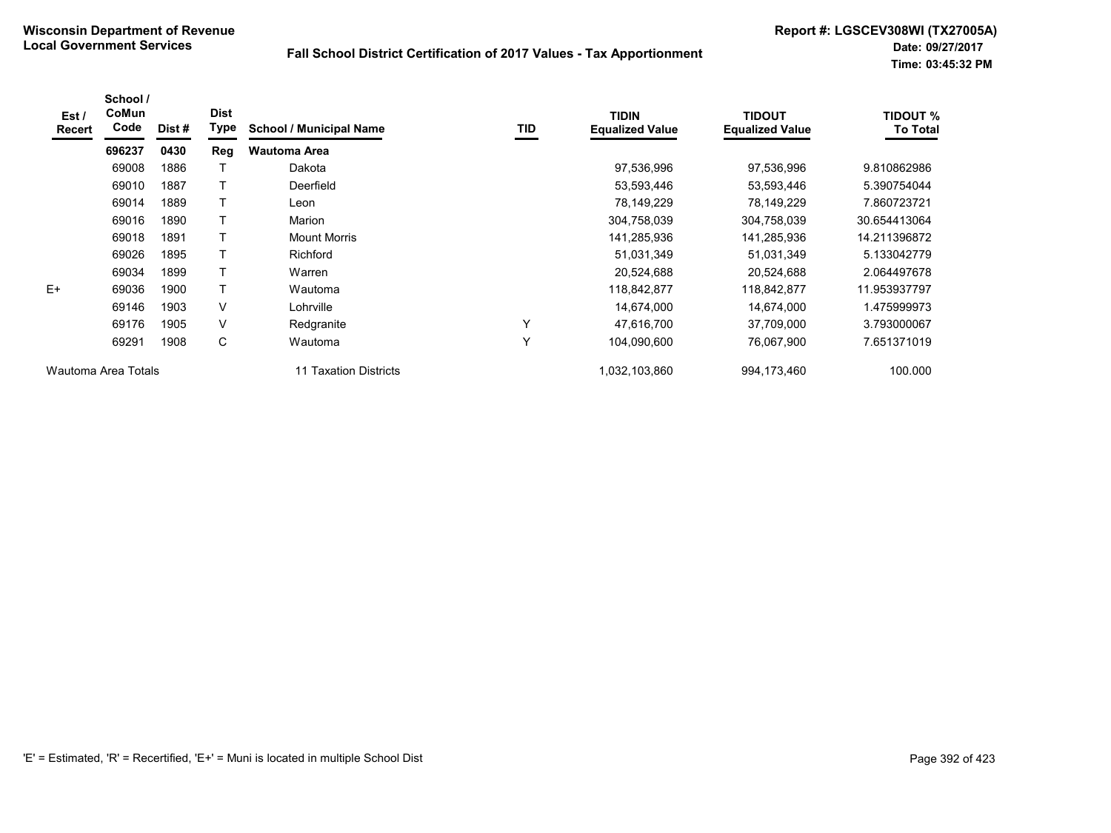| Est /<br><b>Recert</b> | School /<br>CoMun<br>Code | Dist # | <b>Dist</b><br>Type | <b>School / Municipal Name</b> | TID | <b>TIDIN</b><br><b>Equalized Value</b> | <b>TIDOUT</b><br><b>Equalized Value</b> | <b>TIDOUT %</b><br><b>To Total</b> |
|------------------------|---------------------------|--------|---------------------|--------------------------------|-----|----------------------------------------|-----------------------------------------|------------------------------------|
|                        | 696237                    | 0430   | Reg                 | <b>Wautoma Area</b>            |     |                                        |                                         |                                    |
|                        | 69008                     | 1886   |                     | Dakota                         |     | 97,536,996                             | 97,536,996                              | 9.810862986                        |
|                        | 69010                     | 1887   |                     | Deerfield                      |     | 53,593,446                             | 53,593,446                              | 5.390754044                        |
|                        | 69014                     | 1889   |                     | Leon                           |     | 78,149,229                             | 78,149,229                              | 7.860723721                        |
|                        | 69016                     | 1890   |                     | Marion                         |     | 304,758,039                            | 304,758,039                             | 30.654413064                       |
|                        | 69018                     | 1891   |                     | Mount Morris                   |     | 141,285,936                            | 141,285,936                             | 14.211396872                       |
|                        | 69026                     | 1895   |                     | Richford                       |     | 51,031,349                             | 51,031,349                              | 5.133042779                        |
|                        | 69034                     | 1899   |                     | Warren                         |     | 20,524,688                             | 20,524,688                              | 2.064497678                        |
| $E+$                   | 69036                     | 1900   |                     | Wautoma                        |     | 118,842,877                            | 118,842,877                             | 11.953937797                       |
|                        | 69146                     | 1903   | $\vee$              | Lohrville                      |     | 14,674,000                             | 14,674,000                              | 1.475999973                        |
|                        | 69176                     | 1905   | $\vee$              | Redgranite                     | Υ   | 47,616,700                             | 37,709,000                              | 3.793000067                        |
|                        | 69291                     | 1908   | C                   | Wautoma                        | Y   | 104,090,600                            | 76,067,900                              | 7.651371019                        |
| Wautoma Area Totals    |                           |        |                     | 11 Taxation Districts          |     | 1,032,103,860                          | 994,173,460                             | 100.000                            |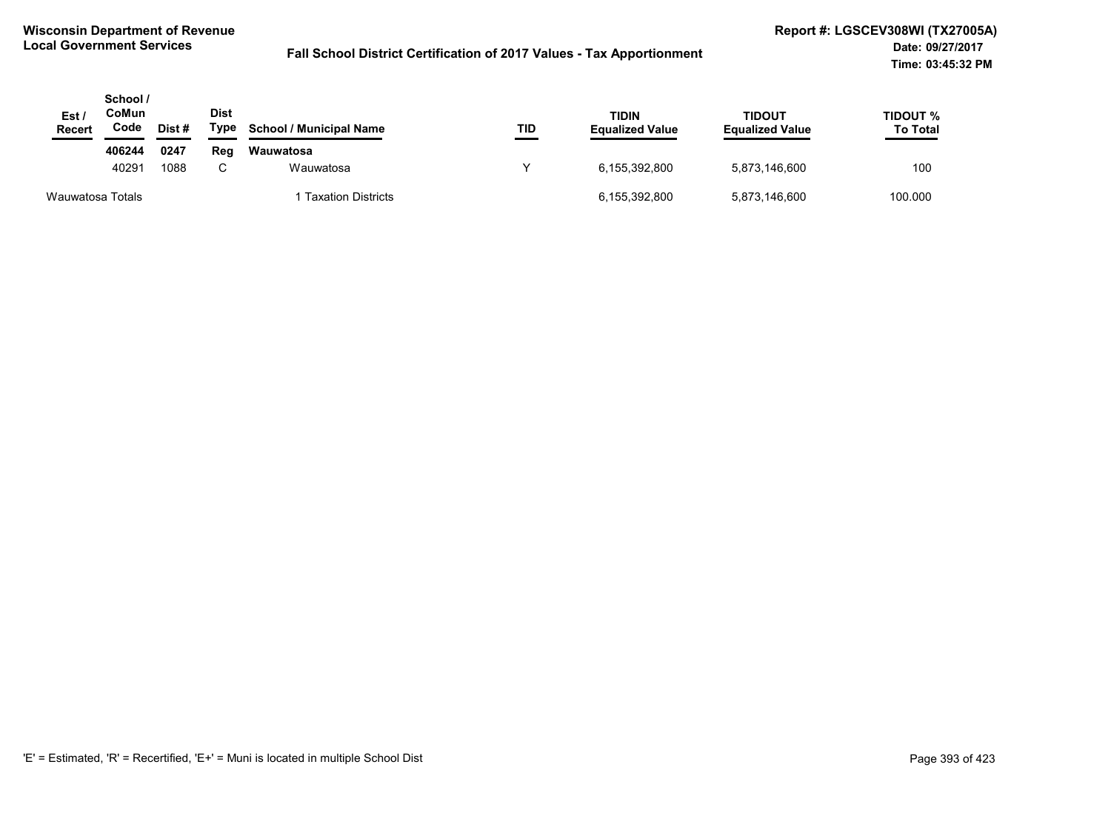| Est/<br><b>Recert</b> | School /<br>CoMun<br>Code | Dist # | <b>Dist</b><br>Type | <b>School / Municipal Name</b> | TID | <b>TIDIN</b><br><b>Equalized Value</b> | TIDOUT<br><b>Equalized Value</b> | TIDOUT %<br><b>To Total</b> |
|-----------------------|---------------------------|--------|---------------------|--------------------------------|-----|----------------------------------------|----------------------------------|-----------------------------|
|                       | 406244                    | 0247   | Reg                 | Wauwatosa                      |     |                                        |                                  |                             |
|                       | 40291                     | 1088   | C.                  | Wauwatosa                      |     | 6.155.392.800                          | 5,873,146,600                    | 100                         |
| Wauwatosa Totals      |                           |        |                     | <b>Taxation Districts</b>      |     | 6,155,392,800                          | 5,873,146,600                    | 100.000                     |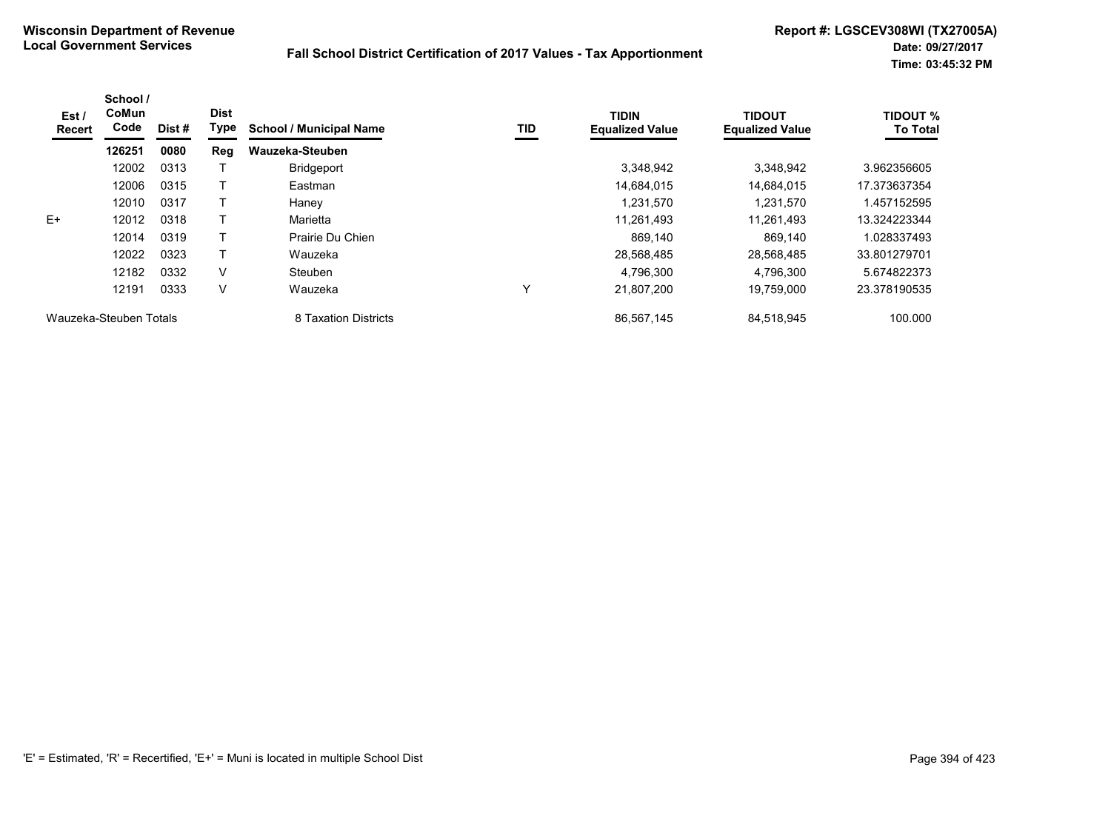| Est /<br>Recert        | School /<br><b>CoMun</b><br>Code | Dist # | <b>Dist</b><br><b>Type</b> | <b>School / Municipal Name</b> | TID | <b>TIDIN</b><br><b>Equalized Value</b> | <b>TIDOUT</b><br><b>Equalized Value</b> | TIDOUT %<br><b>To Total</b> |
|------------------------|----------------------------------|--------|----------------------------|--------------------------------|-----|----------------------------------------|-----------------------------------------|-----------------------------|
|                        | 126251                           | 0080   | Reg                        | Wauzeka-Steuben                |     |                                        |                                         |                             |
|                        | 12002                            | 0313   |                            | <b>Bridgeport</b>              |     | 3,348,942                              | 3,348,942                               | 3.962356605                 |
|                        | 12006                            | 0315   |                            | Eastman                        |     | 14,684,015                             | 14,684,015                              | 17.373637354                |
|                        | 12010                            | 0317   |                            | Haney                          |     | 1.231.570                              | 1,231,570                               | .457152595                  |
| $E+$                   | 12012                            | 0318   |                            | Marietta                       |     | 11,261,493                             | 11.261.493                              | 13.324223344                |
|                        | 12014                            | 0319   |                            | Prairie Du Chien               |     | 869.140                                | 869.140                                 | 1.028337493                 |
|                        | 12022                            | 0323   |                            | Wauzeka                        |     | 28,568,485                             | 28.568.485                              | 33.801279701                |
|                        | 12182                            | 0332   | V                          | <b>Steuben</b>                 |     | 4,796,300                              | 4,796,300                               | 5.674822373                 |
|                        | 12191                            | 0333   | V                          | Wauzeka                        | Υ   | 21,807,200                             | 19,759,000                              | 23.378190535                |
| Wauzeka-Steuben Totals |                                  |        |                            | 8 Taxation Districts           |     | 86,567,145                             | 84,518,945                              | 100.000                     |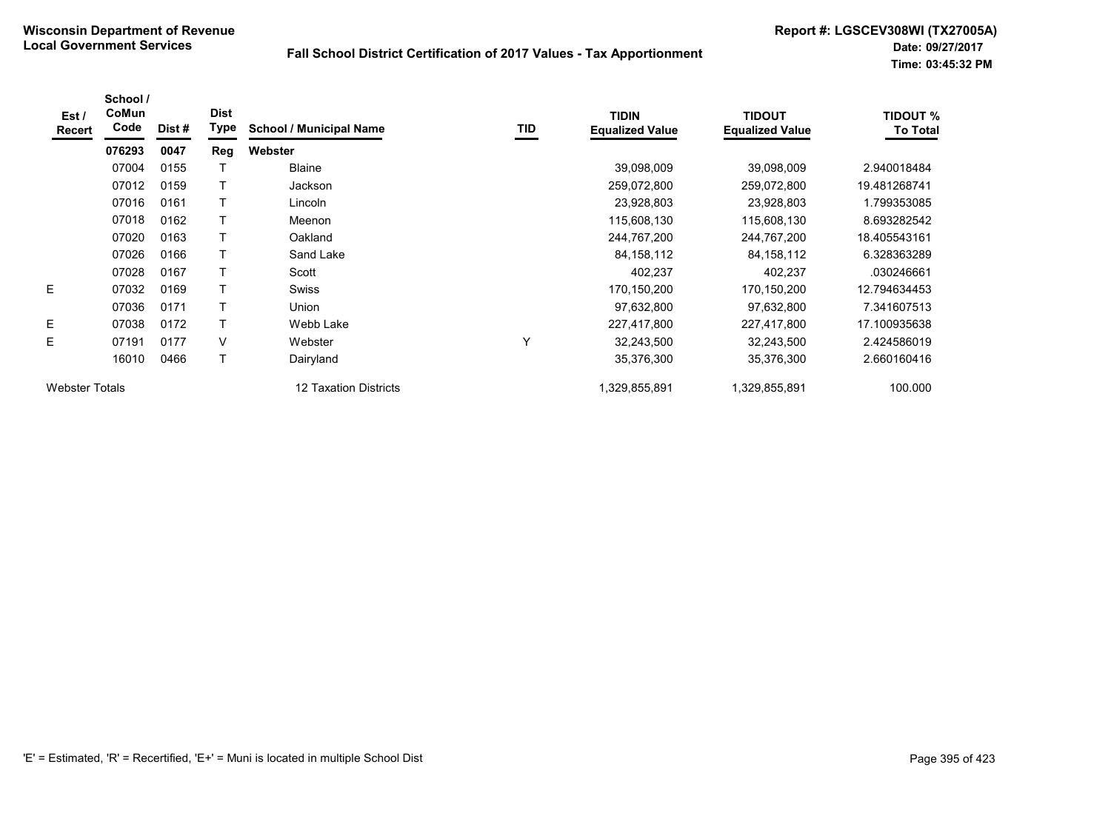| Est /<br>Recert       | School /<br>CoMun<br>Code | Dist # | <b>Dist</b><br>Type | <b>School / Municipal Name</b> | TID | <b>TIDIN</b><br><b>Equalized Value</b> | <b>TIDOUT</b><br><b>Equalized Value</b> | <b>TIDOUT %</b><br><b>To Total</b> |
|-----------------------|---------------------------|--------|---------------------|--------------------------------|-----|----------------------------------------|-----------------------------------------|------------------------------------|
|                       | 076293                    | 0047   | Reg                 | Webster                        |     |                                        |                                         |                                    |
|                       | 07004                     | 0155   |                     | <b>Blaine</b>                  |     | 39,098,009                             | 39,098,009                              | 2.940018484                        |
|                       | 07012                     | 0159   |                     | Jackson                        |     | 259,072,800                            | 259,072,800                             | 19.481268741                       |
|                       | 07016                     | 0161   |                     | Lincoln                        |     | 23,928,803                             | 23,928,803                              | 1.799353085                        |
|                       | 07018                     | 0162   |                     | Meenon                         |     | 115,608,130                            | 115,608,130                             | 8.693282542                        |
|                       | 07020                     | 0163   |                     | Oakland                        |     | 244,767,200                            | 244,767,200                             | 18.405543161                       |
|                       | 07026                     | 0166   |                     | Sand Lake                      |     | 84, 158, 112                           | 84, 158, 112                            | 6.328363289                        |
|                       | 07028                     | 0167   |                     | Scott                          |     | 402,237                                | 402,237                                 | .030246661                         |
| E                     | 07032                     | 0169   | т                   | <b>Swiss</b>                   |     | 170,150,200                            | 170,150,200                             | 12.794634453                       |
|                       | 07036                     | 0171   | Т                   | Union                          |     | 97,632,800                             | 97,632,800                              | 7.341607513                        |
| E                     | 07038                     | 0172   | т                   | Webb Lake                      |     | 227,417,800                            | 227,417,800                             | 17.100935638                       |
| E                     | 07191                     | 0177   | $\vee$              | Webster                        | Υ   | 32,243,500                             | 32,243,500                              | 2.424586019                        |
|                       | 16010                     | 0466   | T                   | Dairyland                      |     | 35,376,300                             | 35,376,300                              | 2.660160416                        |
| <b>Webster Totals</b> |                           |        |                     | 12 Taxation Districts          |     | 1,329,855,891                          | 1,329,855,891                           | 100.000                            |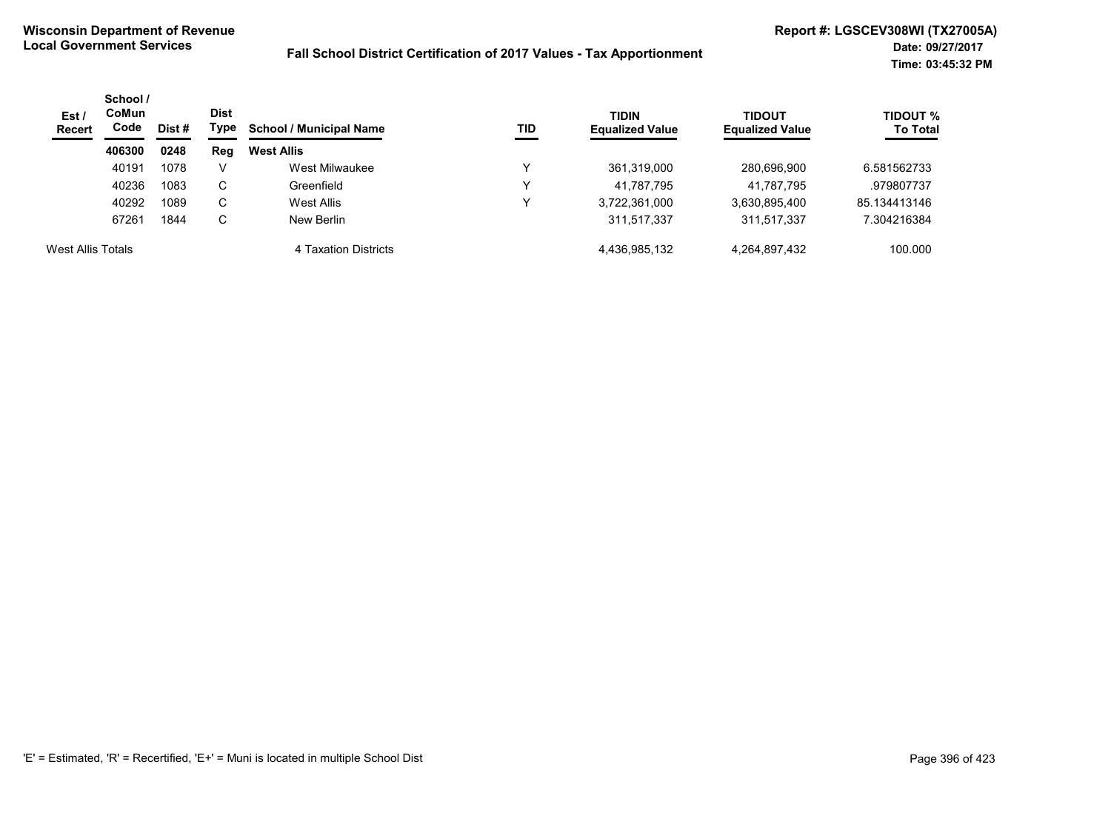| Est /<br><b>Recert</b> | School /<br>CoMun<br>Code | Dist # | Dist<br>Type | <b>School / Municipal Name</b> | TID | <b>TIDIN</b><br><b>Equalized Value</b> | <b>TIDOUT</b><br><b>Equalized Value</b> | <b>TIDOUT %</b><br><b>To Total</b> |
|------------------------|---------------------------|--------|--------------|--------------------------------|-----|----------------------------------------|-----------------------------------------|------------------------------------|
|                        | 406300                    | 0248   | Reg          | <b>West Allis</b>              |     |                                        |                                         |                                    |
|                        | 40191                     | 1078   | v            | West Milwaukee                 | v   | 361,319,000                            | 280,696,900                             | 6.581562733                        |
|                        | 40236                     | 1083   | C            | Greenfield                     | v   | 41,787,795                             | 41,787,795                              | .979807737                         |
|                        | 40292                     | 1089   | С            | West Allis                     | ν   | 3,722,361,000                          | 3,630,895,400                           | 85.134413146                       |
|                        | 67261                     | 1844   | С            | New Berlin                     |     | 311,517,337                            | 311,517,337                             | 7.304216384                        |
| West Allis Totals      |                           |        |              | 4 Taxation Districts           |     | 4,436,985,132                          | 4,264,897,432                           | 100.000                            |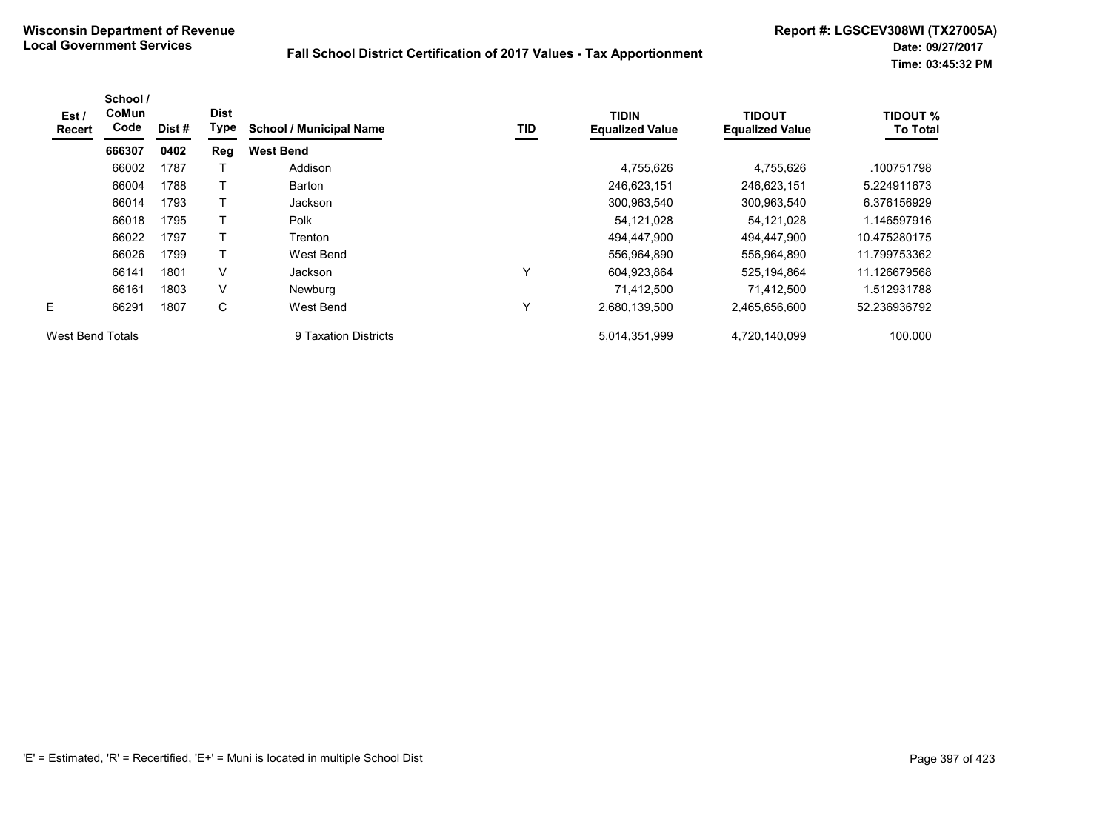| Est /<br>Recert         | School /<br><b>CoMun</b><br>Code | Dist# | <b>Dist</b><br>Type | <b>School / Municipal Name</b> | TID | <b>TIDIN</b><br><b>Equalized Value</b> | <b>TIDOUT</b><br><b>Equalized Value</b> | <b>TIDOUT %</b><br><b>To Total</b> |
|-------------------------|----------------------------------|-------|---------------------|--------------------------------|-----|----------------------------------------|-----------------------------------------|------------------------------------|
|                         | 666307                           | 0402  | Reg                 | <b>West Bend</b>               |     |                                        |                                         |                                    |
|                         | 66002                            | 1787  |                     | Addison                        |     | 4,755,626                              | 4,755,626                               | .100751798                         |
|                         | 66004                            | 1788  |                     | Barton                         |     | 246,623,151                            | 246,623,151                             | 5.224911673                        |
|                         | 66014                            | 1793  | T                   | Jackson                        |     | 300,963,540                            | 300,963,540                             | 6.376156929                        |
|                         | 66018                            | 1795  |                     | Polk                           |     | 54,121,028                             | 54,121,028                              | 1.146597916                        |
|                         | 66022                            | 1797  | T                   | Trenton                        |     | 494.447.900                            | 494,447,900                             | 10.475280175                       |
|                         | 66026                            | 1799  | т                   | West Bend                      |     | 556,964,890                            | 556,964,890                             | 11.799753362                       |
|                         | 66141                            | 1801  | V                   | Jackson                        | v   | 604,923,864                            | 525,194,864                             | 11.126679568                       |
|                         | 66161                            | 1803  | V                   | <b>Newburg</b>                 |     | 71,412,500                             | 71,412,500                              | 1.512931788                        |
| E.                      | 66291                            | 1807  | C                   | West Bend                      | v   | 2,680,139,500                          | 2,465,656,600                           | 52.236936792                       |
| <b>West Bend Totals</b> |                                  |       |                     | 9 Taxation Districts           |     | 5,014,351,999                          | 4,720,140,099                           | 100.000                            |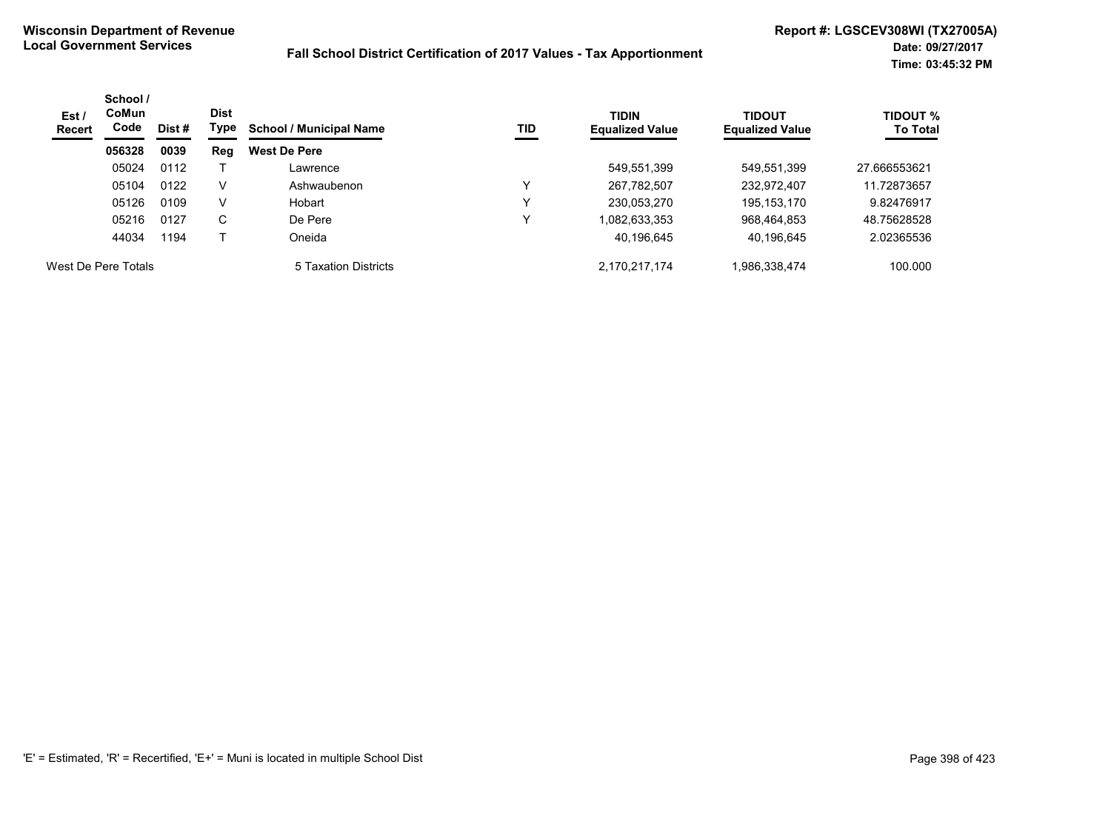| Est /<br>Recert     | School /<br><b>CoMun</b><br>Code | Dist# | <b>Dist</b><br>Type | <b>TIDIN</b><br>TID<br><b>School / Municipal Name</b> | <b>Equalized Value</b> | <b>TIDOUT</b><br><b>Equalized Value</b> | <b>TIDOUT %</b><br><b>To Total</b> |              |
|---------------------|----------------------------------|-------|---------------------|-------------------------------------------------------|------------------------|-----------------------------------------|------------------------------------|--------------|
|                     | 056328                           | 0039  | Reg                 | <b>West De Pere</b>                                   |                        |                                         |                                    |              |
|                     | 05024                            | 0112  |                     | Lawrence                                              |                        | 549,551,399                             | 549,551,399                        | 27.666553621 |
|                     | 05104                            | 0122  | v                   | Ashwaubenon                                           | v                      | 267,782,507                             | 232,972,407                        | 11.72873657  |
|                     | 05126                            | 0109  | V                   | Hobart                                                | v                      | 230,053,270                             | 195,153,170                        | 9.82476917   |
|                     | 05216                            | 0127  | С                   | De Pere                                               | v                      | 1,082,633,353                           | 968,464,853                        | 48.75628528  |
|                     | 44034                            | 1194  |                     | Oneida                                                |                        | 40,196,645                              | 40,196,645                         | 2.02365536   |
| West De Pere Totals |                                  |       |                     | 5 Taxation Districts                                  |                        | 2,170,217,174                           | .986,338,474                       | 100.000      |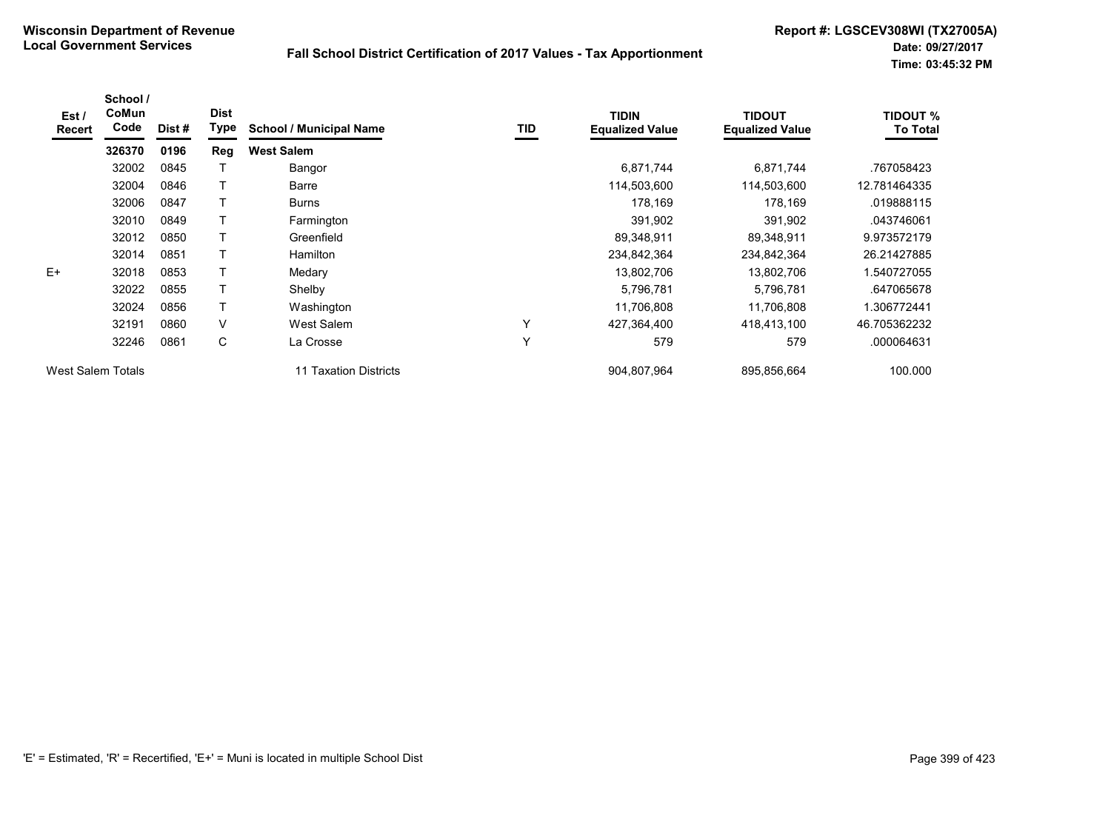| Est /<br><b>Recert</b> | School /<br>CoMun<br>Code | Dist # | <b>Dist</b><br><b>Type</b> | <b>School / Municipal Name</b> | TID | <b>TIDIN</b><br><b>Equalized Value</b> | <b>TIDOUT</b><br><b>Equalized Value</b> | <b>TIDOUT %</b><br><b>To Total</b> |
|------------------------|---------------------------|--------|----------------------------|--------------------------------|-----|----------------------------------------|-----------------------------------------|------------------------------------|
|                        | 326370                    | 0196   | Reg                        | <b>West Salem</b>              |     |                                        |                                         |                                    |
|                        | 32002                     | 0845   |                            | Bangor                         |     | 6,871,744                              | 6,871,744                               | .767058423                         |
|                        | 32004                     | 0846   |                            | Barre                          |     | 114,503,600                            | 114,503,600                             | 12.781464335                       |
|                        | 32006                     | 0847   |                            | <b>Burns</b>                   |     | 178,169                                | 178,169                                 | .019888115                         |
|                        | 32010                     | 0849   |                            | Farmington                     |     | 391,902                                | 391,902                                 | .043746061                         |
|                        | 32012                     | 0850   | т                          | Greenfield                     |     | 89,348,911                             | 89,348,911                              | 9.973572179                        |
|                        | 32014                     | 0851   |                            | <b>Hamilton</b>                |     | 234,842,364                            | 234,842,364                             | 26.21427885                        |
| $E+$                   | 32018                     | 0853   |                            | Medary                         |     | 13,802,706                             | 13,802,706                              | .540727055                         |
|                        | 32022                     | 0855   |                            | Shelby                         |     | 5,796,781                              | 5,796,781                               | .647065678                         |
|                        | 32024                     | 0856   |                            | Washington                     |     | 11,706,808                             | 11,706,808                              | .306772441                         |
|                        | 32191                     | 0860   | $\vee$                     | West Salem                     | Υ   | 427,364,400                            | 418,413,100                             | 46.705362232                       |
|                        | 32246                     | 0861   | C                          | La Crosse                      | Υ   | 579                                    | 579                                     | .000064631                         |
| West Salem Totals      |                           |        |                            | 11 Taxation Districts          |     | 904,807,964                            | 895,856,664                             | 100.000                            |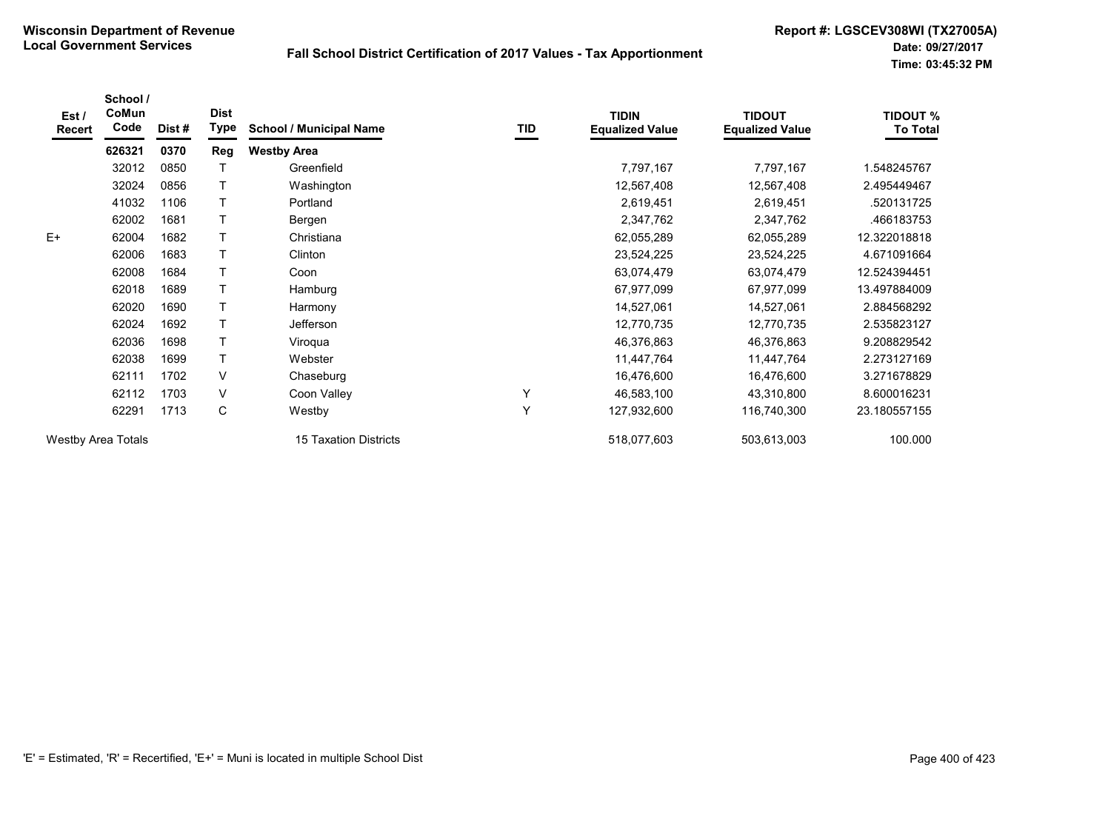| Est/<br>Recert            | School /<br>CoMun<br>Code | Dist # | <b>Dist</b><br><b>Type</b> | <b>School / Municipal Name</b> | TID | <b>TIDIN</b><br><b>Equalized Value</b> | <b>TIDOUT</b><br><b>Equalized Value</b> | <b>TIDOUT %</b><br><b>To Total</b> |
|---------------------------|---------------------------|--------|----------------------------|--------------------------------|-----|----------------------------------------|-----------------------------------------|------------------------------------|
|                           | 626321                    | 0370   | Reg                        | <b>Westby Area</b>             |     |                                        |                                         |                                    |
|                           | 32012                     | 0850   |                            | Greenfield                     |     | 7,797,167                              | 7,797,167                               | 1.548245767                        |
|                           | 32024                     | 0856   |                            | Washington                     |     | 12,567,408                             | 12,567,408                              | 2.495449467                        |
|                           | 41032                     | 1106   |                            | Portland                       |     | 2,619,451                              | 2,619,451                               | .520131725                         |
|                           | 62002                     | 1681   |                            | Bergen                         |     | 2,347,762                              | 2,347,762                               | .466183753                         |
| $E+$                      | 62004                     | 1682   |                            | Christiana                     |     | 62,055,289                             | 62,055,289                              | 12.322018818                       |
|                           | 62006                     | 1683   |                            | Clinton                        |     | 23,524,225                             | 23,524,225                              | 4.671091664                        |
|                           | 62008                     | 1684   |                            | Coon                           |     | 63,074,479                             | 63,074,479                              | 12.524394451                       |
|                           | 62018                     | 1689   |                            | Hamburg                        |     | 67,977,099                             | 67,977,099                              | 13.497884009                       |
|                           | 62020                     | 1690   |                            | Harmony                        |     | 14,527,061                             | 14,527,061                              | 2.884568292                        |
|                           | 62024                     | 1692   |                            | Jefferson                      |     | 12,770,735                             | 12,770,735                              | 2.535823127                        |
|                           | 62036                     | 1698   |                            | Viroqua                        |     | 46,376,863                             | 46,376,863                              | 9.208829542                        |
|                           | 62038                     | 1699   |                            | Webster                        |     | 11,447,764                             | 11,447,764                              | 2.273127169                        |
|                           | 62111                     | 1702   | V                          | Chaseburg                      |     | 16,476,600                             | 16,476,600                              | 3.271678829                        |
|                           | 62112                     | 1703   | V                          | Coon Valley                    | Y   | 46,583,100                             | 43,310,800                              | 8.600016231                        |
|                           | 62291                     | 1713   | C                          | Westby                         | Y   | 127,932,600                            | 116,740,300                             | 23.180557155                       |
| <b>Westby Area Totals</b> |                           |        |                            | <b>15 Taxation Districts</b>   |     | 518,077,603                            | 503,613,003                             | 100.000                            |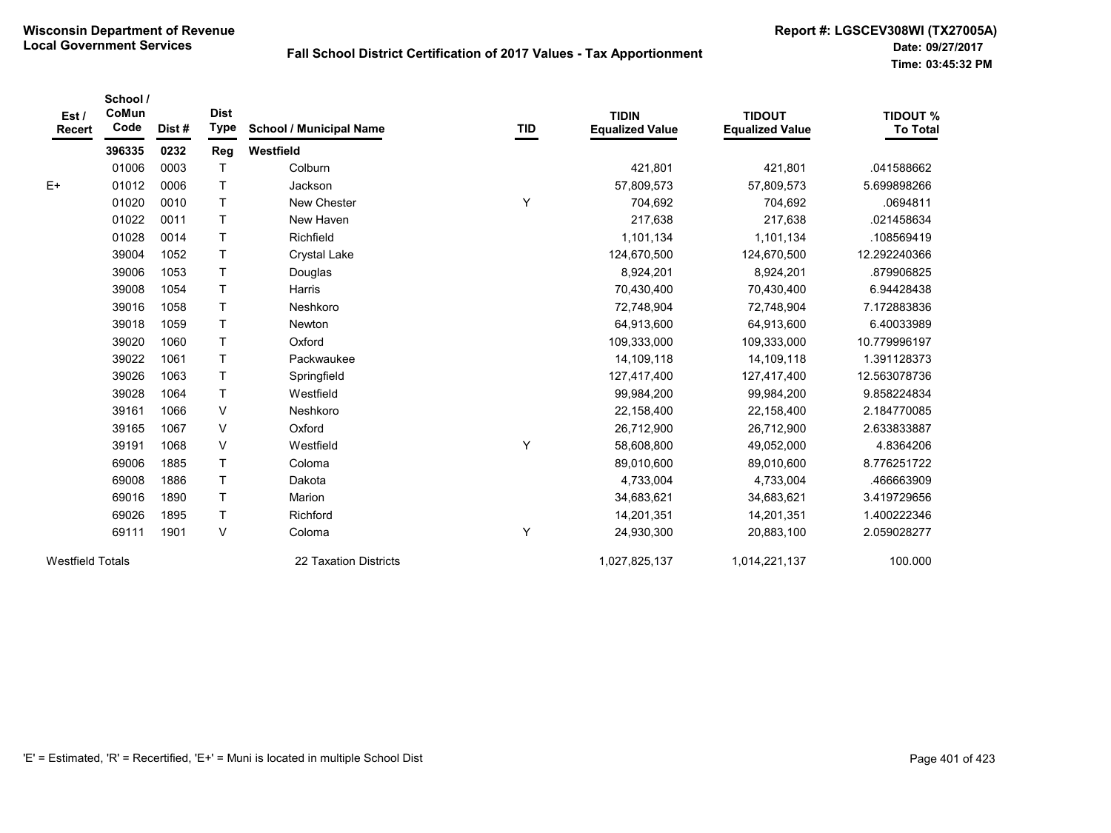| Est /<br><b>Recert</b>  | School /<br>CoMun<br>Code | Dist# | <b>Dist</b><br><b>Type</b> | <b>School / Municipal Name</b> | <b>TID</b> | <b>TIDIN</b><br><b>Equalized Value</b> | <b>TIDOUT</b><br><b>Equalized Value</b> | <b>TIDOUT %</b><br><b>To Total</b> |
|-------------------------|---------------------------|-------|----------------------------|--------------------------------|------------|----------------------------------------|-----------------------------------------|------------------------------------|
|                         | 396335                    | 0232  | <b>Reg</b>                 | Westfield                      |            |                                        |                                         |                                    |
|                         | 01006                     | 0003  | T                          | Colburn                        |            | 421,801                                | 421,801                                 | .041588662                         |
| $E+$                    | 01012                     | 0006  | $\mathsf{T}$               | Jackson                        |            | 57,809,573                             | 57,809,573                              | 5.699898266                        |
|                         | 01020                     | 0010  | T                          | New Chester                    | Υ          | 704,692                                | 704,692                                 | .0694811                           |
|                         | 01022                     | 0011  | T                          | New Haven                      |            | 217,638                                | 217,638                                 | .021458634                         |
|                         | 01028                     | 0014  | $\mathsf T$                | Richfield                      |            | 1,101,134                              | 1,101,134                               | 108569419                          |
|                         | 39004                     | 1052  | T                          | <b>Crystal Lake</b>            |            | 124,670,500                            | 124,670,500                             | 12.292240366                       |
|                         | 39006                     | 1053  | $\mathsf{T}$               | Douglas                        |            | 8,924,201                              | 8,924,201                               | .879906825                         |
|                         | 39008                     | 1054  | $\mathsf T$                | <b>Harris</b>                  |            | 70,430,400                             | 70,430,400                              | 6.94428438                         |
|                         | 39016                     | 1058  | $\mathsf T$                | Neshkoro                       |            | 72,748,904                             | 72,748,904                              | 7.172883836                        |
|                         | 39018                     | 1059  | $\mathsf{T}$               | <b>Newton</b>                  |            | 64,913,600                             | 64,913,600                              | 6.40033989                         |
|                         | 39020                     | 1060  | T.                         | Oxford                         |            | 109,333,000                            | 109,333,000                             | 10.779996197                       |
|                         | 39022                     | 1061  | $\mathsf{T}$               | Packwaukee                     |            | 14,109,118                             | 14,109,118                              | 1.391128373                        |
|                         | 39026                     | 1063  | $\mathsf T$                | Springfield                    |            | 127,417,400                            | 127,417,400                             | 12.563078736                       |
|                         | 39028                     | 1064  | $\mathsf T$                | Westfield                      |            | 99,984,200                             | 99,984,200                              | 9.858224834                        |
|                         | 39161                     | 1066  | $\vee$                     | Neshkoro                       |            | 22,158,400                             | 22,158,400                              | 2.184770085                        |
|                         | 39165                     | 1067  | V                          | Oxford                         |            | 26,712,900                             | 26,712,900                              | 2.633833887                        |
|                         | 39191                     | 1068  | V                          | Westfield                      | Υ          | 58,608,800                             | 49,052,000                              | 4.8364206                          |
|                         | 69006                     | 1885  | $\mathsf T$                | Coloma                         |            | 89,010,600                             | 89,010,600                              | 8.776251722                        |
|                         | 69008                     | 1886  | $\mathsf{T}$               | Dakota                         |            | 4,733,004                              | 4,733,004                               | .466663909                         |
|                         | 69016                     | 1890  | $\mathsf{T}$               | Marion                         |            | 34,683,621                             | 34,683,621                              | 3.419729656                        |
|                         | 69026                     | 1895  | $\top$                     | Richford                       |            | 14,201,351                             | 14,201,351                              | 1.400222346                        |
|                         | 69111                     | 1901  | V                          | Coloma                         | Υ          | 24,930,300                             | 20,883,100                              | 2.059028277                        |
| <b>Westfield Totals</b> |                           |       |                            | 22 Taxation Districts          |            | 1,027,825,137                          | 1,014,221,137                           | 100.000                            |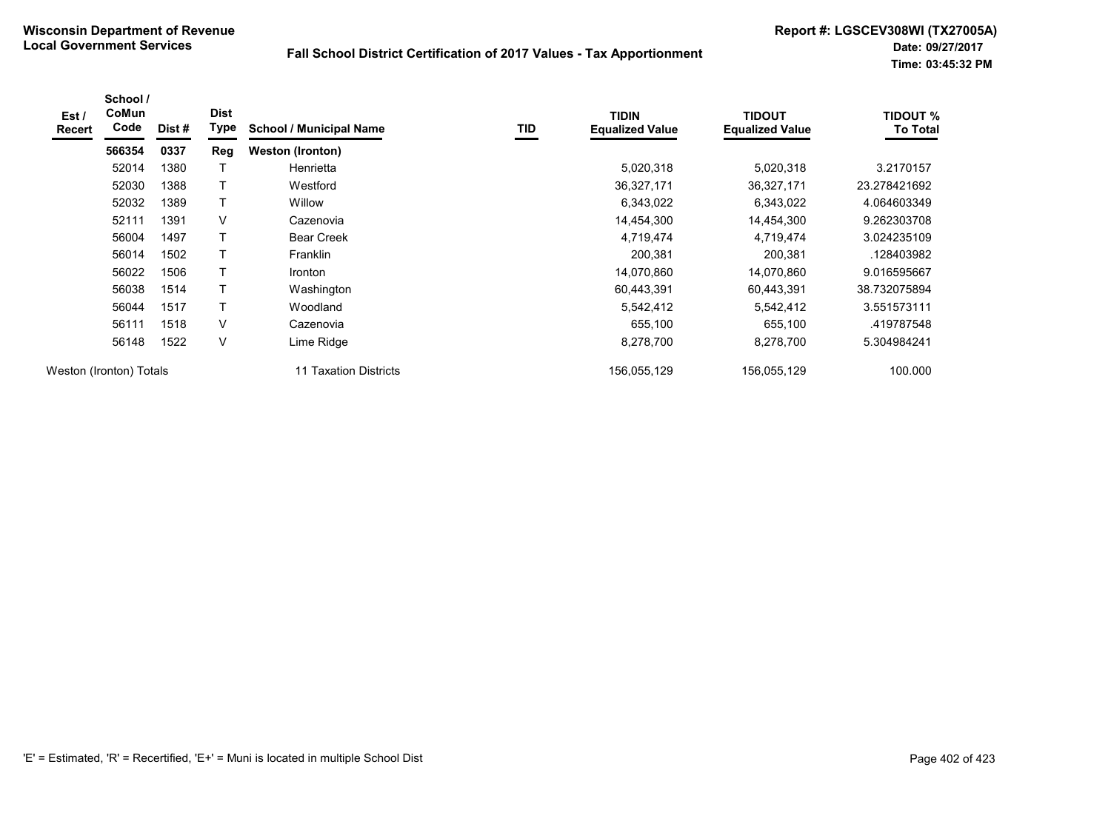| Est /<br><b>Recert</b> | School /<br>CoMun<br>Code | Dist# | <b>Dist</b><br><b>Type</b> | <b>School / Municipal Name</b> | TID | <b>TIDIN</b><br><b>Equalized Value</b> | <b>TIDOUT</b><br><b>Equalized Value</b> | <b>TIDOUT %</b><br><b>To Total</b> |
|------------------------|---------------------------|-------|----------------------------|--------------------------------|-----|----------------------------------------|-----------------------------------------|------------------------------------|
|                        | 566354                    | 0337  | Reg                        | <b>Weston (Ironton)</b>        |     |                                        |                                         |                                    |
|                        | 52014                     | 1380  |                            | Henrietta                      |     | 5,020,318                              | 5,020,318                               | 3.2170157                          |
|                        | 52030                     | 1388  | T                          | Westford                       |     | 36,327,171                             | 36,327,171                              | 23.278421692                       |
|                        | 52032                     | 1389  | T                          | Willow                         |     | 6,343,022                              | 6,343,022                               | 4.064603349                        |
|                        | 52111                     | 1391  | V                          | Cazenovia                      |     | 14,454,300                             | 14,454,300                              | 9.262303708                        |
|                        | 56004                     | 1497  | Τ                          | <b>Bear Creek</b>              |     | 4,719,474                              | 4,719,474                               | 3.024235109                        |
|                        | 56014                     | 1502  | Τ                          | <b>Franklin</b>                |     | 200,381                                | 200,381                                 | .128403982                         |
|                        | 56022                     | 1506  | T                          | Ironton                        |     | 14,070,860                             | 14,070,860                              | 9.016595667                        |
|                        | 56038                     | 1514  |                            | Washington                     |     | 60,443,391                             | 60,443,391                              | 38.732075894                       |
|                        | 56044                     | 1517  | T                          | Woodland                       |     | 5,542,412                              | 5,542,412                               | 3.551573111                        |
|                        | 56111                     | 1518  | V                          | Cazenovia                      |     | 655,100                                | 655,100                                 | .419787548                         |
|                        | 56148                     | 1522  | V                          | Lime Ridge                     |     | 8,278,700                              | 8,278,700                               | 5.304984241                        |
|                        | Weston (Ironton) Totals   |       |                            | 11 Taxation Districts          |     | 156,055,129                            | 156,055,129                             | 100.000                            |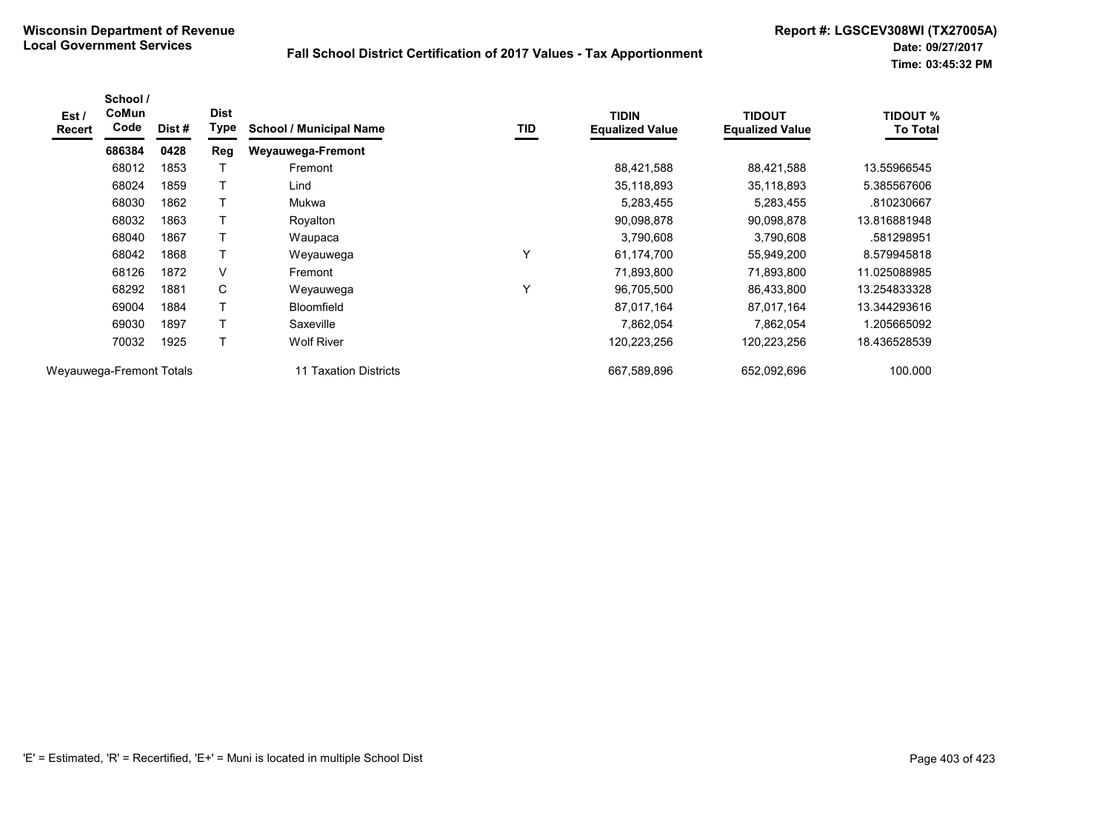| Est /<br><b>Recert</b>   | School /<br><b>CoMun</b><br>Code | Dist# | <b>Dist</b><br>Type | <b>School / Municipal Name</b> | TID | <b>TIDIN</b><br><b>Equalized Value</b> | <b>TIDOUT</b><br><b>Equalized Value</b> | <b>TIDOUT %</b><br>To Total |
|--------------------------|----------------------------------|-------|---------------------|--------------------------------|-----|----------------------------------------|-----------------------------------------|-----------------------------|
|                          | 686384                           | 0428  | <b>Reg</b>          | Weyauwega-Fremont              |     |                                        |                                         |                             |
|                          | 68012                            | 1853  |                     | Fremont                        |     | 88,421,588                             | 88,421,588                              | 13.55966545                 |
|                          | 68024                            | 1859  | Τ                   | Lind                           |     | 35,118,893                             | 35,118,893                              | 5.385567606                 |
|                          | 68030                            | 1862  | $\mathsf{T}$        | Mukwa                          |     | 5,283,455                              | 5,283,455                               | .810230667                  |
|                          | 68032                            | 1863  |                     | Royalton                       |     | 90,098,878                             | 90,098,878                              | 13.816881948                |
|                          | 68040                            | 1867  |                     | Waupaca                        |     | 3,790,608                              | 3,790,608                               | .581298951                  |
|                          | 68042                            | 1868  | Τ                   | Weyauwega                      | Y   | 61,174,700                             | 55,949,200                              | 8.579945818                 |
|                          | 68126                            | 1872  | V                   | Fremont                        |     | 71,893,800                             | 71,893,800                              | 11.025088985                |
|                          | 68292                            | 1881  | С                   | Weyauwega                      | Y   | 96,705,500                             | 86,433,800                              | 13.254833328                |
|                          | 69004                            | 1884  |                     | <b>Bloomfield</b>              |     | 87,017,164                             | 87,017,164                              | 13.344293616                |
|                          | 69030                            | 1897  | Τ                   | Saxeville                      |     | 7,862,054                              | 7,862,054                               | 1.205665092                 |
|                          | 70032                            | 1925  | T                   | <b>Wolf River</b>              |     | 120,223,256                            | 120,223,256                             | 18.436528539                |
| Weyauwega-Fremont Totals |                                  |       |                     | 11 Taxation Districts          |     | 667,589,896                            | 652,092,696                             | 100.000                     |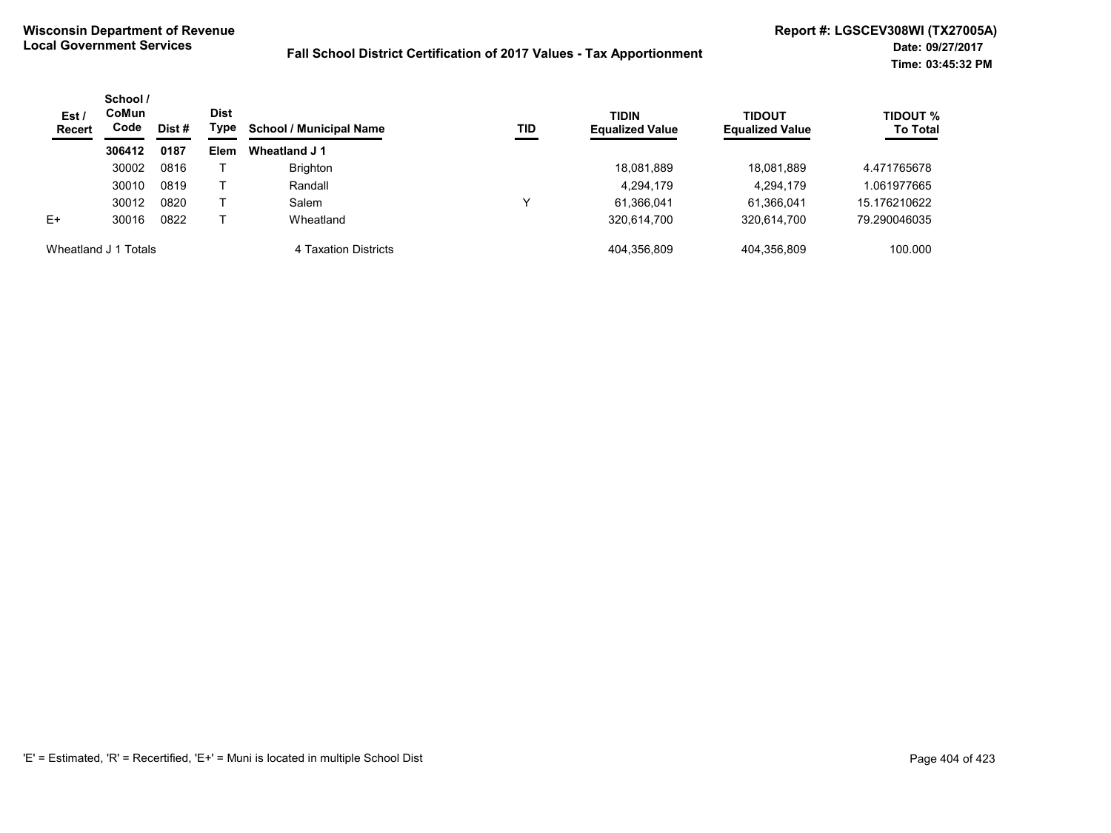| Est/<br><b>Recert</b> | School /<br>CoMun<br>Code<br>Dist # | <b>Dist</b><br>Type | <b>School / Municipal Name</b> | TID                  | <b>TIDIN</b><br><b>Equalized Value</b> | TIDOUT<br><b>Equalized Value</b> | <b>TIDOUT %</b><br><b>To Total</b> |              |
|-----------------------|-------------------------------------|---------------------|--------------------------------|----------------------|----------------------------------------|----------------------------------|------------------------------------|--------------|
|                       | 306412                              | 0187                | <b>Elem</b>                    | Wheatland J 1        |                                        |                                  |                                    |              |
|                       | 30002                               | 0816                |                                | <b>Brighton</b>      |                                        | 18,081,889                       | 18,081,889                         | 4.471765678  |
|                       | 30010                               | 0819                |                                | Randall              |                                        | 4,294,179                        | 4,294,179                          | 1.061977665  |
|                       | 30012                               | 0820                |                                | Salem                |                                        | 61,366,041                       | 61,366,041                         | 15.176210622 |
| $E+$                  | 30016                               | 0822                |                                | Wheatland            |                                        | 320,614,700                      | 320,614,700                        | 79.290046035 |
| Wheatland J 1 Totals  |                                     |                     |                                | 4 Taxation Districts |                                        | 404.356.809                      | 404.356.809                        | 100.000      |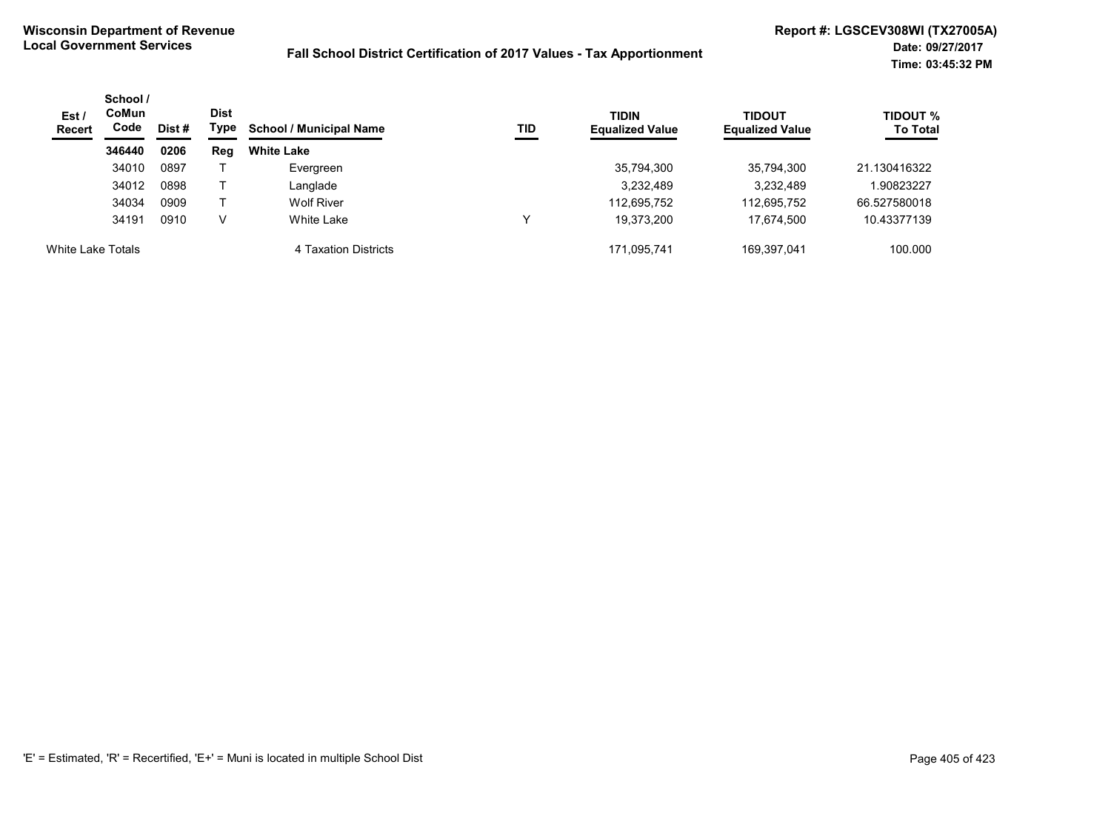| Est/<br><b>Recert</b> | School /<br><b>CoMun</b><br>Code | Dist# | Dist<br>Type | <b>School / Municipal Name</b> | TID | <b>TIDIN</b><br><b>Equalized Value</b> | <b>TIDOUT</b><br><b>Equalized Value</b> | <b>TIDOUT %</b><br><b>To Total</b> |
|-----------------------|----------------------------------|-------|--------------|--------------------------------|-----|----------------------------------------|-----------------------------------------|------------------------------------|
|                       | 346440                           | 0206  | Reg          | <b>White Lake</b>              |     |                                        |                                         |                                    |
|                       | 34010                            | 0897  |              | Evergreen                      |     | 35,794,300                             | 35,794,300                              | 21.130416322                       |
|                       | 34012                            | 0898  |              | Langlade                       |     | 3,232,489                              | 3,232,489                               | 1.90823227                         |
|                       | 34034                            | 0909  |              | <b>Wolf River</b>              |     | 112,695,752                            | 112,695,752                             | 66.527580018                       |
|                       | 34191                            | 0910  | V            | White Lake                     | ν   | 19.373.200                             | 17.674.500                              | 10.43377139                        |
| White Lake Totals     |                                  |       |              | 4 Taxation Districts           |     | 171.095.741                            | 169.397.041                             | 100.000                            |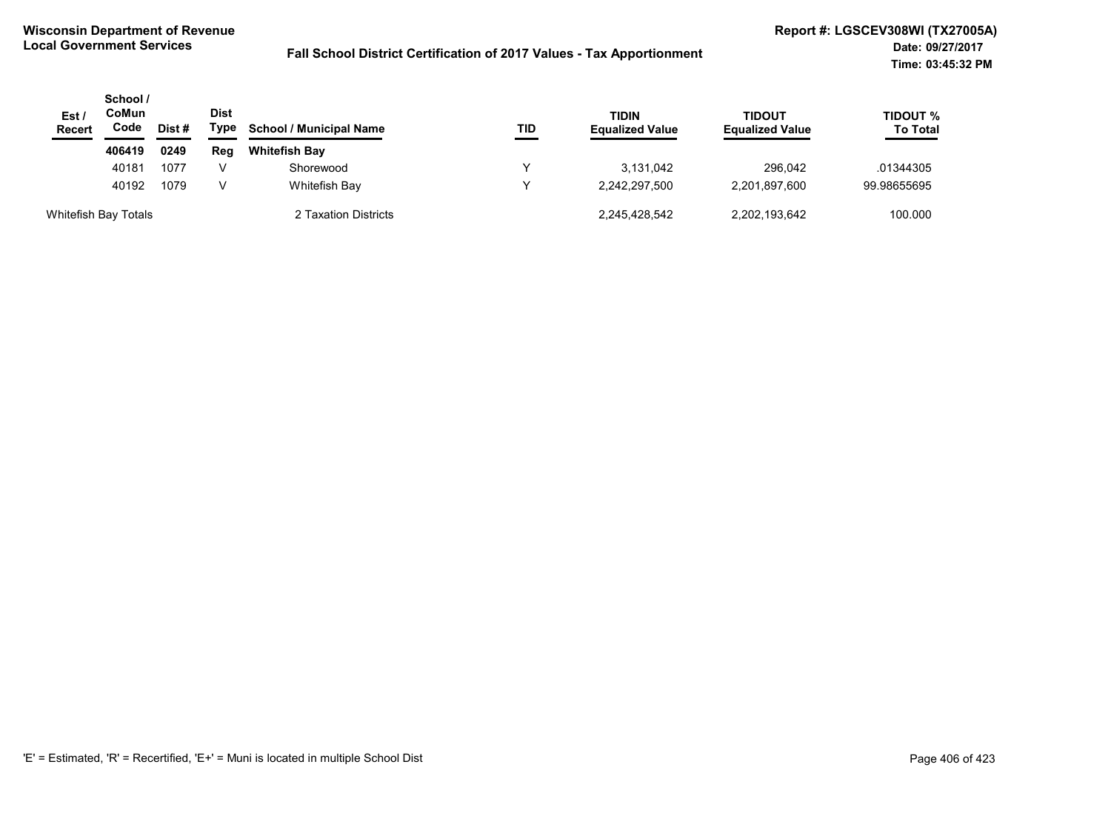| Est/<br><b>Recert</b> | School /<br>CoMun<br>Code | Dist # | <b>Dist</b><br>Type | TIDIN<br><b>School / Municipal Name</b><br>TID | <b>Equalized Value</b> | TIDOUT<br><b>Equalized Value</b> | TIDOUT %<br><b>To Total</b> |             |
|-----------------------|---------------------------|--------|---------------------|------------------------------------------------|------------------------|----------------------------------|-----------------------------|-------------|
|                       | 406419                    | 0249   | Reg                 | <b>Whitefish Bay</b>                           |                        |                                  |                             |             |
|                       | 40181                     | 1077   |                     | Shorewood                                      |                        | 3.131.042                        | 296.042                     | .01344305   |
|                       | 40192                     | 1079   | V                   | Whitefish Bay                                  |                        | 2,242,297,500                    | 2,201,897,600               | 99.98655695 |
| Whitefish Bay Totals  |                           |        |                     | 2 Taxation Districts                           |                        | 2,245,428,542                    | 2,202,193,642               | 100.000     |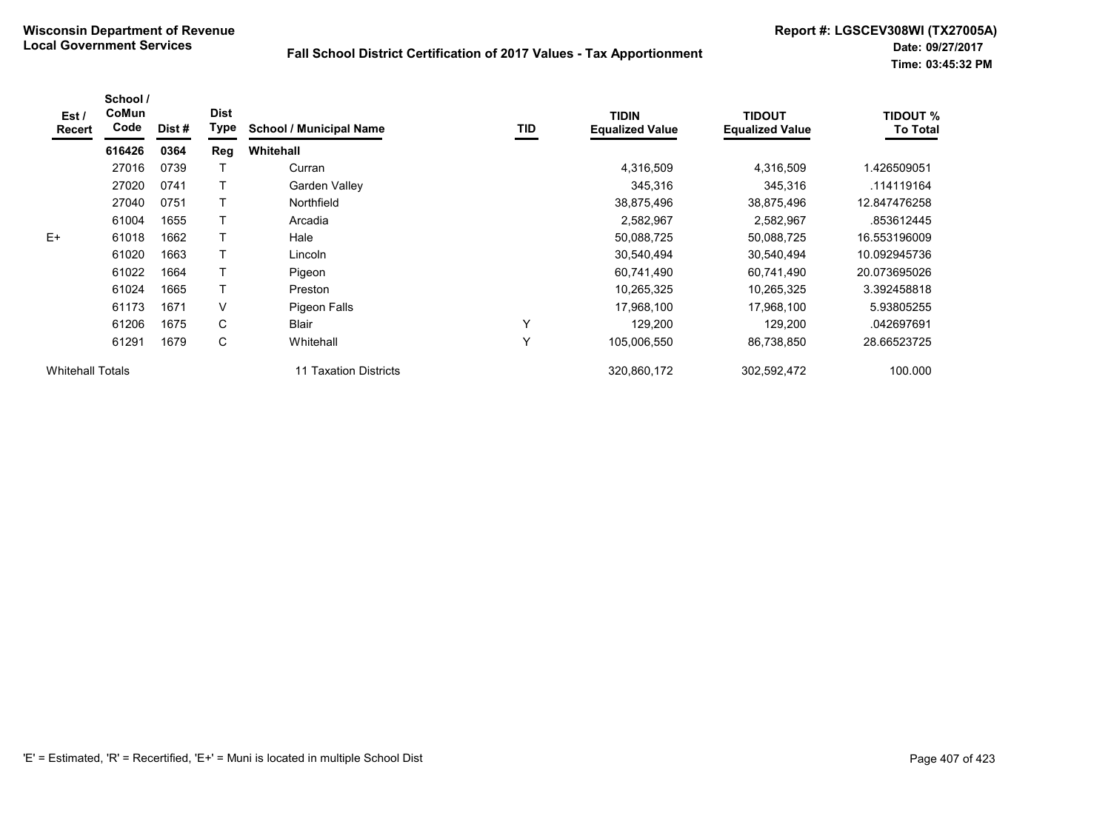| Est/<br>Recert          | School /<br>CoMun<br>Code | Dist# | <b>Dist</b><br><b>Type</b> | <b>School / Municipal Name</b> | TID | <b>TIDIN</b><br><b>Equalized Value</b> | <b>TIDOUT</b><br><b>Equalized Value</b> | <b>TIDOUT %</b><br><b>To Total</b> |
|-------------------------|---------------------------|-------|----------------------------|--------------------------------|-----|----------------------------------------|-----------------------------------------|------------------------------------|
|                         | 616426                    | 0364  | Reg                        | Whitehall                      |     |                                        |                                         |                                    |
|                         | 27016                     | 0739  |                            | Curran                         |     | 4,316,509                              | 4,316,509                               | 1.426509051                        |
|                         | 27020                     | 0741  |                            | Garden Valley                  |     | 345,316                                | 345,316                                 | .114119164                         |
|                         | 27040                     | 0751  |                            | Northfield                     |     | 38,875,496                             | 38,875,496                              | 12.847476258                       |
|                         | 61004                     | 1655  |                            | Arcadia                        |     | 2,582,967                              | 2,582,967                               | .853612445                         |
| $E+$                    | 61018                     | 1662  |                            | Hale                           |     | 50,088,725                             | 50,088,725                              | 16.553196009                       |
|                         | 61020                     | 1663  |                            | Lincoln                        |     | 30,540,494                             | 30,540,494                              | 10.092945736                       |
|                         | 61022                     | 1664  |                            | Pigeon                         |     | 60,741,490                             | 60,741,490                              | 20.073695026                       |
|                         | 61024                     | 1665  |                            | Preston                        |     | 10,265,325                             | 10,265,325                              | 3.392458818                        |
|                         | 61173                     | 1671  | V                          | Pigeon Falls                   |     | 17,968,100                             | 17,968,100                              | 5.93805255                         |
|                         | 61206                     | 1675  | C                          | <b>Blair</b>                   | Y   | 129,200                                | 129,200                                 | .042697691                         |
|                         | 61291                     | 1679  | C                          | Whitehall                      | Y   | 105,006,550                            | 86,738,850                              | 28.66523725                        |
| <b>Whitehall Totals</b> |                           |       |                            | 11 Taxation Districts          |     | 320,860,172                            | 302,592,472                             | 100.000                            |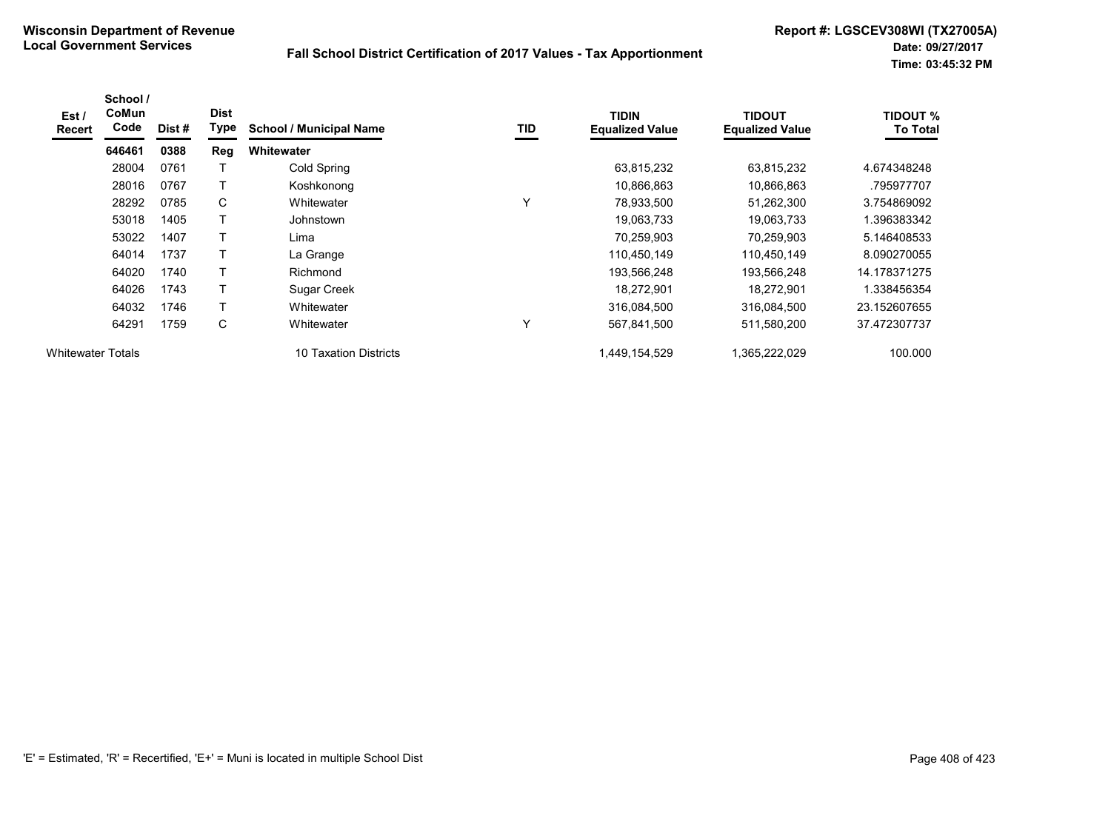| Est /<br><b>Recert</b>   | School /<br>CoMun<br>Code | Dist# | <b>Dist</b><br>Type | <b>School / Municipal Name</b> | TID          | <b>TIDIN</b><br><b>Equalized Value</b> | <b>TIDOUT</b><br><b>Equalized Value</b> | <b>TIDOUT %</b><br><b>To Total</b> |
|--------------------------|---------------------------|-------|---------------------|--------------------------------|--------------|----------------------------------------|-----------------------------------------|------------------------------------|
|                          | 646461                    | 0388  | Reg                 | <b>Whitewater</b>              |              |                                        |                                         |                                    |
|                          | 28004                     | 0761  |                     | Cold Spring                    |              | 63,815,232                             | 63,815,232                              | 4.674348248                        |
|                          | 28016                     | 0767  |                     | Koshkonong                     |              | 10,866,863                             | 10,866,863                              | .795977707                         |
|                          | 28292                     | 0785  | C                   | Whitewater                     | $\checkmark$ | 78,933,500                             | 51,262,300                              | 3.754869092                        |
|                          | 53018                     | 1405  |                     | Johnstown                      |              | 19,063,733                             | 19,063,733                              | 1.396383342                        |
|                          | 53022                     | 1407  |                     | Lima                           |              | 70,259,903                             | 70,259,903                              | 5.146408533                        |
|                          | 64014                     | 1737  |                     | La Grange                      |              | 110,450,149                            | 110,450,149                             | 8.090270055                        |
|                          | 64020                     | 1740  |                     | Richmond                       |              | 193,566,248                            | 193,566,248                             | 14.178371275                       |
|                          | 64026                     | 1743  |                     | Sugar Creek                    |              | 18,272,901                             | 18,272,901                              | 1.338456354                        |
|                          | 64032                     | 1746  |                     | Whitewater                     |              | 316,084,500                            | 316,084,500                             | 23.152607655                       |
|                          | 64291                     | 1759  | C                   | Whitewater                     |              | 567,841,500                            | 511,580,200                             | 37.472307737                       |
| <b>Whitewater Totals</b> |                           |       |                     | 10 Taxation Districts          |              | 1,449,154,529                          | 1,365,222,029                           | 100.000                            |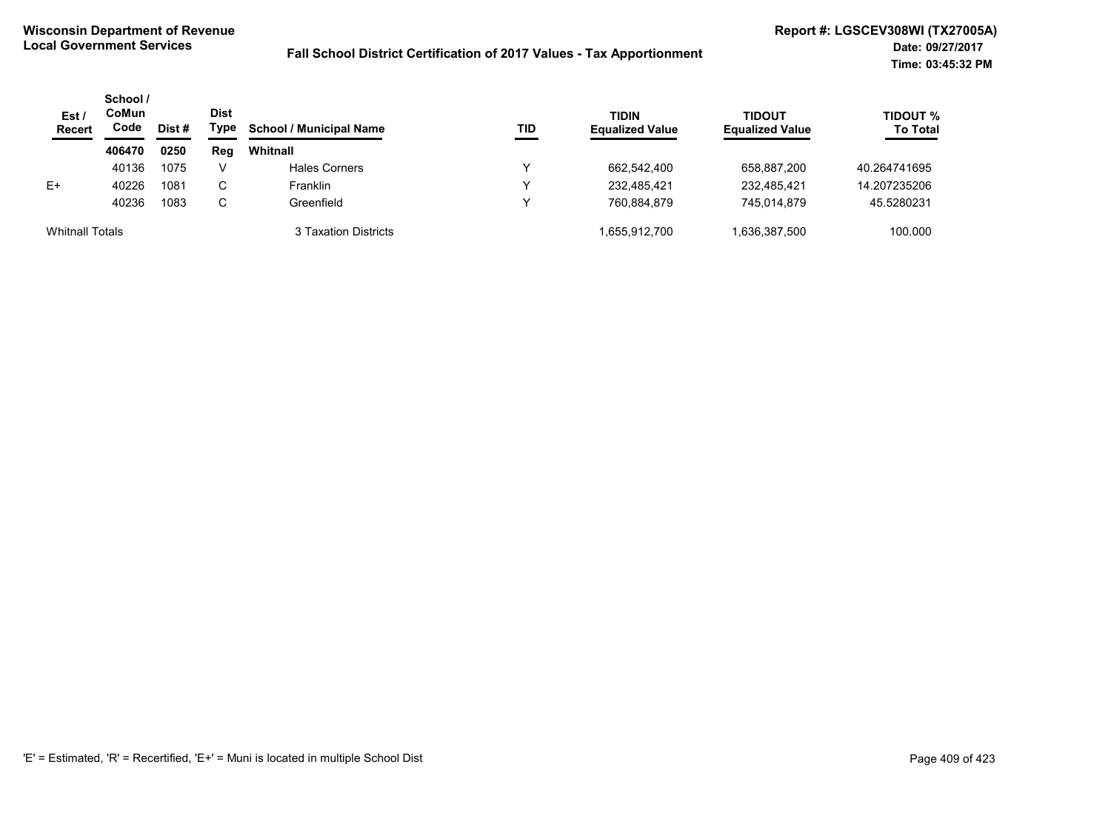| Est /<br><b>Recert</b> | School /<br>CoMun<br>Code | Dist# | <b>Dist</b><br>Type | <b>School / Municipal Name</b> | TID | <b>TIDIN</b><br><b>Equalized Value</b> | TIDOUT<br><b>Equalized Value</b> | <b>TIDOUT %</b><br><b>To Total</b> |
|------------------------|---------------------------|-------|---------------------|--------------------------------|-----|----------------------------------------|----------------------------------|------------------------------------|
|                        | 406470                    | 0250  | Reg                 | Whitnall                       |     |                                        |                                  |                                    |
|                        | 40136                     | 1075  | v                   | <b>Hales Corners</b>           | ν   | 662.542.400                            | 658,887,200                      | 40.264741695                       |
| $E+$                   | 40226                     | 1081  | С                   | Franklin                       | v   | 232.485.421                            | 232.485.421                      | 14.207235206                       |
|                        | 40236                     | 1083  | С                   | Greenfield                     | v   | 760.884.879                            | 745.014.879                      | 45.5280231                         |
| <b>Whitnall Totals</b> |                           |       |                     | 3 Taxation Districts           |     | 1.655.912.700                          | 1,636,387,500                    | 100.000                            |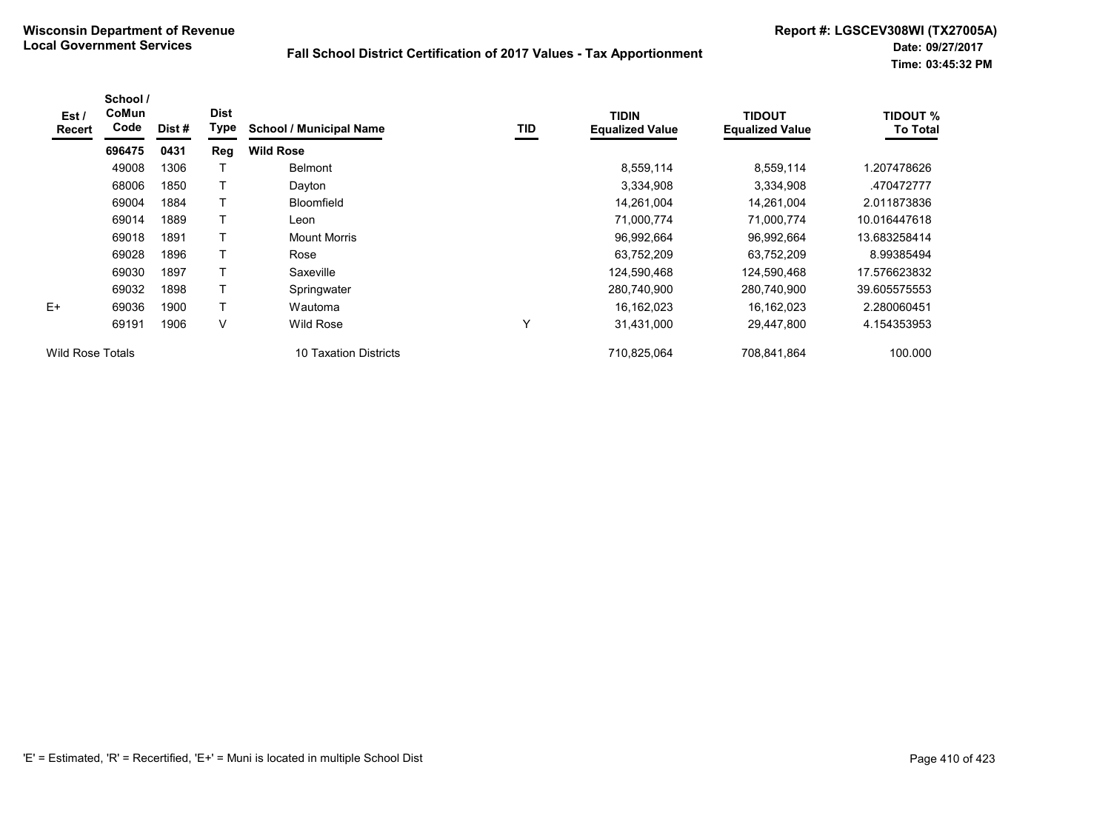| Est/<br><b>Recert</b>   | School /<br>CoMun<br>Code | Dist # | <b>Dist</b><br>Type | <b>School / Municipal Name</b> | TID | TIDIN<br><b>Equalized Value</b> | <b>TIDOUT</b><br><b>Equalized Value</b> | <b>TIDOUT %</b><br><b>To Total</b> |
|-------------------------|---------------------------|--------|---------------------|--------------------------------|-----|---------------------------------|-----------------------------------------|------------------------------------|
|                         | 696475                    | 0431   | Reg                 | <b>Wild Rose</b>               |     |                                 |                                         |                                    |
|                         | 49008                     | 1306   |                     | <b>Belmont</b>                 |     | 8,559,114                       | 8,559,114                               | 1.207478626                        |
|                         | 68006                     | 1850   |                     | Dayton                         |     | 3,334,908                       | 3,334,908                               | .470472777                         |
|                         | 69004                     | 1884   |                     | <b>Bloomfield</b>              |     | 14,261,004                      | 14,261,004                              | 2.011873836                        |
|                         | 69014                     | 1889   |                     | Leon                           |     | 71,000,774                      | 71,000,774                              | 10.016447618                       |
|                         | 69018                     | 1891   |                     | Mount Morris                   |     | 96,992,664                      | 96,992,664                              | 13.683258414                       |
|                         | 69028                     | 1896   |                     | Rose                           |     | 63,752,209                      | 63,752,209                              | 8.99385494                         |
|                         | 69030                     | 1897   |                     | Saxeville                      |     | 124,590,468                     | 124,590,468                             | 17.576623832                       |
|                         | 69032                     | 1898   | T.                  | Springwater                    |     | 280,740,900                     | 280,740,900                             | 39.605575553                       |
| $E+$                    | 69036                     | 1900   |                     | Wautoma                        |     | 16,162,023                      | 16,162,023                              | 2.280060451                        |
|                         | 69191                     | 1906   | V                   | <b>Wild Rose</b>               | Υ   | 31,431,000                      | 29,447,800                              | 4.154353953                        |
| <b>Wild Rose Totals</b> |                           |        |                     | 10 Taxation Districts          |     | 710,825,064                     | 708,841,864                             | 100.000                            |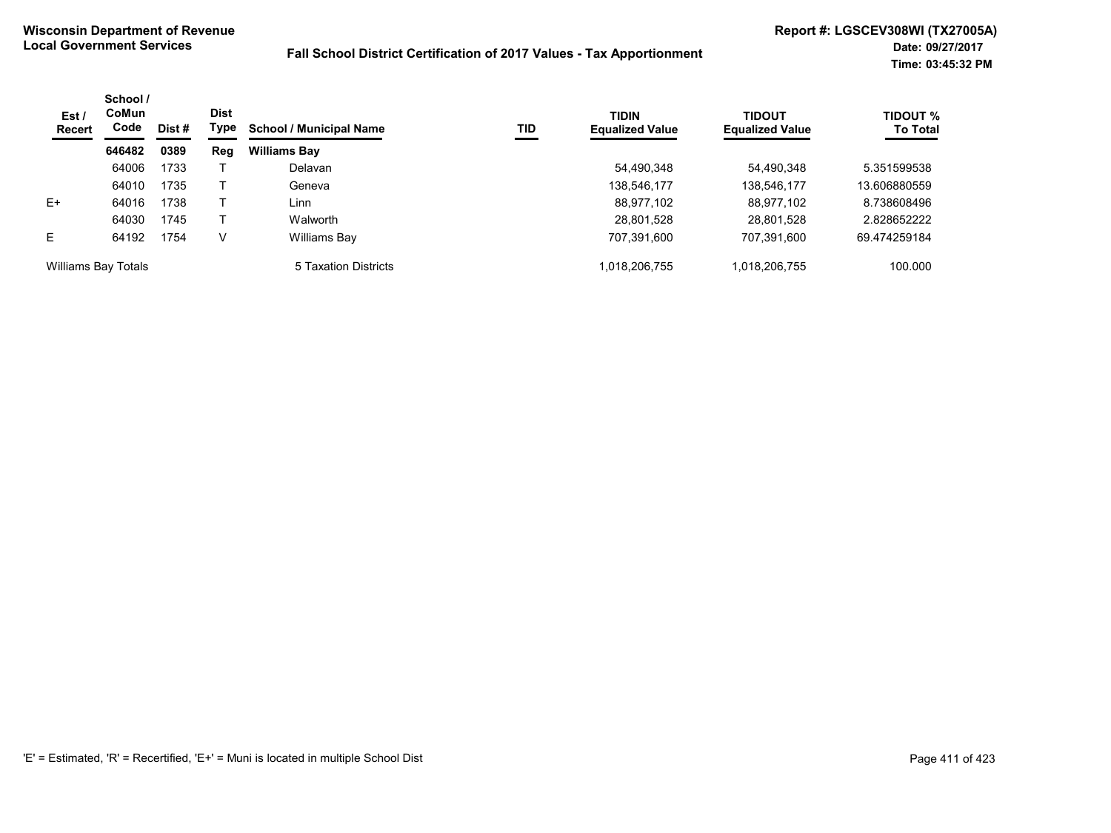| Est/<br>Recert      | School /<br>CoMun<br>Code | Dist # | <b>Dist</b><br>Type | <b>School / Municipal Name</b> | <b>TID</b> | <b>TIDIN</b><br><b>Equalized Value</b> | <b>TIDOUT</b><br><b>Equalized Value</b> | TIDOUT %<br><b>To Total</b> |
|---------------------|---------------------------|--------|---------------------|--------------------------------|------------|----------------------------------------|-----------------------------------------|-----------------------------|
|                     | 646482                    | 0389   | Reg                 | <b>Williams Bay</b>            |            |                                        |                                         |                             |
|                     | 64006                     | 1733   |                     | Delavan                        |            | 54,490,348                             | 54.490.348                              | 5.351599538                 |
|                     | 64010                     | 1735   |                     | Geneva                         |            | 138,546,177                            | 138,546,177                             | 13.606880559                |
| $E+$                | 64016                     | 1738   |                     | Linn                           |            | 88,977,102                             | 88,977,102                              | 8.738608496                 |
|                     | 64030                     | 1745   |                     | Walworth                       |            | 28,801,528                             | 28,801,528                              | 2.828652222                 |
| E                   | 64192                     | 1754   | V                   | Williams Bay                   |            | 707,391,600                            | 707,391,600                             | 69.474259184                |
| Williams Bay Totals |                           |        |                     | 5 Taxation Districts           |            | 1,018,206,755                          | 1,018,206,755                           | 100.000                     |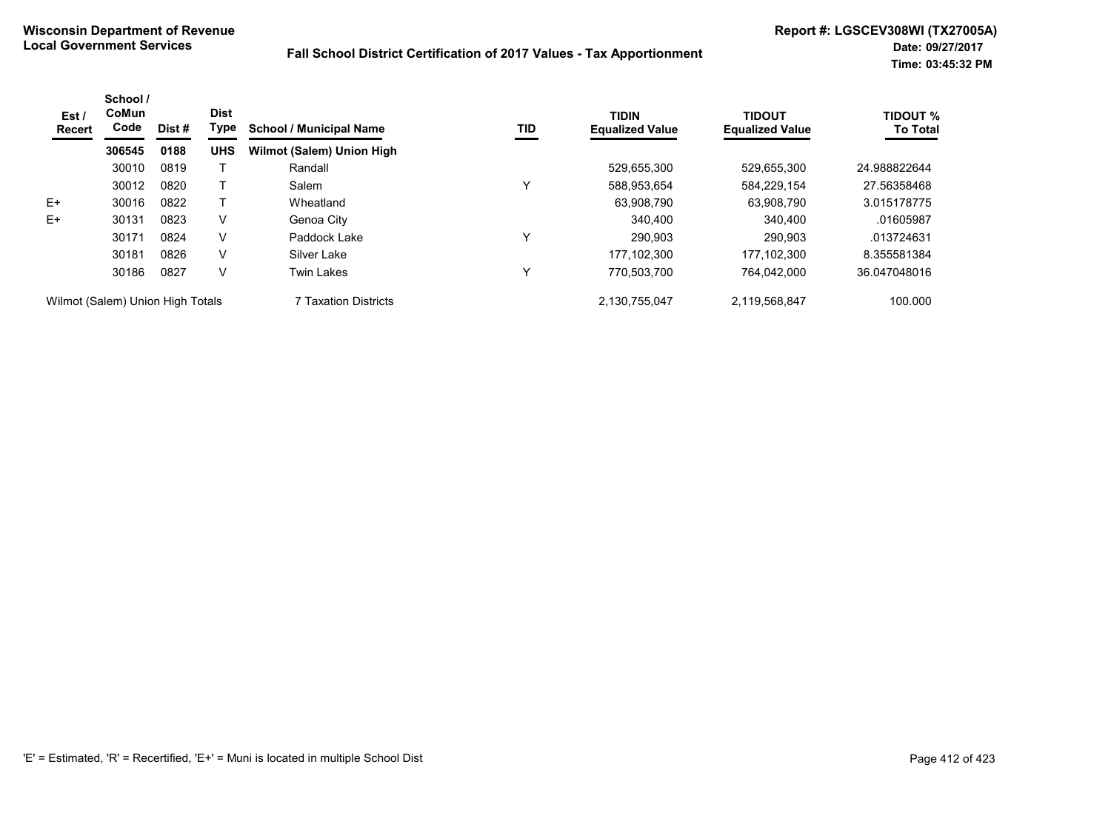| Est /<br><b>Recert</b>           | School /<br>CoMun<br>Code | Dist# | <b>Dist</b><br>Type | <b>School / Municipal Name</b> | TID | <b>TIDIN</b><br><b>Equalized Value</b> | <b>TIDOUT</b><br><b>Equalized Value</b> | <b>TIDOUT %</b><br><b>To Total</b> |
|----------------------------------|---------------------------|-------|---------------------|--------------------------------|-----|----------------------------------------|-----------------------------------------|------------------------------------|
|                                  | 306545                    | 0188  | <b>UHS</b>          | Wilmot (Salem) Union High      |     |                                        |                                         |                                    |
|                                  | 30010                     | 0819  |                     | Randall                        |     | 529,655,300                            | 529,655,300                             | 24.988822644                       |
|                                  | 30012                     | 0820  |                     | Salem                          | ν   | 588,953,654                            | 584.229.154                             | 27.56358468                        |
| $E+$                             | 30016                     | 0822  |                     | Wheatland                      |     | 63.908.790                             | 63.908.790                              | 3.015178775                        |
| $E+$                             | 30131                     | 0823  | V                   | Genoa City                     |     | 340.400                                | 340.400                                 | .01605987                          |
|                                  | 30171                     | 0824  | V                   | Paddock Lake                   | ν   | 290.903                                | 290.903                                 | .013724631                         |
|                                  | 30181                     | 0826  | V                   | Silver Lake                    |     | 177.102.300                            | 177.102.300                             | 8.355581384                        |
|                                  | 30186                     | 0827  | v                   | <b>Twin Lakes</b>              | ν   | 770.503.700                            | 764.042.000                             | 36.047048016                       |
| Wilmot (Salem) Union High Totals |                           |       |                     | 7 Taxation Districts           |     | 2.130.755.047                          | 2,119,568,847                           | 100.000                            |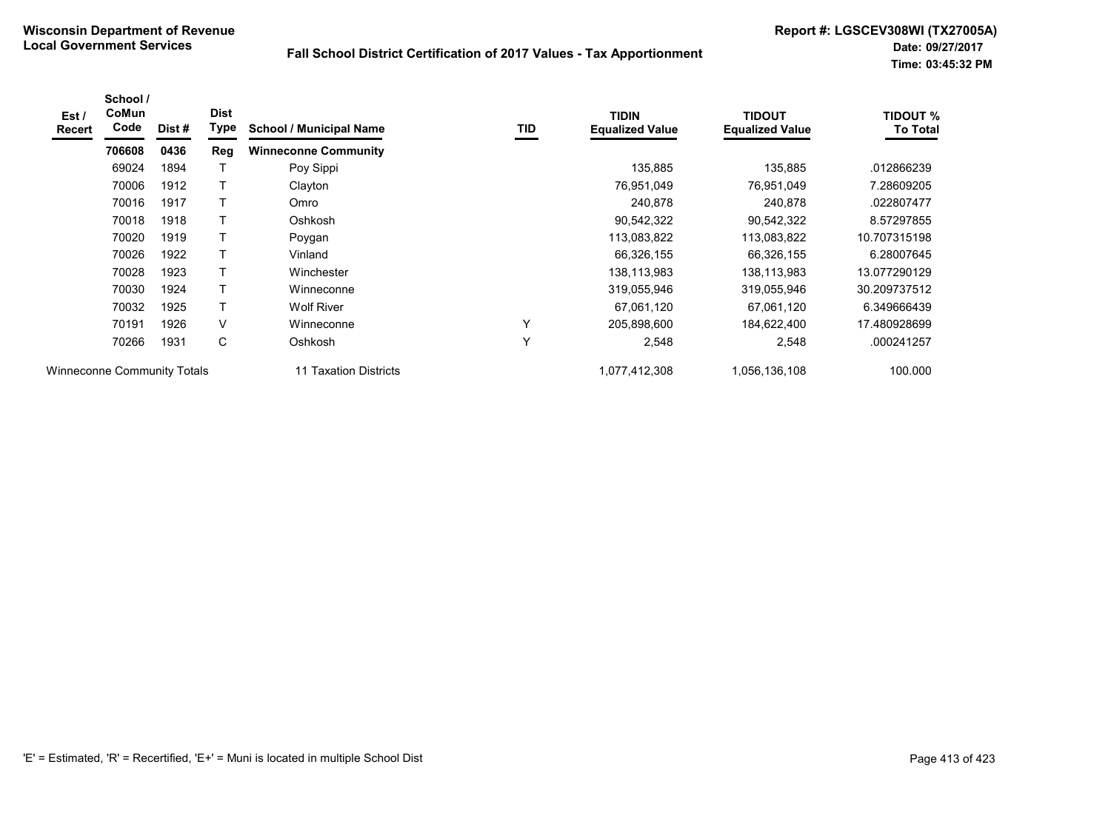| Est /<br>Recert | School /<br>CoMun<br>Code   | Dist# | <b>Dist</b><br>Type | <b>School / Municipal Name</b> | TID | <b>TIDIN</b><br><b>Equalized Value</b> | <b>TIDOUT</b><br><b>Equalized Value</b> | <b>TIDOUT %</b><br><b>To Total</b> |
|-----------------|-----------------------------|-------|---------------------|--------------------------------|-----|----------------------------------------|-----------------------------------------|------------------------------------|
|                 | 706608                      | 0436  | <b>Reg</b>          | <b>Winneconne Community</b>    |     |                                        |                                         |                                    |
|                 | 69024                       | 1894  |                     | Poy Sippi                      |     | 135,885                                | 135,885                                 | .012866239                         |
|                 | 70006                       | 1912  |                     | Clayton                        |     | 76,951,049                             | 76,951,049                              | 7.28609205                         |
|                 | 70016                       | 1917  |                     | Omro                           |     | 240,878                                | 240,878                                 | .022807477                         |
|                 | 70018                       | 1918  |                     | Oshkosh                        |     | 90,542,322                             | 90,542,322                              | 8.57297855                         |
|                 | 70020                       | 1919  |                     | Poygan                         |     | 113,083,822                            | 113,083,822                             | 10.707315198                       |
|                 | 70026                       | 1922  | $\top$              | Vinland                        |     | 66,326,155                             | 66,326,155                              | 6.28007645                         |
|                 | 70028                       | 1923  |                     | Winchester                     |     | 138,113,983                            | 138,113,983                             | 13.077290129                       |
|                 | 70030                       | 1924  |                     | Winneconne                     |     | 319,055,946                            | 319,055,946                             | 30.209737512                       |
|                 | 70032                       | 1925  | $\mathsf{T}$        | <b>Wolf River</b>              |     | 67,061,120                             | 67,061,120                              | 6.349666439                        |
|                 | 70191                       | 1926  | V                   | Winneconne                     | Y   | 205,898,600                            | 184,622,400                             | 17.480928699                       |
|                 | 70266                       | 1931  | С                   | Oshkosh                        | Y   | 2,548                                  | 2,548                                   | .000241257                         |
|                 | Winneconne Community Totals |       |                     | 11 Taxation Districts          |     | 1,077,412,308                          | 1,056,136,108                           | 100.000                            |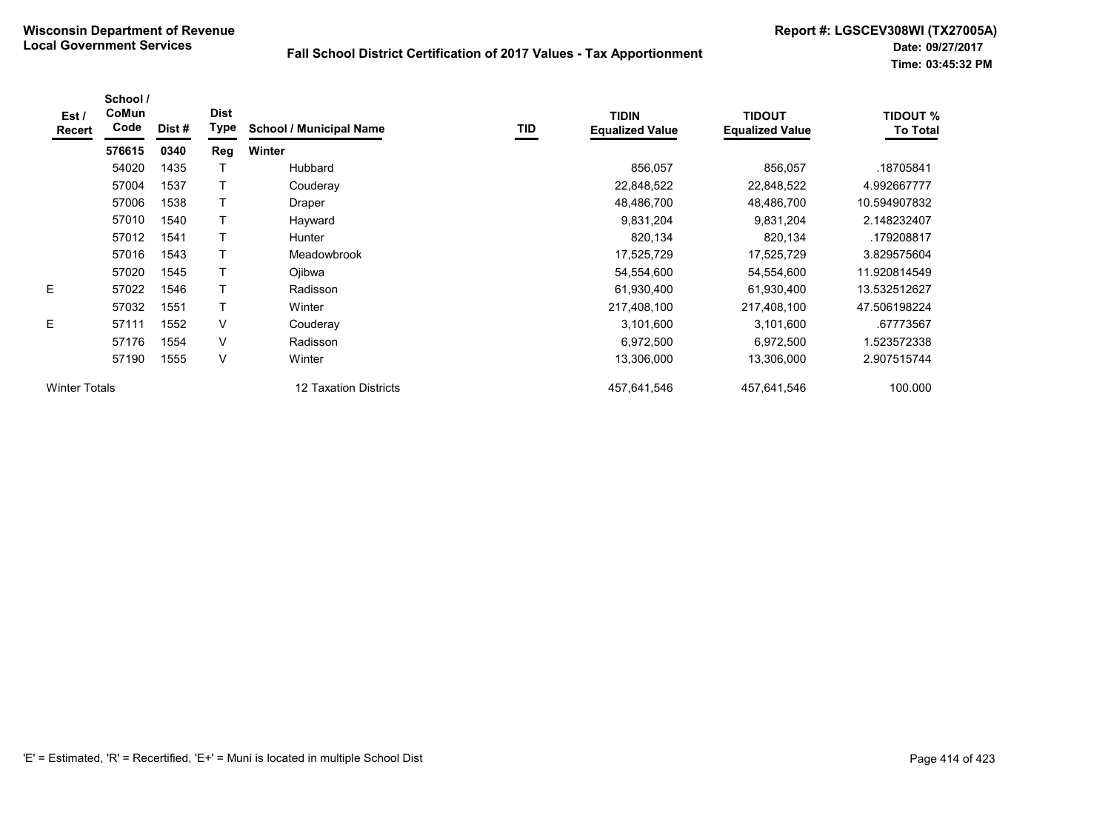| Est /<br>Recert      | School /<br>CoMun<br>Code | Dist # | <b>Dist</b><br>Type | <b>School / Municipal Name</b> | TID | <b>TIDIN</b><br><b>Equalized Value</b> | <b>TIDOUT</b><br><b>Equalized Value</b> | <b>TIDOUT %</b><br><b>To Total</b> |
|----------------------|---------------------------|--------|---------------------|--------------------------------|-----|----------------------------------------|-----------------------------------------|------------------------------------|
|                      | 576615                    | 0340   | Reg                 | <b>Winter</b>                  |     |                                        |                                         |                                    |
|                      | 54020                     | 1435   |                     | Hubbard                        |     | 856,057                                | 856,057                                 | .18705841                          |
|                      | 57004                     | 1537   |                     | Couderay                       |     | 22,848,522                             | 22,848,522                              | 4.992667777                        |
|                      | 57006                     | 1538   |                     | Draper                         |     | 48,486,700                             | 48,486,700                              | 10.594907832                       |
|                      | 57010                     | 1540   |                     | Hayward                        |     | 9,831,204                              | 9,831,204                               | 2.148232407                        |
|                      | 57012                     | 1541   |                     | <b>Hunter</b>                  |     | 820,134                                | 820,134                                 | .179208817                         |
|                      | 57016                     | 1543   |                     | Meadowbrook                    |     | 17,525,729                             | 17,525,729                              | 3.829575604                        |
|                      | 57020                     | 1545   |                     | Ojibwa                         |     | 54,554,600                             | 54,554,600                              | 11.920814549                       |
| E                    | 57022                     | 1546   |                     | Radisson                       |     | 61,930,400                             | 61,930,400                              | 13.532512627                       |
|                      | 57032                     | 1551   | Т                   | Winter                         |     | 217,408,100                            | 217,408,100                             | 47.506198224                       |
| E                    | 57111                     | 1552   | $\vee$              | Couderay                       |     | 3,101,600                              | 3,101,600                               | .67773567                          |
|                      | 57176                     | 1554   | V                   | Radisson                       |     | 6,972,500                              | 6,972,500                               | 1.523572338                        |
|                      | 57190                     | 1555   | $\vee$              | Winter                         |     | 13,306,000                             | 13,306,000                              | 2.907515744                        |
| <b>Winter Totals</b> |                           |        |                     | 12 Taxation Districts          |     | 457,641,546                            | 457,641,546                             | 100.000                            |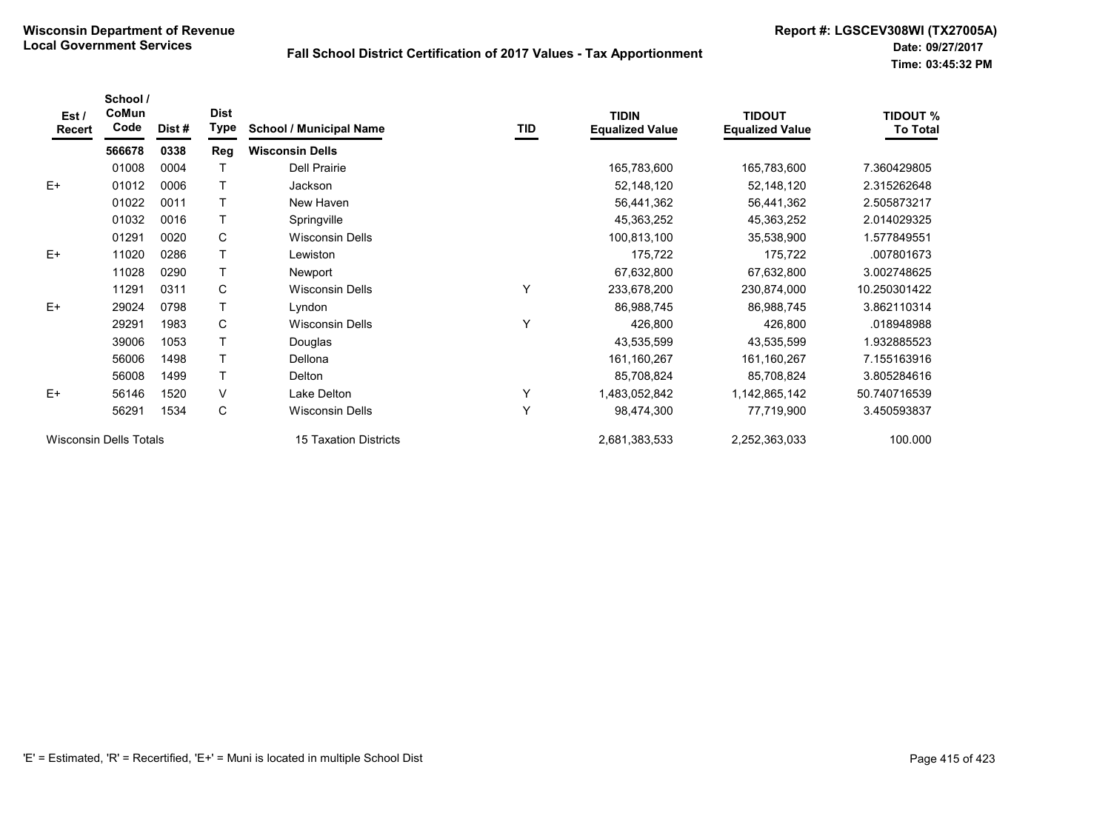| Est /<br>Recert | School /<br>CoMun<br>Code     | Dist # | <b>Dist</b><br><b>Type</b> | <b>School / Municipal Name</b> | TID | <b>TIDIN</b><br><b>Equalized Value</b> | <b>TIDOUT</b><br><b>Equalized Value</b> | <b>TIDOUT %</b><br><b>To Total</b> |
|-----------------|-------------------------------|--------|----------------------------|--------------------------------|-----|----------------------------------------|-----------------------------------------|------------------------------------|
|                 | 566678                        | 0338   | Reg                        | <b>Wisconsin Dells</b>         |     |                                        |                                         |                                    |
|                 | 01008                         | 0004   |                            | <b>Dell Prairie</b>            |     | 165,783,600                            | 165,783,600                             | 7.360429805                        |
| $E+$            | 01012                         | 0006   |                            | Jackson                        |     | 52,148,120                             | 52,148,120                              | 2.315262648                        |
|                 | 01022                         | 0011   |                            | New Haven                      |     | 56,441,362                             | 56,441,362                              | 2.505873217                        |
|                 | 01032                         | 0016   |                            | Springville                    |     | 45,363,252                             | 45,363,252                              | 2.014029325                        |
|                 | 01291                         | 0020   | C                          | <b>Wisconsin Dells</b>         |     | 100,813,100                            | 35,538,900                              | 1.577849551                        |
| $E+$            | 11020                         | 0286   |                            | Lewiston                       |     | 175,722                                | 175,722                                 | .007801673                         |
|                 | 11028                         | 0290   |                            | Newport                        |     | 67,632,800                             | 67,632,800                              | 3.002748625                        |
|                 | 11291                         | 0311   | C                          | <b>Wisconsin Dells</b>         | Υ   | 233,678,200                            | 230,874,000                             | 10.250301422                       |
| $E+$            | 29024                         | 0798   |                            | Lyndon                         |     | 86,988,745                             | 86,988,745                              | 3.862110314                        |
|                 | 29291                         | 1983   | C                          | <b>Wisconsin Dells</b>         | Υ   | 426,800                                | 426,800                                 | .018948988                         |
|                 | 39006                         | 1053   |                            | Douglas                        |     | 43,535,599                             | 43,535,599                              | 1.932885523                        |
|                 | 56006                         | 1498   |                            | Dellona                        |     | 161, 160, 267                          | 161,160,267                             | 7.155163916                        |
|                 | 56008                         | 1499   |                            | Delton                         |     | 85,708,824                             | 85,708,824                              | 3.805284616                        |
| $E+$            | 56146                         | 1520   | V                          | Lake Delton                    | Υ   | 1,483,052,842                          | 1,142,865,142                           | 50.740716539                       |
|                 | 56291                         | 1534   | C                          | <b>Wisconsin Dells</b>         | Y   | 98,474,300                             | 77,719,900                              | 3.450593837                        |
|                 | <b>Wisconsin Dells Totals</b> |        |                            | <b>15 Taxation Districts</b>   |     | 2,681,383,533                          | 2,252,363,033                           | 100.000                            |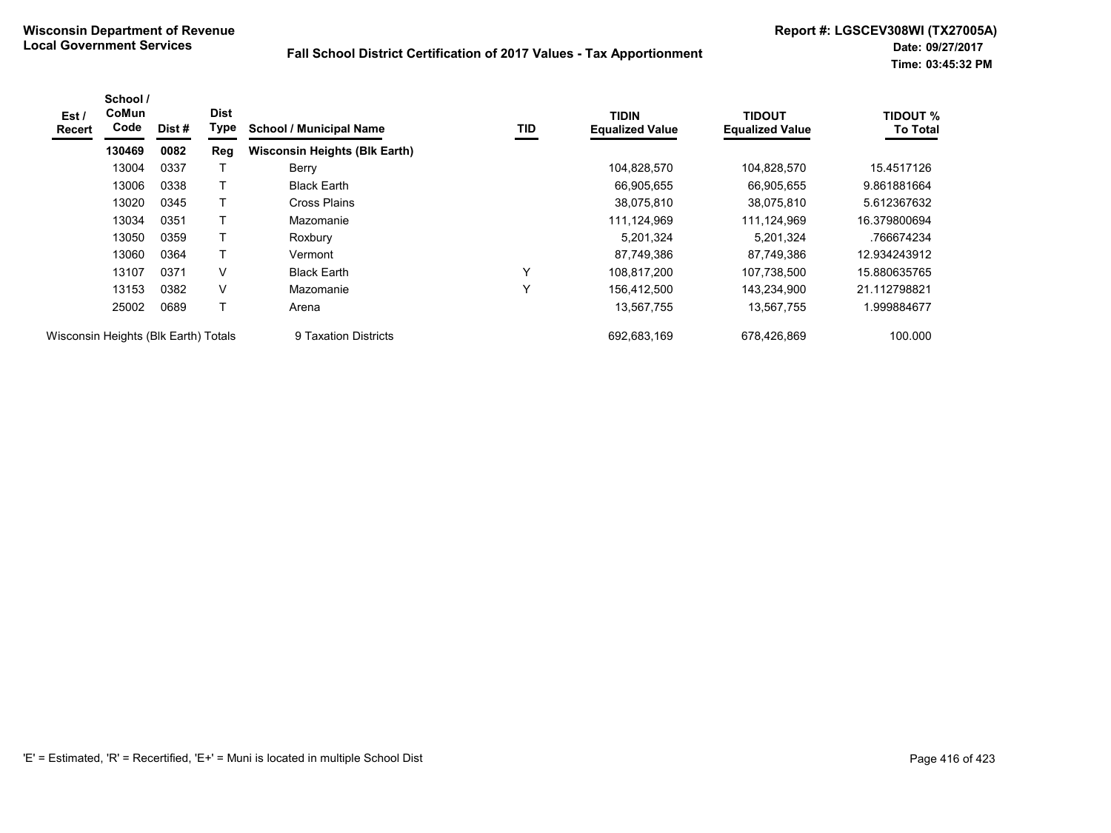| Est /<br>Recert                      | School /<br>CoMun<br>Code | Dist # | <b>Dist</b><br>Type | <b>School / Municipal Name</b>       | TID          | <b>TIDIN</b><br><b>Equalized Value</b> | <b>TIDOUT</b><br><b>Equalized Value</b> | <b>TIDOUT %</b><br><b>To Total</b> |
|--------------------------------------|---------------------------|--------|---------------------|--------------------------------------|--------------|----------------------------------------|-----------------------------------------|------------------------------------|
|                                      | 130469                    | 0082   | Reg                 | <b>Wisconsin Heights (Blk Earth)</b> |              |                                        |                                         |                                    |
|                                      | 13004                     | 0337   |                     | Berry                                |              | 104,828,570                            | 104,828,570                             | 15.4517126                         |
|                                      | 13006                     | 0338   |                     | <b>Black Earth</b>                   |              | 66,905,655                             | 66.905.655                              | 9.861881664                        |
|                                      | 13020                     | 0345   |                     | Cross Plains                         |              | 38,075,810                             | 38,075,810                              | 5.612367632                        |
|                                      | 13034                     | 0351   |                     | Mazomanie                            |              | 111,124,969                            | 111,124,969                             | 16.379800694                       |
|                                      | 13050                     | 0359   |                     | Roxbury                              |              | 5,201,324                              | 5,201,324                               | .766674234                         |
|                                      | 13060                     | 0364   |                     | Vermont                              |              | 87,749,386                             | 87,749,386                              | 12.934243912                       |
|                                      | 13107                     | 0371   | V                   | <b>Black Earth</b>                   | Y            | 108.817.200                            | 107.738.500                             | 15.880635765                       |
|                                      | 13153                     | 0382   | V                   | Mazomanie                            | $\checkmark$ | 156,412,500                            | 143,234,900                             | 21.112798821                       |
|                                      | 25002                     | 0689   | т                   | Arena                                |              | 13,567,755                             | 13,567,755                              | 1.999884677                        |
| Wisconsin Heights (Blk Earth) Totals |                           |        |                     | 9 Taxation Districts                 |              | 692,683,169                            | 678,426,869                             | 100.000                            |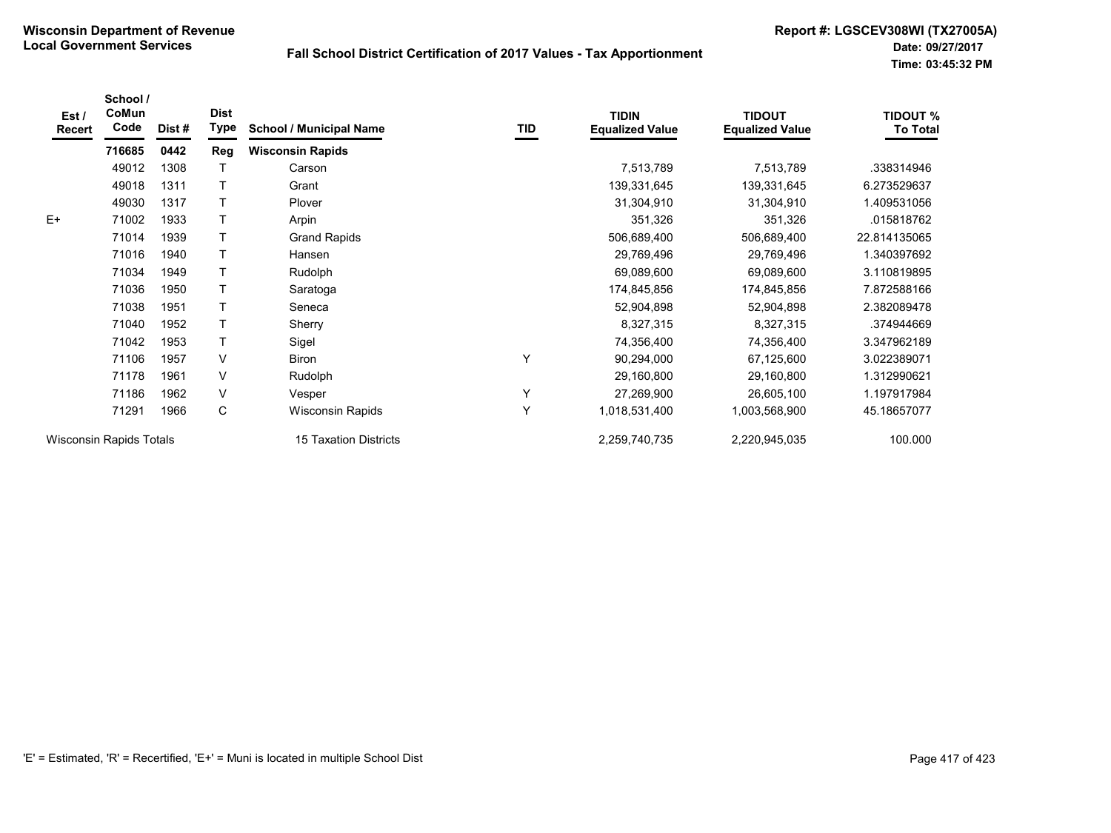| Est/<br>Recert | School /<br>CoMun<br>Code      | Dist# | <b>Dist</b><br><b>Type</b> | <b>School / Municipal Name</b> | <b>TID</b> | <b>TIDIN</b><br><b>Equalized Value</b> | <b>TIDOUT</b><br><b>Equalized Value</b> | <b>TIDOUT %</b><br><b>To Total</b> |
|----------------|--------------------------------|-------|----------------------------|--------------------------------|------------|----------------------------------------|-----------------------------------------|------------------------------------|
|                | 716685                         | 0442  | Reg                        | <b>Wisconsin Rapids</b>        |            |                                        |                                         |                                    |
|                | 49012                          | 1308  |                            | Carson                         |            | 7,513,789                              | 7,513,789                               | .338314946                         |
|                | 49018                          | 1311  |                            | Grant                          |            | 139,331,645                            | 139,331,645                             | 6.273529637                        |
|                | 49030                          | 1317  |                            | Plover                         |            | 31,304,910                             | 31,304,910                              | 1.409531056                        |
| $E+$           | 71002                          | 1933  |                            | Arpin                          |            | 351,326                                | 351,326                                 | .015818762                         |
|                | 71014                          | 1939  | T                          | <b>Grand Rapids</b>            |            | 506,689,400                            | 506,689,400                             | 22.814135065                       |
|                | 71016                          | 1940  |                            | Hansen                         |            | 29,769,496                             | 29,769,496                              | 1.340397692                        |
|                | 71034                          | 1949  |                            | Rudolph                        |            | 69,089,600                             | 69,089,600                              | 3.110819895                        |
|                | 71036                          | 1950  |                            | Saratoga                       |            | 174,845,856                            | 174,845,856                             | 7.872588166                        |
|                | 71038                          | 1951  | T                          | Seneca                         |            | 52,904,898                             | 52,904,898                              | 2.382089478                        |
|                | 71040                          | 1952  |                            | Sherry                         |            | 8,327,315                              | 8,327,315                               | .374944669                         |
|                | 71042                          | 1953  | т                          | Sigel                          |            | 74,356,400                             | 74,356,400                              | 3.347962189                        |
|                | 71106                          | 1957  | V                          | Biron                          | Υ          | 90,294,000                             | 67,125,600                              | 3.022389071                        |
|                | 71178                          | 1961  | V                          | Rudolph                        |            | 29,160,800                             | 29,160,800                              | 1.312990621                        |
|                | 71186                          | 1962  | V                          | Vesper                         | Υ          | 27,269,900                             | 26,605,100                              | 1.197917984                        |
|                | 71291                          | 1966  | C                          | Wisconsin Rapids               | Y          | 1,018,531,400                          | 1,003,568,900                           | 45.18657077                        |
|                | <b>Wisconsin Rapids Totals</b> |       |                            | <b>15 Taxation Districts</b>   |            | 2,259,740,735                          | 2,220,945,035                           | 100.000                            |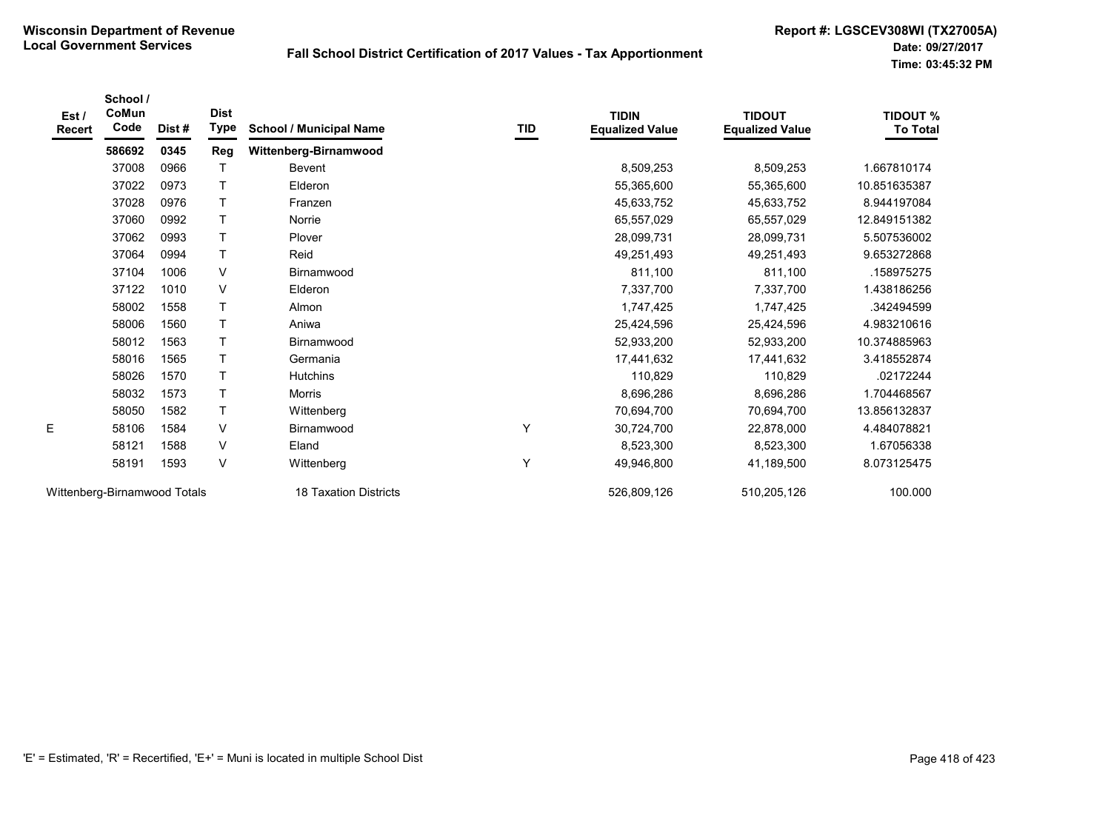| Est /<br><b>Recert</b> | School /<br>CoMun<br>Code    | Dist# | <b>Dist</b><br>Type | <b>School / Municipal Name</b> | IID | <b>TIDIN</b><br><b>Equalized Value</b> | <b>TIDOUT</b><br><b>Equalized Value</b> | <b>TIDOUT %</b><br><b>To Total</b> |
|------------------------|------------------------------|-------|---------------------|--------------------------------|-----|----------------------------------------|-----------------------------------------|------------------------------------|
|                        | 586692                       | 0345  | Reg                 | Wittenberg-Birnamwood          |     |                                        |                                         |                                    |
|                        | 37008                        | 0966  | $\mathsf T$         | Bevent                         |     | 8,509,253                              | 8,509,253                               | 1.667810174                        |
|                        | 37022                        | 0973  | $\top$              | Elderon                        |     | 55,365,600                             | 55,365,600                              | 10.851635387                       |
|                        | 37028                        | 0976  | $\mathsf{T}$        | Franzen                        |     | 45,633,752                             | 45,633,752                              | 8.944197084                        |
|                        | 37060                        | 0992  | Τ                   | Norrie                         |     | 65,557,029                             | 65,557,029                              | 12.849151382                       |
|                        | 37062                        | 0993  | $\top$              | Plover                         |     | 28,099,731                             | 28,099,731                              | 5.507536002                        |
|                        | 37064                        | 0994  | $\top$              | Reid                           |     | 49,251,493                             | 49,251,493                              | 9.653272868                        |
|                        | 37104                        | 1006  | V                   | Birnamwood                     |     | 811,100                                | 811,100                                 | .158975275                         |
|                        | 37122                        | 1010  | $\vee$              | Elderon                        |     | 7,337,700                              | 7,337,700                               | 1.438186256                        |
|                        | 58002                        | 1558  | $\mathsf{T}$        | Almon                          |     | 1,747,425                              | 1,747,425                               | .342494599                         |
|                        | 58006                        | 1560  | $\top$              | Aniwa                          |     | 25,424,596                             | 25,424,596                              | 4.983210616                        |
|                        | 58012                        | 1563  | Τ                   | Birnamwood                     |     | 52,933,200                             | 52,933,200                              | 10.374885963                       |
|                        | 58016                        | 1565  | $\mathsf T$         | Germania                       |     | 17,441,632                             | 17,441,632                              | 3.418552874                        |
|                        | 58026                        | 1570  | $\mathsf{T}$        | <b>Hutchins</b>                |     | 110,829                                | 110,829                                 | .02172244                          |
|                        | 58032                        | 1573  | $\mathsf{T}$        | Morris                         |     | 8,696,286                              | 8,696,286                               | 1.704468567                        |
|                        | 58050                        | 1582  | $\mathsf{T}$        | Wittenberg                     |     | 70,694,700                             | 70,694,700                              | 13.856132837                       |
| E                      | 58106                        | 1584  | V                   | Birnamwood                     | Υ   | 30,724,700                             | 22,878,000                              | 4.484078821                        |
|                        | 58121                        | 1588  | V                   | Eland                          |     | 8,523,300                              | 8,523,300                               | 1.67056338                         |
|                        | 58191                        | 1593  | V                   | Wittenberg                     | Y   | 49,946,800                             | 41,189,500                              | 8.073125475                        |
|                        | Wittenberg-Birnamwood Totals |       |                     | <b>18 Taxation Districts</b>   |     | 526,809,126                            | 510,205,126                             | 100.000                            |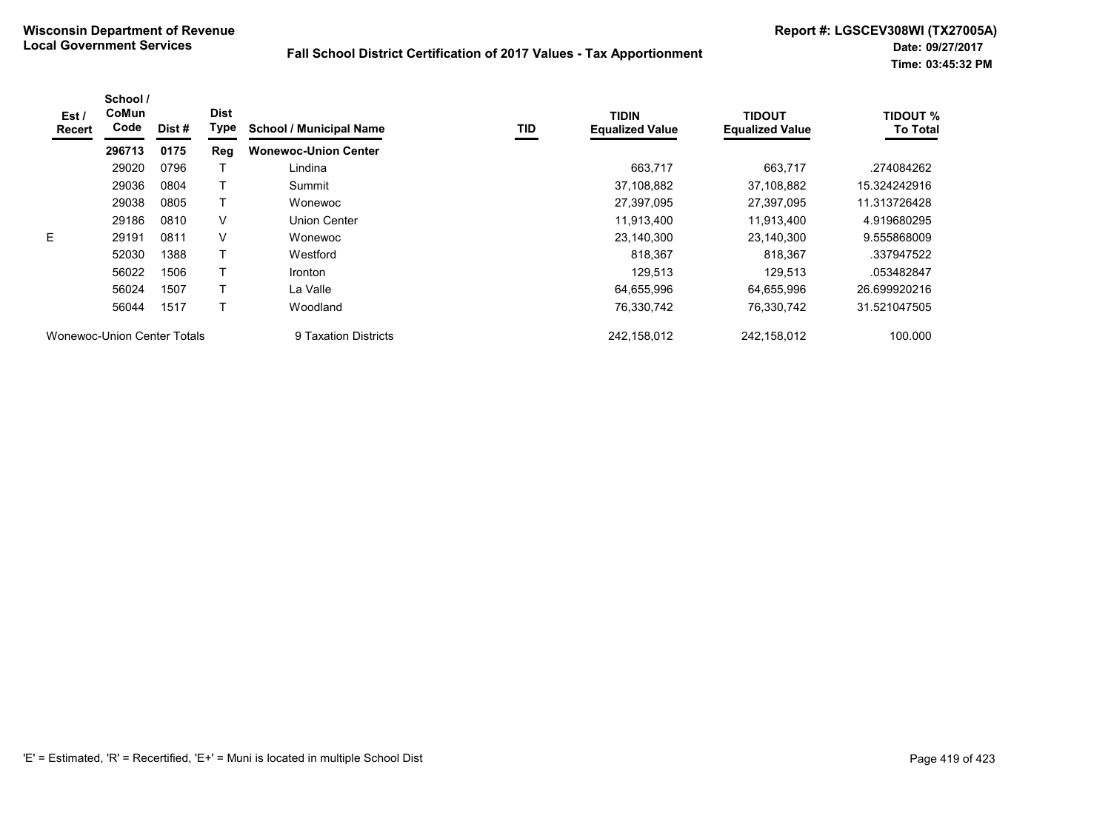| Est /<br>Recert             | School /<br>CoMun<br>Code | Dist # | <b>Dist</b><br>Type | <b>School / Municipal Name</b> | TID | <b>TIDIN</b><br><b>Equalized Value</b> | <b>TIDOUT</b><br><b>Equalized Value</b> | <b>TIDOUT %</b><br><b>To Total</b> |
|-----------------------------|---------------------------|--------|---------------------|--------------------------------|-----|----------------------------------------|-----------------------------------------|------------------------------------|
|                             | 296713                    | 0175   | Reg                 | <b>Wonewoc-Union Center</b>    |     |                                        |                                         |                                    |
|                             | 29020                     | 0796   |                     | Lindina                        |     | 663,717                                | 663,717                                 | .274084262                         |
|                             | 29036                     | 0804   |                     | Summit                         |     | 37,108,882                             | 37,108,882                              | 15.324242916                       |
|                             | 29038                     | 0805   |                     | Wonewoc                        |     | 27,397,095                             | 27,397,095                              | 11.313726428                       |
|                             | 29186                     | 0810   | $\vee$              | Union Center                   |     | 11,913,400                             | 11,913,400                              | 4.919680295                        |
| E                           | 29191                     | 0811   | V                   | Wonewoc                        |     | 23,140,300                             | 23,140,300                              | 9.555868009                        |
|                             | 52030                     | 1388   |                     | Westford                       |     | 818,367                                | 818,367                                 | .337947522                         |
|                             | 56022                     | 1506   | Т                   | <b>Ironton</b>                 |     | 129.513                                | 129.513                                 | .053482847                         |
|                             | 56024                     | 1507   |                     | La Valle                       |     | 64.655.996                             | 64.655.996                              | 26.699920216                       |
|                             | 56044                     | 1517   |                     | Woodland                       |     | 76,330,742                             | 76,330,742                              | 31.521047505                       |
| Wonewoc-Union Center Totals |                           |        |                     | 9 Taxation Districts           |     | 242,158,012                            | 242,158,012                             | 100.000                            |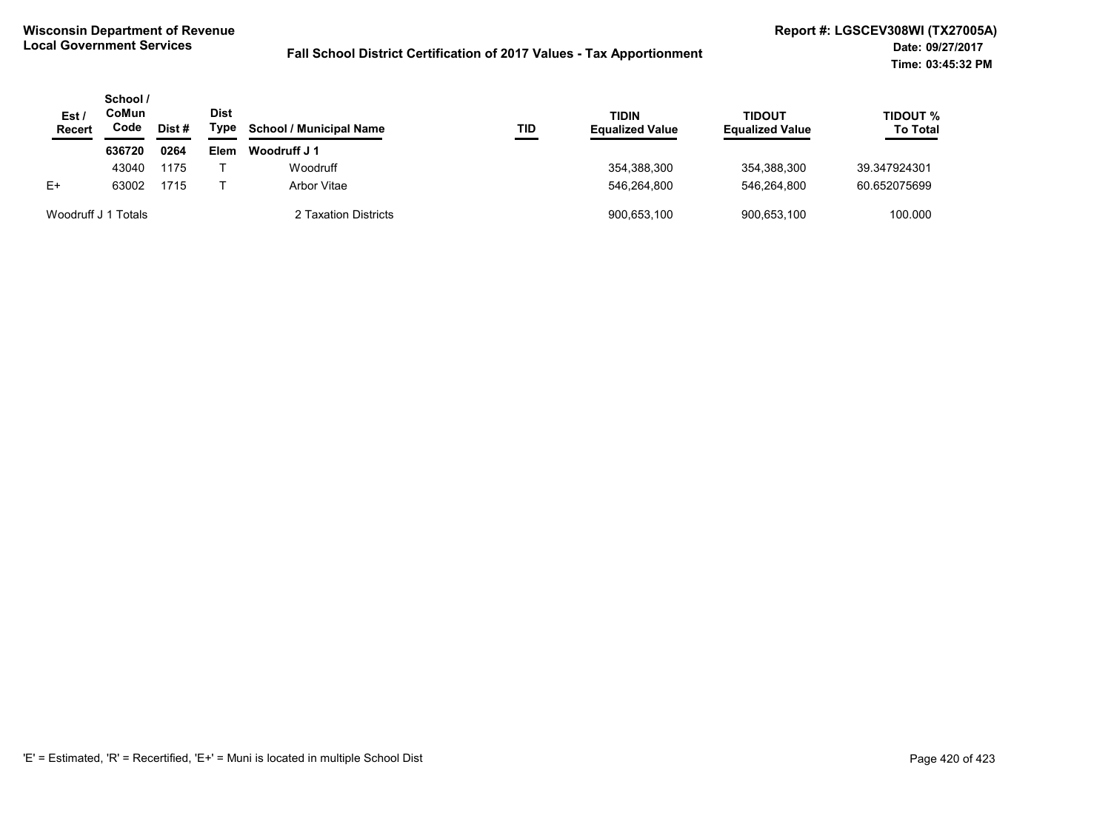| Est.<br><b>Recert</b> | School /<br>CoMun<br>Code | Dist # | Dist<br>Type | <b>School / Municipal Name</b> | TID | <b>TIDIN</b><br><b>Equalized Value</b> | <b>TIDOUT</b><br><b>Equalized Value</b> | <b>TIDOUT %</b><br><b>To Total</b> |
|-----------------------|---------------------------|--------|--------------|--------------------------------|-----|----------------------------------------|-----------------------------------------|------------------------------------|
|                       | 636720                    | 0264   | Elem         | Woodruff J 1                   |     |                                        |                                         |                                    |
|                       | 43040                     | 1175   |              | Woodruff                       |     | 354,388,300                            | 354.388.300                             | 39.347924301                       |
| $E+$                  | 63002                     | 1715   |              | Arbor Vitae                    |     | 546.264.800                            | 546.264.800                             | 60.652075699                       |
| Woodruff J 1 Totals   |                           |        |              | 2 Taxation Districts           |     | 900,653,100                            | 900,653,100                             | 100.000                            |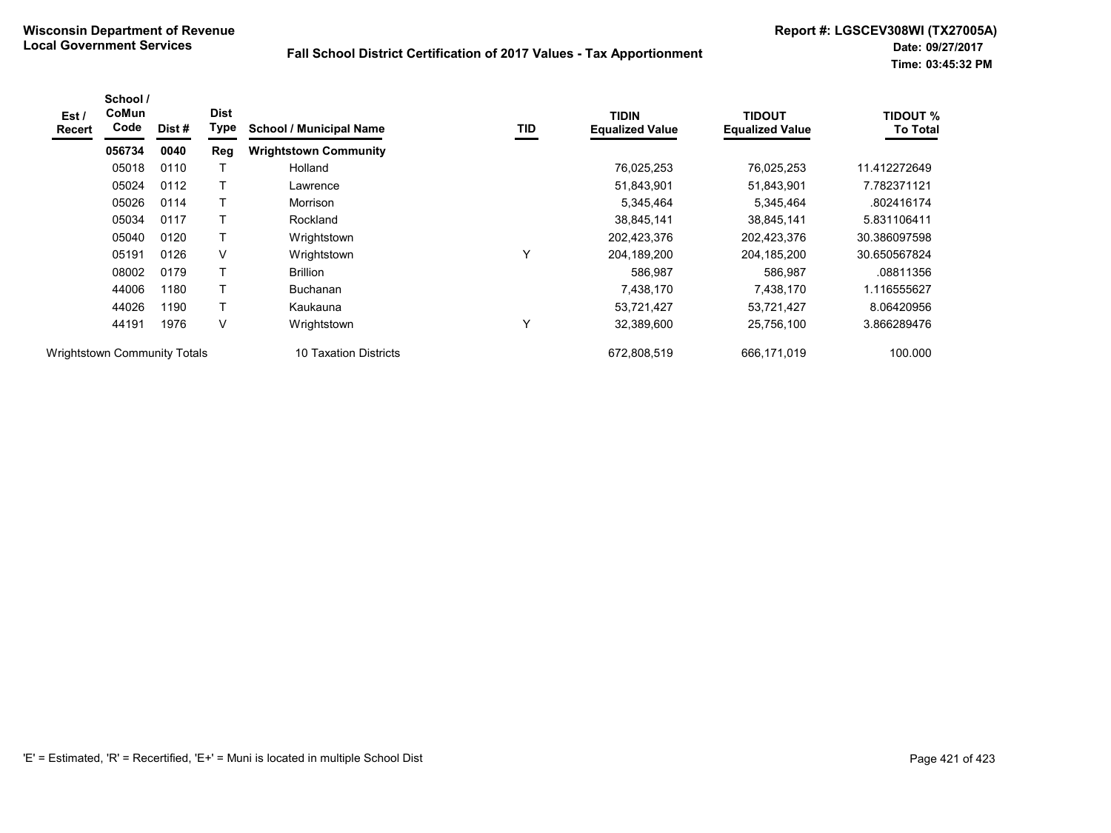| Est /<br><b>Recert</b>              | School /<br>CoMun<br>Code | Dist #                | <b>Dist</b><br>Type | <b>School / Municipal Name</b> | TID         | <b>TIDIN</b><br><b>Equalized Value</b> | <b>TIDOUT</b><br><b>Equalized Value</b> | <b>TIDOUT %</b><br><b>To Total</b> |
|-------------------------------------|---------------------------|-----------------------|---------------------|--------------------------------|-------------|----------------------------------------|-----------------------------------------|------------------------------------|
|                                     | 056734                    | 0040                  | <b>Reg</b>          | <b>Wrightstown Community</b>   |             |                                        |                                         |                                    |
|                                     | 05018                     | 0110                  |                     | Holland                        |             | 76,025,253                             | 76,025,253                              | 11.412272649                       |
|                                     | 05024                     | 0112                  |                     | Lawrence                       |             | 51,843,901                             | 51,843,901                              | 7.782371121                        |
|                                     | 05026                     | 0114                  |                     | Morrison                       |             | 5,345,464                              | 5,345,464                               | .802416174                         |
|                                     | 05034                     | 0117                  |                     | Rockland                       |             | 38,845,141                             | 38,845,141                              | 5.831106411                        |
|                                     | 05040                     | 0120                  | Т                   | Wrightstown                    |             | 202,423,376                            | 202,423,376                             | 30.386097598                       |
| 05191                               | 0126                      | V                     | Wrightstown         | Υ                              | 204,189,200 | 204, 185, 200                          | 30.650567824                            |                                    |
|                                     | 08002                     | 0179                  |                     | <b>Brillion</b>                |             | 586,987                                | 586,987                                 | .08811356                          |
|                                     | 44006                     | 1180                  |                     | <b>Buchanan</b>                |             | 7,438,170                              | 7,438,170                               | 1.116555627                        |
|                                     | 44026                     | 1190                  |                     | Kaukauna                       |             | 53,721,427                             | 53,721,427                              | 8.06420956                         |
|                                     | 44191                     | 1976                  | V                   | Wrightstown                    | Υ           | 32,389,600                             | 25,756,100                              | 3.866289476                        |
| <b>Wrightstown Community Totals</b> |                           | 10 Taxation Districts |                     | 672,808,519                    | 666,171,019 | 100.000                                |                                         |                                    |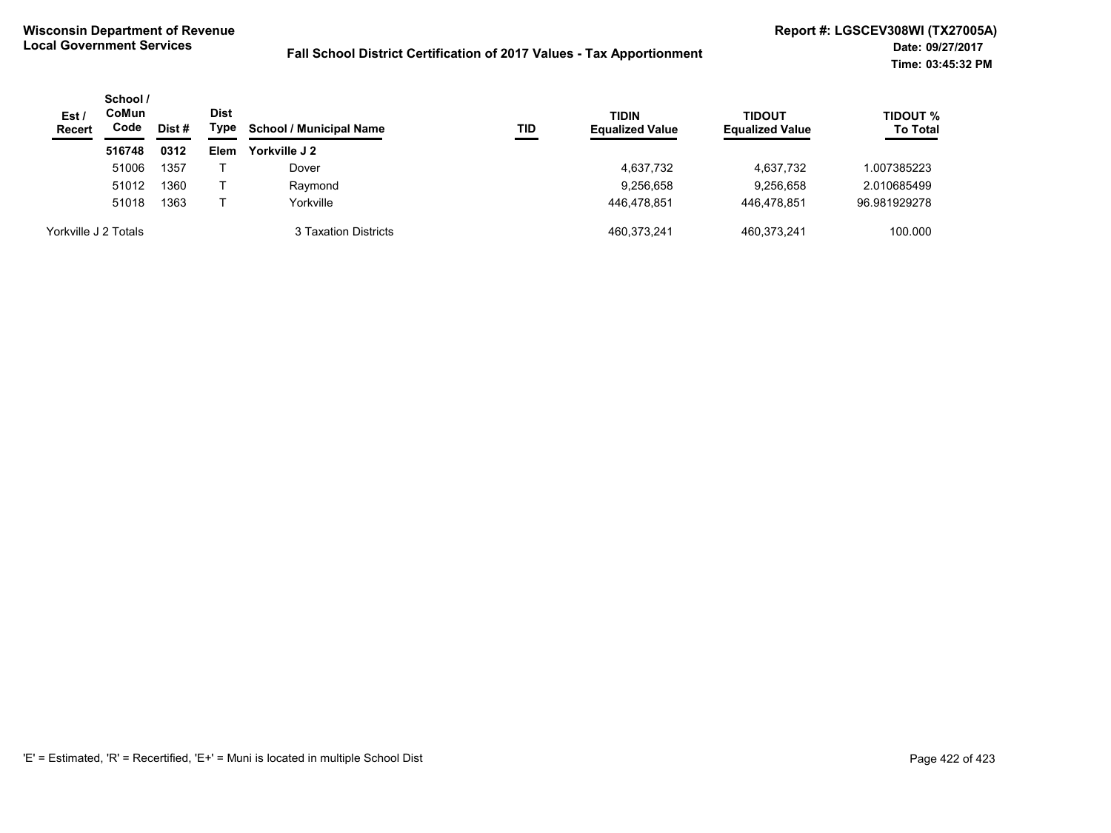| Est/<br><b>Recert</b> | School /<br><b>CoMun</b><br>Code | Dist # | <b>Dist</b><br>Type | <b>School / Municipal Name</b> | TID | <b>TIDIN</b><br><b>Equalized Value</b> | <b>TIDOUT</b><br><b>Equalized Value</b> | <b>TIDOUT %</b><br><b>To Total</b> |
|-----------------------|----------------------------------|--------|---------------------|--------------------------------|-----|----------------------------------------|-----------------------------------------|------------------------------------|
|                       | 516748                           | 0312   | Elem                | Yorkville J 2                  |     |                                        |                                         |                                    |
|                       | 51006                            | 1357   |                     | Dover                          |     | 4,637,732                              | 4,637,732                               | 1.007385223                        |
|                       | 51012                            | 1360   |                     | Raymond                        |     | 9,256,658                              | 9,256,658                               | 2.010685499                        |
|                       | 51018                            | 1363   |                     | Yorkville                      |     | 446.478.851                            | 446.478.851                             | 96.981929278                       |
| Yorkville J 2 Totals  |                                  |        |                     | 3 Taxation Districts           |     | 460,373,241                            | 460.373.241                             | 100.000                            |